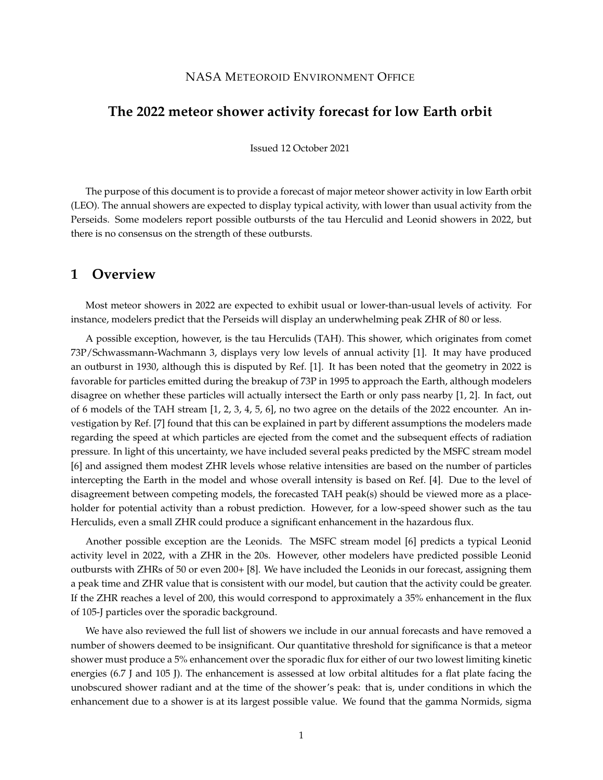#### NASA METEOROID ENVIRONMENT OFFICE

### **The 2022 meteor shower activity forecast for low Earth orbit**

Issued 12 October 2021

The purpose of this document is to provide a forecast of major meteor shower activity in low Earth orbit (LEO). The annual showers are expected to display typical activity, with lower than usual activity from the Perseids. Some modelers report possible outbursts of the tau Herculid and Leonid showers in 2022, but there is no consensus on the strength of these outbursts.

#### **1 Overview**

Most meteor showers in 2022 are expected to exhibit usual or lower-than-usual levels of activity. For instance, modelers predict that the Perseids will display an underwhelming peak ZHR of 80 or less.

A possible exception, however, is the tau Herculids (TAH). This shower, which originates from comet 73P/Schwassmann-Wachmann 3, displays very low levels of annual activity [1]. It may have produced an outburst in 1930, although this is disputed by Ref. [1]. It has been noted that the geometry in 2022 is favorable for particles emitted during the breakup of 73P in 1995 to approach the Earth, although modelers disagree on whether these particles will actually intersect the Earth or only pass nearby [1, 2]. In fact, out of 6 models of the TAH stream [1, 2, 3, 4, 5, 6], no two agree on the details of the 2022 encounter. An investigation by Ref. [7] found that this can be explained in part by different assumptions the modelers made regarding the speed at which particles are ejected from the comet and the subsequent effects of radiation pressure. In light of this uncertainty, we have included several peaks predicted by the MSFC stream model [6] and assigned them modest ZHR levels whose relative intensities are based on the number of particles intercepting the Earth in the model and whose overall intensity is based on Ref. [4]. Due to the level of disagreement between competing models, the forecasted TAH peak(s) should be viewed more as a placeholder for potential activity than a robust prediction. However, for a low-speed shower such as the tau Herculids, even a small ZHR could produce a significant enhancement in the hazardous flux.

Another possible exception are the Leonids. The MSFC stream model [6] predicts a typical Leonid activity level in 2022, with a ZHR in the 20s. However, other modelers have predicted possible Leonid outbursts with ZHRs of 50 or even 200+ [8]. We have included the Leonids in our forecast, assigning them a peak time and ZHR value that is consistent with our model, but caution that the activity could be greater. If the ZHR reaches a level of 200, this would correspond to approximately a 35% enhancement in the flux of 105-J particles over the sporadic background.

We have also reviewed the full list of showers we include in our annual forecasts and have removed a number of showers deemed to be insignificant. Our quantitative threshold for significance is that a meteor shower must produce a 5% enhancement over the sporadic flux for either of our two lowest limiting kinetic energies (6.7 J and 105 J). The enhancement is assessed at low orbital altitudes for a flat plate facing the unobscured shower radiant and at the time of the shower's peak: that is, under conditions in which the enhancement due to a shower is at its largest possible value. We found that the gamma Normids, sigma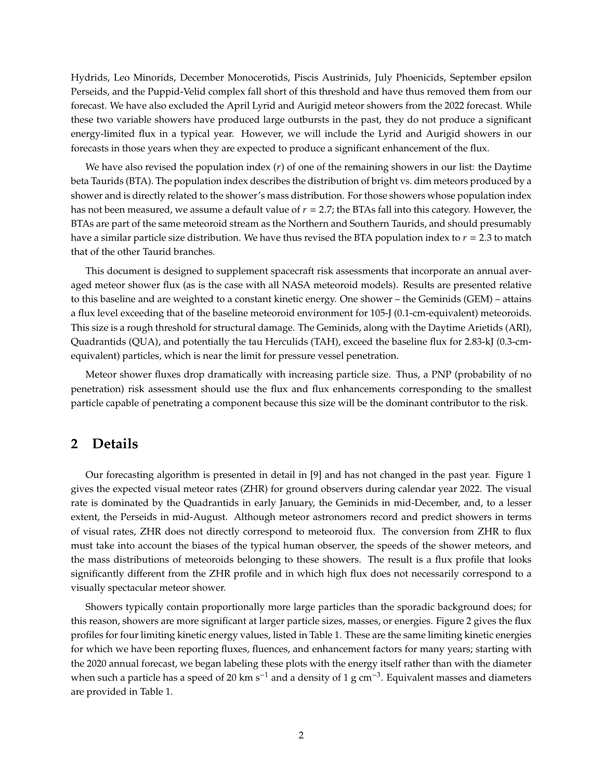Hydrids, Leo Minorids, December Monocerotids, Piscis Austrinids, July Phoenicids, September epsilon Perseids, and the Puppid-Velid complex fall short of this threshold and have thus removed them from our forecast. We have also excluded the April Lyrid and Aurigid meteor showers from the 2022 forecast. While these two variable showers have produced large outbursts in the past, they do not produce a significant energy-limited flux in a typical year. However, we will include the Lyrid and Aurigid showers in our forecasts in those years when they are expected to produce a significant enhancement of the flux.

We have also revised the population index  $(r)$  of one of the remaining showers in our list: the Daytime beta Taurids (BTA). The population index describes the distribution of bright vs. dim meteors produced by a shower and is directly related to the shower's mass distribution. For those showers whose population index has not been measured, we assume a default value of  $r = 2.7$ ; the BTAs fall into this category. However, the BTAs are part of the same meteoroid stream as the Northern and Southern Taurids, and should presumably have a similar particle size distribution. We have thus revised the BTA population index to  $r = 2.3$  to match that of the other Taurid branches.

This document is designed to supplement spacecraft risk assessments that incorporate an annual averaged meteor shower flux (as is the case with all NASA meteoroid models). Results are presented relative to this baseline and are weighted to a constant kinetic energy. One shower – the Geminids (GEM) – attains a flux level exceeding that of the baseline meteoroid environment for 105-J (0.1-cm-equivalent) meteoroids. This size is a rough threshold for structural damage. The Geminids, along with the Daytime Arietids (ARI), Quadrantids (QUA), and potentially the tau Herculids (TAH), exceed the baseline flux for 2.83-kJ (0.3-cmequivalent) particles, which is near the limit for pressure vessel penetration.

Meteor shower fluxes drop dramatically with increasing particle size. Thus, a PNP (probability of no penetration) risk assessment should use the flux and flux enhancements corresponding to the smallest particle capable of penetrating a component because this size will be the dominant contributor to the risk.

### **2 Details**

Our forecasting algorithm is presented in detail in [9] and has not changed in the past year. Figure 1 gives the expected visual meteor rates (ZHR) for ground observers during calendar year 2022. The visual rate is dominated by the Quadrantids in early January, the Geminids in mid-December, and, to a lesser extent, the Perseids in mid-August. Although meteor astronomers record and predict showers in terms of visual rates, ZHR does not directly correspond to meteoroid flux. The conversion from ZHR to flux must take into account the biases of the typical human observer, the speeds of the shower meteors, and the mass distributions of meteoroids belonging to these showers. The result is a flux profile that looks significantly different from the ZHR profile and in which high flux does not necessarily correspond to a visually spectacular meteor shower.

Showers typically contain proportionally more large particles than the sporadic background does; for this reason, showers are more significant at larger particle sizes, masses, or energies. Figure 2 gives the flux profiles for four limiting kinetic energy values, listed in Table 1. These are the same limiting kinetic energies for which we have been reporting fluxes, fluences, and enhancement factors for many years; starting with the 2020 annual forecast, we began labeling these plots with the energy itself rather than with the diameter when such a particle has a speed of 20 km s<sup>-1</sup> and a density of 1 g cm<sup>-3</sup>. Equivalent masses and diameters are provided in Table 1.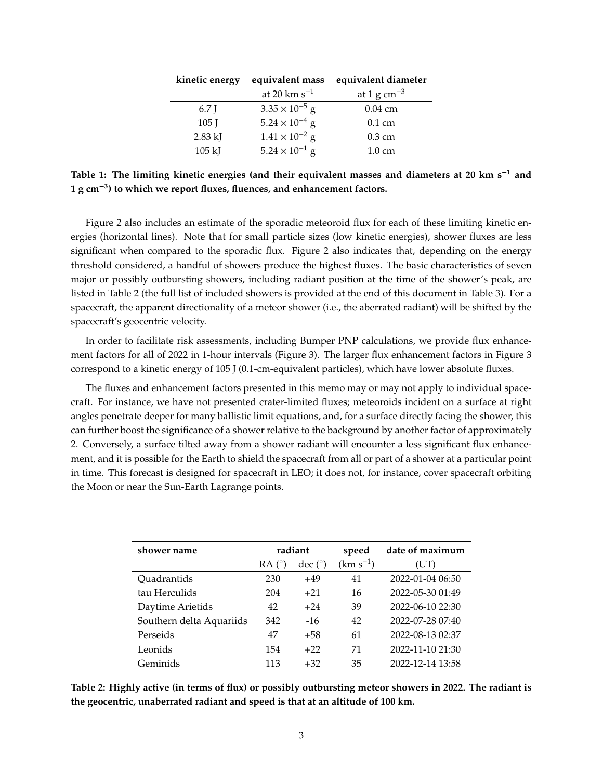| kinetic energy | equivalent mass         | equivalent diameter     |
|----------------|-------------------------|-------------------------|
|                | at 20 km $s^{-1}$       | at 1 g cm <sup>-3</sup> |
| 6.7 I          | $3.35 \times 10^{-5}$ g | $0.04 \text{ cm}$       |
| $105$ J        | $5.24 \times 10^{-4}$ g | $0.1 \text{ cm}$        |
| $2.83$ kJ      | $1.41 \times 10^{-2}$ g | $0.3 \text{ cm}$        |
| $105$ kJ       | $5.24 \times 10^{-1}$ g | $1.0 \text{ cm}$        |

**Table 1: The limiting kinetic energies (and their equivalent masses and diameters at 20 km s<sup>1</sup> and 1 g cm3) to which we report fluxes, fluences, and enhancement factors.**

Figure 2 also includes an estimate of the sporadic meteoroid flux for each of these limiting kinetic energies (horizontal lines). Note that for small particle sizes (low kinetic energies), shower fluxes are less significant when compared to the sporadic flux. Figure 2 also indicates that, depending on the energy threshold considered, a handful of showers produce the highest fluxes. The basic characteristics of seven major or possibly outbursting showers, including radiant position at the time of the shower's peak, are listed in Table 2 (the full list of included showers is provided at the end of this document in Table 3). For a spacecraft, the apparent directionality of a meteor shower (i.e., the aberrated radiant) will be shifted by the spacecraft's geocentric velocity.

In order to facilitate risk assessments, including Bumper PNP calculations, we provide flux enhancement factors for all of 2022 in 1-hour intervals (Figure 3). The larger flux enhancement factors in Figure 3 correspond to a kinetic energy of 105 J (0.1-cm-equivalent particles), which have lower absolute fluxes.

The fluxes and enhancement factors presented in this memo may or may not apply to individual spacecraft. For instance, we have not presented crater-limited fluxes; meteoroids incident on a surface at right angles penetrate deeper for many ballistic limit equations, and, for a surface directly facing the shower, this can further boost the significance of a shower relative to the background by another factor of approximately 2. Conversely, a surface tilted away from a shower radiant will encounter a less significant flux enhancement, and it is possible for the Earth to shield the spacecraft from all or part of a shower at a particular point in time. This forecast is designed for spacecraft in LEO; it does not, for instance, cover spacecraft orbiting the Moon or near the Sun-Earth Lagrange points.

| shower name              |                | radiant               | speed         | date of maximum  |
|--------------------------|----------------|-----------------------|---------------|------------------|
|                          | $RA(^{\circ})$ | $\text{dec}(\degree)$ | $(km s^{-1})$ | (UT)             |
| Quadrantids              | 230            | $+49$                 | 41            | 2022-01-04 06:50 |
| tau Herculids            | 204            | $+21$                 | 16            | 2022-05-30 01:49 |
| Daytime Arietids         | 42             | $+24$                 | 39            | 2022-06-10 22:30 |
| Southern delta Aquariids | 342            | $-16$                 | 42            | 2022-07-28 07:40 |
| Perseids                 | 47             | $+58$                 | 61            | 2022-08-13 02:37 |
| Leonids                  | 154            | $+22$                 | 71            | 2022-11-10 21:30 |
| Geminids                 | 113            | $+32$                 | 35            | 2022-12-14 13:58 |

**Table 2: Highly active (in terms of flux) or possibly outbursting meteor showers in 2022. The radiant is the geocentric, unaberrated radiant and speed is that at an altitude of 100 km.**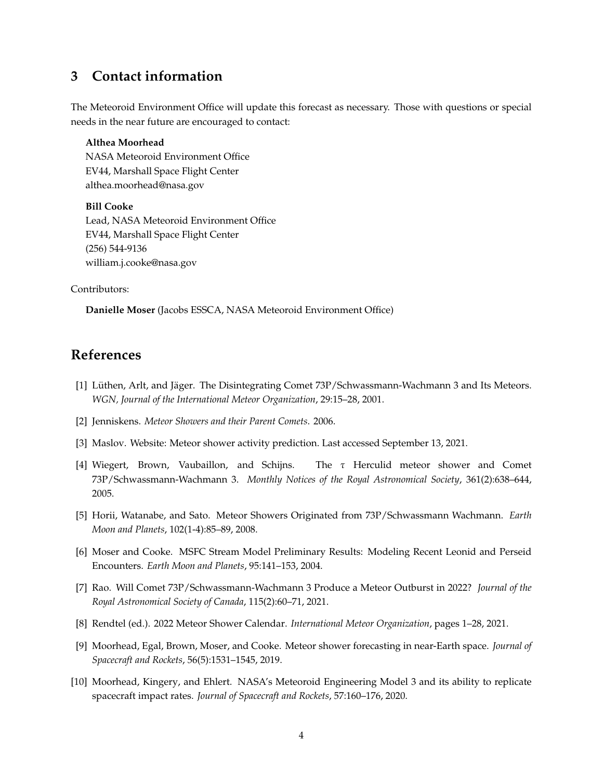## **3 Contact information**

The Meteoroid Environment Office will update this forecast as necessary. Those with questions or special needs in the near future are encouraged to contact:

**Althea Moorhead** NASA Meteoroid Environment Office EV44, Marshall Space Flight Center althea.moorhead@nasa.gov

**Bill Cooke** Lead, NASA Meteoroid Environment Office EV44, Marshall Space Flight Center (256) 544-9136 william.j.cooke@nasa.gov

Contributors:

**Danielle Moser** (Jacobs ESSCA, NASA Meteoroid Environment Office)

# **References**

- [1] Lüthen, Arlt, and Jäger. The Disintegrating Comet 73P/Schwassmann-Wachmann 3 and Its Meteors. *WGN, Journal of the International Meteor Organization*, 29:15–28, 2001.
- [2] Jenniskens. *Meteor Showers and their Parent Comets*. 2006.
- [3] Maslov. Website: Meteor shower activity prediction. Last accessed September 13, 2021.
- [4] Wiegert, Brown, Vaubaillon, and Schijns. The  $\tau$  Herculid meteor shower and Comet 73P/Schwassmann-Wachmann 3. *Monthly Notices of the Royal Astronomical Society*, 361(2):638–644, 2005.
- [5] Horii, Watanabe, and Sato. Meteor Showers Originated from 73P/Schwassmann Wachmann. *Earth Moon and Planets*, 102(1-4):85–89, 2008.
- [6] Moser and Cooke. MSFC Stream Model Preliminary Results: Modeling Recent Leonid and Perseid Encounters. *Earth Moon and Planets*, 95:141–153, 2004.
- [7] Rao. Will Comet 73P/Schwassmann-Wachmann 3 Produce a Meteor Outburst in 2022? *Journal of the Royal Astronomical Society of Canada*, 115(2):60–71, 2021.
- [8] Rendtel (ed.). 2022 Meteor Shower Calendar. *International Meteor Organization*, pages 1–28, 2021.
- [9] Moorhead, Egal, Brown, Moser, and Cooke. Meteor shower forecasting in near-Earth space. *Journal of Spacecraft and Rockets*, 56(5):1531–1545, 2019.
- [10] Moorhead, Kingery, and Ehlert. NASA's Meteoroid Engineering Model 3 and its ability to replicate spacecraft impact rates. *Journal of Spacecraft and Rockets*, 57:160–176, 2020.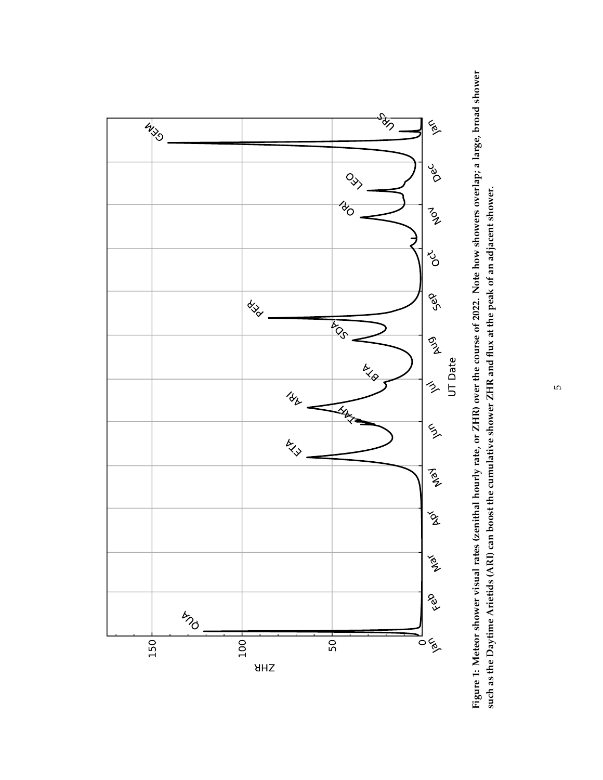

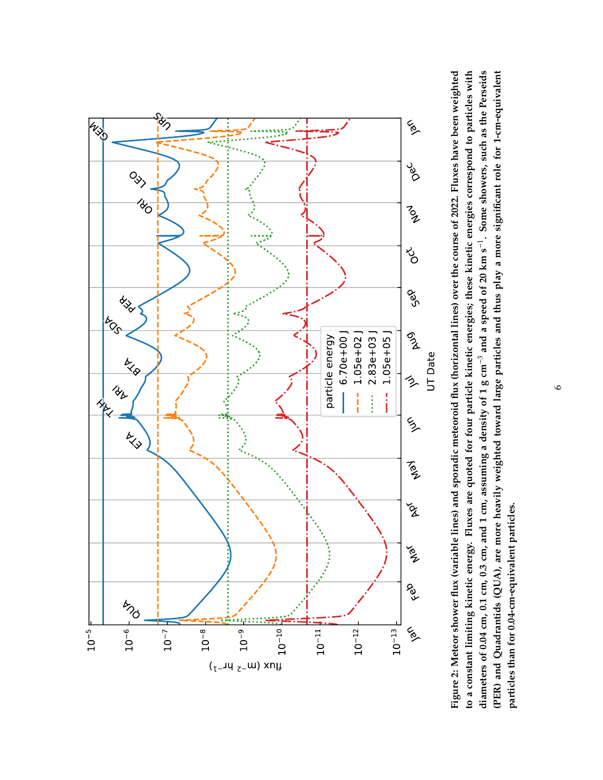

Figure 2: Meteor shower flux (variable lines) and sporadic meteoroid flux (horizontal lines) over the course of 2022. Fluxes have been weighted to a constant limiting kinetic energy. Fluxes are quoted for four particle kinetic energies; these kinetic energies correspond to particles with diameters of 0.04 cm, 0.1 cm, 0.3 cm, and 1 cm, assuming a density of 1 g cm<sup>-3</sup> and a speed of 20 km s<sup>-1</sup>. Some showers, such as the Perseids (PER) and Quadrantids (QUA), are more heavily weighted toward large particles and thus play a more significant role for 1-cm-equivalent Figure 2: Meteor shower flux (variable lines) and sporadic meteoroid flux (horizontal lines) over the course of 2022. Fluxes have been weighted to a constant limiting kinetic energy. Fluxes are quoted for four particle kinetic energies; these kinetic energies correspond to particles with diameters of 0.04 cm, 0.1 cm, 0.3 cm, and 1 cm, assuming a density of 1 g cm<sup>-3</sup> and a speed of 20 km s<sup>-1</sup>. Some showers, such as the Perseids (PER) and Quadrantids (QUA), are more heavily weighted toward large particles and thus play a more significant role for 1-cm-equivalent particles than for 0.04-cm-equivalent particles. **particles than for 0.04-cm-equivalent particles.**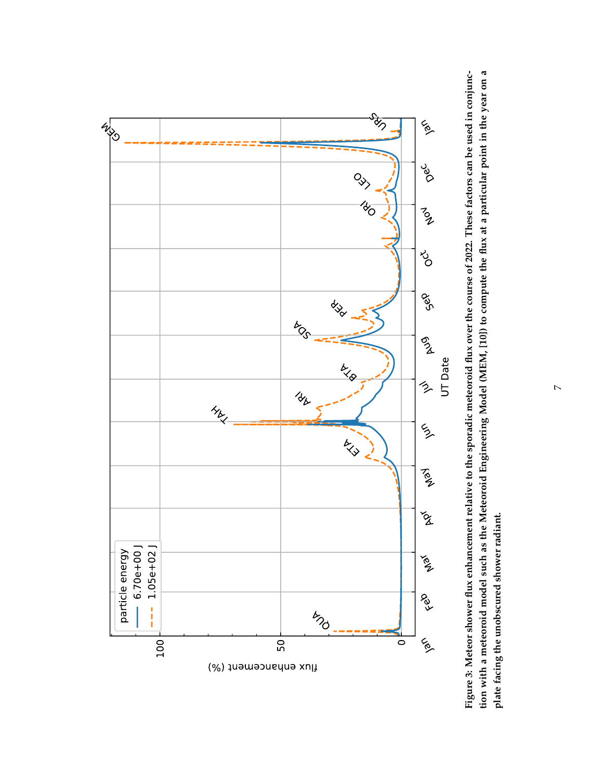

Figure 3: Meteor shower flux enhancement relative to the sporadic meteoroid flux over the course of 2022. These factors can be used in conjunction with a meteoroid model such as the Meteoroid Engineering Model (MEM, [10]) to compute the flux at a particular point in the year on a Figure 3: Meteor shower flux enhancement relative to the sporadic meteoroid flux over the course of 2022. These factors can be used in conjunction with a meteoroid model such as the Meteoroid Engineering Model (MEM, [10]) to compute the flux at a particular point in the year on a plate facing the unobscured shower radiant. **plate facing the unobscured shower radiant.**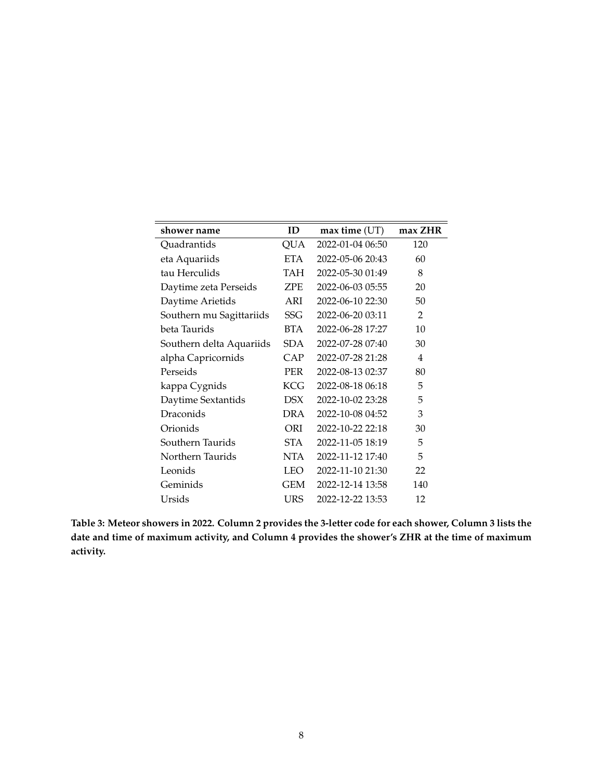| shower name              | ID         | $max$ time $(UT)$ | max ZHR |
|--------------------------|------------|-------------------|---------|
| Quadrantids              | QUA        | 2022-01-04 06:50  | 120     |
| eta Aquariids            | <b>ETA</b> | 2022-05-06 20:43  | 60      |
| tau Herculids            | TAH        | 2022-05-30 01:49  | 8       |
| Daytime zeta Perseids    | ZPE        | 2022-06-03 05:55  | 20      |
| Daytime Arietids         | ARI        | 2022-06-10 22:30  | 50      |
| Southern mu Sagittariids | SSG        | 2022-06-20 03:11  | 2       |
| beta Taurids             | BTA        | 2022-06-28 17:27  | 10      |
| Southern delta Aquariids | <b>SDA</b> | 2022-07-28 07:40  | 30      |
| alpha Capricornids       | CAP        | 2022-07-28 21:28  | 4       |
| Perseids                 | PER        | 2022-08-13 02:37  | 80      |
| kappa Cygnids            | <b>KCG</b> | 2022-08-18 06:18  | 5       |
| Daytime Sextantids       | DSX        | 2022-10-02 23:28  | 5       |
| Draconids                | DRA        | 2022-10-08 04:52  | 3       |
| Orionids                 | ORI        | 2022-10-22 22:18  | 30      |
| Southern Taurids         | STA        | 2022-11-05 18:19  | 5       |
| Northern Taurids         | NTA        | 2022-11-12 17:40  | 5       |
| Leonids                  | LEO        | 2022-11-10 21:30  | 22      |
| Geminids                 | GEM        | 2022-12-14 13:58  | 140     |
| Ursids                   | URS        | 2022-12-22 13:53  | 12      |

**Table 3: Meteor showers in 2022. Column 2 provides the 3-letter code for each shower, Column 3 lists the date and time of maximum activity, and Column 4 provides the shower's ZHR at the time of maximum activity.**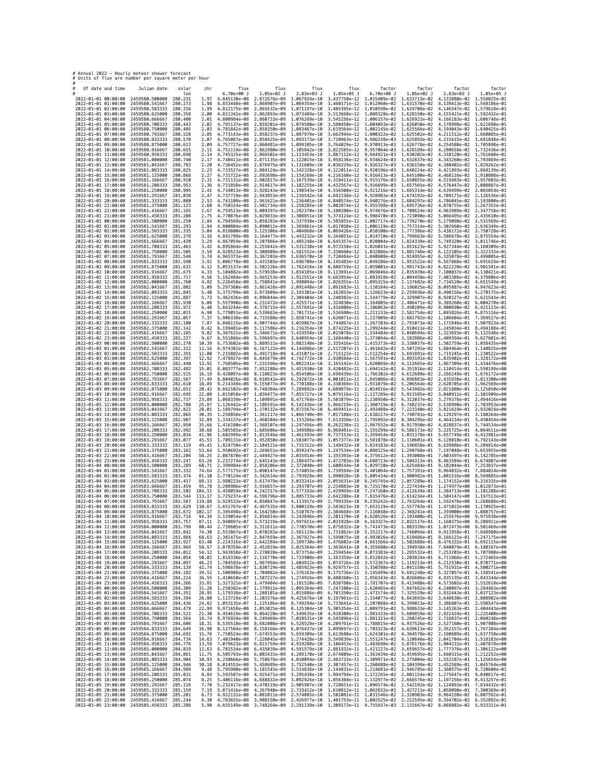| # Annual 2022 - Hourly meteor shower forecast<br># Units of flux are number per square meter per hour |                                          |                    |                  |                                                                                              |                                                                                  |                                                                                                                                                                                                                                                                                                                                                                                                       |                              |                                                                                                                                                                |                                           |                                                        |                              |
|-------------------------------------------------------------------------------------------------------|------------------------------------------|--------------------|------------------|----------------------------------------------------------------------------------------------|----------------------------------------------------------------------------------|-------------------------------------------------------------------------------------------------------------------------------------------------------------------------------------------------------------------------------------------------------------------------------------------------------------------------------------------------------------------------------------------------------|------------------------------|----------------------------------------------------------------------------------------------------------------------------------------------------------------|-------------------------------------------|--------------------------------------------------------|------------------------------|
| UT date and time                                                                                      | Julian date                              | solar              | zhr              | flux                                                                                         | flux                                                                             | flux                                                                                                                                                                                                                                                                                                                                                                                                  | flux                         | factor                                                                                                                                                         | factor                                    | factor                                                 | factor                       |
| 2022-01-01 00:00:00                                                                                   | 2459580.500000                           | lon<br>280.231     | 1.97             | $6.70e + 00$ J<br>4.845130e-08                                                               | 1.05e+02 J<br>2.872676e-09                                                       | 2.83e+03 J<br>1.067924e-10                                                                                                                                                                                                                                                                                                                                                                            | 1.05e+05 J                   | $6.70e+00$ J<br>3.437750e-12 1.015409e-02 1.633713e-02                                                                                                         | 1.05e+02 J                                | 2.83e+03 J<br>4.133880e-02 1.558025e-01                | 1.05e+05 J                   |
| 2022-01-01 01:00:00<br>2022-01-01 02:00:00                                                            | 2459580.541667<br>2459580.583333         | 280.273<br>280.316 | 1.98<br>1.99     | 4.833448e-08<br>4.822175e-08                                                                 | 2.868907e-09<br>2.865632e-09                                                     | 1.069354e-10<br>1.071197e-10                                                                                                                                                                                                                                                                                                                                                                          | 3.460171e-12<br>3.485395e-12 | 1.012960e-02<br>1.010598e-02                                                                                                                                   | 1.631570e-02<br>1.629708e-02              | 4.139413e-02<br>4.146547e-02                           | 1.568186e-01<br>1.579618e-01 |
| 2022-01-01 03:00:00<br>2022-01-01 04:00:00                                                            | 2459580.625000<br>2459580.666667         | 280,358<br>280,400 | 2.00<br>2.01     | 4.811342e-08 2.862893e-09<br>4.800984e-08 2.860733e-09                                       |                                                                                  | 1.073489e-10<br>1.076269e-10                                                                                                                                                                                                                                                                                                                                                                          |                              | 3.513668e-12 1.008328e-02 1.628150e-02<br>3.545256e-12 1.006157e-02 1.626921e-02                                                                               |                                           | 4.155421e-02 1.592432e-01<br>4.166183e-02 1.606748e-01 |                              |
| 2022-01-01 05:00:00<br>2022-01-01 06:00:00                                                            | 2459580.708333<br>2459580.750000         | 280,443<br>280,485 | 2.02<br>2.03     | 4.791137e-08<br>4.781842e-08 2.858350e-09                                                    | 2.859201e-09                                                                     | 1.079580e-10<br>1.083467e-10                                                                                                                                                                                                                                                                                                                                                                          | 3.580450e-12<br>3.619564e-12 | 1.004093e-02<br>1.002145e-02                                                                                                                                   | 1.626050e-02<br>1.625566e-02              | 4.178998e-02<br>4.194043e-02                           | 1.622698e-01<br>1.640425e-01 |
| 2022-01-01 07:00:00<br>2022-01-01 08:00:00                                                            | 2459580.791667<br>2459580.833333         | 280.528<br>280.570 | 2.05<br>2.07     | 4.765087e-08 2.858925e-09                                                                    | 4.773143e-08 2.858237e-09                                                        | 1.087979e-10<br>1.093173e-10                                                                                                                                                                                                                                                                                                                                                                          | 3.710963e-12                 | 3.662944e-12 1.000322e-02 1.625502e-02<br>9.986338e-03 1.625893e-02                                                                                            |                                           | 4.211512e-02<br>4.231615e-02 1.681848e-01              | 1.660085e-01                 |
| 2022-01-01 09:00:00                                                                                   | 2459580.875000                           | 280.613            | 2.09             | 4.757727e-08 2.860481e-09                                                                    |                                                                                  | 1.099105e-10                                                                                                                                                                                                                                                                                                                                                                                          | 3.764029e-12                 | 9.970913e-03 1.626778e-02                                                                                                                                      |                                           | 4.254580e-02                                           | 1.705898e-01                 |
| 2022-01-01 10:00:00<br>2022-01-01 11:00:00                                                            | 2459580.916667<br>2459580.958333         | 280.655<br>280.698 | 2.11<br>2.14     | 4.745325e-08 2.866502e-09                                                                    | 4.751119e-08 2.862980e-09                                                        | 1.105842e-10<br>1.113453e-10                                                                                                                                                                                                                                                                                                                                                                          | 3.822585e-12<br>3.887112e-12 | 9.957064e-03 1.628199e-02<br>9.944921e-03 1.630202e-02                                                                                                         |                                           | 4.280658e-02<br>4.310120e-02                           | 1.732436e-01<br>1.761680e-01 |
| 2022-01-01 12:00:00<br>2022-01-01 13:00:00                                                            | 2459581.000000<br>2459581.041667         | 280.740<br>280.783 | 2.17<br>2.20     | 4.736452e-08 2.876975e-09                                                                    | 4.740411e-08 2.871135e-09                                                        | 1.122015e-10<br>1.131609e-10                                                                                                                                                                                                                                                                                                                                                                          | 3.958136e-12                 | 9.934624e-03<br>4.036229e-12 9.926327e-03 1.636158e-02                                                                                                         | 1.632837e-02                              | 4.343260e-02<br>4.380402e-02                           | 1.793869e-01<br>1.829262e-01 |
| 2022-01-01 14:00:00<br>2022-01-01 15:00:00                                                            | 2459581.083333<br>2459581.125000         | 280.825<br>280,868 | 2.23<br>2.27     |                                                                                              | 4.733527e-08 2.884124e-09 1.142328e-10<br>4.731722e-08 2.892698e-09 1.154269e-10 |                                                                                                                                                                                                                                                                                                                                                                                                       |                              | 4.122011e-12 9.920196e-03 1.640224e-02<br>4.216160e-12 9.916413e-03 1.645100e-02                                                                               |                                           | 4.421893e-02 1.868139e-01<br>4.468116e-02 1.910808e-01 |                              |
| 2022-01-01 16:00:00<br>2022-01-01 17:00:00                                                            | 2459581.166667<br>2459581,208333         | 280.910<br>280.953 | 2.31<br>2.36     | 4.731131e-08 2.902817e-09                                                                    | 4.731858e-08 2.914617e-09 1.182255e-10                                           | 1.167539e-10                                                                                                                                                                                                                                                                                                                                                                                          | 4.319411e-12<br>4.432567e-12 | 9.915176e-03                                                                                                                                                   | 1.650855e-02<br>9.916699e-03 1.657565e-02 | 4.519483e-02<br>4.576447e-02                           | 1.957603e-01<br>2.008887e-01 |
| 2022-01-01 18:00:00<br>2022-01-01 19:00:00                                                            | 2459581.250000<br>2459581.291667         | 280.995<br>281.038 | 2.41<br>2.47     |                                                                                              | 4.734013e-08 2.928243e-09 1.198543e-10<br>4.737719e-08 2.943853e-09              | 1.216542e-10                                                                                                                                                                                                                                                                                                                                                                                          |                              | 4.556500e-12 9.921216e-03 1.665314e-02<br>4.692158e-12 9.928983e-03 1.674192e-02                                                                               |                                           | 4.639499e-02 2.065054e-01<br>4.709171e-02              | 2.126536e-01                 |
| 2022-01-01 20:00:00<br>2022-01-01 21:00:00                                                            | 2459581.333333<br>2459581.375000         | 281.080<br>281.123 | 2.53<br>2.60     | 4.743108e-08 2.961621e-09                                                                    | 4.750324e-08 2.981734e-09                                                        | 1.236401e-10<br>1.258285e-10                                                                                                                                                                                                                                                                                                                                                                          | 4.840574e-12                 | 9.940276e-03 1.684297e-02<br>5.002874e-12 9.955398e-03 1.695736e-02                                                                                            |                                           | 4.786045e-02<br>4.870755e-02                           | 2.193800e-01<br>2.267355e-01 |
| 2022-01-01 22:00:00                                                                                   | 2459581.416667                           | 281, 165           | 2.67             |                                                                                              | 4.759523e-08 3.004397e-09 1.282370e-10                                           |                                                                                                                                                                                                                                                                                                                                                                                                       |                              | 5.180280e-12 9.974676e-03 1.708624e-02                                                                                                                         |                                           | 4.963989e-02                                           | 2.347758e-01                 |
| 2022-01-01 23:00:00<br>2022-01-02 00:00:00                                                            | 2459581.458333<br>2459581.500000         | 281.208<br>281.250 | 2.75<br>2.84     |                                                                                              | 4.770876e-08 3.029833e-09<br>4.784569e-08 3.058283e-09                           | 1.308851e-10<br>1.337938e-10                                                                                                                                                                                                                                                                                                                                                                          | 5.374124e-12                 | 5.585855e-12 1.002717e-02 1.739270e-02                                                                                                                         | 9.998470e-03 1.723090e-02                 | 5.066495e-02<br>5.179090e-02                           | 2.435610e-01<br>2.531569e-01 |
| 2022-01-02 01:00:00<br>2022-01-02 02:00:00                                                            | 2459581.541667<br>2459581.583333         | 281.293<br>281,335 | 2.94<br>3.04     | 4.819800e-08 3.125306e-09                                                                    | 4.800804e-08 3.090012e-09                                                        | 1.369861e-10<br>1.404868e-10                                                                                                                                                                                                                                                                                                                                                                          |                              | 5.817050e-12 1.006119e-02 1.757314e-02<br>6.069426e-12 1.010100e-02 1.777386e-02                                                                               |                                           | 5.302660e-02<br>5.438172e-02                           | 2.636349e-01<br>2.750728e-01 |
| 2022-01-02 03:00:00<br>2022-01-02 04:00:00                                                            | 2459581.625000<br>2459581.666667         | 281.378<br>281.420 | 3.16<br>3.29     | 4.841799e-08 3.164477e-09                                                                    | 4.867059e-08 3.207866e-09 1.485248e-10                                           | 1.443232e-10                                                                                                                                                                                                                                                                                                                                                                                          | 6.344851e-12                 | 1.014710e-02 1.799663e-02<br>6.645357e-12 1.020004e-02 1.824339e-02                                                                                            |                                           | 5.586678e-02<br>5.749320e-02                           | 2.875554e-01<br>3.011746e-01 |
| 2022-01-02 05:00:00<br>2022-01-02 06:00:00                                                            | 2459581.708333<br>2459581.750000         | 281.463<br>281.505 | 3.42<br>3.58     |                                                                                              | 4.895864e-08 3.255842e-09 1.531238e-10<br>4.928523e-08 3.308809e-09              | 1.581552e-10                                                                                                                                                                                                                                                                                                                                                                                          |                              | 6.973158e-12 1.026041e-02 1.851623e-02<br>7.330660e-12 1.032886e-02 1.881746e-02                                                                               |                                           | 5.927344e-02<br>6.122105e-02                           | 3.160309e-01<br>3.322333e-01 |
| 2022-01-02 07:00:00<br>2022-01-02 08:00:00                                                            | 2459581.791667<br>2459581.833333         | 281.548<br>281.590 | 3.74<br>3.92     |                                                                                              | 4.965373e-08 3.367203e-09<br>5.006778e-08 3.431503e-09                           | 1.636570e-10<br>1.696708e-10                                                                                                                                                                                                                                                                                                                                                                          |                              | 7.720484e-12 1.040608e-02 1.914955e-02<br>8.145483e-12 1.049286e-02 1.951522e-02                                                                               |                                           | 6.335078e-02<br>6.567868e-02                           | 3.499005e-01<br>3.691619e-01 |
| 2022-01-02 09:00:00<br>2022-01-02 10:00:00                                                            | 2459581.875000<br>2459581.916667         | 281.632<br>281.675 | 4.12<br>4.33     | 5.104882e-08                                                                                 | 5.053137e-08 3.502226e-09 1.762416e-10<br>3.579938e-09                           | 1.834185e-10                                                                                                                                                                                                                                                                                                                                                                                          |                              | 8.608759e-12 1.059001e-02 1.991743e-02<br>9.113691e-12 1.069846e-02                                                                                            | 2.035939e-02                              | 6.822220e-02<br>7.100037e-02                           | 3.901581e-01<br>4.130421e-01 |
| 2022-01-02 11:00:00                                                                                   | 2459581.958333                           | 281.717            | 4.56             |                                                                                              | 5.162484e-08 3.665253e-09                                                        | 1.912551e-10                                                                                                                                                                                                                                                                                                                                                                                          |                              | 9.663954e-12 1.081918e-02 2.084458e-02                                                                                                                         |                                           | 7.403386e-02                                           | 4.379806e-01                 |
| 2022-01-02 12:00:00<br>2022-01-02 13:00:00                                                            | 2459582.000000<br>2459582.041667         | 281.760<br>281.802 | 4.82<br>5.09     |                                                                                              | 5.226458e-08 3.758841e-09<br>5.297360e-08 3.861428e-09                           | 1.998094e-10<br>2.091448e-10                                                                                                                                                                                                                                                                                                                                                                          |                              | 1.026355e-11 1.095325e-02 2.137682e-02<br>1.091683e-11 1.110184e-02 2.196025e-02<br>1.162853e-11 1.126623e-02 2.259936e-02                                     |                                           | 7.734520e-02<br>8.095887e-02                           | 4.651549e-01<br>4.947623e-01 |
| 2022-01-02 14:00:00<br>2022-01-02 15:00:00                                                            | 2459582.083333<br>2459582,125000         | 281.845<br>281.887 | 5.40<br>5.73     |                                                                                              | 5.375799e-08 3.973809e-09<br>5.462436e-08 4.096844e-09                           | 2.193301e-10                                                                                                                                                                                                                                                                                                                                                                                          |                              | 2.304404e-10 1.240382e-11 1.144779e-02 2.329907e-02                                                                                                            |                                           | 8.490156e-02<br>8.920227e-02                           | 5.270175e-01<br>5.621543e-01 |
| 2022-01-02 16:00:00<br>2022-01-02 17:00:00                                                            | 2459582.166667<br>2459582.208333         | 281.930<br>281.972 | 6.08<br>6.48     | 5.663244e-08 4.378715e-09                                                                    | 5.557990e-08 4.231472e-09                                                        | 2.425571e-10<br>2.557691e-10                                                                                                                                                                                                                                                                                                                                                                          |                              | 1.324830e-11 1.164805e-02 2.406471e-02<br>1.416808e-11 1.186863e-02                                                                                            | 2.490209e-02                              | 9.389260e-02 6.004270e-01<br>9.900690e-02              | 6.421123e-01                 |
| 2022-01-02 18:00:00<br>2022-01-02 19:00:00                                                            | 2459582.250000<br>2459582.291667         | 282.015<br>282.057 | 6.90<br>7.37     |                                                                                              | 5.779051e-08 4.539683e-09<br>5.906338e-08 4.715588e-09                           | 2.701731e-10<br>2.858741e-10                                                                                                                                                                                                                                                                                                                                                                          |                              | 1.516980e-11 1.211133e-02 2.581754e-02<br>1.626071e-11 1.237809e-02 2.681792e-02                                                                               |                                           | 1.045826e-01<br>1.106604e-01 7.369527e-01              | 6.875116e-01                 |
| 2022-01-02 20:00:00<br>2022-01-02 21:00:00                                                            | 2459582.333333<br>2459582.375000         | 282.100<br>282.142 | 7.87<br>8.42     | 6.199481e-08 5.117586e-09                                                                    | 6.046115e-08 4.907744e-09                                                        | 3.029867e-10<br>3.216354e-10                                                                                                                                                                                                                                                                                                                                                                          | 1.874225e-11 1.299244e-02    | 1.744867e-11 1.267103e-02 2.791073e-02                                                                                                                         | 2.910411e-02                              | 1.172846e-01 7.907923e-01<br>1.245034e-01 8.494188e-01 |                              |
| 2022-01-02 22:00:00                                                                                   | 2459582.416667                           | 282.185            | 9.02             |                                                                                              | 6.367631e-08 5.346671e-09                                                        | 3.419558e-10                                                                                                                                                                                                                                                                                                                                                                                          |                              | 2.015078e-11 1.334484e-02                                                                                                                                      | 3.040694e-02                              | 1.323693e-01 9.132548e-01                              |                              |
| 2022-01-02 23:00:00<br>2022-01-03 00:00:00                                                            | 2459582.458333<br>2459582.500000         | 282.227<br>282.270 | 9.67<br>10.39    | 6.551866e-08 5.596697e-09<br>6.753602e-08 5.869511e-09                                       |                                                                                  | 3.640954e-10<br>3.882148e-10                                                                                                                                                                                                                                                                                                                                                                          |                              | 2.168440e-11 1.373094e-02 3.182886e-02 1.409394e-01 9.827601e-01<br>2.335416e-11 1.415373e-02 3.338037e-02                                                     |                                           | 1.502759e-01 1.058435e+00                              |                              |
| 2022-01-03 01:00:00<br>2022-01-03 02:00:00                                                            | 2459582.541667<br>2459582,583333         | 282.312<br>282.355 | 11.16<br>12.00   | 6.974382e-08 6.167122e-09                                                                    | 7.215882e-08 6.491718e-09 4.431071e-10                                           | 4.144886e-10                                                                                                                                                                                                                                                                                                                                                                                          |                              | 2.517207e-11 1.461642e-02<br>2.715122e-11 1.512254e-02 3.691891e-02 1.715245e-01 1.230522e+00                                                                  | 3.507291e-02                              | 1.604464e-01                                           | 1.140825e+00                 |
| 2022-01-03 03:00:00<br>2022-01-03 04:00:00                                                            | 2459582.625000<br>2459582.666667         | 282.397<br>282.440 | 12.92<br>13.92   | 7.479927e-08 6.845679e-09<br>7.768505e-08                                                    | 7.231596e-09                                                                     | 4.742772e-10<br>5.082241e-10                                                                                                                                                                                                                                                                                                                                                                          |                              | 2.930584e-11 1.567591e-02 3.893191e-02 1.835902e-01 1.328172e+00<br>3.165142e-11 1.628069e-02 4.112665e-02                                                     |                                           | 1.967309e-01 1.434476e+00                              |                              |
| 2022-01-03 05:00:00<br>2022-01-03 06:00:00                                                            | 2459582.708333<br>2459582.750000         | 282.482<br>282.525 | 15.01<br>16.19   |                                                                                              | 8.083777e-08 7.652288e-09<br>8.428097e-08 8.110823e-09                           | 5.451930e-10<br>5.854506e-10                                                                                                                                                                                                                                                                                                                                                                          |                              | 3.420482e-11 1.694142e-02 4.351916e-02<br>3.698439e-11 1.766302e-02 4.612689e-02 2.266249e-01 1.676172e+00                                                     |                                           | 2.110414e-01 1.550199e+00                              |                              |
| 2022-01-03 07:00:00<br>2022-01-03 08:00:00                                                            | 2459582.791667<br>2459582.833333         | 282.567<br>282.610 | 17.49<br>18.89   | 9.214349e-08 9.155077e-09                                                                    | 8.804026e-08 8.610542e-09                                                        | 6.292872e-10<br>6.770188e-10                                                                                                                                                                                                                                                                                                                                                                          |                              | 4.001011e-11 1.845086e-02 4.896883e-02 2.435938e-01 1.813300e+00<br>4.330369e-11 1.931079e-02                                                                  | 5.206564e-02                              | 2.620705e-01                                           | 1.962569e+00                 |
| 2022-01-03 09:00:00<br>2022-01-03 10:00:00                                                            | 2459582.875000<br>2459582.916667         | 282.652<br>282.695 | 20.42<br>22.08   | 9.662102e-08 9.748384e-09<br>1.015058e-07 1.039477e-08 7.855727e-10                          |                                                                                  | 7.289892e-10                                                                                                                                                                                                                                                                                                                                                                                          |                              | 4.688879e-11 2.024916e-02<br>5.079116e-11 2.127289e-02 5.911585e-02                                                                                            | 5.543982e-02                              | 2.821880e-01<br>3.040911e-01 2.301909e+00              | 2.125050e+00                 |
| 2022-01-03 11:00:00                                                                                   | 2459582.958333                           | 282.737            | 23.89            | 1.068339e-07 1.109891e-08 8.471764e-10                                                       |                                                                                  |                                                                                                                                                                                                                                                                                                                                                                                                       |                              | 5.503879e-11 2.238950e-02 6.312037e-02                                                                                                                         |                                           | 3.279376e-01 2.494416e+00                              |                              |
| 2022-01-03 12:00:00<br>2022-01-03 13:00:00                                                            | 2459583.000000<br>2459583.041667         | 282.780<br>282.822 | 25.87<br>28.01   | 1.126442e-07 1.186591e-08<br>1.189794e-07 1.270132e-08                                       |                                                                                  | 9.142436e-10<br>9.872567e-10                                                                                                                                                                                                                                                                                                                                                                          |                              | 5.966219e-11 2.360719e-02 6.748237e-02<br>6.469451e-11 2.493488e-02 7.223340e-02                                                                               |                                           | 3.538990e-01<br>3.821619e-01 2.932024e+00              | 2.703953e+00                 |
| 2022-01-03 14:00:00<br>2022-01-03 15:00:00                                                            | 2459583.083333<br>2459583.125000         | 282.865<br>282.907 | 30.35<br>32.89   | 1.258858e-07 1.361117e-08<br>1.334137e-07                                                    | 1.460204e-08                                                                     | 1.066740e-09<br>1.153266e-09                                                                                                                                                                                                                                                                                                                                                                          |                              | 7.017188e-11 2.638227e-02 7.740781e-02<br>7.613358e-11 2.795992e-02                                                                                            | 8.304295e-02                              | 4.129297e-01 3.180264e+00<br>4.464234e-01              | 3.450454e+00                 |
| 2022-01-03 16:00:00<br>2022-01-03 17:00:00                                                            | 2459583.166667<br>2459583.208333         | 282.950<br>282.992 | 35.66<br>38.68   | 1.416180e-07 1.568107e-08<br>1.505585e-07 1.685606e-08 1.349986e-09                          |                                                                                  | 1.247456e-09                                                                                                                                                                                                                                                                                                                                                                                          |                              | 8.262238e-11 2.967932e-02 8.917950e-02<br>8.968481e-11 3.155299e-02 9.586173e-02                                                                               |                                           | 4.828837e-01<br>5.225725e-01 4.064611e+00              | 3.744534e+00                 |
| 2022-01-03 18:00:00<br>2022-01-03 19:00:00                                                            | 2459583.250000<br>2459583.291667         | 283.034<br>283.077 | 41.96<br>45.53   | 1.602999e-07 1.813546e-08 1.461593e-09                                                       | 1.709131e-07 1.952850e-08                                                        | 1.583077e-09                                                                                                                                                                                                                                                                                                                                                                                          | 1.057377e-10                 | 9.737153e-11 3.359454e-02 1.031378e-01<br>3.581878e-02                                                                                                         | 1.110601e-01                              | 5.657749e-01 4.412981e+00<br>6.128010e-01              | 4.792143e+00                 |
| 2022-01-03 20:00:00<br>2022-01-03 21:00:00                                                            | 2459583.333333<br>2459583.375000         | 283.119<br>283.162 | 49.41<br>53.64   | 1.824750e-07 2.104521e-08 1.715312e-09<br>1.950692e-07 2.269651e-08 1.859247e-09             |                                                                                  |                                                                                                                                                                                                                                                                                                                                                                                                       |                              | 1.148432e-10 3.824183e-02 1.196858e-01<br>1.247534e-10 4.088125e-02 1.290768e-01                                                                               |                                           | 6.639886e-01<br>7.197048e-01 5.653955e+00              | 5.204814e+00                 |
| 2022-01-03 22:00:00<br>2022-01-03 23:00:00                                                            | 2459583.416667<br>2459583.458333         | 283.204<br>283.247 | 58.25<br>63.26   |                                                                                              | 2.087870e-07 2.449427e-08 2.015914e-09<br>2.237274e-07 2.645143e-08              | 2.186437e-09                                                                                                                                                                                                                                                                                                                                                                                          | 1.472783e-10                 | 1.355393e-10 4.375612e-02 1.393008e-01<br>4.688723e-02 1.504313e-01                                                                                            |                                           | 7.803497e-01 6.142785e+00<br>8.463584e-01              | 6.674807e+00                 |
| 2022-01-04 00:00:00                                                                                   | 2459583.500000                           | 283.289<br>283.332 | 68.71            | 2.577175e-07                                                                                 | 2.399984e-07 2.858206e-08 2.372040e-09                                           | 2.574055e-09                                                                                                                                                                                                                                                                                                                                                                                          |                              | 1.600544e-10 5.029720e-02 1.625484e-01                                                                                                                         |                                           | 9.182044e-01 7.253837e+00                              |                              |
| 2022-01-04 01:00:00<br>2022-01-04 02:00:00                                                            | 2459583.541667<br>2459583.583333         | 283.374            | 74.64<br>81.10   | 2.770124e-07                                                                                 | 3.090147e-08<br>3.342634e-08                                                     | 2.793929e-09                                                                                                                                                                                                                                                                                                                                                                                          |                              | 1.739594e-10 5.401064e-02 1.757391e-01<br>1.890928e-10 5.805434e-02 1.900982e-01                                                                               |                                           | 9.964032e-01 7.884024e+00<br>1.081516e+00 8.569885e+00 |                              |
| 2022-01-04 03:00:00<br>2022-01-04 04:00:00                                                            | 2459583.625000<br>2459583.666667         | 283.417<br>283.459 | 88.13<br>95.78   | 2.980223e-07 3.617479e-08<br>3.208986e-07 3.916657e-08                                       |                                                                                  | 3.033241e-09<br>3.293707e-09                                                                                                                                                                                                                                                                                                                                                                          |                              | 2.055631e-10 6.245745e-02 2.057289e-01 1.174152e+00<br>2.234883e-10 6.725170e-02 2.227434e-01 1.274977e+00 1.012873e+01                                        |                                           |                                                        | 9.316335e+00                 |
| 2022-01-04 05:00:00<br>2022-01-04 06:00:00                                                            | 2459583.708333<br>2459583.750000         | 283.502<br>283.544 | 104.11<br>113.17 | 3.458059e-07 4.242317e-08                                                                    | 3.729237e-07 4.596796e-08                                                        | 3.577193e-09<br>3.885733e-09                                                                                                                                                                                                                                                                                                                                                                          | 2.429969e-10<br>2.642288e-10 | 7.247160e-02 2.412639e-01 1.384713e+00 1.101288e+01<br>7.815476e-02 2.614234e-01                                                                               |                                           | 1.504147e+00                                           | 1.197513e+01                 |
| 2022-01-04 07:00:00<br>2022-01-04 08:00:00                                                            | 2459583.791667<br>2459583.833333         | 283.587            | 119.88           | 3.929533e-07 4.858847e-08 4.113917e-09                                                       |                                                                                  | 283.629 110.67 3.651767e-07 4.497535e-08 3.800159e-09 2.583623e-10 7.653119e-02 2.557783e-01 1.471022e+00 1.170925e+01                                                                                                                                                                                                                                                                                |                              | 2.799335e-10 8.235242e-02 2.763264e-01 1.592476e+00 1.268688e+01                                                                                               |                                           |                                                        |                              |
| 2022-01-04 09:00:00<br>2022-01-04 10:00:00                                                            | 2459583.875000<br>2459583.916667         | 283.672<br>283.714 | 94.34            |                                                                                              |                                                                                  | 102.17 3.395498e-07 4.164250e-08 3.510767e-09 2.384668e-10 7.116048e-02 2.368241e-01 1.359000e+00 1.080757e+01<br>3.159054e-07 3.856814e-08 3.243846e-09 2.201170e-10 6.620526e-02 2.193400e-01                                                                                                                                                                                                       |                              |                                                                                                                                                                |                                           | 1.255676e+00 9.975938e+00                              |                              |
| 2022-01-04 11:00:00<br>2022-01-04 12:00:00                                                            | 2459583.958333<br>2459584.000000 283.799 | 283.757            | 87.11<br>80.44   |                                                                                              | 2.940897e-07 3.573219e-08 2.997651e-09                                           | 2.739605e-07 3.311611e-08 2.770570e-09 1.875832e-10 5.741473e-02 1.883339e-01 1.072473e+00 8.501469e+00                                                                                                                                                                                                                                                                                               |                              | 2.031928e-10  6.163327e-02  2.032117e-01  1.160375e+00  9.208911e+00                                                                                           |                                           |                                                        |                              |
| 2022-01-04 13:00:00<br>2022-01-04 14:00:00                                                            | 2459584.041667<br>2459584.083333         | 283.842<br>283.884 | 74.30            |                                                                                              |                                                                                  | 2.553867e-07 3.070283e-08 2.561119e-09 1.731862e-10 5.352217e-02 1.746094e-01<br>68.63 2.382475e-07 2.847659e-08 2.367927e-09 1.599075e-10 4.993026e-02 1.619486e-01 9.166121e-01 7.247175e+00                                                                                                                                                                                                        |                              |                                                                                                                                                                |                                           | 9.913958e-01 7.848980e+00                              |                              |
| 2022-01-04 15:00:00<br>2022-01-04 16:00:00                                                            | 2459584.125000<br>2459584.166667         | 283.927<br>283.969 | 63.40            | 2.224316e-07 2.642284e-08 2.189730e-09<br>58.57 2.078359e-07 2.452819e-08 2.025364e-09       |                                                                                  |                                                                                                                                                                                                                                                                                                                                                                                                       |                              | 1.476602e-10 4.661566e-02 1.502688e-01 8.476332e-01 6.692115e+00<br>1.363641e-10  4.355680e-02  1.394938e-01                                                   |                                           |                                                        | 7.840079e-01 6.180167e+00    |
| 2022-01-04 17:00:00                                                                                   | 2459584.208333                           | 284.012            |                  | 54.12 1.943658e-07 2.278028e-08 1.873754e-09<br>50.02 1.819338e-07 2.116770e-08 1.733908e-09 |                                                                                  |                                                                                                                                                                                                                                                                                                                                                                                                       |                              | 1.259454e-10 4.073383e-02 1.295532e-01<br>1.163359e-10 3.812842e-02 1.203824e-01 6.711866e-01 5.272465e+00                                                     |                                           | 7.253203e-01 5.707980e+00                              |                              |
| 2022-01-04 18:00:00<br>2022-01-04 19:00:00                                                            | 2459584.250000<br>2459584.291667         | 284.054<br>284.097 |                  | 46.23 1.704593e-07 1.967994e-08 1.604912e-09                                                 |                                                                                  |                                                                                                                                                                                                                                                                                                                                                                                                       |                              | 1.074726e-10 3.572367e-02 1.119213e-01 6.212530e-01 4.870771e+00                                                                                               |                                           |                                                        |                              |
| 2022-01-04 20:00:00<br>2022-01-04 21:00:00                                                            | 2459584.333333<br>2459584.375000         | 284,139<br>284,182 |                  | 42.74 1.598678e-07 1.830729e-08 1.485923e-09<br>39.52 1.500908e-07 1.704082e-08 1.376163e-09 |                                                                                  |                                                                                                                                                                                                                                                                                                                                                                                                       |                              | 9.929757e-11 3.350398e-02 1.041150e-01<br>9.175736e-11 3.145499e-02 9.691248e-02                                                                               |                                           | 5.327057e-01 4.158541e+00                              | 5.751931e-01 4.500271e+00    |
| 2022-01-04 22:00:00<br>2022-01-04 23:00:00                                                            | 2459584.416667<br>2459584.458333         | 284.224<br>284.266 |                  | 36.55 1.410650e-07 1.587227e-08 1.274916e-09<br>33.81 1.327321e-07 1.479404e-08 1.181520e-09 |                                                                                  |                                                                                                                                                                                                                                                                                                                                                                                                       |                              | 8.480260e-11 2.956343e-02 9.026686e-02 4.935135e-01 3.843344e+00<br>7.838780e-11 2.781707e-02 8.413488e-02 4.573602e-01 3.552618e+00                           |                                           |                                                        |                              |
| 2022-01-05 00:00:00<br>2022-01-05 01:00:00                                                            | 2459584.500000<br>2459584.541667         | 284.309<br>284.351 | 31.28            | 1.250382e-07 1.379911e-08<br>28.95 1.179338e-07 1.288101e-08 1.015886e-09                    |                                                                                  | 1.095364e-09                                                                                                                                                                                                                                                                                                                                                                                          |                              | 7.247100e-11 2.620465e-02 7.847662e-02 4.240097e-01 3.284463e+00<br>6.701350e-11 2.471574e-02 7.325529e-02 3.932443e-01 3.037123e+00                           |                                           |                                                        |                              |
| 2022-01-05 02:00:00<br>2022-01-05 03:00:00                                                            | 2459584.583333<br>2459584.625000         | 284.394<br>284,436 |                  | 26.80 1.113729e-07 1.203376e-08 9.425676e-10<br>24.82 1.053135e-07 1.125186e-08 8.749294e-10 |                                                                                  |                                                                                                                                                                                                                                                                                                                                                                                                       |                              | 6.197961e-11 2.334077e-02 6.843693e-02 3.648630e-01 2.808982e+00<br>5.733641e-11 2.207088e-02 6.399023e-02                                                     |                                           | 3.386807e-01 2.598547e+00                              |                              |
| 2022-01-05 04:00:00<br>2022-01-05 05:00:00                                                            | 2459584.666667<br>2459584.708333         | 284.479<br>284.521 | 22.99            | 9.971658e-08 1.053025e-08 8.125304e-10                                                       |                                                                                  | 21.30 9.454619e-08 9.864220e-09 7.549635e-10 4.910300e-11 1.981433e-02 5.609859e-02 2.922424e-01 2.225400e+00                                                                                                                                                                                                                                                                                         |                              | 5.305354e-11 2.089791e-02 5.988633e-02 3.145263e-01 2.404443e+00                                                                                               |                                           |                                                        |                              |
| 2022-01-05 06:00:00                                                                                   | 2459584.750000                           | 284,564            |                  |                                                                                              |                                                                                  | 19.74 8.976924e-08 9.249469e-09 7.018531e-10 4.545896e-11 1.881321e-02 5.260245e-02                                                                                                                                                                                                                                                                                                                   |                              |                                                                                                                                                                |                                           | 2.716837e-01 2.060248e+00                              |                              |
| 2022-01-05 07:00:00<br>2022-01-05 08:00:00                                                            | 2459584.791667<br>2459584.833333         | 284.606<br>284.649 |                  | 18.31 8.535518e-08 8.682008e-09                                                              |                                                                                  | 6.528529e-10<br>16.98 8.127584e-08 8.158166e-09 6.076437e-10 3.899697e-11 1.703323e-02 4.639613e-02 2.352157e-01 1.767384e+00                                                                                                                                                                                                                                                                         |                              | 4.209761e-11 1.788815e-02 4.937526e-02                                                                                                                         |                                           | 2.527160e-01 1.907908e+00                              |                              |
| 2022-01-05 09:00:00<br>2022-01-05 10:00:00                                                            | 2459584.875000<br>2459584.916667         | 284.691<br>284,734 |                  | 15.76 7.750524e-08 7.674553e-09<br>14.63 7.401940e-08 7.228045e-09                           |                                                                                  |                                                                                                                                                                                                                                                                                                                                                                                                       |                              | 5.659309e-10 3.613680e-11 1.624301e-02 4.364578e-02 2.190689e-01 1.637758e+00<br>5.274428e-10 3.349839e-11 1.551247e-02 4.110646e-02 2.041704e-01 1.518183e+00 |                                           |                                                        |                              |
| 2022-01-05 11:00:00<br>2022-01-05 12:00:00                                                            | 2459584.958333<br>2459585.000000         | 284.776<br>284.819 | 13.59            | 7.079623e-08 6.815759e-09                                                                    |                                                                                  | 4.919288e-10<br>12.63 6.781534e-08 6.435039e-09 4.591579e-10 2.881932e-11 1.421227e-02 3.659657e-02 1.777376e-01 1.306122e+00                                                                                                                                                                                                                                                                         |                              | 3.106453e-11 1.483698e-02 3.876176e-02                                                                                                                         |                                           | 1.904231e-01 1.407878e+00                              |                              |
| 2022-01-05 13:00:00<br>2022-01-05 14:00:00                                                            | 2459585.041667<br>2459585.083333         | 284.861<br>284.904 |                  |                                                                                              |                                                                                  | 11.75 6.505793e-08 6.083431e-09 4.289170e-10 2.674809e-11 1.363439e-02 3.459695e-02 1.660315e-01 1.212252e+00                                                                                                                                                                                                                                                                                         |                              |                                                                                                                                                                |                                           |                                                        |                              |
| 2022-01-05 15:00:00<br>2022-01-05 16:00:00                                                            | 2459585.125000<br>2459585.166667         | 284.946<br>284.989 | 9.48             |                                                                                              |                                                                                  | $10.93 \quad 6.250666e-08 \quad 5.758676e-09 \quad 4.010094e-10 \quad 2.483733e-11 \quad 1.309971e-02 \quad 3.275004e-02 \quad 1.552287e-01 \quad 1.125654e+001 \quad 2.5864e-01 \quad 2.307457e-11 \quad 1.260488e-02 \quad 3.104399e-02 \quad 1.452589e-01 \quad 1.045764e+001 \quad 1.$<br>5.795980e-08 5.181545e-09 3.514836e-10 2.144831e-11 1.214681e-02 2.946785e-02 1.360575e-01 9.720600e-01 |                              |                                                                                                                                                                |                                           |                                                        |                              |
| 2022-01-05 17:00:00<br>2022-01-05 18:00:00                                                            | 2459585.208333<br>2459585.250000         | 285.031<br>285.074 | 8.25             | 8.84 5.593587e-08 4.925471e-09<br>5.406118e-08 4.688832e-09                                  |                                                                                  |                                                                                                                                                                                                                                                                                                                                                                                                       |                              | 3.295438e-10 1.994794e-11 1.172265e-02 2.801154e-02 1.275647e-01 9.040617e-01<br>3.092926e-10 1.856368e-11 1.132977e-02 2.666576e-02                           |                                           | 1.197256e-01 8.413257e-01                              |                              |
| 2022-01-05 19:00:00                                                                                   | 2459585.291667                           | 285.116            |                  |                                                                                              |                                                                                  | 7.70 5.232417e-08 4.470119e-09 2.905987e-10 1.728651e-11 1.096574e-02 2.542192e-02 1.124893e-01 7.834432e-01                                                                                                                                                                                                                                                                                          |                              |                                                                                                                                                                |                                           |                                                        |                              |
| 2022-01-05 20:00:00<br>2022-01-05 21:00:00                                                            | 2459585.333333<br>2459585.375000         | 285.159<br>285.201 | 7.19<br>6.73     |                                                                                              |                                                                                  | 5.071416e-08 4.267940e-09 2.733412e-10 1.610812e-11 1.062832e-02 2.427211e-02 1.058090e-01 7.300369e-01<br>4.922131e-08 4.081011e-09 2.574085e-10 1.502081e-11 1.031546e-02 2.320903e-02 9.964150e-02 6.807592e-01<br>4.783655e-08 3.908150e-09 2.426977e-10 1.401753e-11 1.002525e-02 2.222595e-02 9.394702e-02 6.352892e-01                                                                         |                              |                                                                                                                                                                |                                           |                                                        |                              |
| 2022-01-05 22:00:00<br>2022-01-05 23:00:00 2459585.458333 285.286                                     | 2459585.416667                           | 285.244            | 6.30             |                                                                                              |                                                                                  | 5.90 4.655149e-08 3.748264e-09 2.291139e-10 1.309173e-11 9.755937e-03 2.131667e-02 8.868881e-02 5.933311e-01                                                                                                                                                                                                                                                                                          |                              |                                                                                                                                                                |                                           |                                                        |                              |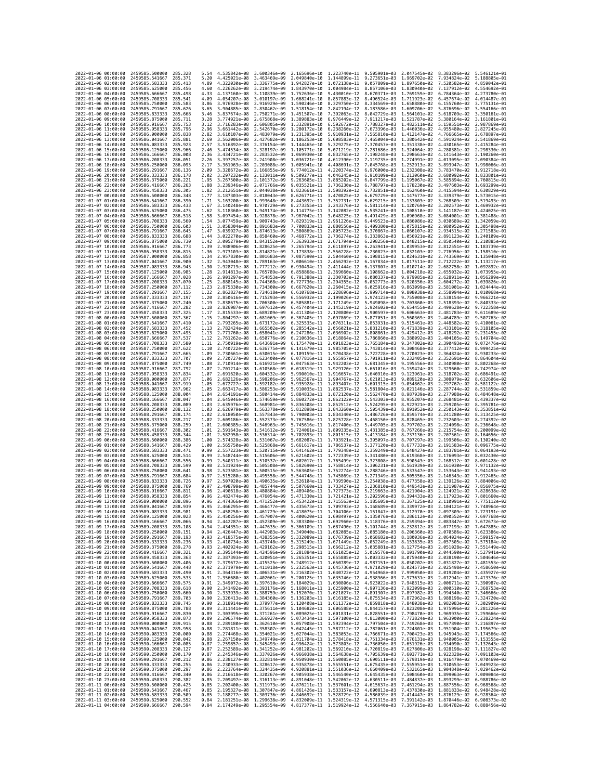|                                            |          |                                          | 285.328             |              |                                                                                                 |                              |                                           |                              |                              | 2.047545e-02                 |                                                                                                                                                                                                                                                                                                                                                                                                                                                                                    | $5.546121e - 0$              |
|--------------------------------------------|----------|------------------------------------------|---------------------|--------------|-------------------------------------------------------------------------------------------------|------------------------------|-------------------------------------------|------------------------------|------------------------------|------------------------------|------------------------------------------------------------------------------------------------------------------------------------------------------------------------------------------------------------------------------------------------------------------------------------------------------------------------------------------------------------------------------------------------------------------------------------------------------------------------------------|------------------------------|
| 2022-01-06 00:00:00<br>2022-01-06 01:00:00 |          | 2459585.500000<br>2459585.541667         | 285.371             | 5.54<br>5.20 | 4.535842e-08<br>4.425021e-08                                                                    | 3.600346e-09<br>3.463469e-09 | 2.165696e-10<br>2.049840e-10              | 1.223740e-11<br>1,144899e-11 | 9.505901e-03<br>9.273651e-03 | 1.969702e-02                 | 8.383296e-02<br>7.934824e-02                                                                                                                                                                                                                                                                                                                                                                                                                                                       | 5.188805e-01                 |
| 2022-01-06 02:00:00                        |          | 2459585.583333                           | 285.413             | 4.89         | 4.322030e-08                                                                                    | 3.336775e-09                 | 1.942827e-10                              | 1.072138e-11                 | 9.057809e-03                 | 1.897650e-02                 | 7.520582e-02                                                                                                                                                                                                                                                                                                                                                                                                                                                                       | 4.859042e-01                 |
| 2022-01-06 03:00:00                        |          | 2459585.625000                           | 285.456             | 4.60         | 4.226262e-08 3.219474e-09                                                                       |                              | 1.843970e-10                              | 1.004984e-11                 | 8.857106e-03                 | 1,830940e-02                 | 7.137912e-02                                                                                                                                                                                                                                                                                                                                                                                                                                                                       | 4.554692e-01                 |
| 2022-01-06 04:00:00<br>2022-01-06 05:00:00 |          | 2459585.666667<br>2459585.708333         | 285.498<br>285.541  | 4.33<br>4.09 | 4.137160e-08 3.110839e-09<br>4.054207e-08                                                       | 3.010197e-09                 | 1.752636e-10<br>1.668241e-10              | 9.430010e-12<br>8.857883e-12 | 8.670371e-03<br>8.496524e-03 | 1.769159e-02<br>1.711923e-02 | 6.784364e-02<br>6.457674e-02                                                                                                                                                                                                                                                                                                                                                                                                                                                       | 4.273780e-01<br>4.014487e-01 |
| 2022-01-06 06:00:00                        |          | 2459585.750000                           | 285.583             | 3.86         | 3.976928e-08                                                                                    | 2.916929e-09                 | 1.590246e-10                              | 8.329750e-12                 | 8.334569e-03                 | 1.658880e-02                 | 6.155760e-02                                                                                                                                                                                                                                                                                                                                                                                                                                                                       | 3.775131e-01                 |
| 2022-01-06 07:00:00                        |          | 2459585.791667                           | 285.626             | 3.65         | 3.904885e-08                                                                                    | 2.830462e-09                 | 1.518154e-10                              | 7.842194e-12                 | 8.183586e-03                 | 1,609706e-02                 | 5.876696e-02                                                                                                                                                                                                                                                                                                                                                                                                                                                                       | 3.554166e-01                 |
| 2022-01-06 08:00:00<br>2022-01-06 09:00:00 |          | 2459585.833333<br>2459585.875000         | 285.668<br>285,711  | 3.46<br>3.28 | 3.837674e-08<br>3.774921e-08                                                                    | 2.750271e-09<br>2.675868e-09 | 1.451507e-10<br>1.389883e-10              | 7.392063e-12<br>6.976449e-12 | 8.042729e-03<br>7.911217e-03 | 1.564101e-02<br>1.521787e-02 | 5.618709e-02<br>5.380164e-02                                                                                                                                                                                                                                                                                                                                                                                                                                                       | 3.350161e-01<br>3.161801e-01 |
| 2022-01-06 10:00:00                        |          | 2459585.916667                           | 285,753             | 3.12         | 3.716283e-08                                                                                    | 2.606805e-09                 | 1.332891e-10                              | 6.592672e-12                 | 7.788327e-03                 | 1.482511e-02                 | 5.159551e-02                                                                                                                                                                                                                                                                                                                                                                                                                                                                       | 2.987869e-01                 |
| 2022-01-06 11:00:00                        |          | 2459585.958333                           | 285,796             | 2.96         | 3.661442e-08                                                                                    | 2.542670e-09                 | 1.280172e-10                              | 6.238260e-12                 | 7.673396e-03                 | 1.446036e-02                 | 4.955480e-02                                                                                                                                                                                                                                                                                                                                                                                                                                                                       | 2.827245e-01                 |
| 2022-01-06 12:00:00                        |          | 2459586,000000                           | 285.838             | 2.82         | 3.610107e-08                                                                                    | 2.483079e-09                 | 1.231395e-10                              | 5.910931e-12                 | 7.565810e-03                 | 1.412147e-02                 | 4.766665e-02                                                                                                                                                                                                                                                                                                                                                                                                                                                                       | 2.678897e-01                 |
| 2022-01-06 13:00:00<br>2022-01-06 14:00:00 |          | 2459586.041667<br>2459586.083333         | 285.881<br>285.923  | 2.69<br>2.57 | 3.562006e-08<br>3.516892e-08                                                                    | 2.427682e-09<br>2.376154e-09 | 1.186253e-10<br>1.144465e-10              | 5.608583e-12<br>5.329275e-12 | 7.465004e-03<br>7.370457e-03 | 1.380642e-02<br>1.351338e-02 | 4.591924e-02<br>4.430165e-02                                                                                                                                                                                                                                                                                                                                                                                                                                                       | 2.541869e-01<br>2.415284e-01 |
| 2022-01-06 15:00:00                        |          | 2459586.125000                           | 285.966             | 2.46         | 3.474534e-08                                                                                    | 2.328197e-09                 | 1.105771e-10                              | 5.071219e-12                 | 7.281686e-03                 | 1.324064e-02                 | 4.280381e-02                                                                                                                                                                                                                                                                                                                                                                                                                                                                       | 2.298330e-01                 |
| 2022-01-06 16:00:00                        |          | 2459586.166667                           | 286.008             | 2.36         | 3.434721e-08                                                                                    | 2.283532e-09                 | 1.069930e-10                              | 4.832765e-12                 | 7.198248e-03                 | 1.298663e-02                 | 4.141643e-02                                                                                                                                                                                                                                                                                                                                                                                                                                                                       | 2.190260e-01                 |
| 2022-01-06 17:00:00<br>2022-01-06 18:00:00 |          | 2459586.208333<br>2459586.250000         | 286.051<br>286,093  | 2.26<br>2.17 | 3.397257e-08                                                                                    | 2.241908e-09<br>2.203088e-09 | 1.036721e-10<br>1.005941e-10              | 4.612390e-12<br>4.408691e-12 | 7.119735e-03                 | 1.274991e-02<br>1.252913e-02 | 4.013095e-02<br>3.893947e-02                                                                                                                                                                                                                                                                                                                                                                                                                                                       | 2.090384e-01<br>1.998066e-01 |
| 2022-01-06 19:00:00                        |          | 2459586.291667                           | 286,136             | 2.09         | 3.361963e-08<br>3.328672e-08                                                                    | 2.166855e-09                 | 9.774012e-11                              | 4.220374e-12                 | 7.045768e-03<br>6.976000e-03 | 1,232308e-02                 | 3.783470e-02                                                                                                                                                                                                                                                                                                                                                                                                                                                                       | 1.912718e-01                 |
| 2022-01-06 20:00:00                        |          | 2459586.333333                           | 286.178             | 2.02         | 3.297232e-08                                                                                    | 2.133011e-09                 | 9.509277e-11                              | 4.046245e-12                 | 6.910109e-03                 | 1.213060e-02                 | 3.680992e-02                                                                                                                                                                                                                                                                                                                                                                                                                                                                       | 1.833801e-01                 |
| 2022-01-06 21:00:00<br>2022-01-06 22:00:00 |          | 2459586.375000                           | 286,221             | 1.95<br>1.88 | 3.267500e-08                                                                                    | 2.101372e-09                 | 9.263605e-11                              | 3.885202e-12                 | 6.847799e-03                 | 1.195067e-02<br>1.178230e-02 | 3.585894e-02<br>3.497603e-02 1.693299e-01                                                                                                                                                                                                                                                                                                                                                                                                                                          | 1.760815e-01                 |
| 2022-01-06 23:00:00                        |          | 2459586.416667<br>2459586.458333         | 286.263<br>286.305  | 1.82         | 3.239346e-08<br>3.212651e-08                                                                    | 2.071766e-09<br>2.044038e-09 | 9.035521e-11<br>8.823661e-11              | 3.736230e-12<br>3.598392e-12 | 6.788797e-03<br>6.732851e-03 | 1.162460e-02                 | 3.415594e-02                                                                                                                                                                                                                                                                                                                                                                                                                                                                       | 1.630829e-01                 |
| 2022-01-07 00:00:00                        |          | 2459586.500000                           | 286,348             | 1.77         | 3.187303e-08                                                                                    | 2.018043e-09                 | 8.626771e-11                              | 3.470825e-12                 | 6.679729e-03                 | 1.147677e-02                 | 3.339379e-02                                                                                                                                                                                                                                                                                                                                                                                                                                                                       | 1.573015e-01                 |
| 2022-01-07 01:00:00                        |          | 2459586.541667                           | 286.390             | 1.71         | 3.163200e-08 1.993648e-09                                                                       |                              | 8.443692e-11                              | 3.352731e-12                 | 6.629215e-03                 | 1.133803e-02                 | 3.268509e-02 1.519493e-01                                                                                                                                                                                                                                                                                                                                                                                                                                                          |                              |
| 2022-01-07 02:00:00<br>2022-01-07 03:00:00 |          | 2459586.583333<br>2459586.625000         | 286.433<br>286.475  | 1.67<br>1.62 | 3.140248e-08 1.970729e-09<br>3.118360e-08                                                       | 1.949174e-09                 | 8.273355e-11<br>8.114775e-11              | 3.243376e-12<br>3.142082e-12 | 6.581114e-03<br>6.535241e-03 | 1,120769e-02<br>1.108510e-02 | 3.202573e-02<br>3.141187e-02                                                                                                                                                                                                                                                                                                                                                                                                                                                       | 1.469932e-01<br>1.424025e-01 |
| 2022-01-07 04:00:00                        |          | 2459586.666667                           | 286.518             | 1.58         | 3.097454e-08                                                                                    | 1.928878e-09                 | 7.967042e-11                              | 3.048225e-12                 | 6.491429e-03                 | 1.096968e-02                 | 3.084001e-02                                                                                                                                                                                                                                                                                                                                                                                                                                                                       | 1.381488e-01                 |
| 2022-01-07 05:00:00                        |          | 2459586.708333                           | 286,560             | 1.54         | 3.077459e-08                                                                                    | 1.909743e-09                 | 7.829319e-11                              | 2.961226e-12                 | 6.449523e-03                 | 1.086086e-02                 | 3.030689e-02 1.342059e-01                                                                                                                                                                                                                                                                                                                                                                                                                                                          |                              |
| 2022-01-07 06:00:00<br>2022-01-07 07:00:00 |          | 2459586.750000<br>2459586.791667         | 286,603<br>286.645  | 1.51<br>1.47 | 3.058304e-08 1.891683e-09<br>3.039927e-08                                                       | 1.874613e-09                 | 7.700833e-11<br>7.580869e-11              | 2.880556e-12<br>2.805723e-12 | 6.409380e-03<br>6.370867e-03 | 1.075815e-02<br>1.066107e-02 | 2.980952e-02 1.305498e-01<br>2.934515e-02                                                                                                                                                                                                                                                                                                                                                                                                                                          | 1.271583e-01                 |
| 2022-01-07 08:00:00                        |          | 2459586.833333                           | 286,688             | 1.44         | 3.022270e-08                                                                                    | 1.858460e-09                 | 7.468772e-11                              | 2.736274e-12                 | 6.333863e-03                 | 1.056921e-02                 | 2.891123e-02                                                                                                                                                                                                                                                                                                                                                                                                                                                                       | 1.240109e-01                 |
| 2022-01-07 09:00:00                        |          | 2459586.875000                           | 286.730             | 1.42         | 3.005279e-08 1.843152e-09                                                                       |                              | 7.363933e-11                              | 2.671794e-12                 | 6.298256e-03                 | 1.048215e-02                 | 2.850540e-02 1.210885e-01                                                                                                                                                                                                                                                                                                                                                                                                                                                          |                              |
| 2022-01-07 10:00:00                        |          | 2459586.916667                           | 286.773             | 1.39         | 2.988906e-08                                                                                    | 1.828625e-09                 | 7.265794e-11                              | 2.611897e-12                 | 6.263941e-03                 | 1.039953e-02                 | 2.812551e-02                                                                                                                                                                                                                                                                                                                                                                                                                                                                       | 1.183739e-01                 |
| 2022-01-07 11:00:00<br>2022-01-07 12:00:00 |          | 2459586.958333<br>2459587.000000         | 286.815<br>286.858  | 1.36<br>1.34 | 2.973103e-08<br>2.957830e-08                                                                    | 1.814821e-09<br>1.801683e-09 | 7.173838e-11<br>7.087590e-11              | 2.556228e-12<br>2.504460e-12 | 6.230823e-03<br>6.198815e-03 | 1.032103e-02<br>1.024631e-02 | 2.776956e-02<br>2.743569e-02                                                                                                                                                                                                                                                                                                                                                                                                                                                       | 1.158510e-01<br>1.135048e-01 |
| 2022-01-07 13:00:00                        |          | 2459587.041667                           | 286,900             | 1.32         | 2.943048e-08                                                                                    | 1.789163e-09                 | 7.006610e-11                              | 2.456292e-12                 | 6.167834e-03                 | 1.017511e-02                 | 2.712222e-02                                                                                                                                                                                                                                                                                                                                                                                                                                                                       | 1.113217e-01                 |
| 2022-01-07 14:00:00                        |          | 2459587.083333                           | 286.943             | 1.30         | 2.928719e-08                                                                                    | 1.777212e-09                 | 6.930494e-11                              | 2.411444e-12                 | 6.137807e-03                 | 1.010714e-02<br>1.004218e-02 | 2.682758e-02                                                                                                                                                                                                                                                                                                                                                                                                                                                                       | 1.092892e-01                 |
| 2022-01-07 15:00:00<br>2022-01-07 16:00:00 |          | 2459587.125000<br>2459587.166667         | 286,985<br>287.028  | 1.28<br>1.26 | 2.914813e-08<br>2.901297e-08                                                                    | 1.765789e-09<br>1.754853e-09 | 6.858868e-11<br>6.791388e-11              | 2.369660e-12<br>2.330703e-12 | 6.108662e-03<br>6.080337e-03 | 9.979985e-03                 | 2.655032e-02<br>2.628911e-02                                                                                                                                                                                                                                                                                                                                                                                                                                                       | 1.073955e-01<br>1.056299e-01 |
| 2022-01-07 17:00:00                        |          | 2459587.208333                           | 287.070             | 1.25         | 2.888145e-08                                                                                    | 1.744368e-09                 | 6.727736e-11                              | 2.294355e-12                 | 6.052773e-03                 | 9.920356e-03                 | 2.604272e-02                                                                                                                                                                                                                                                                                                                                                                                                                                                                       | 1.039826e-01                 |
| 2022-01-07 18:00:00                        |          | 2459587.250000                           | 287.112             | 1.23         | 2.875330e-08                                                                                    | 1.734300e-09                 | 6.667620e-11                              | 2.260415e-12                 | 6.025916e-03                 | 9.863099e-03                 | 2.581001e-02                                                                                                                                                                                                                                                                                                                                                                                                                                                                       | 1.024444e-01                 |
| 2022-01-07 19:00:00<br>2022-01-07 20:00:00 |          | 2459587.291667<br>2459587.333333         | 287.155<br>287, 197 | 1.22<br>1.20 | 2.862827e-08 1.724618e-09<br>2.850616e-08 1.715293e-09                                          |                              | 6.610768e-11<br>6.556932e-11              | 2.228696e-12<br>2.199026e-12 | 5.999714e-03<br>5.974123e-03 | 9.808038e-03<br>9.755008e-03 | 2.558994e-02<br>2.538154e-02                                                                                                                                                                                                                                                                                                                                                                                                                                                       | 1.010068e-01<br>9.966221e-02 |
| 2022-01-07 21:00:00                        |          | 2459587.375000                           | 287.240             | 1.19         | 2.838675e-08 1.706300e-09                                                                       |                              | 6.505881e-11                              | 2.171249e-12                 | 5.949098e-03                 | 9.703860e-03                 | 2.518393e-02                                                                                                                                                                                                                                                                                                                                                                                                                                                                       | 9.840333e-02                 |
| 2022-01-07 22:00:00                        |          | 2459587.416667                           | 287,282             | 1.18         | 2.826987e-08                                                                                    | 1.697612e-09                 | 6.457404e-11                              | 2.145219e-12                 | 5.924602e-03                 | 9.654455e-03                 | 2.499628e-02                                                                                                                                                                                                                                                                                                                                                                                                                                                                       | 9.722358e-02                 |
| 2022-01-07 23:00:00<br>2022-01-08 00:00:00 |          | 2459587.458333<br>2459587.500000         | 287,325<br>287, 367 | 1.17         | 2.815533e-08<br>2.804297e-08 1.681069e-09                                                       | 1.689209e-09                 | 6.411306e-11<br>6.367405e-11              | 2.120800e-12<br>2.097869e-12 | 5.900597e-03<br>5.877051e-03 | 9.606663e-03<br>9.560369e-03 | 2.481783e-02<br>2.464789e-02                                                                                                                                                                                                                                                                                                                                                                                                                                                       | 9.611689e-02<br>9.507763e-02 |
| 2022-01-08 01:00:00                        |          | 2459587.541667                           | 287.410             | 1.15<br>1.14 | 2.793265e-08                                                                                    | 1.673172e-09                 | 6.325535e-11                              | 2.076311e-12                 | 5.853931e-03                 | 9.515461e-03                 | 2.448582e-02                                                                                                                                                                                                                                                                                                                                                                                                                                                                       | 9.410061e-02                 |
| 2022-01-08 02:00:00                        |          | 2459587.583333                           | 287.452             | 1.13         | 2.782424e-08                                                                                    | 1,665502e-09                 | 6.285542e-11                              | 2.056021e-12                 | 5.831210e-03                 | 9.471839e-03                 | 2.433101e-02                                                                                                                                                                                                                                                                                                                                                                                                                                                                       | 9.318105e-02                 |
| 2022-01-08 03:00:00                        |          | 2459587.625000                           | 287.495             | 1.13         | 2.771760e-08                                                                                    | 1.658041e-09                 | 6.247286e-11                              | 2.036902e-12                 | 5.808861e-03                 | 9.429412e-03                 | 2.418292e-02                                                                                                                                                                                                                                                                                                                                                                                                                                                                       | 9.231455e-02                 |
| 2022-01-08 04:00:00<br>2022-01-08 05:00:00 |          | 2459587.666667<br>2459587.708333         | 287.537<br>287,580  | 1.12<br>1.11 | 2.761262e-08<br>2.750919e-08                                                                    | 1.650776e-09<br>1.643691e-09 | 6.210636e-11<br>6.175470e-11              | 2.018864e-12<br>2.001823e-12 | 5.786860e-03<br>5.765184e-03 | 9.388092e-03<br>9.347802e-03 | 2.404105e-02<br>2.390493e-02                                                                                                                                                                                                                                                                                                                                                                                                                                                       | 9.149704e-02<br>9.072476e-02 |
| 2022-01-08 06:00:00                        |          | 2459587.750000                           | 287.622             | 1.10         | 2.740722e-08 1.636775e-09                                                                       |                              | 6.141679e-11                              | 1.985705e-12                 | 5.743814e-03                 | 9.308468e-03                 | 2.377412e-02                                                                                                                                                                                                                                                                                                                                                                                                                                                                       | 8.999425e-02                 |
| 2022-01-08 07:00:00                        |          | 2459587.791667                           | 287.665             | 1.09         | 2.730661e-08 1.630015e-09                                                                       |                              | 6.109159e-11                              | 1.970438e-12                 | 5.722728e-03                 | 9.270023e-03                 | 2.364824e-02                                                                                                                                                                                                                                                                                                                                                                                                                                                                       | 8.930233e-02                 |
| 2022-01-08 08:00:00<br>2022-01-08 09:00:00 |          | 2459587.833333<br>2459587.875000         | 287.707<br>287,749  | 1.09<br>1.08 | 2.720727e-08<br>2.710914e-08                                                                    | 1.623400e-09<br>1.616921e-09 | 6.077816e-11<br>6.047563e-11              | 1.955957e-12<br>1.942203e-12 | 5.701911e-03<br>5.681345e-03 | 9.232405e-03<br>9.195556e-03 | 2.352691e-02<br>2.340980e-02                                                                                                                                                                                                                                                                                                                                                                                                                                                       | 8.864604e-02<br>8.802268e-02 |
| 2022-01-08 10:00:00                        |          | 2459587.916667                           | 287,792             | 1.07         | 2.701214e-08                                                                                    | 1.610568e-09                 | 6.018319e-11                              | 1.929120e-12                 | 5.661016e-03                 | 9.159424e-03                 | 2.329660e-02                                                                                                                                                                                                                                                                                                                                                                                                                                                                       | 8.742974e-02                 |
| 2022-01-08 11:00:00                        |          | 2459587.958333                           | 287,834             | 1.07         | 2.691620e-08 1.604332e-09                                                                       |                              | 5.990010e-11                              | 1.916657e-12                 | 5.640910e-03                 | 9.123961e-03                 | 2.318702e-02                                                                                                                                                                                                                                                                                                                                                                                                                                                                       | 8.686491e-02                 |
| 2022-01-08 12:00:00                        |          | 2459588,000000                           | 287,877<br>287.919  | 1.06         | 2.682126e-08                                                                                    | 1.598206e-09                 | 5.962567e-11                              | 1.904767e-12                 | 5.621013e-03                 | 9.089120e-03                 | 2.308079e-02                                                                                                                                                                                                                                                                                                                                                                                                                                                                       | 8.632606e-02<br>8.581122e-02 |
| 2022-01-08 13:00:00<br>2022-01-08 14:00:00 |          | 2459588.041667<br>2459588.083333         | 287,962             | 1.05<br>1.05 | 2.672727e-08 1.592182e-09<br>2.663417e-08                                                       | 1.586253e-09                 | 5.935928e-11 1.893407e-12<br>5.910035e-11 | 1.882537e-12                 | 5.601315e-03<br>5.581804e-03 | 9.054862e-03<br>9.021146e-03 | 2.297767e-02<br>2.287744e-02                                                                                                                                                                                                                                                                                                                                                                                                                                                       | 8.531859e-02                 |
| 2022-01-08 15:00:00                        |          | 2459588.125000                           | 288.004             | 1.04         | 2.654191e-08                                                                                    | 1.580414e-09                 | 5.884833e-11                              | 1.872120e-12                 | 5.562470e-03                 | 8.987939e-03                 | 2.277988e-02                                                                                                                                                                                                                                                                                                                                                                                                                                                                       | 8.484648e-02                 |
| 2022-01-08 16:00:00                        |          | 2459588.166667                           | 288.047             | 1.04         | 2.645046e-08                                                                                    | 1.574659e-09                 | 5.860272e-11                              | 1.862122e-12                 | 5.543303e-03                 | 8.955207e-03                 | 2.268481e-02                                                                                                                                                                                                                                                                                                                                                                                                                                                                       | 8.439337e-02                 |
| 2022-01-08 17:00:00<br>2022-01-08 18:00:00 |          | 2459588.208333<br>2459588.250000         | 288.089<br>288, 132 | 1.03<br>1.03 | 2.635976e-08 1.568981e-09<br>2.626979e-08 1.563378e-09                                          |                              | 5.836308e-11 1.852512e-12<br>5.812898e-11 | 1.843260e-12                 | 5.524295e-03<br>5.505439e-03 | 8.922921e-03<br>8.891052e-03 | 2.259205e-02<br>2.250143e-02                                                                                                                                                                                                                                                                                                                                                                                                                                                       | 8.395781e-02<br>8.353851e-02 |
| 2022-01-08 19:00:00                        |          | 2459588.291667                           | 288.174             | 1.02         | 2.618050e-08                                                                                    | 1.557843e-09                 | 5.790003e-11                              | 1.834340e-12                 | 5.486726e-03                 | 8.859574e-03                 | 2.241280e-02                                                                                                                                                                                                                                                                                                                                                                                                                                                                       | 8.313425e-02                 |
| 2022-01-08 20:00:00                        |          | 2459588.333333                           | 288.217             | 1.02         | 2.609186e-08                                                                                    | 1.552373e-09                 | 5.767586e-11                              | 1.825728e-12                 | 5.468150e-03                 | 8.828465e-03                 | 2.232603e-02                                                                                                                                                                                                                                                                                                                                                                                                                                                                       | 8.274392e-02                 |
| 2022-01-08 21:00:00<br>2022-01-08 22:00:00 |          | 2459588.375000<br>2459588.416667         | 288.259<br>288,302  | 1.01<br>1.01 | 2.600385e-08<br>2.591643e-08 1.541612e-09                                                       | 1.546963e-09                 | 5.745616e-11<br>5.724061e-11 1.809335e-12 | 1.817400e-12                 | 5.449705e-03<br>5.431385e-03 | 8.797702e-03<br>8.767266e-03 | 2.224098e-02<br>2.215754e-02                                                                                                                                                                                                                                                                                                                                                                                                                                                       | 8.236648e-02<br>8.200099e-02 |
| 2022-01-08 23:00:00                        |          | 2459588.458333                           | 288, 344            | 1.01         | 2.582958e-08                                                                                    | 1.536314e-09                 | 5.702893e-11                              | 1.801515e-12                 | 5.413184e-03                 | 8.737136e-03                 | 2.207561e-02                                                                                                                                                                                                                                                                                                                                                                                                                                                                       | 8.164656e-02                 |
| 2022-01-09 00:00:00                        |          | 2459588.500000                           | 288,386             | 1.00         | 2.574328e-08                                                                                    | 1.531067e-09                 | 5.682087e-11                              | 1.793921e-12                 | 5.395097e-03                 | 8.707297e-03                 | 2.199506e-02                                                                                                                                                                                                                                                                                                                                                                                                                                                                       | 8.130240e-02                 |
| 2022-01-09 01:00:00<br>2022-01-09 02:00:00 |          | 2459588.541667                           | 288.429             | 1.00         | 2.565750e-08<br>2.557223e-08                                                                    | 1.525868e-09                 | 5.661617e-11                              | 1.786537e-12                 | 5.377120e-03                 | 8.677733e-03<br>8.648427e-03 | 2.191583e-02                                                                                                                                                                                                                                                                                                                                                                                                                                                                       | 8.096775e-02                 |
| 2022-01-09 03:00:00                        |          | 2459588.583333<br>2459588.625000         | 288.471<br>288.514  | 0.99<br>0.99 | 2.548744e-08                                                                                    | 1.520715e-09<br>1.515606e-09 | 5.641462e-11<br>5.621602e-11              | 1.779348e-12<br>1.772339e-12 | 5.359249e-03<br>5.341480e-03 | 8.619368e-03                 | 2.183781e-02<br>2.176093e-02                                                                                                                                                                                                                                                                                                                                                                                                                                                       | 8.064193e-02<br>8.032430e-02 |
| 2022-01-09 04:00:00                        |          | 2459588.666667                           | 288.556             | 0.99         | 2.540311e-08 1.510537e-09                                                                       |                              | 5.602017e-11                              | 1.765499e-12                 | 5.323808e-03                 | 8.590543e-03                 | 2.168512e-02                                                                                                                                                                                                                                                                                                                                                                                                                                                                       | 8.001428e-02                 |
| 2022-01-09 05:00:00<br>2022-01-09 06:00:00 |          | 2459588.708333                           | 288.599             |              |                                                                                                 |                              |                                           |                              |                              |                              |                                                                                                                                                                                                                                                                                                                                                                                                                                                                                    |                              |
| 2022-01-09 07:00:00                        |          |                                          |                     | 0.98         | 2.531924e-08                                                                                    | 1.505508e-09                 | 5.582690e-11                              | 1,758814e-12                 | 5.306231e-03                 | 8.561939e-03                 | 2.161030e-02                                                                                                                                                                                                                                                                                                                                                                                                                                                                       | 7.971132e-02                 |
| 2022-01-09 08:00:00                        |          | 2459588.750000                           | 288.641<br>288.684  | 0.98         | 2.523581e-08                                                                                    | 1.500515e-09                 | 5.563605e-11                              | 1.752274e-12                 | 5.288746e-03                 | 8.533547e-03                 | 2.153643e-02                                                                                                                                                                                                                                                                                                                                                                                                                                                                       | 7.941493e-02                 |
| 2022-01-09 09:00:00                        |          | 2459588.791667<br>2459588.833333         | 288,726             | 0.97<br>0.97 | 2.515280e-08<br>2.507020e-08                                                                    | 1.495558e-09<br>1.490635e-09 | 5.544748e-11<br>5.526104e-11              | 1,745869e-12<br>1.739590e-12 | 5.271349e-03<br>5.254038e-03 | 8.505356e-03<br>8.477358e-03 | 2.146343e-02<br>2.139126e-02                                                                                                                                                                                                                                                                                                                                                                                                                                                       | 7.912465e-02<br>7.884006e-02 |
|                                            |          | 2459588.875000                           | 288,769             | 0.97         | 2.498799e-08                                                                                    | 1.485744e-09                 | 5.507660e-11                              | 1.733427e-12                 | 5.236810e-03                 | 8.449543e-03                 | 2.131987e-02                                                                                                                                                                                                                                                                                                                                                                                                                                                                       | 7.856075e-02                 |
| 2022-01-09 10:00:00                        |          | 2459588.916667                           | 288.811             | 0.96         | 2.490618e-08                                                                                    | 1.480884e-09                 | 5.489406e-11                              | 1.727373e-12                 | 5.219663e-03                 | 8.421904e-03                 | 2.124921e-02                                                                                                                                                                                                                                                                                                                                                                                                                                                                       | 7.828638e-02                 |
| 2022-01-09 11:00:00<br>2022-01-09 12:00:00 |          | 2459588.958333<br>2459589.000000         | 288.854<br>288.896  | 0.96<br>0.96 | 2.482474e-08<br>2.474366e-08 1.471252e-09                                                       | 1.476054e-09                 | 5.471330e-11                              | 1.721421e-12                 |                              | 5.202596e-03 8.394433e-03    | 2.117923e-02<br>5.453422e-11 1.715563e-12 5.185605e-03 8.367125e-03 2.110991e-02 7.775112e-02                                                                                                                                                                                                                                                                                                                                                                                      | 7.801660e-02                 |
| 2022-01-09 13:00:00                        |          | 2459589.041667                           | 288.939             | 0.95         |                                                                                                 |                              |                                           |                              |                              |                              | 2.466295e-08 1.466477e-09 5.435673e-11 1.709793e-12 5.168689e-03 8.339972e-03 2.104121e-02 7.748964e-02                                                                                                                                                                                                                                                                                                                                                                            |                              |
| 2022<br>-01-09<br>2022-01-09 15:00:00      | 14:00:00 | 2459589.083333<br>2459589.125000 289.023 | 288.981             | 0.95         | 2.458258e-08                                                                                    | 1.461729e-09                 | 5.418075e-11                              | 1.704106e-12                 | 5.151847e-03                 | 8.312970e-03                 | 2.097309e-02<br>2.450256e-08 1.457007e-09 5.400620e-11 1.698497e-12 5.135076e-03 8.286112e-03 2.090552e-02 7.697768e-02                                                                                                                                                                                                                                                                                                                                                            |                              |
| 2022-01-09 16:00:00                        |          | 2459589.166667                           | 289,066             | 0.94         |                                                                                                 |                              |                                           |                              |                              |                              | 2.442287e-08 1.452309e-09 5.383300e-11 1.692960e-12 5.118376e-03 8.259394e-03 2.083847e-02 7.672673e-02                                                                                                                                                                                                                                                                                                                                                                            |                              |
| 2022-01-09 17:00:00                        |          | 2459589.208333                           | 289,108             | 0.94         |                                                                                                 |                              |                                           |                              |                              |                              | 2.434351e-08 1.447635e-09 5.366109e-11 1.687490e-12 5.101744e-03 8.232812e-03 2.077193e-02 7.647885e-02                                                                                                                                                                                                                                                                                                                                                                            |                              |
| 2022-01-09 18:00:00                        |          | 2459589.250000                           | 289.151<br>289, 193 | 0.93         |                                                                                                 |                              |                                           |                              |                              |                              | 0.94 2.426447e-08 1.442983e-09 5.349040e-11 1.682085e-12 5.085180e-03 8.206360e-03 2.070586e-02 7.623386e-02                                                                                                                                                                                                                                                                                                                                                                       |                              |
| 2022-01-09 19:00:00<br>2022-01-09 20:00:00 |          | 2459589.291667<br>2459589.333333         | 289.236             | 0.93         |                                                                                                 |                              |                                           |                              |                              |                              | 2.418575e-08 1.438355e-09 5.332089e-11 1.676739e-12 5.068682e-03 8.180036e-03 2.064024e-02 7.599157e-02                                                                                                                                                                                                                                                                                                                                                                            |                              |
| 2022-01-09 21:00:00                        |          | 2459589.375000                           | 289.278             | 0.93         |                                                                                                 |                              |                                           |                              |                              |                              | $2.410734e-08 \quad 1.433748e-09 \quad 5.315249e-11 \quad 1.671449e-12 \quad 5.052249e-03 \quad 8.153835e-03 \quad 2.057505e-02 \quad 7.575184e-02 \quad 2.402924e-08 \quad 1.429162e-09 \quad 5.298515e-11 \quad 1.666212e-12 \quad 5.035881e-03 \quad 8.127754e-03 \quad 2.051028e-$                                                                                                                                                                                             |                              |
| 2022-01-09 22:00:00<br>2022-01-09 23:00:00 |          | 2459589.416667                           | 289.321             | 0.93         |                                                                                                 |                              |                                           |                              |                              |                              | 2.395144e-08 1.424596e-09 5.281884e-11 1.661025e-12 5.019576e-03 8.101790e-03 2.044590e-02 7.527941e-02                                                                                                                                                                                                                                                                                                                                                                            |                              |
| 2022-01-10 00:00:00                        |          | 2459589.458333<br>2459589.500000         | 289.363<br>289.406  | 0.92<br>0.92 |                                                                                                 |                              |                                           |                              |                              |                              | 2.387393e-08 1.420051e-09 5.265351e-11 1.655885e-12 5.003332e-03 8.075940e-03 2.038190e-02 7.504646e-02                                                                                                                                                                                                                                                                                                                                                                            |                              |
| 2022-01-10 01:00:00                        |          | 2459589.541667                           | 289.448             | 0.92         |                                                                                                 |                              |                                           |                              |                              |                              | 2.379672e-08 1.415525e-09 5.248912e-11 1.650789e-12 4.987151e-03 8.050202e-03 2.031827e-02 7.481553e-02<br>2.371979e-08 1.411018e-09 5.232563e-11 1.645736e-12 4.971029e-03 8.024573e-03 2.025498e-02 7.458650e-02                                                                                                                                                                                                                                                                 |                              |
| 2022-01-10 02:00:00                        |          | 2459589.583333                           | 289.490<br>289.533  |              |                                                                                                 |                              |                                           |                              |                              |                              | 0.91 2.364316e-08 1.406531e-09 5.216302e-11 1.640722e-12 4.954968e-03 7.999050e-03 2.019204e-02 7.435927e-02                                                                                                                                                                                                                                                                                                                                                                       |                              |
| 2022-01-10 03:00:00<br>2022-01-10 04:00:00 |          | 2459589.625000<br>2459589.666667         | 289.575             |              |                                                                                                 |                              |                                           |                              |                              |                              | 0.91 2.356680e-08 1.402061e-09 5.200125e-11 1.635746e-12 4.938966e-03 7.973631e-03 2.012941e-02 7.413376e-02<br>0.91 2.349072e-08 1.397610e-09 5.184029e-11 1.630806e-12 4.923022e-03 7.948315e-03 2.006711e-02 7.390987e-02                                                                                                                                                                                                                                                       |                              |
| 2022-01-10 05:00:00                        |          | 2459589.708333                           | 289.618             |              |                                                                                                 |                              |                                           |                              |                              |                              | 0.90 2.341492e-08 1.393176e-09 5.168011e-11 1.625900e-12 4.907136e-03 7.923099e-03 2.000510e-02 7.368753e-02                                                                                                                                                                                                                                                                                                                                                                       |                              |
| 2022-01-10 06:00:00<br>2022-01-10 07:00:00 |          | 2459589.750000                           | 289.660<br>289.703  | 0.90         |                                                                                                 |                              |                                           |                              |                              |                              | 2.333939e-08 1.388759e-09 5.152070e-11 1.621027e-12 4.891307e-03 7.897982e-03 1.994340e-02 7.346666e-02                                                                                                                                                                                                                                                                                                                                                                            |                              |
| 2022-01-10 08:00:00                        |          | 2459589.791667<br>2459589.833333         | 289.745             |              |                                                                                                 |                              |                                           |                              |                              |                              | 0.90 2.326413e-08 1.384360e-09 5.136203e-11 1.616185e-12 4.875534e-03 7.872962e-03 1.988198e-02 7.324720e-02<br>0.90 2.318914e-08 1.379977e-09 5.120408e-11 1.611372e-12 4.859818e-03 7.848038e-03 1.982083e-02 7.302909e-02                                                                                                                                                                                                                                                       |                              |
| 2022-01-10 09:00:00                        |          | 2459589.875000                           | 289.788             |              |                                                                                                 |                              |                                           |                              |                              |                              | 0.89 2.311441e-08 1.375611e-09 5.104682e-11 1.606588e-12 4.844157e-03 7.823208e-03 1.975996e-02 7.281226e-02                                                                                                                                                                                                                                                                                                                                                                       |                              |
| 2022-01-10 10:00:00                        |          | 2459589.916667                           | 289.830             |              |                                                                                                 |                              |                                           |                              |                              |                              | 0.89 2.303995e-08 1.371261e-09 5.089025e-11 1.601831e-12 4.828551e-03 7.798470e-03 1.969935e-02 7.259666e-02                                                                                                                                                                                                                                                                                                                                                                       |                              |
| 2022-01-10 11:00:00<br>2022-01-10 12:00:00 |          | 2459589.958333<br>2459590.000000         | 289.873<br>289.915  | 0.89<br>0.88 |                                                                                                 |                              |                                           |                              |                              |                              |                                                                                                                                                                                                                                                                                                                                                                                                                                                                                    |                              |
| 2022-01-10 13:00:00                        |          | 2459590.041667                           | 289.958             |              |                                                                                                 |                              |                                           |                              |                              |                              | $2.296574e- \color{red}{08}\quad 1.366927e- \color{red}{09}\quad 5.073434e- \color{red}{11}\quad 1.597100e- \color{red}{12}\quad 4.813000e- \color{red}{03}\quad 7.773824e- \color{red}{03}\quad 1.963900e- \color{red}{02}\quad 7.238224e- \color{red}{02}\quad 2.289180e- \color{red}{08}\quad 7.38224e- \color{red}{09}\quad 2.289180e- \color{red}{08}\quad 7$<br>0.88 2.281811e-08 1.358307e-09 5.042445e-11 1.587712e-12 4.782061e-03 7.724801e-03 1.951904e-02 7.195679e-02 |                              |
| 2022-01-10 14:00:00                        |          | 2459590.083333                           | 290.000             |              |                                                                                                 |                              |                                           |                              |                              |                              | 0.88 2.274468e-08 1.354021e-09 5.027044e-11 1.583053e-12 4.766671e-03 7.700423e-03 1.945943e-02 7.174566e-02                                                                                                                                                                                                                                                                                                                                                                       |                              |
| 2022-01-10 15:00:00<br>2022-01-10 16:00:00 |          | 2459590.125000                           | 290.042<br>290.085  | 0.88         |                                                                                                 |                              |                                           |                              |                              |                              | 2.267150e-08 1.349749e-09 5.011704e-11 1.578418e-12 4.751334e-03 7.676131e-03 1.940005e-02 7.153555e-02                                                                                                                                                                                                                                                                                                                                                                            |                              |
| 2022-01-10 17:00:00                        |          | 2459590.166667<br>2459590.208333 290.127 |                     |              |                                                                                                 |                              |                                           |                              |                              |                              | 0.87 2.259857e-08 1.345493e-09 4.996424e-11 1.573803e-12 4.736050e-03 7.651926e-03 1.934090e-02 7.132643e-02<br>0.87 2.252589e-08 1.341252e-09 4.981202e-11 1.569210e-12 4.720819e-03 7.627806e-03 1.928198e-02 7.111827e-02                                                                                                                                                                                                                                                       |                              |
| 2022-01-10 18:00:00                        |          | 2459590.250000                           | 290.170             |              |                                                                                                 |                              |                                           |                              |                              |                              |                                                                                                                                                                                                                                                                                                                                                                                                                                                                                    |                              |
| 2022-01-10 19:00:00                        |          | 2459590.291667                           | 290.212             |              |                                                                                                 |                              |                                           |                              |                              |                              | 0.87 2.245346e-08 1.337026e-09 4.966038e-11 1.564638e-12 4.705639e-03 7.603771e-03 1.922328e-02 7.091103e-02<br>0.86 2.238127e-08 1.332814e-09 4.950930e-11 1.560085e-12 4.690511e-03 7.579819e-03 1.916479e-02 7.070469e-02                                                                                                                                                                                                                                                       |                              |
| 2022-01-10 20:00:00<br>2022-01-10 21:00:00 |          | 2459590.333333<br>2459590.375000         | 290.255<br>290.297  |              |                                                                                                 |                              |                                           |                              |                              |                              | 0.86 2.230933e-08 1.328617e-09 4.935878e-11 1.555551e-12 4.675435e-03 7.555951e-03 1.910653e-02 7.049923e-02<br>0.86 2.223764e-08 1.324435e-09 4.920881e-11 1.551036e-12 4.660409e-03 7.532165e-03 1.904848e-02 7.029462e-02                                                                                                                                                                                                                                                       |                              |
| 2022-01-10 22:00:00                        |          | 2459590.416667                           | 290.340             |              | 0.86 2.216618e-08 1.320267e-09 4.905938e-11 1.546540e-12 4.645435e-03 7.508460e-03 1.899063e-02 |                              |                                           |                              |                              |                              |                                                                                                                                                                                                                                                                                                                                                                                                                                                                                    | 7.009084e-02                 |
| 2022-01-10 23:00:00                        |          | 2459590.458333                           | 290.382             |              |                                                                                                 |                              |                                           |                              |                              |                              | 0.85 2.209497e-08 1.316113e-09 4.891048e-11 1.542062e-12 4.630511e-03 7.484837e-03 1.893299e-02 6.988786e-02                                                                                                                                                                                                                                                                                                                                                                       |                              |
| 2022-01-11 00:00:00<br>2022-01-11 01:00:00 |          | 2459590.500000 290.425<br>2459590.541667 | 290.467             |              |                                                                                                 |                              |                                           |                              |                              |                              | 0.85 2.202400e-08 1.311973e-09 4.876211e-11 1.537601e-12 4.615637e-03 7.461294e-03 1.887556e-02 6.968568e-02<br>0.85 2.195327e-08 1.307847e-09 4.861426e-11 1.533157e-12 4.600813e-03 7.437830e-03 1.881833e-02 6.948428e-02                                                                                                                                                                                                                                                       |                              |
| 2022-01-11 02:00:00<br>2022-01-11 03:00:00 |          | 2459590.583333<br>2459590.625000         | 290.509<br>290.552  |              |                                                                                                 |                              |                                           |                              |                              |                              | 0.85 2.188277e-08 1.303736e-09 4.846692e-11 1.528729e-12 4.586039e-03 7.414447e-03 1.876129e-02 6.928364e-02<br>0.84 2.181251e-08 1.299638e-09 4.832009e-11 1.524319e-12 4.571315e-03 7.391142e-03 1.870446e-02 6.908373e-02                                                                                                                                                                                                                                                       |                              |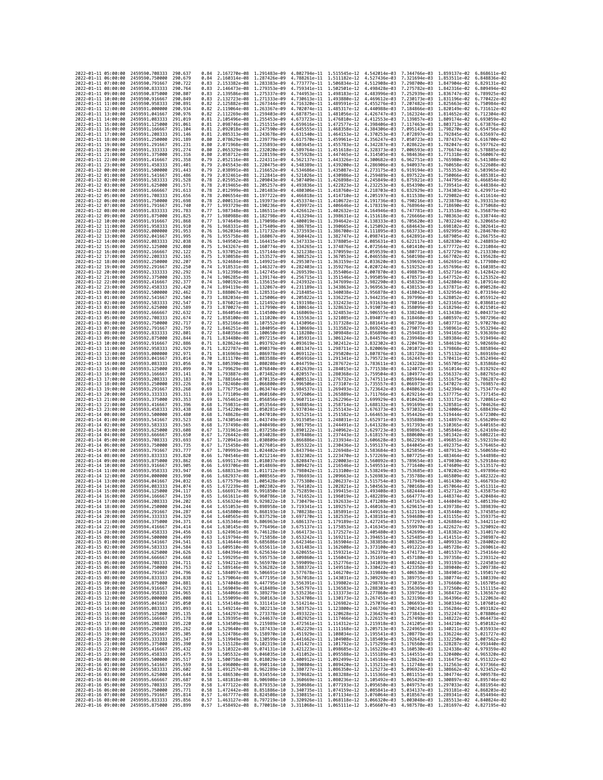| 2022-01-11 05:00:00                        |                                            | 2459590.708333                                   | 290.637             | 0.84         | 2.167270e-08 1.291483e-09                              |                              | 4.802794e-11 1.515545e-12                                                                                                                                                                                                                                                                                                                            |                                           | 4.542014e-03                 | 7.344766e-03 1.859137e-02    |                                                        | 6.868611e-02                 |
|--------------------------------------------|--------------------------------------------|--------------------------------------------------|---------------------|--------------|--------------------------------------------------------|------------------------------|------------------------------------------------------------------------------------------------------------------------------------------------------------------------------------------------------------------------------------------------------------------------------------------------------------------------------------------------------|-------------------------------------------|------------------------------|------------------------------|--------------------------------------------------------|------------------------------|
| 2022-01-11 06:00:00                        |                                            | 2459590.750000                                   | 290.679             | 0.84         | 2.160314e-08 1.287426e-09                              |                              | 4.788261e-11 1.511182e-12                                                                                                                                                                                                                                                                                                                            |                                           | 4.527436e-03                 | 7.321694e-03                 | 1.853511e-02                                           | 6.848836e-02                 |
| 2022-01-11 07:00:00                        |                                            | 2459590.791667                                   | 290.722             | 0.83         | 2.153382e-08 1.283383e-09                              |                              | 4.773777e-11                                                                                                                                                                                                                                                                                                                                         | 1.506834e-12                              | 4.512908e-03                 | 7.298700e-03                 | 1.847904e-02                                           | 6.829131e-02                 |
| 2022-01-11 08:00:00<br>2022-01-11 09:00:00 |                                            | 2459590.833333<br>2459590.875000                 | 290.764<br>290.807  | 0.83<br>0.83 | 2.146473e-08 1.279353e-09<br>2.139586e-08 1.275337e-09 |                              | 4.759341e-11 1.502501e-12<br>4.744953e-11 1.498183e-12                                                                                                                                                                                                                                                                                               |                                           | 4.498428e-03<br>4.483996e-03 | 7.275782e-03<br>7.252939e-03 | 1.842316e-02 6.809494e-02<br>1.836747e-02 6.789925e-02 |                              |
| 2022-01-11 10:00:00                        |                                            | 2459590.916667                                   | 290.849             | 0.83         | 2.132723e-08 1.271333e-09                              |                              | 4.730613e-11                                                                                                                                                                                                                                                                                                                                         | 1.493880e-12                              | 4.469612e-03                 | 7.230173e-03                 | 1.831196e-02                                           | 6.770422e-02                 |
| 2022-01-11 11:00:00                        |                                            | 2459590.958333                                   | 290.891             | 0.82         | 2.125882e-08                                           | 1.267344e-09                 | 4.716320e-11                                                                                                                                                                                                                                                                                                                                         | 1.489591e-12                              | 4.455276e-03                 | 7.207482e-03                 | 1.825663e-02                                           | 6.750984e-02                 |
| 2022-01-11 12:00:00                        |                                            | 2459591.000000                                   | 290.934             | 0.82         | 2.119064e-08                                           | 1.263367e-09                 | 4.702074e-11                                                                                                                                                                                                                                                                                                                                         | 1.485317e-12                              | 4.440988e-03                 | 7.184866e-03                 | 1,820149e-02                                           | 6.731612e-02                 |
| 2022-01-11 13:00:00<br>2022-01-11 14:00:00 |                                            | 2459591.041667<br>2459591.083333                 | 290.976<br>291.019  | 0.82<br>0.81 | 2.112269e-08 1.259403e-09<br>2.105496e-08              | 1.255453e-09                 | 4.687875e-11<br>4.673723e-11                                                                                                                                                                                                                                                                                                                         | 1.481056e-12<br>1.476810e-12              | 4.426747e-03<br>4.412553e-03 | 7.162324e-03<br>7.139857e-03 | 1.814652e-02<br>1.809174e-02                           | 6.712304e-02<br>6.693059e-02 |
| 2022-01-11 15:00:00                        |                                            | 2459591.125000                                   | 291.061             | 0.81         | 2.098746e-08 1.251515e-09                              |                              | 4.659616e-11                                                                                                                                                                                                                                                                                                                                         | 1.472577e-12                              | 4.398406e-03                 | 7.117463e-03                 | 1.803713e-02                                           | 6.673876e-02                 |
| 2022-01-11 16:00:00                        |                                            | 2459591.166667                                   | 291,104             | 0.81         | 2.092018e-08                                           | 1.247590e-09                 | 4.645555e-11                                                                                                                                                                                                                                                                                                                                         | 1.468358e-12                              | 4.384306e-03                 | 7.095143e-03                 | 1.798270e-02                                           | 6.654756e-02                 |
| 2022-01-11 17:00:00                        |                                            | 2459591,208333                                   | 291, 146            | 0.81         | 2.085313e-08 1.243678e-09                              |                              | 4.631540e-11                                                                                                                                                                                                                                                                                                                                         | 1.464153e-12                              | 4.370253e-03                 | 7.072897e-03                 | 1.792845e-02                                           | 6.635697e-02                 |
| 2022-01-11 18:00:00<br>2022-01-11 19:00:00 |                                            | 2459591.250000<br>2459591.291667                 | 291.189<br>291.231  | 0.80<br>0.80 | 2.078629e-08<br>2.071968e-08 1.235893e-09              | 1.239779e-09                 | 4.617570e-11<br>4.603645e-11 1.455783e-12                                                                                                                                                                                                                                                                                                            | 1.459961e-12                              | 4.356247e-03<br>4.342287e-03 | 7.050723e-03<br>7.028622e-03 | 1.787437e-02<br>1.782047e-02                           | 6.616700e-02<br>6.597762e-02 |
| 2022-01-11 20:00:00                        |                                            | 2459591.333333                                   | 291,274             | 0.80         | 2.065329e-08 1.232020e-09                              |                              | 4.589764e-11                                                                                                                                                                                                                                                                                                                                         | 1.451618e-12                              | 4.328373e-03                 | 7.006593e-03                 | 1.776674e-02                                           | 6.578885e-02                 |
| 2022-01-11 21:00:00                        |                                            | 2459591.375000                                   | 291.316             | 0.80         | 2.058712e-08                                           | 1.228159e-09                 | 4.575928e-11                                                                                                                                                                                                                                                                                                                                         | 1.447465e-12                              | 4.314505e-03                 | 6.984636e-03                 | 1.771318e-02                                           | 6.560067e-02                 |
| 2022-01-11 22:00:00                        |                                            | 2459591.416667                                   | 291,358             | 0.79         | 2.052116e-08                                           | 1.224311e-09                 | 4.562137e-11                                                                                                                                                                                                                                                                                                                                         | 1.443326e-12                              | 4.300682e-03                 | 6.962751e-03                 | 1.765980e-02                                           | 6.541308e-02                 |
| 2022-01-11 23:00:00<br>2022-01-12 00:00:00 |                                            | 2459591.458333<br>2459591.500000                 | 291.401<br>291.443  | 0.79<br>0.79 | 2.045543e-08 1.220475e-09<br>2.038991e-08 1.216652e-09 |                              | 4.548389e-11 1.439200e-12<br>4.534686e-11 1.435087e-12                                                                                                                                                                                                                                                                                               |                                           | 4.286906e-03<br>4.273175e-03 | 6.940937e-03<br>6.919194e-03 | 1.760658e-02<br>1.755353e-02 6.503965e-02              | 6.522608e-02                 |
| 2022-01-12 01:00:00                        |                                            | 2459591.541667                                   | 291.486             | 0.79         | 2.032461e-08                                           | 1.212841e-09                 | 4.521026e-11                                                                                                                                                                                                                                                                                                                                         | 1.430986e-12                              | 4.259489e-03                 | 6.897522e-03                 | 1.750066e-02                                           | 6.485381e-02                 |
| 2022-01-12 02:00:00                        |                                            | 2459591.583333                                   | 291.528             | 0.78         | 2.025952e-08                                           | 1.209043e-09                 | 4,507409e-11                                                                                                                                                                                                                                                                                                                                         | 1.426898e-12                              | 4.245849e-03                 | 6.875921e-03                 | 1.744795e-02                                           | 6.466854e-02                 |
| 2022-01-12 03:00:00                        |                                            | 2459591.625000                                   | 291.571             | 0.78         | 2.019465e-08 1.205257e-09                              |                              | 4.493836e-11 1.422823e-12                                                                                                                                                                                                                                                                                                                            |                                           | 4.232253e-03                 | 6.854390e-03                 | 1.739541e-02                                           | 6.448384e-02                 |
| 2022-01-12 04:00:00<br>2022-01-12 05:00:00 |                                            | 2459591.666667                                   | 291.613<br>291.656  | 0.78<br>0.78 | 2.012999e-08 1.201483e-09                              |                              | 4.480306e-11 1.418760e-12                                                                                                                                                                                                                                                                                                                            |                                           | 4.218703e-03                 | 6.832929e-03                 | 1,734303e-02                                           | 6.429971e-02                 |
| 2022-01-12 06:00:00                        |                                            | 2459591.708333<br>2459591.750000                 | 291.698             | 0.78         | 2.006554e-08<br>2.000131e-08 1.193973e-09              | 1.197722e-09                 | 4.466818e-11<br>4.453374e-11 1.410672e-12                                                                                                                                                                                                                                                                                                            | 1.414710e-12                              | 4.205197e-03<br>4.191736e-03 | 6.811538e-03<br>6.790216e-03 | 1.729082e-02<br>1.723878e-02                           | 6.411614e-02<br>6.393313e-02 |
| 2022-01-12 07:00:00                        |                                            | 2459591.791667                                   | 291,740             | 0.77         | 1.993729e-08 1.190236e-09                              |                              | 4.439972e-11 1.406646e-12                                                                                                                                                                                                                                                                                                                            |                                           | 4.178319e-03                 | 6.768964e-03                 | 1.718690e-02                                           | 6.375068e-02                 |
| 2022-01-12 08:00:00                        |                                            | 2459591.833333                                   | 291.783             | 0.77         | 1.987348e-08                                           | 1.186511e-09                 | 4.426612e-11                                                                                                                                                                                                                                                                                                                                         | 1.402632e-12                              | 4.164946e-03                 | 6.747781e-03                 | 1.713518e-02                                           | 6.356879e-02                 |
| 2022-01-12 09:00:00<br>2022-01-12 10:00:00 |                                            | 2459591.875000<br>2459591.916667                 | 291.825<br>291,868  | 0.77<br>0.77 | 1,980988e-08<br>1.974649e-08 1.179098e-09              | 1.182798e-09                 | 4.413294e-11<br>4.400019e-11                                                                                                                                                                                                                                                                                                                         | 1.398631e-12<br>1.394642e-12              | 4.151618e-03<br>4.138333e-03 | 6.726666e-03                 | 1,708363e-02<br>1.703224e-02                           | 6.338744e-02<br>6.320665e-02 |
| 2022-01-12 11:00:00                        |                                            | 2459591.958333                                   | 291.910             | 0.76         | 1.968331e-08 1.175409e-09                              |                              | 4.386785e-11                                                                                                                                                                                                                                                                                                                                         | 1.390665e-12                              | 4.125092e-03                 | 6.705620e-03<br>6.684643e-03 | 1.698102e-02                                           | 6.302641e-02                 |
| 2022-01-12 12:00:00                        |                                            | 2459592.000000                                   | 291.953             | 0.76         | 1.962034e-08                                           | 1.171732e-09                 | 4.373593e-11                                                                                                                                                                                                                                                                                                                                         | 1.386700e-12                              | 4.111895e-03                 | 6.663733e-03                 | 1.692995e-02                                           | 6.284670e-02                 |
| 2022-01-12 13:00:00                        |                                            | 2459592.041667                                   | 291.995             | 0.76         | 1.955758e-08 1.168067e-09                              |                              | 4.360442e-11 1.382747e-12                                                                                                                                                                                                                                                                                                                            |                                           | 4.098741e-03                 | 6.642891e-03                 | 1.687905e-02                                           | 6.266755e-02                 |
| 2022-01-12 14:00:00<br>2022-01-12 15:00:00 |                                            | 2459592.083333<br>2459592.125000                 | 292.038<br>292.080  | 0.76<br>0.75 | 1.949502e-08 1.164415e-09<br>1.943267e-08 1.160774e-09 |                              | 4.347333e-11 1.378805e-12<br>4.334265e-11                                                                                                                                                                                                                                                                                                            | 1.374876e-12                              | 4.085631e-03<br>4.072564e-03 | 6.622117e-03<br>6.601410e-03 | 1.682830e-02 6.248893e-02<br>1.677772e-02              | 6.231084e-02                 |
| 2022-01-12 16:00:00                        |                                            | 2459592.166667                                   | 292,122             | 0.75         | 1.937052e-08                                           | 1.157144e-09                 | 4.321238e-11                                                                                                                                                                                                                                                                                                                                         | 1.370959e-12                              | 4.059539e-03                 | 6.580771e-03                 | 1.672729e-02                                           | 6.213330e-02                 |
| 2022-01-12 17:00:00                        |                                            | 2459592.208333                                   | 292.165             | 0.75         | 1.930858e-08 1.153527e-09                              |                              | 4.308252e-11 1.367053e-12                                                                                                                                                                                                                                                                                                                            |                                           | 4.046558e-03                 | 6.560198e-03                 | 1.667702e-02                                           | 6.195628e-02                 |
| 2022-01-12 18:00:00                        |                                            | 2459592.250000                                   | 292,207             | 0.75         | 1.924684e-08                                           | 1.149921e-09                 | 4.295307e-11                                                                                                                                                                                                                                                                                                                                         | 1.363159e-12                              | 4.033620e-03                 | 6.539692e-03                 | 1.662691e-02                                           | 6.177980e-02                 |
| 2022-01-12 19:00:00<br>2022-01-12 20:00:00 |                                            | 2459592.291667<br>2459592.333333                 | 292.250<br>292.292  | 0.74<br>0.74 | 1.918531e-08<br>1,912398e-08                           | 1.146327e-09                 | 4.282403e-11                                                                                                                                                                                                                                                                                                                                         | 1.359276e-12                              | 4.020724e-03                 | 6.519252e-03<br>6.498879e-03 | 1.657696e-02                                           | 6.160385e-02<br>6.142842e-02 |
| 2022-01-12 21:00:00                        |                                            | 2459592.375000                                   | 292,335             | 0.74         | 1.906285e-08                                           | 1.142745e-09<br>1.139174e-09 | 4.269539e-11 1.355406e-12<br>4.256715e-11                                                                                                                                                                                                                                                                                                            | 1.351546e-12                              | 4.007870e-03<br>3.995059e-03 | 6.478571e-03                 | 1.652716e-02<br>1.647752e-02                           | 6.125352e-02                 |
| 2022-01-12 22:00:00                        |                                            | 2459592.416667                                   | 292.377             | 0.74         | 1.900192e-08                                           | 1.135615e-09                 | 4.243932e-11                                                                                                                                                                                                                                                                                                                                         | 1.347699e-12                              | 3.982290e-03                 | 6.458329e-03                 | 1.642804e-02                                           | 6.107914e-02                 |
| 2022-01-12 23:00:00                        |                                            | 2459592.458333                                   | 292.420             | 0.74         | 1.894119e-08                                           | 1.132067e-09                 | 4.231189e-11                                                                                                                                                                                                                                                                                                                                         | 1.343863e-12                              | 3.969563e-03                 | 6.438153e-03                 | 1.637871e-02                                           | 6.090528e-02                 |
| 2022-01-13 00:00:00                        |                                            | 2459592.500000                                   | 292.462<br>292.504  | 0.73         | 1.888067e-08 1.128531e-09                              |                              | 4.218485e-11 1.340038e-12                                                                                                                                                                                                                                                                                                                            |                                           | 3.956878e-03                 | 6.418042e-03                 | 1.632954e-02                                           | 6.073194e-02<br>6.055912e-02 |
| 2022-01-13 01:00:00<br>2022-01-13 02:00:00 |                                            | 2459592.541667<br>2459592.583333                 | 292.547             | 0.73<br>0.73 | 1.882034e-08 1.125006e-09<br>1.876021e-08 1.121492e-09 |                              | 4.205822e-11 1.336225e-12<br>4.193198e-11                                                                                                                                                                                                                                                                                                            | 1.332423e-12                              | 3.944235e-03<br>3.931634e-03 | 6.397996e-03<br>6.378016e-03 | 1.628052e-02<br>1.623165e-02                           | 6.038681e-02                 |
| 2022-01-13 03:00:00                        |                                            | 2459592.625000                                   | 292.589             | 0.73         | 1.870027e-08                                           | 1.117990e-09                 | 4.180614e-11                                                                                                                                                                                                                                                                                                                                         | 1.328632e-12                              | 3.919073e-03                 | 6.358099e-03                 | 1.618294e-02                                           | 6.021501e-02                 |
| 2022-01-13 04:00:00                        |                                            | 2459592.666667                                   | 292.632             | 0.72         | 1.864054e-08                                           | 1.114500e-09                 | 4.168069e-11 1.324853e-12                                                                                                                                                                                                                                                                                                                            |                                           | 3.906555e-03                 | 6.338248e-03                 | 1.613438e-02                                           | 6.004373e-02                 |
| 2022-01-13 05:00:00                        |                                            | 2459592.708333                                   | 292.674             | 0.72         | 1.858100e-08 1.111020e-09                              |                              | 4.155563e-11 1.321085e-12                                                                                                                                                                                                                                                                                                                            |                                           | 3.894077e-03                 | 6.318460e-03                 | 1.608597e-02                                           | 5.987296e-02                 |
| 2022-01-13 06:00:00<br>2022-01-13 07:00:00 |                                            | 2459592.750000<br>2459592.791667                 | 292.717<br>292.759  | 0.72<br>0.72 | 1.852166e-08<br>1.846251e-08                           | 1.107552e-09<br>1.104095e-09 | 4.143096e-11<br>4.130669e-11 1.313582e-12                                                                                                                                                                                                                                                                                                            | 1.317328e-12                              | 3.881641e-03<br>3.869245e-03 | 6.298736e-03<br>6.279077e-03 | 1,603771e-02<br>1,598961e-02                           | 5.970270e-02<br>5.953294e-02 |
| 2022-01-13 08:00:00                        |                                            | 2459592.833333                                   | 292.801             | 0.72         | 1.840356e-08                                           | 1.100650e-09                 | 4.118280e-11 1.309848e-12                                                                                                                                                                                                                                                                                                                            |                                           | 3.856890e-03                 | 6.259481e-03                 | 1.594165e-02                                           | 5.936369e-02                 |
| 2022-01-13 09:00:00                        |                                            | 2459592.875000                                   | 292.844             | 0.71         | 1.834480e-08 1.097215e-09                              |                              | 4.105931e-11 1.306124e-12                                                                                                                                                                                                                                                                                                                            |                                           | 3.844576e-03                 | 6.239948e-03                 | 1.589384e-02                                           | 5.919494e-02                 |
| 2022-01-13 10:00:00                        |                                            | 2459592.916667                                   | 292,886             | 0.71         | 1.828624e-08                                           | 1.093792e-09                 | 4.093619e-11 1.302412e-12                                                                                                                                                                                                                                                                                                                            |                                           | 3.832302e-03                 | 6.220479e-03                 | 1.584619e-02                                           | 5.902669e-02                 |
| 2022-01-13 11:00:00<br>2022-01-13 12:00:00 |                                            | 2459592.958333<br>2459593.000000                 | 292.929<br>292.971  | 0.71<br>0.71 | 1.822787e-08 1.090379e-09<br>1.816969e-08 1.086978e-09 |                              | 4.081347e-11 1.298711e-12<br>4.069112e-11 1.295020e-12                                                                                                                                                                                                                                                                                               |                                           | 3.820069e-03<br>3.807876e-03 | 6.201072e-03<br>6.181728e-03 | 1,579868e-02<br>1.575132e-02                           | 5.885894e-02<br>5.869169e-02 |
| 2022-01-13 13:00:00                        |                                            | 2459593.041667                                   | 293.014             | 0.70         | 1.811170e-08                                           | 1.083588e-09                 | 4.056916e-11                                                                                                                                                                                                                                                                                                                                         | 1.291341e-12                              | 3.795723e-03                 | 6.162447e-03                 | 1.570411e-02                                           | 5.852494e-02                 |
| 2022-01-13 14:00:00                        |                                            | 2459593.083333                                   | 293.056             | 0.70         | 1.805390e-08                                           | 1.080208e-09                 | 4.044759e-11                                                                                                                                                                                                                                                                                                                                         | 1.287672e-12                              | 3.783611e-03                 | 6.143228e-03                 | 1.565705e-02                                           | 5.835868e-02                 |
| 2022-01-13 15:00:00                        |                                            | 2459593.125000                                   | 293.099             | 0.70         | 1,799629e-08                                           | 1.076840e-09                 | 4.032639e-11 1.284015e-12                                                                                                                                                                                                                                                                                                                            |                                           | 3.771538e-03                 | 6.124072e-03                 | 1.561014e-02                                           | 5.819292e-02                 |
| 2022-01-13 16:00:00<br>2022-01-13 17:00:00 |                                            | 2459593.166667<br>2459593.208333                 | 293.141<br>293, 183 | 0.70<br>0.70 | 1.793887e-08<br>1.788164e-08                           | 1.073482e-09<br>1.070135e-09 | 4.020557e-11 1.280368e-12<br>4.008513e-11                                                                                                                                                                                                                                                                                                            | 1.276732e-12                              | 3.759504e-03<br>3.747511e-03 | 6.104977e-03<br>6.085944e-03 | 1.556337e-02<br>1.551675e-02                           | 5.802765e-02<br>5.786287e-02 |
| 2022-01-13 18:00:00                        |                                            | 2459593.250000                                   | 293.226             | 0.69         | 1,782460e-08                                           | 1.066800e-09                 | 3.996506e-11 1.273107e-12                                                                                                                                                                                                                                                                                                                            |                                           | 3.735557e-03                 | 6.066973e-03                 | 1.547027e-02                                           | 5.769857e-02                 |
| 2022-01-13 19:00:00                        |                                            | 2459593.291667                                   | 293.268             | 0.69         | 1.776775e-08                                           | 1.063474e-09                 | 3.984537e-11                                                                                                                                                                                                                                                                                                                                         | 1.269493e-12                              | 3.723642e-03                 | 6.048063e-03                 | 1.542394e-02                                           | 5.753477e-02                 |
| 2022-01-13 20:00:00                        |                                            | 2459593.333333                                   | 293.311             | 0.69         | 1.771109e-08                                           | 1.060160e-09                 | 3.972606e-11                                                                                                                                                                                                                                                                                                                                         | 1.265889e-12                              | 3.711766e-03                 | 6.029214e-03                 | 1.537775e-02                                           | 5.737145e-02                 |
| 2022-01-13 21:00:00<br>2022-01-13 22:00:00 |                                            | 2459593.375000<br>2459593.416667                 | 293.353<br>293.396  | 0.69<br>0.68 | 1.765461e-08<br>1.759831e-08 1.053564e-09              | 1.056856e-09                 | 3.960711e-11<br>3.948854e-11 1.258714e-12                                                                                                                                                                                                                                                                                                            | 1.262296e-12                              | 3.699929e-03<br>3.688132e-03 | 6.010426e-03<br>5.991699e-03 | 1.533171e-02<br>1.528581e-02                           | 5.720861e-02<br>5.704626e-02 |
| 2022-01-13 23:00:00                        |                                            | 2459593.458333                                   | 293.438             | 0.68         | 1.754220e-08 1.050281e-09                              |                              | 3.937034e-11 1.255143e-12                                                                                                                                                                                                                                                                                                                            |                                           | 3.676373e-03                 | 5.973032e-03                 | 1.524006e-02                                           | 5.688439e-02                 |
| 2022-01-14 00:00:00                        |                                            | 2459593.500000                                   | 293.480             | 0.68         | 1.748628e-08                                           | 1.047010e-09                 | 3.925251e-11                                                                                                                                                                                                                                                                                                                                         | 1.251582e-12                              | 3.664653e-03                 | 5.954426e-03                 | 1.519444e-02                                           | 5.672300e-02                 |
| 2022-01-14 01:00:00                        |                                            | 2459593.541667                                   | 293.523             | 0.68         | 1,743054e-08                                           | 1.043749e-09                 | 3.913505e-11                                                                                                                                                                                                                                                                                                                                         | 1.248031e-12                              | 3.652971e-03                 | 5.935880e-03                 | 1.514897e-02                                           | 5.656209e-02                 |
| 2022-01-14 02:00:00                        |                                            | 2459593.583333<br>2459593.625000                 | 293.565<br>293.608  | 0.68         | 1.737498e-08 1.040498e-09<br>1.731961e-08 1.037258e-09 |                              | 3.901795e-11 1.244491e-12<br>3.890122e-11 1.240962e-12                                                                                                                                                                                                                                                                                               |                                           | 3.641328e-03                 | 5.917393e-03<br>5.898967e-03 | 1.510365e-02                                           | 5.640165e-02<br>5.624169e-02 |
| 2022-01-14 03:00:00<br>2022-01-14 04:00:00 |                                            | 2459593.666667                                   | 293.650             | 0.67<br>0.67 | 1,726442e-08                                           | 1.034028e-09                 | 3.878486e-11                                                                                                                                                                                                                                                                                                                                         | 1.237443e-12                              | 3.629723e-03<br>3.618157e-03 | 5.880600e-03                 | 1.505846e-02<br>1.501342e-02                           | 5.608221e-02                 |
| 2022-01-14 05:00:00                        |                                            | 2459593.708333                                   | 293.693             | 0.67         | 1.720941e-08                                           | 1.030809e-09                 | 3.866886e-11                                                                                                                                                                                                                                                                                                                                         | 1.233934e-12                              | 3.606628e-03                 | 5.862293e-03                 | 1.496851e-02                                           | 5.592319e-02                 |
| 2022-01-14 06:00:00                        |                                            | 2459593.750000                                   | 293.735             | 0.67         | 1.715458e-08 1.027601e-09                              |                              | 3.855322e-11                                                                                                                                                                                                                                                                                                                                         | 1.230436e-12                              | 3.595137e-03                 | 5.844045e-03                 | 1.492375e-02                                           | 5.576465e-02                 |
| 2022-01-14 07:00:00<br>2022-01-14 08:00:00 |                                            | 2459593.791667                                   | 293.777             | 0.67<br>0.66 | 1.709993e-08 1.024402e-09                              |                              | 3.843794e-11                                                                                                                                                                                                                                                                                                                                         | 1.226948e-12                              | 3.583684e-03                 | 5.825856e-03                 | 1.487913e-02                                           | 5.560658e-02<br>5.544898e-02 |
| 2022-01-14 09:00:00                        |                                            | 2459593.833333<br>2459593.875000                 | 293.820<br>293.862  | 0.66         | 1.704546e-08<br>1.699117e-08 1.018037e-09              | 1.021214e-09                 | 3.832302e-11                                                                                                                                                                                                                                                                                                                                         | 1.223470e-12                              | 3.572269e-03                 | 5.807725e-03                 | 1.483464e-02                                           | 5.529184e-02                 |
| 2022-01-14 10:00:00                        |                                            |                                                  | 293.905             |              |                                                        |                              |                                                                                                                                                                                                                                                                                                                                                      |                                           |                              |                              |                                                        |                              |
| 2022-01-14 11:00:00                        |                                            | 2459593.916667                                   |                     | 0.66         | 1.693706e-08                                           | 1.014869e-09                 | 3.809427e-11                                                                                                                                                                                                                                                                                                                                         | 3.820847e-11 1.220003e-12<br>1.216546e-12 | 3.560892e-03<br>3.549551e-03 | 5.789654e-03<br>5.771640e-03 | 1,479030e-02<br>1.474609e-02                           | 5.513517e-02                 |
|                                            |                                            | 2459593.958333                                   | 293.947             | 0.66         | 1.688313e-08                                           | 1.011712e-09                 | 3.798042e-11                                                                                                                                                                                                                                                                                                                                         | 1.213100e-12                              | 3.538249e-03                 | 5.753685e-03                 | 1.470202e-02                                           | 5.497896e-02                 |
|                                            | 2022-01-14 12:00:00                        | 2459594,000000                                   | 293.990             | 0.66         | 1.682937e-08                                           | 1.008565e-09                 | 3.786693e-11                                                                                                                                                                                                                                                                                                                                         | 1.209663e-12                              | 3.526983e-03                 | 5.735788e-03                 | 1.465809e-02                                           | 5.482322e-02                 |
|                                            | 2022-01-14 13:00:00                        | 2459594.041667                                   | 294.032<br>294.874  | 0.65         | 1.677579e-08                                           | 1.005428e-09                 | 3.775380e-11                                                                                                                                                                                                                                                                                                                                         | 1.206237e-12                              | 3.515754e-03                 | 5.717949e-03                 | 1.461430e-02                                           | 5.466793e-02<br>5.451311e-02 |
|                                            | 2022-01-14 14:00:00<br>2022-01-14 15:00:00 | 2459594.083333<br>2459594.125000                 | 294.117             | 0.65<br>0.65 | 1.672239e-08<br>1,666917e-08                           | 1.002302e-09<br>9.991850e-10 | 3.764102e-11<br>3.752859e-11                                                                                                                                                                                                                                                                                                                         | 1.202821e-12<br>1.199415e-12              | 3.504563e-03<br>3.493408e-03 | 5.700168e-03<br>5.682444e-03 | 1.457064e-02<br>1.452712e-02                           | 5.435875e-02                 |
| 2022-01-14 16:00:00                        |                                            | 2459594.166667                                   | 294.159             | 0.65         | 1.661611e-08                                           | 9.960786e-10                 | 3.741652e-11 1.196019e-12                                                                                                                                                                                                                                                                                                                            |                                           | 3.482289e-03                 | 5.664777e-03 1.448374e-02    |                                                        | 5.420484e-02                 |
| 2022-01-14 17:00:00                        |                                            | 2459594.208333                                   | 294.202             | 0.65         |                                                        |                              | 1.656324e-08 9.929822e-10 3.730479e-11 1.192633e-12 3.471208e-03 5.647167e-03 1.444049e-02 5.405139e-02                                                                                                                                                                                                                                              |                                           |                              |                              |                                                        |                              |
| 2022-01-14 18:00:00                        | 19:00:00                                   | 2459594.250000<br>2459594.291667                 | 294.244<br>294.287  | 0.64         | 1.645800e-08                                           | 9.868193e-10                 | 1.651053e-08 9.898958e-10 3.719341e-11 1.189257e-12 3.460163e-03 5.629615e-03 1.439738e-02 5.389839e-02<br>3.708238e-11                                                                                                                                                                                                                              |                                           | 3.449154e-03                 |                              |                                                        | 5.374585e-02                 |
| 2022-01-14<br>2022-01-14 20:00:00          |                                            | 2459594.333333 294.329                           |                     | 0.64         |                                                        |                              | 1.640565e-08 9.837529e-10 3.697170e-11 1.182535e-12 3.438181e-03 5.594680e-03 1.431155e-02 5.359375e-02                                                                                                                                                                                                                                              | 1.185891e-12                              |                              | 5.612119e-03                 | 1.435440e-02                                           |                              |
| 2022-01-14 21:00:00                        |                                            | 2459594.375000                                   | 294.371             |              |                                                        |                              | 0.64 1.635346e-08 9.806963e-10 3.686137e-11 1.179189e-12 3.427245e-03 5.577297e-03 1.426884e-02 5.344211e-02                                                                                                                                                                                                                                         |                                           |                              |                              |                                                        |                              |
| 2022-01-14 22:00:00                        |                                            | 2459594.416667                                   | 294.414             | 0.64         |                                                        |                              | 1.630145e-08 9.776496e-10 3.675137e-11 1.175853e-12 3.416345e-03 5.559970e-03 1.422627e-02 5.329092e-02                                                                                                                                                                                                                                              |                                           |                              |                              |                                                        |                              |
| 2022-01-14 23:00:00<br>2022-01-15 00:00:00 |                                            | 2459594.458333<br>2459594.500000 294.499         | 294.456             |              |                                                        |                              | 0.63 1.624961e-08 9.746128e-10 3.664173e-11 1.172527e-12 3.405480e-03 5.542699e-03 1.418382e-02 5.314017e-02<br>0.63 1.619794e-08 9.715858e-10 3.653242e-11 1.169211e-12 3.394651e-03 5.525485e-03 1.414151e-02 5.298987e-02                                                                                                                         |                                           |                              |                              |                                                        |                              |
| 2022-01-15 01:00:00                        |                                            | 2459594.541667                                   | 294.541             |              |                                                        |                              |                                                                                                                                                                                                                                                                                                                                                      |                                           |                              |                              |                                                        |                              |
| 2022-01-15 02:00:00                        |                                            | 2459594.583333                                   | 294.584             |              |                                                        |                              | $\begin{array}{cccccccc} 0.63 & 1.614644e-08 & 9.685686e-10 & 3.642346e-11 & 1.165904e-12 & 3.383858e-03 & 5.508325e-03 & 1.409933e-02 & 5.284002e-02 & 0.63 & 1.609510e-08 & 9.655611e-10 & 3.631483e-11 & 1.162608e-12 & 3.373100e-03 & 5.491222e-03 & 1.4$                                                                                        |                                           |                              |                              |                                                        |                              |
| 2022-01-15 03:00:00                        |                                            | 2459594.625000 294.626                           |                     |              |                                                        |                              | 0.63 1.604394e-08 9.625634e-10 3.620655e-11 1.159321e-12 3.362378e-03 5.474173e-03 1.401537e-02 5.254164e-02                                                                                                                                                                                                                                         |                                           |                              |                              |                                                        |                              |
| 2022-01-15 04:00:00<br>2022-01-15 05:00:00 |                                            | 2459594.666667<br>2459594.708333                 | 294,668<br>294,711  |              |                                                        |                              | 0.62 1.599295e-08 9.595753e-10 3.609860e-11 1.156043e-12 3.351691e-03 5.457180e-03 1.397358e-02 5.239312e-02                                                                                                                                                                                                                                         |                                           |                              |                              |                                                        |                              |
| 2022-01-15 06:00:00                        |                                            | 2459594.750000                                   | 294.753             |              |                                                        |                              |                                                                                                                                                                                                                                                                                                                                                      |                                           |                              |                              |                                                        |                              |
| 2022-01-15 07:00:00                        |                                            | 2459594.791667                                   | 294.796             |              |                                                        |                              | 0.62 1.594212e-08 9.565970e-10 3.599099e-11 1.152776e-12 3.341039e-03 5.440242e-03 1.393193e-02 5.224503e-02<br>0.62 1.594314e-08 9.536282e-10 3.598372e-11 1.192716e-12 3.341039e-03 5.440242e-03 1.393193e-02 5.224503e-02<br>0.62                                                                                                                 |                                           |                              |                              |                                                        |                              |
| 2022-01-15 08:00:00                        |                                            | 2459594.833333 294.838                           | 294.881             |              |                                                        |                              |                                                                                                                                                                                                                                                                                                                                                      |                                           |                              |                              |                                                        |                              |
| 2022-01-15 09:00:00<br>2022-01-15 10:00:00 |                                            | 2459594.875000<br>2459594.916667 294.923         |                     |              |                                                        |                              |                                                                                                                                                                                                                                                                                                                                                      |                                           |                              |                              |                                                        |                              |
| 2022-01-15 11:00:00                        |                                            | 2459594.958333                                   | 294.965             |              |                                                        |                              | 0.62 1.579064e-08 9.477195e-10 3.567018e-11 1.143031e-12 3.309293e-03 5.389755e-03 1.380774e-02 5.180339e-02<br>0.61 1.579064e-08 9.447795e-10 3.566391e-11 1.139802e-12 3.309293e-03 5.389755e-03 1.380774e-02 5.180339e-02<br>0.61                                                                                                                 |                                           |                              |                              |                                                        |                              |
| 2022-01-15 12:00:00                        |                                            | 2459595.000000                                   | 295.008             |              |                                                        |                              |                                                                                                                                                                                                                                                                                                                                                      |                                           |                              |                              |                                                        |                              |
| 2022-01-15 13:00:00<br>2022-01-15 14:00:00 |                                            | 2459595.041667                                   | 295.050             |              |                                                        |                              | 0.61 1.564066e-08 9.389279e-10 3.535236e-11 1.133373e-12 3.277860e-03 5.339756e-03 1.368472e-02 5.136567e-02<br>0.61 1.559099e-08 9.360163e-10 3.534708e-11 1.130173e-12 3.267451e-03 5.323198e-03 1.364372e-02 5.122063e-02<br>0.61<br>0.61 1.549214e-08 9.302213e-10 3.503752e-11 1.123800e-12 3.246736e-03 5.290241e-03 1.356284e-02 5.093182e-02 |                                           |                              |                              |                                                        |                              |
| 2022-01-15 15:00:00                        |                                            | 2459595.083333 295.093<br>2459595.125000 295.135 |                     |              |                                                        |                              | 0.60 1.544297e-08 9.273378e-10 3.493322e-11 1.120628e-12 3.236429e-03 5.273843e-03 1.352247e-02 5.078806e-02                                                                                                                                                                                                                                         |                                           |                              |                              |                                                        |                              |
| 2022-01-15 16:00:00                        |                                            | 2459595.166667                                   | 295.178             |              |                                                        |                              |                                                                                                                                                                                                                                                                                                                                                      |                                           |                              |                              |                                                        |                              |
| 2022-01-15 17:00:00                        |                                            | 2459595.208333                                   | 295,220             |              |                                                        |                              | $\begin{array}{cccccccc} 0.60 & 1.539395e-08 & 9.244637e-10 & 3.482925e-11 & 1.117466e-12 & 3.226157e-03 & 5.257498e-03 & 1.348222e-02 & 5.064473e-02 \\ 0.60 & 1.534509e-08 & 9.215989e-10 & 3.472561e-11 & 1.114312e-12 & 3.215918e-03 & 5.241205e-03 & 1.3$                                                                                       |                                           |                              |                              |                                                        |                              |
| 2022-01-15 18:00:00                        |                                            | 2459595.250000 295.262                           |                     |              |                                                        |                              | 0.60 1.529640e-08 9.187433e-10 3.462229e-11 1.111168e-12 3.205713e-03 5.224965e-03 1.340211e-02 5.035933e-02                                                                                                                                                                                                                                         |                                           |                              |                              |                                                        |                              |
| 2022-01-15 19:00:00<br>2022-01-15 20:00:00 |                                            | 2459595.291667<br>2459595.333333                 | 295.305<br>295.347  |              |                                                        |                              | 0.60 1.524786e-08 9.158970e-10 3.451929e-11 1.108034e-12 3.195541e-03 5.208778e-03 1.336224e-02 5.021727e-02                                                                                                                                                                                                                                         |                                           |                              |                              |                                                        |                              |
| 2022-01-15 21:00:00                        |                                            | 2459595.375000                                   | 295.390             |              |                                                        |                              |                                                                                                                                                                                                                                                                                                                                                      |                                           |                              |                              |                                                        |                              |
| 2022-01-15 22:00:00                        |                                            | 2459595.416667                                   | 295.432             |              |                                                        |                              | 0.59 1.519949e-08 9.130599e-10 3.441662e-11 1.104908e-12 3.165403e-03 5.192643e-03 1.332250e-02 5.007562e-02<br>0.59 1.519120e-08 9.102319e-10 3.431472e-11 1.104908e-12 3.175299e-03 5.1792643e-03 1.332250e-02 5.007562e-02<br>0.5                                                                                                                 |                                           |                              |                              |                                                        |                              |
| 2022-01-15 23:00:00                        |                                            | 2459595.458333                                   | 295.475             |              |                                                        |                              |                                                                                                                                                                                                                                                                                                                                                      |                                           |                              |                              |                                                        |                              |
| 2022-01-16 00:00:00<br>2022-01-16 01:00:00 |                                            | 2459595.500000<br>2459595.541667                 | 295.517<br>295.559  |              |                                                        |                              | 0.59 1.505532e-08 9.046035e-10 3.411052e-11 1.095588e-12 3.155189e-03 5.144551e-03 1.320400e-02 4.965320e-02<br>0.59 1.500758e-08 9.018029e-10 3.400912e-11 1.092499e-12 3.145184e-03 5.128624e-03 1.316475e-02 4.951322e-02<br>0.58 1.496000e-08 8.990114e-10 3.390804e-11 1.089420e-12 3.135212e-03 5.112748e-03 1.312563e-02 4.937366e-02         |                                           |                              |                              |                                                        |                              |
| 2022-01-16 02:00:00                        |                                            | 2459595.583333                                   | 295.602             |              |                                                        |                              |                                                                                                                                                                                                                                                                                                                                                      |                                           |                              |                              |                                                        |                              |
| 2022-01-16 03:00:00                        |                                            | 2459595.625000                                   | 295.644             |              |                                                        |                              |                                                                                                                                                                                                                                                                                                                                                      |                                           |                              |                              |                                                        |                              |
| 2022-01-16 04:00:00                        |                                            | 2459595.666667 295.687                           |                     |              |                                                        |                              | 0.58 1.491257e-08 8.962289e-10 3.380727e-11 1.086350e-12 3.125273e-03 5.096924e-03 1.308662e-02 4.923452e-02<br>0.58 1.486530e-08 8.934554e-10 3.370682e-11 1.083238e-12 3.115366e-03 5.081151e-03 1.304774e-02 4.909578e-02<br>0.58                                                                                                                 |                                           |                              |                              |                                                        |                              |
| 2022-01-16 05:00:00<br>2022-01-16 06:00:00 |                                            | 2459595.708333 295.729<br>2459595.750000 295.771 |                     |              |                                                        |                              | 0.58 1.477122e-08 8.879353e-10 3.350686e-11 1.077193e-12 3.095650e-03 5.049757e-03 1.297033e-02 4.881954e-02<br>0.58 1.472442e-08 8.851886e-10 3.340735e-11 1.074159e-12 3.085841e-03 5.034137e-03 1.293181e-02 4.868203e-02                                                                                                                         |                                           |                              |                              |                                                        |                              |
| 2022-01-16 07:00:00<br>2022-01-16 08:00:00 |                                            | 2459595.791667<br>2459595.833333                 | 295.814<br>295.856  |              |                                                        |                              | 0.57 1.467777e-08 8.824508e-10 3.330815e-11 1.071134e-12 3.076064e-03 5.018567e-03 1.289341e-02 4.854494e-02<br>0.57 1.463127e-08 8.797219e-10 3.320926e-11 1.068118e-12 3.066320e-03 5.003048e-03 1.285513e-02 4.840824e-02                                                                                                                         |                                           |                              |                              |                                                        |                              |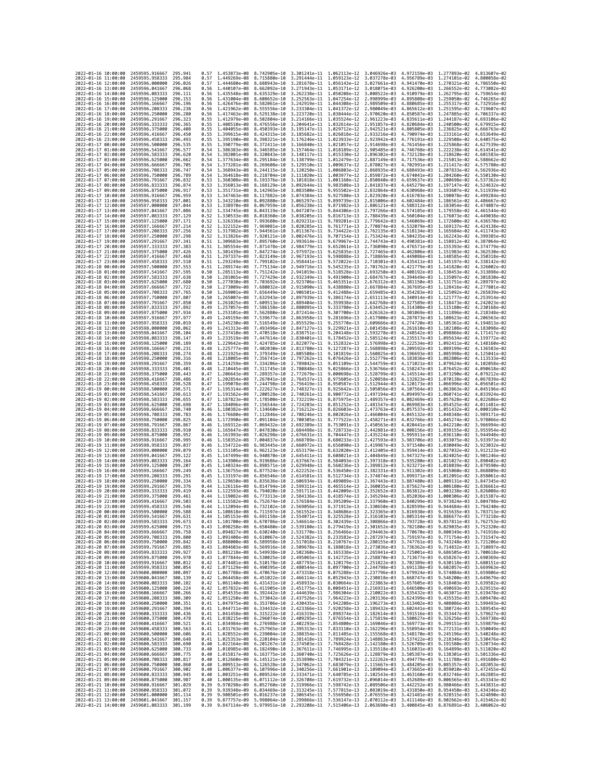| 2022-01-16 10:00:00                        |                 | 2459595.916667                           | 295.941            | 0.57         | 1.453873e-08 8.742905e-10                 |                              | 3.301241e-11 1.062113e-12 3.046926e-03                                                                                                                                                                                                                                                                                                                                         |                              |                              | 4.972159e-03 1.277893e-02 4.813607e-02 |                              |                              |
|--------------------------------------------|-----------------|------------------------------------------|--------------------|--------------|-------------------------------------------|------------------------------|--------------------------------------------------------------------------------------------------------------------------------------------------------------------------------------------------------------------------------------------------------------------------------------------------------------------------------------------------------------------------------|------------------------------|------------------------------|----------------------------------------|------------------------------|------------------------------|
| 2022-01-16 11:00:00                        |                 | 2459595.958333                           | 295.984            | 0.57         | 1.449269e-08                              | 8.715880e-10                 | 3.291444e-11 1.059123e-12                                                                                                                                                                                                                                                                                                                                                      |                              | 3.037278e-03                 | 4.956789e-03                           | 1,274101e-02                 | 4.800058e-02                 |
| 2022-01-16 12:00:00                        |                 | 2459596.000000                           | 296.026            | 0.57         | 1.444680e-08                              | 8.688943e-10                 | 3.281678e-11                                                                                                                                                                                                                                                                                                                                                                   | 1.056143e-12                 | 3.027661e-03                 | 4.941470e-03                           | 1.270321e-02                 | 4.786550e-02                 |
| 2022-01-16 13:00:00<br>2022-01-16 14:00:00 |                 | 2459596.041667<br>2459596.083333         | 296.068<br>296.111 | 0.56<br>0.56 | 1.435548e-08 8.635329e-10                 |                              | 1.440107e-08 8.662092e-10 3.271943e-11 1.053171e-12<br>3.262238e-11 1.050208e-12 3.008522e-03                                                                                                                                                                                                                                                                                  |                              | 3.018075e-03                 | 4.926200e-03<br>4.910979e-03           | 1.266552e-02<br>1.262795e-02 | 4.773082e-02<br>4.759654e-02 |
| 2022-01-16 15:00:00                        |                 | 2459596.125000                           | 296.153            | 0.56         | 1.431004e-08                              | 8.608652e-10                 | 3.252563e-11                                                                                                                                                                                                                                                                                                                                                                   | 1.047254e-12                 | 2.998999e-03                 | 4.895808e-03                           | 1.259050e-02                 | 4.746265e-02                 |
| 2022-01-16 16:00:00                        |                 | 2459596.166667                           | 296.196            | 0.56         | 1.426476e-08                              | 8.582061e-10                 | 3.242919e-11                                                                                                                                                                                                                                                                                                                                                                   | 1.044308e-12                 | 2.989509e-03                 | 4.880685e-03                           | 1.255317e-02                 | 4.732916e-02                 |
| 2022-01-16 17:00:00                        |                 | 2459596.208333                           | 296,238            | 0.56         | 1.421962e-08                              | 8.555556e-10                 | 3.233304e-11                                                                                                                                                                                                                                                                                                                                                                   | 1.041372e-12                 | 2.980049e-03                 | 4.865612e-03                           | 1.251595e-02                 | 4.719607e-02                 |
| 2022-01-16 18:00:00<br>2022-01-16 19:00:00 |                 | 2459596.250000<br>2459596.291667         | 296,280<br>296.323 | 0.56<br>0.55 | 1.417463e-08<br>1.412979e-08              | 8.529138e-10<br>8.502804e-10 | 3.223720e-11 1.038444e-12<br>3.214166e-11                                                                                                                                                                                                                                                                                                                                      | 1.035524e-12                 | 2.970620e-03<br>2.961223e-03 | 4.850587e-03<br>4.835611e-03           | 1.247885e-02<br>1.244187e-02 | 4.706337e-02<br>4.693106e-02 |
| 2022-01-16 20:00:00                        |                 | 2459596.333333                           | 296,365            | 0.55         | 1.408510e-08                              | 8.476556e-10                 | 3.204641e-11 1.032614e-12                                                                                                                                                                                                                                                                                                                                                      |                              | 2.951857e-03                 | 4.820684e-03                           | 1,240500e-02                 | 4.679915e-02                 |
| 2022-01-16 21:00:00                        |                 | 2459596.375000                           | 296.408            | 0.55         | 1.404055e-08                              | 8.450393e-10                 | 3.195147e-11                                                                                                                                                                                                                                                                                                                                                                   | 1.029712e-12                 | 2.942521e-03                 | 4.805805e-03                           | 1.236825e-02                 | 4.666763e-02                 |
| 2022-01-16 22:00:00                        |                 | 2459596.416667                           | 296.450            | 0.55         | 1.399615e-08                              | 8.424315e-10                 | 3.185682e-11                                                                                                                                                                                                                                                                                                                                                                   | 1.026818e-12                 | 2.933216e-03                 | 4.790974e-03                           | 1.233161e-02                 | 4.653649e-02                 |
| 2022-01-16 23:00:00<br>2022-01-17 00:00:00 |                 | 2459596.458333<br>2459596.500000         | 296.493<br>296.535 | 0.55<br>0.55 | 1.395190e-08<br>1.390779e-08              | 8.398321e-10                 | 3.176246e-11<br>8.372411e-10 3.166840e-11 1.021057e-12                                                                                                                                                                                                                                                                                                                         | 1.023933e-12                 | 2.923942e-03<br>2.914698e-03 | 4.776191e-03<br>4.761456e-03           | 1.229508e-02<br>1.225868e-02 | 4.640575e-02<br>4.627539e-02 |
| 2022-01-17 01:00:00                        |                 | 2459596.541667                           | 296.577            | 0.54         | 1.386383e-08                              | 8.346585e-10                 | 3.157464e-11 1.018189e-12                                                                                                                                                                                                                                                                                                                                                      |                              | 2.905485e-03                 | 4.746768e-03                           | 1.222238e-02                 | 4.614541e-02                 |
| 2022-01-17 02:00:00                        |                 | 2459596.583333                           | 296.620            | 0.54         | 1.382001e-08                              | 8.320843e-10                 | 3.148117e-11                                                                                                                                                                                                                                                                                                                                                                   | 1.015330e-12                 | 2.896302e-03                 | 4.732128e-03                           | 1.218620e-02                 | 4.601583e-02                 |
| 2022-01-17 03:00:00                        |                 | 2459596.625000                           | 296.662            | 0.54         | 1.377634e-08                              | 8.295184e-10                 | 3.138799e-11 1.012479e-12                                                                                                                                                                                                                                                                                                                                                      |                              | 2.887149e-03                 | 4.717536e-03                           | 1.215013e-02                 | 4.588662e-02                 |
| 2022-01-17 04:00:00<br>2022-01-17 05:00:00 |                 | 2459596.666667                           | 296.705<br>296.747 | 0.54<br>0.54 | 1.373281e-08<br>1.368943e-08 8.244115e-10 | 8.269608e-10                 | 3.129510e-11 1.009637e-12                                                                                                                                                                                                                                                                                                                                                      |                              | 2.878027e-03                 | 4.702991e-03                           | 1.211417e-02<br>1.207833e-02 | 4.575780e-02<br>4.562936e-02 |
| 2022-01-17 06:00:00                        |                 | 2459596.708333<br>2459596.750000         | 296,789            | 0.54         | 1.364618e-08                              | 8.218704e-10                 | 3.120250e-11 1.006803e-12<br>3.111020e-11                                                                                                                                                                                                                                                                                                                                      | 1.003977e-12                 | 2.868935e-03<br>2.859872e-03 | 4.688493e-03<br>4.674041e-03           | 1.204260e-02                 | 4.550130e-02                 |
| 2022-01-17 07:00:00                        |                 | 2459596.791667                           | 296,832            | 0.53         | 1.360308e-08                              | 8.193376e-10                 | 3.101818e-11                                                                                                                                                                                                                                                                                                                                                                   | 1.001160e-12                 | 2.850840e-03                 | 4.659637e-03                           | 1.200698e-02                 | 4.537362e-02                 |
| 2022-01-17 08:00:00                        |                 | 2459596.833333                           | 296.874            | 0.53         | 1.356013e-08 8.168129e-10                 |                              | 3.092644e-11                                                                                                                                                                                                                                                                                                                                                                   | 9.983508e-13                 | 2.841837e-03                 | 4.645279e-03                           | 1.197147e-02                 | 4.524632e-02                 |
| 2022-01-17 09:00:00                        |                 | 2459596.875000<br>2459596.916667         | 296.917            | 0.53         | 1.351731e-08                              | 8.142965e-10                 | 3.083500e-11                                                                                                                                                                                                                                                                                                                                                                   | 9.955502e-13<br>9.927580e-13 | 2.832864e-03                 | 4.630968e-03                           | 1.193607e-02                 | 4.511939e-02                 |
| 2022-01-17 10:00:00<br>2022-01-17 11:00:00 |                 | 2459596.958333                           | 296.959<br>297.001 | 0.53<br>0.53 | 1.347463e-08<br>1.343210e-08 8.092880e-10 | 8.117882e-10                 | 3.074384e-11<br>3.065297e-11                                                                                                                                                                                                                                                                                                                                                   | 9.899739e-13                 | 2.823920e-03<br>2.815006e-03 | 4.616703e-03<br>4.602484e-03           | 1.190078e-02<br>1.186561e-02 | 4.499284e-02<br>4.486667e-02 |
| 2022-01-17 12:00:00                        |                 | 2459597.000000                           | 297.044            | 0.53         | 1.338970e-08                              | 8.067959e-10                 | 3.056238e-11                                                                                                                                                                                                                                                                                                                                                                   | 9.871982e-13                 | 2.806121e-03                 | 4.588312e-03                           | 1.183054e-02                 | 4.474087e-02                 |
| 2022-01-17 13:00:00                        |                 | 2459597.041667                           | 297.086            | 0.52         | 1,334745e-08                              | 8.043119e-10                 | 3.047207e-11                                                                                                                                                                                                                                                                                                                                                                   | 9.844306e-13                 | 2.797266e-03                 | 4.574185e-03                           | 1.179558e-02                 | 4.461544e-02                 |
| 2022-01-17 14:00:00<br>2022-01-17 15:00:00 |                 | 2459597.083333<br>2459597.125000         | 297,129<br>297.171 | 0.52<br>0.52 | 1.330533e-08<br>1.326336e-08              | 8.018360e-10<br>7.993680e-10 | 3.038205e-11<br>3.029231e-11                                                                                                                                                                                                                                                                                                                                                   | 9.816713e-13<br>9.789201e-13 | 2.788439e-03                 | 4.560104e-03<br>4.546069e-03           | 1.176073e-02<br>1.172600e-02 | 4.449038e-02<br>4.436570e-02 |
| 2022-01-17 16:00:00                        |                 | 2459597.166667                           | 297.214            | 0.52         | 1.322152e-08                              | 7.969081e-10                 | 3.020285e-11                                                                                                                                                                                                                                                                                                                                                                   | 9.761771e-13                 | 2.779642e-03<br>2.770874e-03 | 4.532079e-03                           | 1.169137e-02                 | 4.424138e-02                 |
| 2022-01-17 17:00:00                        |                 | 2459597.208333                           | 297.256            | 0.52         | 1.317982e-08                              | 7.944561e-10                 | 3.011367e-11                                                                                                                                                                                                                                                                                                                                                                   | 9.734422e-13                 | 2.762135e-03                 | 4.518134e-03                           | 1.165684e-02                 | 4.411743e-02                 |
| 2022-01-17 18:00:00                        |                 | 2459597.250000                           | 297.298            | 0.52         | 1.313826e-08                              | 7.920121e-10                 | 3.002476e-11                                                                                                                                                                                                                                                                                                                                                                   | 9.707154e-13                 | 2.753424e-03                 | 4.504235e-03                           | 1.162243e-02                 | 4.399385e-02                 |
| 2022-01-17 19:00:00<br>2022-01-17 20:00:00 |                 | 2459597.291667<br>2459597.333333         | 297.341<br>297.383 | 0.51<br>0.51 | 1.309683e-08 7.895760e-10<br>1.305554e-08 | 7.871478e-10                 | 2.993614e-11<br>2.984779e-11                                                                                                                                                                                                                                                                                                                                                   | 9.679967e-13<br>9.652861e-13 | 2.744743e-03<br>2.736090e-03 | 4.490381e-03<br>4.476571e-03           | 1.158812e-02<br>1.155393e-02 | 4.387064e-02<br>4.374779e-02 |
| 2022-01-17 21:00:00                        |                 | 2459597.375000                           | 297.426            | 0.51         | 1.301439e-08                              | 7.847274e-10                 | 2.975972e-11                                                                                                                                                                                                                                                                                                                                                                   | 9.625835e-13                 | 2.727465e-03                 | 4.462806e-03                           | 1.151983e-02                 | 4.362530e-02                 |
| 2022-01-17 22:00:00                        |                 | 2459597.416667                           | 297.468            | 0.51         | 1.297337e-08                              | 7.823149e-10                 | 2.967193e-11                                                                                                                                                                                                                                                                                                                                                                   | 9.598888e-13                 | 2.718869e-03                 | 4.449086e-03                           | 1.148585e-02                 | 4.350318e-02                 |
| 2022-01-17 23:00:00                        |                 | 2459597.458333                           | 297.510            | 0.51         | 1,293249e-08                              | 7.799102e-10                 | 2.958441e-11                                                                                                                                                                                                                                                                                                                                                                   | 9.572022e-13                 | 2.710301e-03                 | 4.435411e-03                           | 1.145197e-02                 | 4.338142e-02                 |
| 2022-01-18 00:00:00<br>2022-01-18 01:00:00 |                 | 2459597.500000<br>2459597.541667         | 297.553<br>297.595 | 0.51<br>0.50 | 1.289174e-08                              | 7.775134e-10                 | 2.949716e-11<br>2.941019e-11                                                                                                                                                                                                                                                                                                                                                   | 9.545235e-13                 | 2.701762e-03                 | 4.421779e-03                           | 1.141820e-02                 | 4.326002e-02<br>4.313898e-02 |
| 2022-01-18 02:00:00                        |                 | 2459597.583333                           | 297.638            | 0.50         | 1.285113e-08<br>1.281065e-08              | 7.751242e-10<br>7.727429e-10 | 2.932349e-11                                                                                                                                                                                                                                                                                                                                                                   | 9.518528e-13<br>9.491900e-13 | 2.693250e-03<br>2.684767e-03 | 4.408192e-03<br>4.394649e-03           | 1.138453e-02<br>1.135097e-02 | 4.301830e-02                 |
| 2022-01-18 03:00:00                        |                 | 2459597.625000                           | 297.680            | 0.50         | 1.277030e-08                              | 7.703692e-10                 | 2.923706e-11                                                                                                                                                                                                                                                                                                                                                                   | 9.465351e-13                 | 2.676312e-03                 | 4.381150e-03                           | 1.131751e-02                 | 4.289797e-02                 |
| 2022-01-18 04:00:00                        |                 | 2459597.666667                           | 297.722            | 0.50         | 1.273009e-08                              | 7.680032e-10                 | 2.915090e-11                                                                                                                                                                                                                                                                                                                                                                   | 9.438880e-13                 | 2.667884e-03                 | 4.367695e-03                           | 1.128416e-02                 | 4.277801e-02                 |
| 2022-01-18 05:00:00                        |                 | 2459597.708333<br>2459597.750000         | 297.765<br>297,807 | 0.50<br>0.50 | 1.269001e-08                              |                              | 7.656449e-10 2.906501e-11                                                                                                                                                                                                                                                                                                                                                      | 9.412488e-13                 | 2.659485e-03                 | 4.354283e-03<br>4.340914e-03           | 1.125092e-02                 | 4.265839e-02<br>4.253914e-02 |
| 2022-01-18 06:00:00<br>2022-01-18 07:00:00 |                 | 2459597.791667                           | 297.850            | 0.50         | 1.265007e-08<br>1.261025e-08              | 7.632943e-10<br>7.609513e-10 | 2.897939e-11<br>2.889404e-11                                                                                                                                                                                                                                                                                                                                                   | 9.386174e-13<br>9.359938e-13 | 2.651113e-03<br>2.642768e-03 | 4.327589e-03                           | 1.121777e-02<br>1.118473e-02 | 4.242023e-02                 |
| 2022-01-18 08:00:00                        |                 | 2459597.833333                           | 297.892            | 0.49         | 1.257057e-08                              | 7.586158e-10                 | 2.880895e-11                                                                                                                                                                                                                                                                                                                                                                   | 9.333780e-13                 | 2.634452e-03                 | 4.314308e-03                           | 1.115180e-02                 | 4.230168e-02                 |
| 2022-01-18 09:00:00                        |                 | 2459597.875000                           | 297.934            | 0.49         | 1.253101e-08                              | 7.562880e-10                 | 2.872414e-11                                                                                                                                                                                                                                                                                                                                                                   | 9.307700e-13                 | 2.626162e-03                 | 4.301069e-03                           | 1.111896e-02                 | 4.218348e-02                 |
| 2022-01-18 10:00:00                        |                 | 2459597.916667                           | 297.977            | 0.49         | 1.249159e-08                              | 7.539677e-10                 | 2.863958e-11                                                                                                                                                                                                                                                                                                                                                                   | 9.281696e-13                 | 2.617900e-03                 | 4.287873e-03                           | 1.108623e-02                 | 4.206563e-02                 |
| 2022-01-18 11:00:00<br>2022-01-18 12:00:00 |                 | 2459597.958333<br>2459598.000000         | 298.019<br>298.062 | 0.49<br>0.49 | 1.245230e-08<br>1.241313e-08              | 7.516549e-10<br>7.493496e-10 | 2.855529e-11<br>2.847127e-11                                                                                                                                                                                                                                                                                                                                                   | 9.255770e-13<br>9.229921e-13 | 2.609666e-03<br>2.601458e-03 | 4.274720e-03<br>4.261610e-03           | 1.105361e-02<br>1.102108e-02 | 4.194813e-02<br>4.183098e-02 |
| 2022-01-18 13:00:00                        |                 | 2459598.041667                           | 298.104            | 0.49         | 1.237410e-08                              | 7.470518e-10                 | 2.838751e-11                                                                                                                                                                                                                                                                                                                                                                   | 9.204148e-13                 | 2.593278e-03                 | 4.248542e-03                           | 1.098866e-02                 | 4.171417e-02                 |
| 2022-01-18 14:00:00                        |                 | 2459598.083333                           | 298.147            | 0.49         | 1.233519e-08                              | 7.447614e-10                 | 2.830401e-11                                                                                                                                                                                                                                                                                                                                                                   | 9.178452e-13                 | 2.585124e-03                 | 4.235517e-03                           | 1.095634e-02                 | 4.159772e-02                 |
| 2022-01-18 15:00:00                        |                 | 2459598.125000                           | 298.189            | 0.48         | 1.229642e-08                              | 7.424785e-10                 | 2.822077e-11                                                                                                                                                                                                                                                                                                                                                                   | 9.152832e-13                 | 2.576998e-03                 | 4.222534e-03                           | 1.092411e-02                 | 4.148160e-02                 |
| 2022-01-18 16:00:00<br>2022-01-18 17:00:00 |                 | 2459598.166667<br>2459598.208333         | 298.231<br>298.274 | 0.48<br>0.48 | 1.225777e-08<br>1.221925e-08              | 7.402030e-10<br>7.379349e-10 | 2.813780e-11<br>2.805508e-11                                                                                                                                                                                                                                                                                                                                                   | 9.127287e-13<br>9.101819e-13 | 2.568898e-03<br>2.560825e-03 | 4.209592e-03<br>4.196693e-03           | 1.089199e-02<br>1.085998e-02 | 4.136583e-02<br>4.125041e-02 |
| 2022-01-18 18:00:00                        |                 | 2459598.250000                           | 298.316            | 0.48         | 1.218085e-08                              | 7.356741e-10                 | 2.797262e-11                                                                                                                                                                                                                                                                                                                                                                   | 9.076426e-13                 | 2.552779e-03                 | 4.183836e-03                           | 1.082806e-02                 | 4.113533e-02                 |
| 2022-01-18 19:00:00                        |                 | 2459598.291667                           | 298,359            | 0.48         | 1,214259e-08                              | 7.334206e-10                 | 2.789042e-11                                                                                                                                                                                                                                                                                                                                                                   | 9.051109e-13                 | 2.544759e-03                 | 4.171021e-03                           | 1.079624e-02                 | 4.102058e-02                 |
| 2022-01-18 20:00:00                        |                 | 2459598.333333                           | 298.401            | 0.48         | 1.210445e-08                              | 7.311745e-10                 | 2.780848e-11                                                                                                                                                                                                                                                                                                                                                                   | 9.025866e-13                 | 2.536766e-03                 | 4.158247e-03                           | 1.076452e-02                 | 4.090618e-02                 |
| 2022-01-18 21:00:00<br>2022-01-18 22:00:00 |                 | 2459598.375000<br>2459598.416667         | 298,443<br>298,486 | 0.47<br>0.47 | 1.206643e-08<br>1.202854e-08              | 7.289357e-10<br>7.267041e-10 | 2.772679e-11<br>2.764537e-11                                                                                                                                                                                                                                                                                                                                                   | 9.000698e-13<br>8.975605e-13 | 2.528799e-03<br>2.520858e-03 | 4.145514e-03<br>4.132823e-03           | 1.073290e-02<br>1.070138e-02 | 4.079212e-02<br>4.067839e-02 |
| 2022-01-18 23:00:00                        |                 | 2459598.458333                           | 298.528            | 0.47         | 1.199078e-08                              | 7.244798e-10                 | 2.756419e-11 8.950587e-13                                                                                                                                                                                                                                                                                                                                                      |                              | 2.512944e-03                 | 4.120173e-03                           | 1,066996e-02                 | 4.056501e-02                 |
| 2022-01-19 00:00:00                        |                 | 2459598.500000                           | 298.571            | 0.47         | 1.195314e-08                              | 7.222627e-10                 | 2.748327e-11                                                                                                                                                                                                                                                                                                                                                                   | 8.925642e-13                 | 2.505056e-03                 | 4.107564e-03                           | 1.063863e-02                 | 4.045196e-02                 |
| 2022-01-19 01:00:00                        |                 | 2459598.541667                           | 298.613            | 0.47         | 1.191562e-08                              | 7.200528e-10                 | 2.740261e-11                                                                                                                                                                                                                                                                                                                                                                   | 8.900772e-13                 | 2.497194e-03                 | 4.094997e-03                           | 1.060741e-02                 | 4.033924e-02                 |
| 2022-01-19 02:00:00<br>2022-01-19 03:00:00 |                 | 2459598.583333<br>2459598.625000         | 298.655<br>298.698 | 0.47<br>0.47 | 1.187823e-08<br>1.184096e-08              | 7.178500e-10                 | 2.732219e-11<br>7.156544e-10 2.724203e-11                                                                                                                                                                                                                                                                                                                                      | 8.875975e-13<br>8.851252e-13 | 2.489357e-03<br>2.481547e-03 | 4.082469e-03<br>4.069983e-03           | 1.057628e-02<br>1.054525e-02 | 4.022686e-02<br>4.011481e-02 |
| 2022-01-19 04:00:00                        |                 | 2459598.666667                           | 298.740            | 0.46         | 1.180382e-08                              | 7.134660e-10                 | 2.716212e-11                                                                                                                                                                                                                                                                                                                                                                   | 8.826603e-13                 | 2.473763e-03                 | 4.057537e-03                           | 1.051432e-02                 | 4.000310e-02                 |
| 2022-01-19 05:00:00                        |                 | 2459598.708333                           | 298.783            | 0.46         | 1.176680e-08                              | 7.112846e-10                 | 2.708246e-11                                                                                                                                                                                                                                                                                                                                                                   | 8.802026e-13                 | 2.466004e-03                 | 4.045132e-03                           | 1.048348e-02                 | 3.989171e-02                 |
| 2022-01-19 06:00:00                        |                 | 2459598.750000                           | 298.825            | 0.46         | 1.172990e-08                              | 7.091104e-10                 | 2.700305e-11                                                                                                                                                                                                                                                                                                                                                                   | 8.777522e-13                 | 2.458271e-03                 | 4.032766e-03                           | 1.045274e-02                 | 3.978066e-02                 |
| 2022-01-19 07:00:00                        |                 | 2459598.791667                           | 298.867<br>298.910 | 0.46         | 1.169312e-08                              | 7.069432e-10                 | 2.692389e-11                                                                                                                                                                                                                                                                                                                                                                   | 8.753091e-13                 | 2.450563e-03<br>2.442881e-03 | 4.020441e-03                           | 1.042210e-02<br>1.039155e-02 | 3.966994e-02<br>3.955954e-02 |
| 2022-01-19 08:00:00<br>2022-01-19 09:00:00 |                 | 2459598.833333<br>2459598.875000         | 298.952            | 0.46<br>0.46 | 1.165647e-08<br>1.161993e-08              | 7.047830e-10<br>7.026298e-10 | 2.684498e-11 8.728733e-13<br>2.676631e-11                                                                                                                                                                                                                                                                                                                                      | 8.704447e-13                 | 2.435224e-03                 | 4.008156e-03<br>3.995911e-03           | 1.036110e-02                 | 3.944948e-02                 |
| 2022-01-19 10:00:00                        |                 | 2459598.916667                           | 298.995            | 0.46         | 1.158352e-08                              | 7.004837e-10                 | 2.668789e-11                                                                                                                                                                                                                                                                                                                                                                   | 8.680233e-13                 | 2.427593e-03                 | 3.983706e-03                           | 1.033075e-02                 | 3.933973e-02                 |
| 2022-01-19 11:00:00                        |                 | 2459598.958333                           | 299.037            | 0.46         | 1.154722e-08                              | 6.983445e-10                 | 2.660972e-11                                                                                                                                                                                                                                                                                                                                                                   | 8.656090e-13                 | 2.419987e-03                 | 3.971540e-03                           | 1.030049e-02                 | 3.923032e-02                 |
| 2022-01-19 12:00:00                        |                 | 2459599.000000                           | 299.079            | 0.45         | 1.151105e-08                              | 6.962123e-10                 | 2.653179e-11                                                                                                                                                                                                                                                                                                                                                                   | 8.632020e-13                 | 2.412405e-03                 | 3.959414e-03                           | 1.027032e-02                 | 3.912123e-02                 |
| 2022-01-19 13:00:00<br>2022-01-19 14:00:00 |                 | 2459599.041667                           | 299.122            | 0.45         | 1.147499e-08                              | 6.940870e-10                 |                                                                                                                                                                                                                                                                                                                                                                                |                              |                              |                                        |                              | 3.901246e-02                 |
| 2022-01-19 15:00:00                        |                 |                                          |                    |              |                                           |                              | 2.645411e-11                                                                                                                                                                                                                                                                                                                                                                   | 8.608021e-13                 | 2.404849e-03                 | 3.947327e-03                           | 1.024025e-02                 |                              |
| 2022-01-19 16:00:00                        |                 | 2459599.083333                           | 299.164<br>299.207 | 0.45<br>0.45 | 1.143906e-08                              | 6.919686e-10                 | 2.637667e-11<br>2.629948e-11                                                                                                                                                                                                                                                                                                                                                   | 8.584093e-13<br>8.560236e-13 | 2.397318e-03                 | 3.935280e-03                           | 1.021027e-02                 | 3.890402e-02<br>3.879590e-02 |
|                                            |                 | 2459599.125000<br>2459599.166667         | 299.249            | 0.45         | 1.140324e-08<br>1.136755e-08              | 6.898571e-10<br>6.877524e-10 | 2.622252e-11                                                                                                                                                                                                                                                                                                                                                                   | 8.536450e-13                 | 2.389812e-03<br>2.382331e-03 | 3.923271e-03<br>3.911302e-03           | 1.018039e-02<br>1.015060e-02 | 3.868809e-02                 |
| 2022-01-19 17:00:00                        |                 | 2459599.208333                           | 299.291            | 0.45         | 1.133197e-08                              | 6.856546e-10                 | 2.614581e-11                                                                                                                                                                                                                                                                                                                                                                   | 8.512734e-13                 | 2.374874e-03                 | 3.899371e-03                           | 1.012091e-02                 | 3.858061e-02                 |
| 2022-01-19 18:00:00                        |                 | 2459599.250000                           | 299.334            | 0.45         | 1.129650e-08                              | 6.835636e-10                 | 2.606934e-11                                                                                                                                                                                                                                                                                                                                                                   | 8.489089e-13                 | 2.367443e-03                 | 3.887480e-03                           | 1.009131e-02                 | 3.847345e-02                 |
| 2022-01-19 19:00:00                        |                 | 2459599.291667<br>2459599.333333         | 299.376<br>299.419 | 0.44<br>0.44 | 1.126116e-08<br>1.122593e-08              | 6.814794e-10                 | 2.599311e-11<br>2.591711e-11                                                                                                                                                                                                                                                                                                                                                   | 8.465514e-13<br>8.442009e-13 | 2.360035e-03                 | 3.875627e-03<br>3.863812e-03           | 1.006180e-02<br>1.003238e-02 | 3.836661e-02<br>3.826008e-02 |
| 2022-01-19 20:00:00<br>2022-01-19 21:00:00 |                 | 2459599.375000                           | 299.461            | 0.44         | 1.119082e-08 6.773313e-10                 | 6.794020e-10                 | 2.584136e-11 8.418574e-13                                                                                                                                                                                                                                                                                                                                                      |                              | 2.352652e-03<br>2.345294e-03 | 3.852036e-03                           | 1.000306e-02                 | 3.815387e-02                 |
| 2022-01-19 22:00:00                        |                 | 2459599.416667                           | 299.503            | 0.44         |                                           |                              | 1.115582e-08 6.752674e-10 2.576584e-11 8.395209e-13 2.337960e-03 3.840299e-03 9.973824e-03 3.804798e-02                                                                                                                                                                                                                                                                        |                              |                              |                                        |                              |                              |
| 2022-01-19 23:00:00                        | -01-20 00:00:00 | 2459599.458333<br>2459599.500000         | 299.546<br>299.588 | 0.44         | 1.108618e-08                              | 6.711597e-10                 | 1.112094e-08 6.732102e-10 2.569056e-11 8.371913e-13 2.330650e-03 3.828599e-03 9.944684e-03<br>2.561552e-11                                                                                                                                                                                                                                                                     | 8.348686e-13                 |                              |                                        | 9.915635e-03                 | 3.794240e-02                 |
| 2022-<br>2022-01-20 01:00:00               |                 | 2459599.541667 299.631                   |                    | 0.44         |                                           |                              | 1.105153e-08 6.691158e-10 2.554071e-11 8.325528e-13 2.316103e-03 3.805314e-03 9.886677e-03 3.773218e-02                                                                                                                                                                                                                                                                        |                              | 2.323365e-03                 | 3.816938e-03                           |                              |                              |
| 2022-01-20 02:00:00                        |                 | 2459599.583333                           | 299.673            |              |                                           |                              | 0.43 1.101700e-08 6.670786e-10 2.546614e-11 8.302439e-13 2.308866e-03 3.793728e-03 9.857811e-03 3.762753e-02                                                                                                                                                                                                                                                                   |                              |                              |                                        |                              |                              |
| 2022-01-20 03:00:00                        |                 | 2459599.625000                           | 299.715            | 0.43         |                                           |                              | 1.098258e-08 6.650480e-10 2.539180e-11 8.279419e-13 2.301652e-03 3.782180e-03 9.829035e-03 3.752320e-02                                                                                                                                                                                                                                                                        |                              |                              |                                        |                              |                              |
| 2022-01-20 04:00:00<br>2022-01-20 05:00:00 |                 | 2459599.666667<br>2459599.708333         | 299.758<br>299.800 |              |                                           |                              | 0.43 1.094827e-08 6.630240e-10 2.531770e-11 8.256466e-13 2.294463e-03 3.770670e-03 9.800349e-03 3.741918e-02<br>0.43 1.091408e-08 6.610067e-10 2.524382e-11 8.233583e-13 2.287297e-03 3.759197e-03 9.771754e-03 3.731547e-02                                                                                                                                                   |                              |                              |                                        |                              |                              |
| 2022-01-20 06:00:00                        |                 | 2459599.750000                           | 299.842            |              |                                           |                              |                                                                                                                                                                                                                                                                                                                                                                                |                              |                              |                                        | 9.743248e-03                 | 3.721206e-02                 |
| 2022-01-20 07:00:00                        |                 | 2459599.791667                           | 299.885            |              |                                           |                              | $\begin{array}{cccccccc} 0.43 & 1.088000e-08 & 6.589958e-10 & 2.517018e-11 & 8.210767e-13 & 2.280155e-03 & 3.747761e-03 \\ 0.43 & 1.084603e-08 & 6.569916e-10 & 2.509678e-11 & 8.188018e-13 & 2.273036e-03 & 3.736362e-03 \end{array}$                                                                                                                                         |                              |                              |                                        | 9.714832e-03                 | 3.710897e-02                 |
| 2022-01-20 08:00:00                        |                 | 2459599.833333                           | 299.927<br>299.970 |              |                                           |                              | 0.43 1.081218e-08 6.549938e-10 2.502360e-11 8.165338e-13 2.265941e-03 3.725001e-03 9.686505e-03 3.700618e-02                                                                                                                                                                                                                                                                   |                              |                              |                                        |                              |                              |
| 2022-01-20 09:00:00<br>2022-01-20 10:00:00 |                 | 2459599.875000<br>2459599.916667         | 300.012            |              |                                           |                              | 0.43 1.077844e-08 6.530025e-10 2.495065e-11 8.142725e-13 2.258870e-03 3.713677e-03 9.658267e-03 3.690369e-02                                                                                                                                                                                                                                                                   |                              |                              |                                        |                              |                              |
| 2022-01-20 11:00:00                        |                 | 2459599.958333                           | 300.054            |              |                                           |                              | $\begin{array}{cccccccccccc} 0.42 & 1.074481e-08 & 6.510178e-10 & 2.487793e-11 & 8.120179e-13 & 2.251822e-03 & 3.702389e-03 & 9.630118e-03 & 3.680151e-02 & 0.42 & 1.071129e-08 & 6.49039e-10 & 2.48054e-11 & 8.097700e-13 & 2.244798e-03 & 3.691138e-03 & 9.60$                                                                                                               |                              |                              |                                        |                              |                              |
| 2022-01-20 12:00:00                        |                 | 2459600.000000                           | 300.097            |              |                                           |                              | 0.42 1.067788e-08 6.470676e-10 2.473318e-11 8.075288e-13 2.237796e-03 3.679924e-03 9.574084e-03 3.659806e-02                                                                                                                                                                                                                                                                   |                              |                              |                                        |                              |                              |
| 2022-01-20 13:00:00                        |                 | 2459600.041667                           | 300.139            |              |                                           |                              |                                                                                                                                                                                                                                                                                                                                                                                |                              |                              |                                        |                              |                              |
| 2022-01-20 14:00:00<br>2022-01-20 15:00:00 |                 | 2459600.083333<br>2459600.125000         | 300.182<br>300.224 |              |                                           |                              | $\begin{array}{cccccccc} 0.42 & 1.064458e-08 & 6.451022e-10 & 2.466114e-11 & 8.052943e-13 & 2.230818e-03 & 3.668747e-03 & 9.546200e-03 & 3.649679e-02 \\ 0.42 & 1.061140e-08 & 6.431431e-10 & 2.458933e-11 & 8.030664e-13 & 2.223863e-03 & 3.657605e-03 & 9.5$<br>0.42 1.057832e-08 6.411905e-10 2.451775e-11 8.008451e-13 2.216931e-03 3.646500e-03 9.490693e-03 3.629515e-02 |                              |                              |                                        |                              |                              |
| 2022-01-20 16:00:00                        |                 | 2459600.166667                           | 300.266            |              |                                           |                              |                                                                                                                                                                                                                                                                                                                                                                                |                              |                              |                                        |                              |                              |
| 2022-01-20 17:00:00                        |                 | 2459600.208333                           | 300.309            |              |                                           |                              |                                                                                                                                                                                                                                                                                                                                                                                |                              |                              |                                        |                              |                              |
| 2022-01-20 18:00:00<br>2022-01-20 19:00:00 |                 | 2459600.250000<br>2459600.291667         | 300.351<br>300.394 |              |                                           |                              | 0.42 1.054535e-08 6.392442e-10 2.444639e-11 7.986304e-13 2.210022e-03 3.635432e-03 9.463071e-03 3.619478e-02<br>0.42 1.051230e-08 6.373042e-10 2.437526e-11 7.964323e-13 2.203136e-03 3.624399e-03 9.445363e-03 3.609470e-02<br>0.41                                                                                                                                           |                              |                              |                                        |                              |                              |
| 2022-01-20 20:00:00                        |                 | 2459600.333333 300.436                   |                    |              |                                           |                              | 0.41 1.044711e-08 6.334432e-10 2.423366e-11 7.920258e-13 2.189432e-03 3.602441e-03 9.380724e-03 3.589545e-02<br>0.41 1.041458e-08 6.315222e-10 2.416319e-11 7.898374e-13 2.182614e-03 3.591516e-03 9.353447e-03 3.579627e-02                                                                                                                                                   |                              |                              |                                        |                              |                              |
| 2022-01-20 21:00:00                        |                 | 2459600.375000                           | 300.478            |              |                                           |                              |                                                                                                                                                                                                                                                                                                                                                                                |                              |                              |                                        | 9.326256e-03 3.569738e-02    |                              |
| 2022-01-20 22:00:00                        |                 | 2459600.416667                           | 300.521            |              |                                           |                              | 0.41 1.038215e-08 6.296074e-10 2.409295e-11 7.876554e-13 2.175819e-03 3.580627e-03 9.326256e-03<br>0.41 1.034984e-08 6.276988e-10 2.402293e-11 7.854800e-13 2.169046e-03 3.569773e-03 9.299151e-03                                                                                                                                                                             |                              |                              |                                        |                              | 3.559879e-02                 |
| 2022-01-20 23:00:00                        |                 | 2459600.458333                           | 300.563            |              |                                           |                              | 0.41 1.031763e-08 6.257965e-10 2.395313e-11 7.833110e-13 2.162296e-03 3.558954e-03 9.272131e-03 3.550049e-02                                                                                                                                                                                                                                                                   |                              |                              |                                        |                              |                              |
| 2022-01-21 00:00:00<br>2022-01-21 01:00:00 |                 | 2459600.500000<br>2459600.541667         | 300.606<br>300.648 |              |                                           |                              |                                                                                                                                                                                                                                                                                                                                                                                |                              |                              |                                        |                              |                              |
| 2022-01-21 02:00:00                        |                 | 2459600.583333                           | 300.690            |              |                                           |                              | 0.41 1.028552e-08 6.239004e-10 2.388354e-11 7.811485e-13 2.155568e-03 3.548170e-03 9.245196e-03 3.540248e-02<br>0.41 1.025353e-08 6.220104e-10 2.381418e-11 7.789924e-13 2.148863e-03 3.537422e-03 9.218346e-03 3.530476e-02<br>0.40 1.022164e-08 6.201267e-10 2.374503e-11 7.768428e-13 2.142180e-03 3.526709e-03 9.191580e-03 3.520734e-02                                   |                              |                              |                                        |                              |                              |
| 2022-01-21 03:00:00                        |                 | 2459600.625000 300.733                   |                    |              |                                           |                              | 0.40 1.018985e-08 6.182490e-10 2.367611e-11 7.746995e-13 2.135518e-03 3.516031e-03 9.164899e-03 3.511020e-02                                                                                                                                                                                                                                                                   |                              |                              |                                        |                              |                              |
| 2022-01-21 04:00:00                        |                 | 2459600.666667                           | 300.775            |              |                                           |                              |                                                                                                                                                                                                                                                                                                                                                                                |                              |                              |                                        |                              |                              |
| 2022-01-21 05:00:00<br>2022-01-21 06:00:00 |                 | 2459600.708333<br>2459600.750000         | 300.817<br>300.860 |              |                                           |                              | $\begin{array}{cccccccc} 0.40 & 1.015817e-08 & 6.163775e-10 & 2.360740e-11 & 7.725626e-13 & 2.128879e-03 & 3.505387e-03 & 9.138301e-03 & 3.501336e-02 \\ 0.40 & 1.012660e-08 & 6.145121e-10 & 2.353890e-11 & 7.704321e-13 & 2.122262e-03 & 3.494779e-03 & 9.1$<br>0.40 1.009513e-08 6.126528e-10 2.347062e-11 7.683079e-13 2.115667e-03 3.484205e-03 9.085357e-03 3.482053e-02 |                              |                              |                                        |                              |                              |
| 2022-01-21 07:00:00                        |                 | 2459600.791667                           | 300.902            |              |                                           |                              |                                                                                                                                                                                                                                                                                                                                                                                |                              |                              |                                        |                              |                              |
| 2022-01-21 08:00:00                        |                 | 2459600.833333                           | 300.945            |              |                                           |                              |                                                                                                                                                                                                                                                                                                                                                                                |                              |                              |                                        |                              |                              |
| 2022-01-21 09:00:00                        |                 | 2459600.875000                           | 300.987<br>301.029 |              |                                           |                              | 0.40 1.006377e-08 6.107996e-10 2.340256e-11 7.661901e-13 2.109094e-03 3.473665e-03 9.059010e-03 3.472455e-02<br>0.40 1.003251e-08 6.089524e-10 2.335471e-11 7.640785e-13 2.102543e-03 3.463160e-03 9.0327465e-03 3.462885e-02<br>0.4                                                                                                                                           |                              |                              |                                        |                              |                              |
| 2022-01-21 10:00:00<br>2022-01-21 11:00:00 |                 | 2459600.916667<br>2459600.958333 301.072 |                    |              |                                           |                              | 0.39 9.970298e-09 6.052760e-10 2.319966e-11 7.598742e-13 2.089506e-03 3.442252e-03 8.980466e-03 3.443831e-02<br>0.39 9.939348e-09 6.034469e-10 2.313245e-11 7.577815e-13 2.083019e-03 3.431850e-03 8.954450e-03 3.434346e-02                                                                                                                                                   |                              |                              |                                        |                              |                              |
| 2022-01-21 12:00:00<br>2022-01-21 13:00:00 |                 | 2459601.000000<br>2459601.041667         | 301.114<br>301.157 |              |                                           |                              | 0.39 9.908501e-09 6.016237e-10 2.306545e-11 7.556950e-13 2.076555e-03 3.421481e-03 8.928515e-03 3.424890e-02<br>0.39 9.877757e-09 5.998064e-10 2.299866e-11 7.536147e-13 2.070112e-03 3.411146e-03 8.902662e-03 3.415462e-02                                                                                                                                                   |                              |                              |                                        |                              |                              |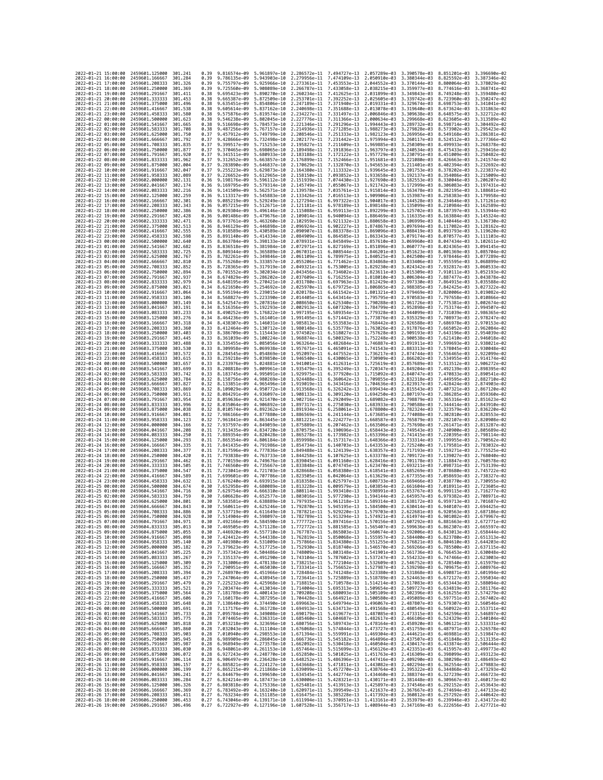| 2022-01-21 15:00:00                        |                     | 2459601.125000                           | 301.241            | 0.39         | 9.816574e-09                                                                                                                                                                                                                 | 5.961897e-10                 | 2.286572e-11 7.494727e-13                                                                                                                                                                                                                                      |                              | 2.057289e-03                 | 3.390578e-03                 | 8.851201e-03                 | 3.396690e-02                 |
|--------------------------------------------|---------------------|------------------------------------------|--------------------|--------------|------------------------------------------------------------------------------------------------------------------------------------------------------------------------------------------------------------------------------|------------------------------|----------------------------------------------------------------------------------------------------------------------------------------------------------------------------------------------------------------------------------------------------------------|------------------------------|------------------------------|------------------------------|------------------------------|------------------------------|
| 2022-01-21 16:00:00                        |                     | 2459601.166667                           | 301.284            | 0.39         | 9.786135e-09                                                                                                                                                                                                                 | 5.943903e-10                 | 2.279956e-11                                                                                                                                                                                                                                                   | 7.474109e-13                 | 2.050910e-03                 | 3.380344e-03                 | 8.825592e-03                 | 3.387346e-02                 |
| 2022-01-21 17:00:00                        |                     | 2459601.208333                           | 301,326            | 0.39         | 9.755797e-09                                                                                                                                                                                                                 | 5.925966e-10                 | 2.273361e-11                                                                                                                                                                                                                                                   | 7.453553e-13                 | 2.044552e-03                 | 3.370144e-03                 | 8.800064e-03                 | 3.378029e-02                 |
| 2022-01-21 18:00:00<br>2022-01-21 19:00:00 |                     | 2459601.250000<br>2459601.291667         | 301.369<br>301.411 | 0.39<br>0.38 | 9.725560e-09<br>9.695423e-09                                                                                                                                                                                                 | 5.890270e-10                 | 5.908089e-10 2.266787e-11<br>2.260234e-11                                                                                                                                                                                                                      | 7.433058e-13<br>7.412625e-13 | 2.038215e-03<br>2.031899e-03 | 3.359977e-03<br>3.349843e-03 | 8.774616e-03<br>8.749248e-03 | 3.368741e-02<br>3.359480e-02 |
| 2022-01-21 20:00:00                        |                     | 2459601.333333                           | 301.453            | 0.38         | 9.665387e-09                                                                                                                                                                                                                 | 5.872509e-10                 | 2.253701e-11                                                                                                                                                                                                                                                   | 7.392252e-13                 | 2.025605e-03                 | 3.339742e-03                 | 8.723960e-03                 | 3.350247e-02                 |
| 2022-01-21 21:00:00                        |                     | 2459601.375000                           | 301,496            | 0.38         | 9.635451e-09                                                                                                                                                                                                                 | 5.854806e-10                 | 2.247189e-11                                                                                                                                                                                                                                                   | 7.371940e-13                 | 2.019331e-03                 | 3.329674e-03                 | 8.698753e-03                 | 3.341041e-02                 |
| 2022-01-21 22:00:00                        |                     | 2459601.416667                           | 301.538            | 0.38         | 9.605614e-09                                                                                                                                                                                                                 | 5.837162e-10                 | 2.240698e-11                                                                                                                                                                                                                                                   | 7.351688e-13                 | 2.013078e-03                 | 3.319640e-03                 | 8.673624e-03                 | 3.331863e-02                 |
| 2022-01-21 23:00:00<br>2022-01-22 00:00:00 |                     | 2459601.458333<br>2459601.500000         | 301.580<br>301.623 | 0.38<br>0.38 | 9.575876e-09<br>9.546238e-09                                                                                                                                                                                                 | 5.819574e-10<br>5.802045e-10 | 2.234227e-11<br>2.227776e-11                                                                                                                                                                                                                                   | 7.331497e-13<br>7.311366e-13 | 2.006846e-03<br>2.000634e-03 | 3.309638e-03<br>3.299668e-03 | 8.648575e-03<br>8.623605e-03 | 3.322712e-02<br>3.313589e-02 |
| 2022-01-22 01:00:00                        |                     | 2459601.541667                           | 301.665            | 0.38         | 9.516698e-09                                                                                                                                                                                                                 | 5.784573e-10                 | 2.221346e-11                                                                                                                                                                                                                                                   | 7.291296e-13                 | 1,994443e-03                 | 3.289732e-03                 | 8.598714e-03                 | 3.304492e-02                 |
| 2022-01-22 02:00:00                        |                     | 2459601.583333                           | 301,708            | 0.38         | 9.487256e-09                                                                                                                                                                                                                 | 5.767157e-10                 | 2.214936e-11                                                                                                                                                                                                                                                   | 7.271285e-13                 | 1.988273e-03                 | 3.279828e-03                 | 8.573902e-03                 | 3.295423e-02                 |
| 2022-01-22 03:00:00                        |                     | 2459601.625000                           | 301.750            | 0.37         | 9.457912e-09                                                                                                                                                                                                                 | 5.749799e-10                 | 2.208546e-11                                                                                                                                                                                                                                                   | 7.251333e-13                 | 1.982123e-03                 | 3.269956e-03                 | 8.549168e-03                 | 3.286381e-02                 |
| 2022-01-22 04:00:00<br>2022-01-22 05:00:00 |                     | 2459601.666667<br>2459601.708333         | 301.792<br>301.835 | 0.37<br>0.37 | 9.428666e-09<br>9.399517e-09                                                                                                                                                                                                 | 5.732498e-10<br>5.715253e-10 | 2.202177e-11<br>2.195827e-11                                                                                                                                                                                                                                   | 7.231442e-13<br>7.211609e-13 | 1.975994e-03<br>1.969885e-03 | 3.260117e-03<br>3.250309e-03 | 8.524512e-03<br>8.499933e-03 | 3.277366e-02<br>3.268378e-02 |
| 2022-01-22 06:00:00                        |                     | 2459601.750000                           | 301.877            | 0.37         | 9.370465e-09                                                                                                                                                                                                                 | 5.698065e-10                 | 2.189498e-11                                                                                                                                                                                                                                                   | 7.191836e-13                 | 1.963797e-03                 | 3.240534e-03                 | 8.475433e-03                 | 3.259416e-02                 |
| 2022-01-22 07:00:00                        |                     | 2459601.791667                           | 301.920            | 0.37         | 9.341511e-09                                                                                                                                                                                                                 | 5.680933e-10                 | 2.183188e-11                                                                                                                                                                                                                                                   | 7.172122e-13                 | 1.957729e-03                 | 3.230791e-03                 | 8.451009e-03                 | 3.250482e-02                 |
| 2022-01-22 08:00:00                        |                     | 2459601.833333                           | 301.962            | 0.37         | 9.312652e-09                                                                                                                                                                                                                 | 5.663857e-10                 | 2.176899e-11                                                                                                                                                                                                                                                   | 7.152466e-13                 | 1.951681e-03                 | 3.221080e-03                 | 8.426663e-03                 | 3.241574e-02                 |
| 2022-01-22 09:00:00                        |                     | 2459601.875000<br>2459601.916667         | 302.004<br>302.047 | 0.37<br>0.37 | 9.283890e-09<br>9.255223e-09                                                                                                                                                                                                 | 5.646837e-10<br>5.629873e-10 | 2.170629e-11<br>2.164380e-11                                                                                                                                                                                                                                   | 7.132870e-13<br>7.113332e-13 | 1.945653e-03                 | 3.211401e-03<br>3.201753e-03 | 8.402394e-03<br>8.378202e-03 | 3.232692e-02<br>3.223837e-02 |
| 2022-01-22 10:00:00<br>2022-01-22 11:00:00 |                     | 2459601.958333                           | 302,089            | 0.37         | 9.226652e-09                                                                                                                                                                                                                 | 5.612965e-10                 | 2.158150e-11                                                                                                                                                                                                                                                   | 7.093852e-13                 | 1.939645e-03<br>1.933658e-03 | 3.192137e-03                 | 8.354086e-03                 | 3.215009e-02                 |
| 2022-01-22 12:00:00                        |                     | 2459602,000000                           | 302, 131           | 0.36         | 9.198176e-09                                                                                                                                                                                                                 | 5.596112e-10                 | 2.151939e-11                                                                                                                                                                                                                                                   | 7.074430e-13                 | 1.927690e-03                 | 3.182553e-03                 | 8.330046e-03                 | 3.206207e-02                 |
| 2022-01-22 13:00:00                        |                     | 2459602.041667                           | 302, 174           | 0.36         | 9.169795e-09                                                                                                                                                                                                                 | 5.579314e-10                 | 2.145749e-11                                                                                                                                                                                                                                                   | 7.055067e-13                 | 1.921742e-03                 | 3.172999e-03                 | 8.306083e-03                 | 3.197431e-02                 |
| 2022-01-22 14:00:00                        |                     | 2459602.083333                           | 302.216<br>302.259 | 0.36         | 9.141509e-09                                                                                                                                                                                                                 | 5.562571e-10                 | 2.139578e-11                                                                                                                                                                                                                                                   | 7.035761e-13                 | 1.915814e-03                 | 3.163478e-03<br>3.153987e-03 | 8.282195e-03                 | 3.188681e-02                 |
| 2022-01-22 15:00:00<br>2022-01-22 16:00:00 |                     | 2459602.125000<br>2459602.166667         | 302.301            | 0.36<br>0.36 | 9.113317e-09<br>9.085219e-09                                                                                                                                                                                                 | 5.545883e-10<br>5.529249e-10 | 2.133426e-11<br>2.127294e-11                                                                                                                                                                                                                                   | 7.016513e-13<br>6.997322e-13 | 1.909906e-03<br>1.904017e-03 | 3.144528e-03                 | 8.258383e-03<br>8.234646e-03 | 3.179958e-02<br>3.171261e-02 |
| 2022-01-22 17:00:00                        |                     | 2459602.208333                           | 302.343            | 0.36         | 9.057215e-09                                                                                                                                                                                                                 | 5.512671e-10                 | 2.121181e-11                                                                                                                                                                                                                                                   | 6.978189e-13                 | 1.898148e-03                 | 3.135099e-03                 | 8.210984e-03                 | 3.162589e-02                 |
| 2022-01-22 18:00:00                        |                     | 2459602.250000                           | 302.386            | 0.36         | 9.029304e-09                                                                                                                                                                                                                 | 5.496146e-10                 | 2.115088e-11                                                                                                                                                                                                                                                   | 6.959113e-13                 | 1.892299e-03                 | 3.125702e-03                 | 8.187397e-03                 | 3.153944e-02                 |
| 2022-01-22 19:00:00<br>2022-01-22 20:00:00 |                     | 2459602.291667<br>2459602.333333         | 302,428<br>302.471 | 0.36<br>0.36 | 9.001486e-09<br>8.973761e-09                                                                                                                                                                                                 | 5.479676e-10<br>5.463260e-10 | 2.109014e-11<br>2.102959e-11                                                                                                                                                                                                                                   | 6.940094e-13<br>6.921132e-13 | 1.886469e-03<br>1.880658e-03 | 3.116335e-03<br>3.106999e-03 | 8.163884e-03<br>8.140446e-03 | 3.145324e-02<br>3.136730e-02 |
| 2022-01-22 21:00:00                        |                     | 2459602.375000                           | 302.513            | 0.36         | 8.946129e-09                                                                                                                                                                                                                 | 5.446898e-10                 | 2.096924e-11                                                                                                                                                                                                                                                   | 6.902227e-13                 | 1.874867e-03                 | 3.097694e-03                 | 8.117082e-03                 | 3.128162e-02                 |
| 2022-01-22 22:00:00                        |                     | 2459602.416667                           | 302.555            | 0.35         | 8.918589e-09                                                                                                                                                                                                                 | 5.430589e-10                 | 2.090907e-11                                                                                                                                                                                                                                                   | 6.883378e-13                 | 1.869096e-03                 | 3.088419e-03                 | 8.093793e-03                 | 3.119620e-02                 |
| 2022-01-22 23:00:00                        |                     | 2459602.458333                           | 302.598            | 0.35         | 8.891140e-09                                                                                                                                                                                                                 | 5.414334e-10                 | 2.084909e-11                                                                                                                                                                                                                                                   | 6.864585e-13                 | 1.863343e-03                 | 3.079174e-03                 | 8.070577e-03                 | 3.111103e-02                 |
| 2022-01-23 00:00:00<br>2022-01-23 01:00:00 |                     | 2459602.500000<br>2459602.541667         | 302.640<br>302.682 | 0.35<br>0.35 | 8.863784e-09<br>8.836518e-09                                                                                                                                                                                                 | 5.398133e-10<br>5.381984e-10 | 2.078931e-11<br>2.072971e-11                                                                                                                                                                                                                                   | 6.845849e-13<br>6.827169e-13 | 1.857610e-03<br>1.851896e-03 | 3.069960e-03<br>3.060777e-03 | 8.047434e-03<br>8.024365e-03 | 3.102611e-02<br>3.094145e-02 |
| 2022-01-23 02:00:00                        |                     | 2459602.583333                           | 302.725            | 0.35         | 8.809344e-09                                                                                                                                                                                                                 | 5.365889e-10                 | 2.067031e-11                                                                                                                                                                                                                                                   | 6.808544e-13                 | 1.846201e-03                 | 3.051623e-03                 | 8.001369e-03                 | 3.085704e-02                 |
| 2022-01-23 03:00:00                        |                     | 2459602.625000                           | 302.767            | 0.35         | 8.782261e-09                                                                                                                                                                                                                 | 5.349846e-10                 | 2.061109e-11                                                                                                                                                                                                                                                   | 6.789975e-13                 | 1.840525e-03                 | 3.042500e-03                 | 7.978446e-03                 | 3.077289e-02                 |
| 2022-01-23 04:00:00                        |                     | 2459602.666667                           | 302.810            | 0.35         | 8.755268e-09                                                                                                                                                                                                                 | 5.333857e-10                 | 2.055206e-11                                                                                                                                                                                                                                                   | 6.771462e-13                 | 1.834868e-03                 | 3.033406e-03                 | 7.955595e-03                 | 3.068899e-02                 |
| 2022-01-23 05:00:00<br>2022-01-23 06:00:00 |                     | 2459602.708333<br>2459602.750000         | 302.852<br>302.894 | 0.35<br>0.35 | 8.728365e-09<br>8.701552e-09                                                                                                                                                                                                 | 5.317919e-10<br>5.302034e-10 | 2.049321e-11<br>2.043456e-11                                                                                                                                                                                                                                   | 6.753005e-13<br>6.734602e-13 | 1.829230e-03<br>1.823611e-03 | 3.024342e-03<br>3.015309e-03 | 7.932817e-03<br>7.910111e-03 | 3.060533e-02<br>3.052193e-02 |
| 2022-01-23 07:00:00                        |                     | 2459602.791667                           | 302.937            | 0.34         | 8.674829e-09                                                                                                                                                                                                                 | 5.286202e-10                 | 2.037609e-11                                                                                                                                                                                                                                                   | 6.716255e-13                 | 1.818010e-03                 | 3.006304e-03                 | 7.887477e-03                 | 3.043878e-02                 |
| 2022-01-23 08:00:00                        |                     | 2459602.833333                           | 302.979            | 0.34         | 8.648195e-09                                                                                                                                                                                                                 | 5.270421e-10                 | 2.031780e-11                                                                                                                                                                                                                                                   | 6.697963e-13                 | 1.812429e-03                 | 2.997330e-03                 | 7.864915e-03                 | 3.035588e-02                 |
| 2022-01-23 09:00:00                        |                     | 2459602.875000                           | 303.021            | 0.34         | 8.621650e-09                                                                                                                                                                                                                 | 5.254692e-10                 | 2.025970e-11                                                                                                                                                                                                                                                   | 6.679725e-13                 | 1.806865e-03                 | 2.988385e-03                 | 7.842425e-03                 | 3.027322e-02                 |
| 2022-01-23 10:00:00                        |                     | 2459602.916667                           | 303.064            | 0.34         | 8.595194e-09                                                                                                                                                                                                                 | 5.239015e-10                 | 2.020178e-11                                                                                                                                                                                                                                                   | 6.661542e-13                 | 1.801321e-03                 | 2.979469e-03                 | 7.820006e-03                 | 3.019082e-02                 |
| 2022-01-23 11:00:00<br>2022-01-23 12:00:00 |                     | 2459602.958333<br>2459603.000000         | 303,106<br>303.149 | 0.34<br>0.34 | 8.568827e-09<br>8.542547e-09                                                                                                                                                                                                 | 5.223390e-10<br>5.207816e-10 | 2.014405e-11<br>2.008650e-11                                                                                                                                                                                                                                   | 6.643414e-13<br>6.625340e-13 | 1.795795e-03<br>1.790288e-03 | 2.970583e-03<br>2.961726e-03 | 7.797658e-03<br>7.775381e-03 | 3.010866e-02<br>3.002674e-02 |
| 2022-01-23 13:00:00                        |                     | 2459603.041667                           | 303.191            | 0.34         | 8.516356e-09                                                                                                                                                                                                                 | 5.192293e-10                 | 2.002913e-11                                                                                                                                                                                                                                                   | 6.607320e-13                 | 1.784799e-03                 | 2.952898e-03                 | 7.753174e-03                 | 2.994507e-02                 |
| 2022-01-23 14:00:00                        |                     | 2459603.083333                           | 303.233            | 0.34         | 8.490252e-09                                                                                                                                                                                                                 | 5.176822e-10                 | 1.997195e-11                                                                                                                                                                                                                                                   | 6.589354e-13                 | 1.779328e-03                 | 2.944099e-03                 | 7.731039e-03                 | 2.986365e-02                 |
| 2022-01-23 15:00:00                        |                     | 2459603.125000                           | 303,276            | 0.34         | 8.464236e-09                                                                                                                                                                                                                 | 5.161401e-10                 | 1,991495e-11                                                                                                                                                                                                                                                   | 6.571442e-13                 | 1,773876e-03                 | 2.935329e-03                 | 7.708973e-03                 | 2.978247e-02                 |
| 2022-01-23 16:00:00<br>2022-01-23 17:00:00 |                     | 2459603.166667<br>2459603.208333         | 303.318<br>303.360 | 0.34<br>0.33 | 8.438307e-09<br>8.412464e-09                                                                                                                                                                                                 | 5.146031e-10<br>5.130712e-10 | 1.985813e-11<br>1.980148e-11                                                                                                                                                                                                                                   | 6.553583e-13<br>6.535778e-13 | 1.768442e-03<br>1.763026e-03 | 2.926588e-03<br>2.917876e-03 | 7.686978e-03<br>7.665052e-03 | 2.970153e-02<br>2.962084e-02 |
| 2022-01-23 18:00:00                        |                     | 2459603.250000                           | 303.403            | 0.33         | 8.386709e-09                                                                                                                                                                                                                 | 5.115443e-10                 | 1.974502e-11                                                                                                                                                                                                                                                   | 6.518027e-13                 | 1.757628e-03                 | 2.909193e-03                 | 7.643196e-03                 | 2.954039e-02                 |
| 2022-01-23 19:00:00                        |                     | 2459603.291667                           | 303.445            | 0.33         | 8.361039e-09                                                                                                                                                                                                                 | 5.100224e-10                 | 1.968874e-11                                                                                                                                                                                                                                                   | 6.500329e-13                 | 1.752248e-03                 | 2.900538e-03                 | 7.621410e-03                 | 2.946018e-02                 |
| 2022-01-23 20:00:00                        |                     | 2459603.333333                           | 303.488            | 0.33         | 8.335455e-09                                                                                                                                                                                                                 | 5.085056e-10                 | 1.963264e-11                                                                                                                                                                                                                                                   | 6.482684e-13                 | 1.746887e-03                 | 2.891911e-03                 | 7.599693e-03                 | 2.938021e-02                 |
| 2022-01-23 21:00:00<br>2022-01-23 22:00:00 |                     | 2459603.375000<br>2459603.416667         | 303.530<br>303.572 | 0.33<br>0.33 | 8.309958e-09<br>8.284545e-09                                                                                                                                                                                                 | 5.069938e-10<br>5.054869e-10 | 1.957671e-11<br>1.952097e-11                                                                                                                                                                                                                                   | 6.465091e-13<br>6.447552e-13 | 1.741543e-03<br>1.736217e-03 | 2.883313e-03<br>2.874744e-03 | 7.578045e-03<br>7.556465e-03 | 2.930048e-02<br>2.922099e-02 |
| 2022-01-23 23:00:00                        |                     | 2459603.458333                           | 303.615            | 0.33         | 8.259218e-09                                                                                                                                                                                                                 | 5.039850e-10                 | 1.946540e-11                                                                                                                                                                                                                                                   | 6.430065e-13                 | 1.730909e-03                 | 2.866202e-03                 | 7.534955e-03                 | 2.914174e-02                 |
| 2022-01-24 00:00:00                        |                     | 2459603.500000                           | 303.657            | 0.33         | 8.233976e-09                                                                                                                                                                                                                 | 5.024881e-10                 | 1.941001e-11                                                                                                                                                                                                                                                   | 6.412631e-13                 | 1.725619e-03                 | 2.857689e-03                 | 7.513512e-03                 | 2.906272e-02                 |
| 2022-01-24 01:00:00                        |                     | 2459603.541667                           | 303.699            | 0.33         | 8.208818e-09                                                                                                                                                                                                                 |                              | 5.009961e-10 1.935479e-11                                                                                                                                                                                                                                      | 6.395249e-13                 | 1.720347e-03                 | 2.849204e-03                 | 7.492139e-03                 | 2.898395e-02                 |
| 2022-01-24 02:00:00<br>2022-01-24 03:00:00 |                     | 2459603.583333<br>2459603.625000         | 303.742<br>303.784 | 0.33<br>0.32 | 8.183745e-09<br>8.158756e-09                                                                                                                                                                                                 | 4.980269e-10                 | 4.995091e-10 1.929975e-11<br>1,924488e-11                                                                                                                                                                                                                      | 6.377920e-13<br>6.360642e-13 | 1.715092e-03<br>1.709855e-03 | 2.840747e-03<br>2.832318e-03 | 7.470833e-03<br>7.449595e-03 | 2.890541e-02<br>2.882710e-02 |
| 2022-01-24 04:00:00                        |                     | 2459603.666667                           | 303.827            | 0.32         | 8.133851e-09                                                                                                                                                                                                                 |                              | 4.965496e-10 1.919019e-11                                                                                                                                                                                                                                      | 6.343416e-13                 | 1.704636e-03                 | 2.823917e-03                 | 7.428424e-03                 | 2.874903e-02                 |
| 2022-01-24 05:00:00                        |                     | 2459603.708333                           | 303.869            | 0.32         | 8.109029e-09                                                                                                                                                                                                                 | 4.950772e-10                 | 1,913568e-11                                                                                                                                                                                                                                                   | 6.326242e-13                 | 1.699434e-03                 | 2.815543e-03                 | 7.407321e-03                 | 2.867120e-02                 |
| 2022-01-24 06:00:00                        |                     | 2459603.750000                           | 303.911            | 0.32         | 8.084291e-09                                                                                                                                                                                                                 | 4.936097e-10                 | 1.908133e-11                                                                                                                                                                                                                                                   | 6.309120e-13                 | 1.694250e-03                 | 2.807197e-03                 | 7.386285e-03                 | 2.859360e-02                 |
| 2022-01-24 07:00:00<br>2022-01-24 08:00:00 |                     | 2459603.791667<br>2459603.833333         | 303.954<br>303.996 | 0.32<br>0.32 | 8.059636e-09<br>8.035064e-09                                                                                                                                                                                                 | 4.921470e-10                 | 1.902716e-11<br>4.906892e-10 1.897317e-11                                                                                                                                                                                                                      | 6.292049e-13<br>6.275030e-13 | 1.689082e-03<br>1.683933e-03 | 2.798879e-03<br>2.790588e-03 | 7.365316e-03<br>7.344414e-03 | 2.851623e-02<br>2.843910e-02 |
| 2022-01-24 09:00:00                        |                     | 2459603.875000                           | 304,038            | 0.32         | 8.010574e-09                                                                                                                                                                                                                 | 4.892362e-10                 | 1.891934e-11                                                                                                                                                                                                                                                   | 6.258061e-13                 | 1.678800e-03                 | 2.782324e-03                 | 7.323579e-03                 | 2.836220e-02                 |
| 2022-01-24 10:00:00                        |                     | 2459603.916667                           | 304.081            | 0.32         | 7.986166e-09                                                                                                                                                                                                                 | 4.877880e-10                 | 1.886569e-11                                                                                                                                                                                                                                                   | 6.241144e-13                 | 1.673685e-03                 | 2.774088e-03                 | 7.302810e-03                 | 2.828553e-02                 |
| 2022-01-24 11:00:00                        |                     | 2459603.958333                           | 304, 123           | 0.32         | 7.961841e-09                                                                                                                                                                                                                 | 4.863445e-10                 | 1.881221e-11                                                                                                                                                                                                                                                   | 6.224277e-13                 | 1.668587e-03                 | 2.765879e-03                 | 7.282107e-03                 | 2.820908e-02                 |
| 2022-01-24 12:00:00                        |                     | 2459604.000000                           | 304,166<br>304,208 | 0.32         | 7.937597e-09<br>7.913435e-09                                                                                                                                                                                                 |                              | 4.849059e-10 1.875889e-11<br>4.834720e-10 1.870575e-11                                                                                                                                                                                                         | 6.207462e-13<br>6.190696e-13 | 1.663506e-03                 | 2.757698e-03<br>2.749543e-03 | 7.261471e-03<br>7.240900e-03 | 2.813287e-02<br>2.805689e-02 |
| 2022-01-24 13:00:00<br>2022-01-24 14:00:00 |                     | 2459604.041667<br>2459604.083333         | 304.250            | 0.31<br>0.31 | 7.889354e-09                                                                                                                                                                                                                 | 4.820428e-10                 | 1.865278e-11                                                                                                                                                                                                                                                   | 6.173982e-13                 | 1.658443e-03<br>1.653396e-03 | 2.741415e-03                 | 7.220395e-03                 | 2.798114e-02                 |
| 2022-01-24 15:00:00                        |                     | 2459604.125000                           | 304, 293           | 0.31         | 7.865354e-09                                                                                                                                                                                                                 | 4.806184e-10                 | 1.859998e-11                                                                                                                                                                                                                                                   | 6.157317e-13                 | 1.648366e-03                 | 2.733314e-03                 | 7.199955e-03                 | 2.790562e-02                 |
| 2022-01-24 16:00:00                        |                     | 2459604.166667                           | 304,335            | 0.31         | 7.841435e-09                                                                                                                                                                                                                 | 4.791986e-10                 | 1.854734e-11                                                                                                                                                                                                                                                   | 6.140703e-13                 | 1.643353e-03                 | 2.725240e-03                 | 7.179581e-03                 | 2.783032e-02                 |
| 2022-01-24 17:00:00                        |                     | 2459604.208333                           | 304.377            | 0.31         | 7.817596e-09                                                                                                                                                                                                                 | 4.777836e-10                 | 1.849488e-11                                                                                                                                                                                                                                                   | 6.124139e-13                 | 1.638357e-03                 | 2.717193e-03                 | 7.159271e-03                 | 2.775525e-02                 |
| 2022-01-24 18:00:00<br>2022-01-24 19:00:00 |                     | 2459604.250000<br>2459604.291667         | 304,420<br>304.462 | 0.31<br>0.31 | 7.793838e-09<br>7.770159e-09                                                                                                                                                                                                 | 4.763733e-10                 | 1.844258e-11<br>4.749676e-10 1.839045e-11                                                                                                                                                                                                                      | 6.107625e-13<br>6.091160e-13 | 1.633378e-03<br>1.628416e-03 | 2.709172e-03<br>2.701178e-03 | 7.139027e-03<br>7.118847e-03 | 2.768040e-02<br>2.760578e-02 |
| 2022-01-24 20:00:00                        |                     | 2459604.333333                           | 304.505            | 0.31         | 7.746560e-09                                                                                                                                                                                                                 | 4.735667e-10                 | 1.833848e-11                                                                                                                                                                                                                                                   | 6.074745e-13                 | 1.623470e-03                 | 2.693211e-03                 | 7.098731e-03                 | 2.753139e-02                 |
| 2022-01-24 21:00:00                        |                     | 2459604.375000                           | 304.547            | 0.31         | 7.723041e-09                                                                                                                                                                                                                 | 4.721703e-10                 | 1.828668e-11                                                                                                                                                                                                                                                   | 6.058380e-13                 | 1.618541e-03                 | 2.685269e-03                 | 7.078680e-03                 | 2.745722e-02                 |
| 2022-01-24 22:00:00                        |                     | 2459604.416667<br>2459604.458333         | 304.589<br>304,632 | 0.31<br>0.31 | 7.699601e-09<br>7.676240e-09                                                                                                                                                                                                 | 4.707786e-10                 | 1.823505e-11<br>1.818358e-11                                                                                                                                                                                                                                   | 6.042064e-13<br>6.025797e-13 | 1.613629e-03                 | 2.677355e-03                 | 7.058693e-03<br>7.038770e-03 | 2.738327e-02<br>2.730955e-02 |
| 2022-01-24 23:00:00<br>2022-01-25 00:00:00 |                     | 2459604.500000                           | 304.674            | 0.30         | 7.652958e-09                                                                                                                                                                                                                 | 4.693915e-10<br>4.680089e-10 | 1.813228e-11                                                                                                                                                                                                                                                   | 6.009579e-13                 | 1.608733e-03<br>1.603854e-03 | 2.669466e-03<br>2.661604e-03 | 7.018911e-03                 | 2.723605e-02                 |
| 2022-01-25 01:00:00                        |                     | 2459604.541667                           | 304.716            | 0.30         | 7.629754e-09                                                                                                                                                                                                                 | 4.666310e-10                 | 1.808114e-11                                                                                                                                                                                                                                                   | 5.993410e-13                 | 1.598991e-03                 | 2.653767e-03                 | 6.999115e-03                 | 2.716277e-02                 |
| 2022-01-25 02:00:00                        |                     | 2459604.583333                           | 304.759            | 0.30         | 7.606628e-09                                                                                                                                                                                                                 |                              | 4.652577e-10 1.803016e-11                                                                                                                                                                                                                                      | 5.977290e-13                 | 1.594144e-03                 | 2.645957e-03                 | 6.979382e-03                 | 2.708971e-02                 |
| 2022-01-25 03:00:00                        |                     | 2459604.625000                           | 304,801            | 0.30         | 7.583581e-09                                                                                                                                                                                                                 |                              | 4.638889e-10 1.797935e-11 5.961218e-13 1.589314e-03 2.638172e-03 6.959713e-03 2.701687e-02                                                                                                                                                                     |                              |                              |                              |                              |                              |
| 2022-01-25 04:00:00<br>2022-               | -01-25 05:00:00     | 2459604.666667<br>2459604.708333         | 304.843<br>304.886 | 0.30<br>0.30 | 7.560611e-09<br>.537719e-09                                                                                                                                                                                                  | 4.611649e-10                 | 4.625246e-10 1.792870e-11 5.945195e-13 1.584500e-03 2.630414e-03 6.940107e-03 2.694425e-02<br>1.787821e-11                                                                                                                                                     | 5.929220e-13                 | 1.579703e-03                 | 2.622681e-03                 | 6.920563e-03                 | 2.687186e-02                 |
| 2022-01-25 06:00:00                        |                     | 2459604.750000 304.928                   |                    | 0.30         |                                                                                                                                                                                                                              |                              | 7.514904e-09 4.598097e-10 1.782789e-11 5.913294e-13 1.574921e-03 2.614974e-03 6.901082e-03 2.679967e-02                                                                                                                                                        |                              |                              |                              |                              |                              |
| 2022-01-25 07:00:00                        |                     | 2459604.791667                           | 304.971            | 0.30         |                                                                                                                                                                                                                              |                              | 7.492166e-09 4.584590e-10 1.777772e-11 5.897416e-13 1.570156e-03 2.607292e-03 6.881663e-03 2.672771e-02                                                                                                                                                        |                              |                              |                              |                              |                              |
| 2022-01-25 08:00:00<br>2022-01-25 09:00:00 |                     | 2459604.833333<br>2459604.875000         | 305.013<br>305.055 | 0.30<br>0.30 |                                                                                                                                                                                                                              |                              | 7.469505e-09 4.571128e-10 1.772772e-11 5.881585e-13 1.565407e-03 2.599636e-03 6.862307e-03 2.665597e-02<br>7.446920e-09 4.557710e-10 1.767787e-11 5.865803e-13 1.560674e-03 2.592006e-03 6.843013e-03 2.658444e-02                                             |                              |                              |                              |                              |                              |
| 2022-01-25 10:00:00                        |                     | 2459604.916667                           | 305.098            | 0.30         |                                                                                                                                                                                                                              |                              | 7.424412e-09 4.544338e-10 1.762819e-11 5.850068e-13 1.555957e-03 2.584400e-03 6.823780e-03 2.651313e-02                                                                                                                                                        |                              |                              |                              |                              |                              |
| 2022-01-25 11:00:00                        |                     | 2459604.958333                           | 305.140            | 0.30         |                                                                                                                                                                                                                              |                              | 7.401980e-09 4.531009e-10 1.757866e-11 5.834380e-13 1.551255e-03 2.576821e-03 6.804610e-03 2.644203e-02<br>7.379623e-09 4.517725e-10 1.752930e-11 5.818740e-13 1.546570e-03 2.569266e-03 6.785500e-03 2.637115e-02                                             |                              |                              |                              |                              |                              |
| 2022-01-25 12:00:00<br>2022-01-25 13:00:00 |                     | 2459605.000000<br>2459605.041667         | 305.182<br>305.225 | 0.29<br>0.29 |                                                                                                                                                                                                                              |                              | 7.357342e-09 4.504486e-10 1.748009e-11 5.803148e-13 1.541901e-03 2.561736e-03 6.766453e-03 2.630048e-02                                                                                                                                                        |                              |                              |                              |                              |                              |
| 2022-01-25 14:00:00                        |                     | 2459605.083333                           | 305.267            |              |                                                                                                                                                                                                                              |                              | 0.29 7.335137e-09 4.491290e-10 1.743104e-11 5.787602e-13 1.537247e-03 2.554232e-03 6.747466e-03 2.623003e-02                                                                                                                                                   |                              |                              |                              |                              |                              |
| 2022-01-25 15:00:00                        |                     | 2459605.125000                           | 305,309            | 0.29         |                                                                                                                                                                                                                              |                              |                                                                                                                                                                                                                                                                |                              |                              |                              |                              |                              |
| 2022-01-25 16:00:00                        |                     | 2459605.166667                           | 305.352            | 0.29         |                                                                                                                                                                                                                              |                              | 7.313006e-09 4.478138e-10 1.738215e-11 5.772104e-13 1.532609e-03 2.546752e-03 6.728540e-03 2.615979e-02<br>7.290951e-09 4.465030e-10 1.733341e-11 5.756652e-13 1.527987e-03 2.539298e-03 6.709675e-03 2.608976e-02                                             |                              |                              |                              |                              |                              |
| 2022-01-25 17:00:00                        |                     | 2459605.208333                           | 305.394            |              |                                                                                                                                                                                                                              |                              | 0.29 7.268970e-09 4.451966e-10 1.728484e-11 5.741248e-13 1.523380e-03 2.531868e-03 6.690871e-03 2.601994e-02                                                                                                                                                   |                              |                              |                              |                              |                              |
| 2022-01-25 18:00:00<br>2022-01-25 19:00:00 |                     | 2459605.250000 305.437<br>2459605.291667 | 305.479            | 0.29<br>0.29 |                                                                                                                                                                                                                              |                              |                                                                                                                                                                                                                                                                |                              |                              |                              |                              |                              |
| 2022-01-25 20:00:00                        |                     | 2459605.333333                           | 305.521            | 0.29         |                                                                                                                                                                                                                              |                              | 0.22322-09 4.438945e-10 1.723641e-11 5.725889e-13 1.518789e-03 2.524463e-03 6.672127e-03 2.595694e-02<br>7.225232e-09 4.435945e-10 1.718815e-11 5.718589e-13 1.518789e-03 2.517083e-03 6.672127e-03 2.595694e-02<br>7.203474e-09 4.4                           |                              |                              |                              |                              |                              |
| 2022-01-25 21:00:00                        |                     | 2459605.375000                           | 305.564            | 0.29         |                                                                                                                                                                                                                              |                              | 1.181789e-09 4.400143e-10 1.709208e-11 5.680093e-13 1.505109e-03 2.502396e-03 6.616255e-03 2.574279e-02<br>7.160178e-09 4.400143e-10 1.709208e-11 5.660093e-13 1.505109e-03 2.495889e-03 6.616255e-03 2.574279e-02<br>7.138640e-09 4                           |                              |                              |                              |                              |                              |
| 2022-01-25 22:00:00                        |                     | 2459605.416667<br>2459605.458333         | 305,606            | 0.29         |                                                                                                                                                                                                                              |                              |                                                                                                                                                                                                                                                                |                              |                              |                              |                              |                              |
| 2022-01-25 23:00:00<br>2022-01-26 00:00:00 |                     | 2459605.500000 305.691                   | 305.648            | 0.28         |                                                                                                                                                                                                                              |                              | 0.28 7.117176e-09 4.361728e-10 1.694913e-11 5.634713e-13 1.491568e-03 2.480549e-03 6.560922e-03 2.553711e-02                                                                                                                                                   |                              |                              |                              |                              |                              |
| 2022-01-26 01:00:00                        |                     | 2459605.541667                           | 305.733            |              |                                                                                                                                                                                                                              |                              | 0.28 7.095784e-09 4.349008e-10 1.690179e-11 5.619677e-13 1.487085e-03 2.473315e-03 6.542596e-03 2.546897e-02                                                                                                                                                   |                              |                              |                              |                              |                              |
| 2022-01-26 02:00:00                        |                     | 2459605.583333                           | 305.775            | 0.28         |                                                                                                                                                                                                                              |                              | 7.074465e-09 4.336331e-10 1.685460e-11 5.604687e-13 1.482617e-03 2.466106e-03 6.524329e-03 2.540104e-02<br>7.053218e-09 4.323696e-10 1.680756e-11 5.589743e-13 1.478164e-03 2.456106e-03 6.526121e-03 2.543104e-02                                             |                              |                              |                              |                              |                              |
| 2022-01-26 03:00:00                        |                     | 2459605.625000<br>2459605.666667         | 305.818            | 0.28         |                                                                                                                                                                                                                              |                              |                                                                                                                                                                                                                                                                |                              |                              |                              |                              | 2.533331e-02                 |
| 2022-01-26 04:00:00<br>2022-01-26 05:00:00 |                     | 2459605.708333                           | 305.860<br>305.903 |              |                                                                                                                                                                                                                              |                              | 0.28 7.032043e-09 4.311104e-10 1.676068e-11 5.574844e-13 1.473727e-03 2.451759e-03 6.487971e-03 2.526578e-02<br>0.28 7.010940e-09 4.298553e-10 1.671394e-11 5.559991e-13 1.469304e-03 2.444621e-03 6.469881e-03 2.519847e-02                                   |                              |                              |                              |                              |                              |
| 2022-01-26 06:00:00                        |                     | 2459605.750000                           | 305.945            |              |                                                                                                                                                                                                                              |                              |                                                                                                                                                                                                                                                                |                              |                              |                              |                              |                              |
| 2022-01-26 07:00:00                        |                     | 2459605.791667                           | 305.987            |              |                                                                                                                                                                                                                              |                              | 0.28 6.989999e-09 4.286045e-10 1.666736e-11 5.545182e-13 1.464896e-03 2.437507e-03 6.451848e-03 2.513135e-02<br>0.28 6.968949e-09 4.273578e-10 1.662092e-11 5.530418e-13 1.460596e-03 2.430417e-03 6.433874e-03 2.506444e-02<br>0.28                           |                              |                              |                              |                              |                              |
| 2022-01-26 08:00:00                        |                     | 2459605.833333 306.030                   |                    |              |                                                                                                                                                                                                                              |                              |                                                                                                                                                                                                                                                                |                              |                              |                              |                              |                              |
| 2022-01-26 09:00:00<br>2022-01-26 10:00:00 |                     | 2459605.875000<br>2459605.916667         | 306.072<br>306.114 |              |                                                                                                                                                                                                                              |                              | $\begin{array}{cccccccc} 0.28 & 6.927243e-09 & 4.248770e-10 & 1.652850e-11 & 5.501025e-13 & 1.451763e-03 & 2.416309e-03 & 6.398099e-03 & 2.493123e-02 \\ 0.28 & 6.906497e-09 & 4.236428e-10 & 1.648252e-11 & 5.486396e-13 & 1.447416e-03 & 2.409290e-03 & 6.3$ |                              |                              |                              |                              |                              |
| 2022-01-26 11:00:00                        |                     | 2459605.958333                           | 306.157            |              |                                                                                                                                                                                                                              |                              | 0.27 6.885821e-09 4.224127e-10 1.643668e-11 5.471811e-13 1.443082e-03 2.402294e-03 6.362554e-03 2.479883e-02                                                                                                                                                   |                              |                              |                              |                              |                              |
| 2022-01-26 12:00:00                        |                     | 2459606.000000                           | 306.199            | 0.27         |                                                                                                                                                                                                                              |                              |                                                                                                                                                                                                                                                                |                              |                              |                              |                              |                              |
| 2022-01-26 13:00:00                        |                     | 2459606.041667                           | 306.241            | 0.27         |                                                                                                                                                                                                                              |                              | 6.865215e-09 4.211866e-10 1.639099e-11 5.457270e-13 1.438764e-03 2.395322e-03 6.344868e-03 2.473293e-02<br>6.844679e-09 4.199650e-10 1.634945e-11 5.457270e-13 1.438764e-03 2.385374e-03 6.344868e-03 2.473293e-02<br>6.824214e-09 4                           |                              |                              |                              |                              |                              |
| 2022-01-26 14:00:00<br>2022-01-26 15:00:00 |                     | 2459606.083333<br>2459606.125000         | 306.284<br>306.326 | 0.27<br>0.27 |                                                                                                                                                                                                                              |                              | 6.803818e-09 4.175336e-10 1.625481e-11 5.413913e-13 1.425897e-03 2.374546e-03 6.292152e-03 2.453643e-02                                                                                                                                                        |                              |                              |                              |                              |                              |
| 2022-01-26 16:00:00                        |                     | 2459606.166667                           | 306.369            | 0.27         |                                                                                                                                                                                                                              |                              | 6.783492e-09 4.163240e-10 1.620971e-11 5.399549e-13 1.421637e-03 2.367667e-03 6.274694e-03 2.447133e-02                                                                                                                                                        |                              |                              |                              |                              |                              |
|                                            |                     |                                          | 306.411            |              |                                                                                                                                                                                                                              |                              |                                                                                                                                                                                                                                                                |                              |                              |                              |                              |                              |
|                                            | 2022-01-26 17:00:00 | 2459606.208333                           |                    |              |                                                                                                                                                                                                                              |                              |                                                                                                                                                                                                                                                                |                              |                              |                              |                              |                              |
| 2022-01-26 18:00:00<br>2022-01-26 19:00:00 |                     | 2459606.250000<br>2459606.291667         | 306.453<br>306.496 |              | 0.27 6.763234e-09 4.151185e-10 1.616475e-11 5.385228e-13 1.417392e-03 2.360812e-03 6.257292e-03 2.440642e-02<br>0.27 6.743046e-09 4.139171e-10 1.611994e-11 5.370951e-13 1.413161e-03 2.353979e-03 6.239946e-03 2.434172e-02 |                              | 0.27 6.722927e-09 4.127196e-10 1.607528e-11 5.356717e-13 1.408944e-03 2.347169e-03 6.222656e-03 2.427721e-02                                                                                                                                                   |                              |                              |                              |                              |                              |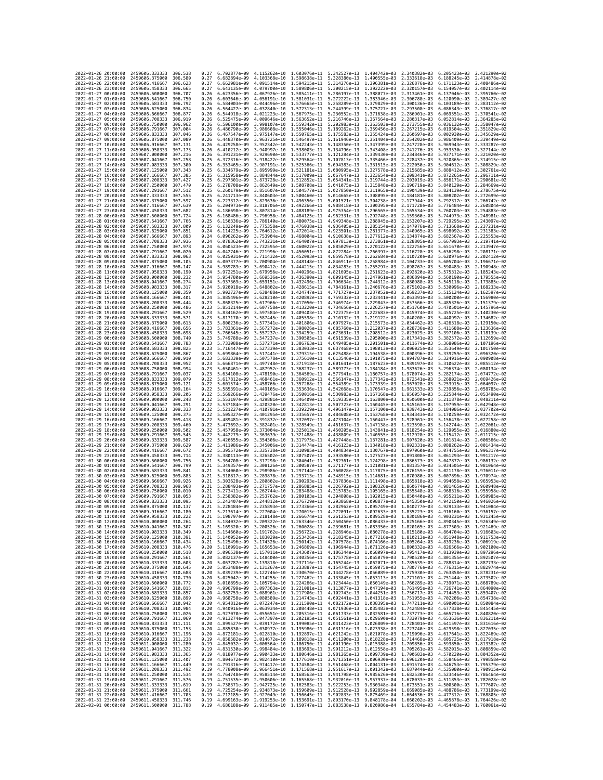| 2022-01-26 20:00:00                        |                     | 2459606.333333                                                                         | 306.538             | 0.27         | 6.702877e-09                 | 4.115262e-10                              | 1.603076e-11                              | 5.342527e-13                                                                                                                                                                                                                                                                                                                                         | 1.404742e-03                 | 2.340382e-03                 | 6.205423e-03 2.421290e-02                                                                                                                                                                                                            |                              |
|--------------------------------------------|---------------------|----------------------------------------------------------------------------------------|---------------------|--------------|------------------------------|-------------------------------------------|-------------------------------------------|------------------------------------------------------------------------------------------------------------------------------------------------------------------------------------------------------------------------------------------------------------------------------------------------------------------------------------------------------|------------------------------|------------------------------|--------------------------------------------------------------------------------------------------------------------------------------------------------------------------------------------------------------------------------------|------------------------------|
| 2022-01-26 21:00:00                        |                     | 2459606.375000                                                                         | 306.580             | 0.27         | 6.682894e-09                 | 4.103368e-10                              | 1.598638e-11                              | 5.328380e-13                                                                                                                                                                                                                                                                                                                                         | 1.400555e-03                 | 2.333618e-03                 | 6.188245e-03                                                                                                                                                                                                                         | 2.414878e-02                 |
| 2022-01-26 22:00:00                        |                     | 2459606.416667                                                                         | 306.623             | 0.27         | 6.662981e-09                 | 4.091514e-10                              | 1.594215e-11                              | 5.314276e-13                                                                                                                                                                                                                                                                                                                                         | 1.396381e-03                 | 2.326876e-03                 | 6.171123e-03                                                                                                                                                                                                                         | 2.408486e-02                 |
| 2022-01-26 23:00:00<br>2022-01-27 00:00:00 |                     | 2459606.458333<br>2459606.500000                                                       | 306.665<br>306.707  | 0.27<br>0.26 | 6.643135e-09<br>6.623356e-09 | 4.067926e-10                              | 4.079700e-10 1.589806e-11<br>1.585411e-11 | 5.300215e-13 1.392222e-03<br>5.286197e-13 1.388077e-03                                                                                                                                                                                                                                                                                               |                              | 2.320157e-03<br>2.313461e-03 | 6.154057e-03 2.402114e-02<br>6.137046e-03 2.395760e-02                                                                                                                                                                               |                              |
| 2022-01-27 01:00:00                        |                     | 2459606.541667                                                                         | 306.750             | 0.26         | 6.603646e-09                 | 4.056191e-10                              | 1.581031e-11                              | 5.272222e-13                                                                                                                                                                                                                                                                                                                                         | 1.383946e-03                 | 2.306788e-03                 | 6.120090e-03                                                                                                                                                                                                                         | 2.389427e-02                 |
| 2022-01-27 02:00:00                        |                     | 2459606.583333                                                                         | 306.792             | 0.26         | 6.584003e-09                 | 4.044496e-10                              | 1.576665e-11                              | 5.258289e-13                                                                                                                                                                                                                                                                                                                                         | 1.379829e-03                 | 2.300136e-03                 | 6.103189e-03                                                                                                                                                                                                                         | 2.383112e-02                 |
| 2022-01-27 03:00:00                        |                     | 2459606.625000                                                                         | 306,834             | 0.26         | 6.564427e-09                 | 4.032840e-10                              | 1,572313e-11                              | 5.244399e-13                                                                                                                                                                                                                                                                                                                                         | 1.375727e-03                 | 2.293508e-03                 | 6.086343e-03                                                                                                                                                                                                                         | 2.376817e-02                 |
| 2022-01-27 04:00:00<br>2022-01-27 05:00:00 |                     | 2459606.666667<br>2459606.708333                                                       | 306.877<br>306.919  | 0.26<br>0.26 | 6.544918e-09<br>6.525475e-09 | 4.021223e-10 1.567975e-11<br>4.009646e-10 | 1,563652e-11                              | 5.230552e-13<br>5.216746e-13                                                                                                                                                                                                                                                                                                                         | 1.371638e-03<br>1.367564e-03 | 2.286901e-03<br>2.280317e-03 | 6.069551e-03<br>6.052814e-03                                                                                                                                                                                                         | 2.370541e-02<br>2.364285e-02 |
| 2022-01-27 06:00:00                        |                     | 2459606.750000                                                                         | 306,962             | 0.26         | 6.506100e-09                 | 3.998107e-10                              | 1.559342e-11                              | 5.202983e-13                                                                                                                                                                                                                                                                                                                                         | 1.363503e-03                 | 2.273755e-03                 | 6.036132e-03                                                                                                                                                                                                                         | 2.358047e-02                 |
| 2022-01-27 07:00:00                        |                     | 2459606.791667                                                                         | 307.004             | 0.26         | 6.486790e-09                 | 3.986608e-10                              | 1.555046e-11                              | 5.189262e-13                                                                                                                                                                                                                                                                                                                                         | 1.359456e-03                 | 2.267215e-03                 | 6.019504e-03                                                                                                                                                                                                                         | 2.351829e-02                 |
| 2022-01-27 08:00:00                        |                     | 2459606.833333                                                                         | 307.046             | 0.26         | 6.467547e-09                 | 3.975147e-10                              | 1.550765e-11                              | 5.175583e-13                                                                                                                                                                                                                                                                                                                                         | 1.355424e-03                 | 2.260697e-03                 | 6.002930e-03                                                                                                                                                                                                                         | 2.345629e-02                 |
| 2022-01-27 09:00:00<br>2022-01-27 10:00:00 |                     | 2459606.875000<br>2459606.916667                                                       | 307,089<br>307.131  | 0.26<br>0.26 | 6.448370e-09<br>6.429258e-09 | 3.963725e-10<br>3.952342e-10              | 1.546497e-11<br>1.542243e-11              | 5.161946e-13<br>5.148350e-13                                                                                                                                                                                                                                                                                                                         | 1.351404e-03<br>1.347399e-03 | 2.254202e-03<br>2.247728e-03 | 5.986409e-03<br>5.969943e-03                                                                                                                                                                                                         | 2.339449e-02<br>2.333287e-02 |
| 2022-01-27 11:00:00                        |                     | 2459606.958333                                                                         | 307, 173            | 0.26         | 6.410212e-09                 | 3.940997e-10                              | 1.538003e-11                              | 5.134796e-13                                                                                                                                                                                                                                                                                                                                         | 1.343408e-03                 | 2.241276e-03                 | 5.953530e-03                                                                                                                                                                                                                         | 2.327144e-02                 |
| 2022-01-27 12:00:00                        |                     | 2459607.000000                                                                         | 307.216             | 0.26         | 6.391231e-09                 | 3.929690e-10                              | 1.533777e-11                              | 5.121284e-13                                                                                                                                                                                                                                                                                                                                         | 1.339430e-03                 | 2.234846e-03                 | 5.937171e-03                                                                                                                                                                                                                         | 2.321020e-02                 |
| 2022-01-27 13:00:00                        |                     | 2459607.041667                                                                         | 307,258             | 0.25         | 6.372316e-09                 | 3.918422e-10                              | 1.529564e-11                              | 5.107813e-13                                                                                                                                                                                                                                                                                                                                         | 1.335466e-03                 | 2.228437e-03                 | 5.920865e-03                                                                                                                                                                                                                         | 2.314915e-02                 |
| 2022-01-27 14:00:00                        |                     | 2459607.083333                                                                         | 307,300<br>307.343  | 0.25         | 6.353465e-09<br>6.334679e-09 | 3.907191e-10<br>3.895999e-10              | 1.525366e-11<br>1.521181e-11              | 5.094383e-13<br>5.080995e-13                                                                                                                                                                                                                                                                                                                         | 1.331515e-03                 | 2.222050e-03<br>2.215685e-03 | 5.904612e-03                                                                                                                                                                                                                         | 2.308829e-02<br>2.302761e-02 |
| 2022-01-27 15:00:00<br>2022-01-27 16:00:00 |                     | 2459607.125000<br>2459607.166667                                                       | 307.385             | 0.25<br>0.25 | 6.315958e-09                 | 3.884844e-10                              | 1.517009e-11                              | 5.067647e-13                                                                                                                                                                                                                                                                                                                                         | 1.327578e-03<br>1.323654e-03 | 2.209341e-03                 | 5.888412e-03<br>5.872265e-03                                                                                                                                                                                                         | 2.296711e-02                 |
| 2022-01-27 17:00:00                        |                     | 2459607.208333                                                                         | 307.427             | 0.25         | 6.297301e-09                 | 3.873728e-10                              | 1.512852e-11                              | 5.054341e-13                                                                                                                                                                                                                                                                                                                                         | 1.319744e-03                 | 2.203019e-03                 | 5.856171e-03                                                                                                                                                                                                                         | 2.290681e-02                 |
| 2022-01-27 18:00:00                        |                     | 2459607.250000                                                                         | 307,470             | 0.25         | 6.278708e-09                 | 3.862649e-10                              | 1.508708e-11                              | 5.041075e-13 1.315848e-03                                                                                                                                                                                                                                                                                                                            |                              | 2.196719e-03                 | 5.840129e-03                                                                                                                                                                                                                         | 2.284669e-02                 |
| 2022-01-27 19:00:00                        |                     | 2459607.291667                                                                         | 307.512             | 0.25         | 6.260179e-09                 | 3.851607e-10                              | 1.504577e-11                              | 5.027850e-13 1.311965e-03                                                                                                                                                                                                                                                                                                                            |                              | 2.190439e-03                 | 5.824139e-03                                                                                                                                                                                                                         | 2.278675e-02                 |
| 2022-01-27 20:00:00<br>2022-01-27 21:00:00 |                     | 2459607.333333<br>2459607.375000                                                       | 307.555<br>307.597  | 0.25<br>0.25 | 6.241713e-09<br>6.223312e-09 | 3.840603e-10<br>3.829636e-10              | 1.500460e-11<br>1.496356e-11              | 5.014665e-13<br>5.001521e-13                                                                                                                                                                                                                                                                                                                         | 1.308095e-03<br>1.304238e-03 | 2.184181e-03<br>2.177944e-03 | 5.808202e-03<br>5.792317e-03                                                                                                                                                                                                         | 2.272699e-02<br>2.266742e-02 |
| 2022-01-27 22:00:00                        |                     | 2459607.416667                                                                         | 307.639             | 0.25         | 6.204973e-09                 | 3.818706e-10                              | 1.492266e-11                              | 4.988418e-13                                                                                                                                                                                                                                                                                                                                         | 1.300395e-03                 | 2.171728e-03                 | 5.776484e-03                                                                                                                                                                                                                         | 2.260804e-02                 |
| 2022-01-27 23:00:00                        |                     | 2459607.458333                                                                         | 307.682             | 0.25         | 6.186698e-09                 | 3.807814e-10                              | 1.488189e-11                              | 4.975354e-13                                                                                                                                                                                                                                                                                                                                         | 1.296565e-03                 | 2.165534e-03                 | 5.760703e-03                                                                                                                                                                                                                         | 2.254883e-02                 |
| 2022-01-28 00:00:00                        |                     | 2459607.500000                                                                         | 307.724             | 0.25         | 6.168486e-09                 | 3.796958e-10                              | 1.484125e-11                              | 4.962331e-13                                                                                                                                                                                                                                                                                                                                         | 1.292748e-03                 | 2.159360e-03                 | 5.744973e-03                                                                                                                                                                                                                         | 2.248981e-02                 |
| 2022-01-28 01:00:00<br>2022-01-28 02:00:00 |                     | 2459607.541667<br>2459607.583333                                                       | 307,766<br>307.809  | 0.25<br>0.25 | 6.150336e-09<br>6.132249e-09 | 3.786140e-10<br>3.775358e-10              | 1.480075e-11<br>1.476038e-11              | 4.949348e-13<br>4.936405e-13                                                                                                                                                                                                                                                                                                                         | 1.288945e-03<br>1.285154e-03 | 2.153207e-03<br>2.147076e-03 | 5.729295e-03<br>5.713668e-03                                                                                                                                                                                                         | 2.243097e-02<br>2.237231e-02 |
| 2022-01-28 03:00:00                        |                     | 2459607.625000                                                                         | 307.851             | 0.24         | 6.114225e-09                 | 3.764612e-10                              | 1.472014e-11                              | 4.923501e-13                                                                                                                                                                                                                                                                                                                                         | 1.281377e-03                 | 2.140965e-03                 | 5.698092e-03                                                                                                                                                                                                                         | 2.231383e-02                 |
| 2022-01-28 04:00:00                        |                     | 2459607.666667                                                                         | 307.893             | 0.24         | 6.096262e-09                 |                                           | 3.753904e-10 1.468004e-11                 | 4.910638e-13                                                                                                                                                                                                                                                                                                                                         | 1.277612e-03                 | 2.134874e-03                 | 5.682567e-03                                                                                                                                                                                                                         | 2.225553e-02                 |
| 2022-01-28 05:00:00                        |                     | 2459607.708333                                                                         | 307.936             | 0.24         | 6.078362e-09                 | 3.743231e-10                              | 1.464007e-11                              | 4.897813e-13 1.273861e-03                                                                                                                                                                                                                                                                                                                            |                              | 2.128805e-03                 | 5.667093e-03 2.219741e-02                                                                                                                                                                                                            |                              |
| 2022-01-28 06:00:00<br>2022-01-28 07:00:00 |                     | 2459607.750000<br>2459607.791667                                                       | 307.978<br>308.020  | 0.24<br>0.24 | 6.060523e-09<br>6.042746e-09 | 3.732595e-10<br>3.721996e-10              | 1.460022e-11<br>1.456051e-11              | 4.885029e-13<br>4.872284e-13                                                                                                                                                                                                                                                                                                                         | 1.270122e-03<br>1.266397e-03 | 2.122756e-03<br>2.116728e-03 | 5.651670e-03<br>5.636298e-03                                                                                                                                                                                                         | 2.213947e-02<br>2.208171e-02 |
| 2022-01-28 08:00:00                        |                     | 2459607.833333                                                                         | 308.063             | 0.24         | 6.025031e-09                 | 3.711432e-10                              | 1.452093e-11                              | 4.859578e-13                                                                                                                                                                                                                                                                                                                                         | 1.262684e-03                 | 2.110720e-03                 | 5.620976e-03                                                                                                                                                                                                                         | 2.202412e-02                 |
| 2022-01-28 09:00:00                        |                     | 2459607.875000                                                                         | 308,105             | 0.24         | 6.007377e-09                 | 3.700904e-10                              | 1,448148e-11                              | 4.846911e-13                                                                                                                                                                                                                                                                                                                                         | 1.258984e-03                 | 2.104733e-03                 | 5.605704e-03                                                                                                                                                                                                                         | 2.196671e-02                 |
| 2022-01-28 10:00:00                        |                     | 2459607.916667                                                                         | 308.147             | 0.24         | 5.989783e-09                 | 3.690412e-10                              | 1.444215e-11                              | 4.834283e-13                                                                                                                                                                                                                                                                                                                                         | 1.255297e-03                 | 2.098767e-03                 | 5.590483e-03                                                                                                                                                                                                                         | 2.190948e-02                 |
| 2022-01-28 11:00:00<br>2022-01-28 12:00:00 |                     | 2459607.958333<br>2459608.000000                                                       | 308,190<br>308,232  | 0.24<br>0.24 | 5.972251e-09<br>5.954780e-09 | 3.669536e-10                              | 3.679956e-10 1.440296e-11<br>1.436390e-11 | 4.821695e-13<br>4.809145e-13                                                                                                                                                                                                                                                                                                                         | 1.251623e-03<br>1.247961e-03 | 2.092820e-03<br>2.086894e-03 | 5.575312e-03<br>5.560190e-03                                                                                                                                                                                                         | 2.185243e-02<br>2.179555e-02 |
| 2022-01-28 13:00:00                        |                     | 2459608.041667                                                                         | 308,274             | 0.24         | 5.937369e-09                 | 3.659151e-10                              | 1.432496e-11                              | 4.796634e-13                                                                                                                                                                                                                                                                                                                                         | 1.244312e-03                 | 2.080988e-03                 | 5.545118e-03                                                                                                                                                                                                                         | 2.173885e-02                 |
| 2022-01-28 14:00:00                        |                     | 2459608.083333                                                                         | 308.317             | 0.24         | 5.920018e-09                 | 3.648802e-10                              | 1.428615e-11                              | 4.784161e-13                                                                                                                                                                                                                                                                                                                                         | 1.240676e-03                 | 2.075102e-03                 | 5.530096e-03                                                                                                                                                                                                                         | 2.168233e-02                 |
| 2022-01-28 15:00:00                        |                     | 2459608.125000                                                                         | 308.359             | 0.24         | 5.902727e-09                 |                                           | 3.638488e-10 1.424747e-11                 | 4.771727e-13                                                                                                                                                                                                                                                                                                                                         | 1.237052e-03                 | 2.069237e-03                 | 5.515124e-03                                                                                                                                                                                                                         | 2.162597e-02                 |
| 2022-01-28 16:00:00                        |                     | 2459608.166667                                                                         | 308.401             | 0.24         | 5.885496e-09                 | 3.628210e-10                              | 1.420892e-11                              | 4.759332e-13 1.233441e-03                                                                                                                                                                                                                                                                                                                            |                              | 2.063391e-03                 | 5.500200e-03                                                                                                                                                                                                                         | 2.156980e-02                 |
| 2022-01-28 17:00:00<br>2022-01-28 18:00:00 |                     | 2459608.208333<br>2459608.250000                                                       | 308.444<br>308.486  | 0.23<br>0.23 | 5.868325e-09<br>5.851214e-09 | 3.617966e-10<br>3.607758e-10              | 1.417050e-11<br>1.413220e-11              | 4.746974e-13<br>4.734656e-13                                                                                                                                                                                                                                                                                                                         | 1.229843e-03<br>1.226257e-03 | 2.057566e-03<br>2.051760e-03 | 5.485326e-03<br>5.470501e-03                                                                                                                                                                                                         | 2.151379e-02<br>2.145796e-02 |
| 2022-01-28 19:00:00                        |                     | 2459608.291667                                                                         | 308.529             | 0.23         | 5.834162e-09                 | 3.597584e-10                              | 1.409403e-11                              | 4.722375e-13                                                                                                                                                                                                                                                                                                                                         | 1.222683e-03                 | 2.045974e-03                 | 5.455725e-03                                                                                                                                                                                                                         | 2.140230e-02                 |
| 2022-01-28 20:00:00                        |                     | 2459608.333333                                                                         | 308.571             | 0.23         | 5.817170e-09                 | 3.587445e-10                              | 1.405598e-11                              | 4.710132e-13                                                                                                                                                                                                                                                                                                                                         | 1.219122e-03                 | 2.040208e-03                 | 5.440997e-03                                                                                                                                                                                                                         | 2.134682e-02                 |
| 2022-01-28 21:00:00                        |                     | 2459608.375000                                                                         | 308.613             | 0.23         | 5.800236e-09                 | 3.577341e-10                              | 1.401806e-11                              | 4.697927e-13                                                                                                                                                                                                                                                                                                                                         | 1.215573e-03                 | 2.034462e-03                 | 5.426318e-03                                                                                                                                                                                                                         | 2.129150e-02                 |
| 2022-01-28 22:00:00<br>2022-01-28 23:00:00 |                     | 2459608.416667<br>2459608.458333                                                       | 308.656<br>308.698  | 0.23<br>0.23 | 5.783361e-09<br>5.766545e-09 | 3.567272e-10<br>3.557237e-10              | 1.398026e-11 4.685760e-13<br>1.394259e-11 | 4.673631e-13                                                                                                                                                                                                                                                                                                                                         | 1.212037e-03<br>1.208512e-03 | 2.028736e-03<br>2.023029e-03 | 5.411688e-03<br>5.397106e-03                                                                                                                                                                                                         | 2.123636e-02<br>2.118139e-02 |
| 2022-01-29 00:00:00                        |                     | 2459608.500000                                                                         | 308.740             | 0.23         | 5.749788e-09                 | 3.547237e-10                              | 1.390505e-11                              | 4.661539e-13                                                                                                                                                                                                                                                                                                                                         | 1.205000e-03                 | 2.017341e-03                 | 5.382572e-03                                                                                                                                                                                                                         | 2.112659e-02                 |
| 2022-01-29 01:00:00                        |                     | 2459608.541667                                                                         | 308.783             | 0.23         | 5.733088e-09                 | 3.537271e-10                              | 1.386763e-11                              | 4.649485e-13                                                                                                                                                                                                                                                                                                                                         | 1.201501e-03                 | 2.011674e-03                 | 5.368086e-03                                                                                                                                                                                                                         | 2.107196e-02                 |
| 2022-01-29 02:00:00                        |                     | 2459608.583333                                                                         | 308.825             | 0.23         | 5.716447e-09                 | 3.527339e-10                              | 1.383033e-11                              | 4.637468e-13                                                                                                                                                                                                                                                                                                                                         | 1.198013e-03                 | 2.006025e-03                 | 5.353649e-03                                                                                                                                                                                                                         | 2.101750e-02                 |
| 2022-01-29 03:00:00<br>2022-01-29 04:00:00 |                     | 2459608.625000<br>2459608.666667                                                       | 308.867<br>308.910  | 0.23<br>0.23 | 5.699864e-09<br>5.683339e-09 | 3.517441e-10<br>3.507578e-10              | 1.379315e-11<br>1.375610e-11              | 4.625488e-13<br>4.613546e-13                                                                                                                                                                                                                                                                                                                         | 1.194538e-03<br>1.191075e-03 | 2.000396e-03<br>1.994787e-03 | 5.339259e-03<br>5.324916e-03                                                                                                                                                                                                         | 2.096320e-02<br>2.090908e-02 |
| 2022-01-29 05:00:00                        |                     | 2459608.708333                                                                         | 308.952             | 0.23         | 5.666871e-09                 | 3.497748e-10                              | 1.371918e-11                              | 4.601641e-13                                                                                                                                                                                                                                                                                                                                         | 1.187623e-03                 | 1.989197e-03                 | 5.310622e-03                                                                                                                                                                                                                         | 2.085512e-02                 |
| 2022-01-29 06:00:00                        |                     | 2459608.750000                                                                         | 308.994             | 0.23         | 5.650461e-09                 | 3.487952e-10                              | 1.368237e-11                              | 4.589773e-13                                                                                                                                                                                                                                                                                                                                         | 1.184184e-03                 | 1.983626e-03                 | 5.296374e-03                                                                                                                                                                                                                         | 2.080134e-02                 |
| 2022-01-29 07:00:00                        |                     | 2459608.791667                                                                         | 309.037             | 0.23         | 5.634108e-09                 |                                           | 3.478190e-10 1.364569e-11                 | 4.577941e-13                                                                                                                                                                                                                                                                                                                                         | 1.180757e-03                 | 1,978074e-03                 | 5.282174e-03                                                                                                                                                                                                                         | 2.074772e-02                 |
| 2022-01-29 08:00:00<br>2022-01-29 09:00:00 |                     | 2459608.833333<br>2459608.875000                                                       | 309.079<br>309, 121 | 0.22<br>0.22 | 5.617812e-09<br>5.601574e-09 | 3.468461e-10                              | 1,360912e-11<br>3.458766e-10 1.357268e-11 | 4.566147e-13<br>4.554389e-13                                                                                                                                                                                                                                                                                                                         | 1.177342e-03<br>1.173939e-03 | 1.972541e-03                 | 5.268021e-03                                                                                                                                                                                                                         | 2.069426e-02<br>2.064097e-02 |
| 2022-01-29 10:00:00                        |                     | 2459608.916667                                                                         | 309, 164            | 0.22         | 5.585391e-09                 | 3.449105e-10                              | 1,353636e-11                              | 4.542668e-13                                                                                                                                                                                                                                                                                                                                         | 1.170547e-03                 | 1.967028e-03<br>1.961533e-03 | 5.253915e-03<br>5.239856e-03                                                                                                                                                                                                         | 2.058785e-02                 |
| 2022-01-29 11:00:00                        |                     | 2459608.958333                                                                         | 309,206             | 0.22         | 5.569266e-09                 | 3.439476e-10                              | 1.350016e-11                              | 4.530983e-13                                                                                                                                                                                                                                                                                                                                         | 1.167168e-03                 | 1.956057e-03                 | 5.225844e-03                                                                                                                                                                                                                         | 2.053490e-02                 |
| 2022-01-29 12:00:00                        |                     | 2459609.000000                                                                         | 309.248             | 0.22         | 5.553197e-09                 | 3.429881e-10                              | 1.346409e-11                              | 4.519335e-13                                                                                                                                                                                                                                                                                                                                         | 1.163800e-03                 | 1.950600e-03                 | 5.211878e-03                                                                                                                                                                                                                         | 2.048211e-02                 |
| 2022-01-29 13:00:00                        |                     | 2459609.041667                                                                         | 309.291<br>309, 333 | 0.22<br>0.22 | 5.537184e-09<br>5.521227e-09 |                                           | 3.420320e-10 1.342813e-11                 | 4.507723e-13                                                                                                                                                                                                                                                                                                                                         | 1.160445e-03                 | 1.945163e-03                 | 5.197959e-03                                                                                                                                                                                                                         | 2.042948e-02<br>2.037702e-02 |
| 2022-01-29 14:00:00<br>2022-01-29 15:00:00 |                     | 2459609.083333<br>2459609.125000                                                       | 309.375             | 0.22         | 5.505327e-09                 | 3.410791e-10 1.339229e-11<br>3.401295e-10 | 1.335657e-11                              | 4.496147e-13<br>4.484608e-13                                                                                                                                                                                                                                                                                                                         | 1.157100e-03<br>1.153768e-03 | 1.939743e-03<br>1.934343e-03 | 5.184086e-03<br>5.170259e-03                                                                                                                                                                                                         | 2.032472e-02                 |
| 2022-01-29 16:00:00                        |                     | 2459609.166667                                                                         | 309.418             | 0.22         | 5.489481e-09                 | 3.391832e-10                              | 1.332097e-11                              | 4.473104e-13                                                                                                                                                                                                                                                                                                                                         | 1.150447e-03                 | 1.928961e-03                 | 5.156478e-03                                                                                                                                                                                                                         | 2.027258e-02                 |
| 2022-01-29 17:00:00                        |                     | 2459609.208333                                                                         | 309,460             | 0.22         | 5.473692e-09                 |                                           | 3.382401e-10 1.328549e-11                 | 4.461637e-13                                                                                                                                                                                                                                                                                                                                         | 1.147138e-03                 | 1.923598e-03                 | 5.142744e-03                                                                                                                                                                                                                         | 2.022061e-02                 |
| 2022-01-29 18:00:00                        |                     | 2459609.250000                                                                         | 309.502             | 0.22         | 5.457958e-09                 | 3.373004e-10 1.325013e-11                 |                                           | 4.450205e-13 1.143841e-03                                                                                                                                                                                                                                                                                                                            |                              | 1,918254e-03                 | 5.129055e-03                                                                                                                                                                                                                         | 2.016880e-02                 |
| 2022-01-29 19:00:00<br>2022-01-29 20:00:00 |                     | 2459609.291667<br>2459609.333333                                                       | 309.545<br>309.587  | 0.22<br>0.22 | 5.442279e-09<br>5.426655e-09 | 3.363639e-10<br>3.354306e-10              | 1.321488e-11<br>1.317975e-11              | 4.438809e-13<br>4.427448e-13                                                                                                                                                                                                                                                                                                                         | 1.140555e-03<br>1.137281e-03 | 1.912928e-03<br>1,907620e-03 | 5.115412e-03<br>5.101814e-03                                                                                                                                                                                                         | 2.011715e-02<br>2.006566e-02 |
| 2022-01-29 21:00:00                        |                     | 2459609.375000                                                                         | 309.629             | 0.22         | 5.411086e-09                 | 3.345006e-10                              | 1.314474e-11                              | 4.416123e-13 1.134018e-03                                                                                                                                                                                                                                                                                                                            |                              | 1.902331e-03                 | 5.088262e-03                                                                                                                                                                                                                         | 2.001434e-02                 |
| 2022-01-29 22:00:00                        |                     | 2459609.416667                                                                         | 309.672             | 0.22         | 5.395572e-09                 | 3.335738e-10                              | 1.310985e-11                              | 4.404834e-13                                                                                                                                                                                                                                                                                                                                         | 1.130767e-03                 | 1.897060e-03                 | 5.074755e-03                                                                                                                                                                                                                         | 1,996317e-02                 |
| 2022-01-29 23:00:00<br>2022-01-30 00:00:00 |                     | 2459609.458333<br>2459609.500000                                                       | 309,714<br>309.756  | 0.22<br>0.21 | 5.380113e-09<br>5.364708e-09 | 3.326502e-10                              | 1.307507e-11<br>3.317298e-10 1.304041e-11 | 4.393580e-13<br>4.382361e-13                                                                                                                                                                                                                                                                                                                         | 1.127527e-03<br>1.124298e-03 | 1.891808e-03<br>1.886573e-03 | 5.061293e-03<br>5.047877e-03 1.986132e-02                                                                                                                                                                                            | 1.991217e-02                 |
| 2022-01-30 01:00:00                        |                     | 2459609.541667                                                                         | 309.799             | 0.21         | 5.349357e-09                 | 3.308126e-10                              | 1.300587e-11                              | 4.371177e-13                                                                                                                                                                                                                                                                                                                                         | 1.121081e-03                 | 1,881357e-03                 | 5.034505e-03                                                                                                                                                                                                                         | 1.981064e-02                 |
| 2022-01-30 02:00:00                        |                     | 2459609.583333                                                                         | 309.841             | 0.21         | 5.334060e-09                 | 3.298986e-10                              | 1.297144e-11                              | 4.360028e-13                                                                                                                                                                                                                                                                                                                                         | 1.117875e-03                 | 1,876159e-03                 | 5.021178e-03                                                                                                                                                                                                                         | 1.976011e-02                 |
| 2022-01-30 03:00:00                        |                     | 2459609.625000                                                                         | 309.883             | 0.21         | 5.318817e-09                 | 3.289878e-10                              | 1,293713e-11                              | 4.348915e-13                                                                                                                                                                                                                                                                                                                                         | 1.114681e-03                 | 1.870980e-03                 | 5.007896e-03                                                                                                                                                                                                                         | 1.970974e-02                 |
| 2022-01-30 04:00:00                        |                     | 2459609.666667                                                                         | 309.926<br>309.968  | 0.21         | 5.303628e-09                 | 3.280802e-10                              | 1,290293e-11<br>1.286885e-11              | 4.337836e-13                                                                                                                                                                                                                                                                                                                                         | 1.111498e-03<br>1.108326e-03 | 1,865818e-03                 | 4.994658e-03<br>4.981465e-03                                                                                                                                                                                                         | 1.965953e-02<br>1.960948e-02 |
| 2022-01-30 05:00:00<br>2022-01-30 06:00:00 |                     | 2459609.708333<br>2459609.750000                                                       | 310,010             | 0.21<br>0.21 | 5.288493e-09<br>5.273411e-09 | 3.271757e-10<br>3.262744e-10              | 1,283488e-11                              | 4.326792e-13<br>4.315783e-13                                                                                                                                                                                                                                                                                                                         | 1.105165e-03                 | 1,860674e-03<br>1,855548e-03 | 4.968316e-03                                                                                                                                                                                                                         | 1.955958e-02                 |
| 2022-01-30 07:00:00                        |                     | 2459609.791667                                                                         | 310.053             | 0.21         | 5.258382e-09                 | 3.253762e-10                              | 1.280103e-11                              | 4.304808e-13                                                                                                                                                                                                                                                                                                                                         |                              | 1.102015e-03 1.850440e-03    | 4.955211e-03                                                                                                                                                                                                                         | 1,950985e-02                 |
| 2022-01-30 08:00:00                        |                     | 2459609.833333                                                                         | 310.095             | 0.21         |                              |                                           |                                           | 5.243407e-09 3.244812e-10 1.276729e-11 4.293868e-13 1.098877e-03 1.845350e-03 4.942150e-03 1.946026e-02                                                                                                                                                                                                                                              |                              |                              |                                                                                                                                                                                                                                      |                              |
| 2022-01-30 09:00:00                        |                     | 2459609.875000                                                                         | 310.137             | 0.21         |                              |                                           | 1.270015e-11                              | 5.228484e-09 3.235893e-10 1.273366e-11 4.282962e-13 1.095749e-03 1.840277e-03 4.929133e-03 1.941084e-02                                                                                                                                                                                                                                              |                              |                              |                                                                                                                                                                                                                                      |                              |
| 2022-<br>-01-30<br>2022-01-30 11:00:00     | 10:00:00            | 2459609.916667<br>2459609.958333 310.222                                               | 310.180             | 0.21         | 5.213614e-09                 | 3.227004e-10                              |                                           | 1.272091e-13<br>5.198797e-09 3.218148e-10 1.266674e-11 4.261253e-13 1.089528e-03 1.830186e-03 4.903231e-03 1.931245e-02                                                                                                                                                                                                                              | 1.092633e-03                 | 1.835223e-03                 | 4.916160e-03                                                                                                                                                                                                                         | 1.936157e-02                 |
| 2022-01-30 12:00:00                        |                     | 2459610.000000                                                                         | 310,264             | 0.21         |                              |                                           |                                           | 5.184032e-09 3.209322e-10 1.263346e-11 4.250450e-13 1.086433e-03 1.825166e-03 4.890345e-03 1.926349e-02                                                                                                                                                                                                                                              |                              |                              |                                                                                                                                                                                                                                      |                              |
| 2022-01-30 13:00:00                        |                     | 2459610.041667                                                                         | 310.307             | 0.21         |                              |                                           |                                           | $\frac{5.169320e-09}{5.199520e-10} \quad \frac{3.200526e-10}{1.260028e-11} \quad \frac{4.239681e-13}{4.228946e-13} \quad \frac{1.083350e-03}{1.080278e-03} \quad \frac{1.820165e-03}{1.815180e-03} \quad \frac{4.877503e-03}{4.864704e-03} \quad \frac{1.91469e-02}{1.016603e-02}$                                                                   |                              |                              |                                                                                                                                                                                                                                      |                              |
| 2022-01-30 14:00:00<br>2022-01-30 15:00:00 |                     | 2459610.083333 310.349<br>2459610.125000 310.391                                       |                     | 0.21<br>0.21 |                              |                                           |                                           | 5.140052e-09 3.183029e-10 1.253426e-11 4.218245e-13 1.077216e-03 1.810213e-03 4.851948e-03 1.911753e-02                                                                                                                                                                                                                                              |                              |                              |                                                                                                                                                                                                                                      |                              |
| 2022-01-30 16:00:00                        |                     | 2459610.166667                                                                         | 310.434             |              |                              |                                           |                                           |                                                                                                                                                                                                                                                                                                                                                      |                              |                              |                                                                                                                                                                                                                                      |                              |
| 2022-01-30 17:00:00                        |                     | 2459610.208333                                                                         | 310.476             |              |                              |                                           |                                           | $\begin{array}{cccccccc} 0.21 & 5.125496e-09 & 3.174326e-10 & 1.250142e-11 & 4.207578e-13 & 1.074166e-03 & 1.805264e-03 & 4.839236e-03 & 1.906919e-02 \\ 0.20 & 5.110991e-09 & 3.165653e-10 & 1.246869e-11 & 4.196944e-13 & 1.071126e-03 & 1.800332e-03 & 4.8$                                                                                       |                              |                              |                                                                                                                                                                                                                                      |                              |
| 2022-01-30 18:00:00                        |                     | 2459610.250000 310.518                                                                 |                     |              |                              |                                           |                                           | 0.20 5.096538e-09 3.157011e-10 1.243607e-11 4.186344e-13 1.068097e-03 1.795417e-03 4.813939e-03 1.897296e-02                                                                                                                                                                                                                                         |                              |                              |                                                                                                                                                                                                                                      |                              |
| 2022-01-30 19:00:00<br>2022-01-30 20:00:00 |                     | 2459610.291667 310.561<br>2459610.333333                                               | 310.603             |              |                              |                                           |                                           | 0.20 5.082137e-09 3.148400e-10 1.240356e-11 4.175778e-13 1.065079e-03 1.790520e-03 4.801355e-03 1.892507e-02                                                                                                                                                                                                                                         |                              |                              |                                                                                                                                                                                                                                      |                              |
| 2022-01-30 21:00:00                        |                     |                                                                                        | 310.645             |              |                              |                                           |                                           |                                                                                                                                                                                                                                                                                                                                                      |                              |                              |                                                                                                                                                                                                                                      |                              |
| 2022-01-30 22:00:00                        |                     | 2459610.375000                                                                         |                     |              |                              |                                           |                                           |                                                                                                                                                                                                                                                                                                                                                      |                              |                              |                                                                                                                                                                                                                                      |                              |
| 2022-01-30 23:00:00                        |                     | 2459610.416667 310.688                                                                 |                     |              |                              |                                           |                                           |                                                                                                                                                                                                                                                                                                                                                      |                              |                              | 0.20 5.067787e-09 3.139818e-10 1.237116e-11 4.165244e-13 1.062071e-03 1.785639e-03 4.788814e-03 1.887733e-02<br>0.20 5.053488e-09 3.131267e-10 1.233887e-11 4.154244e-13 1.062071e-03 1.785639e-03 4.788814e-03 1.887733e-02<br>0.20 |                              |
| 2022-01-31 01:00:00                        |                     | 2459610.458333 310.730                                                                 |                     |              |                              |                                           |                                           |                                                                                                                                                                                                                                                                                                                                                      |                              |                              |                                                                                                                                                                                                                                      |                              |
|                                            | 2022-01-31 00:00:00 | 2459610.500000                                                                         | 310.772             |              |                              |                                           |                                           |                                                                                                                                                                                                                                                                                                                                                      |                              |                              |                                                                                                                                                                                                                                      |                              |
| 2022-01-31 02:00:00                        |                     | 2459610.541667<br>2459610.583333                                                       | 310,815<br>310.857  |              |                              |                                           |                                           | 0.20 5.025042e-09 3.114255e-10 1.227462e-11 4.133845e-13 1.053113e-03 1.771101e-03 4.751444e-03 1.873502e-02<br>0.20 5.010895e-09 3.105794e-10 1.224266e-11 4.123444e-13 1.053113e-03 1.761029e-03 4.739471e-03 1.873502e-02<br>0.20                                                                                                                 |                              |                              |                                                                                                                                                                                                                                      |                              |
| 2022-01-31 03:00:00                        |                     | 2459610.625000                                                                         | 310.899             |              |                              |                                           |                                           |                                                                                                                                                                                                                                                                                                                                                      |                              |                              |                                                                                                                                                                                                                                      |                              |
| 2022-01-31 04:00:00                        |                     | 2459610.666667 310.942                                                                 |                     |              |                              |                                           |                                           | 0.20 4.982753e-09 3.088961e-10 1.217906e-11 4.102743e-13 1.044251e-03 1.756717e-03 4.714453e-03 1.859407e-02<br>0.20 4.968758e-09 3.080589e-10 1.214743e-11 4.092441e-13 1.044318e-03 1.756717e-03 4.702206e-03 1.85473e-02<br>0.20                                                                                                                  |                              |                              |                                                                                                                                                                                                                                      |                              |
| 2022-01-31 05:00:00                        |                     | 2459610.708333 310.984                                                                 |                     |              |                              |                                           |                                           | 0.20 4.940916e-09 3.063934e-10 1.208448e-11 4.071936e-13 1.035483e-03 1.742484e-03 4.677838e-03 1.845445e-02                                                                                                                                                                                                                                         |                              |                              |                                                                                                                                                                                                                                      |                              |
| 2022-01-31 06:00:00<br>2022-01-31 07:00:00 |                     | 2459610.750000 311.026<br>2459610.791667 311.069                                       |                     |              |                              |                                           |                                           | 0.20 4.927070e-09 3.055651e-10 1.205316e-11 4.061733e-13 1.032581e-03 1.737773e-03 4.665716e-03 1.840820e-02                                                                                                                                                                                                                                         |                              |                              |                                                                                                                                                                                                                                      |                              |
| 2022-01-31 08:00:00                        |                     | 2459610.833333                                                                         | 311,111             |              |                              |                                           |                                           | $\begin{array}{cccccccc} 0.20& 4.913274e-09& 3.047397e-10& 1.202195e-11& 4.051561e-13& 1.029690e-03& 1.733079e-03& 4.653636e-03& 1.836211e-02\\ 0.20& 4.899527e-09& 3.039172e-10& 1.199085e-11& 4.041423e-13& 1.026809e-03& 1.728401e-03& 4.6$                                                                                                       |                              |                              |                                                                                                                                                                                                                                      |                              |
| 2022-01-31 09:00:00                        |                     | 2459610.875000 311.153                                                                 |                     |              |                              |                                           |                                           | 0.20 4.885830e-09 3.030977e-10 1.195986e-11 4.031316e-13 1.023938e-03 1.723740e-03 4.629598e-03 1.827035e-02                                                                                                                                                                                                                                         |                              |                              |                                                                                                                                                                                                                                      |                              |
| 2022-01-31 10:00:00                        |                     | 2459610.916667 311.196                                                                 |                     |              |                              |                                           |                                           |                                                                                                                                                                                                                                                                                                                                                      |                              |                              |                                                                                                                                                                                                                                      |                              |
| 2022-01-31 11:00:00<br>2022-01-31 12:00:00 |                     | 2459610.958333<br>2459611.000000 311.280                                               | 311.238             |              |                              |                                           |                                           |                                                                                                                                                                                                                                                                                                                                                      |                              |                              |                                                                                                                                                                                                                                      |                              |
| 2022-01-31 13:00:00                        |                     | 2459611.041667 311.322                                                                 |                     |              |                              |                                           |                                           |                                                                                                                                                                                                                                                                                                                                                      |                              |                              |                                                                                                                                                                                                                                      |                              |
| 2022-01-31 14:00:00                        |                     | 2459611.083333 311.365                                                                 |                     |              |                              |                                           |                                           | 0.20 4.872181e-09 3.022310e-10 1.192897e-11 4.021242e-13 1.021078e-03 1.719096e-03 4.617641e-03 1.822469e-02<br>0.19 4.8558262-09 3.014572e-10 1.189818e-11 4.011200e-13 1.011878e-03 1.719466e-03 4.617641e-03 1.822469e-02<br>0.19                                                                                                                 |                              |                              |                                                                                                                                                                                                                                      |                              |
| 2022-01-31 15:00:00                        |                     | 2459611.125000 311.407                                                                 |                     |              |                              |                                           |                                           | $\begin{array}{cccccccc} 0.19 & 4.818077e-09 & 2.990433e-10 & 1.180646e-11 & 3.981265e-13 & 1.009739e-03 & 1.700683e-03 & 4.570220e-03 & 1.804352e-02 \\ 0.19 & 4.804672e-09 & 2.982410e-10 & 1.177610e-11 & 3.971351e-13 & 1.006930e-03 & 1.696120e-03 & 4.5$                                                                                       |                              |                              |                                                                                                                                                                                                                                      |                              |
| 2022-01-31 16:00:00                        |                     | 2459611.166667 311.449                                                                 |                     |              |                              |                                           |                                           | 0.19 4.791316e-09 2.974417e-10 1.174584e-11 3.961468e-13 1.004131e-03 1.691574e-03 4.546753e-03 1.795379e-02                                                                                                                                                                                                                                         |                              |                              |                                                                                                                                                                                                                                      |                              |
| 2022-01-31 17:00:00<br>2022-01-31 18:00:00 |                     | 2459611.208333 311.492<br>2459611.250000                                               | 311,534             |              |                              |                                           |                                           |                                                                                                                                                                                                                                                                                                                                                      |                              |                              |                                                                                                                                                                                                                                      |                              |
| 2022-01-31 19:00:00                        |                     | 2459611.291667 311.576                                                                 |                     |              |                              |                                           |                                           | 0.19 4.778008e-09 2.966451e-10 1.171568e-11 3.951617e-13 1.001342e-03 1.687044e-03 4.535080e-03 1.790915e-02<br>0.19 4.764748e-09 2.958514e-10 1.168563e-11 3.941798e-13 9.955626e-04 1.682530e-03 4.523446e-03 1.786464e-02<br>0.19                                                                                                                 |                              |                              |                                                                                                                                                                                                                                      |                              |
| 2022-01-31 20:00:00                        |                     | 2459611.333333 311.619                                                                 |                     |              |                              |                                           |                                           | 0.19 4.738371e-09 2.942725e-10 1.162583e-11 3.922253e-13 9.930348e-04 1.673551e-03 4.500300e-03 1.777607e-02                                                                                                                                                                                                                                         |                              |                              |                                                                                                                                                                                                                                      |                              |
| 2022-01-31 21:00:00                        |                     | 2459611.375000 311.661                                                                 |                     |              |                              |                                           |                                           |                                                                                                                                                                                                                                                                                                                                                      |                              |                              |                                                                                                                                                                                                                                      |                              |
| 2022-01-31 22:00:00<br>2022-01-31 23:00:00 |                     | 2459611.416667<br>2459611.458333 311.746<br>2022-02-01 00:00:00 2459611.500000 311.788 | 311.703             |              |                              |                                           |                                           | 0.19 1.725254e-09 2.934873e-10 1.159609e-11 3.912528e-13 9.902859e-04 1.669085e-03 4.488786e-03 1.773199e-02<br>0.19 4.772185e-09 2.927049e-10 1.156649e-11 3.902833e-13 9.807469e-04 1.669085e-03 4.488786e-03 1.773199e-02<br>0.19<br>0.19 4.686188e-09 2.911485e-10 1.150747e-11 3.883538e-13 9.820986e-04 1.655784e-03 4.454483e-03 1.760061e-02 |                              |                              |                                                                                                                                                                                                                                      |                              |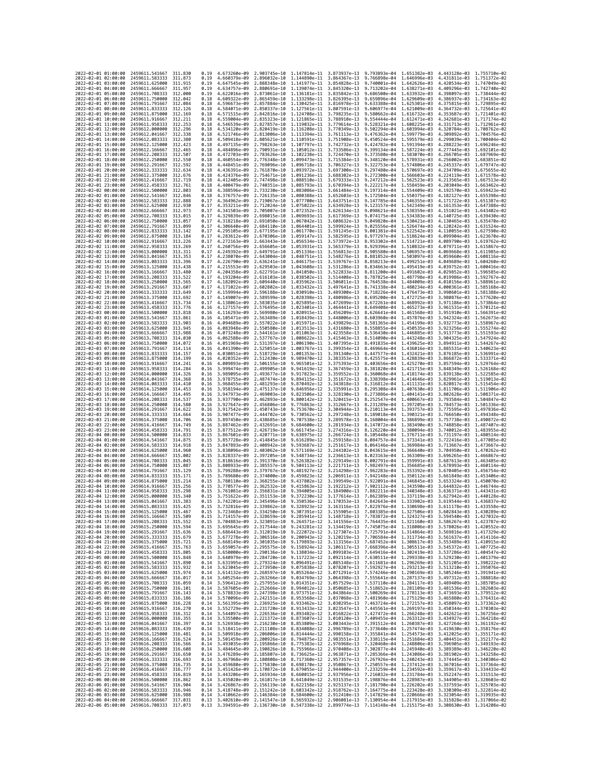| 2022-02-01 01:00:00                        |                     | 2459611.541667                                                                         | 311.830             | 0.19         | 4.673260e-09                 | 2.903745e-10                 | 1.147814e-11                                                                                                                                                                                                                                                                                                                                         | 3.873937e-13                 | 9.793893e-04                                                                                            | 1.651382e-03                 | 4.443128e-03 1.755710e-02                              |                                  |
|--------------------------------------------|---------------------|----------------------------------------------------------------------------------------|---------------------|--------------|------------------------------|------------------------------|------------------------------------------------------------------------------------------------------------------------------------------------------------------------------------------------------------------------------------------------------------------------------------------------------------------------------------------------------|------------------------------|---------------------------------------------------------------------------------------------------------|------------------------------|--------------------------------------------------------|----------------------------------|
| 2022-02-01 02:00:00                        |                     | 2459611.583333                                                                         | 311.873             | 0.19         | 4.660379e-09                 | 2.896032e-10                 | 1.144890e-11                                                                                                                                                                                                                                                                                                                                         | 3.864367e-13                 | 9.766898e-04                                                                                            | 1.646996e-03                 | 4.431811e-03                                           | 1.751372e-02                     |
| 2022-02-01 03:00:00                        |                     | 2459611.625000                                                                         | 311.915             | 0.19         | 4.647545e-09                 | 2.888348e-10                 | 1.141977e-11                                                                                                                                                                                                                                                                                                                                         | 3.854828e-13                 | 9.740001e-04                                                                                            | 1.642626e-03                 | 4.420534e-03                                           | 1,747049e-02                     |
| 2022-02-01 04:00:00<br>2022-02-01 05:00:00 |                     | 2459611.666667<br>2459611.708333                                                       | 311.957<br>312,000  | 0.19<br>0.19 | 4.634757e-09<br>4.622016e-09 | 2.873061e-10                 | 2.880691e-10 1.139074e-11<br>1.136181e-11                                                                                                                                                                                                                                                                                                            | 3.845320e-13<br>3.835842e-13 | 9.713202e-04<br>9.686500e-04                                                                            | 1,638271e-03<br>1.633932e-03 | 4.409296e-03 1.742740e-02<br>4.398097e-03 1.738444e-02 |                                  |
| 2022-02-01 06:00:00                        |                     | 2459611.750000                                                                         | 312.042             | 0.18         | 4.609322e-09                 | 2.865459e-10                 | 1.133298e-11                                                                                                                                                                                                                                                                                                                                         | 3.826395e-13                 | 9.659896e-04                                                                                            | 1,629609e-03                 | 4.386937e-03                                           | 1.734163e-02                     |
| 2022-02-01 07:00:00                        |                     | 2459611.791667                                                                         | 312.084             | 0.18         | 4.596673e-09                 | 2.857884e-10                 | 1.130425e-11                                                                                                                                                                                                                                                                                                                                         | 3.816978e-13                 | 9.633388e-04                                                                                            | 1.625301e-03                 | 4.375815e-03                                           | 1.729895e-02                     |
| 2022-02-01 08:00:00                        |                     | 2459611.833333                                                                         | 312, 126            | 0.18         | 4.584071e-09                 | 2.850337e-10                 | 1.127561e-11                                                                                                                                                                                                                                                                                                                                         | 3.807591e-13                 | 9.606977e-04                                                                                            | 1.621009e-03                 | 4.364732e-03                                           | 1.725641e-02                     |
| 2022-02-01 09:00:00<br>2022-02-01 10:00:00 |                     | 2459611.875000<br>2459611.916667                                                       | 312.169<br>312, 211 | 0.18<br>0.18 | 4.571515e-09<br>4.559004e-09 | 2.835323e-10                 | 2.842816e-10 1.124708e-11<br>1.121865e-11                                                                                                                                                                                                                                                                                                            | 3.798235e-13<br>3.788910e-13 | 9.580662e-04<br>9.554444e-04                                                                            | 1.616732e-03<br>1,612471e-03 | 4.353687e-03<br>4.342681e-03                           | 1.721401e-02<br>1.717174e-02     |
| 2022-02-01 11:00:00                        |                     | 2459611.958333                                                                         | 312.253             | 0.18         | 4.546539e-09                 | 2.827857e-10                 | 1.119032e-11                                                                                                                                                                                                                                                                                                                                         | 3.779614e-13                 | 9.528321e-04                                                                                            | 1,608225e-03                 | 4.331713e-03                                           | 1.712961e-02                     |
| 2022-02-01 12:00:00                        |                     | 2459612.000000                                                                         | 312.296             | 0.18         | 4.534120e-09                 | 2.820419e-10                 | 1.116208e-11                                                                                                                                                                                                                                                                                                                                         | 3.770349e-13                 | 9.502294e-04                                                                                            | 1.603994e-03                 | 4.320784e-03                                           | 1.708762e-02                     |
| 2022-02-01 13:00:00                        |                     | 2459612.041667                                                                         | 312,338             | 0.18         | 4.521746e-09                 | 2.813006e-10                 | 1.113394e-11                                                                                                                                                                                                                                                                                                                                         | 3.761113e-13                 | 9.476362e-04                                                                                            | 1.599779e-03                 | 4.309892e-03                                           | 1.704576e-02                     |
| 2022-02-01 14:00:00<br>2022-02-01 15:00:00 |                     | 2459612.083333<br>2459612.125000                                                       | 312.380<br>312.423  | 0.18<br>0.18 | 4.509418e-09<br>4.497135e-09 | 2.805621e-10<br>2.798263e-10 | 1.110591e-11<br>1.107797e-11                                                                                                                                                                                                                                                                                                                         | 3.751908e-13<br>3.742732e-13 | 9.450524e-04<br>9.424782e-04                                                                            | 1.595579e-03<br>1.591394e-03 | 4.299039e-03<br>4.288223e-03                           | 1.700404e-02<br>1.696246e-02     |
| 2022-02-01 16:00:00                        |                     | 2459612.166667                                                                         | 312,465             | 0.18         | 4.484896e-09                 | 2.790931e-10                 | 1.105012e-11                                                                                                                                                                                                                                                                                                                                         | 3.733586e-13                 | 9.399134e-04                                                                                            | 1.587224e-03                 | 4.277445e-03                                           | 1.692101e-02                     |
| 2022-02-01 17:00:00                        |                     | 2459612.208333                                                                         | 312.507             | 0.18         | 4.472703e-09                 | 2.783626e-10                 | 1.102238e-11                                                                                                                                                                                                                                                                                                                                         | 3.724470e-13                 | 9.373580e-04                                                                                            | 1.583070e-03                 | 4.266705e-03                                           | 1.687969e-02                     |
| 2022-02-01 18:00:00                        |                     | 2459612.250000                                                                         | 312,550             | 0.18         | 4.460554e-09                 | 2.776348e-10                 | 1.099473e-11                                                                                                                                                                                                                                                                                                                                         | 3.715384e-13                 | 9.348120e-04                                                                                            | 1.578931e-03                 | 4.256002e-03                                           | 1.683851e-02                     |
| 2022-02-01 19:00:00<br>2022-02-01 20:00:00 |                     | 2459612.291667<br>2459612.333333                                                       | 312,592             | 0.18         | 4.448451e-09<br>4.436391e-09 | 2.769096e-10                 | 1.096718e-11<br>1.093972e-11                                                                                                                                                                                                                                                                                                                         | 3.706327e-13                 | 9.322753e-04<br>9.297480e-04                                                                            | 1.574806e-03<br>1,570697e-03 | 4.245337e-03<br>4.234709e-03                           | 1.679747e-02<br>1.675655e-02     |
| 2022-02-01 21:00:00                        |                     | 2459612.375000                                                                         | 312.634<br>312.676  | 0.18<br>0.18 | 4.424376e-09                 | 2.761870e-10<br>2.754671e-10 | 1.091236e-11                                                                                                                                                                                                                                                                                                                                         | 3.697300e-13<br>3.688302e-13 | 9.272300e-04                                                                                            | 1.566603e-03                 | 4.224119e-03                                           | 1.671578e-02                     |
| 2022-02-01 22:00:00                        |                     | 2459612.416667                                                                         | 312.719             | 0.18         | 4.412405e-09                 | 2.747498e-10                 | 1.088510e-11                                                                                                                                                                                                                                                                                                                                         | 3.679333e-13                 | 9.247212e-04                                                                                            | 1,562523e-03                 | 4.213565e-03                                           | 1.667513e-02                     |
| 2022-02-01 23:00:00                        |                     | 2459612.458333                                                                         | 312,761             | 0.18         | 4.400479e-09                 | 2.740351e-10                 | 1.085793e-11                                                                                                                                                                                                                                                                                                                                         | 3.670394e-13                 | 9.222217e-04                                                                                            | 1.558459e-03                 | 4.203049e-03                                           | 1.663462e-02                     |
| 2022-02-02 00:00:00<br>2022-02-02 01:00:00 |                     | 2459612,500000                                                                         | 312.803<br>312,846  | 0.18         | 4.388596e-09                 | 2.733230e-10                 | 1.083086e-11                                                                                                                                                                                                                                                                                                                                         | 3.661484e-13                 | 9.197314e-04                                                                                            | 1.554409e-03                 | 4.192570e-03                                           | 1.659423e-02                     |
| 2022-02-02 02:00:00                        |                     | 2459612.541667<br>2459612,583333                                                       | 312.888             | 0.18<br>0.17 | 4.376757e-09<br>4.364962e-09 | 2.726135e-10<br>2.719067e-10 | 1.080388e-11<br>1.077700e-11                                                                                                                                                                                                                                                                                                                         | 3.652603e-13<br>3.643751e-13 | 9.172504e-04<br>9.147785e-04                                                                            | 1.550375e-03<br>1.546355e-03 | 4.182127e-03<br>4.171722e-03                           | 1.655398e-02<br>1.651387e-02     |
| 2022-02-02 03:00:00                        |                     | 2459612.625000                                                                         | 312,930             | 0.17         | 4.353211e-09                 | 2.712024e-10                 | 1.075022e-11                                                                                                                                                                                                                                                                                                                                         | 3.634928e-13                 | 9.123157e-04                                                                                            | 1,542349e-03                 | 4.161353e-03                                           | 1.647388e-02                     |
| 2022-02-02 04:00:00                        |                     | 2459612.666667                                                                         | 312.973             | 0.17         | 4.341503e-09                 | 2.705007e-10                 | 1.072352e-11                                                                                                                                                                                                                                                                                                                                         | 3.626134e-13                 | 9.098621e-04                                                                                            | 1.538359e-03                 | 4.151021e-03                                           | 1.643402e-02                     |
| 2022-02-02 05:00:00<br>2022-02-02 06:00:00 |                     | 2459612.708333<br>2459612.750000                                                       | 313.015<br>313.057  | 0.17<br>0.17 | 4.329839e-09<br>4.318218e-09 | 2.698015e-10                 | 1.069693e-11<br>1.067042e-11                                                                                                                                                                                                                                                                                                                         | 3.617369e-13<br>3.608632e-13 | 9.074175e-04 1.534383e-03<br>9.049820e-04                                                               | 1,530421e-03                 | 4.140725e-03<br>4.130465e-03                           | 1.639430e-02<br>1.635470e-02     |
| 2022-02-02 07:00:00                        |                     | 2459612.791667                                                                         | 313.099             | 0.17         | 4.306640e-09                 | 2.691050e-10<br>2.684110e-10 | 1.064401e-11                                                                                                                                                                                                                                                                                                                                         | 3.599924e-13                 | 9.025556e-04                                                                                            | 1,526474e-03                 | 4.120242e-03                                           | 1.631524e-02                     |
| 2022-02-02 08:00:00                        |                     | 2459612.833333                                                                         | 313, 142            | 0.17         | 4.295105e-09                 | 2.677195e-10                 | 1.061770e-11                                                                                                                                                                                                                                                                                                                                         | 3.591245e-13                 | 9.001381e-04                                                                                            | 1.522542e-03                 | 4.110055e-03                                           | 1.627590e-02                     |
| 2022-02-02 09:00:00                        |                     | 2459612.875000                                                                         | 313, 184            | 0.17         | 4.283612e-09                 | 2.670306e-10                 | 1.059147e-11                                                                                                                                                                                                                                                                                                                                         | 3.582595e-13                 | 8.977297e-04                                                                                            | 1.518624e-03                 | 4.099904e-03                                           | 1.623670e-02                     |
| 2022-02-02 10:00:00                        |                     | 2459612.916667                                                                         | 313.226             | 0.17         | 4.272163e-09                 | 2.663443e-10                 | 1.056534e-11                                                                                                                                                                                                                                                                                                                                         | 3.573972e-13                 | 8.953302e-04                                                                                            | 1.514721e-03                 | 4.089790e-03 1.619762e-02                              |                                  |
| 2022-02-02 11:00:00<br>2022-02-02 12:00:00 |                     | 2459612.958333<br>2459613.000000                                                       | 313.269<br>313, 311 | 0.17<br>0.17 | 4.260756e-09<br>4.249392e-09 | 2.656605e-10<br>2.649791e-10 | 1.053931e-11<br>1.051336e-11                                                                                                                                                                                                                                                                                                                         | 3.565379e-13<br>3.556813e-13 | 8.929396e-04<br>8.905580e-04                                                                            | 1.510832e-03<br>1.506957e-03 | 4.079711e-03<br>4.069668e-03                           | 1.615867e-02<br>1.611985e-02     |
| 2022-02-02 13:00:00                        |                     | 2459613.041667                                                                         | 313.353             | 0.17         | 4.238070e-09                 | 2.643004e-10                 | 1.048751e-11                                                                                                                                                                                                                                                                                                                                         | 3.548276e-13                 | 8.881852e-04                                                                                            | 1.503097e-03                 | 4.059660e-03                                           | 1.608116e-02                     |
| 2022-02-02 14:00:00                        |                     | 2459613.083333                                                                         | 313.396             | 0.17         | 4.226790e-09                 | 2.636241e-10                 | 1.046175e-11                                                                                                                                                                                                                                                                                                                                         | 3.539767e-13                 | 8.858213e-04                                                                                            | 1.499251e-03                 | 4.049689e-03                                           | 1.604260e-02                     |
| 2022-02-02 15:00:00                        |                     | 2459613.125000                                                                         | 313.438<br>313,480  | 0.17         | 4.215553e-09                 | 2.629503e-10                 | 1.043608e-11                                                                                                                                                                                                                                                                                                                                         | 3.531286e-13                 | 8.834663e-04                                                                                            | 1.495419e-03                 | 4.039752e-03                                           | 1.600416e-02                     |
| 2022-02-02 16:00:00<br>2022-02-02 17:00:00 |                     | 2459613.166667<br>2459613.208333                                                       | 313.522             | 0.17<br>0.17 | 4.204358e-09<br>4.193204e-09 | 2.622791e-10<br>2.616103e-10 | 1.041050e-11<br>1.038502e-11                                                                                                                                                                                                                                                                                                                         | 3.522833e-13<br>3.514408e-13 | 8.811200e-04<br>8.787825e-04                                                                            | 1.491602e-03<br>1.487798e-03 | 4.029852e-03<br>4.019986e-03                           | 1.596585e-02<br>1.592767e-02     |
| 2022-02-02 18:00:00                        |                     | 2459613.250000                                                                         | 313.565             | 0.17         | 4.182092e-09                 | 2.609440e-10                 | 1.035962e-11                                                                                                                                                                                                                                                                                                                                         | 3.506011e-13                 | 8.764538e-04                                                                                            | 1,484009e-03                 | 4.010156e-03                                           | 1.588961e-02                     |
| 2022-02-02 19:00:00                        |                     | 2459613.291667                                                                         | 313.607             | 0.17         | 4.171022e-09                 | 2.602802e-10                 | 1.033432e-11                                                                                                                                                                                                                                                                                                                                         | 3.497641e-13                 | 8.741338e-04                                                                                            | 1.480234e-03                 | 4.000361e-03                                           | 1.585168e-02                     |
| 2022-02-02 20:00:00                        |                     | 2459613.333333                                                                         | 313.649             | 0.17         | 4.159994e-09                 |                              | 2.596188e-10 1.030910e-11                                                                                                                                                                                                                                                                                                                            | 3.489300e-13                 | 8.718226e-04                                                                                            | 1.476473e-03                 | 3.990601e-03                                           | 1.581388e-02                     |
| 2022-02-02 21:00:00<br>2022-02-02 22:00:00 |                     | 2459613.375000<br>2459613.416667                                                       | 313.692<br>313.734  | 0.17<br>0.17 | 4.149007e-09<br>4.138061e-09 | 2.589599e-10<br>2.583035e-10 | 1.028398e-11<br>1.025895e-11                                                                                                                                                                                                                                                                                                                         | 3.480986e-13<br>3.472699e-13 | 8.695200e-04<br>8.672261e-04                                                                            | 1.472725e-03<br>1.468992e-03 | 3.980876e-03 1.577620e-02<br>3.971186e-03              | 1.573864e-02                     |
| 2022-02-02 23:00:00                        |                     | 2459613.458333                                                                         | 313.776             | 0.16         | 4.127157e-09                 | 2.576495e-10                 | 1.023401e-11                                                                                                                                                                                                                                                                                                                                         | 3.464441e-13                 | 8.649408e-04                                                                                            | 1.465273e-03                 | 3.961531e-03                                           | 1.570121e-02                     |
| 2022-02-03 00:00:00                        |                     | 2459613.500000                                                                         | 313,818             | 0.16         | 4.116293e-09                 | 2.569980e-10                 | 1.020915e-11                                                                                                                                                                                                                                                                                                                                         | 3.456209e-13                 | 8.626641e-04                                                                                            | 1,461568e-03                 | 3.951910e-03                                           | 1.566391e-02                     |
| 2022-02-03 01:00:00                        |                     | 2459613.541667                                                                         | 313,861             | 0.16         | 4.105471e-09                 | 2.563489e-10                 | 1.018439e-11                                                                                                                                                                                                                                                                                                                                         | 3.448006e-13                 | 8.603960e-04                                                                                            | 1,457876e-03                 | 3.942324e-03                                           | 1.562673e-02                     |
| 2022-02-03 02:00:00                        |                     | 2459613.583333                                                                         | 313.903<br>313.945  | 0.16         | 4.094689e-09                 | 2.557022e-10                 | 1.015971e-11<br>1.013513e-11                                                                                                                                                                                                                                                                                                                         | 3.439829e-13                 | 8.581365e-04                                                                                            | 1.454199e-03                 | 3.932773e-03<br>3.923256e-03                           | 1.558967e-02<br>1.555274e-02     |
| 2022-02-03 03:00:00<br>2022-02-03 04:00:00 |                     | 2459613.625000<br>2459613.666667                                                       | 313.988             | 0.16<br>0.16 | 4.083948e-09<br>4.073248e-09 | 2.550580e-10<br>2.544161e-10 | 1.011063e-11                                                                                                                                                                                                                                                                                                                                         | 3.431680e-13<br>3.423558e-13 | 8.558855e-04<br>8.536430e-04                                                                            | 1.450535e-03<br>1.446885e-03 | 3.913773e-03                                           | 1.551593e-02                     |
| 2022-02-03 05:00:00                        |                     | 2459613.708333                                                                         | 314.030             | 0.16         | 4.062588e-09                 | 2.537767e-10                 | 1.008622e-11                                                                                                                                                                                                                                                                                                                                         | 3.415463e-13                 | 8.514090e-04                                                                                            | 1.443248e-03                 | 3.904325e-03                                           | 1.547924e-02                     |
| 2022-02-03 06:00:00                        |                     | 2459613.750000                                                                         | 314.072             | 0.16         | 4.051969e-09                 | 2.531397e-10                 | 1.006190e-11                                                                                                                                                                                                                                                                                                                                         | 3.407395e-13                 | 8.491835e-04                                                                                            | 1.439625e-03                 | 3.894911e-03                                           | 1.544267e-02                     |
| 2022-02-03 07:00:00                        |                     | 2459613.791667                                                                         | 314.114             | 0.16         | 4.041390e-09                 | 2.525051e-10                 | 1.003767e-11                                                                                                                                                                                                                                                                                                                                         | 3.399354e-13                 | 8.469664e-04                                                                                            | 1.436016e-03                 | 3.885531e-03 1.540623e-02                              |                                  |
| 2022-02-03 08:00:00<br>2022-02-03 09:00:00 |                     | 2459613.833333<br>2459613.875000                                                       | 314, 157<br>314.199 | 0.16<br>0.16 | 4.030851e-09<br>4.020352e-09 | 2.518729e-10<br>2.512430e-10 | 1.001353e-11<br>9.989470e-12                                                                                                                                                                                                                                                                                                                         | 3.391340e-13<br>3.383353e-13 | 8.447577e-04<br>8.425575e-04                                                                            | 1.432421e-03<br>1.428839e-03 | 3.876185e-03 1.536991e-02<br>3.866872e-03              | 1.533371e-02                     |
| 2022-02-03 10:00:00                        |                     | 2459613.916667                                                                         | 314.241             | 0.16         | 4.009893e-09                 | 2.506155e-10                 | 9.965501e-12                                                                                                                                                                                                                                                                                                                                         | 3.375393e-13                 | 8.403656e-04                                                                                            | 1.425270e-03                 | 3.857594e-03                                           | 1.529764e-02                     |
| 2022-02-03 11:00:00                        |                     | 2459613.958333                                                                         | 314, 284            | 0.16         | 3.999474e-09                 | 2.499905e-10                 | 9.941619e-12                                                                                                                                                                                                                                                                                                                                         | 3.367459e-13                 | 8.381820e-04                                                                                            | 1.421715e-03                 | 3.848349e-03                                           | 1.526168e-02                     |
| 2022-02-03 12:00:00                        |                     | 2459614.000000                                                                         | 314,326             | 0.16         | 3.989095e-09                 | 2.493677e-10                 | 9.917823e-12                                                                                                                                                                                                                                                                                                                                         | 3.359552e-13                 | 8.360068e-04                                                                                            | 1,418174e-03                 | 3.839138e-03                                           | 1.522585e-02                     |
| 2022-02-03 13:00:00<br>2022-02-03 14:00:00 |                     | 2459614.041667<br>2459614.083333                                                       | 314, 368<br>314,410 | 0.16<br>0.16 | 3.978755e-09<br>3.968455e-09 | 2.487474e-10<br>2.481293e-10 | 9.894115e-12<br>9.870492e-12                                                                                                                                                                                                                                                                                                                         | 3.351672e-13<br>3.343818e-13 | 8.338398e-04<br>8.316812e-04                                                                            | 1,414646e-03<br>1.411131e-03 | 3.829961e-03<br>3.820817e-03                           | 1.519013e-02<br>1.515454e-02     |
| 2022-02-03 15:00:00                        |                     | 2459614.125000                                                                         | 314,453             | 0.16         | 3.958194e-09                 | 2.475137e-10                 | 9.846956e-12                                                                                                                                                                                                                                                                                                                                         | 3.335991e-13                 | 8.295308e-04                                                                                            | 1.407630e-03                 | 3.811706e-03                                           | 1.511906e-02                     |
| 2022-02-03 16:00:00                        |                     | 2459614.166667                                                                         | 314.495             | 0.16         | 3.947973e-09                 | 2.469003e-10                 | 9.823506e-12                                                                                                                                                                                                                                                                                                                                         | 3.328190e-13                 | 8.273886e-04                                                                                            | 1.404141e-03                 | 3.802628e-03                                           | 1.508371e-02                     |
| 2022-02-03 17:00:00                        |                     | 2459614.208333                                                                         | 314.537             | 0.16         | 3.937790e-09                 | 2.462893e-10                 | 9.800142e-12                                                                                                                                                                                                                                                                                                                                         | 3.320415e-13                 | 8.252547e-04                                                                                            | 1.400667e-03                 | 3.793584e-03                                           | 1.504847e-02                     |
| 2022-02-03 18:00:00<br>2022-02-03 19:00:00 |                     | 2459614.250000<br>2459614.291667                                                       | 314.580<br>314.622  | 0.16<br>0.16 | 3.927647e-09<br>3.917542e-09 | 2.456806e-10<br>2.450743e-10 | 9.776863e-12<br>9.753670e-12                                                                                                                                                                                                                                                                                                                         | 3.312667e-13<br>3.304944e-13 | 8.231289e-04<br>8.210113e-04                                                                            | 1.397205e-03<br>1.393757e-03 | 3.784573e-03<br>3.775595e-03                           | 1.501336e-02<br>1.497836e-02     |
| 2022-02-03 20:00:00                        |                     | 2459614.333333                                                                         | 314.664             | 0.16         | 3.907477e-09                 | 2.444702e-10                 | 9.730562e-12                                                                                                                                                                                                                                                                                                                                         | 3.297248e-13                 | 8.189018e-04                                                                                            | 1.390321e-03                 | 3.766650e-03                                           | 1.494348e-02                     |
| 2022-02-03 21:00:00                        |                     | 2459614.375000                                                                         | 314,706             | 0.16         | 3.897450e-09                 | 2.438685e-10                 | 9.707538e-12                                                                                                                                                                                                                                                                                                                                         | 3.289578e-13                 | 8.168004e-04                                                                                            | 1.386899e-03                 | 3.757738e-03                                           | 1.490872e-02                     |
| 2022-02-03 22:00:00                        |                     | 2459614.416667                                                                         | 314,749             | 0.16         | 3.887462e-09                 | 2.432691e-10                 | 9.684600e-12                                                                                                                                                                                                                                                                                                                                         | 3.281934e-13                 | 8.147072e-04                                                                                            | 1.383490e-03                 | 3.748858e-03                                           | 1.487407e-02                     |
| 2022-02-03 23:00:00                        |                     | 2459614.458333                                                                         | 314.791             | 0.15         | 3.877512e-09                 | 2.426719e-10                 | 9.661745e-12                                                                                                                                                                                                                                                                                                                                         | 3.274316e-13                 | 8.126220e-04                                                                                            | 1,380094e-03                 | 3.740012e-03                                           | 1.483955e-02                     |
| 2022-02-04 00:00:00<br>2022-02-04 01:00:00 |                     | 2459614.500000<br>2459614.541667                                                       | 314,833<br>314.875  | 0.15<br>0.15 | 3.867601e-09<br>3.857728e-09 | 2.420771e-10<br>2.414845e-10 | 9.638975e-12<br>9.616289e-12                                                                                                                                                                                                                                                                                                                         | 3.266724e-13<br>3.259158e-13 | 8.105448e-04<br>8.084757e-04                                                                            | 1.376711e-03<br>1,373341e-03 | 3.731197e-03<br>3.722416e-03                           | 1.480514e-02<br>1.477085e-02     |
| 2022-02-04 02:00:00                        |                     | 2459614.583333                                                                         | 314,918             | 0.15         | 3.847893e-09                 | 2.408942e-10                 | 9.593687e-12                                                                                                                                                                                                                                                                                                                                         | 3.251617e-13                 | 8.064146e-04                                                                                            | 1.369984e-03                 | 3.713667e-03                                           | 1.473667e-02                     |
| 2022-02-04 03:00:00                        |                     | 2459614.625000                                                                         | 314.960             | 0.15         | 3.838096e-09                 | 2.403062e-10                 | 9.571169e-12                                                                                                                                                                                                                                                                                                                                         | 3.244102e-13                 | 8.043615e-04                                                                                            | 1.366640e-03                 | 3,704950e-03                                           | 1.470262e-02                     |
| 2022-02-04 04:00:00<br>2022-02-04 05:00:00 |                     | 2459614.666667<br>2459614.708333                                                       | 315.002<br>315.045  | 0.15<br>0.15 | 3.828337e-09<br>3.818616e-09 | 2.397205e-10<br>2.391370e-10 | 9.548734e-12<br>9.526382e-12                                                                                                                                                                                                                                                                                                                         | 3.236613e-13<br>3.229149e-13 | 8.023163e-04<br>8.002791e-04                                                                            | 1.363309e-03<br>1.359991e-03 | 3.696265e-03<br>3.687613e-03                           | 1.466867e-02<br>1.463485e-02     |
| 2022-02-04 06:00:00                        |                     | 2459614.750000                                                                         | 315.087             | 0.15         | 3.808933e-09                 | 2.385557e-10                 | 9.504113e-12                                                                                                                                                                                                                                                                                                                                         | 3.221711e-13                 | 7.982497e-04                                                                                            | 1.356685e-03                 | 3.678993e-03                                           | 1.460114e-02                     |
| 2022-02-04 07:00:00                        |                     | 2459614.791667                                                                         | 315,129             | 0.15         | 3.799288e-09                 | 2.379767e-10                 | 9.481927e-12                                                                                                                                                                                                                                                                                                                                         | 3.214298e-13                 | 7.962283e-04                                                                                            | 1.353392e-03                 | 3.670405e-03                                           | 1.456754e-02                     |
| 2022-02-04 08:00:00                        |                     | 2459614,833333                                                                         | 315.171             | 0.15         | 3.789680e-09                 | 2.374000e-10                 | 9.459823e-12                                                                                                                                                                                                                                                                                                                                         | 3.206911e-13                 | 7.942148e-04                                                                                            | 1.350112e-03                 | 3.661849e-03                                           | 1.453406e-02                     |
| 2022-02-04 09:00:00                        |                     | 2459614.875000                                                                         | 315.214             | 0.15         | 3.780110e-09                 | 2.368255e-10                 | 9.437802e-12                                                                                                                                                                                                                                                                                                                                         | 3.199549e-13                 | 7.922091e-04<br>7.902112e-04                                                                            | 1,346845e-03<br>1.343590e-03 | 3.653324e-03                                           | 1.450070e-02<br>$1.446744e - 02$ |
| 2022-02-04 10:00:00<br>2022-02-04 11:00:00 |                     | 2459614.916667<br>2459614,958333                                                       | 315,256<br>315.298  | 0.15<br>0.15 | 3.770577e-09<br>3.761081e-09 | 2.362532e-10<br>2.356831e-10 | 9.415863e-12<br>9.394005e-12                                                                                                                                                                                                                                                                                                                         | 3.192212e-13<br>3.184900e-13 | 7.882211e-04                                                                                            | 1,340348e-03                 | 3.644832e-03<br>3.636371e-03                           | 1.443431e-02                     |
| 2022-02-04 12:00:00                        |                     | 2459615,000000                                                                         | 315, 340            | 0.15         | 3.751622e-09                 | 2.351153e-10                 | 9.372230e-12                                                                                                                                                                                                                                                                                                                                         | 3.177614e-13                 | 7.862389e-04 1.337119e-03                                                                               |                              | 3.627942e-03                                           | 1.440128e-02                     |
| 2022-02-04 13:00:00                        |                     | 2459615.041667                                                                         | 315.383             | 0.15         | 3.742201e-09                 | 2.345496e-10                 | 9.350536e-12                                                                                                                                                                                                                                                                                                                                         | 3.170353e-13                 | 7.842643e-04 1.333902e-03                                                                               |                              | 3.619544e-03 1.436837e-02                              |                                  |
| 2022-02-04 14:00:00<br>2022-<br>-02-04     | 15:00:00            | 2459615.083333<br>2459615.125000                                                       | 315.425<br>315.467  | 0.15<br>0.15 | 3.732816e-09<br>3.723468e-09 | 2.334250e-10                 | 2.339862e-10 9.328923e-12<br>9.307391e-12                                                                                                                                                                                                                                                                                                            | 3.155905e-13                 | 3.163116e-13 7.822976e-04 1.330698e-03 3.611178e-03 1.433558e-02<br>7.803385e-04                        |                              | 3.602843e-03                                           | 1.430289e-02                     |
| 2022-02-04 16:00:00                        |                     | 2459615.166667 315.509                                                                 |                     |              |                              |                              | 0.15 3.714157e-09 2.328659e-10 9.285941e-12 3.148718e-13 7.783872e-04 1.324327e-03 3.594540e-03 1.427032e-02                                                                                                                                                                                                                                         |                              |                                                                                                         | 1.327506e-03                 |                                                        |                                  |
| 2022-02-04 17:00:00                        |                     | 2459615.208333 315.552                                                                 |                     | 0.15         |                              |                              | 3.704883e-09 2.323091e-10 9.264571e-12 3.141556e-13 7.764435e-04 1.321160e-03 3.586267e-03 1.423787e-02                                                                                                                                                                                                                                              |                              |                                                                                                         |                              |                                                        |                                  |
| 2022-02-04 18:00:00                        |                     | 2459615.250000                                                                         | 315.594             | 0.15         |                              |                              |                                                                                                                                                                                                                                                                                                                                                      |                              |                                                                                                         |                              |                                                        |                                  |
| 2022-02-04 19:00:00                        |                     |                                                                                        |                     |              |                              |                              |                                                                                                                                                                                                                                                                                                                                                      |                              | 3.695645e-09 2.317544e-10 9.243281e-12 3.134419e-13 7.745075e-04 1.318006e-03 3.578026e-03 1.420552e-02 |                              |                                                        |                                  |
| 2022-02-04 21:00:00                        |                     | 2459615.291667 315.636                                                                 |                     |              |                              |                              | 0.15 3.686443e-09 2.312019e-10 9.222072e-12 3.127307e-13 7.725791e-04 1.314864e-03 3.569816e-03 1.417329e-02                                                                                                                                                                                                                                         |                              |                                                                                                         |                              |                                                        |                                  |
| 2022-02-04 22:00:00                        | 2022-02-04 20:00:00 | 2459615.333333 315.679                                                                 |                     |              |                              |                              | 0.15 3.677278e-09 2.306516e-10 9.200943e-12 3.120219e-13 7.706584e-04 1.311734e-03 3.561637e-03 1.414116e-02                                                                                                                                                                                                                                         |                              |                                                                                                         |                              |                                                        |                                  |
|                                            |                     | 2459615.375000<br>2459615.416667                                                       | 315.721<br>315.763  | 0.15<br>0.15 |                              |                              | 3.668149e-09 2.301035e-10 9.179893e-12 3.113156e-13 7.687452e-04 1.308617e-03 3.553489e-03 1.410915e-02<br>3.659057e-09 2.295575e-10 9.158924e-12 3.106117e-13 7.668396e-04 1.305511e-03 3.553489e-03 1.410915e-02                                                                                                                                   |                              |                                                                                                         |                              |                                                        |                                  |
|                                            | 2022-02-04 23:00:00 | 2459615.458333 315.805                                                                 |                     |              |                              |                              | 0.15 3.650000e-09 2.290136e-10 9.138034e-12 3.099103e-13 7.649416e-04 1.302419e-03 3.537286e-03 1.404547e-02                                                                                                                                                                                                                                         |                              |                                                                                                         |                              |                                                        |                                  |
| 2022-02-05 00:00:00                        |                     | 2459615.500000 315.848                                                                 |                     |              |                              |                              | 0.14 3.640979e-09 2.284720e-10 9.117223e-12 3.092114e-13 7.630511e-04 1.299338e-03 3.529230e-03 1.401379e-02                                                                                                                                                                                                                                         |                              |                                                                                                         |                              |                                                        |                                  |
| 2022-02-05 01:00:00                        |                     | 2459615.541667                                                                         | 315.890             |              |                              |                              |                                                                                                                                                                                                                                                                                                                                                      |                              |                                                                                                         |                              |                                                        |                                  |
| 2022-02-05 02:00:00<br>2022-02-05 03:00:00 |                     | 2459615.583333<br>2459615.625000 315.974                                               | 315,932             |              |                              |                              | 0.14 3.631995e-09 2.279324e-10 9.096491e-12 3.085148e-13 7.611681e-04 1.296269e-03 3.521205e-03 1.398222e-02<br>0.14 3.631995e-09 2.273939e-10 9.096391e-12 3.078307e-13 7.611681e-04 1.296269e-03 3.51220e-03 1.398222e-02<br>0.14                                                                                                                  |                              |                                                                                                         |                              |                                                        |                                  |
| 2022-02-05 04:00:00                        |                     | 2459615.666667 316.017                                                                 |                     |              |                              |                              |                                                                                                                                                                                                                                                                                                                                                      |                              |                                                                                                         |                              |                                                        |                                  |
| 2022-02-05 05:00:00                        |                     | 2459615.708333                                                                         | 316.059             |              |                              |                              |                                                                                                                                                                                                                                                                                                                                                      |                              |                                                                                                         |                              |                                                        |                                  |
| 2022-02-05 06:00:00<br>2022-02-05 07:00:00 |                     | 2459615.750000 316.101                                                                 |                     |              |                              |                              | 0.14 3.605254e-09 2.263266e-10 9.034769e-12 3.064398e-13 7.555641e-04 1.287137e-03 3.497312e-03 1.388818e-02<br>0.14 3.505412e-09 2.257955e-10 9.014351e-12 3.057529e-13 7.555641e-04 1.287137e-03 3.48949e-03 1.388818e-02<br>0.14                                                                                                                  |                              |                                                                                                         |                              |                                                        |                                  |
| 2022-02-05 08:00:00                        |                     | 2459615.791667 316.143<br>2459615.833333 316.186                                       |                     |              |                              |                              |                                                                                                                                                                                                                                                                                                                                                      |                              |                                                                                                         |                              |                                                        |                                  |
| 2022-02-05 09:00:00                        |                     | 2459615.875000 316.228                                                                 |                     |              |                              |                              | 0.14 3.578833e-09 2.247398e-10 8.973751e-12 3.043864e-13 7.50026Be-04 1.278113e-03 3.473693e-03 1.379512e-02<br>0.14 3.578833e-09 2.247398e-10 8.973751e-12 3.037868e-13 7.500269e-04 1.278113e-03 3.453698e-03 1.379512e-02<br>0.14                                                                                                                 |                              |                                                                                                         |                              |                                                        |                                  |
| 2022-02-05 10:00:00                        |                     | 2459615.916667 316.270                                                                 |                     |              |                              |                              | 0.14 3.552729e-09 2.231720e-10 8.913433e-12 3.023547e-13 7.445561e-04 1.269197e-03 3.450344e-03 1.370303e-02                                                                                                                                                                                                                                         |                              |                                                                                                         |                              |                                                        |                                  |
| 2022-02-05 11:00:00<br>2022-02-05 12:00:00 |                     | 2459615.958333 316.312<br>2459616.000000                                               | 316, 355            |              |                              |                              | 0.14 3.544097e-09 2.226536e-10 8.893482e-12 3.016822e-13 7.427472e-04 1.266248e-03 3.442621e-03 1.367256e-02                                                                                                                                                                                                                                         |                              |                                                                                                         |                              |                                                        |                                  |
| 2022-02-05 13:00:00                        |                     | 2459616.041667                                                                         | 316,397             |              |                              |                              | 0.14 3.535500e-09 2.221372e-10 8.873607e-12 3.010120e-13 7.409455e-04 1.263312e-03 3.434927e-03 1.364218e-02<br>0.14 3.526938e-09 2.216230e-10 8.853809e-12 3.003443e-13 7.391512e-04 1.260387e-03 3.427264e-03 1.361192e-02                                                                                                                         |                              |                                                                                                         |                              |                                                        |                                  |
| 2022-02-05 14:00:00                        |                     | 2459616.083333 316.439                                                                 |                     |              |                              |                              | 0.14 3.518411e-09 2.211108e-10 8.834088e-12 2.996789e-13 7.373640e-04 1.257474e-03 3.419630e-03 1.358176e-02                                                                                                                                                                                                                                         |                              |                                                                                                         |                              |                                                        |                                  |
| 2022-02-05 15:00:00                        |                     | 2459616.125000                                                                         | 316.481             |              |                              |                              |                                                                                                                                                                                                                                                                                                                                                      |                              |                                                                                                         |                              |                                                        |                                  |
| 2022-02-05 16:00:00<br>2022-02-05 17:00:00 |                     | 2459616.166667<br>2459616.208333 316.566                                               | 316.524             |              |                              |                              |                                                                                                                                                                                                                                                                                                                                                      |                              |                                                                                                         |                              |                                                        |                                  |
| 2022-02-05 18:00:00                        |                     | 2459616.250000 316.608                                                                 |                     |              |                              |                              | 0.14 3.509918e-09 2.206906e-10 8.814444e-12 2.999158e-13 7.358141e-04 1.254573e-03 3.412025e-03 1.355171e-02<br>0.14 3.509918e-09 2.206906e-10 8.7558951-2 2.983551e-13 7.35818e-04 1.254573e-03 3.412025e-03 1.355171e-02<br>0.14 3                                                                                                                 |                              |                                                                                                         |                              |                                                        |                                  |
| 2022-02-05 19:00:00                        |                     | 2459616.291667                                                                         | 316.650             |              |                              |                              |                                                                                                                                                                                                                                                                                                                                                      |                              |                                                                                                         |                              |                                                        |                                  |
| 2022-02-05 20:00:00                        |                     | 2459616.333333 316.693                                                                 |                     |              |                              |                              | $\begin{array}{cccccccc} 0.14 & 3.476289e-09 & 2.185807e-10 & 8.736625e-12 & 2.963871e-13 & 7.285366e-04 & 1.243086e-03 & 3.381902e-03 & 1.343258e-02 \\ 0.14 & 3.467968e-09 & 2.180808e-10 & 8.717360e-12 & 2.957357e-13 & 7.267926e-04 & 1.240243e-03 & 3.3$                                                                                       |                              |                                                                                                         |                              |                                                        |                                  |
| 2022-02-05 21:00:00                        |                     | 2459616.375000 316.735                                                                 |                     |              |                              |                              | 0.14 3.459680e-09 2.175830e-10 8.698170e-12 2.950867e-13 7.250557e-04 1.237412e-03 3.367016e-03 1.337364e-02                                                                                                                                                                                                                                         |                              |                                                                                                         |                              |                                                        |                                  |
| 2022-02-05 22:00:00<br>2022-02-05 23:00:00 |                     | 2459616.416667<br>2459616.458333                                                       | 316.777<br>316,819  |              |                              |                              |                                                                                                                                                                                                                                                                                                                                                      |                              |                                                                                                         |                              |                                                        |                                  |
| 2022-02-06 00:00:00                        |                     | 2459616.500000 316.862                                                                 |                     |              |                              |                              | 0.14 3.451426e-09 2.170877e-10 8.679055e-12 2.944400e-13 7.233259e-04 1.234592e-03 3.359617e-03 1.334433e-02<br>0.14 3.445206e-09 2.165934e-10 8.660015e-12 2.937956e-13 7.233259e-04 1.231784e-03 3.352617e-03 1.334433e-02<br>0.14                                                                                                                 |                              |                                                                                                         |                              |                                                        |                                  |
| 2022-02-06 01:00:00                        |                     | 2459616.541667 316.904                                                                 |                     |              |                              |                              | 0.14 3.426867e-09 2.156119e-10 8.622158e-12 2.925137e-13 7.181790e-04 1.226202e-03 3.337593e-03 1.325703e-02                                                                                                                                                                                                                                         |                              |                                                                                                         |                              |                                                        |                                  |
| 2022-02-06 02:00:00                        |                     | 2459616.583333 316.946                                                                 |                     |              |                              |                              |                                                                                                                                                                                                                                                                                                                                                      |                              |                                                                                                         |                              |                                                        |                                  |
| 2022-02-06 03:00:00<br>2022-02-06 04:00:00 |                     | 2459616.625000<br>2459616.666667 317.031<br>2022-02-06 05:00:00 2459616.708333 317.073 | 316.988             |              |                              |                              | 0.14 3.418748e-09 2.151242e-10 8.683342e-12 2.918762e-13 7.164775e-04 1.223428e-03 3.330309e-03 1.322814e-02<br>0.14 3.418748e-09 2.146384e-10 8.584600e-12 2.912410e-13 7.164775e-04 1.223428e-03 3.330309e-03 1.322814e-02<br>0.13<br>0.13 3.394591e-09 2.136730e-10 8.547338e-12 2.899774e-13 7.114148e-04 1.215175e-03 3.308630e-03 1.314208e-02 |                              |                                                                                                         |                              |                                                        |                                  |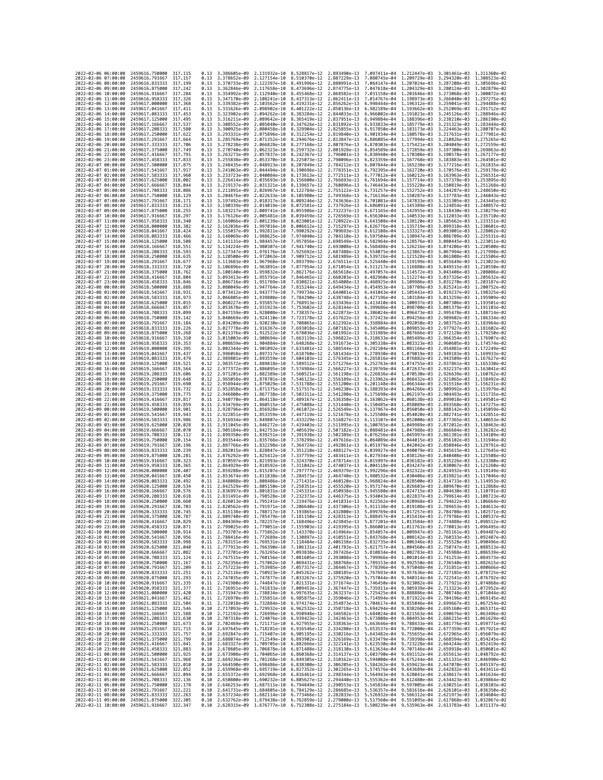| 2022-02-06 06:00:00                        |                     | 2459616,750000                                                       | 317.115             | 0.13         | 3.386605e-09 2.131932e-10    |                              | 8.528817e-12 2.893490e-13                                                                                                                                                                                                            |                                                                                                              | 7.097411e-04                              | 1.212447e-03                              | 3.301461e-03 1.311360e-02                              |                              |
|--------------------------------------------|---------------------|----------------------------------------------------------------------|---------------------|--------------|------------------------------|------------------------------|--------------------------------------------------------------------------------------------------------------------------------------------------------------------------------------------------------------------------------------|--------------------------------------------------------------------------------------------------------------|-------------------------------------------|-------------------------------------------|--------------------------------------------------------|------------------------------|
| 2022-02-06 07:00:00                        |                     | 2459616, 791667                                                      | 317.157             | 0.13         | 3.378652e-09                 | 2.127154e-10                 | 8.510370e-12                                                                                                                                                                                                                         | 2.887229e-13                                                                                                 | 7.080745e-04                              | 1.209729e-03                              | 3.294320e-03 1.308523e-02                              |                              |
| 2022-02-06 08:00:00                        |                     | 2459616.833333                                                       | 317, 199            | 0.13         | 3.370733e-09                 | 2.122397e-10                 | 8.491996e-12                                                                                                                                                                                                                         | 2.880991e-13                                                                                                 | 7.064147e-04                              | 1.207024e-03                              | 3.287208e-03                                           | 1.305696e-02                 |
| 2022-02-06 09:00:00<br>2022-02-06 10:00:00 |                     | 2459616,875000<br>2459616.916667                                     | 317.242<br>317.284  | 0.13<br>0.13 | 3.362846e-09<br>3.354992e-09 | 2.117658e-10<br>2.112940e-10 | 8.473696e-12<br>8.455468e-12                                                                                                                                                                                                         | 2.874775e-13<br>2.868582e-13                                                                                 | 7.031158e-04                              | 7.047618e-04 1.204329e-03<br>1.201646e-03 | 3.280124e-03 1.302879e-02<br>3.273068e-03 1.300072e-02 |                              |
| 2022-02-06 11:00:00                        |                     | 2459616.958333                                                       | 317.326             | 0.13         | 3.347170e-09                 | 2.108241e-10                 | 8.437313e-12                                                                                                                                                                                                                         | 2.862411e-13                                                                                                 | 7.014767e-04                              | 1.198973e-03                              | 3.266040e-03                                           | 1.297275e-02                 |
| 2022-02-06 12:00:00                        |                     | 2459617.000000                                                       | 317, 368            | 0.13         | 3.339382e-09                 | 2.103562e-10                 | 8.419231e-12                                                                                                                                                                                                                         | 2.856262e-13                                                                                                 | 6.998444e-04                              | 1.196312e-03                              | 3.259041e-03                                           | 1.294488e-02                 |
| 2022-02-06 13:00:00                        |                     | 2459617.041667                                                       | 317.411             | 0.13         | 3.331626e-09                 | 2.098902e-10                 | 8.401222e-12                                                                                                                                                                                                                         | 2.850136e-13                                                                                                 | 6.982189e-04                              | 1.193662e-03                              | 3.252069e-03                                           | 1.291712e-02                 |
| 2022-02-06 14:00:00<br>2022-02-06 15:00:00 |                     | 2459617.083333<br>2459617.125000                                     | 317.453<br>317,495  | 0.13<br>0.13 | 3.323902e-09<br>3.316211e-09 | 2.094262e-10<br>2.089642e-10 | 8.383284e-12<br>8.365419e-12                                                                                                                                                                                                         | 2.844033e-13<br>2.837951e-13                                                                                 | 6.966002e-04<br>6.949884e-04              | 1.191023e-03<br>1,188396e-03              | 3.245126e-03<br>3.238210e-03                           | 1.288946e-02<br>1.286190e-02 |
| 2022-02-06 16:00:00                        |                     | 2459617.166667                                                       | 317.537             | 0.13         | 3.308552e-09                 | 2.085040e-10                 | 8.347626e-12                                                                                                                                                                                                                         | 2.831892e-13                                                                                                 | 6.933833e-04                              | 1.185779e-03                              | 3.231323e-03                                           | 1.283444e-02                 |
| 2022-02-06 17:00:00                        |                     | 2459617.208333                                                       | 317,580             | 0.13         | 3.300925e-09                 | 2.080458e-10                 | 8.329904e-12                                                                                                                                                                                                                         | 2.825855e-13                                                                                                 | 6.917850e-04                              | 1.183173e-03                              | 3.224463e-03                                           | 1.280707e-02                 |
| 2022-02-06 18:00:00                        |                     | 2459617.250000                                                       | 317.622             | 0.13         | 3.293331e-09                 | 2.075896e-10                 | 8.312254e-12                                                                                                                                                                                                                         | 2.819840e-13                                                                                                 | 6.901934e-04                              | 1.180578e-03                              | 3.217631e-03                                           | 1.277981e-02                 |
| 2022-02-06 19:00:00<br>2022-02-06 20:00:00 |                     | 2459617.291667<br>2459617.333333                                     | 317.664<br>317.706  | 0.13<br>0.13 | 3.285769e-09<br>3.278238e-09 | 2.071352e-10<br>2.066828e-10 | 8.294676e-12<br>8.277168e-12                                                                                                                                                                                                         | 2.813847e-13<br>2.807876e-13                                                                                 | 6.886085e-04<br>6.870303e-04              | 1.177994e-03<br>1.175421e-03              | 3.210826e-03<br>3.204049e-03                           | 1.275265e-02<br>1.272559e-02 |
| 2022-02-06 21:00:00                        |                     | 2459617.375000                                                       | 317,749             | 0.13         | 3.270740e-09                 | 2.062323e-10                 | 8.259732e-12                                                                                                                                                                                                                         | 2.801928e-13                                                                                                 | 6.854589e-04                              | 1.172859e-03                              | 3.197300e-03 1.269863e-02                              |                              |
| 2022-02-06 22:00:00                        |                     | 2459617.416667                                                       | 317.791             | 0.13         | 3.263273e-09                 | 2.057837e-10                 | 8.242367e-12                                                                                                                                                                                                                         | 2.796001e-13                                                                                                 | 6.838940e-04                              | 1.170308e-03                              | 3.190578e-03                                           | 1.267177e-02                 |
| 2022-02-06 23:00:00                        |                     | 2459617.458333                                                       | 317.833             | 0.13         | 3.255838e-09                 | 2.053370e-10                 | 8.225073e-12                                                                                                                                                                                                                         | 2.790096e-13                                                                                                 | 6.823359e-04                              | 1.167768e-03                              | 3.183883e-03                                           | 1.264501e-02                 |
| 2022-02-07 00:00:00<br>2022-02-07 01:00:00 |                     | 2459617.500000                                                       | 317.875<br>317.917  | 0.13         | 3.248435e-09<br>3.241063e-09 | 2.048923e-10<br>2.044494e-10 | 8.207849e-12<br>8.190696e-12                                                                                                                                                                                                         | 2.784212e-13<br>2.778351e-13                                                                                 | 6.807844e-04<br>6.792395e-04              | 1.165238e-03<br>1.162720e-03              | 3.177216e-03<br>3.170576e-03                           | 1.261835e-02<br>1.259178e-02 |
| 2022-02-07 02:00:00                        |                     | 2459617.541667<br>2459617.583333                                     | 317.960             | 0.13<br>0.13 | 3.233723e-09                 | 2.040084e-10                 | 8.173613e-12                                                                                                                                                                                                                         | 2.772511e-13                                                                                                 | 6.777012e-04                              | 1.160212e-03                              | 3.163963e-03                                           | 1.256531e-02                 |
| 2022-02-07 03:00:00                        |                     | 2459617.625000                                                       | 318.002             | 0.13         | 3.226414e-09                 | 2.035693e-10                 | 8.156600e-12                                                                                                                                                                                                                         | 2.766693e-13                                                                                                 | 6.761694e-04                              | 1.157714e-03                              | 3.157378e-03                                           | 1.253895e-02                 |
| 2022-02-07 04:00:00                        |                     | 2459617.666667                                                       | 318,044             | 0.13         | 3.219137e-09                 | 2.031321e-10                 | 8.139657e-12                                                                                                                                                                                                                         | 2.760896e-13                                                                                                 | 6.746443e-04                              | 1.155228e-03                              | 3.150819e-03 1.251268e-02                              |                              |
| 2022-02-07 05:00:00                        |                     | 2459617.708333                                                       | 318.086             | 0.13         | 3.211891e-09                 | 2.026967e-10                 | 8.122784e-12                                                                                                                                                                                                                         | 2.755122e-13                                                                                                 | 6.731257e-04                              | 1.152752e-03                              | 3.144287e-03                                           | 1.248650e-02                 |
| 2022-02-07 06:00:00<br>2022-02-07 07:00:00 |                     | 2459617.750000<br>2459617.791667                                     | 318.129<br>318.171  | 0.13<br>0.13 | 3.204676e-09<br>3.197492e-09 | 2.022633e-10<br>2.018317e-10 | 8.105980e-12<br>8.089246e-12                                                                                                                                                                                                         | 2.749368e-13<br>2.743636e-13                                                                                 | 6.716136e-04<br>6.701081e-04              | 1.150287e-03<br>1.147833e-03              | 3.137783e-03<br>3.131305e-03 1.243445e-02              | 1.246043e-02                 |
| 2022-02-07 08:00:00                        |                     | 2459617.833333                                                       | 318.213             | 0.13         | 3.190339e-09                 | 2.014019e-10                 | 8.072581e-12                                                                                                                                                                                                                         | 2.737926e-13                                                                                                 | 6.686091e-04                              | 1,145389e-03                              | 3.124854e-03                                           | 1.240857e-02                 |
| 2022-02-07 09:00:00                        |                     | 2459617.875000                                                       | 318,255             | 0.13         | 3.183217e-09                 | 2.009741e-10                 | 8.055986e-12                                                                                                                                                                                                                         | 2.732237e-13                                                                                                 | 6.671165e-04                              | 1.142955e-03                              | 3.118430e-03                                           | 1.238279e-02                 |
| 2022-02-07 10:00:00                        |                     | 2459617.916667                                                       | 318,297             | 0.13         | 3.176126e-09                 | 2.005481e-10                 | 8.039459e-12                                                                                                                                                                                                                         | 2.726569e-13                                                                                                 |                                           | 6.656304e-04 1.140533e-03                 | 3.112033e-03                                           | 1.235710e-02                 |
| 2022-02-07 11:00:00<br>2022-02-07 12:00:00 |                     | 2459617.958333<br>2459618.000000                                     | 318.340<br>318, 382 | 0.12<br>0.12 | 3.169066e-09<br>3.162036e-09 | 2.001239e-10<br>1.997016e-10 | 8.023001e-12<br>8.006612e-12                                                                                                                                                                                                         | 2.720922e-13<br>2.715297e-13                                                                                 | 6.641508e-04                              | 1.138120e-03<br>1,135719e-03              | 3.105662e-03<br>3.099318e-03                           | 1.233151e-02<br>1.230601e-02 |
| 2022-02-07 13:00:00                        |                     | 2459618.041667                                                       | 318,424             | 0.12         | 3.155037e-09                 | 1.992811e-10                 | 7.990292e-12                                                                                                                                                                                                                         | 2.709693e-13                                                                                                 | 6.626776e-04<br>6.612108e-04              | 1.133327e-03                              | 3.093001e-03                                           | 1.228062e-02                 |
| 2022-02-07 14:00:00                        |                     | 2459618.083333                                                       | 318.466             | 0.12         | 3.148069e-09                 | 1.988625e-10                 | 7.974040e-12                                                                                                                                                                                                                         | 2.704110e-13                                                                                                 | 6.597504e-04                              | 1.130947e-03                              | 3.086709e-03 1.225531e-02                              |                              |
| 2022-02-07 15:00:00                        |                     | 2459618.125000                                                       | 318,508             | 0.12         | 3.141131e-09                 | 1.984457e-10                 | 7.957856e-12                                                                                                                                                                                                                         | 2.698549e-13                                                                                                 | 6.582964e-04                              | 1.128576e-03                              | 3.080445e-03 1.223011e-02                              |                              |
| 2022-02-07 16:00:00                        |                     | 2459618.166667                                                       | 318.551             | 0.12         | 3.134224e-09                 | 1.980307e-10                 | 7.941740e-12                                                                                                                                                                                                                         | 2.693008e-13                                                                                                 | 6.568488e-04                              | 1.126216e-03                              | 3.074206e-03                                           | 1.220500e-02                 |
| 2022-02-07 17:00:00<br>2022-02-07 18:00:00 |                     | 2459618.208333<br>2459618.250000                                     | 318.593<br>318.635  | 0.12<br>0.12 | 3.127347e-09<br>3.120500e-09 | 1.976176e-10<br>1.972063e-10 | 7.925692e-12<br>7.909712e-12                                                                                                                                                                                                         | 2.687488e-13<br>2.681989e-13                                                                                 | 6.554075e-04<br>6.539726e-04              | 1.123867e-03<br>1.121528e-03              | 3.067994e-03<br>3.061808e-03                           | 1.217998e-02<br>1.215506e-02 |
| 2022-02-07 19:00:00                        |                     | 2459618.291667                                                       | 318.677             | 0.12         | 3.113683e-09                 | 1.967968e-10                 | 7.893799e-12                                                                                                                                                                                                                         | 2.676511e-13                                                                                                 | 6.525440e-04                              | 1,119199e-03                              | 3.055649e-03                                           | 1.213023e-02                 |
| 2022-02-07 20:00:00                        |                     | 2459618.333333                                                       | 318.720             | 0.12         | 3.106896e-09                 | 1.963891e-10                 | 7.877954e-12                                                                                                                                                                                                                         | 2.671054e-13                                                                                                 | 6.511217e-04                              | 1,116880e-03                              | 3.049515e-03                                           | 1.210550e-02                 |
| 2022-02-07 21:00:00                        |                     | 2459618.375000                                                       | 318.762             | 0.12         | 3.100140e-09                 | 1.959832e-10                 | 7.862176e-12                                                                                                                                                                                                                         | 2.665618e-13                                                                                                 | 6.497057e-04                              | 1.114572e-03                              | 3.043408e-03                                           | 1.208086e-02                 |
| 2022-02-07 22:00:00                        |                     | 2459618.416667                                                       | 318,804             | 0.12         | 3.093413e-09                 | 1.955791e-10                 | 7.846465e-12                                                                                                                                                                                                                         | 2.660203e-13                                                                                                 | 6.482960e-04                              | 1.112274e-03                              | 3.037326e-03                                           | 1.205632e-02                 |
| 2022-02-07 23:00:00<br>2022-02-08 00:00:00 |                     | 2459618,458333<br>2459618.500000                                     | 318,846<br>318.888  | 0.12<br>0.12 | 3.086716e-09<br>3.080049e-09 | 1.951769e-10<br>1.947764e-10 | 7.830821e-12<br>7.815244e-12                                                                                                                                                                                                         | 2.654808e-13<br>2.649434e-13                                                                                 | 6.468925e-04<br>6.454953e-04              | 1.109986e-03<br>1.107709e-03              | 3.031270e-03<br>3.025241e-03                           | 1.203187e-02<br>1.200752e-02 |
| 2022-02-08 01:00:00                        |                     | 2459618.541667                                                       | 318.931             | 0.12         | 3.073412e-09                 | 1.943777e-10                 | 7.799734e-12                                                                                                                                                                                                                         | 2.644081e-13                                                                                                 | 6.441043e-04                              | 1.105441e-03                              | 3.019237e-03                                           | 1.198325e-02                 |
| 2022-02-08 02:00:00                        |                     | 2459618.583333                                                       | 318.973             | 0.12         | 3.066805e-09                 | 1.939808e-10                 | 7.784290e-12                                                                                                                                                                                                                         | 2.638748e-13                                                                                                 | 6.427196e-04                              | 1.103184e-03                              | 3.013259e-03 1.195909e-02                              |                              |
| 2022-02-08 03:00:00                        |                     | 2459618.625000                                                       | 319.015             | 0.12         | 3.060227e-09                 | 1,935857e-10                 | 7.768913e-12                                                                                                                                                                                                                         | 2.633436e-13                                                                                                 | 6.413410e-04                              | 1.100937e-03                              | 3.007306e-03                                           | 1.193501e-02                 |
| 2022-02-08 04:00:00<br>2022-02-08 05:00:00 |                     | 2459618.666667<br>2459618.708333                                     | 319.057<br>319,099  | 0.12<br>0.12 | 3.053678e-09<br>3.047159e-09 | 1.931923e-10<br>1.928008e-10 | 7.753602e-12<br>7.738357e-12                                                                                                                                                                                                         | 2.628144e-13<br>2.622873e-13                                                                                 | 6.399686e-04<br>6.386024e-04              | 1.098700e-03<br>1.096473e-03              | 3.001379e-03<br>2.995478e-03                           | 1.191103e-02<br>1.188714e-02 |
| 2022-02-08 06:00:00                        |                     | 2459618.750000                                                       | 319, 142            | 0.12         | 3.040669e-09                 | 1.924110e-10                 | 7.723178e-12                                                                                                                                                                                                                         | 2.617622e-13                                                                                                 | 6.372423e-04                              | 1,094256e-03                              | 2.989602e-03                                           | 1.186334e-02                 |
| 2022-02-08 07:00:00                        |                     | 2459618,791667                                                       | 319.184             | 0.12         | 3.034209e-09                 | 1.920230e-10                 | 7.708065e-12                                                                                                                                                                                                                         | 2.612392e-13                                                                                                 | 6.358884e-04                              | 1.092050e-03                              | 2.983752e-03                                           | 1.183964e-02                 |
| 2022-02-08 08:00:00                        |                     | 2459618.833333                                                       | 319.226             | 0.12         | 3.027778e-09                 | 1.916367e-10                 | 7.693018e-12                                                                                                                                                                                                                         | 2.607182e-13                                                                                                 | 6.345406e-04                              | 1.089853e-03                              | 2.977927e-03                                           | 1.181602e-02                 |
| 2022-02-08 09:00:00<br>2022-02-08 10:00:00 |                     | 2459618.875000<br>2459618.916667                                     | 319,268<br>319.310  | 0.12<br>0.12 | 3.021376e-09<br>3.015003e-09 | 1.912522e-10<br>1.908694e-10 | 7.678036e-12<br>7.663119e-12                                                                                                                                                                                                         | 2.601992e-13<br>2.596822e-13                                                                                 | 6.331989e-04<br>6.318633e-04              | 1.087666e-03<br>1.085489e-03              | 2.972128e-03<br>2.966354e-03                           | 1.179250e-02<br>1.176907e-02 |
| 2022-02-08 11:00:00                        |                     | 2459618.958333                                                       | 319, 353            | 0.12         | 3.008659e-09                 | 1.904884e-10                 | 7.648268e-12                                                                                                                                                                                                                         | 2.591673e-13                                                                                                 | 6.305338e-04                              | 1.083323e-03                              | 2.960605e-03                                           | 1.174574e-02                 |
| 2022-02-08 12:00:00                        |                     | 2459619.000000                                                       | 319.395             | 0.12         | 3.002344e-09                 | 1.901092e-10                 | 7.633481e-12                                                                                                                                                                                                                         | 2.586544e-13                                                                                                 | 6.292104e-04                              | 1.081166e-03                              | 2.954881e-03 1.172249e-02                              |                              |
| 2022-02-08 13:00:00                        |                     | 2459619.041667                                                       | 319.437             | 0.12         | 2.996058e-09                 | 1.897317e-10                 | 7.618760e-12                                                                                                                                                                                                                         | 2.581434e-13                                                                                                 | 6.278930e-04                              | 1.079019e-03                              | 2.949183e-03 1.169933e-02                              |                              |
| 2022-02-08 14:00:00<br>2022-02-08 15:00:00 |                     | 2459619.083333<br>2459619,125000                                     | 319.479<br>319.521  | 0.12         | 2.989801e-09<br>2.983572e-09 | 1.893559e-10<br>1,889818e-10 | 7.604103e-12<br>7.589512e-12                                                                                                                                                                                                         | 2.576345e-13<br>2.571276e-13                                                                                 | 6.265816e-04<br>6.252763e-04              | 1.076882e-03<br>1.074755e-03              | 2.943509e-03                                           | 1.167627e-02<br>1.165330e-02 |
| 2022-02-08 16:00:00                        |                     | 2459619.166667                                                       | 319,564             | 0.12<br>0.12 | 2.977372e-09                 | 1.886095e-10                 | 7.574984e-12                                                                                                                                                                                                                         | 2.566227e-13                                                                                                 | 6.239769e-04                              | 1.072637e-03                              | 2.937861e-03<br>2.932237e-03                           | 1.163041e-02                 |
| 2022-02-08 17:00:00                        |                     | 2459619.208333                                                       | 319.606             | 0.12         | 2.971201e-09                 | 1.882389e-10                 | 7.560521e-12                                                                                                                                                                                                                         | 2.561198e-13                                                                                                 | 6.226836e-04                              | 1,070530e-03                              | 2.926639e-03                                           | 1.160762e-02                 |
| 2022-02-08 18:00:00                        |                     | 2459619.250000                                                       | 319.648             | 0.12         | 2.965058e-09                 | 1.878701e-10                 | 7.546123e-12                                                                                                                                                                                                                         | 2.556189e-13                                                                                                 | 6.213962e-04                              | 1.068432e-03                              | 2.921065e-03                                           | 1.158492e-02                 |
| 2022-02-08 19:00:00                        |                     | 2459619,291667                                                       | 319,690             | 0.12         | 2.958944e-09                 | 1.875029e-10                 | 7.531788e-12                                                                                                                                                                                                                         | 2.551200e-13                                                                                                 | 6.201148e-04                              | 1,066344e-03                              | 2.915516e-03                                           | 1.156231e-02                 |
| 2022-02-08 20:00:00<br>2022-02-08 21:00:00 |                     | 2459619.333333<br>2459619.375000                                     | 319,732<br>319.775  | 0.12<br>0.12 | 2.952858e-09<br>2.946800e-09 | 1.871375e-10<br>1.867738e-10 | 7.517517e-12<br>7.503311e-12                                                                                                                                                                                                         | 2.546230e-13<br>2.541280e-13                                                                                 | 6.188393e-04<br>6.175698e-04              | 1.064266e-03<br>1.062197e-03              | 2.909992e-03<br>2.904493e-03                           | 1.153979e-02<br>1.151735e-02 |
| 2022-02-08 22:00:00                        |                     | 2459619.416667                                                       | 319.817             | 0.11         | 2.940770e-09                 | 1.864118e-10                 | 7.489167e-12                                                                                                                                                                                                                         | 2.536350e-13                                                                                                 | 6.163062e-04                              | 1.060138e-03                              | 2.899018e-03                                           | 1.149501e-02                 |
| 2022-02-08 23:00:00                        |                     | 2459619.458333                                                       | 319.859             | 0.11         | 2.934769e-09                 | 1.860515e-10                 | 7.475088e-12                                                                                                                                                                                                                         | 2.531440e-13                                                                                                 | 6.150485e-04                              | 1.058089e-03                              | 2.893568e-03                                           | 1.147275e-02                 |
| 2022-02-09 00:00:00                        |                     | 2459619.500000                                                       | 319,901             | 0.11         | 2.928796e-09                 | 1.856928e-10                 | 7.461072e-12                                                                                                                                                                                                                         | 2.526549e-13                                                                                                 | 6.137967e-04                              | 1.056050e-03                              | 2.888142e-03 1.145059e-02                              |                              |
| 2022-02-09 01:00:00<br>2022-02-09 02:00:00 |                     | 2459619.541667                                                       | 319.943             | 0.11         | 2.922851e-09<br>2.916934e-09 | 1.853359e-10                 | 7.447119e-12<br>7.433229e-12                                                                                                                                                                                                         | 2.521678e-13                                                                                                 | 6.125508e-04                              | 1.054020e-03                              | 2.882741e-03                                           | 1.142851e-02<br>1.140653e-02 |
| 2022-02-09 03:00:00                        |                     | 2459619.583333<br>2459619.625000                                     | 319.986<br>320,028  | 0.11<br>0.11 | 2.911045e-09                 | 1.849807e-10<br>1.846272e-10 | 7.419403e-12                                                                                                                                                                                                                         | 2.516827e-13<br>2.511995e-13                                                                                 | 6.113107e-04<br>6.100765e-04              | 1.052000e-03<br>1.049989e-03              | 2.877365e-03<br>2.872012e-03                           | 1.138463e-02                 |
| 2022-02-09 04:00:00                        |                     | 2459619.666667                                                       | 320,070             | 0.11         | 2.905184e-09                 | 1.842753e-10                 | 7.405639e-12                                                                                                                                                                                                                         | 2.507182e-13                                                                                                 | 6.088481e-04                              | 1,047988e-03                              | 2.866684e-03                                           | 1.136282e-02                 |
| 2022-02-09 05:00:00                        |                     | 2459619.708333                                                       | 320, 112            | 0.11         | 2.899350e-09                 | 1.839251e-10                 | 7.391938e-12                                                                                                                                                                                                                         | 2.502389e-13                                                                                                 | 6.076256e-04                              | 1.045997e-03                              | 2.861381e-03                                           | 1.134109e-02                 |
| 2022-02-09 06:00:00                        |                     | 2459619.750000                                                       | 320, 154            | 0.11         | 2.893544e-09                 | 1.835766e-10                 | 7.378299e-12                                                                                                                                                                                                                         | 2.497616e-13                                                                                                 | 6.064089e-04                              | 1.044015e-03                              | 2.856102e-03                                           | 1.131946e-02                 |
| 2022-02-09 07:00:00<br>2022-02-09 08:00:00 |                     | 2459619.791667<br>2459619.833333                                     | 320.196<br>320.239  | 0.11<br>0.11 | 2.887766e-09<br>2.882015e-09 | 1.832298e-10<br>1.828847e-10 | 7.364724e-12<br>7.351210e-12                                                                                                                                                                                                         | 2.492861e-13<br>2.488127e-13                                                                                 | 6.051979e-04<br>6.039927e-04              | 1.042042e-03<br>1.040079e-03              | 2.850846e-03 1.129791e-02<br>2.845615e-03              | 1.127645e-02                 |
| 2022-02-09 09:00:00                        |                     | 2459619.875000                                                       | 320.281             | 0.11         | 2.876292e-09                 | 1.825412e-10                 | 7.337759e-12                                                                                                                                                                                                                         | 2.483411e-13                                                                                                 | 6.027934e-04                              | 1.038126e-03                              | 2.840408e-03                                           | 1.125508e-02                 |
| 2022-02-09 10:00:00                        |                     | 2459619.916667                                                       | 320.323             | 0.11         | 2.870597e-09                 | 1.821993e-10                 | 7.324370e-12                                                                                                                                                                                                                         | 2.478714e-13                                                                                                 | 6.015997e-04                              | 1.036182e-03                              | 2.835226e-03 1.123380e-02                              |                              |
| 2022-02-09 11:00:00                        |                     | 2459619.958333                                                       | 320.365             | 0.11         | 2.864929e-09<br>2.859288e-09 | 1.818592e-10                 | 7.311042e-12                                                                                                                                                                                                                         | 2.474037e-13                                                                                                 | 6.004118e-04                              | 1.034247e-03                              | 2.830067e-03                                           | 1.121260e-02<br>1.119149e-02 |
| 2022-02-09 12:00:00<br>2022-02-09 13:00:00 |                     | 2459620,000000<br>2459620.041667                                     | 320,407<br>320.450  | 0.11<br>0.11 | 2.853674e-09                 | 1.815207e-10<br>1.811838e-10 | 7.297777e-12<br>7.284573e-12                                                                                                                                                                                                         | 2.469379e-13<br>2.464740e-13                                                                                 | 5.992296e-04<br>5.980532e-04              | 1.032322e-03<br>1.030406e-03              | 2.824932e-03<br>2.819821e-03                           | 1.117046e-02                 |
| 2022-02-09 14:00:00                        |                     | 2459620.083333                                                       | 320.492             | 0.11         | 2.848088e-09                 | 1,808486e-10                 | 7.271431e-12                                                                                                                                                                                                                         | 2.460120e-13                                                                                                 | 5.968824e-04                              | 1.028500e-03                              | 2.814733e-03                                           | 1.114953e-02                 |
| 2022-02-09 15:00:00                        |                     | 2459620.125000                                                       | 320.534             | 0.11         | 2.842529e-09                 | 1.805150e-10                 | 7.258351e-12                                                                                                                                                                                                                         | 2.455520e-13                                                                                                 | 5.957174e-04                              | 1.026603e-03                              | 2.809670e-03                                           | 1.112868e-02                 |
| 2022-02-09 16:00:00<br>2022-02-09 17:00:00 |                     | 2459620.166667<br>2459620.208333                                     | 320.576             | 0.11         | 2.836997e-09                 | 1,801831e-10                 | 7.245331e-12                                                                                                                                                                                                                         | 2.450938e-13<br>2.446375e-13                                                                                 | 5.945580e-04                              | 1.024715e-03                              | 2.804630e-03                                           | 1.110791e-02<br>1.108723e-02 |
| 2022-02-09 18:00:00                        |                     | 2459620.250000                                                       | 320,618<br>320.660  | 0.11<br>0.11 | 2.831491e-09                 | 1.798528e-10                 | 7.232373e-12<br>2.826013e-09 1.795241e-10 7.219476e-12 2.441831e-13                                                                                                                                                                  |                                                                                                              | 5.934043e-04<br>5.922562e-04 1.020968e-03 | 1.022837e-03                              | 2.799614e-03<br>2.794622e-03 1.106664e-02              |                              |
| 2022-02-09 19:00:00                        |                     | 2459620.291667                                                       | 320.703             | 0.11         |                              |                              | 2.820562e-09 1.791971e-10 7.206640e-12 2.437306e-13 5.911138e-04 1.019108e-03 2.789653e-03 1.104613e-02                                                                                                                              |                                                                                                              |                                           |                                           |                                                        |                              |
| 2022                                       | -02-09 20:00:00     | 2459620.333333                                                       |                     |              | 2.815138e-09                 | 1.788717e-10                 | 7.193865e–12                                                                                                                                                                                                                         | 2.432800e-13                                                                                                 | 5.899769e-04                              | 1.017257e-03                              | 2.784708e-03                                           |                              |
| 2022-02-09 21:00:00                        |                     | 2459620.375000 320.787                                               | 320,829             |              |                              |                              | 0.11 2.809740e-09 1.785479e-10 7.181150e-12 2.428313e-13 5.888457e-04 1.015416e-03 2.779786e-03 1.100537e-02                                                                                                                         |                                                                                                              |                                           |                                           |                                                        |                              |
| 2022-02-09 22:00:00<br>2022-02-09 23:00:00 |                     | 2459620.416667<br>2459620.458333                                     | 320.871             |              |                              |                              | 0.11 2.804369e-09 1.782257e-10 7.168496e-12 2.423845e-13 5.877201e-04 1.013584e-03 2.774888e-03 1.098512e-02                                                                                                                         |                                                                                                              |                                           |                                           |                                                        |                              |
| 2022-02-10 00:00:00                        |                     | 2459620.500000                                                       | 320.914             |              |                              |                              | 0.11 2.799025e-09 1.779051e-10 7.155903e-12 2.419395e-13 5.866001e-04 1.011761e-03 2.770013e-03 1.096495e-02<br>0.11 2.793707e-09 1.775862e-10 7.143370e-12 2.414964e-13 5.854857e-04 1.009947e-03 2.765161e-03 1.094487e-02         |                                                                                                              |                                           |                                           |                                                        |                              |
| 2022-02-10 01:00:00                        |                     | 2459620.541667 320.956                                               |                     |              |                              |                              | 0.11 2.788416e-09 1.772689e-10 7.130897e-12 2.410551e-13 5.843768e-04 1.008142e-03 2.760333e-03 1.092487e-02                                                                                                                         |                                                                                                              |                                           |                                           |                                                        |                              |
| 2022-02-10 02:00:00<br>2022-02-10 03:00:00 |                     | 2459620.583333                                                       | 320.998<br>321.040  |              |                              |                              | 0.11 2.783151e-09 1.769531e-10 7.118484e-12 2.406158e-13 5.832735e-04 1.006346e-03 2.755528e-03 1.090496e-02<br>0.11 2.777913e-09 1.766390e-10 7.106131e-12 2.401783e-13 5.821757e-04 1.004560e-03 2.750747e-03 1.088513e-02         |                                                                                                              |                                           |                                           |                                                        |                              |
| 2022-02-10 04:00:00                        |                     | 2459620.625000<br>2459620.666667 321.082                             |                     |              |                              |                              | 0.11 2.772701e-09 1.763265e-10 7.093838e-12 2.397426e-13 5.810834e-04 1.002783e-03 2.745988e-03 1.086539e-02                                                                                                                         |                                                                                                              |                                           |                                           |                                                        |                              |
| 2022-02-10 05:00:00                        |                     | 2459620.708333 321.124                                               |                     |              |                              |                              | 0.11 2.767515e-09 1.760156e-10 7.081605e-12 2.393088e-13 5.799966e-04 1.001014e-03 2.741253e-03 1.084573e-02                                                                                                                         |                                                                                                              |                                           |                                           |                                                        |                              |
| 2022-02-10 06:00:00                        |                     | 2459620.750000                                                       | 321, 167            |              |                              |                              | 0.11 2.762356e-09 1.757062e-10 7.069431e-12 2.388768e-13 5.789153e-04 9.992550e-04 2.736540e-03 1.082615e-02<br>0.11 2.757223ee-09 1.753085e-10 7.069431e-12 2.384768e-13 5.789153e-04 9.992550e-04 2.736540e-03 1.082615e-02<br>0.1 |                                                                                                              |                                           |                                           |                                                        |                              |
| 2022-02-10 07:00:00<br>2022-02-10 08:00:00 |                     | 2459620.791667<br>2459620.833333 321.251                             | 321,209             |              |                              |                              |                                                                                                                                                                                                                                      |                                                                                                              |                                           |                                           |                                                        |                              |
| 2022-02-10 09:00:00                        |                     | 2459620.875000 321.293                                               |                     |              |                              |                              |                                                                                                                                                                                                                                      |                                                                                                              |                                           |                                           |                                                        |                              |
| 2022-02-10 10:00:00                        |                     | 2459620.916667                                                       | 321.335             |              |                              |                              | 0.11 2.747035e-09 1.747877e-10 7.033267e-12 2.375920e-13 5.757044e-04 9.940314e-04 2.772541e-03 1.076792e-02<br>0.11 2.741980e-09 1.744847e-10 7.031331e-12 2.375920e-13 5.757044e-04 9.940314e-04 2.772541e-03 1.076792e-02<br>0.11 |                                                                                                              |                                           |                                           |                                                        |                              |
| 2022-02-10 11:00:00                        |                     | 2459620.958333 321.377                                               |                     |              |                              |                              |                                                                                                                                                                                                                                      |                                                                                                              |                                           |                                           |                                                        |                              |
| 2022-02-10 12:00:00                        |                     | 2459621.000000 321.420                                               |                     |              |                              |                              | 0.11 2.731947e-09 1.738834e-10 6.997635e-12 2.363237e-13 5.725425e-04 9.888886e-04 2.708748e-03 1.071044e-02                                                                                                                         |                                                                                                              |                                           |                                           |                                                        |                              |
| 2022-02-10 13:00:00<br>2022-02-10 14:00:00 |                     | 2459621.041667<br>2459621.083333 321.504                             | 321.462             |              |                              |                              | 0.11 2.726970e-09 1.735851e-10 6.985875e-12 2.359046e-13 5.714994e-04 9.871922e-04 2.704196e-03 1.069145e-02<br>0.11 2.722018e-09 1.732884e-10 6.974174e-12 2.354873e-13 5.704617e-04 9.855046e-04 2.699667e-03 1.067254e-02         |                                                                                                              |                                           |                                           |                                                        |                              |
| 2022-02-10 15:00:00                        |                     | 2459621.125000 321.546                                               |                     |              |                              |                              | 0.10 2.717093e-09 1.729932e-10 6.962532e-12 2.350718e-13 5.694294e-04 9.838260e-04 2.695160e-03 1.065371e-02                                                                                                                         |                                                                                                              |                                           |                                           |                                                        |                              |
| 2022-02-10 16:00:00                        |                     | 2459621.166667 321.588                                               |                     |              |                              |                              | 0.10 2.712192e-09 1.726996e-10 6.950948e-12 2.346582e-13 5.684024e-04 9.821563e-04 2.690676e-03 1.063496e-02                                                                                                                         |                                                                                                              |                                           |                                           |                                                        |                              |
| 2022-02-10 17:00:00                        |                     | 2459621.208333                                                       | 321.630             |              |                              |                              |                                                                                                                                                                                                                                      |                                                                                                              |                                           |                                           |                                                        |                              |
| 2022-02-10 18:00:00<br>2022-02-10 19:00:00 |                     | 2459621.250000<br>2459621.291667 321.715                             | 321.673             |              |                              |                              | 0.10 2.697645e-09 1.718281e-10 6.916546e-12 2.334280e-13 5.653537e-04 9.772000e-04 2.677359e-03 1.057921e-02                                                                                                                         |                                                                                                              |                                           |                                           |                                                        |                              |
| 2022-02-10 20:00:00                        |                     | 2459621.333333 321.757                                               |                     |              |                              |                              | 0.10 2.692847e-09 1.715407e-10 6.905195e-12 2.330216e-13 5.643482e-04 9.755655e-04 2.672965e-03 1.056079e-02                                                                                                                         |                                                                                                              |                                           |                                           |                                                        |                              |
| 2022-02-10 21:00:00                        |                     | 2459621.375000                                                       | 321.799             |              |                              |                              | 0.10 2.688074e-09 1.712549e-10 6.893902e-12 2.326169e-13 5.633479e-04 9.739398e-04 2.668594e-03 1.054245e-02                                                                                                                         |                                                                                                              |                                           |                                           |                                                        |                              |
| 2022-02-10 22:00:00                        |                     | 2459621.416667 321.841                                               |                     |              |                              |                              | 0.10 2.683327e-09 1.709705e-10 6.882666e-12 2.322141e-13 5.623530e-04 9.723228e-04 2.664244e-03 1.052419e-02                                                                                                                         |                                                                                                              |                                           |                                           |                                                        |                              |
| 2022-02-10 23:00:00                        |                     | 2459621.458333 321.883                                               |                     |              |                              |                              | 0.10 2.678605e-09 1.706878e-10 6.871488e-12 2.318130e-13 5.613634e-04 9.707146e-04 2.659918e-03 1.050601e-02                                                                                                                         |                                                                                                              |                                           |                                           |                                                        |                              |
| 2022-02-11 00:00:00<br>2022-02-11 01:00:00 |                     | 2459621.500000 321.925<br>2459621.541667                             | 321,968             |              |                              |                              | 0.10 2.673908e-09 1.704065e-10 6.860368e-12 2.314137e-13 5.603790e-04 9.691152e-04 2.655613e-03 1.048792e-02<br>0.10 2.669236e-09 1.701268e-10 6.849305e-12 2.310162e-13 5.594000e-04 9.675244e-04 2.651331e-03 1.046990e-02         |                                                                                                              |                                           |                                           |                                                        |                              |
| 2022-02-11 02:00:00                        |                     | 2459621.583333 322.010                                               |                     |              |                              |                              | 0.10 2.664590e-09 1.698486e-10 6.838300e-12 2.306205e-13 5.584262e-04 9.659423e-04 2.647070e-03 1.045197e-02                                                                                                                         |                                                                                                              |                                           |                                           |                                                        |                              |
| 2022-02-11 03:00:00                        |                     | 2459621.625000                                                       | 322.052             |              |                              |                              | 0.10 2.659968e-09 1.695719e-10 6.827352e-12 2.302265e-13 5.574576e-04 9.643689e-04 2.642832e-03 1.043411e-02<br>0.10 2.655372e-09 1.692968e-10 6.816461e-12 2.298344e-13 5.564943e-04 9.628041e-04 2.638617e-03 1.041634e-02         |                                                                                                              |                                           |                                           |                                                        |                              |
| 2022-02-11 04:00:00                        |                     | 2459621.666667                                                       | 322.094             |              |                              |                              |                                                                                                                                                                                                                                      |                                                                                                              |                                           |                                           |                                                        |                              |
| 2022-02-11 05:00:00<br>2022-02-11 06:00:00 |                     | 2459621.708333 322.136<br>2459621.750000 322.178                     |                     |              |                              |                              | 0.10 2.650800e-09 1.690232e-10 6.805627e-12 2.294440e-13 5.555362e-04 9.612480e-04 2.634423e-03 1.039864e-02<br>0.10 2.646253e-09 1.687511e-10 6.794849e-12 2.290553e-13 5.545834e-04 9.597005e-04 2.630251e-03 1.038103e-02         |                                                                                                              |                                           |                                           |                                                        |                              |
|                                            |                     |                                                                      |                     |              |                              |                              |                                                                                                                                                                                                                                      | 0.10 2.641731e-09 1.684805e-10 6.784129e-12 2.286685e-13 5.536357e-04 9.581616e-04 2.626101e-03 1.036350e-02 |                                           |                                           |                                                        |                              |
|                                            |                     |                                                                      |                     |              |                              |                              |                                                                                                                                                                                                                                      |                                                                                                              |                                           |                                           |                                                        |                              |
| 2022-02-11 08:00:00                        | 2022-02-11 07:00:00 | 2459621.791667 322.221<br>2459621.833333                             | 322.263             |              |                              |                              | 0.10 2.637234e-09 1.682114e-10 6.773466e-12 2.282833e-13 5.526932e-04 9.566312e-04 2.621973e-03 1.034604e-02                                                                                                                         |                                                                                                              |                                           |                                           |                                                        |                              |
| 2022-02-11 09:00:00                        |                     | 2459621.875000 322.305<br>2022-02-11 10:00:00 2459621.916667 322.347 |                     |              |                              |                              | 0.10 2.632762e-09 1.679438e-10 6.762859e-12 2.279000e-13 5.517560e-04 9.551095e-04 2.617868e-03 1.032867e-02<br>0.10 2.628315e-09 1.676777e-10 6.752308e-12 2.275184e-13 5.508239e-04 9.535963e-04 2.613783e-03 1.031137e-02         |                                                                                                              |                                           |                                           |                                                        |                              |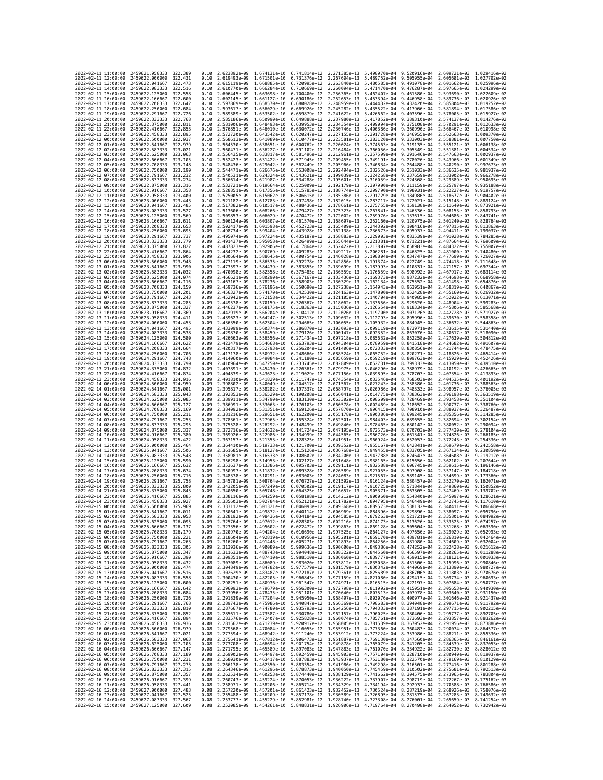| 2022-02-11 11:00:00                        |                 | 2459621.958333                                   | 322.389             | 0.10         | 2.623892e-09                              | 1.674131e-10                 | 6.741814e-12 2.271385e-13                                                                                                                                                                                                                  |                              | 5.498970e-04                 |                                                     | 9.520916e-04 2.609721e-03 1.029416e-02                 |                              |
|--------------------------------------------|-----------------|--------------------------------------------------|---------------------|--------------|-------------------------------------------|------------------------------|--------------------------------------------------------------------------------------------------------------------------------------------------------------------------------------------------------------------------------------------|------------------------------|------------------------------|-----------------------------------------------------|--------------------------------------------------------|------------------------------|
| 2022-02-11 12:00:00                        |                 | 2459622.000000                                   | 322.431             | 0.10         | 2.619493e-09                              | 1.671501e-10                 | 6.731376e-12                                                                                                                                                                                                                               | 2.267604e-13                 | 5.489752e-04                 | 9.505955e-04                                        | 2.605681e-03 1.027702e-02                              |                              |
| 2022-02-11 13:00:00                        |                 | 2459622.041667                                   | 322.473             | 0.10         | 2.615119e-09                              | 1.668885e-10                 | 6.720995e-12                                                                                                                                                                                                                               | 2.263840e-13                 | 5.480585e-04                 | 9.491078e-04                                        | 2.601662e-03                                           | 1.025996e-02                 |
| 2022-02-11 14:00:00<br>2022-02-11 15:00:00 |                 | 2459622.083333<br>2459622.125000                 | 322.516<br>322.558  | 0.10<br>0.10 | 2.610770e-09 1.666284e-10<br>2.606445e-09 | 1.663698e-10                 | 6.710669e-12<br>6.700400e-12                                                                                                                                                                                                               | 2.260094e-13<br>2.256365e-13 | 5.471470e-04<br>5.462407e-04 | 9.476287e-04<br>9.461580e-04                        | 2.597665e-03 1.024299e-02<br>2.593690e-03 1.022609e-02 |                              |
| 2022-02-11 16:00:00                        |                 | 2459622.166667                                   | 322.600             | 0.10         | 2.602145e-09                              | 1.661127e-10                 | 6,690186e-12                                                                                                                                                                                                                               | 2.252653e-13                 | 5.453394e-04                 | 9.446958e-04                                        | 2.589736e-03                                           | 1.020926e-02                 |
| 2022-02-11 17:00:00                        |                 | 2459622.208333                                   | 322.642             | 0.10         | 2.597869e-09                              | 1.658570e-10                 | 6.680028e-12                                                                                                                                                                                                                               | 2.248959e-13                 | 5.444432e-04                 | 9.432420e-04                                        | 2.585804e-03                                           | 1.019252e-02                 |
| 2022-02-11 18:00:00                        |                 | 2459622.250000                                   | 322,684             | 0.10         | 2.593617e-09                              | 1.656029e-10                 | 6.669926e-12                                                                                                                                                                                                                               | 2.245282e-13                 | 5.435522e-04                 | 9.417966e-04                                        | 2.581894e-03                                           | 1.017586e-02                 |
| 2022-02-11 19:00:00<br>2022-02-11 20:00:00 |                 | 2459622.291667<br>2459622.333333                 | 322,726<br>322.768  | 0.10<br>0.10 | 2.589389e-09<br>2.585186e-09              | 1.653502e-10<br>1.650990e-10 | 6.659879e-12<br>6.649888e-12                                                                                                                                                                                                               | 2.241622e-13<br>2.237980e-13 | 5.426662e-04<br>5.417852e-04 | 9.403596e-04<br>9.389310e-04                        | 2.578005e-03 1.015927e-02<br>2.574137e-03              | 1.014276e-02                 |
| 2022-02-11 21:00:00                        |                 | 2459622.375000                                   | 322,811             | 0.10         | 2.581006e-09                              | 1.648493e-10                 | 6.639953e-12                                                                                                                                                                                                                               | 2.234354e-13                 | 5.409094e-04                 | 9.375108e-04                                        | 2.570291e-03                                           | 1.012633e-02                 |
| 2022-02-11 22:00:00                        |                 | 2459622.416667                                   | 322,853             | 0.10         | 2.576851e-09                              | 1.646010e-10                 | 6.630072e-12                                                                                                                                                                                                                               | 2.230746e-13                 | 5.400386e-04                 | 9.360990e-04                                        | 2.566467e-03                                           | 1.010998e-02                 |
| 2022-02-11 23:00:00                        |                 | 2459622.458333                                   | 322.895             | 0.10         | 2.572720e-09                              | 1.643542e-10                 | 6.620247e-12                                                                                                                                                                                                                               | 2.227155e-13                 | 5.391728e-04                 | 9.346955e-04                                        | 2.562663e-03                                           | 1.009370e-02                 |
| 2022-02-12 00:00:00<br>2022-02-12 01:00:00 |                 | 2459622.500000<br>2459622.541667                 | 322.937<br>322.979  | 0.10<br>0.10 | 2.568613e-09<br>2.564530e-09              | 1.641089e-10<br>1.638651e-10 | 6.610477e-12<br>6.600762e-12                                                                                                                                                                                                               | 2.223581e-13<br>2.220024e-13 | 5.383120e-04<br>5.374563e-04 | 9.333003e-04<br>9.319135e-04                        | 2.558881e-03<br>2.555121e-03                           | 1.007750e-02<br>1.006138e-02 |
| 2022-02-12 02:00:00                        |                 | 2459622.583333                                   | 323.021             | 0.10         | 2.560471e-09                              | 1.636227e-10                 | 6.591102e-12                                                                                                                                                                                                                               | 2.216484e-13                 | 5.366056e-04                 | 9.305349e-04                                        | 2.551381e-03                                           | 1.004534e-02                 |
| 2022-02-12 03:00:00                        |                 | 2459622.625000                                   | 323.063             | 0.10         | 2.556435e-09                              | 1.633817e-10                 | 6.581496e-12                                                                                                                                                                                                                               | 2.212961e-13                 | 5.357599e-04                 | 9.291646e-04                                        | 2.547663e-03                                           | 1.002937e-02                 |
| 2022-02-12 04:00:00                        |                 | 2459622.666667                                   | 323,105             | 0.10         | 2.552423e-09                              | 1.631422e-10                 | 6.571945e-12                                                                                                                                                                                                                               | 2.209455e-13                 | 5.349191e-04                 | 9.278026e-04                                        | 2.543966e-03                                           | 1.001349e-02                 |
| 2022-02-12 05:00:00<br>2022-02-12 06:00:00 |                 | 2459622.708333<br>2459622.750000                 | 323,148<br>323,190  | 0.10<br>0.10 | 2.548436e-09<br>2.544471e-09              | 1.629042e-10                 | 6.562449e-12<br>6.553008e-12                                                                                                                                                                                                               | 2.205966e-13<br>2.202494e-13 | 5.340834e-04                 | 9.264488e-04<br>9.251033e-04                        | 2.540290e-03<br>2.536635e-03                           | 9.997673e-03<br>9.981937e-03 |
| 2022-02-12 07:00:00                        |                 | 2459622.791667                                   | 323.232             | 0.10         | 2.540531e-09                              | 1.626676e-10<br>1.624324e-10 | 6.543621e-12                                                                                                                                                                                                                               | 2.199039e-13                 | 5.332526e-04<br>5.324268e-04 | 9.237659e-04                                        | 2.533002e-03                                           | 9.966278e-03                 |
| 2022-02-12 08:00:00                        |                 | 2459622.833333                                   | 323.274             | 0.10         | 2.536614e-09                              | 1.621987e-10                 | 6.534288e-12                                                                                                                                                                                                                               | 2.195601e-13                 | 5.316059e-04                 | 9.224368e-04                                        | 2.529389e-03                                           | 9.950695e-03                 |
| 2022-02-12 09:00:00                        |                 | 2459622.875000                                   | 323.316             | 0.10         | 2.532721e-09                              | 1.619664e-10                 | 6.525009e-12                                                                                                                                                                                                                               | 2.192179e-13                 | 5.307900e-04                 | 9.211159e-04                                        | 2.525797e-03                                           | 9.935188e-03                 |
| 2022-02-12 10:00:00                        |                 | 2459622.916667                                   | 323.358<br>323,400  | 0.10         | 2.528851e-09                              | 1.617356e-10                 | 6.515785e-12                                                                                                                                                                                                                               | 2.188774e-13                 | 5.299790e-04                 | 9.198031e-04                                        | 2.522227e-03                                           | 9.919757e-03                 |
| 2022-02-12 11:00:00<br>2022-02-12 12:00:00 |                 | 2459622.958333<br>2459623,000000                 | 323.443             | 0.10<br>0.10 | 2.525005e-09<br>2.521182e-09              | 1.615062e-10<br>1.612783e-10 | 6.506615e-12<br>6.497498e-12                                                                                                                                                                                                               | 2.185386e-13<br>2.182015e-13 | 5.291729e-04<br>5.283717e-04 | 9.184986e-04<br>9.172021e-04                        | 2.518677e-03<br>2.515148e-03                           | 9.904402e-03<br>9.889124e-03 |
| 2022-02-12 13:00:00                        |                 | 2459623.041667                                   | 323.485             | 0.10         | 2.517382e-09                              | 1.610517e-10                 | 6.488436e-12                                                                                                                                                                                                                               | 2.178661e-13                 | 5.275755e-04                 | 9.159138e-04                                        | 2.511640e-03                                           | 9.873921e-03                 |
| 2022-02-12 14:00:00                        |                 | 2459623.083333                                   | 323.527             | 0.10         | 2.513606e-09                              | 1.608266e-10                 | 6.479427e-12                                                                                                                                                                                                                               | 2.175323e-13                 | 5.267841e-04                 | 9.146336e-04                                        | 2.508153e-03                                           | 9.858793e-03                 |
| 2022-02-12 15:00:00<br>2022-02-12 16:00:00 |                 | 2459623.125000<br>2459623.166667                 | 323.569<br>323.611  | 0.10<br>0.10 | 2.509853e-09<br>2.506124e-09              | 1.606029e-10                 | 6.470472e-12<br>6.461570e-12                                                                                                                                                                                                               | 2.172002e-13<br>2.168697e-13 | 5.259976e-04<br>5.252160e-04 | 9.133615e-04<br>9.120975e-04                        | 2.504686e-03<br>2.501240e-03                           | 9.843741e-03<br>9.828764e-03 |
| 2022-02-12 17:00:00                        |                 | 2459623.208333                                   | 323.653             | 0.09         | 2.502417e-09                              | 1.603807e-10<br>1.601598e-10 | 6.452723e-12                                                                                                                                                                                                                               | 2.165409e-13                 | 5.244392e-04                 | 9.108416e-04                                        | 2.497815e-03                                           | 9.813863e-03                 |
| 2022-02-12 18:00:00                        |                 | 2459623.250000                                   | 323.695             | 0.09         | 2.498734e-09                              | 1.599404e-10                 | 6.443928e-12                                                                                                                                                                                                                               | 2.162138e-13                 | 5.236673e-04                 | 9.095937e-04                                        | 2.494411e-03                                           | 9.799037e-03                 |
| 2022-02-12 19:00:00                        |                 | 2459623.291667                                   | 323.737             | 0.09         | 2.495074e-09                              | 1.597224e-10                 | 6.435187e-12                                                                                                                                                                                                                               | 2.158883e-13                 | 5.229003e-04                 | 9.083539e-04                                        | 2.491028e-03                                           | 9.784285e-03                 |
| 2022-02-12 20:00:00                        |                 | 2459623.333333                                   | 323,779             | 0.09         | 2.491437e-09                              | 1.595058e-10                 | 6.426499e-12                                                                                                                                                                                                                               | 2.155644e-13                 | 5.221381e-04                 | 9.071221e-04                                        | 2.487664e-03                                           | 9.769609e-03                 |
| 2022-02-12 21:00:00<br>2022-02-12 22:00:00 |                 | 2459623.375000<br>2459623.416667                 | 323.822<br>323.864  | 0.09<br>0.09 | 2.487823e-09<br>2.484232e-09              | 1.592906e-10<br>1.590769e-10 | 6.417864e-12<br>6.409283e-12                                                                                                                                                                                                               | 2.152422e-13<br>2.149217e-13 | 5.213807e-04<br>5.206281e-04 | 9.058983e-04<br>9.046825e-04                        | 2.484322e-03<br>2.481000e-03                           | 9.755007e-03<br>9.740480e-03 |
| 2022-02-12 23:00:00                        |                 | 2459623.458333                                   | 323.906             | 0.09         | 2.480664e-09                              | 1.588645e-10                 | 6.400754e-12                                                                                                                                                                                                                               | 2.146028e-13                 | 5.198804e-04                 | 9.034747e-04                                        | 2.477699e-03                                           | 9.726027e-03                 |
| 2022-02-13 00:00:00                        |                 | 2459623.500000                                   | 323.948             | 0.09         | 2.477119e-09                              | 1.586535e-10                 | 6.392278e-12                                                                                                                                                                                                                               | 2.142856e-13                 | 5.191374e-04                 | 9.022749e-04                                        | 2.474418e-03                                           | 9.711648e-03                 |
| 2022-02-13 01:00:00                        |                 | 2459623.541667                                   | 323.990             | 0.09         | 2.473597e-09                              | 1.584439e-10                 | 6.383855e-12                                                                                                                                                                                                                               | 2.139699e-13                 | 5.183993e-04                 | 9.010831e-04                                        | 2.471157e-03                                           | 9.697344e-03                 |
| 2022-02-13 02:00:00<br>2022-02-13 03:00:00 |                 | 2459623.583333<br>2459623.625000                 | 324,032<br>324.074  | 0.09<br>0.09 | 2.470098e-09<br>2.466621e-09              | 1.582358e-10<br>1.580290e-10 | 6.375485e-12<br>6.367167e-12                                                                                                                                                                                                               | 2.136559e-13<br>2.133436e-13 | 5.176659e-04<br>5.169373e-04 | 8.998992e-04<br>8.987232e-04                        | 2.467917e-03<br>2.464698e-03                           | 9.683114e-03<br>9.668958e-03 |
| 2022-02-13 04:00:00                        |                 | 2459623.666667                                   | 324, 116            | 0.09         | 2.463167e-09                              | 1.578236e-10                 | 6.358903e-12                                                                                                                                                                                                                               | 2.130329e-13                 | 5.162134e-04                 | 8.975552e-04                                        | 2.461498e-03                                           | 9.654876e-03                 |
| 2022-02-13 05:00:00                        |                 | 2459623.708333                                   | 324.159             | 0.09         | 2.459736e-09                              | 1.576196e-10                 | 6.350690e-12                                                                                                                                                                                                                               | 2.127238e-13                 | 5.154943e-04                 | 8.963951e-04                                        | 2.458319e-03                                           | 9.640867e-03                 |
| 2022-02-13 06:00:00                        |                 | 2459623.750000                                   | 324.201             | 0.09         | 2.456327e-09                              | 1.574170e-10                 | 6.342530e-12                                                                                                                                                                                                                               | 2.124163e-13                 | 5.147800e-04                 | 8.952428e-04                                        | 2.455160e-03                                           | 9.626932e-03                 |
| 2022-02-13 07:00:00<br>2022-02-13 08:00:00 |                 | 2459623.791667<br>2459623.833333                 | 324, 243<br>324.285 | 0.09<br>0.09 | 2.452942e-09<br>2.449578e-09              | 1.572158e-10<br>1.570159e-10 | 6.334422e-12<br>6.326367e-12                                                                                                                                                                                                               | 2.121105e-13<br>2.118062e-13 | 5.140704e-04<br>5.133656e-04 | 8.940985e-04<br>8.929620e-04                        | 2.452022e-03<br>2.448904e-03                           | 9.613071e-03<br>9.599283e-03 |
| 2022-02-13 09:00:00                        |                 | 2459623.875000                                   | 324, 327            | 0.09         | 2.446237e-09                              | 1.568175e-10                 | 6.318363e-12                                                                                                                                                                                                                               | 2.115036e-13                 | 5.126654e-04                 | 8.918334e-04                                        | 2.445806e-03                                           | 9.585568e-03                 |
| 2022-02-13 10:00:00                        |                 | 2459623.916667                                   | 324,369             | 0.09         | 2.442919e-09                              | 1.566204e-10                 | 6.310412e-12                                                                                                                                                                                                                               | 2.112026e-13                 | 5.119700e-04                 | 8.907126e-04                                        | 2.442728e-03                                           | 9.571927e-03                 |
| 2022-02-13 11:00:00                        |                 | 2459623.958333                                   | 324.411             | 0.09         | 2.439623e-09                              | 1.564247e-10                 | 6.302513e-12                                                                                                                                                                                                                               | 2.109032e-13                 | 5.112793e-04                 | 8.895996e-04                                        | 2.439670e-03                                           | 9.558358e-03                 |
| 2022-02-13 12:00:00<br>2022-02-13 13:00:00 |                 | 2459624,000000                                   | 324,453<br>324.495  | 0.09         | 2.436350e-09                              | 1.562304e-10<br>1.560374e-10 | 6.294665e-12                                                                                                                                                                                                                               | 2.106055e-13                 | 5.105932e-04                 | 8.884945e-04<br>8.873971e-04                        | 2.436632e-03                                           | 9.544863e-03<br>9.531440e-03 |
| 2022-02-13 14:00:00                        |                 | 2459624,041667<br>2459624.083333                 | 324,538             | 0.09<br>0.09 | 2.433099e-09<br>2.429870e-09              | 1.558459e-10                 | 6.286870e-12<br>6.279126e-12                                                                                                                                                                                                               | 2.103093e-13<br>2.100147e-13 | 5.099119e-04<br>5.092352e-04 | 8.863076e-04                                        | 2.433615e-03<br>2.430617e-03                           | 9.518090e-03                 |
| 2022-02-13 15:00:00                        |                 | 2459624,125000                                   | 324,580             | 0.09         | 2.426663e-09                              | 1.556556e-10                 | 6.271434e-12                                                                                                                                                                                                                               | 2.097218e-13                 | 5.085632e-04                 | 8.852258e-04                                        | 2.427639e-03                                           | 9.504812e-03                 |
| 2022-02-13 16:00:00                        |                 | 2459624.166667                                   | 324.622             | 0.09         | 2.423479e-09                              | 1.554668e-10                 | 6.263793e-12                                                                                                                                                                                                                               | 2.094304e-13                 | 5.078959e-04                 | 8.841518e-04                                        | 2.424682e-03                                           | 9.491607e-03                 |
| 2022-02-13 17:00:00                        |                 | 2459624.208333                                   | 324.664             | 0.09         | 2.420317e-09                              | 1.552793e-10                 | 6.256204e-12                                                                                                                                                                                                                               | 2.091406e-13                 | 5.072333e-04                 | 8.830856e-04                                        | 2.421744e-03                                           | 9.478475e-03                 |
| 2022-02-13 18:00:00<br>2022-02-13 19:00:00 |                 | 2459624.250000<br>2459624.291667                 | 324,706<br>324.748  | 0.09<br>0.09 | 2.417178e-09<br>2.414060e-09              | 1.550932e-10<br>1.549084e-10 | 6.248666e-12<br>6.241180e-12                                                                                                                                                                                                               | 2.088524e-13<br>2.085659e-13 | 5.065752e-04<br>5.059219e-04 | 8.820271e-04<br>8.809763e-04                        | 2.418826e-03<br>2.415929e-03                           | 9.465414e-03<br>9.452426e-03 |
| 2022-02-13 20:00:00                        |                 | 2459624.333333                                   | 324,790             | 0.09         | 2.410964e-09                              | 1.547250e-10                 | 6.233745e-12                                                                                                                                                                                                                               | 2.082809e-13                 | 5.052731e-04                 | 8.799333e-04                                        | 2.413050e-03                                           | 9.439510e-03                 |
| 2022-02-13 21:00:00                        |                 | 2459624.375000                                   | 324.832             | 0.09         | 2.407891e-09                              | 1.545430e-10                 | 6.226361e-12                                                                                                                                                                                                                               | 2.079975e-13                 | 5.046290e-04                 | 8.788979e-04                                        | 2.410192e-03                                           | 9.426665e-03                 |
| 2022-02-13 22:00:00                        |                 | 2459624.416667                                   | 324,874             | 0.09         | 2.404839e-09                              | 1.543623e-10                 | 6.219029e-12                                                                                                                                                                                                                               | 2.077156e-13                 | 5.039895e-04                 | 8.778703e-04                                        | 2.407354e-03                                           | 9.413893e-03                 |
| 2022-02-13 23:00:00<br>2022-02-14 00:00:00 |                 | 2459624.458333<br>2459624.500000                 | 324,916<br>324,959  | 0.09<br>0.09 | 2.401810e-09<br>2.398802e-09              | 1.541829e-10<br>1.540049e-10 | 6.211747e-12<br>6.204517e-12                                                                                                                                                                                                               | 2.074354e-13<br>2.071567e-13 | 5.033546e-04<br>5.027243e-04 | 8.768503e-04<br>8.758380e-04                        | 2.404535e-03<br>2.401736e-03                           | 9.401192e-03<br>9.388563e-03 |
| 2022-02-14 01:00:00                        |                 | 2459624.541667                                   | 325.001             | 0.09         | 2.395817e-09                              | 1.538282e-10                 | 6.197337e-12                                                                                                                                                                                                                               | 2.068797e-13                 | 5.020986e-04                 | 8.748333e-04                                        | 2.398957e-03                                           | 9.376005e-03                 |
| 2022-02-14 02:00:00                        |                 | 2459624.583333                                   | 325.043             | 0.09         | 2.392853e-09                              | 1.536529e-10                 | 6.190208e-12                                                                                                                                                                                                                               | 2.066041e-13                 | 5.014775e-04                 | 8.738363e-04                                        | 2.396198e-03                                           | 9.363519e-03                 |
| 2022-02-14 03:00:00                        |                 | 2459624.625000                                   | 325.085             | 0.09         | 2.389911e-09                              | 1.534790e-10                 | 6.183130e-12                                                                                                                                                                                                                               | 2.063302e-13                 | 5.008609e-04                 | 8.728469e-04                                        | 2.393458e-03                                           | 9.351104e-03                 |
| 2022-02-14 04:00:00<br>2022-02-14 05:00:00 |                 | 2459624.666667<br>2459624.708333                 | 325.127<br>325, 169 | 0.09<br>0.09 | 2.386991e-09<br>2.384092e-09              | 1.533063e-10<br>1.531351e-10 | 6.176103e-12<br>6.169126e-12                                                                                                                                                                                                               | 2.060578e-13<br>2.057870e-13 | 5.002489e-04<br>4.996415e-04 | 8.718652e-04<br>8.708910e-04                        | 2.390737e-03<br>2.388037e-03                           | 9.338760e-03<br>9.326487e-03 |
| 2022-02-14 06:00:00                        |                 | 2459624.750000                                   | 325.211             | 0.09         | 2.381216e-09                              | 1.529651e-10                 | 6.162200e-12                                                                                                                                                                                                                               | 2.055178e-13                 | 4.990386e-04                 | 8.699245e-04                                        | 2.385356e-03                                           | 9.314285e-03                 |
| 2022-02-14 07:00:00                        |                 | 2459624.791667                                   | 325.253             | 0.09         | 2.378361e-09                              | 1.527965e-10                 | 6.155324e-12                                                                                                                                                                                                                               | 2.052501e-13                 | 4.984403e-04                 | 8.689655e-04                                        | 2.382694e-03                                           | 9.302154e-03                 |
| 2022-02-14 08:00:00                        |                 | 2459624.833333                                   | 325.295             | 0.09         | 2.375528e-09                              | 1.526292e-10                 | 6.148499e-12                                                                                                                                                                                                                               | 2.049840e-13                 | 4.978465e-04                 | 8.680142e-04                                        | 2.380052e-03                                           | 9.290094e-03                 |
| 2022-02-14 09:00:00                        |                 | 2459624.875000                                   | 325.337             | 0.09         | 2.372716e-09                              | 1.524632e-10                 | 6.141724e-12                                                                                                                                                                                                                               | 2.047195e-13                 | 4.972573e-04                 | 8.670703e-04                                        | 2.377430e-03                                           | 9.278104e-03                 |
| 2022-02-14 10:00:00<br>2022-02-14 11:00:00 |                 | 2459624.916667<br>2459624.958333                 | 325,380<br>325.422  | 0.09<br>0.09 | 2.369926e-09<br>2.367157e-09              | 1.522986e-10<br>1.521353e-10 | 6.134999e-12<br>6.128325e-12                                                                                                                                                                                                               | 2.044565e-13<br>2.041951e-13 | 4.966726e-04<br>4.960924e-04 | 8.661341e-04<br>8.652053e-04                        | 2.374826e-03<br>2.372243e-03                           | 9.266185e-03<br>9.254336e-03 |
| 2022-02-14 12:00:00                        |                 | 2459625.000000                                   | 325.464             | 0.09         | 2.364410e-09                              | 1.519733e-10                 | 6.121700e-12                                                                                                                                                                                                                               | 2.039352e-13                 | 4.955167e-04                 | 8.642841e-04                                        | 2.369679e-03                                           | 9.242558e-03                 |
| 2022-02-14 13:00:00                        |                 | 2459625.041667                                   | 325.506             | 0.09         | 2.361685e-09                              | 1.518127e-10                 | 6.115126e-12                                                                                                                                                                                                                               | 2.036768e-13                 | 4.949455e-04                 | 8.633705e-04                                        | 2.367134e-03                                           | 9.230850e-03                 |
| 2022-02-14 14:00:00<br>2022-02-14 15:00:00 |                 | 2459625.083333<br>2459625,125000                 | 325.548<br>325.590  | 0.09<br>0.09 | 2.358981e-09<br>2.356298e-09 1.514953e-10 | 1.516533e-10                 | 6.108602e-12<br>6.102127e-12                                                                                                                                                                                                               | 2.034200e-13<br>2.031648e-13 | 4.943788e-04<br>4.938165e-04 | 8.624643e-04<br>8.615656e-04                        | 2.364608e-03<br>2.362102e-03                           | 9.219212e-03<br>9.207644e-03 |
| 2022-02-14 16:00:00                        |                 | 2459625.166667                                   | 325.632             | 0.09         | 2.353637e-09                              | 1.513386e-10                 | 6.095703e-12                                                                                                                                                                                                                               | 2.029111e-13                 | 4.932588e-04                 | 8.606745e-04                                        | 2.359615e-03                                           | 9.196146e-03                 |
| 2022-02-14 17:00:00                        |                 | 2459625.208333                                   | 325.674             | 0.09         | 2.350997e-09                              | 1.511832e-10                 | 6.089328e-12                                                                                                                                                                                                                               | 2.026589e-13                 | 4.927055e-04                 | 8.597908e-04                                        | 2.357147e-03                                           | 9.184718e-03                 |
| 2022-02-14 18:00:00                        |                 | 2459625.250000                                   | 325.716             | 0.09         | 2.348378e-09                              | 1.510291e-10                 | 6.083003e-12                                                                                                                                                                                                                               | 2.024083e-13                 | 4.921567e-04                 | 8.589145e-04                                        | 2.354699e-03                                           | 9.173360e-03                 |
| 2022-02-14 19:00:00<br>2022-02-14 20:00:00 |                 | 2459625.291667<br>2459625.333333                 | 325.758<br>325,800  | 0.09<br>0.09 | 2.345781e-09<br>2.343205e-09              | 1.508764e-10<br>1.507249e-10 | 6.076727e-12<br>6.070502e-12                                                                                                                                                                                                               | 2.021592e-13<br>2.019117e-13 | 4.916124e-04                 | 8.580457e-04<br>8.571844e-04                        | 2.352270e-03<br>2.349860e-03                           | 9.162071e-03<br>9.150852e-03 |
| 2022-02-14 21:00:00                        |                 | 2459625.375000                                   | 325.843             | 0.09         | 2.340650e-09                              | 1.505748e-10                 | 6.064325e-12                                                                                                                                                                                                                               | 2.016657e-13                 | 4.910725e-04<br>4.905371e-04 | 8.563305e-04                                        | 2.347469e-03                                           | 9.139702e-03                 |
| 2022-02-14 22:00:00                        |                 | 2459625.416667                                   | 325.885             | 0.09         | 2.338116e-09 1.504259e-10                 |                              | 6.058198e-12                                                                                                                                                                                                                               | 2.014212e-13                 | 4.900060e-04                 | 8.554840e-04 2.345097e-03                           |                                                        | 9.128621e-03                 |
| 2022-02-14 23:00:00                        |                 | 2459625.458333                                   | 325.927             | 0.09         |                                           |                              | 2.335603e-09 1.502784e-10 6.052121e-12 2.011782e-13                                                                                                                                                                                        |                              |                              | 4.894795e-04 8.546449e-04 2.342745e-03 9.117610e-03 |                                                        |                              |
| 2022-02-15 00:00:00<br>2022                | -02-15 01:00:00 | 2459625.500000<br>2459625.541667                 | 325.969<br>326.011  | 0.09<br>0.09 | 2.330641e-09                              | 1.499872e-10                 | 2.333112e-09 1.501321e-10 6.046093e-12 2.009368e-13 4.889573e-04 8.538132e-04 2.340411e-03 9.106668e-03<br>6.040114e-12                                                                                                                    | 2.006969e-13                 |                              | 8.529890e-04                                        | 2.338097e-03                                           | 9.095796e-03                 |
| 2022-02-15 02:00:00                        |                 | 2459625.583333                                   | 326.053             | 0.09         |                                           |                              | 2.328192e-09 1.498436e-10 6.034184e-12 2.004585e-13 4.879263e-04 8.521721e-04 2.335801e-03 9.084992e-03                                                                                                                                    |                              | 4.884396e-04                 |                                                     |                                                        |                              |
| 2022-02-15 03:00:00                        |                 | 2459625.625000                                   | 326,095             | 0.09         |                                           |                              | 2.325764e-09 1.497012e-10 6.028303e-12 2.002216e-13 4.874173e-04 8.513626e-04 2.333525e-03 9.074257e-03                                                                                                                                    |                              |                              |                                                     |                                                        |                              |
| 2022-02-15 04:00:00                        |                 | 2459625.666667                                   | 326,137             | 0.09         | 2.323356e-09                              |                              | 1.495602e-10 6.022472e-12 1.999863e-13 4.869128e-04 8.505604e-04 2.331268e-03                                                                                                                                                              |                              |                              |                                                     |                                                        | 9.063590e-03                 |
| 2022-02-15 05:00:00<br>2022-02-15 06:00:00 |                 | 2459625.708333<br>2459625.750000                 | 326,179<br>326.221  | 0.09<br>0.09 |                                           |                              | 2.320970e-09 1.494204e-10 6.016690e-12 1.997525e-13 4.864127e-04 8.497656e-04 2.329029e-03 9.052993e-03<br>2.318604e-09 1.492819e-10 6.010956e-12 1.995201e-13 4.859170e-04 8.489781e-04 2.326810e-03 9.042464e-03                         |                              |                              |                                                     |                                                        |                              |
| 2022-02-15 07:00:00                        |                 | 2459625.791667                                   | 326.263             | 0.09         |                                           |                              | 2.316260e-09 1.491448e-10 6.005271e-12 1.992893e-13                                                                                                                                                                                        |                              |                              | 4.854256e-04 8.481980e-04 2.324609e-03              |                                                        | 9.032004e-03                 |
| 2022-02-15 08:00:00                        |                 | 2459625.833333                                   | 326.305             | 0.09         | 2.313936e-09                              |                              | 1.490089e-10 5.999636e-12 1.990600e-13                                                                                                                                                                                                     |                              |                              | 4.849386e-04 8.474252e-04                           | 2.322428e-03                                           | 9.021612e-03                 |
| 2022-02-15 09:00:00<br>2022-02-15 10:00:00 |                 | 2459625.875000 326.347                           |                     |              |                                           |                              | 0.08 2.311633e-09 1.488743e-10 5.994048e-12 1.988322e-13 4.844560e-04 8.466597e-04 2.320265e-03 9.011288e-03                                                                                                                               |                              |                              |                                                     |                                                        |                              |
| 2022-02-15 11:00:00                        |                 | 2459625.916667<br>2459625.958333                 | 326.390<br>326.432  |              |                                           |                              | 0.08 2.309351e-09 1.487410e-10 5.988510e-12 1.986060e-13 4.839777e-04 8.459015e-04 2.318121e-03 9.001033e-03<br>0.08 2.307089e-09 1.486089e-10 5.983020e-12 1.983812e-13 4.835038e-04 8.451506e-04 2.315996e-03 8.990846e-03               |                              |                              |                                                     |                                                        |                              |
| 2022-02-15 12:00:00                        |                 | 2459626.000000                                   | 326.474             |              |                                           |                              | 0.08 2.304849e-09 1.484782e-10 5.977579e-12 1.981579e-13 4.830342e-04 8.444069e-04 2.313890e-03 8.980727e-03                                                                                                                               |                              |                              |                                                     |                                                        |                              |
| 2022-02-15 13:00:00                        |                 | 2459626.041667                                   | 326.516             |              |                                           |                              | 0.08 2.302629e-09 1.483487e-10 5.972187e-12 1.979361e-13 4.825689e-04 8.436706e-04 2.311803e-03 8.970676e-03                                                                                                                               |                              |                              |                                                     |                                                        |                              |
| 2022-02-15 14:00:00                        |                 | 2459626.083333 326.558<br>2459626.125000         | 326.600             |              |                                           |                              | 0.08 2.300430e-09 1.482205e-10 5.966843e-12 1.977159e-13 4.821080e-04 8.429415e-04 2.309734e-03 8.960693e-03                                                                                                                               |                              |                              |                                                     |                                                        |                              |
| 2022-02-15 15:00:00<br>2022-02-15 16:00:00 |                 | 2459626.166667                                   | 326.642             |              |                                           |                              | 0.08 2.298251e-09 1.480936e-10 5.961547e-12 1.974971e-13 4.816515e-04 8.422197e-04 2.307684e-03 8.950777e-03<br>0.08 2.296093e-09 1.479679e-10 5.956300e-12 1.972798e-13 4.811992e-04 8.415051e-04 2.305653e-03 8.940930e-03               |                              |                              |                                                     |                                                        |                              |
| 2022-02-15 17:00:00                        |                 | 2459626.208333                                   | 326.684             |              |                                           |                              | 0.08 2.293956e-09 1.478435e-10 5.951101e-12 1.970640e-13 4.807513e-04 8.407978e-04 2.303640e-03 8.931150e-03                                                                                                                               |                              |                              |                                                     |                                                        |                              |
| 2022-02-15 18:00:00                        |                 | 2459626.250000                                   | 326,726             |              |                                           |                              | 0.08 2.291839e-09 1.477204e-10 5.945950e-12 1.968497e-13 4.803076e-04 8.400977e-04 2.301646e-03 8.921437e-03<br>0.08 2.289743e-09 1.475986e-10 5.940847e-12 1.966369e-13 4.798683e-04 8.394048e-04 2.299671e-03 8.911792e-03               |                              |                              |                                                     |                                                        |                              |
| 2022-02-15 19:00:00<br>2022-02-15 20:00:00 |                 | 2459626.291667<br>2459626.333333                 | 326.768<br>326.810  |              |                                           |                              | 0.08 2.287667e-09 1.474780e-10 5.935793e-12 1.964256e-13 4.794333e-04 8.387191e-04 2.297715e-03 8.902215e-03                                                                                                                               |                              |                              |                                                     |                                                        |                              |
| 2022-02-15 21:00:00                        |                 | 2459626.375000 326.852                           |                     |              |                                           |                              | 0.08 2.285611e-09 1.473587e-10 5.930786e-12 1.962157e-13 4.790025e-04 8.380406e-04 2.295777e-03 8.892705e-03                                                                                                                               |                              |                              |                                                     |                                                        |                              |
| 2022-02-15 22:00:00                        |                 | 2459626.416667                                   | 326.894             | 0.08         |                                           |                              | $2.283576e-09 \quad 1.472407e-10 \quad 5.925828e-12 \quad 1.960074e-13 \quad 4.785761e-04 \quad 8.373693e-04 \notag \\ 2.281562e-09 \quad 1.471239e-10 \quad 5.920917e-12 \quad 1.958005e-13 \quad 4.781539e-04 \quad 8.367052e-04 \notag$ |                              |                              |                                                     | 2.293857e-03 8.883262e-03                              |                              |
| 2022-02-15 23:00:00                        |                 | 2459626.458333                                   | 326,936             | 0.08         |                                           |                              |                                                                                                                                                                                                                                            |                              |                              | 4.781539e-04 8.367052e-04 2.291956e-03              |                                                        | 8.873886e-03                 |
| 2022-02-16 00:00:00                        |                 | 2459626.500000 326.979                           | 327.021             |              |                                           |                              | 0.08 2.279568e-09 1.470084e-10 5.916055e-12 1.955951e-13 4.777360e-04 8.360483e-04 2.290074e-03 8.864577e-03                                                                                                                               |                              |                              |                                                     |                                                        |                              |
| 2022-02-16 01:00:00<br>2022-02-16 02:00:00 |                 | 2459626.541667<br>2459626.583333                 | 327.063             |              |                                           |                              | 0.08 2.277594e-09 1.468942e-10 5.911240e-12 1.953912e-13 4.773224e-04 8.353986e-04 2.288211e-03 8.855336e-03<br>0.08 2.275641e-09 1.467812e-10 5.906473e-12 1.951887e-13 4.769130e-04 8.347560e-04 2.286365e-03 8.846161e-03               |                              |                              |                                                     |                                                        |                              |
| 2022-02-16 03:00:00                        |                 | 2459626.625000                                   | 327,105             |              |                                           |                              | 0.08 2.273708e-09 1.466694e-10 5.901754e-12 1.949878e-13 4.765079e-04 8.341205e-04 2.284539e-03 8.837053e-03                                                                                                                               |                              |                              |                                                     |                                                        |                              |
| 2022-02-16 04:00:00                        |                 | 2459626.666667 327.147                           |                     |              |                                           |                              | 0.08 2.271795e-09 1.465589e-10 5.897083e-12 1.947883e-13 4.761070e-04 8.334922e-04 2.282730e-03 8.828012e-03                                                                                                                               |                              |                              |                                                     |                                                        |                              |
| 2022-02-16 05:00:00<br>2022-02-16 06:00:00 |                 | 2459626.708333 327.189<br>2459626.750000         | 327.231             | 0.08         |                                           |                              | 0.08 2.269902e-09 1.464497e-10 5.892459e-12 1.945903e-13 4.757104e-04 8.328710e-04 2.280940e-03 8.819037e-03<br>2.268030e-09 1.463417e-10 5.887883e-12 1.943937e-13                                                                        |                              |                              | 4.753180e-04 8.322570e-04 2.279169e-03              |                                                        | 8.810129e-03                 |
| 2022-02-16 07:00:00                        |                 | 2459626.791667 327.273                           |                     |              |                                           |                              | 0.08 2.266178e-09 1.462350e-10 5.883354e-12 1.941986e-13 4.749298e-04 8.316501e-04 2.277416e-03 8.801288e-03                                                                                                                               |                              |                              |                                                     |                                                        |                              |
| 2022-02-16 08:00:00                        |                 | 2459626.833333                                   | 327.315             |              |                                           |                              | 0.08 2.264346e-09 1.461296e-10 5.878873e-12 1.940050e-13 4.745459e-04 8.310502e-04 2.275681e-03 8.792513e-03                                                                                                                               |                              |                              |                                                     |                                                        |                              |
| 2022-02-16 09:00:00                        |                 | 2459626.875000                                   | 327, 357            |              |                                           |                              | 0.08 2.262534e-09 1.460253e-10 5.874440e-12 1.938129e-13 4.741662e-04 8.304575e-04 2.273965e-03 8.783804e-03                                                                                                                               |                              |                              |                                                     |                                                        |                              |
| 2022-02-16 10:00:00                        |                 | 2459626.916667 327.399                           |                     |              |                                           |                              | 0.08 2.260743e-09 1.459224e-10 5.870053e-12 1.936222e-13 4.737907e-04 8.298719e-04 2.272267e-03 8.775162e-03                                                                                                                               |                              |                              |                                                     |                                                        |                              |
| 2022-02-16 11:00:00<br>2022-02-16 12:00:00 |                 | 2459626.958333 327.441<br>2459627.000000 327.483 |                     |              |                                           |                              | 0.08 2.258971e-09 1.458206e-10 5.865714e-12 1.934329e-13 4.734194e-04 8.292933e-04 2.270588e-03 8.766586e-03<br>0.08 2.257220e-09 1.457201e-10 5.861423e-12 1.932452e-13 4.730524e-04 8.287219e-04 2.268926e-03 8.758076e-03               |                              |                              |                                                     |                                                        |                              |
| 2022-02-16 13:00:00                        |                 | 2459627.041667                                   | 327.525             | 0.08         | 2.255488e-09                              |                              | 1.456209e-10 5.857178e-12 1.930589e-13 4.726895e-04 8.281575e-04 2.267283e-03                                                                                                                                                              |                              |                              |                                                     |                                                        | 8.749632e-03                 |
| 2022-02-16 14:00:00<br>2022-02-16 15:00:00 |                 | 2459627.083333<br>2459627.125000 327.609         | 327.567             |              |                                           |                              | 0.08 2.253777e-09 1.455229e-10 5.852981e-12 1.928740e-13 4.723308e-04 8.276001e-04 2.265659e-03 8.741254e-03<br>0.08 2.252085e-09 1.454261e-10 5.848831e-12 1.926906e-13 4.719764e-04 8.270498e-04 2.264052e-03 8.732942e-03               |                              |                              |                                                     |                                                        |                              |
|                                            |                 |                                                  |                     |              |                                           |                              |                                                                                                                                                                                                                                            |                              |                              |                                                     |                                                        |                              |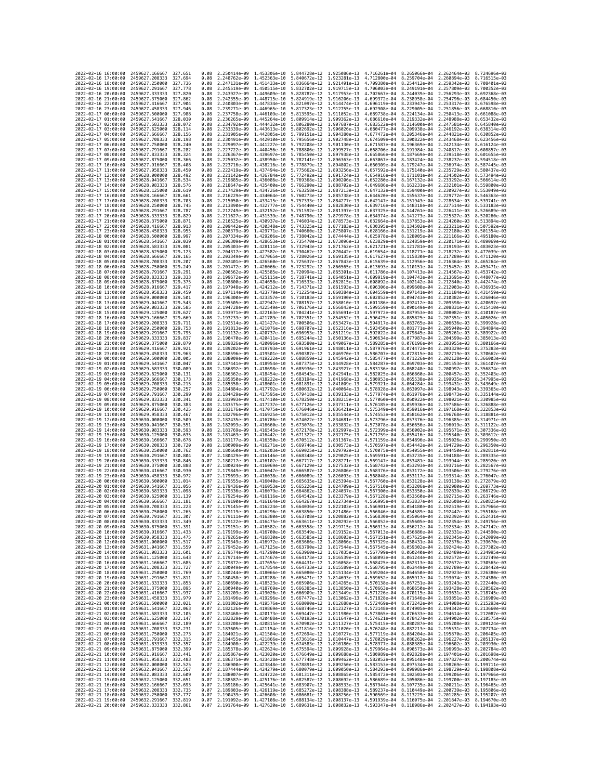| 2022-02-16 16:00:00                        |                                            | 2459627.166667                                   | 327.651            | 0.08         | 2.250414e-09 1.453306e-10                           |                              | 5.844728e-12 1.925086e-13                                                                                                                                                                                                                                     |                              | 4.716261e-04                                        | 8.265066e-04 2.262464e-03 8.724696e-03                              |                                                        |                              |
|--------------------------------------------|--------------------------------------------|--------------------------------------------------|--------------------|--------------|-----------------------------------------------------|------------------------------|---------------------------------------------------------------------------------------------------------------------------------------------------------------------------------------------------------------------------------------------------------------|------------------------------|-----------------------------------------------------|---------------------------------------------------------------------|--------------------------------------------------------|------------------------------|
| 2022-02-16 17:00:00                        |                                            | 2459627.208333                                   | 327.694            | 0.08         | 2.248762e-09                                        | 1.452363e-10                 | 5.840672e-12                                                                                                                                                                                                                                                  | 1.923281e-13                 | 4.712800e-04                                        | 8.259704e-04                                                        | 2.260894e-03                                           | 8.716515e-03                 |
| 2022-02-16 18:00:00                        |                                            | 2459627.250000                                   | 327,736            | 0.08         | 2.247131e-09                                        | 1.451433e-10                 | 5.836664e-12                                                                                                                                                                                                                                                  | 1.921491e-13                 | 4.709380e-04                                        | 8.254412e-04                                                        | 2.259342e-03                                           | 8.708401e-03                 |
| 2022-02-16 19:00:00<br>2022-02-16 20:00:00 |                                            | 2459627.291667<br>2459627.333333                 | 327.778<br>327,820 | 0.08<br>0.08 | 2.245519e-09<br>2.243927e-09                        | 1.450515e-10                 | 5.832702e-12<br>1.449609e-10 5.828787e-12                                                                                                                                                                                                                     | 1.919715e-13<br>1.917953e-13 | 4.706003e-04<br>4.702667e-04                        | 8.249191e-04<br>8.244039e-04                                        | 2.257809e-03<br>2.256293e-03                           | 8.700352e-03<br>8.692368e-03 |
| 2022-02-16 21:00:00                        |                                            | 2459627.375000                                   | 327.862            | 0.08         | 2.242355e-09                                        | 1.448715e-10                 | 5.824919e-12                                                                                                                                                                                                                                                  | 1.916206e-13                 | 4.699372e-04                                        | 8.238958e-04                                                        | 2.254796e-03                                           | 8.684450e-03                 |
| 2022-02-16 22:00:00                        |                                            | 2459627.416667                                   | 327.904            | 0.08         | 2.240803e-09                                        |                              | 1.447834e-10 5.821097e-12                                                                                                                                                                                                                                     | 1.914474e-13                 | 4.696119e-04                                        | 8.233947e-04                                                        | 2.253317e-03                                           | 8.676598e-03                 |
| 2022-02-16 23:00:00                        |                                            | 2459627.458333                                   | 327.946            | 0.08         | 2.239271e-09                                        | 1.446965e-10                 | 5.817323e-12                                                                                                                                                                                                                                                  | 1.912755e-13                 | 4.692908e-04                                        | 8.229005e-04                                                        | 2.251856e-03                                           | 8.668810e-03                 |
| 2022-02-17 00:00:00                        |                                            | 2459627.500000                                   | 327.988            | 0.08         | 2.237758e-09                                        |                              | 1.446109e-10 5.813595e-12                                                                                                                                                                                                                                     | 1.911052e-13                 | 4.689738e-04                                        | 8.224134e-04                                                        | 2.250413e-03                                           | 8.661088e-03                 |
| 2022-02-17 01:00:00<br>2022-02-17 02:00:00 |                                            | 2459627.541667<br>2459627.583333                 | 328.030<br>328.072 | 0.08<br>0.08 | 2.236265e-09<br>2.234792e-09                        | 1.445264e-10                 | 5.809914e-12<br>1,444432e-10 5,806280e-12                                                                                                                                                                                                                     | 1.909362e-13<br>1.907687e-13 | 4.686610e-04<br>4.683522e-04                        | 8.219332e-04<br>8.214600e-04                                        | 2.248988e-03<br>2.247581e-03                           | 8.653432e-03<br>8.645840e-03 |
| 2022-02-17 03:00:00                        |                                            | 2459627.625000                                   | 328.114            | 0.08         | 2.233339e-09                                        | 1.443613e-10                 | 5.802692e-12                                                                                                                                                                                                                                                  | 1.906026e-13                 | 4.680477e-04                                        | 8.209938e-04                                                        | 2.246192e-03                                           | 8.638314e-03                 |
| 2022-02-17 04:00:00                        |                                            | 2459627.666667                                   | 328.156            | 0.08         | 2.231905e-09                                        | 1.442805e-10                 | 5.799151e-12                                                                                                                                                                                                                                                  | 1.904380e-13                 | 4.677472e-04                                        | 8.205346e-04                                                        | 2.244821e-03                                           | 8.630852e-03                 |
| 2022-02-17 05:00:00                        |                                            | 2459627.708333                                   | 328,198            | 0.08         | 2.230491e-09                                        |                              | 1.442010e-10 5.795656e-12                                                                                                                                                                                                                                     | 1,902748e-13                 |                                                     | 4.674509e-04 8.200822e-04                                           | 2.243468e-03                                           | 8.623456e-03                 |
| 2022-02-17 06:00:00<br>2022-02-17 07:00:00 |                                            | 2459627.750000<br>2459627.791667                 | 328.240<br>328,282 | 0.08<br>0.08 | 2.229097e-09<br>2.227722e-09                        | 1.441227e-10<br>1.440456e-10 | 5.792208e-12<br>5.788806e-12                                                                                                                                                                                                                                  | 1.901130e-13<br>1.899527e-13 | 4.671587e-04<br>4.668706e-04                        | 8.196369e-04<br>8.191984e-04                                        | 2.242134e-03<br>2.240817e-03                           | 8.616124e-03<br>8.608857e-03 |
| 2022-02-17 08:00:00                        |                                            | 2459627.833333                                   | 328,324            | 0.08         | 2.226367e-09                                        | 1.439697e-10                 | 5.785450e-12                                                                                                                                                                                                                                                  | 1.897938e-13                 | 4.665866e-04                                        | 8.187669e-04                                                        | 2.239518e-03                                           | 8.601655e-03                 |
| 2022-02-17 09:00:00                        |                                            | 2459627.875000                                   | 328.366            | 0.08         | 2.225032e-09                                        |                              | 1.438950e-10 5.782141e-12                                                                                                                                                                                                                                     | 1.896363e-13                 | 4.663067e-04                                        | 8.183424e-04                                                        | 2.238237e-03                                           | 8.594518e-03                 |
| 2022-02-17 10:00:00                        |                                            | 2459627.916667                                   | 328.408            | 0.08         | 2.223716e-09                                        | 1.438216e-10 5.778879e-12    |                                                                                                                                                                                                                                                               | 1.894802e-13                 | 4.660309e-04                                        | 8.179247e-04                                                        | 2.236974e-03                                           | 8.587445e-03                 |
| 2022-02-17 11:00:00                        |                                            | 2459627.958333                                   | 328,450<br>328.492 | 0.08         | 2.222419e-09                                        |                              | 1.437494e-10 5.775662e-12<br>1.436784e-10 5.772492e-12                                                                                                                                                                                                        | 1.893256e-13                 | 4.657592e-04                                        | 8.175140e-04                                                        | 2.235729e-03                                           | 8.580437e-03<br>8.573494e-03 |
| 2022-02-17 12:00:00<br>2022-02-17 13:00:00 |                                            | 2459628.000000<br>2459628.041667                 | 328.534            | 0.08<br>0.08 | 2.221142e-09<br>2.219885e-09                        |                              | 1.436086e-10 5.769368e-12                                                                                                                                                                                                                                     | 1.891724e-13<br>1.890206e-13 | 4.654916e-04<br>4.652280e-04                        | 8.171101e-04<br>8.167132e-04                                        | 2.234502e-03<br>2.233292e-03                           | 8.566614e-03                 |
| 2022-02-17 14:00:00                        |                                            | 2459628.083333                                   | 328.576            | 0.08         | 2.218647e-09                                        |                              | 1.435400e-10 5.766290e-12                                                                                                                                                                                                                                     | 1.888702e-13                 | 4.649686e-04                                        | 8.163231e-04                                                        | 2.232101e-03                                           | 8.559800e-03                 |
| 2022-02-17 15:00:00                        |                                            | 2459628.125000                                   | 328.619            | 0.08         | 2.217429e-09                                        | 1.434726e-10                 | 5.763258e-12                                                                                                                                                                                                                                                  | 1.887213e-13                 | 4.647132e-04                                        | 8.159400e-04                                                        | 2.230927e-03                                           | 8.553049e-03                 |
| 2022-02-17 16:00:00                        |                                            | 2459628.166667                                   | 328.661            | 0.08         | 2.216229e-09                                        |                              | 1.434064e-10 5.760273e-12                                                                                                                                                                                                                                     | 1.885738e-13                 |                                                     | 4.644620e-04 8.155637e-04                                           | 2.229772e-03                                           | 8.546363e-03                 |
| 2022-02-17 17:00:00<br>2022-02-17 18:00:00 |                                            | 2459628.208333<br>2459628,250000                 | 328,703<br>328,745 | 0.08<br>0.08 | 2.215050e-09<br>2.213890e-09                        | 1.433415e-10<br>1.432777e-10 | 5.757333e-12<br>5.754440e-12                                                                                                                                                                                                                                  | 1.884277e-13<br>1.882830e-13 | 4.642147e-04<br>4.639716e-04                        | 8.151943e-04<br>8.148318e-04                                        | 2.228634e-03<br>2.227514e-03                           | 8.539741e-03<br>8.533183e-03 |
| 2022-02-17 19:00:00                        |                                            | 2459628.291667                                   | 328.787            | 0.08         | 2.212749e-09                                        | 1.432152e-10                 | 5.751592e-12                                                                                                                                                                                                                                                  | 1.881397e-13                 | 4.637325e-04                                        | 8.144761e-04                                                        | 2.226411e-03                                           | 8.526689e-03                 |
| 2022-02-17 20:00:00                        |                                            | 2459628.333333                                   | 328.829            | 0.08         | 2.211627e-09                                        |                              | 1.431539e-10 5.748790e-12                                                                                                                                                                                                                                     | 1.879978e-13                 | 4.634974e-04                                        | 8.141273e-04                                                        | 2.225327e-03                                           | 8.520260e-03                 |
| 2022-02-17 21:00:00                        |                                            | 2459628.375000                                   | 328,871            | 0.08         | 2.210525e-09                                        |                              | 1.430937e-10 5.746034e-12                                                                                                                                                                                                                                     | 1.878573e-13                 | 4.632664e-04                                        | 8.137853e-04                                                        | 2.224260e-03                                           | 8.513894e-03                 |
| 2022-02-17 22:00:00                        |                                            | 2459628.416667                                   | 328.913            | 0.08         | 2.209442e-09                                        | 1.430348e-10                 | 5.743325e-12                                                                                                                                                                                                                                                  | 1.877183e-13                 | 4.630395e-04                                        | 8.134502e-04                                                        | 2.223211e-03                                           | 8.507592e-03                 |
| 2022-02-17 23:00:00<br>2022-02-18 00:00:00 |                                            | 2459628.458333<br>2459628.500000                 | 328,955<br>328.997 | 0.08<br>0.08 | 2.208379e-09<br>2.207334e-09                        | 1.429771e-10<br>1.429206e-10 | 5.740660e-12<br>5.738042e-12                                                                                                                                                                                                                                  | 1.875807e-13<br>1.874444e-13 | 4.628166e-04<br>4.625978e-04                        | 8.131219e-04<br>8.128005e-04                                        | 2.222180e-03<br>2.221166e-03                           | 8.501354e-03<br>8.495180e-03 |
| 2022-02-18 01:00:00                        |                                            | 2459628.541667                                   | 329,039            | 0.08         | 2.206309e-09                                        |                              | 1.428653e-10 5.735470e-12                                                                                                                                                                                                                                     | 1.873096e-13                 | 4.623829e-04                                        | 8.124859e-04                                                        | 2.220171e-03                                           | 8.489069e-03                 |
| 2022-02-18 02:00:00                        |                                            | 2459628.583333                                   | 329.081            | 0.08         | 2.205303e-09                                        | 1.428111e-10                 | 5.732943e-12                                                                                                                                                                                                                                                  | 1.871762e-13                 | 4.621721e-04                                        | 8.121781e-04                                                        | 2.219193e-03                                           | 8.483023e-03                 |
| 2022-02-18 03:00:00                        |                                            | 2459628.625000                                   | 329, 123           | 0.08         | 2.204317e-09                                        |                              | 1.427582e-10 5.730462e-12                                                                                                                                                                                                                                     | 1.870442e-13                 | 4.619654e-04                                        | 8.118771e-04                                                        | 2.218232e-03                                           | 8.477039e-03                 |
| 2022-02-18 04:00:00<br>2022-02-18 05:00:00 |                                            | 2459628.666667<br>2459628.708333                 | 329.165<br>329.207 | 0.08<br>0.08 | 2.203349e-09<br>2.202401e-09                        | 1.427065e-10                 | 5.728026e-12<br>1.426560e-10 5.725637e-12                                                                                                                                                                                                                     | 1.869135e-13<br>1.867843e-13 | 4.617627e-04<br>4.615639e-04                        | 8.115830e-04<br>8.112956e-04                                        | 2.217289e-03<br>2.216364e-03                           | 8.471120e-03<br>8.465264e-03 |
| 2022-02-18 06:00:00                        |                                            | 2459628.750000                                   | 329.249            | 0.08         | 2.201472e-09                                        |                              | 1.426066e-10 5.723292e-12                                                                                                                                                                                                                                     | 1.866565e-13                 | 4.613693e-04                                        | 8.110151e-04                                                        | 2.215457e-03                                           | 8.459471e-03                 |
| 2022-02-18 07:00:00                        |                                            | 2459628.791667                                   | 329.291            | 0.08         | 2.200562e-09                                        |                              | 1.425585e-10 5.720994e-12                                                                                                                                                                                                                                     | 1.865301e-13                 | 4.611786e-04                                        | 8.107413e-04                                                        | 2.214567e-03                                           | 8.453742e-03                 |
| 2022-02-18 08:00:00                        |                                            | 2459628.833333                                   | 329.333            | 0.08         | 2.199672e-09                                        |                              | 1.425115e-10 5.718741e-12                                                                                                                                                                                                                                     | 1.864051e-13                 | 4.609919e-04                                        | 8.104743e-04                                                        | 2.213695e-03                                           | 8.448077e-03                 |
| 2022-02-18 09:00:00<br>2022-02-18 10:00:00 |                                            | 2459628.875000<br>2459628.916667                 | 329.375<br>329.417 | 0.08<br>0.08 | 2.198800e-09<br>2.197948e-09                        | 1.424658e-10<br>1.424212e-10 | 5.716533e-12<br>5.714371e-12                                                                                                                                                                                                                                  | 1.862815e-13<br>1.861593e-13 | 4.608092e-04<br>4.606306e-04                        | 8.102142e-04<br>8.099608e-04                                        | 2.212840e-03<br>2.212003e-03                           | 8.442474e-03<br>8.436935e-03 |
| 2022-02-18 11:00:00                        |                                            | 2459628.958333                                   | 329.459            | 0.08         | 2.197114e-09                                        | 1.423779e-10                 | 5.712254e-12                                                                                                                                                                                                                                                  | 1.860384e-13                 | 4.604559e-04                                        | 8.097141e-04                                                        | 2.211184e-03                                           | 8.431459e-03                 |
| 2022-02-18 12:00:00                        |                                            | 2459629.000000                                   | 329.501            | 0.08         | 2.196300e-09                                        | 1.423357e-10                 | 5.710183e-12                                                                                                                                                                                                                                                  | 1.859190e-13                 | 4.602852e-04                                        | 8.094743e-04                                                        | 2.210382e-03                                           | 8.426046e-03                 |
| 2022-02-18 13:00:00                        |                                            | 2459629.041667                                   | 329.543            | 0.08         | 2.195505e-09                                        | 1.422947e-10                 | 5.708157e-12                                                                                                                                                                                                                                                  | 1.858010e-13                 | 4.601186e-04                                        | 8.092412e-04                                                        | 2.209598e-03                                           | 8.420697e-03                 |
| 2022-02-18 14:00:00                        |                                            | 2459629.083333                                   | 329.585            | 0.08         | 2.194728e-09                                        |                              | 1.422549e-10 5.706176e-12                                                                                                                                                                                                                                     | 1.856843e-13                 | 4.599559e-04                                        | 8.090149e-04                                                        | 2.208831e-03                                           | 8.415410e-03                 |
| 2022-02-18 15:00:00<br>2022-02-18 16:00:00 |                                            | 2459629.125000<br>2459629,166667                 | 329.627<br>329.669 | 0.08<br>0.08 | 2.193971e-09<br>2.193233e-09                        | 1.422163e-10<br>1.421789e-10 | 5.704241e-12<br>5.702351e-12                                                                                                                                                                                                                                  | 1.855691e-13<br>1.854552e-13 | 4.597972e-04<br>4.596425e-04                        | 8.087953e-04<br>8.085825e-04                                        | 2.208082e-03<br>2.207351e-03                           | 8.410187e-03<br>8.405026e-03 |
| 2022-02-18 17:00:00                        |                                            | 2459629.208333                                   | 329,711            | 0.08         | 2.192514e-09                                        | 1.421427e-10                 | 5.700506e-12                                                                                                                                                                                                                                                  | 1.853427e-13                 | 4.594917e-04                                        | 8.083765e-04                                                        | 2.206636e-03                                           | 8.399928e-03                 |
| 2022-02-18 18:00:00                        |                                            | 2459629,250000                                   | 329.753            | 0.08         | 2.191813e-09                                        | 1.421076e-10 5.698707e-12    |                                                                                                                                                                                                                                                               | 1.852316e-13                 | 4.593450e-04                                        | 8.081771e-04                                                        | 2.205940e-03                                           | 8.394894e-03                 |
| 2022-02-18 19:00:00                        |                                            | 2459629.291667                                   | 329.795            | 0.08         | 2.191132e-09                                        | 1.420737e-10                 | 5.696953e-12                                                                                                                                                                                                                                                  | 1.851219e-13                 | 4.592022e-04                                        | 8.079845e-04                                                        | 2.205261e-03                                           | 8.389922e-03                 |
| 2022-02-18 20:00:00<br>2022-02-18 21:00:00 |                                            | 2459629.333333<br>2459629.375000                 | 329.837<br>329.879 | 0.08<br>0.08 | 2.190470e-09<br>2.189826e-09                        | 1.420411e-10                 | 5.695244e-12<br>1.420096e-10 5.693580e-12                                                                                                                                                                                                                     | 1.850136e-13<br>1.849067e-13 | 4.590634e-04<br>4.589285e-04                        | 8.077987e-04<br>8.076196e-04                                        | 2.204599e-03<br>2.203955e-03                           | 8.385013e-03<br>8.380166e-03 |
| 2022-02-18 22:00:00                        |                                            | 2459629.416667                                   | 329.921            | 0.08         | 2.189202e-09                                        | 1.419793e-10                 | 5.691961e-12                                                                                                                                                                                                                                                  | 1.848011e-13                 | 4.587976e-04                                        | 8.074472e-04                                                        | 2.203329e-03                                           | 8.375383e-03                 |
| 2022-02-18 23:00:00                        |                                            | 2459629.458333                                   | 329.963            | 0.08         | 2.188596e-09                                        | 1.419501e-10                 | 5.690387e-12                                                                                                                                                                                                                                                  | 1.846970e-13                 | 4.586707e-04                                        | 8.072815e-04                                                        | 2.202719e-03                                           | 8.370662e-03                 |
| 2022-02-19 00:00:00                        |                                            | 2459629.500000                                   | 330.005            | 0.08         | 2.188009e-09                                        | 1.419222e-10                 | 5.688859e-12                                                                                                                                                                                                                                                  | 1.845942e-13                 | 4.585477e-04                                        | 8.071226e-04                                                        | 2.202128e-03                                           | 8.366003e-03                 |
| 2022-02-19 01:00:00<br>2022-02-19 02:00:00 |                                            | 2459629.541667<br>2459629.583333                 | 330.047<br>330.089 | 0.08<br>0.08 | 2.187441e-09<br>2.186892e-09                        | 1.418698e-10                 | 1.418954e-10 5.687375e-12<br>5.685936e-12                                                                                                                                                                                                                     | 1.844928e-13<br>1.843927e-13 | 4.584287e-04<br>4.583136e-04                        | 8.069703e-04<br>8.068248e-04                                        | 2.201553e-03<br>2.200997e-03                           | 8.361407e-03<br>8.356874e-03 |
| 2022-02-19 03:00:00                        |                                            | 2459629.625000                                   | 330.131            | 0.08         | 2.186362e-09                                        | 1.418454e-10                 | 5.684543e-12                                                                                                                                                                                                                                                  | 1.842941e-13                 | 4.582025e-04                                        | 8.066860e-04                                                        | 2.200457e-03                                           | 8.352403e-03                 |
| 2022-02-19 04:00:00                        |                                            | 2459629.666667                                   | 330.173            | 0.08         | 2.185850e-09                                        | 1.418222e-10                 | 5.683194e-12                                                                                                                                                                                                                                                  | 1.841968e-13                 | 4.580953e-04                                        | 8.065538e-04                                                        | 2.199935e-03                                           | 8.347995e-03                 |
| 2022-02-19 05:00:00                        |                                            | 2459629.708333                                   | 330.215            | 0.08         | 2.185358e-09                                        | 1.418001e-10 5.681891e-12    |                                                                                                                                                                                                                                                               | 1.841009e-13                 | 4.579921e-04                                        | 8.064284e-04                                                        | 2.199431e-03                                           | 8.343649e-03                 |
| 2022-02-19 06:00:00<br>2022-02-19 07:00:00 |                                            | 2459629.750000<br>2459629.791667                 | 330.257<br>330,299 | 0.08<br>0.08 | 2.184884e-09<br>2.184429e-09                        | 1.417792e-10<br>1.417595e-10 | 5.680632e-12<br>5.679418e-12                                                                                                                                                                                                                                  | 1.840064e-13                 | 4.578928e-04<br>4.577974e-04                        | 8.063097e-04<br>8.061976e-04                                        | 2.198943e-03<br>2.198473e-03                           | 8.339365e-03<br>8.335144e-03 |
| 2022-02-19 08:00:00                        |                                            | 2459629.833333                                   | 330.341            | 0.08         | 2.183993e-09                                        |                              | 1.417410e-10 5.678250e-12                                                                                                                                                                                                                                     | 1.839133e-13<br>1.838215e-13 | 4.577060e-04                                        | 8.060922e-04                                                        | 2.198021e-03                                           | 8.330985e-03                 |
| 2022-02-19 09:00:00                        |                                            | 2459629.875000                                   | 330.383            | 0.08         | 2.183575e-09                                        | 1.417237e-10                 | 5.677126e-12                                                                                                                                                                                                                                                  | 1.837311e-13                 | 4.576185e-04                                        | 8.059936e-04                                                        | 2.197586e-03                                           | 8.326888e-03                 |
| 2022-02-19 10:00:00                        |                                            | 2459629.916667                                   | 330.425            | 0.08         | 2.183176e-09                                        | 1.417075e-10                 | 5.676046e-12                                                                                                                                                                                                                                                  | 1.836421e-13                 | 4.575349e-04                                        | 8.059016e-04                                                        | 2.197168e-03                                           | 8.322853e-03                 |
| 2022-02-19 11:00:00<br>2022-02-19 12:00:00 |                                            | 2459629.958333<br>2459630.000000                 | 330.467<br>330.509 | 0.08<br>0.08 | 2.182796e-09<br>2.182435e-09                        | 1.416925e-10                 | 5.675012e-12                                                                                                                                                                                                                                                  | 1.835544e-13<br>1.834681e-13 | 4.574553e-04<br>4.573796e-04                        | 8.058162e-04<br>8.057376e-04                                        | 2.196768e-03<br>2.196385e-03                           | 8.318881e-03<br>8.314971e-03 |
| 2022-02-19 13:00:00                        |                                            | 2459630.041667                                   | 330.551            | 0.08         | 2.182093e-09                                        |                              | 1.416786e-10 5.674022e-12<br>1.416660e-10 5.673078e-12                                                                                                                                                                                                        | 1.833832e-13                 | 4.573078e-04                                        | 8.056656e-04                                                        | 2.196019e-03                                           | 8.311122e-03                 |
| 2022-02-19 14:00:00                        |                                            | 2459630.083333                                   | 330.593            | 0.08         | 2.181769e-09                                        | 1.416545e-10                 | 5.672178e-12                                                                                                                                                                                                                                                  | 1.832997e-13                 | 4.572399e-04                                        | 8.056002e-04                                                        | 2.195671e-03                                           | 8.307336e-03                 |
| 2022-02-19 15:00:00                        |                                            | 2459630.125000                                   | 330.635            | 0.08         | 2.181463e-09                                        | 1.416442e-10                 | 5.671322e-12                                                                                                                                                                                                                                                  | 1.832175e-13                 | 4.571759e-04                                        | 8.055416e-04                                                        | 2.195340e-03                                           | 8.303612e-03                 |
| 2022-02-19 16:00:00                        |                                            | 2459630.166667                                   | 330.678            | 0.08         | 2.181177e-09                                        |                              | 1.416350e-10 5.670512e-12                                                                                                                                                                                                                                     | 1.831367e-13                 | 4.571159e-04                                        | 8.054896e-04                                                        | 2.195026e-03                                           | 8.299950e-03                 |
| 2022-02-19 17:00:00<br>2022-02-19 18:00:00 |                                            | 2459630.208333<br>2459630.250000                 | 330.720<br>330,762 | 0.08<br>0.08 | 2.180909e-09<br>2.180660e-09                        | 1.416271e-10<br>1.416203e-10 | 5.669746e-12<br>5.669025e-12                                                                                                                                                                                                                                  | 1.830573e-13<br>1.829792e-13 | 4.570597e-04<br>4.570075e-04                        | 8.054442e-04<br>8.054055e-04                                        | 2.194729e-03<br>2.194450e-03                           | 8.296350e-03<br>8.292811e-03 |
| 2022-02-19 19:00:00                        |                                            | 2459630.291667                                   | 330,804            | 0.07         | 2.180429e-09                                        |                              | 1.416146e-10 5.668348e-12                                                                                                                                                                                                                                     | 1.829025e-13                 | 4.569591e-04                                        | 8.053735e-04                                                        | 2.194188e-03                                           | 8.289335e-03                 |
| 2022-02-19 20:00:00                        |                                            | 2459630.333333                                   | 330.846            | 0.07         | 2.180217e-09                                        | 1.416102e-10                 | 5.667717e-12                                                                                                                                                                                                                                                  | 1.828271e-13                 | 4.569147e-04                                        | 8.053481e-04                                                        | 2.193944e-03                                           | 8.285920e-03                 |
| 2022-02-19 21:00:00                        |                                            | 2459630.375000                                   | 330.888            | 0.07         | 2.180024e-09                                        | 1.416069e-10                 | 5.667129e-12                                                                                                                                                                                                                                                  | 1.827532e-13                 | 4.568742e-04                                        | 8.053293e-04                                                        | 2.193716e-03                                           | 8.282567e-03                 |
| 2022-02-19 22:00:00<br>2022-02-19 23:00:00 |                                            | 2459630.416667<br>2459630.458333                 | 330.930<br>330.972 | 0.07<br>0.07 | 2.179849e-09<br>2.179693e-09                        | 1.416047e-10                 | 5.666587e-12<br>1.416038e-10 5.666089e-12                                                                                                                                                                                                                     | 1.826806e-13<br>1.826093e-13 | 4.568376e-04<br>4.568048e-04                        | 8.053172e-04<br>8.053117e-04                                        | 2.193506e-03<br>2.193314e-03                           | 8.279276e-03<br>8.276047e-03 |
| 2022-02-20 00:00:00                        |                                            | 2459630.500000                                   | 331.014            | 0.07         | 2.179555e-09                                        | 1.416040e-10                 | 5.665635e-12                                                                                                                                                                                                                                                  | 1.825394e-13                 | 4.567760e-04                                        | 8.053128e-04                                                        | 2.193138e-03                                           | 8.272879e-03                 |
| 2022-02-20 01:00:00                        |                                            | 2459630.541667                                   | 331.056            | 0.07         | 2.179436e-09                                        | 1.416053e-10                 | 5.665226e-12                                                                                                                                                                                                                                                  | 1.824709e-13                 | 4.567510e-04                                        | 8.053206e-04                                                        | 2.192980e-03                                           | 8.269773e-03                 |
| 2022-02-20 02:00:00                        |                                            | 2459630.583333                                   | 331.098<br>331.139 | 0.07         | 2.179336e-09                                        | 1.416079e-10                 | 5.664862e-12                                                                                                                                                                                                                                                  | 1.824037e-13                 | 4.567300e-04                                        | 8.053350e-04                                                        | 2.192839e-03                                           | 8.266729e-03<br>8.263746e-03 |
| 2022-02-20 03:00:00<br>2022-02-20 04:00:00 |                                            | 2459630.625000<br>2459630.666667                 | 331, 181           | 0.07<br>0.07 | 2.179254e-09                                        | 1.416116e-10                 | 5.664542e-12<br>2.179190e-09 1.416164e-10 5.664267e-12 1.822734e-13                                                                                                                                                                                           | 1.823379e-13                 | 4.567128e-04                                        | 8.053560e-04<br>4.566995e-04 8.053837e-04 2.192608e-03 8.260825e-03 | 2.192715e-03                                           |                              |
| 2022-02-20 05:00:00                        |                                            | 2459630.708333                                   | 331.223            | 0.07         | 2.179145e-09                                        |                              | 1.416224e-10 5.664036e-12 1.822103e-13 4.566901e-04 8.054180e-04 2.192519e-03 8.257966e-03                                                                                                                                                                    |                              |                                                     |                                                                     |                                                        |                              |
| 2022-02-20 06:00:00                        |                                            | 2459630.750000                                   | 331.265            | 0.07         | 2 1701100-00                                        | .416296e-10                  | 5.663850e-12                                                                                                                                                                                                                                                  | $1.821486e - 13$             |                                                     | 4.566846e-04 8.054589e-04                                           | $2.192447e - 03$                                       | 8.255168e-03                 |
| 2022-02-20 07:00:00<br>2022-02-20 08:00:00 |                                            | 2459630.791667 331.307<br>2459630.833333 331.349 |                    | 0.07<br>0.07 | 2.179122e-09                                        |                              | 2.179111e-09 1.416380e-10 5.663708e-12 1.820882e-13 4.566830e-04 8.055064e-04 2.192392e-03 8.252431e-03<br>1.416475e-10 5.663611e-12 1.820292e-13                                                                                                             |                              | 4.566852e-04 8.055605e-04                           |                                                                     | 2.192354e-03 8.249756e-03                              |                              |
| 2022-02-20 09:00:00                        |                                            | 2459630.875000                                   | 331.391            | 0.07         |                                                     |                              | 2.179151e-09 1.416582e-10 5.663558e-12 1.819715e-13                                                                                                                                                                                                           |                              | 4.566913e-04 8.056212e-04 2.192334e-03 8.247142e-03 |                                                                     |                                                        |                              |
| 2022-02-20 10:00:00                        |                                            | 2459630.916667 331.433                           |                    | 0.07         |                                                     |                              | 2.179199e-09 1.416700e-10 5.663549e-12 1.819152e-13 4.567013e-04 8.056886e-04 2.192331e-03 8.244590e-03                                                                                                                                                       |                              |                                                     |                                                                     |                                                        |                              |
| 2022-02-20 11:00:00                        |                                            | 2459630.958333 331.475                           |                    |              |                                                     |                              | 0.07 2.179265e-09 1.416830e-10 5.663585e-12 1.818603e-13 4.567151e-04 8.057625e-04 2.192345e-03 8.242099e-03                                                                                                                                                  |                              |                                                     |                                                                     |                                                        |                              |
| 2022-02-20 12:00:00<br>2022-02-20 13:00:00 |                                            | 2459631.000000<br>2459631.041667                 | 331.517<br>331.559 | 0.07<br>0.07 | 2.179349e-09                                        |                              | 1.416972e-10 5.663666e-12 1.818066e-13<br>2.179452e-09 1.417125e-10 5.663790e-12 1.817544e-13                                                                                                                                                                 |                              |                                                     | 4.567329e-04 8.058431e-04<br>4.567545e-04 8.059302e-04              | 2.192376e-03 8.239670e-03<br>2.192424e-03 8.237302e-03 |                              |
| 2022-02-20 14:00:00                        |                                            | 2459631.083333 331.601                           |                    | 0.07         |                                                     |                              | 2.179574e-09 1.417290e-10 5.663960e-12 1.817035e-13                                                                                                                                                                                                           |                              |                                                     | 4.567799e-04 8.060240e-04 2.192489e-03 8.234995e-03                 |                                                        |                              |
| 2022-02-20 15:00:00                        |                                            | 2459631.125000                                   | 331.643            | 0.07         |                                                     |                              | 2.179714e-09 1.417467e-10 5.664173e-12 1.816539e-13                                                                                                                                                                                                           |                              | 4.568093e-04 8.061244e-04 2.192572e-03 8.232749e-03 |                                                                     |                                                        |                              |
| 2022-02-20 16:00:00                        |                                            | 2459631.166667                                   | 331.685            | 0.07         |                                                     |                              | 2.179872e-09 1.417655e-10 5.664431e-12 1.816058e-13                                                                                                                                                                                                           |                              |                                                     | 4.568425e-04 8.062313e-04 2.192672e-03 8.230565e-03                 |                                                        |                              |
| 2022-02-20 17:00:00<br>2022-02-20 18:00:00 |                                            | 2459631.208333<br>2459631.250000 331.769         | 331.727            | 0.07         |                                                     |                              | 2.180049e-09 1.417854e-10 5.664733e-12 1.815589e-13<br>0.07 2.180244e-09 1.418066e-10 5.665080e-12 1.815134e-13 4.569204e-04 8.064650e-04 2.192923e-03 8.226380e-03                                                                                           |                              |                                                     | 4.568795e-04 8.063449e-04 2.192789e-03 8.228442e-03                 |                                                        |                              |
| 2022-02-20 19:00:00                        |                                            | 2459631.291667                                   | 331.811            | 0.07         |                                                     |                              |                                                                                                                                                                                                                                                               |                              |                                                     |                                                                     |                                                        |                              |
| 2022-02-20 20:00:00                        |                                            | 2459631.333333 331.853                           |                    | 0.07         |                                                     |                              | 0.180458e-09 1.418288e-10 5.665471e-12 1.814693e-13 4.569652e-04 8.065917e-04 2.193074e-03 8.224380e-03<br>2.180690e-09 1.418523e-10 5.665471e-12 1.814693e-13 4.569652e-04 8.065917e-04 2.193074e-03 8.224380e-03                                            |                              |                                                     |                                                                     |                                                        |                              |
| 2022-02-20 21:00:00                        |                                            | 2459631.375000 331.895                           |                    | 0.07         |                                                     |                              | 2.180940e-09 1.418769e-10 5.666385e-12 1.813850e-13 4.570663e-04 8.068650e-04 2.193428e-03 8.220562e-03                                                                                                                                                       |                              |                                                     |                                                                     |                                                        |                              |
| 2022-02-20 22:00:00<br>2022-02-20 23:00:00 |                                            | 2459631.416667<br>2459631.458333                 | 331.937<br>331,979 | 0.07         |                                                     |                              | 0.07 2.181209e-09 1.419026e-10 5.666909e-12 1.813449e-13 4.571226e-04 8.070115e-04 2.193631e-03 8.218745e-03<br>2.181496e-09 1.419296e-10 5.667477e-12 1.813062e-13                                                                                           |                              |                                                     | 4.571828e-04 8.071646e-04 2.193851e-03 8.216989e-03                 |                                                        |                              |
| 2022-02-21 00:00:00                        |                                            | 2459631.500000 332.021                           |                    | 0.07         |                                                     |                              | 2.181802e-09 1.419576e-10 5.668090e-12 1.812688e-13 4.572469e-04 8.073242e-04 2.194088e-03 8.215293e-03                                                                                                                                                       |                              |                                                     |                                                                     |                                                        |                              |
| 2022-02-21 01:00:00                        |                                            | 2459631.541667 332.063                           |                    |              |                                                     |                              | 0.07 2.182126e-09 1.419869e-10 5.668746e-12 1.812327e-13 4.573148e-04 8.074905e-04 2.194342e-03 8.213660e-03                                                                                                                                                  |                              |                                                     |                                                                     |                                                        |                              |
| 2022-02-21 02:00:00                        |                                            | 2459631.583333 332.105                           |                    |              |                                                     |                              | 0.07 2.182468e-09 1.420173e-10 5.669447e-12 1.811980e-13 4.573865e-04 8.076633e-04 2.194614e-03 8.212087e-03                                                                                                                                                  |                              |                                                     |                                                                     |                                                        | 8.210575e-03                 |
| 2022-02-21 03:00:00<br>2022-02-21 04:00:00 |                                            | 2459631.625000<br>2459631.666667                 | 332.147<br>332.189 | 0.07<br>0.07 | 2.182829e-09                                        |                              | 1.420488e-10 5.670193e-12 1.811647e-13<br>2.183208e-09 1.420815e-10 5.670982e-12 1.811327e-13 4.575415e-04 8.080287e-04 2.195208e-03 8.209124e-03                                                                                                             |                              |                                                     | 4.574621e-04 8.078427e-04                                           | 2.194902e-03                                           |                              |
| 2022-02-21 05:00:00                        |                                            | 2459631.708333 332.231                           |                    |              |                                                     |                              | 0.07 2.183605e-09 1.421154e-10 5.671816e-12 1.811020e-13 4.576248e-04 8.082213e-04 2.195531e-03 8.207734e-03                                                                                                                                                  |                              |                                                     |                                                                     |                                                        |                              |
| 2022-02-21 06:00:00                        |                                            | 2459631.750000                                   | 332,273            | 0.07         |                                                     |                              | 2.184021e-09 1.421504e-10 5.672694e-12 1.810727e-13 4.577119e-04 8.084204e-04 2.195870e-03 8.206405e-03<br>2.184455e-09 1.421866e-10 5.673616e-12 1.810447e-13 4.578029e-04 8.086262e-04 2.196227e-03 8.205137e-03                                            |                              |                                                     |                                                                     |                                                        |                              |
| 2022-02-21 07:00:00                        |                                            | 2459631.791667 332.315                           |                    | 0.07         |                                                     |                              |                                                                                                                                                                                                                                                               |                              |                                                     |                                                                     |                                                        |                              |
|                                            |                                            | 2459631.833333 332.357                           |                    | 0.07         |                                                     |                              | 2.184908e-09 1.422239e-10 5.674583e-12 1.810180e-13 4.578977e-04 8.088385e-04 2.196602e-03 8.203930e-03<br>0.07 2.185378e-09 1.422624e-10 5.675594e-12 1.809928e-13 4.579964e-04 8.090573e-04 2.196993e-03 8.202784e-03                                       |                              |                                                     |                                                                     |                                                        |                              |
|                                            | 2022-02-21 08:00:00                        |                                                  |                    |              |                                                     |                              |                                                                                                                                                                                                                                                               |                              |                                                     |                                                                     |                                                        |                              |
|                                            | 2022-02-21 09:00:00<br>2022-02-21 10:00:00 | 2459631.875000 332.399<br>2459631.916667         | 332.441            | 0.07         | 2.185867e-09 1.423020e-10 5.676649e-12 1.809688e-13 |                              |                                                                                                                                                                                                                                                               |                              |                                                     |                                                                     | 4.580989e-04 8.092828e-04 2.197401e-03 8.201698e-03    |                              |
| 2022-02-21 11:00:00                        |                                            | 2459631.958333 332.483                           |                    | 0.07         |                                                     |                              | 2.186375e-09 1.423428e-10 5.677748e-12 1.809462e-13 4.582052e-04 8.095148e-04 2.197827e-03 8.200674e-03                                                                                                                                                       |                              |                                                     |                                                                     |                                                        |                              |
| 2022-02-21 12:00:00                        |                                            | 2459632.000000 332.525                           |                    |              |                                                     |                              | 0.07 2.186900e-09 1.423848e-10 5.678891e-12 1.809250e-13 4.583153e-04 8.097534e-04 2.198269e-03 8.199711e-03                                                                                                                                                  |                              |                                                     |                                                                     |                                                        |                              |
| 2022-02-21 13:00:00                        |                                            | 2459632.041667                                   | 332.567            | 0.07         |                                                     |                              |                                                                                                                                                                                                                                                               |                              |                                                     |                                                                     |                                                        |                              |
| 2022-02-21 14:00:00                        |                                            | 2459632.083333<br>2459632.125000 332.651         | 332.609            | 0.07         |                                                     |                              | $\begin{array}{cccccccc} 2.187444e-09 & 1.424279e-10 & 5.680079e-12 & 1.809050e-13 & 4.584293e-04 & 8.099986e-04 & 2.198729e-03 & 8.198808e-03 \\ 2.188007e-09 & 1.424722e-10 & 5.681311e-12 & 1.808865e-13 & 4.585472e-04 & 8.102503e-04 & 2.199206e-03 & 8$ |                              |                                                     |                                                                     |                                                        |                              |
| 2022-02-21 15:00:00<br>2022-02-21 16:00:00 |                                            | 2459632.166667 332.693                           |                    |              |                                                     |                              | 0.07 2.188587e-09 1.425176e-10 5.682587e-12 1.808692e-13 4.586689e-04 8.105086e-04 2.199700e-03 8.197185e-03<br>0.07 2.189186e-09 1.425641e-10 5.683907e-12 1.808533e-13 4.587944e-04 8.107735e-04 2.200211e-03 8.196465e-03                                  |                              |                                                     |                                                                     |                                                        |                              |
| 2022-02-21 17:00:00                        |                                            | 2459632.208333 332.735                           |                    | 0.07         |                                                     |                              | 2.189803e-09 1.426119e-10 5.685272e-12 1.808388e-13 4.589237e-04 8.110449e-04 2.200739e-03 8.195806e-03                                                                                                                                                       |                              |                                                     |                                                                     |                                                        |                              |
| 2022-02-21 18:00:00<br>2022-02-21 19:00:00 |                                            | 2459632.250000<br>2459632.291667                 | 332.777<br>332.819 | 0.07         |                                                     |                              | 2.190439e-09 1.426608e-10 5.686681e-12 1.808256e-13<br>0.07 2.191092e-09 1.427108e-10 5.688134e-12 1.808137e-13 4.591939e-04 8.116075e-04 2.201847e-03 8.194670e-03                                                                                           |                              | 4.590569e-04 8.113229e-04 2.201285e-03              |                                                                     |                                                        | 8.195207e-03                 |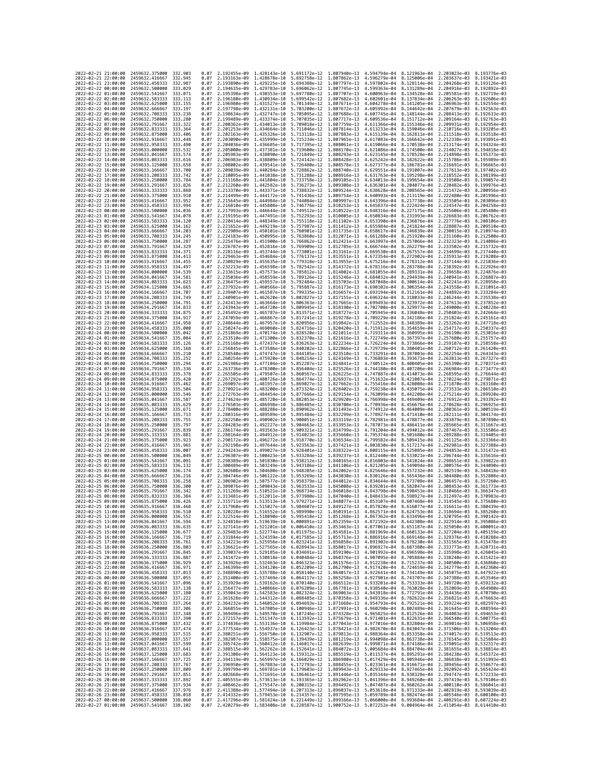|                                            | 2022-02-21 21:00:00 | 2459632.375000                                   | 332.903             | 0.07         | 2.192455e-09 1.428143e-10    |                                           | 5.691172e-12 1.807940e-13                                                                                                                                                                                                                                                |                              | 4.594794e-04                           |                              | 8.121963e-04 2.203023e-03 8.193776e-03              |                              |
|--------------------------------------------|---------------------|--------------------------------------------------|---------------------|--------------|------------------------------|-------------------------------------------|--------------------------------------------------------------------------------------------------------------------------------------------------------------------------------------------------------------------------------------------------------------------------|------------------------------|----------------------------------------|------------------------------|-----------------------------------------------------|------------------------------|
| 2022-02-21 22:00:00                        |                     | 2459632.416667                                   | 332.945             | 0.07         | 2.193163e-09                 | 1,428678e-10                              | 5.692758e-12                                                                                                                                                                                                                                                             | 1.807862e-13                 | 4.596279e-04                           | 8.125006e-04                 | 2.203637e-03                                        | 8.193421e-03                 |
| 2022-02-21 23:00:00<br>2022-02-22 00:00:00 |                     | 2459632.458333<br>2459632.500000                 | 332.987<br>333.029  | 0.07<br>0.07 | 2.193890e-09<br>2.194635e-09 | 1.429225e-10                              | 5.694388e-12<br>1.429783e-10 5.696062e-12                                                                                                                                                                                                                                | 1.807797e-13<br>1.807745e-13 | 4.597802e-04<br>4.599363e-04           | 8.128114e-04<br>8.131289e-04 | 2.204268e-03<br>2.204916e-03                        | 8.193126e-03<br>8.192892e-03 |
| 2022-02-22 01:00:00                        |                     | 2459632.541667                                   | 333.071             | 0.07         | 2.195398e-09                 | 1.430353e-10                              | 5.697780e-12                                                                                                                                                                                                                                                             | 1.807707e-13                 | 4.600963e-04                           | 8.134528e-04                 | 2.205581e-03                                        | 8.192719e-03                 |
| 2022-02-22 02:00:00                        |                     | 2459632,583333                                   | 333.113             | 0.07         | 2.196180e-09                 | 1.430934e-10                              | 5.699542e-12                                                                                                                                                                                                                                                             | 1.807682e-13                 | 4.602601e-04                           | 8.137834e-04                 | 2.206263e-03                                        | 8.192606e-03                 |
| 2022-02-22 03:00:00<br>2022-02-22 04:00:00 |                     | 2459632.625000<br>2459632.666667                 | 333.155<br>333, 197 | 0.07<br>0.07 | 2.196980e-09<br>2.197798e-09 | 1.431527e-10<br>1.432131e-10              | 5.701349e-12<br>5.703200e-12                                                                                                                                                                                                                                             | 1.807671e-13<br>1.807672e-13 | 4.604278e-04<br>4.605992e-04           | 8.141205e-04<br>8.144642e-04 | 2.206963e-03<br>2.207679e-03                        | 8.192554e-03<br>8.192563e-03 |
| 2022-02-22 05:00:00                        |                     | 2459632.708333                                   | 333.238             | 0.07         | 2.198634e-09                 | 1.432747e-10                              | 5.705095e-12                                                                                                                                                                                                                                                             | 1.807688e-13                 | 4.607745e-04                           | 8.148144e-04                 | 2.208413e-03                                        | 8.192633e-03                 |
| 2022-02-22 06:00:00                        |                     | 2459632.750000                                   | 333.280             | 0.07         | 2.199489e-09                 | 1.433374e-10                              | 5.707035e-12                                                                                                                                                                                                                                                             | 1.807717e-13                 | 4.609536e-04                           | 8.151712e-04                 | 2.209164e-03                                        | 8.192763e-03                 |
| 2022-02-22 07:00:00<br>2022-02-22 08:00:00 |                     | 2459632.791667<br>2459632,833333                 | 333.322<br>333, 364 | 0.07<br>0.07 | 2.200362e-09<br>2.201253e-09 | 1.434013e-10<br>1.434664e-10              | 5.709018e-12<br>5.711046e-12                                                                                                                                                                                                                                             | 1,807759e-13<br>1.807814e-13 | 4.611366e-04<br>4.613233e-04           | 8.155346e-04<br>8.159046e-04 | 2.209931e-03<br>2.210716e-03                        | 8.192954e-03<br>8.193205e-03 |
| 2022-02-22 09:00:00                        |                     | 2459632,875000                                   | 333.406             | 0.07         | 2.202163e-09                 | 1.435326e-10                              | 5.713118e-12                                                                                                                                                                                                                                                             | 1.807883e-13                 | 4.615139e-04                           | 8.162811e-04                 | 2.211518e-03                                        | 8.193518e-03                 |
| 2022-02-22 10:00:00                        |                     | 2459632.916667                                   | 333.448             | 0.07         | 2.203090e-09                 | 1.435999e-10                              | 5.715234e-12                                                                                                                                                                                                                                                             | 1.807965e-13                 | 4.617083e-04                           | 8.166642e-04                 | 2.212338e-03                                        | 8.193891e-03                 |
| 2022-02-22 11:00:00<br>2022-02-22 12:00:00 |                     | 2459632.958333<br>2459633.000000                 | 333.490<br>333.532  | 0.07<br>0.07 | 2.204036e-09<br>2.205000e-09 | 1.436685e-10 5.717395e-12<br>1.437381e-10 | 5.719600e-12                                                                                                                                                                                                                                                             | 1.808061e-13<br>1.808170e-13 | 4.619066e-04<br>4.621086e-04           | 8.170538e-04<br>8.174500e-04 | 2.213174e-03<br>2.214027e-03                        | 8.194324e-03<br>8.194818e-03 |
| 2022-02-22 13:00:00                        |                     | 2459633.041667                                   | 333.574             | 0.07         | 2.205983e-09                 | 1.438090e-10                              | 5.721849e-12                                                                                                                                                                                                                                                             | 1.808293e-13                 | 4.623145e-04                           | 8.178528e-04                 | 2.214898e-03                                        | 8.195373e-03                 |
| 2022-02-22 14:00:00                        |                     | 2459633.083333                                   | 333.616             | 0.07         | 2.206983e-09                 | 1.438809e-10                              | 5.724142e-12                                                                                                                                                                                                                                                             | 1.808428e-13                 | 4.625242e-04                           | 8.182622e-04                 | 2.215786e-03                                        | 8.195989e-03                 |
| 2022-02-22 15:00:00                        |                     | 2459633.125000                                   | 333.658<br>333.700  | 0.07<br>0.07 | 2.208002e-09<br>2.209039e-09 | 1.439541e-10<br>1.440284e-10              | 5.726480e-12<br>5.728862e-12                                                                                                                                                                                                                                             | 1,808578e-13<br>1.808740e-13 | 4.627377e-04                           | 8.186781e-04                 | 2.216691e-03<br>2.217613e-03                        | 8.196665e-03<br>8.197402e-03 |
| 2022-02-22 16:00:00<br>2022-02-22 17:00:00 |                     | 2459633.166667<br>2459633.208333                 | 333,742             | 0.07         | 2.210095e-09                 | 1.441038e-10                              | 5.731288e-12                                                                                                                                                                                                                                                             | 1.808916e-13                 | 4.629551e-04<br>4.631763e-04           | 8.191007e-04<br>8.195298e-04 | 2.218552e-03                                        | 8.198199e-03                 |
| 2022-02-22 18:00:00                        |                     | 2459633.250000                                   | 333.784             | 0.07         | 2.211168e-09                 | 1.441804e-10 5.733758e-12                 |                                                                                                                                                                                                                                                                          | 1.809105e-13                 | 4.634013e-04                           | 8.199654e-04                 | 2.219508e-03                                        | 8.199057e-03                 |
| 2022-02-22 19:00:00<br>2022-02-22 20:00:00 |                     | 2459633.291667<br>2459633.333333                 | 333.826<br>333.868  | 0.07<br>0.07 | 2.212260e-09<br>2.213370e-09 | 1.442582e-10<br>1.443371e-10              | 5.736273e-12<br>5.738832e-12                                                                                                                                                                                                                                             | 1.809308e-13<br>1.809524e-13 | 4.636301e-04<br>4.638628e-04           | 8.204077e-04<br>8.208565e-04 | 2.220482e-03<br>2.221472e-03                        | 8.199976e-03<br>8.200956e-03 |
| 2022-02-22 21:00:00                        |                     | 2459633.375000                                   | 333.910             | 0.07         | 2.214499e-09                 | 1.444172e-10                              | 5.741436e-12                                                                                                                                                                                                                                                             | 1.809754e-13                 | 4.640993e-04                           | 8.213119e-04                 | 2.222480e-03                                        | 8.201996e-03                 |
| 2022-02-22 22:00:00                        |                     | 2459633.416667                                   | 333.952             | 0.07         | 2.215645e-09                 | 1.444984e-10 5.744084e-12                 |                                                                                                                                                                                                                                                                          | 1.809997e-13                 | 4.643396e-04                           | 8.217738e-04                 | 2.223505e-03                                        | 8.203096e-03                 |
| 2022-02-22 23:00:00<br>2022-02-23 00:00:00 |                     | 2459633.458333<br>2459633.500000                 | 333.994<br>334,036  | 0.07<br>0.07 | 2.216810e-09<br>2.217993e-09 | 1.445808e-10<br>1.446644e-10              | 5.746776e-12<br>5.749512e-12                                                                                                                                                                                                                                             | 1.810253e-13<br>1.810522e-13 | 4.645837e-04<br>4.648316e-04           | 8.222424e-04<br>8.227175e-04 | 2.224547e-03<br>2.225606e-03                        | 8.204258e-03<br>8.205480e-03 |
| 2022-02-23 01:00:00                        |                     | 2459633.541667                                   | 334.078             | 0.07         | 2.219195e-09                 | 1.447491e-10                              | 5.752293e-12                                                                                                                                                                                                                                                             | 1.810805e-13                 | 4.650834e-04                           | 8.231993e-04                 | 2.226683e-03                                        | 8.206762e-03                 |
| 2022-02-23 02:00:00                        |                     | 2459633.583333                                   | 334.120             | 0.07         | 2.220414e-09                 | 1.448349e-10                              | 5.755118e-12                                                                                                                                                                                                                                                             | 1.811102e-13                 | 4.653390e-04                           | 8.236876e-04                 | 2.227776e-03                                        | 8.208106e-03                 |
| 2022-02-23 03:00:00<br>2022-02-23 04:00:00 |                     | 2459633.625000<br>2459633.666667                 | 334, 162<br>334.203 | 0.07<br>0.07 | 2.221652e-09<br>2.222909e-09 | 1.449219e-10<br>1.450101e-10              | 5.757987e-12<br>5.760901e-12                                                                                                                                                                                                                                             | 1.811412e-13<br>1.811735e-13 | 4.655984e-04<br>4.658617e-04           | 8.241824e-04<br>8.246839e-04 | 2.228887e-03<br>2.230015e-03                        | 8.209510e-03<br>8.210974e-03 |
| 2022-02-23 05:00:00                        |                     | 2459633.708333                                   | 334.245             | 0.07         | 2.224183e-09                 | 1.450995e-10 5.763860e-12                 |                                                                                                                                                                                                                                                                          | 1.812071e-13                 | 4.661288e-04                           | 8.251920e-04                 | 2.231160e-03                                        | 8.212500e-03                 |
| 2022-02-23 06:00:00                        |                     | 2459633.750000                                   | 334.287             | 0.07         | 2.225476e-09                 |                                           | 1.451900e-10 5.766862e-12                                                                                                                                                                                                                                                | 1.812421e-13                 | 4.663997e-04                           | 8.257066e-04                 | 2.232323e-03                                        | 8.214086e-03                 |
| 2022-02-23 07:00:00<br>2022-02-23 08:00:00 |                     | 2459633.791667<br>2459633.833333                 | 334.329<br>334.371  | 0.07<br>0.07 | 2.226787e-09<br>2.228116e-09 | 1.452816e-10<br>1.453744e-10              | 5.769909e-12<br>5.773001e-12                                                                                                                                                                                                                                             | 1.812785e-13<br>1.813161e-13 | 4.666744e-04<br>4.669530e-04           | 8.262279e-04<br>8.267557e-04 | 2.233502e-03<br>2.234699e-03                        | 8.215732e-03<br>8.217440e-03 |
| 2022-02-23 09:00:00                        |                     | 2459633.875000                                   | 334.413             | 0.07         | 2.229463e-09                 | 1.454684e-10 5.776137e-12                 |                                                                                                                                                                                                                                                                          | 1.813551e-13                 | 4.672354e-04                           | 8.272902e-04                 | 2.235913e-03                                        | 8.219208e-03                 |
| 2022-02-23 10:00:00                        |                     | 2459633.916667                                   | 334.455             | 0.07         | 2.230829e-09                 | 1.455635e-10                              | 5.779318e-12                                                                                                                                                                                                                                                             | 1.813955e-13                 | 4.675216e-04                           | 8.278312e-04                 | 2.237144e-03                                        | 8.221036e-03                 |
| 2022-02-23 11:00:00<br>2022-02-23 12:00:00 |                     | 2459633.958333<br>2459634.000000                 | 334.497<br>334.539  | 0.07<br>0.07 | 2.232213e-09<br>2.233615e-09 | 1.456598e-10<br>1.457573e-10 5.785812e-12 | 5.782542e-12                                                                                                                                                                                                                                                             | 1.814372e-13<br>1.814802e-13 | 4.678116e-04<br>4.681055e-04           | 8.283788e-04<br>8.289331e-04 | 2.238392e-03<br>2.239658e-03                        | 8.222926e-03<br>8.224876e-03 |
| 2022-02-23 13:00:00                        |                     | 2459634.041667                                   | 334.581             | 0.07         | 2.235036e-09                 | 1.458559e-10                              | 5.789126e-12                                                                                                                                                                                                                                                             | 1.815246e-13                 | 4.684032e-04                           | 8.294939e-04                 | 2.240941e-03                                        | 8.226887e-03                 |
| 2022-02-23 14:00:00                        |                     | 2459634.083333                                   | 334.623             | 0.07         | 2.236475e-09                 | 1.459557e-10                              | 5.792484e-12                                                                                                                                                                                                                                                             | 1.815703e-13                 | 4.687048e-04                           | 8.300614e-04                 | 2.242241e-03                                        | 8.228958e-03                 |
| 2022-02-23 15:00:00<br>2022-02-23 16:00:00 |                     | 2459634.125000<br>2459634.166667                 | 334.665<br>334.707  | 0.07<br>0.07 | 2.237932e-09<br>2.239407e-09 | 1.460566e-10                              | 5.795887e-12<br>1.461587e-10 5.799335e-12                                                                                                                                                                                                                                | 1.816173e-13<br>1.816657e-13 | 4.690102e-04<br>4.693194e-04           | 8.306354e-04<br>8.312161e-04 | 2.243558e-03<br>2.244892e-03                        | 8.231091e-03<br>8.233284e-03 |
| 2022-02-23 17:00:00                        |                     | 2459634.208333                                   | 334,749             | 0.07         | 2.240901e-09                 | 1.462620e-10                              | 5.802827e-12                                                                                                                                                                                                                                                             | 1.817155e-13                 | 4.696324e-04                           | 8.318033e-04                 | 2.246244e-03                                        | 8.235538e-03                 |
| 2022-02-23 18:00:00                        |                     | 2459634.250000                                   | 334.791             | 0.07         | 2.242413e-09                 | 1,463664e-10                              | 5.806363e-12                                                                                                                                                                                                                                                             | 1.817665e-13                 | 4.699493e-04                           | 8.323972e-04                 | 2.247613e-03                                        | 8.237852e-03                 |
| 2022-02-23 19:00:00<br>2022-02-23 20:00:00 |                     | 2459634.291667<br>2459634.333333                 | 334,833<br>334.875  | 0.07<br>0.07 | 2.243943e-09<br>2.245492e-09 | 1.464720e-10<br>1.465787e-10              | 5.809945e-12<br>5.813571e-12                                                                                                                                                                                                                                             | 1.818190e-13<br>1.818727e-13 | 4.702700e-04<br>4.705945e-04           | 8.329977e-04<br>8.336048e-04 | 2.249000e-03<br>2.250403e-03                        | 8.240228e-03<br>8.242664e-03 |
| 2022-02-23 21:00:00                        |                     | 2459634.375000                                   | 334.917             | 0.07         | 2.247059e-09                 | 1.466867e-10                              | 5.817241e-12                                                                                                                                                                                                                                                             | 1.819278e-13                 | 4.709229e-04                           | 8.342186e-04                 | 2.251824e-03                                        | 8.245161e-03                 |
| 2022-02-23 22:00:00                        |                     | 2459634.416667                                   | 334.958             | 0.07         | 2.248644e-09                 | 1.467957e-10                              | 5.820956e-12                                                                                                                                                                                                                                                             | 1.819842e-13                 | 4.712552e-04                           | 8.348389e-04                 | 2.253262e-03                                        | 8.247718e-03                 |
| 2022-02-23 23:00:00<br>2022-02-24 00:00:00 |                     | 2459634.458333<br>2459634,500000                 | 335,000<br>335.042  | 0.07<br>0.07 | 2.250247e-09<br>2.251869e-09 | 1.470174e-10                              | 1.469060e-10 5.824716e-12<br>5.828520e-12                                                                                                                                                                                                                                | 1.820420e-13<br>1.821011e-13 | 4.715912e-04<br>4.719311e-04           | 8.354659e-04<br>8.360995e-04 | 2.254717e-03<br>2.256190e-03                        | 8.250337e-03<br>8.253016e-03 |
| 2022-02-24 01:00:00                        |                     | 2459634.541667                                   | 335,084             | 0.07         | 2.253510e-09                 | 1.471300e-10                              | 5.832370e-12                                                                                                                                                                                                                                                             | 1.821616e-13                 | 4.722749e-04                           | 8.367397e-04                 | 2.257680e-03                                        | 8.255757e-03                 |
| 2022-02-24 02:00:00<br>2022-02-24 03:00:00 |                     | 2459634.583333<br>2459634.625000                 | 335.126<br>335.168  | 0.07<br>0.07 | 2.255168e-09<br>2.256845e-09 | 1.472437e-10 5.836263e-12                 | 1.473586e-10 5.840202e-12                                                                                                                                                                                                                                                | 1.822234e-13<br>1.822866e-13 | 4.726224e-04<br>4.729739e-04           | 8.373866e-04<br>8.380401e-04 | 2.259187e-03<br>2.260712e-03                        | 8.258558e-03<br>8.261420e-03 |
| 2022-02-24 04:00:00                        |                     | 2459634.666667                                   | 335.210             | 0.07         | 2.258540e-09                 | 1.474747e-10                              | 5.844185e-12                                                                                                                                                                                                                                                             | 1.823510e-13                 | 4.733291e-04                           | 8.387003e-04                 | 2.262254e-03                                        | 8.264343e-03                 |
| 2022-02-24 05:00:00                        |                     | 2459634.708333                                   | 335.252             | 0.07         | 2.260254e-09                 | 1.475920e-10                              | 5.848214e-12                                                                                                                                                                                                                                                             | 1.824169e-13                 | 4.736883e-04                           | 8.393671e-04                 | 2.263813e-03                                        | 8.267327e-03                 |
| 2022-02-24 06:00:00<br>2022-02-24 07:00:00 |                     | 2459634.750000<br>2459634.791667                 | 335.294<br>335.336  | 0.07<br>0.07 | 2.261986e-09<br>2.263736e-09 | 1.477104e-10<br>1.478300e-10              | 5.852287e-12<br>5.856404e-12                                                                                                                                                                                                                                             | 1.824841e-13<br>1.825526e-13 | 4.740512e-04<br>4.744180e-04           | 8.400405e-04<br>8.407206e-04 | 2.265390e-03<br>2.266984e-03                        | 8.270371e-03<br>8.273477e-03 |
| 2022-02-24 08:00:00                        |                     | 2459634.833333                                   | 335.378             | 0.07         | 2.265505e-09                 | 1.479507e-10                              | 5.860567e-12                                                                                                                                                                                                                                                             | 1.826225e-13                 | 4.747887e-04                           | 8.414073e-04                 | 2.268595e-03                                        | 8.276644e-03                 |
| 2022-02-24 09:00:00<br>2022-02-24 10:00:00 |                     | 2459634.875000<br>2459634.916667                 | 335.420<br>335,462  | 0.07<br>0.07 | 2.267292e-09                 | 1.480726e-10                              | 5.864774e-12<br>5.869027e-12                                                                                                                                                                                                                                             | 1.826937e-13                 | 4.751632e-04                           | 8.421007e-04                 | 2.270224e-03<br>2.271870e-03                        | 8.279871e-03<br>8.283160e-03 |
| 2022-02-24 11:00:00                        |                     | 2459634.958333                                   | 335.504             | 0.07         | 2.269097e-09<br>2.270921e-09 | 1.481957e-10<br>1.483200e-10              | 5.873324e-12                                                                                                                                                                                                                                                             | 1.827662e-13<br>1.828402e-13 | 4.755416e-04<br>4.759238e-04           | 8.428008e-04<br>8.435075e-04 | 2.273533e-03                                        | 8.286510e-03                 |
| 2022-02-24 12:00:00                        |                     | 2459635.000000                                   | 335.546             | 0.07         | 2.272763e-09                 | 1.484454e-10                              | 5.877666e-12                                                                                                                                                                                                                                                             | 1.829154e-13                 | 4.763099e-04                           | 8.442208e-04                 | 2.275214e-03                                        | 8.289920e-03                 |
| 2022-02-24 13:00:00<br>2022-02-24 14:00:00 |                     | 2459635.041667<br>2459635.083333                 | 335.587<br>335.629  | 0.07<br>0.07 | 2.274624e-09<br>2.276503e-09 | 1.485720e-10                              | 5.882053e-12<br>1.486998e-10 5.886485e-12                                                                                                                                                                                                                                | 1.829920e-13<br>1.830700e-13 | 4.766998e-04<br>4.770936e-04           | 8.449409e-04<br>8.456676e-04 | 2.276912e-03<br>2.278628e-03                        | 8.293392e-03<br>8.296925e-03 |
| 2022-02-24 15:00:00                        |                     | 2459635.125000                                   | 335.671             | 0.07         | 2.278400e-09                 | 1.488288e-10                              | 5.890962e-12                                                                                                                                                                                                                                                             | 1.831493e-13                 | 4.774912e-04                           | 8.464009e-04                 | 2.280361e-03                                        | 8.300519e-03                 |
| 2022-02-24 16:00:00<br>2022-02-24 17:00:00 |                     | 2459635.166667                                   | 335.713<br>335.755  | 0.07<br>0.07 | 2.280316e-09<br>2.282250e-09 | 1.489589e-10                              | 5.895484e-12                                                                                                                                                                                                                                                             | 1.832299e-13<br>1.833119e-13 | 4.778927e-04                           | 8.471410e-04                 | 2.282111e-03                                        | 8.304174e-03<br>8.307890e-03 |
| 2022-02-24 18:00:00                        |                     | 2459635.208333<br>2459635.250000                 | 335.797             | 0.07         | 2.284203e-09                 | 1.490902e-10<br>1.492227e-10              | 5.900051e-12<br>5.904663e-12                                                                                                                                                                                                                                             | 1.833953e-13                 | 4.782981e-04<br>4.787073e-04           | 8.478877e-04<br>8.486411e-04 | 2.283879e-03<br>2.285665e-03                        | 8.311667e-03                 |
| 2022-02-24 19:00:00                        |                     | 2459635.291667                                   | 335,839             | 0.07         | 2.286174e-09                 | 1.493563e-10                              | 5.909321e-12                                                                                                                                                                                                                                                             | 1.834799e-13                 | 4.791204e-04                           | 8.494012e-04                 | 2.287467e-03                                        | 8.315506e-03                 |
| 2022-02-24 20:00:00                        |                     | 2459635.333333                                   | 335,881             | 0.07         |                              | 1.494912e-10                              | 5.914023e-12                                                                                                                                                                                                                                                             | 1.835660e-13                 | 4.795374e-04<br>4.799582e-04           | 8.501680e-04                 | 2.289288e-03                                        | 8.319405e-03<br>8.323366e-03 |
| 2022-02-24 22:00:00                        |                     |                                                  |                     |              | 2.288164e-09                 |                                           |                                                                                                                                                                                                                                                                          |                              |                                        |                              |                                                     |                              |
|                                            | 2022-02-24 21:00:00 | 2459635.375000<br>2459635.416667                 | 335.923<br>335.965  | 0.07<br>0.07 | 2.290172e-09<br>2.292198e-09 | 1.496272e-10<br>1.497644e-10              | 5.918770e-12<br>5.923563e-12                                                                                                                                                                                                                                             | 1.836534e-13<br>1.837421e-13 | 4.803830e-04                           | 8.509415e-04<br>8.517217e-04 | 2.291125e-03<br>2.292981e-03                        | 8.327388e-03                 |
| 2022-02-24 23:00:00                        |                     | 2459635.458333                                   | 336.007             | 0.07         | 2.294243e-09                 | 1.499027e-10                              | 5.928401e-12                                                                                                                                                                                                                                                             | 1.838322e-13                 | 4.808115e-04                           | 8.525085e-04                 | 2.294853e-03                                        | 8.331472e-03                 |
| 2022-02-25 00:00:00                        |                     | 2459635.500000                                   | 336.049             | 0.07         | 2.296307e-09                 | 1.500423e-10                              | 5.933284e-12                                                                                                                                                                                                                                                             | 1.839237e-13                 | 4.812440e-04                           | 8.533021e-04                 | 2.296744e-03                                        | 8.335616e-03                 |
| 2022-02-25 01:00:00<br>2022-02-25 02:00:00 |                     | 2459635.541667<br>2459635.583333                 | 336.091<br>336.132  | 0.07<br>0.07 | 2.298389e-09<br>2.300489e-09 | 1.501830e-10<br>1.503249e-10              | 5.938212e-12<br>5.943186e-12                                                                                                                                                                                                                                             | 1.840165e-13<br>1.841106e-13 | 4.816803e-04<br>4.821205e-04           | 8.541024e-04<br>8.549094e-04 | 2.298651e-03<br>2.300576e-03                        | 8.339822e-03<br>8.344090e-03 |
| 2022-02-25 03:00:00                        |                     | 2459635.625000                                   | 336, 174            | 0.07         | 2.302608e-09                 | 1.504680e-10                              | 5.948205e-12                                                                                                                                                                                                                                                             | 1.842062e-13                 | 4.825646e-04                           | 8.557232e-04                 | 2.302519e-03                                        | 8.348418e-03                 |
| 2022-02-25 04:00:00                        |                     | 2459635.666667                                   | 336.216             | 0.07<br>0.07 | 2.304746e-09                 | 1.506122e-10                              | 5.953269e-12                                                                                                                                                                                                                                                             | 1.843030e-13                 | 4.830126e-04                           | 8.565436e-04                 | 2.304480e-03                                        | 8.352808e-03<br>8.357260e-03 |
| 2022-02-25 05:00:00<br>2022-02-25 06:00:00 |                     | 2459635.708333<br>2459635.750000                 | 336.258<br>336,300  | 0.07         | 2.306902e-09<br>2.309076e-09 | 1.507577e-10<br>1.509043e-10              | 5.958379e-12<br>5.963533e-12                                                                                                                                                                                                                                             | 1.844012e-13<br>1.845008e-13 | 4.834644e-04<br>4.839201e-04           | 8.573708e-04<br>8.582047e-04 | 2.306457e-03<br>2.308453e-03                        | 8.361773e-03                 |
| 2022-02-25 07:00:00                        |                     | 2459635.791667                                   | 336.342             | 0.07         | 2.311269e-09                 | 1.510521e-10                              | 5.968734e-12                                                                                                                                                                                                                                                             | 1.846018e-13                 | 4.843798e-04                           | 8.590453e-04                 | 2.310466e-03                                        | 8.366347e-03                 |
| 2022-02-25 08:00:00                        |                     | 2459635.833333                                   | 336.384             | 0.07<br>0.07 | 2.313481e-09                 | 1.512011e-10                              | 5.973980e-12                                                                                                                                                                                                                                                             | 1.847040e-13                 | 4.848433e-04                           | 8.598927e-04                 | 2.312497e-03                                        | 8.370983e-03                 |
| 2022-02-25 09:00:00<br>2022-02-25 10:00:00 |                     | 2459635.875000<br>2459635.916667                 | 336.426<br>336.468  | 0.07         |                              |                                           | 2.315711e-09 1.513513e-10 5.979271e-12 1.848077e-13<br>2.317960e-09 1.515027e-10 5.984607e-12 1.849127e-13 4.857820e-04 8.616077e-04 2.316611e-03 8.380439e-03                                                                                                           |                              | 4.853107e-04 8.607468e-04 2.314545e-03 |                              |                                                     | 8.375680e-03                 |
| 2022-<br>-02-25                            | 11:00:00            | 2459635.958333                                   | 336.510             | 0.07         | .320228e-09                  | 1.516552e-10                              | 5.989990e-12                                                                                                                                                                                                                                                             | 1.850191e-13                 | 4.862571e-04                           | 8.624753e-04                 | 2.318694e-03                                        | 8.385260e-03                 |
| 2022-02-25 12:00:00<br>2022-02-25 13:00:00 |                     | 2459636.000000 336.552<br>2459636.041667         | 336.594             | 0.07         |                              |                                           | 2.322514e-09 1.518090e-10 5.995418e-12 1.851268e-13 4.867362e-04 8.633496e-04 2.320795e-03 8.390142e-03<br>2.324818e-09 1.519639e-10 6.000891e-12 1.852359e-13 4.872192e-04 8.642308e-04 2.322914e-03 8.395086e-03                                                       |                              |                                        |                              |                                                     |                              |
| 2022-02-25 14:00:00                        |                     | 2459636.083333                                   | 336.635             | 0.07         |                              |                                           | 2.327141e-09 1.521201e-10 6.006410e-12 1.853463e-13 4.877061e-04 8.651187e-04 2.325050e-03 8.400091e-03                                                                                                                                                                  |                              |                                        |                              |                                                     |                              |
| 2022-02-25 15:00:00                        |                     | 2459636.125000                                   | 336.677             | 0.07<br>0.07 |                              |                                           | 2.329483e-09 1.522774e-10 6.011975e-12 1.854581e-13 4.881969e-04 8.660133e-04 2.327204e-03 8.405159e-03                                                                                                                                                                  |                              |                                        |                              |                                                     |                              |
| 2022-02-25 16:00:00<br>2022-02-25 17:00:00 |                     | 2459636.166667<br>2459636.208333                 | 336.719<br>336.761  | 0.07         |                              |                                           | 2.331844e-09 1.524359e-10 6.017585e-12 1.855713e-13 4.886916e-04 8.669148e-04 2.329376e-03 8.410288e-03<br>2.334223e-09 1.525956e-10 6.023241e-12 1.856858e-13                                                                                                           |                              |                                        |                              | 4.891902e-04 8.678230e-04 2.331565e-03 8.415478e-03 |                              |
| 2022-02-25 18:00:00                        |                     | 2459636.250000                                   | 336.803             | 0.07         |                              |                                           | 2.336621e-09 1.527565e-10 6.028943e-12 1.858017e-13                                                                                                                                                                                                                      |                              |                                        | 4.896927e-04 8.687380e-04    | 2.333773e-03                                        | 8.420731e-03                 |
| 2022-02-25 19:00:00                        |                     | 2459636.291667                                   | 336.845             | 0.07         |                              |                                           | 2.339037e-09 1.529185e-10 6.034691e-12 1.859190e-13 4.901992e-04 8.696598e-04 2.335998e-03 8.426045e-03                                                                                                                                                                  |                              |                                        |                              |                                                     |                              |
| 2022-02-25 20:00:00<br>2022-02-25 21:00:00 |                     | 2459636.333333 336.887<br>2459636.375000         | 336.929             | 0.07         |                              |                                           | 0.07 2.341472e-09 1.530818e-10 6.040484e-12 1.860376e-13 4.907095e-04 8.705884e-04 2.338240e-03 8.431421e-03<br>2.343926e-09 1.532463e-10 6.046323e-12 1.861576e-13                                                                                                      |                              |                                        |                              | 4.912238e-04 8.715237e-04 2.340500e-03 8.436860e-03 |                              |
| 2022-02-25 22:00:00                        |                     | 2459636.416667                                   | 336.971             | 0.07         |                              |                                           | 2.346399e-09 1.534120e-10 6.052209e-12 1.862790e-13                                                                                                                                                                                                                      |                              |                                        |                              | 4.917420e-04 8.724659e-04 2.342779e-03 8.442360e-03 |                              |
| 2022-02-25 23:00:00<br>2022-02-26 00:00:00 |                     | 2459636.458333<br>2459636.500000 337.055         | 337.013             | 0.07         |                              |                                           | 2.348890e-09 1.535788e-10 6.058140e-12 1.864017e-13 4.922641e-04 8.734149e-04 2.345075e-03 8.447922e-03<br>0.07 2.351400e-09 1.537469e-10 6.064117e-12 1.865258e-13 4.927901e-04 8.743707e-04 2.347388e-03 8.453546e-03                                                  |                              |                                        |                              |                                                     |                              |
| 2022-02-26 01:00:00                        |                     | 2459636.541667                                   | 337.096             | 0.07         |                              |                                           | 2.353929e-09 1.539162e-10 6.070140e-12 1.866512e-13                                                                                                                                                                                                                      |                              | 4.933201e-04 8.753333e-04 2.349720e-03 |                              |                                                     | 8.459232e-03                 |
| 2022-02-26 02:00:00                        |                     | 2459636.583333 337.138                           |                     |              |                              |                                           | 0.07 2.356477e-09 1.540866e-10 6.076209e-12 1.867781e-13 4.938540e-04 8.763028e-04 2.352069e-03 8.464980e-03                                                                                                                                                             |                              |                                        |                              |                                                     |                              |
| 2022-02-26 03:00:00<br>2022-02-26 04:00:00 |                     | 2459636.625000 337.180<br>2459636.666667         | 337.222             | 0.07         |                              |                                           | 0.07 2.359043e-09 1.542583e-10 6.082324e-12 1.869063e-13 4.943918e-04 8.772791e-04 2.354436e-03 8.470790e-03<br>2.361628e-09 1.544312e-10 6.088485e-12 1.870358e-13 4.949336e-04 8.782622e-04 2.356821e-03 8.476663e-03                                                  |                              |                                        |                              |                                                     |                              |
| 2022-02-26 05:00:00                        |                     | 2459636.708333 337.264                           |                     | 0.07         |                              |                                           | 2.364232e-09 1.546052e-10 6.094693e-12 1.871668e-13 4.954793e-04 8.792521e-04 2.359224e-03 8.482597e-03                                                                                                                                                                  |                              |                                        |                              |                                                     |                              |
| 2022-02-26 06:00:00<br>2022-02-26 07:00:00 |                     | 2459636.750000 337.306<br>2459636.791667 337.348 |                     |              |                              |                                           | 0.07 2.366855e-09 1.547805e-10 6.100946e-12 1.872991e-13 4.960290e-04 8.802489e-04 2.361645e-03 8.488594e-03<br>0.07 2.369496e-09 1.549570e-10 6.107246e-12 1.874328e-13 4.965825e-04 8.812526e-04 2.364083e-03 8.494653e-03                                             |                              |                                        |                              |                                                     |                              |
| 2022-02-26 08:00:00                        |                     | 2459636.833333                                   | 337.390             | 0.07         |                              |                                           |                                                                                                                                                                                                                                                                          |                              |                                        |                              | 4.971401e-04 8.822631e-04 2.366540e-03 8.500775e-03 |                              |
| 2022-02-26 09:00:00<br>2022-02-26 10:00:00 |                     | 2459636.875000<br>2459636.916667                 | 337.432<br>337.474  | 0.07         |                              |                                           | $\begin{array}{cccc} 2.372157e-09 & 1.551347e-10 & 6.113592e-12 & 1.875679e-13 \\ 2.374836e-09 & 1.553136e-10 & 6.119984e-12 & 1.877043e-13 \end{array}$<br>0.07 2.377534e-09 1.554937e-10 6.126423e-12 1.878421e-13 4.982670e-04 8.843047e-04 2.371506e-03 8.513204e-03 |                              |                                        |                              | 4.977016e-04 8.832804e-04 2.369014e-03 8.506958e-03 |                              |
| 2022-02-26 11:00:00                        |                     | 2459636.958333 337.515                           |                     | 0.07         |                              |                                           | 2.380251e-09 1.556750e-10 6.132907e-12 1.879813e-13 4.988364e-04 8.853358e-04 2.374017e-03 8.519513e-03                                                                                                                                                                  |                              |                                        |                              |                                                     |                              |
| 2022-02-26 12:00:00                        |                     | 2459637.000000                                   | 337.557             | 0.07         |                              |                                           | 2.382987e-09 1.558575e-10 6.139439e-12 1.881219e-13 4.994098e-04 8.863738e-04 2.376545e-03 8.525884e-03                                                                                                                                                                  |                              |                                        |                              |                                                     |                              |
| 2022-02-26 13:00:00<br>2022-02-26 14:00:00 |                     | 2459637.041667<br>2459637.083333 337.641         | 337.599             | 0.07         |                              |                                           | 2.385742e-09 1.560412e-10 6.146017e-12 1.882639e-13 4.999871e-04 8.874186e-04 2.379091e-03 8.532317e-03<br>0.07 2.388515e-09 1.562262e-10 6.152641e-12 1.884072e-13 5.005684e-04 8.884704e-04 2.381655e-03 8.538814e-03                                                  |                              |                                        |                              |                                                     |                              |
| 2022-02-26 15:00:00                        |                     | 2459637.125000 337.683                           |                     | 0.07         |                              |                                           | 2.391308e-09 1.564123e-10 6.159312e-12 1.885519e-13 5.011537e-04 8.895291e-04 2.384238e-03 8.545372e-03                                                                                                                                                                  |                              |                                        |                              |                                                     |                              |
| 2022-02-26 16:00:00<br>2022-02-26 17:00:00 |                     | 2459637.166667<br>2459637.208333 337.767         | 337.725             | 0.07         |                              |                                           | 2.394119e-09 1.565997e-10 6.166029e-12 1.886980e-13<br>0.07 2.396950e-09 1.567883e-10 6.172793e-12 1.888455e-13 5.023361e-04 8.916671e-04 2.389456e-03 8.558677e-03                                                                                                      |                              |                                        |                              | 5.017429e-04 8.905946e-04 2.386838e-03              | 8.551993e-03                 |
| 2022-02-26 18:00:00                        |                     | 2459637.250000                                   | 337.809             |              |                              |                                           | 0.07 2.399799e-09 1.569781e-10 6.179603e-12 1.889943e-13 5.029333e-04 8.927465e-04 2.392092e-03 8.565424e-03                                                                                                                                                             |                              |                                        |                              |                                                     |                              |
| 2022-02-26 19:00:00                        |                     | 2459637.291667                                   | 337.851             | 0.07         |                              |                                           | 2.402668e-09 1.571691e-10 6.186461e-12 1.891446e-13                                                                                                                                                                                                                      |                              | 5.035344e-04 8.938328e-04 2.394747e-03 |                              |                                                     | 8.572233e-03                 |
| 2022-02-26 20:00:00<br>2022-02-26 21:00:00 |                     | 2459637.333333 337.892<br>2459637.375000 337.934 |                     |              |                              |                                           | 0.07 2.405555e-09 1.573613e-10 6.193365e-12 1.892962e-13 5.041396e-04 8.949260e-04 2.397419e-03 8.579106e-03<br>0.07 2.408462e-09 1.575547e-10 6.200315e-12 1.894492e-13 5.047487e-04 8.960262e-04 2.400110e-03 8.586041e-03                                             |                              |                                        |                              |                                                     |                              |
| 2022-02-26 22:00:00                        |                     | 2459637.416667 337.976                           |                     |              |                              |                                           | 0.07 2.411388e-09 1.577494e-10 6.207313e-12 1.896037e-13 5.053618e-04 8.971333e-04 2.402819e-03 8.593039e-03                                                                                                                                                             |                              |                                        |                              |                                                     |                              |
| 2022-02-26 23:00:00<br>2022-02-27 00:00:00 |                     | 2459637.458333<br>2459637.500000                 | 338.018<br>338.060  | 0.07         |                              |                                           | 2.414332e-09 1.579453e-10 6.214357e-12 1.897595e-13<br>0.07 2.417296e-09 1.581424e-10 6.221449e-12 1.899166e-13 5.066000e-04 8.993684e-04 2.408291e-03 8.607224e-03                                                                                                      |                              |                                        |                              | 5.059789e-04 8.982474e-04 2.405546e-03              | 8.600100e-03                 |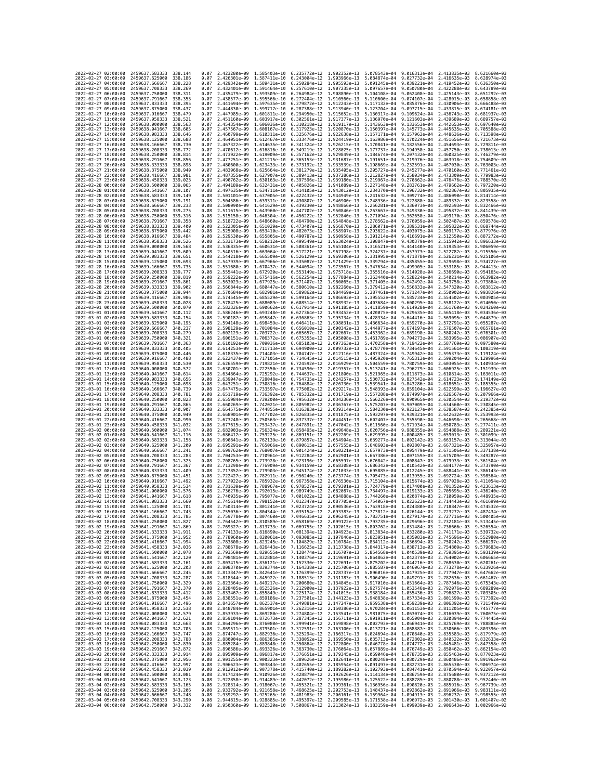| 2022-02-27 02:00:00                        |                     | 2459637.583333                                   | 338.144             | 0.07         | 2.423280e-09 1.585403e-10                 |                              | 6.235772e-12 1.902352e-13                                                                                                                                                                                                                                                                                                                            |                              | 5.078543e-04                 |                                                        | 9.016313e-04 2.413835e-03                 | 8.621660e-03                 |
|--------------------------------------------|---------------------|--------------------------------------------------|---------------------|--------------|-------------------------------------------|------------------------------|------------------------------------------------------------------------------------------------------------------------------------------------------------------------------------------------------------------------------------------------------------------------------------------------------------------------------------------------------|------------------------------|------------------------------|--------------------------------------------------------|-------------------------------------------|------------------------------|
| 2022-02-27 03:00:00                        |                     | 2459637.625000                                   | 338.186             | 0.07         | 2.426301e-09                              | 1,587411e-10                 | 6.243004e-12                                                                                                                                                                                                                                                                                                                                         | 1.903966e-13                 | 5.084874e-04                 | 9.027732e-04                                           | 2.416635e-03                              | 8.628974e-03                 |
| 2022-02-27 04:00:00                        |                     | 2459637.666667                                   | 338.228             | 0.07         | 2.429342e-09                              | 1.589431e-10                 | 6.250284e-12                                                                                                                                                                                                                                                                                                                                         | 1.905593e-13                 | 5.091245e-04                 | 9.039221e-04                                           | 2.419452e-03                              | 8.636350e-03                 |
| 2022-02-27 05:00:00<br>2022-02-27 06:00:00 |                     | 2459637.708333<br>2459637.750000                 | 338.269<br>338.311  | 0.07<br>0.07 | 2.432401e-09 1.591464e-10<br>2.435479e-09 | 1.593509e-10                 | 6.257610e-12<br>6.264984e-12 1.908890e-13                                                                                                                                                                                                                                                                                                            | 1.907235e-13                 | 5.097657e-04<br>5.104108e-04 | 9.050780e-04<br>9.062408e-04                           | 2.422288e-03<br>2.425143e-03              | 8.643789e-03<br>8.651292e-03 |
| 2022-02-27 07:00:00                        |                     | 2459637.791667                                   | 338.353             | 0.07         | 2.438577e-09                              | 1.595566e-10                 | 6.272404e-12                                                                                                                                                                                                                                                                                                                                         | 1.910560e-13                 | 5.110600e-04                 | 9.074107e-04                                           | 2.428015e-03                              | 8.658858e-03                 |
| 2022-02-27 08:00:00                        |                     | 2459637.833333                                   | 338.395             | 0.07         | 2.441694e-09                              | 1.597635e-10                 | 6.279872e-12                                                                                                                                                                                                                                                                                                                                         | 1.912243e-13                 | 5.117132e-04                 | 9.085876e-04                                           | 2.430906e-03                              | 8.666488e-03                 |
| 2022-02-27 09:00:00                        |                     | 2459637.875000                                   | 338,437             | 0.07         | 2.444830e-09                              | 1.599717e-10                 | 6.287388e-12                                                                                                                                                                                                                                                                                                                                         | 1.913940e-13                 | 5.123704e-04                 | 9.097715e-04                                           | 2.433815e-03                              | 8.674181e-03                 |
| 2022-02-27 10:00:00<br>2022-02-27 11:00:00 |                     | 2459637.916667<br>2459637.958333                 | 338,479<br>338.521  | 0.07<br>0.07 | 2.447985e-09<br>2.451160e-09              | 1.601811e-10<br>1.603917e-10 | 6.294950e-12<br>6.302561e-12                                                                                                                                                                                                                                                                                                                         | 1.915652e-13<br>1.917377e-13 | 5.130317e-04<br>5.136970e-04 | 9.109624e-04<br>9.121603e-04                           | 2.436743e-03<br>2.439689e-03              | 8.681937e-03<br>8.689757e-03 |
| 2022-02-27 12:00:00                        |                     | 2459638.000000                                   | 338,563             | 0.07         | 2.454354e-09                              | 1.606036e-10                 | 6.310218e-12                                                                                                                                                                                                                                                                                                                                         | 1,919117e-13                 | 5.143663e-04                 | 9.133653e-04                                           | 2.442653e-03                              | 8.697640e-03                 |
| 2022-02-27 13:00:00                        |                     | 2459638.041667                                   | 338,605             | 0.07         | 2.457567e-09                              | 1.608167e-10                 | 6.317923e-12                                                                                                                                                                                                                                                                                                                                         | 1.920870e-13                 | 5.150397e-04                 | 9.145773e-04                                           | 2.445635e-03                              | 8.705588e-03                 |
| 2022-02-27 14:00:00                        |                     | 2459638.083333                                   | 338,646             | 0.07         | 2.460799e-09                              | 1.610311e-10                 | 6.325676e-12                                                                                                                                                                                                                                                                                                                                         | 1.922638e-13                 | 5.157171e-04                 | 9.157963e-04                                           | 2.448636e-03                              | 8.713598e-03                 |
| 2022-02-27 15:00:00<br>2022-02-27 16:00:00 |                     | 2459638.125000<br>2459638.166667                 | 338.688<br>338.730  | 0.07<br>0.07 | 2.464051e-09<br>2.467322e-09              | 1.612467e-10<br>1.614635e-10 | 6.333476e-12<br>6.341324e-12                                                                                                                                                                                                                                                                                                                         | 1.924419e-13<br>1.926215e-13 | 5.163986e-04<br>5.170841e-04 | 9.170224e-04<br>9.182556e-04                           | 2.451656e-03<br>2.454693e-03              | 8.721673e-03<br>8.729811e-03 |
| 2022-02-27 17:00:00                        |                     | 2459638.208333                                   | 338.772             | 0.07         | 2.470612e-09                              | 1.616816e-10                 | 6.349219e-12                                                                                                                                                                                                                                                                                                                                         | 1.928025e-13                 | 5.177737e-04                 | 9.194958e-04                                           | 2.457750e-03                              | 8.738013e-03                 |
| 2022-02-27 18:00:00                        |                     | 2459638.250000                                   | 338.814             | 0.07         | 2.473922e-09                              | 1.619009e-10                 | 6.357162e-12                                                                                                                                                                                                                                                                                                                                         | 1.929849e-13                 | 5.184674e-04                 | 9.207432e-04                                           | 2.460825e-03                              | 8.746279e-03                 |
| 2022-02-27 19:00:00                        |                     | 2459638.291667                                   | 338.856             | 0.07         | 2.477251e-09                              | 1.621215e-10                 | 6.365153e-12                                                                                                                                                                                                                                                                                                                                         | 1.931687e-13                 | 5.191651e-04                 | 9.219976e-04                                           | 2.463918e-03                              | 8.754609e-03                 |
| 2022-02-27 20:00:00<br>2022-02-27 21:00:00 |                     | 2459638.333333<br>2459638.375000                 | 338,898<br>338,940  | 0.07         | 2.480600e-09<br>2.483968e-09              | 1.623433e-10<br>1.625664e-10 | 6.373192e-12<br>6.381279e-12                                                                                                                                                                                                                                                                                                                         | 1.933539e-13<br>1,935405e-13 | 5.198669e-04                 | 9.232591e-04<br>9.245277e-04                           | 2.467030e-03<br>2.470160e-03              | 8.763003e-03<br>8.771461e-03 |
| 2022-02-27 22:00:00                        |                     | 2459638.416667                                   | 338.981             | 0.07<br>0.07 | 2.487355e-09                              | 1.627907e-10                 | 6.389413e-12                                                                                                                                                                                                                                                                                                                                         | 1.937286e-13                 | 5.205727e-04<br>5.212827e-04 | 9.258034e-04                                           | 2.473309e-03                              | 8.779983e-03                 |
| 2022-02-27 23:00:00                        |                     | 2459638.458333                                   | 339.023             | 0.07         | 2.490762e-09                              | 1.630163e-10                 | 6.397596e-12                                                                                                                                                                                                                                                                                                                                         | 1.939180e-13                 | 5.219967e-04                 | 9.270862e-04                                           | 2.476476e-03                              | 8.788570e-03                 |
| 2022-02-28 00:00:00                        |                     | 2459638.500000                                   | 339,065             | 0.07         | 2.494189e-09                              | 1.632431e-10                 | 6.405826e-12                                                                                                                                                                                                                                                                                                                                         | 1.941089e-13                 | 5.227148e-04                 | 9.283761e-04                                           | 2.479662e-03                              | 8.797220e-03                 |
| 2022-02-28 01:00:00                        |                     | 2459638.541667                                   | 339.107             | 0.08         | 2.497635e-09                              | 1.634711e-10                 | 6.414105e-12                                                                                                                                                                                                                                                                                                                                         | 1.943012e-13                 | 5.234370e-04                 | 9.296732e-04                                           | 2.482867e-03                              | 8.805935e-03                 |
| 2022-02-28 02:00:00<br>2022-02-28 03:00:00 |                     | 2459638.583333<br>2459638.625000                 | 339.149<br>339.191  | 0.08<br>0.08 | 2.501101e-09<br>2.504586e-09              | 1.637005e-10<br>1.639311e-10 | 6.422432e-12<br>6.430807e-12                                                                                                                                                                                                                                                                                                                         | 1.944949e-13<br>1.946900e-13 | 5.241632e-04<br>5.248936e-04 | 9.309774e-04<br>9.322888e-04                           | 2.486090e-03<br>2.489332e-03              | 8.814714e-03<br>8.823558e-03 |
| 2022-02-28 04:00:00                        |                     | 2459638.666667                                   | 339,233             | 0.08         | 2.508090e-09                              | 1.641629e-10                 | 6.439230e-12                                                                                                                                                                                                                                                                                                                                         | 1.948866e-13                 | 5.256281e-04                 | 9.336073e-04                                           | 2.492593e-03                              | 8.832466e-03                 |
| 2022-02-28 05:00:00                        |                     | 2459638.708333                                   | 339.275             | 0.08         | 2.511615e-09                              | 1.643960e-10                 | 6.447702e-12                                                                                                                                                                                                                                                                                                                                         | 1.950846e-13                 | 5.263667e-04                 | 9.349330e-04                                           | 2.495872e-03                              | 8.841439e-03                 |
| 2022-02-28 06:00:00                        |                     | 2459638.750000                                   | 339, 316            | 0.08         | 2.515158e-09                              | 1.646304e-10                 | 6.456222e-12                                                                                                                                                                                                                                                                                                                                         | 1.952840e-13                 | 5.271094e-04                 | 9.362658e-04                                           | 2.499170e-03                              | 8.850476e-03                 |
| 2022-02-28 07:00:00<br>2022-02-28 08:00:00 |                     | 2459638.791667<br>2459638.833333                 | 339, 358<br>339,400 | 0.08<br>0.08 | 2.518722e-09<br>2.522305e-09              | 1.648660e-10<br>1.651029e-10 | 6.464790e-12<br>6.473407e-12                                                                                                                                                                                                                                                                                                                         | 1.954848e-13<br>1.956870e-13 | 5.278562e-04<br>5.286071e-04 | 9.376059e-04<br>9.389531e-04                           | 2.502487e-03<br>2.505822e-03              | 8.859578e-03<br>8.868744e-03 |
| 2022-02-28 09:00:00                        |                     | 2459638.875000                                   | 339.442             | 0.08         | 2.525908e-09                              | 1.653410e-10                 | 6.482073e-12                                                                                                                                                                                                                                                                                                                                         | 1.958907e-13                 | 5.293622e-04                 | 9.403075e-04                                           | 2.509177e-03                              | 8.877976e-03                 |
| 2022-02-28 10:00:00                        |                     | 2459638.916667                                   | 339.484             | 0.08         | 2.529530e-09                              | 1.655805e-10                 | 6.490787e-12                                                                                                                                                                                                                                                                                                                                         | 1.960958e-13                 | 5.301214e-04                 | 9.416691e-04                                           | 2.512550e-03                              | 8.887272e-03                 |
| 2022-02-28 11:00:00                        |                     | 2459638.958333                                   | 339.526             | 0.08         | 2.533173e-09                              | 1.658212e-10                 | 6.499549e-12                                                                                                                                                                                                                                                                                                                                         | 1.963024e-13                 | 5.308847e-04                 | 9.430379e-04                                           | 2.515942e-03                              | 8.896633e-03                 |
| 2022-02-28 12:00:00                        |                     | 2459639.000000                                   | 339.568             | 0.08         | 2.536835e-09                              | 1.660631e-10                 | 6.508361e-12                                                                                                                                                                                                                                                                                                                                         | 1.965104e-13                 | 5.316521e-04                 | 9.444140e-04                                           | 2.519353e-03                              | 8.906059e-03                 |
| 2022-02-28 13:00:00<br>2022-02-28 14:00:00 |                     | 2459639.041667<br>2459639.083333                 | 339,609<br>339.651  | 0.08<br>0.08 | 2.540516e-09<br>2.544218e-09              | 1.663064e-10<br>1.665509e-10 | 6.517221e-12<br>6.526129e-12                                                                                                                                                                                                                                                                                                                         | 1.967198e-13<br>1.969306e-13 | 5.324237e-04<br>5.331995e-04 | 9.457973e-04<br>9.471878e-04                           | 2.522782e-03<br>2.526231e-03              | 8.915550e-03<br>8.925106e-03 |
| 2022-02-28 15:00:00                        |                     | 2459639.125000                                   | 339.693             | 0.08         | 2.547939e-09                              | 1.667966e-10                 | 6.535087e-12                                                                                                                                                                                                                                                                                                                                         | 1.971429e-13                 | 5.339794e-04                 | 9.485855e-04                                           | 2.529698e-03                              | 8.934727e-03                 |
| 2022-02-28 16:00:00                        |                     | 2459639.166667                                   | 339.735             | 0.08         | 2.551680e-09                              | 1.670437e-10                 | 6.544094e-12                                                                                                                                                                                                                                                                                                                                         | 1.973567e-13                 | 5.347634e-04                 | 9.499905e-04                                           | 2.533185e-03                              | 8.944413e-03                 |
| 2022-02-28 17:00:00                        |                     | 2459639.208333                                   | 339.777             | 0.08         | 2.555441e-09                              | 1.672920e-10                 | 6.553149e-12                                                                                                                                                                                                                                                                                                                                         | 1.975718e-13                 | 5.355516e-04                 | 9.514028e-04                                           | 2.536690e-03                              | 8.954165e-03                 |
| 2022-02-28 18:00:00<br>2022-02-28 19:00:00 |                     | 2459639.250000<br>2459639.291667                 | 339.819<br>339.861  | 0.08<br>0.08 | 2.559222e-09<br>2.563023e-09              | 1.675416e-10<br>1.677925e-10 | 6.562254e-12<br>6.571407e-12                                                                                                                                                                                                                                                                                                                         | 1.977884e-13<br>1.980065e-13 | 5.363440e-04<br>5.371405e-04 | 9.528224e-04<br>9.542492e-04                           | 2.540214e-03<br>2.543758e-03              | 8.963982e-03<br>8.973864e-03 |
| 2022-02-28 20:00:00                        |                     | 2459639.333333                                   | 339.902             | 0.08         | 2.566844e-09                              | 1.680447e-10                 | 6.580610e-12                                                                                                                                                                                                                                                                                                                                         | 1.982260e-13                 | 5.379412e-04                 | 9.556833e-04                                           | 2.547320e-03                              | 8.983812e-03                 |
| 2022-02-28 21:00:00                        |                     | 2459639.375000                                   | 339.944             | 0.08         | 2.570684e-09                              | 1.682981e-10                 | 6.589862e-12                                                                                                                                                                                                                                                                                                                                         | 1.984469e-13                 | 5.387461e-04                 | 9.571247e-04                                           | 2.550902e-03                              | 8.993826e-03                 |
| 2022-02-28 22:00:00                        |                     | 2459639.416667                                   | 339,986             | 0.08         | 2.574545e-09                              | 1.685529e-10                 | 6.599164e-12                                                                                                                                                                                                                                                                                                                                         | 1.986693e-13                 | 5.395552e-04                 | 9.585734e-04                                           | 2.554502e-03                              | 9.003905e-03                 |
| 2022-02-28 23:00:00                        |                     | 2459639.458333                                   | 340.028<br>340.070  | 0.08<br>0.08 | 2.578425e-09                              | 1.688089e-10                 | 6.608514e-12                                                                                                                                                                                                                                                                                                                                         | 1.988932e-13                 | 5.403684e-04                 | 9.600295e-04<br>9.614928e-04                           | 2.558122e-03                              | 9.014050e-03<br>9.024260e-03 |
| 2022-03-01 00:00:00<br>2022-03-01 01:00:00 |                     | 2459639.500000<br>2459639.541667                 | 340.112             | 0.08         | 2.582326e-09<br>2.586246e-09              | 1.690662e-10<br>1.693248e-10 | 6.617914e-12<br>6.627364e-12                                                                                                                                                                                                                                                                                                                         | 1.991185e-13<br>1.993452e-13 | 5.411859e-04<br>5.420075e-04 | 9.629635e-04                                           | 2.561760e-03<br>2.565418e-03              | 9.034536e-03                 |
| 2022-03-01 02:00:00                        |                     | 2459639.583333                                   | 340, 154            | 0.08         | 2.590187e-09                              | 1.695847e-10                 | 6.636863e-12                                                                                                                                                                                                                                                                                                                                         | 1.995734e-13                 | 5.428334e-04                 | 9.644416e-04                                           | 2.569095e-03                              | 9.044879e-03                 |
| 2022-03-01 03:00:00                        |                     | 2459639.625000                                   | 340.195             | 0.08         | 2.594148e-09                              | 1.698459e-10                 | 6.646411e-12                                                                                                                                                                                                                                                                                                                                         | 1.998031e-13                 | 5.436634e-04                 | 9.659270e-04                                           | 2.572791e-03                              | 9.055287e-03                 |
| 2022-03-01 04:00:00                        |                     | 2459639.666667                                   | 340.237             | 0.08         | 2.598129e-09                              | 1,701084e-10                 | 6.656010e-12                                                                                                                                                                                                                                                                                                                                         | 2.000342e-13                 | 5.444977e-04                 | 9.674197e-04                                           | 2.576507e-03                              | 9.065761e-03<br>9.076301e-03 |
| 2022-03-01 05:00:00<br>2022-03-01 06:00:00 |                     | 2459639.708333<br>2459639.750000                 | 340.279<br>340.321  | 0.08<br>0.08 | 2.602129e-09<br>2.606151e-09              | 1.703722e-10<br>1.706372e-10 | 6.665657e-12<br>6.675355e-12                                                                                                                                                                                                                                                                                                                         | 2.002667e-13<br>2.005008e-13 | 5.453362e-04<br>5.461789e-04 | 9.689198e-04<br>9.704273e-04                           | 2.580242e-03<br>2.583995e-03              | 9.086907e-03                 |
| 2022-03-01 07:00:00                        |                     | 2459639.791667                                   | 340, 363            | 0.08         | 2.610192e-09                              | 1.709036e-10                 | 6.685103e-12                                                                                                                                                                                                                                                                                                                                         | 2.007363e-13                 | 5.470258e-04                 | 9.719422e-04                                           | 2.587769e-03                              | 9.097580e-03                 |
| 2022-03-01 08:00:00                        |                     | 2459639.833333                                   | 340.405             | 0.08         | 2.614253e-09                              | 1.711713e-10                 | 6.694900e-12                                                                                                                                                                                                                                                                                                                                         | 2.009732e-13                 | 5.478770e-04                 | 9.734645e-04                                           | 2.591561e-03                              | 9.108319e-03                 |
| 2022-03-01 09:00:00                        |                     | 2459639.875000                                   | 340,446             | 0.08         | 2.618335e-09                              | 1.714403e-10                 | 6.704747e-12                                                                                                                                                                                                                                                                                                                                         | 2.012116e-13                 | 5.487324e-04                 | 9.749942e-04                                           | 2.595373e-03                              | 9.119124e-03                 |
| 2022-03-01 10:00:00<br>2022-03-01 11:00:00 |                     | 2459639.916667<br>2459639.958333                 | 340.488<br>340.530  | 0.08<br>0.08 | 2.622437e-09<br>2.626559e-09              | 1.717105e-10<br>1.719821e-10 | 6.714645e-12<br>6.724592e-12                                                                                                                                                                                                                                                                                                                         | 2.014515e-13<br>2.016929e-13 | 5.495920e-04<br>5.504559e-04 | 9.765313e-04<br>9.780759e-04                           | 2.599204e-03<br>2.603055e-03              | 9.129996e-03<br>9.140934e-03 |
| 2022-03-01 12:00:00                        |                     | 2459640.000000                                   | 340.572             | 0.08         | 2.630701e-09                              | 1.722550e-10                 | 6.734590e-12                                                                                                                                                                                                                                                                                                                                         | 2.019357e-13                 | 5.513241e-04                 | 9.796279e-04                                           | 2.606925e-03                              | 9.151939e-03                 |
| 2022-03-01 13:00:00                        |                     | 2459640.041667                                   | 340.614             | 0.08         | 2.634864e-09                              | 1,725292e-10                 | 6.744637e-12                                                                                                                                                                                                                                                                                                                                         | 2.021800e-13                 | 5.521965e-04                 | 9.811873e-04                                           | 2.610814e-03                              | 9.163011e-03                 |
| 2022-03-01 14:00:00                        |                     | 2459640.083333                                   | 340.656             | 0.08         | 2.639047e-09                              | 1.728048e-10                 | 6.754735e-12                                                                                                                                                                                                                                                                                                                                         | 2.024257e-13                 | 5.530732e-04                 | 9.827542e-04                                           | 2.614723e-03                              | 9.174149e-03                 |
| 2022-03-01 15:00:00<br>2022-03-01 16:00:00 |                     | 2459640,125000<br>2459640.166667                 | 340,698<br>340.739  | 0.08<br>0.08 | 2.643251e-09<br>2.647475e-09              | 1.730816e-10<br>1.733597e-10 | 6.764884e-12<br>6.775082e-12                                                                                                                                                                                                                                                                                                                         | 2.026730e-13<br>2.029217e-13 | 5.539541e-04<br>5.548393e-04 | 9.843286e-04<br>9.859104e-04                           | 2.618651e-03<br>2.622599e-03              | 9.185355e-03<br>9.196627e-03 |
| 2022-03-01 17:00:00                        |                     | 2459640.208333                                   | 340.781             | 0.08         | 2.651719e-09                              | 1.736392e-10                 | 6.785332e-12                                                                                                                                                                                                                                                                                                                                         | 2.031719e-13                 | 5.557288e-04                 | 9.874997e-04                                           | 2.626567e-03                              | 9.207966e-03                 |
| 2022-03-01 18:00:00                        |                     | 2459640.250000                                   | 340.823             | 0.08         | 2.655984e-09                              | 1.739200e-10                 | 6.795632e-12                                                                                                                                                                                                                                                                                                                                         | 2.034236e-13                 | 5.566226e-04                 | 9.890965e-04                                           | 2.630554e-03                              | 9.219372e-03                 |
| 2022-03-01 19:00:00                        |                     | 2459640.291667                                   | 340.865             | 0.08         | 2.660269e-09                              | 1.742021e-10                 | 6.805982e-12                                                                                                                                                                                                                                                                                                                                         | 2.036767e-13                 | 5.575207e-04                 | 9.907009e-04                                           | 2.634560e-03                              | 9.230845e-03                 |
| 2022-03-01 20:00:00<br>2022-03-01 21:00:00 |                     | 2459640.333333<br>2459640.375000                 | 340.907<br>340.949  | 0.08<br>0.08 | 2.664575e-09<br>2.668901e-09              | 1.744855e-10<br>1.747702e-10 | 6.816383e-12<br>6.826835e-12                                                                                                                                                                                                                                                                                                                         | 2.039314e-13<br>2.041875e-13 | 5.584230e-04<br>5.593297e-04 | 9.923127e-04<br>9.939321e-04                           | 2.638587e-03<br>2.642632e-03              | 9.242385e-03<br>9.253993e-03 |
| 2022-03-01 22:00:00                        |                     | 2459640.416667                                   | 340,990             | 0.08         | 2.673248e-09                              | 1.750563e-10                 | 6.837337e-12                                                                                                                                                                                                                                                                                                                                         | 2.044451e-13                 | 5.602407e-04                 | 9.955590e-04                                           | 2.646698e-03                              | 9.265668e-03                 |
| 2022-03-01 23:00:00                        |                     | 2459640.458333                                   | 341.032             | 0.08         | 2.677615e-09                              | 1.753437e-10                 | 6.847891e-12                                                                                                                                                                                                                                                                                                                                         | 2.047042e-13                 | 5.611560e-04                 | 9.971934e-04                                           | 2.650783e-03                              | 9.277411e-03                 |
| 2022-03-02 00:00:00                        |                     | 2459640,500000                                   | 341.074             | 0.08         | 2.682003e-09                              | 1.756324e-10                 | 6.858495e-12                                                                                                                                                                                                                                                                                                                                         | 2.049648e-13                 | 5.620756e-04                 | 9.988355e-04                                           | 2.654888e-03                              | 9.289221e-03                 |
| 2022-03-02 01:00:00                        |                     | 2459640.541667                                   | 341, 116            | 0.08         | 2.686412e-09                              | 1.759225e-10                 | 6.869151e-12                                                                                                                                                                                                                                                                                                                                         | 2.052269e-13                 | 5.629995e-04                 | 1.000485e-03                                           | 2.659013e-03                              | 9.301099e-03<br>9.313044e-03 |
| 2022-03-02 02:00:00<br>2022-03-02 03:00:00 |                     | 2459640.583333<br>2459640.625000                 | 341, 158<br>341,200 | 0.08<br>0.08 | 2.690841e-09<br>2.695291e-09              | 1,762139e-10<br>1.765066e-10 | 6.879857e-12<br>6.890615e-12                                                                                                                                                                                                                                                                                                                         | 2.054904e-13<br>2.057555e-13 | 5.639277e-04<br>5.648603e-04 | 1.002142e-03<br>1.003807e-03                           | 2.663157e-03<br>2.667321e-03              | 9.325057e-03                 |
| 2022-03-02 04:00:00                        |                     | 2459640.666667                                   | 341.241             | 0.08         | 2.699762e-09                              | 1.768007e-10                 | 6.901424e-12                                                                                                                                                                                                                                                                                                                                         | 2.060221e-13                 | 5.657973e-04                 | 1.005479e-03                                           | 2.671506e-03                              | 9.337138e-03                 |
| 2022-03-02 05:00:00                        |                     | 2459640.708333                                   | 341,283             | 0.08         | 2.704253e-09                              | 1.770961e-10                 | 6.912284e-12                                                                                                                                                                                                                                                                                                                                         | 2.062901e-13                 | 5.667386e-04                 | 1.007159e-03                                           | 2.675709e-03                              | 9.349287e-03                 |
| 2022-03-02 06:00:00                        |                     |                                                  | 341.325             | 0.08         | 2.708765e-09                              | 1.773928e-10                 | 6.923196e-12                                                                                                                                                                                                                                                                                                                                         |                              |                              |                                                        |                                           | 9.361504e-03                 |
|                                            |                     | 2459640.750000                                   |                     |              |                                           |                              |                                                                                                                                                                                                                                                                                                                                                      | 2.065597e-13                 | 5.676842e-04                 | 1.008847e-03                                           | 2.679933e-03                              |                              |
| 2022-03-02 09:00:00                        | 2022-03-02 07:00:00 | 2459640.791667                                   | 341, 367            | 0.08         | 2.713298e-09                              | 1.776909e-10                 | 6.934159e-12                                                                                                                                                                                                                                                                                                                                         | 2.068308e-13                 | 5.686342e-04                 | 1.010542e-03                                           | 2.684177e-03                              | 9.373790e-03                 |
| 2022-03-02 10:00:00                        | 2022-03-02 08:00:00 | 2459640.833333<br>2459640.875000                 | 341,409<br>341.451  | 0.08<br>0.08 | 2.717852e-09<br>2.722427e-09              | 1.779903e-10<br>1,782911e-10 | 6.945174e-12<br>6.956240e-12                                                                                                                                                                                                                                                                                                                         | 2.071033e-13<br>2.073774e-13 | 5.695885e-04<br>5.705473e-04 | 1.012245e-03<br>1.013955e-03                           | 2.688441e-03                              | 9.386143e-03<br>9.398564e-03 |
|                                            |                     | 2459640.916667                                   | 341.492             | 0.08         | 2.727022e-09                              | 1.785932e-10                 | 6.967358e-12                                                                                                                                                                                                                                                                                                                                         | 2.076530e-13                 | 5.715104e-04                 | 1.015674e-03                                           | 2.692724e-03<br>2.697028e-03              | 9.411054e-03                 |
| 2022-03-02 11:00:00                        |                     | 2459640.958333                                   | 341.534             | 0.08         | 2.731639e-09                              | 1.788967e-10                 | 6.978527e-12                                                                                                                                                                                                                                                                                                                                         | 2.079301e-13                 | 5.724779e-04                 | 1,017400e-03                                           | 2.701352e-03                              | $9.423613e - 03$             |
| 2022-03-02 12:00:00                        |                     | 2459641.000000                                   | 341.576             | 0.08         | 2.736276e-09                              | 1.792015e-10                 | 6.989749e-12                                                                                                                                                                                                                                                                                                                                         | 2.082087e-13                 | 5.734497e-04                 | 1.019133e-03                                           | 2.705695e-03                              | 9.436240e-03                 |
| 2022-03-02 13:00:00<br>2022-03-02 14:00:00 |                     | 2459641.041667<br>2459641.083333                 | 341.618<br>341,660  | 0.08<br>0.08 | 2.740935e-09 1.795077e-10                 |                              | 7.001022e-12<br>2.745614e-09 1.798152e-10 7.012347e-12 2.087705e-13                                                                                                                                                                                                                                                                                  | 2.084888e-13                 |                              | 5.744260e-04 1.020874e-03<br>5.754067e-04 1.022623e-03 | 2.710059e-03<br>2.714443e-03 9.461699e-03 | 9.448935e-03                 |
| 2022-03-02 15:00:00                        |                     | 2459641.125000                                   | 341.701             | 0.08         |                                           |                              | 2.750314e-09 1.801241e-10 7.023724e-12 2.090536e-13 5.763918e-04 1.024380e-03 2.718847e-03 9.474532e-03                                                                                                                                                                                                                                              |                              |                              |                                                        |                                           |                              |
| 2022-03-02 16:00:00                        |                     | 2459641.166667                                   |                     | 0.08         | 2.755036e-09                              | 1.804344e-10                 | 7.035154e-12                                                                                                                                                                                                                                                                                                                                         | 2.093383e-13                 | 5.773812e-04                 | 1,026144e-03                                           | 2.723272e-03                              |                              |
| 2022-03-02 17:00:00                        |                     | 2459641.208333 341.785                           | 341.827             | 0.08         |                                           |                              | 0.08 2.759778e-09 1.807460e-10 7.046635e-12 2.096245e-13 5.783751e-04 1.027917e-03 2.727716e-03 9.500405e-03                                                                                                                                                                                                                                         |                              |                              |                                                        |                                           |                              |
| 2022-03-02 18:00:00<br>2022-03-02 19:00:00 |                     | 2459641.250000<br>2459641.291667                 | 341.869             |              |                                           |                              | 2.764542e-09 1.810589e-10 7.058169e-12 2.099122e-13 5.793735e-04 1.029696e-03 2.732181e-03 9.513445e-03                                                                                                                                                                                                                                              |                              |                              |                                                        |                                           |                              |
| 2022-03-02 20:00:00                        |                     | 2459641.333333 341.911                           |                     |              |                                           |                              | 0.08  2.769327e-09  1.813733e-10  7.069755e-12  2.102015e-13  5.803762e-04  1.031484e-03  2.736666e-03  9.526554e-03<br>0.08  2.774133e-09  1.816890e-10  7.081394e-12  2.104923e-13  5.813834e-04  1.033280e-03  2.741171e-03  9                                                                                                                    |                              |                              |                                                        |                                           |                              |
| 2022-03-02 21:00:00                        |                     | 2459641.375000 341.952                           |                     |              |                                           |                              | 0.08 2.778960e-09 1.820061e-10 7.093085e-12 2.107846e-13 5.823951e-04 1.035083e-03 2.745696e-03 9.552980e-03                                                                                                                                                                                                                                         |                              |                              |                                                        |                                           |                              |
| 2022-03-02 22:00:00<br>2022-03-02 23:00:00 |                     | 2459641.416667<br>2459641.458333                 | 341.994<br>342.036  |              |                                           |                              |                                                                                                                                                                                                                                                                                                                                                      |                              |                              |                                                        |                                           |                              |
| 2022-03-03 00:00:00                        |                     | 2459641.500000 342.078                           |                     |              |                                           |                              | 0.08 2.783808e-09 1.823245e-10 7.104829e-12 2.110784e-13 5.834112e-04 1.036894e-03 2.750242e-03 9.566297e-03<br>0.08 2.788678e-09 1.826443e-10 7.116625e-12 2.113738e-13 5.844317e-04 1.038713e-03 2.754809e-03 9.579683e-03<br>0.08 2.793569e-09 1.829655e-10 7.128474e-12 2.116707e-13 5.854568e-04 1.040539e-03 2.759395e-03 9.593139e-03         |                              |                              |                                                        |                                           |                              |
| 2022-03-03 01:00:00                        |                     | 2459641.541667 342.120                           |                     |              |                                           |                              | 0.08 2.798481e-09 1.832881e-10 7.140376e-12 2.119691e-13 5.864862e-04 1.042374e-03 2.764002e-03 9.606665e-03                                                                                                                                                                                                                                         |                              |                              |                                                        |                                           |                              |
| 2022-03-03 02:00:00                        |                     | 2459641.583333                                   | 342.161             |              |                                           |                              |                                                                                                                                                                                                                                                                                                                                                      |                              |                              |                                                        |                                           |                              |
| 2022-03-03 03:00:00<br>2022-03-03 04:00:00 |                     | 2459641.625000<br>2459641.666667                 | 342.203<br>342,245  |              |                                           |                              |                                                                                                                                                                                                                                                                                                                                                      |                              |                              |                                                        |                                           |                              |
| 2022-03-03 05:00:00                        |                     | 2459641.708333 342.287                           |                     |              |                                           |                              | 0.08 2.803415e-09 1.836121e-10 7.152330e-12 2.122691e-13 5.875202e-04 1.044216e-03 2.768630e-03 9.620261e-03<br>0.08 2.808370e-09 1.839374e-10 7.164338e-12 2.125706e-13 5.885587e-04 1.044216e-03 2.773278e-03 9.633926e-03<br>0.08                                                                                                                 |                              |                              |                                                        |                                           |                              |
| 2022-03-03 06:00:00                        |                     | 2459641.750000                                   | 342.329             |              |                                           |                              |                                                                                                                                                                                                                                                                                                                                                      |                              |                              |                                                        |                                           |                              |
| 2022-03-03 07:00:00                        |                     | 2459641.791667 342.370                           |                     |              |                                           |                              | 0.08 2.818344e-09 1.845922e-10 7.188513e-12 2.131783e-13 5.906490e-04 1.049791e-03 2.782636e-03 9.661467e-03<br>0.08 2.818344e-09 1.845922e-10 7.280630e-12 2.131783e-13 5.906490e-04 1.049791e-03 2.782636e-03 9.661467e-03<br>0.08                                                                                                                 |                              |                              |                                                        |                                           |                              |
| 2022-03-03 08:00:00<br>2022-03-03 09:00:00 |                     | 2459641.833333 342.412                           | 342.454             |              |                                           |                              |                                                                                                                                                                                                                                                                                                                                                      |                              |                              |                                                        |                                           |                              |
| 2022-03-03 10:00:00                        |                     | 2459641.875000<br>2459641.916667 342.496         |                     |              |                                           |                              |                                                                                                                                                                                                                                                                                                                                                      |                              |                              |                                                        |                                           |                              |
| 2022-03-03 11:00:00                        |                     | 2459641.958333 342.538                           |                     |              |                                           |                              | 0.08 2.833467e-09 1.855849e-10 7.225174e-12 2.141015e-13 5.938184e-04 1.055436e-03 2.706827e-03 9.703305e-03<br>0.08 2.838551e-09 1.859186e-10 7.237501e-12 2.1410128e-13 5.938838e-04 1.055334e-03 2.801599e-03 9.717392e-03<br>0.0<br>0.08 2.848784e-09 1.865901e-10 7.262316e-12 2.150386e-13 5.970284e-04 1.061153e-03 2.811205e-03 9.745777e-03 |                              |                              |                                                        |                                           |                              |
| 2022-03-03 12:00:00                        |                     | 2459642.000000 342.579                           |                     |              |                                           |                              | 0.08 2.853933e-09 1.869280e-10 7.274804e-12 2.153541e-13 5.981075e-04 1.063074e-03 2.816039e-03 9.760075e-03                                                                                                                                                                                                                                         |                              |                              |                                                        |                                           |                              |
| 2022-03-03 13:00:00                        |                     | 2459642.041667                                   | 342.621<br>342,663  |              |                                           |                              |                                                                                                                                                                                                                                                                                                                                                      |                              |                              |                                                        |                                           |                              |
| 2022-03-03 14:00:00<br>2022-03-03 15:00:00 |                     | 2459642.083333<br>2459642.125000 342.705         |                     |              |                                           |                              | 0.08 2.859104e-09 1.872673e-10 7.287345e-12 2.156711e-13 5.991911e-04 1.065004e-03 2.820894e-03 9.774445e-03<br>0.08 2.864296e-09 1.876080e-10 7.299941e-12 2.159898e-13 6.002793e-04 1.066941e-03 2.825769e-03 9.788885e-03<br>0.08 2.869511e-09 1.879501e-10 7.312591e-12 2.163100e-13 6.013721e-04 1.068887e-03 2.830666e-03 9.803396e-03         |                              |                              |                                                        |                                           |                              |
| 2022-03-03 16:00:00                        |                     | 2459642.166667                                   | 342,747             |              |                                           |                              |                                                                                                                                                                                                                                                                                                                                                      |                              |                              |                                                        |                                           |                              |
| 2022-03-03 17:00:00                        |                     | 2459642.208333                                   | 342.788             |              |                                           |                              |                                                                                                                                                                                                                                                                                                                                                      |                              |                              |                                                        |                                           |                              |
| 2022-03-03 18:00:00                        |                     | 2459642.250000                                   | 342.830             |              |                                           |                              |                                                                                                                                                                                                                                                                                                                                                      |                              |                              |                                                        |                                           |                              |
| 2022-03-03 19:00:00<br>2022-03-03 20:00:00 |                     | 2459642.291667 342.872<br>2459642.333333 342.914 |                     |              |                                           |                              | 0.08 2.874747e-09 1.882936e-10 7.325294e-12 2.166317e-13 6.024694e-04 1.070840e-03 2.835583e-03 9.817979e-03<br>0.08 2.880804e-09 1.885385e-10 7.338654e-12 2.166317e-13 6.024694e-04 1.070804e-03 2.835583e-03 9.837979e-03<br>0.08                                                                                                                 |                              |                              |                                                        |                                           |                              |
| 2022-03-03 21:00:00                        |                     | 2459642.375000 342.956                           |                     |              |                                           |                              | $\begin{array}{cccccccc} 0.08 & 2.895909e-09 & 1.896817e-10 & 7.376651e-12 & 2.179345e-13 & 6.069046e-04 & 1.078735e-03 & 2.855463e-03 & 9.877023e-03 \\ 0.08 & 2.901255e-09 & 1.900323e-10 & 7.389626e-12 & 2.182641e-13 & 6.080248e-04 & 1.080729e-03 & 2.8$                                                                                       |                              |                              |                                                        |                                           |                              |
| 2022-03-03 22:00:00                        |                     | 2459642.416667 342.997                           |                     |              |                                           |                              | 0.08 2.906623e-09 1.903843e-10 7.402655e-12 2.185954e-13 6.091497e-04 1.082731e-03 2.865530e-03 9.906974e-03                                                                                                                                                                                                                                         |                              |                              |                                                        |                                           |                              |
| 2022-03-03 23:00:00                        |                     | 2459642.458333 343.039                           |                     |              |                                           |                              |                                                                                                                                                                                                                                                                                                                                                      |                              |                              |                                                        |                                           |                              |
| 2022-03-04 00:00:00<br>2022-03-04 01:00:00 |                     | 2459642.500000<br>2459642.541667 343.123         | 343.081             |              |                                           |                              |                                                                                                                                                                                                                                                                                                                                                      |                              |                              |                                                        |                                           |                              |
| 2022-03-04 02:00:00                        |                     | 2459642.583333 343.165                           |                     |              |                                           |                              | 0.08 2.912012e-09 1.907378e-10 7.415740e-12 2.189282e-13 6.102793e-04 1.084741e-03 2.870594e-03 9.922057e-03<br>0.08 2.917424e-09 1.910926e-10 7.428879e-12 2.192626e-13 6.102793e-04 1.084741e-03 2.875698e-03 9.922267e-03<br>0.08<br>0.08 2.928314e-09 1.918067e-10 7.455321e-12 2.199361e-13 6.136956e-04 1.090820e-03 2.885916e-03 9.967739e-03 |                              |                              |                                                        |                                           |                              |
| 2022-03-04 03:00:00                        |                     | 2459642.625000 343.206                           |                     |              |                                           |                              |                                                                                                                                                                                                                                                                                                                                                      |                              |                              |                                                        |                                           |                              |
| 2022-03-04 04:00:00<br>2022-03-04 05:00:00 |                     | 2459642.666667<br>2459642.708333 343.290         | 343.248             |              |                                           |                              | 0.08 2.933792e-09 1.921658e-10 7.468625e-12 2.202753e-13 6.148437e-04 1.092662e-03 2.891066e-03 9.983111e-03<br>0.08 2.933792e-09 1.921658e-10 7.468625e-12 2.202753e-13 6.148437e-04 1.092662e-03 2.891066e-03 9.983111e-03<br>0.08                                                                                                                 |                              |                              |                                                        |                                           |                              |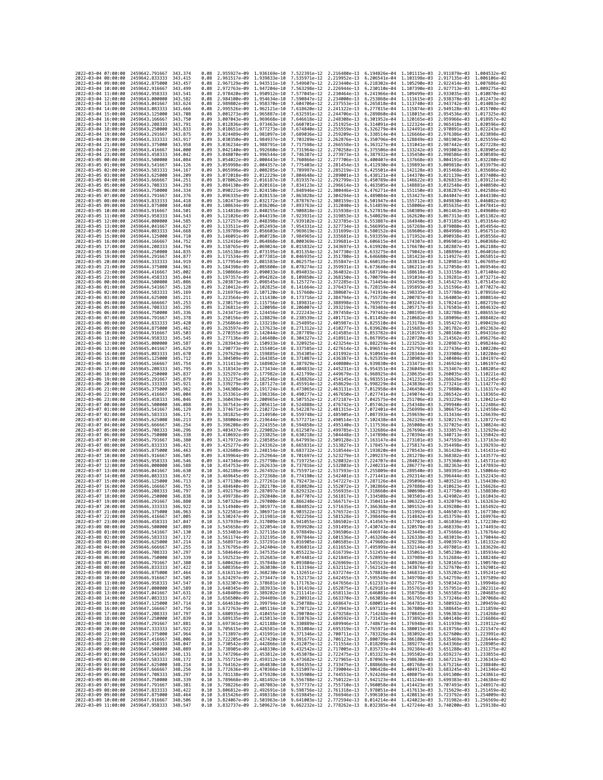| 2022-03-04 07:00:00                        |                     | 2459642.791667                                   | 343.374             | 0.08         | 2.955927e-09 1.936169e-10                 |                              | 7.522391e-12 2.216480e-13                                                                                                                                                                                                                                                                                                                            |                              | 6.194826e-04                                           |                                           | 1.101115e-03 2.911879e-03 1.004532e-02                                                                  |                              |
|--------------------------------------------|---------------------|--------------------------------------------------|---------------------|--------------|-------------------------------------------|------------------------------|------------------------------------------------------------------------------------------------------------------------------------------------------------------------------------------------------------------------------------------------------------------------------------------------------------------------------------------------------|------------------------------|--------------------------------------------------------|-------------------------------------------|---------------------------------------------------------------------------------------------------------|------------------------------|
| 2022-03-04 08:00:00                        |                     | 2459642.833333                                   | 343.415             | 0.08         | 2.961517e-09                              | 1.939833e-10                 | 7.535971e-12                                                                                                                                                                                                                                                                                                                                         | 2.219952e-13                 | 6.206541e-04                                           | 1.103198e-03                              | 2.917135e-03                                                                                            | 1.006106e-02                 |
| 2022-03-04 09:00:00                        |                     | 2459642.875000                                   | 343.457             | 0.08         | 2.967129e-09                              | 1.943511e-10                 | 7.549607e-12                                                                                                                                                                                                                                                                                                                                         | 2.223440e-13                 | 6.218302e-04                                           | 1.105290e-03                              | 2.922414e-03                                                                                            | 1,007686e-02                 |
| 2022-03-04 10:00:00<br>2022-03-04 11:00:00 |                     | 2459642,916667<br>2459642.958333                 | 343.499<br>343.541  | 0.08<br>0.08 | 2.972763e-09 1.947204e-10<br>2.978420e-09 | 1.950912e-10                 | 7.563298e-12<br>7.577045e-12                                                                                                                                                                                                                                                                                                                         | 2.226944e-13<br>2.230464e-13 | 6.230110e-04 1.107390e-03<br>6.241966e-04 1.109499e-03 |                                           | 2.927713e-03 1.009275e-02<br>2.933035e-03 1.010870e-02                                                  |                              |
| 2022-03-04 12:00:00                        |                     | 2459643,000000                                   | 343.582             | 0.08         | 2.984100e-09                              | 1.954634e-10                 | 7.590847e-12                                                                                                                                                                                                                                                                                                                                         | 2.234000e-13                 | 6.253868e-04                                           | 1.111615e-03                              | 2.938378e-03                                                                                            | 1.012473e-02                 |
| 2022-03-04 13:00:00                        |                     | 2459643.041667                                   | 343.624             | 0.08         | 2.989802e-09                              | 1.958370e-10                 | 7.604706e-12                                                                                                                                                                                                                                                                                                                                         | 2.237553e-13                 | 6.265818e-04                                           | 1.113740e-03                              | 2.943742e-03                                                                                            | 1.014083e-02                 |
| 2022-03-04 14:00:00                        |                     | 2459643.083333                                   | 343,666             | 0.08         | 2.995526e-09                              | 1.962121e-10                 | 7.618620e-12                                                                                                                                                                                                                                                                                                                                         | 2.241122e-13                 | 6.277815e-04                                           | 1.115874e-03                              | 2.949128e-03                                                                                            | 1.015700e-02                 |
| 2022-03-04 15:00:00<br>2022-03-04 16:00:00 |                     | 2459643.125000<br>2459643.166667                 | 343,708<br>343.750  | 0.08<br>0.09 | 3.001273e-09<br>3.007043e-09              | 1.965887e-10<br>1.969668e-10 | 7.632591e-12<br>7.646618e-12                                                                                                                                                                                                                                                                                                                         | 2.244706e-13<br>2.248308e-13 | 6.301952e-04                                           | 6.289860e-04 1.118015e-03<br>1.120165e-03 | 2.954536e-03 1.017325e-02<br>2.959966e-03                                                               | 1.018957e-02                 |
| 2022-03-04 17:00:00                        |                     | 2459643.208333                                   | 343.791             | 0.09         | 3.012836e-09                              | 1.973463e-10                 | 7.660701e-12                                                                                                                                                                                                                                                                                                                                         | 2.251925e-13                 |                                                        | 6.314091e-04 1.122324e-03                 | 2.965418e-03                                                                                            | 1.020596e-02                 |
| 2022-03-04 18:00:00                        |                     | 2459643.250000                                   | 343,833             | 0.09         | 3.018651e-09                              | 1.977273e-10                 | 7.674840e-12                                                                                                                                                                                                                                                                                                                                         | 2.255559e-13                 | 6.326279e-04                                           | 1,124491e-03                              | 2.970891e-03                                                                                            | 1.022243e-02                 |
| 2022-03-04 19:00:00                        |                     | 2459643.291667                                   | 343.875             | 0.09         | 3.024489e-09                              | 1.981097e-10                 | 7.689036e-12                                                                                                                                                                                                                                                                                                                                         | 2.259209e-13                 | 6.338514e-04                                           | 1.126666e-03                              | 2.976386e-03                                                                                            | 1.023898e-02                 |
| 2022-03-04 20:00:00<br>2022-03-04 21:00:00 |                     | 2459643.333333<br>2459643.375000                 | 343.917<br>343.958  | 0.09<br>0.09 | 3.030350e-09<br>3.036234e-09              | 1.984937e-10<br>1.988791e-10 | 7.703289e-12<br>7.717598e-12                                                                                                                                                                                                                                                                                                                         | 2.262876e-13<br>2.266558e-13 | 6.350796e-04<br>6.363127e-04                           | 1.128849e-03<br>1.131041e-03              | 2.981903e-03<br>2.987442e-03                                                                            | 1.025559e-02<br>1.027228e-02 |
| 2022-03-04 22:00:00                        |                     | 2459643.416667                                   | 344,000             | 0.09         | 3.042140e-09                              | 1.992660e-10                 | 7.731964e-12                                                                                                                                                                                                                                                                                                                                         | 2.270258e-13                 | 6.375506e-04                                           | 1.133242e-03                              | 2.993003e-03 1.028905e-02                                                                               |                              |
| 2022-03-04 23:00:00                        |                     | 2459643.458333                                   | 344.042             | 0.09         | 3.048070e-09                              | 1.996544e-10                 | 7.746387e-12                                                                                                                                                                                                                                                                                                                                         | 2.273973e-13                 | 6.387932e-04                                           | 1.135450e-03                              | 2.998586e-03                                                                                            | 1.030589e-02                 |
| 2022-03-05 00:00:00                        |                     | 2459643.500000                                   | 344,084             | 0.09         | 3.054022e-09                              | 2.000443e-10                 | 7.760866e-12                                                                                                                                                                                                                                                                                                                                         | 2.277706e-13                 | 6.400407e-04                                           | 1.137668e-03                              | 3.004191e-03                                                                                            | 1.032280e-02                 |
| 2022-03-05 01:00:00<br>2022-03-05 02:00:00 |                     | 2459643.541667                                   | 344,126<br>344, 167 | 0.09<br>0.09 | 3.059998e-09                              | 2.008285e-10                 | 2.004357e-10 7.775403e-12<br>7.789997e-12                                                                                                                                                                                                                                                                                                            | 2.281454e-13<br>2.285219e-13 | 6.412930e-04                                           | 1.139893e-03<br>6.425501e-04 1.142128e-03 | 3.009818e-03 1.033979e-02                                                                               |                              |
| 2022-03-05 03:00:00                        |                     | 2459643.583333<br>2459643.625000                 | 344.209             | 0.09         | 3.065996e-09<br>3.072018e-09              | 2.012229e-10                 | 7.804648e-12                                                                                                                                                                                                                                                                                                                                         | 2.289001e-13                 | 6.438121e-04                                           | 1.144370e-03                              | 3.015468e-03 1.035686e-02<br>3.021139e-03                                                               | 1.037400e-02                 |
| 2022-03-05 04:00:00                        |                     | 2459643.666667                                   | 344.251             | 0.09         | 3.078062e-09                              | 2.016187e-10                 | 7.819357e-12                                                                                                                                                                                                                                                                                                                                         | 2.292799e-13                 | 6.450789e-04                                           | 1,146622e-03                              | 3.026833e-03                                                                                            | 1.039121e-02                 |
| 2022-03-05 05:00:00                        |                     | 2459643.708333                                   | 344, 293            | 0.09         | 3.084130e-09                              | 2.020161e-10                 | 7.834123e-12                                                                                                                                                                                                                                                                                                                                         | 2.296614e-13                 | 6.463505e-04                                           | 1.148881e-03                              | 3.032548e-03 1.040850e-02                                                                               |                              |
| 2022-03-05 06:00:00<br>2022-03-05 07:00:00 |                     | 2459643.750000<br>2459643.791667                 | 344.334<br>344, 376 | 0.09<br>0.09 | 3.090221e-09<br>3.096335e-09              | 2.024150e-10<br>2.028153e-10 | 7.848946e-12<br>7.863828e-12                                                                                                                                                                                                                                                                                                                         | 2.300446e-13<br>2.304294e-13 | 6.476271e-04<br>6.489084e-04                           | 1.151150e-03<br>1.153427e-03              | 3.038287e-03<br>3.044047e-03                                                                            | 1.042586e-02<br>1.044330e-02 |
| 2022-03-05 08:00:00                        |                     | 2459643.833333                                   | 344.418             | 0.09         | 3.102473e-09                              | 2.032172e-10                 | 7.878767e-12                                                                                                                                                                                                                                                                                                                                         | 2.308159e-13                 | 6.501947e-04                                           | 1.155712e-03                              | 3.049830e-03 1.046082e-02                                                                               |                              |
| 2022-03-05 09:00:00                        |                     | 2459643.875000                                   | 344,460             | 0.09         | 3.108634e-09                              | 2.036206e-10                 | 7.893763e-12                                                                                                                                                                                                                                                                                                                                         | 2.312040e-13                 | 6.514859e-04                                           | 1.158006e-03                              | 3.055635e-03                                                                                            | 1.047841e-02                 |
| 2022-03-05 10:00:00                        |                     | 2459643.916667                                   | 344.501             | 0.09         | 3.114818e-09                              | 2.040255e-10                 | 7.908818e-12                                                                                                                                                                                                                                                                                                                                         | 2.315938e-13                 | 6.527819e-04                                           | 1.160309e-03                              | 3.061463e-03                                                                                            | 1.049608e-02                 |
| 2022-03-05 11:00:00<br>2022-03-05 12:00:00 |                     | 2459643.958333<br>2459644.000000                 | 344,543<br>344.585  | 0.09<br>0.09 | 3.121026e-09<br>3.127257e-09              | 2.044319e-10<br>2.048398e-10 | 7.923931e-12<br>7.939102e-12                                                                                                                                                                                                                                                                                                                         | 2.319853e-13<br>2.323785e-13 | 6.540829e-04 1.162620e-03<br>6.553887e-04              | 1.164940e-03                              | 3.067313e-03<br>3.073185e-03                                                                            | 1.051382e-02<br>1.053164e-02 |
| 2022-03-05 13:00:00                        |                     | 2459644.041667                                   | 344.627             | 0.09         | 3.133511e-09                              | 2.052493e-10                 | 7.954331e-12                                                                                                                                                                                                                                                                                                                                         | 2.327734e-13                 | 6.566995e-04                                           | 1,167269e-03                              | 3.079080e-03                                                                                            | 1.054954e-02                 |
| 2022-03-05 14:00:00                        |                     | 2459644.083333                                   | 344,668             | 0.09         | 3.139789e-09                              | 2.056603e-10                 | 7.969619e-12                                                                                                                                                                                                                                                                                                                                         | 2.331699e-13                 | 6.580152e-04                                           | 1.169606e-03                              | 3.084998e-03                                                                                            | 1.056751e-02                 |
| 2022-03-05 15:00:00                        |                     | 2459644.125000                                   | 344.710             | 0.09         | 3.146091e-09                              | 2.060728e-10                 | 7.984965e-12                                                                                                                                                                                                                                                                                                                                         | 2.335681e-13                 | 6.593359e-04                                           | 1.171952e-03                              | 3.090938e-03                                                                                            | 1.058556e-02                 |
| 2022-03-05 16:00:00<br>2022-03-05 17:00:00 |                     | 2459644.166667<br>2459644.208333                 | 344.752<br>344.794  | 0.09<br>0.09 | 3.152416e-09<br>3.158765e-09              | 2.069024e-10                 | 2.064868e-10 8.000369e-12<br>8.015832e-12                                                                                                                                                                                                                                                                                                            | 2.339681e-13<br>2.343697e-13 | 6.606615e-04<br>6.619920e-04                           | 1.174307e-03<br>1.176670e-03              | 3.096901e-03 1.060368e-02<br>3.102887e-03                                                               | 1.062188e-02                 |
| 2022-03-05 18:00:00                        |                     | 2459644.250000                                   | 344,835             | 0.09         | 3.165138e-09                              | 2.073195e-10                 | 8.031354e-12                                                                                                                                                                                                                                                                                                                                         | 2.347730e-13                 | 6.633275e-04                                           | 1.179042e-03                              | 3.108896e-03                                                                                            | 1.064016e-02                 |
| 2022-03-05 19:00:00                        |                     | 2459644.291667                                   | 344.877             | 0.09         | 3.171534e-09                              | 2.077381e-10                 | 8.046935e-12                                                                                                                                                                                                                                                                                                                                         | 2.351780e-13                 | 6.646680e-04                                           | 1.181423e-03                              | 3.114927e-03                                                                                            | 1.065851e-02                 |
| 2022-03-05 20:00:00                        |                     | 2459644.333333                                   | 344.919<br>344.961  | 0.09         | 3.177954e-09                              | 2.081583e-10                 | 8.062575e-12                                                                                                                                                                                                                                                                                                                                         | 2.355847e-13                 | 6.660135e-04                                           | 1.183813e-03                              | 3.120981e-03                                                                                            | 1.067695e-02<br>1.069546e-02 |
| 2022-03-05 21:00:00<br>2022-03-05 22:00:00 |                     | 2459644.375000<br>2459644,416667                 | 345,002             | 0.09<br>0.09 | 3.184398e-09<br>3.190866e-09              | 2.085800e-10<br>2.090033e-10 | 8.078274e-12<br>8.094033e-12                                                                                                                                                                                                                                                                                                                         | 2.359931e-13<br>2.364032e-13 | 6.673640e-04<br>6.687194e-04 1.188618e-03              | 1,186211e-03                              | 3.127058e-03<br>3.133158e-03                                                                            | 1.071404e-02                 |
| 2022-03-05 23:00:00                        |                     | 2459644.458333                                   | 345,044             | 0.09         | 3.197357e-09                              | 2.094282e-10                 | 8.109850e-12                                                                                                                                                                                                                                                                                                                                         | 2.368150e-13                 | 6.700799e-04                                           | 1.191034e-03                              | 3.139281e-03                                                                                            | 1.073271e-02                 |
| 2022-03-06 00:00:00                        |                     | 2459644.500000                                   | 345.086             | 0.09         | 3.203873e-09                              | 2.098545e-10                 | 8.125727e-12                                                                                                                                                                                                                                                                                                                                         | 2.372285e-13                 | 6.714454e-04                                           | 1,193459e-03                              | 3.145427e-03                                                                                            | 1.075145e-02                 |
| 2022-03-06 01:00:00                        |                     | 2459644.541667                                   | 345.128             | 0.09         | 3.210412e-09                              | 2.102825e-10                 | 8.141664e-12                                                                                                                                                                                                                                                                                                                                         | 2.376437e-13                 | 6.728159e-04                                           | 1.195893e-03                              | 3.151596e-03                                                                                            | 1.077027e-02                 |
| 2022-03-06 02:00:00<br>2022-03-06 03:00:00 |                     | 2459644.583333<br>2459644.625000                 | 345.169<br>345.211  | 0.09<br>0.09 | 3.216976e-09<br>3.223564e-09              | 2.107120e-10<br>2.111430e-10 | 8.157660e-12<br>8.173716e-12                                                                                                                                                                                                                                                                                                                         | 2.380607e-13<br>2.384794e-13 | 6.741914e-04<br>6.755720e-04                           | 1.198335e-03<br>1.200787e-03              | 3.157788e-03<br>3.164003e-03 1.080814e-02                                                               | 1.078916e-02                 |
| 2022-03-06 04:00:00                        |                     | 2459644.666667                                   | 345.253             | 0.09         | 3.230175e-09                              | 2.115756e-10                 | 8.189831e-12                                                                                                                                                                                                                                                                                                                                         | 2.388998e-13                 | 6.769577e-04                                           | 1.203247e-03                              | 3.170241e-03                                                                                            | 1.082719e-02                 |
| 2022-03-06 05:00:00                        |                     | 2459644.708333                                   | 345.295             | 0.09         | 3.236811e-09                              | 2.120098e-10                 | 8.206007e-12                                                                                                                                                                                                                                                                                                                                         | 2.393219e-13                 | 6.783484e-04                                           | 1.205717e-03                              | 3.176503e-03                                                                                            | 1.084632e-02                 |
| 2022-03-06 06:00:00                        |                     | 2459644.750000                                   | 345.336             | 0.09         | 3.243471e-09                              | 2.124456e-10                 | 8.222243e-12                                                                                                                                                                                                                                                                                                                                         | 2.397458e-13                 | 6.797442e-04                                           | 1.208195e-03                              | 3.182788e-03                                                                                            | 1.086553e-02                 |
| 2022-03-06 07:00:00<br>2022-03-06 08:00:00 |                     | 2459644,791667<br>2459644.833333                 | 345, 378<br>345.420 | 0.09<br>0.09 | 3.250156e-09<br>3.256864e-09              | 2.128829e-10<br>2.133218e-10 | 8.238539e-12<br>8.254895e-12                                                                                                                                                                                                                                                                                                                         | 2.401713e-13<br>2.405987e-13 | 6.811450e-04<br>6.825510e-04                           | 1,210682e-03<br>1.213178e-03              | 3.189096e-03<br>3.195427e-03                                                                            | 1.088482e-02<br>1.090419e-02 |
| 2022-03-06 09:00:00                        |                     | 2459644.875000                                   | 345.462             | 0.09         | 3.263597e-09                              | 2.137623e-10                 | 8.271312e-12                                                                                                                                                                                                                                                                                                                                         | 2.410277e-13                 | 6.839620e-04 1.215683e-03                              |                                           | 3.201782e-03                                                                                            | 1.092363e-02                 |
| 2022-03-06 10:00:00                        |                     | 2459644.916667                                   | 345.503             | 0.09         | 3.270355e-09                              | 2.142044e-10                 | 8.287789e-12                                                                                                                                                                                                                                                                                                                                         | 2.414585e-13                 | 6.853782e-04                                           | 1.218197e-03                              | 3.208160e-03                                                                                            | 1.094316e-02                 |
| 2022-03-06 11:00:00                        |                     | 2459644,958333                                   | 345.545             | 0.09         | 3.277136e-09                              | 2.146480e-10                 | 8.304327e-12                                                                                                                                                                                                                                                                                                                                         | 2.418911e-13                 | 6.867995e-04                                           | 1.220720e-03                              | 3.214562e-03                                                                                            | 1.096276e-02                 |
| 2022-03-06 12:00:00<br>2022-03-06 13:00:00 |                     | 2459645.000000<br>2459645.041667                 | 345,587<br>345.629  | 0.09<br>0.09 | 3.283943e-09<br>3.290773e-09              | 2.150933e-10<br>2.155401e-10 | 8.320925e-12<br>8.337585e-12                                                                                                                                                                                                                                                                                                                         | 2.423254e-13<br>2.427614e-13 | 6.882259e-04<br>6.896574e-04                           | 1.223252e-03<br>1,225793e-03              | 3.220987e-03<br>3.227436e-03 1.100220e-02                                                               | 1.098244e-02                 |
| 2022-03-06 14:00:00                        |                     | 2459645.083333                                   | 345.670             | 0.09         | 3.297629e-09                              | 2.159885e-10                 | 8.354305e-12                                                                                                                                                                                                                                                                                                                                         | 2.431992e-13                 |                                                        | 6.910941e-04 1.228344e-03                 | 3.233908e-03 1.102204e-02                                                                               |                              |
| 2022-03-06 15:00:00                        |                     | 2459645.125000                                   | 345.712             | 0.09         | 3.304509e-09                              | 2.164385e-10                 | 8.371087e-12                                                                                                                                                                                                                                                                                                                                         | 2.436387e-13                 | 6.925359e-04                                           | 1.230903e-03                              | 3.240404e-03                                                                                            | 1.104197e-02                 |
| 2022-03-06 16:00:00                        |                     | 2459645.166667                                   | 345,754             | 0.09         | 3.311413e-09                              | 2.168902e-10                 | 8.387929e-12                                                                                                                                                                                                                                                                                                                                         | 2.440800e-13                 | 6.939830e-04                                           | 1.233471e-03                              | 3.246924e-03                                                                                            | 1.106197e-02                 |
| 2022-03-06 17:00:00<br>2022-03-06 18:00:00 |                     | 2459645.208333<br>2459645.250000                 | 345.795<br>345,837  | 0.09<br>0.09 | 3.318343e-09<br>3.325297e-09              | 2.173434e-10<br>2.177982e-10 | 8.404833e-12<br>8.421799e-12                                                                                                                                                                                                                                                                                                                         | 2.445231e-13<br>2.449679e-13 | 6.954351e-04<br>6.968925e-04                           | 1.236049e-03<br>1,238635e-03              | 3.253467e-03<br>3.260035e-03                                                                            | 1.108205e-02<br>1.110221e-02 |
| 2022-03-06 19:00:00                        |                     | 2459645.291667                                   | 345.879             | 0.09         | 3.332275e-09                              | 2.182546e-10                 | 8.438826e-12                                                                                                                                                                                                                                                                                                                                         | 2.454145e-13                 | 6.983551e-04                                           | 1,241231e-03                              | 3.266626e-03                                                                                            | 1.112245e-02                 |
| 2022-03-06 20:00:00                        |                     | 2459645.333333                                   | 345.921             | 0.09         | 3.339279e-09                              | 2.187127e-10                 | 8.455914e-12                                                                                                                                                                                                                                                                                                                                         | 2.458629e-13                 | 6.998229e-04 1.243836e-03                              |                                           | 3.273241e-03                                                                                            | 1.114277e-02                 |
| 2022-03-06 21:00:00                        |                     | 2459645.375000                                   | 345.962             | 0.09         | 3.346308e-09                              | 2.191724e-10                 | 8.473065e-12                                                                                                                                                                                                                                                                                                                                         | 2.463131e-13                 | 7.012958e-04                                           | 1.246450e-03                              | 3.279880e-03                                                                                            | 1.116317e-02                 |
| 2022-03-06 22:00:00<br>2022-03-06 23:00:00 |                     | 2459645.416667<br>2459645.458333                 | 346.004<br>346.046  | 0.09<br>0.09 | 3.353361e-09<br>3.360439e-09              | 2.196336e-10<br>2.200965e-10 | 8.490277e-12<br>8.507552e-12                                                                                                                                                                                                                                                                                                                         | 2.467650e-13<br>2.472187e-13 | 7.027741e-04<br>7.042575e-04                           | 1.249074e-03<br>1.251706e-03              | 3.286542e-03<br>3.293229e-03                                                                            | 1.118365e-02<br>1.120421e-02 |
| 2022-03-07 00:00:00                        |                     | 2459645.500000                                   | 346.088             | 0.09         | 3.367543e-09                              | 2.205611e-10                 | 8.524888e-12                                                                                                                                                                                                                                                                                                                                         | 2.476742e-13                 | 7.057462e-04                                           | 1.254348e-03                              | 3.299940e-03                                                                                            | 1.122486e-02                 |
| 2022-03-07 01:00:00                        |                     | 2459645.541667                                   | 346.129             | 0.09         | 3.374671e-09                              | 2.210272e-10                 | 8.542287e-12                                                                                                                                                                                                                                                                                                                                         | 2.481315e-13                 | 7.072401e-04 1.256999e-03                              |                                           | 3.306675e-03 1.124558e-02                                                                               |                              |
| 2022-03-07 02:00:00                        |                     | 2459645.583333                                   | 346.171             | 0.09         | 3.381825e-09                              | 2.214950e-10                 | 8.559748e-12                                                                                                                                                                                                                                                                                                                                         | 2.485905e-13                 | 7.087393e-04                                           | 1.259659e-03                              | 3.313434e-03                                                                                            | 1.126639e-02                 |
| 2022-03-07 03:00:00<br>2022-03-07 04:00:00 |                     | 2459645.625000<br>2459645.666667                 | 346, 213<br>346.254 | 0.09<br>0.09 | 3.389004e-09                              | 2.219644e-10<br>2.224355e-10 | 8.577271e-12<br>8.594858e-12                                                                                                                                                                                                                                                                                                                         | 2.490514e-13<br>2.495140e-13 | 7.102438e-04<br>7.117536e-04                           | 1.262329e-03                              | 3.320217e-03<br>3.327025e-03                                                                            | 1.128727e-02<br>1.130824e-02 |
| 2022-03-07 05:00:00                        |                     | 2459645.708333                                   | 346,296             | 0.09         | 3.396208e-09<br>3.403437e-09              | 2.229082e-10                 | 8.612507e-12                                                                                                                                                                                                                                                                                                                                         | 2.499785e-13                 | 7.132686e-04                                           | 1.265008e-03<br>1,267696e-03              | 3.333857e-03                                                                                            | 1.132929e-02                 |
| 2022-03-07 06:00:00                        |                     | 2459645.750000                                   | 346, 338            | 0.09         | 3.410692e-09                              | 2.233825e-10                 | 8.630218e-12                                                                                                                                                                                                                                                                                                                                         | 2.504448e-13                 | 7.147890e-04                                           | 1.270394e-03                              | 3.340713e-03                                                                                            | 1.135042e-02                 |
| 2022-03-07 07:00:00                        |                     | 2459645.791667                                   | 346,380             | 0.09         | 3.417972e-09                              | 2.238585e-10                 | 8.647993e-12                                                                                                                                                                                                                                                                                                                                         | 2.509128e-13                 | 7.163147e-04                                           | 1,273101e-03                              | 3.347593e-03                                                                                            | 1.137163e-02                 |
| 2022-03-07 08:00:00<br>2022-03-07 09:00:00 |                     | 2459645.833333<br>2459645.875000                 | 346.421<br>346.463  | 0.09<br>0.09 | 3.425277e-09<br>3.432608e-09              | 2.243362e-10<br>2.248154e-10 | 8.665831e-12<br>8.683732e-12                                                                                                                                                                                                                                                                                                                         | 2.513827e-13<br>2.518544e-13 | 7.178457e-04<br>7.193820e-04                           | 1.275817e-03<br>1.278543e-03              | 3.354498e-03 1.139293e-02<br>3.361428e-03                                                               | 1.141431e-02                 |
| 2022-03-07 10:00:00                        |                     | 2459645.916667                                   | 346.505             | 0.09         | 3.439964e-09                              | 2.252964e-10                 | 8.701697e-12                                                                                                                                                                                                                                                                                                                                         | 2.523279e-13                 | 7.209237e-04                                           | 1.281278e-03                              | 3.368382e-03                                                                                            | 1.143577e-02                 |
| 2022-03-07 11:00:00                        |                     | 2459645.958333                                   | 346.546             | 0.09         | 3.447346e-09                              | 2.257790e-10                 | 8.719725e-12                                                                                                                                                                                                                                                                                                                                         | 2.528032e-13                 | 7.224707e-04                                           | 1.284023e-03                              | 3.375360e-03 1.145731e-02                                                                               |                              |
| 2022-03-07 12:00:00                        |                     | 2459646.000000                                   | 346.588             | 0.10         | 3.454753e-09                              | 2.262633e-10                 | 8.737816e-12                                                                                                                                                                                                                                                                                                                                         | 2.532803e-13                 | 7.240231e-04                                           | 1.286777e-03                              | 3.382363e-03                                                                                            | 1.147893e-02                 |
| 2022-03-07 13:00:00<br>2022-03-07 14:00:00 |                     | 2459646.041667<br>2459646,083333                 | 346.630<br>346.672  | 0.10<br>0.10 | 3.462186e-09<br>3.469645e-09              | 2.267492e-10<br>2.272368e-10 | 8.755971e-12<br>8.774190e-12                                                                                                                                                                                                                                                                                                                         | 2.537593e-13<br>2.542401e-13 | 7.255809e-04<br>7.271441e-04 1.292314e-03              | 1.289540e-03                              | 3.389391e-03<br>3.396444e-03                                                                            | 1.150064e-02<br>1.152243e-02 |
| 2022-03-07 15:00:00                        |                     | 2459646.125000                                   | 346.713             | 0.10         | 3.477130e-09                              | 2.277261e-10                 | 8.792473e-12                                                                                                                                                                                                                                                                                                                                         | 2.547227e-13                 | 7.287126e-04                                           | 1.295096e-03                              | 3.403521e-03                                                                                            | 1.154430e-02                 |
| 2022-03-07 16:00:00                        |                     | 2459646,166667                                   | 346,755             | 0.10         | 3.484640e-09                              | 2.282170e-10                 | 8.810820e-12                                                                                                                                                                                                                                                                                                                                         | 2.552072e-13                 | 7.302866e-04                                           | 1,297888e-03                              | 3.410623e-03                                                                                            | 1.156626e-02                 |
| 2022-03-07 17:00:00<br>2022-03-07 18:00:00 |                     | 2459646.208333<br>2459646,250000                 | 346.797             | 0.10         | 3.492176e-09                              | 2.287097e-10                 | 8.829232e-12                                                                                                                                                                                                                                                                                                                                         | 2.556935e-13                 | 7.318660e-04                                           | 1.300690e-03                              | 3.417750e-03<br>7.334508e-04 1.303501e-03 3.424902e-03 1.161043e-02                                     | 1.158830e-02                 |
| 2022-03-07 19:00:00                        |                     | 2459646.291667                                   | 346.838<br>346.880  | 0.10<br>0.10 | 3.499738e-09                              | 2.292040e-10                 | 8.847707e-12<br>3.507326e-09 2.297000e-10 8.866248e-12 2.566717e-13                                                                                                                                                                                                                                                                                  | 2.561817e-13                 | 7.350411e-04 1.306322e-03 3.432079e-03 1.163263e-02    |                                           |                                                                                                         |                              |
| 2022-03-07 20:00:00                        |                     | 2459646.333333                                   | 346.922             | 0.10         |                                           |                              | 3.514940e-09 2.301977e-10 8.884852e-12 2.571635e-13 7.366368e-04 1.309152e-03 3.439280e-03 1.165492e-02                                                                                                                                                                                                                                              |                              |                                                        |                                           |                                                                                                         |                              |
| 2022-03-07                                 | 21:00:00            | 2459646.375000                                   | 346.963             | 0.10         | 3.522581e-09                              | 2.306971e-10                 | 8.903522e-12                                                                                                                                                                                                                                                                                                                                         | 2.576572e-13                 | 7.382379e-04                                           | 1.311992e-03                              | 3.446507e-03                                                                                            | 1.167730e-02                 |
| 2022-03-07 22:00:00<br>2022-03-07 23:00:00 |                     | 2459646.416667 347.005<br>2459646.458333 347.047 |                     | 0.10         |                                           |                              | 0.10 3.530247e-09 2.311981e-10 8.922256e-12 2.581528e-13 7.398446e-04 1.314842e-03 3.453759e-03 1.169976e-02                                                                                                                                                                                                                                         |                              |                                                        |                                           |                                                                                                         |                              |
| 2022-03-08 00:00:00                        |                     |                                                  |                     |              |                                           |                              |                                                                                                                                                                                                                                                                                                                                                      |                              |                                                        |                                           |                                                                                                         |                              |
| 2022-03-08 01:00:00                        |                     |                                                  | 347.089             | 0.10         |                                           |                              |                                                                                                                                                                                                                                                                                                                                                      |                              |                                                        |                                           | 3.537939e-09 2.317009e-10 8.941055e-12 2.586502e-13 7.414567e-04 1.317701e-03 3.461036e-03 1.172230e-02 |                              |
| 2022-03-08 02:00:00                        |                     | 2459646.500000<br>2459646.541667 347.130         |                     |              |                                           |                              | 3.545658e-09 2.322054e-10 8.959920e-12 2.591495e-13 7.430743e-04 1.320570e-03 3.468339e-03 1.174493e-02<br>0.10 3.553403e-09 2.327116e-10 8.978849e-12 2.596506e-13 7.446974e-04 1.323449e-03 3.475666e-03 1.176764e-02                                                                                                                              |                              |                                                        |                                           |                                                                                                         |                              |
|                                            |                     | 2459646.583333 347.172                           |                     |              |                                           |                              | 0.10 3.561174e-09 2.332195e-10 8.997844e-12 2.601536e-13 7.463260e-04 1.326338e-03 3.483019e-03 1.179044e-02                                                                                                                                                                                                                                         |                              |                                                        |                                           |                                                                                                         |                              |
|                                            | 2022-03-08 03:00:00 | 2459646.625000                                   | 347, 214            | 0.10         |                                           |                              |                                                                                                                                                                                                                                                                                                                                                      |                              |                                                        |                                           |                                                                                                         |                              |
| 2022-03-08 04:00:00<br>2022-03-08 05:00:00 |                     | 2459646.666667<br>2459646.708333 347.297         | 347.255             | 0.10         |                                           |                              | 3.568971e-09 2.337291e-10 9.016905e-12 2.606585e-13 7.479602e-04 1.329236e-03 3.490397e-03 1.181332e-02<br>3.576795e-09 2.342404e-10 9.036031e-12 2.611653e-13 7.495999e-04 1.332144e-03 3.497801e-03 1.183629e-02<br>0.10 3.584646e-09 2.347535e-10 9.055223e-12 2.616739e-13 7.512451e-04 1.335061e-03 3.505230e-03 1.185934e-02                   |                              |                                                        |                                           |                                                                                                         |                              |
| 2022-03-08 06:00:00                        |                     | 2459646.750000 347.339                           |                     |              |                                           |                              | 0.10 3.592523e-09 2.352683e-10 9.074481e-12 2.621845e-13 7.528959e-04 1.337989e-03 3.512684e-03 1.188248e-02                                                                                                                                                                                                                                         |                              |                                                        |                                           |                                                                                                         |                              |
| 2022-03-08 07:00:00                        |                     | 2459646.791667                                   | 347.380             |              |                                           |                              |                                                                                                                                                                                                                                                                                                                                                      |                              |                                                        |                                           |                                                                                                         |                              |
| 2022-03-08 08:00:00                        |                     | 2459646.833333                                   | 347.422             |              |                                           |                              | $\begin{array}{cccccccc} 0.10 & 3.600426e-09 & 2.357848e-10 & 9.093804e-12 & 2.626969e-13 & 7.545523e-04 & 1.340926e-03 & 3.520165e-03 & 1.190570e-02 \\ 0.10 & 3.600356e-09 & 2.363030e-10 & 9.113194e-12 & 2.632112e-13 & 7.562142e-04 & 1.343874e-03 & 3.5$                                                                                       |                              |                                                        |                                           |                                                                                                         |                              |
| 2022-03-08 09:00:00<br>2022-03-08 10:00:00 |                     | 2459646.875000 347.464                           |                     |              |                                           |                              | 0.10 3.616313e-09 2.368230e-10 9.132651e-12 2.637274e-13 7.578818e-04 1.346831e-03 3.535202e-03 1.195241e-02                                                                                                                                                                                                                                         |                              |                                                        |                                           |                                                                                                         |                              |
| 2022-03-08 11:00:00                        |                     | 2459646.916667 347.505<br>2459646.958333         | 347.547             |              |                                           |                              |                                                                                                                                                                                                                                                                                                                                                      |                              |                                                        |                                           |                                                                                                         |                              |
| 2022-03-08 12:00:00                        |                     | 2459647.000000 347.589                           |                     |              |                                           |                              | 0.10 3.624297e-09 2.373447e-10 9.152173e-12 2.642455e-13 7.595549e-04 1.349798e-03 3.542759e-03 1.197589e-02<br>0.10 3.624397e-09 2.378681e-10 9.171763e-12 2.647455e-13 7.595549e-04 1.349798e-03 3.558342e-03 1.197589e-02<br>0.10                                                                                                                 |                              |                                                        |                                           |                                                                                                         |                              |
| 2022-03-08 13:00:00<br>2022-03-08 14:00:00 |                     | 2459647.041667                                   | 347.631             |              |                                           |                              | 0.10 3.648409e-09 2.389202e-10 9.211141e-12 2.658113e-13 7.646081e-04 1.358758e-03 3.565585e-03 1.204685e-02                                                                                                                                                                                                                                         |                              |                                                        |                                           |                                                                                                         |                              |
| 2022-03-08 15:00:00                        |                     | 2459647.083333 347.672<br>2459647.125000 347.714 |                     |              |                                           |                              | 0.10 3.656500e-09 2.394489e-10 9.230931e-12 2.663370e-13 7.663038e-04 1.361765e-03 3.573246e-03 1.207068e-02<br>0.10 3.664618e-09 2.399794e-10 9.250788e-12 2.668647e-13 7.680051e-04 1.364781e-03 3.580932e-03 1.209459e-02                                                                                                                         |                              |                                                        |                                           |                                                                                                         |                              |
| 2022-03-08 16:00:00                        |                     | 2459647.166667 347.756                           |                     |              |                                           |                              | 0.10 3.672763e-09 2.405116e-10 9.270712e-12 2.673943e-13 7.697121e-04 1.367808e-03 3.588645e-03 1.211859e-02                                                                                                                                                                                                                                         |                              |                                                        |                                           |                                                                                                         |                              |
| 2022-03-08 17:00:00                        |                     | 2459647.208333 347.797                           |                     |              |                                           |                              | 0.10 3.680935e-09 2.410455e-10 9.290704e-12 2.679258e-13 7.714248e-04 1.370845e-03 3.596383e-03 1.214268e-02                                                                                                                                                                                                                                         |                              |                                                        |                                           |                                                                                                         |                              |
| 2022-03-08 18:00:00                        |                     | 2459647.250000<br>2459647.291667                 | 347.839<br>347.881  |              |                                           |                              |                                                                                                                                                                                                                                                                                                                                                      |                              |                                                        |                                           |                                                                                                         |                              |
| 2022-03-08 19:00:00<br>2022-03-08 20:00:00 |                     | 2459647.333333 347.922                           |                     |              |                                           |                              | 0.10 3.689135e-09 2.415813e-10 9.310763e-12 2.684592e-13 7.731432e-04 1.373892e-03 3.604148e-03 1.216686e-02<br>0.10 3.697361e-09 2.421188e-10 9.330889e-12 2.689946e-13 7.748673e-04 1.376948e-03 3.611939e-03 1.219112e-02<br>0.10 3.705615e-09 2.426581e-10 9.351084e-12 2.695319e-13 7.765971e-04 1.380015e-03 3.619756e-03 1.221547e-02         |                              |                                                        |                                           |                                                                                                         |                              |
| 2022-03-08 21:00:00                        |                     | 2459647.375000                                   | 347.964             |              |                                           |                              |                                                                                                                                                                                                                                                                                                                                                      |                              |                                                        |                                           |                                                                                                         |                              |
| 2022-03-08 22:00:00                        |                     | 2459647.416667                                   | 348.006             |              |                                           |                              |                                                                                                                                                                                                                                                                                                                                                      |                              |                                                        |                                           |                                                                                                         |                              |
| 2022-03-08 23:00:00                        |                     | 2459647.458333 348.047                           |                     |              |                                           |                              |                                                                                                                                                                                                                                                                                                                                                      |                              |                                                        |                                           |                                                                                                         |                              |
| 2022-03-09 00:00:00<br>2022-03-09 01:00:00 |                     | 2459647.500000 348.089<br>2459647.541667         | 348.131             |              |                                           |                              | 0.10 3.773897e-09 2.431991e-10 9.371346e-12 2.700711e-13 7.783326e-04 1.383092e-03 3.627600e-03 1.223991e-02<br>0.10 3.772205e-09 2.431991e-10 9.371346e-12 2.700711e-13 7.83326e-04 1.383092e-03 3.627600e-03 1.223991e-02<br>0.10                                                                                                                  |                              |                                                        |                                           |                                                                                                         |                              |
| 2022-03-09 02:00:00                        |                     | 2459647.583333 348.172                           |                     |              |                                           |                              | 0.10 3.747296e-09 2.453812e-10 9.453078e-12 2.722475e-13 7.853323e-04 1.395502e-03 3.659237e-03 1.233855e-02<br>0.10 3.755715e-09 2.459312e-10 9.473682e-12 2.727965e-13 7.870967e-04 1.398630e-03 3.667213e-03 1.236343e-02                                                                                                                         |                              |                                                        |                                           |                                                                                                         |                              |
| 2022-03-09 03:00:00                        |                     | 2459647.625000 348.214                           |                     |              |                                           |                              | 0.10 3.764162e-09 2.464830e-10 9.494355e-12 2.733475e-13 7.888668e-04 1.401768e-03 3.675216e-03 1.238840e-02                                                                                                                                                                                                                                         |                              |                                                        |                                           |                                                                                                         |                              |
| 2022-03-09 04:00:00                        |                     | 2459647.666667                                   | 348.256<br>348,297  |              |                                           |                              |                                                                                                                                                                                                                                                                                                                                                      |                              |                                                        |                                           |                                                                                                         |                              |
| 2022-03-09 05:00:00<br>2022-03-09 06:00:00 |                     | 2459647.708333<br>2459647.750000 348.339         |                     |              |                                           |                              |                                                                                                                                                                                                                                                                                                                                                      |                              |                                                        |                                           |                                                                                                         |                              |
| 2022-03-09 07:00:00                        |                     | 2459647.791667 348.381                           |                     |              |                                           |                              | 0.10 3.772636e-09 2.470366e-10 9.515097e-12 2.739004e-13 7.906428e-04 1.404917e-03 3.683245e-03 1.241346e-02<br>0.10 3.781138e-09 2.475920e-10 9.535908e-12 2.744553e-13 7.924246e-04 1.408075e-03 3.691300e-03 1.24386ie-02<br>0.10<br>0.10 3.798226e-09 2.487083e-10 9.577737e-12 2.755710e-13 7.960058e-04 1.414423e-03 3.707493e-03 1.248917e-02 |                              |                                                        |                                           |                                                                                                         |                              |
| 2022-03-09 08:00:00                        |                     | 2459647.833333 348.422                           |                     |              |                                           |                              |                                                                                                                                                                                                                                                                                                                                                      |                              |                                                        |                                           |                                                                                                         |                              |
| 2022-03-09 09:00:00<br>2022-03-09 10:00:00 |                     | 2459647.875000<br>2459647.916667                 | 348.464<br>348.506  |              |                                           |                              | 0.10 3.806812e-09 2.492691e-10 9.598756e-12 2.761318e-13 7.978051e-04 1.417613e-03 3.715629e-03 1.251459e-02<br>0.10 3.806812e-09 2.498518e-10 9.598756e-12 2.766346e-13 7.978051e-04 1.417613e-03 3.715629e-03 1.251459e-02<br>0.10                                                                                                                 |                              |                                                        |                                           |                                                                                                         |                              |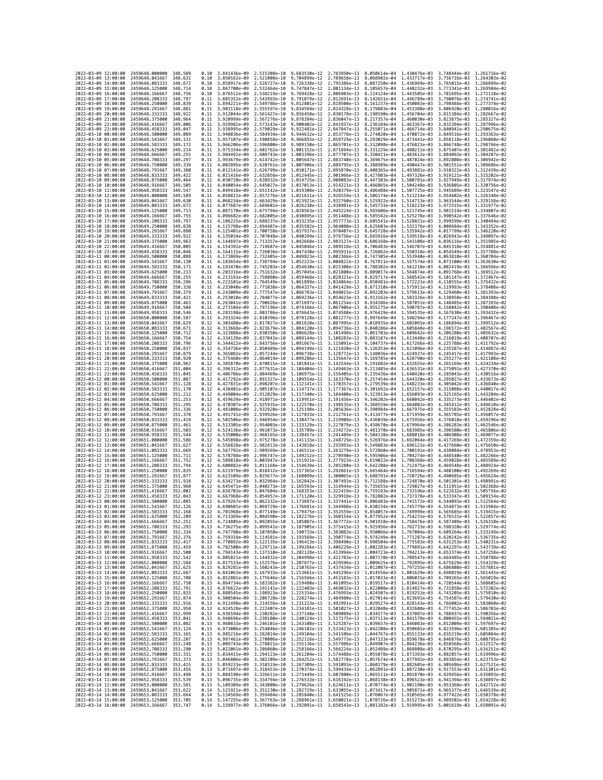| 2022-03-09 12:00:00                        |                     | 2459648.000000                                   | 348.589             | 0.10         | 3.841436e-09 2.515308e-10    |                              | 9.683530e-12 2.783950e-13                                                                                                                                                                                                                                                                                                                            |                              | 8.050614e-04                                        | 1.430476e-03                              | 3.748444e-03 1.261716e-02                 |                                           |
|--------------------------------------------|---------------------|--------------------------------------------------|---------------------|--------------|------------------------------|------------------------------|------------------------------------------------------------------------------------------------------------------------------------------------------------------------------------------------------------------------------------------------------------------------------------------------------------------------------------------------------|------------------------------|-----------------------------------------------------|-------------------------------------------|-------------------------------------------|-------------------------------------------|
| 2022-03-09 13:00:00                        |                     | 2459648.041667                                   | 348.631             | 0.10         | 3.850162e-09                 | 2.521008e-10                 | 9.704899e-12                                                                                                                                                                                                                                                                                                                                         | 2.789658e-13                 | 8.068902e-04                                        | 1.433717e-03                              | 3.756716e-03                              | 1.264303e-02                              |
| 2022-03-09 14:00:00                        |                     | 2459648.083333                                   | 348.672             | 0.10         | 3.858917e-09                 | 2.526727e-10                 | 9.726338e-12                                                                                                                                                                                                                                                                                                                                         | 2.795386e-13                 | 8.087250e-04                                        | 1.436969e-03                              | 3.765015e-03                              | 1.266899e-02                              |
| 2022-03-09 15:00:00                        |                     | 2459648.125000                                   | 348.714             | 0.10         | 3.867700e-09                 | 2.532464e-10                 | 9.747847e-12                                                                                                                                                                                                                                                                                                                                         | 2.801134e-13                 | 8.105657e-04                                        | 1.440232e-03                              | 3.773341e-03 1.269504e-02                 |                                           |
| 2022-03-09 16:00:00<br>2022-03-09 17:00:00 |                     | 2459648.166667<br>2459648.208333                 | 348.756<br>348.797  | 0.10<br>0.11 | 3.876512e-09<br>3.885352e-09 | 2.538219e-10<br>2.543993e-10 | 9.769428e-12<br>9.791079e-12                                                                                                                                                                                                                                                                                                                         | 2.806903e-13<br>2.812691e-13 | 8.124124e-04<br>8.142651e-04                        | 1.443505e-03<br>1.446789e-03              | 3.781695e-03 1.272118e-02<br>3.790076e-03 | 1,274741e-02                              |
| 2022-03-09 18:00:00                        |                     | 2459648.250000                                   | 348.839             | 0.11         | 3.894221e-09                 | 2.549786e-10                 | 9.812801e-12                                                                                                                                                                                                                                                                                                                                         | 2.818500e-13                 | 8.161237e-04                                        | 1.450083e-03                              | 3.798484e-03                              | 1.277374e-02                              |
| 2022-03-09 19:00:00                        |                     | 2459648.291667                                   | 348,881             | 0.11         | 3.903118e-09                 | 2.555597e-10                 | 9.834594e-12                                                                                                                                                                                                                                                                                                                                         | 2.824328e-13                 | 8.179883e-04                                        | 1.453388e-03                              | 3.806920e-03                              | 1.280016e-02                              |
| 2022-03-09 20:00:00                        |                     | 2459648.333333                                   | 348.922             | 0.11         | 3.912044e-09                 | 2.561427e-10                 | 9.856458e-12                                                                                                                                                                                                                                                                                                                                         | 2.830178e-13                 | 8.198590e-04                                        | 1.456704e-03                              | 3.815384e-03                              | 1.282667e-02<br>1.285327e-02              |
| 2022-03-09 21:00:00<br>2022-03-09 22:00:00 |                     | 2459648.375000<br>2459648,416667                 | 348,964<br>349,006  | 0.11<br>0.11 | 3.920999e-09<br>3.929982e-09 | 2.567276e-10<br>2.573143e-10 | 9.878394e-12<br>9.900402e-12                                                                                                                                                                                                                                                                                                                         | 2.836047e-13<br>2.841937e-13 | 8.217357e-04<br>8.236184e-04                        | 1,460030e-03<br>1.463367e-03              | 3.823875e-03<br>3.832394e-03              | 1,287996e-02                              |
| 2022-03-09 23:00:00                        |                     | 2459648.458333                                   | 349.047             | 0.11         | 3.938995e-09                 | 2.579029e-10                 | 9.922481e-12                                                                                                                                                                                                                                                                                                                                         | 2.847847e-13                 | 8.255071e-04                                        | 1.466714e-03                              | 3.840941e-03                              | 1.290675e-02                              |
| 2022-03-10 00:00:00                        |                     | 2459648,500000                                   | 349.089             | 0.11         | 3.948036e-09                 | 2.584934e-10                 | 9.944632e-12                                                                                                                                                                                                                                                                                                                                         | 2.853778e-13                 | 8.274020e-04                                        | 1.470072e-03                              | 3.849516e-03                              | 1.293363e-02                              |
| 2022-03-10 01:00:00                        |                     | 2459648.541667                                   | 349.131             | 0.11         | 3.957107e-09                 | 2.590858e-10                 | 9.966855e-12                                                                                                                                                                                                                                                                                                                                         | 2.859729e-13                 | 8.293029e-04                                        | 1.473441e-03                              | 3.858118e-03                              | 1.296060e-02                              |
| 2022-03-10 02:00:00                        |                     | 2459648.583333                                   | 349.172<br>349.214  | 0.11<br>0.11 | 3.966206e-09                 | 2.596800e-10                 | 9.989150e-12                                                                                                                                                                                                                                                                                                                                         | 2.865701e-13                 | 8.312098e-04                                        | 1.476821e-03                              | 3.866748e-03                              | 1.298766e-02                              |
| 2022-03-10 03:00:00<br>2022-03-10 04:00:00 |                     | 2459648.625000<br>2459648.666667                 | 349.255             | 0.11         | 3.975334e-09<br>3.984492e-09 | 2.602762e-10<br>2.608743e-10 | 1.001152e-11<br>1.003396e-11                                                                                                                                                                                                                                                                                                                         | 2.871694e-13<br>2.877707e-13 | 8.331229e-04<br>8.350421e-04                        | 1.480211e-03<br>1.483612e-03              | 3.875407e-03<br>3.884093e-03              | 1.301482e-02<br>1.304207e-02              |
| 2022-03-10 05:00:00                        |                     | 2459648.708333                                   | 349.297             | 0.11         | 3.993679e-09                 | 2.614742e-10                 | 1.005647e-11                                                                                                                                                                                                                                                                                                                                         | 2.883740e-13                 | 8.369675e-04                                        | 1.487024e-03                              | 3.892808e-03                              | 1.306942e-02                              |
| 2022-03-10 06:00:00                        |                     | 2459648.750000                                   | 349, 339            | 0.11         | 4.002895e-09                 | 2.620761e-10                 | 1.007906e-11                                                                                                                                                                                                                                                                                                                                         | 2.889795e-13                 | 8.388989e-04                                        | 1.490447e-03                              | 3.901551e-03                              | 1.309686e-02                              |
| 2022-03-10 07:00:00                        |                     | 2459648.791667                                   | 349,380<br>349.422  | 0.11         | 4.012141e-09                 | 2.626799e-10                 | 1.010171e-11                                                                                                                                                                                                                                                                                                                                         | 2.895870e-13                 | 8.408365e-04                                        | 1,493881e-03                              | 3.910322e-03                              | 1.312439e-02<br>1.315202e-02              |
| 2022-03-10 08:00:00<br>2022-03-10 09:00:00 |                     | 2459648.833333<br>2459648.875000                 | 349.464             | 0.11<br>0.11 | 4.021416e-09<br>4.030720e-09 | 2.632856e-10<br>2.638932e-10 | 1.012445e-11<br>1.014725e-11                                                                                                                                                                                                                                                                                                                         | 2.901966e-13<br>2.908083e-13 | 8.427803e-04<br>8.447303e-04                        | 1.497326e-03<br>1.500781e-03              | 3.919121e-03<br>3.927949e-03              | 1.317974e-02                              |
| 2022-03-10 10:00:00                        |                     | 2459648.916667                                   | 349.505             | 0.11         | 4.040054e-09                 | 2.645027e-10                 | 1.017013e-11                                                                                                                                                                                                                                                                                                                                         | 2.914221e-13                 | 8.466865e-04                                        | 1.504248e-03                              |                                           | 3.936805e-03 1.320756e-02                 |
| 2022-03-10 11:00:00                        |                     | 2459648.958333                                   | 349.547             | 0.11         | 4.049418e-09                 | 2.651142e-10                 | 1.019308e-11                                                                                                                                                                                                                                                                                                                                         | 2.920379e-13                 | 8.486488e-04                                        | 1.507725e-03                              | 3.945689e-03                              | 1.323547e-02                              |
| 2022-03-10 12:00:00                        |                     | 2459649.000000                                   | 349.589             | 0.11         | 4.058811e-09                 | 2.657276e-10                 | 1.021611e-11                                                                                                                                                                                                                                                                                                                                         | 2.926559e-13                 | 8.506174e-04                                        | 1.511214e-03                              | 3.954602e-03                              | 1.326348e-02                              |
| 2022-03-10 13:00:00                        |                     | 2459649.041667                                   | 349.630<br>349.672  | 0.11<br>0.11 | 4.068234e-09                 | 2.663429e-10                 | 1.023921e-11                                                                                                                                                                                                                                                                                                                                         | 2.932760e-13<br>2.938981e-13 | 8.525922e-04                                        | 1.514713e-03                              |                                           | 3.963544e-03 1.329158e-02<br>1.331977e-02 |
| 2022-03-10 14:00:00<br>2022-03-10 15:00:00 |                     | 2459649.083333<br>2459649.125000                 | 349.713             | 0.11         | 4.077687e-09<br>4.087170e-09 | 2.669602e-10<br>2.675794e-10 | 1.026238e-11<br>1.028563e-11                                                                                                                                                                                                                                                                                                                         | 2.945224e-13                 | 8.545733e-04<br>8.565606e-04                        | 1.518223e-03<br>1.521745e-03              | 3.972515e-03<br>3.981514e-03              | 1.334807e-02                              |
| 2022-03-10 16:00:00                        |                     | 2459649.166667                                   | 349,755             | 0.11         | 4.096682e-09                 | 2.682005e-10                 | 1.030895e-11                                                                                                                                                                                                                                                                                                                                         | 2.951488e-13                 | 8.585542e-04 1.525278e-03                           |                                           | 3.990542e-03                              | 1.337646e-02                              |
| 2022-03-10 17:00:00                        |                     | 2459649.208333                                   | 349.797             | 0.11         | 4.106225e-09                 | 2.688237e-10                 | 1.033235e-11                                                                                                                                                                                                                                                                                                                                         | 2.957773e-13                 | 8.605541e-04                                        | 1.528821e-03                              | 3.999599e-03                              | 1.340494e-02                              |
| 2022-03-10 18:00:00                        |                     | 2459649.250000                                   | 349.838             | 0.11         | 4.115798e-09                 | 2.694487e-10                 | 1.035582e-11                                                                                                                                                                                                                                                                                                                                         | 2.964080e-13                 | 8.625603e-04                                        | 1,532376e-03                              | 4.008684e-03                              | 1.343352e-02                              |
| 2022-03-10 19:00:00<br>2022-03-10 20:00:00 |                     | 2459649.291667<br>2459649.333333                 | 349.880<br>349.922  | 0.11<br>0.11 | 4.125401e-09<br>4.135034e-09 | 2.700758e-10                 | 1.037937e-11<br>2.707048e-10 1.040299e-11                                                                                                                                                                                                                                                                                                            | 2.970407e-13<br>2.976756e-13 | 8.645728e-04<br>8.665916e-04                        | 1.535942e-03<br>1.539519e-03              | 4.017799e-03<br>4.026943e-03              | 1.346220e-02<br>1.349097e-02              |
| 2022-03-10 21:00:00                        |                     | 2459649.375000                                   | 349.963             | 0.11         | 4.144697e-09                 | 2.713357e-10                 | 1.042668e-11                                                                                                                                                                                                                                                                                                                                         | 2.983127e-13                 | 8.686168e-04                                        | 1.543108e-03                              | 4.036116e-03 1.351985e-02                 |                                           |
| 2022-03-10 22:00:00                        |                     | 2459649.416667                                   | 350.005             | 0.11         | 4.154391e-09                 | 2.719687e-10                 | 1.045046e-11                                                                                                                                                                                                                                                                                                                                         | 2.989518e-13                 | 8.706483e-04                                        | 1.546707e-03                              | 4.045318e-03                              | 1.354881e-02                              |
| 2022-03-10 23:00:00                        |                     | 2459649.458333                                   | 350.046             | 0.11         | 4.164115e-09                 | 2.726036e-10                 | 1.047430e-11                                                                                                                                                                                                                                                                                                                                         | 2.995931e-13                 | 8.726862e-04                                        | 1.550318e-03                              | 4.054549e-03                              | 1.357788e-02                              |
| 2022-03-11 00:00:00<br>2022-03-11 01:00:00 |                     | 2459649.500000<br>2459649.541667                 | 350.088<br>350.130  | 0.11<br>0.11 | 4.173869e-09<br>4.183654e-09 | 2.732405e-10<br>2.738794e-10 | 1.049823e-11<br>1.052223e-11                                                                                                                                                                                                                                                                                                                         | 3.002366e-13<br>3.008822e-13 | 8.747305e-04<br>8.767811e-04                        | 1.553940e-03<br>1,557574e-03              | 4.063810e-03<br>4,073100e-03              | 1.360704e-02<br>1.363630e-02              |
| 2022-03-11 02:00:00                        |                     | 2459649.583333                                   | 350.171             | 0.11         | 4.193470e-09                 | 2.745203e-10                 | 1.054630e-11                                                                                                                                                                                                                                                                                                                                         | 3.015300e-13                 | 8.788382e-04                                        | 1,561218e-03                              | 4.082419e-03                              | 1.366566e-02                              |
| 2022-03-11 03:00:00                        |                     | 2459649.625000                                   | 350,213             | 0.11         | 4.203316e-09                 | 2.751632e-10                 | 1.057045e-11                                                                                                                                                                                                                                                                                                                                         | 3.021800e-13                 | 8.809017e-04 1.564874e-03                           |                                           | 4.091768e-03                              | 1.369512e-02                              |
| 2022-03-11 04:00:00                        |                     | 2459649.666667                                   | 350.255             | 0.11         | 4.213193e-09                 | 2.758080e-10                 | 1.059468e-11                                                                                                                                                                                                                                                                                                                                         | 3.028321e-13                 | 8.829717e-04                                        | 1.568542e-03                              | 4.101147e-03                              | 1.372467e-02                              |
| 2022-03-11 05:00:00                        |                     | 2459649.708333                                   | 350,296             | 0.11         | 4.223101e-09                 | 2.764549e-10                 | 1.061899e-11                                                                                                                                                                                                                                                                                                                                         | 3.034864e-13                 | 8.850481e-04                                        | 1.572221e-03                              | 4.110555e-03                              | 1.375432e-02                              |
| 2022-03-11 06:00:00<br>2022-03-11 07:00:00 |                     | 2459649.750000<br>2459649.791667                 | 350.338<br>350.379  | 0.11<br>0.11 | 4.233040e-09<br>4.243009e-09 | 2.771038e-10                 | 1.064337e-11<br>2.777547e-10 1.066783e-11                                                                                                                                                                                                                                                                                                            | 3.041429e-13<br>3.048015e-13 | 8.871310e-04<br>8.892203e-04                        | 1.575911e-03<br>1.579613e-03              | 4.119993e-03<br>4.129460e-03              | 1.378408e-02<br>1.381393e-02              |
| 2022-03-11 08:00:00                        |                     | 2459649.833333                                   | 350.421             | 0.11         | 4.253010e-09                 | 2.784077e-10                 | 1.069236e-11                                                                                                                                                                                                                                                                                                                                         | 3.054623e-13                 | 8.913162e-04                                        | 1.583326e-03                              | 4.138958e-03 1.384388e-02                 |                                           |
| 2022-03-11 09:00:00                        |                     | 2459649.875000                                   | 350.463             | 0.11         | 4.263041e-09                 | 2.790626e-10                 | 1.071697e-11                                                                                                                                                                                                                                                                                                                                         | 3.061254e-13                 | 8.934186e-04                                        | 1.587051e-03                              | 4.148485e-03                              | 1.387393e-02                              |
| 2022-03-11 10:00:00                        |                     | 2459649.916667                                   | 350.504             | 0.11         | 4.273104e-09                 | 2.797196e-10                 | 1.074166e-11                                                                                                                                                                                                                                                                                                                                         | 3.067906e-13                 | 8.955275e-04                                        | 1.590787e-03                              | 4.158042e-03                              | 1.390408e-02                              |
| 2022-03-11 11:00:00<br>2022-03-11 12:00:00 |                     | 2459649.958333<br>2459650,000000                 | 350.546<br>350.587  | 0.11<br>0.11 | 4.283198e-09<br>4.293324e-09 | 2.803786e-10                 | 1.076643e-11<br>1.079128e-11                                                                                                                                                                                                                                                                                                                         | 3.074580e-13<br>3.081277e-13 | 8.976429e-04<br>8.997649e-04                        | 1.594535e-03<br>1,598294e-03              | 4.167630e-03<br>4.177247e-03              | 1.393432e-02<br>1.396467e-02              |
| 2022-03-11 13:00:00                        |                     | 2459650.041667                                   | 350.629             | 0.12         | 4.303480e-09                 | 2.810396e-10<br>2.817027e-10 | 1.081620e-11                                                                                                                                                                                                                                                                                                                                         | 3.087995e-13                 | 9.018935e-04                                        | 1,602065e-03                              | 4.186894e-03                              | 1.399512e-02                              |
| 2022-03-11 14:00:00                        |                     | 2459650.083333                                   | 350.671             | 0.12         | 4.313668e-09                 | 2.823679e-10                 | 1.084120e-11                                                                                                                                                                                                                                                                                                                                         | 3.094736e-13                 | 9.040286e-04                                        | 1,605848e-03                              | 4.196572e-03                              | 1.402567e-02                              |
| 2022-03-11 15:00:00                        |                     | 2459650.125000                                   | 350.712             | 0.12         | 4.323888e-09                 | 2.830350e-10                 | 1.086628e-11                                                                                                                                                                                                                                                                                                                                         | 3.101498e-13                 | 9.061703e-04                                        | 1,609642e-03                              | 4.206280e-03                              | 1.405632e-02                              |
| 2022-03-11 16:00:00<br>2022-03-11 17:00:00 |                     | 2459650.166667<br>2459650.208333                 | 350.754<br>350.796  | 0.12<br>0.12 | 4.334139e-09<br>4.344422e-09 | 2.837043e-10<br>2.843756e-10 | 1.089144e-11<br>1.091667e-11                                                                                                                                                                                                                                                                                                                         | 3.108283e-13<br>3.115091e-13 | 9.083187e-04<br>9.104737e-04                        | 1.613448e-03<br>1.617266e-03              | 4.216019e-03<br>4.225788e-03              | 1.408707e-02<br>1.411792e-02              |
| 2022-03-11 18:00:00                        |                     | 2459650.250000                                   | 350.837             | 0.12         | 4.354736e-09                 |                              | 2.850489e-10 1.094199e-11                                                                                                                                                                                                                                                                                                                            | 3.121920e-13                 | 9.126353e-04                                        | 1.621096e-03                              |                                           | 4.235587e-03 1.414887e-02                 |
| 2022-03-11 19:00:00                        |                     | 2459650.291667                                   | 350.879             | 0.12         | 4.365082e-09                 | 2.857244e-10                 | 1.096738e-11                                                                                                                                                                                                                                                                                                                                         | 3.128772e-13                 | 9.148036e-04                                        | 1.624937e-03                              | 4.245417e-03 1.417993e-02                 |                                           |
| 2022-03-11 20:00:00                        |                     | 2459650.333333                                   | 350.920             | 0.12         | 4.375460e-09                 | 2.864019e-10                 | 1.099286e-11                                                                                                                                                                                                                                                                                                                                         | 3.135647e-13                 | 9.169785e-04                                        | 1.628790e-03                              | 4.255277e-03                              | 1.421108e-02                              |
| 2022-03-11 21:00:00<br>2022-03-11 22:00:00 |                     | 2459650.375000<br>2459650.416667                 | 350.962<br>351.004  | 0.12<br>0.12 | 4.385870e-09<br>4.396312e-09 | 2.870815e-10<br>2.877631e-10 | 1.101841e-11<br>1.104404e-11                                                                                                                                                                                                                                                                                                                         | 3.142544e-13<br>3.149463e-13 | 9.191602e-04<br>9.213485e-04                        | 1.632655e-03<br>1.636531e-03              | 4.265169e-03<br>4.275091e-03              | 1.424234e-02<br>1.427370e-02              |
| 2022-03-11 23:00:00                        |                     | 2459650.458333                                   | 351.045             | 0.12         | 4.406786e-09                 | 2.884469e-10                 | 1.106975e-11                                                                                                                                                                                                                                                                                                                                         | 3.156405e-13                 | 9.235436e-04                                        | 1,640420e-03                              | 4.285043e-03                              | 1.430516e-02                              |
| 2022-03-12 00:00:00                        |                     | 2459650.500000                                   | 351.087             | 0.12         | 4.417292e-09                 | 2.891327e-10                 | 1.109554e-11                                                                                                                                                                                                                                                                                                                                         | 3.163370e-13                 | 9.257454e-04                                        | 1,644320e-03                              | 4.295027e-03                              | 1.433673e-02                              |
| 2022-03-12 01:00:00                        |                     | 2459650.541667                                   | 351,128             | 0.12         | 4.427831e-09                 | 2.898207e-10                 | 1.112141e-11                                                                                                                                                                                                                                                                                                                                         | 3.170357e-13                 | 9.279539e-04                                        | 1.648233e-03                              | 4.305042e-03                              | 1.436840e-02                              |
| 2022-03-12 02:00:00<br>2022-03-12 03:00:00 |                     | 2459650.583333<br>2459650.625000                 | 351.170<br>351, 212 | 0.12<br>0.12 | 4.438401e-09<br>4.449004e-09 | 2.905107e-10<br>2.912029e-10 | 1.114737e-11<br>1.117340e-11                                                                                                                                                                                                                                                                                                                         | 3.177367e-13<br>3.184400e-13 | 9.301692e-04<br>9.323913e-04                        | 1.652157e-03<br>1.656093e-03              | 4.315088e-03<br>4.325165e-03              | 1.440017e-02<br>1.443204e-02              |
| 2022-03-12 04:00:00                        |                     | 2459650.666667                                   | 351.253             | 0.12         | 4.459639e-09                 | 2.918971e-10                 | 1.119951e-11                                                                                                                                                                                                                                                                                                                                         | 3.191456e-13                 | 9.346202e-04                                        | 1.660042e-03                              | 4.335273e-03                              | 1.446402e-02                              |
| 2022-03-12 05:00:00                        |                     | 2459650.708333                                   | 351.295             | 0.12         | 4.470307e-09                 |                              | 2.925935e-10 1.122570e-11                                                                                                                                                                                                                                                                                                                            | 3.198535e-13                 | 9.368559e-04                                        | 1.664002e-03                              | 4.345412e-03                              | 1.449610e-02                              |
| 2022-03-12 06:00:00                        |                     | 2459650.750000                                   | 351,336             | 0.12         | 4.481008e-09                 | 2.932920e-10                 | 1.125198e-11                                                                                                                                                                                                                                                                                                                                         | 3.205636e-13                 | 9.390984e-04                                        | 1.667975e-03                              | 4.355583e-03                              | 1.452828e-02                              |
| 2022-03-12 07:00:00<br>2022-03-12 08:00:00 |                     | 2459650.791667<br>2459650.833333                 | 351.378<br>351,419  | 0.12<br>0.12 | 4.491741e-09<br>4.502506e-09 | 2.939926e-10<br>2.946954e-10 | 1.127833e-11<br>1.130477e-11                                                                                                                                                                                                                                                                                                                         | 3.212761e-13<br>3.219908e-13 | 9.413477e-04<br>9.436039e-04                        | 1.671959e-03<br>1.675956e-03              | 4.365785e-03<br>4.376018e-03              | 1.456057e-02<br>1.459296e-02              |
| 2022-03-12 09:00:00                        |                     | 2459650.875000                                   | 351,461             | 0.12         | 4.513305e-09                 | 2.954003e-10                 | 1.133129e-11                                                                                                                                                                                                                                                                                                                                         | 3.227079e-13                 | 9.458670e-04                                        | 1.679964e-03                              | 4.386283e-03                              | 1.462546e-02                              |
| 2022-03-12 10:00:00                        |                     | 2459650.916667                                   | 351.503             | 0.12         | 4.524136e-09                 | 2.961073e-10                 | 1,135789e-11                                                                                                                                                                                                                                                                                                                                         | 3.234272e-13                 | 9.481370e-04                                        | 1,683985e-03                              | 4.396580e-03                              | 1.465806e-02                              |
| 2022-03-12 11:00:00                        |                     | 2459650.958333                                   | 351.544             | 0.12         | 4.535000e-09                 | 2.968165e-10                 | 1.138457e-11                                                                                                                                                                                                                                                                                                                                         | 3.241489e-13                 | 9.504138e-04                                        | 1,688018e-03                              | 4.406908e-03                              | 1.469077e-02                              |
| 2022-03-12 12:00:00                        |                     | 2459651.000000                                   | 351,586<br>351.627  | 0.12<br>0.12 | 4.545898e-09                 | 2.975278e-10                 | 1.141133e-11                                                                                                                                                                                                                                                                                                                                         | 3.248729e-13                 | 9.526976e-04                                        | 1,692064e-03                              | 4.417269e-03                              | 1.472359e-02                              |
| 2022-03-12 13:00:00<br>2022-03-12 14:00:00 |                     | 2459651.041667<br>2459651.083333                 | 351.669             | 0.12         | 4.556828e-09<br>4.567792e-09 | 2.982413e-10<br>2.989569e-10 | 1.143818e-11<br>1.146511e-11                                                                                                                                                                                                                                                                                                                         | 3.255993e-13<br>3.263279e-13 | 9.549883e-04<br>9.572860e-04                        | 1.696121e-03<br>1.700191e-03              | 4.427660e-03<br>4.438084e-03              | 1.475650e-02<br>1.478953e-02              |
| 2022-03-12 15:00:00                        |                     | 2459651.125000                                   | 351.711             | 0.12         | 4.578788e-09                 | 2.996747e-10                 | 1.149212e-11                                                                                                                                                                                                                                                                                                                                         | 3.270590e-13                 | 9.595906e-04                                        | 1.704274e-03                              | 4.448540e-03                              | 1.482266e-02                              |
| 2022-03-12 16:00:00                        |                     | 2459651.166667                                   | 351.752             | 0.12         | 4.589818e-09                 | 3.003947e-10                 | 1.151921e-11                                                                                                                                                                                                                                                                                                                                         | 3.277923e-13                 | 9.619022e-04                                        | 1.708368e-03                              | 4.459028e-03                              | 1.485589e-02                              |
| 2022-03-12 17:00:00                        |                     | 2459651.208333                                   | 351,794<br>351.835  | 0.12<br>0.12 | 4.600882e-09<br>4.611979e-09 | 3.011168e-10                 | 1.154639e-11<br>1.157365e-11                                                                                                                                                                                                                                                                                                                         | 3.285280e-13<br>3.292661e-13 | 9.642208e-04                                        | 1.712475e-03<br>1.716594e-03              | 4.469548e-03<br>4.480100e-03              | 1.488924e-02<br>1.492269e-02              |
| 2022-03-12 18:00:00<br>2022-03-12 19:00:00 |                     | 2459651.250000<br>2459651.291667                 | 351.877             | 0.12         | 4.623109e-09                 | 3.018412e-10<br>3.025677e-10 | 1.160099e-11                                                                                                                                                                                                                                                                                                                                         | 3.300065e-13                 | 9.665464e-04<br>9.688791e-04 1.720726e-03           |                                           | 4.490685e-03                              | 1.495624e-02                              |
| 2022-03-12 20:00:00                        |                     | 2459651.333333                                   | 351.918             | 0.12         | 4.634273e-09                 | 3.032964e-10                 | 1.162842e-11                                                                                                                                                                                                                                                                                                                                         | 3.307493e-13                 | 9.712188e-04                                        | 1,724870e-03                              | 4.501301e-03                              | 1.498991e-02                              |
| 2022-03-12 21:00:00                        |                     | 2459651.375000                                   | 351.960             | 0.12         | 4.645471e-09                 | 3.040273e-10                 | 1.165593e-11                                                                                                                                                                                                                                                                                                                                         | 3.314944e-13                 | 9.735655e-04                                        | 1.729027e-03                              | 4.511951e-03                              | 1.502368e-02                              |
| 2022-03-12 22:00:00<br>2022-03-12 23:00:00 |                     | 2459651,416667<br>2459651.458333                 | 352.002<br>352.043  | 0.12<br>0.12 | 4.656703e-09<br>4.667968e-09 | 3.047604e-10<br>3.054957e-10 | 1.168353e-11<br>1.171120e-11                                                                                                                                                                                                                                                                                                                         | 3.322419e-13<br>3.329918e-13 | 9.759193e-04                                        | 1.733196e-03<br>9.782802e-04 1.737378e-03 | 4.522632e-03<br>4.533347e-03              | 1.505756e-02<br>1.509154e-02              |
| 2022-03-13 00:00:00                        |                     | 2459651.500000                                   | 352.085             | 0.12         | 4.679267e-09                 |                              | 3.062332e-10 1.173897e-11                                                                                                                                                                                                                                                                                                                            | 3.337441e-13                 | 9.806483e-04 1.741572e-03 4.544093e-03 1.512564e-02 |                                           |                                           |                                           |
| 2022-03-13 01:00:00                        |                     | 2459651.541667                                   | 352,126             | 0.12         | 4.690601e-09                 |                              | 3.069729e-10 1.176681e-11 3.344988e-13 9.830234e-04 1.745779e-03 4.554873e-03 1.515984e-02                                                                                                                                                                                                                                                           |                              |                                                     |                                           |                                           |                                           |
| 2022-03-13 02:00:00                        |                     | 2459651.583333                                   | 352.168             |              | 1.701968e-09                 | 3.077149e-10                 | 1.179475e-11                                                                                                                                                                                                                                                                                                                                         | 3.352559e–13                 | 9.854057e-04                                        | 1,749999e-03                              | 4.565685e-03                              | 1.519415e-02                              |
| 2022-03-13 03:00:00<br>2022-03-13 04:00:00 |                     | 2459651.625000 352.209<br>2459651.666667 352.251 |                     | 0.13<br>0.13 |                              |                              | 4.713369e-09 3.084590e-10 1.182276e-11 3.360154e-13 9.877952e-04 1.754231e-03 4.576531e-03 1.522857e-02<br>4.724805e-09 3.092055e-10 1.185087e-11 3.367772e-13 9.901918e-04 1.758476e-03 4.587409e-03 1.526310e-02                                                                                                                                   |                              |                                                     |                                           |                                           |                                           |
| 2022-03-13 05:00:00                        |                     | 2459651.708333                                   | 352.293             |              |                              |                              |                                                                                                                                                                                                                                                                                                                                                      |                              |                                                     |                                           |                                           |                                           |
| 2022-03-13 06:00:00                        |                     | 2459651.750000 352.334                           |                     |              |                              |                              | $\begin{array}{cccccccc} 0.13 & 4.736275e-09 & 3.099541e-10 & 1.187905e-11 & 3.375415e-13 & 9.925956e-04 & 1.762733e-03 & 4.598320e-03 & 1.529774e-02 \\ 0.13 & 4.747780e-09 & 3.107050e-10 & 1.190733e-11 & 3.383083e-13 & 9.950066e-04 & 1.767004e-03 & 4.6$                                                                                       |                              |                                                     |                                           |                                           |                                           |
| 2022-03-13 07:00:00                        |                     | 2459651.791667 352.376                           |                     |              |                              |                              | 0.13 4.759319e-09 3.114581e-10 1.193569e-11 3.390774e-13 9.974249e-04 1.771287e-03 4.620242e-03 1.536735e-02                                                                                                                                                                                                                                         |                              |                                                     |                                           |                                           |                                           |
| 2022-03-13 08:00:00<br>2022-03-13 09:00:00 |                     | 2459651.833333<br>2459651.875000                 | 352.417<br>352.459  |              |                              |                              | 0.13 4.770892e-09 3.122135e-10 1.196413e-11 3.398490e-13 9.998504e-04 1.775583e-03 4.631253e-03 1.540231e-02<br>0.13 4.782500e-09 3.129711e-10 1.199266e-11 3.406229e-13 1.002283e-03 1.779891e-03 4.642297e-03 1.543739e-02                                                                                                                         |                              |                                                     |                                           |                                           |                                           |
| 2022-03-13 10:00:00                        |                     | 2459651.916667 352.500                           |                     |              |                              |                              | 0.13 4.794143e-09 3.137310e-10 1.202128e-11 3.413994e-13 1.004723e-03 1.784213e-03 4.653374e-03 1.547258e-02                                                                                                                                                                                                                                         |                              |                                                     |                                           |                                           |                                           |
| 2022-03-13 11:00:00                        |                     | 2459651.958333 352.542                           |                     |              |                              |                              | 0.13 4.805821e-09 3.144932e-10 1.204998e-11 3.421783e-13 1.007170e-03 1.788547e-03 4.664485e-03 1.550788e-02                                                                                                                                                                                                                                         |                              |                                                     |                                           |                                           |                                           |
| 2022-03-13 12:00:00                        |                     | 2459652.000000<br>2459652.041667                 | 352,584             |              |                              |                              | 0.13 4.817533e-09 3.152376e-10 1.207877e-11 3.429596e-13 1.009625e-03 1.792895e-03 4.675629e-03 1.534329e-02<br>0.13 4.817533e-09 3.162438e-10 1.20767Fe-11 3.429596e-13 1.009625e-03 1.792895e-03 4.666808e-03 1.554329e-02<br>0.13                                                                                                                 |                              |                                                     |                                           |                                           |                                           |
| 2022-03-13 13:00:00<br>2022-03-13 14:00:00 |                     |                                                  | 352.625             |              |                              |                              |                                                                                                                                                                                                                                                                                                                                                      |                              |                                                     |                                           |                                           |                                           |
| 2022-03-13 15:00:00                        |                     |                                                  |                     |              |                              |                              |                                                                                                                                                                                                                                                                                                                                                      |                              |                                                     |                                           |                                           |                                           |
| 2022-03-13 16:00:00                        |                     | 2459652.083333<br>2459652.125000 352.708         | 352.667             |              |                              |                              |                                                                                                                                                                                                                                                                                                                                                      |                              |                                                     |                                           |                                           |                                           |
|                                            |                     | 2459652.166667                                   | 352.750             |              |                              |                              |                                                                                                                                                                                                                                                                                                                                                      |                              |                                                     |                                           |                                           |                                           |
|                                            | 2022-03-13 17:00:00 | 2459652.208333                                   | 352.791             |              |                              |                              | 0.13 4.852881e-09 3.175646e-10 1.216566e-11 3.453183e-13 1.017033e-03 1.806015e-03 4.709265e-03 1.565019e-02<br>0.13 4.852881e-09 3.183382e-10 1.219480e-11 3.463183e-13 1.019537e-03 1.806015e-03 4.709265e-03 1.565019e-02<br>0.13                                                                                                                 |                              |                                                     |                                           |                                           |                                           |
| 2022-03-13 19:00:00                        | 2022-03-13 18:00:00 | 2459652.250000                                   | 352.833<br>352.874  |              |                              |                              |                                                                                                                                                                                                                                                                                                                                                      |                              |                                                     |                                           |                                           |                                           |
| 2022-03-13 20:00:00                        |                     | 2459652.291667<br>2459652.333333 352.916         |                     |              |                              |                              |                                                                                                                                                                                                                                                                                                                                                      |                              |                                                     |                                           |                                           |                                           |
| 2022-03-13 21:00:00                        |                     | 2459652.375000 352.958                           |                     |              |                              |                              | 0.13 4.888545e-09 3.198923e-10 1.225334e-11 3.476993e-13 1.024507e-03 1.819253e-03 4.743205e-03 1.575810e-02<br>0.13 4.900504e-09 3.206728e-10 1.228274e-11 3.484980e-13 1.027014e-03 1.823691e-03 4.754587e-03 1.575430e-02<br>0.13<br>0.13 4.924528e-09 3.222407e-10 1.234181e-11 3.501027e-13 1.032048e-03 1.832608e-03 4.777452e-03 1.586703e-02 |                              |                                                     |                                           |                                           |                                           |
| 2022-03-13 22:00:00                        |                     | 2459652.416667 352.999                           |                     |              |                              |                              | 0.13 4.936594e-09 3.230282e-10 1.237148e-11 3.509089e-13 1.034577e-03 1.837087e-03 4.788937e-03 1.590356e-02                                                                                                                                                                                                                                         |                              |                                                     |                                           |                                           |                                           |
| 2022-03-13 23:00:00                        |                     | 2459652.458333                                   | 353.041<br>353.082  |              |                              |                              |                                                                                                                                                                                                                                                                                                                                                      |                              |                                                     |                                           |                                           |                                           |
| 2022-03-14 00:00:00<br>2022-03-14 01:00:00 |                     | 2459652.500000<br>2459652.541667 353.124         |                     |              |                              |                              | 0.13 4.948696e-09 3.238180e-10 1.240124e-11 3.517175e-13 1.037113e-03 1.841578e-03 4.800455e-03 1.594021e-02<br>0.13 4.960833e-09 3.246101e-10 1.243108e-11 3.525287e-13 1.039657e-03 1.846083e-03 4.812009e-03 1.597697e-02<br>0.13 4.973006e-09 3.254046e-10 1.246102e-11 3.533423e-13 1.042208e-03 1.850601e-03 4.823596e-03 1.601385e-02         |                              |                                                     |                                           |                                           |                                           |
| 2022-03-14 02:00:00                        |                     | 2459652.583333 353.165                           |                     |              |                              |                              |                                                                                                                                                                                                                                                                                                                                                      |                              |                                                     |                                           |                                           |                                           |
| 2022-03-14 03:00:00                        |                     | 2459652.625000                                   | 353.207             |              |                              |                              |                                                                                                                                                                                                                                                                                                                                                      |                              |                                                     |                                           |                                           |                                           |
| 2022-03-14 04:00:00                        |                     | 2459652.666667                                   | 353.248             |              |                              |                              |                                                                                                                                                                                                                                                                                                                                                      |                              |                                                     |                                           |                                           |                                           |
| 2022-03-14 05:00:00<br>2022-03-14 06:00:00 |                     | 2459652.708333 353.290<br>2459652.750000 353.331 |                     |              |                              |                              | 0.13 4.985216e-09 3.262014e-10 1.249104e-11 3.541586e-13 1.044767e-03 1.855133e-03 4.835219e-03 1.665084e-02<br>0.13 4.985216e-09 3.278021e-10 1.252116e-11 3.549773e-13 1.044767e-03 1.855133e-03 4.835219e-03 1.669084e-02<br>0.13                                                                                                                 |                              |                                                     |                                           |                                           |                                           |
| 2022-03-14 07:00:00                        |                     | 2459652.791667                                   | 353.373             |              |                              |                              | $\begin{array}{cccccccc} 0.13 & 5.034415e-09 & 3.294123e-10 & 1.261204e-11 & 3.574488e-13 & 1.055078e-03 & 1.873393e-03 & 4.882057e-03 & 1.619996e-02 \\ 0.13 & 5.046806e-09 & 3.302209e-10 & 1.264252e-11 & 3.582778e-13 & 1.057674e-03 & 1.877992e-03 & 4.8$                                                                                       |                              |                                                     |                                           |                                           |                                           |
| 2022-03-14 08:00:00                        |                     | 2459652.833333 353.415                           |                     |              |                              |                              | 0.13 5.059233e-09 3.310319e-10 1.267309e-11 3.591093e-13 1.060279e-03 1.882605e-03 4.905686e-03 1.627521e-02                                                                                                                                                                                                                                         |                              |                                                     |                                           |                                           |                                           |
| 2022-03-14 09:00:00<br>2022-03-14 10:00:00 |                     | 2459652.875000<br>2459652.916667                 | 353.456<br>353.498  |              |                              |                              |                                                                                                                                                                                                                                                                                                                                                      |                              |                                                     |                                           |                                           |                                           |
| 2022-03-14 11:00:00                        |                     | 2459652.958333 353.539                           |                     |              |                              |                              |                                                                                                                                                                                                                                                                                                                                                      |                              |                                                     |                                           |                                           |                                           |
| 2022-03-14 12:00:00                        |                     | 2459653.000000 353.581                           |                     |              |                              |                              | 0.13 5.071697e-09 3.318453e-10 1.270374e-11 3.599434e-13 1.062891e-03 1.887230e-03 4.917553e-03 1.631301e-02<br>0.13 5.084198e-09 3.326611e-10 1.273449e-11 3.607800e-13 1.065511e-03 1.891870e-03 4.929456e-03 1.635093e-02<br>0.13<br>0.13 5.109309e-09 3.343000e-10 1.279626e-11 3.624611e-13 1.070774e-03 1.901190e-03 4.953368e-03 1.642712e-02 |                              |                                                     |                                           |                                           |                                           |
| 2022-03-14 13:00:00                        |                     | 2459653.041667 353.622                           |                     |              |                              |                              |                                                                                                                                                                                                                                                                                                                                                      |                              |                                                     |                                           |                                           |                                           |
| 2022-03-14 14:00:00<br>2022-03-14 15:00:00 |                     | 2459653.083333<br>2459653.125000 353.705         | 353.664             |              |                              |                              | 0.14 5.121921e-09 3.351230e-10 1.282729e-11 3.633055e-13 1.073417e-03 1.905871e-03 4.965377e-03 1.646539e-02<br>0.14 5.121921e-09 3.351239e-10 1.282540e-11 3.6415236=13 1.078067e-03 1.905871e-03 4.977422e-03 1.646539e-02<br>0.14                                                                                                                 |                              |                                                     |                                           |                                           |                                           |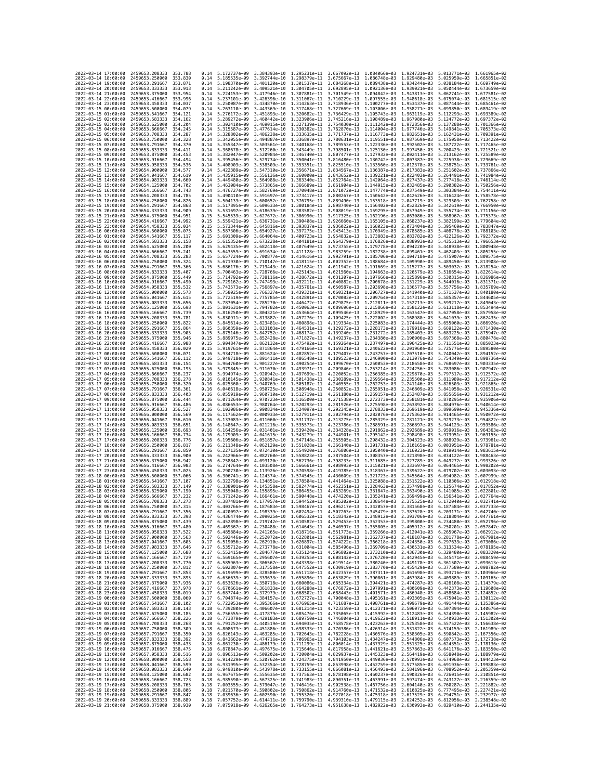| 2022-03-14 17:00:00                        |                     | 2459653.208333                                               | 353.788             | 0.14         | 5.172737e-09 3.384393e-10    |                                                                                                                                                                                                                                      |                                                        | 1.295231e-11 3.667092e-13 1.084066e-03                                                                                                                                                                                                                                                                                                               |                              | 1.924731e-03                                                        | 5.013771e-03 1.661965e-02                              |                                           |
|--------------------------------------------|---------------------|--------------------------------------------------------------|---------------------|--------------|------------------------------|--------------------------------------------------------------------------------------------------------------------------------------------------------------------------------------------------------------------------------------|--------------------------------------------------------|------------------------------------------------------------------------------------------------------------------------------------------------------------------------------------------------------------------------------------------------------------------------------------------------------------------------------------------------------|------------------------------|---------------------------------------------------------------------|--------------------------------------------------------|-------------------------------------------|
| 2022-03-14 18:00:00                        |                     | 2459653.250000                                               | 353.830             | 0.14         | 5.185535e-09                 | 3.392744e-10                                                                                                                                                                                                                         | 1.298379e-11                                           | 3.675667e-13                                                                                                                                                                                                                                                                                                                                         | 1.086748e-03                 | 1.929480e-03                                                        | 5.025959e-03 1.665851e-02                              |                                           |
| 2022-03-14 19:00:00                        |                     | 2459653.291667                                               | 353.871             | 0.14         | 5.198370e-09                 | 3.401120e-10                                                                                                                                                                                                                         | 1.301537e-11                                           | 3.684268e-13                                                                                                                                                                                                                                                                                                                                         |                              | 1.089438e-03 1.934244e-03                                           | 5.038184e-03                                           | 1.669749e-02                              |
| 2022-03-14 20:00:00<br>2022-03-14 21:00:00 |                     | 2459653.333333<br>2459653.375000                             | 353.913<br>353.954  | 0.14<br>0.14 | 5.211242e-09<br>5.224153e-09 | 3.417946e-10 1.307881e-11                                                                                                                                                                                                            |                                                        | 3.409521e-10 1.304705e-11 3.692895e-13 1.092136e-03 1.939021e-03                                                                                                                                                                                                                                                                                     |                              | 3.701549e-13 1.094842e-03 1.943813e-03                              | 5.050444e-03 1.673659e-02<br>5.062741e-03 1.677581e-02 |                                           |
| 2022-03-14 22:00:00                        |                     | 2459653.416667                                               | 353.996             | 0.14         | 5.237101e-09                 | 3.426396e-10                                                                                                                                                                                                                         | 1.311067e-11                                           | 3.710229e-13                                                                                                                                                                                                                                                                                                                                         | 1.097555e-03                 | 1.948618e-03                                                        | 5.075074e-03                                           | 1.681515e-02                              |
| 2022-03-14 23:00:00                        |                     | 2459653.458333                                               | 354.037             | 0.14         | 5.250087e-09                 | 3.434870e-10                                                                                                                                                                                                                         | 1.314263e-11                                           | 3.718936e-13                                                                                                                                                                                                                                                                                                                                         | 1.100277e-03                 | 1.953437e-03                                                        | 5.087444e-03                                           | 1.685461e-02                              |
| 2022-03-15 00:00:00                        |                     | 2459653.500000                                               | 354.079             | 0.14         | 5.263110e-09                 | 3.443369e-10 1.317468e-11                                                                                                                                                                                                            |                                                        | 3.727669e-13                                                                                                                                                                                                                                                                                                                                         | 1.103006e-03                 | 1.958271e-03                                                        | 5.099850e-03                                           | 1.689419e-02                              |
| 2022-03-15 01:00:00<br>2022-03-15 02:00:00 |                     | 2459653.541667<br>2459653.583333                             | 354, 121<br>354.162 | 0.14<br>0.14 | 5.276172e-09<br>5.289272e-09 | 3.451893e-10 1.320682e-11<br>3.460442e-10                                                                                                                                                                                            | 1,323906e-11                                           | 3.736429e-13<br>3.745216e-13                                                                                                                                                                                                                                                                                                                         | 1.105743e-03<br>1.108489e-03 | 1.963119e-03<br>1.967980e-03                                        | 5.112293e-03 1.693389e-02<br>5.124772e-03              | 1.697372e-02                              |
| 2022-03-15 03:00:00                        |                     | 2459653.625000                                               | 354,204             | 0.14         | 5.302410e-09                 | 3.469015e-10 1.327139e-11                                                                                                                                                                                                            |                                                        | 3.754030e-13                                                                                                                                                                                                                                                                                                                                         | 1.111242e-03                 | 1.972856e-03                                                        | 5.137288e-03                                           | 1.701366e-02                              |
| 2022-03-15 04:00:00                        |                     | 2459653.666667                                               | 354.245             | 0.14         | 5.315587e-09                 | 3.477614e-10                                                                                                                                                                                                                         | 1.330382e-11                                           | 3.762870e-13                                                                                                                                                                                                                                                                                                                                         | 1.114004e-03                 | 1.977746e-03                                                        | 5.149841e-03                                           | 1.705373e-02                              |
| 2022-03-15 05:00:00                        |                     | 2459653.708333                                               | 354.287             | 0.14         | 5.328802e-09                 | 3.486238e-10                                                                                                                                                                                                                         | 1.333635e-11                                           | 3.771737e-13                                                                                                                                                                                                                                                                                                                                         | 1.116773e-03                 | 1.982651e-03                                                        | 5.162431e-03                                           | 1.709391e-02                              |
| 2022-03-15 06:00:00<br>2022-03-15 07:00:00 |                     | 2459653.750000<br>2459653.791667                             | 354.328<br>354.370  | 0.14<br>0.14 | 5.342055e-09<br>5.355347e-09 | 3.494887e-10<br>3.503561e-10 1.340168e-11                                                                                                                                                                                            | 1.336897e-11                                           | 3.780631e-13<br>3.789553e-13                                                                                                                                                                                                                                                                                                                         | 1.119551e-03<br>1.122336e-03 | 1.987569e-03<br>1.992502e-03                                        | 5.175058e-03<br>5.187722e-03                           | 1.713422e-02<br>1.717465e-02              |
| 2022-03-15 08:00:00                        |                     | 2459653.833333                                               | 354,411             | 0.14         | 5.368678e-09                 | 3.512260e-10 1.343449e-11                                                                                                                                                                                                            |                                                        | 3.798501e-13 1.125130e-03                                                                                                                                                                                                                                                                                                                            |                              | 1.997450e-03                                                        |                                                        | 5.200423e-03 1.721521e-02                 |
| 2022-03-15 09:00:00                        |                     | 2459653.875000                                               | 354.453             | 0.14         | 5.382047e-09                 | 3.520984e-10                                                                                                                                                                                                                         | 1.346740e-11                                           | 3.807477e-13                                                                                                                                                                                                                                                                                                                                         | 1.127932e-03                 | 2.002411e-03                                                        | 5.213162e-03                                           | 1.725589e-02                              |
| 2022-03-15 10:00:00                        |                     | 2459653.916667                                               | 354,494             | 0.14         | 5.395456e-09                 | 3.529734e-10                                                                                                                                                                                                                         | 1.350041e-11                                           | 3.816480e-13                                                                                                                                                                                                                                                                                                                                         | 1.130742e-03                 | 2.007387e-03                                                        | 5.225938e-03                                           | 1,729669e-02                              |
| 2022-03-15 11:00:00<br>2022-03-15 12:00:00 |                     | 2459653.958333<br>2459654.000000                             | 354.536<br>354.577  | 0.14<br>0.14 | 5.408903e-09<br>5.422389e-09 | 3.538509e-10 1.353351e-11<br>3.547310e-10 1.356671e-11                                                                                                                                                                               |                                                        | 3.825510e-13 1.133560e-03<br>3.834567e-13                                                                                                                                                                                                                                                                                                            | 1.136387e-03                 | 2.012378e-03<br>2.017383e-03                                        | 5.238751e-03 1.733761e-02<br>5.251602e-03 1.737866e-02 |                                           |
| 2022-03-15 13:00:00                        |                     | 2459654.041667                                               | 354.619             | 0.14         | 5.435915e-09                 | 3.556136e-10                                                                                                                                                                                                                         | 1.360000e-11                                           | 3.843652e-13                                                                                                                                                                                                                                                                                                                                         | 1.139221e-03                 | 2.022403e-03                                                        | 5.264491e-03                                           | 1.741984e-02                              |
| 2022-03-15 14:00:00                        |                     | 2459654.083333                                               | 354,660             | 0.14         | 5.449480e-09                 | 3.564988e-10 1.363340e-11                                                                                                                                                                                                            |                                                        | 3.852764e-13                                                                                                                                                                                                                                                                                                                                         | 1.142064e-03                 | 2.027437e-03                                                        | 5.277418e-03                                           | 1.746114e-02                              |
| 2022-03-15 15:00:00                        |                     | 2459654.125000                                               | 354.702             | 0.14         | 5.463084e-09                 | 3.573865e-10 1.366689e-11                                                                                                                                                                                                            |                                                        | 3.861904e-13                                                                                                                                                                                                                                                                                                                                         | 1.144915e-03                 | 2.032485e-03                                                        |                                                        | 5.290382e-03 1.750256e-02                 |
| 2022-03-15 16:00:00                        |                     | 2459654.166667                                               | 354.743             | 0.14         | 5.476727e-09                 | 3.582769e-10                                                                                                                                                                                                                         | 1.370048e-11                                           | 3.871072e-13 1.147774e-03                                                                                                                                                                                                                                                                                                                            |                              | 2.037549e-03                                                        | 5.303384e-03                                           | 1.754411e-02                              |
| 2022-03-15 17:00:00<br>2022-03-15 18:00:00 |                     | 2459654.208333<br>2459654.250000                             | 354.785<br>354.826  | 0.14<br>0.14 | 5.490410e-09<br>5.504133e-09 | 3.591697e-10<br>3.600652e-10 1.376795e-11                                                                                                                                                                                            | 1.373417e-11                                           | 3.880267e-13<br>3.889490e-13                                                                                                                                                                                                                                                                                                                         | 1.150642e-03<br>1.153518e-03 | 2.042626e-03<br>2.047719e-03                                        | 5.316424e-03                                           | 1.758578e-02<br>5.329503e-03 1.762758e-02 |
| 2022-03-15 19:00:00                        |                     | 2459654.291667                                               | 354,868             | 0.14         | 5.517895e-09                 | 3.609633e-10                                                                                                                                                                                                                         | 1.380184e-11                                           | 3.898740e-13                                                                                                                                                                                                                                                                                                                                         | 1.156402e-03                 | 2.052826e-03                                                        | 5.342619e-03                                           | 1.766950e-02                              |
| 2022-03-15 20:00:00                        |                     | 2459654.333333                                               | 354.909             | 0.15         | 5.531697e-09                 | 3.618639e-10                                                                                                                                                                                                                         | 1.383582e-11                                           | 3.908019e-13                                                                                                                                                                                                                                                                                                                                         | 1.159295e-03                 | 2.057949e-03                                                        | 5.355774e-03                                           | 1.771156e-02                              |
| 2022-03-15 21:00:00<br>2022-03-15 22:00:00 |                     | 2459654.375000<br>2459654.416667                             | 354.951<br>354.992  | 0.15<br>0.15 | 5.545539e-09<br>5.559421e-09 | 3.627672e-10 1.386990e-11<br>3.636731e-10 1.390408e-11                                                                                                                                                                               |                                                        | 3.917325e-13<br>3.926660e-13                                                                                                                                                                                                                                                                                                                         | 1.162196e-03<br>1.165105e-03 | 2.063086e-03<br>2.068237e-03                                        | 5.368967e-03<br>5.382199e-03                           | 1.775373e-02<br>1,779604e-02              |
| 2022-03-15 23:00:00                        |                     | 2459654.458333                                               | 355.034             | 0.15         | 5.573344e-09                 | 3.645816e-10 1.393837e-11                                                                                                                                                                                                            |                                                        | 3.936022e-13                                                                                                                                                                                                                                                                                                                                         | 1.168023e-03                 | 2.073404e-03                                                        | 5.395469e-03 1.783847e-02                              |                                           |
| 2022-03-16 00:00:00                        |                     | 2459654.500000                                               | 355.075             | 0.15         | 5.587306e-09                 | 3.654927e-10                                                                                                                                                                                                                         | 1.397275e-11                                           | 3.945413e-13                                                                                                                                                                                                                                                                                                                                         | 1.170949e-03                 | 2.078585e-03                                                        | 5.408778e-03                                           | 1.788103e-02                              |
| 2022-03-16 01:00:00                        |                     | 2459654.541667                                               | 355.117             | 0.15         | 5.601309e-09                 | 3.664064e-10 1.400723e-11                                                                                                                                                                                                            |                                                        | 3.954832e-13                                                                                                                                                                                                                                                                                                                                         | 1.173883e-03                 | 2.083782e-03                                                        | 5.422126e-03                                           | 1.792372e-02                              |
| 2022-03-16 02:00:00<br>2022-03-16 03:00:00 |                     | 2459654.583333<br>2459654.625000                             | 355.158<br>355.200  | 0.15<br>0.15 | 5.615352e-09<br>5.629435e-09 | 3.673228e-10 1.404181e-11<br>3.682418e-10                                                                                                                                                                                            | 1.407649e-11                                           | 3.964279e-13<br>3.973755e-13                                                                                                                                                                                                                                                                                                                         | 1.176826e-03<br>1.179778e-03 | 2.088993e-03<br>2.094220e-03                                        | 5.435513e-03 1.796653e-02<br>5.448938e-03              | 1.800948e-02                              |
| 2022-03-16 04:00:00                        |                     | 2459654.666667                                               | 355.241             | 0.15         | 5.643559e-09                 | 3.691634e-10                                                                                                                                                                                                                         | 1.411128e-11                                           | 3.983259e-13                                                                                                                                                                                                                                                                                                                                         | 1.182738e-03                 | 2.099461e-03                                                        | 5.462403e-03                                           | 1.805255e-02                              |
| 2022-03-16 05:00:00                        |                     | 2459654.708333                                               | 355.283             | 0.15         | 5.657724e-09                 | 3.700877e-10                                                                                                                                                                                                                         | 1.414616e-11                                           | 3.992791e-13                                                                                                                                                                                                                                                                                                                                         | 1.185706e-03                 | 2.104718e-03                                                        | 5.475907e-03                                           | 1.809575e-02                              |
| 2022-03-16 06:00:00                        |                     | 2459654.750000                                               | 355.324<br>355.366  | 0.15         | 5.671930e-09                 | 3.710147e-10                                                                                                                                                                                                                         | 1.418115e-11                                           | 4.002352e-13                                                                                                                                                                                                                                                                                                                                         | 1.188684e-03                 | 2.109990e-03                                                        | 5.489450e-03                                           | 1.813908e-02                              |
| 2022-03-16 07:00:00<br>2022-03-16 08:00:00 |                     | 2459654.791667<br>2459654.833333                             | 355,407             | 0.15<br>0.15 | 5.686176e-09<br>5.700463e-09 | 3.719443e-10                                                                                                                                                                                                                         | 1.421624e-11<br>3.728766e-10 1.425143e-11 4.021560e-13 | 4.011942e-13                                                                                                                                                                                                                                                                                                                                         | 1.191669e-03<br>1.194663e-03 | 2.115277e-03<br>2.120579e-03                                        | 5.503032e-03<br>5.516654e-03                           | 1.818254e-02<br>1.822614e-02              |
| 2022-03-16 09:00:00                        |                     | 2459654.875000                                               | 355.449             | 0.15         | 5.714792e-09                 | 3.738116e-10                                                                                                                                                                                                                         | 1.428672e-11                                           | 4.031207e-13                                                                                                                                                                                                                                                                                                                                         | 1.197666e-03                 | 2.125896e-03                                                        | 5.530315e-03                                           | 1.826986e-02                              |
| 2022-03-16 10:00:00                        |                     | 2459654.916667                                               | 355.490             | 0.15         | 5.729162e-09                 | 3.747493e-10                                                                                                                                                                                                                         | 1.432211e-11                                           | 4.040882e-13                                                                                                                                                                                                                                                                                                                                         | 1.200678e-03                 | 2.131229e-03                                                        | 5.544016e-03                                           | $1.831371e - 02$                          |
| 2022-03-16 11:00:00                        |                     | 2459654.958333<br>2459655,000000                             | 355.532             | 0.15         | 5.743573e-09                 | 3.756897e-10                                                                                                                                                                                                                         | 1.435761e-11                                           | 4.050587e-13                                                                                                                                                                                                                                                                                                                                         | 1.203698e-03                 | 2.136577e-03                                                        | 5.557756e-03                                           | 1.835769e-02<br>1,840180e-02              |
| 2022-03-16 12:00:00<br>2022-03-16 13:00:00 |                     | 2459655.041667                                               | 355.573<br>355.615  | 0.15<br>0.15 | 5.758025e-09<br>5.772519e-09 | 3.766327e-10 1.439321e-11<br>3.775785e-10                                                                                                                                                                                            | 1.442891e-11                                           | 4.060321e-13 1.206727e-03 2.141940e-03<br>4.070083e-13 1.209764e-03                                                                                                                                                                                                                                                                                  |                              | 2.147318e-03                                                        | 5.571537e-03<br>5.585357e-03                           | 1.844605e-02                              |
| 2022-03-16 14:00:00                        |                     | 2459655.083333                                               | 355.656             | 0.15         | 5.787054e-09                 | 3.785270e-10                                                                                                                                                                                                                         | 1,446472e-11                                           | 4.079875e-13                                                                                                                                                                                                                                                                                                                                         | 1.212811e-03                 | 2.152713e-03                                                        | 5.599217e-03                                           | 1.849043e-02                              |
| 2022-03-16 15:00:00                        |                     | 2459655.125000                                               | 355.698             | 0.15         | 5.801631e-09                 | 3.794782e-10                                                                                                                                                                                                                         | 1.450063e-11                                           | 4.089696e-13                                                                                                                                                                                                                                                                                                                                         | 1.215866e-03                 | 2.158122e-03                                                        | 5.613118e-03                                           | 1.853494e-02                              |
| 2022-03-16 16:00:00                        |                     | 2459655.166667                                               | 355.739             | 0.15         | 5.816250e-09                 | 3.804321e-10                                                                                                                                                                                                                         | 1.453664e-11                                           | 4.099546e-13                                                                                                                                                                                                                                                                                                                                         | 1.218929e-03                 | 2.163547e-03                                                        | 5.627058e-03                                           | 1.857958e-02                              |
| 2022-03-16 17:00:00<br>2022-03-16 18:00:00 |                     | 2459655.208333<br>2459655.250000                             | 355.781<br>355.822  | 0.15<br>0.15 | 5.830911e-09<br>5.845614e-09 | 3.813887e-10<br>3.823481e-10                                                                                                                                                                                                         | 1.457276e-11<br>1.460898e-11                           | 4.109425e-13 1.222002e-03<br>4.119334e-13                                                                                                                                                                                                                                                                                                            | 1.225083e-03                 | 2.168988e-03<br>2.174444e-03                                        | 5.641039e-03<br>5.655060e-03                           | 1.862435e-02<br>1.866926e-02              |
| 2022-03-16 19:00:00                        |                     | 2459655.291667                                               | 355.864             | 0.15         | 5.860359e-09                 | 3.833103e-10                                                                                                                                                                                                                         | 1.464531e-11 4.129272e-13                              |                                                                                                                                                                                                                                                                                                                                                      | 1.228173e-03                 | 2.179916e-03                                                        | 5.669122e-03                                           | 1.871430e-02                              |
| 2022-03-16 20:00:00                        |                     | 2459655.333333                                               | 355.905             | 0.15         | 5.875146e-09                 | 3.842752e-10                                                                                                                                                                                                                         | 1.468174e-11                                           | 4.139240e-13                                                                                                                                                                                                                                                                                                                                         | 1.231272e-03                 | 2.185403e-03                                                        | 5.683225e-03                                           | 1.875947e-02                              |
| 2022-03-16 21:00:00                        |                     | 2459655.375000                                               | 355.946             | 0.15         | 5.889975e-09                 | 3.852428e-10                                                                                                                                                                                                                         | 1.471827e-11                                           | 4.149237e-13                                                                                                                                                                                                                                                                                                                                         | 1.234380e-03                 | 2.190906e-03                                                        | 5.697368e-03                                           | 1.880478e-02                              |
| 2022-03-16 22:00:00<br>2022-03-16 23:00:00 |                     | 2459655.416667<br>2459655.458333                             | 355.988<br>356.029  | 0.15<br>0.15 | 5.904847e-09<br>5.919761e-09 | 3.862132e-10<br>3.871864e-10 1.479166e-11                                                                                                                                                                                            | 1.475492e-11 4.159264e-13                              | 4.169321e-13 1.240622e-03                                                                                                                                                                                                                                                                                                                            | 1.237497e-03                 | 2.196425e-03<br>2.201960e-03                                        | 5.711551e-03<br>5.725776e-03                           | 1.885023e-02<br>1.889580e-02              |
| 2022-03-17 00:00:00                        |                     | 2459655.500000                                               | 356.071             | 0.16         | 5.934718e-09                 | 3.881624e-10                                                                                                                                                                                                                         |                                                        | 1.482852e-11 4.179407e-13 1.243757e-03                                                                                                                                                                                                                                                                                                               |                              | 2.207510e-03                                                        |                                                        | 5.740042e-03 1.894152e-02                 |
| 2022-03-17 01:00:00                        |                     | 2459655.541667                                               | 356.112             | 0.16         | 5.949718e-09                 | 3.891411e-10                                                                                                                                                                                                                         | 1.486548e-11                                           | 4.189523e-13                                                                                                                                                                                                                                                                                                                                         | 1.246900e-03                 | 2.213076e-03                                                        | 5.754349e-03                                           | 1.898736e-02                              |
| 2022-03-17 02:00:00                        |                     | 2459655.583333                                               | 356.154             | 0.16         | 5.964760e-09                 | 3.901227e-10                                                                                                                                                                                                                         | 1.490254e-11                                           | 4.199670e-13                                                                                                                                                                                                                                                                                                                                         | 1.250053e-03                 | 2.218658e-03<br>2.224256e-03                                        | 5.768697e-03                                           | 1.903335e-02                              |
| 2022-03-17 03:00:00<br>2022-03-17 04:00:00 |                     | 2459655.625000<br>2459655.666667                             | 356,195<br>356.237  | 0.16<br>0.16 | 5.979845e-09<br>5.994974e-09 | 3.911070e-10 1.493971e-11<br>3.920942e-10 1.497699e-11                                                                                                                                                                               |                                                        | 4.209846e-13<br>4.220052e-13                                                                                                                                                                                                                                                                                                                         | 1.253214e-03<br>1.256385e-03 | 2.229870e-03                                                        | 5.783086e-03<br>5.797517e-03                           | 1,907947e-02<br>1.912572e-02              |
| 2022-03-17 05:00:00                        |                     | 2459655.708333                                               | 356.278             | 0.16         | 6.010145e-09                 | 3.930841e-10                                                                                                                                                                                                                         | 1.501438e-11                                           | 4.230289e-13                                                                                                                                                                                                                                                                                                                                         | 1.259564e-03                 | 2.235500e-03                                                        | 5.811989e-03                                           | 1.917212e-02                              |
| 2022-03-17 06:00:00                        |                     | 2459655.750000                                               | 356,320             | 0.16         | 6.025360e-09                 |                                                                                                                                                                                                                                      | 3.940769e-10 1.505187e-11 4.240555e-13                 |                                                                                                                                                                                                                                                                                                                                                      | 1.262753e-03                 | 2.241146e-03                                                        | 5.826503e-03                                           | 1.921865e-02                              |
| 2022-03-17 07:00:00<br>2022-03-17 08:00:00 |                     | 2459655.791667<br>2459655.833333                             | 356.361<br>356.403  | 0.16<br>0.16 | 6.040618e-09<br>6.055919e-09 | 3.950725e-10<br>3.960710e-10                                                                                                                                                                                                         | 1.508948e-11<br>1.512719e-11                           | 4.250852e-13<br>4.261180e-13                                                                                                                                                                                                                                                                                                                         | 1.265951e-03<br>1.269157e-03 | 2.246809e-03<br>2.252487e-03                                        | 5.841058e-03<br>5.855656e-03                           | 1.926531e-02<br>1.931212e-02              |
| 2022-03-17 09:00:00                        |                     | 2459655.875000                                               | 356.444             | 0.16         | 6.071264e-09                 | 3.970723e-10                                                                                                                                                                                                                         | 1.516500e-11                                           | 4.271538e-13                                                                                                                                                                                                                                                                                                                                         | 1.272373e-03                 | 2.258181e-03                                                        | 5.870295e-03                                           | 1.935906e-02                              |
| 2022-03-17 10:00:00                        |                     | 2459655.916667                                               | 356.486             | 0.16         | 6.086653e-09                 |                                                                                                                                                                                                                                      | 3.980764e-10 1.520293e-11                              | 4.281926e-13                                                                                                                                                                                                                                                                                                                                         | 1.275598e-03                 | 2.263892e-03                                                        | 5.884976e-03                                           | 1.940614e-02                              |
| 2022-03-17 11:00:00                        |                     | 2459655.958333                                               | 356.527             | 0.16         | 6.102086e-09                 |                                                                                                                                                                                                                                      |                                                        | 3.990834e-10 1.524097e-11 4.292345e-13 1.278833e-03                                                                                                                                                                                                                                                                                                  |                              | 2.269619e-03                                                        |                                                        | 5.899699e-03 1.945336e-02                 |
| 2022-03-17 12:00:00                        |                     | 2459656.000000                                               | 356.569             | 0.16         | 6.117562e-09                 | 4.000933e-10 1.527911e-11                                                                                                                                                                                                            |                                                        | 4.302794e-13                                                                                                                                                                                                                                                                                                                                         | 1.282076e-03                 | 2.275362e-03                                                        | 5.914465e-03                                           | 1.950072e-02<br>1.954822e-02              |
| 2022-03-17 13:00:00<br>2022-03-17 14:00:00 |                     | 2459656.041667<br>2459656.083333                             | 356.610<br>356.651  | 0.16<br>0.16 | 6.133083e-09<br>6.148647e-09 | 4.011060e-10 1.531737e-11<br>4.021216e-10 1.535573e-11                                                                                                                                                                               |                                                        | 4.313275e-13<br>4.323786e-13                                                                                                                                                                                                                                                                                                                         | 1.285329e-03<br>1.288591e-03 | 2.281121e-03<br>2.286897e-03                                        | 5.929273e-03<br>5.944123e-03                           | 1.959586e-02                              |
| 2022-03-17 15:00:00                        |                     | 2459656.125000                                               | 356.693             | 0.16         | 6.164256e-09                 | 4.031401e-10 1.539420e-11                                                                                                                                                                                                            |                                                        | 4.334328e-13                                                                                                                                                                                                                                                                                                                                         | 1.291862e-03                 | 2,292689e-03                                                        |                                                        | 5.959016e-03 1.964363e-02                 |
| 2022-03-17 16:00:00                        |                     | 2459656,166667                                               | 356,734             | 0.16         | 6.179909e-09                 | 4.041615e-10                                                                                                                                                                                                                         | 1.543279e-11                                           | 4.344901e-13                                                                                                                                                                                                                                                                                                                                         | 1.295142e-03                 | 2.298498e-03                                                        | 5.973951e-03                                           | 1.969155e-02                              |
| 2022-03-17 17:00:00                        |                     | 2459656,208333                                               | 356,776             | 0.16         | 6.195606e-09                 | 4.051857e-10 1.547148e-11                                                                                                                                                                                                            |                                                        | 4.355505e-13                                                                                                                                                                                                                                                                                                                                         | 1.298432e-03                 | 2.304323e-03                                                        | 5.988929e-03                                           | 1.973961e-02                              |
| 2022-03-17 18:00:00<br>2022-03-17 19:00:00 |                     | 2459656.250000<br>2459656.291667                             | 356.817<br>356.859  | 0.16<br>0.16 | 6.211348e-09<br>6.227135e-09 | 4.062129e-10 1.551028e-11                                                                                                                                                                                                            | 4.072430e-10 1.554920e-11                              | 4.366140e-13 1.301731e-03<br>4.376806e-13 1.305040e-03                                                                                                                                                                                                                                                                                               |                              | 2.310165e-03<br>2.316023e-03                                        | 6.003951e-03 1.978781e-02<br>6.019014e-03              | 1.983615e-02                              |
| 2022-03-17 20:00:00                        |                     | 2459656.333333                                               | 356.900             | 0.16         | 6.242966e-09                 | 4.082760e-10                                                                                                                                                                                                                         | 1.558823e-11                                           | 4.387504e-13                                                                                                                                                                                                                                                                                                                                         | 1.308357e-03                 | 2.321898e-03                                                        | 6.034122e-03                                           | 1,988463e-02                              |
| 2022-03-17 21:00:00                        |                     | 2459656.375000                                               | 356.942             | 0.16         | 6.258842e-09                 | 4.093120e-10 1.562736e-11                                                                                                                                                                                                            |                                                        | 4.398233e-13                                                                                                                                                                                                                                                                                                                                         | 1.311685e-03                 | 2.327789e-03                                                        | 6.049272e-03 1.993326e-02                              |                                           |
| 2022-03-17 22:00:00<br>2022-03-17 23:00:00 |                     | 2459656.416667                                               | 356.983<br>357.025  | 0.16<br>0.16 | 6.274764e-09<br>6.290730e-09 | 4.103508e-10                                                                                                                                                                                                                         | 1.566661e-11<br>1.570598e-11                           | 4.408993e-13<br>4.419785e-13                                                                                                                                                                                                                                                                                                                         | 1.315021e-03                 | 2.333697e-03<br>2.339622e-03                                        | 6.064465e-03<br>6.079702e-03                           | 1.998202e-02<br>2.003093e-02              |
| 2022-03-18 00:00:00                        |                     | 2459656.458333<br>2459656.500000                             | 357.066             | 0.16         | 6.306741e-09                 | 4.113926e-10<br>4.124374e-10 1.574545e-11                                                                                                                                                                                            |                                                        | 4.430609e-13                                                                                                                                                                                                                                                                                                                                         | 1.318367e-03<br>1.321723e-03 | 2.345564e-03                                                        | 6.094982e-03                                           | 2.007999e-02                              |
| 2022-03-18 01:00:00                        |                     | 2459656.541667                                               | 357, 107            | 0.16         | 6.322798e-09                 | 4.134851e-10                                                                                                                                                                                                                         | 1.578504e-11                                           | 4.441464e-13                                                                                                                                                                                                                                                                                                                                         | 1.325088e-03                 | 2.351522e-03                                                        | 6.110306e-03                                           | 2.012918e-02                              |
| 2022-03-18 02:00:00                        |                     | 2459656.583333                                               | 357.149             | 0.17         | 6.338901e-09                 | 4.145358e-10 1.582474e-11                                                                                                                                                                                                            |                                                        | 4.452351e-13                                                                                                                                                                                                                                                                                                                                         | 1.328463e-03                 | 2.357498e-03                                                        | 6.125674e-03                                           | 2.017852e-02                              |
| 2022-03-18 03:00:00<br>2022-03-18 04:00:00 |                     | 2459656.625000<br>2459656.666667                             | 357.190<br>357.232  | 0.17<br>0.17 | 6.355048e-09<br>6.371242e-09 | 4.155895e-10                                                                                                                                                                                                                         | 1.586455e-11<br>4.166461e-10 1.590448e-11              | 4.463269e-13                                                                                                                                                                                                                                                                                                                                         | 1.331847e-03                 | 2.363490e-03<br>4.474220e-13 1.335241e-03 2.369499e-03 6.156541e-03 | 6.141085e-03                                           | 2.022801e-02<br>2.027764e-02              |
| 2022-03-18 05:00:00                        |                     | 2459656.708333                                               | 357.273             | 0.17         | 6.387481e-09                 |                                                                                                                                                                                                                                      |                                                        | 4.177057e-10 1.594452e-11 4.485202e-13 1.338644e-03 2.375525e-03 6.172040e-03 2.032741e-02                                                                                                                                                                                                                                                           |                              |                                                                     |                                                        |                                           |
| 2022-03-18 06:00:00                        |                     | 2459656.750000                                               | 357.315             | 0.17         |                              |                                                                                                                                                                                                                                      |                                                        | 6.403766e-09 4.187683e-10 1.598467e-11 4.496217e-13 1.342057e-03 2.381568e-03 6.187584e-03 2.037733e-02                                                                                                                                                                                                                                              |                              |                                                                     |                                                        |                                           |
| 2022                                       | -03-18 07:00:00     | 2459656.791667                                               | 357.356             |              | 6.420097e-09                 | 4.198339e-10                                                                                                                                                                                                                         | 1.602494e-11                                           | 4.507263e–13                                                                                                                                                                                                                                                                                                                                         | 1.345479e-03                 | 2.387628e-03                                                        | 6.203171e-03                                           |                                           |
| 2022-03-18 08:00:00<br>2022-03-18 09:00:00 |                     | 2459656.833333 357.398<br>2459656.875000                     | 357,439             | 0.17<br>0.17 |                              |                                                                                                                                                                                                                                      |                                                        | 6.436474e-09 4.209025e-10 1.606532e-11 4.518342e-13 1.348912e-03 2.393706e-03 6.218804e-03 2.047761e-02<br>6.452898e-09 4.219742e-10 1.610582e-11 4.529453e-13 1.352353e-03 2.399800e-03 6.234480e-03 2.052796e-02                                                                                                                                   |                              |                                                                     |                                                        |                                           |
| 2022-03-18 10:00:00                        |                     | 2459656.916667                                               | 357.480             | 0.17         |                              |                                                                                                                                                                                                                                      |                                                        |                                                                                                                                                                                                                                                                                                                                                      |                              |                                                                     |                                                        |                                           |
| 2022-03-18 11:00:00                        |                     | 2459656.958333                                               | 357.522             | 0.17         |                              |                                                                                                                                                                                                                                      |                                                        | $\begin{array}{cccccccc} 6.469367e-09 & 4.230488e-10 & 1.614643e-11 & 4.540597e-13 & 1.355805e-03 & 2.405912e-03 & 6.250201e-03 & 2.057847e-02 \\ 6.485884e-09 & 4.241265e-10 & 1.618716e-11 & 4.551773e-13 & 1.359266e-03 & 2.412041e-03 & 6.265967e-03 & 2$                                                                                        |                              |                                                                     |                                                        |                                           |
| 2022-03-18 12:00:00<br>2022-03-18 13:00:00 |                     | 2459657.000000 357.563<br>2459657.041667                     | 357.605             | 0.17<br>0.17 |                              |                                                                                                                                                                                                                                      |                                                        | 6.502446e-09 4.252072e-10 1.622801e-11 4.562981e-13 1.362737e-03 2.418187e-03 6.281778e-03 2.067991e-02                                                                                                                                                                                                                                              |                              |                                                                     |                                                        |                                           |
| 2022-03-18 14:00:00                        |                     | 2459657.083333                                               | 357.646             | 0.17         |                              |                                                                                                                                                                                                                                      |                                                        | 6.519056e-09 4.262910e-10 1.626897e-11 4.574222e-13 1.366218e-03 2.424350e-03 6.297633e-03 2.073086e-02<br>6.535712e-09 4.273778e-10 1.631004e-11 4.585496e-13 1.369709e-03 2.430531e-03 6.313534e-03 2.078195e-02                                                                                                                                   |                              |                                                                     |                                                        |                                           |
| 2022-03-18 15:00:00                        |                     | 2459657.125000 357.688                                       |                     | 0.17         |                              |                                                                                                                                                                                                                                      |                                                        | 6.552415e-09 4.284677e-10 1.635124e-11 4.596802e-13 1.373210e-03 2.436730e-03 6.329480e-03 2.083320e-02                                                                                                                                                                                                                                              |                              |                                                                     |                                                        |                                           |
| 2022-03-18 16:00:00                        |                     | 2459657.166667                                               | 357.729             | 0.17         |                              |                                                                                                                                                                                                                                      |                                                        | 6.569165e-09 4.295607e-10 1.639255e-11 4.608142e-13 1.376720e-03 2.442945e-03 6.345471e-03 2.088459e-02                                                                                                                                                                                                                                              |                              |                                                                     |                                                        |                                           |
| 2022-03-18 17:00:00<br>2022-03-18 18:00:00 |                     | 2459657.208333<br>2459657.250000                             | 357,770<br>357.812  | 0.17<br>0.17 |                              |                                                                                                                                                                                                                                      |                                                        | 6.585963e-09 4.306567e-10 1.643398e-11 4.619514e-13 1.380240e-03 2.449178e-03 6.361507e-03 2.093613e-02<br>6.602807e-09 4.307558e-10 1.643359e-11 4.619514e-13 1.380240e-03 2.454129e-03 6.361507e-03 2.093613e-02<br>6.619699e-09 4                                                                                                                 |                              |                                                                     |                                                        |                                           |
| 2022-03-18 19:00:00                        |                     | 2459657.291667                                               | 357,853             | 0.17         |                              |                                                                                                                                                                                                                                      |                                                        |                                                                                                                                                                                                                                                                                                                                                      |                              |                                                                     |                                                        |                                           |
| 2022-03-18 20:00:00                        |                     | 2459657.333333 357.895                                       |                     | 0.17         |                              |                                                                                                                                                                                                                                      |                                                        |                                                                                                                                                                                                                                                                                                                                                      |                              |                                                                     |                                                        |                                           |
| 2022-03-18 21:00:00                        |                     | 2459657.375000                                               | 357.936             | 0.17         |                              |                                                                                                                                                                                                                                      |                                                        | 0.036639e-09 4.339633e-10 1.655896e-11 4.653829e-13 1.390861e-03 2.467984e-03 6.409889e-03 2.109165e-02<br>6.653626e-09 4.339718e-10 1.669886e-11 4.653824e-13 1.390861e-03 2.474987e-03 6.409889e-03 2.109165e-02<br>6.670661e-09 4                                                                                                                 |                              |                                                                     |                                                        |                                           |
| 2022-03-18 22:00:00<br>2022-03-18 23:00:00 |                     | 2459657.416667<br>2459657.458333                             | 357.978<br>358.019  | 0.17<br>0.17 |                              |                                                                                                                                                                                                                                      |                                                        |                                                                                                                                                                                                                                                                                                                                                      |                              |                                                                     |                                                        |                                           |
| 2022-03-19 00:00:00                        |                     | 2459657.500000                                               | 358.060             | 0.17         |                              |                                                                                                                                                                                                                                      |                                                        | 6.687744e-09 4.372979e-10 1.668502e-11 4.688443e-13 1.401571e-03 2.486948e-03 6.458684e-03 2.124852e-02<br>6.704874e-09 4.384157e-10 1.672727e-11 4.700048e-13 1.403161e-03 2.493985e-03 6.458684e-03 2.130112e-02<br>6.722053e-09 4                                                                                                                 |                              |                                                                     |                                                        |                                           |
| 2022-03-19 01:00:00                        |                     | 2459657.541667 358.102                                       |                     | 0.17         |                              |                                                                                                                                                                                                                                      |                                                        |                                                                                                                                                                                                                                                                                                                                                      |                              |                                                                     |                                                        |                                           |
| 2022-03-19 02:00:00<br>2022-03-19 03:00:00 |                     | 2459657.583333 358.143                                       |                     |              |                              |                                                                                                                                                                                                                                      |                                                        | 0.18 6.739280e-09 4.406607e-10 1.681214e-11 4.723359e-13 1.412371e-03 2.506072e-03 6.507894e-03 2.140676e-02                                                                                                                                                                                                                                         |                              |                                                                     |                                                        |                                           |
| 2022-03-19 04:00:00                        |                     | 2459657.625000 358.185<br>2459657.666667                     | 358.226             | 0.18         |                              |                                                                                                                                                                                                                                      |                                                        | 0.18 6.756555e-09 4.417879e-10 1.685476e-11 4.735065e-13 1.415992e-03 2.512483e-03 6.524390e-03 2.145982e-02                                                                                                                                                                                                                                         |                              |                                                                     |                                                        |                                           |
| 2022-03-19 05:00:00                        |                     | 2459657.708333                                               | 358,268             | 0.18         |                              |                                                                                                                                                                                                                                      |                                                        | $\begin{array}{cccccccc} 6.773879e-09 & 4.429183e-10 & 1.689750e-11 & 4.746804e-13 & 1.419622e-03 & 2.518911e-03 & 6.540933e-03 & 2.151302e-02 & 0.16940e-02 & 0.16940e-03 & 0.16940e-03 & 0.16940e-03 & 0.16940e-03 & 0.16940e-03 & 0.16940e-03 & 0.16940e$                                                                                         |                              |                                                                     |                                                        |                                           |
| 2022-03-19 06:00:00                        |                     |                                                              |                     |              |                              |                                                                                                                                                                                                                                      |                                                        | 0.18 6.808673e-09 4.451886e-10 1.698333e-11 4.770386e-13 1.426914e-03 2.531822e-03 6.574159e-03 2.161989e-02                                                                                                                                                                                                                                         |                              |                                                                     |                                                        |                                           |
| 2022-03-19 07:00:00                        |                     | 2459657.750000 358.309                                       |                     |              |                              |                                                                                                                                                                                                                                      |                                                        | $0.18 \quad 6.826143e-09 \quad 4.463285e-10 \quad 1.702643e-11 \quad 4.782228e-13 \quad 1.430576e-03 \quad 2.538305e-03 \quad 6.590842e-03 \quad 2.167356e-02$                                                                                                                                                                                       |                              |                                                                     |                                                        |                                           |
|                                            |                     | 2459657.791667                                               | 358.350             |              |                              |                                                                                                                                                                                                                                      |                                                        |                                                                                                                                                                                                                                                                                                                                                      |                              |                                                                     |                                                        |                                           |
|                                            | 2022-03-19 08:00:00 | 2459657.833333                                               | 358.392             |              |                              |                                                                                                                                                                                                                                      |                                                        |                                                                                                                                                                                                                                                                                                                                                      |                              |                                                                     |                                                        |                                           |
| 2022-03-19 10:00:00                        | 2022-03-19 09:00:00 | 2459657.875000<br>2459657.916667                             | 358.433<br>358.475  |              |                              | 0.18 6.843662e-09 4.474716e-10 1.706965e-11 4.794103e-13 1.434247e-03 2.554806e-03 6.607573e-03 2.172738e-02<br>0.18 6.861230e-09 4.486179e-10 1.711299e-11 4.866014e-13 1.434247e-03 2.554806e-03 6.607573e-03 2.172738e-02<br>0.18 |                                                        |                                                                                                                                                                                                                                                                                                                                                      |                              |                                                                     |                                                        |                                           |
| 2022-03-19 11:00:00                        |                     | 2459657.958333                                               | 358.516             |              |                              |                                                                                                                                                                                                                                      |                                                        |                                                                                                                                                                                                                                                                                                                                                      |                              |                                                                     |                                                        |                                           |
| 2022-03-19 12:00:00                        |                     | 2459658.000000                                               | 358.558             |              |                              |                                                                                                                                                                                                                                      |                                                        | $\begin{array}{cccccccc} 0.18 & 6.896513e-09 & 4.509202e-10 & 1.720004e-11 & 4.829937e-13 & 1.445323e-03 & 2.564419e-03 & 6.658048e-03 & 2.188979e-02 \\ 0.18 & 6.914229e-09 & 4.520762e-10 & 1.724375e-11 & 4.841950e-13 & 1.449036e-03 & 2.570993e-03 & 6.6$                                                                                       |                              |                                                                     |                                                        |                                           |
| 2022-03-19 13:00:00                        |                     | 2459658.041667                                               | 358.599             |              |                              |                                                                                                                                                                                                                                      |                                                        | 0.18 6.931995e-09 4.532354e-10 1.728759e-11 4.853998e-13 1.452759e-03 2.577585e-03 6.691936e-03 2.199883e-02                                                                                                                                                                                                                                         |                              |                                                                     |                                                        |                                           |
| 2022-03-19 14:00:00<br>2022-03-19 15:00:00 |                     | 2459658.083333<br>2459658.125000                             | 358.640<br>358,682  |              |                              |                                                                                                                                                                                                                                      |                                                        |                                                                                                                                                                                                                                                                                                                                                      |                              |                                                                     |                                                        |                                           |
| 2022-03-19 16:00:00                        |                     | 2459658.166667                                               | 358.723             |              |                              |                                                                                                                                                                                                                                      |                                                        | 0.18 6.949810e-09 4.543978e-10 1.733155e-11 4.866081e-13 1.456493e-03 2.584196e-03 6.708952e-03 2.205359e-02<br>0.18 6.967675e-09 4.555635e-10 1.737555e-11 4.876198e-13 1.450437e-03 2.584196e-03 6.726015e-09 2.210851e-02<br>0.18                                                                                                                 |                              |                                                                     |                                                        |                                           |
| 2022-03-19 17:00:00                        |                     | 2459658.208333 358.765                                       |                     |              |                              |                                                                                                                                                                                                                                      |                                                        | 0.18 7.003555e-09 4.579047e-10 1.746416e-11 4.902538e-13 1.467756e-03 2.604140e-03 6.760287e-03 2.221882e-02                                                                                                                                                                                                                                         |                              |                                                                     |                                                        |                                           |
| 2022-03-19 18:00:00<br>2022-03-19 19:00:00 |                     | 2459658.250000<br>2459658.291667                             | 358.806<br>358.847  |              |                              |                                                                                                                                                                                                                                      |                                                        |                                                                                                                                                                                                                                                                                                                                                      |                              |                                                                     |                                                        |                                           |
| 2022-03-19 20:00:00                        |                     | 2459658.333333<br>2022-03-19 21:00:00 2459658.375000 358.930 | 358.889             |              |                              |                                                                                                                                                                                                                                      |                                                        | 0.18 7.021570e-09 4.599802e-10 1.750862e-11 4.914750e-13 1.471532e-03 2.610825e-03 6.777495e-03 2.227421e-02<br>0.18 7.021570e-09 4.502509e-10 1.750362e-11 4.914760e-13 1.471532e-03 2.610825e-03 6.774795e-03 2.227471e-02<br>0.18<br>0.18 7.075918e-09 4.626265e-10 1.764273e-11 4.951638e-13 1.482922e-03 2.630993e-03 6.829410e-03 2.244135e-02 |                              |                                                                     |                                                        |                                           |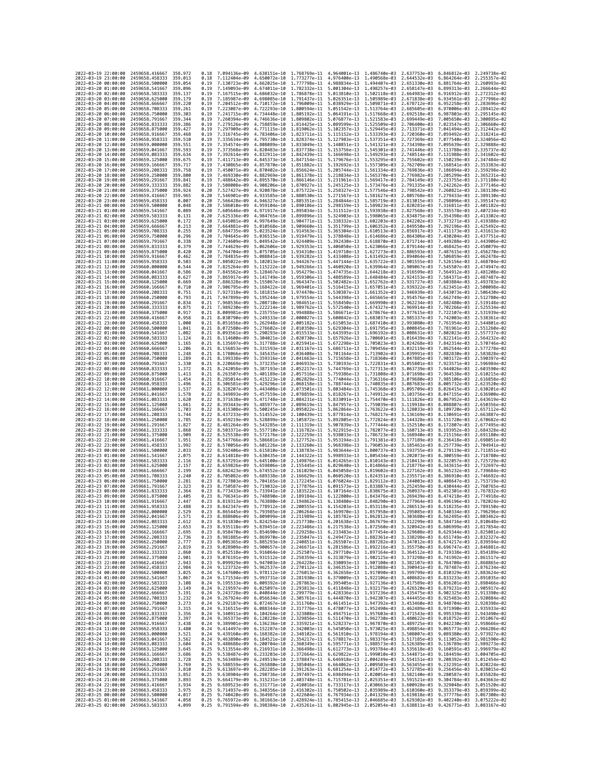|                                            | 2022-03-19 22:00:00 | 2459658.416667                   | 358.972            | 0.18         | 7.094136e-09                 | 4.638151e-10                 | 1.768769e-11                                                                                                                                                                                                                                                                                                                                                                                                | 4.964001e-13                                           | 1.486740e-03                 | 2.637753e-03                           | 6.846812e-03 2.249738e-02                              |                              |
|--------------------------------------------|---------------------|----------------------------------|--------------------|--------------|------------------------------|------------------------------|-------------------------------------------------------------------------------------------------------------------------------------------------------------------------------------------------------------------------------------------------------------------------------------------------------------------------------------------------------------------------------------------------------------|--------------------------------------------------------|------------------------------|----------------------------------------|--------------------------------------------------------|------------------------------|
| 2022-03-19 23:00:00                        |                     | 2459658.458333                   | 359.013            | 0.18         | 7.112404e-09                 | 4.650072e-10                 | 1.773277e-11                                                                                                                                                                                                                                                                                                                                                                                                | 4.976400e-13                                           | 1.490568e-03                 | 2.644532e-03                           | 6.864264e-03                                           | 2.255357e-02                 |
| 2022-03-20 00:00:00                        |                     | 2459658.500000                   | 359.054            | 0.19         | 7.130723e-09                 | 4.662025e-10                 | 1.777798e-11                                                                                                                                                                                                                                                                                                                                                                                                | 4.988834e-13                                           | 1.494407e-03                 | 2.651330e-03                           | 6.881764e-03                                           | 2.260993e-02                 |
| 2022-03-20 01:00:00<br>2022-03-20 02:00:00 |                     | 2459658.541667<br>2459658.583333 | 359.096<br>359.137 | 0.19<br>0.19 | 7.149093e-09<br>7.167515e-09 |                              | 4.674011e-10 1.782332e-11<br>4.686032e-10 1.786878e-11                                                                                                                                                                                                                                                                                                                                                      | 5.001304e-13 1.498257e-03<br>5.013810e-13 1.502118e-03 |                              | 2.658147e-03<br>2.664983e-03           | 6.899313e-03 2.266644e-02<br>6.916912e-03 2.272312e-02 |                              |
| 2022-03-20 03:00:00                        |                     | 2459658.625000                   | 359.179            | 0.19         | 7.185987e-09                 | 4.698085e-10                 | 1.791437e-11                                                                                                                                                                                                                                                                                                                                                                                                | 5.026351e-13                                           | 1.505989e-03                 | 2.671838e-03                           | 6.934561e-03                                           | 2.277996e-02                 |
| 2022-03-20 04:00:00                        |                     | 2459658.666667                   | 359.220            | 0.19         | 7.204512e-09                 | 4.710172e-10                 | 1.796009e-11                                                                                                                                                                                                                                                                                                                                                                                                | 5.038929e-13                                           | 1.509871e-03                 | 2.678712e-03                           | 6.952258e-03                                           | 2.283696e-02                 |
| 2022-03-20 05:00:00                        |                     | 2459658.708333                   | 359.261            | 0.19         | 7.223087e-09                 | 4.722293e-10                 | 1,800594e-11                                                                                                                                                                                                                                                                                                                                                                                                | 5.051542e-13                                           | 1.513764e-03                 | 2.685605e-03                           | 6.970006e-03                                           | 2.289412e-02                 |
| 2022-03-20 06:00:00<br>2022-03-20 07:00:00 |                     | 2459658.750000<br>2459658.791667 | 359,303<br>359.344 | 0.19<br>0.19 | 7.241715e-09<br>7.260394e-09 | 4.746636e-10                 | 4.734448e-10 1.805192e-11<br>1,809802e-11                                                                                                                                                                                                                                                                                                                                                                   | 5.064191e-13<br>5.076877e-13                           | 1.517668e-03<br>1.521583e-03 | 2.692518e-03<br>2.699449e-03           | 6.987803e-03<br>7.005650e-03                           | 2.295145e-02<br>2.300895e-02 |
| 2022-03-20 08:00:00                        |                     | 2459658.833333                   | 359,386            | 0.19         | 7.279126e-09                 |                              | 4.758859e-10 1.814425e-11                                                                                                                                                                                                                                                                                                                                                                                   | 5.089599e-13                                           | 1.525509e-03                 | 2.706400e-03                           | 7.023547e-03                                           | 2.306660e-02                 |
| 2022-03-20 09:00:00                        |                     | 2459658.875000                   | 359.427            | 0.19         | 7.297909e-09                 | 4.771115e-10                 | 1.819062e-11                                                                                                                                                                                                                                                                                                                                                                                                | 5.102357e-13                                           | 1.529445e-03                 | 2.713371e-03                           | 7.041494e-03                                           | 2.312442e-02                 |
| 2022-03-20 10:00:00                        |                     | 2459658.916667                   | 359.468            | 0.19         | 7.316745e-09                 | 4.783406e-10                 | 1.823711e-11                                                                                                                                                                                                                                                                                                                                                                                                | 5.115152e-13                                           | 1.533393e-03                 | 2.720360e-03                           | 7.059492e-03                                           | 2.318241e-02                 |
| 2022-03-20 11:00:00<br>2022-03-20 12:00:00 |                     | 2459658.958333<br>2459659.000000 | 359.510<br>359.551 | 0.19<br>0.19 | 7.335634e-09<br>7.354574e-09 | 4.795730e-10                 | 1.828374e-11<br>4.808089e-10 1.833049e-11                                                                                                                                                                                                                                                                                                                                                                   | 5.127983e-13<br>5.140851e-13                           | 1.537351e-03<br>1.541321e-03 | 2.727369e-03<br>2.734398e-03           | 7.077540e-03<br>7.095639e-03                           | 2.324056e-02<br>2.329888e-02 |
| 2022-03-20 13:00:00                        |                     | 2459659.041667                   | 359.593            | 0.19         | 7.373568e-09                 | 4.820483e-10                 | 1.837738e-11                                                                                                                                                                                                                                                                                                                                                                                                | 5.153756e-13                                           | 1.545301e-03                 | 2.741446e-03                           | 7.113788e-03                                           | 2.335737e-02                 |
| 2022-03-20 14:00:00                        |                     | 2459659.083333                   | 359.634            | 0.19         | 7.392614e-09                 | 4.832911e-10                 | 1.842439e-11                                                                                                                                                                                                                                                                                                                                                                                                | 5.166698e-13                                           | 1.549293e-03                 | 2.748514e-03                           | 7.131988e-03                                           | 2.341602e-02                 |
| 2022-03-20 15:00:00                        |                     | 2459659.125000                   | 359.675            | 0.19         | 7.411713e-09                 | 4.845373e-10                 | 1.847154e-11                                                                                                                                                                                                                                                                                                                                                                                                | 5.179676e-13                                           | 1.553295e-03                 | 2.755602e-03                           | 7.150239e-03                                           | 2.347484e-02                 |
| 2022-03-20 16:00:00                        |                     | 2459659.166667                   | 359.717<br>359.758 | 0.19         | 7.430865e-09                 |                              | 4.857870e-10 1.851882e-11                                                                                                                                                                                                                                                                                                                                                                                   | 5.192692e-13<br>5.205744e-13                           | 1.557309e-03<br>1.561334e-03 | 2.762709e-03                           | 7.168541e-03                                           | 2.353383e-02<br>2.359298e-02 |
| 2022-03-20 17:00:00<br>2022-03-20 18:00:00 |                     | 2459659.208333<br>2459659.250000 | 359.800            | 0.19<br>0.19 | 7.450071e-09<br>7.469330e-09 | 4.882969e-10                 | 4.870402e-10 1.856624e-11<br>1.861378e-11                                                                                                                                                                                                                                                                                                                                                                   | 5.218834e-13                                           | 1.565370e-03                 | 2.769836e-03<br>2.776982e-03           | 7.186894e-03<br>7.205299e-03                           | 2.365231e-02                 |
| 2022-03-20 19:00:00                        |                     | 2459659.291667                   | 359.841            | 0.19         | 7.488642e-09                 | 4.895570e-10                 | 1.866146e-11                                                                                                                                                                                                                                                                                                                                                                                                | 5.231961e-13                                           | 1.569417e-03                 | 2.784149e-03                           | 7.223755e-03                                           | 2.371180e-02                 |
| 2022-03-20 20:00:00                        |                     | 2459659.333333                   | 359.882            | 0.19         | 7.508008e-09                 | 4.908206e-10                 | 1.870927e-11                                                                                                                                                                                                                                                                                                                                                                                                | 5.245125e-13                                           | 1.573476e-03                 | 2.791335e-03                           | 7.242262e-03                                           | 2.377146e-02                 |
| 2022-03-20 21:00:00                        |                     | 2459659.375000                   | 359.924            | 0.20         | 7.527427e-09                 | 4.920878e-10                 | 1.875722e-11                                                                                                                                                                                                                                                                                                                                                                                                | 5.258327e-13                                           | 1.577546e-03                 | 2.798542e-03                           | 7.260821e-03                                           | 2.383130e-02                 |
| 2022-03-20 22:00:00<br>2022-03-20 23:00:00 |                     | 2459659.416667<br>2459659.458333 | 359.965<br>0.007   | 0.20<br>0.20 | 7.546901e-09<br>7.566428e-09 | 4.933585e-10                 | 1.880530e-11<br>4.946327e-10 1.885351e-11                                                                                                                                                                                                                                                                                                                                                                   | 5.271567e-13<br>5.284844e-13                           | 1.581627e-03<br>1.585719e-03 | 2.805768e-03<br>2.813015e-03           | 7.279433e-03<br>7.298096e-03                           | 2.389130e-02<br>2.395147e-02 |
| 2022-03-21 00:00:00                        |                     | 2459659.500000                   | 0.048              | 0.20         | 7.586010e-09                 | 4.959104e-10                 | 1.890186e-11                                                                                                                                                                                                                                                                                                                                                                                                | 5.298159e-13                                           | 1.589823e-03                 | 2.820281e-03                           | 7.316811e-03                                           | 2.401182e-02                 |
| 2022-03-21 01:00:00                        |                     | 2459659.541667                   | 0.089              | 0.20         | 7.605646e-09                 | 4.971917e-10                 | 1.895034e-11                                                                                                                                                                                                                                                                                                                                                                                                | 5.311512e-13                                           | 1.593938e-03                 | 2.827568e-03                           | 7.335578e-03                                           | 2.407234e-02                 |
| 2022-03-21 02:00:00                        |                     | 2459659.583333                   | 0.131              | 0.20         | 7.625336e-09                 | 4.984765e-10                 | 1.899896e-11                                                                                                                                                                                                                                                                                                                                                                                                | 5.324903e-13                                           | 1.598065e-03                 | 2.834875e-03                           | 7.354398e-03                                           | 2.413302e-02                 |
| 2022-03-21 03:00:00                        |                     | 2459659.625000                   | 0.172              | 0.20         | 7.645081e-09                 | 4.997649e-10                 | 1.904771e-11                                                                                                                                                                                                                                                                                                                                                                                                | 5.338332e-13                                           | 1.602203e-03                 | 2.842202e-03                           | 7.373271e-03                                           | 2.419388e-02<br>2.425492e-02 |
| 2022-03-21 04:00:00<br>2022-03-21 05:00:00 |                     | 2459659.666667<br>2459659.708333 | 0.213<br>0.255     | 0.20<br>0.20 | 7.664881e-09<br>7.684735e-09 | 5.010568e-10<br>5.023524e-10 | 1.909660e-11<br>1.914563e-11                                                                                                                                                                                                                                                                                                                                                                                | 5.351799e-13<br>5.365304e-13                           | 1.606352e-03<br>1.610513e-03 | 2.849550e-03<br>2.856917e-03           | 7.392196e-03<br>7.411173e-03                           | 2.431613e-02                 |
| 2022-03-21 06:00:00                        |                     | 2459659.750000                   | 0.296              | 0.20         | 7.704645e-09                 |                              | 5.036515e-10 1.919479e-11                                                                                                                                                                                                                                                                                                                                                                                   | 5.378848e-13                                           | 1.614686e-03                 | 2.864306e-03                           | 7.430204e-03                                           | 2.437751e-02                 |
| 2022-03-21 07:00:00                        |                     | 2459659.791667                   | 0.338              | 0.20         | 7.724609e-09                 |                              | 5.049542e-10 1.924409e-11                                                                                                                                                                                                                                                                                                                                                                                   | 5.392430e-13                                           | 1.618870e-03                 | 2.871714e-03                           | 7.449288e-03                                           | 2.443906e-02                 |
| 2022-03-21 08:00:00                        |                     | 2459659.833333                   | 0.379              | 0.20         | 7.744629e-09                 | 5.062606e-10                 | 1.929353e-11                                                                                                                                                                                                                                                                                                                                                                                                | 5.406050e-13                                           | 1.623066e-03                 | 2.879144e-03                           | 7.468425e-03                                           | 2.450079e-02                 |
| 2022-03-21 09:00:00<br>2022-03-21 10:00:00 |                     | 2459659.875000<br>2459659.916667 | 0.420<br>0.462     | 0.20<br>0.20 | 7.764704e-09<br>7.784835e-09 | 5.075705e-10<br>5.088841e-10 | 1.934310e-11<br>1.939282e-11                                                                                                                                                                                                                                                                                                                                                                                | 5.419710e-13<br>5.433408e-13                           | 1.627273e-03<br>1.631492e-03 | 2.886593e-03<br>2.894064e-03           | 7.487615e-03<br>7.506859e-03                           | 2.456270e-02<br>2.462478e-02 |
| 2022-03-21 11:00:00                        |                     | 2459659.958333                   | 0.503              | 0.20         | 7.805022e-09                 | 5.102013e-10                 | 1.944267e-11                                                                                                                                                                                                                                                                                                                                                                                                | 5.447144e-13                                           | 1.635722e-03                 | 2.901555e-03                           | 7.526156e-03                                           | 2.468704e-02                 |
| 2022-03-21 12:00:00                        |                     | 2459660.000000                   | 0.544              | 0.20         | 7.825264e-09                 | 5.115222e-10                 | 1,949266e-11                                                                                                                                                                                                                                                                                                                                                                                                | 5.460920e-13                                           | 1.639964e-03                 | 2.909067e-03                           | 7.545507e-03                                           | 2.474947e-02                 |
| 2022-03-21 13:00:00                        |                     | 2459660.041667                   | 0.586              | 0.20         | 7.845562e-09                 | 5.128467e-10                 | 1,954279e-11                                                                                                                                                                                                                                                                                                                                                                                                | 5.474735e-13                                           | 1.644218e-03                 | 2.916599e-03                           | 7.564912e-03                                           | 2.481208e-02                 |
| 2022-03-21 14:00:00                        |                     | 2459660.083333                   | 0.627              | 0.20         | 7.865917e-09<br>7.886328e-09 | 5.141749e-10                 | 1.959306e-11                                                                                                                                                                                                                                                                                                                                                                                                | 5.488589e-13                                           | 1.648484e-03                 | 2.924153e-03                           | 7.584371e-03                                           | 2.487487e-02                 |
| 2022-03-21 15:00:00<br>2022-03-21 16:00:00 |                     | 2459660.125000<br>2459660.166667 | 0.669<br>0.710     | 0.20<br>0.20 | 7.906795e-09                 | 5.155067e-10<br>5.168422e-10 | 1.964347e-11<br>1.969401e-11                                                                                                                                                                                                                                                                                                                                                                                | 5.502482e-13<br>5.516415e-13                           | 1.652762e-03<br>1.657051e-03 | 2.931727e-03<br>2.939322e-03           | 7.603884e-03<br>7.623451e-03                           | 2.493783e-02<br>2.500098e-02 |
| 2022-03-21 17:00:00                        |                     | 2459660.208333                   | 0.751              | 0.21         | 7.927318e-09                 | 5.181815e-10                 | 1.974470e-11                                                                                                                                                                                                                                                                                                                                                                                                | 5.530387e-13                                           | 1.661352e-03                 | 2.946939e-03                           | 7.643073e-03                                           | 2.506430e-02                 |
| 2022-03-21 18:00:00                        |                     | 2459660.250000                   | 0.793              | 0.21         | 7.947899e-09                 | 5.195244e-10                 | 1.979554e-11                                                                                                                                                                                                                                                                                                                                                                                                | 5.544398e-13                                           | 1.665665e-03                 | 2.954576e-03                           | 7.662749e-03                                           | 2.512780e-02                 |
| 2022-03-21 19:00:00                        |                     | 2459660.291667                   | 0.834              | 0.21         | 7.968536e-09                 | 5.208710e-10                 | 1.984651e-11                                                                                                                                                                                                                                                                                                                                                                                                | 5.558450e-13                                           | 1,669990e-03                 | 2.962234e-03                           | 7.682480e-03                                           | 2.519148e-02                 |
| 2022-03-21 20:00:00<br>2022-03-21 21:00:00 |                     | 2459660.333333<br>2459660.375000 | 0.875<br>0.917     | 0.21<br>0.21 | 7.989230e-09<br>8.009981e-09 | 5.222214e-10<br>5.235755e-10 | 1.989762e-11<br>1,994888e-11                                                                                                                                                                                                                                                                                                                                                                                | 5.572540e-13<br>5.586671e-13                           | 1.674327e-03<br>1.678676e-03 | 2.969914e-03<br>2.977615e-03           | 7.702266e-03<br>7.722107e-03                           | 2.525534e-02<br>2.531939e-02 |
| 2022-03-21 22:00:00                        |                     | 2459660.416667                   | 0.958              | 0.21         | 8.030790e-09                 | 5.249333e-10                 | 2.000027e-11                                                                                                                                                                                                                                                                                                                                                                                                | 5.600842e-13                                           | 1.683037e-03                 | 2.985337e-03                           | 7.742003e-03                                           | 2.538361e-02                 |
| 2022-03-21 23:00:00                        |                     | 2459660.458333                   | 1.000              | 0.21         | 8.051656e-09                 | 5.262948e-10                 | 2.005182e-11                                                                                                                                                                                                                                                                                                                                                                                                | 5.615053e-13                                           | 1.687410e-03                 | 2.993080e-03                           | 7.761954e-03                                           | 2.544801e-02                 |
| 2022-03-22 00:00:00                        |                     | 2459660.500000                   | 1.041              | 0.21         | 8.072580e-09                 | 5.276602e-10                 | 2.010350e-11                                                                                                                                                                                                                                                                                                                                                                                                | 5.629304e-13                                           | 1.691795e-03                 | 3.000845e-03                           | 7.781961e-03                                           | 2.551260e-02                 |
| 2022-03-22 01:00:00<br>2022-03-22 02:00:00 |                     | 2459660.541667<br>2459660.583333 | 1.082<br>1,124     | 0.21<br>0.21 | 8.093561e-09<br>8.114600e-09 | 5.290293e-10<br>5.304021e-10 | 2.015533e-11<br>2.020730e-11                                                                                                                                                                                                                                                                                                                                                                                | 5.643595e-13<br>5.657926e-13                           | 1.696192e-03<br>1.700601e-03 | 3.008631e-03<br>3.016439e-03           | 7.802023e-03<br>7.822141e-03                           | 2.557737e-02<br>2.564232e-02 |
| 2022-03-22 03:00:00                        |                     | 2459660.625000                   | 1.165              | 0.21         | 8.135697e-09                 | 5.317788e-10                 | 2.025941e-11                                                                                                                                                                                                                                                                                                                                                                                                | 5.672298e-13                                           | 1.705023e-03                 | 3.024268e-03                           | 7.842314e-03                                           | 2.570746e-02                 |
| 2022-03-22 04:00:00                        |                     | 2459660.666667                   | 1.206              | 0.21         | 8.156853e-09                 | 5.331593e-10                 | 2.031167e-11                                                                                                                                                                                                                                                                                                                                                                                                | 5.686711e-13                                           | 1.709456e-03                 | 3.032119e-03                           | 7.862544e-03                                           | 2.577278e-02                 |
| 2022-03-22 05:00:00                        |                     | 2459660.708333                   | 1.248              | 0.21         | 8.178066e-09                 | 5.345435e-10                 | 2.036408e-11                                                                                                                                                                                                                                                                                                                                                                                                | 5.701164e-13                                           | 1.713902e-03                 | 3.039991e-03                           | 7.882830e-03                                           | 2.583828e-02                 |
| 2022-03-22 06:00:00                        |                     | 2459660.750000                   | 1.289              | 0.21         | 8.199338e-09                 | 5.359316e-10                 | 2.041663e-11                                                                                                                                                                                                                                                                                                                                                                                                | 5.715658e-13                                           | 1.718360e-03                 | 3.047885e-03                           | 7.903172e-03                                           | 2.590397e-02                 |
| 2022-03-22 07:00:00<br>2022-03-22 08:00:00 |                     | 2459660.791667<br>2459660.833333 | 1.330<br>1,372     | 0.21<br>0.21 | 8.220669e-09<br>8.242058e-09 | 5.373235e-10<br>5.387193e-10 | 2.046933e-11<br>2.052217e-11                                                                                                                                                                                                                                                                                                                                                                                | 5.730193e-13<br>5.744769e-13                           | 1.722831e-03<br>1.727313e-03 | 3.055801e-03<br>3.063739e-03           | 7.923571e-03<br>7.944026e-03                           | 2.596984e-02<br>2.603590e-02 |
| 2022-03-22 09:00:00                        |                     | 2459660.875000                   | 1,413              | 0.21         | 8.263507e-09                 | 5.401189e-10                 | 2.057516e-11                                                                                                                                                                                                                                                                                                                                                                                                | 5.759386e-13                                           | 1.731808e-03                 | 3.071698e-03                           | 7.964538e-03                                           | 2.610215e-02                 |
| 2022-03-22 10:00:00                        |                     | 2459660.916667                   | 1.454              | 0.21         | 8.285014e-09                 | 5.415223e-10                 | 2.062829e-11                                                                                                                                                                                                                                                                                                                                                                                                | 5.774044e-13                                           | 1.736316e-03                 | 3.079680e-03                           | 7.985106e-03                                           | 2.616858e-02                 |
| 2022-03-22 11:00:00                        |                     | 2459660.958333                   | 1.496              | 0.21         | 8.306581e-09                 | 5.429296e-10                 | 2.068158e-11                                                                                                                                                                                                                                                                                                                                                                                                | 5.788744e-13                                           | 1.740835e-03                 | 3.087683e-03                           | 8.005732e-03                                           | 2.623520e-02                 |
| 2022-03-22 12:00:00<br>2022-03-22 13:00:00 |                     | 2459661.000000<br>2459661.041667 | 1.537<br>1.578     | 0.22<br>0.22 | 8.328207e-09<br>8.349893e-09 | 5.443408e-10<br>5.457559e-10 | 2.073501e-11<br>2.078859e-11                                                                                                                                                                                                                                                                                                                                                                                | 5.803484e-13<br>5.818267e-13                           | 1.745368e-03<br>1.749912e-03 | 3.095709e-03<br>3.103756e-03           | 8.026415e-03<br>8.047155e-03                           | 2.630201e-02<br>2.636900e-02 |
| 2022-03-22 14:00:00                        |                     | 2459661.083333                   | 1.620              | 0.22         | 8.371638e-09                 | 5.471748e-10                 | 2.084231e-11                                                                                                                                                                                                                                                                                                                                                                                                | 5.833091e-13                                           | 1.754470e-03                 | 3.111826e-03                           | 8.067952e-03                                           | 2.643619e-02                 |
| 2022-03-22 15:00:00                        |                     | 2459661.125000                   | 1.661              | 0.22         | 8.393443e-09                 | 5.485977e-10                 | 2.089619e-11                                                                                                                                                                                                                                                                                                                                                                                                | 5.847957e-13                                           | 1.759039e-03                 | 3.119918e-03                           | 8.088807e-03                                           | 2.650356e-02                 |
| 2022-03-22 16:00:00                        |                     | 2459661.166667                   | 1.703              | 0.22         | 8.415308e-09                 | 5.500245e-10                 | 2.095022e-11                                                                                                                                                                                                                                                                                                                                                                                                | 5.862864e-13                                           | 1.763622e-03                 | 3.128033e-03                           | 8.109720e-03                                           | 2.657112e-02                 |
| 2022-03-22 17:00:00                        |                     | 2459661.208333                   | 1.744              | 0.22         | 8.437233e-09                 | 5.514552e-10                 | 2.100439e-11                                                                                                                                                                                                                                                                                                                                                                                                | 5.877814e-13                                           | 1.768217e-03                 | 3.136169e-03                           | 8.130691e-03                                           | 2.663887e-02<br>2.670682e-02 |
| 2022-03-22 18:00:00<br>2022-03-22 19:00:00 |                     | 2459661.250000<br>2459661.291667 | 1.785<br>1.827     | 0.22<br>0.22 | 8.459219e-09<br>8.481264e-09 | 5.528899e-10<br>5.543285e-10 | 2.105872e-11<br>2.111319e-11                                                                                                                                                                                                                                                                                                                                                                                | 5.892805e-13<br>5.907839e-13                           | 1.772824e-03<br>1.777444e-03 | 3.144328e-03<br>3.152510e-03           | 8.151720e-03<br>8.172807e-03                           | 2.677495e-02                 |
| 2022-03-22 20:00:00                        |                     | 2459661.333333                   | 1.868              | 0.22         | 8.503371e-09                 | 5.557710e-10                 | 2.116782e-11                                                                                                                                                                                                                                                                                                                                                                                                | 5.922915e-13                                           | 1.782077e-03                 | 3.160713e-03                           | 8.193952e-03                                           | 2.684328e-02                 |
| 2022-03-22 21:00:00                        |                     | 2459661.375000                   | 1.909              | 0.22         | 8.525538e-09                 | 5.572176e-10                 | 2.122259e-11                                                                                                                                                                                                                                                                                                                                                                                                | 5.938033e-13                                           | 1.786723e-03                 | 3.168940e-03                           | 8.215156e-03                                           | 2.691180e-02                 |
| 2022-03-22 22:00:00                        |                     | 2459661,416667                   | 1.951              | 0.22         | 8.547766e-09                 | 5.586681e-10                 | 2.127752e-11                                                                                                                                                                                                                                                                                                                                                                                                | 5.953194e-13                                           | 1.791381e-03                 | 3.177189e-03                           | 8.236418e-03                                           | 2.698051e-02                 |
| 2022-03-22 23:00:00<br>2022-03-23 00:00:00 |                     | 2459661.458333<br>2459661.500000 | 1.992<br>2.033     | 0.22<br>0.22 | 8.570056e-09<br>8.592406e-09 | 5.601226e-10<br>5.615810e-10 | 2.133260e-11<br>2.138783e-11                                                                                                                                                                                                                                                                                                                                                                                | 5.968398e-13<br>5.983644e-13                           | 1.796053e-03<br>1.800737e-03 | 3.185461e-03<br>3.193755e-03           | 8.257739e-03<br>8.279119e-03                           | 2.704941e-02<br>2.711851e-02 |
| 2022-03-23 01:00:00                        |                     |                                  |                    | 0.22         | 8.614818e-09                 | 5.630435e-10                 | 2.144322e-11                                                                                                                                                                                                                                                                                                                                                                                                |                                                        | 1.805434e-03                 |                                        |                                                        |                              |
| 2022-03-23 02:00:00                        |                     | 2459661.541667                   |                    |              |                              |                              |                                                                                                                                                                                                                                                                                                                                                                                                             |                                                        |                              | 3.202073e-03                           |                                                        |                              |
|                                            |                     | 2459661.583333                   | 2.075<br>2.116     | 0.22         | 8.637291e-09                 | 5.645100e-10                 | 2.149876e-11                                                                                                                                                                                                                                                                                                                                                                                                | 5.998933e-13<br>6.014265e-13                           | 1.810143e-03                 | 3.210413e-03                           | 8.300559e-03<br>8.322057e-03                           | 2.718780e-02<br>2.725729e-02 |
| 2022-03-23 03:00:00                        |                     | 2459661.625000                   | 2.157              | 0.22         | 8.659826e-09                 | 5.659806e-10                 | 2.155445e-11                                                                                                                                                                                                                                                                                                                                                                                                | 6.029640e-13                                           | 1.814866e-03                 | 3.218776e-03                           | 8.343615e-03                                           | 2.732697e-02                 |
| 2022-03-23 04:00:00                        |                     | 2459661.666667                   | 2.199              | 0.22         | 8.682423e-09                 | 5.674552e-10                 | 2.161029e-11                                                                                                                                                                                                                                                                                                                                                                                                | 6.045058e-13                                           | 1.819602e-03                 | 3.227162e-03                           | 8.365232e-03                                           | 2.739684e-02                 |
| 2022-03-23 05:00:00                        |                     | 2459661.708333<br>2459661.750000 | 2.240              | 0.22<br>0.23 | 8.705082e-09<br>8.727803e-09 | 5.689338e-10                 | 2.166629e-11<br>2.172245e-11                                                                                                                                                                                                                                                                                                                                                                                | 6.060520e-13<br>6.076024e-13                           | 1.824351e-03                 | 3.235571e-03<br>3.244003e-03           | 8.386910e-03                                           | 2.746692e-02<br>2.753719e-02 |
| 2022-03-23 06:00:00<br>2022-03-23 07:00:00 |                     | 2459661.791667                   | 2.281<br>2.323     | 0.23         | 8.750587e-09                 | 5.704165e-10<br>5.719032e-10 | 2.177876e-11                                                                                                                                                                                                                                                                                                                                                                                                | 6.091573e-13                                           | 1.829112e-03<br>1.833887e-03 | 3.252459e-03                           | 8.408647e-03<br>8.430444e-03                           | 2.760765e-02                 |
| 2022-03-23 08:00:00                        |                     | 2459661.833333                   | 2.364              | 0.23         | 8.773433e-09                 | 5.733941e-10                 | 2.183522e-11                                                                                                                                                                                                                                                                                                                                                                                                | 6.107164e-13                                           | 1.838675e-03                 | 3.260937e-03                           | 8.452301e-03                                           | 2.767832e-02                 |
| 2022-03-23 09:00:00                        |                     | 2459661.875000                   | 2.405              | 0.23         | 8.796341e-09                 | 5.748890e-10                 | 2.189184e-11                                                                                                                                                                                                                                                                                                                                                                                                | 6.122800e-13                                           |                              | 1.843476e-03 3.269439e-03 8.474218e-03 |                                                        | 2.774918e-02                 |
| 2022-03-23 10:00:00<br>2022-03-23 11:00:00 |                     | 2459661.916667<br>2459661.958333 | 2.447<br>2.488     | 0.23<br>0.23 | 8.819313e-09                 |                              | 5.763880e-10 2.194862e-11 6.138480e-13 1.848290e-03 3.277964e-03 8.496196e-03 2.782024e-02<br>8.842347e-09 5.778912e-10 2.200555e-11 6.154203e-13 1.853118e-03 3.286513e-03 8.518235e-03 2.789150e-02                                                                                                                                                                                                       |                                                        |                              |                                        |                                                        |                              |
| 2022<br>-03-23                             | 12:00:00            | 2459662.000000                   | 2.529              |              | 8.865445e-09                 | 5.793985e-10                 | 2.206264e-11                                                                                                                                                                                                                                                                                                                                                                                                | 6.169970e-13                                           | 1.857958e-03                 | 3.295085e-03                           | 8.540334e-03                                           | 2.796296e-02                 |
| 2022-03-23 13:00:00                        |                     | 2459662.041667                   | 2.571              | 0.23         |                              |                              | 8.888606e-09 5.809099e-10 2.211989e-11 6.185782e-13 1.862812e-03 3.303680e-03 8.562495e-03 2.803462e-02                                                                                                                                                                                                                                                                                                     |                                                        |                              |                                        |                                                        |                              |
| 2022-03-23 14:00:00                        |                     | 2459662.083333                   | 2.612              | 0.23<br>0.23 |                              |                              | 8.911830e-09 5.824254e-10 2.217730e-11 6.201638e-13 1.867679e-03 3.312299e-03 8.584716e-03 2.810648e-02                                                                                                                                                                                                                                                                                                     |                                                        |                              |                                        |                                                        |                              |
| 2022-03-23 15:00:00<br>2022-03-23 16:00:00 |                     | 2459662.125000<br>2459662.166667 | 2.653<br>2.695     | 0.23         | 8.935118e-09                 |                              | 5.839451e-10 2.223486e-11 6.217538e-13 1.872560e-03 3.320942e-03 8.606999e-03 2.817854e-02<br>8.958470e-09 5.854690e-10 2.229258e-11 6.233483e-13 1.877454e-03 3.329608e-03 8.629344e-03 2.825081e-02                                                                                                                                                                                                       |                                                        |                              |                                        |                                                        |                              |
| 2022-03-23 17:00:00                        |                     | 2459662.208333                   | 2.736              | 0.23         |                              |                              | 8.981885e-09 5.869970e-10 2.235047e-11 6.249472e-13 1.882361e-03 3.338298e-03 8.651749e-03 2.832327e-02                                                                                                                                                                                                                                                                                                     |                                                        |                              |                                        |                                                        |                              |
| 2022-03-23 18:00:00                        |                     | 2459662.250000                   | 2.777              | 0.23         | 9.005365e-09                 |                              |                                                                                                                                                                                                                                                                                                                                                                                                             |                                                        |                              |                                        |                                                        |                              |
| 2022-03-23 19:00:00<br>2022-03-23 20:00:00 |                     | 2459662.291667<br>2459662,333333 | 2.819<br>2.860     | 0.23<br>0.23 | 9.028909e-09                 |                              | $\frac{5.885293e-10}{5.990657e-10} \quad \frac{2.240851e-11}{2.46671e-11} \quad \frac{6.265507e-13}{6.281586e-13} \quad \frac{1.887282e-03}{1.892216e-03} \quad \frac{3.347012e-03}{3.355750e-03} \quad \frac{8.674217e-03}{8.696747e-03} \quad \frac{2.839594e-02}{2.846881e-02}$<br>9.052518e-09 5.916064e-10 2.252507e-11 6.297710e-13 1.897164e-03 3.364512e-03 8.719338e-03 2.854189e-02               |                                                        |                              |                                        |                                                        |                              |
| 2022-03-23 21:00:00                        |                     | 2459662.375000                   | 2.901              | 0.23         |                              |                              | 9.076191e-09 5.931512e-10 2.258359e-11 6.313879e-13 1.902125e-03 3.373298e-03 8.741992e-03 2.861517e-02                                                                                                                                                                                                                                                                                                     |                                                        |                              |                                        |                                                        |                              |
| 2022-03-23 22:00:00                        |                     | 2459662.416667                   | 2.943              | 0.23         |                              |                              |                                                                                                                                                                                                                                                                                                                                                                                                             |                                                        |                              |                                        |                                                        |                              |
| 2022-03-23 23:00:00                        |                     | 2459662.458333                   | 2.984              | 0.24         |                              |                              | $\frac{9.099929e-09}{9.123732e-09} \cdot \frac{5.947003e-10}{5.962537e-10} \cdot \frac{2.264228e-11}{2.70112e-11} \cdot \frac{6.330093e-13}{6.346353e-13} \cdot \frac{1.907100e-03}{1.912088e-03} \cdot \frac{3.322107e-03}{3.390941e-03} \cdot \frac{8.764708e-03}{8.787487e-03} \cdot \frac{2$                                                                                                            |                                                        |                              |                                        |                                                        |                              |
| 2022-03-24 00:00:00                        |                     | 2459662.500000                   | 3.025              | 0.24         |                              |                              | 9.147600e-09 5.978112e-10 2.276013e-11 6.362658e-13 1.917090e-03 3.399799e-03 8.810329e-03 2.883624e-02                                                                                                                                                                                                                                                                                                     |                                                        |                              |                                        |                                                        |                              |
| 2022-03-24 01:00:00<br>2022-03-24 02:00:00 |                     | 2459662.541667<br>2459662.583333 | 3.067<br>3.108     |              |                              |                              |                                                                                                                                                                                                                                                                                                                                                                                                             |                                                        |                              |                                        |                                                        |                              |
| 2022-03-24 03:00:00                        |                     | 2459662.625000                   | 3,149              |              |                              |                              | 0.24 9.171534e-09 5.993731e-10 2.281930e-11 6.379009e-13 1.922106e-03 3.408682e-03 8.833233e-03 2.891035e-02<br>0.24 9.195533e-09 6.009392e-10 2.287863e-11 6.395405e-13 1.927136e-03 3.417589e-03 8.856201e-03 2.898466e-02<br>$0.24 \quad 9.219597e-09 \quad 6.025097e-10 \quad 2.293813e-11 \quad 6.411848e-13 \quad 1.932179e-03 \quad 3.426520e-03 \quad 8.879231e-03 \quad 2.905917e-02$              |                                                        |                              |                                        |                                                        |                              |
| 2022-03-24 04:00:00                        |                     | 2459662.666667                   | 3.191              |              |                              |                              |                                                                                                                                                                                                                                                                                                                                                                                                             |                                                        |                              |                                        |                                                        |                              |
| 2022-03-24 05:00:00                        |                     | 2459662.708333                   | 3.232              |              |                              |                              |                                                                                                                                                                                                                                                                                                                                                                                                             |                                                        |                              |                                        |                                                        |                              |
| 2022-03-24 06:00:00<br>2022-03-24 07:00:00 |                     | 2459662.750000<br>2459662.791667 | 3.273<br>3.315     |              |                              |                              | 0.24 9.243728e-09 6.040844e-10 2.299779e-11 6.428336e-13 1.937236e-03 3.435475e-03 8.902325e-03 2.913390e-02<br>0.24 9.267924e-09 6.056634e-10 2.305761e-11 6.444870e-13 1.942307e-03 3.443455e-03 8.925483e-03 2.92884e-02<br>0.24<br>0.24 9.316515e-09 6.088344e-10 2.317776e-11 6.478077e-13 1.952490e-03 3.462489e-03 8.971990e-03 2.935933e-02                                                         |                                                        |                              |                                        |                                                        |                              |
| 2022-03-24 08:00:00                        |                     | 2459662.833333                   | 3.356              |              |                              |                              | 0.24 9.340911e-09 6.104264e-10 2.323808e-11 6.494751e-13 1.957603e-03 3.471543e-03 8.995339e-03 2.943490e-02                                                                                                                                                                                                                                                                                                |                                                        |                              |                                        |                                                        |                              |
| 2022-03-24 09:00:00                        |                     | 2459662,875000                   | 3.397              | 0.24         |                              |                              |                                                                                                                                                                                                                                                                                                                                                                                                             |                                                        |                              |                                        |                                                        |                              |
| 2022-03-24 10:00:00                        |                     | 2459662.916667                   | 3.438              |              | 0.24 9.389901e-09            |                              | $\frac{9.365373e-09}{9.12922e-10} \cdot \frac{6.120228e-10}{2.329856e-11} \cdot \frac{2.329856e-11}{6.528237e-13} \cdot \frac{1.962730e-03}{1.967870e-03} \cdot \frac{3.480622e-03}{3.489725e-03} \cdot \frac{9.018752e-03}{9.042230e-03} \cdot \frac{2.951067e-02}{2.958666e-02}$                                                                                                                          |                                                        |                              |                                        |                                                        |                              |
| 2022-03-24 11:00:00<br>2022-03-24 12:00:00 |                     | 2459662.958333<br>2459663.000000 | 3.480<br>3.521     |              |                              |                              | 0.24 9.414497e-09 6.152287e-10 2.342003e-11 6.545050e-13 1.973025e-03 3.498854e-03 9.065773e-03 2.966286e-02                                                                                                                                                                                                                                                                                                |                                                        |                              |                                        |                                                        |                              |
| 2022-03-24 13:00:00                        |                     | 2459663.041667                   | 3.562              |              |                              |                              | $\begin{array}{cccccccc} 0.24 & 9.439160e-09 & 6.168382e-10 & 2.348102e-11 & 6.561910e-13 & 1.978194e-03 & 3.508007e-03 & 9.089380e-03 & 2.973927e-02 \\ 0.24 & 9.463890e-09 & 6.184521e-10 & 2.354217e-11 & 6.578817e-13 & 1.983376e-03 & 3.517185e-03 & 9.1$                                                                                                                                              |                                                        |                              |                                        |                                                        |                              |
| 2022-03-24 14:00:00                        |                     | 2459663.083333                   | 3.604              |              |                              |                              | $0.24 \quad 9.488688e-09 \quad 6.200704e-10 \quad 2.360349e-11 \quad 6.595771e-13 \quad 1.988573e-03 \quad 3.526389e-03 \quad 9.136789e-03 \quad 2.989273e-02$                                                                                                                                                                                                                                              |                                                        |                              |                                        |                                                        |                              |
| 2022-03-24 15:00:00                        |                     | 2459663.125000                   | 3.645              |              |                              |                              | 0.25 9.513554e-09 6.216931e-10 2.366498e-11 6.612773e-13 1.993784e-03 3.535618e-03 9.160591e-03 2.996979e-02                                                                                                                                                                                                                                                                                                |                                                        |                              |                                        |                                                        |                              |
| 2022-03-24 16:00:00                        |                     | 2459663.166667                   | 3.686              | 0.25         |                              |                              |                                                                                                                                                                                                                                                                                                                                                                                                             |                                                        |                              |                                        |                                                        |                              |
| 2022-03-24 17:00:00<br>2022-03-24 18:00:00 |                     | 2459663.208333<br>2459663.250000 | 3.728<br>3.769     | 0.25<br>0.25 |                              |                              | $\frac{9.538487e-09}{9.533203e-10} \quad \frac{6.2372664e-11}{2.372664e-11} \quad \frac{6.629822e-13}{6.646918e-13} \quad \frac{1.999010e-03}{2.094249e-03} \quad \frac{3.544871e-03}{3.554151e-03} \quad \frac{9.184459e-03}{3.208392e-03} \quad \frac{3.004705e-02}{3.012454e-02} \quad \frac$<br>9.588559e-09 6.265880e-10 2.385046e-11 6.664062e-13 2.009503e-03 3.563455e-03 9.232391e-03 3.020224e-02 |                                                        |                              |                                        |                                                        |                              |
| 2022-03-24 19:00:00                        |                     | 2459663.291667                   | 3.810              | 0.25         |                              |                              |                                                                                                                                                                                                                                                                                                                                                                                                             |                                                        |                              |                                        |                                                        |                              |
| 2022-03-24 20:00:00                        |                     | 2459663.333333                   | 3.852              | 0.25         |                              |                              |                                                                                                                                                                                                                                                                                                                                                                                                             |                                                        |                              |                                        |                                                        |                              |
| 2022-03-24 21:00:00                        |                     | 2459663.375000                   | 3.893              | 0.25<br>0.25 |                              |                              | 0.013697e-09 6.282285e-10 2.391263e-11 6.681254e-13 2.014772e-03 3.572785e-03 9.256456e-03 3.028015e-02<br>9.638994e-09 6.282785e-10 2.391497e-11 6.684254e-13 2.014772e-03 3.582140e-03 9.280587e-03 3.028015e-02<br>9.664179e-09 6                                                                                                                                                                        |                                                        |                              |                                        |                                                        |                              |
| 2022-03-24 22:00:00<br>2022-03-24 23:00:00 |                     | 2459663.416667<br>2459663.458333 | 3.934<br>3.975     | 0.25         |                              |                              | 9.689523e-09 6.331771e-10 2.410016e-11 6.733117e-13 2.030663e-03 3.600928e-03 9.329048e-03 3.051520e-02                                                                                                                                                                                                                                                                                                     |                                                        |                              |                                        |                                                        |                              |
| 2022-03-25 00:00:00<br>2022-03-25 01:00:00 |                     | 2459663.500000<br>2459663.541667 | 4.017<br>4.058     | 0.25<br>0.25 |                              |                              | 9.774937e-09 6.348356e-10 2.416302e-11 6.750502e-13 2.035989e-03 3.610360e-03 9.353379e-03 3.059399e-02<br>9.744920e-09 6.348356e-10 2.416302e-11 6.769594e-13 2.035989e-03 3.610360e-03 9.353379e-03 3.059399e-02<br>9.765972e-09 6                                                                                                                                                                        |                                                        |                              |                                        |                                                        |                              |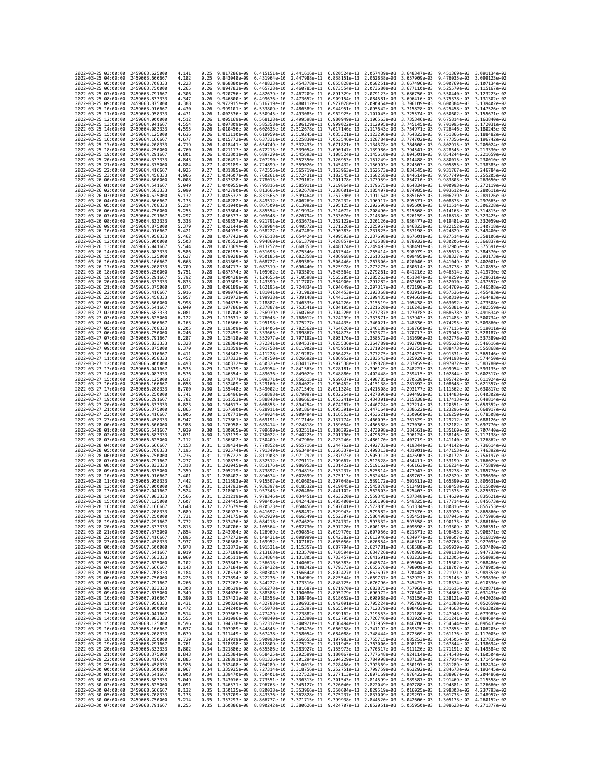|                                            | 2022-03-25 03:00:00 | 2459663.625000                   | 4.141          | 0.25         | 9.817286e-09                              | 6.415151e-10                 | 2.441616e-11 6.820524e-13 2.057439e-03                                                                                                                                                                                                                                                                                                                                         |                              |                              | 3.648347e-03                 | 9.451369e-03 3.091134e-02                 |                              |
|--------------------------------------------|---------------------|----------------------------------|----------------|--------------|-------------------------------------------|------------------------------|--------------------------------------------------------------------------------------------------------------------------------------------------------------------------------------------------------------------------------------------------------------------------------------------------------------------------------------------------------------------------------|------------------------------|------------------------------|------------------------------|-------------------------------------------|------------------------------|
| 2022-03-25 04:00:00                        |                     | 2459663.666667                   | 4.182          | 0.25         | 9.843048e-09                              | 6.431964e-10                 | 2.447988e-11 6.838151e-13                                                                                                                                                                                                                                                                                                                                                      |                              | 2.062838e-03                 | 3.657909e-03                 | 9.476035e-03                              | 3.099123e-02                 |
| 2022-03-25 05:00:00                        |                     | 2459663.708333                   | 4.223          | 0.25         | 9.868880e-09                              | 6.448823e-10                 | 2.454378e-11                                                                                                                                                                                                                                                                                                                                                                   | 6.855828e-13                 | 2.068251e-03                 | 3.667496e-03                 | 9.500769e-03                              | 3.107134e-02                 |
| 2022-03-25 06:00:00<br>2022-03-25 07:00:00 |                     | 2459663,750000<br>2459663.791667 | 4.265<br>4.306 | 0.26<br>0.26 | 9.894783e-09<br>9.920756e-09              | 6.482679e-10                 | 6.465728e-10 2.460785e-11 6.873554e-13<br>2.467209e-11 6.891329e-13                                                                                                                                                                                                                                                                                                            |                              | 2.073680e-03<br>2.079123e-03 | 3.677110e-03<br>3.686750e-03 | 9.525570e-03<br>9.550440e-03 3.123223e-02 | 3.115167e-02                 |
| 2022-03-25 08:00:00                        |                     | 2459663.833333                   | 4.347          | 0.26         | 9.946800e-09                              | 6.499676e-10                 | 2.473652e-11                                                                                                                                                                                                                                                                                                                                                                   | 6.909154e-13                 | 2.084581e-03                 | 3.696416e-03                 | 9.575378e-03                              | 3.131302e-02                 |
| 2022-03-25 09:00:00                        |                     | 2459663.875000                   | 4.388          | 0.26         | 9.972915e-09                              | 6.516719e-10                 | 2.480112e-11                                                                                                                                                                                                                                                                                                                                                                   | 6.927028e-13                 | 2.090054e-03                 | 3.706109e-03                 | 9.600384e-03                              | 3.139402e-02                 |
| 2022-03-25 10:00:00                        |                     | 2459663.916667                   | 4.430          | 0.26         | 9.999101e-09                              | 6.533809e-10                 | 2.486589e-11                                                                                                                                                                                                                                                                                                                                                                   | 6.944951e-13                 | 2.095542e-03                 | 3.715828e-03                 | 9.625458e-03                              | 3.147526e-02                 |
| 2022-03-25 11:00:00<br>2022-03-25 12:00:00 |                     | 2459663.958333<br>2459664.000000 | 4.471<br>4.512 | 0.26<br>0.26 | 1.002536e-08<br>1,005169e-08              | 6.550945e-10<br>6.568128e-10 | 2.493085e-11<br>2.499598e-11                                                                                                                                                                                                                                                                                                                                                   | 6.962925e-13<br>6.980949e-13 | 2.101045e-03<br>2.106563e-03 | 3.725574e-03<br>3.735346e-03 | 9.650602e-03<br>9.675814e-03              | 3.155671e-02<br>3.163840e-02 |
| 2022-03-25 13:00:00                        |                     | 2459664.041667                   | 4.554          | 0.26         | 1.007809e-08                              | 6.585358e-10                 | 2.506129e-11                                                                                                                                                                                                                                                                                                                                                                   | 6.999022e-13                 | 2.112095e-03                 | 3.745145e-03                 | 9.701095e-03                              | 3.172031e-02                 |
| 2022-03-25 14:00:00                        |                     | 2459664.083333                   | 4.595          | 0.26         | 1.010456e-08                              | 6.602635e-10                 | 2.512678e-11                                                                                                                                                                                                                                                                                                                                                                   | 7.017146e-13                 | 2.117643e-03                 | 3.754971e-03                 | 9.726446e-03                              | 3.180245e-02                 |
| 2022-03-25 15:00:00                        |                     | 2459664.125000                   | 4.636          | 0.26         | 1.013110e-08                              | 6.619959e-10                 | 2.519245e-11                                                                                                                                                                                                                                                                                                                                                                   | 7.035321e-13                 | 2.123206e-03                 | 3.764823e-03                 | 9.751866e-03                              | 3.188482e-02                 |
| 2022-03-25 16:00:00<br>2022-03-25 17:00:00 |                     | 2459664.166667<br>2459664.208333 | 4.677<br>4.719 | 0.26<br>0.26 | 1.015772e-08<br>1.018441e-08              | 6.637331e-10<br>6.654749e-10 | 2.525830e-11<br>2.532433e-11                                                                                                                                                                                                                                                                                                                                                   | 7.053546e-13<br>7.071821e-13 | 2.128784e-03<br>2.134378e-03 | 3.774702e-03<br>3.784608e-03 | 9.777356e-03<br>9.802915e-03              | 3.196742e-02<br>3.205024e-02 |
| 2022-03-25 18:00:00                        |                     | 2459664.250000                   | 4.760          | 0.26         | 1.021117e-08                              | 6.672215e-10                 | 2.539054e-11                                                                                                                                                                                                                                                                                                                                                                   | 7.090147e-13                 | 2.139986e-03                 | 3.794541e-03                 | 9.828545e-03                              | 3.213330e-02                 |
| 2022-03-25 19:00:00                        |                     | 2459664.291667                   | 4.801          | 0.26         | 1.023801e-08                              | 6.689729e-10                 | 2.545693e-11                                                                                                                                                                                                                                                                                                                                                                   | 7.108524e-13                 | 2.145610e-03                 | 3.804501e-03                 | 9.854244e-03                              | 3.221659e-02                 |
| 2022-03-25 20:00:00                        |                     | 2459664.333333                   | 4.843          | 0.26         | 1.026491e-08                              | 6.707290e-10                 | 2.552350e-11                                                                                                                                                                                                                                                                                                                                                                   | 7.126953e-13                 | 2.151249e-03                 | 3.814488e-03                 | 9.880015e-03                              | 3.230010e-02                 |
| 2022-03-25 21:00:00<br>2022-03-25 22:00:00 |                     | 2459664.375000<br>2459664.416667 | 4.884<br>4.925 | 0.27<br>0.27 | 1.029189e-08<br>1.031895e-08              | 6.724899e-10<br>6.742556e-10 | 2.559026e-11<br>2.565719e-11                                                                                                                                                                                                                                                                                                                                                   | 7.145432e-13<br>7.163963e-13 | 2.156903e-03<br>2.162573e-03 | 3.824503e-03<br>3.834545e-03 | 9.905855e-03<br>9.931767e-03              | 3.238385e-02<br>3.246784e-02 |
| 2022-03-25 23:00:00                        |                     | 2459664,458333                   | 4.966          | 0.27         | 1.034607e-08                              | 6.760261e-10                 | 2.572431e-11                                                                                                                                                                                                                                                                                                                                                                   | 7.182545e-13                 | 2.168258e-03                 | 3.844614e-03                 | 9.957749e-03                              | 3.255205e-02                 |
| 2022-03-26 00:00:00                        |                     | 2459664.500000                   | 5.008          | 0.27         | 1.037328e-08                              | 6.778015e-10                 | 2.579162e-11                                                                                                                                                                                                                                                                                                                                                                   | 7.201178e-13                 | 2.173959e-03                 | 3.854710e-03                 | 9.983803e-03                              | 3.263650e-02                 |
| 2022-03-26 01:00:00                        |                     | 2459664.541667                   | 5.049          | 0.27         | 1.040055e-08                              | 6.795816e-10                 | 2.585911e-11                                                                                                                                                                                                                                                                                                                                                                   | 7.219864e-13                 | 2.179675e-03                 | 3.864834e-03                 | 1.000993e-02                              | 3.272119e-02                 |
| 2022-03-26 02:00:00<br>2022-03-26 03:00:00 |                     | 2459664.583333                   | 5.090          | 0.27<br>0.27 | 1.042790e-08                              | 6.813666e-10                 | 2.592678e-11                                                                                                                                                                                                                                                                                                                                                                   | 7.238601e-13                 | 2.185407e-03                 | 3.874985e-03<br>3.885165e-03 | 1.003612e-02                              | 3.280611e-02                 |
| 2022-03-26 04:00:00                        |                     | 2459664.625000<br>2459664.666667 | 5.132<br>5.173 | 0.27         | 1.045532e-08<br>1.048282e-08 6.849512e-10 | 6.831565e-10                 | 2.599464e-11<br>2.606269e-11                                                                                                                                                                                                                                                                                                                                                   | 7.257390e-13<br>7.276232e-13 | 2.191154e-03<br>2.196917e-03 | 3.895371e-03                 | 1.006239e-02<br>1.008873e-02              | 3.289126e-02<br>3.297665e-02 |
| 2022-03-26 05:00:00                        |                     | 2459664.708333                   | 5.214          | 0.27         | 1.051040e-08                              | 6.867509e-10                 | 2.613092e-11                                                                                                                                                                                                                                                                                                                                                                   | 7.295125e-13                 | 2.202696e-03                 | 3.905606e-03                 | 1.011514e-02                              | 3.306228e-02                 |
| 2022-03-26 06:00:00                        |                     | 2459664.750000                   | 5.255          | 0.27         | 1,053804e-08                              | 6.885554e-10                 | 2.619934e-11                                                                                                                                                                                                                                                                                                                                                                   | 7.314072e-13                 | 2.208490e-03                 | 3.915868e-03                 | 1.014163e-02                              | 3.314815e-02                 |
| 2022-03-26 07:00:00<br>2022-03-26 08:00:00 |                     | 2459664.791667<br>2459664.833333 | 5.297<br>5.338 | 0.27<br>0.27 | 1.056577e-08<br>1.059357e-08              | 6.903648e-10<br>6.921791e-10 | 2.626794e-11<br>2.633673e-11                                                                                                                                                                                                                                                                                                                                                   | 7.333070e-13<br>7.352122e-13 | 2.214300e-03<br>2.220126e-03 | 3.926159e-03<br>3.936477e-03 | 1.016818e-02<br>1.019481e-02              | 3.323425e-02<br>3.332059e-02 |
| 2022-03-26 09:00:00                        |                     | 2459664.875000                   | 5.379          | 0.27         | 1.062144e-08                              | 6.939984e-10                 | 2.640572e-11                                                                                                                                                                                                                                                                                                                                                                   | 7.371226e-13                 | 2.225967e-03                 | 3.946823e-03                 | 1.022152e-02                              | 3.340718e-02                 |
| 2022-03-26 10:00:00                        |                     | 2459664.916667                   | 5.421          | 0.27         | 1.064939e-08                              | 6.958227e-10                 | 2.647489e-11                                                                                                                                                                                                                                                                                                                                                                   | 7.390383e-13                 | 2.231825e-03                 | 3.957198e-03                 | 1.024829e-02                              | 3.349400e-02                 |
| 2022-03-26 11:00:00                        |                     | 2459664.958333                   | 5.462          | 0.28         | 1.067742e-08                              | 6.976518e-10                 | 2.654424e-11                                                                                                                                                                                                                                                                                                                                                                   | 7.409593e-13                 | 2.237698e-03                 | 3.967601e-03                 | 1.027514e-02                              | 3.358106e-02                 |
| 2022-03-26 12:00:00<br>2022-03-26 13:00:00 |                     | 2459665.000000<br>2459665.041667 | 5.503<br>5.544 | 0.28<br>0.28 | 1.070552e-08 6.994860e-10<br>1.073369e-08 | 7.013252e-10                 | 2.661379e-11<br>2.668353e-11                                                                                                                                                                                                                                                                                                                                                   | 7.428857e-13<br>7.448174e-13 | 2.243588e-03<br>2.249493e-03 | 3.978032e-03<br>3.988491e-03 | 1.030206e-02<br>1.032906e-02              | 3.366837e-02<br>3.375591e-02 |
| 2022-03-26 14:00:00                        |                     | 2459665.083333                   | 5.586          | 0.28         | 1.076195e-08                              | 7.031693e-10                 | 2.675346e-11                                                                                                                                                                                                                                                                                                                                                                   | 7.467544e-13                 | 2.255414e-03                 | 3.998979e-03                 | 1.035613e-02                              | 3.384370e-02                 |
| 2022-03-26 15:00:00                        |                     | 2459665.125000                   | 5.627          | 0.28         | 1.079028e-08                              | 7.050185e-10                 | 2.682358e-11                                                                                                                                                                                                                                                                                                                                                                   | 7.486968e-13                 | 2.261352e-03                 | 4.009495e-03                 | 1.038327e-02                              | 3.393173e-02                 |
| 2022-03-26 16:00:00                        |                     | 2459665.166667                   | 5.668          | 0.28         | 1.081869e-08                              | 7.068727e-10                 | 2.689389e-11                                                                                                                                                                                                                                                                                                                                                                   | 7.506446e-13                 | 2.267306e-03                 | 4.020040e-03                 | 1.041049e-02                              | 3.402001e-02                 |
| 2022-03-26 17:00:00<br>2022-03-26 18:00:00 |                     | 2459665.208333<br>2459665.250000 | 5.709<br>5.751 | 0.28<br>0.28 | 1.084717e-08<br>1.087574e-08              | 7.087319e-10                 | 2.696440e-11<br>2.703509e-11                                                                                                                                                                                                                                                                                                                                                   | 7.525978e-13<br>7.545564e-13 | 2.273275e-03<br>2.279261e-03 | 4.030614e-03<br>4.041216e-03 | 1.043778e-02<br>1.046514e-02              | 3.410853e-02<br>3.419730e-02 |
| 2022-03-26 19:00:00                        |                     | 2459665.291667                   | 5.792          | 0.28         | 1.090438e-08                              | 7.105962e-10<br>7.124655e-10 | 2.710598e-11                                                                                                                                                                                                                                                                                                                                                                   | 7.565205e-13                 | 2.285263e-03                 | 4.051847e-03                 | 1.049259e-02                              | 3.428631e-02                 |
| 2022-03-26 20:00:00                        |                     | 2459665.333333                   | 5.833          | 0.28         | 1.093309e-08                              | 7.143399e-10                 | 2.717707e-11                                                                                                                                                                                                                                                                                                                                                                   | 7.584900e-13                 | 2.291282e-03                 | 4.062507e-03                 | 1.052010e-02                              | 3.437557e-02                 |
| 2022-03-26 21:00:00                        |                     | 2459665.375000                   | 5.875          | 0.28         | 1.096189e-08                              | 7.162195e-10                 | 2.724834e-11                                                                                                                                                                                                                                                                                                                                                                   | 7.604649e-13                 | 2.297317e-03                 | 4.073196e-03                 | 1.054769e-02                              | 3.446508e-02                 |
| 2022-03-26 22:00:00                        |                     | 2459665.416667                   | 5.916          | 0.28         | 1.099076e-08                              |                              | 7.181041e-10 2.731982e-11                                                                                                                                                                                                                                                                                                                                                      | 7.624453e-13                 | 2.303368e-03                 | 4.083914e-03                 | 1.057536e-02                              | 3.455483e-02                 |
| 2022-03-26 23:00:00<br>2022-03-27 00:00:00 |                     | 2459665.458333<br>2459665.500000 | 5.957<br>5.998 | 0.28<br>0.28 | 1.101972e-08<br>1.104875e-08              | 7.199938e-10<br>7.218887e-10 | 2.739148e-11<br>2.746335e-11                                                                                                                                                                                                                                                                                                                                                   | 7.644312e-13<br>7.664226e-13 | 2.309435e-03<br>2.315519e-03 | 4.094661e-03<br>4.105438e-03 | 1.060310e-02<br>1.063092e-02              | 3.464483e-02<br>3.473508e-02 |
| 2022-03-27 01:00:00                        |                     | 2459665.541667                   | 6.040          | 0.29         | 1.107786e-08                              | 7.237887e-10                 | 2.753541e-11                                                                                                                                                                                                                                                                                                                                                                   | 7.684195e-13                 | 2.321620e-03                 | 4.116243e-03                 | 1.065881e-02                              | 3.482559e-02                 |
| 2022-03-27 02:00:00                        |                     | 2459665.583333                   | 6.081          | 0.29         | 1.110704e-08                              | 7.256939e-10                 | 2.760766e-11                                                                                                                                                                                                                                                                                                                                                                   | 7.704220e-13                 | 2.327737e-03                 | 4.127078e-03                 | 1.068678e-02                              | 3.491634e-02                 |
| 2022-03-27 03:00:00                        |                     | 2459665.625000                   | 6.122          | 0.29         | 1.113631e-08                              | 7.276043e-10                 | 2.768012e-11                                                                                                                                                                                                                                                                                                                                                                   | 7.724299e-13                 | 2.333871e-03                 | 4.137943e-03                 | 1.071483e-02                              | 3.500734e-02<br>3.509860e-02 |
| 2022-03-27 04:00:00<br>2022-03-27 05:00:00 |                     | 2459665.666667<br>2459665.708333 | 6.163<br>6.205 | 0.29<br>0.29 | 1.116566e-08<br>1.119509e-08              | 7.295198e-10<br>7.314406e-10 | 2.775277e-11<br>2.782562e-11                                                                                                                                                                                                                                                                                                                                                   | 7.744435e-13<br>7.764626e-13 | 2.340021e-03<br>2.346188e-03 | 4.148836e-03<br>4.159760e-03 | 1.074295e-02<br>1.077115e-02              | 3.519011e-02                 |
| 2022-03-27 06:00:00                        |                     | 2459665.750000                   | 6.246          | 0.29         | 1.122459e-08                              | 7.333665e-10                 | 2.789867e-11                                                                                                                                                                                                                                                                                                                                                                   | 7.784873e-13                 | 2.352372e-03                 | 4.170713e-03                 | 1.079943e-02                              | 3.528187e-02                 |
| 2022-03-27 07:00:00                        |                     | 2459665.791667                   | 6.287          | 0.29         | 1.125418e-08                              | 7.352977e-10                 | 2.797192e-11                                                                                                                                                                                                                                                                                                                                                                   | 7.805176e-13                 | 2.358572e-03                 | 4.181696e-03                 | 1.082778e-02                              | 3.537389e-02                 |
| 2022-03-27 08:00:00<br>2022-03-27 09:00:00 |                     | 2459665.833333<br>2459665.875000 | 6.328<br>6.370 | 0.29<br>0.29 | 1.128384e-08<br>1.131359e-08 7.391758e-10 | 7.372341e-10                 | 2.804537e-11<br>2.811902e-11                                                                                                                                                                                                                                                                                                                                                   | 7.825536e-13<br>7.845951e-13 | 2.364789e-03<br>2.371024e-03 | 4.192708e-03<br>4.203751e-03 | 1.085622e-02<br>1,088473e-02              | 3.546616e-02<br>3.555868e-02 |
| 2022-03-27 10:00:00                        |                     | 2459665.916667                   | 6.411          | 0.29         | 1.134342e-08 7.411228e-10                 |                              | 2.819287e-11                                                                                                                                                                                                                                                                                                                                                                   | 7.866423e-13                 | 2.377275e-03                 | 4.214823e-03                 | 1.091331e-02                              | 3.565146e-02                 |
| 2022-03-27 11:00:00                        |                     | 2459665.958333                   | 6.452          | 0.29         | 1.137333e-08                              | 7.430750e-10                 | 2.826692e-11                                                                                                                                                                                                                                                                                                                                                                   | 7.886952e-13                 | 2.383543e-03                 | 4.225926e-03                 | 1.094198e-02                              | 3.574450e-02                 |
| 2022-03-27 12:00:00                        |                     | 2459666.000000                   | 6.493          | 0.29         | 1.140332e-08                              | 7.450326e-10                 | 2.834117e-11                                                                                                                                                                                                                                                                                                                                                                   | 7.907538e-13                 | 2.389828e-03                 | 4.237059e-03                 | 1.097072e-02                              | 3.583780e-02                 |
| 2022-03-27 13:00:00                        |                     | 2459666.041667                   | 6.535          | 0.29         | 1.143339e-08                              | 7.469954e-10                 | 2.841563e-11                                                                                                                                                                                                                                                                                                                                                                   | 7.928181e-13                 | 2.396129e-03                 | 4.248221e-03                 | 1.099954e-02                              | 3.593135e-02                 |
| 2022-03-27 14:00:00<br>2022-03-27 15:00:00 |                     | 2459666.083333<br>2459666.125000 | 6.576<br>6.617 | 0.30<br>0.30 | 1.146354e-08<br>1.149377e-08              | 7.489636e-10<br>7.509371e-10 | 2.849029e-11<br>2.856515e-11                                                                                                                                                                                                                                                                                                                                                   | 7.948880e-13<br>7.969637e-13 | 2.402448e-03<br>2.408785e-03 | 4.259415e-03<br>4.270638e-03 | 1.102844e-02<br>1.105742e-02              | 3.602517e-02<br>3.611924e-02 |
| 2022-03-27 16:00:00                        |                     | 2459666.166667                   | 6.658          | 0.30         | 1.152409e-08                              |                              | 7.529160e-10 2.864022e-11                                                                                                                                                                                                                                                                                                                                                      | 7.990452e-13                 | 2.415138e-03                 | 4.281892e-03                 | 1.108648e-02                              | 3.621357e-02                 |
| 2022-03-27 17:00:00                        |                     | 2459666.208333                   | 6.700          | 0.30         | 1.155448e-08                              | 7.549002e-10                 | 2.871549e-11                                                                                                                                                                                                                                                                                                                                                                   | 8.011324e-13                 | 2.421508e-03                 | 4.293177e-03                 | 1.111562e-02                              | 3.630817e-02                 |
| 2022-03-27 18:00:00                        |                     | 2459666.250000                   | 6.741          | 0.30         | 1.158496e-08                              | 7.568898e-10                 | 2.879097e-11                                                                                                                                                                                                                                                                                                                                                                   | 8.032254e-13                 | 2.427896e-03                 | 4.304492e-03                 | 1.114483e-02                              | 3.640302e-02                 |
| 2022-03-27 19:00:00<br>2022-03-27 20:00:00 |                     | 2459666.291667<br>2459666.333333 | 6.782<br>6.823 | 0.30<br>0.30 | 1.161553e-08<br>1.164617e-08              | 7.588848e-10                 | 2.886665e-11<br>7.608853e-10 2.894254e-11 8.074287e-13                                                                                                                                                                                                                                                                                                                         | 8.053241e-13                 | 2.434301e-03<br>2.440724e-03 | 4.315838e-03<br>4.327214e-03 | 1.117413e-02<br>1.120351e-02              | 3.649814e-02<br>3.659352e-02 |
| 2022-03-27 21:00:00                        |                     | 2459666.375000                   | 6.865          | 0.30         | 1.167690e-08                              | 7.628911e-10                 | 2.901864e-11                                                                                                                                                                                                                                                                                                                                                                   | 8.095391e-13                 | 2.447164e-03                 | 4.338622e-03                 | 1.123296e-02                              | 3.668917e-02                 |
| 2022-03-27 22:00:00                        |                     | 2459666.416667                   | 6.906          | 0.30         | 1.170771e-08                              | 7.649024e-10                 | 2.909494e-11                                                                                                                                                                                                                                                                                                                                                                   | 8.116553e-13                 | 2.453621e-03                 | 4.350060e-03                 | 1.126250e-02                              | 3.678508e-02                 |
| 2022-03-27 23:00:00                        |                     | 2459666.458333                   | 6.947          | 0.30         | 1.173861e-08                              | 7.669191e-10                 | 2.917146e-11                                                                                                                                                                                                                                                                                                                                                                   | 8.137774e-13                 | 2.460095e-03                 | 4.361529e-03                 | 1.129212e-02                              | 3.688126e-02                 |
| 2022-03-28 00:00:00<br>2022-03-28 01:00:00 |                     | 2459666.500000<br>2459666.541667 | 6.988<br>7.030 | 0.30<br>0.30 | 1.176958e-08<br>1.180065e-08              | 7.689414e-10<br>7.709690e-10 | 2.924818e-11 8.159054e-13<br>2.932511e-11 8.180392e-13                                                                                                                                                                                                                                                                                                                         |                              | 2.466588e-03<br>2.473098e-03 | 4.373030e-03<br>4.384561e-03 | 1.132182e-02<br>1.135160e-02              | 3.697770e-02<br>3.707440e-02 |
| 2022-03-28 02:00:00                        |                     |                                  | 7.071          | 0.30         | 1.183179e-08                              | 7.730022e-10                 | 2.940225e-11                                                                                                                                                                                                                                                                                                                                                                   | 8.201790e-13                 | 2.479625e-03                 | 4.396124e-03                 | 1.138146e-02                              | 3.717138e-02                 |
|                                            |                     |                                  |                |              |                                           |                              |                                                                                                                                                                                                                                                                                                                                                                                |                              |                              |                              |                                           | 3.726862e-02                 |
|                                            | 2022-03-28 03:00:00 | 2459666.583333<br>2459666.625000 | 7.112          | 0.31         | 1.186302e-08                              | 7.750409e-10                 | 2.947960e-11                                                                                                                                                                                                                                                                                                                                                                   | 8.223246e-13                 | 2.486170e-03                 | 4.407719e-03                 | 1.141140e-02                              |                              |
| 2022-03-28 04:00:00                        |                     | 2459666.666667                   | 7.153          | 0.31         | 1.189434e-08                              | 7.770852e-10                 | 2.955716e-11                                                                                                                                                                                                                                                                                                                                                                   | 8.244762e-13                 | 2.492733e-03                 | 4.419344e-03                 | 1.144142e-02                              | 3.736614e-02                 |
| 2022-03-28 05:00:00                        |                     | 2459666.708333                   | 7.195          | 0.31         | 1.192574e-08                              | 7.791349e-10                 | 2.963494e-11                                                                                                                                                                                                                                                                                                                                                                   | 8.266337e-13                 | 2.499313e-03                 | 4.431001e-03                 | 1.147153e-02                              | 3.746392e-02                 |
| 2022-03-28 06:00:00                        |                     | 2459666.750000                   | 7.236          | 0.31         | 1.195722e-08                              | 7.811903e-10                 | 2.971292e-11                                                                                                                                                                                                                                                                                                                                                                   | 8.287973e-13                 | 2.505912e-03                 | 4.442690e-03                 | 1.150172e-02                              | 3.756197e-02                 |
| 2022-03-28 07:00:00<br>2022-03-28 08:00:00 |                     | 2459666.791667<br>2459666.833333 | 7.277<br>7.318 | 0.31<br>0.31 | 1.198879e-08<br>1.202045e-08              | 7.832512e-10<br>7.853176e-10 | 2.979112e-11<br>2.986953e-11                                                                                                                                                                                                                                                                                                                                                   | 8.309667e-13<br>8.331422e-13 | 2.512528e-03<br>2.519162e-03 | 4.454411e-03<br>4.466163e-03 | 1,153199e-02<br>1.156234e-02              | 3.766029e-02<br>3.775889e-02 |
| 2022-03-28 09:00:00                        |                     | 2459666.875000                   | 7.359          | 0.31         | 1.205219e-08                              | 7.873897e-10                 | 2.994815e-11                                                                                                                                                                                                                                                                                                                                                                   | 8.353237e-13                 | 2.525814e-03                 | 4.477947e-03                 | 1.159278e-02                              | 3.785776e-02                 |
| 2022-03-28 10:00:00                        |                     | 2459666.916667                   | 7.401          | 0.31         | 1.208402e-08                              | 7.894674e-10                 | 3.002699e-11                                                                                                                                                                                                                                                                                                                                                                   | 8.375113e-13                 | 2.532484e-03                 | 4.489763e-03                 | 1.162329e-02                              | 3.795690e-02                 |
| 2022-03-28 11:00:00                        |                     | 2459666.958333<br>2459667.000000 | 7.442<br>7.483 | 0.31<br>0.31 | 1.211593e-08<br>1,214793e-08              | 7.915507e-10<br>7.936397e-10 | 3.010605e-11<br>3.018532e-11                                                                                                                                                                                                                                                                                                                                                   | 8.397048e-13<br>8.419045e-13 | 2.539172e-03                 | 4.501611e-03<br>4.513491e-03 | 1.165390e-02<br>1.168458e-02              | 3.805631e-02<br>3.815600e-02 |
| 2022-03-28 12:00:00<br>2022-03-28 13:00:00 |                     | 2459667.041667                   | 7.524          | 0.31         | 1.218001e-08                              | 7.957343e-10                 | 3.026480e-11                                                                                                                                                                                                                                                                                                                                                                   | 8.441102e-13                 | 2.545878e-03<br>2.552603e-03 | 4.525403e-03                 | 1.171535e-02                              | 3.825597e-02                 |
| 2022-03-28 14:00:00                        |                     | 2459667.083333                   | 7.566          | 0.31         | 1,221219e-08                              | 7.978346e-10                 | 3.034451e-11 8.463220e-13                                                                                                                                                                                                                                                                                                                                                      |                              |                              | 2.559345e-03 4.537348e-03    | 1.174620e-02                              | 3.835621e-02                 |
| 2022-03-28 15:00:00                        |                     | 2459667.125000                   | 7.607          | 0.32         | 1.224445e-08 7.999406e-10                 |                              | 3.042443e-11 8.485400e-13 2.566106e-03 4.549325e-03 1.177714e-02 3.845673e-02                                                                                                                                                                                                                                                                                                  |                              |                              |                              |                                           |                              |
| 2022-03-28 16:00:00<br>2022                | -03-28 17:00:00     | 2459667.166667<br>2459667.208333 | 7.648<br>7.689 | 0.32         | 1.230923e-08                              | 8.041697e-10                 | 1.227679e-08 8.020523e-10 3.050456e-11 8.507641e-13 2.572885e-03 4.561334e-03 1.180816e-02 3.855753e-02<br>3.058492e-11                                                                                                                                                                                                                                                        | 8.529943e-13                 | 2.579682e-03                 | 4.573376e-03                 | 1.183926e-02                              | 3.865860e-02                 |
| 2022-03-28 18:00:00                        |                     | 2459667.250000                   | 7.731          | 0.32         |                                           |                              | 1.234175e-08 8.062929e-10 3.066549e-11 8.552307e-13 2.586498e-03 4.585451e-03 1.187045e-02 3.875996e-02                                                                                                                                                                                                                                                                        |                              |                              |                              |                                           |                              |
| 2022-03-28 19:00:00                        |                     | 2459667.291667                   | 7.772          | 0.32         |                                           |                              | 1.237436e-08 8.084218e-10 3.074629e-11 8.574732e-13 2.593332e-03 4.597558e-03 1.190173e-02 3.886160e-02                                                                                                                                                                                                                                                                        |                              |                              |                              |                                           |                              |
| 2022-03-28 20:00:00<br>2022-03-28 21:00:00 |                     | 2459667.333333                   | 7.813<br>7.854 | 0.32<br>0.32 |                                           |                              | 1.240706e-08 8.105564e-10 3.082730e-11 8.597220e-13 2.600185e-03 4.609698e-03 1.193309e-02 3.896351e-02                                                                                                                                                                                                                                                                        |                              |                              |                              |                                           |                              |
| 2022-03-28 22:00:00                        |                     | 2459667.375000<br>2459667.416667 | 7.895          |              |                                           |                              | 1.243984e-08 8.126969e-10 3.090854e-11 8.619770e-13 2.607056e-03 4.621871e-03 1.196453e-02 3.906571e-02<br>0.32 1.247272e-08 8.148431e-10 3.098999e-11 8.642382e-13 2.613946e-03 4.634077e-03 1.199607e-02 3.916819e-02                                                                                                                                                        |                              |                              |                              |                                           |                              |
| 2022-03-28 23:00:00                        |                     | 2459667.458333                   | 7.937          |              |                                           |                              |                                                                                                                                                                                                                                                                                                                                                                                |                              |                              |                              |                                           |                              |
| 2022-03-29 00:00:00<br>2022-03-29 01:00:00 |                     | 2459667.500000<br>2459667.541667 | 7.978<br>8.019 |              |                                           |                              | 0.32 1.250568e-08 8.169952e-10 3.107167e-11 8.665056e-13 2.620854e-03 4.646316e-03 1.202768e-02 3.927095e-02<br>0.32 1.253873e-08 8.169952e-10 3.113357e-11 8.687794e-13 2.627781e-03 4.658588e-03 1.205939e-02 3.937400e-02                                                                                                                                                   |                              |                              |                              |                                           |                              |
| 2022-03-29 02:00:00                        |                     | 2459667.583333                   | 8.060          |              |                                           |                              | 0.32 1.257188e-08 8.213168e-10 3.123570e-11 8.710594e-13 2.634726e-03 4.670893e-03 1.209118e-02 3.947733e-02<br>0.32 1.260511e-08 8.234864e-10 3.131805e-11 8.733457e-13 2.641691e-03 4.683232e-03 1.212305e-02 3.958095e-02                                                                                                                                                   |                              |                              |                              |                                           |                              |
| 2022-03-29 03:00:00                        |                     | 2459667.625000                   | 8.102          |              |                                           |                              |                                                                                                                                                                                                                                                                                                                                                                                |                              |                              |                              |                                           |                              |
| 2022-03-29 04:00:00                        |                     | 2459667.666667                   | 8.143          |              |                                           |                              | $\begin{array}{cccccccc} 0.33 & 1.263843e-08 & 8.256618e-10 & 3.140062e-11 & 8.756383e-13 & 2.648674e-03 & 4.695604e-03 & 1.215502e-02 & 3.968486e-02 \\ 0.33 & 1.267184e-08 & 8.278432e-10 & 3.148342e-11 & 8.779373e-13 & 2.655676e-03 & 4.708009e-03 & 1.2$                                                                                                                 |                              |                              |                              |                                           |                              |
| 2022-03-29 05:00:00                        |                     | 2459667.708333                   | 8.184          |              |                                           |                              | 0.33 1.270534e-08 8.300304e-10 3.156644e-11 8.802427e-13 2.662697e-03 4.720448e-03 1.221921e-02 3.989353e-02                                                                                                                                                                                                                                                                   |                              |                              |                              |                                           |                              |
| 2022-03-29 06:00:00<br>2022-03-29 07:00:00 |                     | 2459667.750000<br>2459667.791667 | 8.225<br>8.266 |              |                                           |                              |                                                                                                                                                                                                                                                                                                                                                                                |                              |                              |                              |                                           |                              |
| 2022-03-29 08:00:00                        |                     | 2459667.833333                   | 8.308          |              |                                           |                              | 0.33 1.273894e-08 8.322236e-10 3.164969e-11 8.825544e-13 2.669737e-03 4.732921e-03 1.273544e-02 3.999830e-02<br>0.33 1.273694e-08 8.344227e-10 3.173316e-11 8.845725e-13 2.669737e-03 4.743427e-03 1.225143e-02 3.999830e-02<br>0.33                                                                                                                                           |                              |                              |                              |                                           |                              |
| 2022-03-29 09:00:00                        |                     | 2459667.875000                   | 8.349          |              |                                           |                              |                                                                                                                                                                                                                                                                                                                                                                                |                              |                              |                              |                                           |                              |
| 2022-03-29 10:00:00<br>2022-03-29 11:00:00 |                     | 2459667.916667<br>2459667.958333 | 8.390<br>8.431 |              |                                           |                              |                                                                                                                                                                                                                                                                                                                                                                                |                              |                              |                              |                                           |                              |
| 2022-03-29 12:00:00                        |                     | 2459668,000000                   | 8.472          |              |                                           |                              | 0.33 1.284026e-08 8.388388e-10 3.190080e-11 8.895279e-13 2.690972e-03 4.770542e-03 1.234053e-02 4.031435e-02<br>0.33 1.287421e-08 8.410558e-10 3.190496e-11 8.916652e-13 2.698080e-03 4.783150e-03 1.238121e-02 4.043028e-02<br>0.33<br>0.33 1.294240e-08 8.455078e-10 3.215397e-11 8.965594e-13 2.712379e-03 4.808469e-03 1.244663e-02 4.063302e-02                           |                              |                              |                              |                                           |                              |
| 2022-03-29 13:00:00                        |                     | 2459668.041667                   | 8.514          |              |                                           |                              | 0.33 1.297663e-08 8.477429e-10 3.223882e-11 8.989162e-13 2.719553e-03 4.821180e-03 1.247948e-02 4.073983e-02                                                                                                                                                                                                                                                                   |                              |                              |                              |                                           |                              |
| 2022-03-29 14:00:00                        |                     | 2459668.083333                   | 8.555          |              |                                           |                              |                                                                                                                                                                                                                                                                                                                                                                                |                              |                              |                              |                                           |                              |
| 2022-03-29 15:00:00<br>2022-03-29 16:00:00 |                     | 2459668.125000<br>2459668.166667 | 8.596<br>8.637 |              |                                           |                              | $\begin{array}{cccccccc} 0.34 & 1.301096e-08 & 8.499840e-10 & 3.232390e-11 & 9.012795e-13 & 2.726746e-03 & 4.833926e-03 & 1.251241e-02 & 4.084694e-02 \\ 0.34 & 1.304538e-08 & 8.522312e-10 & 3.240921e-11 & 9.036494e-13 & 2.733959e-03 & 4.846706e-03 & 1.2$<br>0.34 1.307989e-08 8.544845e-10 3.249476e-11 9.060258e-13 2.741192e-03 4.859520e-03 1.257855e-02 4.106205e-02 |                              |                              |                              |                                           |                              |
| 2022-03-29 17:00:00                        |                     | 2459668.208333                   | 8.679          |              |                                           |                              | 0.34 1.311449e-08 8.567438e-10 3.258054e-11 9.084088e-13 2.748444e-03 4.872369e-03 1.261176e-02 4.117005e-02                                                                                                                                                                                                                                                                   |                              |                              |                              |                                           |                              |
| 2022-03-29 18:00:00                        |                     | 2459668.250000                   | 8.720          |              |                                           |                              |                                                                                                                                                                                                                                                                                                                                                                                |                              |                              |                              |                                           |                              |
| 2022-03-29 19:00:00                        |                     | 2459668.291667                   | 8.761          |              |                                           |                              | $\begin{array}{cccccccc} 0.34 & 1.314919e-08 & 8.590093e-10 & 3.266655e-11 & 9.107983e-13 & 2.755715e-03 & 4.885253e-03 & 1.264505e-02 & 4.127835e-02 \\ 0.34 & 1.318398e-08 & 8.612809e-10 & 3.275279e-11 & 9.131945e-13 & 2.763006e-03 & 4.898172e-03 & 1.2$                                                                                                                 |                              |                              |                              |                                           |                              |
| 2022-03-29 20:00:00<br>2022-03-29 21:00:00 |                     | 2459668.333333<br>2459668.375000 | 8.802<br>8.843 |              |                                           |                              | 0.34 1.321886e-08 8.635586e-10 3.283927e-11 9.155973e-13 2.770317e-03 4.911126e-03 1.271191e-02 4.149584e-02                                                                                                                                                                                                                                                                   |                              |                              |                              |                                           |                              |
| 2022-03-29 22:00:00                        |                     | 2459668.416667                   | 8.885          |              |                                           |                              | 0.34 1.325384e-08 8.658425e-10 3.292599e-11 9.180067e-13 2.777648e-03 4.924114e-03 1.274548e-02 4.160504e-02<br>0.34 1.328891e-08 8.681326e-10 3.301294e-11 9.204229e-13 2.784998e-03 4.937138e-03 1.277914e-02 4.171454e-02                                                                                                                                                   |                              |                              |                              |                                           |                              |
| 2022-03-29 23:00:00                        |                     | 2459668.458333                   | 8.926          |              |                                           |                              | 0.34 1.332408e-08 8.704289e-10 3.310013e-11 9.228456e-13 2.792369e-03 4.950197e-03 1.281289e-02 4.182434e-02                                                                                                                                                                                                                                                                   |                              |                              |                              |                                           |                              |
| 2022-03-30 00:00:00                        |                     | 2459668.500000                   | 8.967          |              |                                           |                              |                                                                                                                                                                                                                                                                                                                                                                                |                              |                              |                              |                                           |                              |
| 2022-03-30 01:00:00<br>2022-03-30 02:00:00 |                     | 2459668.541667<br>2459668.583333 | 9.008<br>9.049 |              |                                           |                              |                                                                                                                                                                                                                                                                                                                                                                                |                              |                              |                              |                                           |                              |
| 2022-03-30 03:00:00                        |                     | 2459668.625000                   | 9.091          |              |                                           |                              | 0.34 1.335935e-08 8.777314e-10 3.318756e-11 9.252751e-13 2.799759e-03 4.963292e-03 1.284673e-02 4.193445e-02<br>0.34 1.335935e-08 8.7594491e-10 3.327525e-11 9.277113e-13 2.807169e-03 4.976392e-03 1.280676e-02 4.203445e-02<br>0.3<br>0.35 1.346571e-08 8.796763e-10 3.345127e-11 9.326040e-13 2.822049e-03 5.002788e-03 1.294881e-02 4.226660e-02                           |                              |                              |                              |                                           |                              |
| 2022-03-30 04:00:00                        |                     | 2459668.666667                   | 9.132          |              |                                           |                              | 0.35 1.350135e-08 8.820038e-10 3.353966e-11 9.350604e-13 2.829519e-03 5.016025e-03 1.298303e-02 4.237793e-02                                                                                                                                                                                                                                                                   |                              |                              |                              |                                           |                              |
| 2022-03-30 05:00:00<br>2022-03-30 06:00:00 |                     | 2459668.708333<br>2459668.750000 | 9.173<br>9.214 |              |                                           |                              | 0.35 1.353709e-08 8.843376e-10 3.362828e-11 9.375237e-13 2.837009e-03 5.029297e-03 1.301733e-02 4.248957e-02<br>0.35 1.357293e-08 8.866777e-10 3.371715e-11 9.399938e-13 2.844520e-03 5.042606e-03 1.305173e-02 4.260152e-02                                                                                                                                                   |                              |                              |                              |                                           |                              |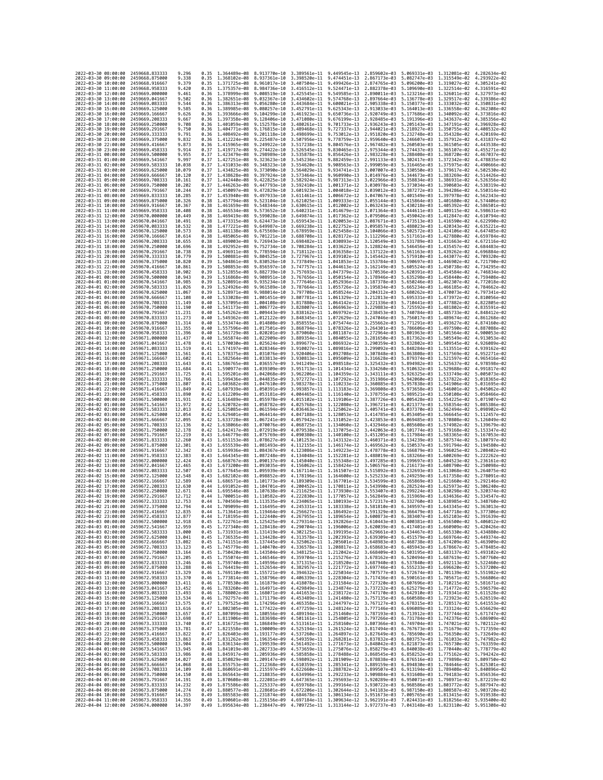| 2022-03-30 08:00:00                        |                     | 2459668.833333                   | 9.296            | 0.35         | 1.364489e-08                                           | 8.913770e-10                 | 3.389561e-11                                           | 9.449545e-13                              | 2.859602e-03                 | 5.069331e-03                                                                                                                                                                                                                                                   | 1.312081e-02                                                                                                 | 4.282634e-02                 |
|--------------------------------------------|---------------------|----------------------------------|------------------|--------------|--------------------------------------------------------|------------------------------|--------------------------------------------------------|-------------------------------------------|------------------------------|----------------------------------------------------------------------------------------------------------------------------------------------------------------------------------------------------------------------------------------------------------------|--------------------------------------------------------------------------------------------------------------|------------------------------|
| 2022-03-30 09:00:00                        |                     | 2459668.875000                   | 9.338            | 0.35         | 1.368102e-08                                           | 8.937361e-10                 | 3.398520e-11                                           | 9.474451e-13                              | 2.867173e-03                 | 5.082747e-03                                                                                                                                                                                                                                                   | 1.315549e-02                                                                                                 | 4.293922e-02                 |
| 2022-03-30 10:00:00                        |                     | 2459668.916667                   | 9.379            | 0.35         | 1.371725e-08                                           | 8.961017e-10                 | 3.407504e-11                                           | 9.499426e-13                              | 2.874765e-03                 | 5.096200e-03                                                                                                                                                                                                                                                   | 1.319027e-02                                                                                                 | 4.305241e-02                 |
| 2022-03-30 11:00:00<br>2022-03-30 12:00:00 |                     | 2459668.958333<br>2459669.000000 | 9.420<br>9.461   | 0.35<br>0.36 | 1.378999e-08                                           | 9.008519e-10                 | 1.375357e-08 8.984736e-10 3.416512e-11<br>3.425545e-11 | 9.524471e-13<br>9.549585e-13              | 2.882378e-03<br>2.890011e-03 | 5.109690e-03<br>5.123216e-03                                                                                                                                                                                                                                   | 1.322514e-02<br>1.326011e-02                                                                                 | 4.316591e-02<br>4.327973e-02 |
| 2022-03-30 13:00:00                        |                     | 2459669.041667                   | 9.502            | 0.36         | 1.382651e-08                                           | 9.032367e-10                 | 3.434602e-11                                           | 9.574768e-13                              | 2.897664e-03                 | 5.136778e-03                                                                                                                                                                                                                                                   | 1.329517e-02                                                                                                 | 4.339386e-02                 |
| 2022-03-30 14:00:00                        |                     | 2459669.083333                   | 9.544            | 0.36         | 1.386313e-08                                           | 9.056280e-10                 | 3.443684e-11                                           | 9.600021e-13                              | 2.905338e-03                 | 5.150377e-03                                                                                                                                                                                                                                                   | 1.333032e-02                                                                                                 | 4.350831e-02                 |
| 2022-03-30 15:00:00                        |                     | 2459669.125000                   | 9.585            | 0.36         | 1.389985e-08                                           | 9.080257e-10                 | 3.452791e-11                                           | 9.625343e-13                              | 2.913033e-03                 | 5.164013e-03                                                                                                                                                                                                                                                   | 1.336558e-02                                                                                                 | 4.362308e-02                 |
| 2022-03-30 16:00:00<br>2022-03-30 17:00:00 |                     | 2459669.166667<br>2459669.208333 | 9.626<br>9.667   | 0.36<br>0.36 | 1.393666e-08<br>1.397358e-08                           | 9.104299e-10<br>9.128406e-10 | 3.461923e-11<br>3.471080e-11                           | 9.650736e-13<br>9.676199e-13              | 2.920749e-03<br>2.928485e-03 | 5.177686e-03<br>5.191396e-03                                                                                                                                                                                                                                   | 1.340092e-02<br>1.343637e-02                                                                                 | 4.373816e-02<br>4.385356e-02 |
| 2022-03-30 18:00:00                        |                     | 2459669.250000                   | 9.708            | 0.36         | 1.401059e-08                                           | 9.152578e-10                 | 3.480261e-11                                           | 9.701733e-13                              | 2.936243e-03                 | 5.205143e-03                                                                                                                                                                                                                                                   | 1.347191e-02                                                                                                 | 4.396928e-02                 |
| 2022-03-30 19:00:00                        |                     | 2459669.291667                   | 9.750            | 0.36         | 1.404771e-08                                           | 9.176815e-10                 | 3.489468e-11                                           | 9.727337e-13                              | 2.944021e-03                 | 5.218927e-03                                                                                                                                                                                                                                                   | 1.350755e-02                                                                                                 | 4.408532e-02                 |
| 2022-03-30 20:00:00                        |                     | 2459669.333333                   | 9.791            | 0.36         | 1.408492e-08                                           | 9.201118e-10                 | 3.498699e-11                                           | 9.753012e-13                              | 2.951820e-03                 | 5.232748e-03                                                                                                                                                                                                                                                   | 1.354328e-02                                                                                                 | 4.420169e-02                 |
| 2022-03-30 21:00:00<br>2022-03-30 22:00:00 |                     | 2459669.375000<br>2459669.416667 | 9.832<br>9.873   | 0.36<br>0.36 | 1.412224e-08<br>1.415965e-08                           | 9.225487e-10<br>9.249922e-10 | 3.507956e-11<br>3.517238e-11                           | 9.778759e-13<br>9.804576e-13              | 2.959640e-03<br>2.967482e-03 | 5.246607e-03<br>5.260503e-03                                                                                                                                                                                                                                   | 1.357912e-02<br>1.361505e-02                                                                                 | 4.431837e-02<br>4.443538e-02 |
| 2022-03-30 23:00:00                        |                     | 2459669.458333                   | 9.914            | 0.37         | 1.419717e-08                                           | 9.274422e-10                 | 3.526545e-11                                           | 9.830465e-13                              | 2.975344e-03                 | 5.274437e-03                                                                                                                                                                                                                                                   | 1.365107e-02                                                                                                 | 4.455271e-02                 |
| 2022-03-31 00:00:00                        |                     | 2459669.500000                   | 9.955            | 0.37         | 1.423479e-08                                           | 9.298989e-10                 | 3.535878e-11                                           | 9.856426e-13                              | 2.983228e-03                 | 5.288408e-03                                                                                                                                                                                                                                                   | 1.368720e-02                                                                                                 | 4.467037e-02                 |
| 2022-03-31 01:00:00                        |                     | 2459669.541667                   | 9.997            | 0.37         | 1.427251e-08                                           | 9.323623e-10                 | 3.545236e-11                                           | 9.882459e-13                              | 2.991133e-03                 | 5.302417e-03                                                                                                                                                                                                                                                   | 1.372342e-02                                                                                                 | 4.478835e-02                 |
| 2022-03-31 02:00:00                        |                     | 2459669.583333                   | 10.038<br>10,079 | 0.37         | 1.431033e-08<br>1.434825e-08                           | 9.348323e-10                 | 3.554620e-11                                           | 9.908563e-13<br>9.934741e-13              | 2.999059e-03                 | 5.316465e-03                                                                                                                                                                                                                                                   | 1.375975e-02                                                                                                 | 4.490666e-02<br>4.502530e-02 |
| 2022-03-31 03:00:00<br>2022-03-31 04:00:00 |                     | 2459669.625000<br>2459669,666667 | 10.120           | 0.37<br>0.37 | 1.438628e-08                                           | 9.373090e-10<br>9.397924e-10 | 3.564029e-11<br>3.573464e-11                           | 9.960990e-13                              | 3.007007e-03<br>3.014976e-03 | 5.330550e-03<br>5.344673e-03                                                                                                                                                                                                                                   | 1.379617e-02<br>1.383269e-02                                                                                 | 4.514426e-02                 |
| 2022-03-31 05:00:00                        |                     | 2459669.708333                   | 10.161           | 0.37         | 1.442440e-08                                           | 9.422825e-10                 | 3.582924e-11                                           | 9.987313e-13                              | 3.022966e-03                 | 5.358834e-03                                                                                                                                                                                                                                                   | 1.386931e-02                                                                                                 | 4.526356e-02                 |
| 2022-03-31 06:00:00                        |                     | 2459669.750000                   | 10.202           | 0.37         | 1.446263e-08                                           | 9.447793e-10                 | 3.592410e-11                                           | 1.001371e-12                              | 3.030978e-03                 | 5.373034e-03                                                                                                                                                                                                                                                   | 1.390603e-02                                                                                                 | 4.538319e-02                 |
| 2022-03-31 07:00:00                        |                     | 2459669.791667                   | 10.244           | 0.37         | 1,450097e-08                                           | 9.472829e-10                 | 3.601923e-11                                           | 1.004018e-12                              | 3.039012e-03                 | 5.387272e-03                                                                                                                                                                                                                                                   | 1,394286e-02                                                                                                 | 4.550314e-02                 |
| 2022-03-31 08:00:00<br>2022-03-31 09:00:00 |                     | 2459669.833333<br>2459669.875000 | 10.285<br>10.326 | 0.37<br>0.38 | 1.453940e-08<br>1.457794e-08 9.523104e-10              | 9.497933e-10                 | 3.611461e-11<br>3.621025e-11 1.009333e-12              | 1.006672e-12                              | 3.047067e-03<br>3.055144e-03 | 5.401549e-03<br>5.415864e-03                                                                                                                                                                                                                                   | 1.397978e-02<br>1,401680e-02                                                                                 | 4.562343e-02<br>4.574406e-02 |
| 2022-03-31 10:00:00                        |                     | 2459669.916667                   | 10.367           | 0.38         | 1.461659e-08                                           | 9.548344e-10                 | 3.630615e-11                                           | 1.012002e-12                              | 3.063243e-03                 | 5.430218e-03                                                                                                                                                                                                                                                   | 1.405392e-02                                                                                                 | 4.586501e-02                 |
| 2022-03-31 11:00:00                        |                     | 2459669.958333                   | 10.408           | 0.38         | 1,465534e-08                                           | 9.573652e-10                 | 3.640231e-11                                           | 1.014679e-12                              | 3.071364e-03                 | 5.444611e-03                                                                                                                                                                                                                                                   | 1.409115e-02                                                                                                 | 4.598631e-02                 |
| 2022-03-31 12:00:00                        |                     | 2459670.000000                   | 10.449           | 0.38         | 1,469419e-08                                           | 9.599028e-10                 | 3.649874e-11                                           | 1.017362e-12                              | 3.079506e-03                 | 5.459042e-03                                                                                                                                                                                                                                                   | 1.412847e-02                                                                                                 | 4.610794e-02                 |
| 2022-03-31 13:00:00<br>2022-03-31 14:00:00 |                     | 2459670.041667                   | 10.491<br>10.532 | 0.38         | 1.473315e-08<br>1.477221e-08                           | 9.624473e-10                 | 3.659543e-11<br>3.669238e-11                           | 1.020053e-12<br>1.022752e-12              | 3.087671e-03<br>3.095857e-03 | 5.473513e-03<br>5.488023e-03                                                                                                                                                                                                                                   | 1.416590e-02<br>1.420343e-02                                                                                 | 4.622990e-02<br>4.635221e-02 |
| 2022-03-31 15:00:00                        |                     | 2459670.083333<br>2459670.125000 | 10.573           | 0.38<br>0.38 | 1,481138e-08                                           | 9.649987e-10<br>9.675569e-10 | 3.678959e-11                                           | 1.025458e-12                              | 3.104066e-03                 | 5.502572e-03                                                                                                                                                                                                                                                   | 1.424106e-02                                                                                                 | 4.647485e-02                 |
| 2022-03-31 16:00:00                        |                     | 2459670.166667                   | 10.614           | 0.38         | 1.485065e-08 9.701221e-10                              |                              | 3.688708e-11 1.028172e-12                              |                                           | 3.112296e-03                 | 5.517161e-03                                                                                                                                                                                                                                                   | 1.427880e-02                                                                                                 | 4.659784e-02                 |
| 2022-03-31 17:00:00                        |                     | 2459670.208333                   | 10.655           | 0.38         | 1.489003e-08 9.726943e-10                              |                              | 3.698482e-11 1.030893e-12                              |                                           | 3.120549e-03                 | 5.531789e-03                                                                                                                                                                                                                                                   | 1.431663e-02                                                                                                 | 4.672116e-02                 |
| 2022-03-31 18:00:00                        |                     | 2459670.250000                   | 10.696           | 0.38         | 1.492952e-08                                           | 9.752734e-10                 | 3.708284e-11                                           | 1.033622e-12                              | 3.128824e-03                 | 5.546456e-03                                                                                                                                                                                                                                                   | 1.435457e-02                                                                                                 | 4.684483e-02                 |
| 2022-03-31 19:00:00<br>2022-03-31 20:00:00 |                     | 2459670.291667<br>2459670.333333 | 10.738<br>10.779 | 0.39<br>0.39 | 1.496911e-08<br>1.500881e-08                           | 9.778594e-10<br>9.804525e-10 | 3.718112e-11<br>3.727967e-11 1.039102e-12              | 1.036358e-12                              | 3.137122e-03<br>3.145442e-03 | 5.561163e-03<br>5.575910e-03                                                                                                                                                                                                                                   | 1.439262e-02<br>1.443077e-02                                                                                 | 4.696884e-02<br>4.709320e-02 |
| 2022-03-31 21:00:00                        |                     | 2459670.375000                   | 10,820           | 0.39         | 1.504861e-08                                           | 9.830526e-10                 | 3.737849e-11                                           | 1.041853e-12                              | 3.153784e-03                 | 5.590697e-03                                                                                                                                                                                                                                                   | 1.446902e-02                                                                                                 | 4.721790e-02                 |
| 2022-03-31 22:00:00                        |                     | 2459670.416667                   | 10.861           | 0.39         | 1.508853e-08                                           | 9.856597e-10                 | 3.747757e-11                                           | 1.044613e-12                              | 3.162149e-03                 | 5.605524e-03                                                                                                                                                                                                                                                   | 1.450738e-02                                                                                                 | 4.734295e-02                 |
| 2022-03-31 23:00:00                        |                     | 2459670.458333                   | 10,902           | 0.39         | 1.512855e-08                                           | 9.882739e-10                 | 3.757693e-11 1.047379e-12                              |                                           | 3.170536e-03                 | 5.620391e-03                                                                                                                                                                                                                                                   | 1.454584e-02                                                                                                 | 4.746834e-02                 |
| 2022-04-01 00:00:00                        |                     | 2459670.500000                   | 10.943           | 0.39         | 1.516868e-08                                           | 9.908951e-10                 | 3.767656e-11 1.050154e-12                              |                                           | 3.178946e-03                 | 5.635298e-03                                                                                                                                                                                                                                                   | 1.458440e-02                                                                                                 | 4.759408e-02                 |
| 2022-04-01 01:00:00<br>2022-04-01 02:00:00 |                     | 2459670.541667<br>2459670.583333 | 10.985<br>11.026 | 0.39<br>0.39 | 1.520891e-08<br>1.524926e-08                           | 9.935234e-10<br>9.961589e-10 | 3.777646e-11<br>3.787664e-11                           | 1.052936e-12<br>1.055726e-12              | 3.187378e-03<br>3.195834e-03 | 5.650246e-03<br>5.665234e-03                                                                                                                                                                                                                                   | 1.462307e-02<br>1.466185e-02                                                                                 | 4.772018e-02<br>4.784662e-02 |
| 2022-04-01 03:00:00                        |                     | 2459670.625000                   | 11.067           | 0.39         | 1.528971e-08                                           |                              | 9.988014e-10 3.797708e-11 1.058524e-12                 |                                           | 3.204312e-03                 | 5.680262e-03                                                                                                                                                                                                                                                   | 1.470073e-02                                                                                                 | 4.797341e-02                 |
| 2022-04-01 04:00:00                        |                     | 2459670.666667                   | 11.108           | 0.40         | 1.533028e-08                                           | 1.001451e-09                 | 3.807781e-11 1.061329e-12                              |                                           | 3.212813e-03                 | 5.695331e-03                                                                                                                                                                                                                                                   | 1.473972e-02                                                                                                 | 4.810056e-02                 |
| 2022-04-01 05:00:00                        |                     | 2459670.708333                   | 11.149           | 0.40         | 1.537095e-08                                           | 1.004108e-09                 | 3.817880e-11                                           | 1.064142e-12                              | 3.221336e-03                 | 5.710441e-03                                                                                                                                                                                                                                                   | 1,477882e-02                                                                                                 | 4.822805e-02                 |
| 2022-04-01 06:00:00<br>2022-04-01 07:00:00 |                     | 2459670.750000<br>2459670.791667 | 11.190<br>11.231 | 0.40<br>0.40 | 1.541173e-08<br>1.545262e-08                           | 1.006772e-09<br>1.009443e-09 | 3.828007e-11<br>3.838162e-11                           | 1.066963e-12<br>1.069792e-12              | 3.229883e-03<br>3.238453e-03 | 5.725592e-03<br>5.740784e-03                                                                                                                                                                                                                                   | 1.481802e-02<br>1.485733e-02                                                                                 | 4.835591e-02<br>4.848412e-02 |
| 2022-04-01 08:00:00                        |                     | 2459670.833333                   | 11,273           | 0.40         | 1.549362e-08 1.012122e-09                              |                              |                                                        | 3.848345e-11 1.072629e-12                 | 3.247046e-03                 | 5.756017e-03                                                                                                                                                                                                                                                   | 1.489674e-02                                                                                                 | 4.861268e-02                 |
| 2022-04-01 09:00:00                        |                     | 2459670.875000                   | 11.314           | 0.40         | 1.553474e-08                                           | 1.014808e-09                 | 3.858555e-11                                           | 1.075474e-12                              | 3.255662e-03                 | 5.771291e-03                                                                                                                                                                                                                                                   | 1.493627e-02                                                                                                 | 4.874160e-02                 |
| 2022-04-01 10:00:00                        |                     | 2459670.916667                   | 11,355           | 0.40         | 1.557596e-08                                           | 1.017501e-09                 | 3.868794e-11                                           | 1.078326e-12                              | 3.264301e-03                 | 5.786606e-03                                                                                                                                                                                                                                                   | 1.497590e-02                                                                                                 | 4.887088e-02                 |
| 2022-04-01 11:00:00<br>2022-04-01 12:00:00 |                     | 2459670.958333<br>2459671.000000 | 11.396<br>11.437 | 0.40<br>0.40 | 1.561729e-08<br>1.565874e-08                           | 1.020201e-09<br>1.022909e-09 | 3.879060e-11                                           | 1.081187e-12<br>3.889354e-11 1.084055e-12 | 3.272964e-03<br>3.281650e-03 | 5.801963e-03<br>5.817362e-03                                                                                                                                                                                                                                   | 1.501564e-02<br>1.505549e-02                                                                                 | 4.900053e-02<br>4.913053e-02 |
| 2022-04-01 13:00:00                        |                     | 2459671.041667                   | 11.478           | 0.41         | 1.570030e-08                                           | 1.025624e-09                 | 3.899677e-11                                           | 1.086932e-12                              | 3.290359e-03                 | 5.832802e-03                                                                                                                                                                                                                                                   | 1.509545e-02                                                                                                 | 4.926089e-02                 |
| 2022-04-01 14:00:00                        |                     | 2459671.083333                   | 11.519           | 0.41         | 1.574197e-08 1.028346e-09                              |                              |                                                        | 3.910027e-11 1.089816e-12                 | 3.299092e-03                 | 5.848284e-03                                                                                                                                                                                                                                                   | 1.513551e-02                                                                                                 | 4.939162e-02                 |
| 2022-04-01 15:00:00                        |                     | 2459671.125000                   | 11.561           | 0.41         | 1.578375e-08 1.031076e-09                              |                              |                                                        | 3.920406e-11 1.092708e-12                 | 3.307848e-03                 | 5.863808e-03                                                                                                                                                                                                                                                   | 1.517569e-02                                                                                                 | 4.952271e-02                 |
| 2022-04-01 16:00:00                        |                     | 2459671.166667                   | 11.602           | 0.41         | 1.582564e-08                                           | 1.033813e-09                 | 3.930813e-11                                           | 1.095609e-12                              | 3.316628e-03                 | 5.879374e-03                                                                                                                                                                                                                                                   | 1.521597e-02                                                                                                 | 4.965416e-02                 |
| 2022-04-01 17:00:00<br>2022-04-01 18:00:00 |                     | 2459671.208333<br>2459671.250000 | 11.643<br>11.684 | 0.41<br>0.41 | 1.586765e-08<br>1.590977e-08                           | 1.036557e-09<br>1.039309e-09 | 3.941249e-11<br>3.951713e-11                           | 1.098518e-12<br>1.101434e-12              | 3.325432e-03<br>3.334260e-03 | 5.894982e-03<br>5.910632e-03                                                                                                                                                                                                                                   | 1.525637e-02<br>1.529688e-02                                                                                 | 4.978598e-02<br>4.991817e-02 |
| 2022-04-01 19:00:00                        |                     | 2459671.291667                   | 11,725           | 0.41         | 1.595201e-08 1.042068e-09                              |                              | 3.962206e-11 1.104359e-12                              |                                           | 3.343111e-03                 | 5.926325e-03                                                                                                                                                                                                                                                   | 1.533749e-02                                                                                                 | 5.005073e-02                 |
| 2022-04-01 20:00:00                        |                     | 2459671.333333                   | 11,766           | 0.41         | 1.599436e-08                                           | 1.044835e-09                 | 3.972727e-11                                           | 1.107292e-12                              | 3.351986e-03                 | 5.942060e-03                                                                                                                                                                                                                                                   | 1.537822e-02                                                                                                 | 5.018365e-02                 |
| 2022-04-01 21:00:00                        |                     | 2459671.375000                   | 11.807           | 0.41         | 1.603682e-08                                           | 1.047610e-09                 | 3.983278e-11 1.110233e-12                              |                                           | 3.360885e-03                 | 5.957838e-03                                                                                                                                                                                                                                                   | 1.541906e-02                                                                                                 | 5.031695e-02                 |
| 2022-04-01 22:00:00<br>2022-04-01 23:00:00 |                     | 2459671.416667<br>2459671.458333 | 11.849<br>11.890 | 0.42<br>0.42 | 1.607939e-08<br>1.612209e-08                           | 1.050391e-09<br>1.053181e-09 | 3.993857e-11<br>4.004465e-11                           | 1.113183e-12<br>1.116140e-12              | 3.369808e-03<br>3.378755e-03 | 5.973658e-03<br>5.989521e-03                                                                                                                                                                                                                                   | 1.546001e-02<br>1.550108e-02                                                                                 | 5.045062e-02<br>5.058466e-02 |
| 2022-04-02 00:00:00                        |                     | 2459671.500000                   | 11.931           | 0.42         | 1.616489e-08                                           | 1.055978e-09                 | 4.015102e-11                                           | 1.119106e-12                              | 3.387726e-03                 | 6.005428e-03                                                                                                                                                                                                                                                   | 1.554225e-02                                                                                                 | 5.071907e-02                 |
| 2022-04-02 01:00:00                        |                     | 2459671.541667                   | 11.972           | 0.42         | 1.620782e-08 1.058782e-09                              |                              | 4.025768e-11 1.122080e-12                              |                                           | 3.396721e-03                 | 6.021377e-03                                                                                                                                                                                                                                                   | 1.558354e-02                                                                                                 | 5.085386e-02                 |
| 2022-04-02 02:00:00                        |                     | 2459671.583333                   | 12,013           | 0.42         | 1.625085e-08 1.061594e-09                              |                              |                                                        | 4.036463e-11 1.125062e-12                 | 3.405741e-03                 | 6.037370e-03                                                                                                                                                                                                                                                   | 1.562494e-02                                                                                                 | 5.098902e-02                 |
| 2022-04-02 03:00:00                        |                     | 2459671.625000                   | 12.054<br>12,095 | 0.42         | 1.629401e-08                                           | 1.064414e-09                 | 4.047188e-11                                           | 1.128053e-12                              | 3.414785e-03                 | 6.053405e-03                                                                                                                                                                                                                                                   | 1.566645e-02                                                                                                 | 5.112457e-02                 |
| 2022-04-02 04:00:00<br>2022-04-02 05:00:00 |                     | 2459671.666667<br>2459671.708333 | 12.136           | 0.42<br>0.42 | 1.633728e-08<br>1.638066e-08 1.070076e-09              | 1.067241e-09                 | 4.057942e-11<br>4.068725e-11                           | 1.131052e-12<br>1.134060e-12              | 3.423853e-03<br>3.432946e-03 | 6.069485e-03<br>6.085608e-03                                                                                                                                                                                                                                   | 1.570808e-02<br>1.574982e-02                                                                                 | 5.126049e-02<br>5.139679e-02 |
| 2022-04-02 06:00:00                        |                     | 2459671.750000                   | 12,178           | 0.42         | 1.642417e-08 1.072919e-09                              |                              |                                                        | 4.079538e-11 1.137075e-12                 | 3.442063e-03                 | 6.101774e-03                                                                                                                                                                                                                                                   | 1.579168e-02                                                                                                 | 5.153347e-02                 |
| 2022-04-02 07:00:00                        |                     | 2459671.791667                   | 12.219           | 0.43         | 1.646779e-08                                           | 1.075769e-09                 | 4.090380e-11                                           | 1.140100e-12                              | 3.451205e-03                 | 6.117984e-03                                                                                                                                                                                                                                                   | 1.583365e-02                                                                                                 | 5.167053e-02                 |
| 2022-04-02 08:00:00                        |                     | 2459671.833333                   | 12,260           | 0.43         | 1.651153e-08                                           | 1.078627e-09                 | 4.101253e-11                                           | 1.143132e-12                              | 3.460371e-03                 | 6.134239e-03                                                                                                                                                                                                                                                   | 1.587574e-02                                                                                                 | 5.180797e-02                 |
| 2022-04-02 09:00:00<br>2022-04-02 10:00:00 |                     | 2459671.875000<br>2459671.916667 | 12.301<br>12.342 | 0.43<br>0.43 | 1.655539e-08 1.081493e-09<br>1.659936e-08 1.084367e-09 |                              | 4.112155e-11                                           | 1.146174e-12<br>4.123086e-11 1.149223e-12 | 3.469562e-03<br>3.478778e-03 | 6.150537e-03<br>6.166879e-03                                                                                                                                                                                                                                   | 1.591794e-02<br>1.596025e-02                                                                                 | 5.194580e-02<br>5.208402e-02 |
| 2022-04-02 11:00:00                        |                     | 2459671.958333                   | 12.383           | 0.43         | 1.664345e-08                                           | 1.087248e-09                 | 4.134048e-11                                           | 1.152281e-12                              | 3.488019e-03                 | 6.183266e-03                                                                                                                                                                                                                                                   | 1.600269e-02                                                                                                 | 5.222262e-02                 |
| 2022-04-02 12:00:00                        |                     | 2459672,000000                   | 12.424           | 0.43         | 1.668767e-08 1.090137e-09                              |                              |                                                        | 4.145040e-11 1.155348e-12                 | 3.497285e-03                 | 6.199697e-03                                                                                                                                                                                                                                                   | 1.604523e-02                                                                                                 | 5.236161e-02                 |
| 2022-04-02 13:00:00                        |                     | 2459672.041667                   | 12.465           | 0.43         | 1.673200e-08                                           | 1.093035e-09                 | 4.156062e-11                                           | 1.158424e-12                              | 3.506576e-03                 | 6.216173e-03                                                                                                                                                                                                                                                   | 1.608790e-02                                                                                                 | 5.250098e-02                 |
| 2022-04-02 14:00:00<br>2022-04-02 15:00:00 |                     | 2459672.083333<br>2459672.125000 | 12.507<br>12,548 | 0.43<br>0.43 | 1.677645e-08<br>1.682102e-08                           | 1.095939e-09<br>1.098852e-09 | 4.167114e-11<br>4.178196e-11                           | 1.161507e-12<br>1.164600e-12              | 3.515892e-03<br>3.525233e-03 | 6.232693e-03<br>6.249259e-03                                                                                                                                                                                                                                   | 1.613068e-02<br>1.617358e-02                                                                                 | 5.264075e-02<br>5.278091e-02 |
| 2022-04-02 16:00:00                        |                     | 2459672.166667                   | 12,589           | 0.44         | 1.686571e-08                                           | 1.101773e-09                 | 4.189309e-11                                           | 1.167701e-12                              | 3.534599e-03                 | 6.265869e-03                                                                                                                                                                                                                                                   | 1.621660e-02                                                                                                 | 5.292146e-02                 |
| 2022-04-02 17:00:00                        |                     | 2459672,208333                   | 12,630           | 0.44         | 1.691052e-08                                           | 1.104701e-09                 | 4.200452e-11                                           | 1.170811e-12                              | 3.543990e-03                 | 6.282524e-03                                                                                                                                                                                                                                                   | 1.625973e-02                                                                                                 | 5.306240e-02                 |
| 2022-04-02 18:00:00                        |                     | 2459672.250000                   | 12,671           | 0.44         | 1.695546e-08                                           | 1.107638e-09                 | 4.211625e-11                                           | 1.173930e-12                              | 3.553407e-03                 | 6.299224e-03                                                                                                                                                                                                                                                   | 1.630298e-02                                                                                                 | 5.320374e-02                 |
| 2022-04-02 19:00:00<br>2022-04-02 20:00:00 |                     | 2459672.291667<br>2459672.333333 | 12.712<br>12.753 | 0.44<br>0.44 |                                                        |                              | 1.700051e-08  1.110582e-09  4.222830e-11  1.177057e-12 |                                           | 3.562849e-03                 | 6.315969e-03 1.634636e-02<br>1.704569e-08 1.113535e-09 4.234065e-11 1.180193e-12 3.572317e-03 6.332760e-03 1.638985e-02 5.348760e-02                                                                                                                           |                                                                                                              | 5.334547e-02                 |
| 2022-04-02 21:00:00                        |                     | 2459672.375000                   | 12.794           | 0.44         |                                                        |                              |                                                        |                                           |                              | 1.709099e-08 1.116495e-09 4.245331e-11 1.183338e-12 3.581810e-03 6.349597e-03 1.643345e-02 5.363013e-02                                                                                                                                                        |                                                                                                              |                              |
| 2022-04-02 22:00:00                        |                     | 2459672.41666                    | 12.835           |              | 1.713641e-08                                           | 1.119464e-09                 | 4.256627e-11                                           | 1.186492e-12                              | 3.591329e-03                 | 6.366479e-03                                                                                                                                                                                                                                                   | 1.647718e-02                                                                                                 |                              |
| 2022-04-02 23:00:00                        |                     | 2459672.458333                   | 12.877           |              |                                                        |                              |                                                        |                                           |                              | 0.44 1.718195e-08 1.122440e-09 4.267955e-11 1.189654e-12 3.600873e-03 6.383407e-03 1.652103e-02 5.391639e-02                                                                                                                                                   |                                                                                                              |                              |
| 2022-04-03 00:00:00<br>2022-04-03 01:00:00 |                     | 2459672.500000<br>2459672.541667 | 12,918<br>12.959 | 0.45         |                                                        |                              |                                                        |                                           |                              | 0.45 1.722761e-08 1.125425e-09 4.279314e-11 1.192826e-12 3.610443e-03 6.400381e-03 1.656500e-02 5.406012e-02<br>1.727340e-08 1.128418e-09 4.290704e-11 1.196006e-12 3.620039e-03 6.417401e-03 1.660909e-02 5.420426e-02                                        |                                                                                                              |                              |
| 2022-04-03 02:00:00                        |                     | 2459672.583333                   | 13.000           |              |                                                        |                              |                                                        |                                           |                              | 0.45 1.731931e-08 1.131419e-09 4.302125e-11 1.199195e-12 3.629661e-03 6.434467e-03 1.665330e-02 5.434880e-02                                                                                                                                                   |                                                                                                              |                              |
| 2022-04-03 03:00:00                        |                     | 2459672.625000                   | 13.041           |              |                                                        |                              |                                                        |                                           |                              | 0.45 1.736535e-08 1.134428e-09 4.313578e-11 1.202393e-12 3.639309e-03 6.451579e-03 1.669764e-02 5.449374e-02                                                                                                                                                   |                                                                                                              |                              |
| 2022-04-03 04:00:00                        |                     | 2459672.666667                   | 13.082           |              |                                                        |                              |                                                        |                                           |                              | 0.45 1.741151e-08 1.137445e-09 4.325062e-11 1.205601e-12 3.648983e-03 6.468738e-03 1.674209e-02 5.463909e-02                                                                                                                                                   |                                                                                                              |                              |
| 2022-04-03 05:00:00<br>2022-04-03 06:00:00 |                     | 2459672.708333<br>2459672.750000 | 13.123<br>13.164 | 0.45<br>0.45 |                                                        |                              |                                                        |                                           |                              | 1.745779e-08 1.140470e-09 4.336578e-11 1.208817e-12 3.658683e-03 6.485943e-03 1.678667e-02<br>1.750420e-08 1.143504e-09 4.348125e-11 1.212042e-12 3.668409e-03 6.503195e-03 1.683137e-02 5.493102e-02                                                          |                                                                                                              | 5.478485e-02                 |
| 2022-04-03 07:00:00                        |                     | 2459672.791667                   | 13.205           |              |                                                        |                              |                                                        |                                           |                              | 0.45 1.755074e-08 1.146546e-09 4.359704e-11 1.215276e-12 3.678162e-03 6.520494e-03 1.687619e-02 5.507760e-02                                                                                                                                                   |                                                                                                              |                              |
| 2022-04-03 08:00:00                        |                     | 2459672.833333                   | 13.246           |              |                                                        |                              |                                                        |                                           |                              | 0.46 1.759740e-08 1.149596e-09 4.371315e-11 1.218520e-12 3.687940e-03 6.537840e-03 1.692113e-02 5.522460e-02                                                                                                                                                   |                                                                                                              |                              |
| 2022-04-03 09:00:00                        |                     | 2459672.875000                   | 13.288           |              |                                                        |                              |                                                        |                                           |                              | 0.46 1.764419e-08 1.152654e-09 4.382957e-11 1.221772e-12 3.697746e-03 6.555233e-03 1.696620e-02 5.537200e-02                                                                                                                                                   |                                                                                                              |                              |
| 2022-04-03 10:00:00<br>2022-04-03 11:00:00 |                     | 2459672.916667<br>2459672.958333 | 13.329<br>13,370 |              |                                                        |                              |                                                        |                                           |                              | 0.46 1.769110e-08 1.155721e-09 4.394632e-11 1.225034e-12 3.707577e-03 6.572674e-03 1.701139e-02 5.551982e-02<br>0.46 1.773814e-08 1.158796e-09 4.406339e-11 1.228304e-12 3.717436e-03 6.590161e-03 1.705671e-02 5.566806e-02                                   |                                                                                                              |                              |
| 2022-04-03 12:00:00                        |                     | 2459673.000000                   | 13.411           |              |                                                        |                              |                                                        |                                           |                              | 0.46 1.778530e-08 1.161879e-09 4.418078e-11 1.231584e-12 3.727320e-03 6.607696e-03 1.710215e-02 5.581671e-02                                                                                                                                                   |                                                                                                              |                              |
| 2022-04-03 13:00:00                        |                     | 2459673.041667                   | 13.452           |              |                                                        |                              |                                                        |                                           |                              | 0.46 1.783260e-08 1.164971e-09 4.429849e-11 1.234874e-12 3.737232e-03 6.625279e-03 1.714772e-02 5.596579e-02                                                                                                                                                   |                                                                                                              |                              |
| 2022-04-03 14:00:00                        |                     | 2459673.083333                   | 13.493           |              |                                                        |                              |                                                        |                                           |                              | 0.46 1.788002e-08 1.168071e-09 4.441653e-11 1.238172e-12 3.747170e-03 6.642910e-03 1.719341e-02 5.611528e-02                                                                                                                                                   |                                                                                                              |                              |
| 2022-04-03 15:00:00<br>2022-04-03 16:00:00 |                     | 2459673.125000<br>2459673.166667 | 13.534<br>13.575 |              |                                                        |                              |                                                        |                                           |                              | 0.46 1.792757e-08 1.171179e-09 4.453489e-11 1.241480e-12 3.757135e-03 6.660588e-03 1.723923e-02 5.626519e-02<br>0.47 1.797525e-08 1.174296e-09 4.465358e-11 1.244797e-12 3.757135e-03 6.678315e-03 1.728517e-02 5.641553e-02                                   |                                                                                                              |                              |
| 2022-04-03 17:00:00                        |                     | 2459673.208333                   | 13.616           |              |                                                        |                              |                                                        |                                           |                              | 0.47 1.802305e-08 1.177422e-09 4.477259e-11 1.248124e-12 3.777146e-03 6.696089e-03 1.733124e-02 5.656629e-02                                                                                                                                                   |                                                                                                              |                              |
| 2022-04-03 18:00:00                        |                     | 2459673.250000                   | 13.657           |              |                                                        |                              |                                                        |                                           |                              | 0.47 1.807099e-08 1.180556e-09 4.489194e-11 1.251460e-12 3.787193e-03 6.713912e-03 1.737744e-02 5.671747e-02                                                                                                                                                   |                                                                                                              |                              |
| 2022-04-03 19:00:00                        |                     | 2459673.291667                   | 13.698           | 0.47         |                                                        |                              |                                                        |                                           |                              | 1.811906e-08 1.183698e-09 4.501161e-11 1.254805e-12 3.797266e-03 6.731784e-03 1.742376e-02 5.686909e-02                                                                                                                                                        |                                                                                                              |                              |
| 2022-04-03 20:00:00                        |                     | 2459673.333333                   | 13.740           |              |                                                        |                              |                                                        |                                           |                              | 0.47 1.816725e-08 1.186849e-09 4.513161e-11 1.258160e-12 3.807366e-03 6.749704e-03 1.747021e-02 5.702112e-02                                                                                                                                                   |                                                                                                              |                              |
| 2022-04-03 21:00:00<br>2022-04-03 22:00:00 |                     | 2459673.375000<br>2459673.416667 | 13.781<br>13,822 |              |                                                        |                              |                                                        |                                           |                              | 0.47 1.821558e-08 1.190009e-09 4.525194e-11 1.261524e-12 3.817494e-03 6.767673e-03 1.751679e-02 5.717359e-02<br>0.47 1.826403e-08 1.193177e-09 4.537260e-11 1.264897e-12 3.827649e-03 6.785690e-03 1.756350e-02 5.732649e-02                                   |                                                                                                              |                              |
| 2022-04-03 23:00:00                        |                     | 2459673.458333                   | 13.863           |              |                                                        |                              |                                                        |                                           |                              | 0.47 1.831262e-08 1.196354e-09 4.549359e-11 1.268281e-12 3.837832e-03 6.803757e-03 1.761033e-02 5.747982e-02                                                                                                                                                   |                                                                                                              |                              |
| 2022-04-04 00:00:00                        |                     | 2459673.500000                   | 13.904           |              |                                                        |                              |                                                        |                                           |                              | 0.48 1.836134e-08 1.199539e-09 4.561492e-11 1.271673e-12 3.848042e-03 6.821873e-03 1.765730e-02 5.763359e-02                                                                                                                                                   |                                                                                                              |                              |
| 2022-04-04 01:00:00                        |                     | 2459673.541667                   | 13.945           |              |                                                        |                              |                                                        |                                           |                              | 0.48 1.841019e-08 1.202733e-09 4.573659e-11 1.275076e-12 3.858279e-03 6.840038e-03 1.770440e-02 5.778779e-02                                                                                                                                                   |                                                                                                              |                              |
| 2022-04-04 02:00:00<br>2022-04-04 03:00:00 |                     | 2459673.583333<br>2459673.625000 | 13.986<br>14.027 |              |                                                        |                              |                                                        |                                           |                              | $\begin{array}{cccccccc} 0.48 & 1.845917e-08 & 1.205936e-09 & 4.585858e-11 & 1.278488e-12 & 3.868545e-03 & 6.858252e-03 & 1.775162e-02 & 5.794242e-02 \\ 0.48 & 1.856829e-08 & 1.209147e-09 & 4.598092e-11 & 1.281909e-12 & 3.87833e-03 & 6.876516e-03 & 1.77$ |                                                                                                              |                              |
| 2022-04-04 04:00:00                        |                     | 2459673.666667                   | 14.068           |              |                                                        |                              |                                                        |                                           |                              | 0.48 1.855753e-08 1.212368e-09 4.610359e-11 1.285341e-12 3.889159e-03 6.894830e-03 1.784646e-02 5.825301e-02                                                                                                                                                   |                                                                                                              |                              |
| 2022-04-04 05:00:00                        |                     | 2459673.708333                   | 14.109           |              |                                                        |                              |                                                        |                                           |                              | 0.48 1.860691e-08 1.215597e-09 4.622660e-11 1.288782e-12 3.899507e-03 6.913194e-03 1.789408e-02 5.840896e-02                                                                                                                                                   |                                                                                                              |                              |
| 2022-04-04 06:00:00                        |                     | 2459673.750000                   | 14.150           |              |                                                        |                              |                                                        |                                           |                              | 0.48 1.865643e-08 1.218835e-09 4.634996e-11 1.292233e-12 3.909884e-03 6.931608e-03 1.794183e-02 5.856536e-02                                                                                                                                                   |                                                                                                              |                              |
| 2022-04-04 07:00:00                        |                     | 2459673.791667                   | 14.191           |              |                                                        |                              |                                                        |                                           |                              | 0.49 1.870608e-08 1.222081e-09 4.647365e-11 1.295693e-12 3.920289e-03 6.950071e-03 1.798971e-02 5.872219e-02                                                                                                                                                   |                                                                                                              |                              |
| 2022-04-04 08:00:00<br>2022-04-04 09:00:00 |                     | 2459673.833333<br>2459673.875000 | 14.232<br>14.274 |              |                                                        |                              |                                                        |                                           |                              | 0.49 1.875586e-08 1.225337e-09 4.659768e-11 1.299164e-12 3.930722e-03 6.968586e-03 1.803772e-02 5.887947e-02<br>0.49 1.880577e-08 1.228601e-09 4.672206e-11 1.302644e-12 3.941183e-03 6.987150e-03 1.808587e-02 5.903720e-02                                   |                                                                                                              |                              |
| 2022-04-04 10:00:00                        |                     | 2459673.916667                   | 14.315           |              |                                                        |                              |                                                        |                                           |                              |                                                                                                                                                                                                                                                                |                                                                                                              |                              |
| 2022-04-04 11:00:00                        |                     | 2459673.958333                   | 14.356           |              |                                                        |                              |                                                        |                                           |                              | 0.49 1.885583e-08 1.231874e-09 4.684678e-11 1.306134e-12 3.951673e-03 7.005765e-03 1.813415e-02 5.919538e-02<br>0.49 1.890601e-08 1.235156e-09 4.697184e-11 1.309634e-12 3.962191e-03 7.024431e-03 1.818256e-02 5.935400e-02                                   |                                                                                                              |                              |
|                                            | 2022-04-04 12:00:00 | 2459674.000000                   | 14.397           |              |                                                        |                              |                                                        |                                           |                              |                                                                                                                                                                                                                                                                | 0.49 1.895634e-08 1.238447e-09 4.709725e-11 1.313144e-12 3.972737e-03 7.043148e-03 1.823110e-02 5.951308e-02 |                              |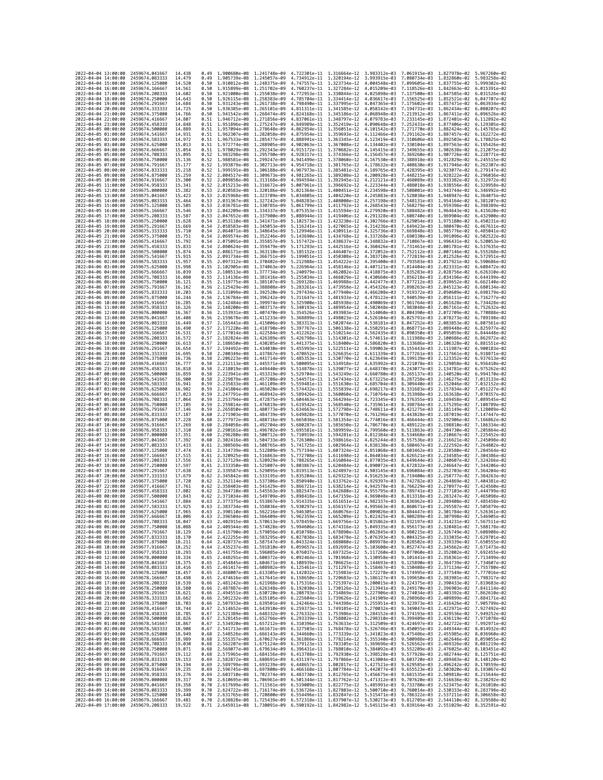|                                            | 2022-04-04 13:00:00 | 2459674.041667                   | 14.438           | 0.49         | 1,900680e-08 1,241748e-09                              |                              | 4.722301e-11 1.316664e-12                                                                                                                                                                                                                                                                                                                                                      |                              | 3.983312e-03                 | 7.061915e-03 1.827978e-02    |                                                        | 5.967260e-02                 |
|--------------------------------------------|---------------------|----------------------------------|------------------|--------------|--------------------------------------------------------|------------------------------|--------------------------------------------------------------------------------------------------------------------------------------------------------------------------------------------------------------------------------------------------------------------------------------------------------------------------------------------------------------------------------|------------------------------|------------------------------|------------------------------|--------------------------------------------------------|------------------------------|
| 2022-04-04 14:00:00                        |                     | 2459674.083333                   | 14.479           | 0.49         | 1.905739e-08 1.245057e-09                              |                              | 4.734912e-11 1.320194e-12                                                                                                                                                                                                                                                                                                                                                      |                              | 3.993915e-03                 | 7.080734e-03                 | 1.832860e-02                                           | 5.983258e-02                 |
| 2022-04-04 15:00:00                        |                     | 2459674.125000                   | 14.520           | 0.50         | 1.910812e-08                                           | 1.248375e-09                 | 4.747557e-11                                                                                                                                                                                                                                                                                                                                                                   | 1.323734e-12                 | 4.004548e-03                 | 7.099605e-03                 | 1.837755e-02                                           | 5.999302e-02                 |
| 2022-04-04 16:00:00<br>2022-04-04 17:00:00 |                     | 2459674.166667<br>2459674.208333 | 14.561<br>14.602 | 0.50<br>0.50 | 1.915899e-08 1.251702e-09<br>1.921000e-08 1.255038e-09 |                              | 4.760237e-11 1.327284e-12<br>4.772953e-11 1.330844e-12                                                                                                                                                                                                                                                                                                                         |                              | 4.015209e-03<br>4.025898e-03 | 7.118526e-03<br>7.137500e-03 | 1.842663e-02 6.015391e-02<br>1.847585e-02 6.031526e-02 |                              |
| 2022-04-04 18:00:00                        |                     | 2459674.250000                   | 14.643           | 0.50         | 1.926115e-08                                           | 1.258383e-09                 | 4,785704e-11                                                                                                                                                                                                                                                                                                                                                                   | 1.334414e-12                 | 4.036617e-03                 | 7.156525e-03                 | 1.852521e-02                                           | 6.047707e-02                 |
| 2022-04-04 19:00:00                        |                     | 2459674.291667                   | 14.684           | 0.50         | 1.931243e-08                                           | 1.261738e-09                 | 4.798490e-11                                                                                                                                                                                                                                                                                                                                                                   | 1.337995e-12                 | 4.047365e-03                 | 7.175602e-03                 | 1.857471e-02                                           | 6.063934e-02                 |
| 2022-04-04 20:00:00                        |                     | 2459674.333333                   | 14,725           | 0.50         | 1.936385e-08                                           | 1.265101e-09                 | 4.811311e-11                                                                                                                                                                                                                                                                                                                                                                   | 1.341585e-12                 | 4.058142e-03                 | 7.194731e-03                 | 1.862434e-02                                           | 6.080207e-02                 |
| 2022-04-04 21:00:00<br>2022-04-04 22:00:00 |                     | 2459674.375000<br>2459674.416667 | 14.766<br>14,807 | 0.50<br>0.51 | 1.941542e-08 1.268474e-09<br>1.946712e-08              | 1.271856e-09                 | 4.824168e-11<br>4.837061e-11                                                                                                                                                                                                                                                                                                                                                   | 1.345186e-12<br>1.348797e-12 | 4.068948e-03<br>4.079783e-03 | 7.213912e-03<br>7.233145e-03 | 1.867411e-02<br>1.872401e-02                           | 6.096526e-02<br>6.112892e-02 |
| 2022-04-04 23:00:00                        |                     | 2459674.458333                   | 14,848           | 0.51         | 1,951896e-08                                           | 1.275247e-09                 | 4.849989e-11                                                                                                                                                                                                                                                                                                                                                                   | 1.352419e-12                 | 4.090648e-03                 | 7.252431e-03                 | 1.877406e-02                                           | 6.129305e-02                 |
| 2022-04-05 00:00:00                        |                     | 2459674.500000                   | 14.889           | 0.51         | 1.957094e-08                                           | 1.278648e-09                 | 4.862954e-11                                                                                                                                                                                                                                                                                                                                                                   | 1.356051e-12                 | 4.101542e-03                 | 7.271770e-03                 | 1.882424e-02                                           | 6.145765e-02                 |
| 2022-04-05 01:00:00                        |                     | 2459674.541667                   | 14.931           | 0.51         | 1.962307e-08                                           | 1.282058e-09                 | 4.875954e-11                                                                                                                                                                                                                                                                                                                                                                   | 1.359693e-12                 | 4.112466e-03                 | 7.291162e-03                 | 1.887457e-02                                           | 6.162272e-02                 |
| 2022-04-05 02:00:00<br>2022-04-05 03:00:00 |                     | 2459674.583333<br>2459674.625000 | 14.972<br>15.013 | 0.51<br>0.51 | 1.967533e-08<br>1.972774e-08                           | 1.285477e-09<br>1.288905e-09 | 4.888991e-11<br>4.902063e-11                                                                                                                                                                                                                                                                                                                                                   | 1.363345e-12<br>1.367008e-12 | 4.123419e-03<br>4.134402e-03 | 7.310606e-03<br>7.330104e-03 | 1.892503e-02<br>1.897563e-02                           | 6.178825e-02<br>6.195426e-02 |
| 2022-04-05 04:00:00                        |                     | 2459674.666667                   | 15.054           | 0.51         | 1.978029e-08 1.292343e-09                              |                              | 4.915172e-11                                                                                                                                                                                                                                                                                                                                                                   | 1.370682e-12                 | 4.145415e-03                 | 7.349655e-03                 | 1.902638e-02                                           | 6.212075e-02                 |
| 2022-04-05 05:00:00                        |                     | 2459674.708333                   | 15.095           | 0.52         | 1.983298e-08                                           | 1.295790e-09                 | 4.928317e-11                                                                                                                                                                                                                                                                                                                                                                   | 1.374366e-12                 | 4.156457e-03                 | 7.369260e-03                 | 1.907726e-02                                           | 6.228771e-02                 |
| 2022-04-05 06:00:00                        |                     | 2459674.750000                   | 15.136           | 0.52         | 1.988581e-08                                           | 1.299247e-09                 | 4.941499e-11                                                                                                                                                                                                                                                                                                                                                                   | 1.378060e-12                 | 4.167530e-03                 | 7.388918e-03                 | 1.912829e-02                                           | 6.245515e-02                 |
| 2022-04-05 07:00:00<br>2022-04-05 08:00:00 |                     | 2459674.791667<br>2459674.833333 | 15.177<br>15.218 | 0.52<br>0.52 | 1.993879e-08 1.302713e-09<br>1.999191e-08 1.306188e-09 |                              | 4.954718e-11<br>4.967973e-11                                                                                                                                                                                                                                                                                                                                                   | 1.381765e-12<br>1.385481e-12 | 4.178632e-03<br>4.189765e-03 | 7.408630e-03<br>7.428395e-03 | 1.917946e-02<br>1.923077e-02                           | 6.262307e-02<br>6.279147e-02 |
| 2022-04-05 09:00:00                        |                     | 2459674.875000                   | 15.259           | 0.52         | 2.004517e-08                                           | 1.309673e-09                 | 4.981265e-11                                                                                                                                                                                                                                                                                                                                                                   | 1.389208e-12                 | 4.200928e-03                 | 7.448215e-03                 | 1.928222e-02                                           | 6.296036e-02                 |
| 2022-04-05 10:00:00                        |                     | 2459674.916667                   | 15.300           | 0.52         | 2.009858e-08                                           | 1.313168e-09                 | 4.994594e-11                                                                                                                                                                                                                                                                                                                                                                   | 1.392945e-12                 | 4.212121e-03                 | 7.468089e-03                 | 1.933382e-02                                           | 6.312972e-02                 |
| 2022-04-05 11:00:00                        |                     | 2459674.958333                   | 15.341           | 0.52         | 2.015213e-08 1.316672e-09                              |                              | 5.007961e-11                                                                                                                                                                                                                                                                                                                                                                   | 1.396692e-12                 | 4.223344e-03                 | 7.488018e-03                 | 1.938556e-02                                           | 6.329958e-02                 |
| 2022-04-05 12:00:00<br>2022-04-05 13:00:00 |                     | 2459675,000000                   | 15.382           | 0.53         | 2.020583e-08                                           | 1,320186e-09                 | 5.021364e-11                                                                                                                                                                                                                                                                                                                                                                   | 1.400451e-12                 | 4.234598e-03                 | 7.508001e-03                 | 1.943744e-02                                           | 6.346992e-02<br>6.364075e-02 |
| 2022-04-05 14:00:00                        |                     | 2459675.041667<br>2459675.083333 | 15.423<br>15.464 | 0.53<br>0.53 | 2.025968e-08<br>2.031367e-08 1.327242e-09              | 1.323709e-09                 | 5.034805e-11<br>5.048283e-11                                                                                                                                                                                                                                                                                                                                                   | 1.404220e-12<br>1.408000e-12 | 4.245883e-03<br>4.257198e-03 | 7.528038e-03<br>7.548131e-03 | 1.948947e-02<br>1.954164e-02                           | 6.381207e-02                 |
| 2022-04-05 15:00:00                        |                     | 2459675.125000                   | 15.505           | 0.53         | 2.036781e-08                                           | 1.330785e-09                 | 5.061799e-11                                                                                                                                                                                                                                                                                                                                                                   | 1.411792e-12                 | 4.268543e-03                 | 7.568279e-03                 | 1.959396e-02                                           | 6.398389e-02                 |
| 2022-04-05 16:00:00                        |                     | 2459675.166667                   | 15.546           | 0.53         | 2.042209e-08                                           | 1.334337e-09                 | 5.075353e-11                                                                                                                                                                                                                                                                                                                                                                   | 1.415594e-12                 | 4.279920e-03                 | 7.588482e-03                 | 1.964643e-02                                           | 6.415620e-02                 |
| 2022-04-05 17:00:00<br>2022-04-05 18:00:00 |                     | 2459675.208333<br>2459675.250000 | 15.587<br>15.628 | 0.53<br>0.54 | 2.047652e-08                                           | 1.337900e-09<br>1.341471e-09 | 5.088944e-11<br>5.102573e-11                                                                                                                                                                                                                                                                                                                                                   | 1.419406e-12<br>1.423230e-12 | 4.291328e-03<br>4.302766e-03 | 7.608740e-03<br>7.629054e-03 | 1,969904e-02<br>1.975180e-02                           | 6.432900e-02<br>6.450231e-02 |
| 2022-04-05 19:00:00                        |                     | 2459675.291667                   | 15,669           | 0.54         | 2.053110e-08<br>2.058583e-08                           | 1.345053e-09                 | 5.116241e-11                                                                                                                                                                                                                                                                                                                                                                   | 1.427065e-12                 | 4.314236e-03                 | 7.649423e-03                 | 1.980470e-02                                           | 6.467611e-02                 |
| 2022-04-05 20:00:00                        |                     | 2459675.333333                   | 15.710           | 0.54         | 2.064071e-08                                           | 1.348645e-09                 | 5.129946e-11                                                                                                                                                                                                                                                                                                                                                                   | 1.430911e-12                 | 4.325736e-03                 | 7.669848e-03                 | 1.985776e-02                                           | 6.485041e-02                 |
| 2022-04-05 21:00:00                        |                     | 2459675.375000                   | 15.751           | 0.54         | 2.069574e-08 1.352246e-09                              |                              | 5.143690e-11 1.434768e-12                                                                                                                                                                                                                                                                                                                                                      |                              | 4.337268e-03                 | 7.690330e-03                 | 1.991096e-02                                           | 6.502522e-02                 |
| 2022-04-05 22:00:00<br>2022-04-05 23:00:00 |                     | 2459675.416667<br>2459675.458333 | 15.792<br>15.833 | 0.54<br>0.54 | 2.075091e-08 1.355857e-09<br>2.080624e-08              | 1.359479e-09                 | 5.157472e-11 1.438637e-12<br>5.171293e-11                                                                                                                                                                                                                                                                                                                                      | 1.442516e-12                 | 4.348832e-03<br>4.360426e-03 | 7.710867e-03<br>7.731461e-03 | 1.996431e-02<br>2.001781e-02                           | 6.520053e-02<br>6.537635e-02 |
| 2022-04-06 00:00:00                        |                     | 2459675.500000                   | 15.874           | 0.54         | 2.086171e-08                                           | 1.363110e-09                 | 5.185152e-11                                                                                                                                                                                                                                                                                                                                                                   | 1.446407e-12                 | 4.372052e-03                 | 7.752112e-03                 | 2.007146e-02                                           | 6.555268e-02                 |
| 2022-04-06 01:00:00                        |                     | 2459675.541667                   | 15.915           | 0.55         | 2.091734e-08                                           | 1.366751e-09                 | 5.199051e-11                                                                                                                                                                                                                                                                                                                                                                   | 1.450308e-12                 | 4.383710e-03                 | 7.772819e-03                 | 2.012526e-02                                           | 6.572951e-02                 |
| 2022-04-06 02:00:00                        |                     | 2459675.583333                   | 15.957           | 0.55         | 2.097312e-08                                           | 1.370402e-09                 | 5.212988e-11                                                                                                                                                                                                                                                                                                                                                                   | 1.454222e-12                 | 4.395400e-03                 | 7.793583e-03                 | 2.017921e-02                                           | 6.590686e-02                 |
| 2022-04-06 03:00:00                        |                     | 2459675.625000                   | 15,998           | 0.55         | 2.102905e-08                                           | 1.374063e-09                 | 5.226964e-11                                                                                                                                                                                                                                                                                                                                                                   | 1.458146e-12                 | 4.407121e-03                 | 7.814404e-03                 | 2.023331e-02                                           | 6.608472e-02                 |
| 2022-04-06 04:00:00<br>2022-04-06 05:00:00 |                     | 2459675.666667<br>2459675.708333 | 16.039<br>16.080 | 0.55<br>0.55 | 2.108513e-08<br>2.114136e-08                           | 1.377734e-09<br>1.381416e-09 | 5.240979e-11<br>5.255034e-11                                                                                                                                                                                                                                                                                                                                                   | 1.462082e-12<br>1.466029e-12 | 4.418875e-03<br>4.430660e-03 | 7.835283e-03<br>7.856218e-03 | 2.028756e-02<br>2.034196e-02                           | 6.626310e-02<br>6.644199e-02 |
| 2022-04-06 06:00:00                        |                     | 2459675.750000                   | 16.121           | 0.55         | 2.119775e-08                                           | 1.385107e-09                 | 5.269128e-11                                                                                                                                                                                                                                                                                                                                                                   | 1,469988e-12                 | 4.442477e-03                 | 7.877212e-03                 | 2.039652e-02                                           | 6.662140e-02                 |
| 2022-04-06 07:00:00                        |                     | 2459675.791667                   | 16.162           | 0.56         | 2.125429e-08                                           | 1.388808e-09                 | 5.283261e-11                                                                                                                                                                                                                                                                                                                                                                   | 1.473958e-12                 | 4.454326e-03                 | 7.898263e-03                 | 2.045123e-02                                           | 6.680134e-02                 |
| 2022-04-06 08:00:00                        |                     | 2459675.833333                   | 16.203           | 0.56         | 2.131099e-08 1.392520e-09                              |                              | 5.297434e-11                                                                                                                                                                                                                                                                                                                                                                   | 1.477940e-12                 | 4.466208e-03                 | 7.919372e-03                 | 2.050609e-02                                           | 6.698179e-02                 |
| 2022-04-06 09:00:00<br>2022-04-06 10:00:00 |                     | 2459675.875000<br>2459675.916667 | 16.244<br>16.285 | 0.56<br>0.56 | 2.136784e-08 1.396242e-09<br>2.142484e-08              | 1.399974e-09                 | 5.311647e-11<br>5.325900e-11                                                                                                                                                                                                                                                                                                                                                   | 1.481933e-12<br>1.485938e-12 | 4.478122e-03<br>4.490069e-03 | 7.940539e-03<br>7.961764e-03 | 2.056111e-02<br>2.061628e-02                           | 6.716277e-02<br>6.734428e-02 |
| 2022-04-06 11:00:00                        |                     | 2459675.958333                   | 16.326           | 0.56         | 2.148200e-08                                           | 1.403717e-09                 | 5.340193e-11                                                                                                                                                                                                                                                                                                                                                                   | 1.489954e-12                 | 4.502048e-03                 | 7.983048e-03                 | 2.067161e-02                                           | 6.752632e-02                 |
| 2022-04-06 12:00:00                        |                     | 2459676.000000                   | 16.367           | 0.56         | 2.153931e-08                                           | 1.407470e-09                 | 5.354526e-11                                                                                                                                                                                                                                                                                                                                                                   | 1.493983e-12                 | 4.514060e-03                 | 8.004390e-03                 | 2.072709e-02                                           | 6.770888e-02                 |
| 2022-04-06 13:00:00                        |                     | 2459676.041667                   | 16.408           | 0.56         | 2.159678e-08                                           | 1.411233e-09                 | 5.368899e-11                                                                                                                                                                                                                                                                                                                                                                   | 1.498023e-12                 | 4.526104e-03                 | 8.025791e-03                 | 2.078273e-02                                           | 6.789198e-02<br>6.807561e-02 |
| 2022-04-06 14:00:00<br>2022-04-06 15:00:00 |                     | 2459676.083333<br>2459676.125000 | 16.449<br>16.490 | 0.57<br>0.57 | 2.165441e-08<br>2.171220e-08                           | 1.415006e-09<br>1.418790e-09 | 5.383313e-11<br>5.397767e-11                                                                                                                                                                                                                                                                                                                                                   | 1.502074e-12<br>1.506138e-12 | 4.538181e-03<br>4.550291e-03 | 8.047252e-03<br>8.068771e-03 | 2.083853e-02<br>2.089448e-02                           | 6.825977e-02                 |
| 2022-04-06 16:00:00                        |                     | 2459676.166667                   | 16.531           | 0.57         | 2.177014e-08                                           | 1.422584e-09                 | 5.412262e-11                                                                                                                                                                                                                                                                                                                                                                   | 1.510214e-12                 | 4.562435e-03                 | 8.090350e-03                 | 2.095059e-02                                           | 6.844448e-02                 |
| 2022-04-06 17:00:00                        |                     | 2459676.208333                   | 16.572           | 0.57         | 2.182824e-08                                           | 1.426389e-09                 | 5.426798e-11                                                                                                                                                                                                                                                                                                                                                                   | 1.514301e-12                 | 4.574611e-03                 | 8.111988e-03                 | 2.100686e-02                                           | 6.862972e-02                 |
| 2022-04-06 18:00:00<br>2022-04-06 19:00:00 |                     | 2459676.250000<br>2459676.291667 | 16.613<br>16.654 | 0.57<br>0.57 | 2.188650e-08<br>2.194492e-08 1.434030e-09              | 1.430205e-09                 | 5.441375e-11<br>5.455993e-11 1.522511e-12                                                                                                                                                                                                                                                                                                                                      | 1.518400e-12                 | 4.586820e-03<br>4.599063e-03 | 8.133686e-03<br>8.155443e-03 | 2.106328e-02<br>2.111987e-02                           | 6.881551e-02<br>6.900183e-02 |
| 2022-04-06 20:00:00                        |                     | 2459676.333333                   | 16.695           | 0.58         | 2.200349e-08 1.437867e-09                              |                              | 5.470652e-11 1.526635e-12                                                                                                                                                                                                                                                                                                                                                      |                              | 4.611339e-03                 | 8.177261e-03                 | 2.117661e-02                                           | 6.918871e-02                 |
| 2022-04-06 21:00:00                        |                     | 2459676.375000                   | 16.736           | 0.58         | 2.206223e-08                                           | 1.441714e-09                 | 5.485353e-11                                                                                                                                                                                                                                                                                                                                                                   | 1.530770e-12                 | 4.623649e-03                 | 8.199139e-03                 | 2.123352e-02                                           | 6.937613e-02                 |
| 2022-04-06 22:00:00                        |                     | 2459676.416667                   | 16.777           | 0.58         | 2.212113e-08                                           | 1.445571e-09                 | 5.500095e-11                                                                                                                                                                                                                                                                                                                                                                   | 1.534918e-12                 | 4.635992e-03                 | 8.221078e-03                 | 2.129058e-02                                           | 6.956410e-02                 |
| 2022-04-06 23:00:00                        |                     | 2459676.458333                   | 16.818           | 0.58         | 2.218019e-08                                           | 1.449440e-09                 | 5.514878e-11                                                                                                                                                                                                                                                                                                                                                                   | 1.539077e-12                 | 4.648370e-03                 | 8.243077e-03                 | 2.134781e-02                                           | 6.975262e-02                 |
| 2022-04-07 00:00:00<br>2022-04-07 01:00:00 |                     | 2459676.500000<br>2459676.541667 | 16.859<br>16,900 | 0.58<br>0.58 | 2.223941e-08<br>2.229879e-08                           | 1.453319e-09<br>1.457208e-09 | 5.529704e-11<br>5.544571e-11                                                                                                                                                                                                                                                                                                                                                   | 1.543249e-12<br>1.547434e-12 | 4.660780e-03<br>4.673225e-03 | 8.265137e-03<br>8.287258e-03 | 2.140520e-02<br>2.146275e-02                           | 6.994170e-02<br>7.013133e-02 |
| 2022-04-07 02:00:00                        |                     | 2459676.583333                   | 16.941           | 0.59         | 2.235833e-08                                           | 1.461109e-09                 | 5.559481e-11 1.551630e-12                                                                                                                                                                                                                                                                                                                                                      |                              | 4.685704e-03                 | 8.309440e-03                 | 2.152046e-02                                           | 7.032152e-02                 |
| 2022-04-07 03:00:00                        |                     | 2459676.625000                   | 16.982           | 0.59         | 2.241804e-08                                           | 1.465020e-09                 | 5.574432e-11                                                                                                                                                                                                                                                                                                                                                                   | 1.555839e-12                 | 4.698217e-03                 | 8.331683e-03                 | 2.157834e-02                                           | 7.051227e-02                 |
| 2022-04-07 04:00:00                        |                     | 2459676,666667                   | 17.023           | 0.59<br>0.59 | 2.247791e-08                                           | 1.468942e-09                 | 5.589426e-11                                                                                                                                                                                                                                                                                                                                                                   | 1.560060e-12                 | 4.710764e-03                 | 8.353988e-03                 | 2.163638e-02                                           | 7.070357e-02                 |
| 2022-04-07 05:00:00<br>2022-04-07 06:00:00 |                     | 2459676.708333<br>2459676.750000 | 17.064<br>17.105 | 0.59         | 2.253794e-08<br>2.259814e-08                           | 1.472875e-09<br>1.476819e-09 | 5.604463e-11<br>5.619542e-11 1.568540e-12                                                                                                                                                                                                                                                                                                                                      | 1.564294e-12                 | 4.723345e-03<br>4.735961e-03 | 8.376355e-03<br>8.398784e-03 | 2.169458e-02<br>2.175295e-02                           | 7.089545e-02<br>7.108789e-02 |
| 2022-04-07 07:00:00                        |                     | 2459676.791667                   | 17.146           | 0.59         | 2.265850e-08                                           | 1.480773e-09                 | 5.634663e-11                                                                                                                                                                                                                                                                                                                                                                   | 1.572798e-12                 | 4.748611e-03                 | 8.421275e-03                 | 2.181149e-02                                           | 7.128089e-02                 |
| 2022-04-07 08:00:00                        |                     | 2459676.833333                   | 17.187           | 0.60         | 2.271903e-08                                           | 1.484739e-09                 | 5.649828e-11                                                                                                                                                                                                                                                                                                                                                                   | 1.577070e-12                 | 4.761296e-03                 | 8.443828e-03                 | 2.187019e-02                                           | 7.147447e-02                 |
| 2022-04-07 09:00:00                        |                     | 2459676.875000                   | 17,228           | 0.60         | 2.277972e-08                                           | 1.488716e-09                 | 5.665036e-11                                                                                                                                                                                                                                                                                                                                                                   | 1.581354e-12                 | 4.774016e-03                 | 8.466444e-03                 | 2.192906e-02                                           | 7.166862e-02                 |
| 2022-04-07 10:00:00<br>2022-04-07 11:00:00 |                     | 2459676.916667<br>2459676.958333 | 17.269<br>17.310 | 0.60<br>0.60 | 2.284058e-08<br>2.290161e-08                           | 1.492704e-09<br>1.496702e-09 | 5.680287e-11<br>5.695581e-11                                                                                                                                                                                                                                                                                                                                                   | 1.585650e-12<br>1.589959e-12 | 4.786770e-03<br>4.799560e-03 | 8.489122e-03<br>8.511863e-03 | 2.198810e-02<br>2.204730e-02                           | 7.186334e-02<br>7.205864e-02 |
| 2022-04-07 12:00:00                        |                     | 2459677.000000                   | 17.351           | 0.60         | 2.296280e-08                                           | 1.500712e-09                 | 5.710919e-11                                                                                                                                                                                                                                                                                                                                                                   | 1.594281e-12                 | 4.812384e-03                 | 8.534668e-03                 | 2.210667e-02                                           | 7.225452e-02                 |
| 2022-04-07 13:00:00                        |                     |                                  | 17.392           |              |                                                        |                              |                                                                                                                                                                                                                                                                                                                                                                                |                              |                              |                              |                                                        | 7.245098e-02                 |
| 2022-04-07 14:00:00                        |                     | 2459677.041667                   |                  | 0.60         | 2.302416e-08                                           | 1.504733e-09                 | 5.726300e-11                                                                                                                                                                                                                                                                                                                                                                   | 1.598616e-12                 | 4.825244e-03                 | 8.557536e-03                 | 2.216621e-02                                           |                              |
|                                            |                     | 2459677.083333                   | 17.433           | 0.61         | 2.308569e-08                                           | 1.508765e-09                 | 5.741725e-11                                                                                                                                                                                                                                                                                                                                                                   | 1.602964e-12                 | 4.838138e-03                 | 8.580467e-03                 | 2.222592e-02                                           | 7.264802e-02                 |
|                                            | 2022-04-07 15:00:00 | 2459677.125000                   | 17.474           | 0.61         | 2.314739e-08                                           | 1.512809e-09                 | 5.757194e-11                                                                                                                                                                                                                                                                                                                                                                   | 1.607324e-12                 | 4.851068e-03                 | 8.603462e-03                 | 2.228580e-02                                           | 7.284564e-02                 |
| 2022-04-07 16:00:00                        |                     | 2459677.166667                   | 17.515           | 0.61         | 2.320925e-08                                           | 1.516863e-09                 | 5.772708e-11                                                                                                                                                                                                                                                                                                                                                                   | 1.611698e-12                 | 4.864034e-03                 | 8.626521e-03                 | 2.234585e-02                                           | 7.304386e-02                 |
| 2022-04-07 17:00:00<br>2022-04-07 18:00:00 |                     | 2459677.208333<br>2459677.250000 | 17.556<br>17.597 | 0.61<br>0.61 | 2.327129e-08 1.520929e-09<br>2.333350e-08              | 1.525007e-09                 | 5.788265e-11 1.616084e-12<br>5.803867e-11                                                                                                                                                                                                                                                                                                                                      | 1.620484e-12                 | 4.877035e-03<br>4.890072e-03 | 8.649644e-03<br>8.672832e-03 | 2.240607e-02<br>2.246647e-02                           | 7.324266e-02<br>7.344206e-02 |
| 2022-04-07 19:00:00                        |                     | 2459677.291667                   | 17.638           | 0.62         | 2.339587e-08                                           | 1.529095e-09                 | 5.819513e-11                                                                                                                                                                                                                                                                                                                                                                   | 1.624897e-12                 | 4.903145e-03                 | 8.696084e-03                 | 2.252703e-02                                           | 7.364204e-02                 |
| 2022-04-07 20:00:00                        |                     | 2459677.333333                   | 17,679           | 0.62         | 2.345842e-08                                           | 1.533195e-09                 | 5.835204e-11                                                                                                                                                                                                                                                                                                                                                                   | 1.629323e-12                 | 4.916253e-03                 | 8.719400e-03                 | 2.258777e-02                                           | 7.384263e-02                 |
| 2022-04-07 21:00:00<br>2022-04-07 22:00:00 |                     | 2459677.375000<br>2459677.416667 | 17,720<br>17.761 | 0.62<br>0.62 | 2.352114e-08<br>2.358403e-08                           | 1.537306e-09<br>1.541429e-09 | 5.850940e-11<br>5.866721e-11                                                                                                                                                                                                                                                                                                                                                   | 1.633762e-12<br>1.638214e-12 | 4.929397e-03                 | 8.742782e-03<br>8.766229e-03 | 2.264869e-02<br>2.270977e-02                           | 7.404381e-02<br>7.424560e-02 |
| 2022-04-07 23:00:00                        |                     | 2459677.458333                   | 17,802           | 0.62         | 2.364710e-08                                           | 1.545563e-09                 | 5.882547e-11                                                                                                                                                                                                                                                                                                                                                                   | 1.642680e-12                 | 4.942578e-03<br>4.955795e-03 | 8.789741e-03                 | 2.277103e-02                                           | 7.444799e-02                 |
| 2022-04-08 00:00:00                        |                     | 2459677.500000                   | 17,843           | 0.62         | 2.371034e-08 1.549709e-09                              |                              | 5.898418e-11 1.647159e-12                                                                                                                                                                                                                                                                                                                                                      |                              | 4.969048e-03                 | 8.813318e-03                 | 2.283247e-02                                           | 7.465098e-02                 |
| 2022-04-08 01:00:00<br>2022-04-08 02:00:00 |                     | 2459677.541667<br>2459677.583333 | 17,884<br>17.925 | 0.63<br>0.63 | 2.377375e-08 1.553867e-09                              |                              | 5.914335e-11 1.651651e-12<br>5.930297e-11 1.656157e-12 4.995663e-03 8.860671e-03                                                                                                                                                                                                                                                                                               |                              |                              | 4.982337e-03 8.836962e-03    | 2.289408e-02<br>2.295587e-02 7.505879e-02              | 7.485458e-02                 |
| 2022-                                      | -04-08 03:00:00     | 2459677.625000                   | 17.965           | 0.63         | 2.383734e-08 1.558036e-09<br>2.390110e-08              | 1.562216e-09                 | 5.946305e-11                                                                                                                                                                                                                                                                                                                                                                   | 1.660676e-12                 | 5.009026e-03                 | 8.884447e-03                 | 2.301784e-02                                           |                              |
| 2022-04-08 04:00:00                        |                     | 2459677.666667                   | 18.006           | 0.63         |                                                        |                              | 2.396504e-08 1.566409e-09 5.962359e-11 1.665209e-12 5.022425e-03 8.908289e-03 2.307998e-02 7.546905e-02                                                                                                                                                                                                                                                                        |                              |                              |                              |                                                        |                              |
| 2022-04-08 05:00:00                        |                     | 2459677.708333                   | 18.047           | 0.63         |                                                        |                              | 2.402915e-08 1.570613e-09 5.978459e-11 1.669756e-12 5.035862e-03 8.932197e-03 2.314231e-02 7.567511e-02                                                                                                                                                                                                                                                                        |                              |                              |                              |                                                        |                              |
| 2022-04-08 06:00:00<br>2022-04-08 07:00:00 |                     | 2459677.750000<br>2459677.791667 | 18.088<br>18.129 | 0.64<br>0.64 |                                                        |                              | 2.409344e-08 1.574828e-09 5.994606e-11 1.674316e-12 5.049335e-03 8.956173e-03 2.320481e-02                                                                                                                                                                                                                                                                                     |                              |                              |                              |                                                        | 7.588178e-02                 |
| 2022-04-08 08:00:00                        |                     | 2459677.833333                   | 18.170           | 0.64         |                                                        |                              | 2.415790e-08 1.579056e-09 6.010798e-11 1.678890e-12 5.062845e-03 8.980215e-03 2.326749e-02 7.608908e-02<br>2.422255e-08 1.583295e-09 6.027038e-11 1.683478e-12 5.076393e-03 9.004325e-03 2.333035e-02 7.629701e-02                                                                                                                                                             |                              |                              |                              |                                                        |                              |
| 2022-04-08 09:00:00                        |                     | 2459677.875000                   | 18.211           | 0.64         |                                                        |                              | 2.428737e-08 1.587547e-09 6.043324e-11 1.688080e-12 5.089978e-03 9.028502e-03                                                                                                                                                                                                                                                                                                  |                              |                              |                              | 2.339339e-02                                           | 7.650555e-02                 |
| 2022-04-08 10:00:00<br>2022-04-08 11:00:00 |                     | 2459677.916667<br>2459677.958333 | 18.252<br>18.293 | 0.64<br>0.65 |                                                        |                              | 2.435237e-08 1.591810e-09 6.059657e-11 1.692695e-12 5.103600e-03 9.052747e-03                                                                                                                                                                                                                                                                                                  |                              |                              |                              | 2.345662e-02                                           | 7.671473e-02                 |
| 2022-04-08 12:00:00                        |                     | 2459678.000000                   | 18.334           |              |                                                        |                              | 2.441755e-08 1.596085e-09 6.076037e-11 1.697325e-12 5.117260e-03 9.077060e-03 2.352002e-02 7.692455e-02<br>0.65 2.448291e-08 1.600372e-09 6.092464e-11 1.701968e-12 5.130958e-03 9.101441e-03 2.358361e-02 7.713499e-02                                                                                                                                                        |                              |                              |                              |                                                        |                              |
| 2022-04-08 13:00:00                        |                     | 2459678.041667                   | 18.375           | 0.65         |                                                        |                              | 2.454845e-08 1.604671e-09 6.108939e-11 1.706625e-12 5.144693e-03 9.125890e-03                                                                                                                                                                                                                                                                                                  |                              |                              |                              | 2.364739e-02 7.734607e-02                              |                              |
| 2022-04-08 14:00:00                        |                     | 2459678.083333                   | 18.416           | 0.65         |                                                        |                              | 2.461417e-08 1.608982e-09 6.125461e-11 1.711297e-12 5.158467e-03 9.150408e-03 2.371134e-02                                                                                                                                                                                                                                                                                     |                              |                              |                              |                                                        | 7.755780e-02                 |
| 2022-04-08 15:00:00                        |                     | 2459678.125000                   | 18.457<br>18.498 |              |                                                        |                              | 0.65 2.468007e-08 1.613305e-09 6.142032e-11 1.715983e-12 5.172278e-03 9.174995e-03 2.377549e-02 7.777016e-02                                                                                                                                                                                                                                                                   |                              |                              |                              |                                                        |                              |
| 2022-04-08 16:00:00<br>2022-04-08 17:00:00 |                     | 2459678.166667<br>2459678.208333 | 18.539           | 0.66         |                                                        |                              | 0.65 2.474616e-08 1.617641e-09 6.158650e-11 1.720683e-12 5.186127e-03 9.199650e-03 2.383981e-02 7.798317e-02<br>2.481242e-08 1.621988e-09 6.175316e-11 1.725397e-12 5.200015e-03 9.224375e-03 2.390433e-02                                                                                                                                                                     |                              |                              |                              |                                                        | 7.819683e-02                 |
| 2022-04-08 18:00:00                        |                     | 2459678.250000                   | 18.580           |              |                                                        |                              | 0.66 2.487887e-08 1.626348e-09 6.192030e-11 1.730126e-12 5.213941e-03 9.249170e-03 2.396903e-02 7.841114e-02                                                                                                                                                                                                                                                                   |                              |                              |                              |                                                        |                              |
| 2022-04-08 19:00:00                        |                     | 2459678.291667                   | 18.621           |              |                                                        |                              | 0.66 2.494551e-08 1.630720e-09 6.208793e-11 1.734869e-12 5.227906e-03 9.274034e-03 2.403392e-02 7.862610e-02                                                                                                                                                                                                                                                                   |                              |                              |                              |                                                        |                              |
| 2022-04-08 20:00:00<br>2022-04-08 21:00:00 |                     | 2459678.333333<br>2459678.375000 | 18.662<br>18.703 |              |                                                        |                              |                                                                                                                                                                                                                                                                                                                                                                                |                              |                              |                              |                                                        |                              |
| 2022-04-08 22:00:00                        |                     | 2459678.416667                   | 18.744           |              |                                                        |                              | $\begin{array}{cccccccc} 0.66 & 2.501232e-08 & 1.635105e-09 & 6.225604e-11 & 1.739626e-12 & 5.241909e-03 & 9.298968e-03 & 2.409899e-02 & 7.884171e-02 \\ 0.66 & 2.507933e-08 & 1.639501e-09 & 6.242464e-11 & 1.744398e-12 & 5.255951e-03 & 9.323973e-03 & 2.4$<br>0.67 2.514652e-08 1.643910e-09 6.259373e-11 1.749185e-12 5.270032e-03 9.349047e-03 2.422971e-02 7.927492e-02 |                              |                              |                              |                                                        |                              |
| 2022-04-08 23:00:00                        |                     | 2459678.458333                   | 18.785           |              |                                                        |                              | 0.67 2.521389e-08 1.648332e-09 6.276332e-11 1.753986e-12 5.284152e-03 9.374193e-03 2.429536e-02 7.949252e-02                                                                                                                                                                                                                                                                   |                              |                              |                              |                                                        |                              |
| 2022-04-09 00:00:00                        |                     | 2459678.500000                   | 18.826           | 0.67         |                                                        |                              |                                                                                                                                                                                                                                                                                                                                                                                |                              |                              |                              | 2.436119e-02 7.971078e-02                              |                              |
| 2022-04-09 01:00:00<br>2022-04-09 02:00:00 |                     | 2459678.541667<br>2459678.583333 | 18.867<br>18.908 | 0.67         |                                                        |                              | $\begin{array}{cccccc} 2.528145e-08 & 1.652766e-09 & 6.293339e-11 & 1.758802e-12 & 5.298310e-03 & 9.399409e-03 \\ 2.534920e-08 & 1.657212e-09 & 6.310396e-11 & 1.763633e-12 & 5.312509e-03 & 9.424697e-03 \end{array}$<br>0.67 2.541713e-08 1.661671e-09 6.327503e-11 1.768478e-12 5.326746e-03 9.450055e-03 2.449344e-02 8.014932e-02                                         |                              |                              |                              | 2.442722e-02                                           | 7.992971e-02                 |
| 2022-04-09 03:00:00                        |                     | 2459678.625000                   | 18.949           |              |                                                        |                              | 0.68 2.548526e-08 1.666143e-09 6.344660e-11 1.773339e-12 5.341023e-03 9.475486e-03 2.455985e-02 8.036960e-02                                                                                                                                                                                                                                                                   |                              |                              |                              |                                                        |                              |
| 2022-04-09 04:00:00                        |                     | 2459678.666667                   | 18.989           |              |                                                        |                              | 0.68 2.555357e-08 1.670627e-09 6.361866e-11 1.778214e-12 5.355340e-03 9.500988e-03 2.462646e-02 8.059055e-02                                                                                                                                                                                                                                                                   |                              |                              |                              |                                                        |                              |
| 2022-04-09 05:00:00                        |                     | 2459678.708333                   | 19.030           |              |                                                        |                              |                                                                                                                                                                                                                                                                                                                                                                                |                              |                              |                              |                                                        |                              |
| 2022-04-09 06:00:00<br>2022-04-09 07:00:00 |                     | 2459678.750000<br>2459678.791667 | 19.071<br>19.112 |              |                                                        |                              | $\begin{array}{cccccccc} 0.68 & 2.56207e-08 & 1.675124e-09 & 6.379123e-11 & 1.783105e-12 & 5.369696e-03 & 9.526562e-03 & 2.469326e-02 & 8.081219e-02 \\ 0.68 & 2.569077e-08 & 1.679634e-09 & 6.396431e-11 & 1.788010e-12 & 5.364092e-03 & 9.552209e-03 & 2.47$                                                                                                                 |                              |                              |                              | 2.482744e-02 8.125751e-02                              |                              |
| 2022-04-09 08:00:00                        |                     | 2459678.833333                   | 19.153           |              |                                                        |                              | $\begin{array}{cccccccc} 0.68 & 2.575965e-08 & 1.684156e-09 & 6.413788e-11 & 1.792930e-12 & 5.398528e-03 & 9.577928e-03 \\ 0.69 & 2.582872e-08 & 1.688691e-09 & 6.431197e-11 & 1.797866e-12 & 5.413004e-03 & 9.603720e-03 \end{array}$                                                                                                                                         |                              |                              |                              | 2.489483e-02 8.148120e-02                              |                              |
| 2022-04-09 09:00:00                        |                     | 2459678.875000                   | 19.194           |              |                                                        |                              | 0.69 2.589799e-08 1.693239e-09 6.448657e-11 1.802817e-12 5.427521e-03 9.629585e-03 2.496242e-02 8.170559e-02                                                                                                                                                                                                                                                                   |                              |                              |                              |                                                        |                              |
| 2022-04-09 10:00:00                        |                     | 2459678.916667                   | 19.235           |              |                                                        |                              | 0.69 2.596745e-08 1.697800e-09 6.466168e-11 1.807784e-12 5.442077e-03 9.655523e-03 2.503020e-02 8.193067e-02                                                                                                                                                                                                                                                                   |                              |                              |                              |                                                        |                              |
| 2022-04-09 11:00:00<br>2022-04-09 12:00:00 |                     | 2459678.958333<br>2459679.000000 | 19.276<br>19.317 |              |                                                        |                              | 0.69 2.603710e-08 1.702374e-09 6.483730e-11 1.812765e-12 5.456675e-03 9.681535e-03<br>0.70 2.610695e-08 1.706961e-09 6.501344e-11 1.817762e-12 5.471312e-03 9.707620e-03 2.516636e-02 8.238292e-02                                                                                                                                                                             |                              |                              |                              | 2.509818e-02 8.215644e-02                              |                              |
| 2022-04-09 13:00:00                        |                     | 2459679.041667                   | 19.358           |              |                                                        |                              | 0.70 2.617699e-08 1.711561e-09 6.519009e-11 1.822775e-12 5.485991e-03 9.733780e-03 2.523475e-02 8.261010e-02                                                                                                                                                                                                                                                                   |                              |                              |                              |                                                        |                              |
| 2022-04-09 14:00:00                        |                     | 2459679.083333                   | 19.399           |              |                                                        |                              | 0.70 2.624722e-08 1.716174e-09 6.536726e-11 1.827803e-12 5.500710e-03 9.760014e-03 2.530333e-02 8.283798e-02                                                                                                                                                                                                                                                                   |                              |                              |                              |                                                        |                              |
| 2022-04-09 15:00:00<br>2022-04-09 16:00:00 |                     | 2459679.125000<br>2459679.166667 | 19.440<br>19.481 |              |                                                        |                              | 0.70 2.631765e-08 1.720800e-09 6.554496e-11 1.832847e-12 5.515471e-03 9.786322e-03<br>0.70 2.638828e-08 1.725439e-09 6.572318e-11 1.837907e-12 5.530273e-03 9.812705e-03 2.544110e-02 8.329588e-02                                                                                                                                                                             |                              |                              |                              | 2.537211e-02                                           | 8.306658e-02                 |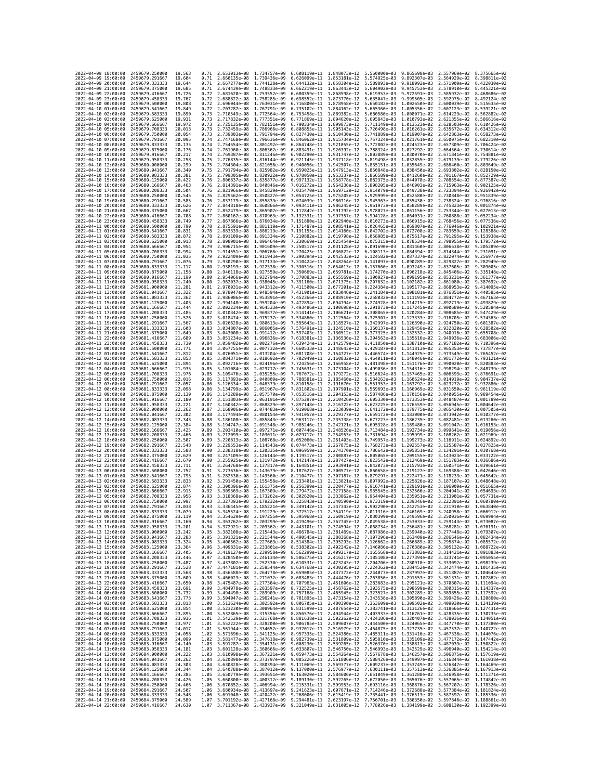| 2022-04-09 18:00:00<br>2022-04-09 19:00:00 |                     | 2459679.250000<br>2459679.291667 | 19.563<br>19.604 | 0.71<br>0.71 | 2.653013e-08 1.734757e-09<br>2.660135e-08 1.739436e-09 |                                           | 6.608119e-11<br>6.626099e-11 1.853181e-12              | 1.848073e-12                 | 5.560000e-03<br>5.574925e-03                                                                                 | 9.865698e-03<br>9.892307e-03                                                                                                                                                                                                                                                                                                                                                              | 2.557969e-02<br>2.564929e-02                           | 8.375665e-02<br>8.398811e-02 |
|--------------------------------------------|---------------------|----------------------------------|------------------|--------------|--------------------------------------------------------|-------------------------------------------|--------------------------------------------------------|------------------------------|--------------------------------------------------------------------------------------------------------------|-------------------------------------------------------------------------------------------------------------------------------------------------------------------------------------------------------------------------------------------------------------------------------------------------------------------------------------------------------------------------------------------|--------------------------------------------------------|------------------------------|
| 2022-04-09 20:00:00                        |                     | 2459679.333333                   | 19.644           | 0.71         | 2.667277e-08 1.744128e-09                              |                                           | 6.644132e-11                                           | 1.858304e-12                 | 5.589893e-03                                                                                                 | 9.918992e-03                                                                                                                                                                                                                                                                                                                                                                              | 2.571909e-02                                           | 8.422030e-02                 |
| 2022-04-09 21:00:00<br>2022-04-09 22:00:00 |                     | 2459679.375000<br>2459679.416667 | 19.685<br>19.726 | 0.71<br>0.72 | 2.674439e-08 1.748833e-09<br>2.681620e-08 1.753552e-09 |                                           | 6.662219e-11 1.863443e-12<br>6.680359e-11 1.868598e-12 |                              | 5.604902e-03<br>5.619953e-03                                                                                 | 9.945753e-03<br>9.972591e-03                                                                                                                                                                                                                                                                                                                                                              | 2.578910e-02 8.445321e-02<br>2.585932e-02              | 8.468686e-02                 |
| 2022-04-09 23:00:00                        |                     | 2459679.458333                   | 19.767           | 0.72         | 2.688822e-08 1.758285e-09                              |                                           | 6.698552e-11                                           | 1.873770e-12                 | 5.635047e-03                                                                                                 | 9.999505e-03                                                                                                                                                                                                                                                                                                                                                                              | 2.592975e-02                                           | 8.492124e-02                 |
| 2022-04-10 00:00:00<br>2022-04-10 01:00:00 |                     | 2459679.500000<br>2459679.541667 | 19.808<br>19.849 | 0.72<br>0.72 | 2.696044e-08<br>2.703287e-08                           | 1.763031e-09<br>1.767791e-09              | 6.716800e-11<br>6.735102e-11                           | 1.878958e-12<br>1.884162e-12 | 5.650182e-03<br>5.665360e-03                                                                                 | 1.002650e-02<br>1.005356e-02                                                                                                                                                                                                                                                                                                                                                              | 2.600039e-02<br>2.607123e-02                           | 8.515635e-02<br>8.539221e-02 |
| 2022-04-10 02:00:00                        |                     | 2459679.583333                   | 19.890           | 0.73         | 2.710549e-08 1.772564e-09                              |                                           | 6.753458e-11                                           | 1.889382e-12                 | 5.680580e-03                                                                                                 | 1.008071e-02                                                                                                                                                                                                                                                                                                                                                                              | 2.614229e-02                                           | 8.562882e-02                 |
| 2022-04-10 03:00:00<br>2022-04-10 04:00:00 |                     | 2459679.625000<br>2459679.666667 | 19.931<br>19.972 | 0.73<br>0.73 | 2.717832e-08<br>2.725135e-08 1.782151e-09              | 1.777351e-09                              | 6.771869e-11<br>6.790334e-11 1.899873e-12              | 1.894620e-12                 | 5.695843e-03<br>5.711149e-03                                                                                 | 1.010793e-02<br>1.013523e-02                                                                                                                                                                                                                                                                                                                                                              | 2.621355e-02<br>2.628503e-02                           | 8.586616e-02<br>8.610426e-02 |
| 2022-04-10 05:00:00                        |                     | 2459679.708333                   | 20.013           | 0.73         | 2.732459e-08                                           | 1.786966e-09                              | 6.808855e-11                                           | 1.905143e-12                 | 5.726498e-03                                                                                                 | 1.016261e-02                                                                                                                                                                                                                                                                                                                                                                              | 2.635672e-02                                           | 8.634312e-02                 |
| 2022-04-10 06:00:00<br>2022-04-10 07:00:00 |                     | 2459679.750000<br>2459679.791667 | 20.054<br>20.095 | 0.73<br>0.74 | 2.739803e-08 1.791794e-09<br>2.747168e-08              | 1.796636e-09                              | 6.827430e-11<br>6.846062e-11                           | 1.910430e-12<br>1.915734e-12 | 5.741889e-03<br>5.757324e-03                                                                                 | 1.019007e-02<br>1.021761e-02                                                                                                                                                                                                                                                                                                                                                              | 2.642863e-02<br>2.650075e-02                           | 8.658273e-02<br>8.682310e-02 |
| 2022-04-10 08:00:00                        |                     | 2459679.833333                   | 20.135           | 0.74         | 2.754554e-08 1.801492e-09                              |                                           | 6.864748e-11 1.921055e-12                              |                              | 5.772802e-03                                                                                                 | 1.024523e-02                                                                                                                                                                                                                                                                                                                                                                              | 2.657309e-02                                           | 8.706424e-02                 |
| 2022-04-10 09:00:00                        |                     | 2459679.875000                   | 20.176           | 0.74         | 2.761960e-08 1.806362e-09                              |                                           | 6.883491e-11                                           | 1.926392e-12                 |                                                                                                              | 5.788324e-03 1.027292e-02                                                                                                                                                                                                                                                                                                                                                                 | 2.664564e-02                                           | 8.730614e-02                 |
| 2022-04-10 10:00:00<br>2022-04-10 11:00:00 |                     | 2459679.916667<br>2459679.958333 | 20.217<br>20.258 | 0.74<br>0.75 | 2.769387e-08<br>2.776835e-08 1.816144e-09              | 1.811246e-09                              | 6.902290e-11<br>6.921145e-11                           | 1.931747e-12<br>1.937118e-12 | 5.803889e-03<br>5.819498e-03                                                                                 | 1.030070e-02<br>1.032855e-02                                                                                                                                                                                                                                                                                                                                                              | 2.671841e-02<br>2.679139e-02                           | 8.754881e-02<br>8.779226e-02 |
| 2022-04-10 12:00:00                        |                     | 2459680.000000                   | 20.299           | 0.75         |                                                        | 2.784304e-08 1.821056e-09                 | 6.940056e-11                                           | 1.942507e-12                 | 5.835151e-03                                                                                                 | 1.035649e-02                                                                                                                                                                                                                                                                                                                                                                              | 2.686460e-02                                           | 8.803649e-02                 |
| 2022-04-10 13:00:00<br>2022-04-10 14:00:00 |                     | 2459680.041667<br>2459680.083333 | 20.340<br>20.381 | 0.75<br>0.75 | 2.799305e-08                                           | 2.791794e-08 1.825982e-09<br>1.830922e-09 | 6.959025e-11 1.947913e-12<br>6.978050e-11              | 1.953337e-12                 | 5.850848e-03<br>5.866589e-03                                                                                 | 1.038450e-02<br>1.041260e-02                                                                                                                                                                                                                                                                                                                                                              | 2.693802e-02<br>2.701167e-02                           | 8.828150e-02<br>8.852729e-02 |
| 2022-04-10 15:00:00                        |                     | 2459680.125000                   | 20,422           | 0.76         | 2.806837e-08                                           | 1.835877e-09                              | 6.997132e-11                                           | 1.958778e-12                 | 5.882375e-03                                                                                                 | 1,044078e-02                                                                                                                                                                                                                                                                                                                                                                              | 2.708554e-02                                           | 8.877387e-02                 |
| 2022-04-10 16:00:00<br>2022-04-10 17:00:00 |                     | 2459680.166667<br>2459680,208333 | 20.463<br>20.504 | 0.76<br>0.76 | 2.814391e-08 1.840846e-09<br>2.821966e-08 1.845829e-09 |                                           | 7.016272e-11<br>7.035470e-11                           | 1.964236e-12<br>1.969712e-12 | 5.898205e-03<br>5.914079e-03                                                                                 | 1.046903e-02<br>1.049738e-02                                                                                                                                                                                                                                                                                                                                                              | 2.715963e-02<br>2.723394e-02                           | 8.902125e-02<br>8.926942e-02 |
| 2022-04-10 18:00:00                        |                     | 2459680.250000                   | 20.545           | 0.76         | 2.829562e-08 1.850827e-09                              |                                           | 7.054725e-11                                           | 1.975205e-12                 | 5.929999e-03                                                                                                 | 1.052580e-02                                                                                                                                                                                                                                                                                                                                                                              | 2.730848e-02                                           | 8.951839e-02                 |
| 2022-04-10 19:00:00<br>2022-04-10 20:00:00 |                     | 2459680.291667<br>2459680.333333 | 20.585<br>20.626 | 0.76<br>0.77 | 2.837179e-08 1.855839e-09<br>2.844818e-08 1.860866e-09 |                                           | 7.074039e-11<br>7.093411e-11                           | 1.980716e-12<br>1.986245e-12 | 5.945963e-03<br>5.961973e-03                                                                                 | 1.055430e-02<br>1.058289e-02                                                                                                                                                                                                                                                                                                                                                              | 2.738324e-02<br>2.745823e-02                           | 8.976816e-02<br>9.001874e-02 |
| 2022-04-10 21:00:00                        |                     | 2459680.375000                   | 20.667           | 0.77         | 2.852479e-08                                           | 1.865907e-09                              | 7.112842e-11                                           | 1.991792e-12                 | 5.978027e-03                                                                                                 | 1.061156e-02                                                                                                                                                                                                                                                                                                                                                                              | 2.753344e-02                                           | 9.027013e-02                 |
| 2022-04-10 22:00:00<br>2022-04-10 23:00:00 |                     | 2459680.416667<br>2459680.458333 | 20.708<br>20.749 | 0.77<br>0.77 | 2.860162e-08<br>2.867866e-08 1.876034e-09              | 1.870963e-09                              | 7.132331e-11<br>7.151880e-11                           | 1.997357e-12<br>2.002940e-12 | 5.994128e-03<br>6.010273e-03                                                                                 | 1.064031e-02<br>1.066915e-02                                                                                                                                                                                                                                                                                                                                                              | 2.760888e-02<br>2.768456e-02                           | 9.052234e-02<br>9.077536e-02 |
| 2022-04-11 00:00:00                        |                     | 2459680.500000                   | 20.790           | 0.78         | 2.875591e-08 1.881119e-09                              |                                           | 7.171487e-11                                           | 2.008541e-12                 | 6.026465e-03                                                                                                 | 1.069807e-02                                                                                                                                                                                                                                                                                                                                                                              | 2.776046e-02                                           | 9.102921e-02                 |
| 2022-04-11 01:00:00<br>2022-04-11 02:00:00 |                     | 2459680.541667<br>2459680.583333 | 20.831<br>20.872 | 0.78<br>0.78 | 2.883339e-08<br>2.891109e-08 1.891334e-09              | 1.886219e-09                              | 7.191155e-11<br>7.210882e-11                           | 2.014160e-12<br>2.019798e-12 | 6.042702e-03<br>6.058985e-03                                                                                 | 1.072708e-02<br>1.075617e-02                                                                                                                                                                                                                                                                                                                                                              | 2.783659e-02<br>2.791295e-02                           | 9.128388e-02<br>9.153938e-02 |
| 2022-04-11 03:00:00                        |                     | 2459680.625000                   | 20.913           | 0.78         | 2.898901e-08 1.896464e-09                              |                                           | 7.230669e-11                                           | 2.025454e-12                 |                                                                                                              | 6.075315e-03 1.078534e-02                                                                                                                                                                                                                                                                                                                                                                 | 2.798955e-02                                           | 9.179572e-02                 |
| 2022-04-11 04:00:00<br>2022-04-11 05:00:00 |                     | 2459680.666667<br>2459680.708333 | 20.954<br>20.994 | 0.79<br>0.79 | 2.906715e-08 1.901609e-09<br>2.914551e-08              | 1.906768e-09                              | 7.250517e-11<br>7.270425e-11                           | 2.031128e-12<br>2.036822e-12 | 6.091690e-03<br>6.108113e-03                                                                                 | 1.081460e-02<br>1.084394e-02                                                                                                                                                                                                                                                                                                                                                              | 2.806638e-02<br>2.814344e-02                           | 9.205289e-02<br>9.231091e-02 |
| 2022-04-11 06:00:00                        |                     | 2459680.750000                   | 21.035           | 0.79         | 2.922409e-08 1.911943e-09                              |                                           | 7.290394e-11                                           | 2.042533e-12                 | 6.124582e-03                                                                                                 | 1.087337e-02                                                                                                                                                                                                                                                                                                                                                                              | 2.822074e-02                                           | 9.256977e-02                 |
| 2022-04-11 07:00:00<br>2022-04-11 08:00:00 |                     | 2459680.791667<br>2459680.833333 | 21.076<br>21.117 | 0.79<br>0.80 | 2.930290e-08 1.917133e-09<br>2.938193e-08              | 1.922338e-09                              | 7.310424e-11<br>7.330516e-11                           | 2.048264e-12<br>2.054013e-12 | 6.141097e-03<br>6.157660e-03                                                                                 | 1,090289e-02<br>1.093249e-02                                                                                                                                                                                                                                                                                                                                                              | 2.829827e-02<br>2.837605e-02                           | 9.282949e-02<br>9.309005e-02 |
| 2022-04-11 09:00:00                        |                     | 2459680.875000                   | 21, 158          | 0.80         | 2.946118e-08 1.927559e-09                              |                                           | 7.350669e-11                                           | 2.059781e-12                 | 6.174270e-03                                                                                                 | 1.096218e-02                                                                                                                                                                                                                                                                                                                                                                              | 2.845406e-02                                           | 9.335148e-02                 |
| 2022-04-11 10:00:00                        |                     | 2459680.916667                   | 21.199           | 0.80<br>0.80 | 2.954066e-08 1.932794e-09                              |                                           | 7.370883e-11                                           | 2.065569e-12<br>2.071375e-12 | 6.190927e-03                                                                                                 | 1.099195e-02                                                                                                                                                                                                                                                                                                                                                                              | 2.853231e-02                                           | 9.361377e-02                 |
| 2022-04-11 11:00:00<br>2022-04-11 12:00:00 |                     | 2459680.958333<br>2459681.000000 | 21,240<br>21.281 | 0.81         | 2.962037e-08 1.938045e-09<br>2.970031e-08              | 1.943312e-09                              | 7.391160e-11<br>7.411500e-11                           | 2.077201e-12                 | 6.207632e-03<br>6.224384e-03                                                                                 | 1,102182e-02<br>1.105177e-02                                                                                                                                                                                                                                                                                                                                                              | 2.861080e-02<br>2.868953e-02                           | 9.387692e-02<br>9.414095e-02 |
| 2022-04-11 13:00:00                        |                     | 2459681.041667                   | 21.322           | 0.81         | 2.978047e-08 1.948594e-09                              |                                           | 7.431901e-11                                           |                              | 2.083046e-12 6.241184e-03 1.108181e-02                                                                       |                                                                                                                                                                                                                                                                                                                                                                                           | 2.876851e-02                                           | 9.440585e-02                 |
| 2022-04-11 14:00:00<br>2022-04-11 15:00:00 |                     | 2459681.083333<br>2459681,125000 | 21.362<br>21.403 | 0.81<br>0.82 | 2.986086e-08 1.953891e-09<br>2.994148e-08 1.959204e-09 |                                           | 7.452366e-11<br>7.472894e-11                           | 2.094794e-12                 | 2.088910e-12  6.258032e-03  1.111193e-02<br>6.274928e-03                                                     | 1.114215e-02                                                                                                                                                                                                                                                                                                                                                                              | 2.884772e-02<br>2.892719e-02                           | 9.467163e-02<br>9.493829e-02 |
| 2022-04-11 16:00:00                        |                     | 2459681.166667                   | 21.444           | 0.82         | 3.002234e-08 1.964533e-09                              |                                           | 7.493486e-11                                           | 2.100698e-12                 | 6.291873e-03                                                                                                 | 1.117245e-02                                                                                                                                                                                                                                                                                                                                                                              | 2.900689e-02                                           | 9.520584e-02<br>9.547429e-02 |
| 2022-04-11 17:00:00<br>2022-04-11 18:00:00 |                     | 2459681.208333<br>2459681.250000 | 21.485<br>21.526 | 0.82<br>0.82 | 3.010342e-08 1.969877e-09<br>3.018474e-08 1.975237e-09 |                                           | 7.514141e-11<br>7.534860e-11                           | 2.106621e-12<br>2.112564e-12 | 6.308865e-03                                                                                                 | 1.120284e-02<br>6.325907e-03 1.123333e-02                                                                                                                                                                                                                                                                                                                                                 | 2.908685e-02<br>2.916705e-02                           | 9.574363e-02                 |
| 2022-04-11 19:00:00                        |                     | 2459681, 291667                  | 21.567           | 0.83         | 3.026628e-08                                           | 1.980613e-09                              | 7.555643e-11                                           | 2.118527e-12                 | 6.342997e-03                                                                                                 | 1.126390e-02                                                                                                                                                                                                                                                                                                                                                                              | 2.924750e-02                                           | 9.601387e-02                 |
| 2022-04-11 20:00:00<br>2022-04-11 21:00:00 |                     | 2459681.333333<br>2459681.375000 | 21.608<br>21,649 | 0.83<br>0.83 | 3.034807e-08<br>3.043008e-08                           | 1.986005e-09<br>1.991412e-09              | 7.576491e-11<br>7.597403e-11                           | 2.124510e-12<br>2.130512e-12 | 6.360137e-03<br>6.377325e-03                                                                                 | 1.129456e-02<br>1.132532e-02                                                                                                                                                                                                                                                                                                                                                              | 2.932820e-02<br>2.940916e-02                           | 9.628502e-02<br>9.655708e-02 |
| 2022-04-11 22:00:00                        |                     | 2459681.416667                   | 21.689           | 0.83         | 3.051234e-08 1.996836e-09                              |                                           | 7.618381e-11                                           | 2.136536e-12                 | 6.394563e-03                                                                                                 | 1.135616e-02                                                                                                                                                                                                                                                                                                                                                                              | 2.949036e-02                                           | 9.683006e-02                 |
| 2022-04-11 23:00:00<br>2022-04-12 00:00:00 |                     | 2459681.458333<br>2459681,500000 | 21.730<br>21.771 | 0.84<br>0.84 | 3.059482e-08<br>3.067755e-08 2.007732e-09              | 2.002276e-09                              | 7.639424e-11<br>7.660533e-11 2.148643e-12              | 2.142579e-12                 | 6.411850e-03                                                                                                 | 1.138710e-02<br>6.429187e-03 1.141813e-02                                                                                                                                                                                                                                                                                                                                                 | 2.957182e-02<br>2.965353e-02                           | 9.710396e-02<br>9.737877e-02 |
| 2022-04-12 01:00:00                        |                     | 2459681.541667                   | 21.812           | 0.84         | 3.076051e-08 2.013204e-09                              |                                           | 7.681708e-11                                           | 2.154727e-12                 |                                                                                                              | 6.446574e-03 1.144925e-02                                                                                                                                                                                                                                                                                                                                                                 | 2.973549e-02                                           | 9.765452e-02                 |
| 2022-04-12 02:00:00<br>2022-04-12 03:00:00 |                     | 2459681.583333<br>2459681.625000 | 21.853<br>21,894 | 0.85<br>0.85 | 3.084371e-08<br>3.092716e-08                           | 2.018692e-09<br>2.024196e-09              | 7.702949e-11<br>7.724256e-11                           | 2.160832e-12<br>2.166958e-12 | 6.464011e-03<br>6.481498e-03                                                                                 | 1.148046e-02<br>1.151176e-02                                                                                                                                                                                                                                                                                                                                                              | 2.981772e-02<br>2.990020e-02                           | 9.793121e-02<br>9.820883e-02 |
| 2022-04-12 04:00:00                        |                     | 2459681.666667                   | 21.935           | 0.85         | 3.101084e-08 2.029717e-09                              |                                           | 7.745631e-11                                           | 2.173104e-12                 |                                                                                                              | 6.499036e-03 1.154316e-02                                                                                                                                                                                                                                                                                                                                                                 | 2.998294e-02                                           | 9.848739e-02                 |
| 2022-04-12 05:00:00<br>2022-04-12 06:00:00 |                     | 2459681.708333<br>2459681.750000 | 21.976<br>22.016 | 0.85<br>0.86 | 3.109476e-08 2.035255e-09<br>3.117893e-08              | 2.040809e-09                              | 7.767072e-11<br>7.788581e-11                           | 2.179272e-12<br>2.185460e-12 | 6.534263e-03                                                                                                 | 6.516624e-03 1.157465e-02<br>1,160624e-02                                                                                                                                                                                                                                                                                                                                                 | 3.006593e-02<br>3.014919e-02                           | 9.876691e-02<br>9.904737e-02 |
| 2022-04-12 07:00:00                        |                     | 2459681.791667                   | 22,057           | 0.86         | 3.126334e-08                                           | 2.046379e-09                              | 7.810158e-11 2.191670e-12                              |                              | 6.551953e-03                                                                                                 | 1.163792e-02                                                                                                                                                                                                                                                                                                                                                                              | 3.023272e-02                                           | 9.932880e-02                 |
| 2022-04-12 08:00:00<br>2022-04-12 09:00:00 |                     | 2459681.833333<br>2459681.875000 | 22.098<br>22.139 | 0.86<br>0.86 | 3.134799e-08 2.051967e-09<br>3.143289e-08 2.057570e-09 |                                           | 7.831802e-11<br>7.853516e-11                           | 2.197901e-12<br>2.204153e-12 | 6.569693e-03<br>6.587486e-03                                                                                 | 1.166969e-02<br>1.170156e-02                                                                                                                                                                                                                                                                                                                                                              | 3.031650e-02<br>3.040055e-02                           | 9.961119e-02<br>9.989454e-02 |
| 2022-04-12 10:00:00                        |                     | 2459681.916667                   | 22.180           | 0.87         | 3.151803e-08                                           | 2.063191e-09                              | 7.875297e-11                                           | 2.210426e-12                 | 6.605330e-03                                                                                                 | 1.173353e-02                                                                                                                                                                                                                                                                                                                                                                              | 3.048487e-02                                           | 1.001789e-01                 |
| 2022-04-12 11:00:00<br>2022-04-12 12:00:00 |                     | 2459681.958333<br>2459682.000000 | 22.221<br>22.262 | 0.87<br>0.87 | 3.160342e-08 2.068829e-09<br>3.168906e-08 2.074483e-09 |                                           | 7.897148e-11<br>7.919068e-11                           | 2.216722e-12<br>2.223039e-12 | 6.623225e-03<br>6.641172e-03                                                                                 | 1.176559e-02<br>1.179775e-02                                                                                                                                                                                                                                                                                                                                                              | 3.056945e-02 1.004642e-01<br>3.065430e-02 1.007505e-01 |                              |
| 2022-04-12 13:00:00                        |                     | 2459682.041667                   | 22.302           | 0.88         | 3.177494e-08                                           | 2.080154e-09                              | 7.941057e-11                                           | 2.229377e-12                 | 6.659172e-03                                                                                                 | 1.183000e-02                                                                                                                                                                                                                                                                                                                                                                              | 3.073942e-02                                           | 1.010377e-01                 |
| 2022-04-12 14:00:00<br>2022-04-12 15:00:00 |                     | 2459682.083333<br>2459682.125000 | 22,343<br>22.384 | 0.88<br>0.88 | 3.186108e-08                                           | 2.085843e-09<br>3.194747e-08 2.091548e-09 | 7.963117e-11<br>7.985246e-11                           | 2.235738e-12<br>2.242121e-12 | 6.677223e-03<br>6.695328e-03                                                                                 | 1.186235e-02<br>1.189480e-02                                                                                                                                                                                                                                                                                                                                                              | 3.082481e-02<br>3.091047e-02                           | 1.013260e-01<br>1.016153e-01 |
| 2022-04-12 16:00:00                        |                     | 2459682.166667                   | 22.425           | 0.89         |                                                        | 3.203410e-08 2.097271e-09                 | 8.007446e-11                                           | 2.248526e-12                 | 6.713484e-03                                                                                                 | 1.192734e-02                                                                                                                                                                                                                                                                                                                                                                              | 3.099641e-02 1.019056e-01                              |                              |
| 2022-04-12 17:00:00<br>2022-04-12 18:00:00 |                     | 2459682.208333<br>2459682,250000 | 22.466<br>22,507 | 0.89<br>0.89 | 3.212099e-08<br>3.220813e-08                           | 2.103011e-09<br>2.108768e-09              | 8.029717e-11<br>8.052060e-11                           | 2.254953e-12<br>2.261403e-12 | 6.731694e-03<br>6.749957e-03                                                                                 | 1.195999e-02<br>1.199273e-02                                                                                                                                                                                                                                                                                                                                                              | 3.108262e-02<br>3.116911e-02                           | 1.021969e-01<br>1.024892e-01 |
| 2022-04-12 19:00:00                        |                     | 2459682.291667                   | 22.548           | 0.89         | 3.229553e-08 2.114543e-09                              |                                           | 8.074473e-11                                           | 2.267875e-12                 |                                                                                                              | 6.768273e-03 1.202557e-02                                                                                                                                                                                                                                                                                                                                                                 | 3.125587e-02 1.027825e-01                              |                              |
| 2022-04-12 20:00:00<br>2022-04-12 21:00:00 |                     | 2459682,333333<br>2459682.375000 | 22.588<br>22.629 | 0.90<br>0.90 | 3.238318e-08 2.120335e-09<br>3.247109e-08              | 2.126144e-09                              | 8.096959e-11<br>8.119517e-11                           | 2.274370e-12<br>2.280887e-12 | 6.786642e-03<br>6.805065e-03                                                                                 | 1.205851e-02<br>1.209155e-02                                                                                                                                                                                                                                                                                                                                                              | 3.134291e-02 1.030768e-01<br>3.143023e-02              | 1.033722e-01                 |
| 2022-04-12 22:00:00                        |                     | 2459682.416667                   | 22.670           | 0.90         | 3.255925e-08 2.131972e-09                              |                                           | 8.142147e-11                                           | 2.287427e-12                 | 6.823542e-03                                                                                                 | 1.212469e-02                                                                                                                                                                                                                                                                                                                                                                              | 3.151783e-02 1.036686e-01                              |                              |
| 2022-04-12 23:00:00<br>2022-04-13 00:00:00 |                     | 2459682.458333<br>2459682.500000 | 22.711<br>22.752 | 0.91<br>0.91 | 3.264768e-08<br>3.273636e-08                           | 2.137817e-09<br>2.143679e-09              | 8.164851e-11<br>8.187627e-11                           | 2.293991e-12<br>2.300577e-12 | 6.842073e-03<br>6.860658e-03                                                                                 | 1.215793e-02<br>1.219127e-02                                                                                                                                                                                                                                                                                                                                                              | 3.160571e-02<br>3.169388e-02                           | 1.039661e-01<br>1.042646e-01 |
| 2022-04-13 01:00:00                        |                     | 2459682.541667                   | 22,793           | 0.91         | 3.282530e-08                                           | 2.149560e-09                              | 8.210477e-11                                           | 2.307187e-12                 | 6.879297e-03                                                                                                 | 1.222471e-02                                                                                                                                                                                                                                                                                                                                                                              | 3.178233e-02                                           | 1.045642e-01                 |
| 2022-04-13 02:00:00<br>2022-04-13 03:00:00 |                     | 2459682.583333<br>2459682.625000 | 22.833<br>22,874 | 0.92<br>0.92 | 3.291450e-08<br>3.300396e-08 2.161375e-09              | 2.155458e-09                              | 8.233401e-11<br>8.256399e-11                           | 2.313821e-12<br>2.320477e-12 | 6.916741e-03                                                                                                 | 6.897992e-03 1.225826e-02<br>1,229191e-02                                                                                                                                                                                                                                                                                                                                                 | 3.187107e-02<br>3.196009e-02                           | 1.048648e-01<br>1.051665e-01 |
| 2022-04-13 04:00:00                        |                     | 2459682.666667                   | 22,915           | 0.92         | 3.309369e-08                                           | 2.167309e-09                              | 8.279472e-11                                           | 2.327158e-12                 | 6.935545e-03                                                                                                 | 1,232566e-02                                                                                                                                                                                                                                                                                                                                                                              | 3.204941e-02                                           | 1.054693e-01                 |
| 2022-04-13 05:00:00<br>2022-04-13 06:00:00 |                     | 2459682,708333<br>2459682.750000 | 22.956<br>22,997 | 0.93<br>0.93 |                                                        | 3.318368e-08 2.173262e-09                 | 8.302620e-11                                           | 2.333862e-12                 |                                                                                                              | 6.954404e-03 1.235951e-02 3.213901e-02<br>3.327393e-08 2.179232e-09 8.325843e-11 2.340590e-12 6.973319e-03 1.239346e-02 3.222891e-02 1.060780e-01                                                                                                                                                                                                                                         |                                                        | 1.057731e-01                 |
| 2022-04-13 07:00:00                        |                     | 2459682,791667                   | 23.038           | 0.93         |                                                        |                                           |                                                        |                              |                                                                                                              | 3.336445e-08 2.185221e-09 8.349142e-11 2.347342e-12 6.992290e-03 1.242753e-02 3.231910e-02 1.063840e-01                                                                                                                                                                                                                                                                                   |                                                        |                              |
| 2022-04-<br>2022-04-13 09:00:00            | -13 08:00:00        | 2459682.833333<br>2459682.875000 | 23.079<br>23.119 | 0.94         | .345524e-08                                            | 2.191229e-09                              | 8.372517e-11                                           | 2.354119e–12                 | 7.011316e-03                                                                                                 | 1.246169e-02<br>3.354629e-08 2.197255e-09 8.395968e-11 2.360919e-12 7.030399e-03 1.249596e-02 3.250036e-02 1.069994e-01                                                                                                                                                                                                                                                                   | 3.240958e-02                                           | 1.066912e-01                 |
| 2022-04-13 10:00:00                        |                     | 2459682.916667                   | 23,160           | 0.94         |                                                        |                                           |                                                        |                              |                                                                                                              | 3.363762e-08 2.203299e-09 8.419496e-11 2.367745e-12 7.049538e-03 1.253033e-02 3.259143e-02 1.073087e-01                                                                                                                                                                                                                                                                                   |                                                        |                              |
| 2022-04-13 11:00:00<br>2022-04-13 12:00:00 |                     | 2459682.958333<br>2459683.000000 | 23.201<br>23.242 | 0.94<br>0.95 |                                                        |                                           |                                                        |                              |                                                                                                              | 3.372921e-08 2.209362e-09 8.443101e-11 2.374594e-12 7.068734e-03 1.256481e-02 3.268281e-02 1.076191e-01<br>3.382108e-08 2.215443e-09 8.466784e-11 2.381469e-12 7.087986e-03 1.259940e-02 3.277448e-02 1.079307e-01                                                                                                                                                                        |                                                        |                              |
| 2022-04-13 13:00:00                        |                     | 2459683.041667                   | 23.283           | 0.95<br>0.95 |                                                        |                                           |                                                        |                              |                                                                                                              | 3.391321e-08 2.221544e-09 8.490545e-11 2.388368e-12 7.107296e-03 1.263409e-02 3.286646e-02 1.082434e-01                                                                                                                                                                                                                                                                                   |                                                        |                              |
| 2022-04-13 14:00:00<br>2022-04-13 15:00:00 |                     | 2459683.083333<br>2459683.125000 | 23,324<br>23.364 | 0.96         |                                                        |                                           |                                                        |                              |                                                                                                              | 3.400562e-08 2.227663e-09 8.514384e-11 2.395293e-12 7.126662e-03 1.266889e-02<br>3.409831e-08 2.233801e-09 8.538302e-11 2.402242e-12 7.146086e-03 1.270380e-02 3.305132e-02 1.088722e-01                                                                                                                                                                                                  | 3.295874e-02 1.085572e-01                              |                              |
| 2022-04-13 16:00:00                        |                     | 2459683,166667                   | 23.405           |              |                                                        |                                           |                                                        |                              |                                                                                                              | 0.96 3.419127e-08 2.239958e-09 8.562299e-11 2.409217e-12 7.165568e-03 1.273882e-02 3.314421e-02 1.091883e-01                                                                                                                                                                                                                                                                              |                                                        |                              |
| 2022-04-13 17:00:00<br>2022-04-13 18:00:00 |                     | 2459683.208333<br>2459683.250000 | 23.446<br>23.487 |              |                                                        |                                           |                                                        |                              |                                                                                                              | 0.97 3.428450e-08 2.246134e-09 8.586375e-11 2.416217e-12 7.185108e-03 1.277394e-02 3.323741e-02 1.095055e-01                                                                                                                                                                                                                                                                              |                                                        |                              |
| 2022-04-13 19:00:00                        |                     | 2459683.291667                   | 23.528           |              |                                                        |                                           |                                                        |                              |                                                                                                              | 0.97 3.437802e-08 2.252330e-09 8.610531e-11 2.423243e-12 7.204706e-03 1.280918e-02 3.333092e-02 1.098239e-01<br>0.97 3.447181e-08 2.258544e-09 8.634768e-11 2.430295e-12 7.224362e-03 1.284452e-02 3.342474e-02 1.101435e-01                                                                                                                                                              |                                                        |                              |
| 2022-04-13 20:00:00<br>2022-04-13 21:00:00 |                     | 2459683.333333<br>2459683.375000 | 23.568<br>23.609 |              |                                                        |                                           |                                                        |                              |                                                                                                              | 0.98 3.456588e-08 2.264778e-09 8.659085e-11 2.437372e-12 7.244077e-03 1.287997e-02 3.351887e-02 1.104643e-01<br>0.98 3.466023e-08 2.271032e-09 8.683483e-11 2.444476e-12 7.263850e-03 1.291553e-02 3.361331e-02 1.107862e-01                                                                                                                                                              |                                                        |                              |
| 2022-04-13 22:00:00                        |                     | 2459683.416667                   | 23.650           | 0.98         |                                                        |                                           |                                                        |                              |                                                                                                              | 3.475487e-08 2.277304e-09 8.707963e-11 2.451606e-12 7.283683e-03 1.295121e-02 3.370807e-02 1.111094e-01                                                                                                                                                                                                                                                                                   |                                                        |                              |
| 2022-04-13 23:00:00<br>2022-04-14 00:00:00 |                     | 2459683.458333<br>2459683.500000 | 23.691<br>23.732 | 0.99         |                                                        |                                           |                                                        |                              |                                                                                                              | 0.99 3.484978e-08 2.283597e-09 8.732525e-11 2.458762e-12 7.303575e-03 1.298699e-02 3.380315e-02 1.114337e-01<br>3.494498e-08 2.289909e-09 8.757168e-11 2.465945e-12 7.323527e-03 1.302289e-02 3.389855e-02 1.117592e-01                                                                                                                                                                   |                                                        |                              |
| 2022-04-14 01:00:00                        |                     | 2459683.541667                   | 23.773           |              |                                                        |                                           |                                                        |                              |                                                                                                              | $\begin{array}{cccccccc} 0.99 & 3.504047e-08 & 2.296241e-09 & 8.781895e-11 & 2.473154e-12 & 7.343538e-03 & 1.305890e-02 & 3.399426e-02 & 1.120860e-01 \\ 1.00 & 3.513624e-08 & 2.302592e-09 & 8.806705e-11 & 2.480390e-12 & 7.363609e-03 & 1.309502e-02 & 3.4$                                                                                                                            |                                                        |                              |
| 2022-04-14 02:00:00<br>2022-04-14 03:00:00 |                     | 2459683.583333<br>2459683.625000 | 23.813<br>23.854 |              |                                                        |                                           |                                                        |                              |                                                                                                              | 1.00 3.523230e-08 2.308964e-09 8.831599e-11 2.487654e-12 7.383741e-03 1.313126e-02 3.418666e-02 1.127431e-01                                                                                                                                                                                                                                                                              |                                                        |                              |
| 2022-04-14 04:00:00<br>2022-04-14 05:00:00 |                     | 2459683.666667<br>2459683.708333 | 23.895           |              |                                                        |                                           |                                                        |                              |                                                                                                              | 1.00 3.532865e-08 2.315356e-09 8.856576e-11 2.494944e-12 7.403933e-03 1.316761e-02 3.428335e-02 1.130735e-01                                                                                                                                                                                                                                                                              |                                                        |                              |
| 2022-04-14 06:00:00                        |                     | 2459683.750000                   | 23.936<br>23.977 |              |                                                        |                                           |                                                        |                              |                                                                                                              | $\begin{array}{cccccccc} 1.01 & 3.542529e-08 & 2.321768e-09 & 8.881638e-11 & 2.502262e-12 & 7.424186e-03 & 1.320407e-02 & 3.438036e-02 & 1.134051e-01 \\ 1.01 & 3.552222e-08 & 2.328200e-09 & 8.906785e-11 & 2.509607e-12 & 7.444500e-03 & 1.324065e-02 & 3.4$                                                                                                                            |                                                        |                              |
| 2022-04-14 07:00:00<br>2022-04-14 08:00:00 |                     | 2459683.791667<br>2459683.833333 | 24.017<br>24.058 |              |                                                        |                                           |                                                        |                              |                                                                                                              | 1.01 3.561944e-08 2.334652e-09 8.932017e-11 2.516979e-12 7.464875e-03 1.327735e-02 3.457537e-02 1.140722e-01                                                                                                                                                                                                                                                                              |                                                        |                              |
| 2022-04-14 09:00:00                        |                     | 2459683.875000                   | 24.099           |              |                                                        |                                           |                                                        |                              |                                                                                                              | 1.02 3.571696e-08 2.341125e-09 8.957335e-11 2.524380e-12 7.485311e-03 1.331416e-02 3.467338e-02 1.144076e-01<br>1.02 3.581477e-08 2.347618e-09 8.982739e-11 2.531809e-12 7.505810e-03 1.335109e-02 3.477172e-02 1.147442e-01                                                                                                                                                              |                                                        |                              |
| 2022-04-14 10:00:00                        |                     | 2459683.916667                   | 24.140           |              |                                                        |                                           |                                                        |                              |                                                                                                              | 1.03 3.591287e-08 2.354131e-09 9.008230e-11 2.539265e-12 7.526370e-03 1.338813e-02 3.487039e-02 1.150822e-01                                                                                                                                                                                                                                                                              |                                                        |                              |
| 2022-04-14 11:00:00<br>2022-04-14 12:00:00 |                     | 2459683.958333<br>2459684.000000 | 24.181<br>24.222 |              |                                                        |                                           |                                                        |                              |                                                                                                              | 1.03 3.601128e-08 2.360666e-09 9.033807e-11 2.546750e-12 7.546993e-03 1.342529e-02 3.496940e-02 1.154214e-01<br>$\frac{1.03}{1.04}-\frac{3.610998e-08}{3.620898e-08}-\frac{2.67221e-09}{2.959473e-11}-\frac{9.65947e-11}{2.561806e-12}-\frac{7.567678e-03}{7.588426e-03}-\frac{1.346257e-02}{1.349997e-02}-\frac{3.506875e-02}{3.516844e-02}-\frac{1.157619e-01}{1.161038e-01}-\frac{1.1$ |                                                        |                              |
| 2022-04-14 13:00:00<br>2022-04-14 14:00:00 |                     | 2459684.041667<br>2459684.083333 | 24.262<br>24.303 |              |                                                        |                                           |                                                        |                              |                                                                                                              | 1.04 3.630828e-08 2.380394e-09 9.111069e-11 2.569377e-12 7.609237e-03 1.353749e-02 3.526847e-02 1.164469e-01                                                                                                                                                                                                                                                                              |                                                        |                              |
| 2022-04-14 15:00:00                        |                     | 2459684.125000                   | 24.344           |              |                                                        |                                           |                                                        |                              |                                                                                                              |                                                                                                                                                                                                                                                                                                                                                                                           |                                                        |                              |
| 2022-04-14 16:00:00<br>2022-04-14 17:00:00 |                     | 2459684.166667<br>2459684.208333 | 24.385<br>24.426 |              |                                                        |                                           |                                                        |                              |                                                                                                              | 1.04 3.640788e-08 2.387012e-09 9.137000e-11 2.576977e-12 7.630111e-03 1.357513e-02 3.536885e-02 1.167913e-01<br>1.05 3.650779e-08 2.393651e-09 9.16382ee-11 2.584606e-12 7.651049e-03 1.367513e-02 3.546985e-02 1.167913e-01<br>1.05                                                                                                                                                      |                                                        |                              |
| 2022-04-14 18:00:00                        |                     | 2459684.250000                   | 24.466           |              |                                                        |                                           |                                                        |                              |                                                                                                              | 1.06 3.670852e-08 2.406994e-09 9.215331e-11 2.599953e-12 7.693116e-03 1.368876e-02 3.567207e-02 1.178326e-01                                                                                                                                                                                                                                                                              |                                                        |                              |
| 2022-04-14 19:00:00<br>2022-04-14 20:00:00 |                     | 2459684.291667<br>2459684.333333 | 24.507<br>24.548 |              |                                                        |                                           |                                                        |                              |                                                                                                              | 1.06 3.680934e-08 2.413697e-09 9.241623e-11 2.607671e-12 7.714246e-03 1.372688e-02 3.577384e-02 1.181824e-01                                                                                                                                                                                                                                                                              |                                                        |                              |
| 2022-04-14 21:00:00                        |                     | 2459684.375000                   | 24.589           |              |                                                        |                                           |                                                        |                              |                                                                                                              | 1.06 3.691048e-08 2.420422e-09 9.268006e-11 2.615419e-12 7.735441e-03 1.376513e-02 3.587597e-02 1.185336e-01<br>1.07 3.701192e-08 2.427168e-09 9.294481e-11 2.623197e-12 7.756701e-03 1.380350e-02 3.597846e-02 1.188861e-01                                                                                                                                                              |                                                        |                              |
|                                            | 2022-04-14 22:00:00 | 2459684.416667                   | 24.630           |              |                                                        |                                           |                                                        |                              | 1.07 3.711367e-08 2.433937e-09 9.321049e-11 2.631005e-12 7.778026e-03 1.384199e-02 3.608130e-02 1.192399e-01 |                                                                                                                                                                                                                                                                                                                                                                                           |                                                        |                              |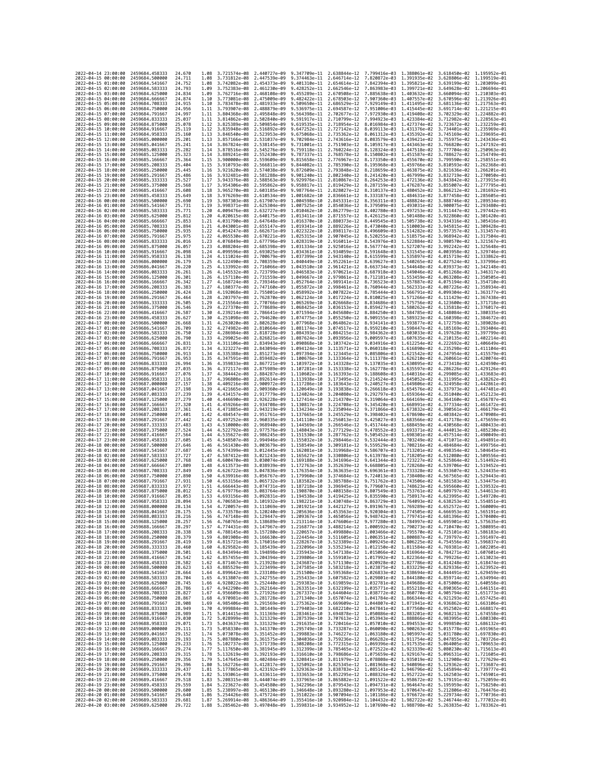| 2022-04-14 23:00:00                        |                                            | 2459684.458333                   | 24.670           | 1.08         | 3.721574e-08 2.440727e-09                                                                                                                                                                                                                                      |                                                                                                                                                                                                                                                                                 | 9.347709e-11                 |                              | 2.638844e-12 7.799416e-03 1.388061e-02    |                                                                  | 3.618450e-02 1.195952e-01                 |                              |
|--------------------------------------------|--------------------------------------------|----------------------------------|------------------|--------------|----------------------------------------------------------------------------------------------------------------------------------------------------------------------------------------------------------------------------------------------------------------|---------------------------------------------------------------------------------------------------------------------------------------------------------------------------------------------------------------------------------------------------------------------------------|------------------------------|------------------------------|-------------------------------------------|------------------------------------------------------------------|-------------------------------------------|------------------------------|
| 2022-04-15 00:00:00                        |                                            | 2459684.500000                   | 24.711           | 1.08         | 3.731812e-08                                                                                                                                                                                                                                                   | 2.447539e-09                                                                                                                                                                                                                                                                    | 9.374463e-11                 | 2.646714e-12                 | 7.820872e-03                              | 1.391935e-02                                                     | 3.628806e-02                              | 1.199519e-01                 |
| 2022-04-15 01:00:00                        |                                            | 2459684.541667                   | 24,752           | 1.08         | 3.742082e-08                                                                                                                                                                                                                                                   | 2.454373e-09                                                                                                                                                                                                                                                                    | 9.401310e-11                 | 2.654614e-12                 | 7.842394e-03                              | 1.395821e-02                                                     | 3.639199e-02                              | 1.203099e-01                 |
| 2022-04-15 02:00:00                        |                                            | 2459684.583333                   | 24.793           | 1.09         | 3.752383e-08                                                                                                                                                                                                                                                   | 2.461230e-09                                                                                                                                                                                                                                                                    | 9.428252e-11                 |                              | 2.662546e-12 7.863983e-03 1.399721e-02    |                                                                  | 3.649628e-02 1.206694e-01                 |                              |
| 2022-04-15 03:00:00                        |                                            | 2459684.625000                   | 24.834           | 1.09         | 3.762716e-08 2.468108e-09                                                                                                                                                                                                                                      |                                                                                                                                                                                                                                                                                 | 9.455289e-11                 |                              | 2.670508e-12 7.885638e-03 1.403632e-02    |                                                                  | 3.660094e-02 1.210303e-01                 |                              |
| 2022-04-15 04:00:00<br>2022-04-15 05:00:00 |                                            | 2459684.666667                   | 24.874<br>24.915 | 1.10         | 3.773081e-08                                                                                                                                                                                                                                                   | 2.475009e-09                                                                                                                                                                                                                                                                    | 9.482422e-11                 | 2.678503e-12                 | 7.907360e-03                              | 1.407557e-02                                                     | 3.670596e-02                              | 1.213926e-01                 |
| 2022-04-15 06:00:00                        |                                            | 2459684.708333<br>2459684.750000 | 24.956           | 1,10<br>1,11 | 3.783478e-08<br>3.793907e-08                                                                                                                                                                                                                                   | 2.481933e-09<br>2.488879e-09                                                                                                                                                                                                                                                    | 9.509650e-11<br>9.536975e-11 | 2.686529e-12<br>2.694587e-12 | 7.929149e-03<br>7.951006e-03 1.415445e-02 | 1.411495e-02                                                     | 3.681136e-02<br>3.691714e-02 1.221215e-01 | 1.217563e-01                 |
| 2022-04-15 07:00:00                        |                                            | 2459684.791667                   | 24.997           | 1.11         | 3.804368e-08                                                                                                                                                                                                                                                   | 2.495848e-09                                                                                                                                                                                                                                                                    | 9.564398e-11                 | 2.702677e-12                 | 7.972930e-03                              | 1.419408e-02                                                     | 3.702329e-02 1.224882e-01                 |                              |
| 2022-04-15 08:00:00                        |                                            | 2459684.833333                   | 25.037           | 1.11         | 3.814862e-08                                                                                                                                                                                                                                                   | 2.502840e-09                                                                                                                                                                                                                                                                    | 9.591917e-11                 | 2.710799e-12                 | 7.994923e-03                              | 1.423384e-02                                                     | 3.712982e-02                              | 1.228563e-01                 |
| 2022-04-15 09:00:00                        |                                            | 2459684.875000                   | 25.078           | 1.12         | 3.825389e-08 2.509854e-09                                                                                                                                                                                                                                      |                                                                                                                                                                                                                                                                                 | 9.619535e-11                 | 2.718954e-12                 | 8.016984e-03                              | 1.427374e-02                                                     | 3.723672e-02                              | 1.232259e-01                 |
| 2022-04-15 10:00:00                        |                                            | 2459684.916667                   | 25.119           | 1.12         | 3.835948e-08                                                                                                                                                                                                                                                   | 2.516892e-09                                                                                                                                                                                                                                                                    | 9.647252e-11                 | 2.727142e-12                 | 8.039113e-03                              | 1.431376e-02                                                     | 3.734401e-02                              | 1.235969e-01                 |
| 2022-04-15 11:00:00                        |                                            | 2459684.958333                   | 25.160           | 1.13         | 3.846540e-08                                                                                                                                                                                                                                                   | 2.523953e-09                                                                                                                                                                                                                                                                    | 9.675068e-11                 | 2.735362e-12                 | 8.061312e-03                              | 1.435392e-02                                                     | 3.745169e-02                              | 1.239695e-01                 |
| 2022-04-15 12:00:00<br>2022-04-15 13:00:00 |                                            | 2459685.000000<br>2459685.041667 | 25.201<br>25.241 | 1.13<br>1.14 | 3.857166e-08<br>3.867824e-08                                                                                                                                                                                                                                   | 2.531037e-09<br>2.538145e-09                                                                                                                                                                                                                                                    | 9.702984e-11<br>9.731001e-11 | 2.743616e-12<br>2.751903e-12 | 8.083579e-03<br>8.105917e-03              | 1.439421e-02<br>1.443463e-02                                     | 3.755975e-02<br>3.766820e-02              | 1.243436e-01<br>1.247192e-01 |
| 2022-04-15 14:00:00                        |                                            | 2459685.083333                   | 25.282           | 1.14         | 3.878516e-08 2.545276e-09                                                                                                                                                                                                                                      |                                                                                                                                                                                                                                                                                 | 9.759118e-11                 | 2.760224e-12                 | 8.128324e-03                              | 1,447518e-02                                                     | 3.777704e-02 1.250963e-01                 |                              |
| 2022-04-15 15:00:00                        |                                            | 2459685.125000                   | 25.323           | 1.14         | 3.889241e-08                                                                                                                                                                                                                                                   | 2.552430e-09                                                                                                                                                                                                                                                                    | 9.787337e-11                 | 2.768578e-12                 | 8.150802e-03                              | 1.451587e-02                                                     | 3.788627e-02                              | 1.254749e-01                 |
| 2022-04-15 16:00:00                        |                                            | 2459685.166667                   | 25.364           | 1.15         |                                                                                                                                                                                                                                                                | 3.900000e-08 2.559609e-09                                                                                                                                                                                                                                                       | 9.815658e-11                 | 2.776967e-12                 | 8.173350e-03                              | 1.455670e-02                                                     | 3.799590e-02                              | 1.258551e-01                 |
| 2022-04-15 17:00:00                        |                                            | 2459685.208333                   | 25.404           | 1.15         | 3.910793e-08 2.566811e-09                                                                                                                                                                                                                                      |                                                                                                                                                                                                                                                                                 | 9.844082e-11                 |                              | 2.785390e-12 8.195968e-03 1.459766e-02    |                                                                  | 3.810593e-02 1.262368e-01                 |                              |
| 2022-04-15 18:00:00                        |                                            | 2459685.250000                   | 25.445           | 1.16         | 3.921620e-08 2.574038e-09                                                                                                                                                                                                                                      |                                                                                                                                                                                                                                                                                 | 9.872609e-11                 | 2.793848e-12                 | 8.218659e-03                              | 1.463875e-02                                                     | 3.821636e-02                              | 1.266201e-01                 |
| 2022-04-15 19:00:00<br>2022-04-15 20:00:00 |                                            | 2459685.291667<br>2459685.333333 | 25.486<br>25.527 | 1.16<br>1.17 | 3.932481e-08<br>3.943376e-08 2.588563e-09                                                                                                                                                                                                                      | 2.581288e-09                                                                                                                                                                                                                                                                    | 9.901240e-11<br>9.929976e-11 | 2.802340e-12<br>2.810867e-12 | 8.241420e-03<br>8.264253e-03              | 1.467999e-02<br>1.472136e-02                                     | 3.832719e-02<br>3.843842e-02              | 1.270050e-01<br>1.273915e-01 |
| 2022-04-15 21:00:00                        |                                            | 2459685.375000                   | 25.568           | 1,17         | 3.954306e-08 2.595862e-09                                                                                                                                                                                                                                      |                                                                                                                                                                                                                                                                                 | 9.958817e-11                 | 2.819429e-12                 | 8.287159e-03                              | 1.476287e-02                                                     | 3.855007e-02                              | 1.277795e-01                 |
| 2022-04-15 22:00:00                        |                                            | 2459685.416667                   | 25,608           | 1.18         | 3.965270e-08                                                                                                                                                                                                                                                   | 2.603185e-09                                                                                                                                                                                                                                                                    | 9.987764e-11                 | 2.828027e-12                 | 8.310137e-03                              | 1.480452e-02                                                     | 3.866212e-02                              | 1.281692e-01                 |
| 2022-04-15 23:00:00                        |                                            | 2459685.458333                   | 25.649           | 1.18         | 3.976269e-08                                                                                                                                                                                                                                                   | 2.610534e-09                                                                                                                                                                                                                                                                    | 1.001682e-10                 | 2.836661e-12                 | 8.333187e-03                              | 1.484631e-02                                                     | 3.877458e-02                              | 1.285605e-01                 |
| 2022-04-16 00:00:00                        |                                            | 2459685.500000                   | 25.690           | 1.19         | 3.987303e-08 2.617907e-09                                                                                                                                                                                                                                      |                                                                                                                                                                                                                                                                                 | 1.004598e-10                 | 2.845331e-12                 | 8.356311e-03                              | 1.488824e-02                                                     | 3.888746e-02                              | 1.289534e-01                 |
| 2022-04-16 01:00:00                        |                                            | 2459685.541667                   | 25.731           | 1.19<br>1.20 | 3.998371e-08<br>4.009476e-08                                                                                                                                                                                                                                   | 2.625304e-09                                                                                                                                                                                                                                                                    | 1.007525e-10                 | 2.854036e-12                 | 8.379509e-03<br>8.402780e-03              | 1.493031e-02                                                     | 3.900075e-02                              | 1.293480e-01                 |
| 2022-04-16 02:00:00<br>2022-04-16 03:00:00 |                                            | 2459685.583333<br>2459685.625000 | 25.771<br>25.812 | 1.20         |                                                                                                                                                                                                                                                                | 2.632727e-09<br>4.020615e-08 2.640175e-09 1.013411e-10                                                                                                                                                                                                                          | 1.010462e-10                 | 2.862779e-12<br>2.871557e-12 | 8.426125e-03                              | 1.497253e-02<br>1.501488e-02                                     | 3.911447e-02<br>3.922860e-02 1.301420e-01 | 1.297442e-01                 |
| 2022-04-16 04:00:00                        |                                            | 2459685.666667                   | 25.853           | 1.21         |                                                                                                                                                                                                                                                                | 4.031790e-08 2.647648e-09 1.016370e-10                                                                                                                                                                                                                                          |                              | 2.880373e-12                 |                                           | 8.449545e-03 1.505738e-02                                        | 3.934316e-02 1.305416e-01                 |                              |
| 2022-04-16 05:00:00                        |                                            | 2459685.708333                   | 25.894           | 1.21         | 4.043001e-08 2.655147e-09                                                                                                                                                                                                                                      |                                                                                                                                                                                                                                                                                 | 1.019341e-10                 | 2.889226e-12                 | 8.473040e-03                              | 1.510003e-02                                                     | 3.945815e-02                              | 1.309428e-01                 |
| 2022-04-16 06:00:00                        |                                            | 2459685.750000                   | 25.935           | 1.22         | 4.054247e-08                                                                                                                                                                                                                                                   | 2.662671e-09                                                                                                                                                                                                                                                                    | 1.022322e-10                 | 2.898117e-12                 | 8.496609e-03                              | 1.514282e-02                                                     | 3.957357e-02                              | 1.313457e-01                 |
| 2022-04-16 07:00:00                        |                                            | 2459685.791667                   | 25.975           | 1.22         | 4.065530e-08                                                                                                                                                                                                                                                   | 2.670221e-09                                                                                                                                                                                                                                                                    | 1.025315e-10                 | 2.907045e-12                 | 8.520255e-03                              | 1.518575e-02                                                     | 3.968942e-02                              | 1.317504e-01                 |
| 2022-04-16 08:00:00                        |                                            | 2459685.833333<br>2459685.875000 | 26.016           | 1.23<br>1.23 |                                                                                                                                                                                                                                                                | 4.076849e-08 2.677796e-09 1.028319e-10                                                                                                                                                                                                                                          | 1.031334e-10                 | 2.916011e-12                 |                                           | 8.543976e-03 1.522884e-02                                        | 3.980570e-02 1.321567e-01                 | 1.325648e-01                 |
| 2022-04-16 09:00:00<br>2022-04-16 10:00:00 |                                            | 2459685.916667                   | 26.057<br>26.098 | 1.24         | 4.088204e-08<br>4.099596e-08                                                                                                                                                                                                                                   | 2.685398e-09<br>2.693025e-09 1.034361e-10                                                                                                                                                                                                                                       |                              | 2.925016e-12<br>2.934059e-12 | 8.567774e-03<br>8.591648e-03              | 1.527207e-02<br>1.531545e-02                                     | 3.992242e-02<br>4.003958e-02              | 1.329746e-01                 |
| 2022-04-16 11:00:00                        |                                            | 2459685.958333                   | 26,138           | 1.24         | 4.111024e-08                                                                                                                                                                                                                                                   | 2.700679e-09                                                                                                                                                                                                                                                                    | 1.037399e-10                 | 2.943140e-12                 | 8.615599e-03                              | 1.535897e-02                                                     | 4.015719e-02                              | 1.333862e-01                 |
| 2022-04-16 12:00:00                        |                                            | 2459686.000000                   | 26.179           | 1.25         | 4.122490e-08 2.708359e-09                                                                                                                                                                                                                                      |                                                                                                                                                                                                                                                                                 | 1.040449e-10                 | 2.952261e-12                 | 8.639627e-03                              | 1,540265e-02                                                     | 4.027524e-02                              | 1.337996e-01                 |
| 2022-04-16 13:00:00                        |                                            | 2459686.041667                   | 26.220           | 1.25         | 4.133992e-08                                                                                                                                                                                                                                                   | 2.716066e-09                                                                                                                                                                                                                                                                    | 1.043510e-10                 | 2.961421e-12                 | 8.663734e-03                              | 1.544648e-02                                                     | 4.039373e-02                              | 1.342148e-01                 |
| 2022-04-16 14:00:00                        |                                            | 2459686.083333                   | 26.261           | 1.26         |                                                                                                                                                                                                                                                                | 4.145532e-08 2.723799e-09 1.046583e-10                                                                                                                                                                                                                                          |                              | 2.970621e-12                 | 8.687918e-03                              | 1.549046e-02                                                     | 4.051268e-02 1.346317e-01                 |                              |
| 2022-04-16 15:00:00<br>2022-04-16 16:00:00 |                                            | 2459686.125000<br>2459686.166667 | 26.301<br>26.342 | 1.26<br>1.27 | 4.168724e-08                                                                                                                                                                                                                                                   | 4.157110e-08 2.731559e-09 1.049667e-10<br>2.739346e-09                                                                                                                                                                                                                          | 1.052764e-10                 | 2.979861e-12<br>2.989141e-12 | 8.712181e-03 1.553459e-02<br>8.736523e-03 | 1.557887e-02                                                     | 4.063208e-02 1.350505e-01<br>4.075194e-02 | 1.354710e-01                 |
| 2022-04-16 17:00:00                        |                                            | 2459686.208333                   | 26.383           | 1.27         | 4.180377e-08                                                                                                                                                                                                                                                   | 2.747160e-09                                                                                                                                                                                                                                                                    | 1.055872e-10                 | 2.998461e-12                 | 8.760944e-03                              | 1.562331e-02                                                     | 4.087226e-02                              | 1.358934e-01                 |
| 2022-04-16 18:00:00                        |                                            | 2459686.250000                   | 26.424           | 1.28         |                                                                                                                                                                                                                                                                | 4.192068e-08 2.755001e-09 1.058992e-10                                                                                                                                                                                                                                          |                              | 3.007822e-12                 | 8.785444e-03                              | 1.566791e-02                                                     | 4.099304e-02 1.363177e-01                 |                              |
| 2022-04-16 19:00:00                        |                                            | 2459686.291667                   | 26.464           | 1.28         |                                                                                                                                                                                                                                                                | 4.203797e-08 2.762870e-09 1.062124e-10                                                                                                                                                                                                                                          |                              | 3.017224e-12                 | 8.810025e-03                              | 1,571266e-02                                                     | 4.111429e-02 1.367438e-01                 |                              |
| 2022-04-16 20:00:00                        |                                            | 2459686.333333                   | 26,505           | 1.29         | 4.215564e-08                                                                                                                                                                                                                                                   | 2.770766e-09                                                                                                                                                                                                                                                                    | 1.065269e-10                 | 3.026668e-12                 | 8.834686e-03                              | 1.575756e-02                                                     | 4.123600e-02                              | 1.371718e-01                 |
| 2022-04-16 21:00:00                        |                                            | 2459686.375000                   | 26,546           | 1.29         | 4.227370e-08                                                                                                                                                                                                                                                   | 2.778689e-09                                                                                                                                                                                                                                                                    | 1.068425e-10                 | 3.036153e-12                 | 8.859427e-03                              | 1.580262e-02                                                     | 4.135818e-02                              | 1.376017e-01                 |
| 2022-04-16 22:00:00<br>2022-04-16 23:00:00 |                                            | 2459686.416667<br>2459686,458333 | 26.587<br>26.627 | 1.30<br>1.30 | 4.251098e-08                                                                                                                                                                                                                                                   | 4.239214e-08 2.786641e-09 1.071594e-10<br>2.794620e-09                                                                                                                                                                                                                          | 1.074775e-10                 | 3.045680e-12<br>3.055250e-12 | 8.884250e-03<br>8.909155e-03              | 1.584785e-02<br>1.589323e-02                                     | 4.148084e-02 1.380335e-01<br>4.160398e-02 | 1.384672e-01                 |
| 2022-04-17 00:00:00                        |                                            | 2459686.500000                   | 26.668           | 1.31         | 4.263020e-08                                                                                                                                                                                                                                                   | 2.802628e-09                                                                                                                                                                                                                                                                    | 1.077968e-10                 | 3.064862e-12                 | 8.934141e-03                              | 1.593877e-02                                                     | 4.172759e-02                              | 1.389028e-01                 |
| 2022-04-17 01:00:00                        |                                            | 2459686.541667                   | 26.709           | 1.32         |                                                                                                                                                                                                                                                                | 4.274982e-08 2.810664e-09 1.081174e-10                                                                                                                                                                                                                                          |                              | 3.074517e-12                 | 8.959210e-03                              | 1.598447e-02                                                     | 4.185169e-02                              | 1.393404e-01                 |
| 2022-04-17 02:00:00                        |                                            | 2459686.583333                   | 26.750           | 1.32         | 4.286984e-08                                                                                                                                                                                                                                                   | 2.818728e-09                                                                                                                                                                                                                                                                    | 1.084393e-10                 | 3.084215e-12                 | 8.984362e-03                              | 1.603033e-02                                                     | 4.197628e-02                              | 1.397799e-01                 |
| 2022-04-17 03:00:00                        |                                            | 2459686.625000                   | 26.790           | 1.33         | 4.299025e-08                                                                                                                                                                                                                                                   | 2.826821e-09                                                                                                                                                                                                                                                                    | 1.087624e-10                 | 3.093956e-12                 | 9.009597e-03                              | 1.607635e-02                                                     | 4.210135e-02                              | 1.402214e-01                 |
| 2022-04-17 04:00:00                        |                                            | 2459686.666667                   | 26.831           | 1.33         | 4.311106e-08                                                                                                                                                                                                                                                   | 2.834943e-09 1.090868e-10                                                                                                                                                                                                                                                       |                              | 3.103742e-12                 | 9.034916e-03                              | 1.612254e-02                                                     | 4.222692e-02                              | 1.406649e-01                 |
| 2022-04-17 05:00:00<br>2022-04-17 06:00:00 |                                            | 2459686,708333<br>2459686.750000 | 26.872<br>26.913 | 1.34<br>1.34 | 4.323227e-08                                                                                                                                                                                                                                                   | 2.843094e-09 1.094124e-10<br>4.335388e-08 2.851273e-09 1.097394e-10                                                                                                                                                                                                             |                              | 3.113571e-12<br>3.123445e-12 | 9.060318e-03                              | 1.616890e-02<br>1.621542e-02                                     | 4.235298e-02                              | 1.411104e-01                 |
| 2022-04-17 07:00:00                        |                                            | 2459686.791667                   | 26.953           | 1.35         | 4.347591e-08                                                                                                                                                                                                                                                   | 2.859482e-09                                                                                                                                                                                                                                                                    | 1.100676e-10                 | 3.133364e-12                 | 9.085806e-03<br>9.111378e-03              | 1.626210e-02                                                     | 4.247954e-02 1.415579e-01<br>4.260661e-02 | 1.420074e-01                 |
| 2022-04-17 08:00:00                        |                                            | 2459686.833333                   | 26.994           | 1.36         | 4.359833e-08                                                                                                                                                                                                                                                   | 2.867721e-09                                                                                                                                                                                                                                                                    | 1.103972e-10                 | 3.143328e-12                 | 9.137035e-03                              | 1.630895e-02                                                     | 4.273418e-02                              | 1.424590e-01                 |
| 2022-04-17 09:00:00                        |                                            | 2459686.875000                   | 27.035           | 1.36         |                                                                                                                                                                                                                                                                | 4.372117e-08 2.875989e-09 1.107281e-10                                                                                                                                                                                                                                          |                              | 3.153338e-12                 | 9.162778e-03 1.635597e-02                 |                                                                  | 4.286226e-02 1.429126e-01                 |                              |
| 2022-04-17 10:00:00                        |                                            | 2459686.916667                   | 27.076           | 1.37         | 4.384442e-08 2.884287e-09                                                                                                                                                                                                                                      |                                                                                                                                                                                                                                                                                 | 1.110602e-10                 | 3.163393e-12                 | 9.188608e-03                              | 1.640316e-02                                                     | 4.299085e-02 1.433683e-01                 |                              |
| 2022-04-17 11:00:00                        |                                            | 2459686.958333                   | 27.116           | 1.37         | 4.396808e-08                                                                                                                                                                                                                                                   | 2.892614e-09 1.113938e-10                                                                                                                                                                                                                                                       |                              | 3.173495e-12                 | 9.214524e-03                              | 1.645052e-02                                                     | 4.311995e-02                              | 1.438262e-01                 |
| 2022-04-17 12:00:00<br>2022-04-17 13:00:00 |                                            | 2459687.000000<br>2459687.041667 | 27.157<br>27.198 | 1.38<br>1.39 | 4.409216e-08 2.900972e-09<br>4.421665e-08 2.909360e-09                                                                                                                                                                                                         |                                                                                                                                                                                                                                                                                 | 1.117286e-10<br>1.120649e-10 | 3.183643e-12<br>3.193838e-12 | 9.240527e-03<br>9.266618e-03              | 1.649806e-02<br>1.654576e-02                                     | 4.324958e-02<br>4.337973e-02              | 1.442861e-01<br>1.447481e-01 |
| 2022-04-17 14:00:00                        |                                            | 2459687.083333                   | 27.239           | 1.39         | 4.434157e-08                                                                                                                                                                                                                                                   | 2.917779e-09                                                                                                                                                                                                                                                                    | 1.124024e-10                 | 3.204080e-12                 | 9.292797e-03                              | 1.659364e-02                                                     | 4.351040e-02                              | 1.452123e-01                 |
| 2022-04-17 15:00:00                        |                                            | 2459687.125000                   | 27,279           | 1.40         | 4,446690e-08                                                                                                                                                                                                                                                   | 2.926228e-09 1.127414e-10                                                                                                                                                                                                                                                       |                              | 3.214370e-12                 | 9.319064e-03                              | 1.664169e-02                                                     | 4.364160e-02                              | 1.456787e-01                 |
| 2022-04-17 16:00:00                        |                                            | 2459687.166667                   | 27,320           | 1.41         |                                                                                                                                                                                                                                                                | 4.459266e-08 2.934708e-09 1.130817e-10                                                                                                                                                                                                                                          |                              | 3.224708e-12                 | 9.345420e-03                              | 1.668991e-02                                                     | 4.377334e-02 1.461472e-01                 |                              |
| 2022-04-17 17:00:00                        |                                            | 2459687.208333                   | 27,361           | 1.41         |                                                                                                                                                                                                                                                                | 4.471885e-08 2.943219e-09 1.134234e-10                                                                                                                                                                                                                                          |                              | 3.235094e-12                 | 9.371866e-03                              | 1.673832e-02                                                     | 4.390561e-02 1.466179e-01                 |                              |
| 2022-04-17 18:00:00                        |                                            | 2459687.250000                   | 27,401           | 1.42         | 4.484547e-08                                                                                                                                                                                                                                                   | 2.951761e-09                                                                                                                                                                                                                                                                    | 1.137665e-10                 | 3.245529e-12                 | 9.398402e-03                              | 1.678690e-02                                                     | 4.403842e-02                              | 1.470908e-01                 |
| 2022-04-17 19:00:00                        |                                            | 2459687.291667                   | 27.442           | 1.42<br>1.43 | 4.497252e-08                                                                                                                                                                                                                                                   | 2.960335e-09 1.141110e-10                                                                                                                                                                                                                                                       |                              | 3.256013e-12                 | 9.425027e-03                              | 1.683566e-02                                                     | 4.417178e-02                              | 1.475659e-01                 |
| 2022-04-17 20:00:00<br>2022-04-17 21:00:00 |                                            | 2459687.333333<br>2459687.375000 | 27.483<br>27.524 | 1.44         | 4.522792e-08                                                                                                                                                                                                                                                   | 4.510000e-08 2.968940e-09 1.144569e-10<br>2.977576e-09                                                                                                                                                                                                                          | 1.148043e-10                 | 3.266546e-12<br>3.277129e-12 | 9.451744e-03 1.688459e-02<br>9.478552e-03 | 1.693371e-02                                                     | 4.430568e-02 1.480433e-01<br>4.444013e-02 | 1.485230e-01                 |
| 2022-04-17 22:00:00                        |                                            | 2459687.416667                   | 27.564           | 1.44         | 4.535627e-08                                                                                                                                                                                                                                                   | 2.986245e-09                                                                                                                                                                                                                                                                    | 1.151530e-10                 | 3.287762e-12                 | 9.505452e-03                              | 1.698301e-02                                                     | 4.457514e-02                              | 1.490049e-01                 |
| 2022-04-17 23:00:00                        |                                            | 2459687.458333                   | 27.605           | 1.45         | 4.548507e-08                                                                                                                                                                                                                                                   | 2.994946e-09 1.155032e-10                                                                                                                                                                                                                                                       |                              | 3.298446e-12                 | 9.532444e-03                              | 1.703249e-02                                                     | 4.471071e-02                              | 1.494891e-01                 |
| 2022-04-18 00:00:00                        |                                            | 2459687.500000                   | 27.646           | 1,46         | 4.561430e-08                                                                                                                                                                                                                                                   | 3.003679e-09 1.158549e-10                                                                                                                                                                                                                                                       |                              | 3.309181e-12                 | 9.559529e-03                              | 1.708216e-02                                                     | 4.484684e-02 1.499756e-01                 |                              |
| 2022-04-18 01:00:00                        |                                            | 2459687.541667                   | 27.687           | 1.46         | 4.574399e-08                                                                                                                                                                                                                                                   | 3.012445e-09                                                                                                                                                                                                                                                                    | 1.162081e-10                 | 3.319968e-12                 | 9.586707e-03                              | 1.713201e-02                                                     | 4.498354e-02                              | 1.504645e-01<br>1.509556e-01 |
| 2022-04-18 02:00:00<br>2022-04-18 03:00:00 |                                            | 2459687.583333<br>2459687.625000 | 27,727<br>27.768 | 1.47<br>1.48 | 4.587412e-08<br>4.600470e-08                                                                                                                                                                                                                                   | 3.021243e-09<br>3.030074e-09                                                                                                                                                                                                                                                    | 1.165627e-10<br>1.169188e-10 | 3.330806e-12<br>3.341696e-12 | 9.613978e-03<br>9.641344e-03              | 1.718205e-02<br>1.723227e-02                                     | 4.512080e-02<br>4.525864e-02 1.514492e-01 |                              |
| 2022-04-18 04:00:00                        |                                            | 2459687.666667                   | 27.809           | 1.48         | 4.613573e-08                                                                                                                                                                                                                                                   | 3.038939e-09                                                                                                                                                                                                                                                                    | 1.172763e-10                 | 3.352639e-12                 | 9.668805e-03                              | 1,728268e-02                                                     | 4.539706e-02                              | 1.519452e-01                 |
| 2022-04-18 05:00:00                        |                                            | 2459687.708333                   | 27.849           | 1.49         | 4.626722e-08                                                                                                                                                                                                                                                   | 3.047836e-09                                                                                                                                                                                                                                                                    | 1.176354e-10                 | 3.363635e-12                 | 9.696361e-03                              | 1.733328e-02                                                     | 4.553607e-02                              | 1.524435e-01                 |
| 2022-04-18 06:00:00                        |                                            | 2459687.750000                   | 27.890           | 1.50         |                                                                                                                                                                                                                                                                | 4.639916e-08 3.056767e-09 1.179960e-10                                                                                                                                                                                                                                          |                              | 3.374684e-12                 | 9.724013e-03                              | 1.738408e-02                                                     | 4.567565e-02 1.529443e-01                 |                              |
| 2022-04-18 07:00:00                        |                                            | 2459687.791667                   | 27.931           | 1.50         | 4.653156e-08 3.065732e-09                                                                                                                                                                                                                                      |                                                                                                                                                                                                                                                                                 | 1.183582e-10                 | 3.385788e-12                 | 9.751762e-03 1.743506e-02                 |                                                                  | 4.581583e-02 1.534475e-01                 |                              |
| 2022-04-18 08:00:00<br>2022-04-18 09:00:00 |                                            | 2459687.833333<br>2459687.875000 | 27.972<br>28.012 | 1.51<br>1.52 | 4.666443e-08 3.074731e-09<br>4.679776e-08                                                                                                                                                                                                                      | 3.083764e-09                                                                                                                                                                                                                                                                    | 1.187218e-10<br>1.190870e-10 | 3.396945e-12<br>3.408158e-12 | 9.779607e-03<br>9.807549e-03              | 1.748623e-02<br>1.753761e-02                                     | 4.595660e-02<br>4.609797e-02              | 1.539532e-01<br>1.544613e-01 |
| 2022-04-18 10:00:00                        |                                            | 2459687.916667                   | 28.053           | 1.53         | 4.693156e-08                                                                                                                                                                                                                                                   | 3.092831e-09 1.194538e-10                                                                                                                                                                                                                                                       |                              | 3.419425e-12                 | 9.835590e-03                              | 1.758917e-02                                                     | 4.623995e-02                              | 1.549720e-01                 |
| 2022-04-18 11:00:00                        |                                            | 2459687.958333                   | 28,094           | 1.53         |                                                                                                                                                                                                                                                                | 4.706583e-08 3.101932e-09 1.198221e-10                                                                                                                                                                                                                                          |                              |                              |                                           | 3.430748e-12 9.863729e-03 1.764093e-02 4.638253e-02 1.554851e-01 |                                           |                              |
| 2022-04-18 12:00:00                        |                                            | 2459688.000000                   | 28.134           | 1.54         |                                                                                                                                                                                                                                                                | 4.720057e-08 3.111069e-09 1.201921e-10                                                                                                                                                                                                                                          |                              |                              |                                           | 3.442127e-12 9.891967e-03 1.769289e-02 4.652572e-02 1.560009e-01 |                                           |                              |
| 2022-04-18 13:00:00                        |                                            | 2459688.041667                   | 28.175           | . 55         | 733578e-08                                                                                                                                                                                                                                                     | 3.120240e-09                                                                                                                                                                                                                                                                    | 1 2056360-10                 | 3.453563e-12                 | 9.920304e-03                              | 774505e-02                                                       | 4.666953e-02                              | 565101e-01                   |
| 2022-04-18 15:00:00                        | 2022-04-18 14:00:00                        | 2459688.083333<br>2459688.125000 | 28.216<br>28.257 | 1.56<br>1.56 |                                                                                                                                                                                                                                                                | 4.747148e-08 3.129447e-09 1.209367e-10 3.465056e-12 9.948742e-03 1.779741e-02 4.681396e-02 1.570400e-01<br>4.760765e-08 3.138689e-09 1.213114e-10 3.476606e-12 9.977280e-03 1.784997e-02 4.695901e-02 1.575635e-01                                                              |                              |                              |                                           |                                                                  |                                           |                              |
| 2022-04-18 16:00:00                        |                                            | 2459688.166667                   | 28.297           | 1.57         |                                                                                                                                                                                                                                                                | 4.774431e-08 3.147967e-09 1.216877e-10 3.488214e-12 1.000592e-02 1.790273e-02 4.710470e-02 1.580895e-01                                                                                                                                                                         |                              |                              |                                           |                                                                  |                                           |                              |
| 2022-04-18 17:00:00                        |                                            | 2459688.208333                   | 28.338           | 1.58         |                                                                                                                                                                                                                                                                | 4.788145e-08 3.157280e-09 1.220657e-10 3.499880e-12 1.003466e-02 1.795570e-02 4.725101e-02 1.586183e-01                                                                                                                                                                         |                              |                              |                                           |                                                                  |                                           |                              |
| 2022-04-18 18:00:00                        |                                            | 2459688.250000                   | 28.379           | 1.59         |                                                                                                                                                                                                                                                                | 4.801908e-08 3.166630e-09 1.224454e-10 3.511605e-12 1.006351e-02 1.800887e-02 4.739797e-02 1.591497e-01                                                                                                                                                                         |                              |                              |                                           |                                                                  |                                           |                              |
| 2022-04-18 19:00:00<br>2022-04-18 20:00:00 |                                            | 2459688.291667<br>2459688.333333 | 28.419<br>28.460 | 1.59<br>1.60 |                                                                                                                                                                                                                                                                | $\begin{array}{cccccccc} 4.815721e-08 & 3.176016e-09 & 1.228267e-10 & 3.523389e-12 & 1.009245e-02 & 1.806225e-02 & 4.754556e-02 & 1.59637e-01 \\ 4.829582e-08 & 3.185439e-09 & 1.232096e-10 & 3.535234e-12 & 1.012150e-02 & 1.811584e-02 & 4.769381e-02 & 1.$                   |                              |                              |                                           |                                                                  |                                           |                              |
| 2022-04-18 21:00:00                        |                                            | 2459688.375000                   | 28.501           |              |                                                                                                                                                                                                                                                                | 1.61 4.843494e-08 3.194898e-09 1.235943e-10 3.547138e-12 1.015066e-02 1.816964e-02 4.784271e-02 1.607601e-01                                                                                                                                                                    |                              |                              |                                           |                                                                  |                                           |                              |
| 2022-04-18 22:00:00                        |                                            | 2459688.416667                   | 28.542           |              |                                                                                                                                                                                                                                                                | 1.62 4.857455e-08 3.204394e-09 1.239806e-10 3.559103e-12 1.017992e-02 1.822364e-02 4.799226e-02 1.613023e-01                                                                                                                                                                    |                              |                              |                                           |                                                                  |                                           |                              |
| 2022-04-18 23:00:00                        |                                            | 2459688.458333                   | 28.582           |              |                                                                                                                                                                                                                                                                | $\begin{array}{cccccccc} 1.62 & 4.871467e-08 & 3.213928e-09 & 1.243687e-10 & 3.571130e-12 & 1.020928e-02 & 1.827786e-02 & 4.814248e-02 & 1.618474e-01 \\ 1.63 & 4.885529e-08 & 3.223499e-09 & 1.247585e-10 & 3.583218e-12 & 1.023875e-02 & 1.833229e-02 & 4.8$                  |                              |                              |                                           |                                                                  |                                           |                              |
| 2022-04-19 00:00:00                        |                                            | 2459688.500000                   | 28.623           |              |                                                                                                                                                                                                                                                                |                                                                                                                                                                                                                                                                                 |                              |                              |                                           |                                                                  |                                           |                              |
| 2022-04-19 01:00:00<br>2022-04-19 02:00:00 |                                            | 2459688.541667<br>2459688.583333 | 28.664<br>28.704 |              |                                                                                                                                                                                                                                                                | 1.64 4.899642e-08 3.233108e-09 1.251500e-10 3.595368e-12 1.026833e-02 1.838694e-02 4.844491e-02 1.629459e-01                                                                                                                                                                    |                              |                              |                                           |                                                                  |                                           |                              |
| 2022-04-19 03:00:00                        |                                            | 2459688.625000                   | 28.745           |              |                                                                                                                                                                                                                                                                | 1.65 4.913807e-08 3.242755e-09 1.255433e-10 3.607582e-12 1.029801e-02 1.844160e-02 4.859714e-02 1.634994e-01 1.66 4.92802e-08 3.242755e-09 1.255433e-10 3.607582e-12 1.029801e-02 1.844160e-02 4.859714e-02 1.634994e-01                                                        |                              |                              |                                           |                                                                  |                                           |                              |
| 2022-04-19 04:00:00                        |                                            | 2459688.666667                   | 28.786           |              |                                                                                                                                                                                                                                                                | 1.67 4.942290e-08 3.262164e-09 1.263351e-10 3.632199e-12 1.035771e-02 1.855218e-02 4.890365e-02 1.646151e-01                                                                                                                                                                    |                              |                              |                                           |                                                                  |                                           |                              |
| 2022-04-19 05:00:00                        |                                            | 2459688.708333                   | 28.827           |              |                                                                                                                                                                                                                                                                |                                                                                                                                                                                                                                                                                 |                              |                              |                                           |                                                                  |                                           |                              |
| 2022-04-19 06:00:00                        |                                            | 2459688.750000                   | 28.867           |              |                                                                                                                                                                                                                                                                | 1.67 4.956609e-08 3.271926e-09 1.267337e-10 3.644604e-12 1.038772e-02 1.860770e-02 4.905794e-02 1.651773e-01<br>1.68 4.970981e-08 3.281728e-09 1.271340e-10 3.657074e-12 1.038772e-02 1.866034e-02 4.921293e-02 1.651725e-01<br>1.69                                            |                              |                              |                                           |                                                                  |                                           |                              |
| 2022-04-19 07:00:00                        |                                            | 2459688.791667<br>2459688.833333 | 28.908<br>28.949 |              |                                                                                                                                                                                                                                                                |                                                                                                                                                                                                                                                                                 |                              |                              |                                           |                                                                  |                                           |                              |
|                                            |                                            |                                  |                  |              |                                                                                                                                                                                                                                                                | 1.70 4.999884e-08 3.301449e-09 1.279403e-10 3.682210e-12 1.047841e-02 1.877560e-02 4.952502e-02 1.668817e-01<br>1.71 5.014415e-08 3.311369e-09 1.283461e-10 3.694878e-12 1.050886e-02 1.883201e-02 4.968213e-02 1.674558e-01                                                    |                              |                              |                                           |                                                                  |                                           |                              |
|                                            | 2022-04-19 08:00:00                        |                                  |                  |              |                                                                                                                                                                                                                                                                |                                                                                                                                                                                                                                                                                 |                              |                              |                                           |                                                                  |                                           |                              |
|                                            | 2022-04-19 09:00:00                        | 2459688.875000                   | 28.989           |              |                                                                                                                                                                                                                                                                |                                                                                                                                                                                                                                                                                 |                              |                              |                                           |                                                                  |                                           |                              |
|                                            | 2022-04-19 10:00:00<br>2022-04-19 11:00:00 | 2459688.916667<br>2459688.958333 | 29.030<br>29.071 |              | $\begin{array}{cccccccc} 1.72 & 5.028999e-08 & 3.321329e-09 & 1.287539e-10 & 3.707613e-12 & 1.053943e-02 & 1.888866e-02 & 4.983995e-02 & 1.680330e-01 \\ 1.73 & 5.043637e-08 & 3.331329e-09 & 1.291635e-10 & 3.720416e-12 & 1.057010e-02 & 1.894553e-02 & 4.9$ |                                                                                                                                                                                                                                                                                 |                              |                              |                                           |                                                                  |                                           |                              |
| 2022-04-19 12:00:00                        |                                            | 2459689.000000                   | 29.111           |              |                                                                                                                                                                                                                                                                | 1.73 5.058330e-08 3.341370e-09 1.295749e-10 3.733287e-12 1.060090e-02 1.900263e-02 5.015778e-02 1.691965e-01                                                                                                                                                                    |                              |                              |                                           |                                                                  |                                           |                              |
| 2022-04-19 13:00:00                        |                                            | 2459689.041667                   | 29.152           |              |                                                                                                                                                                                                                                                                |                                                                                                                                                                                                                                                                                 |                              |                              |                                           |                                                                  |                                           |                              |
| 2022-04-19 14:00:00                        |                                            | 2459689.083333                   | 29.193           |              |                                                                                                                                                                                                                                                                | $\begin{array}{cccccccc} 1.74 & 5.073078e-08 & 3.351452e-09 & 1.299883e-10 & 3.746227e-12 & 1.063180e-02 & 1.905997e-02 & 5.031780e-02 & 1.697830e-01 \\ 1.75 & 5.087880e-08 & 3.361575e-09 & 1.304036e-10 & 3.759236e-12 & 1.066282e-02 & 1.911754e-02 & 5.0$                  |                              |                              |                                           |                                                                  |                                           |                              |
| 2022-04-19 15:00:00                        |                                            | 2459689.125000                   | 29.233           | 1.76<br>1.77 |                                                                                                                                                                                                                                                                | 5.102737e-08 3.371739e-09 1.308208e-10 3.772315e-12 1.069396e-02 1.917535e-02 5.064005e-02 1.709653e-01                                                                                                                                                                         |                              |                              |                                           |                                                                  |                                           |                              |
| 2022-04-19 16:00:00<br>2022-04-19 17:00:00 |                                            | 2459689.166667<br>2459689.208333 | 29.274<br>29.315 | 1.78         |                                                                                                                                                                                                                                                                | 5.117650e-08 3.381945e-09 1.312399e-10 3.785465e-12 1.072522e-02 1.923339e-02 5.080230e-02 1.715613e-01                                                                                                                                                                         |                              |                              |                                           |                                                                  |                                           |                              |
| 2022-04-19 18:00:00                        |                                            | 2459689.250000                   | 29.356           | 1.79         |                                                                                                                                                                                                                                                                | $\frac{132619e-08}{5.147645e-08} \quad \frac{3.32193e-09}{3.16640e-09} \quad \frac{1.316610e-10}{3.811979e-12} \quad \frac{1.075659e-02}{1.078608e-02} \quad \frac{1.929167e-02}{1.935019e-02} \quad \frac{5.096531e-02}{5.112908e-02} \quad \frac{1.721605e-01}{2.127629e-01}$ |                              |                              |                                           |                                                                  |                                           |                              |
| 2022-04-19 19:00:00                        |                                            | 2459689.291667                   | 29.396           | 1.80         |                                                                                                                                                                                                                                                                | 5.162726e-08 3.412817e-09 1.325092e-10 3.825345e-12 1.081968e-02 1.940896e-02 5.129362e-02 1.733687e-01                                                                                                                                                                         |                              |                              |                                           |                                                                  |                                           |                              |
| 2022-04-19 20:00:00                        |                                            | 2459689.333333                   | 29.437           |              |                                                                                                                                                                                                                                                                |                                                                                                                                                                                                                                                                                 |                              |                              |                                           |                                                                  |                                           |                              |
| 2022-04-19 21:00:00                        |                                            | 2459689.375000                   | 29.478           |              |                                                                                                                                                                                                                                                                | $\begin{array}{cccccccc} 1.81 & 5.177865e-08 & 3.423192e-09 & 1.329363e-10 & 3.838783e-12 & 1.085141e-02 & 1.946796e-02 & 5.145894e-02 & 1.739777e-01 \\ 1.82 & 5.193061e-08 & 3.433611e-09 & 1.333653e-10 & 3.852295e-12 & 1.088326e-02 & 1.952722e-02 & 5.1$                  |                              |                              |                                           |                                                                  |                                           |                              |
| 2022-04-19 22:00:00<br>2022-04-19 23:00:00 |                                            | 2459689.416667<br>2459689.458333 | 29.518<br>29.559 |              |                                                                                                                                                                                                                                                                | 1.83 5.208315e-08 3.444074e-09 1.337965e-10 3.865882e-12 1.091522e-02 1.958672e-02 5.179191e-02 1.752059e-01                                                                                                                                                                    |                              |                              |                                           |                                                                  |                                           |                              |
| 2022-04-20 00:00:00                        |                                            | 2459689.500000                   | 29.600           |              |                                                                                                                                                                                                                                                                | 1.84 5.223627e-08 3.454580e-09 1.342296e-10 3.879543e-12 1.094731e-02 1.964647e-02 5.195959e-02 1.758250e-01                                                                                                                                                                    |                              |                              |                                           |                                                                  |                                           |                              |
| 2022-04-20 01:00:00<br>2022-04-20 02:00:00 |                                            | 2459689.541667<br>2459689.583333 | 29.640<br>29.681 |              |                                                                                                                                                                                                                                                                | 1.85 5.238997e-08 3.465130e-09 1.346648e-10 3.893280e-12 1.097953e-02 1.970647e-02 5.212806e-02 1.764476e-01<br>1.86 5.238997e-08 3.475724e-09 1.346648e-10 3.993280e-12 1.097953e-02 1.970647e-02 5.212806e-02 1.764476e-01<br>1.87                                            |                              |                              |                                           |                                                                  |                                           |                              |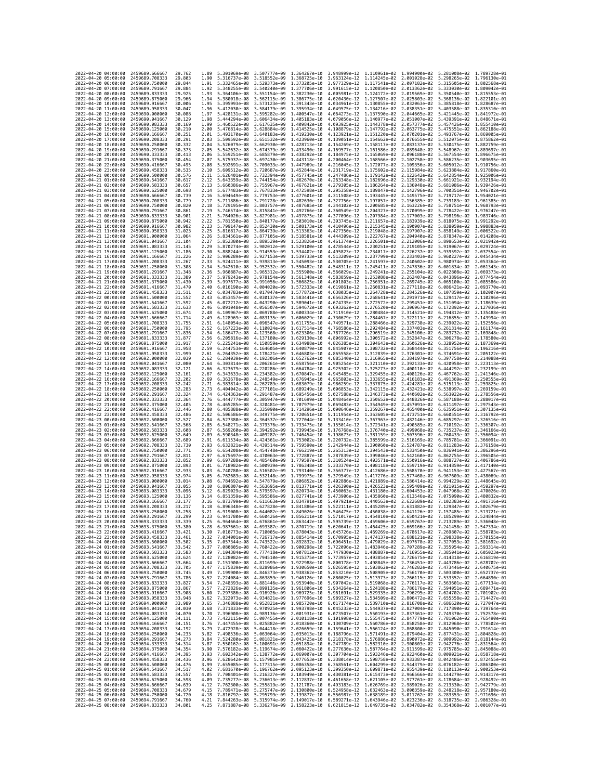| 2022-04-20 04:00:00                        |                     | 2459689,666667                   | 29.762           | 1.89         | 5.301069e-08 3.507777e-09                              |                                                                                                                                                                                                                                                                                                                               | 1.364267e-10                 | 3.948999e-12 1.110961e-02                                                                                                            |                              | 1.994900e-02                 | 5.281008e-02 1.789728e-01                                                                                                            |                              |
|--------------------------------------------|---------------------|----------------------------------|------------------|--------------|--------------------------------------------------------|-------------------------------------------------------------------------------------------------------------------------------------------------------------------------------------------------------------------------------------------------------------------------------------------------------------------------------|------------------------------|--------------------------------------------------------------------------------------------------------------------------------------|------------------------------|------------------------------|--------------------------------------------------------------------------------------------------------------------------------------|------------------------------|
| 2022-04-20 05:00:00                        |                     | 2459689.708333                   | 29.803           | 1.90         | 5.316737e-08                                           | 3.518552e-09                                                                                                                                                                                                                                                                                                                  | 1,368725e-10                 | 3.963124e-12 1.114245e-02 2.001028e-02                                                                                               |                              |                              | 5.298265e-02 1.796130e-01                                                                                                            |                              |
| 2022-04-20 06:00:00                        |                     | 2459689.750000<br>2459689.791667 | 29.844           | 1.91         | 5.332465e-08                                           | 3.529373e-09                                                                                                                                                                                                                                                                                                                  | 1.373205e-10                 | 3.977329e-12<br>3.991615e-12 1.120850e-02 2.013362e-02                                                                               | 1.117541e-02                 | 2.007182e-02                 | 5.315605e-02                                                                                                                         | 1.802568e-01                 |
| 2022-04-20 07:00:00<br>2022-04-20 08:00:00 |                     | 2459689.833333                   | 29.884<br>29.925 | 1.92<br>1.93 | 5.348255e-08 3.540240e-09<br>5.364106e-08 3.551154e-09 |                                                                                                                                                                                                                                                                                                                               | 1.377706e-10<br>1.382230e-10 | 4.005981e-12 1.124172e-02 2.019569e-02                                                                                               |                              |                              | 5.333030e-02 1.809042e-01<br>5.350540e-02 1.815553e-01                                                                               |                              |
| 2022-04-20 09:00:00                        |                     | 2459689.875000                   | 29.966           | 1.94         | 5.380018e-08                                           | 3.562115e-09                                                                                                                                                                                                                                                                                                                  | 1.386775e-10                 | 4.020430e-12 1.127507e-02                                                                                                            |                              | 2.025803e-02                 | 5.368136e-02                                                                                                                         | 1.822101e-01                 |
| 2022-04-20 10:00:00                        |                     | 2459689.916667                   | 30.006           | 1.95         | 5.395993e-08                                           | 3.573123e-09                                                                                                                                                                                                                                                                                                                  | 1.391343e-10                 | 4.034961e-12                                                                                                                         | 1.130855e-02                 | 2.032063e-02                 | 5.385818e-02                                                                                                                         | 1.828687e-01                 |
| 2022-04-20 11:00:00                        |                     | 2459689.958333                   | 30.047           | 1.96         | 5.412030e-08                                           | 3.584179e-09                                                                                                                                                                                                                                                                                                                  | 1,395934e-10                 | 4.049575e-12                                                                                                                         | 1.134216e-02                 | 2.038351e-02                 | 5.403588e-02                                                                                                                         | 1.835310e-01                 |
| 2022-04-20 12:00:00<br>2022-04-20 13:00:00 |                     | 2459690.000000<br>2459690.041667 | 30.088<br>30.129 | 1.97<br>1.98 | 5.428131e-08<br>5.444294e-08                           | 3.595282e-09<br>3.606434e-09                                                                                                                                                                                                                                                                                                  | 1.400547e-10<br>1.405183e-10 | 4.064273e-12 1.137590e-02<br>4.079056e-12                                                                                            | 1.140977e-02                 | 2.044665e-02<br>2.051007e-02 | 5.421445e-02 1.841972e-01<br>5.439391e-02                                                                                            | 1.848671e-01                 |
| 2022-04-20 14:00:00                        |                     | 2459690.083333                   | 30.169           | 1.99         | 5.460522e-08                                           | 3.617635e-09                                                                                                                                                                                                                                                                                                                  | 1.409842e-10                 | 4.093925e-12 1.144378e-02                                                                                                            |                              | 2.057377e-02                 | 5.457426e-02                                                                                                                         | 1.855410e-01                 |
| 2022-04-20 15:00:00                        |                     | 2459690.125000                   | 30.210           | 2.00         | 5.476814e-08                                           | 3.628884e-09                                                                                                                                                                                                                                                                                                                  | 1.414525e-10                 | 4.108879e-12                                                                                                                         | 1.147792e-02                 | 2.063775e-02                 | 5.475551e-02                                                                                                                         | 1.862188e-01                 |
| 2022-04-20 16:00:00                        |                     | 2459690.166667                   | 30.251           | 2.01         | 5.493170e-08                                           | 3.640183e-09                                                                                                                                                                                                                                                                                                                  | 1.419230e-10                 | 4.123921e-12 1.151220e-02                                                                                                            |                              | 2.070201e-02                 | 5.493767e-02                                                                                                                         | 1.869005e-01                 |
| 2022-04-20 17:00:00<br>2022-04-20 18:00:00 |                     | 2459690.208333<br>2459690.250000 | 30.291<br>30.332 | 2.03<br>2.04 | 5.509592e-08<br>5.526079e-08 3.662930e-09              | 3.651532e-09                                                                                                                                                                                                                                                                                                                  | 1.423960e-10<br>1.428713e-10 | 4.139051e-12<br>4.154269e-12 1.158117e-02                                                                                            | 1.154662e-02                 | 2.076655e-02<br>2.083137e-02 | 5.512075e-02<br>5.530475e-02 1.882759e-01                                                                                            | 1.875862e-01                 |
| 2022-04-20 19:00:00                        |                     | 2459690.291667                   | 30.373           | 2.05         | 5.542632e-08 3.674379e-09                              |                                                                                                                                                                                                                                                                                                                               | 1.433490e-10                 | 4.169577e-12 1.161586e-02                                                                                                            |                              | 2.089648e-02                 | 5.548967e-02 1.889697e-01                                                                                                            |                              |
| 2022-04-20 20:00:00                        |                     | 2459690.333333                   | 30.413           | 2.06         | 5.559251e-08                                           | 3.685879e-09                                                                                                                                                                                                                                                                                                                  | 1.438292e-10                 | 4.184975e-12                                                                                                                         | 1.165069e-02                 | 2.096188e-02                 | 5.567554e-02                                                                                                                         | 1.896675e-01                 |
| 2022-04-20 21:00:00                        |                     | 2459690.375000                   | 30.454           | 2.07         | 5.575937e-08                                           | 3.697430e-09                                                                                                                                                                                                                                                                                                                  | 1.443118e-10                 | 4.200464e-12                                                                                                                         | 1.168566e-02                 | 2.102758e-02                 | 5.586235e-02                                                                                                                         | 1.903695e-01                 |
| 2022-04-20 22:00:00                        |                     | 2459690.416667                   | 30.495           | 2.08         | 5.592691e-08                                           | 3.709033e-09                                                                                                                                                                                                                                                                                                                  | 1.447969e-10<br>1.452844e-10 | 4.216045e-12 1.172077e-02 2.109356e-02                                                                                               |                              |                              | 5.605012e-02 1.910756e-01                                                                                                            |                              |
| 2022-04-20 23:00:00<br>2022-04-21 00:00:00 |                     | 2459690.458333<br>2459690.500000 | 30.535<br>30.576 | 2.10<br>2.11 | 5.609512e-08<br>5.626401e-08                           | 3.720687e-09<br>3.732394e-09                                                                                                                                                                                                                                                                                                  | 1.457745e-10                 | 4.231719e-12 1.175602e-02 2.115984e-02<br>4.247486e-12                                                                               | 1.179142e-02                 | 2.122642e-02                 | 5.623884e-02 1.917860e-01<br>5.642854e-02                                                                                            | 1.925006e-01                 |
| 2022-04-21 01:00:00                        |                     | 2459690.541667                   | 30.617           | 2.12         | 5.643359e-08                                           | 3.744154e-09                                                                                                                                                                                                                                                                                                                  | 1.462670e-10                 | 4.263348e-12                                                                                                                         | 1.182696e-02                 | 2.129330e-02                 | 5.661921e-02                                                                                                                         | 1.932194e-01                 |
| 2022-04-21 02:00:00                        |                     | 2459690.583333                   | 30.657           | 2.13         | 5.660386e-08 3.755967e-09                              |                                                                                                                                                                                                                                                                                                                               | 1.467621e-10                 | 4.279305e-12 1.186264e-02 2.136048e-02                                                                                               |                              |                              | 5.681086e-02 1.939426e-01                                                                                                            |                              |
| 2022-04-21 03:00:00                        |                     | 2459690.625000                   | 30.698           | 2.14         | 5.677483e-08 3.767833e-09                              |                                                                                                                                                                                                                                                                                                                               | 1.472598e-10                 | 4.295358e-12 1.189847e-02                                                                                                            |                              | 2.142796e-02                 | 5.700351e-02 1.946702e-01                                                                                                            |                              |
| 2022-04-21 04:00:00<br>2022-04-21 05:00:00 |                     | 2459690.666667<br>2459690.708333 | 30.739<br>30.779 | 2.16<br>2.17 | 5.694649e-08<br>5.711886e-08 3.791728e-09              | 3.779753e-09                                                                                                                                                                                                                                                                                                                  | 1.477601e-10<br>1.482630e-10 | 4.311508e-12<br>4.327756e-12 1.197057e-02                                                                                            | 1.193445e-02                 | 2.149575e-02<br>2.156385e-02 | 5.719717e-02<br>5.739183e-02 1.961385e-01                                                                                            | 1.954021e-01                 |
| 2022-04-21 06:00:00                        |                     | 2459690.750000                   | 30.820           | 2.18         | 5.729195e-08                                           | 3.803757e-09                                                                                                                                                                                                                                                                                                                  | 1.487685e-10                 | 4.344102e-12                                                                                                                         | 1.200685e-02                 | 2.163226e-02                 | 5.758751e-02 1.968793e-01                                                                                                            |                              |
| 2022-04-21 07:00:00                        |                     | 2459690.791667                   | 30.861           | 2.19         | 5.746574e-08                                           | 3.815841e-09                                                                                                                                                                                                                                                                                                                  | 1.492766e-10                 | 4.360549e-12                                                                                                                         | 1.204327e-02                 | 2.170099e-02                 | 5.778422e-02                                                                                                                         | 1.976247e-01                 |
| 2022-04-21 08:00:00                        |                     | 2459690.833333                   | 30.901           | 2.21         | 5.764026e-08                                           | 3.827981e-09                                                                                                                                                                                                                                                                                                                  | 1.497875e-10                 | 4.377096e-12                                                                                                                         | 1.207984e-02                 | 2.177003e-02                 | 5.798196e-02                                                                                                                         | 1.983746e-01                 |
| 2022-04-21 09:00:00                        |                     | 2459690.875000<br>2459690.916667 | 30.942<br>30.982 | 2.22         | 5.781550e-08<br>5.799147e-08                           | 3.840177e-09                                                                                                                                                                                                                                                                                                                  | 1.503010e-10<br>1.508173e-10 | 4.393745e-12 1.211657e-02                                                                                                            |                              | 2.183939e-02<br>2.190907e-02 | 5.818075e-02 1.991292e-01                                                                                                            |                              |
| 2022-04-21 10:00:00<br>2022-04-21 11:00:00 |                     | 2459690.958333                   | 31,023           | 2.23<br>2.25 | 5.816817e-08                                           | 3.852430e-09<br>3.864739e-09                                                                                                                                                                                                                                                                                                  | 1,513363e-10                 | 4.410496e-12 1.215345e-02<br>4.427350e-12                                                                                            | 1.219048e-02                 | 2.197907e-02                 | 5.838059e-02 1.998883e-01<br>5.858149e-02                                                                                            | 2.006522e-01                 |
| 2022-04-21 12:00:00                        |                     | 2459691.000000                   | 31,064           | 2.26         | 5.834561e-08                                           | 3.877105e-09                                                                                                                                                                                                                                                                                                                  | 1.518581e-10                 | 4.444309e-12 1.222767e-02                                                                                                            |                              | 2.204940e-02                 | 5.878347e-02                                                                                                                         | 2.014208e-01                 |
| 2022-04-21 13:00:00                        |                     | 2459691.041667                   | 31.104           | 2.27         | 5.852380e-08 3.889529e-09                              |                                                                                                                                                                                                                                                                                                                               | 1.523826e-10                 | 4.461374e-12 1.226501e-02 2.212006e-02                                                                                               |                              |                              | 5.898653e-02 2.021942e-01                                                                                                            |                              |
| 2022-04-21 14:00:00                        |                     | 2459691.083333                   | 31.145           | 2.29         | 5.870274e-08                                           | 3.902012e-09                                                                                                                                                                                                                                                                                                                  | 1.529100e-10                 | 4.478544e-12 1.230251e-02                                                                                                            |                              | 2.219105e-02                 | 5.919067e-02                                                                                                                         | 2.029724e-01                 |
| 2022-04-21 15:00:00<br>2022-04-21 16:00:00 |                     | 2459691.125000<br>2459691.166667 | 31.186<br>31.226 | 2.30<br>2.32 | 5.888244e-08<br>5.906289e-08 3.927153e-09              | 3.914553e-09                                                                                                                                                                                                                                                                                                                  | 1.534402e-10<br>1.539733e-10 | 4.495823e-12<br>4.513209e-12 1.237799e-02                                                                                            | 1.234017e-02                 | 2.226237e-02<br>2.233403e-02 | 5.939592e-02<br>5.960227e-02                                                                                                         | 2.037554e-01<br>2.045434e-01 |
| 2022-04-21 17:00:00                        |                     | 2459691.208333                   | 31.267           | 2.33         | 5.924411e-08                                           | 3.939813e-09                                                                                                                                                                                                                                                                                                                  | 1,545093e-10                 | 4.530705e-12 1.241597e-02                                                                                                            |                              | 2.240602e-02                 | 5.980974e-02                                                                                                                         | 2.053364e-01                 |
| 2022-04-21 18:00:00                        |                     | 2459691.250000                   | 31.308           | 2.34         | 5.942610e-08                                           | 3.952532e-09                                                                                                                                                                                                                                                                                                                  | 1.550482e-10                 | 4.548311e-12                                                                                                                         | 1.245411e-02                 | 2.247836e-02                 | 6.001834e-02                                                                                                                         | 2.061343e-01                 |
| 2022-04-21 19:00:00                        |                     | 2459691.291667                   | 31,348           | 2.36         | 5.960887e-08                                           | 3.965312e-09                                                                                                                                                                                                                                                                                                                  | 1.555900e-10                 | 4.566029e-12 1.249241e-02                                                                                                            |                              | 2.255104e-02                 | 6.022808e-02                                                                                                                         | 2.069373e-01                 |
| 2022-04-21 20:00:00                        |                     | 2459691.333333                   | 31.389           | 2.37         | 5.979243e-08                                           | 3.978154e-09                                                                                                                                                                                                                                                                                                                  | 1.561348e-10                 | 4.583859e-12 1.253088e-02 2.262407e-02                                                                                               |                              |                              | 6.043896e-02                                                                                                                         | 2.077454e-01                 |
| 2022-04-21 21:00:00<br>2022-04-21 22:00:00 |                     | 2459691.375000<br>2459691.416667 | 31,430<br>31.470 | 2.39<br>2.40 | 5.997677e-08<br>6.016190e-08                           | 3.991056e-09<br>4.004020e-09                                                                                                                                                                                                                                                                                                  | 1.566825e-10<br>1.572333e-10 | 4.601803e-12 1.256951e-02<br>4.619861e-12                                                                                            | 1.260831e-02                 | 2.269745e-02<br>2.277118e-02 | 6.065100e-02<br>6.086421e-02                                                                                                         | 2.085586e-01<br>2.093770e-01 |
| 2022-04-21 23:00:00                        |                     | 2459691.458333                   | 31.511           | 2.42         | 6.034783e-08                                           | 4.017047e-09                                                                                                                                                                                                                                                                                                                  | 1.577872e-10                 | 4.638035e-12 1.264728e-02 2.284526e-02                                                                                               |                              |                              | 6.107859e-02                                                                                                                         | 2.102007e-01                 |
| 2022-04-22 00:00:00                        |                     | 2459691.500000                   | 31.552           | 2.43         | 6.053457e-08                                           | 4.030137e-09                                                                                                                                                                                                                                                                                                                  | 1.583441e-10                 | 4.656326e-12 1.268641e-02 2.291971e-02                                                                                               |                              |                              | 6.129417e-02                                                                                                                         | 2.110296e-01                 |
| 2022-04-22 01:00:00                        |                     | 2459691.541667                   | 31.592           | 2.45         | 6.072212e-08                                           | 4.043290e-09                                                                                                                                                                                                                                                                                                                  | 1.589041e-10                 | 4.674735e-12 1.272572e-02                                                                                                            |                              | 2.299451e-02                 | 6.151094e-02                                                                                                                         | 2.118639e-01                 |
| 2022-04-22 02:00:00<br>2022-04-22 03:00:00 |                     | 2459691.583333<br>2459691.625000 | 31.633<br>31.674 | 2.46<br>2.48 | 6.091048e-08<br>6.109967e-08                           | 4.056507e-09<br>4.069788e-09                                                                                                                                                                                                                                                                                                  | 1.594672e-10<br>1.600334e-10 | 4.693262e-12<br>4.711910e-12                                                                                                         | 1.276520e-02<br>1.280484e-02 | 2.306967e-02<br>2.314521e-02 | 6.172892e-02<br>6.194812e-02                                                                                                         | 2.127036e-01<br>2.135488e-01 |
| 2022-04-22 04:00:00                        |                     | 2459691.666667                   | 31.714           | 2.49         | 6.128969e-08                                           | 4.083135e-09                                                                                                                                                                                                                                                                                                                  | 1.606029e-10                 | 4.730679e-12 1.284467e-02 2.322111e-02                                                                                               |                              |                              | 6.216855e-02                                                                                                                         | 2.143994e-01                 |
| 2022-04-22 05:00:00                        |                     | 2459691.708333                   | 31.755           | 2.51         | 6.148054e-08                                           | 4.096547e-09                                                                                                                                                                                                                                                                                                                  | 1.611755e-10                 | 4.749571e-12                                                                                                                         | 1.288466e-02                 | 2.329738e-02                 | 6.239022e-02                                                                                                                         | 2.152556e-01                 |
| 2022-04-22 06:00:00                        |                     | 2459691.750000                   | 31,795           | 2.52         | 6.167223e-08                                           | 4.110024e-09                                                                                                                                                                                                                                                                                                                  | 1.617514e-10                 | 4.768586e-12                                                                                                                         | 1.292484e-02                 | 2.337403e-02                 | 6.261314e-02                                                                                                                         | 2.161174e-01                 |
| 2022-04-22 07:00:00<br>2022-04-22 08:00:00 |                     | 2459691.791667<br>2459691.833333 | 31.836<br>31.877 | 2.54<br>2.56 | 6.186477e-08<br>6.205816e-08                           | 4.123568e-09<br>4.137180e-09                                                                                                                                                                                                                                                                                                  | 1.623306e-10<br>1.629130e-10 | 4.787726e-12 1.296519e-02<br>4.806992e-12 1.300572e-02                                                                               |                              | 2.345106e-02<br>2.352847e-02 | 6.283732e-02<br>6.306278e-02                                                                                                         | 2.169848e-01<br>2.178580e-01 |
| 2022-04-22 09:00:00                        |                     | 2459691.875000                   | 31.917           | 2.57         | 6.225241e-08                                           | 4.150859e-09                                                                                                                                                                                                                                                                                                                  | 1.634988e-10                 | 4.826385e-12 1.304643e-02                                                                                                            |                              | 2.360626e-02                 | 6.328952e-02                                                                                                                         | 2.187369e-01                 |
| 2022-04-22 10:00:00                        |                     | 2459691.916667                   | 31.958           | 2.59         | 6.244753e-08 4.164605e-09                              |                                                                                                                                                                                                                                                                                                                               | 1.640879e-10                 | 4.845907e-12 1.308732e-02                                                                                                            |                              | 2.368444e-02                 | 6.351756e-02                                                                                                                         | 2.196216e-01                 |
| 2022-04-22 11:00:00                        |                     | 2459691.958333                   | 31.999           | 2.61         | 6.264352e-08                                           | 4.178421e-09                                                                                                                                                                                                                                                                                                                  | 1.646803e-10                 | 4.865558e-12 1.312839e-02                                                                                                            |                              | 2.376301e-02                 | 6.374691e-02                                                                                                                         | 2.205122e-01                 |
| 2022-04-22 12:00:00                        |                     | 2459692.000000                   | 32.039           | 2.62         | 6.284039e-08                                           | 4.192306e-09                                                                                                                                                                                                                                                                                                                  | 1.652762e-10                 | 4.885340e-12                                                                                                                         | 1.316965e-02                 | 2.384197e-02                 | 6.397758e-02                                                                                                                         | 2.214088e-01                 |
| 2022-04-22 13:00:00<br>2022-04-22 14:00:00 |                     | 2459692.041667<br>2459692.083333 | 32,080<br>32,121 | 2.64<br>2.66 | 6.303814e-08<br>6.323679e-08                           | 4.206261e-09<br>4.220286e-09                                                                                                                                                                                                                                                                                                  | 1.658756e-10<br>1.664784e-10 | 4.905254e-12<br>4.925302e-12 1.325273e-02                                                                                            | 1.321110e-02                 | 2.392133e-02<br>2.400110e-02 | 6.420958e-02<br>6.444292e-02                                                                                                         | 2.223113e-01<br>2.232199e-01 |
| 2022-04-22 15:00:00                        |                     | 2459692.125000                   | 32, 161          | 2.67         | 6.343633e-08                                           | 4.234382e-09                                                                                                                                                                                                                                                                                                                  | 1.670847e-10                 | 4.945485e-12 1.329455e-02                                                                                                            |                              | 2.408126e-02                 | 6.467762e-02 2.241346e-01                                                                                                            |                              |
| 2022-04-22 16:00:00                        |                     | 2459692.166667                   | 32,202           | 2.69         | 6.363678e-08                                           | 4.248549e-09                                                                                                                                                                                                                                                                                                                  | 1.676945e-10                 | 4.965803e-12                                                                                                                         | 1.333655e-02                 | 2.416183e-02                 | 6.491369e-02                                                                                                                         | 2.250555e-01                 |
| 2022-04-22 17:00:00                        |                     | 2459692.208333                   | 32,242           | 2.71         | 6.383814e-08                                           | 4.262789e-09                                                                                                                                                                                                                                                                                                                  | 1,683079e-10                 | 4.986259e-12 1.337875e-02                                                                                                            |                              | 2.424281e-02                 | 6.515113e-02                                                                                                                         | 2.259825e-01                 |
| 2022-04-22 18:00:00<br>2022-04-22 19:00:00 |                     | 2459692.250000<br>2459692.291667 | 32.283<br>32.324 | 2.73<br>2.74 | 6.404042e-08<br>6.424363e-08                           | 4.277101e-09<br>4.291487e-09                                                                                                                                                                                                                                                                                                  | 1.689249e-10<br>1.695456e-10 | 5.006853e-12 1.342115e-02<br>5.027588e-12 1.346373e-02                                                                               |                              | 2.432421e-02<br>2.440602e-02 | 6.538997e-02<br>6.563022e-02                                                                                                         | 2.269159e-01<br>2.278556e-01 |
| 2022-04-22 20:00:00                        |                     | 2459692.333333                   | 32.364           | 2.76         | 6.444777e-08                                           | 4.305947e-09                                                                                                                                                                                                                                                                                                                  | 1.701699e-10                 | 5.048464e-12                                                                                                                         | 1.350652e-02                 | 2.448826e-02                 | 6.587188e-02                                                                                                                         | 2.288017e-01                 |
| 2022-04-22 21:00:00                        |                     | 2459692.375000                   | 32.405           | 2.78         | 6.465285e-08 4.320481e-09                              |                                                                                                                                                                                                                                                                                                                               | 1.707979e-10                 | 5.069483e-12 1.354949e-02                                                                                                            |                              | 2.457091e-02                 | 6.611497e-02                                                                                                                         | 2.297543e-01                 |
| 2022-04-22 22:00:00                        |                     | 2459692.416667                   | 32.446           | 2.80         | 6.485888e-08                                           | 4.335090e-09                                                                                                                                                                                                                                                                                                                  | 1.714296e-10                 | 5.090646e-12 1.359267e-02                                                                                                            |                              | 2.465400e-02                 | 6.635951e-02                                                                                                                         | 2.307135e-01                 |
| 2022-04-22 23:00:00                        |                     | 2459692.458333                   | 32.486<br>32.527 | 2.82         | 6.506586e-08                                           | 4.349775e-09                                                                                                                                                                                                                                                                                                                  | 1.720651e-10                 | 5.111954e-12                                                                                                                         | 1.363605e-02                 | 2.473751e-02                 | 6.660551e-02                                                                                                                         | 2.316792e-01                 |
| 2022-04-23 00:00:00<br>2022-04-23 01:00:00 |                     | 2459692.500000<br>2459692.541667 | 32.568           | 2.84<br>2.85 | 6.527380e-08<br>6.548271e-08                           | 4.364537e-09<br>4.379376e-09                                                                                                                                                                                                                                                                                                  | 1.727044e-10<br>1.733475e-10 | 5.133410e-12<br>5.155014e-12 1.372341e-02                                                                                            | 1.367963e-02                 | 2.482146e-02<br>2.490585e-02 | 6.685297e-02<br>6.710192e-02                                                                                                         | 2.326516e-01<br>2.336307e-01 |
| 2022-04-23 02:00:00                        |                     | 2459692.583333                   | 32,608           | 2.87         | 6.569260e-08                                           | 4.394292e-09                                                                                                                                                                                                                                                                                                                  | 1.739945e-10                 | 5.176768e-12 1.376740e-02                                                                                                            |                              | 2.499068e-02                 | 6.735237e-02 2.346166e-01                                                                                                            |                              |
| 2022-04-23 03:00:00                        |                     | 2459692.625000                   | 32,649           | 2.89         | 6.590348e-08                                           | 4.409287e-09                                                                                                                                                                                                                                                                                                                  | 1.746454e-10                 | 5.198673e-12                                                                                                                         | 1.381159e-02                 | 2.507596e-02                 | 6.760433e-02                                                                                                                         | 2.356094e-01                 |
| 2022-04-23 04:00:00                        |                     | 2459692.666667                   | 32,689           | 2.91         | 6.611534e-08                                           | 4.424361e-09                                                                                                                                                                                                                                                                                                                  | 1.753002e-10                 | 5.220732e-12                                                                                                                         | 1.385599e-02                 | 2.516169e-02                 | 6.785781e-02                                                                                                                         | 2.366091e-01                 |
| 2022-04-23 05:00:00<br>2022-04-23 06:00:00 |                     | 2459692.708333<br>2459692.750000 | 32.730<br>32.771 | 2.93<br>2.95 | 6.632821e-08<br>6.654208e-08 4.454748e-09              | 4.439514e-09                                                                                                                                                                                                                                                                                                                  | 1.759590e-10<br>1.766219e-10 | 5.242944e-12 1.390060e-02<br>5.265313e-12 1.394543e-02                                                                               |                              | 2.524787e-02<br>2.533450e-02 | 6.811283e-02<br>6.836941e-02                                                                                                         | 2.376158e-01<br>2.386296e-01 |
| 2022-04-23 07:00:00                        |                     | 2459692.791667                   | 32.811           | 2.97         | 6.675697e-08                                           | 4.470063e-09                                                                                                                                                                                                                                                                                                                  | 1.772887e-10                 | 5.287839e-12                                                                                                                         | 1.399046e-02                 | 2.542160e-02                 | 6.862755e-02                                                                                                                         | 2.396505e-01                 |
| 2022-04-23 08:00:00                        |                     |                                  | 32.852           | 2.99         | 6.697288e-08 4.485460e-09                              |                                                                                                                                                                                                                                                                                                                               |                              |                                                                                                                                      |                              | 2.550916e-02                 | 6.888727e-02                                                                                                                         | 2.406786e-01                 |
| 2022-04-23 09:00:00                        |                     | 2459692.833333                   |                  |              |                                                        |                                                                                                                                                                                                                                                                                                                               | 1.779597e-10                 | 5.310524e-12 1.403571e-02                                                                                                            |                              |                              |                                                                                                                                      | 2.417140e-01                 |
|                                            |                     | 2459692.875000                   | 32.893           | 3.01         | 6.718982e-08                                           | 4.500939e-09                                                                                                                                                                                                                                                                                                                  | 1.786348e-10                 | 5.333370e-12                                                                                                                         | 1.408118e-02                 | 2.559719e-02                 | 6.914859e-02                                                                                                                         |                              |
|                                            | 2022-04-23 10:00:00 | 2459692.916667                   | 32,933           | 3.03         | 6.740780e-08                                           | 4.516502e-09                                                                                                                                                                                                                                                                                                                  | 1.793140e-10                 | 5.356377e-12                                                                                                                         | 1.412686e-02                 | 2.568570e-02                 | 6.941153e-02                                                                                                                         | 2.427567e-01                 |
|                                            | 2022-04-23 11:00:00 | 2459692.958333<br>2459693.000000 | 32,974<br>33.014 | 3.05<br>3.08 | 6.762683e-08                                           | 4.532148e-09                                                                                                                                                                                                                                                                                                                  | 1.799975e-10                 | 5.379549e-12                                                                                                                         | 1.417276e-02                 | 2.577468e-02<br>2.586414e-02 | 6.967609e-02                                                                                                                         | 2.438069e-01<br>2.448645e-01 |
| 2022-04-23 12:00:00<br>2022-04-23 13:00:00 |                     | 2459693.041667                   | 33.055           | 3.10         | 6.784692e-08<br>6.806807e-08                           | 4.547879e-09<br>4.563695e-09                                                                                                                                                                                                                                                                                                  | 1.806852e-10<br>1,813771e-10 | 5.402886e-12 1.421889e-02<br>5.426390e-12 1.426523e-02                                                                               |                              | 2.595409e-02                 | 6.994229e-02<br>7.021015e-02                                                                                                         | 2.459297e-01                 |
| 2022-04-23 14:00:00                        |                     | 2459693.083333                   | 33,096           | 3.12         | 6.829029e-08                                           | 4.579597e-09                                                                                                                                                                                                                                                                                                                  | 1,820734e-10                 | 5.450063e-12                                                                                                                         | 1.431180e-02                 | 2.604453e-02                 | 7.047968e-02                                                                                                                         | 2.470026e-01                 |
| 2022-04-23 15:00:00                        |                     | 2459693.125000                   | 33.136           | 3.14         | 6.851359e-08 4.595586e-09                              |                                                                                                                                                                                                                                                                                                                               | 1.827741e-10                 | 5.473906e-12 1.435860e-02 2.613546e-02                                                                                               |                              |                              | 7.075090e-02                                                                                                                         | 2.480832e-01                 |
| 2022-04-23 16:00:00<br>2022-04-23 17:00:00 |                     | 2459693.166667<br>2459693.208333 | 33.177<br>33.217 | 3.16<br>3.18 |                                                        | 6.873799e-08 4.611663e-09 1.834791e-10<br>6.896348e-08 4.627828e-09 1.841886e-10                                                                                                                                                                                                                                              |                              |                                                                                                                                      |                              |                              | 5.497921e-12 1.440563e-02 2.622689e-02 7.102383e-02 2.491716e-01<br>5.522111e-12 1.445289e-02 2.631882e-02 7.129847e-02 2.502679e-01 |                              |
| 2022-04-23                                 | 18:00:00            | 2459693.250000                   | 33.258           |              | 6.919008e-08                                           | 4.644082e-09                                                                                                                                                                                                                                                                                                                  | 1,849026e-10                 | 5.546475e–12                                                                                                                         | 1.450038e-02                 | 2.641126e-02                 | 7.157485e-02                                                                                                                         |                              |
| 2022-04-23 19:00:00                        |                     | 2459693.291667                   | 33.299           | 3.23         |                                                        | 6.941780e-08 4.660426e-09 1.856211e-10 5.571017e-12 1.454810e-02 2.650421e-02 7.185299e-02 2.524844e-01                                                                                                                                                                                                                       |                              |                                                                                                                                      |                              |                              |                                                                                                                                      |                              |
| 2022-04-23 20:00:00                        |                     | 2459693.333333                   | 33, 339          | 3.25<br>3.28 |                                                        | 6.964664e-08 4.676861e-09 1.863442e-10 5.595739e-12 1.459606e-02 2.659767e-02 7.213289e-02 2.536048e-01                                                                                                                                                                                                                       |                              |                                                                                                                                      |                              |                              |                                                                                                                                      |                              |
| 2022-04-23 21:00:00<br>2022-04-23 22:00:00 |                     | 2459693.375000<br>2459693.416667 | 33.380<br>33.421 | 3.30         |                                                        | 6.987661e-08 4.693387e-09 1.870719e-10 5.620641e-12 1.464425e-02 2.669166e-02 7.241458e-02 2.547334e-01<br>7.010773e-08 4.710005e-09 1.878043e-10 5.645726e-12 1.469269e-02 2.678617e-02 7.269807e-02 2.558703e-01                                                                                                            |                              |                                                                                                                                      |                              |                              |                                                                                                                                      |                              |
| 2022-04-23 23:00:00                        |                     | 2459693.458333                   | 33.461           | 3.32         |                                                        | 7.034001e-08 4.726717e-09 1.885414e-10 5.670995e-12 1.474137e-02 2.688121e-02 7.298338e-02 2.570155e-01                                                                                                                                                                                                                       |                              |                                                                                                                                      |                              |                              |                                                                                                                                      |                              |
| 2022-04-24 00:00:00                        |                     | 2459693.500000                   | 33.502           | 3.35         |                                                        |                                                                                                                                                                                                                                                                                                                               |                              |                                                                                                                                      |                              |                              |                                                                                                                                      |                              |
| 2022-04-24 01:00:00<br>2022-04-24 02:00:00 |                     | 2459693.541667<br>2459693.583333 | 33.542<br>33.583 | 3.37<br>3.39 |                                                        | 7.057344e-08 4.743522e-09 1.892832e-10<br>7.080805e-08 4.760422e-09 1.900298e-10<br>7.104384e-08 4.777418e-09 1.907812e-10 5.747930e-12 1.488887e-02 2.716955e-02 7.385041e-02 2.605023e-01                                                                                                                                   |                              | 5.696451e-12 1.479029e-02 2.697678e-02 7.327053e-02 2.581692e-01<br>5.722096e-12 1.483946e-02 2.707289e-02 7.355954e-02 2.593314e-01 |                              |                              |                                                                                                                                      |                              |
| 2022-04-24 03:00:00                        |                     | 2459693.625000                   | 33.624           | 3.42         |                                                        | 7.128082e-08 4.794510e-09 1.915375e-10 5.773957e-12 1.493854e-02 2.726675e-02 7.414318e-02 2.616819e-01                                                                                                                                                                                                                       |                              |                                                                                                                                      |                              |                              |                                                                                                                                      |                              |
| 2022-04-24 04:00:00                        |                     | 2459693.666667                   | 33.664           | 3.44         |                                                        |                                                                                                                                                                                                                                                                                                                               |                              |                                                                                                                                      |                              |                              |                                                                                                                                      |                              |
| 2022-04-24 05:00:00                        |                     | 2459693.708333                   | 33.705           | 3.47         |                                                        | $\begin{array}{cccccccc} 7.151900e-08& 4.811699e-09& 1.922988e-10& 5.800178e-12& 1.498845e-02& 2.736451e-02& 7.443786e-02& 2.628702e-01\\ 7.175839e-08& 4.828986e-09& 1.930650e-10& 5.826595e-12& 1.503862e-02& 2.746282e-02& 7.473446e-02& 2$                                                                                |                              |                                                                                                                                      |                              |                              |                                                                                                                                      |                              |
| 2022-04-24 06:00:00                        |                     | 2459693.750000                   | 33.745           |              |                                                        | 3.49 7.199900e-08 4.846373e-09 1.938362e-10 5.853210e-12 1.508905e-02 2.756170e-02 7.503300e-02 2.652737e-01                                                                                                                                                                                                                  |                              |                                                                                                                                      |                              |                              |                                                                                                                                      |                              |
| 2022-04-24 07:00:00<br>2022-04-24 08:00:00 |                     | 2459693.791667<br>2459693.833333 | 33.786<br>33.827 |              |                                                        |                                                                                                                                                                                                                                                                                                                               |                              |                                                                                                                                      |                              |                              |                                                                                                                                      |                              |
| 2022-04-24 09:00:00                        |                     | 2459693.875000                   | 33.867           |              |                                                        | 3.52 7.224084e-08 4.863859e-09 1.946126e-10 5.880025e-12 1.513973e-02 2.766115e-02 7.533352e-02 2.664890e-01<br>3.54 7.24899e-08 4.881446e-09 1.946126e-10 5.987042e-12 1.519073e-02 2.766115e-02 7.553352e-02 2.664890e-01<br>3.57                                                                                           |                              |                                                                                                                                      |                              |                              |                                                                                                                                      |                              |
| 2022-04-24 10:00:00                        |                     | 2459693.916667                   | 33.908           | 3.60         |                                                        | 7.297386e-08 4.916926e-09 1.969725e-10 5.961691e-12 1.529335e-02 2.796295e-02 7.624702e-02 2.701902e-01                                                                                                                                                                                                                       |                              |                                                                                                                                      |                              |                              |                                                                                                                                      |                              |
| 2022-04-24 11:00:00                        |                     | 2459693.958333                   | 33.948           | 3.62         |                                                        |                                                                                                                                                                                                                                                                                                                               |                              |                                                                                                                                      |                              |                              |                                                                                                                                      |                              |
| 2022-04-24 12:00:00<br>2022-04-24 13:00:00 |                     | 2459694.000000<br>2459694.041667 | 33.989<br>34.030 | 3.65<br>3.68 |                                                        | 7.322073e-08 4.934821e-09 1.977696e-10 5.989327e-12 1.534509e-02 2.806472e-02 7.655558e-02 2.714427e-01<br>7.346888e-08 4.952821e-09 1.985720e-10 6.017174e-12 1.539710e-02 2.816708e-02 7.686620e-02 2.714427e-01<br>7.371833e-08 4.970925e-09 1.993798e-10 6.045233e-12 1.544937e-02 2.827004e-02 7.717890e-02 2.739764e-01 |                              |                                                                                                                                      |                              |                              |                                                                                                                                      |                              |
| 2022-04-24 14:00:00                        |                     | 2459694.083333                   | 34.070           |              |                                                        | 3.70 7.396908e-08 4.989136e-09 2.001931e-10 6.073507e-12 1.550193e-02 2.837361e-02 7.749370e-02 2.752578e-01                                                                                                                                                                                                                  |                              |                                                                                                                                      |                              |                              |                                                                                                                                      |                              |
| 2022-04-24 15:00:00                        |                     | 2459694.125000                   | 34.111           | 3.73         |                                                        |                                                                                                                                                                                                                                                                                                                               |                              |                                                                                                                                      |                              |                              |                                                                                                                                      |                              |
| 2022-04-24 16:00:00                        |                     | 2459694.166667                   | 34, 151          | 3.76         |                                                        | $\begin{array}{cccccccc} 7.422115e-08 & 5.007455e-09 & 2.010118e-10 & 6.101998e-12 & 1.555475e-02 & 2.847779e-02 & 7.781062e-02 & 2.765490e-01 \\ 7.447455e-08 & 5.025882e-09 & 2.018360e-10 & 6.130709e-12 & 1.560786e-02 & 2.858258e-02 & 7.812968e-02 & 2$                                                                 |                              |                                                                                                                                      |                              |                              |                                                                                                                                      |                              |
| 2022-04-24 17:00:00<br>2022-04-24 18:00:00 |                     | 2459694.208333<br>2459694.250000 | 34.192<br>34,233 | 3.79         |                                                        | 7.472928e-08 5.044418e-09 2.026659e-10 6.159641e-12 1.566124e-02 2.868800e-02 7.845090e-02 2.791614e-01                                                                                                                                                                                                                       |                              |                                                                                                                                      |                              |                              |                                                                                                                                      |                              |
| 2022-04-24 19:00:00                        |                     | 2459694.291667                   | 34.273           | 3.84         |                                                        | 3.82 7.498536e-08 5.063064e-09 2.035013e-10 6.188796e-12 1.571491e-02 2.879404e-02 7.877431e-02 2.804828e-01                                                                                                                                                                                                                  |                              |                                                                                                                                      |                              |                              |                                                                                                                                      |                              |
| 2022-04-24 20:00:00                        |                     | 2459694.333333                   | 34.314           | 3.87         |                                                        | $\begin{array}{cccccccc} 7.524280e-08 & 5.081821e-09 & 2.043425e-10 & 6.218178e-12 & 1.576886e-02 & 2.890072e-02 & 7.909992e-02 & 2.818144e-01 \\ \hline \end{array} \\ \begin{array}{cccc} 7.550162e-08 & 5.100691e-09 & 2.051894e-10 & 6.247789e-12 & 1.582310e-02 & 2.900803e-02 &$                                        |                              |                                                                                                                                      |                              |                              |                                                                                                                                      |                              |
| 2022-04-24 21:00:00                        |                     | 2459694.375000                   | 34.354           |              |                                                        | 3.90 7.576182e-08 5.119674e-09 2.060422e-10 6.277630e-12 1.587764e-02 2.911599e-02 7.975785e-02 2.845088e-01                                                                                                                                                                                                                  |                              |                                                                                                                                      |                              |                              |                                                                                                                                      |                              |
| 2022-04-24 22:00:00                        |                     | 2459694.416667                   | 34.395           | 3.93         |                                                        |                                                                                                                                                                                                                                                                                                                               |                              |                                                                                                                                      |                              |                              |                                                                                                                                      |                              |
| 2022-04-24 23:00:00<br>2022-04-25 00:00:00 |                     | 2459694.458333<br>2459694.500000 | 34.436<br>34.476 | 3.96<br>3.99 |                                                        | 7.602342e-08 5.138772e-09 2.069007e-10 6.307704e-12 1.593246e-02 2.922460e-02 8.009021e-02 2.858718e-01<br>7.628642e-08 5.157985e-09 2.077653e-10 6.338014e-12 1.598758e-02 2.933387e-02 8.042486e-02 2.872455e-01<br>7.655085e-08 5.177315e-09 2.086358e-10 6.368561e-12 1.604299e-02 2.944379e-02 8.076182e-02 2.886300e-01 |                              |                                                                                                                                      |                              |                              |                                                                                                                                      |                              |
| 2022-04-25 01:00:00                        |                     | 2459694.541667                   | 34.517           |              |                                                        |                                                                                                                                                                                                                                                                                                                               |                              |                                                                                                                                      |                              |                              |                                                                                                                                      |                              |
| 2022-04-25 02:00:00                        |                     | 2459694.583333                   | 34.557           |              |                                                        |                                                                                                                                                                                                                                                                                                                               |                              |                                                                                                                                      |                              |                              |                                                                                                                                      |                              |
| 2022-04-25 03:00:00                        |                     | 2459694.625000                   | 34.598           |              |                                                        | 4.02 7.681670e-08 5.196762e-09 2.095123e-10 6.399350e-12 1.609871e-02 2.955439e-02 8.110113e-02 2.900253e-01<br>4.05 7.700401e-08 5.216372e-09 2.095123e-10 6.430381e-12 1.615473e-02 2.955439e-02 8.140113e-02 2.900253e-01<br>4.09                                                                                          |                              |                                                                                                                                      |                              |                              |                                                                                                                                      |                              |
| 2022-04-25 04:00:00<br>2022-04-25 05:00:00 |                     | 2459694.666667<br>2459694.708333 | 34.639<br>34.679 |              |                                                        | 4.12 7.762300e-08 5.255819e-09 2.121787e-10 6.493183e-12 1.626769e-02 2.989026e-02 8.213330e-02 2.942779e-01<br>4.15 7.789471e-08 5.275747e-09 2.130800e-10 6.524958e-12 1.632463e-02 3.000359e-02 8.248218e-02 2.957180e-01                                                                                                  |                              |                                                                                                                                      |                              |                              |                                                                                                                                      |                              |
| 2022-04-25 06:00:00<br>2022-04-25 07:00:00 |                     | 2459694.750000<br>2459694.791667 | 34.720<br>34.760 |              |                                                        | 4.18 7.816792e-08 5.295799e-09 2.139877e-10 6.556987e-12 1.638189e-02 3.011762e-02 8.283353e-02 2.971696e-01<br>4.21 7.844263e-08 5.315974e-09 2.149017e-10 6.589271e-12 1.643946e-02 3.023236e-02 8.318735e-02 2.986328e-01                                                                                                  |                              |                                                                                                                                      |                              |                              |                                                                                                                                      |                              |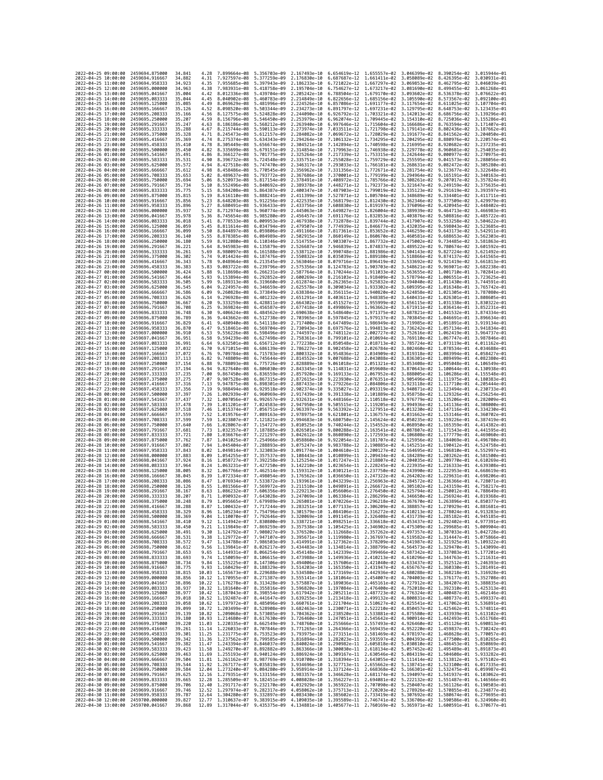| 2022-04-25 09:00:00                        | 2459694.875000                   | 34.841           | 4.28         | 7.899664e-08                                           | 5.356703e-09                                                                                                                                                                                                                                                                               | 2.167493e-10                 | 6.654619e-12 1.655557e-02                              |                                           | 3.046399e-02                                                         | 8.390254e-02                                           | 3.015944e-01                 |
|--------------------------------------------|----------------------------------|------------------|--------------|--------------------------------------------------------|--------------------------------------------------------------------------------------------------------------------------------------------------------------------------------------------------------------------------------------------------------------------------------------------|------------------------------|--------------------------------------------------------|-------------------------------------------|----------------------------------------------------------------------|--------------------------------------------------------|------------------------------|
| 2022-04-25 10:00:00                        | 2459694.916667                   | 34.882           | 4.31         | 7.927597e-08                                           | 5.377259e-09                                                                                                                                                                                                                                                                               | 2.176830e-10                 | 6.687687e-12 1.661411e-02                              |                                           | 3.058089e-02                                                         | 8.426395e-02                                           | 3.030931e-01                 |
| 2022-04-25 11:00:00                        | 2459694.958333                   | 34.923           | 4.35         | 7.955685e-08                                           | 5.397943e-09                                                                                                                                                                                                                                                                               | 2.186233e-10                 | 6.721022e-12                                           | 1.667297e-02                              | 3.069853e-02                                                         | 8.462795e-02                                           | 3.046039e-01                 |
| 2022-04-25 12:00:00<br>2022-04-25 13:00:00 | 2459695.000000<br>2459695.041667 | 34.963<br>35.004 | 4.38<br>4.42 | 7.983931e-08 5.418758e-09<br>8.012336e-08 5.439704e-09 |                                                                                                                                                                                                                                                                                            | 2.195704e-10<br>2.205242e-10 | 6.754627e-12 1.673217e-02 3.081690e-02                 | 6.788504e-12 1.679170e-02 3.093602e-02    |                                                                      | 8.499455e-02 3.061268e-01<br>8.536378e-02 3.076622e-01 |                              |
| 2022-04-25 14:00:00                        | 2459695.083333                   | 35.044           | 4.45         | 8.040902e-08                                           | 5.460783e-09                                                                                                                                                                                                                                                                               | 2.214849e-10                 | 6.822656e-12                                           | 1.685156e-02                              | 3.105590e-02                                                         | 8.573567e-02                                           | 3.092100e-01                 |
| 2022-04-25 15:00:00                        | 2459695.125000                   | 35.085           | 4.49         | 8.069629e-08                                           | 5.481996e-09                                                                                                                                                                                                                                                                               | 2.224526e-10                 | 6.857086e-12                                           | 1.691177e-02                              | 3.117654e-02                                                         | 8.611025e-02                                           | 3.107704e-01                 |
| 2022-04-25 16:00:00                        | 2459695.166667                   | 35.126           | 4.52         | 8.098520e-08                                           | 5.503344e-09                                                                                                                                                                                                                                                                               | 2.234273e-10                 | 6.891797e-12                                           | 1.697231e-02                              | 3.129795e-02                                                         | 8.648753e-02                                           | 3.123435e-01                 |
| 2022-04-25 17:00:00<br>2022-04-25 18:00:00 | 2459695.208333<br>2459695.250000 | 35.166<br>35.207 | 4.56<br>4.59 | 8.127575e-08<br>8.156796e-08                           | 5.524828e-09<br>5.546450e-09                                                                                                                                                                                                                                                               | 2.244090e-10<br>2.253979e-10 | 6.926792e-12 1.703321e-02<br>6.962074e-12              | 1.709445e-02                              | 3.142013e-02<br>3.154310e-02                                         | 8.686756e-02<br>8.725036e-02                           | 3.139296e-01<br>3.155286e-01 |
| 2022-04-25 19:00:00                        | 2459695.291667                   | 35.247           | 4.63         | 8.186186e-08                                           | 5.568212e-09                                                                                                                                                                                                                                                                               | 2.263940e-10                 | 6.997646e-12 1.715604e-02                              |                                           | 3.166686e-02                                                         | 8.763594e-02                                           | 3.171407e-01                 |
| 2022-04-25 20:00:00                        | 2459695.333333                   | 35.288           | 4.67         | 8.215744e-08                                           | 5.590113e-09                                                                                                                                                                                                                                                                               | 2.273974e-10                 | 7.033511e-12                                           | 1.721798e-02                              | 3.179141e-02                                                         | 8.802436e-02                                           | 3.187662e-01                 |
| 2022-04-25 21:00:00                        | 2459695.375000                   | 35,328           | 4.71         | 8.245473e-08                                           | 5.612157e-09                                                                                                                                                                                                                                                                               | 2.284082e-10                 | 7.069672e-12                                           | 1.728029e-02                              | 3.191677e-02                                                         | 8.841562e-02                                           | 3.204050e-01                 |
| 2022-04-25 22:00:00<br>2022-04-25 23:00:00 | 2459695.416667<br>2459695.458333 | 35.369<br>35.410 | 4.74<br>4.78 | 8.275374e-08<br>8.305449e-08                           | 5.634343e-09<br>5.656674e-09                                                                                                                                                                                                                                                               | 2.294264e-10<br>2.304521e-10 | 7.106132e-12                                           | 1.734295e-02<br>7.142894e-12 1.740598e-02 | 3.204295e-02<br>3.216995e-02                                         | 8.880976e-02<br>8.920682e-02                           | 3.220574e-01<br>3.237235e-01 |
| 2022-04-26 00:00:00                        | 2459695.500000                   | 35.450           | 4.82         | 8.335699e-08                                           | 5.679151e-09                                                                                                                                                                                                                                                                               | 2.314854e-10                 | 7.179963e-12 1.746938e-02                              |                                           | 3.229778e-02                                                         | 8.960681e-02                                           | 3.254035e-01                 |
| 2022-04-26 01:00:00                        | 2459695.541667                   | 35.491           | 4.86         | 8.366127e-08                                           | 5.701775e-09                                                                                                                                                                                                                                                                               | 2.325264e-10                 | 7.217339e-12 1.753315e-02                              |                                           | 3.242644e-02                                                         | 9.000977e-02                                           | 3.270975e-01                 |
| 2022-04-26 02:00:00                        | 2459695.583333                   | 35.531           | 4.90         | 8.396732e-08                                           | 5.724548e-09                                                                                                                                                                                                                                                                               | 2.335751e-10                 | 7.255028e-12 1.759729e-02                              |                                           | 3.255595e-02                                                         | 9.041573e-02                                           | 3.288056e-01                 |
| 2022-04-26 03:00:00<br>2022-04-26 04:00:00 | 2459695.625000<br>2459695.666667 | 35.572<br>35.612 | 4.94<br>4.98 | 8.427518e-08<br>8.458486e-08 5.770545e-09              | 5.747470e-09                                                                                                                                                                                                                                                                               | 2.346317e-10<br>2.356962e-10 | 7.293033e-12 1.766181e-02<br>7.331356e-12 1.772671e-02 |                                           | 3.268631e-02<br>3.281754e-02                                         | 9.082472e-02<br>9.123677e-02                           | 3.305280e-01<br>3.322648e-01 |
| 2022-04-26 05:00:00                        | 2459695.708333                   | 35.653           | 5.02         | 8.489637e-08                                           | 5.793772e-09                                                                                                                                                                                                                                                                               | 2.367686e-10                 | 7.370001e-12                                           | 1.779199e-02                              | 3.294964e-02                                                         | 9.165191e-02                                           | 3.340163e-01                 |
| 2022-04-26 06:00:00                        | 2459695.750000                   | 35.694           | 5.06         | 8.520973e-08                                           | 5.817154e-09                                                                                                                                                                                                                                                                               | 2.378491e-10                 | 7.408972e-12 1.785766e-02                              |                                           | 3.308261e-02                                                         | 9.207017e-02                                           | 3.357824e-01                 |
| 2022-04-26 07:00:00                        | 2459695.791667                   | 35.734           | 5.10         | 8.552496e-08                                           | 5.840692e-09                                                                                                                                                                                                                                                                               | 2.389378e-10                 | 7.448271e-12 1.792373e-02                              |                                           | 3.321647e-02                                                         | 9.249159e-02                                           | 3.375635e-01                 |
| 2022-04-26 08:00:00<br>2022-04-26 09:00:00 | 2459695.833333                   | 35.775           | 5.15         | 8.584208e-08                                           | 5.864387e-09                                                                                                                                                                                                                                                                               | 2.400347e-10                 | 7.527871e-12 1.805704e-02                              | 7.487903e-12 1.799019e-02                 | 3.335123e-02                                                         | 9.291619e-02                                           | 3.393597e-01                 |
| 2022-04-26 10:00:00                        | 2459695.875000<br>2459695.916667 | 35.815<br>35.856 | 5.19<br>5.23 | 8.616110e-08<br>8.648203e-08 5.912256e-09              | 5.888241e-09                                                                                                                                                                                                                                                                               | 2.411399e-10<br>2.422535e-10 |                                                        | 7.568179e-12 1.812430e-02                 | 3.348689e-02<br>3.362346e-02                                         | 9.334401e-02<br>9.377509e-02                           | 3.411711e-01<br>3.429979e-01 |
| 2022-04-26 11:00:00                        | 2459695.958333                   | 35.896           | 5.27         | 8.680491e-08                                           | 5.936433e-09                                                                                                                                                                                                                                                                               | 2.433756e-10                 | 7.608830e-12 1.819197e-02                              |                                           | 3.376096e-02                                                         | 9.420945e-02                                           | 3.448402e-01                 |
| 2022-04-26 12:00:00                        | 2459696.000000                   | 35.937           | 5.32         | 8.712974e-08                                           | 5.960774e-09                                                                                                                                                                                                                                                                               | 2.445063e-10                 | 7.649827e-12                                           | 1.826004e-02                              | 3.389939e-02                                                         | 9.464713e-02                                           | 3.466983e-01                 |
| 2022-04-26 13:00:00<br>2022-04-26 14:00:00 | 2459696.041667                   | 35.978<br>36.018 | 5.36<br>5.41 | 8.745654e-08<br>8.778533e-08                           | 5.985280e-09<br>6.009953e-09                                                                                                                                                                                                                                                               | 2.456457e-10<br>2.467938e-10 | 7.691176e-12<br>7.732878e-12 1.839744e-02              | 1.832853e-02                              | 3.403876e-02<br>3.417907e-02                                         | 9.508816e-02<br>9.553258e-02                           | 3.485722e-01<br>3.504622e-01 |
| 2022-04-26 15:00:00                        | 2459696.083333<br>2459696.125000 | 36,059           | 5.45         | 8.811614e-08                                           | 6.034794e-09                                                                                                                                                                                                                                                                               | 2.479507e-10                 | 7.774939e-12 1.846677e-02                              |                                           | 3.432035e-02                                                         | 9.598043e-02                                           | 3.523685e-01                 |
| 2022-04-26 16:00:00                        | 2459696.166667                   | 36,099           | 5.50         | 8.844897e-08                                           | 6.059806e-09                                                                                                                                                                                                                                                                               | 2.491166e-10                 | 7.817361e-12                                           | 1.853652e-02                              | 3.446259e-02                                                         | 9.643173e-02                                           | 3.542911e-01                 |
| 2022-04-26 17:00:00                        | 2459696.208333                   | 36,140           | 5.55         | 8.878385e-08 6.084989e-09                              |                                                                                                                                                                                                                                                                                            | 2.502915e-10                 |                                                        | 7.860149e-12 1.860670e-02                 | 3.460581e-02                                                         | 9.688653e-02                                           | 3.562303e-01                 |
| 2022-04-26 18:00:00                        | 2459696.250000                   | 36.180           | 5.59         | 8.912080e-08 6.110346e-09                              |                                                                                                                                                                                                                                                                                            | 2.514755e-10                 |                                                        | 7.903307e-12 1.867732e-02 3.475002e-02    |                                                                      | 9.734485e-02                                           | 3.581863e-01                 |
| 2022-04-26 19:00:00<br>2022-04-26 20:00:00 | 2459696.291667<br>2459696.333333 | 36.221<br>36.261 | 5.64<br>5.69 | 8.945983e-08<br>8.980097e-08                           | 6.135879e-09<br>6.161588e-09                                                                                                                                                                                                                                                               | 2.526687e-10<br>2.538712e-10 | 7.946839e-12<br>7.990748e-12                           | 1.874837e-02<br>1.881986e-02              | 3.489522e-02<br>3.504143e-02                                         | 9.780674e-02<br>9.827224e-02                           | 3.601592e-01<br>3.621492e-01 |
| 2022-04-26 21:00:00                        | 2459696.375000                   | 36.302           | 5.74         | 9.014424e-08                                           | 6.187476e-09                                                                                                                                                                                                                                                                               | 2.550832e-10                 | 8.035039e-12                                           | 1.889180e-02 3.518866e-02                 |                                                                      | 9.874137e-02                                           | 3.641565e-01                 |
| 2022-04-26 22:00:00                        | 2459696.416667                   | 36.343           | 5.78         | 9.048964e-08                                           | 6.213545e-09                                                                                                                                                                                                                                                                               | 2.563046e-10                 | 8.079716e-12 1.896419e-02                              |                                           | 3.533692e-02                                                         | 9.921419e-02                                           | 3.661813e-01                 |
| 2022-04-26 23:00:00                        | 2459696.458333                   | 36.383           | 5.83         | 9.083722e-08                                           | 6.239796e-09                                                                                                                                                                                                                                                                               | 2.575356e-10                 | 8.124783e-12                                           | 1.903703e-02                              | 3.548621e-02                                                         | 9.969071e-02                                           | 3.682238e-01                 |
| 2022-04-27 00:00:00<br>2022-04-27 01:00:00 | 2459696.500000<br>2459696.541667 | 36.424<br>36.464 | 5.88<br>5.93 | 9.118698e-08<br>9.153894e-08                           | 6.266231e-09<br>6.292852e-09                                                                                                                                                                                                                                                               | 2.587764e-10<br>2.600269e-10 | 8.170244e-12 1.911033e-02                              | 8.216103e-12 1.918409e-02                 | 3.563655e-02<br>3.578794e-02                                         | 1.001710e-01<br>1.006551e-01                           | 3.702841e-01<br>3.723625e-01 |
| 2022-04-27 02:00:00                        | 2459696.583333                   | 36.505           | 5.99         | 9.189313e-08                                           | 6.319660e-09                                                                                                                                                                                                                                                                               | 2.612874e-10                 | 8.262365e-12                                           | 1,925832e-02                              | 3.594040e-02                                                         | 1.011430e-01                                           | 3.744591e-01                 |
| 2022-04-27 03:00:00                        | 2459696.625000                   | 36.545           | 6.04         | 9.224957e-08                                           | 6.346659e-09                                                                                                                                                                                                                                                                               | 2.625578e-10                 | 8.309034e-12                                           | 1.933302e-02                              | 3.609395e-02                                                         | 1.016348e-01                                           | 3.765742e-01                 |
| 2022-04-27 04:00:00                        | 2459696,666667                   | 36.586           | 6.09         | 9.260828e-08                                           | 6.373849e-09                                                                                                                                                                                                                                                                               | 2.638384e-10                 |                                                        | 8.356115e-12 1.940820e-02                 | 3.624858e-02                                                         | 1.021305e-01 3.787080e-01                              |                              |
| 2022-04-27 05:00:00<br>2022-04-27 06:00:00 | 2459696.708333<br>2459696.750000 | 36.626<br>36.667 | 6.14<br>6.20 | 9.296928e-08<br>9.333259e-08                           | 6.401232e-09<br>6.428811e-09                                                                                                                                                                                                                                                               | 2.651291e-10<br>2.664302e-10 | 8.451527e-12 1.955999e-02                              |                                           | 8.403611e-12 1.948385e-02 3.640431e-02<br>3.656115e-02               | 1.026301e-01 3.808605e-01<br>1.031338e-01              | 3.830322e-01                 |
| 2022-04-27 07:00:00                        | 2459696.791667                   | 36.708           | 6.25         | 9.369824e-08                                           | 6.456587e-09                                                                                                                                                                                                                                                                               | 2.677418e-10                 | 8.499869e-12                                           | 1.963662e-02                              | 3.671911e-02                                                         | 1.036414e-01                                           | 3.852231e-01                 |
| 2022-04-27 08:00:00                        | 2459696.833333                   | 36.748           | 6.30         | 9.406624e-08                                           | 6.484562e-09                                                                                                                                                                                                                                                                               | 2.690638e-10                 | 8.548640e-12                                           | 1.971375e-02                              | 3.687821e-02                                                         | 1.041532e-01                                           | 3.874334e-01                 |
| 2022-04-27 09:00:00                        | 2459696.875000                   | 36.789           | 6.36         | 9.443662e-08 6.512738e-09                              |                                                                                                                                                                                                                                                                                            | 2.703965e-10                 | 8.597845e-12 1.979137e-02                              |                                           | 3.703845e-02                                                         | 1.046691e-01 3.896634e-01                              |                              |
| 2022-04-27 10:00:00                        | 2459696.916667                   | 36.829           | 6.41<br>6.47 | 9.480940e-08                                           | 6.541118e-09                                                                                                                                                                                                                                                                               | 2.717400e-10<br>2.730943e-10 | 8.647489e-12                                           | 1.986949e-02                              | 3.719985e-02                                                         | 1.051891e-01<br>1,057134e-01                           | 3.919134e-01                 |
| 2022-04-27 11:00:00<br>2022-04-27 12:00:00 | 2459696.958333<br>2459697.000000 | 36.870<br>36.910 | 6.53         | 9.518461e-08<br>9.556226e-08                           | 6.569704e-09<br>6.598496e-09                                                                                                                                                                                                                                                               | 2.744597e-10                 | 8.697576e-12<br>8.748112e-12                           | 1.994813e-02<br>2.002727e-02              | 3.736242e-02<br>3.752616e-02                                         | 1.062419e-01                                           | 3.941834e-01<br>3.964737e-01 |
| 2022-04-27 13:00:00                        | 2459697.041667                   | 36.951           | 6.58         | 9.594239e-08                                           | 6.627498e-09                                                                                                                                                                                                                                                                               | 2.758361e-10                 | 8.799101e-12                                           | 2.010694e-02                              | 3.769110e-02                                                         | 1.067747e-01                                           | 3.987846e-01                 |
| 2022-04-27 14:00:00                        | 2459697.083333                   | 36.991           | 6.64         | 9.632501e-08                                           | 6.656712e-09                                                                                                                                                                                                                                                                               | 2.772238e-10                 | 8.850548e-12                                           | 2.018713e-02                              | 3.785724e-02                                                         | 1.073119e-01                                           | 4.011162e-01                 |
| 2022-04-27 15:00:00                        | 2459697.125000                   | 37.032           | 6.70         | 9.671015e-08                                           | 6.686139e-09                                                                                                                                                                                                                                                                               | 2.786227e-10                 | 8.902458e-12                                           | 2.026784e-02                              | 3.802460e-02                                                         | 1.078534e-01                                           | 4.034688e-01                 |
| 2022-04-27 16:00:00<br>2022-04-27 17:00:00 | 2459697.166667<br>2459697.208333 | 37.072<br>37.113 | 6.76<br>6.82 | 9.709784e-08<br>9.748809e-08                           | 6.715783e-09<br>6.745644e-09                                                                                                                                                                                                                                                               | 2.800332e-10<br>2.814552e-10 | 8.954836e-12<br>9.007688e-12                           | 2.043088e-02                              | 2.034909e-02 3.819318e-02<br>3.836301e-02                            | 1.083994e-01<br>1.089499e-01                           | 4.058427e-01<br>4.082380e-01 |
| 2022-04-27 18:00:00                        | 2459697.250000                   | 37, 154          | 6.88         | 9.788093e-08                                           | 6.775726e-09                                                                                                                                                                                                                                                                               | 2.828889e-10                 | 9.061018e-12                                           | 2.051321e-02                              | 3.853408e-02                                                         | 1.095048e-01                                           | 4.106549e-01                 |
| 2022-04-27 19:00:00                        | 2459697.291667                   | 37.194           | 6.94         | 9.827640e-08                                           | 6.806030e-09                                                                                                                                                                                                                                                                               | 2.843345e-10                 | 9.114831e-12                                           | 2.059608e-02                              | 3.870643e-02                                                         | 1.100644e-01                                           | 4.130938e-01                 |
| 2022-04-27 20:00:00                        | 2459697.333333                   | 37,235           | 7.00         | 9.867450e-08 6.836559e-09                              |                                                                                                                                                                                                                                                                                            | 2.857920e-10                 | 9.169133e-12 2.067952e-02                              |                                           | 3.888005e-02                                                         | 1.106286e-01                                           | 4.155548e-01                 |
| 2022-04-27 21:00:00<br>2022-04-27 22:00:00 | 2459697.375000<br>2459697.416667 | 37.275<br>37.316 | 7.07<br>7.13 | 9.907528e-08<br>9.947875e-08                           | 6.867315e-09<br>6.898301e-09                                                                                                                                                                                                                                                               | 2.872615e-10<br>2.887433e-10 | 9.223930e-12<br>9.279226e-12                           | 2.076351e-02<br>2.084806e-02              | 3.905496e-02<br>3.923118e-02                                         | 1.111975e-01<br>1.117710e-01                           | 4.180383e-01<br>4.205444e-01 |
| 2022-04-27 23:00:00                        | 2459697.458333                   | 37.356           | 7.19         | 9.988494e-08                                           | 6.929518e-09                                                                                                                                                                                                                                                                               | 2.902374e-10                 | 9.335027e-12                                           | 2.093319e-02                              | 3.940871e-02                                                         | 1.123494e-01                                           | 4.230733e-01                 |
| 2022-04-28 00:00:00                        | 2459697.500000                   | 37.397           | 7.26         | 1.002939e-07                                           | 6.960969e-09                                                                                                                                                                                                                                                                               | 2.917439e-10                 | 9.391338e-12                                           | 2.101889e-02                              | 3.958758e-02                                                         | 1.129326e-01                                           | 4.256254e-01                 |
| 2022-04-28 01:00:00                        | 2459697.541667                   | 37.437           | 7.32         | 1.007056e-07                                           | 6.992657e-09                                                                                                                                                                                                                                                                               | 2.932631e-10                 | 9.448166e-12                                           | 2.110518e-02                              | 3.976779e-02                                                         | 1.135206e-01                                           | 4.282009e-01                 |
| 2022-04-28 02:00:00<br>2022-04-28 03:00:00 | 2459697.583333<br>2459697.625000 | 37.478<br>37.518 | 7.39<br>7.46 | 1.011201e-07<br>1.015374e-07                           | 7.024583e-09<br>7.056751e-09                                                                                                                                                                                                                                                               | 2.947950e-10<br>2.963397e-10 | 9.505515e-12<br>9.563392e-12                           | 2.127951e-02                              | 2.119205e-02 3.994936e-02<br>4.013230e-02                            | 1.141136e-01<br>1.147116e-01                           | 4.308000e-01<br>4.334230e-01 |
| 2022-04-28 04:00:00                        | 2459697.666667                   | 37.559           | 7.52         | 1.019576e-07                                           | 7.089163e-09                                                                                                                                                                                                                                                                               | 2.978975e-10                 | 9.621801e-12                                           | 2.136757e-02                              | 4.031662e-02                                                         | 1.153146e-01                                           | 4.360702e-01                 |
| 2022-04-28 05:00:00                        | 2459697.708333                   | 37,599           | 7.59         | 1.023807e-07                                           | 7.121821e-09                                                                                                                                                                                                                                                                               | 2.994683e-10                 | 9.680750e-12                                           | 2.145624e-02                              | 4.050235e-02                                                         | 1.159226e-01                                           | 4.387419e-01                 |
| 2022-04-28 06:00:00                        | 2459697.750000                   | 37.640           | 7.66         | 1.028067e-07 7.154727e-09                              |                                                                                                                                                                                                                                                                                            | 3.010525e-10                 | 9.740244e-12                                           | 2.154552e-02                              | 4.068950e-02                                                         | 1.165359e-01                                           | 4.414382e-01                 |
| 2022-04-28 07:00:00                        | 2459697.791667                   | 37.681           | 7.73         | 1.032357e-07                                           | 7.187885e-09                                                                                                                                                                                                                                                                               | 3.026501e-10                 | 9.800288e-12 2.163541e-02                              |                                           | 4.087807e-02                                                         | 1.171543e-01 4.441595e-01                              |                              |
| 2022-04-28 08:00:00<br>2022-04-28 09:00:00 | 2459697.833333<br>2459697.875000 | 37.721<br>37,762 | 7.80<br>7.87 | 1.036676e-07<br>1.041025e-07                           | 7.221297e-09<br>7.254966e-09                                                                                                                                                                                                                                                               | 3.042612e-10<br>3.058860e-10 | 9.860890e-12<br>9.922054e-12                           | 2.172593e-02<br>2.181707e-02              | 4.106808e-02<br>4.125956e-02                                         | 1.177779e-01<br>1.184069e-01                           | 4.469060e-01<br>4.496780e-01 |
| 2022-04-28 10:00:00                        | 2459697.916667                   | 37.802           | 7.94         | 1.045404e-07                                           | 7.288893e-09                                                                                                                                                                                                                                                                               | 3.075247e-10                 | 9.983788e-12 2.190885e-02                              |                                           | 4.145251e-02                                                         | 1.190412e-01                                           | 4.524758e-01                 |
| 2022-04-28 11:00:00                        | 2459697.958333                   | 37.843           | 8.02         | 1.049814e-07                                           | 7.323083e-09                                                                                                                                                                                                                                                                               | 3.091774e-10                 | 1.004610e-11 2.200127e-02                              |                                           | 4.164695e-02                                                         | 1.196810e-01                                           | 4.552997e-01                 |
| 2022-04-28 12:00:00<br>2022-04-28 13:00:00 | 2459698.000000<br>2459698.041667 | 37.883<br>37.924 | 8.09<br>8.16 | 1.054255e-07<br>1.058727e-07                           | 7.357537e-09<br>7.392258e-09                                                                                                                                                                                                                                                               | 3.108443e-10<br>3.125254e-10 | 1.010899e-11<br>1.017247e-11 2.218807e-02              | 2.209434e-02                              | 4.184289e-02<br>4.204035e-02                                         | 1.203262e-01<br>1,209770e-01                           | 4.581500e-01<br>4.610269e-01 |
| 2022-04-28 14:00:00                        | 2459698.083333                   | 37.964           | 8.24         | 1.063231e-07                                           | 7.427250e-09                                                                                                                                                                                                                                                                               | 3.142210e-10                 | 1.023654e-11 2.228245e-02                              |                                           | 4.223935e-02                                                         | 1.216333e-01                                           | 4.639308e-01                 |
| 2022-04-28 15:00:00                        | 2459698.125000                   | 38,005           | 8.32         | 1.067766e-07                                           | 7.462514e-09                                                                                                                                                                                                                                                                               | 3.159312e-10                 | 1.030121e-11                                           | 2.237750e-02                              | 4.243990e-02                                                         | 1.222953e-01                                           | 4.668619e-01                 |
| 2022-04-28 16:00:00                        | 2459698.166667                   | 38.045           | 8.39         | 1.072334e-07                                           | 7.498054e-09                                                                                                                                                                                                                                                                               | 3.176562e-10                 | 1.036650e-11 2.247322e-02                              |                                           | 4.264202e-02                                                         | 1.229631e-01                                           | 4.698206e-01                 |
| 2022-04-28 17:00:00                        | 2459698.208333<br>2459698.250000 | 38.086           | 8.47         | 1.076934e-07<br>1.081566e-07                           | 7.533872e-09                                                                                                                                                                                                                                                                               | 3.193961e-10<br>3.211510e-10 | 1.043239e-11 2.256963e-02                              |                                           | 4.284572e-02                                                         | 1,236366e-01                                           | 4.728071e-01<br>4.758217e-01 |
| 2022-04-28 18:00:00<br>2022-04-28 19:00:00 | 2459698.291667                   | 38,126<br>38.167 | 8.55<br>8.63 | 1.086232e-07                                           | 7.569972e-09<br>7.606356e-09                                                                                                                                                                                                                                                               | 3.229213e-10                 | 1.049891e-11 2.266672e-02<br>1.056606e-11              | 2.276450e-02                              | 4.305102e-02<br>4.325794e-02                                         | 1,243159e-01<br>1.250012e-01                           | 4.788649e-01                 |
| 2022-04-28 20:00:00                        | 2459698.333333                   | 38.207           | 8.71         | 1,090932e-07                                           | 7.643028e-09                                                                                                                                                                                                                                                                               | 3.247069e-10                 | 1.063384e-11 2.286299e-02 4.346650e-02                 |                                           |                                                                      | 1.256924e-01                                           | 4.819368e-01                 |
| 2022-04-28 21:00:00                        | 2459698.375000                   | 38.248           | 8.79         |                                                        | 1.095665e-07 7.679989e-09 3.265081e-10                                                                                                                                                                                                                                                     |                              |                                                        |                                           | 1.070226e-11  2.296218e-02  4.367670e-02  1.263896e-01  4.850377e-01 |                                                        |                              |
| 2022-04-28 22:00:00<br>2022-04-28 23:00:00 | 2459698.416667<br>2459698.458333 | 38.288<br>38.329 | 8.87         | 1.105234e-07                                           | 1.100432e-07 7.717244e-09 3.283251e-10 1.077133e-11 2.306209e-02 4.388857e-02 1.270929e-01 4.881681e-01<br>7.754796e-09                                                                                                                                                                    | 3.301579e-10                 | 1.084106e-11                                           | 2.316272e-02                              | 4.410213e-02                                                         | 1.278024e-01                                           | 4.913283e-01                 |
| 2022-04-29 00:00:00                        | 2459698.500000                   | 38.369           | 9.04         |                                                        | 1.110070e-07 7.792646e-09 3.320069e-10 1.091145e-11 2.326408e-02 4.431739e-02 1.285182e-01 4.945185e-01                                                                                                                                                                                    |                              |                                                        |                                           |                                                                      |                                                        |                              |
| 2022-04-29 01:00:00                        | 2459698.541667                   | 38.410           | 9.12         |                                                        | 1.114942e-07 7.830800e-09 3.338721e-10 1.098251e-11 2.336618e-02 4.453437e-02 1.292402e-01 4.977391e-01                                                                                                                                                                                    |                              |                                                        |                                           |                                                                      |                                                        |                              |
| 2022-04-29 02:00:00<br>2022-04-29 03:00:00 | 2459698.583333                   | 38.450           | 9.21         | 1.119849e-07                                           | 7.869259e-09 3.357538e-10 1.105425e-11 2.346902e-02 4.475309e-02 1.299685e-01 5.009904e-01                                                                                                                                                                                                 |                              |                                                        |                                           |                                                                      |                                                        |                              |
| 2022-04-29 04:00:00                        | 2459698.625000<br>2459698.666667 | 38.491<br>38.531 | 9.30<br>9.38 |                                                        | 1.124792e-07 7.908027e-09 3.376520e-10 1.112668e-11 2.357262e-02 4.497357e-02 1.307033e-01 5.042728e-01<br>1.129772e-07 7.947107e-09 3.395671e-10 1.119980e-11 2.367697e-02 4.519582e-02 1.314447e-01 5.075866e-01                                                                         |                              |                                                        |                                           |                                                                      |                                                        |                              |
| 2022-04-29 05:00:00                        | 2459698.708333                   | 38.572           | 9.47         |                                                        | $1.134788e-07 \quad 7.986503e-09 \quad 3.414991e-10 \quad 1.127362e-11 \quad 2.378209e-02 \quad 4.541987e-02 \quad 1.321925e-01 \quad 5.109322e-01 \quad 1.139841e-07 \quad 8.026217e-09 \quad 3.434483e-10 \quad 1.134814e-11 \quad 2.388799e-02 \quad 4.564573e-02 \quad 1.329470e-$     |                              |                                                        |                                           |                                                                      |                                                        |                              |
| 2022-04-29 06:00:00                        | 2459698.750000                   | 38.612           | 9.56         |                                                        |                                                                                                                                                                                                                                                                                            |                              |                                                        |                                           |                                                                      |                                                        |                              |
| 2022-04-29 07:00:00<br>2022-04-29 08:00:00 | 2459698.791667<br>2459698.833333 | 38.653<br>38.693 | 9.65         |                                                        | 1.144931e-07 8.066254e-09 3.454148e-10 1.142339e-11 2.399466e-02 4.587342e-02 1.337083e-01 5.177201e-01<br>9.74 1.150059e-07 8.106615e-09 3.473988e-10 1.149936e-11 2.410213e-02 4.610296e-02 1.344763e-01 5.211631e-01                                                                    |                              |                                                        |                                           |                                                                      |                                                        |                              |
| 2022-04-29 09:00:00                        | 2459698.875000                   | 38.734           |              |                                                        | 9.84 1.155225e-07 8.147306e-09 3.494006e-10 1.157606e-11 2.421040e-02 4.633437e-02 1.352512e-01 5.246393e-01                                                                                                                                                                               |                              |                                                        |                                           |                                                                      |                                                        |                              |
| 2022-04-29 10:00:00                        | 2459698.916667                   | 38.775           |              |                                                        | 9.93 1.160429e-07 8.188329e-09 3.514203e-10 1.165350e-11 2.431947e-02 4.656767e-02 1.360330e-01 5.281491e-01                                                                                                                                                                               |                              |                                                        |                                           |                                                                      |                                                        |                              |
| 2022-04-29 11:00:00                        | 2459698.958333                   | 38.815           |              |                                                        | 10.03 1.165673e-07 8.229688e-09 3.534580e-10 1.173169e-11 2.442936e-02 4.680288e-02 1.368218e-01 5.316928e-01                                                                                                                                                                              |                              |                                                        |                                           |                                                                      |                                                        |                              |
| 2022-04-29 12:00:00                        | 2459699.000000                   | 38.856           |              |                                                        | 10.12 1.170955e-07 8.271387e-09 3.555141e-10 1.181064e-11 2.454007e-02 4.704003e-02 1.376177e-01 5.352708e-01                                                                                                                                                                              |                              |                                                        |                                           |                                                                      |                                                        |                              |
| 2022-04-29 13:00:00<br>2022-04-29 14:00:00 | 2459699.041667<br>2459699.083333 | 38.896<br>38.937 | 10.22        |                                                        | 1.176278e-07 8.313428e-09 3.575887e-10 1.189036e-11 2.465161e-02 4.727912e-02 1.384207e-01 5.388835e-01<br>10.32 1.181640e-07 8.355816e-09 3.596820e-10 1.197084e-11 2.476400e-02 4.752018e-02 1.392310e-01 5.425313e-01                                                                   |                              |                                                        |                                           |                                                                      |                                                        |                              |
| 2022-04-29 15:00:00                        | 2459699.125000                   | 38.977           |              |                                                        | 10.42 1.187043e-07 8.398554e-09 3.617942e-10 1.205211e-11 2.487723e-02 4.776324e-02 1.400487e-01 5.462146e-01                                                                                                                                                                              |                              |                                                        |                                           |                                                                      |                                                        |                              |
| 2022-04-29 16:00:00                        | 2459699.166667                   | 39.018           |              |                                                        | $10.52 \quad 1.192487e-07 \quad 8.441647e-09 \quad 3.639255e-10 \quad 1.213418e-11 \quad 2.499132e-02 \quad 4.800831e-02 \quad 1.498737e-01 \quad 5.499337e-01 \quad 1.62 \quad 1.197972e-07 \quad 8.485996e-09 \quad 3.660761e-10 \quad 1.221704e-11 \quad 2.510627e-02 \quad 4.825541e-$ |                              |                                                        |                                           |                                                                      |                                                        |                              |
| 2022-04-29 17:00:00<br>2022-04-29 18:00:00 | 2459699.208333<br>2459699.250000 | 39.058<br>39.099 |              |                                                        | 10.72 1.203499e-07 8.528908e-09 3.682463e-10 1.230071e-11 2.522210e-02 4.850457e-02 1.425462e-01 5.574811e-01                                                                                                                                                                              |                              |                                                        |                                           |                                                                      |                                                        |                              |
| 2022-04-29 19:00:00                        | 2459699.291667                   | 39.139           |              |                                                        | 10.82 1.209068e-07 8.573085e-09 3.704362e-10 1.238520e-11 2.533881e-02 4.875580e-02 1.433939e-01 5.613102e-01                                                                                                                                                                              |                              |                                                        |                                           |                                                                      |                                                        |                              |
| 2022-04-29 20:00:00                        | 2459699.333333                   | 39,180           |              |                                                        | $\begin{array}{cccccccc} 10.93 & 1.214680e-07 & 8.617630e-09 & 3.726460e-10 & 1.247051e-11 & 2.545642e-02 & 4.900914e-02 & 1.442493e-01 & 5.651768e-01 \\ 11.03 & 1.220335e-07 & 8.662549e-09 & 3.748760e-10 & 1.255666e-11 & 2.557493e-02 & 4.926460e-02 & 1$                             |                              |                                                        |                                           |                                                                      |                                                        |                              |
| 2022-04-29 21:00:00                        | 2459699.375000                   | 39.220           |              |                                                        |                                                                                                                                                                                                                                                                                            |                              |                                                        |                                           |                                                                      |                                                        |                              |
| 2022-04-29 22:00:00<br>2022-04-29 23:00:00 | 2459699.416667<br>2459699.458333 | 39.261<br>39.301 |              |                                                        | 11.14 1.226033e-07 8.707846e-09 3.771265e-10 1.264366e-11 2.569435e-02 4.952220e-02 1.459837e-01 5.730242e-01<br>11.25 1.231775e-07 8.753523e-09 3.793975e-10 1.273151e-11 2.581469e-02 4.978197e-02 1.468628e-01 5.770057e-01                                                             |                              |                                                        |                                           |                                                                      |                                                        |                              |
| 2022-04-30 00:00:00                        | 2459699.500000                   | 39.342           | 11.36        |                                                        | 1.237562e-07 8.799585e-09 3.816894e-10 1.282023e-11 2.593597e-02 5.004393e-02 1.477500e-01 5.810265e-01                                                                                                                                                                                    |                              |                                                        |                                           |                                                                      |                                                        |                              |
| 2022-04-30 01:00:00                        | 2459699.541667                   | 39.382           |              |                                                        | 11.47 1.243394e-07 8.846037e-09 3.840024e-10 1.290982e-11 2.605818e-02 5.030810e-02 1.486453e-01 5.850869e-01                                                                                                                                                                              |                              |                                                        |                                           |                                                                      |                                                        |                              |
| 2022-04-30 02:00:00                        | 2459699.583333                   | 39.423           |              |                                                        | 11.58 1.249270e-07 8.892882e-09 3.863366e-10 1.300030e-11 2.618134e-02 5.057452e-02 1.495489e-01 5.891873e-01                                                                                                                                                                              |                              |                                                        |                                           |                                                                      |                                                        |                              |
| 2022-04-30 03:00:00<br>2022-04-30 04:00:00 | 2459699.625000<br>2459699.666667 | 39.463<br>39.504 |              |                                                        | 11.69 1.255193e-07 8.940124e-09 3.886924e-10 1.309167e-11 2.630546e-02 5.084319e-02 1.504608e-01 5.933282e-01<br>11.81 1.261162e-07 8.987769e-09 3.910700e-10 1.318394e-11 2.643055e-02 5.111414e-02 1.513812e-01 5.975102e-01                                                             |                              |                                                        |                                           |                                                                      |                                                        |                              |
| 2022-04-30 05:00:00                        | 2459699.708333                   | 39.544           |              |                                                        | 11.92 1.267177e-07 9.035819e-09 3.934696e-10 1.327713e-11 2.655662e-02 5.138741e-02 1.523100e-01 6.017335e-01                                                                                                                                                                              |                              |                                                        |                                           |                                                                      |                                                        |                              |
| 2022-04-30 06:00:00                        | 2459699.750000                   | 39.584           |              |                                                        | $12.04 \quad 1.273240e-07 \quad 9.084280e-09 \quad 3.958914e-10 \quad 1.337124e-11 \quad 2.668368e-02 \quad 5.166301e-02 \quad 1.532475e-01 \quad 6.059987e-01 \quad 1.216 \quad 1.279351e-07 \quad 9.133156e-09 \quad 3.983357e-10 \quad 1.346628e-11 \quad 2.681174e-02 \quad 5.194097e$ |                              |                                                        |                                           |                                                                      |                                                        |                              |
| 2022-04-30 07:00:00                        | 2459699.791667                   | 39.625           |              |                                                        |                                                                                                                                                                                                                                                                                            |                              |                                                        |                                           |                                                                      |                                                        |                              |
| 2022-04-30 08:00:00<br>2022-04-30 09:00:00 | 2459699.833333<br>2459699.875000 | 39.665<br>39.706 |              |                                                        | 12.28 1.285509e-07 9.182451e-09 4.008028e-10 1.356227e-11 2.694081e-02 5.222132e-02 1.551487e-01 6.146566e-01<br>12.40 1.291717e-07 9.232170e-09 4.032929e-10 1.365922e-11 2.707090e-02 5.250407e-02 1.561126e-01 6.190503e-01                                                             |                              |                                                        |                                           |                                                                      |                                                        |                              |
| 2022-04-30 10:00:00                        | 2459699.916667                   | 39.746           |              |                                                        | 12.52 1.297974e-07 9.282317e-09 4.058062e-10 1.375713e-11 2.720203e-02 5.278926e-02 1.570855e-01 6.234877e-01                                                                                                                                                                              |                              |                                                        |                                           |                                                                      |                                                        |                              |
| 2022-04-30 11:00:00                        | 2459699.958333                   | 39.787           |              |                                                        | 12.64 1.304280e-07 9.332897e-09 4.083430e-10 1.385602e-11 2.733419e-02 5.307692e-02 1.580674e-01 6.279695e-01<br>12.77 1.310637e-07 9.383915e-09 4.109035e-10 1.395589e-11 2.746741e-02 5.336706e-02 1.590586e-01 6.324960e-01                                                             |                              |                                                        |                                           |                                                                      |                                                        |                              |
| 2022-04-30 12:00:00                        | 2459700.000000<br>2459700.041667 | 39.827<br>39.868 |              |                                                        | 12.89 1.317044e-07 9.435375e-09 4.134881e-10 1.405677e-11 2.760169e-02 5.365971e-02 1.600591e-01 6.370677e-01                                                                                                                                                                              |                              |                                                        |                                           |                                                                      |                                                        |                              |
| 2022-04-30 13:00:00                        |                                  |                  |              |                                                        |                                                                                                                                                                                                                                                                                            |                              |                                                        |                                           |                                                                      |                                                        |                              |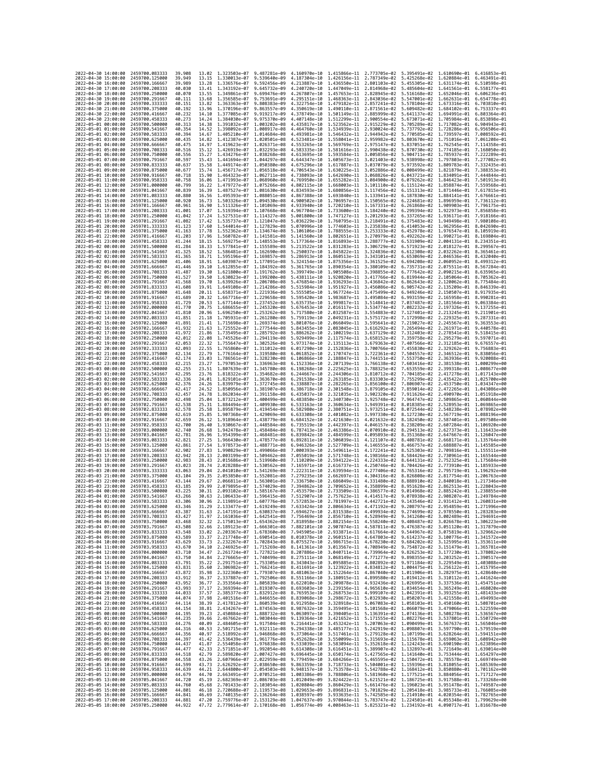| 2022-04-30 14:00:00                        | 2459700.083333                   | 39.908            |                | 13.02 1.323503e-07 9.487281e-09           |                                                                                                                                                                                                                                                               | 4.160970e-10 1.415866e-11 2.773705e-02 |                                           |                              |                                                                  | 5.395491e-02 1.610690e-01 6.416853e-01    |                                                        |
|--------------------------------------------|----------------------------------|-------------------|----------------|-------------------------------------------|---------------------------------------------------------------------------------------------------------------------------------------------------------------------------------------------------------------------------------------------------------------|----------------------------------------|-------------------------------------------|------------------------------|------------------------------------------------------------------|-------------------------------------------|--------------------------------------------------------|
| 2022-04-30 15:00:00                        | 2459700.125000                   | 39.949            | 13.15          | 1.330013e-07                              | 9.539640e-09                                                                                                                                                                                                                                                  | 4.187304e-10                           | 1.426156e-11 2.787349e-02                 |                              | 5.425268e-02                                                     | 1.620884e-01                              | 6.463491e-01                                           |
| 2022-04-30 16:00:00                        | 2459700.166667                   | 39,989            | 13.28          | 1.336576e-07                              | 9.592456e-09                                                                                                                                                                                                                                                  | 4.213887e-10                           | 1.436550e-11                              | 2.801103e-02                 | 5.455305e-02                                                     | 1.631174e-01                              | 6.510598e-01                                           |
| 2022-04-30 17:00:00                        | 2459700.208333                   | 40.030            | 13.41          | 1.343192e-07                              | 9.645732e-09                                                                                                                                                                                                                                                  | 4.240720e-10                           | 1.447049e-11 2.814968e-02                 |                              | 5.485604e-02                                                     | 1.641561e-01 6.558177e-01                 |                                                        |
| 2022-04-30 18:00:00                        | 2459700.250000<br>2459700.291667 | 40.070            | 13.55          | 1.349861e-07                              | 9.699476e-09                                                                                                                                                                                                                                                  | 4.267807e-10                           | 1.457653e-11 2.828945e-02                 |                              | 5.516168e-02                                                     | 1.652046e-01 6.606236e-01                 | 6.654778e-01                                           |
| 2022-04-30 19:00:00<br>2022-04-30 20:00:00 | 2459700.333333                   | 40.111<br>40.151  | 13.68<br>13.82 | 1.356585e-07<br>1.363363e-07              | 9.753691e-09<br>9.808383e-09                                                                                                                                                                                                                                  | 4.295151e-10<br>4.322754e-10           | 1.468363e-11<br>1.479182e-11              | 2.843036e-02<br>2.857241e-02 | 5.547001e-02<br>5.578104e-02                                     | 1.662631e-01<br>1.673316e-01              | 6.703810e-01                                           |
| 2022-04-30 21:00:00                        | 2459700.375000                   | 40.192            | 13.96          | 1.370196e-07                              | 9.863557e-09                                                                                                                                                                                                                                                  | 4.350619e-10                           | 1.490110e-11                              | 2.871561e-02                 | 5.609482e-02                                                     | 1.684102e-01                              | 6.753337e-01                                           |
| 2022-04-30 22:00:00                        | 2459700.416667                   | 40.232            | 14.10          | 1.377085e-07                              | 9.919217e-09                                                                                                                                                                                                                                                  | 4.378749e-10                           | 1.501149e-11 2.885999e-02                 |                              | 5.641137e-02                                                     | 1.694991e-01                              | 6.803364e-01                                           |
| 2022-04-30 23:00:00                        | 2459700.458333                   | 40.273            | 14.24          | 1.384030e-07                              | 9.975370e-09                                                                                                                                                                                                                                                  | 4.407148e-10                           | 1.512299e-11                              | 2.900554e-02                 | 5.673071e-02                                                     | 1.705984e-01                              | 6.853898e-01                                           |
| 2022-05-01 00:00:00                        | 2459700,500000                   | 40.313            | 14.38          | 1.391032e-07                              | 1,003202e-08                                                                                                                                                                                                                                                  | 4.435817e-10                           | 1.523562e-11                              | 2.915229e-02                 | 5.705289e-02                                                     | 1.717082e-01                              | 6.904943e-01                                           |
| 2022-05-01 01:00:00                        | 2459700.541667                   | 40.354            | 14.52          | 1.398092e-07                              | 1.008917e-08                                                                                                                                                                                                                                                  | 4.464760e-10                           | 1.534939e-11                              | 2.930024e-02                 | 5.737792e-02                                                     | 1.728286e-01                              | 6.956506e-01<br>7.008592e-01                           |
| 2022-05-01 02:00:00<br>2022-05-01 03:00:00 | 2459700.583333<br>2459700.625000 | 40.394<br>40.435  | 14.67<br>14.82 | 1.405210e-07<br>1.412387e-07              | 1.014684e-08                                                                                                                                                                                                                                                  | 4.493981e-10<br>4.523481e-10           | 1.546432e-11<br>1.558041e-11              | 2.944942e-02<br>2.959982e-02 | 5.770585e-02<br>5.803670e-02                                     | 1.739597e-01<br>1.751016e-01              | 7.061208e-01                                           |
| 2022-05-01 04:00:00                        | 2459700.666667                   | 40.475            | 14.97          | 1.419623e-07                              | 1.020501e-08<br>1.026371e-08                                                                                                                                                                                                                                  | 4.553265e-10                           | 1.569769e-11                              | 2.975147e-02                 | 5.837051e-02                                                     | 1.762545e-01                              | 7.114358e-01                                           |
| 2022-05-01 05:00:00                        | 2459700.708333                   | 40.516            | 15.12          | 1.426919e-07                              | 1.032293e-08                                                                                                                                                                                                                                                  | 4.583335e-10                           | 1.581616e-11 2.990438e-02                 |                              | 5.870730e-02                                                     | 1.774185e-01                              | 7.168050e-01                                           |
| 2022-05-01 06:00:00                        | 2459700.750000                   | 40.556            | 15.27          | 1.434276e-07                              | 1.038268e-08                                                                                                                                                                                                                                                  | 4.613695e-10                           | 1.593584e-11                              | 3.005856e-02                 | 5.904711e-02                                                     | 1.785937e-01                              | 7.222289e-01                                           |
| 2022-05-01 07:00:00                        | 2459700.791667                   | 40.597            | 15.43          | 1.441694e-07                              | 1.044297e-08                                                                                                                                                                                                                                                  | 4.644347e-10                           | 1.605673e-11                              | 3.021403e-02                 | 5.938998e-02                                                     | 1.797803e-01                              | 7.277082e-01                                           |
| 2022-05-01 08:00:00                        | 2459700.833333                   | 40.637            | 15.58          | 1.449174e-07 1.050380e-08                 |                                                                                                                                                                                                                                                               | 4.675296e-10                           | 1.617887e-11 3.037079e-02                 |                              | 5.973592e-02                                                     | 1.809783e-01 7.332435e-01                 |                                                        |
| 2022-05-01 09:00:00                        | 2459700.875000                   | 40.677            | 15.74          | 1.456717e-07                              | 1.056518e-08                                                                                                                                                                                                                                                  | 4.706543e-10                           | 1.630225e-11 3.052886e-02                 |                              | 6.008499e-02                                                     | 1.821879e-01                              | 7.388353e-01                                           |
| 2022-05-01 10:00:00<br>2022-05-01 11:00:00 | 2459700.916667<br>2459700.958333 | 40.718<br>40.758  | 15.90<br>16.06 | 1.464323e-07<br>1.471993e-07              | 1.062711e-08<br>1.068960e-08                                                                                                                                                                                                                                  | 4.738093e-10<br>4.769950e-10           | 1.642690e-11<br>1.655282e-11 3.084900e-02 | 3.068826e-02                 | 6.043721e-02<br>6.079262e-02                                     | 1.834091e-01<br>1.846423e-01              | 7.444844e-01<br>7.501913e-01                           |
| 2022-05-01 12:00:00                        | 2459701.000000                   | 40.799            | 16.22          | 1.479727e-07                              | 1.075266e-08                                                                                                                                                                                                                                                  | 4.802115e-10                           | 1.668003e-11                              | 3.101110e-02                 | 6.115124e-02                                                     | 1.858874e-01                              | 7.559568e-01                                           |
| 2022-05-01 13:00:00                        | 2459701.041667                   | 40.839            | 16.39          | 1.487527e-07                              | 1.081630e-08                                                                                                                                                                                                                                                  | 4.834593e-10                           | 1.680856e-11                              | 3.117456e-02                 | 6.151313e-02                                                     | 1.871446e-01                              | 7.617815e-01                                           |
| 2022-05-01 14:00:00                        | 2459701.083333                   | 40.880            | 16.56          | 1.495393e-07                              | 1.088051e-08                                                                                                                                                                                                                                                  | 4.867388e-10                           | 1.693840e-11                              | 3.133941e-02                 | 6.187830e-02                                                     | 1.884141e-01                              | 7.676661e-01                                           |
| 2022-05-01 15:00:00                        | 2459701.125000                   | 40.920            | 16.73          | 1.503326e-07                              | 1.094530e-08                                                                                                                                                                                                                                                  | 4.900502e-10                           | 1.706957e-11 3.150565e-02                 |                              | 6.224681e-02                                                     | 1.896959e-01                              | 7.736112e-01                                           |
| 2022-05-01 16:00:00                        | 2459701.166667                   | 40.961            | 16.90          | 1.511326e-07                              | 1.101069e-08                                                                                                                                                                                                                                                  | 4.933940e-10                           | 1.720210e-11                              | 3.167331e-02                 | 6.261868e-02                                                     | 1.909903e-01                              | 7.796175e-01                                           |
| 2022-05-01 17:00:00<br>2022-05-01 18:00:00 | 2459701.208333<br>2459701.250000 | 41.001<br>41.042  | 17.07<br>17.24 | 1.519394e-07<br>1.527531e-07 1.114327e-08 | 1.107668e-08                                                                                                                                                                                                                                                  | 4.967704e-10<br>5.001800e-10           | 1.733600e-11<br>1.747127e-11 3.201293e-02 | 3.184240e-02                 | 6.299394e-02<br>6.337265e-02                                     | 1.922973e-01<br>1.936171e-01              | 7.856858e-01<br>7.918166e-01                           |
| 2022-05-01 19:00:00                        | 2459701.291667                   | 41.082            | 17.42          | 1.535737e-07 1.121047e-08                 |                                                                                                                                                                                                                                                               | 5.036229e-10                           | 1.760795e-11 3.218491e-02                 |                              | 6.375483e-02                                                     | 1.949498e-01 7.980108e-01                 |                                                        |
| 2022-05-01 20:00:00                        | 2459701.333333                   | 41.123            | 17.60          | 1.544014e-07                              | 1.127829e-08                                                                                                                                                                                                                                                  | 5.070996e-10                           | 1.774603e-11 3.235838e-02                 |                              | 6.414053e-02                                                     |                                           | 1.962956e-01 8.042690e-01                              |
| 2022-05-01 21:00:00                        | 2459701.375000                   | 41.163            | 17.78          | 1.552362e-07                              | 1.134674e-08                                                                                                                                                                                                                                                  | 5.106106e-10                           | 1.788555e-11                              | 3.253333e-02                 | 6.452978e-02                                                     | 1.976547e-01                              | 8.105919e-01                                           |
| 2022-05-01 22:00:00                        | 2459701.416667                   | 41.203            | 17.96          | 1.560782e-07 1.141581e-08                 |                                                                                                                                                                                                                                                               | 5.141560e-10                           | 1.802651e-11                              | 3.270979e-02                 | 6.492262e-02                                                     | 1.990271e-01 8.169804e-01                 |                                                        |
| 2022-05-01 23:00:00                        | 2459701.458333                   | 41,244            | 18.15          | 1.569275e-07 1.148553e-08                 |                                                                                                                                                                                                                                                               | 5.177364e-10                           | 1.816893e-11 3.288777e-02                 |                              | 6.531909e-02                                                     | 2.004131e-01 8.234351e-01                 |                                                        |
| 2022-05-02 00:00:00<br>2022-05-02 01:00:00 | 2459701.500000<br>2459701.541667 | 41.284<br>41,325  | 18.33<br>18.52 | 1.577841e-07<br>1.586481e-07              | 1.155589e-08<br>1.162690e-08                                                                                                                                                                                                                                  | 5.213522e-10<br>5.250037e-10           | 1.831283e-11<br>1.845822e-11              | 3.306729e-02<br>3.324836e-02 | 6.571923e-02<br>6.612308e-02                                     | 2.018127e-01<br>2.032262e-01              | 8.299567e-01<br>8.365461e-01                           |
| 2022-05-02 02:00:00                        | 2459701.583333                   | 41.365            | 18.71          | 1.595196e-07                              | 1.169857e-08                                                                                                                                                                                                                                                  | 5.286913e-10                           | 1.860513e-11                              | 3.343101e-02                 | 6.653069e-02                                                     | 2.046536e-01                              | 8.432040e-01                                           |
| 2022-05-02 03:00:00                        | 2459701.625000                   | 41.406            | 18.91          | 1.603987e-07                              | 1.177091e-08                                                                                                                                                                                                                                                  | 5.324154e-10                           | 1.875356e-11                              | 3.361525e-02                 | 6.694208e-02                                                     | 2.060952e-01                              | 8.499312e-01                                           |
| 2022-05-02 04:00:00                        | 2459701.666667                   | 41.446            | 19.10          | 1.612855e-07                              | 1.184392e-08                                                                                                                                                                                                                                                  | 5.361765e-10                           | 1.890354e-11                              | 3.380109e-02                 | 6.735731e-02                                                     | 2.075511e-01                              | 8.567284e-01                                           |
| 2022-05-02 05:00:00                        | 2459701.708333                   | 41.487            | 19.30          | 1.621800e-07 1.191762e-08                 |                                                                                                                                                                                                                                                               | 5.399749e-10                           | 1.905508e-11 3.398855e-02                 |                              | 6.777642e-02                                                     |                                           | 2.090215e-01 8.635965e-01                              |
| 2022-05-02 06:00:00                        | 2459701.750000                   | 41.527            | 19.50          | 1.630823e-07 1.199200e-08                 |                                                                                                                                                                                                                                                               | 5.438111e-10                           | 1.920820e-11 3.417766e-02                 |                              | 6.819944e-02                                                     | 2.105064e-01 8.705362e-01                 |                                                        |
| 2022-05-02 07:00:00<br>2022-05-02 08:00:00 | 2459701.791667<br>2459701.833333 | 41.568<br>41.608  | 19.70<br>19.91 | 1.639926e-07<br>1.649108e-07              | 1,206708e-08<br>1.214286e-08                                                                                                                                                                                                                                  | 5.476854e-10<br>5.515984e-10           | 1.936293e-11<br>1.951927e-11              | 3.436842e-02<br>3.456086e-02 | 6.862643e-02<br>6.905742e-02                                     | 2.120062e-01<br>2.135209e-01              | 8.775484e-01<br>8.846339e-01                           |
| 2022-05-02 09:00:00                        | 2459701.875000                   | 41.648            | 20.11          | 1.658371e-07                              | 1.221936e-08                                                                                                                                                                                                                                                  | 5.555505e-10                           | 1.967724e-11                              | 3.475499e-02                 | 6.949246e-02                                                     | 2.150507e-01                              | 8.917935e-01                                           |
| 2022-05-02 10:00:00                        | 2459701.916667                   | 41.689            | 20.32          | 1.667716e-07 1.229658e-08                 |                                                                                                                                                                                                                                                               | 5.595420e-10                           | 1.983687e-11                              | 3.495084e-02                 | 6.993159e-02                                                     |                                           | 2.165958e-01 8.990281e-01                              |
| 2022-05-02 11:00:00                        | 2459701.958333                   | 41.729            | 20.53          | 1.677144e-07                              | 1.237452e-08                                                                                                                                                                                                                                                  | 5.635735e-10                           | 1.999817e-11                              | 3.514841e-02                 | 7.037487e-02                                                     | 2.181564e-01                              | 9.063384e-01                                           |
| 2022-05-02 12:00:00                        | 2459702.000000                   | 41.770            | 20.75          | 1.686655e-07                              | 1.245320e-08                                                                                                                                                                                                                                                  | 5.676453e-10                           | 2.016117e-11                              | 3.534774e-02                 | 7.082232e-02                                                     | 2.197326e-01                              | 9.137255e-01                                           |
| 2022-05-02 13:00:00<br>2022-05-02 14:00:00 | 2459702.041667                   | 41.810            | 20.96          | 1.696250e-07 1.253262e-08                 |                                                                                                                                                                                                                                                               | 5.717580e-10                           | 2.032587e-11                              | 3.554883e-02                 | 7.127401e-02                                                     |                                           | 2.213245e-01 9.211901e-01<br>2.229325e-01 9.287331e-01 |
| 2022-05-02 15:00:00                        | 2459702.083333<br>2459702.125000 | 41.851<br>41.891  | 21,18<br>21.41 | 1.705931e-07<br>1.715698e-07              | 1.261280e-08<br>1.269374e-08                                                                                                                                                                                                                                  | 5.759119e-10<br>5.801076e-10           | 2.049231e-11<br>2.066049e-11              | 3.575172e-02<br>3.595641e-02 | 7.172998e-02<br>7.219027e-02                                     | 2.245567e-01                              | 9.363553e-01                                           |
| 2022-05-02 16:00:00                        | 2459702.166667                   | 41.932            | 21.63          | 1.725552e-07                              | 1.277544e-08                                                                                                                                                                                                                                                  | 5.843455e-10                           | 2.083045e-11 3.616292e-02                 |                              | 7.265494e-02                                                     | 2.261971e-01                              | 9.440578e-01                                           |
| 2022-05-02 17:00:00                        | 2459702.208333                   | 41,972            | 21.86          | 1.735495e-07                              | 1.285792e-08                                                                                                                                                                                                                                                  | 5.886262e-10                           |                                           | 2.100219e-11 3.637129e-02    | 7.312403e-02                                                     | 2.278541e-01                              | 9.518415e-01                                           |
| 2022-05-02 18:00:00                        | 2459702.250000                   | 42.012            | 22.08          | 1.745526e-07                              | 1.294119e-08                                                                                                                                                                                                                                                  | 5.929499e-10                           | 2.117574e-11                              | 3.658152e-02                 | 7.359758e-02                                                     | 2.295279e-01                              | 9.597071e-01                                           |
| 2022-05-02 19:00:00                        | 2459702.291667                   | 42.053            | 22.32          | 1.755647e-07                              | 1.302526e-08                                                                                                                                                                                                                                                  | 5.973174e-10                           | 2.135113e-11                              | 3.679363e-02                 | 7.407566e-02                                                     | 2.312185e-01                              | 9.676557e-01                                           |
| 2022-05-02 20:00:00                        | 2459702.333333                   | 42.093            | 22.55          | 1.765860e-07                              | 1.311012e-08                                                                                                                                                                                                                                                  | 6.017290e-10                           | 2.152836e-11                              | 3.700766e-02                 | 7.455830e-02                                                     | 2.329262e-01<br>2.346512e-01 9.838056e-01 | 9.756883e-01                                           |
| 2022-05-02 21:00:00<br>2022-05-02 22:00:00 | 2459702.375000<br>2459702.416667 | 42, 134<br>42.174 | 22.79<br>23.03 | 1.776164e-07<br>1.786561e-07              | 1,319580e-08<br>1.328230e-08                                                                                                                                                                                                                                  | 6.061852e-10<br>6.106866e-10           | 2.170747e-11<br>2.188847e-11              | 3.722361e-02<br>3.744151e-02 | 7.504557e-02<br>7.553750e-02                                     | 2.363936e-01                              | 9.920088e-01                                           |
| 2022-05-02 23:00:00                        | 2459702.458333                   | 42.215            | 23.27          | 1.797053e-07                              | 1.336963e-08                                                                                                                                                                                                                                                  | 6.152336e-10                           | 2.207139e-11                              | 3.766138e-02                 | 7.603416e-02                                                     | 2.381538e-01                              | 1,000299e+00                                           |
| 2022-05-03 00:00:00                        | 2459702.500000                   | 42.255            | 23.51          | 1.807639e-07 1.345780e-08                 |                                                                                                                                                                                                                                                               | 6.198268e-10                           | 2.225625e-11 3.788325e-02                 |                              | 7.653559e-02                                                     |                                           | 2.399318e-01 1.008677e+00                              |
| 2022-05-03 01:00:00                        | 2459702.541667                   | 42.295            | 23.76          | 1.818322e-07                              | 1.354682e-08                                                                                                                                                                                                                                                  | 6.244667e-10                           |                                           | 2.244306e-11 3.810712e-02    | 7.704185e-02                                                     |                                           | 2.417278e-01 1.017143e+00                              |
| 2022-05-03 02:00:00                        | 2459702.583333                   | 42.336            | 24.01          | 1.829101e-07                              | 1.363670e-08                                                                                                                                                                                                                                                  | 6.291538e-10                           | 2.263185e-11                              | 3.833303e-02                 | 7.755299e-02                                                     | 2.435422e-01                              | 1.025700e+00                                           |
| 2022-05-03 03:00:00                        | 2459702.625000                   | 42.376<br>42,417  | 24.26<br>24.52 | 1.839979e-07<br>1.850956e-07              | 1.372745e-08                                                                                                                                                                                                                                                  | 6.338887e-10                           | 2.282265e-11                              | 3.856100e-02                 | 7.806907e-02                                                     |                                           | 2.453750e-01 1.034347e+00                              |
| 2022-05-03 04:00:00<br>2022-05-03 05:00:00 | 2459702.666667<br>2459702.708333 | 42.457            | 24.78          | 1.862034e-07                              | 1.381907e-08<br>1.391158e-08                                                                                                                                                                                                                                  | 6.386718e-10<br>6.435037e-10           | 2.301548e-11<br>2.321035e-11              | 3.879105e-02<br>3.902320e-02 | 7.859014e-02<br>7.911626e-02                                     | 2.490970e-01                              | 2.472265e-01 1.043086e+00<br>1.051918e+00              |
| 2022-05-03 06:00:00                        | 2459702.750000                   | 42.498            | 25.04          | 1.873212e-07                              | 1.400499e-08                                                                                                                                                                                                                                                  | 6.483850e-10                           | 2.340730e-11                              | 3.925748e-02                 | 7.964747e-02                                                     |                                           | 2.509865e-01 1.060844e+00                              |
| 2022-05-03 07:00:00                        | 2459702.791667                   | 42.538            | 25.31          | 1.884494e-07                              | 1.409930e-08                                                                                                                                                                                                                                                  | 6.533163e-10                           | 2.360634e-11 3.949391e-02                 |                              | 8.018385e-02                                                     | 2.528953e-01                              | 1.069865e+00                                           |
| 2022-05-03 08:00:00                        | 2459702.833333                   | 42.578            | 25.58          | 1.895879e-07                              | 1.419454e-08                                                                                                                                                                                                                                                  | 6.582980e-10                           | 2.380751e-11                              | 3.973251e-02                 | 8.072544e-02                                                     |                                           | 2.548238e-01 1.078982e+00                              |
| 2022-05-03 09:00:00                        | 2459702.875000                   | 42.619            | 25.85          | 1.907368e-07                              | 1.429069e-08                                                                                                                                                                                                                                                  | 6.633308e-10                           | 2.401082e-11                              | 3.997330e-02                 | 8.127230e-02                                                     | 2.567719e-01                              | 1.088196e+00                                           |
| 2022-05-03 10:00:00                        | 2459702.916667                   | 42.659            | 26.12          | 1.918964e-07 1.438779e-08                 |                                                                                                                                                                                                                                                               | 6.684152e-10                           | 2.421630e-11 4.021632e-02                 |                              | 8.182450e-02                                                     |                                           | 2.587401e-01 1.097508e+00                              |
| 2022-05-03 11:00:00<br>2022-05-03 12:00:00 | 2459702.958333<br>2459703.000000 | 42.700<br>42.740  | 26.40<br>26.68 | 1.930667e-07 1.448584e-08<br>1.942478e-07 | 1.458484e-08                                                                                                                                                                                                                                                  | 6.735519e-10<br>6.787413e-10           | 2.442397e-11 4.046157e-02                 | 2.463386e-11 4.070910e-02    | 8.238209e-02<br>8.294513e-02                                     |                                           | 2.607284e-01 1.106920e+00<br>2.627373e-01 1.116433e+00 |
| 2022-05-03 13:00:00                        | 2459703.041667                   | 42.781            | 26.96          | 1.954399e-07                              | 1.468481e-08                                                                                                                                                                                                                                                  | 6.839842e-10                           | 2.484599e-11                              | 4.095893e-02                 | 8.351368e-02                                                     | 2.647667e-01                              | 1.126047e+00                                           |
| 2022-05-03 14:00:00                        | 2459703.083333                   | 42.821            | 27.25          | 1.966430e-07                              | 1.478577e-08                                                                                                                                                                                                                                                  | 6.892811e-10                           | 2.506039e-11                              | 4.121107e-02                 | 8.408781e-02                                                     |                                           | 2.668171e-01 1.135764e+00                              |
| 2022-05-03 15:00:00                        | 2459703.125000                   | 42,861            | 27.54          | 1.978573e-07                              | 1.488771e-08                                                                                                                                                                                                                                                  | 6.946326e-10                           | 2.527709e-11                              | 4.146555e-02                 | 8.466757e-02                                                     |                                           | 2.688887e-01 1.145585e+00                              |
| 2022-05-03 16:00:00                        | 2459703.166667                   | 42.902            | 27.83          | 1.990829e-07                              | 1.499066e-08                                                                                                                                                                                                                                                  | 7.000393e-10                           | 2.549611e-11                              | 4.172241e-02                 | 8.525303e-02                                                     | 2.709816e-01                              | 1.155511e+00                                           |
| 2022-05-03 17:00:00                        | 2459703.208333<br>2459703.250000 | 42,942            | 28.13          | 2.003199e-07                              | 1.509462e-08                                                                                                                                                                                                                                                  | 7.055019e-10                           | 2.571748e-11 4.198166e-02                 |                              | 8.584426e-02                                                     |                                           | 2.730961e-01 1.165544e+00                              |
| 2022-05-03 18:00:00<br>2022-05-03 19:00:00 | 2459703.291667                   | 42.983<br>43.023  | 28.43<br>28.74 | 2.015686e-07<br>2.028288e-07              | 1.519960e-08<br>1.530562e-08                                                                                                                                                                                                                                  | 7.110209e-10<br>7.165971e-10           | 2.594122e-11<br>2.616737e-11              | 4.224333e-02<br>4.250746e-02 | 8.644131e-02<br>8.704426e-02                                     |                                           | 2.752325e-01 1.175684e+00<br>2.773910e-01 1.185933e+00 |
| 2022-05-03 20:00:00                        | 2459703.333333                   | 43.063            | 29.04          | 2.041010e-07                              | 1.541269e-08                                                                                                                                                                                                                                                  | 7.222311e-10                           | 2.639594e-11                              | 4.277406e-02                 | 8.765316e-02                                                     | 2.795719e-01                              | 1.196292e+00                                           |
| 2022-05-03 21:00:00                        | 2459703.375000                   | 43.104            | 29.35          | 2.053850e-07 1.552081e-08                 |                                                                                                                                                                                                                                                               | 7.279235e-10                           | 2.662697e-11                              | 4.304316e-02                 | 8.826808e-02                                                     |                                           | 2.817754e-01 1.206763e+00                              |
| 2022-05-03 22:00:00                        | 2459703.416667                   | 43.144            | 29.67          | 2.066811e-07 1.563001e-08                 |                                                                                                                                                                                                                                                               | 7.336750e-10                           | 2.686049e-11                              | 4.331480e-02                 | 8.888910e-02                                                     |                                           | 2.840018e-01 1.217346e+00                              |
| 2022-05-03 23:00:00                        | 2459703.458333                   | 43.185            | 29.99          | 2.079895e-07                              | 1.574029e-08                                                                                                                                                                                                                                                  | 7.394862e-10                           | 2.709652e-11                              | 4.358899e-02                 | 8.951628e-02                                                     |                                           | 2.862513e-01 1.228043e+00                              |
| 2022-05-04 00:00:00<br>2022-05-04 01:00:00 | 2459703.500000<br>2459703.541667 | 43.225<br>43.266  | 30.31<br>30.63 | 2.093102e-07<br>2.106433e-07 1.596415e-08 | 1.585167e-08                                                                                                                                                                                                                                                  | 7.453579e-10<br>7.512907e-10           | 2.733509e-11                              | 4.386577e-02<br>4.414517e-02 | 9.014968e-02<br>9.078938e-02                                     | 2.885242e-01                              | 1.238855e+00<br>2.908207e-01 1.249784e+00              |
| 2022-05-04 02:00:00                        | 2459703.583333                   | 43.306            | 30.96          |                                           | 2.119891e-07 1.607776e-08 7.572853e-10                                                                                                                                                                                                                        |                                        | 2.757623e-11                              |                              | 2.781997e-11 4.442721e-02 9.143546e-02 2.931412e-01 1.260831e+00 |                                           |                                                        |
| 2022-05-04 03:00:00                        | 2459703.625000                   | 43.346            | 31.29          |                                           | 2.133477e-07 1.619249e-08 7.633424e-10                                                                                                                                                                                                                        |                                        |                                           |                              | 2.806634e-11 4.471192e-02 9.208797e-02 2.954859e-01 1.271996e+00 |                                           |                                                        |
| 2022-05-04 04:00:00                        | 2459703.666667                   | 43.387            | 31.63          | $2.1471016 - 07$                          | 1 6308370-08                                                                                                                                                                                                                                                  | 7.694627e-10                           | 2.831538e-11                              |                              | 4.499934e-02 9.274699e-02                                        | 2.978550e-01                              | 1 2832830+00                                           |
| 2022-05-04 05:00:00<br>2022-05-04 06:00:00 | 2459703.708333<br>2459703.750000 | 43.427<br>43.468  | 31.97<br>32.32 |                                           | 2.161036e-07 1.642541e-08 7.756469e-10 2.856710e-11 4.528949e-02 9.341260e-02 3.002489e-01 1.294691e+00                                                                                                                                                       |                                        |                                           |                              |                                                                  |                                           |                                                        |
| 2022-05-04 07:00:00                        | 2459703.791667                   | 43.508            | 32.66          |                                           | 2.175013e-07 1.654362e-08 7.818958e-10 2.882154e-11 4.558240e-02 9.408487e-02<br>2.189123e-07 1.666301e-08 7.882101e-10 2.907874e-11 4.587811e-02 9.476387e-02 3.051120e-01 1.317879e+00                                                                      |                                        |                                           |                              |                                                                  |                                           | 3.026678e-01 1.306223e+00                              |
| 2022-05-04 08:00:00                        | 2459703.833333                   | 43.548            |                |                                           | 33.02 2.203367e-07 1.678360e-08 7.945905e-10 2.933871e-11 4.617664e-02 9.544967e-02 3.075819e-01 1.329662e+00                                                                                                                                                 |                                        |                                           |                              |                                                                  |                                           |                                                        |
| 2022-05-04 09:00:00                        | 2459703.875000                   | 43.589            |                |                                           | 33.37 2.217748e-07 1.690541e-08 8.010378e-10 2.960151e-11 4.647803e-02 9.614237e-02 3.100776e-01 1.341572e+00                                                                                                                                                 |                                        |                                           |                              |                                                                  |                                           |                                                        |
| 2022-05-04 10:00:00                        | 2459703.916667                   | 43.629            | 33.73          |                                           | 2.232267e-07 1.702843e-08 8.075527e-10                                                                                                                                                                                                                        |                                        |                                           |                              | 2.986715e-11 4.678230e-02 9.684202e-02                           |                                           | 3.125995e-01 1.353611e+00                              |
| 2022-05-04 11:00:00<br>2022-05-04 12:00:00 | 2459703.958333<br>2459704.000000 | 43.670<br>43.710  | 34.10          |                                           | 2.246925e-07 1.715269e-08 8.141361e-10 3.013567e-11 4.708949e-02 9.754872e-02<br>34.47 2.261724e-07 1.727821e-08 8.207886e-10 3.040711e-11 4.739964e-02 9.826253e-02 3.177230e-01 1.378082e+00                                                                |                                        |                                           |                              |                                                                  |                                           | 3.151479e-01 1.365781e+00                              |
| 2022-05-04 13:00:00                        | 2459704.041667                   | 43.750            |                |                                           | 34.84 2.276665e-07 1.740499e-08 8.275111e-10 3.068149e-11 4.771277e-02 9.898355e-02 3.203252e-01 1.390517e+00                                                                                                                                                 |                                        |                                           |                              |                                                                  |                                           |                                                        |
| 2022-05-04 14:00:00                        | 2459704.083333                   | 43.791            | 35.22          |                                           | 2.291751e-07 1.753305e-08 8.343043e-10 3.095885e-11 4.802892e-02 9.971184e-02                                                                                                                                                                                 |                                        |                                           |                              |                                                                  |                                           | 3.229549e-01 1.403088e+00                              |
| 2022-05-04 15:00:00                        | 2459704.125000                   | 43.831            |                |                                           | 35.60 2.306982e-07 1.766241e-08 8.411691e-10 3.123922e-11 4.834812e-02 1.004475e-01 3.256122e-01 1.415795e+00                                                                                                                                                 |                                        |                                           |                              |                                                                  |                                           |                                                        |
| 2022-05-04 16:00:00                        | 2459704.166667                   | 43.872            |                |                                           | 35.98 2.322360e-07 1.779307e-08 8.481063e-10 3.152264e-11 4.867040e-02 1.011906e-01 3.282975e-01 1.428640e+00                                                                                                                                                 |                                        |                                           |                              |                                                                  |                                           |                                                        |
| 2022-05-04 17:00:00                        | 2459704.208333<br>2459704.250000 | 43,912            | 36.37          |                                           | $\begin{array}{cccccccc} 2.337887e-07 & 1.792506e-08 & 8.551166e-10 & 3.180915e-11 & 4.899580e-02 & 1.019412e-01 & 3.310112e-01 & 1.441624e+00 \\ 2.353564e-07 & 1.805839e-08 & 8.622010e-10 & 3.209878e-11 & 4.932436e-02 & 1.026995e-01 & 3.337536e-01 & 1$ |                                        |                                           |                              |                                                                  |                                           |                                                        |
| 2022-05-04 18:00:00<br>2022-05-04 19:00:00 | 2459704.291667                   | 43.952<br>43,993  | 36.77          |                                           | 37.17 2.369394e-07 1.819307e-08 8.693603e-10 3.239156e-11 4.965610e-02 1.034654e-01 3.365249e-01 1.468020e+00                                                                                                                                                 |                                        |                                           |                              |                                                                  |                                           |                                                        |
| 2022-05-04 20:00:00                        | 2459704.333333                   | 44.033            |                |                                           |                                                                                                                                                                                                                                                               |                                        |                                           |                              |                                                                  |                                           |                                                        |
| 2022-05-04 21:00:00                        | 2459704.375000                   | 44.074            |                |                                           | 37.57 2.385377e-07 1.832912e-08 8.765953e-10 3.268753e-11 4.999107e-02 1.042391e-01 3.393255e-01 1.481433e+00<br>37.98 2.401516e-07 1.846655e-08 8.839068e-10 3.29867ze-11 5.082930e-02 1.050207e-01 3.393255e-01 1.49493e+00<br>38.                          |                                        |                                           |                              |                                                                  |                                           |                                                        |
| 2022-05-04 22:00:00                        | 2459704.416667                   | 44.114            |                |                                           |                                                                                                                                                                                                                                                               |                                        |                                           |                              |                                                                  |                                           |                                                        |
| 2022-05-04 23:00:00                        | 2459704.458333                   | 44.154            |                |                                           | 38.81 2.434267e-07 1.874563e-08 8.987632e-10 3.359495e-11 5.101568e-02 1.066079e-01 3.479066e-01 1.522559e+00                                                                                                                                                 |                                        |                                           |                              |                                                                  |                                           |                                                        |
| 2022-05-05 00:00:00<br>2022-05-05 01:00:00 | 2459704.500000<br>2459704.541667 | 44.195<br>44.235  |                |                                           | 39.23 2.450884e-07 1.888732e-08 9.063097e-10 3.390405e-11 5.136391e-02 1.074136e-01 3.508278e-01 1.536567e+00                                                                                                                                                 |                                        |                                           |                              |                                                                  |                                           |                                                        |
| 2022-05-05 02:00:00                        | 2459704.583333                   | 44.276            |                |                                           | 39.66 2.467662e-07 1.903044e-08 9.139364e-10 3.421652e-11 5.171555e-02 1.082276e-01 3.537801e-01 1.550729e+00<br>40.09 2.484605e-07 1.917504e-08 9.216441e-10 3.453242e-11 5.207063e-02 1.090499e-01 3.567637e-01 1.565046e+00                                |                                        |                                           |                              |                                                                  |                                           |                                                        |
| 2022-05-05 03:00:00                        | 2459704.625000                   | 44.316            |                |                                           | 40.53 2.501715e-07 1.932111e-08 9.294338e-10 3.485177e-11 5.242919e-02 1.098807e-01 3.597790e-01 1.579519e+00                                                                                                                                                 |                                        |                                           |                              |                                                                  |                                           |                                                        |
| 2022-05-05 04:00:00                        | 2459704.666667                   | 44.356            |                |                                           | 40.97 2.518992e-07 1.946868e-08 9.373064e-10 3.517461e-11 5.279128e-02 1.107199e-01 3.628264e-01 1.594151e+00<br>41.42 2.536439e-07 1.961776e-08 9.452628e-10 3.550099e-11 5.315693e-02 1.115678e-01 3.659063e-01 1.608942e+00                                |                                        |                                           |                              |                                                                  |                                           |                                                        |
| 2022-05-05 05:00:00                        | 2459704.708333                   | 44.397            |                |                                           |                                                                                                                                                                                                                                                               |                                        |                                           |                              |                                                                  |                                           |                                                        |
| 2022-05-05 06:00:00<br>2022-05-05 07:00:00 | 2459704.750000<br>2459704.791667 | 44.437<br>44.477  |                |                                           | 41.87 2.554058e-07 1.976838e-08 9.533039e-10 3.583094e-11 5.352618e-02 1.124243e-01 3.690190e-01 1.623896e+00<br>42.33 2.571851e-07 1.992054e-08 9.614308e-10 3.616451e-11 5.389907e-02 1.132897e-01 3.721649e-01 1.639014e+00                                |                                        |                                           |                              |                                                                  |                                           |                                                        |
| 2022-05-05 08:00:00                        | 2459704.833333                   | 44.518            |                |                                           |                                                                                                                                                                                                                                                               |                                        |                                           |                              |                                                                  |                                           |                                                        |
| 2022-05-05 09:00:00                        | 2459704.875000                   | 44.558            |                |                                           | $\begin{array}{cccccccc} 42.79 & 2.589820e&-07 & 2.007427e&-08 & 9.696445e&-10 & 3.650174e&-11 & 5.427565e&-02 & 1.141640e&-01 & 3.753444e&-01 & 1.654297e&00 \\ 43.26 & 2.607966e&-07 & 2.022959e&-08 & 9.779459e&-10 & 3.684266e&-11 & 5.465595e&-02 & 1.1$ |                                        |                                           |                              |                                                                  |                                           |                                                        |
| 2022-05-05 10:00:00                        | 2459704.916667                   | 44.599            |                |                                           | 43.73 2.626292e-07 2.038650e-08 9.863359e-10 3.718733e-11 5.504001e-02 1.159396e-01 3.818055e-01 1.685369e+00                                                                                                                                                 |                                        |                                           |                              |                                                                  |                                           |                                                        |
| 2022-05-05 11:00:00                        | 2459704.958333                   | 44.639            |                |                                           | 44.21 2.644800e-07 2.054503e-08 9.948157e-10 3.753578e-11 5.542788e-02 1.168412e-01 3.850880e-01 1.701162e+00<br>44.70 2.663491e-07 2.070521e-08 1.003386e-09 3.788806e-11 5.581960e-02 1.177521e-01 3.884056e-01 1.717127e+00                                |                                        |                                           |                              |                                                                  |                                           |                                                        |
| 2022-05-05 12:00:00<br>2022-05-05 13:00:00 | 2459705.000000<br>2459705.041667 | 44.679<br>44.720  |                |                                           | 45.19 2.682369e-07 2.086703e-08 1.012049e-09 3.824422e-11 5.621521e-02 1.186725e-01 3.917588e-01 1.733268e+00                                                                                                                                                 |                                        |                                           |                              |                                                                  |                                           |                                                        |
| 2022-05-05 14:00:00                        | 2459705.083333                   | 44.760            |                |                                           | 45.68 2.701433e-07 2.103054e-08 1.020804e-09 3.860429e-11 5.661476e-02 1.196023e-01 3.951478e-01 1.749587e+00                                                                                                                                                 |                                        |                                           |                              |                                                                  |                                           |                                                        |
| 2022-05-05 15:00:00                        | 2459705.125000                   | 44.801            |                |                                           |                                                                                                                                                                                                                                                               |                                        |                                           |                              |                                                                  |                                           |                                                        |
| 2022-05-05 16:00:00                        | 2459705.166667                   | 44.841            |                |                                           | 46.18 2.720638e-07 2.119573e-08 1.029653e-09 3.896831e-11 5.701829e-02 1.205418e-01 3.985733e-01 1.766085e+00<br>46.69 2.740138e-07 2.119573e-08 1.035539e-09 3.893633e-11 5.701829e-02 1.214910e-01 3.985733e-01 1.766085e+00<br>47                          |                                        |                                           |                              |                                                                  |                                           |                                                        |
| 2022-05-05 17:00:00                        | 2459705.208333                   | 44.881            |                |                                           |                                                                                                                                                                                                                                                               |                                        |                                           |                              |                                                                  |                                           |                                                        |
| 2022-05-05 18:00:00                        | 2459705.250000                   | 44.922            |                |                                           | 47.72 2.779614e-07 2.170168e-08 1.056774e-09 4.008463e-11 5.825321e-02 1.234192e-01 4.090717e-01 1.816678e+00                                                                                                                                                 |                                        |                                           |                              |                                                                  |                                           |                                                        |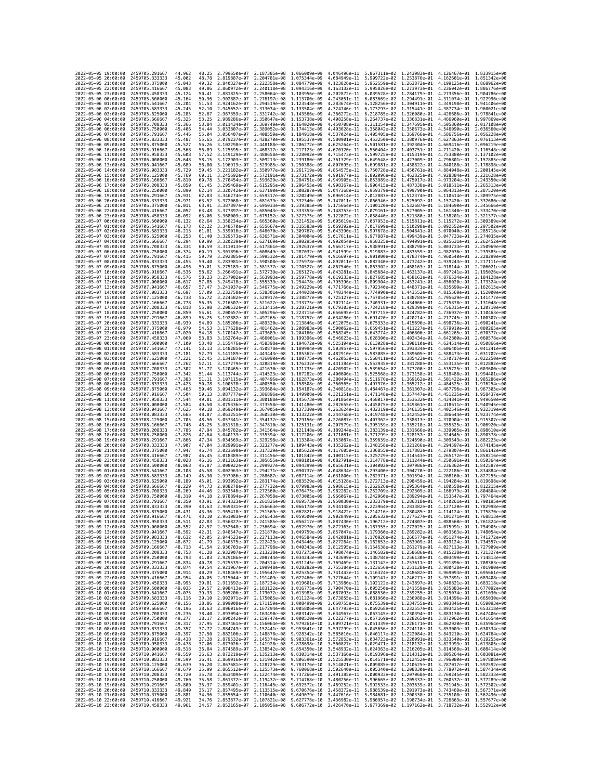| 2022-05-05 19:00:00                        | 2459705.291667                   | 44.962           | 48.25          | 2.799650e-07 2.187385e-08 1.066009e-09                 |                                                        |                                                                                                                                                                                                                                                                                    |                              | 4.046496e-11 5.867311e-02 1.243983e-01 4.126467e-01 1.833915e+00                                                                                                                       |                              |                                        |                                           |
|--------------------------------------------|----------------------------------|------------------|----------------|--------------------------------------------------------|--------------------------------------------------------|------------------------------------------------------------------------------------------------------------------------------------------------------------------------------------------------------------------------------------------------------------------------------------|------------------------------|----------------------------------------------------------------------------------------------------------------------------------------------------------------------------------------|------------------------------|----------------------------------------|-------------------------------------------|
| 2022-05-05 20:00:00                        | 2459705.333333                   | 45.002           | 48.78          | 2.819887e-07                                           | 2.204781e-08                                           | 1,075344e-09                                                                                                                                                                                                                                                                       | 4.084949e-11                 | 5.909722e-02 1.253876e-01                                                                                                                                                              |                              | 4.162601e-01                           | 1.851342e+00                              |
| 2022-05-05 21:00:00                        | 2459705.375000                   | 45.043           | 49.32          | 2.840327e-07                                           | 2.222358e-08                                           | 1.084779e-09                                                                                                                                                                                                                                                                       | 4.123826e-11                 | 5.952559e-02 1.263872e-01                                                                                                                                                              |                              | 4.199125e-01                           | 1.868962e+00                              |
| 2022-05-05 22:00:00<br>2022-05-05 23:00:00 | 2459705.416667<br>2459705.458333 | 45.083<br>45.124 | 49.86<br>50.41 | 2.860972e-07<br>2.881825e-07                           | 2.240118e-08 1.094316e-09<br>2.258064e-08 1.103956e-09 |                                                                                                                                                                                                                                                                                    | 4.163132e-11                 | 5.995826e-02 1.273973e-01 4.236042e-01 1.886776e+00<br>4.202872e-11  6.039528e-02  1.284179e-01  4.273356e-01  1.904786e+00                                                            |                              |                                        |                                           |
| 2022-05-06 00:00:00                        | 2459705.500000                   | 45.164           | 50.96          | 2.902887e-07                                           | 2.276197e-08                                           | 1.113700e-09                                                                                                                                                                                                                                                                       | 4.243051e-11                 | 6.083669e-02                                                                                                                                                                           | 1.294491e-01                 | 4.311074e-01                           | 1.922996e+00                              |
| 2022-05-06 01:00:00                        | 2459705.541667                   | 45.204           | 51.53          | 2.924162e-07                                           | 2.294519e-08 1.123548e-09                              |                                                                                                                                                                                                                                                                                    | 4.283674e-11                 | 6.128256e-02 1.304911e-01                                                                                                                                                              |                              | 4.349198e-01                           | 1.941406e+00                              |
| 2022-05-06 02:00:00                        | 2459705.583333                   | 45.245           | 52.10          | 2.945652e-07                                           | 2.313034e-08 1.133504e-09                              |                                                                                                                                                                                                                                                                                    | 4.324746e-11                 | 6.173293e-02 1.315441e-01                                                                                                                                                              |                              | 4.387734e-01                           | 1.960021e+00                              |
| 2022-05-06 03:00:00                        | 2459705.625000                   | 45.285           | 52.67          | 2.967359e-07                                           | 2.331742e-08 1.143566e-09                              |                                                                                                                                                                                                                                                                                    | 4.366272e-11                 | 6.218785e-02 1.326080e-01                                                                                                                                                              |                              | 4.426686e-01                           | 1.978841e+00                              |
| 2022-05-06 04:00:00<br>2022-05-06 05:00:00 | 2459705.666667<br>2459705.708333 | 45.325<br>45.366 | 53.25<br>53.84 | 2.989286e-07<br>3.011434e-07                           | 2.350647e-08 1.153738e-09<br>2.369749e-08 1.164020e-09 |                                                                                                                                                                                                                                                                                    | 4.408258e-11<br>4.450708e-11 | 6.264737e-02 1.336831e-01<br>6.311154e-02 1.347695e-01                                                                                                                                 |                              | 4.466060e-01<br>4.505860e-01           | 1.997869e+00<br>2.017108e+00              |
| 2022-05-06 06:00:00                        | 2459705.750000                   | 45.406           | 54.44          | 3.033807e-07                                           | 2.389052e-08 1.174413e-09                              |                                                                                                                                                                                                                                                                                    | 4.493628e-11                 | 6.358042e-02 1.358673e-01                                                                                                                                                              |                              | 4.546090e-01                           | 2.036560e+00                              |
| 2022-05-06 07:00:00                        | 2459705.791667                   | 45.446           | 55.04          | 3.056407e-07                                           | 2.408559e-08                                           | 1.184918e-09                                                                                                                                                                                                                                                                       | 4.537024e-11                 | 6.405405e-02                                                                                                                                                                           | 1.369766e-01                 | 4.586756e-01                           | 2.056228e+00                              |
| 2022-05-06 08:00:00                        | 2459705.833333                   | 45.487           | 55.65          | 3.079237e-07                                           | 2.428270e-08 1.195537e-09                              |                                                                                                                                                                                                                                                                                    | 4.580901e-11                 | 6.453250e-02 1.380976e-01                                                                                                                                                              |                              | 4.627863e-01                           | 2.076113e+00                              |
| 2022-05-06 09:00:00<br>2022-05-06 10:00:00 | 2459705.875000<br>2459705.916667 | 45.527<br>45,568 | 56.26<br>56.89 | 3.102298e-07<br>3.125595e-07                           | 2.448188e-08 1.206272e-09<br>2.468317e-08 1.217123e-09 |                                                                                                                                                                                                                                                                                    | 4.625264e-11<br>4.670120e-11 | 6.501581e-02 1.392304e-01<br>6.550404e-02 1.403751e-01                                                                                                                                 |                              | 4.669416e-01<br>4.711420e-01           | 2.096219e+00<br>2.116548e+00              |
| 2022-05-06 11:00:00                        | 2459705.958333                   | 45.608           | 57.52          | 3.149129e-07                                           | 2.488658e-08                                           | 1.228092e-09                                                                                                                                                                                                                                                                       | 4.715473e-11                 | 6.599725e-02 1.415319e-01                                                                                                                                                              |                              | 4.753880e-01                           | 2.137102e+00                              |
| 2022-05-06 12:00:00                        | 2459706.000000                   | 45.648           | 58.15          | 3.172903e-07                                           | 2.509213e-08 1.239180e-09                              |                                                                                                                                                                                                                                                                                    | 4.761329e-11                 | 6.649548e-02 1.427009e-01                                                                                                                                                              |                              | 4.796801e-01                           | 2.157885e+00                              |
| 2022-05-06 13:00:00                        | 2459706.041667                   | 45.689           | 58.80          | 3.196919e-07                                           | 2.529985e-08 1.250388e-09                              |                                                                                                                                                                                                                                                                                    | 4.807695e-11                 | 6.699881e-02 1.438822e-01                                                                                                                                                              |                              | 4.840188e-01                           | 2.178898e+00                              |
| 2022-05-06 14:00:00                        | 2459706.083333                   | 45.729           | 59.45          | 3.221182e-07                                           | 2.550977e-08 1.261719e-09                              |                                                                                                                                                                                                                                                                                    | 4.854575e-11                 | 6.750728e-02 1.450761e-01                                                                                                                                                              |                              | 4.884048e-01                           | 2.200145e+00<br>2.221628e+00              |
| 2022-05-06 15:00:00<br>2022-05-06 16:00:00 | 2459706.125000<br>2459706.166667 | 45.769<br>45.810 | 60.11<br>60.78 | 3.245692e-07<br>3.270454e-07                           | 2.572191e-08 1.273172e-09<br>2.593629e-08 1.284751e-09 |                                                                                                                                                                                                                                                                                    | 4.901977e-11<br>4.949905e-11 | 6.802096e-02 1.462825e-01<br>6.853989e-02 1.475017e-01                                                                                                                                 |                              | 4.928384e-01<br>4.973204e-01           | 2.243350e+00                              |
| 2022-05-06 17:00:00                        | 2459706.208333                   | 45.850           | 61.45          | 3.295469e-07                                           | 2.615295e-08 1.296455e-09                              |                                                                                                                                                                                                                                                                                    | 4.998367e-11                 | 6.906415e-02 1.487338e-01                                                                                                                                                              |                              | 5.018511e-01                           | 2.265313e+00                              |
| 2022-05-06 18:00:00                        | 2459706.250000                   | 45.890           | 62.14          | 3.320742e-07                                           | 2.637190e-08                                           | 1.308287e-09                                                                                                                                                                                                                                                                       | 5.047368e-11                 | 6.959379e-02 1.499790e-01                                                                                                                                                              |                              | 5.064313e-01                           | 2.287520e+00                              |
| 2022-05-06 19:00:00                        | 2459706.291667                   | 45.931           | 62.83          | 3.346274e-07                                           | 2.659317e-08 1.320249e-09                              |                                                                                                                                                                                                                                                                                    | 5.096914e-11                 | 7.012887e-02 1.512374e-01                                                                                                                                                              |                              | 5.110614e-01                           | 2.309975e+00                              |
| 2022-05-06 20:00:00<br>2022-05-06 21:00:00 | 2459706.333333<br>2459706.375000 | 45.971<br>46.011 | 63.52<br>63.91 | 3.372068e-07<br>3.387897e-07                           | 2.681679e-08 1.332340e-09<br>2.695033e-08 1.339385e-09 |                                                                                                                                                                                                                                                                                    | 5.147011e-11<br>5.175664e-11 | 7.066946e-02 1.525092e-01<br>7.100120e-02 1.532687e-01                                                                                                                                 |                              | 5.157420e-01<br>5.184690e-01           | 2.332680e+00<br>2.345666e+00              |
| 2022-05-06 22:00:00                        | 2459706.416667                   | 46.052           | 63.48          | 3.377897e-07                                           | 2.685043e-08                                           | 1.333353e-09                                                                                                                                                                                                                                                                       | 5.148753e-11                 | 7.079161e-02 1.527005e-01                                                                                                                                                              |                              | 5.161340e-01                           | 2.333470e+00                              |
| 2022-05-06 23:00:00                        | 2459706.458333                   | 46.092           | 63.06          | 3.368009e-07                                           | 2.675152e-08 1.327375e-09                              |                                                                                                                                                                                                                                                                                    | 5.122072e-11                 | 7.058440e-02 1.521380e-01                                                                                                                                                              |                              | 5.138201e-01                           | 2.321377e+00                              |
| 2022-05-07 00:00:00                        | 2459706.500000                   | 46.132           | 62.64          | 3.358234e-07                                           | 2.665360e-08 1.321452e-09                              |                                                                                                                                                                                                                                                                                    | 5.095619e-11                 | 7.037953e-02 1.515811e-01                                                                                                                                                              |                              | 5.115272e-01                           | 2.309389e+00                              |
| 2022-05-07 01:00:00                        | 2459706.541667                   | 46.173           | 62.22          | 3.348570e-07                                           | 2.655667e-08 1.315583e-09                              |                                                                                                                                                                                                                                                                                    | 5.069392e-11                 | 7.017699e-02 1.510298e-01                                                                                                                                                              |                              | 5.092552e-01                           | 2.297502e+00                              |
| 2022-05-07 02:00:00<br>2022-05-07 03:00:00 | 2459706.583333<br>2459706.625000 | 46.213<br>46.253 | 61.81<br>61.40 | 3.339016e-07<br>3.329573e-07                           | 2.646070e-08 1.309767e-09<br>2.636571e-08              | 1.304004e-09                                                                                                                                                                                                                                                                       | 5.043390e-11<br>5.017611e-11 | 6.997678e-02 1.504841e-01<br>6.977887e-02 1.499439e-01                                                                                                                                 |                              | 5.070040e-01<br>5.047733e-01           | 2.285718e+00<br>2.274035e+00              |
| 2022-05-07 04:00:00                        | 2459706.666667                   | 46.294           | 60.99          | 3.320239e-07                                           | 2.627169e-08 1.298295e-09                              |                                                                                                                                                                                                                                                                                    |                              | 4.992054e-11  6.958325e-02  1.494091e-01  5.025631e-01  2.262452e+00                                                                                                                   |                              |                                        |                                           |
| 2022-05-07 05:00:00                        | 2459706.708333                   | 46.334           | 60.59          | 3.311013e-07                                           | 2.617861e-08                                           | 1.292637e-09                                                                                                                                                                                                                                                                       | 4.966717e-11                 | 6.938991e-02                                                                                                                                                                           | 1.488798e-01                 | 5.003733e-01                           | 2.250969e+00                              |
| 2022-05-07 06:00:00                        | 2459706.750000                   | 46.374           | 60.19          | 3.301896e-07                                           | 2.608649e-08 1.287032e-09                              |                                                                                                                                                                                                                                                                                    | 4.941599e-11                 | 6.919883e-02 1.483559e-01                                                                                                                                                              |                              | 4.982036e-01                           | 2.239585e+00                              |
| 2022-05-07 07:00:00<br>2022-05-07 08:00:00 | 2459706.791667<br>2459706.833333 | 46.415<br>46.455 | 59.79<br>59.40 | 3.292885e-07<br>3.283981e-07                           | 2.599532e-08<br>2.590508e-08 1.275978e-09              | 1.281479e-09                                                                                                                                                                                                                                                                       | 4.916697e-11<br>4.892011e-11 | 6.901000e-02 1.478374e-01<br>6.882340e-02 1.473242e-01                                                                                                                                 |                              | 4.960540e-01<br>4.939243e-01           | 2.228299e+00<br>2.217111e+00              |
| 2022-05-07 09:00:00                        | 2459706.875000                   | 46.496           | 59.01          | 3.275183e-07                                           | 2.581577e-08 1.270527e-09                              |                                                                                                                                                                                                                                                                                    | 4.867540e-11                 | 6.863902e-02 1.468163e-01                                                                                                                                                              |                              | 4.918144e-01                           | 2.206021e+00                              |
| 2022-05-07 10:00:00                        | 2459706,916667                   | 46.536           | 58.62          | 3.266491e-07                                           | 2.572739e-08 1.265127e-09                              |                                                                                                                                                                                                                                                                                    | 4.843281e-11                 | 6.845684e-02 1.463137e-01                                                                                                                                                              |                              | 4.897241e-01                           | 2.195026e+00                              |
| 2022-05-07 11:00:00                        | 2459706.958333                   | 46.576           | 58.23          | 3.257902e-07                                           | 2.563993e-08 1.259778e-09                              |                                                                                                                                                                                                                                                                                    | 4.819233e-11                 | 6.827685e-02 1.458163e-01                                                                                                                                                              |                              | 4.876534e-01                           | 2.184128e+00                              |
| 2022-05-07 12:00:00<br>2022-05-07 13:00:00 | 2459707.000000<br>2459707.041667 | 46.617<br>46.657 | 57.85<br>57.47 | 3.249418e-07<br>3.241037e-07                           | 2.555339e-08<br>2.546775e-08                           | 1.254478e-09<br>1.249229e-09                                                                                                                                                                                                                                                       | 4.795396e-11<br>4.771766e-11 | 6.809904e-02<br>6.792340e-02                                                                                                                                                           | 1.453241e-01<br>1.448371e-01 | 4.856020e-01<br>4.835699e-01           | 2.173324e+00<br>2.162615e+00              |
| 2022-05-07 14:00:00                        | 2459707.083333                   | 46.697           | 57.09          | 3.232758e-07                                           | 2.538301e-08 1.244028e-09                              |                                                                                                                                                                                                                                                                                    | 4.748344e-11                 | 6.774990e-02 1.443552e-01                                                                                                                                                              |                              | 4.815569e-01                           | 2.152000e+00                              |
| 2022-05-07 15:00:00                        | 2459707.125000                   | 46.738           | 56.72          | 3.224582e-07                                           | 2.529917e-08 1.238877e-09                              |                                                                                                                                                                                                                                                                                    | 4.725127e-11                 | 6.757854e-02 1.438784e-01                                                                                                                                                              |                              | 4.795629e-01                           | 2.141477e+00                              |
| 2022-05-07 16:00:00                        | 2459707.166667                   | 46.778           | 56.35          | 3.216507e-07                                           | 2.521622e-08                                           | 1.233775e-09                                                                                                                                                                                                                                                                       | 4.702114e-11                 | 6.740931e-02                                                                                                                                                                           | 1.434066e-01                 | 4.775878e-01                           | 2.131048e+00                              |
| 2022-05-07 17:00:00                        | 2459707.208333                   | 46.818           | 55.98          | 3.208532e-07                                           | 2.513415e-08 1.228721e-09                              |                                                                                                                                                                                                                                                                                    | 4.679303e-11                 | 6.724218e-02 1.429399e-01                                                                                                                                                              |                              | 4.756315e-01                           | 2.120710e+00                              |
| 2022-05-07 18:00:00<br>2022-05-07 19:00:00 | 2459707.250000<br>2459707.291667 | 46.859<br>46.899 | 55.61<br>55.25 | 3.200657e-07<br>3.192882e-07                           | 2.505296e-08 1.223715e-09<br>2.497265e-08 1.218757e-09 |                                                                                                                                                                                                                                                                                    | 4.656695e-11<br>4.634286e-11 | 6.707715e-02 1.424782e-01<br>6.691420e-02 1.420214e-01                                                                                                                                 |                              | 4.736937e-01<br>4.717745e-01           | 2.110463e+00<br>2.100307e+00              |
| 2022-05-07 20:00:00                        | 2459707.333333                   | 46.939           | 54.89          | 3.185206e-07                                           | 2.489320e-08 1.213846e-09                              |                                                                                                                                                                                                                                                                                    | 4.612075e-11                 | 6.675333e-02 1.415696e-01                                                                                                                                                              |                              | 4.698736e-01                           | 2.090241e+00                              |
| 2022-05-07 21:00:00                        | 2459707.375000                   | 46.979           | 54.53          | 3.177628e-07                                           | 2.481462e-08 1.208983e-09                              |                                                                                                                                                                                                                                                                                    | 4.590062e-11                 | 6.659451e-02 1.411227e-01                                                                                                                                                              |                              | 4.679910e-01                           | 2.080265e+00                              |
| 2022-05-07 22:00:00                        | 2459707.416667                   | 47.020           | 54.18          | 3.170147e-07                                           | 2.473689e-08 1.204166e-09                              |                                                                                                                                                                                                                                                                                    | 4.568245e-11                 | 6.643774e-02 1.406806e-01                                                                                                                                                              |                              | 4.661265e-01                           | 2.070377e+00                              |
| 2022-05-07 23:00:00<br>2022-05-08 00:00:00 | 2459707.458333<br>2459707.500000 | 47.060<br>47.100 | 53.83<br>53.48 | 3.162764e-07<br>3.155476e-07                           | 2.466001e-08<br>2.458398e-08 1.194672e-09              | 1.199396e-09                                                                                                                                                                                                                                                                       | 4.546623e-11<br>4.525194e-11 | 6.628300e-02<br>6.613028e-02 1.398110e-01                                                                                                                                              | 1.402434e-01                 | 4.642800e-01<br>4.624514e-01           | 2.060578e+00<br>2.050866e+00              |
| 2022-05-08 01:00:00                        | 2459707.541667                   | 47.141           | 53.13          | 3.148285e-07                                           | 2.450878e-08 1.189994e-09                              |                                                                                                                                                                                                                                                                                    | 4.503957e-11                 | 6.597956e-02 1.393834e-01                                                                                                                                                              |                              | 4.606405e-01                           | 2.041241e+00                              |
| 2022-05-08 02:00:00                        | 2459707.583333                   | 47.181           | 52.79          | 3.141189e-07                                           | 2.443443e-08 1.185362e-09                              |                                                                                                                                                                                                                                                                                    |                              | 4.482910e-11 6.583085e-02 1.389605e-01                                                                                                                                                 |                              | 4.588473e-01                           | 2.031702e+00                              |
| 2022-05-08 03:00:00                        | 2459707.625000                   | 47.221           | 52.45          | 3.134187e-07                                           | 2.436090e-08                                           | 1.180775e-09                                                                                                                                                                                                                                                                       | 4.462053e-11                 | 6.568411e-02                                                                                                                                                                           | 1.385423e-01                 | 4.570717e-01                           | 2.022250e+00                              |
| 2022-05-08 04:00:00<br>2022-05-08 05:00:00 | 2459707.666667<br>2459707.708333 | 47.262<br>47.302 | 52.11<br>51.77 | 3.127279e-07<br>3.120465e-07                           | 2.428819e-08 1.176232e-09<br>2.421630e-08 1.171735e-09 |                                                                                                                                                                                                                                                                                    | 4.441384e-11<br>4.420902e-11 | 6.553935e-02 1.381288e-01<br>6.539654e-02 1.377200e-01                                                                                                                                 |                              | 4.553135e-01<br>4.535725e-01           | 2.012882e+00<br>2.003600e+00              |
| 2022-05-08 06:00:00                        | 2459707.750000                   | 47.342           | 51.44          | 3.113744e-07                                           | 2.414523e-08 1.167282e-09                              |                                                                                                                                                                                                                                                                                    | 4.400606e-11                 | 6.525568e-02 1.373158e-01                                                                                                                                                              |                              | 4.518488e-01                           | 1.994401e+00                              |
| 2022-05-08 07:00:00                        | 2459707.791667                   | 47.383           | 51.11          | 3.107115e-07                                           | 2.407496e-08 1.162873e-09                              |                                                                                                                                                                                                                                                                                    | 4.380494e-11                 | 6.511676e-02 1.369162e-01                                                                                                                                                              |                              | 4.501422e-01                           | 1.985286e+00                              |
| 2022-05-08 08:00:00                        | 2459707.833333                   | 47.423           | 50.78          | 3.100578e-07                                           | 2.400550e-08 1.158508e-09                              |                                                                                                                                                                                                                                                                                    | 4.360565e-11                 | 6.497976e-02 1.365212e-01                                                                                                                                                              |                              | 4.484525e-01                           | 1.976254e+00                              |
| 2022-05-08 09:00:00<br>2022-05-08 10:00:00 | 2459707.875000<br>2459707.916667 | 47.463<br>47.504 | 50.46<br>50.13 | 3.094132e-07<br>3.087777e-07                           | 2.393684e-08<br>2.386896e-08                           | 1.154187e-09                                                                                                                                                                                                                                                                       | 4.340818e-11<br>4.321251e-11 | 6.484467e-02 1.361307e-01<br>6.471148e-02                                                                                                                                              | 1.357447e-01                 | 4.467796e-01<br>4.451235e-01           | 1.967305e+00<br>1.958437e+00              |
| 2022-05-08 11:00:00                        | 2459707.958333                   | 47.544           | 49.81          | 3.081511e-07                                           | 2.380188e-08 1.145673e-09                              | 1.149908e-09                                                                                                                                                                                                                                                                       | 4.301864e-11                 | 6.458017e-02 1.353632e-01                                                                                                                                                              |                              | 4.434841e-01                           | 1.949650e+00                              |
| 2022-05-08 12:00:00                        | 2459708.000000                   | 47.584           | 49.50          | 3.075336e-07                                           | 2.373558e-08 1.141480e-09                              |                                                                                                                                                                                                                                                                                    | 4.282655e-11                 | 6.445075e-02 1.349861e-01                                                                                                                                                              |                              | 4.418611e-01                           | 1.940945e+00                              |
| 2022-05-08 13:00:00                        | 2459708.041667                   | 47.625           | 49.18          | 3.069249e-07                                           | 2.367005e-08 1.137330e-09                              |                                                                                                                                                                                                                                                                                    | 4.263624e-11                 | 6.432319e-02 1.346135e-01                                                                                                                                                              |                              | 4.402546e-01                           | 1.932319e+00                              |
| 2022-05-08 14:00:00                        | 2459708.083333                   | 47.665           | 48.87          | 3.063251e-07                                           | 2.360530e-08 1.133222e-09                              |                                                                                                                                                                                                                                                                                    | 4.244768e-11                 | 6.419748e-02 1.342452e-01                                                                                                                                                              |                              | 4.386644e-01                           | 1.923774e+00                              |
| 2022-05-08 15:00:00<br>2022-05-08 16:00:00 | 2459708.125000<br>2459708.166667 | 47.705<br>47.746 | 48.56<br>48.25 | 3.057341e-07<br>3.051518e-07                           | 2.354132e-08 1.129156e-09<br>2.347810e-08 1.125131e-09 |                                                                                                                                                                                                                                                                                    | 4.226087e-11<br>4.207579e-11 | 6.407362e-02 1.338813e-01<br>6.395159e-02 1.335218e-01                                                                                                                                 |                              | 4.370904e-01                           | 1.915307e+00<br>4.355325e-01 1.906920e+00 |
| 2022-05-08 17:00:00                        | 2459708.208333                   | 47.786           | 47.94          | 3.045782e-07                                           | 2.341564e-08                                           | 1.121148e-09                                                                                                                                                                                                                                                                       | 4.189244e-11                 | 6.383139e-02 1.331666e-01                                                                                                                                                              |                              | 4.339905e-01                           | 1.898610e+00                              |
| 2022-05-08 18:00:00                        | 2459708.250000                   | 47.826           | 47.64          | 3.040133e-07                                           | 2.335394e-08                                           | 1.117206e-09                                                                                                                                                                                                                                                                       | 4.171081e-11                 | 6.371299e-02                                                                                                                                                                           | 1.328157e-01                 | 4.324645e-01                           | 1.890378e+00                              |
| 2022-05-08 19:00:00                        | 2459708.291667                   | 47.866           | 47.34          | 3.034569e-07                                           | 2.329298e-08                                           | 1.113304e-09                                                                                                                                                                                                                                                                       | 4.153087e-11                 | 6.359639e-02 1.324690e-01                                                                                                                                                              |                              | 4.309543e-01                           | 1.882223e+00                              |
| 2022-05-08 20:00:00<br>2022-05-08 21:00:00 | 2459708.333333<br>2459708.375000 | 47,907<br>47.947 | 47.04<br>46.74 | 3.029091e-07<br>3.023698e-07                           | 2.323277e-08 1.109443e-09<br>2.317329e-08              | 1.105622e-09                                                                                                                                                                                                                                                                       | 4.135262e-11<br>4.117605e-11 | 6.348158e-02 1.321266e-01<br>6.336855e-02 1.317883e-01                                                                                                                                 |                              | 4.294597e-01<br>4.279807e-01           | 1.874145e+00<br>1.866142e+00              |
| 2022-05-08 22:00:00                        | 2459708.416667                   | 47.987           | 46.45          | 3.018389e-07                                           | 2.311456e-08 1.101842e-09                              |                                                                                                                                                                                                                                                                                    | 4.100115e-11                 | 6.325729e-02 1.314543e-01                                                                                                                                                              |                              | 4.265172e-01                           | 1.858216e+00                              |
| 2022-05-08 23:00:00                        | 2459708.458333                   | 48.028           | 46.16          | 3.013163e-07                                           | 2.305655e-08 1.098101e-09                              |                                                                                                                                                                                                                                                                                    | 4.082791e-11                 | 6.314778e-02 1.311244e-01                                                                                                                                                              |                              | 4.250691e-01                           | 1.850364e+00                              |
| 2022-05-09 00:00:00                        | 2459708.500000                   | 48,068           | 45.87          | 3.008022e-07                                           | 2.299927e-08                                           | 1.094399e-09                                                                                                                                                                                                                                                                       | 4.065631e-11                 | 6.304002e-02 1.307986e-01                                                                                                                                                              |                              | 4.236362e-01                           | 1.842587e+00                              |
| 2022-05-09 01:00:00<br>2022-05-09 02:00:00 | 2459708.541667<br>2459708.583333 | 48.108<br>48.149 | 45.58<br>45.30 | 3.002963e-07<br>2.997986e-07                           | 2.294271e-08<br>2.288687e-08 1.087114e-09              | 1.090737e-09                                                                                                                                                                                                                                                                       | 4.048634e-11<br>4.031800e-11 | 6.293400e-02 1.304770e-01<br>6.282971e-02 1.301594e-01                                                                                                                                 |                              | 4.222186e-01<br>4.208160e-01           | 1.834884e+00<br>1.827255e+00              |
| 2022-05-09 03:00:00                        | 2459708.625000                   | 48.189           | 45.01          | 2.993092e-07                                           | 2.283174e-08 1.083529e-09                              |                                                                                                                                                                                                                                                                                    | 4.015128e-11                 | 6.272713e-02 1.298459e-01                                                                                                                                                              |                              | 4.194284e-01                           | 1.819698e+00                              |
| 2022-05-09 04:00:00                        | 2459708.666667                   | 48.229           | 44.73          | 2.988278e-07                                           | 2.277732e-08                                           | 1.079983e-09                                                                                                                                                                                                                                                                       | 3.998615e-11                 | 6.262626e-02 1.295364e-01                                                                                                                                                              |                              | 4.180558e-01                           | 1.812215e+00                              |
| 2022-05-09 05:00:00                        | 2459708.708333                   | 48.269           | 44.46          | 2.983546e-07                                           | 2.272360e-08 1.076475e-09                              |                                                                                                                                                                                                                                                                                    | 3.982262e-11                 | 6.252709e-02 1.292309e-01                                                                                                                                                              |                              | 4.166979e-01                           | 1.804804e+00                              |
| 2022-05-09 06:00:00<br>2022-05-09 07:00:00 | 2459708.750000<br>2459708.791667 | 48.310<br>48,350 | 44.18<br>43.91 | 2.978894e-07<br>2.974323e-07 2.261826e-08 1.069573e-09 | 2.267058e-08 1.073005e-09                              |                                                                                                                                                                                                                                                                                    | 3.966067e-11                 | 3.950030e-11  6.233379e-02  1.286318e-01  4.140261e-01  1.790195e+00                                                                                                                   |                              | 6.242960e-02 1.289294e-01 4.153547e-01 | 1,797464e+00                              |
| 2022-05-09 08:00:00                        | 2459708.833333                   | 48.390           | 43.63          |                                                        |                                                        | 2.969831e-07 2.256663e-08 1.066178e-09 3.934148e-11 6.223964e-02 1.283382e-01 4.127120e-01 1.782998e+00                                                                                                                                                                            |                              |                                                                                                                                                                                        |                              |                                        |                                           |
| 2022-05-09 09:00:00                        | 2459708.875000                   | 48.431           | 43.36          | 2.965418e-07                                           | 2.251569e-08                                           | 1 862821e-89                                                                                                                                                                                                                                                                       | 3.918422e-11                 | 6 2147160-02                                                                                                                                                                           | 1.280485e-01                 | $A$ 1141246-01                         | $.7758700 + 00$                           |
| 2022-05-09 10:00:00<br>2022-05-09 11:00:00 | 2459708.916667<br>2459708.958333 | 48.471<br>48.511 | 43.10<br>42.83 |                                                        |                                                        | 2.961083e-07 2.246543e-08 1.059500e-09 3.902849e-11 6.205632e-02 1.277627e-01 4.101271e-01 1.768813e+00                                                                                                                                                                            |                              |                                                                                                                                                                                        |                              |                                        |                                           |
| 2022-05-09 12:00:00                        | 2459709.000000                   | 48.552           | 42.57          |                                                        |                                                        | 2.956827e-07 2.241585e-08 1.056217e-09 3.887430e-11 6.196712e-02 1.274807e-01 4.088560e-01 1.761824e+00<br>2.952648e-07 2.236694e-08 1.052970e-09 3.872163e-11 6.187955e-02 1.272025e-01 4.075991e-01 1.754905e+00                                                                 |                              |                                                                                                                                                                                        |                              |                                        |                                           |
| 2022-05-09 13:00:00                        | 2459709.041667                   | 48.592           |                |                                                        |                                                        | 42.31 2.948547e-07 2.231870e-08 1.049759e-09 3.857047e-11 6.179360e-02 1.269282e-01 4.063563e-01 1.748054e+00                                                                                                                                                                      |                              |                                                                                                                                                                                        |                              |                                        |                                           |
| 2022-05-09 14:00:00                        | 2459709.083333                   | 48.632           |                |                                                        |                                                        | 42.05 2.944523e-07 2.227113e-08 1.046584e-09 3.842081e-11 6.170926e-02 1.266577e-01 4.051274e-01 1.741272e+00                                                                                                                                                                      |                              |                                                                                                                                                                                        |                              |                                        |                                           |
| 2022-05-09 15:00:00<br>2022-05-09 16:00:00 | 2459709.125000<br>2459709.166667 | 48.672<br>48.713 | 41.79<br>41.54 |                                                        |                                                        | 2.940575e-07 2.222423e-08 1.043446e-09<br>2.936703e-07 2.217798e-08 1.040343e-09                                                                                                                                                                                                   |                              | $\begin{array}{cccc} 3.827264e-11 & 6.162653e-02 & 1.263909e-01 & 4.039124e-01 & 1.734557e+00 \\ 3.812595e-11 & 6.154538e-02 & 1.261279e-01 & 4.027113e-01 & 1.727909e+00 \end{array}$ |                              |                                        |                                           |
| 2022-05-09 17:00:00                        | 2459709.208333                   | 48.753           |                |                                                        |                                                        | 41.28 2.932907e-07 2.213238e-08 1.037275e-09 3.798074e-11 6.146582e-02 1.258686e-01 4.015238e-01 1.721327e+00                                                                                                                                                                      |                              |                                                                                                                                                                                        |                              |                                        |                                           |
| 2022-05-09 18:00:00                        | 2459709.250000                   | 48.793           |                |                                                        |                                                        | $\begin{array}{cccc} 41.03 & 2.929186e-07 & 2.208744e-08 & 1.034243e-09 \\ 40.78 & 2.925539e-07 & 2.204314e-08 & 1.031245e-09 \end{array}$                                                                                                                                         |                              | 3.783699e-11  6.138784e-02  1.256130e-01  4.003499e-01  1.714813e+00                                                                                                                   |                              |                                        |                                           |
| 2022-05-09 19:00:00                        | 2459709.291667                   | 48.834           |                |                                                        |                                                        |                                                                                                                                                                                                                                                                                    |                              | 3.769469e-11 6.131142e-02 1.253611e-01                                                                                                                                                 |                              | 3.991896e-01 1.708363e+00              |                                           |
| 2022-05-09 20:00:00                        | 2459709.333333                   | 48.874<br>48.914 |                |                                                        |                                                        | 40.54 2.921967e-07 2.199948e-08 1.028282e-09 3.755384e-11 6.123656e-02 1.251128e-01 3.980428e-01 1.701980e+00<br>40.29 2.918469e-07 2.1995647e-08 1.025354e-09 3.741443e-11 6.116324e-02 1.248682e-01 3.969093e-01 1.695661e+00                                                    |                              |                                                                                                                                                                                        |                              |                                        |                                           |
| 2022-05-09 21:00:00<br>2022-05-09 22:00:00 | 2459709.375000<br>2459709.416667 | 48.954           |                |                                                        |                                                        |                                                                                                                                                                                                                                                                                    |                              |                                                                                                                                                                                        |                              |                                        |                                           |
| 2022-05-09 23:00:00                        | 2459709.458333                   | 48.995           | 39.81          |                                                        |                                                        | $\begin{array}{cccccccccccc} 40.05 & 2.915044e-07 & 2.191409e-08 & 1.022460e-09 & 3.727644e-11 & 6.109147e-02 & 1.246271e-01 & 3.957891e-01 & 1.689408e+00 & 0.0000 & 0.0000 & 0.0000 & 0.0000 & 0.0000 & 0.0000 & 0.0000 & 0.0000 & 0.0000 & 0.0000 & 0.0000 & 0.0$               |                              |                                                                                                                                                                                        |                              |                                        |                                           |
| 2022-05-10 00:00:00                        | 2459709.500000                   | 49,035           |                |                                                        |                                                        | 39.57 2.908413e-07 2.183122e-08 1.016775e-09 3.700470e-11 6.095250e-02 1.241559e-01 3.935883e-01 1.677092e+00                                                                                                                                                                      |                              |                                                                                                                                                                                        |                              |                                        |                                           |
| 2022-05-10 01:00:00<br>2022-05-10 02:00:00 | 2459709.541667<br>2459709.583333 | 49.075<br>49.116 |                |                                                        |                                                        |                                                                                                                                                                                                                                                                                    |                              |                                                                                                                                                                                        |                              |                                        |                                           |
| 2022-05-10 03:00:00                        | 2459709.625000                   | 49.156           |                |                                                        |                                                        | 39.33 2.905206e-07 2.179072e-08 1.013983e-09 3.687093e-11 6.088530e-02 1.239255e-01 3.925074e-01 1.671030e+00<br>39.10 2.902071e-07 2.175085e-08 1.011224e-09 3.687093e-11 6.081960e-02 1.236988e-01 3.914396e-01 1.665030e+00<br>38                                               |                              |                                                                                                                                                                                        |                              |                                        |                                           |
| 2022-05-10 04:00:00                        | 2459709.666667                   | 49.196           |                |                                                        |                                                        | 38.63 2.896016e-07 2.167294e-08 1.005806e-09 3.647793e-11 6.069268e-02 1.232557e-01 3.893425e-01 1.653218e+00                                                                                                                                                                      |                              |                                                                                                                                                                                        |                              |                                        |                                           |
| 2022-05-10 05:00:00                        | 2459709.708333                   | 49.236           |                |                                                        |                                                        | 38.40 2.893094e-07 2.163490e-08 1.003147e-09 3.634967e-11 6.063145e-02 1.230394e-01 3.883130e-01 1.647406e+00<br>38.17 2.890242e-07 2.159747e-08 1.000520e-09 3.622277e-11 6.057169e-02 1.228265e-01 3.872962e-01 1.641654e+00                                                     |                              |                                                                                                                                                                                        |                              |                                        |                                           |
| 2022-05-10 06:00:00<br>2022-05-10 07:00:00 | 2459709.750000<br>2459709.791667 | 49.277<br>49.317 |                |                                                        |                                                        | 38.17 2.890242e-07 2.159747e-08 1.000520e-09 3.622277e-11 6.057169e-02 1.228265e-01 3.872962e-01 1.641654e+00<br>37.95 2.887461e-07 2.156064e-08 9.979261e-10 3.609721e-11 6.051339e-02 1.226171e-01 3.862920e-01 1.635964e+00                                                     |                              |                                                                                                                                                                                        |                              |                                        |                                           |
| 2022-05-10 08:00:00                        | 2459709.833333                   | 49.357           |                |                                                        |                                                        | 37.72 2.884749e-07 2.152441e-08 9.953641e-10 3.597299e-11 6.045656e-02 1.224110e-01 3.853003e-01 1.630334e+00                                                                                                                                                                      |                              |                                                                                                                                                                                        |                              |                                        |                                           |
| 2022-05-10 09:00:00                        | 2459709.875000                   | 49.397           |                |                                                        |                                                        | 37.50 2.882106e-07 2.148878e-08 9.928342e-10 3.585010e-11 6.040117e-02 1.222084e-01 3.843210e-01 1.624764e+00<br>37.28 2.879532e-07 2.145374e-08 9.903361e-10 3.572853e-11 6.034723e-02 1.220091e-01 3.833540e-01 1.619255e+00                                                     |                              |                                                                                                                                                                                        |                              |                                        |                                           |
| 2022-05-10 10:00:00                        | 2459709.916667                   | 49.438           |                |                                                        |                                                        |                                                                                                                                                                                                                                                                                    |                              |                                                                                                                                                                                        |                              |                                        |                                           |
| 2022-05-10 11:00:00<br>2022-05-10 12:00:00 | 2459709.958333<br>2459710.000000 | 49.478<br>49.518 |                |                                                        |                                                        |                                                                                                                                                                                                                                                                                    |                              |                                                                                                                                                                                        |                              |                                        |                                           |
| 2022-05-10 13:00:00                        | 2459710.041667                   | 49.559           |                |                                                        |                                                        | 37.06 2.877026e-07 2.131928e-08 9.878698e-10 3.560827e-11 6.029471e-02 1.218132e-01 3.823993e-01 1.613805e+00<br>36.84 2.874589e-07 2.138542e-08 9.854350e-10 3.560827e-11 6.029471e-02 1.218132e-01 3.823993e-01 1.603414e+00<br>36                                               |                              |                                                                                                                                                                                        |                              |                                        |                                           |
| 2022-05-10 14:00:00                        | 2459710.083333                   | 49.599           |                |                                                        |                                                        | 36.41 2.869916e-07 2.131942e-08 9.806590e-10 3.525530e-11 6.014571e-02 1.212452e-01 3.796080e-01 1.597808e+00                                                                                                                                                                      |                              |                                                                                                                                                                                        |                              |                                        |                                           |
| 2022-05-10 15:00:00                        | 2459710.125000                   | 49.639           |                |                                                        |                                                        | 36.20 2.867681e-07 2.128729e-08 9.783176e-10 3.514021e-11 6.009885e-02 1.210625e-01 3.787017e-01 1.592592e+00                                                                                                                                                                      |                              |                                                                                                                                                                                        |                              |                                        |                                           |
| 2022-05-10 16:00:00<br>2022-05-10 17:00:00 | 2459710.166667<br>2459710.208333 | 49.679<br>49.720 |                |                                                        |                                                        | 35.99 2.865512e-07 2.125573e-08 9.760068e-10 3.502640e-11 6.005340e-02 1.208830e-01 3.778072e-01 1.587434e+00<br>35.78 2.863409e-07 2.122474e-08 9.737266e-10 3.491385e-11 6.000933e-02 1.207068e-01 3.769245e-01 1.582333e+00                                                     |                              |                                                                                                                                                                                        |                              |                                        |                                           |
| 2022-05-10 18:00:00                        | 2459710.250000                   | 49.760           |                |                                                        |                                                        | 35.58 2.861372e-07 2.119432e-08 9.714768e-10 3.480256e-11 5.996665e-02 1.205337e-01 3.760537e-01 1.577289e+00                                                                                                                                                                      |                              |                                                                                                                                                                                        |                              |                                        |                                           |
| 2022-05-10 19:00:00                        | 2459710.291667                   | 49.800           |                |                                                        |                                                        | 35.37 2.859401e-07 2.116445e-08 9.692572e-10 3.469252e-11 5.992533e-02 1.203639e-01 3.751945e-01 1.572302e+00                                                                                                                                                                      |                              |                                                                                                                                                                                        |                              |                                        |                                           |
| 2022-05-10 20:00:00                        | 2459710.333333                   | 49.840           | 35.17          |                                                        |                                                        | $\frac{2.857495e-07}{2.113515e-08} \quad \frac{2.67676e-10}{2.655654e-08} \quad \frac{3.458372e-11}{3.447616e-11} \quad \frac{5.988539e-02}{5.984681e-02} \quad \frac{1.201973e-01}{1.200338e-01} \quad \frac{3.743469e-01}{3.735108e-01} \quad \frac{1.567371e+00}{1.562496e+00}$ |                              |                                                                                                                                                                                        |                              |                                        |                                           |
| 2022-05-10 21:00:00                        | 2459710.375000<br>2459710.416667 | 49.881<br>49.921 |                |                                                        |                                                        | 34.96 2.855654e-07 2.110640e-08 9.649079e-10 3.447616e-11<br>34.76 2.853877e-07 2.107821e-08 9.627778e-10 3.436982e-11 5.980957e-02 1.198734e-01 3.726863e-01 1.557677e+00                                                                                                         |                              |                                                                                                                                                                                        |                              |                                        |                                           |
| 2022-05-10 22:00:00                        |                                  | 49.961           |                |                                                        |                                                        |                                                                                                                                                                                                                                                                                    |                              | 34.57 2.852165e-07 2.105056e-08 9.606772e-10 3.426470e-11 5.977369e-02 1.197162e-01 3.718732e-01 1.552912e+00                                                                          |                              |                                        |                                           |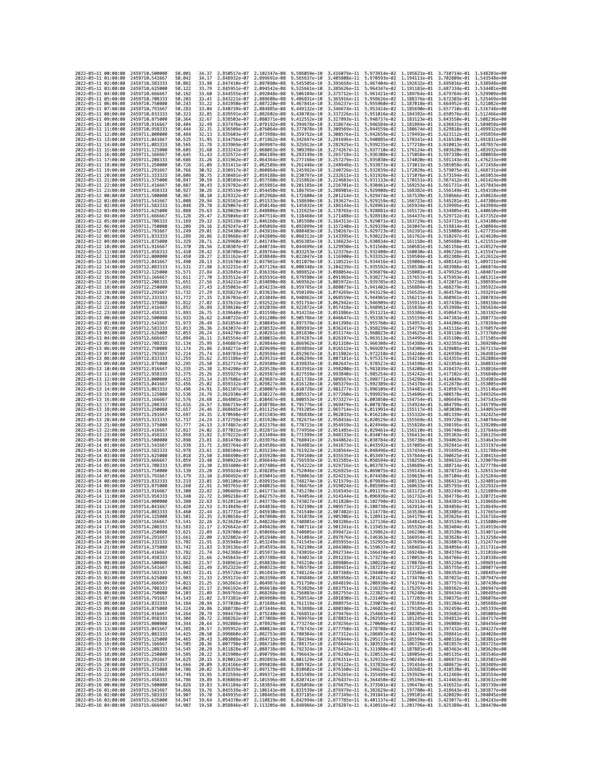| 2022-05-11 00:00:00                        |                     | 2459710.500000                   | 50.001           | 34.37          | 2.850517e-07 2.102347e-08                                           |                                           | 9.586059e-10                                                                                                                                                                                                                                                                                                                                                                                                    | 3.416079e-11                                                                                                  | 5.973914e-02 1.195621e-01 3.710714e-01 1.548203e+00                                                        |              |                                           |                              |
|--------------------------------------------|---------------------|----------------------------------|------------------|----------------|---------------------------------------------------------------------|-------------------------------------------|-----------------------------------------------------------------------------------------------------------------------------------------------------------------------------------------------------------------------------------------------------------------------------------------------------------------------------------------------------------------------------------------------------------------|---------------------------------------------------------------------------------------------------------------|------------------------------------------------------------------------------------------------------------|--------------|-------------------------------------------|------------------------------|
| 2022-05-11 01:00:00                        |                     | 2459710.541667                   | 50.042           | 34.17          | 2.848932e-07                                                        | 2.099691e-08                              | 9.565637e-10                                                                                                                                                                                                                                                                                                                                                                                                    | 3.405808e-11                                                                                                  | 5.970593e-02 1.194111e-01                                                                                  |              | 3.702809e-01                              | 1.543548e+00                 |
| 2022-05-11 02:00:00<br>2022-05-11 03:00:00 |                     | 2459710.583333<br>2459710,625000 | 50.082           | 33.98          | 2.847410e-07<br>2.845951e-07                                        | 2.097090e-08<br>2.094542e-08 9.525661e-10 | 9.545505e-10                                                                                                                                                                                                                                                                                                                                                                                                    | 3.395658e-11                                                                                                  | 5.967404e-02 1.192632e-01                                                                                  |              | 3.695016e-01                              | 1.538948e+00                 |
| 2022-05-11 04:00:00                        |                     | 2459710.666667                   | 50.122<br>50.162 | 33.79<br>33.60 | 2.844555e-07                                                        | 2.092048e-08                              | 9.506104e-10                                                                                                                                                                                                                                                                                                                                                                                                    | 3.385626e-11<br>3.375712e-11                                                                                  | 5.964347e-02 1.191183e-01 3.687334e-01 1.534401e+00<br>5.961421e-02 1.189764e-01 3.679764e-01 1.529909e+00 |              |                                           |                              |
| 2022-05-11 05:00:00                        |                     | 2459710.708333                   | 50.203           | 33.41          | 2.843221e-07                                                        | 2.089608e-08                              | 9.486831e-10                                                                                                                                                                                                                                                                                                                                                                                                    | 3.365916e-11                                                                                                  | 5.958626e-02 1.188376e-01                                                                                  |              | 3.672303e-01                              | 1.525469e+00                 |
| 2022-05-11 06:00:00                        |                     | 2459710.750000                   | 50.243           | 33.22          | 2.841950e-07                                                        | 2.087220e-08                              | 9.467841e-10                                                                                                                                                                                                                                                                                                                                                                                                    | 3.356237e-11                                                                                                  | 5.955960e-02                                                                                               | 1.187018e-01 | 3.664952e-01                              | 1.521082e+00                 |
| 2022-05-11 07:00:00                        |                     | 2459710.791667                   | 50.283<br>50.323 | 33.04<br>32.85 | 2.840739e-07                                                        | 2.084885e-08                              | 9.449132e-10                                                                                                                                                                                                                                                                                                                                                                                                    | 3.346674e-11                                                                                                  | 5.953424e-02 1.185690e-01                                                                                  |              | 3.657710e-01                              | 1.516748e+00                 |
| 2022-05-11 08:00:00<br>2022-05-11 09:00:00 |                     | 2459710.833333<br>2459710.875000 | 50.364           | 32.67          | 2.839591e-07<br>2.838503e-07                                        | 2.082602e-08<br>2.080371e-08              | 9.430703e-10<br>9.412552e-10                                                                                                                                                                                                                                                                                                                                                                                    | 3.337226e-11<br>3.327893e-11                                                                                  | 5.951016e-02 1.184392e-01<br>5.948737e-02                                                                  | 1.183123e-01 | 3.650576e-01 1.512466e+00<br>3.643550e-01 | 1.508236e+00                 |
| 2022-05-11 10:00:00                        |                     | 2459710.916667                   | 50.404           | 32.49          | 2.837476e-07                                                        | 2.078192e-08                              | 9.394678e-10                                                                                                                                                                                                                                                                                                                                                                                                    | 3.318674e-11                                                                                                  | 5.946584e-02 1.181884e-01                                                                                  |              | 3.636631e-01                              | 1.504058e+00                 |
| 2022-05-11 11:00:00                        |                     | 2459710.958333                   | 50.444           | 32.31          | 2.836509e-07                                                        | 2.076064e-08                              | 9.377078e-10                                                                                                                                                                                                                                                                                                                                                                                                    | 3.309569e-11                                                                                                  | 5.944559e-02 1.180674e-01                                                                                  |              | 3.629818e-01                              | 1.499932e+00                 |
| 2022-05-11 12:00:00<br>2022-05-11 13:00:00 |                     | 2459711.000000                   | 50.484           | 32.13          | 2.835603e-07                                                        | 2.073988e-08                              | 9.359752e-10                                                                                                                                                                                                                                                                                                                                                                                                    | 3.300576e-11                                                                                                  | 5.942659e-02 1.179493e-01                                                                                  |              | 3.623112e-01                              | 1.495856e+00                 |
| 2022-05-11 14:00:00                        |                     | 2459711.041667<br>2459711.083333 | 50.525<br>50.565 | 31.95<br>31.78 | 2.834756e-07<br>2.833969e-07                                        | 2.071962e-08<br>2.069987e-08              | 9.342697e-10<br>9.325913e-10                                                                                                                                                                                                                                                                                                                                                                                    | 3.291695e-11<br>3.282925e-11                                                                                  | 5.940885e-02 1.178341e-01<br>5.939235e-02 1.177218e-01                                                     |              | 3.616510e-01<br>3.610013e-01              | 1.491831e+00<br>1.487857e+00 |
| 2022-05-11 15:00:00                        |                     | 2459711.125000                   | 50.605           | 31.60          | 2.833241e-07                                                        | 2.068063e-08                              | 9.309398e-10                                                                                                                                                                                                                                                                                                                                                                                                    | 3.274267e-11                                                                                                  | 5.937710e-02 1.176124e-01                                                                                  |              | 3.603620e-01                              | 1.483932e+00                 |
| 2022-05-11 16:00:00                        |                     | 2459711.166667                   | 50.645           | 31.43          | 2.832572e-07                                                        | 2.066189e-08                              | 9.293149e-10                                                                                                                                                                                                                                                                                                                                                                                                    | 3.265718e-11                                                                                                  | 5.936308e-02 1.175058e-01                                                                                  |              | 3.597330e-01                              | 1.480058e+00                 |
| 2022-05-11 17:00:00                        |                     | 2459711.208333                   | 50.686           | 31.26          | 2.831962e-07                                                        | 2.064364e-08                              | 9.277166e-10                                                                                                                                                                                                                                                                                                                                                                                                    | 3.257279e-11                                                                                                  | 5.935030e-02 1.174020e-01                                                                                  |              | 3.591143e-01                              | 1.476233e+00                 |
| 2022-05-11 18:00:00<br>2022-05-11 19:00:00 |                     | 2459711.250000<br>2459711,291667 | 50.726<br>50.766 | 31.09<br>30.92 | 2.831411e-07<br>2.830917e-07                                        | 2.062589e-08<br>2.060864e-08              | 9.261448e-10<br>9.245992e-10                                                                                                                                                                                                                                                                                                                                                                                    | 3.248948e-11<br>3.240726e-11                                                                                  | 5.933873e-02 1.173011e-01<br>5.932839e-02 1.172029e-01                                                     |              | 3.585058e-01<br>3.579075e-01 1.468731e+00 | 1.472458e+00                 |
| 2022-05-11 20:00:00                        |                     | 2459711.333333                   | 50.806           | 30.75          | 2.830481e-07                                                        | 2.059188e-08                              | 9.230797e-10                                                                                                                                                                                                                                                                                                                                                                                                    | 3.232611e-11                                                                                                  | 5.931926e-02                                                                                               | 1.171076e-01 | 3.573194e-01                              | 1.465053e+00                 |
| 2022-05-11 21:00:00                        |                     | 2459711.375000                   | 50.847           | 30.59          | 2.830103e-07                                                        | 2.057560e-08                              | 9.215862e-10                                                                                                                                                                                                                                                                                                                                                                                                    | 3.224603e-11                                                                                                  | 5.931133e-02 1.170151e-01                                                                                  |              | 3.567412e-01                              | 1.461424e+00                 |
| 2022-05-11 22:00:00<br>2022-05-11 23:00:00 |                     | 2459711.416667<br>2459711.458333 | 50.887           | 30.43          | 2.829782e-07<br>2.829519e-07                                        | 2.055981e-08                              | 9.201185e-10                                                                                                                                                                                                                                                                                                                                                                                                    | 3.216701e-11                                                                                                  | 5.930461e-02 1.169253e-01                                                                                  |              | 3.561731e-01                              | 1.457843e+00                 |
| 2022-05-12 00:00:00                        |                     | 2459711.500000                   | 50.927<br>50.967 | 30.26<br>30.10 | 2.829312e-07                                                        | 2.054450e-08<br>2.052968e-08              | 9.186765e-10<br>9.172600e-10                                                                                                                                                                                                                                                                                                                                                                                    | 3.208905e-11<br>3.201214e-11                                                                                  | 5.929908e-02 1.168382e-01<br>5.929474e-02 1.167539e-01                                                     |              | 3.556149e-01<br>3.550666e-01              | 1.454310e+00<br>1.450824e+00 |
| 2022-05-12 01:00:00                        |                     | 2459711.541667                   | 51.008           | 29.94          | 2.829161e-07                                                        | 2.051533e-08                              | 9.158690e-10                                                                                                                                                                                                                                                                                                                                                                                                    | 3.193627e-11                                                                                                  | 5.929159e-02 1.166723e-01                                                                                  |              | 3.545281e-01                              | 1.447386e+00                 |
| 2022-05-12 02:00:00                        |                     | 2459711.583333                   | 51.048           | 29.78          | 2.829067e-07                                                        | 2.050146e-08                              | 9.145032e-10                                                                                                                                                                                                                                                                                                                                                                                                    | 3.186144e-11                                                                                                  | 5.928961e-02 1.165934e-01                                                                                  |              | 3.539995e-01                              | 1.443994e+00                 |
| 2022-05-12 03:00:00                        |                     | 2459711.625000                   | 51.088           | 29.63          | 2.829029e-07                                                        | 2.048806e-08                              | 9.131625e-10                                                                                                                                                                                                                                                                                                                                                                                                    | 3.178765e-11                                                                                                  | 5.928881e-02                                                                                               | 1.165172e-01 | 3.534805e-01                              | 1.440650e+00                 |
| 2022-05-12 04:00:00<br>2022-05-12 05:00:00 |                     | 2459711.666667<br>2459711.708333 | 51.128<br>51.169 | 29.47<br>29.32 | 2.829046e-07<br>2.829119e-07                                        | 2.047514e-08<br>2.046268e-08              | 9.118468e-10<br>9.105560e-10                                                                                                                                                                                                                                                                                                                                                                                    | 3.171488e-11<br>3.164313e-11                                                                                  | 5.928918e-02 1.164437e-01<br>5.929071e-02 1.163729e-01                                                     |              | 3.529712e-01<br>3.524715e-01              | 1.437352e+00<br>1.434100e+00 |
| 2022-05-12 06:00:00                        |                     | 2459711.750000                   | 51,209           | 29.16          | 2.829247e-07                                                        | 2.045069e-08                              | 9.092899e-10                                                                                                                                                                                                                                                                                                                                                                                                    | 3.157240e-11                                                                                                  | 5.929339e-02 1.163047e-01                                                                                  |              | 3.519814e-01                              | 1.430894e+00                 |
| 2022-05-12 07:00:00                        |                     | 2459711.791667                   | 51.249           | 29.01          | 2.829430e-07                                                        | 2.043916e-08                              | 9.080483e-10                                                                                                                                                                                                                                                                                                                                                                                                    | 3.150267e-11                                                                                                  | 5.929723e-02                                                                                               | 1.162391e-01 | 3.515008e-01                              | 1.427735e+00                 |
| 2022-05-12 08:00:00                        |                     | 2459711.833333                   | 51.289           | 28.86          | 2.829668e-07                                                        | 2.042809e-08                              | 9.068313e-10                                                                                                                                                                                                                                                                                                                                                                                                    | 3.143395e-11                                                                                                  | 5.930222e-02 1.161762e-01                                                                                  |              | 3.510297e-01                              | 1.424620e+00                 |
| 2022-05-12 09:00:00<br>2022-05-12 10:00:00 |                     | 2459711.875000<br>2459711.916667 | 51.329<br>51.370 | 28.71<br>28.56 | 2.829960e-07<br>2.830307e-07                                        | 2.041749e-08<br>2.040734e-08              | 9.056385e-10<br>9.044699e-10                                                                                                                                                                                                                                                                                                                                                                                    | 3.136623e-11<br>3.129950e-11                                                                                  | 5.930834e-02 1.161158e-01<br>5.931560e-02 1.160581e-01                                                     |              | 3.505680e-01 1.421551e+00<br>3.501156e-01 | 1.418527e+00                 |
| 2022-05-12 11:00:00                        |                     | 2459711.958333                   | 51.410           | 28.42          | 2.830708e-07                                                        | 2.039764e-08                              | 9.033253e-10                                                                                                                                                                                                                                                                                                                                                                                                    | 3.123376e-11                                                                                                  | 5.932400e-02                                                                                               | 1.160030e-01 | 3.496726e-01                              | 1.415547e+00                 |
| 2022-05-12 12:00:00                        |                     | 2459712.000000                   | 51.450           | 28.27          | 2.831162e-07                                                        | 2.038840e-08                              | 9.022047e-10                                                                                                                                                                                                                                                                                                                                                                                                    | 3.116900e-11                                                                                                  | 5.933352e-02 1.159504e-01                                                                                  |              | 3.492388e-01                              | 1.412612e+00                 |
| 2022-05-12 13:00:00                        |                     | 2459712.041667                   | 51.490           | 28.13          | 2.831670e-07                                                        | 2.037961e-08                              | 9.011079e-10                                                                                                                                                                                                                                                                                                                                                                                                    | 3.110521e-11                                                                                                  | 5.934416e-02 1.159004e-01                                                                                  |              | 3.488142e-01                              | 1.409721e+00                 |
| 2022-05-12 14:00:00<br>2022-05-12 15:00:00 |                     | 2459712.083333<br>2459712.125000 | 51.531<br>51.571 | 27.98<br>27.84 | 2.832231e-07<br>2.832845e-07                                        | 2.037126e-08                              | 9.000348e-10<br>8.989852e-10                                                                                                                                                                                                                                                                                                                                                                                    | 3.104239e-11<br>3.098054e-11                                                                                  | 5.935592e-02<br>5.936879e-02 1.158081e-01                                                                  | 1.158530e-01 | 3.483988e-01<br>3.479925e-01              | 1.406874e+00<br>1.404071e+00 |
| 2022-05-12 16:00:00                        |                     | 2459712.166667                   | 51.611           | 27.70          | 2.833512e-07                                                        | 2.036336e-08<br>2.035591e-08              | 8.979590e-10                                                                                                                                                                                                                                                                                                                                                                                                    | 3.091965e-11                                                                                                  | 5.938277e-02 1.157657e-01                                                                                  |              | 3.475953e-01                              | 1.401311e+00                 |
| 2022-05-12 17:00:00                        |                     | 2459712,208333                   | 51,651           | 27.56          | 2.834231e-07                                                        | 2.034890e-08                              | 8.969562e-10                                                                                                                                                                                                                                                                                                                                                                                                    | 3.085972e-11                                                                                                  | 5.939785e-02                                                                                               | 1.157258e-01 | 3.472071e-01                              | 1.398595e+00                 |
| 2022-05-12 18:00:00                        |                     | 2459712.250000                   | 51.691           | 27.43          | 2.835003e-07                                                        | 2.034233e-08                              | 8.959765e-10                                                                                                                                                                                                                                                                                                                                                                                                    | 3.080073e-11                                                                                                  | 5.941402e-02 1.156884e-01                                                                                  |              | 3.468279e-01                              | 1.395922e+00                 |
| 2022-05-12 19:00:00                        |                     | 2459712,291667                   | 51.732           | 27.29          | 2.835827e-07                                                        | 2.033619e-08                              | 8.950199e-10                                                                                                                                                                                                                                                                                                                                                                                                    | 3.074269e-11                                                                                                  | 5.943129e-02 1.156535e-01                                                                                  |              | 3.464576e-01 1.393291e+00                 |                              |
| 2022-05-12 20:00:00<br>2022-05-12 21:00:00 |                     | 2459712.333333<br>2459712.375000 | 51.772<br>51.812 | 27.15<br>27.02 | 2.836703e-07<br>2.837631e-07                                        | 2.033049e-08<br>2.032522e-08              | 8.940862e-10<br>8.931754e-10                                                                                                                                                                                                                                                                                                                                                                                    | 3.068559e-11<br>3.062942e-11                                                                                  | 5.944965e-02 1.156211e-01<br>5.946909e-02 1.155911e-01                                                     |              | 3.460961e-01<br>3.457436e-01 1.388158e+00 | 1.390703e+00                 |
| 2022-05-12 22:00:00                        |                     | 2459712.416667                   | 51.852           | 26.89          | 2.838610e-07                                                        | 2.032039e-08                              | 8.922872e-10                                                                                                                                                                                                                                                                                                                                                                                                    | 3.057418e-11                                                                                                  | 5.948961e-02 1.155636e-01                                                                                  |              | 3.453998e-01                              | 1.385654e+00                 |
| 2022-05-12 23:00:00                        |                     | 2459712,458333                   | 51.893           | 26.75          | 2.839640e-07                                                        | 2.031598e-08                              | 8.914216e-10                                                                                                                                                                                                                                                                                                                                                                                                    | 3.051986e-11                                                                                                  | 5.951121e-02 1.155386e-01                                                                                  |              | 3.450647e-01                              | 1.383192e+00                 |
| 2022-05-13 00:00:00                        |                     | 2459712,500000<br>2459712.541667 | 51.933           | 26.62          | 2.840722e-07                                                        | 2.031200e-08                              | 8.905786e-10                                                                                                                                                                                                                                                                                                                                                                                                    | 3.046647e-11                                                                                                  | 5.953387e-02 1.155159e-01                                                                                  |              | 3.447383e-01 1.380773e+00                 | 1.378394e+00                 |
| 2022-05-13 01:00:00<br>2022-05-13 02:00:00 |                     | 2459712.583333                   | 51.973<br>52.013 | 26.49<br>26.36 | 2.841854e-07<br>2.843037e-07                                        | 2.030845e-08<br>2.030532e-08              | 8.897578e-10<br>8.889593e-10                                                                                                                                                                                                                                                                                                                                                                                    | 3.041398e-11<br>3.036241e-11                                                                                  | 5.955760e-02<br>5.958239e-02 1.154779e-01                                                                  | 1.154957e-01 | 3.444206e-01<br>3.441116e-01              | 1.376057e+00                 |
| 2022-05-13 03:00:00                        |                     | 2459712.625000                   | 52.053           | 26.24          | 2.844270e-07                                                        | 2.030261e-08                              | 8.881830e-10                                                                                                                                                                                                                                                                                                                                                                                                    | 3.031174e-11                                                                                                  | 5.960823e-02 1.154625e-01                                                                                  |              | 3.438110e-01                              | 1.373760e+00                 |
| 2022-05-13 04:00:00                        |                     | 2459712.666667                   | 52.094           | 26.11          | 2.845554e-07                                                        | 2.030032e-08                              | 8.874287e-10                                                                                                                                                                                                                                                                                                                                                                                                    | 3.026197e-11                                                                                                  | 5.963513e-02 1.154495e-01                                                                                  |              | 3.435190e-01                              | 1.371505e+00                 |
| 2022-05-13 05:00:00                        |                     | 2459712.708333                   | 52.134           | 25.99          | 2.846887e-07<br>2.848271e-07                                        | 2.029844e-08                              | 8.866962e-10                                                                                                                                                                                                                                                                                                                                                                                                    | 3.021310e-11                                                                                                  | 5.966308e-02 1.154388e-01<br>5.969207e-02 1.154306e-01                                                     |              | 3.432355e-01                              | 1.369290e+00                 |
| 2022-05-13 06:00:00<br>2022-05-13 07:00:00 |                     | 2459712.750000<br>2459712.791667 | 52.174<br>52.214 | 25.86<br>25.74 | 2.849703e-07                                                        | 2.029699e-08<br>2.029594e-08              | 8.859856e-10<br>8.852967e-10                                                                                                                                                                                                                                                                                                                                                                                    | 3.016512e-11<br>3.011802e-11                                                                                  | 5.972210e-02 1.154246e-01                                                                                  |              | 3.429605e-01<br>3.426938e-01 1.364981e+00 | 1.367115e+00                 |
| 2022-05-13 08:00:00                        |                     | 2459712.833333                   | 52.255           | 25.62          | 2.851186e-07                                                        | 2.029531e-08                              | 8.846294e-10                                                                                                                                                                                                                                                                                                                                                                                                    | 3.007181e-11                                                                                                  | 5.975317e-02                                                                                               | 1.154210e-01 | 3.424355e-01                              | 1.362886e+00                 |
| 2022-05-13 09:00:00                        |                     | 2459712.875000                   | 52.295           | 25.50          | 2.852717e-07                                                        | 2.029509e-08                              | 8.839835e-10                                                                                                                                                                                                                                                                                                                                                                                                    | 3.002647e-11                                                                                                  | 5.978527e-02                                                                                               | 1.154198e-01 | 3.421854e-01                              | 1.360831e+00                 |
| 2022-05-13 10:00:00                        |                     | 2459712.916667                   | 52.335           | 25.38          | 2.854298e-07                                                        | 2.029528e-08                              | 8.833591e-10                                                                                                                                                                                                                                                                                                                                                                                                    | 2.998200e-11                                                                                                  | 5.981839e-02 1.154208e-01                                                                                  |              | 3.419437e-01                              | 1.358816e+00                 |
| 2022-05-13 11:00:00<br>2022-05-13 12:00:00 |                     | 2459712.958333<br>2459713.000000 | 52,375<br>52.415 | 25.26<br>25.14 | 2.855927e-07<br>2.857606e-07                                        | 2.029587e-08<br>2.029687e-08              | 8.827559e-10<br>8.821738e-10                                                                                                                                                                                                                                                                                                                                                                                    | 2.993840e-11<br>2.989567e-11                                                                                  | 5.985254e-02 1.154242e-01<br>5.988771e-02                                                                  | 1.154299e-01 | 3.417102e-01<br>3.414849e-01              | 1.356840e+00<br>1.354903e+00 |
| 2022-05-13 13:00:00                        |                     | 2459713.041667                   | 52,456           | 25.02          | 2.859332e-07                                                        | 2.029827e-08                              | 8.816128e-10                                                                                                                                                                                                                                                                                                                                                                                                    | 2.985379e-11                                                                                                  | 5.992389e-02 1.154378e-01                                                                                  |              | 3.412678e-01                              | 1.353005e+00                 |
| 2022-05-13 14:00:00                        |                     | 2459713.083333                   | 52.496           | 24.91          | 2.861107e-07                                                        | 2.030007e-08                              | 8.810728e-10                                                                                                                                                                                                                                                                                                                                                                                                    | 2.981277e-11                                                                                                  | 5.996109e-02 1.154481e-01                                                                                  |              | 3.410587e-01                              | 1.351146e+00                 |
| 2022-05-13 15:00:00                        |                     | 2459713.125000                   | 52.536           | 24,79          | 2.862930e-07                                                        | 2.030227e-08                              | 8.805537e-10                                                                                                                                                                                                                                                                                                                                                                                                    | 2.977260e-11                                                                                                  | 5.999929e-02 1.154606e-01                                                                                  |              | 3.408578e-01                              | 1.349326e+00                 |
| 2022-05-13 16:00:00<br>2022-05-13 17:00:00 |                     | 2459713.166667<br>2459713.208333 | 52.576<br>52.616 | 24.68<br>24.57 | 2.864801e-07<br>2.866719e-07                                        | 2.030487e-08<br>2.030786e-08              | 8.800553e-10<br>8.795776e-10                                                                                                                                                                                                                                                                                                                                                                                    | 2.973327e-11<br>2.969479e-11                                                                                  | 6.003850e-02 1.154754e-01<br>6.007870e-02 1.154924e-01                                                     |              | 3.406649e-01<br>3.404799e-01 1.345799e+00 | 1.347543e+00                 |
| 2022-05-13 18:00:00                        |                     | 2459713.250000                   | 52.657           | 24.46          | 2.868685e-07                                                        | 2.031125e-08                              | 8.791205e-10                                                                                                                                                                                                                                                                                                                                                                                                    | 2.965714e-11                                                                                                  | 6.011991e-02 1.155117e-01                                                                                  |              | 3.403030e-01                              | 1.344093e+00                 |
| 2022-05-13 19:00:00                        |                     | 2459713.291667                   | 52.697           | 24.35          | 2.870698e-07                                                        | 2.031503e-08                              | 8.786838e-10                                                                                                                                                                                                                                                                                                                                                                                                    | 2.962033e-11                                                                                                  | 6.016210e-02                                                                                               | 1.155332e-01 | 3.401339e-01                              | 1.342425e+00                 |
| 2022-05-13 20:00:00                        |                     | 2459713.333333                   | 52.737           | 24.24          | 2.872759e-07                                                        | 2.031920e-08                              | 8.782675e-10                                                                                                                                                                                                                                                                                                                                                                                                    | 2.958434e-11                                                                                                  | 6.020529e-02 1.155569e-01                                                                                  |              | 3.399728e-01                              | 1.340794e+00                 |
| 2022-05-13 21:00:00<br>2022-05-13 22:00:00 |                     | 2459713,375000<br>2459713,416667 | 52.777<br>52.817 | 24.13<br>24.02 | 2.874867e-07<br>2.877021e-07                                        | 2.032376e-08<br>2.032871e-08              | 8.778715e-10<br>8.774956e-10                                                                                                                                                                                                                                                                                                                                                                                    | 2.954919e-11<br>2.951485e-11                                                                                  | 6.024946e-02 1.155828e-01<br>6.029461e-02 1.156110e-01                                                     |              | 3.398195e-01 1.339200e+00<br>3.396740e-01 | 1.337644e+00                 |
| 2022-05-13 23:00:00                        |                     | 2459713.458333                   | 52.858           | 23.92          | 2.879222e-07                                                        | 2.033404e-08                              | 8.771399e-10                                                                                                                                                                                                                                                                                                                                                                                                    | 2.948133e-11                                                                                                  | 6.034074e-02                                                                                               | 1.156413e-01 | 3.395363e-01                              | 1.336125e+00                 |
| 2022-05-14 00:00:00                        |                     | 2459713.500000                   | 52.898           | 23.81          | 2.881470e-07                                                        | 2.033976e-08                              | 8.768041e-10                                                                                                                                                                                                                                                                                                                                                                                                    | 2.944862e-11                                                                                                  | 6.038784e-02 1.156738e-01                                                                                  |              | 3.394063e-01                              | 1.334643e+00                 |
| 2022-05-14 01:00:00                        |                     | 2459713.541667                   | 52.938           | 23.71          | 2.883764e-07                                                        | 2.034586e-08                              | 8.764883e-10                                                                                                                                                                                                                                                                                                                                                                                                    | 2.941673e-11                                                                                                  | 6.043592e-02 1.157085e-01                                                                                  |              | 3.392841e-01                              | 1.333197e+00                 |
| 2022-05-14 02:00:00<br>2022-05-14 03:00:00 |                     | 2459713.583333<br>2459713.625000 | 52.978<br>53.018 | 23.61<br>23.50 | 2.886104e-07<br>2.888490e-07                                        | 2.035234e-08<br>2.035920e-08              | 8.761923e-10<br>8.759160e-10                                                                                                                                                                                                                                                                                                                                                                                    | 2.938564e-11<br>2.935535e-11                                                                                  | 6.048496e-02 1.157454e-01<br>6.053497e-02 1.157844e-01                                                     |              | 3.391695e-01 1.331788e+00<br>3.390625e-01 | 1.330415e+00                 |
| 2022-05-14 04:00:00                        |                     | 2459713.666667                   | 53.059           | 23,40          | 2.890922e-07                                                        | 2.036644e-08                              | 8.756593e-10                                                                                                                                                                                                                                                                                                                                                                                                    | 2.932585e-11                                                                                                  | 6.058594e-02 1.158255e-01                                                                                  |              | 3.389632e-01                              | 1.329079e+00                 |
| 2022-05-14 05:00:00                        |                     | 2459713.708333                   | 53.099           | 23.30          | 2.893400e-07                                                        | 2.037406e-08                              | 8.754222e-10                                                                                                                                                                                                                                                                                                                                                                                                    | 2.929716e-11                                                                                                  | 6.063787e-02 1.158689e-01                                                                                  |              | 3.388714e-01                              | 1.327778e+00                 |
| 2022-05-14 06:00:00                        |                     | 2459713.750000                   | 53.139           | 23.20          | 2.895924e-07                                                        | 2.038205e-08                              | 8.752046e-10                                                                                                                                                                                                                                                                                                                                                                                                    | 2.926925e-11                                                                                                  | 6.069075e-02                                                                                               | 1.159143e-01 | 3.387872e-01                              | 1.326513e+00                 |
| 2022-05-14 07:00:00<br>2022-05-14 08:00:00 |                     | 2459713.791667<br>2459713.833333 | 53.179<br>53.219 | 23.10<br>23.01 | 2.898492e-07<br>2.901106e-07                                        | 2.039041e-08<br>2.039915e-08              | 8.750063e-10<br>8.748274e-10                                                                                                                                                                                                                                                                                                                                                                                    | 2.924213e-11<br>2.921579e-11                                                                                  | 6.074458e-02<br>6.079936e-02 1.160115e-01                                                                  | 1.159619e-01 | 3.387104e-01<br>3.386411e-01              | 1.325284e+00<br>1.324091e+00 |
| 2022-05-14 09:00:00                        |                     | 2459713,875000                   | 53,260           | 22.91          | 2.903765e-07                                                        | 2.040825e-08                              | 8.746676e-10                                                                                                                                                                                                                                                                                                                                                                                                    | 2.919024e-11                                                                                                  | 6.085509e-02 1.160633e-01                                                                                  |              | 3.385793e-01                              | 1.322932e+00                 |
| 2022-05-14 10:00:00                        |                     | 2459713.916667                   | 53.300           | 22.82          | 2.906469e-07                                                        | 2.041773e-08                              | 8.745270e-10                                                                                                                                                                                                                                                                                                                                                                                                    | 2.916545e-11                                                                                                  | 6.091176e-02                                                                                               | 1.161172e-01 | 3.385249e-01                              | 1.321809e+00                 |
| 2022-05-14 11:00:00                        |                     | 2459713.958333                   | 53.340           | 22.72          | 2.909218e-07                                                        | 2.042757e-08 8.744054e-10                 |                                                                                                                                                                                                                                                                                                                                                                                                                 | 2.914144e-11                                                                                                  | 6.096936e-02 1.161732e-01                                                                                  |              | 3.384778e-01 1.320721e+00                 |                              |
| 2022-05-14 12:00:00<br>2022-05-14 13:00:00 |                     | 2459714.000000<br>2459714.041667 | 53.380<br>53.420 | 22.63<br>22.53 | 2.912011e-07 2.043778e-08 8.743027e-10<br>2.914849e-07 2.044836e-08 |                                           | 8.742190e-10 2.909573e-11 6.108738e-02 1.162914e-01 3.384056e-01 1.318649e+00                                                                                                                                                                                                                                                                                                                                   |                                                                                                               | 2.911820e-11  6.102790e-02  1.162313e-01  3.384381e-01  1.319668e+00                                       |              |                                           |                              |
| 2022-05-14                                 | 14:00:00            | 2459714.083333                   | 53.460           |                | .917731e-07                                                         | 2.045930e-08                              | 8.741540e-10                                                                                                                                                                                                                                                                                                                                                                                                    | 2.907402e-11                                                                                                  | 6.114778e-02                                                                                               | 1.163536e-01 | 3.383805e-01                              |                              |
| 2022-05-14 15:00:00                        |                     | 2459714.125000                   | 53.501           | 22.35          |                                                                     |                                           | 2.920658e-07 2.047060e-08 8.741078e-10 2.905306e-11 6.120911e-02 1.164179e-01 3.383626e-01 1.316716e+00                                                                                                                                                                                                                                                                                                         |                                                                                                               |                                                                                                            |              |                                           |                              |
| 2022-05-14 16:00:00<br>2022-05-14 17:00:00 |                     | 2459714.166667<br>2459714.208333 | 53.541<br>53.581 | 22.26<br>22.17 |                                                                     |                                           | 2.923628e-07 2.048226e-08 8.740801e-10 2.903286e-11 6.127136e-02 1.164842e-01 3.383519e-01 1.315800e+00<br>2.926642e-07 2.049428e-08 8.740711e-10 2.901341e-11 6.133453e-02 1.165526e-01 3.383484e-01 1.314919e+00                                                                                                                                                                                              |                                                                                                               |                                                                                                            |              |                                           |                              |
| 2022-05-14 18:00:00                        |                     | 2459714.250000                   | 53.621           | 22.09          |                                                                     |                                           | 2.929700e-07 2.050666e-08 8.740805e-10 2.899472e-11 6.139862e-02 1.166230e-01 3.383520e-01 1.314071e+00                                                                                                                                                                                                                                                                                                         |                                                                                                               |                                                                                                            |              |                                           |                              |
| 2022-05-14 19:00:00                        |                     | 2459714.291667                   | 53.661           | 22.00          |                                                                     |                                           | 2.932802e-07 2.051940e-08 8.741084e-10 2.897676e-11 6.146363e-02 1.166954e-01 3.383628e-01 1.313258e+00                                                                                                                                                                                                                                                                                                         |                                                                                                               |                                                                                                            |              |                                           |                              |
| 2022-05-14 20:00:00                        |                     | 2459714.333333                   | 53.702           |                |                                                                     |                                           | $\begin{array}{cccccccc} 21.91 & 2.935948e-07 & 2.053249e-08 & 8.741545e-10 & 2.895955e-11 & 6.152955e-02 & 1.167699e-01 & 3.383807e-01 & 1.312477e+00 \\ 21.83 & 2.939136e-07 & 2.054593e-08 & 8.742190e-10 & 2.894308e-11 & 6.159637e-02 & 1.168463e-01 & 3$                                                                                                                                                  |                                                                                                               |                                                                                                            |              |                                           |                              |
| 2022-05-14 21:00:00<br>2022-05-14 22:00:00 |                     | 2459714.375000<br>2459714.416667 | 53.742<br>53.782 |                |                                                                     |                                           | 21.74 2.942368e-07 2.055973e-08 8.743016e-10 2.892734e-11 6.166410e-02 1.169248e-01 3.384376e-01 1.311018e+00                                                                                                                                                                                                                                                                                                   |                                                                                                               |                                                                                                            |              |                                           |                              |
| 2022-05-14 23:00:00                        |                     | 2459714.458333                   | 53.822           |                |                                                                     |                                           | 21.66 2.945643e-07 2.057388e-08 8.744023e-10 2.891233e-11 6.173274e-02 1.170053e-01 3.384766e-01 1.310338e+00                                                                                                                                                                                                                                                                                                   |                                                                                                               |                                                                                                            |              |                                           |                              |
| 2022-05-15 00:00:00                        |                     | 2459714.500000                   | 53.862           |                |                                                                     |                                           | 21.57 2.948961e-07 2.058838e-08 8.745210e-10 2.889806e-11 6.180228e-02 1.170878e-01 3.385226e-01 1.309691e+00<br>21.49 2.952322e-07 2.060323e-08 8.745578e-10 2.888451e-11 6.187271e-02 1.171722e-01 3.385755e-01 1.309077e+00                                                                                                                                                                                  |                                                                                                               |                                                                                                            |              |                                           |                              |
| 2022-05-15 01:00:00                        |                     | 2459714.541667                   | 53.902           |                |                                                                     |                                           |                                                                                                                                                                                                                                                                                                                                                                                                                 |                                                                                                               |                                                                                                            |              |                                           |                              |
| 2022-05-15 02:00:00<br>2022-05-15 03:00:00 |                     | 2459714.583333<br>2459714.625000 | 53.943<br>53.983 |                |                                                                     |                                           | 21.41 2.955726e-07 2.061843e-08 8.748124e-10 2.887168e-11 6.194404e-02 1.172586e-01 3.386353e-01 1.308495e+00                                                                                                                                                                                                                                                                                                   |                                                                                                               |                                                                                                            |              |                                           |                              |
| 2022-05-15 04:00:00                        |                     | 2459714.666667                   | 54.023           |                |                                                                     |                                           | $\begin{array}{cccccccc} 21.33 & 2.959172e-07 & 2.063398e-08 & 8.749848e-10 & 2.885958e-11 & 6.201627e-02 & 1.173470e-01 & 3.387021e-01 & 1.307947e+00 \\ 21.25 & 2.962661e-07 & 2.064987e-08 & 8.751750e-10 & 2.884819e-11 & 6.208938e-02 & 1.174374e-01 & 3$                                                                                                                                                  |                                                                                                               |                                                                                                            |              |                                           |                              |
| 2022-05-15 05:00:00                        |                     |                                  |                  |                |                                                                     |                                           |                                                                                                                                                                                                                                                                                                                                                                                                                 |                                                                                                               |                                                                                                            |              |                                           |                              |
| 2022-05-15 06:00:00                        |                     | 2459714.708333                   | 54.063           |                |                                                                     |                                           |                                                                                                                                                                                                                                                                                                                                                                                                                 | 21.17 2.966192e-07 2.066610e-08 8.753828e-10 2.883751e-11 6.216339e-02 1.175297e-01 3.388562e-01 1.306947e+00 |                                                                                                            |              |                                           |                              |
|                                            |                     | 2459714.750000                   | 54,103           |                |                                                                     |                                           |                                                                                                                                                                                                                                                                                                                                                                                                                 |                                                                                                               |                                                                                                            |              |                                           |                              |
| 2022-05-15 09:00:00                        | 2022-05-15 07:00:00 | 2459714.791667                   | 54, 143          |                |                                                                     |                                           |                                                                                                                                                                                                                                                                                                                                                                                                                 |                                                                                                               |                                                                                                            |              |                                           |                              |
|                                            | 2022-05-15 08:00:00 | 2459714.833333<br>2459714.875000 | 54.184<br>54.224 |                |                                                                     |                                           | 21.09 2.969765e-07 2.068268e-08 8.756083e-10 2.882755e-11 6.223827e-02 1.176240e-01 3.389434e-01 1.306495e-00<br>21.09 2.973381e-07 2.068950e-08 8.756083e-10 2.881830e-11 6.223827e-02 1.177620e-01 3.389434e-01 1.306495e-00<br>20<br>20.86 2.980738e-07 2.073446e-08 8.763898e-10 2.880190e-11 6.246823e-02 1.179185e-01 3.392459e-01 1.305333e+00                                                           |                                                                                                               |                                                                                                            |              |                                           |                              |
|                                            | 2022-05-15 10:00:00 | 2459714.916667                   | 54.264           |                |                                                                     |                                           | 20.79 2.984479e-07 2.075240e-08 8.766851e-10 2.879476e-11 6.254663e-02 1.180205e-01 3.393602e-01 1.305009e+00                                                                                                                                                                                                                                                                                                   |                                                                                                               |                                                                                                            |              |                                           |                              |
| 2022-05-15 11:00:00                        |                     | 2459714.958333                   | 54.304           |                |                                                                     |                                           |                                                                                                                                                                                                                                                                                                                                                                                                                 |                                                                                                               |                                                                                                            |              |                                           |                              |
| 2022-05-15 12:00:00                        |                     | 2459715.000000                   | 54.344           |                |                                                                     |                                           | $\begin{array}{cccccccc} 20.72& 2.988262e-07& 2.077068e-08& 8.769976e-10& 2.878831e-11& 6.262591e-02& 1.181245e-01& 3.394812e-01& 1.304717e+00& 1.0000& 0.0000& 0.0000& 0.0000& 0.0000& 0.0000& 0.0000& 0.0000& 0.0000& 0.0000& 0.0000& 0.00$                                                                                                                                                                   |                                                                                                               |                                                                                                            |              |                                           |                              |
| 2022-05-15 13:00:00                        |                     | 2459715.041667<br>2459715.083333 | 54.385<br>54.425 |                |                                                                     |                                           | 20.57 2.995952e-07 2.080824e-08 8.776743e-10 2.877750e-11 6.278708e-02 1.183381e-01 3.397432e-01 1.304227e+00                                                                                                                                                                                                                                                                                                   |                                                                                                               |                                                                                                            |              |                                           |                              |
| 2022-05-15 14:00:00<br>2022-05-15 15:00:00 |                     | 2459715.125000                   | 54.465           |                |                                                                     |                                           | 20.50 2.999860e-07 2.082753e-08 8.780384e-10 2.877312e-11 6.286897e-02 1.184478e-01 3.398841e-01 1.304028e+00<br>20.43 3.003808e-07 2.084715e-08 8.784194e-10 2.876944e-11 6.295172e-02 1.185594e-01 3.400316e-01 1.303861e+00                                                                                                                                                                                  |                                                                                                               |                                                                                                            |              |                                           |                              |
| 2022-05-15 16:00:00                        |                     | 2459715.166667                   | 54.505           |                |                                                                     |                                           |                                                                                                                                                                                                                                                                                                                                                                                                                 |                                                                                                               |                                                                                                            |              |                                           |                              |
| 2022-05-15 17:00:00                        |                     | 2459715.208333                   | 54.545           |                |                                                                     |                                           | 20.36 3.007798e-07 2.086710e-08 8.788175e-10 2.876644e-11 6.303533e-02 1.186728e-01 3.401857e-01 1.303725e+00<br>20.29 3.011828e-07 2.088738e-08 8.792324e-10 2.876412e-11 6.311980e-02 1.187881e-01 3.403463e-01 1.303620e+00                                                                                                                                                                                  |                                                                                                               |                                                                                                            |              |                                           |                              |
| 2022-05-15 18:00:00<br>2022-05-15 19:00:00 |                     | 2459715.250000<br>2459715.291667 | 54.585<br>54.625 |                |                                                                     |                                           |                                                                                                                                                                                                                                                                                                                                                                                                                 |                                                                                                               |                                                                                                            |              |                                           |                              |
| 2022-05-15 20:00:00                        |                     | 2459715.333333                   | 54.666           |                |                                                                     |                                           | $20.22 \quad 3.015900e-07 \quad 2.090799e-08 \quad 8.796643e-10 \quad 2.876248e-11 \quad 6.320513e-02 \quad 1.189054e-01 \quad 3.405135e-01 \quad 1.303546e+00 \quad 2.015 \quad 3.020012e-07 \quad 2.09203e-08 \quad 2.015 \quad 3.020012e-07 \quad 2.09203e-08 \quad 3.020012e-08 \quad 3.0$<br>20.09 3.024166e-07 2.095020e-08 8.805782e-10 2.876122e-11 6.337836e-02 1.191454e-01 3.408673e-01 1.303489e+00 |                                                                                                               |                                                                                                            |              |                                           |                              |
| 2022-05-15 21:00:00                        |                     | 2459715.375000                   | 54.706           |                |                                                                     |                                           |                                                                                                                                                                                                                                                                                                                                                                                                                 |                                                                                                               |                                                                                                            |              |                                           |                              |
| 2022-05-15 22:00:00                        |                     | 2459715.416667                   | 54.746           |                |                                                                     |                                           | 20.02 3.028359e-07 2.097179e-08 8.810602e-10 2.876160e-11 6.346625e-02 1.192682e-01 3.410538e-01 1.303506e+00<br>19.95 3.032594e-07 2.099372e-08 8.815589e-10 2.876265e-11 6.355499e-02 1.193929e-01 3.412469e-01 1.303554e+00                                                                                                                                                                                  |                                                                                                               |                                                                                                            |              |                                           |                              |
| 2022-05-15 23:00:00<br>2022-05-16 00:00:00 |                     | 2459715.458333<br>2459715.500000 | 54.786<br>54.826 |                |                                                                     |                                           | 19.89 3.036869e-07 2.101596e-08 8.820741e-10 2.876437e-11 6.364458e-02 1.195194e-01 3.414463e-01 1.303632e+00<br>19.83 3.041184e-07 2.103854e-08 8.826058e-10 2.876675e-11 6.373501e-02 1.196478e-01 3.416521e-01 1.303739e+00                                                                                                                                                                                  |                                                                                                               |                                                                                                            |              |                                           |                              |
| 2022-05-16 01:00:00                        |                     | 2459715.541667                   | 54.866           |                |                                                                     |                                           | 19.76 3.045539e-07 2.106143e-08 8.831539e-10 2.876979e-11 6.382629e-02 1.197780e-01 3.418643e-01 1.303877e+00                                                                                                                                                                                                                                                                                                   |                                                                                                               |                                                                                                            |              |                                           |                              |
| 2022-05-16 02:00:00<br>2022-05-16 03:00:00 |                     | 2459715.583333<br>2459715.625000 | 54.907<br>54.947 |                |                                                                     |                                           | 19.70 3.049935e-07 2.108465e-08 8.837185e-10 2.877349e-11 6.391841e-02 1.199101e-01 3.420829e-01 1.304045e+00<br>19.64 3.054370e-07 2.110819e-08 8.842994e-10 2.877785e-11 6.401137e-02 1.200439e-01 3.423077e-01 1.304243e+00                                                                                                                                                                                  |                                                                                                               |                                                                                                            |              |                                           |                              |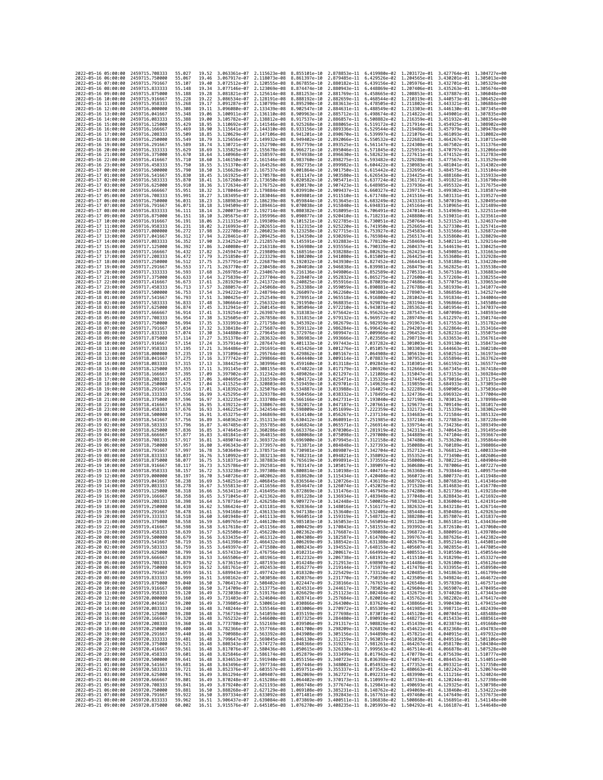| 2022-05-16 05:00:00                        |                     | 2459715.708333                                       | 55.027           | 19.52          | 3.063361e-07 2.115623e-08    |                                                        | 8.855101e-10 2.878853e-11                                                                                                                                                                                                                                                                                                                             |                                                                                                                                                                                        | 6.419980e-02 1.203172e-01 3.427764e-01 1.304727e+00                                                                                                                                    |              |                                                                     |                              |
|--------------------------------------------|---------------------|------------------------------------------------------|------------------|----------------|------------------------------|--------------------------------------------------------|-------------------------------------------------------------------------------------------------------------------------------------------------------------------------------------------------------------------------------------------------------------------------------------------------------------------------------------------------------|----------------------------------------------------------------------------------------------------------------------------------------------------------------------------------------|----------------------------------------------------------------------------------------------------------------------------------------------------------------------------------------|--------------|---------------------------------------------------------------------|------------------------------|
| 2022-05-16 06:00:00                        |                     | 2459715.750000                                       | 55.067           | 19.46          | 3.067917e-07                 | 2.118073e-08                                           | 8.861397e-10                                                                                                                                                                                                                                                                                                                                          | 2.879485e-11                                                                                                                                                                           | 6.429526e-02 1.204565e-01                                                                                                                                                              |              | 3.430201e-01 1.305013e+00                                           |                              |
| 2022-05-16 07:00:00<br>2022-05-16 08:00:00 |                     | 2459715.791667                                       | 55.107           | 19.40          | 3.072512e-07                 | 2.120555e-08<br>3.077146e-07 2.123069e-08 8.874474e-10 | 8.867855e-10                                                                                                                                                                                                                                                                                                                                          | 2.880182e-11                                                                                                                                                                           | 6.439156e-02 1.205976e-01                                                                                                                                                              |              | 3.432701e-01                                                        | 1.305329e+00                 |
| 2022-05-16 09:00:00                        |                     | 2459715.833333<br>2459715.875000                     | 55.148<br>55.188 | 19.34<br>19.28 | 3.081821e-07 2.125614e-08    |                                                        | 8.881253e-10                                                                                                                                                                                                                                                                                                                                          | 2.880943e-11<br>2.881769e-11                                                                                                                                                           | 6.448869e-02 1.207406e-01 3.435263e-01 1.305674e+00<br>6.458665e-02 1.208853e-01 3.437887e-01 1.306048e+00                                                                             |              |                                                                     |                              |
| 2022-05-16 10:00:00                        |                     | 2459715.916667                                       | 55.228           | 19.22          | 3.086534e-07                 | 2.128191e-08                                           | 8.888192e-10                                                                                                                                                                                                                                                                                                                                          | 2.882659e-11                                                                                                                                                                           | 6.468544e-02 1.210319e-01                                                                                                                                                              |              | 3.440573e-01                                                        | 1.306452e+00                 |
| 2022-05-16 11:00:00                        |                     | 2459715.958333                                       | 55.268           | 19.17          | 3.091287e-07                 | 2.130799e-08                                           | 8.895290e-10                                                                                                                                                                                                                                                                                                                                          | 2.883613e-11                                                                                                                                                                           | 6.478505e-02 1.211802e-01                                                                                                                                                              |              | 3.443321e-01                                                        | 1.306884e+00                 |
| 2022-05-16 12:00:00                        |                     | 2459716.000000                                       | 55.308           | 19.11          | 3.096080e-07                 | 2.133439e-08                                           | 8.902547e-10                                                                                                                                                                                                                                                                                                                                          | 2.884631e-11                                                                                                                                                                           | 6.488549e-02 1.213303e-01                                                                                                                                                              |              | 3.446130e-01                                                        | 1.307345e+00                 |
| 2022-05-16 13:00:00<br>2022-05-16 14:00:00 |                     | 2459716.041667<br>2459716.083333                     | 55.348<br>55.388 | 19.06<br>19.00 | 3.100911e-07<br>3.105782e-07 | 2.136110e-08<br>2.138812e-08                           | 8.909963e-10<br>8.917537e-10                                                                                                                                                                                                                                                                                                                          | 2.885712e-11<br>2.886857e-11                                                                                                                                                           | 6.498674e-02 1.214822e-01<br>6.508882e-02 1.216359e-01                                                                                                                                 |              | 3.449001e-01<br>3.451932e-01                                        | 1.307835e+00<br>1.308354e+00 |
| 2022-05-16 15:00:00                        |                     | 2459716.125000                                       | 55.429           | 18.95          | 3.110692e-07                 | 2.141546e-08                                           | 8.925268e-10                                                                                                                                                                                                                                                                                                                                          | 2.888065e-11                                                                                                                                                                           | 6.519172e-02 1.217914e-01                                                                                                                                                              |              | 3.454925e-01                                                        | 1.308902e+00                 |
| 2022-05-16 16:00:00                        |                     | 2459716.166667                                       | 55.469           | 18.90          | 3.115641e-07                 | 2.144310e-08                                           | 8.933156e-10                                                                                                                                                                                                                                                                                                                                          | 2.889336e-11                                                                                                                                                                           | 6.529544e-02 1.219486e-01                                                                                                                                                              |              | 3.457979e-01                                                        | 1.309478e+00                 |
| 2022-05-16 17:00:00                        |                     | 2459716.208333                                       | 55.509           | 18.85          | 3.120629e-07                 | 2.147106e-08                                           | 8.941201e-10                                                                                                                                                                                                                                                                                                                                          | 2.890670e-11                                                                                                                                                                           | 6.539997e-02 1.221076e-01                                                                                                                                                              |              | 3.461093e-01                                                        | 1.310082e+00                 |
| 2022-05-16 18:00:00                        |                     | 2459716.250000                                       | 55.549           | 18.79          | 3.125656e-07                 | 2.149932e-08                                           | 8.949402e-10                                                                                                                                                                                                                                                                                                                                          | 2.892066e-11                                                                                                                                                                           | 6.550532e-02 1.222683e-01                                                                                                                                                              |              | 3.464267e-01                                                        | 1.310715e+00                 |
| 2022-05-16 19:00:00                        |                     | 2459716.291667                                       | 55.589           | 18.74          | 3.130721e-07                 | 2.152790e-08                                           | 8.957759e-10                                                                                                                                                                                                                                                                                                                                          | 2.893525e-11                                                                                                                                                                           | 6.561147e-02 1.224308e-01                                                                                                                                                              |              | 3.467502e-01                                                        | 1.311376e+00                 |
| 2022-05-16 20:00:00<br>2022-05-16 21:00:00 |                     | 2459716.333333<br>2459716.375000                     | 55.629<br>55.670 | 18.69<br>18.64 | 3.135825e-07<br>3.140968e-07 | 2.155678e-08<br>2.158597e-08                           | 8.966271e-10<br>8.974938e-10                                                                                                                                                                                                                                                                                                                          | 2.895046e-11<br>2.896630e-11                                                                                                                                                           | 6.571845e-02 1.225951e-01<br>6.582623e-02 1.227611e-01                                                                                                                                 |              | 3.470797e-01<br>3.474152e-01                                        | 1.312066e+00<br>1.312783e+00 |
| 2022-05-16 22:00:00                        |                     | 2459716.416667                                       | 55.710           | 18.60          | 3.146150e-07                 | 2.161546e-08                                           | 8.983760e-10                                                                                                                                                                                                                                                                                                                                          | 2.898275e-11                                                                                                                                                                           | 6.593482e-02 1.229288e-01                                                                                                                                                              |              | 3.477567e-01                                                        | 1.313529e+00                 |
| 2022-05-16 23:00:00                        |                     | 2459716.458333                                       | 55.750           | 18.55          | 3.151370e-07                 | 2.164526e-08                                           | 8.992735e-10                                                                                                                                                                                                                                                                                                                                          | 2.899982e-11                                                                                                                                                                           | 6.604422e-02 1.230983e-01                                                                                                                                                              |              | 3.481041e-01 1.314302e+00                                           |                              |
| 2022-05-17 00:00:00                        |                     | 2459716,500000                                       | 55.790           | 18.50          | 3.156628e-07                 | 2.167537e-08                                           | 9.001864e-10                                                                                                                                                                                                                                                                                                                                          |                                                                                                                                                                                        | 2.901750e-11 6.615442e-02 1.232695e-01                                                                                                                                                 |              | 3.484575e-01 1.315104e+00                                           |                              |
| 2022-05-17 01:00:00                        |                     | 2459716.541667                                       | 55.830           | 18.45          | 3.161925e-07                 | 2.170578e-08                                           | 9.011147e-10                                                                                                                                                                                                                                                                                                                                          | 2.903580e-11                                                                                                                                                                           | 6.626543e-02                                                                                                                                                                           | 1.234425e-01 | 3.488168e-01                                                        | 1.315933e+00                 |
| 2022-05-17 02:00:00<br>2022-05-17 03:00:00 |                     | 2459716.583333<br>2459716.625000                     | 55,870<br>55.910 | 18.41<br>18.36 | 3.167260e-07<br>3.172634e-07 | 2.173650e-08<br>2.176752e-08                           | 9.020582e-10<br>9.030170e-10                                                                                                                                                                                                                                                                                                                          | 2.905471e-11<br>2.907423e-11                                                                                                                                                           | 6.637724e-02 1.236172e-01<br>6.648985e-02 1.237936e-01                                                                                                                                 |              | 3.491821e-01<br>3.495532e-01                                        | 1.316790e+00<br>1.317675e+00 |
| 2022-05-17 04:00:00                        |                     | 2459716.666667                                       | 55.951           | 18.32          | 3.178046e-07                 | 2.179884e-08                                           | 9.039910e-10                                                                                                                                                                                                                                                                                                                                          | 2.909437e-11                                                                                                                                                                           | 6.660327e-02 1.239717e-01                                                                                                                                                              |              | 3.499302e-01 1.318587e+00                                           |                              |
| 2022-05-17 05:00:00                        |                     | 2459716.708333                                       | 55.991           | 18.27          | 3.183495e-07                 | 2.183046e-08                                           | 9.049801e-10                                                                                                                                                                                                                                                                                                                                          | 2.911510e-11                                                                                                                                                                           | 6.671748e-02 1.241516e-01                                                                                                                                                              |              | 3.503131e-01                                                        | 1.319527e+00                 |
| 2022-05-17 06:00:00                        |                     | 2459716.750000                                       | 56.031           | 18.23          | 3.188983e-07                 | 2.186239e-08 9.059844e-10                              |                                                                                                                                                                                                                                                                                                                                                       | 2.913645e-11                                                                                                                                                                           | 6.683249e-02 1.243331e-01 3.507019e-01 1.320495e+00                                                                                                                                    |              |                                                                     |                              |
| 2022-05-17 07:00:00                        |                     | 2459716.791667                                       | 56.071           | 18.18          | 3.194509e-07                 | 2.189461e-08                                           | 9.070038e-10                                                                                                                                                                                                                                                                                                                                          | 2.915840e-11                                                                                                                                                                           | 6.694831e-02 1.245164e-01                                                                                                                                                              |              | 3.510965e-01                                                        | 1.321489e+00<br>1.322511e+00 |
| 2022-05-17 08:00:00<br>2022-05-17 09:00:00 |                     | 2459716.833333<br>2459716.875000                     | 56.111<br>56.151 | 18.14<br>18.10 | 3.200073e-07<br>3.205675e-07 | 2.192714e-08<br>2.195996e-08 9.090877e-10              | 9.080382e-10                                                                                                                                                                                                                                                                                                                                          | 2.918095e-11<br>2.920410e-11                                                                                                                                                           | 6.706491e-02<br>6.718231e-02 1.248880e-01                                                                                                                                              | 1.247014e-01 | 3.514969e-01<br>3.519031e-01                                        | 1.323561e+00                 |
| 2022-05-17 10:00:00                        |                     | 2459716.916667                                       | 56.191           | 18.06          | 3.211315e-07                 | 2.199309e-08                                           | 9.101521e-10                                                                                                                                                                                                                                                                                                                                          | 2.922785e-11                                                                                                                                                                           | 6.730051e-02 1.250764e-01 3.523152e-01                                                                                                                                                 |              |                                                                     | 1.324637e+00                 |
| 2022-05-17 11:00:00                        |                     | 2459716.958333                                       | 56,231           | 18.02          | 3.216993e-07                 | 2.202651e-08                                           | 9.112315e-10                                                                                                                                                                                                                                                                                                                                          | 2.925220e-11                                                                                                                                                                           | 6.741950e-02 1.252665e-01                                                                                                                                                              |              | 3.527330e-01                                                        | 1.325741e+00                 |
| 2022-05-17 12:00:00                        |                     | 2459717.000000                                       | 56.272           | 17.98          | 3.222708e-07                 | 2.206023e-08                                           | 9.123258e-10                                                                                                                                                                                                                                                                                                                                          | 2.927715e-11                                                                                                                                                                           | 6.753927e-02                                                                                                                                                                           | 1.254583e-01 | 3.531566e-01                                                        | 1.326872e+00                 |
| 2022-05-17 13:00:00                        |                     | 2459717.041667                                       | 56.312           | 17.94          | 3.228461e-07                 | 2.209425e-08 9.134350e-10                              |                                                                                                                                                                                                                                                                                                                                                       | 2.930269e-11                                                                                                                                                                           | 6.765984e-02 1.256517e-01                                                                                                                                                              |              | 3.535860e-01                                                        | 1.328029e+00                 |
| 2022-05-17 14:00:00<br>2022-05-17 15:00:00 |                     | 2459717.083333<br>2459717.125000                     | 56.352<br>56.392 | 17.90<br>17.86 | 3.234252e-07<br>3.240080e-07 | 2.212857e-08 9.145591e-10<br>2.216318e-08              | 9.156980e-10                                                                                                                                                                                                                                                                                                                                          | 2.932883e-11<br>2.935556e-11                                                                                                                                                           | 6.778120e-02 1.258469e-01 3.540211e-01 1.329214e+00<br>6.790335e-02 1.260437e-01                                                                                                       |              | 3.544619e-01 1.330425e+00                                           |                              |
| 2022-05-17 16:00:00                        |                     | 2459717.166667                                       | 56.432           | 17.82          | 3.245947e-07                 | 2.219809e-08                                           | 9.168516e-10                                                                                                                                                                                                                                                                                                                                          | 2.938288e-11                                                                                                                                                                           | 6.802629e-02                                                                                                                                                                           | 1.262423e-01 | 3.549085e-01                                                        | 1.331663e+00                 |
| 2022-05-17 17:00:00                        |                     | 2459717.208333                                       | 56.472           | 17.79          | 3.251850e-07                 | 2.223329e-08                                           | 9.180200e-10                                                                                                                                                                                                                                                                                                                                          | 2.941080e-11                                                                                                                                                                           | 6.815001e-02 1.264425e-01                                                                                                                                                              |              | 3.553608e-01                                                        | 1.332928e+00                 |
| 2022-05-17 18:00:00                        |                     | 2459717.250000                                       | 56.512           | 17.75          | 3.257791e-07                 | 2.226879e-08                                           | 9.192032e-10                                                                                                                                                                                                                                                                                                                                          | 2.943930e-11                                                                                                                                                                           | 6.827452e-02 1.266443e-01                                                                                                                                                              |              | 3.558188e-01                                                        | 1.334220e+00                 |
| 2022-05-17 19:00:00                        |                     | 2459717.291667                                       | 56.553           | 17.71          | 3.263770e-07                 | 2.230458e-08                                           | 9.204010e-10                                                                                                                                                                                                                                                                                                                                          | 2.946838e-11                                                                                                                                                                           | 6.839981e-02                                                                                                                                                                           | 1.268479e-01 | 3.562825e-01                                                        | 1.335538e+00                 |
| 2022-05-17 20:00:00<br>2022-05-17 21:00:00 |                     | 2459717.333333<br>2459717.375000                     | 56.593<br>56.633 | 17.68<br>17.64 | 3.269785e-07<br>3.275839e-07 | 2.234067e-08<br>2.237704e-08                           | 9.216136e-10<br>9.228407e-10                                                                                                                                                                                                                                                                                                                          | 2.949806e-11<br>2.952832e-11                                                                                                                                                           | 6.852589e-02 1.270531e-01<br>6.865275e-02 1.272600e-01                                                                                                                                 |              | 3.567518e-01<br>3.572269e-01                                        | 1.336883e+00<br>1.338255e+00 |
| 2022-05-17 22:00:00                        |                     | 2459717.416667                                       | 56.673           | 17.61          | 3.281929e-07                 | 2.241372e-08                                           | 9.240825e-10                                                                                                                                                                                                                                                                                                                                          | 2.955916e-11                                                                                                                                                                           | 6.878039e-02 1.274686e-01                                                                                                                                                              |              | 3.577075e-01                                                        | 1.339653e+00                 |
| 2022-05-17 23:00:00                        |                     | 2459717.458333                                       | 56.713           | 17.57          | 3.288057e-07                 | 2.245068e-08                                           | 9.253388e-10                                                                                                                                                                                                                                                                                                                                          | 2.959059e-11                                                                                                                                                                           | 6.890881e-02 1.276788e-01                                                                                                                                                              |              | 3.581939e-01                                                        | 1.341077e+00                 |
| 2022-05-18 00:00:00                        |                     | 2459717.500000                                       | 56.753           | 17.54          | 3.294222e-07                 | 2.248794e-08 9.266097e-10                              |                                                                                                                                                                                                                                                                                                                                                       | 2.962260e-11                                                                                                                                                                           |                                                                                                                                                                                        |              | 6.903802e-02 1.278907e-01 3.586858e-01                              | 1.342527e+00                 |
| 2022-05-18 01:00:00                        |                     | 2459717.541667                                       | 56.793           | 17.51          | 3.300425e-07                 | 2.252549e-08                                           | 9.278951e-10                                                                                                                                                                                                                                                                                                                                          | 2.965518e-11                                                                                                                                                                           | 6.916800e-02 1.281042e-01 3.591834e-01                                                                                                                                                 |              |                                                                     | 1.344004e+00                 |
| 2022-05-18 02:00:00<br>2022-05-18 03:00:00 |                     | 2459717.583333                                       | 56.833           | 17.48          | 3.306664e-07                 | 2.256332e-08                                           | 9.291950e-10                                                                                                                                                                                                                                                                                                                                          | 2.968835e-11                                                                                                                                                                           | 6.929876e-02 1.283194e-01                                                                                                                                                              |              | 3.596866e-01                                                        | 1.345508e+00                 |
| 2022-05-18 04:00:00                        |                     | 2459717.625000<br>2459717.666667                     | 56.874<br>56.914 | 17.45<br>17.41 | 3.312941e-07<br>3.319254e-07 | 2.260145e-08<br>2.263987e-08                           | 9.305094e-10<br>9.318383e-10                                                                                                                                                                                                                                                                                                                          | 2.972210e-11<br>2.975642e-11                                                                                                                                                           | 6.943031e-02 1.285362e-01<br>6.956262e-02 1.287547e-01                                                                                                                                 |              | 3.601954e-01<br>3.607098e-01                                        | 1.347037e+00<br>1.348593e+00 |
| 2022-05-18 05:00:00                        |                     | 2459717.708333                                       | 56.954           | 17.38          | 3.325605e-07                 | 2.267858e-08                                           | 9.331815e-10                                                                                                                                                                                                                                                                                                                                          | 2.979132e-11                                                                                                                                                                           | 6.969572e-02 1.289749e-01                                                                                                                                                              |              | 3.612297e-01                                                        | 1.350174e+00                 |
| 2022-05-18 06:00:00                        |                     | 2459717.750000                                       | 56.994           | 17.35          | 3.331993e-07                 | 2.271758e-08                                           | 9.345392e-10                                                                                                                                                                                                                                                                                                                                          | 2.982679e-11                                                                                                                                                                           | 6.982959e-02                                                                                                                                                                           | 1.291967e-01 | 3.617553e-01                                                        | 1.351782e+00                 |
| 2022-05-18 07:00:00                        |                     | 2459717.791667                                       | 57.034           | 17.32          | 3.338418e-07                 | 2.275687e-08                                           | 9.359112e-10                                                                                                                                                                                                                                                                                                                                          | 2.986284e-11                                                                                                                                                                           | 6.996424e-02 1.294201e-01                                                                                                                                                              |              | 3.622864e-01                                                        | 1.353416e+00                 |
| 2022-05-18 08:00:00<br>2022-05-18 09:00:00 |                     | 2459717.833333<br>2459717.875000                     | 57.074<br>57.114 | 17.30<br>17.27 | 3.344880e-07<br>3.351378e-07 | 2.279645e-08<br>2.283632e-08                           | 9.372976e-10<br>9.386983e-10                                                                                                                                                                                                                                                                                                                          | 2.989947e-11<br>2.993666e-11                                                                                                                                                           | 7.009966e-02 1.296452e-01<br>7.023585e-02 1.298719e-01                                                                                                                                 |              | 3.628231e-01<br>3.633653e-01                                        | 1.355075e+00<br>1.356761e+00 |
| 2022-05-18 10:00:00                        |                     | 2459717.916667                                       | 57.154           | 17.24          | 3.357914e-07                 | 2.287647e-08                                           | 9.401133e-10                                                                                                                                                                                                                                                                                                                                          | 2.997443e-11                                                                                                                                                                           | 7.037282e-02 1.301003e-01                                                                                                                                                              |              | 3.639130e-01                                                        | 1.358473e+00                 |
| 2022-05-18 11:00:00                        |                     | 2459717.958333                                       | 57.195           | 17.21          | 3.364486e-07                 | 2.291691e-08 9.415426e-10                              |                                                                                                                                                                                                                                                                                                                                                       | 3.001276e-11                                                                                                                                                                           | 7.051057e-02 1.303303e-01                                                                                                                                                              |              | 3.644663e-01                                                        | 1.360210e+00                 |
| 2022-05-18 12:00:00                        |                     | 2459718.000000                                       | 57.235           | 17.19          | 3.371096e-07                 | 2.295764e-08                                           | 9.429862e-10                                                                                                                                                                                                                                                                                                                                          | 3.005167e-11                                                                                                                                                                           | 7.064908e-02 1.305619e-01                                                                                                                                                              |              | 3.650251e-01 1.361973e+00                                           |                              |
| 2022-05-18 13:00:00                        |                     | 2459718.041667                                       | 57.275           | 17.16          | 3.377742e-07                 | 2.299866e-08                                           | 9.444440e-10                                                                                                                                                                                                                                                                                                                                          | 3.009114e-11                                                                                                                                                                           | 7.078837e-02 1.307952e-01                                                                                                                                                              |              | 3.655894e-01                                                        | 1.363762e+00                 |
| 2022-05-18 14:00:00                        |                     | 2459718.083333                                       | 57,315<br>57.355 | 17.13<br>17.11 | 3.384425e-07                 | 2.303996e-08                                           | 9.459160e-10                                                                                                                                                                                                                                                                                                                                          | 3.013118e-11                                                                                                                                                                           | 7.092843e-02 1.310301e-01                                                                                                                                                              |              | 3.661592e-01                                                        | 1.365577e+00<br>1.367418e+00 |
| 2022-05-18 15:00:00<br>2022-05-18 16:00:00 |                     | 2459718.125000<br>2459718.166667                     | 57.395           | 17.09          | 3.391145e-07<br>3.397902e-07 | 2.308155e-08<br>2.312342e-08                           | 9.474022e-10<br>9.489026e-10                                                                                                                                                                                                                                                                                                                          | 3.017179e-11<br>3.021297e-11                                                                                                                                                           | 7.106926e-02 1.312666e-01<br>7.121086e-02 1.315047e-01                                                                                                                                 |              | 3.667345e-01<br>3.673153e-01                                        | 1.369284e+00                 |
| 2022-05-18 17:00:00                        |                     | 2459718.208333                                       | 57.435           | 17.06          | 3.404695e-07                 | 2.316559e-08                                           | 9.504172e-10                                                                                                                                                                                                                                                                                                                                          | 3.025471e-11                                                                                                                                                                           | 7.135323e-02 1.317445e-01                                                                                                                                                              |              | 3.679016e-01                                                        | 1.371175e+00                 |
| 2022-05-18 18:00:00                        |                     | 2459718.250000                                       | 57.475           | 17.04          | 3.411525e-07                 | 2.320803e-08                                           | 9.519459e-10                                                                                                                                                                                                                                                                                                                                          | 3.029701e-11                                                                                                                                                                           | 7.149636e-02 1.319859e-01                                                                                                                                                              |              | 3.684933e-01                                                        | 1.373093e+00                 |
| 2022-05-18 19:00:00                        |                     | 2459718.291667                                       | 57.516           | 17.01          | 3.418392e-07                 | 2.325076e-08                                           | 9.534887e-10                                                                                                                                                                                                                                                                                                                                          | 3.033988e-11                                                                                                                                                                           | 7.164027e-02 1.322289e-01                                                                                                                                                              |              | 3.690905e-01                                                        | 1.375036e+00                 |
| 2022-05-18 20:00:00                        |                     | 2459718.333333                                       | 57.556           | 16.99          | 3.425295e-07                 | 2.329378e-08                                           | 9.550456e-10                                                                                                                                                                                                                                                                                                                                          | 3.038332e-11                                                                                                                                                                           | 7.178495e-02 1.324736e-01                                                                                                                                                              |              | 3.696932e-01                                                        | 1.377004e+00                 |
| 2022-05-18 21:00:00<br>2022-05-18 22:00:00 |                     | 2459718.375000<br>2459718.416667                     | 57.596<br>57.636 | 16.97<br>16.95 | 3.432235e-07<br>3.439212e-07 | 2.333708e-08<br>2.338067e-08                           | 9.566166e-10<br>9.582017e-10                                                                                                                                                                                                                                                                                                                          | 3.042731e-11<br>3.047187e-11                                                                                                                                                           | 7.193040e-02 1.327198e-01<br>7.207661e-02 1.329677e-01                                                                                                                                 |              | 3.703013e-01<br>3.709149e-01 1.381017e+00                           | 1.378998e+00                 |
| 2022-05-18 23:00:00                        |                     | 2459718.458333                                       | 57.676           | 16.93          | 3.446225e-07                 | 2.342454e-08                                           | 9.598009e-10                                                                                                                                                                                                                                                                                                                                          | 3.051699e-11                                                                                                                                                                           | 7.222359e-02 1.332172e-01                                                                                                                                                              |              | 3.715339e-01                                                        | 1.383062e+00                 |
| 2022-05-19 00:00:00                        |                     | 2459718.500000                                       | 57.716           | 16.91          | 3.453275e-07                 | 2.346869e-08                                           | 9.614140e-10                                                                                                                                                                                                                                                                                                                                          | 3.056267e-11                                                                                                                                                                           | 7.237134e-02                                                                                                                                                                           | 1.334683e-01 | 3.721584e-01                                                        | 1.385132e+00                 |
| 2022-05-19 01:00:00                        |                     | 2459718.541667                                       | 57.756           | 16.89          | 3.460362e-07                 | 2.351313e-08                                           | 9.630412e-10                                                                                                                                                                                                                                                                                                                                          | 3.060891e-11                                                                                                                                                                           | 7.251985e-02 1.337210e-01                                                                                                                                                              |              | 3.727883e-01                                                        | 1.387228e+00                 |
| 2022-05-19 02:00:00                        |                     | 2459718.583333                                       | 57.796           | 16.87          | 3.467485e-07                 | 2.355785e-08<br>2.360286e-08                           | 9.646824e-10                                                                                                                                                                                                                                                                                                                                          | 3.065571e-11                                                                                                                                                                           | 7.266914e-02 1.339754e-01                                                                                                                                                              |              | 3.734236e-01                                                        | 1.389349e+00                 |
| 2022-05-19 03:00:00<br>2022-05-19 04:00:00 |                     | 2459718.625000<br>2459718.666667                     | 57.836<br>57.877 | 16.85<br>16.83 | 3.474645e-07<br>3.481841e-07 | 2.364815e-08                                           | 9.663376e-10<br>9.680068e-10                                                                                                                                                                                                                                                                                                                          | 3.070306e-11<br>3.075098e-11                                                                                                                                                           | 7.281919e-02 1.342313e-01<br>7.297000e-02                                                                                                                                              | 1.344889e-01 | 3.740643e-01<br>3.747104e-01                                        | 1.391495e+00<br>1.393667e+00 |
| 2022-05-19 05:00:00                        |                     | 2459718.708333                                       | 57.917           | 16.81          | 3.489074e-07                 | 2.369372e-08                                           | 9.696900e-10                                                                                                                                                                                                                                                                                                                                          | 3.079945e-11                                                                                                                                                                           | 7.312158e-02 1.347480e-01                                                                                                                                                              |              | 3.753620e-01                                                        | 1.395864e+00                 |
| 2022-05-19 06:00:00                        |                     | 2459718.750000                                       | 57.957           | 16.80          | 3.496343e-07                 | 2.373957e-08                                           | 9.713871e-10                                                                                                                                                                                                                                                                                                                                          | 3.084848e-11                                                                                                                                                                           | 7.327393e-02 1.350088e-01 3.760189e-01                                                                                                                                                 |              |                                                                     | 1.398086e+00                 |
| 2022-05-19 07:00:00                        |                     | 2459718.791667                                       | 57.997           | 16.78          | 3.503649e-07                 | 2.378571e-08                                           | 9.730981e-10                                                                                                                                                                                                                                                                                                                                          | 3.089807e-11                                                                                                                                                                           | 7.342704e-02 1.352712e-01                                                                                                                                                              |              | 3.766812e-01                                                        | 1.400333e+00                 |
| 2022-05-19 08:00:00                        |                     | 2459718.833333<br>2459718,875000                     | 58.037           | 16.76          | 3.510992e-07                 | 2.383213e-08                                           | 9.748231e-10                                                                                                                                                                                                                                                                                                                                          | 3.094821e-11<br>3.099891e-11                                                                                                                                                           | 7.358092e-02 1.355352e-01                                                                                                                                                              |              | 3.773490e-01                                                        | 1.402606e+00                 |
| 2022-05-19 09:00:00<br>2022-05-19 10:00:00 |                     | 2459718.916667                                       | 58.077<br>58.117 | 16.75<br>16.73 | 3.518371e-07<br>3.525786e-07 | 2.387883e-08<br>2.392581e-08                           | 9.765619e-10<br>9.783147e-10                                                                                                                                                                                                                                                                                                                          | 3.105017e-11                                                                                                                                                                           | 7.373556e-02 1.358008e-01<br>7.389097e-02 1.360680e-01                                                                                                                                 |              | 3.780221e-01<br>3.787006e-01                                        | 1.404904e+00<br>1.407227e+00 |
| 2022-05-19 11:00:00                        |                     | 2459718.958333                                       | 58.157           | 16.72          | 3.533238e-07                 | 2.397308e-08                                           | 9.800814e-10                                                                                                                                                                                                                                                                                                                                          | 3.110198e-11                                                                                                                                                                           | 7.404714e-02                                                                                                                                                                           | 1.363368e-01 | 3.793844e-01                                                        | 1.409575e+00                 |
| 2022-05-19 12:00:00                        |                     | 2459719,000000                                       | 58.197           | 16.70          | 3.540726e-07                 | 2.402062e-08                                           | 9.818620e-10                                                                                                                                                                                                                                                                                                                                          | 3.115434e-11                                                                                                                                                                           | 7.420408e-02 1.366072e-01                                                                                                                                                              |              | 3.800737e-01                                                        | 1.411948e+00                 |
| 2022-05-19 13:00:00                        |                     | 2459719.041667                                       | 58.238           | 16.69          | 3.548251e-07                 | 2.406845e-08                                           | 9.836564e-10                                                                                                                                                                                                                                                                                                                                          | 3.120726e-11                                                                                                                                                                           | 7.436178e-02 1.368792e-01                                                                                                                                                              |              | 3.807683e-01                                                        | 1.414346e+00                 |
| 2022-05-19 14:00:00                        |                     | 2459719.083333                                       | 58,278           | 16.67          | 3.555813e-07                 | 2.411656e-08                                           | 9.854647e-10                                                                                                                                                                                                                                                                                                                                          | 3.126074e-11                                                                                                                                                                           | 7.452025e-02 1.371528e-01                                                                                                                                                              |              | 3.814683e-01                                                        | 1.416770e+00                 |
| 2022-05-19 15:00:00<br>2022-05-19 16:00:00 |                     | 2459719.125000<br>2459719.166667                     | 58.318<br>58.358 | 16.66<br>16.65 | 3.563411e-07<br>3.571045e-07 | 2.416495e-08<br>2.421362e-08 9.891228e-10              | 9.872869e-10                                                                                                                                                                                                                                                                                                                                          | 3.131476e-11<br>3.136934e-11                                                                                                                                                           | 7.467949e-02                                                                                                                                                                           | 1.374280e-01 | 3.821736e-01<br>7.483948e-02 1.377048e-01 3.828843e-01 1.421692e+00 | 1.419218e+00                 |
| 2022-05-19 17:00:00                        |                     | 2459719.208333                                       | 58.398           | 16.64          |                              | 3.578716e-07 2.426258e-08 9.909727e-10                 |                                                                                                                                                                                                                                                                                                                                                       |                                                                                                                                                                                        | 3.142448e-11 7.500025e-02 1.379832e-01 3.836004e-01 1.424191e+00                                                                                                                       |              |                                                                     |                              |
| 2022-05-19 18:00:00                        |                     | 2459719.250000                                       | 58.438           | 16.62          |                              |                                                        | 3.586424e-07 2.431181e-08 9.928364e-10 3.148016e-11 7.516177e-02 1.382632e-01 3.843218e-01 1.426714e+00                                                                                                                                                                                                                                               |                                                                                                                                                                                        |                                                                                                                                                                                        |              |                                                                     |                              |
| 2022-05-<br>-19<br>2022-05-19 20:00:00     | 19:00:00            | 2459719.291667<br>2459719,333333                     | 58.478<br>58.518 | 16.61<br>16.60 | .594168e-07                  | 2.436133e-08                                           | 9.947138e-10<br>3.601948e-07 2.441113e-08 9.966051e-10 3.159319e-11 7.548712e-02 1.388280e-01 3.857807e-01 1.431837e+00                                                                                                                                                                                                                               | 3.153640e-11                                                                                                                                                                           | 7.532406e-02                                                                                                                                                                           | 1.385448e-01 | 3.850486e-01                                                        | 1.429263e+00                 |
| 2022-05-19 21:00:00                        |                     | 2459719.375000                                       | 58.558           | 16.59          |                              |                                                        | 3.609765e-07 2.446120e-08 9.985103e-10 3.165053e-11 7.565094e-02 1.391128e-01 3.865181e-01 1.434436e+00                                                                                                                                                                                                                                               |                                                                                                                                                                                        |                                                                                                                                                                                        |              |                                                                     |                              |
| 2022-05-19 22:00:00                        |                     | 2459719.416667                                       | 58.598           | 16.58          |                              |                                                        | 3.617618e-07 2.451156e-08 1.000429e-09 3.170843e-11 7.581553e-02 1.393992e-01 3.872610e-01 1.437060e+00                                                                                                                                                                                                                                               |                                                                                                                                                                                        |                                                                                                                                                                                        |              |                                                                     |                              |
| 2022-05-19 23:00:00                        |                     | 2459719.458333                                       | 58.639           | 16.57          |                              |                                                        | 3.625508e-07 2.456220e-08 1.002362e-09 3.176687e-11 7.598088e-02 1.396872e-01 3.880091e-01 1.439708e+00                                                                                                                                                                                                                                               |                                                                                                                                                                                        |                                                                                                                                                                                        |              |                                                                     |                              |
| 2022-05-20 00:00:00                        |                     | 2459719.500000                                       | 58.679           |                |                              |                                                        | 16.56 3.633435e-07 2.461312e-08 1.004308e-09 3.182587e-11 7.614700e-02 1.399767e-01 3.887626e-01 1.442382e+00                                                                                                                                                                                                                                         |                                                                                                                                                                                        |                                                                                                                                                                                        |              |                                                                     |                              |
| 2022-05-20 01:00:00<br>2022-05-20 02:00:00 |                     | 2459719.541667<br>2459719.583333                     | 58.719<br>58.759 | 16.55<br>16.55 |                              |                                                        | 3.641398e-07 2.466432e-08 1.006269e-09<br>3.649397e-07 2.471580e-08 1.008243e-09                                                                                                                                                                                                                                                                      |                                                                                                                                                                                        | $\begin{array}{cccc} 3.188542e-11 & 7.631388e-02 & 1.402679e-01 & 3.895214e-01 & 1.445081e+00 \\ 3.194552e-11 & 7.648153e-02 & 1.405607e-01 & 3.902855e-01 & 1.447805e+00 \end{array}$ |              |                                                                     |                              |
| 2022-05-20 03:00:00                        |                     | 2459719.625000                                       | 58.799           |                |                              |                                                        | 16.54 3.657433e-07 2.476756e-08 1.010231e-09 3.200617e-11 7.664994e-02 1.408551e-01 3.910550e-01 1.450554e+00                                                                                                                                                                                                                                         |                                                                                                                                                                                        |                                                                                                                                                                                        |              |                                                                     |                              |
| 2022-05-20 04:00:00                        |                     | 2459719.666667                                       | 58.839           |                |                              |                                                        | 16.53 3.665506e-07 2.481961e-08 1.012232e-09 3.206738e-11 7.681912e-02 1.411510e-01 3.918299e-01 1.453327e+00                                                                                                                                                                                                                                         |                                                                                                                                                                                        |                                                                                                                                                                                        |              |                                                                     |                              |
| 2022-05-20 05:00:00                        |                     |                                                      |                  |                |                              |                                                        |                                                                                                                                                                                                                                                                                                                                                       |                                                                                                                                                                                        |                                                                                                                                                                                        |              |                                                                     |                              |
|                                            |                     | 2459719.708333                                       | 58,879           | 16.52          |                              |                                                        |                                                                                                                                                                                                                                                                                                                                                       |                                                                                                                                                                                        |                                                                                                                                                                                        |              |                                                                     |                              |
|                                            | 2022-05-20 06:00:00 | 2459719.750000                                       | 58.919           | 16.52          |                              |                                                        | 3.673615e-07 2.487193e-08 1.014248e-09<br>3.681761e-07 2.492453e-08 1.016277e-09                                                                                                                                                                                                                                                                      | $3.212913e-11 \quad 7.698907e-02 \quad 1.414486e-01 \quad 3.926100e-01 \quad 1.456126e+00 \\ 3.219144e-11 \quad 7.715978e-02 \quad 1.417478e-01 \quad 3.933955e-01 \quad 1.458950e+00$ |                                                                                                                                                                                        |              |                                                                     |                              |
| 2022-05-20 09:00:00                        | 2022-05-20 07:00:00 | 2459719.791667                                       | 58.959           |                |                              |                                                        | 16.51 3.689943e-07 2.497742e-08 1.018320e-09 3.225429e-11 7.733126e-02 1.420485e-01 3.941863e-01 1.461799e+00                                                                                                                                                                                                                                         |                                                                                                                                                                                        |                                                                                                                                                                                        |              |                                                                     |                              |
|                                            | 2022-05-20 08:00:00 | 2459719.833333<br>2459719.875000                     | 58.999<br>59.040 |                |                              |                                                        |                                                                                                                                                                                                                                                                                                                                                       |                                                                                                                                                                                        |                                                                                                                                                                                        |              |                                                                     |                              |
| 2022-05-20 10:00:00                        |                     | 2459719.916667                                       | 59.080           |                |                              |                                                        | 16.51 3.698162e-07 2.503053e-08 1.020376e-09 3.231770e-11 7.750350e-02 1.423509e-01 3.949824e-01 1.464672e-00<br>16.50 3.706417e-07 2.509402e-08 1.022447e-09 3.231770e-11 7.750550e-02 1.423509e-01 3.949824e-01 1.464672e+00<br>16                                                                                                                  |                                                                                                                                                                                        |                                                                                                                                                                                        |              |                                                                     |                              |
| 2022-05-20 11:00:00                        |                     | 2459719.958333                                       | 59.120           |                |                              |                                                        |                                                                                                                                                                                                                                                                                                                                                       |                                                                                                                                                                                        |                                                                                                                                                                                        |              |                                                                     |                              |
| 2022-05-20 12:00:00                        |                     | 2459720.000000                                       | 59.160           |                |                              |                                                        |                                                                                                                                                                                                                                                                                                                                                       |                                                                                                                                                                                        |                                                                                                                                                                                        |              |                                                                     |                              |
| 2022-05-20 13:00:00<br>2022-05-20 14:00:00 |                     | 2459720.041667<br>2459720.083333                     | 59.200<br>59.240 |                |                              |                                                        | 16.49 3.723038e-07 2.519176e-08 1.026629e-09 3.251123e-11 7.802484e-02 1.432675e-01 3.974028e-01 1.473443e+00<br>16.49 3.731403e-07 2.524604e-08 1.028741e-09 3.257684e-11 7.820016e-02 1.4336762e-01 3.932802e-01 1.473413e+00<br>1                                                                                                                  |                                                                                                                                                                                        |                                                                                                                                                                                        |              |                                                                     |                              |
| 2022-05-20 15:00:00                        |                     | 2459720.125000                                       | 59.280           |                |                              |                                                        | 16.48 3.748244e-07 2.535546e-08 1.033006e-09 3.270972e-11 7.855309e-02 1.441985e-01 3.998711e-01 1.482439e+00<br>16.48 3.756719e-07 2.541059e-08 1.035159e-09 3.277698e-11 7.873071e-02 1.445120e-01 4.007045e-01 1.485488e+00                                                                                                                        |                                                                                                                                                                                        |                                                                                                                                                                                        |              |                                                                     |                              |
| 2022-05-20 16:00:00                        |                     | 2459720.166667                                       | 59.320           | 16.48          |                              |                                                        |                                                                                                                                                                                                                                                                                                                                                       |                                                                                                                                                                                        |                                                                                                                                                                                        |              |                                                                     |                              |
| 2022-05-20 17:00:00                        |                     | 2459720.208333                                       | 59.360           | 16.48          |                              |                                                        | 3.765232e-07 2.546600e-08 1.037325e-09 3.284480e-11 7.890910e-02 1.448271e-01 4.015433e-01 1.488561e+00<br>3.773780e-07 2.552169e-08 1.039506e-09 3.291317e-11 7.908826e-02 1.451439e-01 4.023874e-01 1.491660e+00                                                                                                                                    |                                                                                                                                                                                        |                                                                                                                                                                                        |              |                                                                     |                              |
| 2022-05-20 18:00:00                        |                     | 2459720.250000                                       | 59.400           |                |                              |                                                        | 16.48 3.782366e-07 2.557766e-08 1.041700e-09 3.298209e-11 7.926819e-02 1.454622e-01 4.032368e-01 1.494783e+00                                                                                                                                                                                                                                         |                                                                                                                                                                                        |                                                                                                                                                                                        |              |                                                                     |                              |
| 2022-05-20 19:00:00<br>2022-05-20 20:00:00 |                     | 2459720.291667<br>2459720.333333                     | 59.440<br>59.481 |                |                              |                                                        |                                                                                                                                                                                                                                                                                                                                                       |                                                                                                                                                                                        |                                                                                                                                                                                        |              |                                                                     |                              |
| 2022-05-20 21:00:00                        |                     | 2459720.375000                                       | 59.521           |                |                              |                                                        | $\frac{16.48}{3.799988e-07} \quad \frac{2.563392e-08}{2.569945e-08} \quad \frac{1.043988e-09}{1.046130e-09} \quad \frac{3.305156e-11}{3.312159e-11} \quad \frac{7.944899e-02}{7.963037e-02} \quad \frac{1.457821e-01}{1.461036e-01} \quad \frac{4.040915e-01}{4.049516e-01} \quad \frac{1.49793$                                                      |                                                                                                                                                                                        |                                                                                                                                                                                        |              |                                                                     |                              |
| 2022-05-20 22:00:00                        |                     | 2459720.416667                                       | 59.561           |                |                              |                                                        | 16.48 3.808343e-07 2.574727e-08 1.048366e-09 3.319217e-11 7.981261e-02 1.464267e-01 4.058170e-01 1.504304e+00<br>16.48 3.808343e-07 2.580436e-08 1.050615e-09 3.319217e-11 7.981261e-02 1.464567e-01 4.058170e-01 1.504304e+00                                                                                                                        |                                                                                                                                                                                        |                                                                                                                                                                                        |              |                                                                     |                              |
| 2022-05-20 23:00:00                        |                     | 2459720.458333                                       | 59.601           |                |                              |                                                        |                                                                                                                                                                                                                                                                                                                                                       |                                                                                                                                                                                        |                                                                                                                                                                                        |              |                                                                     |                              |
| 2022-05-21 00:00:00<br>2022-05-21 01:00:00 |                     | 2459720.500000<br>2459720.541667                     | 59.641<br>59.681 |                |                              |                                                        | $16.48\quad 3.825846e-07 \quad 2.586174e-08 \quad 1.052879e-09 \quad 3.333499e-11 \quad 8.017942e-02 \quad 1.470778e-01 \quad 4.075639e-01 \quad 1.510777e+000 \quad 1.648 \quad 3.834653e-07 \quad 2.591940e-08 \quad 1.65156e-09 \quad 3.340723e-11 \quad 8.036398e-02 \quad 1.474057e$                                                             |                                                                                                                                                                                        |                                                                                                                                                                                        |              |                                                                     |                              |
| 2022-05-21 02:00:00                        |                     | 2459720.583333                                       | 59.721           |                |                              |                                                        | 16.48 3.843496e-07 2.597734e-08 1.057446e-09 3.348002e-11 8.054932e-02 1.477352e-01 4.093321e-01 1.517350e+00                                                                                                                                                                                                                                         |                                                                                                                                                                                        |                                                                                                                                                                                        |              |                                                                     |                              |
| 2022-05-21 03:00:00                        |                     | 2459720.625000                                       | 59.761           |                |                              |                                                        |                                                                                                                                                                                                                                                                                                                                                       |                                                                                                                                                                                        |                                                                                                                                                                                        |              |                                                                     |                              |
| 2022-05-21 04:00:00                        |                     | 2459720.666667                                       | 59.801           |                |                              |                                                        | 16.48 3.852376e-07 2.603557e-08 1.859751e-09 3.355337e-11 8.073543e-02 1.480653e-01 4.102242e-01 1.520674e-00<br>16.49 3.861294e-07 2.609407e-08 1.062959e-09 3.355277e-11 8.073543e-02 1.480663e-01 4.102242e-01 1.520674e-00<br>16                                                                                                                  |                                                                                                                                                                                        |                                                                                                                                                                                        |              |                                                                     |                              |
| 2022-05-21 05:00:00                        |                     | 2459720.708333                                       | 59.841           |                |                              |                                                        | 16.49 3.879240e-07 2.621193e-08 1.066748e-09 3.377674e-11 8.129841e-02 1.490693e-01 4.129325e-01 1.530798e+00                                                                                                                                                                                                                                         |                                                                                                                                                                                        |                                                                                                                                                                                        |              |                                                                     |                              |
| 2022-05-21 06:00:00<br>2022-05-21 07:00:00 |                     | 2459720.750000<br>2459720.791667                     | 59.881<br>59.922 |                |                              |                                                        |                                                                                                                                                                                                                                                                                                                                                       |                                                                                                                                                                                        |                                                                                                                                                                                        |              |                                                                     |                              |
| 2022-05-21 08:00:00                        |                     | 2459720.833333<br>2022-05-21 09:00:00 2459720.875000 | 59.962<br>60.002 |                |                              |                                                        | 16.50 3.882268e-07 2.627129e-08 1.069108e-09 3.385231e-11 8.148762e-02 1.494069e-01 4.138460e-01 1.534222e-00<br>16.50 3.882268e-07 2.637892e-08 1.071481e-09 3.385231e-11 8.148762e-02 1.494069e-01 4.138460e-01 1.534222e-00<br>16<br>16.51 3.915576e-07 2.645105e-08 1.076270e-09 3.408235e-11 8.205993e-02 1.504292e-01 4.166187e-01 1.544648e+00 |                                                                                                                                                                                        |                                                                                                                                                                                        |              |                                                                     |                              |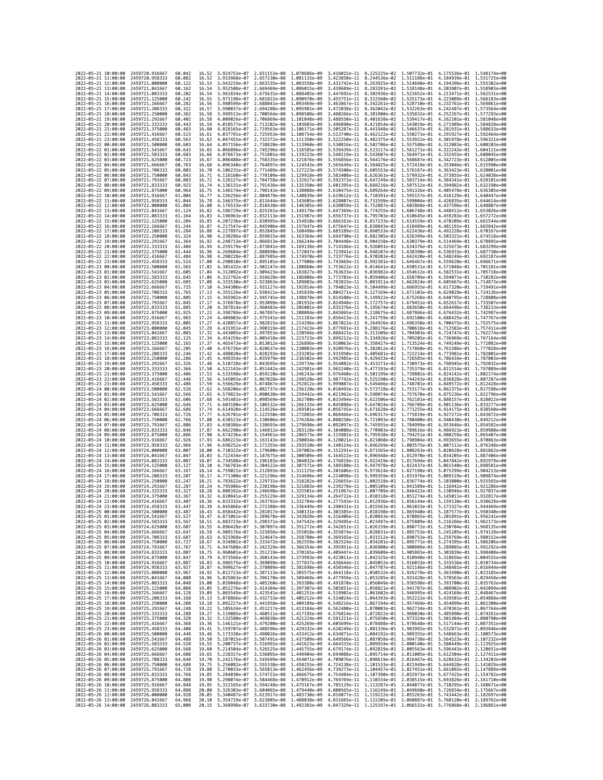| 2022-05-21 10:00:00                        |                     | 2459720.916667                                       | 60.042           | 16.52          | 3.924753e-07 2.651153e-08                                                                                                                                                                                                      |                                                        | 1.078686e-09                                                                                                                                                                                                                         |                              | 3.416015e-11 8.225225e-02 1.507732e-01 4.175536e-01 1.548174e+00                                                                                                                                           |              |                              |                                                        |
|--------------------------------------------|---------------------|------------------------------------------------------|------------------|----------------|--------------------------------------------------------------------------------------------------------------------------------------------------------------------------------------------------------------------------------|--------------------------------------------------------|--------------------------------------------------------------------------------------------------------------------------------------------------------------------------------------------------------------------------------------|------------------------------|------------------------------------------------------------------------------------------------------------------------------------------------------------------------------------------------------------|--------------|------------------------------|--------------------------------------------------------|
| 2022-05-21 11:00:00                        |                     | 2459720.958333                                       | 60.082           | 16.52          | 3.933968e-07                                                                                                                                                                                                                   | 2.657230e-08                                           | 1.081115e-09                                                                                                                                                                                                                         |                              | 3.423850e-11 8.244536e-02 1.511188e-01                                                                                                                                                                     |              | 4.184939e-01                 | 1.551725e+00                                           |
| 2022-05-21 12:00:00                        |                     | 2459721.000000                                       | 60.122           | 16.53          | 3.943219e-07                                                                                                                                                                                                                   | 2.663335e-08 1.083558e-09                              |                                                                                                                                                                                                                                      | 3.431742e-11                 | 8.263925e-02 1.514660e-01                                                                                                                                                                                  |              | 4.194396e-01                 | 1.555302e+00                                           |
| 2022-05-21 13:00:00<br>2022-05-21 14:00:00 |                     | 2459721.041667<br>2459721.083333                     | 60.162<br>60.202 | 16.54<br>16.54 | 3.952508e-07<br>3.961834e-07                                                                                                                                                                                                   | 2.669469e-08 1.086015e-09<br>2.675631e-08 1.088485e-09 |                                                                                                                                                                                                                                      |                              | 3.439689e-11 8.283391e-02 1.518148e-01<br>3.447692e-11 8.302936e-02 1.521652e-01                                                                                                                           |              |                              | 4.203907e-01 1.558903e+00<br>4.213471e-01 1.562531e+00 |
| 2022-05-21 15:00:00                        |                     | 2459721.125000                                       | 60.242           | 16.55          | 3.971198e-07                                                                                                                                                                                                                   | 2.681822e-08                                           | 1.090970e-09                                                                                                                                                                                                                         | 3.455751e-11                 | 8.322560e-02 1.525173e-01                                                                                                                                                                                  |              | 4.223089e-01                 | 1.566183e+00                                           |
| 2022-05-21 16:00:00                        |                     | 2459721.166667                                       | 60.282           | 16.56          | 3.980599e-07                                                                                                                                                                                                                   | 2.688041e-08                                           | 1.093469e-09                                                                                                                                                                                                                         | 3.463867e-11                 | 8.342261e-02                                                                                                                                                                                               | 1.528710e-01 | 4.232761e-01                 | 1.569861e+00                                           |
| 2022-05-21 17:00:00                        |                     | 2459721.208333                                       | 60.322           | 16.57          | 3.990037e-07                                                                                                                                                                                                                   | 2.694288e-08                                           | 1.095981e-09                                                                                                                                                                                                                         | 3.472038e-11                 | 8.362042e-02 1.532263e-01                                                                                                                                                                                  |              | 4.242487e-01                 | 1.573564e+00                                           |
| 2022-05-21 18:00:00<br>2022-05-21 19:00:00 |                     | 2459721.250000<br>2459721.291667                     | 60.362<br>60.402 | 16.58<br>16.58 | 3.999513e-07<br>4.009026e-07                                                                                                                                                                                                   | 2.700564e-08 1.098508e-09<br>2.706869e-08              | 1.101048e-09                                                                                                                                                                                                                         | 3.480266e-11<br>3.488550e-11 | 8.381900e-02 1.535832e-01<br>8.401838e-02                                                                                                                                                                  | 1.539417e-01 | 4.252267e-01<br>4.262101e-01 | 1.577293e+00<br>1.581048e+00                           |
| 2022-05-21 20:00:00                        |                     | 2459721.333333                                       | 60.443           | 16.59          | 4.018577e-07                                                                                                                                                                                                                   | 2.713202e-08 1.103603e-09                              |                                                                                                                                                                                                                                      | 3.496890e-11                 | 8.421854e-02 1.543019e-01                                                                                                                                                                                  |              | 4.271989e-01                 | 1.584828e+00                                           |
| 2022-05-21 21:00:00                        |                     | 2459721.375000                                       | 60.483           | 16.60          | 4.028165e-07                                                                                                                                                                                                                   | 2.719563e-08                                           | 1.106171e-09                                                                                                                                                                                                                         | 3.505287e-11                 | 8.441948e-02 1.546637e-01                                                                                                                                                                                  |              | 4.281931e-01                 | 1.588633e+00                                           |
| 2022-05-21 22:00:00                        |                     | 2459721.416667                                       | 60.523           | 16.61          | 4.037791e-07                                                                                                                                                                                                                   | 2.725953e-08                                           | 1.108754e-09                                                                                                                                                                                                                         | 3.513740e-11                 | 8.462122e-02 1.550271e-01                                                                                                                                                                                  |              | 4.291927e-01                 | 1.592464e+00                                           |
| 2022-05-21 23:00:00<br>2022-05-22 00:00:00 |                     | 2459721.458333<br>2459721.500000                     | 60.563<br>60.603 | 16.62<br>16.64 | 4.047455e-07<br>4.057156e-07                                                                                                                                                                                                   | 2.732372e-08<br>2.738820e-08 1.113960e-09              | 1.111350e-09                                                                                                                                                                                                                         | 3.522250e-11<br>3.530816e-11 | 8.482375e-02 1.553922e-01<br>8.502706e-02 1.557588e-01                                                                                                                                                     |              | 4.301978e-01<br>4.312083e-01 | 1.596321e+00<br>1.600203e+00                           |
| 2022-05-22 01:00:00                        |                     | 2459721.541667                                       | 60.643           | 16.65          | 4.066896e-07                                                                                                                                                                                                                   | 2.745296e-08 1.116585e-09                              |                                                                                                                                                                                                                                      | 3.539439e-11                 | 8.523117e-02 1.561271e-01                                                                                                                                                                                  |              | 4.322242e-01                 | 1.604111e+00                                           |
| 2022-05-22 02:00:00                        |                     | 2459721.583333                                       | 60.683           | 16.66          | 4.076673e-07                                                                                                                                                                                                                   | 2.751801e-08                                           | 1.119223e-09                                                                                                                                                                                                                         | 3.548119e-11                 | 8.543607e-02                                                                                                                                                                                               | 1.564971e-01 | 4.332455e-01                 | 1.608045e+00                                           |
| 2022-05-22 03:00:00                        |                     | 2459721.625000                                       | 60.723           | 16.67          | 4.086488e-07                                                                                                                                                                                                                   | 2.758335e-08                                           | 1.121876e-09                                                                                                                                                                                                                         | 3.556856e-11                 | 8.564176e-02 1.568687e-01                                                                                                                                                                                  |              | 4.342723e-01                 | 1.612005e+00                                           |
| 2022-05-22 04:00:00<br>2022-05-22 05:00:00 |                     | 2459721.666667                                       | 60.763<br>60.803 | 16.68<br>16.70 | 4.096340e-07                                                                                                                                                                                                                   | 2.764897e-08 1.124543e-09<br>2.771489e-08 1.127223e-09 |                                                                                                                                                                                                                                      | 3.565649e-11                 | 8.584825e-02 1.572419e-01<br>3.574500e-11 8.605553e-02 1.576167e-01                                                                                                                                        |              | 4.353046e-01                 | 1.615990e+00                                           |
| 2022-05-22 06:00:00                        |                     | 2459721.708333<br>2459721.750000                     | 60.843           | 16.71          | 4.106231e-07<br>4.116160e-07                                                                                                                                                                                                   | 2.778109e-08                                           | 1.129918e-09                                                                                                                                                                                                                         | 3.583408e-11                 | 8.626361e-02                                                                                                                                                                                               | 1.579932e-01 | 4.373855e-01                 | 4.363423e-01 1.620001e+00<br>1.624038e+00              |
| 2022-05-22 07:00:00                        |                     | 2459721.791667                                       | 60.883           | 16.72          | 4.126127e-07                                                                                                                                                                                                                   | 2.784758e-08 1.132627e-09                              |                                                                                                                                                                                                                                      | 3.592373e-11                 | 8.647249e-02 1.583714e-01                                                                                                                                                                                  |              | 4.384341e-01                 | 1.628101e+00                                           |
| 2022-05-22 08:00:00                        |                     | 2459721.833333                                       | 60.923           | 16.74          | 4.136131e-07                                                                                                                                                                                                                   | 2.791436e-08 1.135350e-09                              |                                                                                                                                                                                                                                      | 3.601395e-11                 | 8.668216e-02 1.587512e-01                                                                                                                                                                                  |              | 4.394882e-01                 | 1.632190e+00                                           |
| 2022-05-22 09:00:00                        |                     | 2459721.875000                                       | 60.964           | 16.75          | 4.146174e-07                                                                                                                                                                                                                   | 2.798143e-08 1.138088e-09<br>2.804879e-08 1.140839e-09 |                                                                                                                                                                                                                                      | 3.610475e-11                 | 8.689264e-02 1.591326e-01                                                                                                                                                                                  |              | 4.405478e-01                 | 1.636305e+00                                           |
| 2022-05-22 10:00:00<br>2022-05-22 11:00:00 |                     | 2459721.916667<br>2459721.958333                     | 61.004<br>61.044 | 16.77<br>16.78 | 4.156256e-07<br>4.166375e-07                                                                                                                                                                                                   | 2.811644e-08 1.143605e-09                              |                                                                                                                                                                                                                                      | 3.619612e-11<br>3.628807e-11 | 8.710391e-02 1.595157e-01<br>8.731599e-02 1.599004e-01                                                                                                                                                     |              | 4.416129e-01<br>4.426835e-01 | 1.640447e+00<br>1.644614e+00                           |
| 2022-05-22 12:00:00                        |                     | 2459722.000000                                       | 61.084           | 16.80          | 4.176533e-07                                                                                                                                                                                                                   | 2.818438e-08 1.146385e-09                              |                                                                                                                                                                                                                                      | 3.638059e-11                 | 8.752887e-02 1.602868e-01                                                                                                                                                                                  |              | 4.437596e-01                 | 1.648807e+00                                           |
| 2022-05-22 13:00:00                        |                     | 2459722.041667                                       | 61.124           | 16.82          | 4.186729e-07                                                                                                                                                                                                                   | 2.825261e-08                                           | 1.149179e-09                                                                                                                                                                                                                         | 3.647369e-11                 | 8.774255e-02                                                                                                                                                                                               | 1.606748e-01 | 4.448412e-01                 | 1.653026e+00                                           |
| 2022-05-22 14:00:00<br>2022-05-22 15:00:00 |                     | 2459722.083333<br>2459722.125000                     | 61.164<br>61.204 | 16.83<br>16.85 | 4.196963e-07<br>4.207236e-07                                                                                                                                                                                                   | 2.832113e-08<br>2.838995e-08 1.154810e-09              | 1.151987e-09                                                                                                                                                                                                                         | 3.656737e-11<br>3.666163e-11 | 8.795703e-02 1.610645e-01<br>8.817233e-02 1.614559e-01                                                                                                                                                     |              | 4.459283e-01<br>4.470209e-01 | 1.657272e+00<br>1.661544e+00                           |
| 2022-05-22 16:00:00                        |                     | 2459722.166667                                       | 61,244           | 16.87          | 4.217547e-07                                                                                                                                                                                                                   | 2.845906e-08 1.157647e-09                              |                                                                                                                                                                                                                                      | 3.675647e-11                 | 8.838843e-02 1.618489e-01                                                                                                                                                                                  |              | 4.481191e-01                 | 1.665842e+00                                           |
| 2022-05-22 17:00:00                        |                     | 2459722.208333                                       | 61.284           | 16.88          | 4.227897e-07                                                                                                                                                                                                                   | 2.852845e-08                                           | 1.160498e-09                                                                                                                                                                                                                         | 3.685189e-11                 | 8.860533e-02                                                                                                                                                                                               | 1.622436e-01 | 4.492228e-01                 | 1.670167e+00                                           |
| 2022-05-22 18:00:00                        |                     | 2459722.250000                                       | 61.324           | 16.90          | 4.238286e-07                                                                                                                                                                                                                   | 2.859815e-08 1.163364e-09                              |                                                                                                                                                                                                                                      | 3.694790e-11                 | 8.882305e-02 1.626399e-01                                                                                                                                                                                  |              | 4.503321e-01                 | 1.674518e+00                                           |
| 2022-05-22 19:00:00                        |                     | 2459722.291667                                       | 61.364           | 16.92          | 4.248713e-07                                                                                                                                                                                                                   | 2.866813e-08 1.166244e-09                              |                                                                                                                                                                                                                                      | 3.704448e-11                 | 8.904158e-02 1.630379e-01                                                                                                                                                                                  |              | 4.514469e-01                 | 1.678895e+00                                           |
| 2022-05-22 20:00:00<br>2022-05-22 21:00:00 |                     | 2459722.333333<br>2459722.375000                     | 61.404<br>61.444 | 16.94<br>16.96 | 4.259179e-07<br>4.269684e-07                                                                                                                                                                                                   | 2.873841e-08<br>2.880898e-08                           | 1.169138e-09<br>1.172047e-09                                                                                                                                                                                                         | 3.714166e-11<br>3.723941e-11 | 8.926091e-02 1.634376e-01<br>8.948107e-02 1.638390e-01                                                                                                                                                     |              | 4.525673e-01<br>4.536933e-01 | 1.683299e+00<br>1.687730e+00                           |
| 2022-05-22 22:00:00                        |                     | 2459722.416667                                       | 61.484           | 16.98          | 4.280228e-07                                                                                                                                                                                                                   | 2.887985e-08 1.174970e-09                              |                                                                                                                                                                                                                                      | 3.733776e-11                 | 8.970203e-02 1.642420e-01                                                                                                                                                                                  |              | 4.548249e-01                 | 1.692187e+00                                           |
| 2022-05-22 23:00:00                        |                     | 2459722.458333                                       | 61.524           | 17.00          | 4.290810e-07                                                                                                                                                                                                                   | 2.895101e-08                                           | 1.177908e-09                                                                                                                                                                                                                         | 3.743669e-11                 | 8.992381e-02 1.646467e-01                                                                                                                                                                                  |              | 4.559620e-01                 | 1.696671e+00                                           |
| 2022-05-23 00:00:00                        |                     | 2459722.500000<br>2459722.541667                     | 61.565           | 17.02          | 4.301432e-07                                                                                                                                                                                                                   | 2.902247e-08                                           | 1.180860e-09                                                                                                                                                                                                                         | 3.753622e-11                 | 9.014641e-02                                                                                                                                                                                               | 1.650531e-01 | 4.571048e-01                 | 1.701181e+00                                           |
| 2022-05-23 01:00:00<br>2022-05-23 02:00:00 |                     | 2459722.583333                                       | 61.605<br>61.645 | 17.04<br>17.06 | 4.312092e-07<br>4.322792e-07                                                                                                                                                                                                   | 2.909423e-08 1.183827e-09<br>2.916628e-08              | 1.186808e-09                                                                                                                                                                                                                         | 3.763633e-11<br>3.773703e-11 | 9.036982e-02 1.654612e-01<br>9.059406e-02 1.658709e-01                                                                                                                                                     |              | 4.582531e-01<br>4.594071e-01 | 1.705718e+00<br>1.710282e+00                           |
| 2022-05-23 03:00:00                        |                     | 2459722.625000                                       | 61.685           | 17.08          | 4.333530e-07                                                                                                                                                                                                                   | 2.923863e-08                                           | 1.189803e-09                                                                                                                                                                                                                         | 3.783833e-11                 | 9.081911e-02                                                                                                                                                                                               | 1,662824e-01 | 4.605667e-01                 | 1.714873e+00                                           |
| 2022-05-23 04:00:00                        |                     | 2459722.666667                                       | 61.725           | 17.10          | 4.344308e-07                                                                                                                                                                                                                   | 2.931127e-08                                           | 1.192814e-09                                                                                                                                                                                                                         | 3.794023e-11                 | 9.104499e-02                                                                                                                                                                                               | 1.666955e-01 | 4.617320e-01                 | 1.719491e+00                                           |
| 2022-05-23 05:00:00                        |                     | 2459722.708333                                       | 61.765           | 17.13          | 4.355126e-07                                                                                                                                                                                                                   | 2.938421e-08 1.195839e-09                              |                                                                                                                                                                                                                                      | 3.804271e-11                 | 9.127169e-02 1.671103e-01                                                                                                                                                                                  |              |                              | 4.629029e-01 1.724136e+00                              |
| 2022-05-23 06:00:00<br>2022-05-23 07:00:00 |                     | 2459722.750000<br>2459722.791667                     | 61.805<br>61.845 | 17.15<br>17.17 | 4.365982e-07<br>4.376878e-07                                                                                                                                                                                                   | 2.945745e-08 1.198878e-09<br>2.953099e-08              | 1.201932e-09                                                                                                                                                                                                                         | 3.814580e-11<br>3.824948e-11 | 9.149922e-02 1.675268e-01<br>9.172757e-02 1.679451e-01                                                                                                                                                     |              | 4.640795e-01<br>4.652617e-01 | 1.728808e+00<br>1.733507e+00                           |
| 2022-05-23 08:00:00                        |                     | 2459722.833333                                       | 61.885           | 17.20          | 4.387814e-07                                                                                                                                                                                                                   | 2.960483e-08 1.205001e-09                              |                                                                                                                                                                                                                                      | 3.835376e-11                 | 9.195674e-02                                                                                                                                                                                               | 1.683650e-01 | 4.664496e-01                 | 1.738233e+00                                           |
| 2022-05-23 09:00:00                        |                     | 2459722,875000                                       | 61.925           | 17.22          | 4.398789e-07                                                                                                                                                                                                                   | 2.967897e-08                                           | 1.208084e-09                                                                                                                                                                                                                         | 3.845865e-11                 | 9.218675e-02                                                                                                                                                                                               | 1.687866e-01 | 4.676432e-01                 | 1.742987e+00                                           |
| 2022-05-23 10:00:00                        |                     | 2459722.916667                                       | 61.965           | 17.24          | 4.409803e-07                                                                                                                                                                                                                   | 2.975341e-08                                           | 1.211183e-09                                                                                                                                                                                                                         | 3.856413e-11                 | 9.241759e-02 1.692100e-01                                                                                                                                                                                  |              |                              | 4.688425e-01 1.747767e+00                              |
| 2022-05-23 11:00:00                        |                     | 2459722.958333                                       | 62.005           | 17.27          | 4.420857e-07                                                                                                                                                                                                                   | 2.982815e-08                                           | 1.214296e-09                                                                                                                                                                                                                         | 3.867022e-11                 | 9.264926e-02                                                                                                                                                                                               | 1.696350e-01 | 4.700475e-01                 | 1.752575e+00                                           |
| 2022-05-23 12:00:00<br>2022-05-23 13:00:00 |                     | 2459723,000000<br>2459723.041667                     | 62.045<br>62.085 | 17.29<br>17.32 | 4.431951e-07<br>4.443085e-07                                                                                                                                                                                                   | 2.990319e-08 1.217423e-09<br>2.997853e-08              | 1.220566e-09                                                                                                                                                                                                                         | 3.877691e-11<br>3.888421e-11 | 9.288176e-02 1.700618e-01<br>9.311509e-02 1.704903e-01                                                                                                                                                     |              | 4.712583e-01<br>4.724747e-01 | 1.757411e+00<br>1.762274e+00                           |
| 2022-05-23 14:00:00                        |                     | 2459723.083333                                       | 62.125           | 17.34          | 4.454259e-07                                                                                                                                                                                                                   | 3.005418e-08                                           | 1.223723e-09                                                                                                                                                                                                                         | 3.899212e-11                 | 9.334926e-02 1.709205e-01                                                                                                                                                                                  |              | 4.736969e-01                 | 1.767164e+00                                           |
| 2022-05-23 15:00:00                        |                     | 2459723.125000                                       | 62.165           | 17.37          | 4.465473e-07                                                                                                                                                                                                                   | 3.013012e-08 1.226896e-09                              |                                                                                                                                                                                                                                      | 3.910063e-11                 | 9.358427e-02 1.713524e-01                                                                                                                                                                                  |              | 4.749249e-01                 | 1.772082e+00                                           |
| 2022-05-23 16:00:00                        |                     | 2459723.166667                                       | 62.205           | 17.40          | 4.476726e-07                                                                                                                                                                                                                   | 3.020637e-08 1.230083e-09                              |                                                                                                                                                                                                                                      | 3.920976e-11                 | 9.382012e-02 1.717860e-01                                                                                                                                                                                  |              | 4.761586e-01                 | 1.777028e+00                                           |
| 2022-05-23 17:00:00<br>2022-05-23 18:00:00 |                     | 2459723.208333<br>2459723.250000                     | 62.246<br>62.286 | 17.42<br>17.45 | 4.488020e-07<br>4.499354e-07                                                                                                                                                                                                   | 3.028293e-08 1.233285e-09<br>3.035979e-08              | 1.236502e-09                                                                                                                                                                                                                         | 3.931950e-11<br>3.942985e-11 | 9.405681e-02 1.722214e-01<br>9.429433e-02 1.726585e-01                                                                                                                                                     |              | 4.786434e-01                 | 4.773981e-01 1.782001e+00<br>1.787003e+00              |
| 2022-05-23 19:00:00                        |                     | 2459723.291667                                       | 62.326           | 17.48          | 4.510728e-07                                                                                                                                                                                                                   | 3.043695e-08                                           | 1.239734e-09                                                                                                                                                                                                                         | 3.954082e-11                 | 9.453271e-02                                                                                                                                                                                               | 1.730973e-01 | 4.798945e-01                 | 1.792032e+00                                           |
| 2022-05-23 20:00:00                        |                     | 2459723.333333                                       | 62.366           | 17.50          | 4.522143e-07                                                                                                                                                                                                                   | 3.051442e-08                                           | 1.242981e-09                                                                                                                                                                                                                         | 3.965240e-11                 | 9.477193e-02 1.735379e-01                                                                                                                                                                                  |              | 4.811514e-01                 | 1.797089e+00                                           |
| 2022-05-23 21:00:00                        |                     | 2459723.375000                                       | 62.406           | 17.53          | 4.533598e-07                                                                                                                                                                                                                   | 3.059220e-08 1.246243e-09                              |                                                                                                                                                                                                                                      | 3.976460e-11                 | 9.501199e-02 1.739802e-01                                                                                                                                                                                  |              | 4.824142e-01                 | 1.802174e+00                                           |
| 2022-05-23 22:00:00<br>2022-05-23 23:00:00 |                     | 2459723.416667<br>2459723.458333                     | 62.446<br>62.486 | 17.56<br>17.59 | 4.545093e-07<br>4.556629e-07                                                                                                                                                                                                   | 3.067028e-08<br>3.074867e-08 1.252812e-09              | 1.249520e-09                                                                                                                                                                                                                         | 3.987742e-11<br>3.999087e-11 | 9.525290e-02<br>9.549466e-02 1.748701e-01                                                                                                                                                                  | 1.744243e-01 | 4.836828e-01<br>4.849572e-01 | 1.807287e+00<br>1.812428e+00                           |
| 2022-05-24 00:00:00                        |                     | 2459723.500000                                       | 62.526           | 17.62          | 4.568206e-07                                                                                                                                                                                                                   | 3.082737e-08                                           | 1.256120e-09                                                                                                                                                                                                                         | 4.010493e-11                 | 9.573728e-02 1.753177e-01                                                                                                                                                                                  |              | 4.862375e-01                 | 1.817598e+00                                           |
| 2022-05-24 01:00:00                        |                     | 2459723.541667                                       | 62.566           | 17.65          | 4.579823e-07                                                                                                                                                                                                                   | 3.090638e-08                                           | 1.259442e-09                                                                                                                                                                                                                         | 4.021962e-11                 | 9.598074e-02 1.757670e-01                                                                                                                                                                                  |              | 4.875236e-01                 | 1.822796e+00                                           |
| 2022-05-24 02:00:00                        |                     | 2459723.583333                                       | 62.606           | 17.68          | 4.591481e-07                                                                                                                                                                                                                   | 3.098569e-08                                           | 1.262780e-09                                                                                                                                                                                                                         | 4.033494e-11                 | 9.622506e-02 1.762181e-01                                                                                                                                                                                  |              | 4.888157e-01                 | 1.828022e+00                                           |
| 2022-05-24 03:00:00<br>2022-05-24 04:00:00 |                     | 2459723.625000<br>2459723.666667                     | 62.646<br>62.686 | 17.71<br>17.74 | 4.603180e-07<br>4.614920e-07                                                                                                                                                                                                   | 3.106532e-08 1.266133e-09<br>3.114526e-08 1.269501e-09 |                                                                                                                                                                                                                                      | 4.045088e-11<br>4.056745e-11 | 9.647024e-02 1.766709e-01<br>9.671628e-02 1.771255e-01                                                                                                                                                     |              | 4.901136e-01<br>4.914175e-01 | 1.833277e+00<br>1.838560e+00                           |
| 2022-05-24 05:00:00                        |                     | 2459723.708333                                       | 62.726           | 17.77          | 4.626701e-07                                                                                                                                                                                                                   | 3.122550e-08                                           | 1.272885e-09                                                                                                                                                                                                                         | 4.068466e-11                 | 9.696317e-02                                                                                                                                                                                               | 1.775819e-01 | 4.927272e-01                 | 1.843872e+00                                           |
| 2022-05-24 06:00:00                        |                     | 2459723.750000                                       | 62.766           | 17.80          | 4.638523e-07                                                                                                                                                                                                                   | 3.130606e-08                                           | 1.276284e-09                                                                                                                                                                                                                         | 4.080250e-11                 | 9.721093e-02 1.780400e-01                                                                                                                                                                                  |              | 4.940430e-01                 | 1.849212e+00                                           |
| 2022-05-24 07:00:00                        |                     | 2459723.791667                                       | 62.806           | 17.83          | 4.650386e-07                                                                                                                                                                                                                   | 3.138693e-08 1.279698e-09                              |                                                                                                                                                                                                                                      | 4.092097e-11                 | 9.745955e-02 1.784999e-01                                                                                                                                                                                  |              | 4.953646e-01                 | 1.854582e+00                                           |
| 2022-05-24 08:00:00                        |                     | 2459723.833333                                       | 62.846           | 17.87          | 4.662290e-07                                                                                                                                                                                                                   | 3.146812e-08 1.283128e-09                              |                                                                                                                                                                                                                                      | 4.104008e-11                 | 9.770903e-02 1.789616e-01                                                                                                                                                                                  |              |                              | 4.966923e-01 1.859980e+00                              |
| 2022-05-24 09:00:00<br>2022-05-24 10:00:00 |                     | 2459723.875000<br>2459723.916667                     | 62.886<br>62.926 | 17.90<br>17.93 | 4.674236e-07<br>4.686223e-07                                                                                                                                                                                                   | 3.154961e-08<br>3.163143e-08                           | 1.286573e-09<br>1.290034e-09                                                                                                                                                                                                         | 4.115982e-11<br>4.128021e-11 | 9.795938e-02<br>9.821060e-02 1.798904e-01                                                                                                                                                                  | 1.794251e-01 | 4.980259e-01<br>4.993655e-01 | 1.865407e+00<br>1.870863e+00                           |
| 2022-05-24 11:00:00                        |                     | 2459723.958333                                       | 62.966           | 17.96          | 4.698252e-07                                                                                                                                                                                                                   | 3.171355e-08 1.293510e-09                              |                                                                                                                                                                                                                                      | 4.140124e-11                 | 9.846269e-02 1.803575e-01                                                                                                                                                                                  |              | 5.007111e-01                 | 1.876348e+00                                           |
| 2022-05-24 12:00:00                        |                     | 2459724,000000                                       | 63.007           | 18.00          | 4.710322e-07                                                                                                                                                                                                                   | 3.179600e-08 1.297002e-09                              |                                                                                                                                                                                                                                      | 4.152291e-11                 | 9.871565e-02 1.808263e-01                                                                                                                                                                                  |              | 5.020628e-01                 | 1.881862e+00                                           |
| 2022-05-24 13:00:00<br>2022-05-24 14:00:00 |                     | 2459724.041667<br>2459724.083333                     | 63.047<br>63.087 | 18.03<br>18.07 | 4.722434e-07<br>4.734588e-07                                                                                                                                                                                                   | 3.187875e-08 1.300509e-09<br>3.196183e-08 1.304032e-09 |                                                                                                                                                                                                                                      | 4.164522e-11<br>4.176819e-11 | 9.896948e-02 1.812970e-01<br>9.922419e-02 1.817694e-01                                                                                                                                                     |              | 5.034205e-01<br>5.047842e-01 | 1.887406e+00<br>1.892979e+00                           |
| 2022-05-24 15:00:00                        |                     | 2459724.125000                                       | 63.127           | 18.10          | 4.746783e-07                                                                                                                                                                                                                   | 3.204522e-08                                           | 1.307571e-09                                                                                                                                                                                                                         | 4.189180e-11                 | 9.947978e-02                                                                                                                                                                                               | 1.822437e-01 | 5.061540e-01                 | 1.898581e+00                                           |
| 2022-05-24 16:00:00                        |                     | 2459724.166667                                       | 63.167           | 18.14          | 4.759021e-07                                                                                                                                                                                                                   | 3.212893e-08                                           | 1.311125e-09                                                                                                                                                                                                                         | 4.201606e-11                 | 9.973624e-02                                                                                                                                                                                               | 1.827198e-01 | 5.075299e-01                 | 1.904213e+00                                           |
| 2022-05-24 17:00:00                        |                     | 2459724.208333                                       | 63.207           | 18.17          | 4.771300e-07                                                                                                                                                                                                                   | 3.221296e-08                                           | 1.314696e-09                                                                                                                                                                                                                         | 4.214098e-11                 | 9.999359e-02 1.831976e-01                                                                                                                                                                                  |              | 5.089119e-01                 | 1.909874e+00                                           |
| 2022-05-24 18:00:00<br>2022-05-24 19:00:00 |                     | 2459724,250000                                       | 63.247           | 18.21          | 4.783622e-07                                                                                                                                                                                                                   | 3.229731e-08                                           | 1.318282e-09                                                                                                                                                                                                                         | 4.226655e-11                 | 1.002518e-01 1.836774e-01                                                                                                                                                                                  |              | 5.103000e-01                 | 1.915565e+00                                           |
| 2022-05-24 20:00:00                        |                     | 2459724.291667<br>2459724.333333                     | 63,287<br>63.327 | 18.24<br>18.28 | 4.795986e-07<br>4.808392e-07                                                                                                                                                                                                   | 3.238198e-08<br>3.246698e-08                           | 1,321883e-09<br>1.325501e-09                                                                                                                                                                                                         | 4.239278e-11<br>4.251967e-11 | 1.005109e-01 1.841589e-01<br>1.007709e-01 1.846422e-01                                                                                                                                                     |              | 5.116942e-01<br>5.130946e-01 | 1.921286e+00<br>1.927037e+00                           |
| 2022-05-24 21:00:00                        |                     | 2459724.375000                                       | 63.367           | 18.32          | 4.820841e-07                                                                                                                                                                                                                   | 3.255229e-08 1.329134e-09                              |                                                                                                                                                                                                                                      |                              | 4.264722e-11 1.010318e-01 1.851274e-01                                                                                                                                                                     |              |                              | 5.145011e-01 1.932817e+00                              |
| 2022-05-24 22:00:00                        |                     | 2459724.416667                                       | 63.407           | 18.36          | 4.833332e-07 3.263792e-08 1.332784e-09                                                                                                                                                                                         |                                                        |                                                                                                                                                                                                                                      |                              | 4.277543e-11  1.012936e-01  1.856144e-01  5.159138e-01  1.938628e+00                                                                                                                                       |              |                              |                                                        |
| 2022-05-24 23:00:00<br>2022-05-25 00:00:00 |                     | 2459724.458333<br>2459724.500000                     | 63.447           | 18.39          |                                                                                                                                                                                                                                |                                                        | 4.845866e-07 3.272388e-08 1.336449e-09 4.290431e-11 1.015563e-01 1.861033e-01 5.173327e-01 1.944469e+00<br>1.340131e-09                                                                                                              |                              |                                                                                                                                                                                                            |              |                              |                                                        |
| 2022-05-25 01:00:00                        |                     | 2459724.541667                                       | 63.487<br>63.527 | 18.43<br>18.47 | 1.858442e-07<br>4.871061e-07 3.289678e-08 1.343828e-09                                                                                                                                                                         | 3.281017e-08                                           |                                                                                                                                                                                                                                      | 4.303385e-11                 | 1.018198e-01<br>4.316406e-11 1.020843e-01 1.870865e-01 5.201891e-01 1.956241e+00                                                                                                                           | 1.865940e-01 | 5.187577e-01                 | 1.950340e+00                                           |
| 2022-05-25 02:00:00                        |                     | 2459724.583333                                       | 63.567           | 18.51          |                                                                                                                                                                                                                                |                                                        | 4.883723e-07 3.298371e-08 1.347542e-09 4.329495e-11 1.023497e-01 1.875809e-01 5.216266e-01 1.962173e+00                                                                                                                              |                              |                                                                                                                                                                                                            |              |                              |                                                        |
| 2022-05-25 03:00:00                        |                     | 2459724.625000                                       | 63.607           | 18.55          | 4.896428e-07                                                                                                                                                                                                                   |                                                        | 3.307097e-08 1.351272e-09 4.342651e-11 1.026159e-01 1.880772e-01 5.230704e-01 1.968135e+00                                                                                                                                           |                              |                                                                                                                                                                                                            |              |                              |                                                        |
| 2022-05-25 04:00:00<br>2022-05-25 05:00:00 |                     | 2459724.666667<br>2459724.708333                     | 63.647<br>63.687 | 18.59          |                                                                                                                                                                                                                                |                                                        | 4.909176e-07 3.315856e-08 1.355018e-09 4.355874e-11 1.028831e-01 1.885753e-01 5.245205e-01 1.974128e+00<br>18.63 4.921968e-07 3.324647e-08 1.358780e-09 4.369165e-11 1.031512e-01 1.890753e-01 5.259769e-01 1.980152e+00             |                              |                                                                                                                                                                                                            |              |                              |                                                        |
| 2022-05-25 06:00:00                        |                     | 2459724.750000                                       | 63.727           | 18.67          |                                                                                                                                                                                                                                |                                                        |                                                                                                                                                                                                                                      |                              | 4.382524e-11 1.034201e-01 1.895771e-01 5.274395e-01 1.986206e+00<br>4.395951e-11 1.036900e-01 1.900809e-01 5.289085e-01 1.992292e+00                                                                       |              |                              |                                                        |
| 2022-05-25 07:00:00                        |                     | 2459724.791667                                       | 63.767           |                | 4.934802e-07 3.333472e-08 1.362559e-09<br>4.947680e-07 3.342329e-08 1.366354e-09<br>18.71 4.947680e-07                                                                                                                         |                                                        |                                                                                                                                                                                                                                      |                              |                                                                                                                                                                                                            |              |                              | 1.992292e+00                                           |
| 2022-05-25 08:00:00                        |                     | 2459724.833333                                       | 63.807           | 18.75          |                                                                                                                                                                                                                                |                                                        | 4.960601e-07 3.351219e-08 1.370165e-09                                                                                                                                                                                               |                              | 4.409447e-11 1.039608e-01 1.905865e-01 5.303839e-01 1.998408e+00                                                                                                                                           |              |                              |                                                        |
| 2022-05-25 09:00:00<br>2022-05-25 10:00:00 |                     | 2459724.875000<br>2459724.916667                     | 63.847<br>63.887 | 18.79          | 4.973566e-07 3.360143e-08 1.373993e-09                                                                                                                                                                                         |                                                        |                                                                                                                                                                                                                                      |                              | 4.423011e-11 1.042325e-01 1.910940e-01 5.318656e-01 2.004555e+00                                                                                                                                           |              |                              |                                                        |
| 2022-05-25 11:00:00                        |                     | 2459724.958333                                       | 63.927           |                | $\begin{array}{cccc} 18.83 & 4.986575e-07 & 3.369099e-08 & 1.377837e-09 \\ 18.87 & 4.999627e-07 & 3.378089e-08 & 1.381698e-09 \end{array}$                                                                                     |                                                        |                                                                                                                                                                                                                                      |                              | $\begin{array}{cccc} 4.436644e-11 & 1.045052e-01 & 1.916033e-01 & 5.333536e-01 & 2.010734e+00 \\ 4.450346e-11 & 1.047787e-01 & 1.921146e-01 & 5.348481e-01 & 2.016944e+00 \end{array}$                     |              |                              |                                                        |
| 2022-05-25 12:00:00                        |                     | 2459725.000000                                       | 63.967           |                | 18.92 5.012723e-07 3.387113e-08 1.385575e-09                                                                                                                                                                                   |                                                        |                                                                                                                                                                                                                                      |                              | 4.464118e-11 1.050532e-01 1.926278e-01 5.363490e-01 2.023185e+00                                                                                                                                           |              |                              |                                                        |
| 2022-05-25 13:00:00                        |                     | 2459725.041667                                       | 64.008           |                |                                                                                                                                                                                                                                |                                                        | $\begin{array}{cccc} 18.96 & 5.025863e-07 & 3.396170e-08 & 1.389469e-09 \\ 19.00 & 5.039048e-07 & 3.405260e-08 & 1.393380e-09 \end{array}$                                                                                           |                              | 4.477959e-11 1.053285e-01 1.931428e-01 5.378563e-01 2.029458e+00                                                                                                                                           |              |                              |                                                        |
| 2022-05-25 14:00:00<br>2022-05-25 15:00:00 |                     | 2459725.083333<br>2459725.125000                     | 64.048<br>64.088 |                |                                                                                                                                                                                                                                |                                                        | 19.05 5.052276e-07 3.414384e-08 1.397307e-09 4.505851e-11 1.058821e-01 1.941787e-01 5.408902e-01 2.042099e+00                                                                                                                        |                              | 4.491870e-11 1.056049e-01 1.936598e-01 5.393700e-01                                                                                                                                                        |              |                              | 2.035763e+00                                           |
| 2022-05-25 16:00:00                        |                     | 2459725.166667                                       | 64.128           |                |                                                                                                                                                                                                                                |                                                        |                                                                                                                                                                                                                                      |                              | 4.519902e-11 1.061602e-01 1.946995e-01 5.424169e-01 2.048467e+00                                                                                                                                           |              |                              |                                                        |
| 2022-05-25 17:00:00                        |                     | 2459725.208333                                       | 64.168           |                |                                                                                                                                                                                                                                |                                                        | 19.09 5.065549e-07 3.423541e-08 1.401251e-09 4.519902e-11 1.061602e-01 1.946995e-01 5.424169e-01<br>19.13 5.078866e-07 3.432733e-08 1.405212e-09 4.539024e-11 1.064393e-01 1.946995e-01 5.434169e-01<br>19.18 5.092227e-07 3.441958e |                              |                                                                                                                                                                                                            |              |                              | 2.054868e+00                                           |
| 2022-05-25 18:00:00                        |                     | 2459725.250000                                       | 64.208           |                |                                                                                                                                                                                                                                |                                                        |                                                                                                                                                                                                                                      |                              |                                                                                                                                                                                                            |              |                              | 2.061300e+00                                           |
| 2022-05-25 19:00:00<br>2022-05-25 20:00:00 |                     | 2459725.291667<br>2459725.333333                     | 64.248<br>64.288 |                |                                                                                                                                                                                                                                |                                                        | 19.22 5.105634e-07 3.451217e-08 1.413184e-09<br>19.27 5.119085e-07 3.460511e-08 1.417195e-09 4.576814e-11 1.072822e-01 1.968020e-01 5.485890e-01 2.074261e+00                                                                        |                              | 4.562480e-11 1.070003e-01 1.962734e-01 5.470361e-01 2.067764e+00                                                                                                                                           |              |                              |                                                        |
| 2022-05-25 21:00:00                        |                     | 2459725.375000                                       | 64.328           | 19.32          | 5.132580e-07 3.469838e-08 1.421224e-09<br>5.146121e-07 3.479200e-08 1.421224e-09                                                                                                                                               |                                                        |                                                                                                                                                                                                                                      |                              |                                                                                                                                                                                                            |              |                              |                                                        |
| 2022-05-25 22:00:00                        |                     | 2459725.416667                                       | 64.368           |                | 19.36 5.146121e-07                                                                                                                                                                                                             |                                                        |                                                                                                                                                                                                                                      |                              | $\begin{array}{cccc} 4.591221e{-}11 & 1.075650e{-}01 & 1.973324e{-}01 & 5.501484e{-}01 & 2.080790e{+}00 \\ 4.605699e{-}11 & 1.078488e{-}01 & 1.978648e{-}01 & 5.517144e{-}01 & 2.087351e{+}00 \end{array}$ |              |                              |                                                        |
| 2022-05-25 23:00:00                        |                     | 2459725.458333                                       | 64.408           |                |                                                                                                                                                                                                                                |                                                        | 19.41 5.159707e-07 3.488596e-08 1.429332e-09 4.620249e-11 1.081336e-01 1.983992e-01 5.532871e-01 2.093946e+00                                                                                                                        |                              |                                                                                                                                                                                                            |              |                              |                                                        |
| 2022-05-26 00:00:00<br>2022-05-26 01:00:00 |                     | 2459725.500000<br>2459725.541667                     | 64.448<br>64.488 |                |                                                                                                                                                                                                                                |                                                        | 19.46 5.173338e-07 3.498026e-08 1.433412e-09<br>19.50 5.173338e-07 3.498026e-08 1.433412e-09                                                                                                                                         |                              | 4.634871e-11 1.084192e-01 1.989355e-01 5.548663e-01 2.100573e+00<br>4.649566e-11 1.087058e-01 1.994738e-01 5.564523e-01 2.107232e+00                                                                       |              |                              |                                                        |
| 2022-05-26 02:00:00                        |                     | 2459725.583333                                       | 64.528           |                |                                                                                                                                                                                                                                |                                                        | 19.55 5.200737e-07 3.516991e-08 1.441623e-09                                                                                                                                                                                         |                              | 4.664333e-11 1.089934e-01 2.000140e-01 5.580449e-01 2.113925e+00                                                                                                                                           |              |                              |                                                        |
| 2022-05-26 03:00:00                        |                     | 2459725.625000                                       | 64.568           |                |                                                                                                                                                                                                                                |                                                        | 19.60 5.214504e-07 3.526525e-08 1.445755e-09 4.679174e-11 1.092819e-01 2.005563e-01 5.596443e-01 2.120651e+00                                                                                                                        |                              |                                                                                                                                                                                                            |              |                              |                                                        |
| 2022-05-26 04:00:00                        |                     | 2459725.666667                                       | 64.608           |                |                                                                                                                                                                                                                                |                                                        | $\begin{array}{cccc} 19.65 & 5.228317e-07 & 3.536095e-08 & 1.449904e-09 \\ 19.70 & 5.242176e-07 & 3.545699e-08 & 1.454071e-09 \end{array}$                                                                                           |                              | $\begin{array}{cccccc} 4.694088e-11 & 1.095714e-01 & 2.011005e-01 & 5.612504e-01 & 2.127411e+00 \\ 4.709076e-11 & 1.098619e-01 & 2.016467e-01 & 5.628632e-01 & 2.134203e+00 \end{array}$                   |              |                              |                                                        |
| 2022-05-26 05:00:00<br>2022-05-26 06:00:00 |                     | 2459725.708333<br>2459725.750000                     | 64.648<br>64.688 |                |                                                                                                                                                                                                                                |                                                        | 19.75 5.256082e-07 3.555338e-08 1.458255e-09                                                                                                                                                                                         |                              | 4.724138e-11 1.101533e-01 2.021949e-01 5.644828e-01 2.141029e+00                                                                                                                                           |              |                              |                                                        |
| 2022-05-26 07:00:00                        |                     | 2459725.791667                                       | 64.728           |                |                                                                                                                                                                                                                                |                                                        |                                                                                                                                                                                                                                      |                              |                                                                                                                                                                                                            |              |                              |                                                        |
| 2022-05-26 08:00:00                        |                     | 2459725.833333                                       | 64.768           |                |                                                                                                                                                                                                                                |                                                        | 19.80 5.270033e-07 3.565013e-08 1.462456e-09 4.739273e-11 1.104457e-01 2.027451e-01 5.661092e-01 2.147889e+00<br>19.85 5.284030e-07 3.574722e-08 1.466675e-09 4.754484e-11 1.107390e-01 2.032973e-01 5.661092e-01 2.154782e+00<br>19 |                              |                                                                                                                                                                                                            |              |                              |                                                        |
| 2022-05-26 09:00:00                        |                     | 2459725.875000                                       | 64.808           |                |                                                                                                                                                                                                                                |                                                        |                                                                                                                                                                                                                                      |                              |                                                                                                                                                                                                            |              |                              |                                                        |
| 2022-05-26 10:00:00<br>2022-05-26 11:00:00 |                     | 2459725.916667<br>2459725.958333                     | 64.848<br>64.888 |                |                                                                                                                                                                                                                                |                                                        | 19.95 5.312165e-07 3.594248e-08 1.475167e-09 4.785129e-11 1.113287e-01 2.044077e-01 5.710295e-01 2.168671e+00<br>20.00 5.326303e-07 3.604065e-08 1.479440e-09 4.800565e-11 1.116249e-01 2.049660e-01 5.726834e-01 2.175667e+00       |                              |                                                                                                                                                                                                            |              |                              |                                                        |
|                                            |                     |                                                      | 64.928           |                |                                                                                                                                                                                                                                |                                                        |                                                                                                                                                                                                                                      |                              |                                                                                                                                                                                                            |              |                              |                                                        |
|                                            | 2022-05-26 12:00:00 | 2459726.000000                                       |                  |                |                                                                                                                                                                                                                                |                                                        |                                                                                                                                                                                                                                      |                              |                                                                                                                                                                                                            |              |                              |                                                        |
| 2022-05-26 13:00:00                        |                     | 2459726.041667<br>2022-05-26 14:00:00 2459726.083333 | 64.968<br>65.008 |                | 20.05 5.340487e-07 3.613917e-08 1.483730e-09 4.816077e-11 1.119222e-01 2.055263e-01 5.743442e-01 2.182697e+00<br>20.10 5.354719e-07 3.623805e-08 1.488038e-09 4.831665e-11 1.122205e-01 2.060887e-01 5.760120e-01 2.189762e+00 |                                                        | 20.15 5.368998e-07 3.633730e-08 1.492365e-09 4.847329e-11 1.125197e-01 2.066531e-01 5.776868e-01 2.196861e+00                                                                                                                        |                              |                                                                                                                                                                                                            |              |                              |                                                        |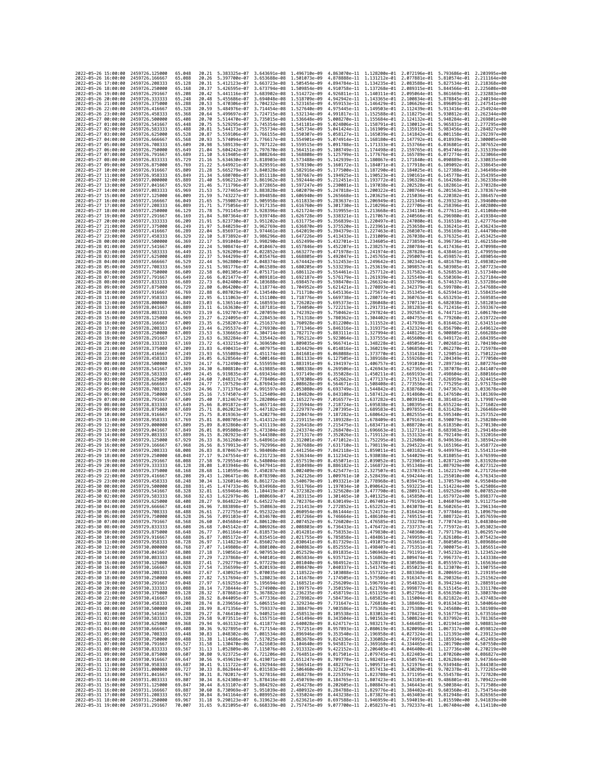|                                                                   | 2022-05-26 15:00:00 | 2459726.125000                   | 65.048           | 20.21          | 5.383325e-07 3.643691e-08                                                              |                                                        | 1,496710e-09                                                                                                                                                                                                                                                  | 4.863070e-11 1.128200e-01 2.072196e-01                                           |                                                        |                                        | 5.793686e-01 2.203995e+00                                                                                                                                                                                                                                  |                                           |
|-------------------------------------------------------------------|---------------------|----------------------------------|------------------|----------------|----------------------------------------------------------------------------------------|--------------------------------------------------------|---------------------------------------------------------------------------------------------------------------------------------------------------------------------------------------------------------------------------------------------------------------|----------------------------------------------------------------------------------|--------------------------------------------------------|----------------------------------------|------------------------------------------------------------------------------------------------------------------------------------------------------------------------------------------------------------------------------------------------------------|-------------------------------------------|
|                                                                   | 2022-05-26 16:00:00 | 2459726,166667                   | 65.088           | 20.26          | 5.397700e-07                                                                           | 3.653688e-08                                           | 1.501073e-09                                                                                                                                                                                                                                                  | 4.878888e-11 1.131212e-01 2.077881e-01                                           |                                                        |                                        | 5.810574e-01                                                                                                                                                                                                                                               | 2.211164e+00                              |
| 2022-05-26 17:00:00                                               |                     | 2459726.208333                   | 65.128           | 20.31          | 5.412123e-07                                                                           | 3.663723e-08                                           | 1.505454e-09                                                                                                                                                                                                                                                  | 4.894784e-11                                                                     | 1.134235e-01 2.083588e-01                              |                                        | 5.827534e-01                                                                                                                                                                                                                                               | 2.218368e+00                              |
| 2022-05-26 18:00:00<br>2022-05-26 19:00:00                        |                     | 2459726,250000<br>2459726.291667 | 65.168<br>65.208 | 20.37<br>20.42 | 5.426595e-07<br>5.441116e-07                                                           | 3.673794e-08 1.509854e-09<br>3.683902e-08 1.514272e-09 |                                                                                                                                                                                                                                                               | 4.910758e-11 1.137268e-01 2.089315e-01<br>4.926811e-11 1.140311e-01 2.095064e-01 |                                                        |                                        | 5.844566e-01                                                                                                                                                                                                                                               | 2.225608e+00<br>5.861669e-01 2.232883e+00 |
| 2022-05-26 20:00:00                                               |                     | 2459726.333333                   | 65.248           | 20.48          | 5.455686e-07                                                                           | 3.694048e-08                                           | 1.518709e-09                                                                                                                                                                                                                                                  | 4.942942e-11 1.143365e-01                                                        |                                                        | 2.100834e-01                           | 5.878845e-01                                                                                                                                                                                                                                               | 2.240194e+00                              |
| 2022-05-26 21:00:00                                               |                     | 2459726.375000                   | 65.288           | 20.53          | 5.470306e-07                                                                           | 3.704232e-08                                           | 1.523165e-09                                                                                                                                                                                                                                                  | 4.959153e-11                                                                     | 1.146429e-01 2.106626e-01                              |                                        | 5.896093e-01                                                                                                                                                                                                                                               | 2.247541e+00                              |
| 2022-05-26 22:00:00                                               |                     | 2459726.416667                   | 65.328           | 20.59          | 5.484976e-07                                                                           | 3.714454e-08                                           | 1.527640e-09                                                                                                                                                                                                                                                  | 4.975445e-11                                                                     | 1.149503e-01 2.112439e-01                              |                                        | 5.913416e-01                                                                                                                                                                                                                                               | 2.254924e+00                              |
| 2022-05-26 23:00:00<br>2022-05-27 00:00:00                        |                     | 2459726.458333<br>2459726.500000 | 65.368<br>65.408 | 20.64<br>20.70 | 5.499697e-07<br>5.514470e-07                                                           | 3.724715e-08<br>3.735015e-08                           | 1.532134e-09<br>1.536648e-09                                                                                                                                                                                                                                  | 4.991817e-11 1.152588e-01 2.118275e-01<br>5.008270e-11                           | 1.155684e-01                                           | 2.124132e-01                           | 5.930812e-01<br>5.948284e-01                                                                                                                                                                                                                               | 2.262344e+00<br>2.269801e+00              |
| 2022-05-27 01:00:00                                               |                     | 2459726.541667                   | 65.448           | 20.75          | 5.529295e-07                                                                           | 3.745354e-08                                           | 1.541181e-09                                                                                                                                                                                                                                                  | 5.024806e-11 1.158791e-01 2.130012e-01                                           |                                                        |                                        | 5.965831e-01                                                                                                                                                                                                                                               | 2.277295e+00                              |
| 2022-05-27 02:00:00                                               |                     | 2459726.583333                   | 65.488           | 20.81          | 5.544173e-07                                                                           | 3.755734e-08                                           | 1.545734e-09                                                                                                                                                                                                                                                  | 5.041424e-11                                                                     | 1.161909e-01 2.135915e-01                              |                                        | 5.983456e-01                                                                                                                                                                                                                                               | 2.284827e+00                              |
| 2022-05-27 03:00:00                                               |                     | 2459726.625000                   | 65.528           | 20.87          | 5.559106e-07                                                                           | 3.766155e-08                                           | 1,550307e-09                                                                                                                                                                                                                                                  | 5.058127e-11                                                                     | 1.165039e-01                                           | 2.141842e-01                           | 6.001158e-01                                                                                                                                                                                                                                               | 2.292397e+00                              |
| 2022-05-27 04:00:00<br>2022-05-27 05:00:00                        |                     | 2459726.666667<br>2459726.708333 | 65.568<br>65.609 | 20.93<br>20.98 | 5.574094e-07<br>5.589139e-07                                                           | 3.776617e-08<br>3.787122e-08 1.559515e-09              | 1.554901e-09                                                                                                                                                                                                                                                  | 5.074914e-11<br>5.091788e-11                                                     | 1.168180e-01 2.147792e-01<br>1.171333e-01 2.153766e-01 |                                        | 6.018939e-01<br>6.036801e-01                                                                                                                                                                                                                               | 2.300005e+00<br>2.307652e+00              |
| 2022-05-27 06:00:00                                               |                     | 2459726.750000                   | 65.649           | 21.04          | 5.604242e-07                                                                           | 3.797670e-08                                           | 1.564151e-09                                                                                                                                                                                                                                                  | 5.108749e-11 1.174498e-01 2.159765e-01                                           |                                                        |                                        | 6.054746e-01                                                                                                                                                                                                                                               | 2.315339e+00                              |
| 2022-05-27 07:00:00                                               |                     | 2459726.791667                   | 65.689           | 21.10          | 5.619405e-07                                                                           | 3.808264e-08                                           | 1.568808e-09                                                                                                                                                                                                                                                  | 5.125799e-11                                                                     | 1.177676e-01                                           | 2.165789e-01                           | 6.072774e-01                                                                                                                                                                                                                                               | 2.323066e+00                              |
| 2022-05-27 08:00:00                                               |                     | 2459726.833333                   | 65.729           | 21,16          | 5.634630e-07                                                                           | 3.818903e-08                                           | 1.573488e-09                                                                                                                                                                                                                                                  | 5.142939e-11                                                                     | 1.180867e-01 2.171840e-01                              |                                        | 6.090889e-01                                                                                                                                                                                                                                               | 2.330835e+00                              |
| 2022-05-27 09:00:00<br>2022-05-27 10:00:00                        |                     | 2459726.875000                   | 65.769<br>65.809 | 21.22<br>21.28 | 5.649921e-07<br>5.665279e-07                                                           | 3.829591e-08 1.578190e-09<br>3.840328e-08 1.582916e-09 |                                                                                                                                                                                                                                                               | 5.160172e-11 1.184071e-01 2.177918e-01<br>5.177500e-11 1.187290e-01 2.184025e-01 |                                                        |                                        | 6.109092e-01<br>6.127388e-01                                                                                                                                                                                                                               | 2.338645e+00<br>2.346498e+00              |
| 2022-05-27 11:00:00                                               |                     | 2459726.916667<br>2459726.958333 | 65.849           | 21.34          | 5.680708e-07                                                                           | 3.851118e-08                                           | 1.587667e-09                                                                                                                                                                                                                                                  | 5.194925e-11                                                                     | 1.190523e-01                                           | 2.190161e-01                           | 6.145778e-01                                                                                                                                                                                                                                               | 2.354395e+00                              |
| 2022-05-27 12:00:00                                               |                     | 2459727.000000                   | 65.889           | 21.40          | 5.696212e-07                                                                           | 3.861962e-08                                           | 1.592444e-09                                                                                                                                                                                                                                                  | 5.212451e-11                                                                     | 1.193772e-01 2.196328e-01                              |                                        | 6.164268e-01                                                                                                                                                                                                                                               | 2.362338e+00                              |
| 2022-05-27 13:00:00                                               |                     | 2459727.041667                   | 65.929           | 21.46          | 5.711796e-07                                                                           | 3.872865e-08 1.597247e-09                              |                                                                                                                                                                                                                                                               | 5.230081e-11 1.197038e-01 2.202528e-01                                           |                                                        |                                        | 6.182861e-01                                                                                                                                                                                                                                               | 2.370328e+00                              |
| 2022-05-27 14:00:00<br>2022-05-27 15:00:00                        |                     | 2459727.083333                   | 65.969           | 21.53          | 5.727465e-07                                                                           | 3.883828e-08 1.602079e-09                              |                                                                                                                                                                                                                                                               | 5.247818e-11 1.200322e-01 2.208764e-01                                           | 1.203625e-01 2.215036e-01                              |                                        | 6.201563e-01                                                                                                                                                                                                                                               | 2.378367e+00                              |
| 2022-05-27 16:00:00                                               |                     | 2459727.125000<br>2459727.166667 | 66.009<br>66.049 | 21.59<br>21.65 | 5.743227e-07<br>5.759087e-07                                                           | 3.894858e-08 1.606940e-09<br>3.905958e-08 1.611833e-09 |                                                                                                                                                                                                                                                               | 5.265668e-11<br>5.283637e-11 1.206949e-01 2.221349e-01                           |                                                        |                                        | 6.220382e-01<br>6.239323e-01                                                                                                                                                                                                                               | 2.386457e+00<br>2.394600e+00              |
| 2022-05-27 17:00:00                                               |                     | 2459727.208333                   | 66.089           | 21.71          | 5.775056e-07                                                                           | 3.917135e-08                                           | 1.616760e-09                                                                                                                                                                                                                                                  | 5.301730e-11 1.210296e-01 2.227706e-01                                           |                                                        |                                        | 6.258396e-01                                                                                                                                                                                                                                               | 2.402800e+00                              |
| 2022-05-27 18:00:00                                               |                     | 2459727.250000                   | 66.129           | 21.78          | 5.791145e-07                                                                           | 3.928396e-08                                           | 1.621724e-09                                                                                                                                                                                                                                                  | 5.319955e-11                                                                     | 1.213668e-01                                           | 2.234110e-01                           | 6.277611e-01                                                                                                                                                                                                                                               | 2.411060e+00                              |
| 2022-05-27 19:00:00                                               |                     | 2459727.291667<br>2459727.333333 | 66.169           | 21.84<br>21.91 | 5.807364e-07<br>5.823730e-07                                                           | 3.939748e-08                                           | 1.626728e-09                                                                                                                                                                                                                                                  | 5.338321e-11                                                                     | 1.217067e-01 2.240566e-01                              |                                        | 6.296980e-01                                                                                                                                                                                                                                               | 2.419384e+00<br>2.427776e+00              |
| 2022-05-27 20:00:00<br>2022-05-27 21:00:00                        |                     | 2459727.375000                   | 66.209<br>66.249 | 21.97          | 5.840259e-07                                                                           | 3.951202e-08<br>3.962769e-08                           | 1.631775e-09<br>1.636870e-09                                                                                                                                                                                                                                  | 5.356839e-11<br>5.375520e-11 1.223961e-01 2.253658e-01                           | 1.220497e-01 2.247080e-01                              |                                        | 6.316518e-01<br>6.336241e-01                                                                                                                                                                                                                               | 2.436243e+00                              |
| 2022-05-27 22:00:00                                               |                     | 2459727.416667                   | 66.289           | 22.04          | 5.856971e-07                                                                           | 3.974461e-08                                           | 1.642019e-09                                                                                                                                                                                                                                                  | 5.394379e-11                                                                     | 1.227463e-01                                           | 2.260307e-01                           | 6.356169e-01                                                                                                                                                                                                                                               | 2.444790e+00                              |
| 2022-05-27 23:00:00                                               |                     | 2459727.458333                   | 66.329           | 22.10          | 5.873892e-07                                                                           | 3.986296e-08 1.647226e-09                              |                                                                                                                                                                                                                                                               | 5.413433e-11                                                                     | 1.231009e-01 2.267038e-01                              |                                        | 6.376325e-01                                                                                                                                                                                                                                               | 2.453425e+00                              |
| 2022-05-28 00:00:00                                               |                     | 2459727.500000                   | 66.369           | 22.17          | 5.891048e-07                                                                           | 3.998290e-08 1.652499e-09                              |                                                                                                                                                                                                                                                               | 5.432701e-11 1.234605e-01 2.273859e-01                                           |                                                        |                                        | 6.396736e-01                                                                                                                                                                                                                                               | 2.462158e+00                              |
| 2022-05-28 01:00:00<br>2022-05-28 02:00:00                        |                     | 2459727.541667<br>2459727.583333 | 66.409<br>66.449 | 22.24<br>22.31 | 5.908474e-07<br>5.926209e-07                                                           | 4.010467e-08<br>4.022852e-08                           | 1.657846e-09<br>1.663277e-09                                                                                                                                                                                                                                  | 5.452207e-11<br>5.471978e-11                                                     | 1.238257e-01<br>1.241974e-01 2.287828e-01              | 2.280784e-01                           | 6.417436e-01<br>6.438461e-01                                                                                                                                                                                                                               | 2.470998e+00<br>2.479959e+00              |
| 2022-05-28 03:00:00                                               |                     | 2459727.625000                   | 66.489           | 22.37          | 5.944299e-07                                                                           | 4.035476e-08 1.668805e-09                              |                                                                                                                                                                                                                                                               | 5.492047e-11                                                                     | 1.245765e-01 2.295007e-01                              |                                        | 6.459857e-01                                                                                                                                                                                                                                               | 2.489054e+00                              |
| 2022-05-28 04:00:00                                               |                     | 2459727.666667                   | 66.529           | 22.44          | 5.962800e-07                                                                           | 4.048374e-08                                           | 1.674442e-09                                                                                                                                                                                                                                                  | 5.512453e-11                                                                     | 1.249642e-01 2.302342e-01                              |                                        | 6.481678e-01                                                                                                                                                                                                                                               | 2.498302e+00                              |
| 2022-05-28 05:00:00                                               |                     | 2459727.708333                   | 66.569           | 22.51<br>22.58 | 5.981776e-07                                                                           | 4.061589e-08                                           | 1.680205e-09                                                                                                                                                                                                                                                  | 5.533239e-11                                                                     | 1.253619e-01                                           | 2.309857e-01                           | 6.503985e-01                                                                                                                                                                                                                                               | 2.507723e+00                              |
| 2022-05-28 06:00:00<br>2022-05-28 07:00:00                        |                     | 2459727.750000<br>2459727.791667 | 66.609<br>66.649 | 22.66          | 6.001305e-07<br>6.021477e-07                                                           | 4.075171e-08 1.686112e-09<br>4.089181e-08 1.692187e-09 |                                                                                                                                                                                                                                                               | 5.554461e-11 1.257712e-01 2.317582e-01<br>5.576179e-11 1.261939e-01 2.325549e-01 |                                                        |                                        | 6.526853e-01<br>6.550369e-01                                                                                                                                                                                                                               | 2.517340e+00<br>2.527184e+00              |
| 2022-05-28 08:00:00                                               |                     | 2459727.833333                   | 66.689           | 22.73          | 6.042400e-07                                                                           | 4.103688e-08                                           | 1.698457e-09                                                                                                                                                                                                                                                  | 5.598470e-11                                                                     | 1.266324e-01 2.333799e-01                              |                                        | 6.574637e-01                                                                                                                                                                                                                                               | 2.537286e+00                              |
| 2022-05-28 09:00:00                                               |                     | 2459727.875000                   | 66.729           | 22.80          | 6.064200e-07                                                                           | 4.118774e-08                                           | 1.704952e-09                                                                                                                                                                                                                                                  | 5.621421e-11                                                                     | 1.270893e-01 2.342379e-01                              |                                        | 6.599780e-01                                                                                                                                                                                                                                               | 2.547688e+00                              |
| 2022-05-28 10:00:00                                               |                     | 2459727.916667                   | 66.769           | 22.88          | 6.087029e-07                                                                           | 4.134540e-08 1.711710e-09                              |                                                                                                                                                                                                                                                               | 5.645136e-11                                                                     | 1.275677e-01 2.351345e-01                              |                                        | 6.625941e-01                                                                                                                                                                                                                                               | 2.558435e+00                              |
| 2022-05-28 11:00:00<br>2022-05-28 12:00:00                        |                     | 2459727.958333<br>2459728.000000 | 66.809<br>66.849 | 22.95<br>23.03 | 6.111063e-07<br>6.136514e-07                                                           | 4.151100e-08 1.718776e-09<br>4.168593e-08 1.726202e-09 |                                                                                                                                                                                                                                                               | 5.669738e-11 1.280714e-01 2.360763e-01<br>5.695373e-11                           | 1.286048e-01 2.370711e-01                              |                                        | 6.653293e-01<br>6.682038e-01                                                                                                                                                                                                                               | 2.569585e+00<br>2.581203e+00              |
| 2022-05-28 13:00:00                                               |                     | 2459728.041667                   | 66.889           | 23.11          | 6.163630e-07                                                                           | 4.187181e-08 1.734050e-09                              |                                                                                                                                                                                                                                                               | 5.722213e-11                                                                     | 1.291731e-01 2.381283e-01                              |                                        | 6.712416e-01                                                                                                                                                                                                                                               | 2.593367e+00                              |
| 2022-05-28 14:00:00                                               |                     | 2459728.083333                   | 66.929           | 23.19          | 6.192707e-07                                                                           | 4.207059e-08 1.742392e-09                              |                                                                                                                                                                                                                                                               | 5.750462e-11                                                                     | 1.297824e-01 2.392587e-01                              |                                        | 6.744711e-01                                                                                                                                                                                                                                               | 2.606170e+00                              |
| 2022-05-28 15:00:00<br>2022-05-28 16:00:00                        |                     | 2459728.125000                   | 66.969           | 23.27          | 6.224095e-07                                                                           | 4.228453e-08                                           | 1.751318e-09                                                                                                                                                                                                                                                  | 5.780362e-11                                                                     | 1.304402e-01 2.404755e-01                              |                                        | 6.779260e-01                                                                                                                                                                                                                                               | 2.619722e+00<br>2.634151e+00              |
| 2022-05-28 17:00:00                                               |                     | 2459728.166667<br>2459728.208333 | 67.009<br>67,049 | 23.35<br>23.44 | 6.258207e-07<br>6.295537e-07                                                           | 4.251637e-08<br>4.276930e-08 1.771346e-09              | 1,760928e-09                                                                                                                                                                                                                                                  | 5.812200e-11<br>5.846316e-11                                                     | 1.311552e-01<br>1.319375e-01 2.432324e-01              | 2.417939e-01                           | 6.816462e-01<br>6.856790e-01                                                                                                                                                                                                                               | 2.649612e+00                              |
| 2022-05-28 18:00:00                                               |                     | 2459728.250000                   | 67.089           | 23.53          | 6.336665e-07                                                                           | 4.304714e-08 1.782717e-09                              |                                                                                                                                                                                                                                                               | 5.883111e-11 1.327994e-01 2.448125e-01                                           |                                                        |                                        | 6.900805e-01                                                                                                                                                                                                                                               | 2.666288e+00                              |
| 2022-05-28 19:00:00                                               |                     | 2459728.291667                   | 67.129           | 23.63          | 6.382284e-07                                                                           | 4.335442e-08 1.795212e-09                              |                                                                                                                                                                                                                                                               | 5.923064e-11                                                                     | 1.337555e-01 2.465600e-01                              |                                        | 6.949172e-01                                                                                                                                                                                                                                               | 2.684395e+00                              |
| 2022-05-28 20:00:00<br>2022-05-28 21:00:00                        |                     | 2459728.333333<br>2459728.375000 | 67.169<br>67.209 | 23.72<br>23.83 | 6.433215e-07<br>6.490431e-07                                                           | 4.369650e-08 1.809035e-09<br>4.407975e-08 1.824429e-09 |                                                                                                                                                                                                                                                               | 5.966741e-11                                                                     | 1.348228e-01 2.485054e-01                              |                                        | 7.002681e-01<br>7.062270e-01                                                                                                                                                                                                                               | 2.704190e+00<br>2.725978e+00              |
| 2022-05-28 22:00:00                                               |                     | 2459728.416667                   | 67.249           | 23.93          | 6.555089e-07                                                                           | 4.451174e-08 1.841681e-09                              |                                                                                                                                                                                                                                                               | 6.014816e-11 1.360219e-01 2.506850e-01<br>6.068088e-11 1.373770e-01 2.531418e-01 |                                                        |                                        | 7.129051e-01                                                                                                                                                                                                                                               | 2.750122e+00                              |
| 2022-05-28 23:00:00                                               |                     | 2459728.458333                   | 67.289           | 24.05          | 6.628564e-07                                                                           | 4.500146e-08                                           | 1.861133e-09                                                                                                                                                                                                                                                  | 6.127505e-11                                                                     | 1.389168e-01                                           | 2.559268e-01                           | 7.204349e-01                                                                                                                                                                                                                                               | 2.777050e+00                              |
| 2022-05-29 00:00:00                                               |                     | 2459728.500000                   | 67.329           | 24.17          | 6.712490e-07                                                                           | 4.555959e-08                                           | 1.883191e-09                                                                                                                                                                                                                                                  | 6.194197e-11                                                                     | 1.406757e-01 2.591010e-01                              |                                        | 7.289734e-01                                                                                                                                                                                                                                               | 2.807276e+00                              |
| 2022-05-29 01:00:00                                               |                     | 2459728.541667                   | 67.369<br>67,409 | 24.30<br>24.45 | 6.808810e-07                                                                           | 4.619885e-08<br>4.693434e-08 1.937149e-09              | 1.908338e-09                                                                                                                                                                                                                                                  | 6.269506e-11                                                                     | 1.426943e-01 2.627365e-01                              |                                        | 7.387078e-01                                                                                                                                                                                                                                               | 2.841407e+00<br>2.880166e+00              |
| 2022-05-29 02:00:00<br>2022-05-29 03:00:00                        |                     | 2459728.583333<br>2459728.625000 | 67.449           | 24.60          | 6.919835e-07<br>7.048317e-07                                                           | 4.778406e-08                                           | 1.970308e-09                                                                                                                                                                                                                                                  | 6.355028e-11<br>6.452662e-11                                                     | 1.450211e-01 2.669193e-01<br>1.477137e-01              | 2.717517e-01                           | 7.498604e-01<br>7.626959e-01                                                                                                                                                                                                                               | 2.924415e+00                              |
| 2022-05-29 04:00:00                                               |                     | 2459728.666667                   | 67.489           | 24,77          | 7.197529e-07                                                                           | 4.876943e-08 2.008628e-09                              |                                                                                                                                                                                                                                                               | 6.564671e-11                                                                     | 1.508408e-01 2.773556e-01                              |                                        | 7.775295e-01                                                                                                                                                                                                                                               | 2.975178e+00                              |
| 2022-05-29 05:00:00                                               |                     | 2459728.708333                   | 67.529           | 24.96          | 7.371376e-07                                                                           | 4.991597e-08                                           | 2.053080e-09                                                                                                                                                                                                                                                  | 6.693749e-11                                                                     | 1.544842e-01 2.838760e-01                              |                                        | 7.947367e-01                                                                                                                                                                                                                                               | 3.033678e+00                              |
| 2022-05-29 06:00:00                                               |                     | 2459728.750000                   | 67.569           | 25.16          | 7.574507e-07                                                                           | 5.125409e-08                                           | 2.104820e-09                                                                                                                                                                                                                                                  | 6.843108e-11                                                                     | 1.587412e-01                                           | 2.914860e-01                           | 8.147650e-01                                                                                                                                                                                                                                               | 3.101369e+00                              |
| 2022-05-29 07:00:00<br>2022-05-29 08:00:00                        |                     | 2459728.791667<br>2459728.833333 | 67.609<br>67.649 | 25.40<br>25.66 | 7.812467e-07<br>8.091872e-07                                                           | 5.282006e-08<br>5.465714e-08 2.235944e-09              | 2.165227e-09                                                                                                                                                                                                                                                  | 7.016577e-11<br>7.218724e-11                                                     | 1.637282e-01 3.003918e-01<br>1.695838e-01 3.108395e-01 |                                        | 8.381481e-01<br>8.655224e-01                                                                                                                                                                                                                               | 3.179987e+00<br>3.271602e+00              |
| 2022-05-29 09:00:00                                               |                     | 2459728.875000                   | 67.689           | 25.71          | 8.062023e-07                                                                           | 5.447182e-08                                           | 2.229797e-09                                                                                                                                                                                                                                                  | 7.207395e-11                                                                     | 1.689583e-01 3.097855e-01                              |                                        | 8.631428e-01                                                                                                                                                                                                                                               | 3.266468e+00                              |
| 2022-05-29 10:00:00                                               |                     | 2459728.916667                   | 67.729           | 25.75          |                                                                                        |                                                        |                                                                                                                                                                                                                                                               |                                                                                  |                                                        | 3.082555e-01                           | 8.595340e-01                                                                                                                                                                                                                                               | 3.257352e+00                              |
|                                                                   |                     |                                  |                  |                | 8.019363e-07                                                                           | 5.420279e-08                                           | 2.220474e-09                                                                                                                                                                                                                                                  | 7.187282e-11                                                                     | 1.680642e-01                                           |                                        |                                                                                                                                                                                                                                                            |                                           |
|                                                                   | 2022-05-29 11:00:00 | 2459728.958333                   | 67,769           | 25.81          | 8.008705e-07                                                                           | 5.414312e-08                                           | 2.219115e-09                                                                                                                                                                                                                                                  | 7.189328e-11                                                                     | 1.678409e-01 3.079161e-01                              |                                        | 8.590079e-01                                                                                                                                                                                                                                               | 3.258280e+00                              |
| 2022-05-29 12:00:00                                               |                     | 2459729.000000                   | 67.809           | 25.89          | 8.032860e-07                                                                           | 5.431119e-08 2.226418e-09                              |                                                                                                                                                                                                                                                               | 7.215475e-11                                                                     | 1.683471e-01 3.088720e-01                              |                                        | 8.618350e-01                                                                                                                                                                                                                                               | 3.270130e+00                              |
| 2022-05-29 13:00:00                                               |                     | 2459729.041667                   | 67.849           | 26.01          | 8.095808e-07                                                                           | 5.473304e-08                                           | 2.243374e-09                                                                                                                                                                                                                                                  | 7.268470e-11 1.696663e-01 3.112711e-01                                           |                                                        |                                        | 8.683983e-01                                                                                                                                                                                                                                               | 3.294148e+00                              |
| 2022-05-29 14:00:00<br>2022-05-29 15:00:00                        |                     | 2459729.083333<br>2459729.125000 | 67.889<br>67.929 | 26.15<br>26.33 | 8.202923e-07<br>8.361260e-07                                                           | 5.544380e-08<br>5.648961e-08                           | 2.271317e-09<br>2.312001e-09                                                                                                                                                                                                                                  | 7.352026e-11<br>7.471012e-11                                                     | 1.719112e-01<br>1.752295e-01 3.212608e-01              | 3.153132e-01                           | 8.792149e-01<br>8.949636e-01                                                                                                                                                                                                                               | 3.332016e+00<br>3.385942e+00              |
| 2022-05-29 16:00:00                                               |                     | 2459729.166667                   | 67.968           | 26.56          | 8.579913e-07                                                                           | 5.792996e-08 2.367688e-09                              |                                                                                                                                                                                                                                                               | 7.631710e-11                                                                     | 1.798119e-01 3.294522e-01                              |                                        | 9.165196e-01                                                                                                                                                                                                                                               | 3.458772e+00                              |
| 2022-05-29 17:00:00                                               |                     | 2459729.208333                   | 68.008           | 26.83          | 8.870467e-07                                                                           | 5.984060e-08                                           | 2.441256e-09                                                                                                                                                                                                                                                  | 7.842118e-11                                                                     | 1.859011e-01 3.403182e-01                              |                                        | 9.449976e-01                                                                                                                                                                                                                                               | 3.554131e+00                              |
| 2022-05-29 18:00:00                                               |                     | 2459729.250000                   | 68.048           | 27.17          | 9.247554e-07                                                                           | 6.231723e-08                                           | 2.536344e-09                                                                                                                                                                                                                                                  | 8.112342e-11                                                                     | 1.938038e-01 3.544029e-01                              |                                        | 9.818055e-01                                                                                                                                                                                                                                               | 3.676599e+00                              |
| 2022-05-29 19:00:00<br>2022-05-29 20:00:00                        |                     | 2459729.291667<br>2459729.333333 | 68.088<br>68.128 | 27.58<br>28.08 | 9.729554e-07<br>1.033946e-06                                                           | 6.548004e-08 2.657519e-09<br>6.947941e-08              | 2.810498e-09                                                                                                                                                                                                                                                  | 8.455071e-11<br>8.886182e-11                                                     |                                                        | 2.166872e-01 3.951348e-01 1.087929e+00 | 2.039052e-01 3.723901e-01 1.028712e+00                                                                                                                                                                                                                     | 3.831928e+00<br>4.027312e+00              |
| 2022-05-29 21:00:00                                               |                     | 2459729.375000                   | 68.168           | 28.68          | 1.110595e-06                                                                           | 7.450287e-08                                           | 3.002409e-09                                                                                                                                                                                                                                                  | 9.425477e-11                                                                     | 2.327507e-01                                           | 4.237037e-01                           | 1.162217e+00                                                                                                                                                                                                                                               | 4.271726e+00                              |
| 2022-05-29 22:00:00                                               |                     | 2459729.416667                   | 68.208           | 29.43          | 1.206471e-06                                                                           | 8.078390e-08                                           | 3.242126e-09                                                                                                                                                                                                                                                  | 1.009761e-10                                                                     |                                                        |                                        | 2.528439e-01 4.594244e-01 1.255010e+00                                                                                                                                                                                                                     | 4.576343e+00                              |
| 2022-05-29 23:00:00<br>2022-05-30 00:00:00                        |                     | 2459729.458333<br>2459729.500000 | 68.248           | 30.34<br>31.45 | 1.326014e-06<br>1.474733e-06                                                           | 8.861272e-08                                           | 3.540679e-09                                                                                                                                                                                                                                                  | 1.093321e-10                                                                     |                                                        | 2.778968e-01 5.039475e-01 1.370579e+00 |                                                                                                                                                                                                                                                            | 4.955048e+00<br>5.425086e+00              |
| 2022-05-30 01:00:00                                               |                     | 2459729.541667                   | 68.288<br>68.328 | 32.81          | 1.659464e-06                                                                           | 9.834968e-08<br>1.104419e-07                           | 3.911766e-09<br>4.372382e-09                                                                                                                                                                                                                                  | 1.197034e-10<br>1.325620e-10                                                     | 3.090642e-01 5.593223e-01 1.514224e+00                 | 3.477790e-01 6.280917e-01              | 1.692526e+00                                                                                                                                                                                                                                               | 6.007852e+00                              |
| 2022-05-30 02:00:00                                               |                     | 2459729.583333                   | 68.368           | 32.63          | 1.622979e-06                                                                           | 1.080669e-07 4.283115e-09                              |                                                                                                                                                                                                                                                               | 1.301465e-10                                                                     |                                                        |                                        | 3.401325e-01 6.145850e-01 1.657972e+00                                                                                                                                                                                                                     | 5.898377e+00                              |
| 2022-05-30 03:00:00<br>2022-05-30 04:00:00                        |                     | 2459729.625000<br>2459729.666667 | 68.408<br>68.448 | 28.27          |                                                                                        |                                                        | 9.864822e-07 6.645227e-08 2.702376e-09 8.630149e-11 2.067401e-01 3.779193e-01 1.046076e+00 3.911275e+00                                                                                                                                                       |                                                                                  |                                                        |                                        |                                                                                                                                                                                                                                                            |                                           |
| 2022-<br>-05-                                                     | -30 05:00:00        | 2459729.708333                   | 68.488           | 26.96<br>26.61 | .272755e–07                                                                            | 4.952322e-08                                           | 7.883898e-07 5.350863e-08 2.211413e-09 7.272852e-11 1.652252e-01 3.043078e-01 8.560265e-01 3.296134e+00<br>2.060954e-09                                                                                                                                       | 6.861444e-11                                                                     | 1.524173e-01                                           | 2.816424e-01                           | 7.977846e-01                                                                                                                                                                                                                                               | 3.109679e+00                              |
| 2022-05-30 06:00:00                                               |                     | 2459729.750000                   | 68.528           | 26.56          |                                                                                        |                                                        | 7.091103e-07 4.834670e-08 2.017266e-09 6.746664e-11 1.486104e-01 2.749515e-01 7.808732e-01 3.057659e+00                                                                                                                                                       |                                                                                  |                                                        |                                        |                                                                                                                                                                                                                                                            |                                           |
| 2022-05-30 07:00:00                                               |                     | 2459729.791667                   | 68.568           | 26.60          |                                                                                        |                                                        | 7.045684e-07 4.806120e-08 2.007452e-09 6.726020e-11 1.476585e-01 2.733278e-01 7.770743e-01 3.048304e+00                                                                                                                                                       |                                                                                  |                                                        |                                        |                                                                                                                                                                                                                                                            |                                           |
| 2022-05-30 08:00:00<br>2022-05-30 09:00:00                        |                     | 2459729.833333<br>2459729.875000 | 68.608<br>68.648 | 26.68<br>26.77 |                                                                                        |                                                        | 7.045142e-07 4.806926e-08 2.008803e-09 6.736433e-11 1.476472e-01 2.733737e-01 7.775972e-01 3.053023e+00<br>7.061164e-07 4.818573e-08 2.014281e-09 6.758353e-11 1.479830e-01 2.740360e-01 7.797179e-01 3.062957e+00                                            |                                                                                  |                                                        |                                        |                                                                                                                                                                                                                                                            |                                           |
| 2022-05-30 10:00:00                                               |                     | 2459729.916667                   | 68.688           | 26.87          |                                                                                        |                                                        | 7.085172e-07 4.835451e-08 2.021755e-09                                                                                                                                                                                                                        |                                                                                  |                                                        |                                        | 6.785858e-11 1.484861e-01 2.749959e-01 7.826108e-01 3.075423e+00                                                                                                                                                                                           |                                           |
|                                                                   |                     | 2459729.958333                   | 68.728           | 26.97          |                                                                                        |                                                        |                                                                                                                                                                                                                                                               |                                                                                  |                                                        |                                        |                                                                                                                                                                                                                                                            |                                           |
| 2022-05-30 11:00:00<br>2022-05-30 12:00:00<br>2022-05-30 13:00:00 |                     | 2459730.000000<br>2459730.041667 | 68.768<br>68.808 | 27.07<br>27.18 | 7.114823e-07 4.856027e-08 2.030641e-09<br>7.149808e-07 4.880100e-08 2.040863e-09       |                                                        | 7.190561e-07 4.907953e-08 2.052529e-09                                                                                                                                                                                                                        |                                                                                  |                                                        |                                        | $\begin{array}{cccccc} 6.817329e-11 & 1.491075e-01 & 2.761661e-01 & 7.860505e-01 & 3.089686e+00 \\ 6.852555e-11 & 1.498407e-01 & 2.775351e-01 & 7.900075e-01 & 3.105651e+00 \end{array}$                                                                   |                                           |
| 2022-05-30 14:00:00                                               |                     | 2459730.083333                   | 68.848           | 27.29          |                                                                                        |                                                        | 7.237868e-07 4.940101e-08 2.065834e-09                                                                                                                                                                                                                        |                                                                                  |                                                        |                                        | 6.891835e-11 1.506948e-01 2.791191e-01 7.945232e-01 3.123452e+00<br>6.935712e-11 1.516862e-01 2.809474e-01 7.996737e-01 3.143338e+00                                                                                                                       |                                           |
| 2022-05-30 15:00:00                                               |                     | 2459730,125000                   | 68.888           | 27.41          |                                                                                        |                                                        |                                                                                                                                                                                                                                                               |                                                                                  |                                                        |                                        |                                                                                                                                                                                                                                                            |                                           |
| 2022-05-30 16:00:00                                               |                     | 2459730.166667                   | 68.928           | 27.54          | 7.292779e-07 4.977229e-08 2.081040e-09<br>7.356599e-07 5.020193e-08 2.098470e-09       |                                                        |                                                                                                                                                                                                                                                               |                                                                                  |                                                        |                                        | $\frac{6.984912e-11}{7.040337e-11} \quad \frac{1.528370e-01}{1.541745e-01} \quad \frac{2.830589e-01}{2.855023e-01} \quad \frac{8.055597e-01}{8.123070e-01} \quad \frac{3.196755e+00}{3.190755e+00}$                                                        |                                           |
| 2022-05-30 17:00:00                                               |                     | 2459730.208333<br>2459730.250000 | 68.968           | 27.67          |                                                                                        |                                                        | 7.430925e-07 5.070035e-08 2.118522e-09                                                                                                                                                                                                                        |                                                                                  |                                                        |                                        | 7.103088e-11 1.557322e-01 2.883368e-01 8.200691e-01 3.219195e+00                                                                                                                                                                                           |                                           |
| 2022-05-30 18:00:00<br>2022-05-30 19:00:00                        |                     | 2459730.291667                   | 69.008<br>69.048 | 27.97          | 27.82 7.517694e-07 5.128023e-08 2.141678e-09<br>7.619255e-07 5.195694e-08 2.168521e-09 |                                                        |                                                                                                                                                                                                                                                               |                                                                                  |                                                        |                                        | 7.174505e-11  1.575506e-01  2.916347e-01  8.290326e-01  3.251562e+00<br>7.256209e-11 1.596791e-01 2.954832e-01 8.394234e-01                                                                                                                                | 3.288591e+00                              |
| 2022-05-30 20:00:00                                               |                     | 2459730.333333                   | 69.088           |                | 28.14 7.738444e-07 5.274900e-08 2.199757e-09                                           |                                                        |                                                                                                                                                                                                                                                               |                                                                                  |                                                        |                                        | 7.350159e-11 1.621769e-01 2.999877e-01 8.515145e-01                                                                                                                                                                                                        | 3.331170e+00                              |
| 2022-05-30 21:00:00                                               |                     | 2459730.375000                   | 69.128           |                |                                                                                        |                                                        |                                                                                                                                                                                                                                                               |                                                                                  |                                                        |                                        |                                                                                                                                                                                                                                                            | 3.380370e+00                              |
| 2022-05-30 22:00:00<br>2022-05-30 23:00:00                        |                     | 2459730.416667<br>2459730.458333 | 69.168<br>69.208 |                |                                                                                        |                                                        |                                                                                                                                                                                                                                                               |                                                                                  |                                                        |                                        |                                                                                                                                                                                                                                                            | 3.437483e+00<br>3.504064e+00              |
| 2022-05-31 00:00:00                                               |                     | 2459730.500000                   | 69.248           |                |                                                                                        |                                                        | 28.32 7.878681e-07 5.367882e-08 2.236235e-09<br>28.52 8.044095e-07 5.477336e-08 2.236235e-09<br>28.74 8.239656e-07 5.606515e-08 2.329234e-09<br>28.99 8.471356e-07 5.759337e-08 2.388479e-09 7.903586e-11 1.775368e-01 3.275380e-01 9.245680e-01 3.581989e+00 |                                                                                  |                                                        |                                        | 7.458719e-11 1.651159e-01 3.052756e-01 8.656350e-01<br>7.584736e-11 1.655159e-01 3.052756e-01 8.656350e-01<br>7.731647e-11 1.726810e-01 3.188469e-01 9.016343e-01                                                                                          |                                           |
| 2022-05-31 01:00:00                                               |                     | 2459730.541667                   | 69.288           |                |                                                                                        |                                                        | 29.27 8.746410e-07 5.940521e-08 2.458513e-09 8.105538e-11 1.833012e-01 3.378421e-01 9.516775e-01 3.673516e+00                                                                                                                                                 |                                                                                  |                                                        |                                        |                                                                                                                                                                                                                                                            |                                           |
| 2022-05-31 02:00:00                                               |                     | 2459730.583333                   | 69.328           | 29.58          |                                                                                        |                                                        |                                                                                                                                                                                                                                                               |                                                                                  |                                                        |                                        |                                                                                                                                                                                                                                                            |                                           |
| 2022-05-31 03:00:00<br>2022-05-31 04:00:00                        |                     | 2459730.625000<br>2459730.666667 | 69.368<br>69.408 | 29.94          | 9.073511e-07  6.155751e-08  2.541494e-09<br>9.463132e-07  6.411877e-08  2.640028e-09   |                                                        | 30.36 9.927895e-07 6.717154e-08 2.757251e-09                                                                                                                                                                                                                  |                                                                                  |                                                        |                                        | $\begin{array}{cccc} 8.343504e-11 & 1.901563e-01 & 3.500824e-01 & 9.837992e-01 & 3.781365e+00 \\ 8.624717e-11 & 1.983217e-01 & 3.646485e-01 & 1.021941e+00 & 3.908813e+00 \end{array}$<br>8.957893e-11 2.080619e-01 3.820098e-01 1.067317e+00 4.059812e+00 |                                           |
| 2022-05-31 05:00:00                                               |                     | 2459730.708333                   | 69.448           |                |                                                                                        |                                                        |                                                                                                                                                                                                                                                               |                                                                                  |                                                        |                                        | 9.353540e-11 2.196958e-01 4.027324e-01 1.121393e+00 4.239123e+00                                                                                                                                                                                           |                                           |
| 2022-05-31 06:00:00                                               |                     | 2459730.750000                   | 69.488           |                |                                                                                        |                                                        | $\begin{array}{cccc} 30.83 & 1.048302e{-}06 & 7.081534e{-}08 & 2.896946e{-}09 \\ 31.38 & 1.114686e{-}06 & 7.517025e{-}08 & 3.063678e{-}09 \end{array}$                                                                                                        |                                                                                  |                                                        |                                        | 9.824336e-11 2.336082e-01 4.274991e-01 1.185934e+00 4.452493e+00                                                                                                                                                                                           |                                           |
| 2022-05-31 07:00:00                                               |                     | 2459730.791667                   | 69.527           |                |                                                                                        |                                                        | 31.58 1.130470e-06 7.621603e-08 3.104640e-09                                                                                                                                                                                                                  |                                                                                  |                                                        |                                        | 9.945817e-11 2.369160e-01 4.334465e-01 1.201790e+00 4.507550e+00                                                                                                                                                                                           |                                           |
| 2022-05-31 08:00:00<br>2022-05-31 09:00:00                        |                     | 2459730.833333<br>2459730.875000 | 69.567<br>69.607 |                |                                                                                        |                                                        | 31.13 1.052809e-06 7.115076e-08 2.913332e-09 9.422152e-11 2.206403e-01 4.046400e-01 1.127736e+00 4.270219e+00                                                                                                                                                 |                                                                                  |                                                        |                                        |                                                                                                                                                                                                                                                            |                                           |
| 2022-05-31 10:00:00                                               |                     | 2459730.916667                   | 69.647           |                |                                                                                        |                                                        |                                                                                                                                                                                                                                                               |                                                                                  |                                                        |                                        |                                                                                                                                                                                                                                                            |                                           |
| 2022-05-31 11:00:00                                               |                     | 2459730.958333                   | 69.687           |                |                                                                                        |                                                        | 30.41 9.111722e-07 6.192944e-08 2.566541e-09 8.482376e-11 1.909571e-01 3.521976e-01 9.934948e-01 3.844303e+00                                                                                                                                                 |                                                                                  |                                                        |                                        |                                                                                                                                                                                                                                                            |                                           |
| 2022-05-31 12:00:00                                               |                     | 2459731.000000                   | 69.727           |                |                                                                                        |                                                        |                                                                                                                                                                                                                                                               |                                                                                  |                                                        |                                        |                                                                                                                                                                                                                                                            |                                           |
| 2022-05-31 13:00:00<br>2022-05-31 14:00:00                        |                     | 2459731.041667<br>2459731.083333 | 69.767<br>69.807 |                |                                                                                        |                                                        | 30.33 8.862844e-07 6.031583e-08 2.506460e-09 8.323427e-11 1.857413e-01 3.430209e-01 9.702378e-01 3.772265e+00<br>30.31 8.702017e-07 5.927816e-08 2.468278e-09 8.225359e-11 1.823708e-01 3.371195e-01 9.554578e-01 3.727820e+00                                |                                                                                  |                                                        |                                        |                                                                                                                                                                                                                                                            |                                           |
| 2022-05-31 15:00:00                                               |                     | 2459731.125000                   | 69.847           |                |                                                                                        |                                                        | 30.34 8.624308e-07 5.878416e-08 2.450769e-09 8.184765e-11 1.807423e-01 3.343101e-01 9.486801e-01 3.709422e+00<br>30.44 8.631107e-07 5.884292e-08 2.454278e-09 8.202605e-11 1.808847e-01 3.346443e-01 9.500384e-01 3.717508e+00                                |                                                                                  |                                                        |                                        |                                                                                                                                                                                                                                                            |                                           |
| 2022-05-31 16:00:00                                               |                     | 2459731.166667                   | 69.887           |                |                                                                                        |                                                        | 30.60 8.730969e-07 5.951039e-08 2.480932e-09 8.284788e-11 1.829776e-01 3.384402e-01 9.603560e-01 3.754754e+00                                                                                                                                                 |                                                                                  |                                                        |                                        |                                                                                                                                                                                                                                                            |                                           |
| 2022-05-31 17:00:00<br>2022-05-31 18:00:00                        |                     | 2459731.208333<br>2459731.250000 | 69.927<br>69.967 |                |                                                                                        |                                                        | 30.84 8.941164e-07 6.089952e-08 2.535024e-09 8.443238e-11 1.873827e-01 3.463403e-01 9.812948e-01 3.826565e+00<br>31.18 9.290123e-07 6.319623e-08 2.623621e-09 8.697588e-11 1.946959e-01 3.594019e-01 1.015590e+00 3.941839e+00                                |                                                                                  |                                                        |                                        |                                                                                                                                                                                                                                                            |                                           |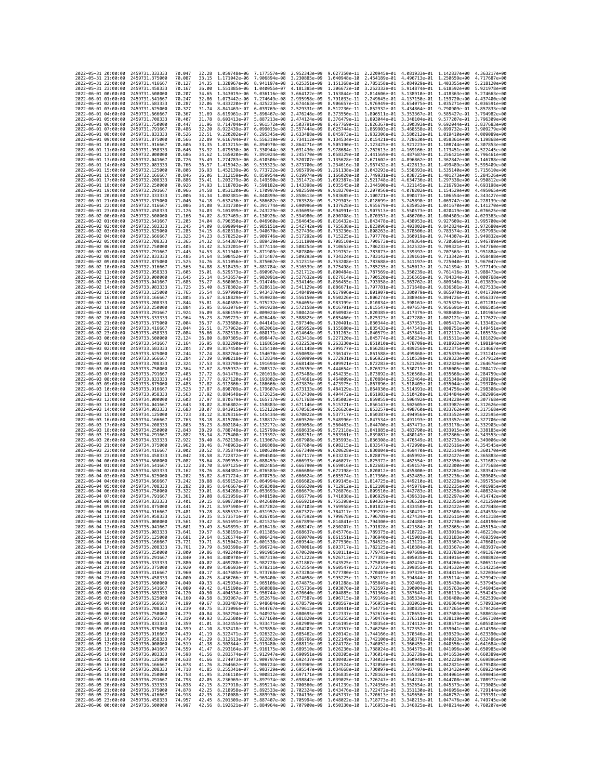| 2022-05-31 20:00:00                                       | 2459731.333333                   | 70.047           | 32.28          | 1.059748e-06                 | 7.177557e-08                             | 2.952343e-09                                                                                                                                                                                                                                                   | 9.627350e-11 2.220945e-01                                           |                              | 4.081933e-01 1.142837e+00                              |                                                                                                                                                                                        | 4.363217e+00                 |
|-----------------------------------------------------------|----------------------------------|------------------|----------------|------------------------------|------------------------------------------|----------------------------------------------------------------------------------------------------------------------------------------------------------------------------------------------------------------------------------------------------------------|---------------------------------------------------------------------|------------------------------|--------------------------------------------------------|----------------------------------------------------------------------------------------------------------------------------------------------------------------------------------------|------------------------------|
| 2022-05-31 21:00:00                                       | 2459731.375000                   | 70.087           | 33.15          | 1.171042e-06                 | 7.906894e-08                             | 3.230885e-09                                                                                                                                                                                                                                                   | 1.040948e-10                                                        | 2.454189e-01                 | 4.496713e-01 1.250659e+00                              |                                                                                                                                                                                        | 4.717687e+00                 |
| 2022-05-31 22:00:00                                       | 2459731.416667                   | 70.127           | 34.35          | 1.328967e-06                 | 8.941197e-08                             | 3.625351e-09                                                                                                                                                                                                                                                   | 1.151368e-10                                                        | 2.785158e-01                 | 5.084929e-01                                           | 1.403355e+00                                                                                                                                                                           | 5.218120e+00                 |
| 2022-05-31 23:00:00                                       | 2459731.458333                   | 70.167           | 36.00          |                              | 1.551885e-06 1.040055e-07 4.181385e-09   |                                                                                                                                                                                                                                                                | 1.306672e-10                                                        |                              |                                                        | 3.252332e-01 5.914874e-01 1.618592e+00                                                                                                                                                 | 5.921978e+00                 |
| 2022-06-01 00:00:00                                       | 2459731.500000                   | 70.207           | 34.65          | 1.343019e-06                 | 9.036116e-08 3.664122e-09                |                                                                                                                                                                                                                                                                | 1.163844e-10                                                        |                              |                                                        | 2.814606e-01 5.138910e-01 1.418363e+00                                                                                                                                                 | 5.274663e+00                 |
| 2022-06-01 01:00:00                                       | 2459731.541667                   | 70.247           | 32.86          | 1.073442e-06                 | 7.274649e-08                             | 2.995958e-09                                                                                                                                                                                                                                                   | 9.791033e-11                                                        | 2.249645e-01                 | 4.137150e-01                                           | 1.159720e+00                                                                                                                                                                           | 4.437400e+00                 |
| 2022-06-01 02:00:00<br>2022-06-01 03:00:00                | 2459731.583333<br>2459731.625000 | 70.287<br>70.327 | 32.06<br>31.74 | 9.433220e-07<br>8.841463e-07 | 6.425223e-08<br>6.039769e-08             | 2.674463e-09<br>2.529331e-09                                                                                                                                                                                                                                   | 8.906657e-11<br>8.512230e-11                                        | 1.976949e-01<br>1.852932e-01 | 3.654075e-01<br>3.434864e-01                           | 1.035271e+00<br>9.790909e-01                                                                                                                                                           | 4.036591e+00<br>3.857833e+00 |
| 2022-06-01 04:00:00                                       | 2459731.666667                   | 70.367           | 31.69          | 8.619961e-07                 | 5.896467e-08                             | 2.476248e-09                                                                                                                                                                                                                                                   | 8.373550e-11                                                        | 1.806511e-01                 | 3.353367e-01                                           | 9.585427e-01                                                                                                                                                                           | 3.794982e+00                 |
| 2022-06-01 05:00:00                                       | 2459731.708333                   | 70.407           | 31.78          | 8.603413e-07                 | 5.887213e-08                             | 2.474124e-09                                                                                                                                                                                                                                                   | 8.376479e-11                                                        | 1.803044e-01                 | 3.348104e-01                                           | 9.577207e-01                                                                                                                                                                           | 3.796309e+00                 |
| 2022-06-01 06:00:00                                       | 2459731.750000                   | 70.447           | 31.96          | 8.714704e-07                 | 5.961572e-08                             | 2.503791e-09                                                                                                                                                                                                                                                   | 8.467769e-11                                                        | 1.826367e-01                 | 3.390393e-01                                           | 9.692044e-01                                                                                                                                                                           | 3.837683e+00                 |
| 2022-06-01 07:00:00                                       | 2459731.791667                   | 70.486           | 32.20          | 8.922439e-07                 | 6.099015e-08                             | 2.557444e-09                                                                                                                                                                                                                                                   | 8.625744e-11                                                        | 1.869903e-01                 | 3.468558e-01                                           | 9.899732e-01                                                                                                                                                                           | 3.909279e+00                 |
| 2022-06-01 08:00:00                                       | 2459731.833333                   | 70.526           | 32.51          | 9.220202e-07                 | 6.295345e-08                             | 2.633488e-09                                                                                                                                                                                                                                                   | 8.845973e-11                                                        | 1.932306e-01                 | 3.580212e-01                                           | 1.019410e+00                                                                                                                                                                           | 4.009089e+00                 |
| 2022-06-01 09:00:00                                       | 2459731.875000                   | 70.566           | 32.89          | 9.616794e-07                 | 6.556319e-08                             | 2.734112e-09                                                                                                                                                                                                                                                   | 9.134534e-11                                                        | 2.015421e-01                 | 3.728630e-01                                           | 1.058361e+00                                                                                                                                                                           | 4.139868e+00                 |
| 2022-06-01 10:00:00<br>2022-06-01 11:00:00                | 2459731.916667<br>2459731.958333 | 70.606<br>70.646 | 33.35<br>33.92 | 1.013215e-06<br>1.079630e-06 | 6.894970e-08<br>7.330944e-08             | 2.864271e-09<br>3.031430e-09                                                                                                                                                                                                                                   | 9.505190e-11<br>9.978684e-11                                        | 2.262613e-01                 | 2.123425e-01 3.921223e-01<br>4.169166e-01              | 1.108744e+00<br>1.173451e+00                                                                                                                                                           | 4.307853e+00<br>4.522445e+00 |
| 2022-06-01 12:00:00                                       | 2459732.000000                   | 70.686           | 34.62          | 1.165020e-06                 | 7.891024e-08                             | 3.245770e-09                                                                                                                                                                                                                                                   | 1.058329e-10                                                        | 2.441569e-01                 | 4.487687e-01                                           | 1.256421e+00                                                                                                                                                                           | 4.796461e+00                 |
| 2022-06-01 13:00:00                                       | 2459732.041667                   | 70.726           | 35.49          | 1.274783e-06                 | 8.610506e-08                             | 3.520707e-09                                                                                                                                                                                                                                                   | 1.135628e-10                                                        | 2.671602e-01                 | 4.896862e-01                                           | 1.362847e+00                                                                                                                                                                           | 5.146788e+00                 |
| 2022-06-01 14:00:00                                       | 2459732.083333                   | 70.766           | 36.57          | 1.415942e-06                 | 9.535323e-08                             | 3.873700e-09                                                                                                                                                                                                                                                   | 1.234616e-10                                                        | 2.967432e-01                 |                                                        | 5.422813e-01 1.499489e+00                                                                                                                                                              | 5.595409e+00                 |
| 2022-06-01 15:00:00                                       | 2459732.125000                   | 70.806           | 36.93          | 1.452139e-06                 | 9.773722e-08                             | 3.965799e-09                                                                                                                                                                                                                                                   | 1.261138e-10                                                        | 3.043293e-01                 |                                                        | 5.558393e-01 1.535140e+00                                                                                                                                                              | 5.715610e+00                 |
| 2022-06-01 16:00:00                                       | 2459732.166667                   | 70.846           | 36.06          | 1.312159e-06                 | 8.859954e-08                             | 3.619974e-09                                                                                                                                                                                                                                                   | 1.166020e-10                                                        | 2.749931e-01                 | 5.038725e-01                                           | 1.401273e+00                                                                                                                                                                           | 5.284526e+00                 |
| 2022-06-01 17:00:00                                       | 2459732,208333                   | 70.886           | 35.41          | 1.203279e-06<br>1.118703e-06 | 8.149590e-08                             | 3.351472e-09                                                                                                                                                                                                                                                   | 1.092387e-10                                                        |                              | 2.521748e-01 4.634736e-01                              | 1.297338e+00                                                                                                                                                                           | 4.950812e+00                 |
| 2022-06-01 18:00:00<br>2022-06-01 19:00:00                | 2459732.250000<br>2459732,291667 | 70.926<br>70.966 | 34.93<br>34.58 | 1.053120e-06                 | 7.598182e-08<br>7.170997e-08             | 3.143398e-09<br>2.982550e-09                                                                                                                                                                                                                                   | 1.035545e-10<br>9.918270e-11                                        | 2.344500e-01<br>2.207056e-01 | 4.321145e-01<br>4.078202e-01                           | 1.216793e+00<br>1.154529e+00                                                                                                                                                           | 4.693198e+00<br>4.495065e+00 |
| 2022-06-01 20:00:00                                       | 2459732.333333                   | 71.006           | 34.34          | 1.002381e-06                 | 6.840899e-08                             | 2.858613e-09                                                                                                                                                                                                                                                   | 9.583685e-11                                                        |                              | 2.100721e-01 3.890473e-01                              | 1.106554e+00                                                                                                                                                                           | 4.343427e+00                 |
| 2022-06-01 21:00:00                                       | 2459732.375000                   | 71.046           | 34.18          | 9.632436e-07                 | 6.586682e-08                             | 2.763528e-09                                                                                                                                                                                                                                                   | 9.329303e-11                                                        | 2.018699e-01                 | 3.745898e-01 1.069747e+00                              |                                                                                                                                                                                        | 4.228139e+00                 |
| 2022-06-01 22:00:00                                       | 2459732.416667                   | 71.086           | 34.08          | 9.331730e-07                 | 6.391774e-08                             | 2.690996e-09                                                                                                                                                                                                                                                   | 9.137628e-11                                                        | 1.955679e-01                 | 3.635052e-01                                           | 1.041670e+00                                                                                                                                                                           | 4.141270e+00                 |
| 2022-06-01 23:00:00                                       | 2459732,458333                   | 71.126           | 34.03          | 9.101899e-07                 | 6.243229e-08                             | 2.636095e-09                                                                                                                                                                                                                                                   | 8.994991e-11                                                        | 1.907513e-01                 | 3.550573e-01                                           | 1.020419e+00                                                                                                                                                                           | 4.076625e+00                 |
| 2022-06-02 00:00:00                                       | 2459732.500000                   | 71.166           | 34.02          | 8.927469e-07                 | 6.130926e-08                             | 2.594980e-09                                                                                                                                                                                                                                                   | 8.890708e-11                                                        | 1.870957e-01                 | 3.486706e-01                                           | 1.004503e+00                                                                                                                                                                           | 4.029363e+00                 |
| 2022-06-02 01:00:00<br>2022-06-02 02:00:00                | 2459732.541667<br>2459732.583333 | 71.205<br>71,245 | 34.04<br>34.09 | 8.796350e-07<br>8.699094e-07 | 6.046960e-08<br>5.985151e-08             | 2.564645e-09<br>2.542742e-09                                                                                                                                                                                                                                   | 8.816432e-11<br>8.765638e-11 1.823096e-01                           | 1.843478e-01                 | 3.438953e-01<br>3.403802e-01                           | 9.927609e-01<br>9.842824e-01                                                                                                                                                           | 3.995700e+00<br>3.972680e+00 |
| 2022-06-02 03:00:00                                       | 2459732.625000                   | 71.285           | 34.15          | 8.628318e-07                 | 5.940670e-08                             | 2.527436e-09                                                                                                                                                                                                                                                   | 8.733230e-11                                                        | 1.808263e-01                 | 3.378506e-01                                           | 9.783574e-01                                                                                                                                                                           | 3.957993e+00                 |
| 2022-06-02 04:00:00                                       | 2459732.666667                   | 71.325           | 34.23          | 8.578252e-07                 | 5.909746e-08 2.517292e-09                |                                                                                                                                                                                                                                                                | 8.715225e-11                                                        |                              | 1.797770e-01 3.360919e-01                              | 9.744307e-01                                                                                                                                                                           | 3.949832e+00                 |
| 2022-06-02 05:00:00                                       | 2459732.708333                   | 71.365           | 34.32          | 8.544387e-07                 | 5.889429e-08 2.511190e-09                |                                                                                                                                                                                                                                                                | 8.708510e-11 1.790673e-01 3.349364e-01                              |                              |                                                        | 9.720686e-01                                                                                                                                                                           | 3.946789e+00                 |
| 2022-06-02 06:00:00                                       | 2459732.750000                   | 71.405           | 34.42          | 8.523201e-07                 | 5.877414e-08                             | 2.508254e-09                                                                                                                                                                                                                                                   | 8.710653e-11                                                        | 1.786233e-01                 | 3.342532e-01                                           | 9.709321e-01                                                                                                                                                                           | 3.947760e+00                 |
| 2022-06-02 07:00:00                                       | 2459732.791667                   | 71.445           | 34.53          | 8.511940e-07                 | 5.871903e-08                             | 2.507800e-09                                                                                                                                                                                                                                                   | 8.719752e-11                                                        | 1.783873e-01                 | 3.339397e-01                                           | 9.707563e-01                                                                                                                                                                           | 3.951884e+00                 |
| 2022-06-02 08:00:00<br>2022-06-02 09:00:00                | 2459732.833333<br>2459732.875000 | 71.485<br>71.525 | 34.64<br>34.76 | 8.508452e-07<br>8.511056e-07 | 5.871487e-08<br>5.875067e-08             | 2.509293e-09<br>2.512315e-09                                                                                                                                                                                                                                   | 8.734324e-11<br>8.753208e-11                                        | 1.783688e-01                 | 1.783142e-01 3.339161e-01<br>3.341197e-01              | 9.713342e-01<br>9.725040e-01                                                                                                                                                           | 3.958488e+00<br>3.967047e+00 |
| 2022-06-02 10:00:00                                       | 2459732.916667                   | 71.565           | 34.88          | 8.518439e-07                 | 5.881784e-08                             | 2.516539e-09                                                                                                                                                                                                                                                   | 8.775498e-11                                                        | 1.785235e-01                 | 3.345017e-01                                           | 9.741394e-01                                                                                                                                                                           | 3.977149e+00                 |
| 2022-06-02 11:00:00                                       | 2459732.958333                   | 71.605           | 35.01          | 8.529573e-07                 | 5.890967e-08                             | 2.521712e-09                                                                                                                                                                                                                                                   | 8.800484e-11                                                        |                              | 1.787569e-01 3.350239e-01                              | 9.761416e-01                                                                                                                                                                           | 3.988473e+00                 |
| 2022-06-02 12:00:00                                       | 2459733.000000                   | 71.645           | 35.14          | 8.543657e-07                 | 5.902091e-08                             | 2.527632e-09                                                                                                                                                                                                                                                   | 8.827614e-11                                                        | 1.790520e-01                 | 3.356565e-01                                           | 9.784334e-01                                                                                                                                                                           | 4.000768e+00                 |
| 2022-06-02 13:00:00                                       | 2459733.041667                   | 71.685           | 35.27          | 8.560063e-07                 | 5.914746e-08                             | 2.534146e-09                                                                                                                                                                                                                                                   | 8.856455e-11                                                        | 1.793958e-01                 | 3.363762e-01                                           | 9.809546e-01                                                                                                                                                                           | 4.013839e+00                 |
| 2022-06-02 14:00:00                                       | 2459733.083333                   | 71.725           | 35.40          | 8.578302e-07                 | 5.928611e-08                             | 2.541129e-09                                                                                                                                                                                                                                                   | 8.886671e-11                                                        | 1.797781e-01                 | 3.371648e-01                                           | 9.836581e-01                                                                                                                                                                           | 4.027533e+00                 |
| 2022-06-02 15:00:00                                       | 2459733,125000                   | 71.765           | 35.54          | 8.597990e-07                 | 5.943437e-08 2.548489e-09                |                                                                                                                                                                                                                                                                | 8.917996e-11                                                        |                              | 1.801907e-01 3.380079e-01                              | 9.865070e-01                                                                                                                                                                           | 4.041730e+00                 |
| 2022-06-02 16:00:00<br>2022-06-02 17:00:00                | 2459733.166667<br>2459733.208333 | 71.805<br>71.844 | 35.67<br>35.81 | 8.618829e-07<br>8.640585e-07 | 5.959028e-08<br>5.975232e-08             | 2.556150e-09<br>2.564055e-09                                                                                                                                                                                                                                   | 8.950226e-11 1.806274e-01<br>8.983199e-11                           | 1.810834e-01                 | 3.388946e-01<br>3.398161e-01                           | 9.894726e-01<br>9.925325e-01                                                                                                                                                           | 4.056337e+00<br>4.071281e+00 |
| 2022-06-02 18:00:00                                       | 2459733.250000                   | 71.884           | 35.95          | 8.663076e-07                 | 5.991928e-08                             | 2.572158e-09                                                                                                                                                                                                                                                   | 9.016791e-11                                                        | 1.815547e-01                 | 3.407657e-01                                           | 9.956691e-01                                                                                                                                                                           | 4.086505e+00                 |
| 2022-06-02 19:00:00                                       | 2459733.291667                   | 71.924           | 36.09          | 8.686159e-07                 | 6.009024e-08                             | 2.580424e-09                                                                                                                                                                                                                                                   | 9.050903e-11                                                        | 1.820385e-01                 | 3.417379e-01                                           | 9.988688e-01                                                                                                                                                                           | 4.101965e+00                 |
| 2022-06-02 20:00:00                                       | 2459733.333333                   | 71.964           | 36.23          | 8.709723e-07                 | 6.026448e-08                             | 2.588825e-09                                                                                                                                                                                                                                                   | 9.085460e-11 1.825323e-01                                           |                              | 3.427288e-01 1.002121e+00                              |                                                                                                                                                                                        | 4.117627e+00                 |
| 2022-06-02 21:00:00                                       | 2459733.375000                   | 72.004           | 36.37          | 8.733680e-07                 | 6.044141e-08                             | 2.597340e-09                                                                                                                                                                                                                                                   | 9.120401e-11                                                        | 1.830344e-01                 | 3.437351e-01                                           | 1.005417e+00                                                                                                                                                                           | 4.133462e+00                 |
| 2022-06-02 22:00:00                                       | 2459733.416667                   | 72.044           | 36.51          | 8.757962e-07                 | 6.062061e-08 2.605952e-09                |                                                                                                                                                                                                                                                                | 9.155680e-11                                                        |                              |                                                        | 1.835433e-01 3.447541e-01 1.008751e+00                                                                                                                                                 | 4.149451e+00                 |
| 2022-06-02 23:00:00<br>2022-06-03 00:00:00                | 2459733.458333<br>2459733,500000 | 72.084<br>72.124 | 36.66<br>36.80 | 8.782518e-07<br>8.807305e-07 | 6.080171e-08<br>6.098447e-08             | 2.614648e-09<br>2.623418e-09                                                                                                                                                                                                                                   | 9.191263e-11<br>9.227120e-11                                        | 1.840579e-01<br>1.845774e-01 | 3.457841e-01 1.012117e+00<br>3.468234e-01              | 1.015511e+00                                                                                                                                                                           | 4.165578e+00<br>4.181829e+00 |
| 2022-06-03 01:00:00                                       | 2459733.541667                   | 72.164           | 36.95          | 8.832290e-07                 | 6.116865e-08 2.632253e-09                |                                                                                                                                                                                                                                                                | 9.263230e-11                                                        | 1.851010e-01                 | 3.478709e-01                                           | 1.018932e+00                                                                                                                                                                           | 4.198194e+00                 |
| 2022-06-03 02:00:00                                       | 2459733.583333                   | 72.204           | 37.09          | 8.857450e-07                 | 6.135410e-08 2.641148e-09                |                                                                                                                                                                                                                                                                | 9.299577e-11                                                        | 1.856283e-01                 | 3.489256e-01 1.022375e+00                              |                                                                                                                                                                                        | 4.214667e+00                 |
| 2022-06-03 03:00:00                                       | 2459733.625000                   | 72.244           | 37.24          | 8.882764e-07                 | 6.154070e-08 2.650098e-09                |                                                                                                                                                                                                                                                                | 9.336147e-11 1.861588e-01                                           |                              | 3.499868e-01 1.025839e+00                              |                                                                                                                                                                                        | 4.231241e+00                 |
| 2022-06-03 04:00:00                                       | 2459733.666667                   | 72.284           | 37.39          | 8.908218e-07                 | 6.172834e-08                             | 2.659099e-09                                                                                                                                                                                                                                                   | 9.372931e-11                                                        | 1.866922e-01                 | 3.510539e-01                                           | 1.029323e+00                                                                                                                                                                           | 4.247912e+00                 |
| 2022-06-03 05:00:00                                       | 2459733.708333                   | 72.324           | 37.53          | 8.933798e-07                 | 6.191694e-08                             | 2.668148e-09                                                                                                                                                                                                                                                   | 9.409921e-11                                                        | 1.872283e-01                 | 3.521265e-01                                           | 1.032826e+00                                                                                                                                                                           | 4.264676e+00                 |
| 2022-06-03 06:00:00<br>2022-06-03 07:00:00                | 2459733.750000<br>2459733.791667 | 72.364<br>72.403 | 37.67<br>37.72 | 8.955937e-07<br>8.941476e-07 | 6.208317e-08<br>6.201018e-08             | 2.676359e-09<br>2.675488e-09                                                                                                                                                                                                                                   | 9.444654e-11<br>9.454235e-11 1.873892e-01 3.526568e-01 1.035668e+00 | 1.876923e-01                 | 3.530719e-01                                           | 1,036005e+00                                                                                                                                                                           | 4.280417e+00<br>4.284759e+00 |
| 2022-06-03 08:00:00                                       | 2459733.833333                   | 72.443           | 37.77          | 8.927120e-07                 | 6.193802e-08                             | 2.674661e-09                                                                                                                                                                                                                                                   | 9.464009e-11                                                        | 1.870884e-01                 | 3.522464e-01                                           | 1.035348e+00                                                                                                                                                                           | 4.289189e+00                 |
| 2022-06-03 09:00:00                                       | 2459733.875000                   | 72.483           | 37.82          | 8.912866e-07                 | 6.186666e-08                             | 2.673876e-09                                                                                                                                                                                                                                                   | 9.473975e-11                                                        |                              |                                                        | 1.867896e-01 3.518405e-01 1.035044e+00                                                                                                                                                 | 4.293706e+00                 |
| 2022-06-03 10:00:00                                       | 2459733.916667                   | 72.523           | 37.87          | 8.898709e-07                 | 6.179607e-08                             | 2.673133e-09                                                                                                                                                                                                                                                   | 9.484129e-11                                                        | 1.864930e-01                 | 3.514391e-01                                           | 1.034756e+00                                                                                                                                                                           | 4.298308e+00                 |
| 2022-06-03 11:00:00                                       | 2459733.958333                   | 72.563           | 37.92          | 8.884648e-07                 | 6.172625e-08                             | 2.672430e-09                                                                                                                                                                                                                                                   | 9.494472e-11                                                        | 1.861983e-01                 | 3.510420e-01                                           | 1.034484e+00                                                                                                                                                                           | 4.302996e+00                 |
| 2022-06-03 12:00:00                                       | 2459734.000000                   | 72.603           | 37.97          | 8.870679e-07                 | 6.165717e-08                             | 2.671768e-09                                                                                                                                                                                                                                                   | 9.505003e-11                                                        | 1.859055e-01                 | 3.506492e-01                                           | 1.034228e+00                                                                                                                                                                           | 4.307768e+00                 |
| 2022-06-03 13:00:00                                       | 2459734.041667                   | 72.643           | 38.02          | 8.856802e-07                 | 6.158883e-08                             | 2.671146e-09                                                                                                                                                                                                                                                   | 9.515721e-11                                                        |                              | 1.856147e-01 3.502605e-01 1.033987e+00                 |                                                                                                                                                                                        | 4.312626e+00                 |
| 2022-06-03 14:00:00<br>2022-06-03 15:00:00                | 2459734.083333<br>2459734.125000 | 72.683<br>72.723 | 38.07<br>38.12 | 8.843015e-07<br>8.829316e-07 | 6.152122e-08<br>6.145434e-08             | 2.670565e-09<br>2.670022e-09                                                                                                                                                                                                                                   | 9.526626e-11<br>9.537717e-11                                        | 1.853257e-01<br>1.850387e-01 | 3.498760e-01 1.033762e+00<br>3.494956e-01              | 1.033552e+00                                                                                                                                                                           | 4.317568e+00<br>4.322595e+00 |
| 2022-06-03 16:00:00                                       | 2459734.166667                   | 72.763           | 38.18          | 8.815706e-07                 | 6.138817e-08                             | 2.669520e-09                                                                                                                                                                                                                                                   | 9.548996e-11                                                        | 1.847534e-01                 | 3.491193e-01                                           | 1.033357e+00                                                                                                                                                                           | 4.327706e+00                 |
| 2022-06-03 17:00:00                                       | 2459734.208333                   | 72.803           | 38.23          | 8.802184e-07                 | 6.132272e-08                             | 2.669058e-09                                                                                                                                                                                                                                                   | 9.560463e-11                                                        | 1.844700e-01                 |                                                        | 3.487471e-01 1.033178e+00                                                                                                                                                              | 4.332903e+00                 |
| 2022-06-03 18:00:00                                       | 2459734.250000                   | 72.843           | 38.29          | 8.788748e-07                 | 6.125799e-08                             | 2.668635e-09                                                                                                                                                                                                                                                   | 9.572118e-11 1.841885e-01                                           |                              |                                                        | 3.483790e-01 1.033015e+00                                                                                                                                                              | 4.338185e+00                 |
| 2022-06-03 19:00:00                                       | 2459734.291667                   | 72.882           | 38.34          | 8.775400e-07                 | 6.119397e-08                             | 2.668251e-09                                                                                                                                                                                                                                                   | 9.583961e-11                                                        | 1.839087e-01                 | 3.480149e-01                                           | 1.032866e+00                                                                                                                                                                           | 4.343553e+00                 |
| 2022-06-03 20:00:00                                       | 2459734.333333                   | 72.922           | 38,40          | 8.762138e-07                 | 6.113067e-08                             | 2.667908e-09                                                                                                                                                                                                                                                   | 9.595993e-11                                                        | 1.836308e-01                 | 3.476549e-01                                           | 1.032733e+00                                                                                                                                                                           | 4.349006e+00                 |
| 2022-06-03 21:00:00<br>2022-06-03 22:00:00                | 2459734.375000<br>2459734,416667 | 72.962<br>73.002 | 38.46<br>38.52 | 8.748963e-07<br>8.735874e-07 | 6.106808e-08<br>6.100620e-08             | 2.667604e-09<br>2.667340e-09                                                                                                                                                                                                                                   | 9.608215e-11<br>9.620628e-11                                        | 1.833547e-01<br>1.830804e-01 |                                                        | 3.472990e-01 1.032616e+00<br>3.469470e-01 1.032514e+00                                                                                                                                 | 4.354545e+00<br>4.360170e+00 |
| 2022-06-03 23:00:00                                       | 2459734.458333                   | 73.042           | 38.58          | 8.722872e-07                 | 6.094504e-08                             | 2.667117e-09                                                                                                                                                                                                                                                   | 9.633232e-11                                                        |                              | 1.828079e-01 3.465992e-01                              | 1.032427e+00                                                                                                                                                                           | 4.365883e+00                 |
| 2022-06-04 00:00:00                                       | 2459734,500000                   | 73.082           | 38.64          | 8.709955e-07                 | 6.088459e-08                             | 2.666933e-09                                                                                                                                                                                                                                                   | 9.646027e-11                                                        | 1.825372e-01                 | 3.462554e-01 1.032356e+00                              |                                                                                                                                                                                        | 4.371682e+00                 |
| 2022-06-04 01:00:00                                       | 2459734,541667                   | 73.122           | 38.70          | 8.697125e-07                 | 6.082485e-08                             | 2.666790e-09                                                                                                                                                                                                                                                   | 9.659016e-11                                                        | 1.822683e-01                 |                                                        | 3.459157e-01 1.032300e+00                                                                                                                                                              | 4.377568e+00                 |
| 2022-06-04 02:00:00                                       | 2459734.583333                   | 73.162           | 38.76          | 8.684381e-07                 | 6.076583e-08                             | 2.666686e-09                                                                                                                                                                                                                                                   | 9.672198e-11                                                        | 1.820012e-01                 | 3.455800e-01                                           | 1.032261e+00                                                                                                                                                                           | 4.383542e+00                 |
| 2022-06-04 03:00:00                                       | 2459734.625000                   | 73,202           | 38.82          | 8.671724e-07                 | 6.070753e-08                             | 2.666624e-09                                                                                                                                                                                                                                                   | 9.685574e-11                                                        | 1.817360e-01                 | 3.452485e-01 1.032236e+00                              |                                                                                                                                                                                        | 4.389605e+00                 |
| 2022-06-04 04:00:00<br>2022-06-04 05:00:00                | 2459734.666667<br>2459734.708333 | 73.242<br>73.282 | 38.88<br>38.95 | 8.659152e-07<br>8.646667e-07 | 6.064994e-08<br>6.059308e-08             | 2.666602e-09<br>2.666620e-09                                                                                                                                                                                                                                   | 9.699145e-11<br>9.712912e-11 1.812108e-01                           | 1.814725e-01                 | 3.449210e-01 1.032228e+00<br>3.445976e-01 1.032235e+00 |                                                                                                                                                                                        | 4.395755e+00<br>4.401995e+00 |
| 2022-06-04 06:00:00                                       | 2459734.750000                   | 73.322           | 39.01          | 8.634268e-07                 | 6.053693e-08                             | 2.666679e-09                                                                                                                                                                                                                                                   | 9.726876e-11                                                        | 1.809510e-01                 | 3.442783e-01                                           | 1.032258e+00                                                                                                                                                                           | 4.408324e+00                 |
| 2022-06-04 07:00:00                                       | 2459734.791667                   | 73.361           | 39.08          | 8.621956e-07                 | 6.048150e-08 2.666779e-09                |                                                                                                                                                                                                                                                                | 9.741038e-11                                                        |                              | 1.806929e-01 3.439631e-01 1.032297e+00                 |                                                                                                                                                                                        | 4.414742e+00                 |
| 2022-06-04 08:00:00                                       | 2459734.833333                   | 73.401           | 39.15          |                              | 8.609730e-07  6.042680e-08  2.666921e-09 |                                                                                                                                                                                                                                                                | 9.755398e-11 1.804367e-01 3.436520e-01 1.032351e+00                 |                              |                                                        |                                                                                                                                                                                        | 4.421250e+00                 |
| 2022-06-04 09:00:00                                       | 2459734.875000                   | 73.441           | 39.21          |                              | 8.597590e-07 6.037282e-08 2.667103e-09   |                                                                                                                                                                                                                                                                |                                                                     |                              |                                                        | 9.769958e-11 1.801823e-01 3.433450e-01 1.032422e+00                                                                                                                                    | 4.427848e+00                 |
| 2022-06-04 10:00:00<br>2022-06-04 11:00:00 2459734.958333 | 2459734.916667                   | 73.481           | 39.28          | 8.585537e-07                 | 6.031957e-08                             | 2.667327e-09<br>8.573571e-07 6.026705e-08 2.667592e-09 9.799678e-11 1.796789e-01 3.427434e-01 1.032611e+00 4.441318e+00                                                                                                                                        | 9.784717e-11                                                        | 1.799297e-01                 | 3.430421e-01                                           | 1.032508e+00                                                                                                                                                                           | 4.434538e+00                 |
| 2022-06-04 12:00:00 2459735.000000                        |                                  | 73.521<br>73.561 | 39.35<br>39.42 |                              |                                          | 8.561691e-07 6.021525e-08 2.667899e-09 9.814841e-11 1.794300e-01 3.424488e-01 1.032730e+00 4.448190e+00                                                                                                                                                        |                                                                     |                              |                                                        |                                                                                                                                                                                        |                              |
| 2022-06-04 13:00:00                                       | 2459735.041667                   | 73.601           | 39.49          |                              |                                          | 8.549899e-07 6.016418e-08 2.668247e-09 9.830207e-11 1.791828e-01 3.421584e-01 1.032865e+00 4.455154e+00                                                                                                                                                        |                                                                     |                              |                                                        |                                                                                                                                                                                        |                              |
| 2022-06-04 14:00:00 2459735.083333                        |                                  | 73.641           | 39.57          |                              |                                          | 8.538193e-07 6.011385e-08 2.668637e-09 9.845776e-11 1.789375e-01 3.418722e-01 1.033016e+00 4.462210e+00                                                                                                                                                        |                                                                     |                              |                                                        |                                                                                                                                                                                        |                              |
| 2022-06-04 15:00:00                                       | 2459735.125000                   | 73.681           |                |                              |                                          | 39.64 8.526574e-07 6.006424e-08 2.669070e-09 9.861551e-11 1.786940e-01 3.415901e-01 1.033183e+00 4.469359e+00                                                                                                                                                  |                                                                     |                              |                                                        |                                                                                                                                                                                        |                              |
| 2022-06-04 16:00:00<br>2022-06-04 17:00:00                | 2459735.166667                   | 73.721           | 39.71          |                              |                                          | 8.515042e-07 6.001538e-08 2.669544e-09<br>8.503598e-07 5.996724e-08 2.670061e-09                                                                                                                                                                               |                                                                     |                              |                                                        | $\begin{array}{cccc} 9.877530e-11 & 1.784523e-01 & 3.413121e-01 & 1.033367e+00 & 4.476601e+00 \\ 9.893717e-11 & 1.782125e-01 & 3.419384e-01 & 1.033567e+00 & 4.483937e+00 \end{array}$ |                              |
| 2022-06-04 18:00:00                                       | 2459735.208333<br>2459735,250000 | 73.761<br>73.800 | 39.79          |                              |                                          | 39.86 8.492240e-07 5.991985e-08 2.670620e-09 9.910111e-11 1.779745e-01 3.407689e-01 1.033783e+00 4.491367e+00                                                                                                                                                  |                                                                     |                              |                                                        |                                                                                                                                                                                        |                              |
| 2022-06-04 19:00:00                                       | 2459735.291667                   | 73.840           |                |                              |                                          | 39.94 8.480970e-07 5.987319e-08 2.671222e-09 9.926713e-11 1.777383e-01 3.405035e-01 1.034016e+00 4.498892e+00                                                                                                                                                  |                                                                     |                              |                                                        |                                                                                                                                                                                        |                              |
| 2022-06-04 20:00:00                                       | 2459735.333333                   | 73.880           |                |                              |                                          |                                                                                                                                                                                                                                                                |                                                                     |                              |                                                        |                                                                                                                                                                                        |                              |
| 2022-06-04 21:00:00                                       | 2459735.375000                   | 73.920           |                |                              |                                          | 40.02 8.469786e-07 5.982728e-08 2.671867e-09 9.943525e-11 1.775039e-01 3.402424e-01 1.034266e+00 4.506511e+00<br>40.02 8.459788e-07 5.978211e-08 2.672534e-09 9.943525e-11 1.775039e-01 3.402424e-01 1.034366e+00 4.506511e+00<br>40                           |                                                                     |                              |                                                        |                                                                                                                                                                                        |                              |
| 2022-06-04 22:00:00                                       | 2459735.416667                   | 73.960           |                |                              |                                          |                                                                                                                                                                                                                                                                |                                                                     |                              |                                                        |                                                                                                                                                                                        |                              |
| 2022-06-04 23:00:00 2459735.458333                        |                                  | 74.000           |                |                              |                                          | 40.25 8.436766e-07 5.969400e-08 2.674058e-09 9.995225e-11 1.768119e-01 3.394844e-01 1.035114e+00 4.529942e+00<br>40.33 8.425934e-07 5.969100e-08 2.674058e-09 1.001288e-10 1.765849e-01 3.392404e-01 1.035414e+00 4.529942e+00<br>40                           |                                                                     |                              |                                                        |                                                                                                                                                                                        |                              |
| 2022-06-05 00:00:00<br>2022-06-05 01:00:00                | 2459735.500000<br>2459735.541667 | 74.040<br>74.080 |                |                              |                                          |                                                                                                                                                                                                                                                                |                                                                     |                              |                                                        |                                                                                                                                                                                        |                              |
| 2022-06-05 02:00:00                                       | 2459735.583333                   | 74.120           |                |                              |                                          |                                                                                                                                                                                                                                                                |                                                                     |                              |                                                        |                                                                                                                                                                                        |                              |
| 2022-06-05 03:00:00                                       | 2459735.625000                   | 74.160           |                |                              |                                          | 0.50 0.404534e-07 5.956744e-08 2.676640e-09 1.004885e-10 1.761364e-01 3.387647e-01 1.036113e+00 4.554243e+00<br>10.50 3.404534e-07 5.956744e-08 2.677567e-09 1.006715e-10 1.761364e-01 3.387647e-01 1.036413e+00 4.554243e+00<br>10.                           |                                                                     |                              |                                                        |                                                                                                                                                                                        |                              |
| 2022-06-05 04:00:00                                       | 2459735.666667                   | 74.199           |                |                              |                                          |                                                                                                                                                                                                                                                                |                                                                     |                              |                                                        |                                                                                                                                                                                        |                              |
| 2022-06-05 05:00:00                                       | 2459735.708333                   | 74.239           |                |                              |                                          | $\begin{array}{cccccccc} 40.75 & 8.373096e-07 & 5.944767e-08 & 2.679615e-09 & 1.010441e-10 & 1.754775e-01 & 3.380835e-01 & 1.037265e+00 & 4.579426e+00 \\ 40.84 & 8.362794e-07 & 5.940925e-08 & 2.680695e-09 & 1.012337e-10 & 1.752616e-01 & 3.378651e-01 & 1$ |                                                                     |                              |                                                        |                                                                                                                                                                                        |                              |
| 2022-06-05 06:00:00                                       | 2459735.750000                   | 74.279           |                |                              |                                          |                                                                                                                                                                                                                                                                |                                                                     |                              |                                                        |                                                                                                                                                                                        |                              |
| 2022-06-05 07:00:00<br>2022-06-05 08:00:00                | 2459735.791667<br>2459735.833333 | 74.319<br>74.359 |                |                              |                                          | $\begin{array}{cccccccc} 40.93 & 8.352580e&-07 & 5.937160e&-08 & 2.681820e&-09 & 1.014255e&-10 & 1.750476e&-01 & 3.376510e&-01 & 1.038119e&+00 & 4.596710e&+00 \\ 41.01 & 8.342455e&-07 & 5.933471e&-08 & 2.682989e&-09 & 1.016195e&-10 & 1.748354e&-01 & 3.$  |                                                                     |                              |                                                        |                                                                                                                                                                                        |                              |
| 2022-06-05 09:00:00 2459735.875000                        |                                  | 74.399           |                |                              |                                          | 41.10 8.332418e-07 5.929858e-08 2.684203e-09 1.018157e-10 1.746250e-01 3.372357e-01 1.039041e+00 4.614396e+00                                                                                                                                                  |                                                                     |                              |                                                        |                                                                                                                                                                                        |                              |
| 2022-06-05 10:00:00 2459735.916667                        |                                  | 74.439           |                |                              |                                          |                                                                                                                                                                                                                                                                |                                                                     |                              |                                                        |                                                                                                                                                                                        |                              |
| 2022-06-05 11:00:00                                       | 2459735.958333                   | 74.479           |                |                              |                                          | 41.19 8.322471e-07 5.926322e-08 2.683462e-09 1.620142e-10 1.744166e-01 3.376346e-01 1.63952e-60 4.623390e+00<br>41.29 8.312613e-07 5.926322e-08 2.685462e-09 1.620149e-10 1.744166e-01 3.376346e-01 1.63952e-60 4.623390e+00<br>41.2                           |                                                                     |                              |                                                        |                                                                                                                                                                                        |                              |
| 2022-06-05 12:00:00                                       | 2459736.000000                   | 74.519           |                |                              |                                          |                                                                                                                                                                                                                                                                |                                                                     |                              |                                                        |                                                                                                                                                                                        |                              |
| 2022-06-05 13:00:00                                       | 2459736.041667                   | 74.559           |                |                              |                                          |                                                                                                                                                                                                                                                                |                                                                     |                              |                                                        |                                                                                                                                                                                        |                              |
| 2022-06-05 14:00:00<br>2022-06-05 15:00:00                | 2459736.083333<br>2459736.125000 | 74.598<br>74.638 |                |                              |                                          | $\begin{array}{cccccccc} 41.56 & 8.283574e&-07 & 5.912947e&-08 & 2.690951e&-09 & 1.028305e&-10 & 1.736014e&-01 & 3.362739e&-01 & 1.041653e&+00 & 4.660389e&+00 \\ 41.66 & 8.274073e&-07 & 5.999797e&-08 & 2.692437e&-09 & 1.030403e&-10 & 1.734023e&-01 & 3.$  |                                                                     |                              |                                                        |                                                                                                                                                                                        |                              |
| 2022-06-05 16:00:00 2459736.166667                        |                                  | 74.678           |                |                              |                                          | 41.76 8.264662e-07 5.906724e-08 2.693969e-09 1.032524e-10 1.732050e-01 3.359200e-01 1.042821e+00 4.679508e+00                                                                                                                                                  |                                                                     |                              |                                                        |                                                                                                                                                                                        |                              |
| 2022-06-05 17:00:00                                       | 2459736.208333                   | 74.718           |                |                              |                                          |                                                                                                                                                                                                                                                                |                                                                     |                              |                                                        |                                                                                                                                                                                        |                              |
| 2022-06-05 18:00:00                                       | 2459736.250000                   | 74.758           |                |                              |                                          | 41.85 8.255341e-07 5.903729e-08 2.695547e-09 1.034668e-10 1.730097e-01 3.357497e-01 1.043432e+00 4.689224e+00<br>41.95 8.246110e-07 5.909612e-08 2.697171e-09 1.036633e-10 1.738162e-01 3.353638e-01 1.044361e-09 4.699045e+00<br>42                           |                                                                     |                              |                                                        |                                                                                                                                                                                        |                              |
| 2022-06-05 19:00:00                                       |                                  |                  |                |                              |                                          |                                                                                                                                                                                                                                                                |                                                                     |                              |                                                        |                                                                                                                                                                                        |                              |
|                                                           | 2459736.291667                   | 74.798           |                |                              |                                          |                                                                                                                                                                                                                                                                |                                                                     |                              |                                                        |                                                                                                                                                                                        |                              |
| 2022-06-05 20:00:00 2459736.333333                        |                                  | 74.838           |                |                              |                                          | 42.15 8.227918e-07 5.895214e-08 2.700560e-09 1.041239e-10 1.724350e-01 3.352654e-01 1.045373e+00 4.719005e+00                                                                                                                                                  |                                                                     |                              |                                                        |                                                                                                                                                                                        |                              |
| 2022-06-05 21:00:00 2459736.375000                        |                                  | 74.878           |                |                              |                                          |                                                                                                                                                                                                                                                                |                                                                     |                              |                                                        |                                                                                                                                                                                        |                              |
| 2022-06-05 22:00:00<br>2022-06-05 23:00:00 2459736.458333 | 2459736.416667                   | 74.918<br>74.957 |                |                              |                                          | 42.25 8.218958e-07 5.892533e-08 2.702334e-09 1.043476e-10 1.722472e-01 3.351130e-01 1.046056e+00 4.729144e+00<br>42.35 8.218058e-07 5.89933e-08 2.704336e-09 1.043376e-10 1.722472e-01 3.351130e-01 1.046056e+00 4.739391e+00<br>42.                           |                                                                     |                              |                                                        |                                                                                                                                                                                        |                              |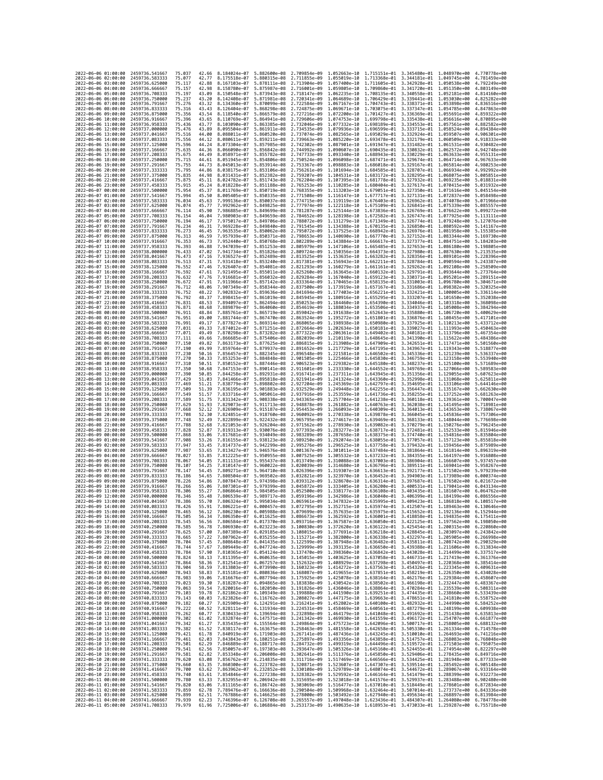| 2022-06-06 01:00:00                                       | 2459736.541667                   | 75.037           | 42.66          | 8.184024e-07                                                                                                                                                                                                                                                   | 5.882600e-08                 | 2.709854e-09                                                                                                                                                                                                                                                                                                                                          | 1.052663e-10                 |                                           | 1.715151e-01 3.345480e-01 1.048970e+00                                                        |                              | 4.770778e+00                 |
|-----------------------------------------------------------|----------------------------------|------------------|----------------|----------------------------------------------------------------------------------------------------------------------------------------------------------------------------------------------------------------------------------------------------------------|------------------------------|-------------------------------------------------------------------------------------------------------------------------------------------------------------------------------------------------------------------------------------------------------------------------------------------------------------------------------------------------------|------------------------------|-------------------------------------------|-----------------------------------------------------------------------------------------------|------------------------------|------------------------------|
| 2022-06-06 02:00:00                                       | 2459736,583333                   | 75.077           | 42.77          | 8.175518e-07                                                                                                                                                                                                                                                   | 5.880315e-08                 | 2.711855e-09                                                                                                                                                                                                                                                                                                                                          |                              |                                           | 1.055019e-10 1.713368e-01 3.344181e-01 1.049745e+00                                           |                              | 4.781459e+00                 |
| 2022-06-06 03:00:00                                       | 2459736.625000                   | 75.117           | 42.88          | 8.167103e-07                                                                                                                                                                                                                                                   | 5.878111e-08                 | 2.713904e-09                                                                                                                                                                                                                                                                                                                                          | 1.057400e-10                 | 1.711605e-01 3.342928e-01                 |                                                                                               | 1.050538e+00                 | 4.792249e+00                 |
| 2022-06-06 04:00:00                                       | 2459736,666667                   | 75.157           | 42.98          | 8.158780e-07                                                                                                                                                                                                                                                   |                              | 5.875987e-08 2.716001e-09                                                                                                                                                                                                                                                                                                                             |                              |                                           | 1.059805e-10 1.709860e-01 3.341720e-01 1.051350e+00                                           |                              | 4.803149e+00                 |
| 2022-06-06 05:00:00<br>2022-06-06 06:00:00                | 2459736.708333                   | 75.197           | 43.09          | 8.150548e-07                                                                                                                                                                                                                                                   |                              | 5.873943e-08 2.718147e-09                                                                                                                                                                                                                                                                                                                             |                              |                                           | 1.062235e-10 1.708135e-01 3.340558e-01 1.052181e+00                                           |                              | 4.814160e+00                 |
| 2022-06-06 07:00:00                                       | 2459736.750000<br>2459736.791667 | 75.237<br>75.276 | 43.20<br>43.32 | 8.142408e-07<br>8.134360e-07                                                                                                                                                                                                                                   | 5.871981e-08<br>5.870099e-08 | 2.720341e-09<br>2.722584e-09                                                                                                                                                                                                                                                                                                                          | 1.064689e-10<br>1.067167e-10 | 1.706429e-01<br>1.704743e-01              | 3.339441e-01 1.053030e+00<br>3.338371e-01                                                     | 1.053898e+00                 | 4.825282e+00<br>4.836516e+00 |
| 2022-06-06 08:00:00                                       | 2459736.833333                   | 75.316           | 43.43          | 8.126404e-07                                                                                                                                                                                                                                                   | 5.868298e-08                 | 2.724875e-09                                                                                                                                                                                                                                                                                                                                          | 1.069671e-10                 |                                           | 1.703075e-01 3.337347e-01 1.054785e+00                                                        |                              | 4.847863e+00                 |
| 2022-06-06 09:00:00                                       | 2459736.875000                   | 75.356           | 43.54          | 8.118540e-07                                                                                                                                                                                                                                                   | 5.866579e-08                 | 2.727216e-09                                                                                                                                                                                                                                                                                                                                          | 1.072200e-10                 |                                           | 1.701427e-01 3.336369e-01 1.055691e+00                                                        |                              | 4.859322e+00                 |
| 2022-06-06 10:00:00                                       | 2459736.916667                   | 75.396           | 43.65          | 8.110769e-07                                                                                                                                                                                                                                                   | 5.864941e-08                 | 2.729606e-09                                                                                                                                                                                                                                                                                                                                          | 1.074753e-10                 | 1.699798e-01                              | 3.335438e-01                                                                                  | 1.056616e+00                 | 4.870895e+00                 |
| 2022-06-06 11:00:00<br>2022-06-06 12:00:00                | 2459736.958333<br>2459737.000000 | 75.436<br>75.476 | 43.77<br>43.89 | 8.103090e-07<br>8.095504e-07                                                                                                                                                                                                                                   | 5.861911e-08                 | 5.863385e-08 2.732046e-09<br>2.734535e-09                                                                                                                                                                                                                                                                                                             | 1.077332e-10<br>1.079936e-10 | 1.698189e-01 3.334553e-01<br>1.696599e-01 | 3.333715e-01                                                                                  | 1.057561e+00<br>1.058524e+00 | 4.882582e+00<br>4.894384e+00 |
| 2022-06-06 13:00:00                                       | 2459737.041667                   | 75.516           | 44.00          | 8.088011e-07                                                                                                                                                                                                                                                   | 5.860520e-08                 | 2.737074e-09                                                                                                                                                                                                                                                                                                                                          | 1.082565e-10                 | 1.695029e-01                              | 3.332924e-01                                                                                  | 1.059507e+00                 | 4.906301e+00                 |
| 2022-06-06 14:00:00                                       | 2459737.083333                   | 75.556           | 44.12          | 8.080611e-07                                                                                                                                                                                                                                                   | 5.859211e-08                 | 2.739663e-09                                                                                                                                                                                                                                                                                                                                          | 1.085220e-10                 | 1.693478e-01 3.332179e-01                 |                                                                                               | 1.060509e+00                 | 4.918333e+00                 |
| 2022-06-06 15:00:00                                       | 2459737.125000                   | 75.596           | 44.24          | 8.073304e-07                                                                                                                                                                                                                                                   | 5.857985e-08                 | 2.742302e-09                                                                                                                                                                                                                                                                                                                                          | 1.087901e-10                 | 1.691947e-01 3.331482e-01                 |                                                                                               | 1.061531e+00                 | 4.930482e+00                 |
| 2022-06-06 16:00:00                                       | 2459737.166667                   | 75.635           | 44.36          | 8.066090e-07                                                                                                                                                                                                                                                   | 5.856842e-08                 | 2.744992e-09                                                                                                                                                                                                                                                                                                                                          | 1.090607e-10                 | 1.690435e-01 3.330832e-01                 |                                                                                               | 1.062572e+00                 | 4.942748e+00                 |
| 2022-06-06 17:00:00<br>2022-06-06 18:00:00                | 2459737.208333<br>2459737.250000 | 75.675<br>75.715 | 44.49<br>44.61 | 8.058971e-07<br>8.051945e-07                                                                                                                                                                                                                                   | 5.855782e-08<br>5.854806e-08 | 2.747733e-09<br>2.750524e-09                                                                                                                                                                                                                                                                                                                          | 1.093340e-10<br>1.096098e-10 | 1.688943e-01<br>1.687471e-01 3.329674e-01 | 3.330229e-01                                                                                  | 1.063633e+00<br>1.064714e+00 | 4.955131e+00<br>4.967633e+00 |
| 2022-06-06 19:00:00                                       | 2459737.291667                   | 75.755           | 44.73          | 8.045013e-07                                                                                                                                                                                                                                                   | 5.853914e-08                 | 2.753367e-09                                                                                                                                                                                                                                                                                                                                          | 1.098883e-10                 |                                           | 1.686018e-01 3.329167e-01 1.065814e+00                                                        |                              | 4.980253e+00                 |
| 2022-06-06 20:00:00                                       | 2459737.333333                   | 75.795           | 44.86          | 8.038175e-07                                                                                                                                                                                                                                                   | 5.853106e-08                 | 2.756261e-09                                                                                                                                                                                                                                                                                                                                          | 1.101694e-10                 |                                           | 1.684585e-01 3.328707e-01 1.066934e+00                                                        |                              | 4.992992e+00                 |
| 2022-06-06 21:00:00                                       | 2459737.375000                   | 75.835           | 44.98          | 8.031431e-07                                                                                                                                                                                                                                                   | 5.852382e-08                 | 2.759207e-09                                                                                                                                                                                                                                                                                                                                          | 1.104531e-10                 | 1.683172e-01                              | 3.328295e-01                                                                                  | 1.068075e+00                 | 5.005851e+00                 |
| 2022-06-06 22:00:00<br>2022-06-06 23:00:00                | 2459737.416667<br>2459737.458333 | 75.875<br>75.915 | 45.11<br>45.24 | 8.024782e-07<br>8.018228e-07                                                                                                                                                                                                                                   | 5.851743e-08<br>5.851188e-08 | 2,762204e-09<br>2.765253e-09                                                                                                                                                                                                                                                                                                                          | 1.107395e-10<br>1.110285e-10 | 1.681778e-01 3.327932e-01                 | 1.680404e-01 3.327617e-01 1.070415e+00                                                        | 1.069235e+00                 | 5.018831e+00<br>5.031932e+00 |
| 2022-06-07 00:00:00                                       | 2459737,500000                   | 75.954           | 45.37          | 8.011769e-07                                                                                                                                                                                                                                                   | 5.850719e-08                 | 2.768355e-09                                                                                                                                                                                                                                                                                                                                          | 1.113203e-10                 | 1.679051e-01 3.327350e-01                 |                                                                                               | 1.071616e+00                 | 5.045154e+00                 |
| 2022-06-07 01:00:00                                       | 2459737.541667                   | 75.994           | 45.50          | 8.005405e-07                                                                                                                                                                                                                                                   | 5.850335e-08                 | 2.771508e-09                                                                                                                                                                                                                                                                                                                                          | 1.116147e-10                 | 1.677717e-01 3.327131e-01                 |                                                                                               | 1.072837e+00                 | 5.058498e+00                 |
| 2022-06-07 02:00:00                                       | 2459737.583333                   | 76.034           | 45.63          | 7.999136e-07                                                                                                                                                                                                                                                   |                              | 5.850037e-08 2.774715e-09                                                                                                                                                                                                                                                                                                                             | 1.119119e-10                 |                                           | 1.676403e-01 3.326962e-01 1.074078e+00                                                        |                              | 5.071966e+00                 |
| 2022-06-07 03:00:00<br>2022-06-07 04:00:00                | 2459737.625000<br>2459737.666667 | 76.074<br>76.114 | 45.77<br>45.90 | 7.992962e-07<br>7.986885e-07                                                                                                                                                                                                                                   | 5.849825e-08<br>5.849699e-08 | 2.777974e-09<br>2.781287e-09                                                                                                                                                                                                                                                                                                                          | 1.122118e-10<br>1.125144e-10 | 1.673836e-01                              | 1.675109e-01 3.326841e-01 1.075339e+00<br>3.326769e-01                                        | 1.076622e+00                 | 5.085557e+00<br>5.099272e+00 |
| 2022-06-07 05:00:00                                       | 2459737.708333                   | 76.154           | 46.04          | 7.980903e-07                                                                                                                                                                                                                                                   |                              | 5.849659e-08 2.784652e-09                                                                                                                                                                                                                                                                                                                             | 1.128198e-10                 |                                           | 1.672582e-01 3.326747e-01 1.077925e+00                                                        |                              | 5.113111e+00                 |
| 2022-06-07 06:00:00                                       | 2459737.750000                   | 76.194           | 46.17          | 7.975017e-07                                                                                                                                                                                                                                                   | 5.849706e-08                 | 2.788072e-09                                                                                                                                                                                                                                                                                                                                          | 1.131279e-10                 |                                           | 1.671349e-01 3.326774e-01 1.079248e+00                                                        |                              | 5.127076e+00                 |
| 2022-06-07 07:00:00                                       | 2459737.791667                   | 76.234           | 46.31          | 7.969228e-07                                                                                                                                                                                                                                                   | 5.849840e-08                 | 2.791545e-09                                                                                                                                                                                                                                                                                                                                          | 1.134388e-10                 | 1.670135e-01                              | 3.326850e-01 1.080592e+00                                                                     |                              | 5.141167e+00                 |
| 2022-06-07 08:00:00                                       | 2459737.833333                   | 76.273           | 46.45          | 7.963535e-07                                                                                                                                                                                                                                                   | 5.850062e-08                 | 2.795072e-09                                                                                                                                                                                                                                                                                                                                          | 1.137525e-10                 | 1.668942e-01                              | 3.326976e-01                                                                                  | 1.081958e+00                 | 5.155385e+00                 |
| 2022-06-07 09:00:00<br>2022-06-07 10:00:00                | 2459737.875000<br>2459737.916667 | 76.313<br>76.353 | 46.59<br>46.73 | 7.957939e-07<br>7.952440e-07                                                                                                                                                                                                                                   |                              | 5.850371e-08 2.798653e-09<br>5.850768e-08 2.802289e-09                                                                                                                                                                                                                                                                                                | 1.140690e-10                 |                                           | 1.667770e-01 3.327152e-01 1.083344e+00<br>1.143884e-10 1.666617e-01 3.327377e-01 1.084751e+00 |                              | 5.169730e+00<br>5.184203e+00 |
| 2022-06-07 11:00:00                                       | 2459737.958333                   | 76.393           | 46.88          | 7.947039e-07                                                                                                                                                                                                                                                   | 5.851253e-08                 | 2.805979e-09                                                                                                                                                                                                                                                                                                                                          | 1.147106e-10                 | 1.665485e-01                              | 3.327653e-01                                                                                  | 1.086180e+00                 | 5.198805e+00                 |
| 2022-06-07 12:00:00                                       | 2459738.000000                   | 76.433           | 47.02          | 7.941734e-07                                                                                                                                                                                                                                                   | 5.851826e-08                 | 2.809724e-09                                                                                                                                                                                                                                                                                                                                          | 1.150356e-10                 | 1.664373e-01 3.327980e-01                 |                                                                                               | 1.087630e+00                 | 5.213535e+00                 |
| 2022-06-07 13:00:00                                       | 2459738.041667                   | 76.473           | 47.16          | 7.936527e-07                                                                                                                                                                                                                                                   | 5.852489e-08                 | 2.813525e-09                                                                                                                                                                                                                                                                                                                                          | 1.153635e-10                 |                                           | 1.663282e-01 3.328356e-01 1.089101e+00                                                        |                              | 5.228396e+00                 |
| 2022-06-07 14:00:00<br>2022-06-07 15:00:00                | 2459738.083333<br>2459738.125000 | 76.513<br>76.552 | 47.31<br>47.46 | 7.931418e-07<br>7.926407e-07                                                                                                                                                                                                                                   | 5.853240e-08<br>5.854081e-08 | 2.817381e-09<br>2.821293e-09                                                                                                                                                                                                                                                                                                                          | 1.156943e-10<br>1.160279e-10 | 1.661161e-01                              | 1.662211e-01 3.328784e-01 1.090594e+00<br>3.329262e-01                                        |                              | 5.243387e+00<br>5.258509e+00 |
| 2022-06-07 16:00:00                                       | 2459738.166667                   | 76.592           | 47.61          | 7.921495e-07                                                                                                                                                                                                                                                   |                              | 5.855011e-08 2.825260e-09                                                                                                                                                                                                                                                                                                                             | 1.163645e-10                 |                                           | 1.660132e-01 3.329791e-01 1.093644e+00                                                        | 1.092108e+00                 | 5.273764e+00                 |
| 2022-06-07 17:00:00                                       | 2459738.208333                   | 76.632           | 47.76          | 7.916681e-07                                                                                                                                                                                                                                                   | 5.856032e-08                 | 2.829284e-09                                                                                                                                                                                                                                                                                                                                          | 1.167040e-10                 |                                           | 1.659123e-01 3.330371e-01 1.095201e+00                                                        |                              | 5.289151e+00                 |
| 2022-06-07 18:00:00                                       | 2459738.250000                   | 76.672           | 47.91          | 7.911966e-07                                                                                                                                                                                                                                                   | 5.857142e-08                 | 2.833364e-09                                                                                                                                                                                                                                                                                                                                          | 1.170465e-10                 | 1.658135e-01                              | 3.331003e-01 1.096780e+00                                                                     |                              | 5.304671e+00                 |
| 2022-06-07 19:00:00                                       | 2459738.291667                   | 76.712           | 48.06          | 7.907349e-07                                                                                                                                                                                                                                                   | 5.858344e-08                 | 2.837500e-09                                                                                                                                                                                                                                                                                                                                          | 1.173919e-10                 | 1.657167e-01 3.331686e-01                 |                                                                                               | 1.098382e+00                 | 5.320325e+00                 |
| 2022-06-07 20:00:00<br>2022-06-07 21:00:00                | 2459738,333333<br>2459738.375000 | 76.752<br>76.792 | 48.22<br>48.37 | 7.902832e-07<br>7.898415e-07                                                                                                                                                                                                                                   | 5.861019e-08                 | 5.859636e-08 2.841694e-09<br>2.845945e-09                                                                                                                                                                                                                                                                                                             | 1.177403e-10<br>1.180916e-10 |                                           | 1.656221e-01 3.332421e-01 1.100005e+00<br>1.655295e-01 3.333207e-01 1.101650e+00              |                              | 5.336114e+00<br>5.352038e+00 |
| 2022-06-07 22:00:00                                       | 2459738.416667                   | 76.831           | 48.53          | 7.894097e-07                                                                                                                                                                                                                                                   | 5.862494e-08                 | 2.850253e-09                                                                                                                                                                                                                                                                                                                                          | 1.184460e-10                 |                                           | 1.654390e-01 3.334046e-01 1.103318e+00                                                        |                              | 5.368098e+00                 |
| 2022-06-07 23:00:00                                       | 2459738.458333                   | 76.871           | 48.68          | 7.889879e-07                                                                                                                                                                                                                                                   | 5.864060e-08                 | 2.854619e-09                                                                                                                                                                                                                                                                                                                                          | 1.188034e-10                 |                                           | 1.653506e-01 3.334937e-01                                                                     | 1.105008e+00                 | 5.384294e+00                 |
| 2022-06-08 00:00:00                                       | 2459738.500000                   | 76.911           | 48.84          | 7.885761e-07                                                                                                                                                                                                                                                   | 5.865719e-08                 | 2.859042e-09                                                                                                                                                                                                                                                                                                                                          | 1.191638e-10                 |                                           | 1.652643e-01 3.335880e-01 1.106720e+00                                                        |                              | 5.400629e+00                 |
| 2022-06-08 01:00:00<br>2022-06-08 02:00:00                | 2459738.541667<br>2459738.583333 | 76.951<br>76.991 | 49.00<br>49.17 | 7.881744e-07<br>7.877827e-07                                                                                                                                                                                                                                   | 5.867470e-08<br>5.869314e-08 | 2.863524e-09<br>2.868065e-09                                                                                                                                                                                                                                                                                                                          | 1.195272e-10<br>1.198938e-10 | 1.650980e-01                              | 1.651801e-01 3.336876e-01 1.108455e+00<br>3.337925e-01                                        | 1.110213e+00                 | 5.417101e+00<br>5.433712e+00 |
| 2022-06-08 03:00:00                                       | 2459738.625000                   | 77.031           | 49.33          | 7.874012e-07                                                                                                                                                                                                                                                   | 5.871251e-08                 | 2.872664e-09                                                                                                                                                                                                                                                                                                                                          | 1.202634e-10                 |                                           | 1.650181e-01 3.339027e-01 1.111993e+00                                                        |                              | 5.450463e+00                 |
| 2022-06-08 04:00:00                                       | 2459738.666667                   | 77.071           | 49.49          | 7.870298e-07                                                                                                                                                                                                                                                   | 5.873282e-08                 | 2.877322e-09                                                                                                                                                                                                                                                                                                                                          | 1.206361e-10                 |                                           | 1.649402e-01 3.340181e-01 1.113796e+00                                                        |                              | 5.467354e+00                 |
| 2022-06-08 05:00:00                                       | 2459738.708333                   | 77.111           | 49.66          | 7.866685e-07                                                                                                                                                                                                                                                   | 5.875406e-08                 | 2.882039e-09                                                                                                                                                                                                                                                                                                                                          | 1.210119e-10                 | 1.648645e-01                              | 3.341390e-01                                                                                  | 1.115622e+00                 | 5.484386e+00                 |
| 2022-06-08 06:00:00<br>2022-06-08 07:00:00                | 2459738.750000<br>2459738.791667 | 77.150<br>77.190 | 49.82<br>49.99 | 7.863173e-07<br>7.859764e-07                                                                                                                                                                                                                                   | 5.877625e-08<br>5.879937e-08 | 2.886815e-09<br>2.891652e-09                                                                                                                                                                                                                                                                                                                          | 1.213908e-10                 |                                           | 1.647909e-01 3.342651e-01 1.117471e+00<br>1.217729e-10 1.647195e-01 3.343967e-01 1.119343e+00 |                              | 5.501560e+00<br>5.518877e+00 |
| 2022-06-08 08:00:00                                       | 2459738.833333                   | 77.230           | 50.16          | 7.856457e-07                                                                                                                                                                                                                                                   | 5.882345e-08                 | 2.896548e-09                                                                                                                                                                                                                                                                                                                                          |                              |                                           | 1.221581e-10 1.646502e-01 3.345336e-01 1.121239e+00                                           |                              | 5.536337e+00                 |
| 2022-06-08 09:00:00                                       | 2459738.875000                   | 77.270           | 50.33          | 7.853253e-07                                                                                                                                                                                                                                                   | 5.884848e-08                 | 2.901505e-09                                                                                                                                                                                                                                                                                                                                          | 1.225466e-10                 | 1.645830e-01                              | 3.346759e-01 1.123158e+00                                                                     |                              | 5.553940e+00                 |
| 2022-06-08 10:00:00                                       | 2459738.916667                   | 77.310           | 50.51          | 7.850152e-07                                                                                                                                                                                                                                                   | 5.887446e-08                 | 2.906523e-09                                                                                                                                                                                                                                                                                                                                          | 1.229382e-10                 | 1.645180e-01                              | 3.348237e-01                                                                                  | 1.125100e+00                 | 5.571689e+00                 |
| 2022-06-08 11:00:00<br>2022-06-08 12:00:00                | 2459738.958333                   | 77.350<br>77.390 | 50.68<br>50.85 | 7.847153e-07<br>7.844258e-07                                                                                                                                                                                                                                   | 5.890141e-08                 | 2.911601e-09<br>5.892931e-08 2.916741e-09                                                                                                                                                                                                                                                                                                             | 1.233330e-10                 |                                           | 1.644552e-01 3.349769e-01 1.127066e+00<br>1.643945e-01 3.351356e-01 1.129055e+00              |                              | 5.589583e+00<br>5.607623e+00 |
| 2022-06-08 13:00:00                                       | 2459739.000000<br>2459739.041667 | 77.429           | 51.03          | 7.841466e-07                                                                                                                                                                                                                                                   | 5.895818e-08                 | 2.921941e-09                                                                                                                                                                                                                                                                                                                                          | 1.237311e-10<br>1.241324e-10 | 1.643360e-01                              | 3.352998e-01                                                                                  | 1.131068e+00                 | 5.625811e+00                 |
| 2022-06-08 14:00:00                                       | 2459739.083333                   | 77.469           | 51.21          | 7.838779e-07                                                                                                                                                                                                                                                   |                              | 5.898802e-08 2.927204e-09                                                                                                                                                                                                                                                                                                                             | 1.245369e-10                 |                                           | 1.642797e-01 3.354695e-01 1.133106e+00                                                        |                              | 5.644146e+00                 |
| 2022-06-08 15:00:00                                       | 2459739.125000                   | 77.509           | 51.39          | 7.836195e-07                                                                                                                                                                                                                                                   | 5.901883e-08                 | 2.932529e-09                                                                                                                                                                                                                                                                                                                                          | 1.249448e-10                 | 1.642255e-01                              | 3.356447e-01                                                                                  | 1.135167e+00                 | 5.662630e+00                 |
| 2022-06-08 16:00:00                                       | 2459739.166667                   | 77.549           | 51.57          | 7.833716e-07                                                                                                                                                                                                                                                   | 5.905061e-08                 | 2.937916e-09                                                                                                                                                                                                                                                                                                                                          | 1.253559e-10                 | 1.641736e-01                              | 3.358255e-01                                                                                  | 1.137252e+00                 | 5.681263e+00                 |
| 2022-06-08 17:00:00<br>2022-06-08 18:00:00                | 2459739.208333<br>2459739.250000 | 77.589<br>77.629 | 51.75<br>51.93 | 7.831342e-07<br>7.829073e-07                                                                                                                                                                                                                                   | 5.908338e-08<br>5.911713e-08 | 2.943365e-09<br>2.948878e-09                                                                                                                                                                                                                                                                                                                          | 1.257704e-10<br>1.261882e-10 | 1.641238e-01 3.360118e-01                 | 1.640763e-01 3.362038e-01 1.141495e+00                                                        | 1.139361e+00                 | 5.700047e+00<br>5.718981e+00 |
| 2022-06-08 19:00:00                                       | 2459739.291667                   | 77.668           | 52.12          | 7.826909e-07                                                                                                                                                                                                                                                   | 5.915187e-08                 | 2.954453e-09                                                                                                                                                                                                                                                                                                                                          | 1.266093e-10                 |                                           | 1.640309e-01 3.364013e-01 1.143653e+00                                                        |                              | 5.738067e+00                 |
| 2022-06-08 20:00:00                                       | 2459739.333333                   | 77.708           | 52.30          | 7.824851e-07                                                                                                                                                                                                                                                   | 5.918760e-08                 | 2.960092e-09                                                                                                                                                                                                                                                                                                                                          | 1.270338e-10                 | 1.639878e-01                              | 3.366045e-01                                                                                  | 1.145836e+00                 | 5.757306e+00                 |
| 2022-06-08 21:00:00                                       | 2459739.375000                   | 77.748           | 52.49          | 7.822899e-07                                                                                                                                                                                                                                                   | 5.922432e-08                 | 2.965795e-09                                                                                                                                                                                                                                                                                                                                          | 1.274617e-10                 | 1.639469e-01                              | 3.368133e-01                                                                                  | 1.148044e+00                 | 5.776698e+00                 |
| 2022-06-08 22:00:00<br>2022-06-08 23:00:00                | 2459739.416667<br>2459739.458333 | 77.788<br>77.828 | 52.68<br>52.87 | 7.821053e-07<br>7.819313e-07                                                                                                                                                                                                                                   | 5.926204e-08<br>5.930076e-08 | 2.971562e-09<br>2.977393e-09                                                                                                                                                                                                                                                                                                                          | 1.278930e-10<br>1.283277e-10 |                                           | 1.639082e-01 3.370279e-01 1.150276e+00<br>1.638717e-01 3.372481e-01 1.152533e+00              |                              | 5.796245e+00<br>5.815946e+00 |
| 2022-06-09 00:00:00                                       | 2459739.500000                   | 77.868           | 53.06          | 7.817681e-07                                                                                                                                                                                                                                                   | 5.934049e-08                 | 2.983289e-09                                                                                                                                                                                                                                                                                                                                          | 1.287658e-10                 | 1.638375e-01                              | 3.374740e-01                                                                                  | 1.154816e+00                 | 5.835804e+00                 |
| 2022-06-09 01:00:00                                       | 2459739.541667                   | 77.908           | 53.26          | 7.816155e-07                                                                                                                                                                                                                                                   | 5.938123e-08                 | 2.989250e-09                                                                                                                                                                                                                                                                                                                                          | 1.292074e-10                 |                                           | 1.638055e-01 3.377057e-01                                                                     | 1.157123e+00                 | 5.855818e+00                 |
| 2022-06-09 02:00:00                                       | 2459739.583333                   | 77.947           | 53.45          | 7.814737e-07                                                                                                                                                                                                                                                   | 5.942299e-08                 | 2.995276e-09                                                                                                                                                                                                                                                                                                                                          | 1.296525e-10                 |                                           | 1.637758e-01 3.379432e-01 1.159456e+00                                                        |                              | 5.875989e+00                 |
| 2022-06-09 03:00:00<br>2022-06-09 04:00:00                | 2459739.625000<br>2459739.666667 | 77.987<br>78.027 | 53.65<br>53.85 | 7.813427e-07<br>7.812225e-07                                                                                                                                                                                                                                   | 5.946576e-08                 | 3.001367e-09<br>5.950955e-08 3.007525e-09                                                                                                                                                                                                                                                                                                             | 1.301011e-10<br>1.305532e-10 | 1.637484e-01                              | 3.381864e-01<br>1.637232e-01 3.384355e-01                                                     | 1.161814e+00<br>1.164197e+00 | 5.896319e+00<br>5.916808e+00 |
| 2022-06-09 05:00:00                                       | 2459739.708333                   | 78.067           | 54.05          | 7.811131e-07                                                                                                                                                                                                                                                   | 5.955437e-08                 | 3.013749e-09                                                                                                                                                                                                                                                                                                                                          |                              |                                           | 1.310088e-10 1.637003e-01 3.386904e-01 1.166607e+00                                           |                              | 5.937457e+00                 |
| 2022-06-09 06:00:00                                       | 2459739.750000                   | 78.107           | 54.25          | 7.810147e-07                                                                                                                                                                                                                                                   | 5.960022e-08                 | 3.020039e-09                                                                                                                                                                                                                                                                                                                                          | 1.314680e-10                 |                                           | 1.636796e-01 3.389511e-01 1.169041e+00                                                        |                              | 5.958267e+00                 |
| 2022-06-09 07:00:00                                       | 2459739.791667                   | 78.147           | 54.45          | 7.809271e-07                                                                                                                                                                                                                                                   | 5.964710e-08                 | 3.026396e-09                                                                                                                                                                                                                                                                                                                                          | 1.319307e-10                 | 1.636613e-01                              | 3.392177e-01                                                                                  | 1.171502e+00                 | 5.979239e+00<br>6.000374e+00 |
| 2022-06-09 08:00:00<br>2022-06-09 09:00:00                | 2459739.833333<br>2459739.875000 | 78.186<br>78.226 | 54.65<br>54.86 | 7.808504e-07<br>7.807847e-07                                                                                                                                                                                                                                   | 5.969502e-08<br>5.974398e-08 | 3.032821e-09<br>3.039312e-09                                                                                                                                                                                                                                                                                                                          | 1.323970e-10<br>1.328670e-10 |                                           | 1.636452e-01 3.394903e-01 1.173989e+00<br>1.636314e-01 3.397687e-01 1.176502e+00              |                              | 6.021672e+00                 |
| 2022-06-09 10:00:00                                       | 2459739.916667                   | 78.266           | 55.06          | 7.807301e-07                                                                                                                                                                                                                                                   | 5.979399e-08                 | 3.045872e-09                                                                                                                                                                                                                                                                                                                                          | 1.333405e-10                 | 1.636200e-01                              | 3.400531e-01 1.179041e+00                                                                     |                              | 6.043134e+00                 |
| 2022-06-09 11:00:00                                       | 2459739.958333                   | 78.306           | 55.27          | 7.806864e-07                                                                                                                                                                                                                                                   | 5.984505e-08                 | 3.052500e-09                                                                                                                                                                                                                                                                                                                                          | 1.338177e-10                 | 1.636108e-01                              | 3.403435e-01                                                                                  | 1.181607e+00                 | 6.064762e+00                 |
| 2022-06-09 12:00:00<br>2022-06-09 13:00:00                | 2459740.000000<br>2459740.041667 | 78.346           | 55.48          | 7.806539e-07                                                                                                                                                                                                                                                   |                              | 5.989717e-08 3.059196e-09                                                                                                                                                                                                                                                                                                                             |                              |                                           | 1.342986e-10 1.636040e-01 3.406399e-01 1.184199e+00                                           |                              | 6.086556e+00                 |
| 2022-06-09 14:00:00                                       | 2459740.083333                   | 78.386<br>78.426 | 55.70<br>55.91 |                                                                                                                                                                                                                                                                |                              | 7.806324e-07 5.995034e-08 3.065961e-09 1.347832e-10 1.635995e-01 3.409423e-01 1.186818e+00<br>7.806221e-07 6.000457e-08 3.072795e-09 1.352715e-10 1.635974e-01 3.412507e-01 1.189463e+00 6.130646e+00                                                                                                                                                 |                              |                                           |                                                                                               |                              | 6.108517e+00                 |
| 2022-06-09 15:00:00                                       | 2459740.125000                   | 78.465           | 56.12          | .806230e-07                                                                                                                                                                                                                                                    | 6.005988e-08                 | 3.079699e-09                                                                                                                                                                                                                                                                                                                                          | 1.357635e-10                 | 1.635975e-01                              | 3.415652e-01                                                                                  | 1.192136e+00                 |                              |
| 2022-06-09 16:00:00 2459740.166667                        |                                  | 78.505           | 56.34          |                                                                                                                                                                                                                                                                |                              | 7.806350e-07 6.011625e-08 3.086673e-09 1.362592e-10 1.636001e-01 3.418858e-01 1.194835e+00 6.175411e+00                                                                                                                                                                                                                                               |                              |                                           |                                                                                               |                              |                              |
| 2022-06-09 17:00:00 2459740.208333<br>2022-06-09 18:00:00 | 2459740.250000                   | 78.545<br>78.585 | 56.56<br>56.78 |                                                                                                                                                                                                                                                                |                              | 7.806584e-07 6.017370e-08 3.093716e-09 1.367587e-10 1.636050e-01 3.422125e-01 1.197562e+00 6.198050e+00                                                                                                                                                                                                                                               |                              |                                           |                                                                                               |                              |                              |
| 2022-06-09 19:00:00                                       | 2459740.291667                   | 78.625           | 57.00          |                                                                                                                                                                                                                                                                |                              | $\begin{array}{cccccccc} 7.806930e-07 & 6.023223e-08 & 3.100830e-09 & 1.372620e-10 & 1.636122e-01 & 3.425454e-01 & 1.200315e+00 & 6.220860e+00 & 0.20060e-00 & 0.20060e-00 & 0.20060e-00 & 0.20060e-00 & 0.20060e-00 & 0.20060e-00 & 0.20060e-00 & 0.20060e$                                                                                          |                              |                                           |                                                                                               |                              |                              |
| 2022-06-09 20:00:00                                       | 2459740.333333                   | 78.665           |                |                                                                                                                                                                                                                                                                |                              | 57.22 7.807962e-07 6.035255e-08 3.115271e-09 1.382800e-10 1.636338e-01 3.432297e-01 1.205905e+00 6.266998e+00                                                                                                                                                                                                                                         |                              |                                           |                                                                                               |                              |                              |
| 2022-06-09 21:00:00                                       | 2459740.375000                   | 78.704           | 57.45          | 7.808648e-07                                                                                                                                                                                                                                                   |                              | $\begin{array}{cccccccc} 6.041435e-08 & 3.122599e-09 & 1.387948e-10 & 1.636482e-01 & 3.435811e-01 & 1.208742e+00 & 6.290329e+00 \\ 6.0417724e-08 & 3.129999e-09 & 1.393135e-10 & 1.636650e-01 & 3.439388e-01 & 1.211606e+00 & 6.313834e+00 \end{array}$                                                                                               |                              |                                           |                                                                                               |                              |                              |
| 2022-06-09 22:00:00<br>2022-06-09 23:00:00                | 2459740.416667<br>2459740.458333 | 78.744<br>78.784 | 57.67          | 7.809449e-07                                                                                                                                                                                                                                                   |                              | 57.90 7.810365e-07 6.054124e-08 3.137470e-09 1.398360e-10 1.636842e-01 3.443028e-01 1.214499e+00 6.337517e+00                                                                                                                                                                                                                                         |                              |                                           |                                                                                               |                              |                              |
| 2022-06-10 00:00:00                                       | 2459740.500000                   | 78.824           |                |                                                                                                                                                                                                                                                                |                              | 58.13 7.811395e-07 6.060635e-08 3.145015e-09 1.403625e-10 1.637058e-01 3.446731e-01 1.217419e+00 6.361376e+00                                                                                                                                                                                                                                         |                              |                                           |                                                                                               |                              |                              |
| 2022-06-10 01:00:00                                       | 2459740.541667                   | 78.864           |                |                                                                                                                                                                                                                                                                |                              |                                                                                                                                                                                                                                                                                                                                                       |                              |                                           |                                                                                               |                              | 6.385414e+00                 |
| 2022-06-10 02:00:00                                       | 2459740.583333                   | 78.904           |                |                                                                                                                                                                                                                                                                |                              |                                                                                                                                                                                                                                                                                                                                                       |                              |                                           |                                                                                               |                              | 6.409631e+00                 |
| 2022-06-10 03:00:00<br>2022-06-10 04:00:00                | 2459740.625000<br>2459740.666667 | 78.943<br>78.983 |                |                                                                                                                                                                                                                                                                |                              | 58.83 7.815181e-07 6.080836e-08 3.168087e-09 1.419655e-10 1.637851e-01 3.458219e-01 1.226350e+00 6.434028e+00                                                                                                                                                                                                                                         |                              |                                           |                                                                                               |                              |                              |
| 2022-06-10 05:00:00                                       | 2459740.708333                   | 79.023           |                |                                                                                                                                                                                                                                                                |                              |                                                                                                                                                                                                                                                                                                                                                       |                              |                                           |                                                                                               |                              |                              |
| 2022-06-10 06:00:00                                       | 2459740.750000                   | 79.063           |                |                                                                                                                                                                                                                                                                |                              | 59.06 7.816676e-07 6.087794e-08 3.175925e-09 1.425076e-10 1.638164e-01 3.462176e-01 1.229384e-00 6.458607e-00<br>59.30 7.818287e-07 6.094865e-08 3.183838e-09 1.430542e-10 1.638502e-01 3.462198e-01 1.22347e-00 6.458607e-00<br>59.                                                                                                                  |                              |                                           |                                                                                               |                              |                              |
| 2022-06-10 07:00:00<br>2022-06-10 08:00:00                | 2459740.791667<br>2459740.833333 | 79.103<br>79.143 |                |                                                                                                                                                                                                                                                                |                              |                                                                                                                                                                                                                                                                                                                                                       |                              |                                           |                                                                                               |                              |                              |
| 2022-06-10 09:00:00                                       | 2459740.875000                   | 79.182           |                |                                                                                                                                                                                                                                                                |                              | 59.78 7.821862e-07 6.109349e-08 3.199888e-09 1.441590e-10 1.639251e-01 3.474435e-01 1.238660e+00 6.533439e+00<br>60.03 7.823826e-07 6.116762e-08 3.208027e-09 1.441759e-10 1.639653e-01 3.476435e-01 1.2318660e+00 6.533439e+00<br>6                                                                                                                  |                              |                                           |                                                                                               |                              |                              |
| 2022-06-10 10:00:00                                       | 2459740.916667                   | 79.222           |                |                                                                                                                                                                                                                                                                |                              | 60.52 7.828111e-07 6.131934e-08 3.224531e-09 1.458469e-10 1.640561e-01 3.487279e-01 1.248199e+00 6.609938e+00                                                                                                                                                                                                                                         |                              |                                           |                                                                                               |                              |                              |
| 2022-06-10 11:00:00                                       | 2459740.958333                   | 79.262           |                |                                                                                                                                                                                                                                                                |                              | 60.77 7.830433e-07 6.139694e-08 3.232898e-09 1.464179e-10 1.641048e-01 3.491692e-01 1.251438e+00 6.635813e+00                                                                                                                                                                                                                                         |                              |                                           |                                                                                               |                              |                              |
| 2022-06-10 12:00:00<br>2022-06-10 13:00:00                | 2459741.000000<br>2459741.041667 | 79.302<br>79.342 |                |                                                                                                                                                                                                                                                                |                              |                                                                                                                                                                                                                                                                                                                                                       |                              |                                           |                                                                                               |                              | 6.661877e+00                 |
| 2022-06-10 14:00:00                                       | 2459741.083333                   | 79.382           |                |                                                                                                                                                                                                                                                                |                              | 61.52 7.838117e-07 6.163675e-08 3.258463e-09 1.481558e-10 1.642658e-01 3.505330e-01 1.261334e+00 6.714578e+00                                                                                                                                                                                                                                         |                              |                                           |                                                                                               |                              | 6.688132e+00                 |
| 2022-06-10 15:00:00                                       | 2459741.125000                   | 79.421           |                |                                                                                                                                                                                                                                                                |                              |                                                                                                                                                                                                                                                                                                                                                       |                              |                                           |                                                                                               |                              |                              |
| 2022-06-10 16:00:00                                       | 2459741.166667                   | 79.461           |                |                                                                                                                                                                                                                                                                |                              | 61.78 7.848919e-07 6.171993e-08 3.267141e-09 1.487436e-10 1.643245e-01 3.510010e-01 1.264693e+00 6.741216e+00<br>62.03 7.843943e-07 6.180251e-08 3.275897e-09 1.493356e-10 1.643858e-01 3.5110510e-01 1.266493e+00 6.7641316e+0<br>6                                                                                                                  |                              |                                           |                                                                                               |                              |                              |
| 2022-06-10 17:00:00<br>2022-06-10 18:00:00                | 2459741.208333                   | 79.501           |                |                                                                                                                                                                                                                                                                |                              |                                                                                                                                                                                                                                                                                                                                                       |                              |                                           |                                                                                               |                              |                              |
|                                                           |                                  | 79.541           |                |                                                                                                                                                                                                                                                                |                              |                                                                                                                                                                                                                                                                                                                                                       |                              |                                           |                                                                                               |                              |                              |
|                                                           | 2459741.250000                   |                  |                |                                                                                                                                                                                                                                                                |                              |                                                                                                                                                                                                                                                                                                                                                       |                              |                                           |                                                                                               |                              |                              |
| 2022-06-10 19:00:00<br>2022-06-10 20:00:00                | 2459741.291667<br>2459741.333333 | 79.581<br>79.620 |                |                                                                                                                                                                                                                                                                |                              |                                                                                                                                                                                                                                                                                                                                                       |                              |                                           |                                                                                               |                              |                              |
| 2022-06-10 21:00:00                                       | 2459741.375000                   | 79.660           |                | $\begin{array}{cccccccc} 62.82 & 7.853348e-07 & 6.206008e-08 & 3.302641e-09 & 1.511376e-10 & 1.645850e-01 & 3.529406e-01 & 1.278435e+00 & 6.849716e+00 \\ 63.08 & 7.856762e-07 & 6.214835e-08 & 3.311716e-09 & 1.517469e-10 & 1.646566e-01 & 3.534425e-01 & 1$ |                              | 63.35 7.860300e-07 6.223782e-08 3.320871e-09 1.523607e-10 1.647307e-01 3.539514e-01 1.285492e+00 6.905148e+00                                                                                                                                                                                                                                         |                              |                                           |                                                                                               |                              |                              |
| 2022-06-10 22:00:00                                       | 2459741.416667                   | 79.700           |                |                                                                                                                                                                                                                                                                |                              |                                                                                                                                                                                                                                                                                                                                                       |                              |                                           |                                                                                               |                              |                              |
| 2022-06-10 23:00:00                                       | 2459741.458333                   | 79.740           |                |                                                                                                                                                                                                                                                                |                              |                                                                                                                                                                                                                                                                                                                                                       |                              |                                           |                                                                                               |                              |                              |
| 2022-06-11 00:00:00<br>2022-06-11 01:00:00 2459741.541667 | 2459741.500000                   | 79.780<br>79.820 |                |                                                                                                                                                                                                                                                                |                              | 03.62 1.863962e-97 6.232652e-08 3.330108e-09 1.529789e-10 1.648074e-01 3.544672e-01 1.288399e-00 6.933164e+00<br>63.61 7.854846e-07 6.2327352e-08 3.328382e-09 1.529789e-10 1.648074e-01 3.544672e-01 1.288399e-00 6.933164e+00<br>6<br>63.06 7.811165e-07 6.186742e-08 3.303069e-09 1.516477e-10 1.637010e-01 3.518449e-01 1.278601e+00 6.872834e+00 |                              |                                           |                                                                                               |                              |                              |
| 2022-06-11 02:00:00 2459741.583333                        |                                  | 79.859           |                |                                                                                                                                                                                                                                                                |                              |                                                                                                                                                                                                                                                                                                                                                       |                              |                                           |                                                                                               |                              |                              |
| 2022-06-11 03:00:00<br>2022-06-11 04:00:00 2459741.666667 | 2459741.625000                   | 79.899<br>79.939 |                |                                                                                                                                                                                                                                                                |                              | 02.78 7.789376e-07 6.166636e-08 3.290504e-09 1.509968e-10 1.632464e-01 3.507014e-01 1.273737e-00 6.843336e+00<br>62.51 7.767886e-07 6.166636e-08 3.278080e-09 1.5039968e-10 1.632464e-01 3.507014e-01 1.273737e-00 6.843336e+00<br>6                                                                                                                  |                              |                                           |                                                                                               |                              |                              |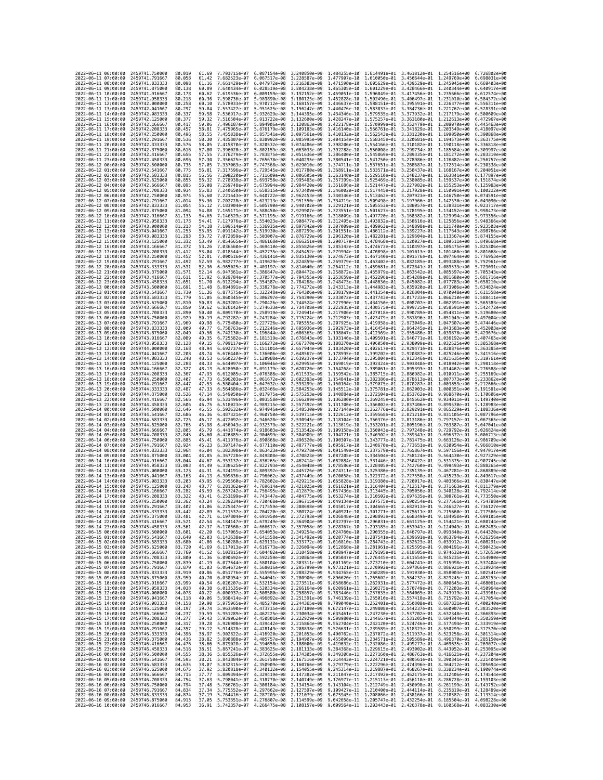| 2022-06-11 06:00:00                                                      | 2459741.750000                   | 80.019           | 61.69          | 7.703715e-07                 | 6.087154e-08                 | 3.240850e-09                                                                                                                                                                                                                                                                                                                                          | 1.484255e-10                                                                                                  |                                                        | 1.614491e-01 3.461812e-01 1.254516e+00                              |                                                                     | 6.726802e+00                 |
|--------------------------------------------------------------------------|----------------------------------|------------------|----------------|------------------------------|------------------------------|-------------------------------------------------------------------------------------------------------------------------------------------------------------------------------------------------------------------------------------------------------------------------------------------------------------------------------------------------------|---------------------------------------------------------------------------------------------------------------|--------------------------------------------------------|---------------------------------------------------------------------|---------------------------------------------------------------------|------------------------------|
| 2022-06-11 07:00:00                                                      | 2459741.791667                   | 80.058           | 61.42          | 7.682523e-07                 | 6.067517e-08                 | 3.228587e-09                                                                                                                                                                                                                                                                                                                                          | 1.477907e-10                                                                                                  | 1.610050e-01                                           | 3.450644e-01 1.249769e+00                                           |                                                                     | 6.698031e+00                 |
| 2022-06-11 08:00:00                                                      | 2459741.833333                   | 80.098           | 61.16          | 7.661429e-07                 | 6.047972e-08                 | 3.216383e-09                                                                                                                                                                                                                                                                                                                                          | 1.471590e-10                                                                                                  | 1.605629e-01                                           | 3.439529e-01                                                        | 1.245045e+00                                                        | 6.669403e+00                 |
| 2022-06-11 09:00:00                                                      | 2459741.875000                   | 80.138           | 60.89          | 7.640434e-07                 |                              | 6.028519e-08 3.204238e-09                                                                                                                                                                                                                                                                                                                             | 1.465305e-10 1.601229e-01 3.428466e-01 1.240344e+00                                                           |                                                        |                                                                     |                                                                     | 6.640917e+00                 |
| 2022-06-11 10:00:00                                                      | 2459741.916667                   | 80.178           | 60.62          | 7.619536e-07                 |                              | 6.009159e-08 3.192152e-09                                                                                                                                                                                                                                                                                                                             | 1.459051e-10                                                                                                  |                                                        | 1.596849e-01 3.417456e-01 1.235666e+00                              |                                                                     | 6.612574e+00                 |
| 2022-06-11 11:00:00                                                      | 2459741.958333                   | 80.218           | 60.36          | 7.598736e-07                 | 5.989890e-08                 | 3.180125e-09                                                                                                                                                                                                                                                                                                                                          | 1.452828e-10                                                                                                  | 1.592490e-01                                           | 3.406497e-01 1.231010e+00<br>3.395591e-01                           |                                                                     | 6.584372e+00                 |
| 2022-06-11 12:00:00<br>2022-06-11 13:00:00                               | 2459742.000000<br>2459742.041667 | 80.258<br>80.297 | 60.10<br>59.84 | 7.578033e-07<br>7.557427e-07 | 5.970712e-08<br>5.951625e-08 | 3.168157e-09<br>3.156247e-09                                                                                                                                                                                                                                                                                                                          | 1.446637e-10<br>1.440476e-10                                                                                  | 1.588151e-01                                           | 1.583833e-01 3.384736e-01 1.221767e+00                              | 1.226377e+00                                                        | 6.556311e+00<br>6.528391e+00 |
| 2022-06-11 14:00:00                                                      | 2459742.083333                   | 80.337           | 59.58          | 7.536917e-07                 | 5.932629e-08                 | 3.144395e-09                                                                                                                                                                                                                                                                                                                                          | 1.434346e-10                                                                                                  |                                                        | 1.579535e-01 3.373932e-01 1.217179e+00                              |                                                                     | 6.500609e+00                 |
| 2022-06-11 15:00:00                                                      | 2459742.125000                   | 80.377           | 59.32          | 7.516504e-07                 | 5.913722e-08                 | 3.132600e-09                                                                                                                                                                                                                                                                                                                                          | 1.428247e-10                                                                                                  | 1.575257e-01                                           | 3.363180e-01                                                        | 1.212613e+00                                                        | 6.472967e+00                 |
| 2022-06-11 16:00:00                                                      | 2459742.166667                   | 80.417           | 59.06          | 7.496187e-07                 | 5.894906e-08                 | 3.120863e-09                                                                                                                                                                                                                                                                                                                                          | 1.422178e-10                                                                                                  |                                                        | 1.570999e-01 3.352479e-01 1.208070e+00                              |                                                                     | 6.445463e+00                 |
| 2022-06-11 17:00:00                                                      | 2459742.208333                   | 80.457           | 58.81          | 7.475965e-07                 | 5.876179e-08                 | 3.109183e-09                                                                                                                                                                                                                                                                                                                                          | 1.416140e-10                                                                                                  | 1.566761e-01                                           | 3.341829e-01                                                        | 1.203549e+00                                                        | 6.418097e+00                 |
| 2022-06-11 18:00:00                                                      | 2459742.250000                   | 80.496           | 58.55          | 7.455838e-07                 | 5.857541e-08                 | 3.097561e-09                                                                                                                                                                                                                                                                                                                                          | 1.410132e-10                                                                                                  | 1.562543e-01                                           | 3.331230e-01                                                        | 1.199050e+00                                                        | 6.390868e+00                 |
| 2022-06-11 19:00:00<br>2022-06-11 20:00:00                               | 2459742.291667<br>2459742.333333 | 80.536<br>80.576 | 58.30<br>58.05 | 7.435807e-07<br>7.415870e-07 | 5.838992e-08<br>5.820532e-08 | 3.085995e-09<br>3.074486e-09                                                                                                                                                                                                                                                                                                                          | 1.404154e-10<br>1.398206e-10                                                                                  | 1.558345e-01                                           | 3.320681e-01<br>1.554166e-01 3.310182e-01 1.190118e+00              | 1.194573e+00                                                        | 6.363775e+00<br>6.336818e+00 |
| 2022-06-11 21:00:00                                                      | 2459742.375000                   | 80.616           | 57.80          | 7.396028e-07                 | 5.802159e-08                 | 3.063033e-09                                                                                                                                                                                                                                                                                                                                          | 1.392288e-10                                                                                                  |                                                        | 1.550008e-01 3.299734e-01 1.185684e+00                              |                                                                     | 6.309997e+00                 |
| 2022-06-11 22:00:00                                                      | 2459742.416667                   | 80.656           | 57.55          | 7.376279e-07                 | 5.783875e-08                 | 3.051636e-09                                                                                                                                                                                                                                                                                                                                          | 1.386400e-10                                                                                                  | 1.545869e-01                                           | 3.289335e-01                                                        | 1.181272e+00                                                        | 6.283310e+00                 |
| 2022-06-11 23:00:00                                                      | 2459742.458333                   | 80.696           | 57.30          | 7.356625e-07                 | 5.765678e-08                 | 3.040295e-09                                                                                                                                                                                                                                                                                                                                          | 1.380541e-10                                                                                                  |                                                        | 1.541750e-01 3.278986e-01                                           | 1.176882e+00                                                        | 6.256757e+00                 |
| 2022-06-12 00:00:00                                                      | 2459742.500000                   | 80.735           | 57.05          | 7.337063e-07                 | 5.747568e-08                 | 3.029010e-09                                                                                                                                                                                                                                                                                                                                          | 1.374711e-10                                                                                                  |                                                        | 1.537651e-01 3.268687e-01 1.172514e+00                              |                                                                     | 6.230338e+00                 |
| 2022-06-12 01:00:00                                                      | 2459742.541667                   | 80.775           | 56.81          | 7.317596e-07<br>7.298220e-07 | 5.729545e-08                 | 3.017780e-09                                                                                                                                                                                                                                                                                                                                          | 1.368911e-10                                                                                                  |                                                        | 1.533571e-01 3.258437e-01 1.168167e+00                              |                                                                     | 6.204051e+00                 |
| 2022-06-12 02:00:00<br>2022-06-12 03:00:00                               | 2459742.583333<br>2459742.625000 | 80.815<br>80.855 | 56.56<br>56.32 | 7.278938e-07                 | 5.711609e-08<br>5.693758e-08 | 3.006605e-09<br>2.995485e-09                                                                                                                                                                                                                                                                                                                          | 1.363140e-10<br>1.357399e-10                                                                                  | 1.529510e-01                                           | 3.248237e-01<br>1.525469e-01 3.238085e-01                           | 1.163841e+00<br>1.159537e+00                                        | 6.177897e+00<br>6.151874e+00 |
| 2022-06-12 04:00:00                                                      | 2459742.666667                   | 80.895           | 56.08          | 7.259748e-07                 | 5.675994e-08                 | 2.984420e-09                                                                                                                                                                                                                                                                                                                                          | 1.351686e-10                                                                                                  |                                                        | 1.521447e-01 3.227982e-01 1.155253e+00                              |                                                                     | 6.125983e+00                 |
| 2022-06-12 05:00:00                                                      | 2459742.708333                   | 80.934           | 55.83          | 7.240650e-07                 | 5.658315e-08                 | 2.973409e-09                                                                                                                                                                                                                                                                                                                                          | 1.346002e-10                                                                                                  | 1.517445e-01 3.217928e-01                              |                                                                     | 1.150991e+00                                                        | 6.100222e+00                 |
| 2022-06-12 06:00:00                                                      | 2459742.750000                   | 80.974           | 55.60          | 7.221643e-07                 | 5.640722e-08                 | 2.962453e-09                                                                                                                                                                                                                                                                                                                                          | 1.340346e-10                                                                                                  | 1.513462e-01 3.207923e-01                              |                                                                     | 1.146750e+00                                                        | 6.074591e+00                 |
| 2022-06-12 07:00:00                                                      | 2459742.791667                   | 81.014           | 55.36          | 7.202728e-07                 | 5.623213e-08                 | 2.951550e-09                                                                                                                                                                                                                                                                                                                                          | 1.334719e-10                                                                                                  |                                                        | 1.509498e-01 3.197966e-01 1.142530e+00                              |                                                                     | 6.049090e+00                 |
| 2022-06-12 08:00:00<br>2022-06-12 09:00:00                               | 2459742.833333<br>2459742.875000 | 81.054<br>81.094 | 55.12<br>54.88 | 7.183904e-07<br>7.165171e-07 | 5.605790e-08<br>5.588450e-08 | 2.940702e-09<br>2.929907e-09                                                                                                                                                                                                                                                                                                                          | 1.329121e-10<br>1.323551e-10                                                                                  | 1.501627e-01                                           | 1.505553e-01 3.188057e-01 1.138331e+00<br>3.178195e-01              | 1.134152e+00                                                        | 6.023717e+00<br>5.998473e+00 |
| 2022-06-12 10:00:00                                                      | 2459742.916667                   | 81.133           | 54.65          | 7.146529e-07                 | 5.571195e-08                 | 2.919166e-09                                                                                                                                                                                                                                                                                                                                          | 1.318009e-10                                                                                                  |                                                        | 1.497720e-01 3.168382e-01 1.129994e+00                              |                                                                     | 5.973356e+00                 |
| 2022-06-12 11:00:00                                                      | 2459742.958333                   | 81.173           | 54.41          | 7.127976e-07                 | 5.554023e-08                 | 2.908477e-09                                                                                                                                                                                                                                                                                                                                          | 1.312495e-10                                                                                                  |                                                        | 1.493832e-01 3.158616e-01 1.125856e+00                              |                                                                     | 5.948366e+00                 |
| 2022-06-12 12:00:00                                                      | 2459743,000000                   | 81.213           | 54.18          | 7.109514e-07                 | 5.536935e-08                 | 2.897842e-09                                                                                                                                                                                                                                                                                                                                          | 1.307009e-10                                                                                                  |                                                        | 1.489963e-01 3.148898e-01 1.121740e+00                              |                                                                     | 5.923503e+00                 |
| 2022-06-12 13:00:00                                                      | 2459743.041667                   | 81.253           | 53.95          | 7.091142e-07                 | 5.519930e-08                 | 2.887259e-09                                                                                                                                                                                                                                                                                                                                          | 1.301551e-10                                                                                                  | 1.486112e-01                                           | 3.139227e-01                                                        | 1.117643e+00                                                        | 5.898766e+00                 |
| 2022-06-12 14:00:00                                                      | 2459743.083333                   | 81.293           | 53.72          | 7.072859e-07                 | 5.503007e-08                 | 2.876729e-09                                                                                                                                                                                                                                                                                                                                          | 1.296120e-10                                                                                                  |                                                        | 1.482281e-01 3.129604e-01 1.113567e+00                              |                                                                     | 5.874155e+00                 |
| 2022-06-12 15:00:00<br>2022-06-12 16:00:00                               | 2459743.125000<br>2459743.166667 | 81.332<br>81.372 | 53.49<br>53.26 | 7.054665e-07<br>7.036560e-07 | 5.486168e-08<br>5.469410e-08 | 2.866251e-09<br>2.855826e-09                                                                                                                                                                                                                                                                                                                          | 1.290717e-10<br>1.285342e-10                                                                                  | 1.474673e-01                                           | 1.478468e-01 3.120027e-01 1.109511e+00<br>3.110497e-01              | 1.105475e+00                                                        | 5.849668e+00<br>5.825306e+00 |
| 2022-06-12 17:00:00                                                      | 2459743.208333                   | 81.412           | 53.04          | 7.018544e-07                 | 5.452735e-08                 | 2.845452e-09                                                                                                                                                                                                                                                                                                                                          | 1.279994e-10                                                                                                  |                                                        | 1.470898e-01 3.101013e-01                                           | 1.101460e+00                                                        | 5.801068e+00                 |
| 2022-06-12 18:00:00                                                      | 2459743.250000                   | 81.452           | 52.81          | 7.000616e-07                 | 5.436141e-08                 | 2.835130e-09                                                                                                                                                                                                                                                                                                                                          | 1.274673e-10                                                                                                  |                                                        | 1.467140e-01 3.091576e-01 1.097464e+00                              |                                                                     | 5.776953e+00                 |
| 2022-06-12 19:00:00                                                      | 2459743.291667                   | 81,492           | 52.59          | 6.982777e-07                 | 5.419629e-08                 | 2.824859e-09                                                                                                                                                                                                                                                                                                                                          | 1.269379e-10                                                                                                  | 1.463402e-01                                           | 3.082185e-01 1.093488e+00                                           |                                                                     | 5.752961e+00                 |
| 2022-06-12 20:00:00                                                      | 2459743.333333                   | 81.531           | 52.36          | 6.965025e-07                 | 5.403197e-08                 | 2.814640e-09                                                                                                                                                                                                                                                                                                                                          | 1.264112e-10                                                                                                  | 1.459681e-01                                           | 3.072841e-01                                                        | 1,089533e+00                                                        | 5.729091e+00                 |
| 2022-06-12 21:00:00<br>2022-06-12 22:00:00                               | 2459743.375000<br>2459743.416667 | 81.571           | 52.14          | 6.947361e-07<br>6.929784e-07 | 5.386847e-08<br>5.370577e-08 | 2.804472e-09<br>2.794355e-09                                                                                                                                                                                                                                                                                                                          | 1.258872e-10                                                                                                  |                                                        | 1.455979e-01 3.063542e-01 1.085597e+00                              |                                                                     | 5.705343e+00                 |
| 2022-06-12 23:00:00                                                      | 2459743.458333                   | 81.611<br>81,651 | 51.92<br>51.70 | 6.912294e-07                 | 5.354387e-08                 | 2.784288e-09                                                                                                                                                                                                                                                                                                                                          | 1.253659e-10<br>1.248473e-10                                                                                  | 1.452296e-01<br>1.448630e-01                           | 3.054289e-01 1.081680e+00<br>3.045082e-01                           | 1.077783e+00                                                        | 5.681716e+00<br>5.658210e+00 |
| 2022-06-13 00:00:00                                                      | 2459743.500000                   | 81.691           | 51.48          | 6.894891e-07                 | 5.338278e-08                 | 2.774272e-09                                                                                                                                                                                                                                                                                                                                          | 1.243313e-10                                                                                                  | 1.444983e-01                                           | 3.035920e-01                                                        | 1.073906e+00                                                        | 5.634824e+00                 |
| 2022-06-13 01:00:00                                                      | 2459743.541667                   | 81.730           | 51.26          | 6.877575e-07                 | 5.322248e-08                 | 2.764306e-09                                                                                                                                                                                                                                                                                                                                          | 1.238179e-10                                                                                                  |                                                        | 1,441354e-01 3,026804e-01 1,070048e+00                              |                                                                     | 5.611558e+00                 |
| 2022-06-13 02:00:00                                                      | 2459743.583333                   | 81.770           | 51.05          | 6.860345e-07                 | 5.306297e-08                 | 2.754390e-09                                                                                                                                                                                                                                                                                                                                          | 1.233072e-10                                                                                                  |                                                        | 1.437743e-01 3.017733e-01 1.066210e+00                              |                                                                     | 5.588411e+00                 |
| 2022-06-13 03:00:00                                                      | 2459743.625000                   | 81.810           | 50.83          | 6.843201e-07                 | 5.290426e-08                 | 2.744524e-09                                                                                                                                                                                                                                                                                                                                          | 1.227990e-10                                                                                                  | 1.434150e-01                                           | 3.008707e-01                                                        | 1,062391e+00                                                        | 5.565383e+00                 |
| 2022-06-13 04:00:00<br>2022-06-13 05:00:00                               | 2459743.666667                   | 81.850           | 50.62          | 6.826142e-07                 | 5.274633e-08<br>5.258919e-08 | 2.734708e-09<br>2.724941e-09                                                                                                                                                                                                                                                                                                                          | 1.222935e-10                                                                                                  | 1.430575e-01                                           | 2.999725e-01                                                        | 1.058591e+00                                                        | 5.542472e+00                 |
| 2022-06-13 06:00:00                                                      | 2459743.708333<br>2459743.750000 | 81.890<br>81.929 | 50.40<br>50.19 | 6.809170e-07<br>6.792282e-07 | 5.243284e-08                 | 2.715224e-09                                                                                                                                                                                                                                                                                                                                          | 1.217906e-10<br>1.212903e-10                                                                                  | 1.427018e-01                                           | 2.990789e-01 1.054811e+00<br>1.423479e-01 2.981896e-01 1.051049e+00 |                                                                     | 5.519680e+00<br>5.497004e+00 |
| 2022-06-13 07:00:00                                                      | 2459743.791667                   | 81.969           | 49.98          | 6.775480e-07                 | 5.227726e-08                 | 2.705555e-09                                                                                                                                                                                                                                                                                                                                          | 1.207925e-10                                                                                                  | 1.419958e-01                                           | 2.973049e-01                                                        | 1.047307e+00                                                        | 5.474446e+00                 |
| 2022-06-13 08:00:00                                                      | 2459743.833333                   | 82.009           | 49.77          | 6.758763e-07                 | 5.212246e-08                 | 2.695936e-09                                                                                                                                                                                                                                                                                                                                          | 1.202973e-10                                                                                                  |                                                        | 1.416454e-01 2.964245e-01 1.043583e+00                              |                                                                     | 5.452003e+00                 |
| 2022-06-13 09:00:00                                                      | 2459743.875000                   | 82.049           | 49.56          | 6.742130e-07                 | 5.196844e-08                 | 2.686365e-09                                                                                                                                                                                                                                                                                                                                          | 1.198047e-10                                                                                                  | 1.412969e-01                                           | 2.955486e-01 1.039878e+00                                           |                                                                     | 5.429676e+00                 |
| 2022-06-13 10:00:00                                                      | 2459743.916667                   | 82.089           | 49.35          | 6.725582e-07                 | 5.181519e-08                 | 2.676843e-09                                                                                                                                                                                                                                                                                                                                          | 1.193146e-10                                                                                                  | 1.409501e-01                                           | 2.946771e-01                                                        | 1.036192e+00                                                        | 5.407465e+00                 |
| 2022-06-13 11:00:00<br>2022-06-13 12:00:00                               | 2459743.958333<br>2459744.000000 | 82.128<br>82.168 | 49.15<br>48.94 | 6.709117e-07<br>6.692737e-07 | 5.166272e-08                 | 2.667370e-09<br>2.657944e-09                                                                                                                                                                                                                                                                                                                          | 1.188270e-10<br>1.183420e-10                                                                                  |                                                        | 1.406050e-01 2.938099e-01<br>1.402617e-01 2.929471e-01 1.028876e+00 | 1.032525e+00                                                        | 5.385368e+00<br>5.363385e+00 |
| 2022-06-13 13:00:00                                                      | 2459744.041667                   | 82.208           | 48.74          | 6.676440e-07                 | 5.151101e-08<br>5.136006e-08 | 2.648567e-09                                                                                                                                                                                                                                                                                                                                          | 1.178595e-10                                                                                                  |                                                        | 1.399202e-01 2.920887e-01 1.025246e+00                              |                                                                     | 5.341516e+00                 |
| 2022-06-13 14:00:00                                                      | 2459744.083333                   | 82.248           | 48.53          | 6.660227e-07                 | 5.120988e-08                 | 2.639237e-09                                                                                                                                                                                                                                                                                                                                          | 1.173794e-10                                                                                                  | 1.395804e-01                                           | 2.912346e-01 1.021635e+00                                           |                                                                     | 5.319761e+00                 |
| 2022-06-13 15:00:00                                                      | 2459744.125000                   | 82.288           | 48.33          | 6.644097e-07                 | 5.106046e-08                 | 2.629955e-09                                                                                                                                                                                                                                                                                                                                          | 1.169019e-10                                                                                                  | 1.392424e-01                                           | 2.903848e-01                                                        | 1.018042e+00                                                        | 5.298118e+00                 |
| 2022-06-13 16:00:00                                                      | 2459744.166667                   | 82.327           | 48.13          | 6.628050e-07                 | 5.091179e-08                 | 2.620720e-09                                                                                                                                                                                                                                                                                                                                          | 1.164268e-10                                                                                                  | 1.389061e-01                                           | 2.895393e-01 1.014467e+00                                           |                                                                     | 5.276588e+00                 |
| 2022-06-13 17:00:00                                                      | 2459744.208333                   | 82,367           | 47.93          | 6.612085e-07                 | 5.076388e-08                 | 2.611533e-09                                                                                                                                                                                                                                                                                                                                          | 1.159542e-10                                                                                                  |                                                        | 1.385715e-01 2.886982e-01 1.010911e+00                              |                                                                     | 5.255169e+00                 |
| 2022-06-13 18:00:00                                                      | 2459744.250000                   | 82.407           | 47.73          | 6.596203e-07                 | 5.061672e-08                 | 2.602393e-09                                                                                                                                                                                                                                                                                                                                          | 1.154841e-10                                                                                                  | 1.382386e-01                                           | 2.878613e-01                                                        | 1.007373e+00                                                        | 5.233862e+00                 |
| 2022-06-13 19:00:00<br>2022-06-13 20:00:00                               | 2459744.291667<br>2459744.333333 | 82,447<br>82.487 | 47.53<br>47.33 | 6.580404e-07<br>6.564686e-07 | 5.047032e-08<br>5.032466e-08 | 2.593299e-09<br>2.584253e-09                                                                                                                                                                                                                                                                                                                          | 1.150164e-10<br>1.145512e-10                                                                                  | 1.379075e-01 2.870287e-01<br>1.375781e-01              | 2.862003e-01                                                        | 1.003853e+00<br>1.000351e+00                                        | 5.212666e+00<br>5.191581e+00 |
| 2022-06-13 21:00:00                                                      | 2459744.375000                   | 82.526           | 47.14          | 6.549050e-07                 | 5.017975e-08                 | 2.575253e-09                                                                                                                                                                                                                                                                                                                                          | 1.140884e-10                                                                                                  | 1.372504e-01                                           | 2.853762e-01                                                        | 9.968670e-01                                                        | 5.170606e+00                 |
| 2022-06-13 22:00:00                                                      | 2459744.416667                   | 82.566           | 46.94          | 6.533496e-07                 | 5.003558e-08                 | 2.566299e-09                                                                                                                                                                                                                                                                                                                                          | 1.136280e-10                                                                                                  | 1.369245e-01                                           | 2.845562e-01                                                        | 9.934011e-01                                                        | 5.149740e+00                 |
| 2022-06-13 23:00:00                                                      | 2459744.458333                   | 82.606           | 46.75          | 6.518023e-07                 | 4.989215e-08                 | 2.557392e-09                                                                                                                                                                                                                                                                                                                                          | 1.131700e-10                                                                                                  | 1.366002e-01 2.837406e-01                              |                                                                     | 9.899530e-01                                                        | 5.128983e+00                 |
| 2022-06-14 00:00:00                                                      | 2459744.500000                   | 82.646           | 46.55          | 6.502632e-07                 | 4.974946e-08                 | 2.548530e-09                                                                                                                                                                                                                                                                                                                                          | 1.127144e-10                                                                                                  | 1.362776e-01                                           | 2.829291e-01                                                        | 9.865229e-01                                                        | 5.108336e+00                 |
| 2022-06-14 01:00:00                                                      | 2459744.541667                   | 82.686           | 46.36          | 6.487321e-07                 | 4.960750e-08                 | 2.539715e-09                                                                                                                                                                                                                                                                                                                                          | 1.122612e-10                                                                                                  | 1.359568e-01                                           | 2.821218e-01                                                        | 9.831105e-01                                                        | 5.087796e+00                 |
| 2022-06-14 02:00:00<br>2022-06-14 03:00:00                               | 2459744.583333<br>2459744.625000 | 82.725<br>82.765 | 46.17          | 6.472092e-07<br>6.456943e-07 | 4.946628e-08<br>4.932579e-08 | 2.530945e-09<br>2.522221e-09                                                                                                                                                                                                                                                                                                                          | 1.118104e-10<br>1.113619e-10                                                                                  | 1.356376e-01<br>1.353201e-01 2.805196e-01              | 2.813186e-01                                                        | 9.797157e-01<br>9.763387e-01                                        | 5.067365e+00<br>5.047041e+00 |
| 2022-06-14 04:00:00                                                      | 2459744.666667                   | 82.805           | 45.98<br>45.79 | 6.441874e-07                 | 4.918603e-08                 | 2.513542e-09                                                                                                                                                                                                                                                                                                                                          | 1.109158e-10                                                                                                  |                                                        | 1.350043e-01 2.797248e-01                                           | 9.729792e-01                                                        | 5.026824e+00                 |
| 2022-06-14 05:00:00                                                      | 2459744.708333                   | 82.845           | 45.60          | 6.426885e-07                 | 4.904699e-08                 | 2.504909e-09                                                                                                                                                                                                                                                                                                                                          | 1.104721e-10                                                                                                  | 1.346902e-01                                           | 2.789341e-01                                                        | 9.696372e-01                                                        | 5.006713e+00                 |
| 2022-06-14 06:00:00                                                      | 2459744.750000                   | 82,885           | 45.41          | 6.411976e-07                 | 4.890868e-08                 | 2.496320e-09                                                                                                                                                                                                                                                                                                                                          | 1.100307e-10                                                                                                  | 1.343777e-01 2.781475e-01                              |                                                                     | 9.663126e-01                                                        | 4.986709e+00                 |
| 2022-06-14 07:00:00                                                      | 2459744.791667                   | 82.924           | 45.23          | 6.397147e-07                 | 4.877110e-08                 | 2.487777e-09                                                                                                                                                                                                                                                                                                                                          | 1.095917e-10                                                                                                  | 1.340670e-01 2.773651e-01                              |                                                                     | 9.630054e-01                                                        | 4.966810e+00                 |
| 2022-06-14 08:00:00                                                      | 2459744.833333                   | 82.964           | 45.04          | 6.382398e-07                 | 4.863423e-08                 | 2.479278e-09                                                                                                                                                                                                                                                                                                                                          | 1.091549e-10                                                                                                  | 1.337579e-01                                           | 2.765867e-01                                                        | 9.597156e-01                                                        | 4.947017e+00                 |
| 2022-06-14 09:00:00<br>2022-06-14 10:00:00                               | 2459744.875000<br>2459744,916667 | 83.004<br>83.044 | 44.85<br>44.67 | 6.367728e-07<br>6.353137e-07 | 4.849808e-08<br>4.836265e-08 | 2.470823e-09<br>2.462414e-09                                                                                                                                                                                                                                                                                                                          | 1.087205e-10<br>1.082884e-10                                                                                  | 1.334504e-01 2.758124e-01<br>1.331446e-01 2.750422e-01 |                                                                     | 9.564430e-01<br>9.531875e-01                                        | 4.927329e+00<br>4.907745e+00 |
| 2022-06-14 11:00:00                                                      | 2459744.958333                   | 83.083           | 44.49          | 6.338625e-07                 | 4.822793e-08                 | 2.454048e-09                                                                                                                                                                                                                                                                                                                                          | 1.078586e-10                                                                                                  | 1.328405e-01                                           | 2.742760e-01                                                        | 9.499493e-01                                                        | 4.888265e+00                 |
| 2022-06-14 12:00:00                                                      | 2459745,000000                   | 83.123           | 44.31          | 6.324191e-07                 | 4.809392e-08                 | 2.445726e-09                                                                                                                                                                                                                                                                                                                                          | 1.074311e-10                                                                                                  | 1.325380e-01                                           | 2.735139e-01                                                        | 9.467281e-01                                                        | 4.868889e+00                 |
| 2022-06-14 13:00:00                                                      | 2459745.041667                   | 83.163           | 44.13          | 6.309836e-07                 | 4.796062e-08                 | 2.437449e-09                                                                                                                                                                                                                                                                                                                                          | 1.070058e-10                                                                                                  | 1.322372e-01 2.727558e-01                              |                                                                     | 9.435239e-01                                                        | 4.849617e+00                 |
| 2022-06-14 14:00:00                                                      | 2459745.083333                   | 83.203           | 43.95          | 6.295560e-07                 | 4.782802e-08                 | 2.429215e-09                                                                                                                                                                                                                                                                                                                                          | 1.065828e-10                                                                                                  | 1.319380e-01 2.720017e-01                              |                                                                     | 9.403366e-01                                                        | 4.830447e+00                 |
| 2022-06-14 15:00:00<br>2022-06-14 16:00:00                               | 2459745.125000                   | 83.243<br>83.282 | 43.77<br>43.59 | 6.281362e-07                 | 4.769614e-08                 | 2.421025e-09                                                                                                                                                                                                                                                                                                                                          | 1.061621e-10                                                                                                  | 1.316404e-01 2.712517e-01<br>1.313445e-01              | 2.705056e-01                                                        | 9.371663e-01                                                        | 4.811379e+00<br>4.792414e+00 |
| 2022-06-14 17:00:00                                                      | 2459745.166667<br>2459745.208333 | 83.322           | 43.41          | 6.267242e-07<br>6.253199e-07 | 4.756495e-08                 | 2.412879e-09<br>4.743447e-08 2.404775e-09                                                                                                                                                                                                                                                                                                             | 1.057436e-10                                                                                                  |                                                        |                                                                     | 9.340128e-01<br>1.053274e-10 1.310502e-01 2.697635e-01 9.308761e-01 | 4.773550e+00                 |
| 2022-06-14 18:00:00                                                      | 2459745.250000                   | 83.362           | 43.24          |                              |                              | 6.239234e-07 4.730468e-08 2.396715e-09 1.049134e-10 1.307575e-01 2.690254e-01 9.277561e-01 4.754788e+00                                                                                                                                                                                                                                               |                                                                                                               |                                                        |                                                                     |                                                                     |                              |
| 2022-06-14 19:00:00                                                      | 2459745.291667                   | 83,402           | 43.06          |                              |                              | 6.225347e-07 4.717559e-08 2.388698e-09 1.045017e-10 1.304665e-01 2.682913e-01 9.246527e-01 4.736127e+00                                                                                                                                                                                                                                               |                                                                                                               |                                                        |                                                                     |                                                                     |                              |
| 2022-<br>-06–14<br>20:00:00                                              | 2459745.333333                   | 83.442           |                | 6.211537e-07                 | 4.704720e-08                 | 2.380724e-09                                                                                                                                                                                                                                                                                                                                          | 1.040921e-10                                                                                                  | 1.301771e-01                                           | 2.675611e-01                                                        | 9.215660e-01                                                        |                              |
| 2022-06-14 21:00:00 2459745.375000<br>2022-06-14 22:00:00 2459745.416667 |                                  | 83,481<br>83.521 | 42.71<br>42.54 |                              |                              | 6.197804e-07 4.691950e-08 2.372793e-09 1.036848e-10 1.298893e-01 2.668349e-01 9.184958e-01 4.699105e+00<br>6.184147e-07 4.679249e-08 2.364904e-09 1.032797e-10 1.296031e-01 2.661125e-01 9.154421e-01 4.680744e+00                                                                                                                                    |                                                                                                               |                                                        |                                                                     |                                                                     |                              |
| 2022-06-14 23:00:00                                                      | 2459745.458333                   | 83.561           | 42.37          |                              |                              |                                                                                                                                                                                                                                                                                                                                                       |                                                                                                               |                                                        |                                                                     |                                                                     |                              |
| 2022-06-15 00:00:00                                                      | 2459745.500000                   | 83.601           | 42.20          |                              |                              | $\begin{array}{cccccccc} 6.170568e-07 & 4.666617e-08 & 2.357058e-09 & 1.028767e-10 & 1.293185e-01 & 2.653941e-01 & 9.124049e-01 & 4.662483e+00 & 0.00000 & 0.000000 & 0.000000 & 0.000000 & 0.000000 & 0.000000 & 0.000000 & 0.000000 & 0.000000 & 0.000000 & $                                                                                       |                                                                                                               |                                                        |                                                                     |                                                                     |                              |
| 2022-06-15 01:00:00                                                      | 2459745.541667                   | 83.640           | 42.03          |                              |                              | 6.143638e-07 4.641558e-08 2.341492e-09 1.020774e-10 1.287541e-01 2.639691e-01 9.063794e-01 4.626256e+00                                                                                                                                                                                                                                               |                                                                                                               |                                                        |                                                                     |                                                                     |                              |
| 2022-06-15 02:00:00                                                      | 2459745.583333                   | 83.680           | 41.86          |                              |                              | $\begin{array}{cccccccc} 6.130288e-07 & 4.629131e-08 & 2.333772e-09 & 1.016810e-10 & 1.284743e-01 & 2.632623e-01 & 9.033912e-01 & 4.608291e+00 \\ 6.117013e-07 & 4.616773e-08 & 2.326094e-09 & 1.012868e-10 & 1.281961e-01 & 2.625595e-01 & 9.004191e-01 & 4$                                                                                         |                                                                                                               |                                                        |                                                                     |                                                                     |                              |
| 2022-06-15 03:00:00<br>2022-06-15 04:00:00                               | 2459745.625000                   | 83.720           | 41.69          |                              |                              | 41.52 6.103815e-07 4.604482e-08 2.318458e-09 1.008947e-10 1.279195e-01 2.618605e-01 8.974632e-01                                                                                                                                                                                                                                                      |                                                                                                               |                                                        |                                                                     |                                                                     | 4.572653e+00                 |
| 2022-06-15 05:00:00                                                      |                                  |                  |                |                              |                              |                                                                                                                                                                                                                                                                                                                                                       |                                                                                                               |                                                        |                                                                     |                                                                     |                              |
| 2022-06-15 06:00:00                                                      | 2459745.666667<br>2459745.708333 | 83.760<br>83.800 |                |                              |                              |                                                                                                                                                                                                                                                                                                                                                       | 41.36 6.090692e-07 4.592259e-08 2.310864e-09 1.005047e-10 1.276445e-01 2.611654e-01 8.945235e-01 4.554980e+00 |                                                        |                                                                     |                                                                     |                              |
|                                                                          | 2459745.750000                   | 83.839           |                |                              |                              |                                                                                                                                                                                                                                                                                                                                                       |                                                                                                               |                                                        |                                                                     |                                                                     |                              |
| 2022-06-15 07:00:00                                                      | 2459745.791667                   | 83.879           |                |                              |                              | $\begin{array}{cccccccc} 41.19 & 6.077644e-07 & 4.580104e-08 & 2.303311e-09 & 1.001169e-10 & 1.273710e-01 & 2.604741e-01 & 8.915998e-01 & 4.537404e+00 & 41.03 & 6.064672e-07 & 4.560016e-08 & 2.295799e-09 & 9.973121e-11 & 1.270992e-01 & 2.597866e-01 & 8$                                                                                         |                                                                                                               |                                                        |                                                                     |                                                                     |                              |
| 2022-06-15 08:00:00                                                      | 2459745.833333                   | 83.919           |                |                              |                              | 40.86 6.051776e-07 4.555995e-08 2.288329e-09 9.934765e-11 1.268289e-01 2.591030e-01 8.858003e-01 4.502541e+00                                                                                                                                                                                                                                         |                                                                                                               |                                                        |                                                                     |                                                                     |                              |
| 2022-06-15 09:00:00                                                      | 2459745.875000                   | 83.959           |                |                              |                              | 40.70 6.038954e-07 4.544041e-08 2.280900e-09 9.896620e-11 1.265602e-01 2.584232e-01 8.829245e-01 4.485253e+00                                                                                                                                                                                                                                         |                                                                                                               |                                                        |                                                                     |                                                                     |                              |
| 2022-06-15 10:00:00                                                      | 2459745.916667<br>2459745.958333 | 83.999<br>84.038 |                |                              |                              | 40.54 6.026207e-07 4.532154e-08 2.273511e-09 9.858686e-11 1.262931e-01 2.577472e-01 8.800645e-01                                                                                                                                                                                                                                                      |                                                                                                               |                                                        |                                                                     |                                                                     | 4.468061e+00                 |
| 2022-06-15 11:00:00<br>2022-06-15 12:00:00                               | 2459746.000000                   | 84.078           |                |                              |                              | 40.38 6.013535e-07 4.520334e-08 2.266164e-09 9.820961e-11 1.260275e-01 2.570749e-01 8.772203e-01 4.450964e+00                                                                                                                                                                                                                                         |                                                                                                               |                                                        |                                                                     |                                                                     | 4.433961e+00                 |
| 2022-06-15 13:00:00                                                      | 2459746.041667                   | 84.118           |                |                              |                              |                                                                                                                                                                                                                                                                                                                                                       |                                                                                                               |                                                        |                                                                     |                                                                     | 4.417054e+00                 |
| 2022-06-15 14:00:00                                                      | 2459746.083333                   | 84.158           |                |                              |                              | 40.22 6.000937e-07 4.508580e-08 2.258857e-09 9.783446e-11 1.257635e-01 2.564065e-01 8.743919e-01<br>40.06 5.988414e-07 4.496892e-08 2.251591e-09 9.746139e-11 1.255630e-01 2.5564165e-01 8.71592e-01<br>39.90 5.975965e-07 4.485270e                                                                                                                  |                                                                                                               |                                                        |                                                                     |                                                                     | 4.400240e+00                 |
| 2022-06-15 15:00:00                                                      | 2459746.125000                   | 84.197           |                |                              |                              |                                                                                                                                                                                                                                                                                                                                                       |                                                                                                               |                                                        |                                                                     |                                                                     |                              |
| 2022-06-15 16:00:00                                                      | 2459746.166667                   | 84.237           |                |                              |                              | $\frac{39.74}{39.59} - \frac{5.963590e-07}{3.951289e-07} - \frac{4.473715e-08}{4.62225e-08} - \frac{2.237180e-09}{2.230034e-09} - \frac{9.672147e-11}{9.635461e-11} - \frac{1.249808e-01}{1.247230e-01} - \frac{2.547237e-01}{2.537702e-01} - \frac{8.650007e-01}{8.632348e$                                                                          |                                                                                                               |                                                        |                                                                     |                                                                     |                              |
| 2022-06-15 17:00:00<br>2022-06-15 18:00:00                               | 2459746.208333<br>2459746.250000 | 84.277<br>84.317 |                |                              |                              | 39.43 5.939062e-07 4.450801e-08 2.222929e-09 9.598980e-11 1.244667e-01 2.531205e-01 8.604844e-01 4.350359e+00<br>39.28 5.926908e-07 4.439442e-08 2.215864e-09 9.562704e-11 1.2442607e-01 2.524746e-01 8.577494e-01 4.339359e+00                                                                                                                       |                                                                                                               |                                                        |                                                                     |                                                                     |                              |
| 2022-06-15 19:00:00 2459746.291667                                       |                                  | 84.357           |                |                              |                              | 39.12 5.914828e-07 4.428149e-08 2.208838e-09 9.526631e-11 1.239589e-01 2.518323e-01 8.550299e-01 4.317570e+00                                                                                                                                                                                                                                         |                                                                                                               |                                                        |                                                                     |                                                                     |                              |
| 2022-06-15 20:00:00                                                      | 2459746.333333                   | 84.396           |                |                              |                              | 38.97 5.902822e-07 4.416920e-08 2.201853e-09 9.490762e-11 1.237072e-01 2.511937e-01 8.523258e-01 4.301314e+00                                                                                                                                                                                                                                         |                                                                                                               |                                                        |                                                                     |                                                                     |                              |
| 2022-06-15 21:00:00                                                      | 2459746.375000                   | 84.436           |                |                              |                              |                                                                                                                                                                                                                                                                                                                                                       |                                                                                                               |                                                        |                                                                     |                                                                     |                              |
| 2022-06-15 22:00:00                                                      | 2459746.416667                   | 84.476           |                |                              |                              |                                                                                                                                                                                                                                                                                                                                                       |                                                                                                               |                                                        |                                                                     |                                                                     |                              |
| 2022-06-15 23:00:00<br>2022-06-16 00:00:00                               | 2459746.458333<br>2459746.500000 | 84.516<br>84.555 |                |                              |                              | 03.27 1.0908286-07 4.1485757e-08 2.194987e-09 9.455996e-11 1.234571e-01 2.49389e-01 8.49637e-01 4.285150e-00<br>19.62 5.899888e-07 4.395757e-08 2.188980e-09 9.455996e-11 1.234571e-01 2.499589e-01 8.49637e-01 4.285150e-00<br>19.5                                                                                                                  |                                                                                                               |                                                        |                                                                     |                                                                     |                              |
| 2022-06-16 01:00:00                                                      | 2459746.541667                   | 84.595           |                |                              |                              | 38.36 5.855526e-07 4.372655e-08 2.174305e-09 9.349306e-11 1.227160e-01 2.486763e-01 8.416621e-01 4.237204e+00<br>38.21 5.843884e-07 4.361750e-08 2.167516e-09 9.314443e-11 1.224721e-01 2.480561e-01 8.390341e-01 4.221404e+00                                                                                                                        |                                                                                                               |                                                        |                                                                     |                                                                     |                              |
| 2022-06-16 02:00:00                                                      | 2459746.583333                   | 84.635           |                |                              |                              | 38.07 5.832315e-07 4.350909e-08 2.160766e-09 9.279779e-11 1.222296e-01 2.474396e-01 8.364212e-01 4.205694e+00                                                                                                                                                                                                                                         |                                                                                                               |                                                        |                                                                     |                                                                     |                              |
| 2022-06-16 03:00:00                                                      | 2459746.625000                   | 84.675           |                |                              |                              |                                                                                                                                                                                                                                                                                                                                                       |                                                                                                               |                                                        |                                                                     |                                                                     |                              |
| 2022-06-16 04:00:00                                                      | 2459746.666667                   | 84.715           |                |                              |                              |                                                                                                                                                                                                                                                                                                                                                       |                                                                                                               |                                                        |                                                                     |                                                                     |                              |
| 2022-06-16 05:00:00<br>2022-06-16 06:00:00 2459746.750000                | 2459746.708333                   | 84.754<br>84.794 |                |                              |                              | 37.92 5.820816e-07 4.340132e-08 2.154055e-09 9.245314e-11 1.219887e-01 2.468267e-01 8.338234e-01 4.190074e+00<br>37.77 5.809394e-07 4.329419e-08 2.147382e-09 9.211047e-11 1.219492e-01 2.462175e-01 8.338234e-01 4.174544e+00<br>37<br>37.48 5.786761e-07 4.308184e-08 2.134154e-09 9.143104e-11 1.212749e-01 2.450098e-01 8.261199e-01 4.143752e+00 |                                                                                                               |                                                        |                                                                     |                                                                     |                              |
| 2022-06-16 07:00:00 2459746.791667                                       |                                  | 84.834           |                |                              |                              | 37.34 5.775552e-07 4.297662e-08 2.127597e-09 9.109427e-11 1.210400e-01 2.444114e-01 8.235819e-01 4.128489e+00                                                                                                                                                                                                                                         |                                                                                                               |                                                        |                                                                     |                                                                     |                              |
| 2022-06-16 08:00:00<br>2022-06-16 09:00:00 2459746.875000                | 2459746.833333                   | 84.874<br>84.913 |                |                              |                              | 37.19 5.764416e-07 4.287203e-08 2.121079e-09 9.075945e-11 1.208066e-01 2.438166e-01 8.210587e-01 4.113314e+00<br>37.05 5.753351e-07 4.276807e-08 2.114599e-09 9.042658e-11 1.205747e-01 2.432254e-01 8.185504e-01 4.098228e+00                                                                                                                        |                                                                                                               |                                                        |                                                                     |                                                                     |                              |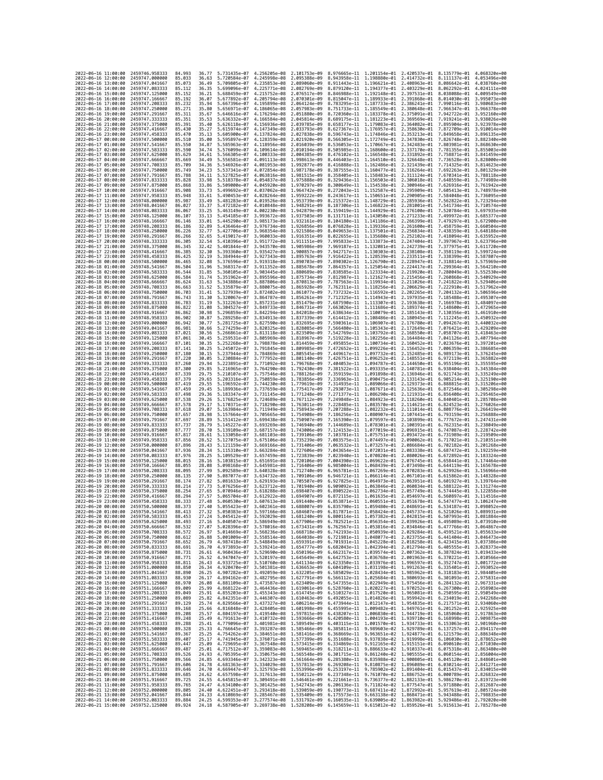| 2022-06-16 11:00:00                        |                     | 2459746,958333                                       | 84.993           | 36.77          | 5.731435e-07 4.256205e-08              |                                           | 2.101753e-09                                                                                                                                                                                                                                                                                                                                          | 8.976665e-11 1.201154e-01 2.420537e-01                                                                                                                                                                                               |                                                        |                                           | 8.135779e-01                 | 4.068320e+00                 |
|--------------------------------------------|---------------------|------------------------------------------------------|------------------|----------------|----------------------------------------|-------------------------------------------|-------------------------------------------------------------------------------------------------------------------------------------------------------------------------------------------------------------------------------------------------------------------------------------------------------------------------------------------------------|--------------------------------------------------------------------------------------------------------------------------------------------------------------------------------------------------------------------------------------|--------------------------------------------------------|-------------------------------------------|------------------------------|------------------------------|
| 2022-06-16 12:00:00                        |                     | 2459747.000000                                       | 85.033           | 36.63          | 5.720584e-07                           | 4.245998e-08                              | 2.095388e-09                                                                                                                                                                                                                                                                                                                                          | 8.943958e-11 1.198880e-01 2.414732e-01                                                                                                                                                                                               |                                                        |                                           | 8.111137e-01                 | 4.053496e+00                 |
| 2022-06-16 13:00:00                        |                     | 2459747.041667                                       | 85.073           | 36.49          | 5.709805e-07                           | 4.235853e-08                              | 2.089060e-09                                                                                                                                                                                                                                                                                                                                          | 8.911443e-11                                                                                                                                                                                                                         | 1.196621e-01 2.408963e-01                              |                                           | 8.086642e-01                 | 4.038760e+00                 |
| 2022-06-16 14:00:00                        |                     | 2459747.083333                                       | 85.112           | 36.35          | 5.699096e-07                           | 4.225771e-08 2.082769e-09                 |                                                                                                                                                                                                                                                                                                                                                       | 8.879120e-11 1.194377e-01 2.403229e-01                                                                                                                                                                                               |                                                        |                                           | 8.062292e-01                 | 4.024111e+00                 |
| 2022-06-16 15:00:00<br>2022-06-16 16:00:00 |                     | 2459747.125000<br>2459747.166667                     | 85.152<br>85.192 | 36.21<br>36.07 | 5.688459e-07<br>5.677892e-07           | 4.215752e-08<br>4.205794e-08              | 2.076517e-09<br>2.070301e-09                                                                                                                                                                                                                                                                                                                          | 8.846988e-11 1.192148e-01 2.397531e-01<br>8.815047e-11                                                                                                                                                                               | 1.189933e-01                                           | 2.391868e-01                              | 8.038088e-01<br>8.014030e-01 | 4.009549e+00<br>3.995073e+00 |
| 2022-06-16 17:00:00                        |                     | 2459747.208333                                       | 85.232           | 35.94          | 5.667396e-07                           | 4.195899e-08                              | 2.064124e-09                                                                                                                                                                                                                                                                                                                                          | 8.783295e-11                                                                                                                                                                                                                         | 1.187733e-01                                           | 2.386241e-01                              | 7.990116e-01                 | 3.980683e+00                 |
| 2022-06-16 18:00:00                        |                     | 2459747.250000                                       | 85.271           | 35.80          | 5.656971e-07                           | 4.186065e-08                              | 2.057983e-09                                                                                                                                                                                                                                                                                                                                          | 8.751733e-11                                                                                                                                                                                                                         | 1.185549e-01                                           | 2.380648e-01                              | 7.966347e-01                 | 3.966378e+00                 |
| 2022-06-16 19:00:00                        |                     | 2459747.291667                                       | 85.311           | 35.67          | 5.646616e-07                           | 4.176294e-08                              | 2.051880e-09                                                                                                                                                                                                                                                                                                                                          | 8.720360e-11 1.183378e-01 2.375091e-01                                                                                                                                                                                               |                                                        |                                           | 7.942722e-01                 | 3.952160e+00<br>3.938026e+00 |
| 2022-06-16 20:00:00<br>2022-06-16 21:00:00 |                     | 2459747.333333<br>2459747.375000                     | 85.351<br>85.391 | 35.53<br>35.40 | 5.636332e-07<br>5.626118e-07           | 4.166584e-08<br>4.156936e-08              | 2.045814e-09<br>2.039785e-09                                                                                                                                                                                                                                                                                                                          | 8.689175e-11<br>8.658177e-11                                                                                                                                                                                                         | 1.181223e-01<br>1.179083e-01 2.364082e-01              | 2.369569e-01                              | 7.919241e-01<br>7.895904e-01 | 3.923978e+00                 |
| 2022-06-16 22:00:00                        |                     | 2459747.416667                                       | 85.430           | 35.27          | 5.615974e-07                           | 4.147349e-08                              | 2.033793e-09                                                                                                                                                                                                                                                                                                                                          | 8.627367e-11                                                                                                                                                                                                                         |                                                        | 1.176957e-01 2.358630e-01                 | 7.872709e-01                 | 3.910014e+00                 |
| 2022-06-16 23:00:00                        |                     | 2459747.458333                                       | 85.470           | 35.13          | 5.605900e-07                           | 4.137824e-08                              | 2.027838e-09                                                                                                                                                                                                                                                                                                                                          | 8.596743e-11                                                                                                                                                                                                                         | 1.174846e-01                                           | 2.353213e-01                              | 7.849658e-01                 | 3.896135e+00                 |
| 2022-06-17 00:00:00                        |                     | 2459747.500000                                       | 85.510           | 35.00          | 5.595897e-07                           | 4.128359e-08                              | 2.021920e-09                                                                                                                                                                                                                                                                                                                                          | 8.566305e-11                                                                                                                                                                                                                         | 1.172749e-01 2.347830e-01                              |                                           | 7.826748e-01                 | 3.882340e+00                 |
| 2022-06-17 01:00:00                        |                     | 2459747.541667                                       | 85.550           | 34.87<br>34.74 | 5.585963e-07                           | 4.118956e-08 2.016039e-09                 |                                                                                                                                                                                                                                                                                                                                                       | 8.536053e-11                                                                                                                                                                                                                         | 1.170667e-01 2.342483e-01                              |                                           | 7.803981e-01                 | 3.868630e+00                 |
| 2022-06-17 02:00:00<br>2022-06-17 03:00:00 |                     | 2459747.583333<br>2459747.625000                     | 85.590<br>85.629 | 34.61          | 5.576099e-07<br>5.566305e-07           | 4.109614e-08<br>4.100333e-08              | 2.010194e-09<br>2.004385e-09                                                                                                                                                                                                                                                                                                                          | 8.505985e-11 1.168600e-01 2.337170e-01<br>8.476102e-11                                                                                                                                                                               | 1.166548e-01                                           | 2.331892e-01                              | 7.781355e-01<br>7.758871e-01 | 3.855003e+00<br>3.841459e+00 |
| 2022-06-17 04:00:00                        |                     | 2459747.666667                                       | 85.669           | 34,49          | 5.556581e-07                           | 4.091113e-08                              | 1.998613e-09                                                                                                                                                                                                                                                                                                                                          | 8.446403e-11                                                                                                                                                                                                                         | 1.164510e-01 2.326648e-01                              |                                           | 7.736528e-01                 | 3.828000e+00                 |
| 2022-06-17 05:00:00                        |                     | 2459747.708333                                       | 85.709           | 34.36          | 5.546926e-07                           | 4.081953e-08                              | 1.992877e-09                                                                                                                                                                                                                                                                                                                                          | 8.416888e-11 1.162486e-01 2.321439e-01                                                                                                                                                                                               |                                                        |                                           | 7.714325e-01                 | 3.814623e+00                 |
| 2022-06-17 06:00:00                        |                     | 2459747.750000                                       | 85.749           | 34.23          | 5.537341e-07<br>5.527825e-07           | 4.072854e-08 1.987178e-09                 |                                                                                                                                                                                                                                                                                                                                                       | 8.387555e-11 1.160477e-01 2.316264e-01                                                                                                                                                                                               |                                                        |                                           | 7.692263e-01                 | 3.801329e+00                 |
| 2022-06-17 07:00:00<br>2022-06-17 08:00:00 |                     | 2459747.791667<br>2459747.833333                     | 85.788<br>85,828 | 34.11<br>33.98 | 5.518378e-07                           | 4.063816e-08<br>4.054837e-08              | 1.981515e-09<br>1.975888e-09                                                                                                                                                                                                                                                                                                                          | 8.358405e-11<br>8.329436e-11                                                                                                                                                                                                         | 1.158483e-01<br>1.156503e-01 2.306018e-01              | 2.311124e-01                              | 7.670341e-01<br>7.648559e-01 | 3.788118e+00<br>3.774989e+00 |
| 2022-06-17 09:00:00                        |                     | 2459747.875000                                       | 85.868           | 33.86          | 5.509000e-07                           | 4.045920e-08 1.970297e-09                 |                                                                                                                                                                                                                                                                                                                                                       | 8.300649e-11                                                                                                                                                                                                                         | 1.154538e-01 2.300946e-01                              |                                           | 7.626916e-01                 | 3.761942e+00                 |
| 2022-06-17 10:00:00                        |                     | 2459747.916667                                       | 85.908           | 33.73          | 5.499692e-07                           | 4.037062e-08                              | 1.964742e-09                                                                                                                                                                                                                                                                                                                                          | 8.272043e-11 1.152587e-01 2.295909e-01                                                                                                                                                                                               |                                                        |                                           | 7.605413e-01                 | 3.748978e+00                 |
| 2022-06-17 11:00:00                        |                     | 2459747.958333                                       | 85.948           | 33.61          | 5.490453e-07                           | 4.028264e-08 1.959222e-09                 |                                                                                                                                                                                                                                                                                                                                                       | 8.243617e-11                                                                                                                                                                                                                         | 1.150651e-01 2.290905e-01                              |                                           | 7.584048e-01                 | 3.736095e+00                 |
| 2022-06-17 12:00:00                        |                     | 2459748,000000                                       | 85.987           | 33.49          | 5.481283e-07                           | 4.019526e-08 1.953739e-09<br>4.010848e-08 | 1.948291e-09                                                                                                                                                                                                                                                                                                                                          | 8.215372e-11<br>8.187306e-11                                                                                                                                                                                                         | 1.148729e-01 2.285936e-01                              |                                           | 7.562822e-01                 | 3.723294e+00<br>3.710574e+00 |
| 2022-06-17 13:00:00<br>2022-06-17 14:00:00 |                     | 2459748.041667<br>2459748.083333                     | 86.027<br>86.067 | 33.37<br>33.25 | 5.472182e-07<br>5.463149e-07           | 4.002230e-08                              | 1.942879e-09                                                                                                                                                                                                                                                                                                                                          | 8.159419e-11                                                                                                                                                                                                                         | 1.146822e-01 2.281001e-01<br>1.144929e-01              | 2.276100e-01                              | 7.541734e-01<br>7.520784e-01 | 3.697935e+00                 |
| 2022-06-17 15:00:00                        |                     | 2459748.125000                                       | 86.107           | 33.13          | 5.454185e-07                           | 3.993672e-08                              | 1.937503e-09                                                                                                                                                                                                                                                                                                                                          | 8.131711e-11                                                                                                                                                                                                                         | 1.143050e-01 2.271233e-01                              |                                           | 7.499972e-01                 | 3.685377e+00                 |
| 2022-06-17 16:00:00                        |                     | 2459748.166667                                       | 86.146           | 33.01          | 5.445290e-07                           | 3.985173e-08                              | 1.932161e-09                                                                                                                                                                                                                                                                                                                                          | 8.104180e-11 1.141186e-01 2.266399e-01                                                                                                                                                                                               |                                                        |                                           | 7.479297e-01                 | 3.672900e+00                 |
| 2022-06-17 17:00:00                        |                     | 2459748.208333                                       | 86.186           | 32.89          | 5.436464e-07                           | 3.976734e-08                              | 1.926856e-09                                                                                                                                                                                                                                                                                                                                          | 8.076828e-11 1.139336e-01 2.261600e-01                                                                                                                                                                                               |                                                        |                                           | 7.458759e-01                 | 3.660504e+00                 |
| 2022-06-17 18:00:00<br>2022-06-17 19:00:00 |                     | 2459748.250000<br>2459748.291667                     | 86.226<br>86.266 | 32.77<br>32.65 | 5.427706e-07<br>5.419017e-07           | 3.968354e-08<br>3.960033e-08 1.916351e-09 | 1.921586e-09                                                                                                                                                                                                                                                                                                                                          | 8.049653e-11<br>8.022655e-11                                                                                                                                                                                                         | 1.137501e-01<br>1.135680e-01 2.252102e-01              | 2.256834e-01                              | 7.438359e-01<br>7.418094e-01 | 3.648188e+00<br>3.635952e+00 |
| 2022-06-17 20:00:00                        |                     | 2459748.333333                                       | 86.305           | 32.54          | 5.410396e-07                           | 3.951772e-08 1.911151e-09                 |                                                                                                                                                                                                                                                                                                                                                       | 7.995833e-11 1.133873e-01 2.247404e-01                                                                                                                                                                                               |                                                        |                                           | 7.397967e-01                 | 3.623796e+00                 |
| 2022-06-17 21:00:00                        |                     | 2459748.375000                                       | 86.345           | 32.42          | 5.401844e-07                           | 3.943570e-08                              | 1.905986e-09                                                                                                                                                                                                                                                                                                                                          | 7.969187e-11                                                                                                                                                                                                                         | 1.132081e-01                                           | 2.242739e-01                              | 7.377975e-01                 | 3.611720e+00                 |
| 2022-06-17 22:00:00                        |                     | 2459748.416667                                       | 86.385           | 32.30          | 5.393360e-07                           | 3.935427e-08                              | 1.900857e-09                                                                                                                                                                                                                                                                                                                                          | 7.942717e-11                                                                                                                                                                                                                         | 1.130303e-01 2.238108e-01                              |                                           | 7.358119e-01                 | 3.599724e+00                 |
| 2022-06-17 23:00:00<br>2022-06-18 00:00:00 |                     | 2459748.458333<br>2459748.500000                     | 86.425<br>86.465 | 32.19<br>32.08 | 5.384944e-07<br>5.376596e-07           | 3.927343e-08<br>3.919318e-08              | 1.895763e-09<br>1.890703e-09                                                                                                                                                                                                                                                                                                                          | 7.916422e-11<br>7.890302e-11                                                                                                                                                                                                         | 1.128539e-01 2.233511e-01<br>1.126790e-01 2.228947e-01 |                                           | 7.338399e-01<br>7.318814e-01 | 3.587807e+00<br>3.575969e+00 |
| 2022-06-18 01:00:00                        |                     | 2459748.541667                                       | 86.504           | 31.96          | 5.368317e-07                           | 3.911352e-08                              | 1.885678e-09                                                                                                                                                                                                                                                                                                                                          | 7.864357e-11                                                                                                                                                                                                                         | 1.125054e-01                                           | 2.224417e-01                              | 7.299364e-01                 | 3.564210e+00                 |
| 2022-06-18 02:00:00                        |                     | 2459748.583333                                       | 86.544           | 31.85          | 5.360105e-07                           | 3.903445e-08                              | 1.880689e-09                                                                                                                                                                                                                                                                                                                                          | 7.838585e-11 1.123334e-01 2.219920e-01                                                                                                                                                                                               |                                                        |                                           | 7.280049e-01                 | 3.552530e+00                 |
| 2022-06-18 03:00:00                        |                     | 2459748.625000                                       | 86.584           | 31.74          | 5.351962e-07                           | 3.895596e-08                              | 1.875734e-09                                                                                                                                                                                                                                                                                                                                          | 7.812987e-11 1.121627e-01 2.215456e-01                                                                                                                                                                                               |                                                        |                                           | 7.260868e-01                 | 3.540929e+00                 |
| 2022-06-18 04:00:00<br>2022-06-18 05:00:00 |                     | 2459748.666667<br>2459748.708333                     | 86.624<br>86.663 | 31.63<br>31.52 | 5.343886e-07<br>5.335879e-07           | 3.887806e-08<br>3.880075e-08              | 1,870813e-09<br>1.865928e-09                                                                                                                                                                                                                                                                                                                          | 7.787563e-11<br>7.762311e-11                                                                                                                                                                                                         | 1.119934e-01 2.211026e-01<br>1.118256e-01              | 2.206629e-01                              | 7.241822e-01<br>7.222910e-01 | 3.529406e+00<br>3.517962e+00 |
| 2022-06-18 06:00:00                        |                     | 2459748.750000                                       | 86.703           | 31.41          | 5.327939e-07                           | 3.872402e-08 1.861077e-09                 |                                                                                                                                                                                                                                                                                                                                                       | 7.737232e-11                                                                                                                                                                                                                         | 1.116592e-01 2.202265e-01                              |                                           | 7.204132e-01                 | 3.506596e+00                 |
| 2022-06-18 07:00:00                        |                     | 2459748.791667                                       | 86.743           | 31.30          | 5.320067e-07                           | 3.864787e-08 1.856261e-09                 |                                                                                                                                                                                                                                                                                                                                                       | 7.712325e-11 1.114943e-01 2.197935e-01                                                                                                                                                                                               |                                                        |                                           | 7.185488e-01                 | 3.495307e+00                 |
| 2022-06-18 08:00:00                        |                     | 2459748.833333                                       | 86.783           | 31.19          | 5.312263e-07                           | 3.857231e-08                              | 1.851479e-09                                                                                                                                                                                                                                                                                                                                          | 7.687590e-11 1.113307e-01                                                                                                                                                                                                            |                                                        | 2.193638e-01                              | 7.166978e-01                 | 3.484097e+00                 |
| 2022-06-18 09:00:00<br>2022-06-18 10:00:00 |                     | 2459748.875000<br>2459748.916667                     | 86.822<br>86.862 | 31.08<br>30.98 | 5.304527e-07<br>5.296859e-07           | 3.849733e-08<br>3.842294e-08              | 1.846731e-09<br>1.842018e-09                                                                                                                                                                                                                                                                                                                          | 7.663026e-11<br>7.638634e-11                                                                                                                                                                                                         | 1.111686e-01 2.189374e-01<br>1.110079e-01 2.185143e-01 |                                           | 7.148600e-01<br>7.130356e-01 | 3.472965e+00<br>3.461910e+00 |
| 2022-06-18 11:00:00                        |                     | 2459748.958333                                       | 86.902           | 30.87          | 5.289258e-07                           | 3.834913e-08                              | 1.837339e-09                                                                                                                                                                                                                                                                                                                                          | 7.614412e-11 1.108486e-01 2.180945e-01                                                                                                                                                                                               |                                                        |                                           | 7.112245e-01                 | 3.450932e+00                 |
| 2022-06-18 12:00:00                        |                     | 2459749.000000                                       | 86.942           | 30.77          | 5.281725e-07                           | 3.827590e-08                              | 1.832695e-09                                                                                                                                                                                                                                                                                                                                          | 7.590361e-11                                                                                                                                                                                                                         | 1.106907e-01                                           | 2.176780e-01                              | 7.094267e-01                 | 3.440032e+00                 |
| 2022-06-18 13:00:00                        |                     | 2459749.041667                                       | 86.981           | 30.66          | 5.274259e-07                           | 3.820325e-08                              | 1,828085e-09                                                                                                                                                                                                                                                                                                                                          | 7.566480e-11                                                                                                                                                                                                                         | 1.105343e-01 2.172649e-01                              |                                           | 7.076421e-01                 | 3.429209e+00                 |
| 2022-06-18 14:00:00<br>2022-06-18 15:00:00 |                     | 2459749.083333<br>2459749.125000                     | 87.021<br>87.061 | 30.56<br>30.45 | 5.266861e-07<br>5.259531e-07           | 3.813118e-08<br>3.805969e-08              | 1.823509e-09<br>1.818967e-09                                                                                                                                                                                                                                                                                                                          | 7.542769e-11<br>7.519228e-11                                                                                                                                                                                                         | 1.103792e-01 2.168550e-01<br>1.102256e-01              | 2.164484e-01                              | 7.058707e-01<br>7.041126e-01 | 3.418463e+00<br>3.407794e+00 |
| 2022-06-18 16:00:00                        |                     | 2459749.166667                                       | 87.101           | 30.35          | 5.252268e-07                           | 3.798878e-08 1.814459e-09                 |                                                                                                                                                                                                                                                                                                                                                       | 7.495855e-11                                                                                                                                                                                                                         | 1.100734e-01 2.160452e-01                              |                                           | 7.023676e-01                 | 3.397201e+00                 |
| 2022-06-18 17:00:00                        |                     | 2459749.208333                                       | 87.141           | 30.25          | 5.245072e-07                           | 3.791845e-08 1.809985e-09                 |                                                                                                                                                                                                                                                                                                                                                       | 7.472652e-11                                                                                                                                                                                                                         | 1.099226e-01 2.156452e-01                              |                                           | 7.006359e-01                 | 3.386685e+00                 |
| 2022-06-18 18:00:00                        |                     | 2459749.250000                                       | 87.180           | 30.15          | 5.237944e-07                           | 3.784869e-08 1.805545e-09                 |                                                                                                                                                                                                                                                                                                                                                       | 7.449617e-11 1.097732e-01 2.152485e-01                                                                                                                                                                                               |                                                        |                                           | 6.989173e-01                 | 3.376245e+00                 |
| 2022-06-18 19:00:00<br>2022-06-18 20:00:00 |                     | 2459749.291667<br>2459749.333333                     | 87.220<br>87.260 | 30.05<br>29.94 | 5.230884e-07<br>5.223891e-07           | 3.777952e-08<br>3.771092e-08              | 1.801140e-09<br>1.796768e-09                                                                                                                                                                                                                                                                                                                          | 7.426751e-11<br>7.404053e-11                                                                                                                                                                                                         | 1.096252e-01<br>1.094787e-01 2.144650e-01              | 2.148551e-01                              | 6.972119e-01<br>6.955196e-01 | 3.365882e+00<br>3.355595e+00 |
| 2022-06-18 21:00:00                        |                     | 2459749.375000                                       | 87.300           | 29.85          | 5.216965e-07                           | 3.764290e-08                              | 1.792430e-09                                                                                                                                                                                                                                                                                                                                          | 7.381522e-11                                                                                                                                                                                                                         |                                                        | 1.093335e-01 2.140781e-01                 | 6.938404e-01                 | 3.345384e+00                 |
| 2022-06-18 22:00:00                        |                     | 2459749.416667                                       | 87,339           | 29.75          | 5.210107e-07                           | 3.757546e-08 1.788126e-09                 |                                                                                                                                                                                                                                                                                                                                                       | 7.359159e-11                                                                                                                                                                                                                         | 1.091898e-01 2.136946e-01                              |                                           | 6.921743e-01                 | 3.335249e+00                 |
| 2022-06-18 23:00:00                        |                     | 2459749.458333                                       | 87.379           | 29.65          | 5.203316e-07                           | 3.750859e-08                              | 1.783856e-09                                                                                                                                                                                                                                                                                                                                          | 7.336963e-11                                                                                                                                                                                                                         | 1.090475e-01                                           | 2.133143e-01                              | 6.905214e-01                 | 3.325190e+00                 |
| 2022-06-19 00:00:00<br>2022-06-19 01:00:00 |                     | 2459749.500000<br>2459749.541667                     | 87.419<br>87.459 | 29.55<br>29.45 | 5.196592e-07<br>5.189936e-07           | 3.744230e-08 1.779619e-09<br>3.737659e-08 | 1.775417e-09                                                                                                                                                                                                                                                                                                                                          | 7.314935e-11<br>7.293073e-11                                                                                                                                                                                                         | 1.089066e-01 2.129373e-01                              | 1.087671e-01 2.125636e-01                 | 6.888815e-01<br>6.872546e-01 | 3.315206e+00<br>3.305298e+00 |
| 2022-06-19 02:00:00                        |                     | 2459749.583333                                       | 87.498           | 29.36          | 5.183347e-07                           | 3.731145e-08                              | 1.771248e-09                                                                                                                                                                                                                                                                                                                                          | 7.271377e-11                                                                                                                                                                                                                         | 1.086290e-01                                           | 2.121931e-01                              | 6.856408e-01                 | 3.295465e+00                 |
| 2022-06-19 03:00:00                        |                     | 2459749.625000                                       | 87.538           | 29.26          | 5.176825e-07                           | 3.724689e-08                              | 1.767112e-09                                                                                                                                                                                                                                                                                                                                          | 7.249848e-11                                                                                                                                                                                                                         | 1.084923e-01 2.118260e-01                              |                                           | 6.840401e-01                 | 3.285708e+00                 |
| 2022-06-19 04:00:00                        |                     | 2459749.666667                                       | 87.578           | 29.17          | 5.170371e-07                           | 3.718290e-08 1.763011e-09                 |                                                                                                                                                                                                                                                                                                                                                       | 7.228485e-11                                                                                                                                                                                                                         | 1.083570e-01 2.114621e-01                              |                                           | 6.824523e-01                 | 3.276026e+00                 |
| 2022-06-19 05:00:00<br>2022-06-19 06:00:00 |                     | 2459749.708333<br>2459749.750000                     | 87.618<br>87.657 | 29.07<br>28.98 | 5.163984e-07<br>5.157664e-07           | 3.711949e-08 1.758943e-09<br>3.705665e-08 | 1.754908e-09                                                                                                                                                                                                                                                                                                                                          | 7.207288e-11<br>7.186256e-11                                                                                                                                                                                                         | 1.082232e-01 2.111014e-01<br>1.080907e-01 2.107441e-01 |                                           | 6.808776e-01<br>6.793159e-01 | 3.266419e+00<br>3.256888e+00 |
| 2022-06-19 07:00:00                        |                     | 2459749.791667                                       | 87.697           | 28.89          | 5.151412e-07                           | 3.699438e-08                              | 1.750907e-09                                                                                                                                                                                                                                                                                                                                          | 7.165390e-11                                                                                                                                                                                                                         | 1.079597e-01 2.103899e-01                              |                                           | 6.777672e-01                 | 3.247431e+00                 |
| 2022-06-19 08:00:00                        |                     | 2459749.833333                                       | 87.737           | 28.79          | 5.145227e-07                           | 3.693269e-08 1.746940e-09                 |                                                                                                                                                                                                                                                                                                                                                       | 7.144689e-11 1.078301e-01 2.100391e-01                                                                                                                                                                                               |                                                        |                                           | 6.762315e-01                 | 3.238049e+00                 |
| 2022-06-19 09:00:00                        |                     | 2459749.875000                                       | 87.777           | 28.70          | 5.139109e-07                           | 3.687157e-08 1.743006e-09                 |                                                                                                                                                                                                                                                                                                                                                       | 7.124153e-11 1.077019e-01 2.096915e-01                                                                                                                                                                                               |                                                        |                                           | 6.747087e-01                 | 3.228742e+00                 |
| 2022-06-19 10:00:00                        |                     | 2459749.916667                                       | 87.817           | 28.61          | 5.133058e-07                           | 3.681103e-08                              | 1.739106e-09                                                                                                                                                                                                                                                                                                                                          | 7.103781e-11                                                                                                                                                                                                                         | 1.075751e-01                                           | 2.093472e-01                              | 6.731989e-01                 | 3.219509e+00                 |
| 2022-06-19 11:00:00<br>2022-06-19 12:00:00 |                     | 2459749.958333<br>2459750.000000                     | 87.856<br>87.896 | 28.52<br>28.43 | 5.127075e-07<br>5.121159e-07           | 3.675106e-08<br>3.669166e-08 1.731406e-09 | 1.735239e-09                                                                                                                                                                                                                                                                                                                                          | 7.083575e-11<br>7.063532e-11                                                                                                                                                                                                         | 1.074497e-01 2.090062e-01<br>1.073257e-01 2.086684e-01 |                                           | 6.717021e-01<br>6.702182e-01 | 3.210351e+00<br>3.201268e+00 |
| 2022-06-19 13:00:00                        |                     | 2459750.041667                                       | 87.936           | 28.34          | 5.115310e-07                           | 3.663284e-08 1.727606e-09                 |                                                                                                                                                                                                                                                                                                                                                       | 7.043654e-11                                                                                                                                                                                                                         | 1.072031e-01 2.083338e-01                              |                                           | 6.687472e-01                 | 3.192259e+00                 |
| 2022-06-19 14:00:00                        |                     | 2459750.083333                                       | 87.976           | 28.25          | 5.109529e-07                           | 3.657459e-08 1.723839e-09                 |                                                                                                                                                                                                                                                                                                                                                       | 7.023940e-11                                                                                                                                                                                                                         | 1.070820e-01 2.080026e-01                              |                                           | 6.672892e-01                 | 3.183324e+00                 |
| 2022-06-19 15:00:00                        |                     | 2459750.125000                                       | 88.015           | 28.16          | 5.103815e-07                           | 3.651691e-08 1.720106e-09                 |                                                                                                                                                                                                                                                                                                                                                       | 7.004390e-11                                                                                                                                                                                                                         | 1.069622e-01 2.076745e-01                              |                                           | 6.658441e-01                 | 3.174464e+00                 |
| 2022-06-19 16:00:00<br>2022-06-19 17:00:00 |                     | 2459750.166667<br>2459750.208333                     | 88.055<br>88.095 | 28.08<br>27.99 | 5.098168e-07<br>5.092589e-07           | 3.645981e-08<br>3.640328e-08              | 1.716406e-09<br>1.712740e-09                                                                                                                                                                                                                                                                                                                          | 6.985004e-11<br>6.965781e-11                                                                                                                                                                                                         | 1.068439e-01 2.073498e-01<br>1.067269e-01              | 2.070283e-01                              | 6.644119e-01<br>6.629926e-01 | 3.165678e+00<br>3.156966e+00 |
| 2022-06-19 18:00:00                        |                     | 2459750.250000                                       | 88.135           | 27.90          | 5.087077e-07                           | 3.634732e-08                              | 1.709106e-09                                                                                                                                                                                                                                                                                                                                          | 6.946721e-11                                                                                                                                                                                                                         | 1.066114e-01 2.067101e-01                              |                                           | 6.615862e-01                 | 3.148328e+00                 |
| 2022-06-19 19:00:00                        |                     | 2459750.291667                                       | 88.174           | 27.82          | 5.081633e-07                           | 3.629193e-08                              | 1.705507e-09                                                                                                                                                                                                                                                                                                                                          | 6.927825e-11                                                                                                                                                                                                                         | 1.064973e-01 2.063951e-01                              |                                           | 6.601927e-01                 | 3.139764e+00                 |
| 2022-06-19 20:00:00                        |                     | 2459750.333333                                       | 88,214           | 27.73          | 5.076256e-07                           | 3.623712e-08                              | 1.701940e-09                                                                                                                                                                                                                                                                                                                                          | 6.909092e-11                                                                                                                                                                                                                         | 1.063846e-01 2.060834e-01                              |                                           | 6.588122e-01                 | 3.131274e+00<br>3.122858e+00 |
| 2022-06-19 21:00:00<br>2022-06-19 22:00:00 |                     | 2459750.375000<br>2459750.416667                     | 88.254<br>88.294 | 27.65<br>27.57 | 5.070946e-07<br>5.065704e-07           | 3.618288e-08<br>3.612922e-08 1.694907e-09 | 1.698407e-09                                                                                                                                                                                                                                                                                                                                          | 6.890522e-11<br>6.872115e-11                                                                                                                                                                                                         | 1.062734e-01                                           | 2.057749e-01<br>1.061635e-01 2.054697e-01 | 6.574445e-01<br>6.560897e-01 | 3.114516e+00                 |
| 2022-06-19 23:00:00                        |                     | 2459750.458333                                       | 88.333           | 27.48          | 5.060530e-07 3.607613e-08 1.691440e-09 |                                           |                                                                                                                                                                                                                                                                                                                                                       | 6.853871e-11 1.060551e-01 2.051678e-01 6.547477e-01 3.106247e+00                                                                                                                                                                     |                                                        |                                           |                              |                              |
| 2022-06-20 00:00:00                        |                     | 2459750.500000                                       | 88.373           | 27,40          | 5.055423e-07 3.602361e-08 1.688007e-09 |                                           |                                                                                                                                                                                                                                                                                                                                                       | 6.835790e-11 1.059480e-01 2.048691e-01 6.534187e-01 3.098052e+00                                                                                                                                                                     |                                                        |                                           |                              |                              |
| 2022-<br>2022-06-20 02:00:00               | -06-20 01:00:00     | 2459750.541667<br>2459750.583333                     | 88.413<br>88.453 | 27.24          | .050383e-07                            | 3.597166e-08                              | 1.684607e-09<br>5.045412e-07 3.592029e-08 1.681240e-09 6.800114e-11 1.057382e-01 2.042815e-01 6.507993e-01 3.081884e+00                                                                                                                                                                                                                               | 6.817871e-11                                                                                                                                                                                                                         | 1.058424e-01                                           | 2.045737e-01                              | 6.521026e-01                 | 3.089931e+00                 |
| 2022-06-20 03:00:00                        |                     | 2459750.625000                                       | 88.493           | 27.16          |                                        |                                           | 5.040507e-07 3.586949e-08 1.677906e-09 6.782521e-11 1.056354e-01 2.039926e-01 6.495089e-01 3.073910e+00                                                                                                                                                                                                                                               |                                                                                                                                                                                                                                      |                                                        |                                           |                              |                              |
| 2022-06-20 04:00:00                        |                     | 2459750.666667                                       | 88.532           | 27.07          | 5.028396e-07                           |                                           | 3.578016e-08 1.673431e-09 6.762567e-11 1.053816e-01 2.034846e-01 6.477766e-01                                                                                                                                                                                                                                                                         |                                                                                                                                                                                                                                      |                                                        |                                           |                              | 3.064867e+00                 |
| 2022-06-20 05:00:00                        |                     | 2459750.708333                                       | 88.572           | 26.97          |                                        |                                           | 5.014669e-07 3.568236e-08 1.668718e-09 6.742193e-11 1.050939e-01 2.029284e-01 6.459521e-01 3.055633e+00                                                                                                                                                                                                                                               |                                                                                                                                                                                                                                      |                                                        |                                           |                              |                              |
| 2022-06-20 06:00:00<br>2022-06-20 07:00:00 |                     | 2459750.750000<br>2459750.791667                     | 88.612<br>88.652 | 26.88<br>26.79 |                                        |                                           | 5.001009e-07 3.558514e-08 1.664038e-09 6.721981e-11 1.048077e-01 2.023755e-01 6.441404e-01 3.046473e+00                                                                                                                                                                                                                                               |                                                                                                                                                                                                                                      |                                                        |                                           |                              |                              |
| 2022-06-20 08:00:00                        |                     | 2459750.833333                                       | 88.691           | 26.70          |                                        |                                           | $\begin{array}{cccc} 4.987418e{-}07 & 3.548849e{-}08 & 1.659391e{-}09 \\ 4.973893e{-}07 & 3.539241e{-}08 & 1.654777e{-}09 \end{array}$                                                                                                                                                                                                                | $\begin{array}{cccc} 6.701931e{-}11 & 1.045228e{-}01 & 2.018258e{-}01 & 6.423415e{-}01 & 3.037386e{+}00 \\ 6.682043e{-}11 & 1.042394e{-}01 & 2.012794e{-}01 & 6.40555e{-}01 & 3.028373e{+}00 \end{array}$                            |                                                        |                                           |                              |                              |
| 2022-06-20 09:00:00                        |                     | 2459750.875000                                       | 88.731           | 26.61          |                                        |                                           | 4.960436e-07 3.529690e-08 1.650196e-09                                                                                                                                                                                                                                                                                                                | 6.662317e-11 1.039574e-01 2.007362e-01 6.387824e-01 3.019433e+00                                                                                                                                                                     |                                                        |                                           |                              |                              |
| 2022-06-20 10:00:00                        |                     | 2459750.916667<br>2459750.958333                     | 88.771           |                |                                        |                                           | 26.52 4.947047e-07 3.520197e-08 1.645649e-09                                                                                                                                                                                                                                                                                                          | 6.642753e-11 1.036768e-01 2.001963e-01 6.370221e-01 3.010566e+00                                                                                                                                                                     |                                                        |                                           |                              |                              |
| 2022-06-20 11:00:00<br>2022-06-20 12:00:00 |                     | 2459751.000000                                       | 88.811<br>88.850 |                |                                        |                                           | ${\small \begin{array}{cccc} 26.43 & 4.933725e-07 & 3.510760e-08 & 1.641134e-09 \\ 26.34 & 4.920470e-07 & 3.501381e-08 & 1.636653e-09 \end{array}}$                                                                                                                                                                                                   | $\begin{array}{cccc} 6.623350e{-}11 & 1.033976e{-}01 & 1.996597e{-}01 & 6.352747e{-}01 & 3.001772e{+}00 \\ 6.604109e{-}11 & 1.031198e{-}01 & 1.991263e{-}01 & 6.335401e{-}01 & 2.993052e{+}00 \end{array}$                           |                                                        |                                           |                              |                              |
| 2022-06-20 13:00:00                        |                     | 2459751.041667                                       | 88.890           |                |                                        |                                           | 26.25 4.907282e-07 3.492059e-08 1.632205e-09                                                                                                                                                                                                                                                                                                          | 6.585029e-11 1.028434e-01 1.985962e-01 6.318183e-01 2.984405e+00                                                                                                                                                                     |                                                        |                                           |                              |                              |
| 2022-06-20 14:00:00                        |                     | 2459751.083333                                       | 88.930           |                |                                        |                                           |                                                                                                                                                                                                                                                                                                                                                       |                                                                                                                                                                                                                                      |                                                        |                                           |                              |                              |
| 2022-06-20 15:00:00                        |                     |                                                      |                  |                |                                        |                                           |                                                                                                                                                                                                                                                                                                                                                       |                                                                                                                                                                                                                                      |                                                        |                                           |                              |                              |
|                                            |                     | 2459751.125000                                       | 88.970           |                |                                        |                                           |                                                                                                                                                                                                                                                                                                                                                       |                                                                                                                                                                                                                                      |                                                        |                                           |                              |                              |
| 2022-06-20 18:00:00                        | 2022-06-20 16:00:00 | 2459751.166667                                       | 89.009           |                |                                        |                                           |                                                                                                                                                                                                                                                                                                                                                       | 26.17 4.894162e-07 3.482795e-08 1.627791e-09 6.566112e-11 1.025684e-01 1.989693e-01 6.301093e-01 2.975831e+00<br>26.08 4.881109e-07 3.473587e-08 1.623499e-09 6.566112e-11 1.025984e-01 1.975456e-01 6.301093e-01 2.975331e+00<br>25 |                                                        |                                           |                              |                              |
|                                            | 2022-06-20 17:00:00 | 2459751.208333<br>2459751.250000                     | 89.049<br>89.089 |                |                                        |                                           |                                                                                                                                                                                                                                                                                                                                                       |                                                                                                                                                                                                                                      |                                                        |                                           |                              |                              |
|                                            | 2022-06-20 19:00:00 | 2459751.291667                                       | 89.129           |                |                                        |                                           | 25.91 4.855203e-07 3.455343e-08 1.614745e-09 6.510327e-11 1.017520e-01 1.963081e-01 6.250595e-01 2.950549e-00<br>25.82 4.842351e-07 3.445397e-08 1.614745e-09 6.452055e-11 1.017520e-01 1.963081e-01 6.234039e-01 2.943268e+00<br>25                                                                                                                  |                                                                                                                                                                                                                                      |                                                        |                                           |                              |                              |
| 2022-06-20 20:00:00                        |                     | 2459751.333333                                       | 89.168           |                |                                        |                                           | 25.66 4.816848e-07 3.428405e-08 1.601998e-09 6.455995e-11 1.009482e-01 1.949761e-01 6.201252e-01 2.925925e+00                                                                                                                                                                                                                                         |                                                                                                                                                                                                                                      |                                                        |                                           |                              |                              |
| 2022-06-20 21:00:00<br>2022-06-20 22:00:00 |                     | 2459751.375000<br>2459751.416667                     | 89.208<br>89.248 |                |                                        |                                           | 25.57 4.804197e-07 3.419540e-08 1.597815e-09 6.438207e-11 1.006830e-01 1.944719e-01 6.185060e-01 2.917863e+00                                                                                                                                                                                                                                         |                                                                                                                                                                                                                                      |                                                        |                                           |                              |                              |
| 2022-06-20 23:00:00                        |                     | 2459751.458333                                       | 89,288           |                |                                        |                                           | ${\frac{25.49}{25.41}}\begin{array}{l} 4.791613e-07\\ 3.410732e-08\\ 1.593666e-09\\ 25.41\end{array} \begin{array}{l} 4.791613e-07\\ 3.401981e-08\\ 1.589549e-09 \end{array}$                                                                                                                                                                         | 6.420580e-11 1.004193e-01 1.939710e-01 6.168998e-01 2.909875e+00<br>6.403115e-11 1.001570e-01 1.934733e-01 6.153063e-01 2.901960e+00                                                                                                 |                                                        |                                           |                              |                              |
| 2022-06-21 00:00:00                        |                     | 2459751.500000                                       | 89.328           |                |                                        |                                           | 25.33 4.766645e-07 3.393287e-08 1.585466e-09 6.385811e-11 9.989603e-02 1.929789e-01 6.137257e-01 2.894117e+00                                                                                                                                                                                                                                         |                                                                                                                                                                                                                                      |                                                        |                                           |                              |                              |
| 2022-06-21 01:00:00                        |                     | 2459751.541667                                       | 89.367           |                |                                        |                                           |                                                                                                                                                                                                                                                                                                                                                       |                                                                                                                                                                                                                                      |                                                        |                                           |                              |                              |
| 2022-06-21 02:00:00<br>2022-06-21 03:00:00 |                     | 2459751.583333<br>2459751.625000                     | 89.407<br>89.447 |                |                                        |                                           | 25.25 4.754262e-07 3.384651e-08 1.581416e-09<br>25.17 4.741945e-07 3.384651e-08 1.581416e-09                                                                                                                                                                                                                                                          | $\begin{array}{cccc} 6.368669e-11& 9.963651e-02& 1.924877e-01& 6.121579e-01& 2.886348e+00\\ 6.351688e-11& 9.937838e-02& 1.919998e-01& 6.106030e-01& 2.878652e+00 \end{array}$                                                        |                                                        |                                           |                              |                              |
| 2022-06-21 04:00:00                        |                     | 2459751.666667                                       | 89.487           |                |                                        |                                           | 25.09 4.729695e-07 3.367548e-08 1.573415e-09 6.334869e-11 9.912165e-02 1.915151e-01 6.090610e-01 2.871030e+00<br>25.01 4.717512e-07 3.359083e-08 1.569465e-09 6.318211e-11 9.886633e-02 1.910337e-01 6.075318e-01 2.863480e+00                                                                                                                        |                                                                                                                                                                                                                                      |                                                        |                                           |                              |                              |
| 2022-06-21 05:00:00                        |                     | 2459751.708333                                       | 89.526           |                |                                        |                                           |                                                                                                                                                                                                                                                                                                                                                       |                                                                                                                                                                                                                                      |                                                        |                                           |                              |                              |
| 2022-06-21 06:00:00                        |                     | 2459751.750000                                       | 89.566           |                |                                        |                                           | 24.93 4.705395e-07 3.350675e-08 1.565548e-09 6.301715e-11 9.861240e-02 1.905555e-01 6.060154e-01 2.856004e+00<br>24.85 4.693346e-07 3.342323e-08 1.561664e-09 6.285380e-11 9.835988e-02 1.900805e-01 6.045120e-01 2.848601e+00                                                                                                                        |                                                                                                                                                                                                                                      |                                                        |                                           |                              |                              |
| 2022-06-21 07:00:00                        |                     | 2459751.791667                                       | 89.606           |                |                                        |                                           | 24.78 4.681363e-07 3.334029e-08 1.557813e-09 6.269208e-11 9.810875e-02 1.896089e-01 6.030214e-01 2.841271e+00                                                                                                                                                                                                                                         |                                                                                                                                                                                                                                      |                                                        |                                           |                              |                              |
| 2022-06-21 08:00:00<br>2022-06-21 09:00:00 |                     | 2459751.833333<br>2459751.875000                     | 89.646<br>89.685 |                |                                        |                                           |                                                                                                                                                                                                                                                                                                                                                       |                                                                                                                                                                                                                                      |                                                        |                                           |                              |                              |
| 2022-06-21 10:00:00                        |                     | 2459751.916667                                       | 89.725           |                |                                        |                                           | 24.70 4.669447e-07 3.325793e-08 1.553996e-09 6.253197e-11 9.785902e-02 1.891404e-01 6.815437e-01 2.834015e-00<br>24.62 4.657598e-07 3.315613e-08 1.553996e-09 6.253197e-11 9.761870e-02 1.886752e-01 6.815437e-01 2.826832e+00<br>24                                                                                                                  |                                                                                                                                                                                                                                      |                                                        |                                           |                              |                              |
| 2022-06-21 11:00:00                        |                     | 2459751.958333                                       | 89.765           |                |                                        |                                           | 24.47 4.634100e-07 3.301425e-08 1.542743e-09 6.206136e-11 9.711824e-02 1.877547e-01 5.971880e-01 2.812687e+00                                                                                                                                                                                                                                         |                                                                                                                                                                                                                                      |                                                        |                                           |                              |                              |
| 2022-06-21 12:00:00<br>2022-06-21 13:00:00 |                     | 2459752.000000<br>2459752.041667                     | 89.805<br>89.844 |                |                                        |                                           |                                                                                                                                                                                                                                                                                                                                                       |                                                                                                                                                                                                                                      |                                                        |                                           |                              |                              |
| 2022-06-21 14:00:00                        |                     | 2459752.083333<br>2022-06-21 15:00:00 2459752.125000 | 89.884<br>89.924 |                |                                        |                                           | 24.33 4.622451e-07 3.293418e-08 1.539059e-09 6.190773e-11 9.687411e-02 1.872992e-01 5.957619e-01 2.865724e-00<br>24.33 4.610869e-07 3.293418e-08 1.539095e-09 6.190773e-11 9.68713e-02 1.862979e-01 5.957619e-01 2.798835e-00<br>24.<br>24.18 4.587905e-07 3.269738e-08 1.528208e-09 6.145659e-11 9.615012e-02 1.859526e-01 5.915613e-01 2.785278e+00 |                                                                                                                                                                                                                                      |                                                        |                                           |                              |                              |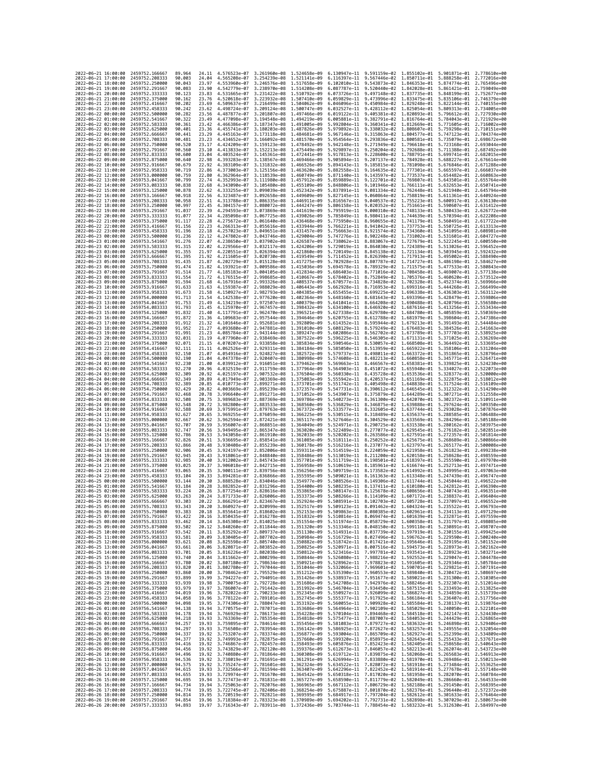| 2022-06-21 16:00:00                        |                     | 2459752,166667                                     | 89.964           | 24,11          | 4.576523e-07 3.261960e-08                                                                                     |                                                        | 1,524658e-09                                                                                                                                                                                                                                                                                                                                    | 6.130947e-11                 | 9.591159e-02 1.855102e-01                                                                                                                                                                                 |                              | 5.901871e-01                 | 2.778610e+00                 |
|--------------------------------------------|---------------------|----------------------------------------------------|------------------|----------------|---------------------------------------------------------------------------------------------------------------|--------------------------------------------------------|-------------------------------------------------------------------------------------------------------------------------------------------------------------------------------------------------------------------------------------------------------------------------------------------------------------------------------------------------|------------------------------|-----------------------------------------------------------------------------------------------------------------------------------------------------------------------------------------------------------|------------------------------|------------------------------|------------------------------|
| 2022-06-21 17:00:00                        |                     | 2459752.208333                                     | 90.003           | 24.04          | 4.565208e-07                                                                                                  | 3.254239e-08                                           | 1.521141e-09                                                                                                                                                                                                                                                                                                                                    | 6.116397e-11                 | 9.567446e-02 1.850711e-01                                                                                                                                                                                 |                              | 5.888258e-01                 | 2.772016e+00                 |
| 2022-06-21 18:00:00<br>2022-06-21 19:00:00 |                     | 2459752.250000<br>2459752,291667                   | 90.043<br>90.083 | 23.97<br>23.90 | 4.553960e-07<br>4.542779e-07                                                                                  | 3.246576e-08 1.517658e-09<br>3.238970e-08 1.514208e-09 |                                                                                                                                                                                                                                                                                                                                                 | 6.102010e-11<br>6.087787e-11 | 9.543873e-02<br>9.520440e-02 1.842028e-01                                                                                                                                                                 | 1.846353e-01                 | 5.874774e-01<br>5.861421e-01 | 2.765496e+00<br>2.759049e+00 |
| 2022-06-21 20:00:00                        |                     | 2459752.333333                                     | 90.123           | 23.83          | 4.531665e-07                                                                                                  | 3.231422e-08 1.510792e-09                              |                                                                                                                                                                                                                                                                                                                                                 | 6.073726e-11                 | 9.497148e-02 1.837735e-01                                                                                                                                                                                 |                              | 5.848199e-01                 | 2.752677e+00                 |
| 2022-06-21 21:00:00                        |                     | 2459752.375000                                     | 90.162           | 23.76          | 4.520618e-07                                                                                                  | 3.223932e-08                                           | 1.507410e-09                                                                                                                                                                                                                                                                                                                                    | 6.059829e-11                 | 9.473996e-02 1.833475e-01                                                                                                                                                                                 |                              | 5.835106e-01                 | 2.746379e+00                 |
| 2022-06-21 22:00:00<br>2022-06-21 23:00:00 |                     | 2459752.416667<br>2459752.458333                   | 90.202<br>90.242 | 23.69<br>23.62 | 4.509637e-07<br>4.498724e-07                                                                                  | 3.216499e-08<br>3.209124e-08                           | 1.504062e-09<br>1.500747e-09                                                                                                                                                                                                                                                                                                                    | 6.046096e-11<br>6.032527e-11 | 9.450984e-02<br>9.428112e-02 1.825054e-01                                                                                                                                                                 | 1.829248e-01                 | 5.822144e-01<br>5.809313e-01 | 2.740155e+00<br>2.734005e+00 |
| 2022-06-22 00:00:00                        |                     | 2459752.500000                                     | 90.282           | 23.56          | 4.487877e-07                                                                                                  | 3.201807e-08                                           | 1.497466e-09                                                                                                                                                                                                                                                                                                                                    | 6.019122e-11                 | 9.405381e-02 1.820893e-01                                                                                                                                                                                 |                              | 5.796612e-01                 | 2.727930e+00                 |
| 2022-06-22 01:00:00                        |                     | 2459752.541667                                     | 90.322           | 23.49          | 4.477098e-07                                                                                                  | 3.194548e-08                                           | 1.494219e-09                                                                                                                                                                                                                                                                                                                                    | 6.005881e-11                 | 9.382791e-02                                                                                                                                                                                              | 1.816764e-01                 | 5.784043e-01                 | 2.721929e+00                 |
| 2022-06-22 02:00:00                        |                     | 2459752.583333                                     | 90.361           | 23.42          | 4.466386e-07                                                                                                  | 3.187347e-08                                           | 1.491005e-09                                                                                                                                                                                                                                                                                                                                    | 5.992804e-11                 | 9.360341e-02 1.812669e-01                                                                                                                                                                                 |                              | 5.771605e-01                 | 2.716002e+00                 |
| 2022-06-22 03:00:00<br>2022-06-22 04:00:00 |                     | 2459752.625000<br>2459752.666667                   | 90.401<br>90.441 | 23.36<br>23.29 | 4.455741e-07<br>4.445163e-07                                                                                  | 3.180203e-08<br>3.173118e-08                           | 1.487826e-09<br>1.484681e-09                                                                                                                                                                                                                                                                                                                    | 5.979892e-11<br>5.967146e-11 | 9.338032e-02<br>9.315863e-02                                                                                                                                                                              | 1.808607e-01<br>1.804577e-01 | 5.759298e-01<br>5.747123e-01 | 2.710151e+00<br>2.704374e+00 |
| 2022-06-22 05:00:00                        |                     | 2459752.708333                                     | 90.481           | 23.23          | 4.434652e-07                                                                                                  | 3.166092e-08                                           | 1.481570e-09                                                                                                                                                                                                                                                                                                                                    | 5.954564e-11                 | 9.293836e-02                                                                                                                                                                                              | 1.800581e-01                 | 5.735079e-01                 | 2.698672e+00                 |
| 2022-06-22 06:00:00                        |                     | 2459752.750000                                     | 90.520           | 23.17          | 4.424209e-07                                                                                                  | 3.159123e-08                                           | 1.478492e-09                                                                                                                                                                                                                                                                                                                                    | 5.942148e-11                 | 9.271949e-02 1.796618e-01                                                                                                                                                                                 |                              | 5.723168e-01                 | 2.693044e+00                 |
| 2022-06-22 07:00:00<br>2022-06-22 08:00:00 |                     | 2459752.791667<br>2459752.833333                   | 90.560<br>90.600 | 23.10<br>23.04 | 4.413833e-07<br>4.403524e-07                                                                                  | 3.152213e-08<br>3.145361e-08                           | 1.475449e-09<br>1.472441e-09                                                                                                                                                                                                                                                                                                                    | 5.929897e-11<br>5.917813e-11 | 9.250204e-02 1.792688e-01<br>9.228600e-02 1.788791e-01                                                                                                                                                    |                              | 5.711388e-01<br>5.699741e-01 | 2.687492e+00<br>2.682015e+00 |
| 2022-06-22 09:00:00                        |                     | 2459752.875000                                     | 90.640           | 22.98          | 4.393283e-07                                                                                                  | 3.138567e-08                                           | 1.469466e-09                                                                                                                                                                                                                                                                                                                                    | 5.905894e-11                 | 9.207137e-02 1.784928e-01                                                                                                                                                                                 |                              | 5.688227e-01                 | 2.676614e+00                 |
| 2022-06-22 10:00:00                        |                     | 2459752.916667                                     | 90.679           | 22.92          | 4.383109e-07                                                                                                  | 3.131832e-08                                           | 1.466526e-09                                                                                                                                                                                                                                                                                                                                    | 5.894143e-11                 | 9.185815e-02 1.781098e-01                                                                                                                                                                                 |                              | 5.676846e-01                 | 2.671288e+00                 |
| 2022-06-22 11:00:00<br>2022-06-22 12:00:00 |                     | 2459752.958333<br>2459753.000000                   | 90.719<br>90.759 | 22.86          | 4.373003e-07<br>4.362964e-07                                                                                  | 3.125156e-08<br>3.118539e-08                           | 1.463620e-09<br>1.460749e-09                                                                                                                                                                                                                                                                                                                    | 5.882558e-11<br>5.871140e-11 | 9.164635e-02 1.777301e-01<br>9.143597e-02                                                                                                                                                                 | 1.773537e-01                 | 5.665597e-01                 | 2.666037e+00<br>2.660863e+00 |
| 2022-06-22 13:00:00                        |                     | 2459753.041667                                     | 90.799           | 22.80<br>22.74 | 4.352993e-07                                                                                                  | 3.111980e-08                                           | 1.457912e-09                                                                                                                                                                                                                                                                                                                                    | 5.859889e-11                 | 9.122701e-02 1.769807e-01                                                                                                                                                                                 |                              | 5.654482e-01<br>5.643501e-01 | 2.655764e+00                 |
| 2022-06-22 14:00:00                        |                     | 2459753.083333                                     | 90.838           | 22.68          | 4.343090e-07                                                                                                  | 3.105480e-08 1.455109e-09                              |                                                                                                                                                                                                                                                                                                                                                 | 5.848806e-11                 | 9.101946e-02 1.766111e-01                                                                                                                                                                                 |                              | 5.632653e-01                 | 2.650741e+00                 |
| 2022-06-22 15:00:00                        |                     | 2459753.125000                                     | 90.878           | 22.62          | 4.333255e-07                                                                                                  | 3.099039e-08 1.452342e-09                              |                                                                                                                                                                                                                                                                                                                                                 | 5.837891e-11                 | 9.081334e-02 1.762448e-01                                                                                                                                                                                 |                              | 5.621940e-01                 | 2.645794e+00                 |
| 2022-06-22 16:00:00<br>2022-06-22 17:00:00 |                     | 2459753.166667<br>2459753.208333                   | 90.918<br>90.958 | 22.56<br>22.51 | 4.323487e-07<br>4.313788e-07                                                                                  | 3.092658e-08 1.449609e-09<br>3.086335e-08 1.446911e-09 |                                                                                                                                                                                                                                                                                                                                                 | 5.827145e-11<br>5.816567e-11 | 9.060864e-02 1.758819e-01<br>9.040537e-02 1.755223e-01                                                                                                                                                    |                              | 5.611361e-01<br>5.600917e-01 | 2.640924e+00<br>2.636130e+00 |
| 2022-06-22 18:00:00                        |                     | 2459753.250000                                     | 90.997           | 22.45          | 4.304157e-07                                                                                                  | 3.080072e-08                                           | 1.444247e-09                                                                                                                                                                                                                                                                                                                                    | 5.806158e-11                 | 9.020352e-02 1.751661e-01                                                                                                                                                                                 |                              | 5.590607e-01                 | 2.631412e+00                 |
| 2022-06-22 19:00:00                        |                     | 2459753.291667                                     | 91.037           | 22.39          | 4.294593e-07                                                                                                  | 3.073869e-08                                           | 1.441619e-09                                                                                                                                                                                                                                                                                                                                    | 5.795919e-11                 | 9.000310e-02                                                                                                                                                                                              | 1.748133e-01                 | 5.580433e-01                 | 2.626772e+00                 |
| 2022-06-22 20:00:00<br>2022-06-22 21:00:00 |                     | 2459753.333333<br>2459753.375000                   | 91.077<br>91.117 | 22.34<br>22.28 | 4.285098e-07<br>4.275672e-07                                                                                  | 3.067725e-08<br>3.061640e-08                           | 1.439026e-09<br>1.436468e-09                                                                                                                                                                                                                                                                                                                    | 5.785849e-11<br>5.775950e-11 | 8.980411e-02 1.744639e-01<br>8.960655e-02 1.741179e-01                                                                                                                                                    |                              | 5.570394e-01<br>5.560491e-01 | 2.622208e+00<br>2.617722e+00 |
| 2022-06-22 22:00:00                        |                     | 2459753.416667                                     | 91,156           | 22.23          | 4.266313e-07                                                                                                  | 3.055616e-08                                           | 1.433944e-09                                                                                                                                                                                                                                                                                                                                    | 5.766221e-11                 | 8.941042e-02 1.737753e-01                                                                                                                                                                                 |                              | 5.550725e-01                 | 2.613313e+00                 |
| 2022-06-22 23:00:00                        |                     | 2459753.458333                                     | 91.196           | 22.18          | 4.257023e-07                                                                                                  | 3.049651e-08                                           | 1.431457e-09                                                                                                                                                                                                                                                                                                                                    | 5.756663e-11                 | 8.921574e-02                                                                                                                                                                                              | 1.734360e-01                 | 5.541095e-01                 | 2.608981e+00                 |
| 2022-06-23 00:00:00<br>2022-06-23 01:00:00 |                     | 2459753.500000<br>2459753.541667                   | 91.236<br>91.276 | 22.12<br>22.07 | 4.247802e-07<br>4.238650e-07                                                                                  | 3.043746e-08 1.429004e-09<br>3.037902e-08 1.426587e-09 |                                                                                                                                                                                                                                                                                                                                                 | 5.747276e-11<br>5.738062e-11 | 8.902248e-02 1.731002e-01<br>8.883067e-02 1.727679e-01                                                                                                                                                    |                              | 5.531601e-01<br>5.522245e-01 | 2.604727e+00<br>2.600550e+00 |
| 2022-06-23 02:00:00                        |                     | 2459753.583333                                     | 91.315           | 22.02          | 4.229566e-07                                                                                                  | 3.032117e-08                                           | 1.424206e-09                                                                                                                                                                                                                                                                                                                                    | 5.729019e-11                 | 8.864030e-02 1.724389e-01                                                                                                                                                                                 |                              | 5.513026e-01                 | 2.596452e+00                 |
| 2022-06-23 03:00:00                        |                     | 2459753.625000                                     | 91.355           | 21.97          | 4.220551e-07                                                                                                  | 3.026394e-08                                           | 1.421860e-09                                                                                                                                                                                                                                                                                                                                    | 5.720149e-11                 | 8.845138e-02 1.721134e-01                                                                                                                                                                                 |                              | 5.503945e-01                 | 2.592432e+00                 |
| 2022-06-23 04:00:00<br>2022-06-23 05:00:00 |                     | 2459753.666667<br>2459753.708333                   | 91.395<br>91,435 | 21.92<br>21.87 | 4.211605e-07<br>4.202729e-07                                                                                  | 3.020730e-08 1.419549e-09<br>3.015128e-08              | 1.417275e-09                                                                                                                                                                                                                                                                                                                                    | 5.711452e-11<br>5.702928e-11 | 8.826390e-02 1.717913e-01<br>8.807787e-02 1.714727e-01                                                                                                                                                    |                              | 5.495002e-01<br>5.486198e-01 | 2.588490e+00<br>2.584627e+00 |
| 2022-06-23 06:00:00                        |                     | 2459753.750000                                     | 91.474           | 21.82          | 4.193921e-07                                                                                                  | 3.009586e-08                                           | 1.415036e-09                                                                                                                                                                                                                                                                                                                                    | 5.694578e-11                 | 8.789329e-02                                                                                                                                                                                              | 1.711575e-01                 | 5.477533e-01                 | 2.580843e+00                 |
| 2022-06-23 07:00:00                        |                     | 2459753.791667                                     | 91.514           | 21.77          | 4.185183e-07                                                                                                  | 3.004105e-08 1.412834e-09                              |                                                                                                                                                                                                                                                                                                                                                 | 5.686403e-11                 | 8.771016e-02 1.708458e-01                                                                                                                                                                                 |                              | 5.469007e-01                 | 2.577138e+00                 |
| 2022-06-23 08:00:00                        |                     | 2459753.833333                                     | 91.554           | 21.72          | 4.176515e-07                                                                                                  | 2.998685e-08                                           | 1.410667e-09                                                                                                                                                                                                                                                                                                                                    | 5.678402e-11                 | 8.752849e-02 1.705376e-01                                                                                                                                                                                 |                              | 5.460620e-01                 | 2.573512e+00                 |
| 2022-06-23 09:00:00<br>2022-06-23 10:00:00 |                     | 2459753.875000<br>2459753.916667                   | 91.594<br>91.633 | 21.68<br>21.63 | 4.167916e-07<br>4.159387e-07                                                                                  | 2.993326e-08<br>2.988029e-08                           | 1.408537e-09<br>1.406443e-09                                                                                                                                                                                                                                                                                                                    | 5.670577e-11<br>5.662928e-11 | 8.734828e-02<br>8.716953e-02                                                                                                                                                                              | 1.702328e-01<br>1.699316e-01 | 5.452374e-01<br>5.444268e-01 | 2.569966e+00<br>2.566499e+00 |
| 2022-06-23 11:00:00                        |                     | 2459753.958333                                     | 91.673           | 21.58          | 4.150927e-07                                                                                                  | 2.982793e-08 1.404385e-09                              |                                                                                                                                                                                                                                                                                                                                                 | 5.655455e-11                 | 8.699225e-02 1.696338e-01                                                                                                                                                                                 |                              | 5.436303e-01                 | 2.563112e+00                 |
| 2022-06-23 12:00:00                        |                     | 2459754.000000                                     | 91,713           | 21.54          | 4.142538e-07                                                                                                  | 2.977620e-08                                           | 1.402364e-09                                                                                                                                                                                                                                                                                                                                    | 5.648160e-11                 | 8.681643e-02 1.693396e-01                                                                                                                                                                                 |                              | 5.428479e-01                 | 2.559806e+00                 |
| 2022-06-23 13:00:00<br>2022-06-23 14:00:00 |                     | 2459754.041667<br>2459754.083333                   | 91.753<br>91,793 | 21.49<br>21.45 | 4.134219e-07<br>4.125970e-07                                                                                  | 2.972507e-08<br>2.967457e-08                           | 1.400379e-09<br>1.398432e-09                                                                                                                                                                                                                                                                                                                    | 5.641041e-11<br>5.634100e-11 | 8.664208e-02 1.690488e-01<br>8.646920e-02 1.687616e-01                                                                                                                                                    |                              | 5.420796e-01<br>5.413256e-01 | 2.556580e+00<br>2.553434e+00 |
| 2022-06-23 15:00:00                        |                     | 2459754.125000                                     | 91.832           | 21.40          | 4.117791e-07                                                                                                  | 2.962470e-08                                           | 1.396521e-09                                                                                                                                                                                                                                                                                                                                    | 5.627338e-11                 | 8.629780e-02 1.684780e-01                                                                                                                                                                                 |                              | 5.405859e-01                 | 2.550369e+00                 |
| 2022-06-23 16:00:00                        |                     | 2459754.166667                                     | 91,872           | 21.36          | 4.109683e-07                                                                                                  | 2.957544e-08                                           | 1,394646e-09                                                                                                                                                                                                                                                                                                                                    | 5.620755e-11                 | 8.612788e-02 1.681979e-01                                                                                                                                                                                 |                              | 5.398604e-01                 | 2.547386e+00                 |
| 2022-06-23 17:00:00<br>2022-06-23 18:00:00 |                     | 2459754.208333<br>2459754,250000                   | 91.912<br>91,952 | 21.32<br>21.27 | 4.101646e-07<br>4.093680e-07                                                                                  | 2.952681e-08<br>2.947881e-08                           | 1.392809e-09<br>1.391010e-09                                                                                                                                                                                                                                                                                                                    | 5.614352e-11<br>5.608129e-11 | 8.595944e-02<br>8.579249e-02 1.676483e-01                                                                                                                                                                 | 1.679213e-01                 | 5.391493e-01<br>5.384526e-01 | 2.544484e+00<br>2.541663e+00 |
| 2022-06-23 19:00:00                        |                     | 2459754.291667                                     | 91.991           | 21.23          | 4.085784e-07                                                                                                  | 2.943144e-08                                           | 1.389247e-09                                                                                                                                                                                                                                                                                                                                    | 5.602086e-11                 | 8.562702e-02 1.673789e-01                                                                                                                                                                                 |                              | 5.377703e-01                 | 2.538925e+00                 |
| 2022-06-23 20:00:00                        |                     | 2459754.333333                                     | 92.031           | 21.19          | 4.077960e-07                                                                                                  | 2.938469e-08                                           | 1.387522e-09                                                                                                                                                                                                                                                                                                                                    | 5.596225e-11                 | 8.546305e-02 1.671131e-01                                                                                                                                                                                 |                              | 5.371025e-01                 | 2.536269e+00                 |
| 2022-06-23 21:00:00<br>2022-06-23 22:00:00 |                     | 2459754.375000<br>2459754.416667                   | 92.071<br>92.111 | 21.15<br>21.11 | 4.070207e-07<br>4.062526e-07                                                                                  | 2.933858e-08 1.385834e-09<br>2.929311e-08 1.384184e-09 |                                                                                                                                                                                                                                                                                                                                                 | 5.590546e-11<br>5.585050e-11 | 8.530057e-02 1.668508e-01<br>8.513959e-02 1.665922e-01                                                                                                                                                    |                              | 5.364492e-01<br>5.358106e-01 | 2.533695e+00<br>2.531204e+00 |
| 2022-06-23 23:00:00                        |                     | 2459754.458333                                     | 92.150           | 21.07          | 4.054916e-07                                                                                                  | 2.924827e-08                                           | 1.382572e-09                                                                                                                                                                                                                                                                                                                                    | 5.579737e-11                 | 8.498011e-02 1.663372e-01                                                                                                                                                                                 |                              | 5.351865e-01                 | 2.528796e+00                 |
| 2022-06-24 00:00:00                        |                     | 2459754.500000                                     | 92.190           | 21.04          | 4.047378e-07                                                                                                  | 2.920407e-08                                           | 1.380998e-09                                                                                                                                                                                                                                                                                                                                    | 5.574608e-11                 | 8.482213e-02                                                                                                                                                                                              | 1.660858e-01                 | 5.345771e-01                 | 2.526471e+00                 |
| 2022-06-24 01:00:00                        |                     | 2459754.541667                                     | 92.230           | 21.00          | 4.039912e-07                                                                                                  | 2.916051e-08                                           | 1.379462e-09                                                                                                                                                                                                                                                                                                                                    | 5.569663e-11                 | 8.466567e-02                                                                                                                                                                                              | 1.658381e-01                 | 5.339825e-01                 | 2.524230e+00                 |
| 2022-06-24 02:00:00<br>2022-06-24 03:00:00 |                     | 2459754.583333<br>2459754.625000                   | 92.270<br>92,309 | 20.96<br>20.92 | 4.032519e-07<br>4.025197e-07                                                                                  | 2.911759e-08<br>2.907532e-08                           | 1.377964e-09<br>1.376504e-09                                                                                                                                                                                                                                                                                                                    | 5.564903e-11<br>5.560330e-11 | 8.451072e-02 1.655940e-01<br>8.435728e-02 1.653536e-01                                                                                                                                                    |                              | 5.334027e-01<br>5.328377e-01 | 2.522073e+00<br>2.520000e+00 |
| 2022-06-24 04:00:00                        |                     | 2459754.666667                                     | 92.349           | 20.89          | 4.017949e-07                                                                                                  | 2.903369e-08                                           | 1.375083e-09                                                                                                                                                                                                                                                                                                                                    | 5.555942e-11                 | 8.420537e-02                                                                                                                                                                                              | 1.651169e-01                 | 5.322875e-01                 | 2.518012e+00                 |
| 2022-06-24 05:00:00                        |                     | 2459754.708333                                     | 92.389           | 20.85          | 4.010773e-07                                                                                                  | 2.899271e-08 1.373701e-09                              |                                                                                                                                                                                                                                                                                                                                                 | 5.551742e-11                 | 8.405498e-02 1.648838e-01                                                                                                                                                                                 |                              | 5.317524e-01                 | 2.516109e+00                 |
| 2022-06-24 06:00:00<br>2022-06-24 07:00:00 |                     | 2459754.750000<br>2459754.791667                   | 92.429<br>92.468 | 20.82<br>20.78 | 4.003669e-07<br>3.996640e-07                                                                                  | 2.895239e-08<br>2.891271e-08                           | 1.372357e-09<br>1.371052e-09                                                                                                                                                                                                                                                                                                                    | 5.547731e-11<br>5.543907e-11 | 8.390612e-02<br>8.375879e-02 1.644289e-01                                                                                                                                                                 | 1.646545e-01                 | 5.312322e-01<br>5.307271e-01 | 2.514290e+00<br>2.512558e+00 |
| 2022-06-24 08:00:00                        |                     | 2459754.833333                                     | 92.508           | 20.75          | 3.989683e-07                                                                                                  | 2.887369e-08                                           | 1.369786e-09                                                                                                                                                                                                                                                                                                                                    | 5.540273e-11                 | 8.361300e-02                                                                                                                                                                                              | 1.642070e-01                 | 5.302372e-01                 | 2.510911e+00                 |
| 2022-06-24 09:00:00                        |                     | 2459754.875000                                     | 92.548           | 20.72          | 3.982800e-07                                                                                                  | 2.883533e-08 1.368560e-09                              |                                                                                                                                                                                                                                                                                                                                                 | 5.536829e-11                 | 8.346875e-02 1.639888e-01                                                                                                                                                                                 |                              | 5.297624e-01                 | 2.509350e+00                 |
| 2022-06-24 10:00:00<br>2022-06-24 11:00:00 |                     | 2459754.916667<br>2459754.958333                   | 92.588<br>92.627 | 20.69<br>20.65 | 3.975991e-07<br>3.969255e-07                                                                                  | 2.879763e-08<br>2.876059e-08                           | 1.367372e-09<br>1.366225e-09                                                                                                                                                                                                                                                                                                                    | 5.533577e-11<br>5.530515e-11 | 8.332605e-02 1.637744e-01<br>8.318489e-02                                                                                                                                                                 | 1.635637e-01                 | 5.293028e-01<br>5.288585e-01 | 2.507876e+00<br>2.506488e+00 |
| 2022-06-24 12:00:00                        |                     | 2459755.000000                                     | 92.667           | 20.62          | 3.962594e-07                                                                                                  | 2.872421e-08                                           | 1.365117e-09                                                                                                                                                                                                                                                                                                                                    | 5.527646e-11                 | 8.304529e-02                                                                                                                                                                                              | 1.633569e-01                 | 5.284296e-01                 | 2.505188e+00                 |
| 2022-06-24 13:00:00                        |                     | 2459755.041667                                     | 92.707           | 20.59          | 3.956007e-07                                                                                                  | 2.868851e-08                                           | 1.364049e-09                                                                                                                                                                                                                                                                                                                                    | 5.524971e-11                 | 8.290725e-02 1.631538e-01                                                                                                                                                                                 |                              | 5.280162e-01                 | 2.503975e+00                 |
| 2022-06-24 14:00:00                        |                     | 2459755.083333                                     | 92.747           | 20.56          | 3.949495e-07                                                                                                  | 2.865347e-08                                           | 1,363020e-09                                                                                                                                                                                                                                                                                                                                    |                              | 5.522489e-11 8.277077e-02 1.629545e-01                                                                                                                                                                    |                              | 5.276182e-01                 | 2.502851e+00                 |
| 2022-06-24 15:00:00<br>2022-06-24 16:00:00 |                     | 2459755.125000<br>2459755.166667                   | 92.786<br>92,826 | 20.53<br>20.51 | 3.943058e-07<br>3.936695e-07                                                                                  | 2.861910e-08<br>2.858541e-08                           | 1.362033e-09<br>1.361085e-09                                                                                                                                                                                                                                                                                                                    | 5.520202e-11<br>5.518111e-11 | 8.263586e-02<br>8.250252e-02                                                                                                                                                                              | 1.627591e-01<br>1.625675e-01 | 5.272357e-01<br>5.268689e-01 | 2.501814e+00<br>2.500866e+00 |
| 2022-06-24 17:00:00                        |                     | 2459755.208333                                     | 92.866           | 20.48          | 3.930408e-07                                                                                                  | 2.855239e-08 1.360178e-09                              |                                                                                                                                                                                                                                                                                                                                                 | 5.516216e-11                 | 8.237077e-02 1.623797e-01                                                                                                                                                                                 |                              | 5.265177e-01                 | 2.500008e+00                 |
| 2022-06-24 18:00:00                        |                     | 2459755.250000                                     | 92.906           | 20.45          | 3.924197e-07                                                                                                  | 2.852006e-08 1.359311e-09                              |                                                                                                                                                                                                                                                                                                                                                 | 5.514519e-11                 | 8.224059e-02 1.621958e-01                                                                                                                                                                                 |                              | 5.261823e-01                 | 2.499238e+00                 |
| 2022-06-24 19:00:00<br>2022-06-24 20:00:00 |                     | 2459755.291667<br>2459755.333333                   | 92.945<br>92.985 | 20.43<br>20.40 | 3.918061e-07<br>3.912002e-07                                                                                  | 2.848840e-08 1.358486e-09<br>2.845743e-08 1.357701e-09 |                                                                                                                                                                                                                                                                                                                                                 | 5.513019e-11<br>5.511719e-11 | 8.211200e-02 1.620158e-01<br>8.198501e-02 1.618397e-01                                                                                                                                                    |                              | 5.258628e-01<br>5.255590e-01 | 2.498559e+00<br>2.497970e+00 |
| 2022-06-24 21:00:00                        |                     | 2459755.375000                                     | 93.025           | 20.37          | 3.906018e-07                                                                                                  | 2.842715e-08                                           | 1.356958e-09                                                                                                                                                                                                                                                                                                                                    | 5.510619e-11                 | 8.185961e-02 1.616674e-01                                                                                                                                                                                 |                              | 5.252713e-01                 | 2.497471e+00                 |
| 2022-06-24 22:00:00                        |                     | 2459755.416667                                     | 93.065           | 20.35          | 3.900111e-07                                                                                                  | 2.839756e-08                                           | 1.356256e-09                                                                                                                                                                                                                                                                                                                                    | 5.509719e-11                 | 8.173582e-02                                                                                                                                                                                              | 1.614992e-01                 | 5.249995e-01<br>5.247439e-01 | 2.497063e+00                 |
| 2022-06-24 23:00:00<br>2022-06-25 00:00:00 |                     | 2459755.458333<br>2459755.500000                   | 93.104<br>93.144 | 20.33<br>20.30 | 3.894281e-07<br>3.888528e-07                                                                                  | 2.836866e-08<br>2.834046e-08                           | 1.355595e-09<br>1.354977e-09                                                                                                                                                                                                                                                                                                                    | 5.509021e-11<br>5.508526e-11 | 8.161363e-02 1.613348e-01<br>8.149306e-02 1.611744e-01                                                                                                                                                    |                              | 5.245044e-01                 | 2.496747e+00<br>2.496522e+00 |
| 2022-06-25 01:00:00                        |                     | 2459755.541667                                     | 93, 184          | 20.28          | 3.882852e-07                                                                                                  | 2.831296e-08                                           | 1.354400e-09                                                                                                                                                                                                                                                                                                                                    |                              | 5.508235e-11 8.137411e-02 1.610180e-01                                                                                                                                                                    |                              | 5.242812e-01                 | 2.496390e+00                 |
| 2022-06-25 02:00:00<br>2022-06-25 03:00:00 |                     | 2459755.583333<br>2459755.625000                   | 93.224<br>93.263 | 20.26<br>20.24 | 3.877254e-07<br>3.871733e-07                                                                                  | 2.828616e-08<br>2.826006e-08 1.353373e-09              | 1,353865e-09                                                                                                                                                                                                                                                                                                                                    | 5.508147e-11<br>5.508266e-11 | 8.125678e-02                                                                                                                                                                                              | 1.608656e-01                 | 5.240743e-01<br>5.238837e-01 | 2.496351e+00<br>2.496404e+00 |
| 2022-06-25 04:00:00                        |                     | 2459755.666667                                     | 93,303           | 20.22          | 3.866291e-07 2.823467e-08 1.352924e-09                                                                        |                                                        |                                                                                                                                                                                                                                                                                                                                                 |                              | 8.114109e-02 1.607172e-01<br>5.508591e-11 8.102703e-02 1.605728e-01 5.237097e-01 2.496552e+00                                                                                                             |                              |                              |                              |
| 2022-06-25 05:00:00                        |                     | 2459755.708333                                     | 93.343           | 20.20          | 3.860927e-07 2.820999e-08 1.352517e-09                                                                        |                                                        |                                                                                                                                                                                                                                                                                                                                                 |                              | 5.509123e-11 8.091462e-02 1.604324e-01 5.235522e-01 2.496793e+00                                                                                                                                          |                              |                              |                              |
| 2022<br>2022-06-25 07:00:00                | -06-25 06:00:00     | 2459755.750000<br>2459755.791667                   | 93.383<br>93,422 | 20.18<br>20.16 | .855641e-07<br>3.850435e-07 2.816278e-08 1.351832e-09                                                         | 2.818602e-08                                           | 1.352153e-09                                                                                                                                                                                                                                                                                                                                    | 5.509863e-11                 | 8.080385e-02<br>5.510814e-11 8.069474e-02 1.601639e-01 5.232871e-01 2.497559e+00                                                                                                                          | 1.602961e-01                 | 5.234113e-01                 | 2.497129e+00                 |
| 2022-06-25 08:00:00                        |                     | 2459755.833333                                     | 93.462           | 20.14          |                                                                                                               |                                                        | 3.845308e-07 2.814025e-08 1.351554e-09 5.511974e-11 8.058729e-02 1.600358e-01 5.231797e-01 2.498085e+00                                                                                                                                                                                                                                         |                              |                                                                                                                                                                                                           |                              |                              |                              |
| 2022-06-25 09:00:00                        |                     | 2459755.875000                                     | 93.502           | 20.12          | 3.840260e-07                                                                                                  |                                                        | 2.811844e-08 1.351320e-09                                                                                                                                                                                                                                                                                                                       |                              | 5.513346e-11 8.048150e-02 1.599118e-01 5.230891e-01 2.498707e+00                                                                                                                                          |                              |                              |                              |
| 2022-06-25 10:00:00<br>2022-06-25 11:00:00 |                     | 2459755.916667<br>2459755.958333                   | 93.542<br>93.581 |                |                                                                                                               |                                                        | 20.11 3.835292e-07 2.809737e-08 1.351130e-09 5.514931e-11 8.037739e-02 1.597919e-01 5.230155e-01 2.499425e+00<br>20.09 3.830405e-07 2.807702e-08 1.350984e-09                                                                                                                                                                                   |                              | 5.516729e-11 8.027496e-02 1.596762e-01 5.229590e-01 2.500240e+00                                                                                                                                          |                              |                              |                              |
| 2022-06-25 12:00:00                        |                     | 2459756.000000                                     | 93.621           | 20.08          | 3.825598e-07                                                                                                  |                                                        |                                                                                                                                                                                                                                                                                                                                                 |                              |                                                                                                                                                                                                           |                              |                              |                              |
| 2022-06-25 13:00:00                        |                     | 2459756.041667                                     | 93.661           | 20.06          | 3.820871e-07                                                                                                  | 2.805740e-08 1.350882e-09<br>2.803852e-08 1.350825e-09 |                                                                                                                                                                                                                                                                                                                                                 |                              | $\begin{array}{cccc} 5.518742e-11& 8.017421e-02& 1.595646e-01& 5.229195e-01& 2.501152e+00\\ 5.520971e-11& 8.007516e-02& 1.594573e-01& 5.228973e-01& 2.502162e+00 \end{array}$                             |                              |                              |                              |
| 2022-06-25 14:00:00                        |                     | 2459756.083333<br>2459756.125000                   | 93.701           |                | 20.05 3.816226e-07 2.802038e-08 1.350812e-09                                                                  |                                                        |                                                                                                                                                                                                                                                                                                                                                 |                              | 5.523416e-11 7.997781e-02 1.593541e-01 5.228923e-01 2.503271e+00<br>5.526080e-11 7.988216e-02 1.592552e-01 5.229047e-01 2.504478e+00                                                                      |                              |                              |                              |
| 2022-06-25 15:00:00<br>2022-06-25 16:00:00 |                     | 2459756,166667                                     | 93.740<br>93.780 |                |                                                                                                               |                                                        | 20.04 3.811662e-07 2.800299e-08 1.350844e-09                                                                                                                                                                                                                                                                                                    |                              |                                                                                                                                                                                                           |                              |                              |                              |
| 2022-06-25 17:00:00                        |                     | 2459756.208333                                     | 93.820           |                | 20.02 3.807180e-07 2.798634e-08 1.350921e-09<br>20.01 3.802780e-07 2.797044e-08 1.351044e-09                  |                                                        |                                                                                                                                                                                                                                                                                                                                                 |                              | $\frac{5.528962e-11}{5.522066e-11}\ \frac{7.978823e-02}{7.969601e-02}\ \frac{1.591605e-01}{1.590701e-01}\ \frac{5.229346e-01}{5.229821e-01}\ \frac{2.595784e+00}{2.507191e+00}$                           |                              |                              |                              |
| 2022-06-25 18:00:00<br>2022-06-25 19:00:00 |                     | 2459756.250000<br>2459756.291667                   | 93.860<br>93.899 |                |                                                                                                               |                                                        | 20.00 3.798462e-07 2.795529e-08 1.351212e-09                                                                                                                                                                                                                                                                                                    |                              | 5.535390e-11 7.960553e-02 1.589840e-01 5.230472e-01 2.508697e+00                                                                                                                                          |                              |                              |                              |
| 2022-06-25 20:00:00                        |                     | 2459756.333333                                     | 93.939           |                |                                                                                                               |                                                        | 19.99 3.794227e-07 2.794091e-08 1.351426e-09<br>19.98 3.790075e-07 2.792728e-08 1.351426e-09<br>19.97 3.786007e-07 2.792728e-08 1.351686e-09<br>19.97 3.786007e-07 2.791442e-08 1.351992e-09                                                                                                                                                    |                              | $\begin{array}{cccc} 5.538937e-11 & 7.951677e-02 & 1.589021e-01 & 5.231300e-01 & 2.510305e+00 \\ 5.542708e-11 & 7.942976e-02 & 1.588246e-01 & 5.232307e-01 & 2.512014e+00 \end{array}$                    |                              |                              |                              |
| 2022-06-25 21:00:00                        |                     | 2459756.375000                                     | 93.979           |                |                                                                                                               |                                                        |                                                                                                                                                                                                                                                                                                                                                 |                              | 5.546704e-11 7.934450e-02 1.587515e-01 5.233493e-01 2.513825e+00                                                                                                                                          |                              |                              |                              |
| 2022-06-25 22:00:00<br>2022-06-25 23:00:00 |                     | 2459756.416667<br>2459756.458333                   | 94.019<br>94.058 |                |                                                                                                               |                                                        | 19.96 3.782022e-07 2.790233e-08 1.352345e-09<br>19.96 3.782022e-07 2.790233e-08 1.352345e-09<br>19.95 3.774306e-07 2.788047e-08 1.353192e-09                                                                                                                                                                                                    |                              | 5.550927e-11 7.926099e-02 1.586827e-01 5.234859e-01 2.515739e+00<br>5.555377e-11 7.916099e-02 1.586827e-01 5.234859e-01 2.515739e+00<br>5.5560855e-11 7.909928e-02 1.585584e-01 5.238137e-01 2.519876e+00 |                              |                              |                              |
| 2022-06-26 00:00:00                        |                     | 2459756.500000                                     | 94.098           |                |                                                                                                               |                                                        |                                                                                                                                                                                                                                                                                                                                                 |                              |                                                                                                                                                                                                           |                              |                              |                              |
| 2022-06-26 01:00:00                        |                     |                                                    |                  |                |                                                                                                               |                                                        | 19.94 3.770575e-07 2.787071e-08 1.353686e-09                                                                                                                                                                                                                                                                                                    |                              | 5.564964e-11 7.902109e-02 1.585029e-01 5.240050e-01 2.522101e+00                                                                                                                                          |                              |                              |                              |
| 2022-06-26 02:00:00                        |                     | 2459756.541667                                     | 94.138           |                |                                                                                                               |                                                        |                                                                                                                                                                                                                                                                                                                                                 |                              |                                                                                                                                                                                                           |                              |                              |                              |
|                                            |                     | 2459756.583333                                     | 94.178           |                | 19.94 3.766929e-07 2.786173e-08 1.354228e-09 5.570104e-11 7.894468e-02 1.584518e-01 5.242147e-01 2.524430e+00 |                                                        |                                                                                                                                                                                                                                                                                                                                                 |                              |                                                                                                                                                                                                           |                              |                              |                              |
|                                            | 2022-06-26 03:00:00 | 2459756.625000<br>2459756.666667                   | 94.218<br>94.257 | 19.93          |                                                                                                               |                                                        |                                                                                                                                                                                                                                                                                                                                                 |                              |                                                                                                                                                                                                           |                              |                              |                              |
| 2022-06-26 04:00:00<br>2022-06-26 05:00:00 |                     | 2459756.708333                                     | 94.297           | 19.93          |                                                                                                               |                                                        | 3.763369e-07 2.785354e-08 1.354818e-09<br>3.759895e-07 2.784614e-08 1.355456e-09<br>19.93 3.756508e-07 2.783954e-08 1.356142e-09 5.586925e-11 7.872627e-02 1.583257e-01 5.249555e-01 2.532054e+00                                                                                                                                               |                              | $\begin{array}{cccc} 5.575477e-11& 7.887007e-02& 1.584053e-01& 5.244429e-01& 2.526865e+00\\ 5.581083e-11& 7.879727e-02& 1.583632e-01& 5.246898e-01& 2.529406e+00 \end{array}$                             |                              |                              |                              |
| 2022-06-26 06:00:00                        |                     | 2459756.750000                                     | 94.337           |                |                                                                                                               |                                                        |                                                                                                                                                                                                                                                                                                                                                 |                              | 5.593004e-11 7.865709e-02 1.582927e-01 5.252399e-01 2.534809e+00                                                                                                                                          |                              |                              |                              |
| 2022-06-26 07:00:00                        |                     | 2459756.791667                                     | 94.377           |                |                                                                                                               |                                                        | $\begin{array}{cccc} 19.92 & 3.753207e{-}07 & 2.783374e{-}08 & 1.356877e{-}09 \\ 19.92 & 3.749993e{-}07 & 2.782875e{-}08 & 1.357660e{-}09 \end{array}$                                                                                                                                                                                          |                              | 5.599320e-11 7.858975e-02 1.582643e-01 5.255433e-01                                                                                                                                                       |                              |                              | 2.537671e+00                 |
| 2022-06-26 08:00:00<br>2022-06-26 09:00:00 |                     | 2459756.833333<br>2459756.875000                   | 94.416<br>94.456 |                |                                                                                                               |                                                        |                                                                                                                                                                                                                                                                                                                                                 |                              |                                                                                                                                                                                                           |                              |                              |                              |
| 2022-06-26 10:00:00                        |                     | 2459756.916667                                     | 94.496           | 19.92          |                                                                                                               |                                                        | 19.92 3.746867e-07 2.782457e-08 1.358493e-09 5.605876e-11 7.852423e-02 1.582405e-01 5.258658e-01 2.540643e+00<br>19.92 3.743829e-07 2.782120e-08 1.359376e-09 5.612673e-11 7.846057e-02 1.582213e-01 5.262074e-01 2.543723e+00                                                                                                                  |                              |                                                                                                                                                                                                           |                              |                              |                              |
| 2022-06-26 11:00:00                        |                     | 2459756.958333                                     | 94.536           | 19.92          |                                                                                                               |                                                        | 3.740880e-07 2.781864e-08 1.360308e-09<br>3.738019e-07 2.781691e-08 1.361291e-09                                                                                                                                                                                                                                                                |                              | $\begin{array}{cccc} 5.619712e-11 & 7.839875e-02 & 1.582068e-01 & 5.265683e-01 & 2.546913e+00 \\ 5.626994e-11 & 7.833880e-02 & 1.581970e-01 & 5.269486e-01 & 2.550213e+00 \end{array}$                    |                              |                              |                              |
| 2022-06-26 12:00:00<br>2022-06-26 13:00:00 |                     | 2459757.000000                                     | 94.575<br>94.615 |                |                                                                                                               |                                                        | 19.92 3.735247e-07 2.781601e-08 1.362324e-09 5.634522e-11 7.828072e-02 1.581918e-01 5.273484e-01 2.553625e+00                                                                                                                                                                                                                                   |                              |                                                                                                                                                                                                           |                              |                              |                              |
| 2022-06-26 14:00:00                        |                     | 2459757.041667<br>2459757.083333                   | 94.655           |                |                                                                                                               |                                                        |                                                                                                                                                                                                                                                                                                                                                 |                              |                                                                                                                                                                                                           |                              |                              |                              |
| 2022-06-26 15:00:00                        |                     | 2459757.125000                                     | 94.695           |                |                                                                                                               |                                                        | 19.93 3.732566e-07 2.781594e-08 1.363407e-09 5.642296e-11 7.822452e-02 1.581914e-01 5.277678e-01 2.557148e+00<br>19.93 3.729974e-07 2.781670e-08 1.364542e-09 5.669318e-11 7.817020e-02 1.581958e-01 5.222070e-01 2.560784e+00<br>19                                                                                                            |                              |                                                                                                                                                                                                           |                              |                              |                              |
| 2022-06-26 16:00:00<br>2022-06-26 17:00:00 |                     | 2459757.166667                                     | 94.734<br>94.774 |                |                                                                                                               |                                                        | 19.94 3.725063e-07 2.782076e-08 1.366965e-09                                                                                                                                                                                                                                                                                                    |                              | 5.667112e-11 7.806729e-02 1.582188e-01 5.291450e-01 2.568395e+00                                                                                                                                          |                              |                              |                              |
| 2022-06-26 18:00:00<br>2022-06-26 19:00:00 |                     | 2459757.208333<br>2459757.250000<br>2459757.291667 | 94.814<br>94.854 |                |                                                                                                               |                                                        | 19.95 3.722745e-07 2.782406e-08 1.368254e-09 5.675887e-11 7.801870e-02 1.582376e-01 5.296440e-01 2.572372e+00<br>19.95 3.720519e-07 2.782821e-08 1.369595e-09 5.684917e-11 7.797204e-02 1.582612e-01 5.301633e-01 2.576464e+00<br>19.96 3.718384e-07 2.783323e-08 1.370989e-09 5.694202e-11 7.792731e-02 1.582898e-01 5.307029e-01 2.580673e+00 |                              |                                                                                                                                                                                                           |                              |                              |                              |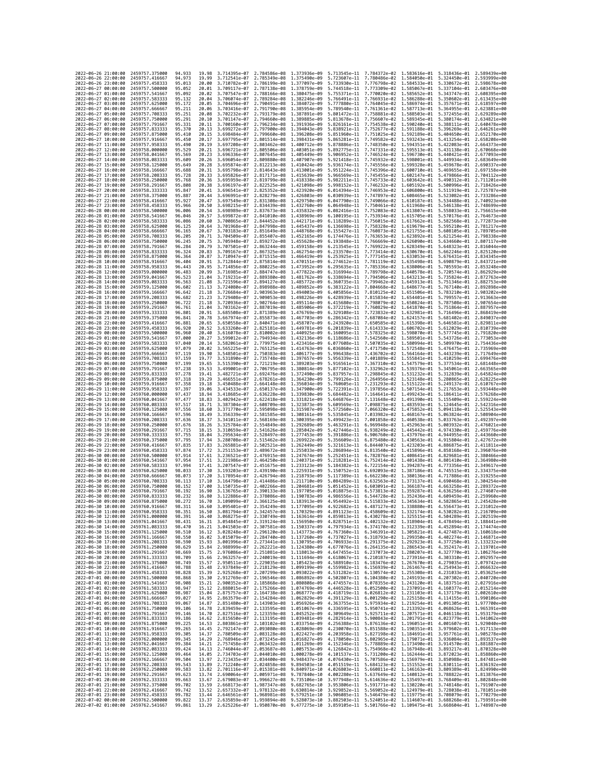| 2022-06-26 21:00:00                                               |                     | 2459757.375000                                     | 94.933                     | 19.98          | 3.714395e-07 2.784586e-08    |                                                                                                                                                                                              | 1.373936e-09                                                                                                                                                                                                                                                                                                                                                                   |                              | 5.713545e-11 7.784372e-02                                                                                                                                                                                                                                       | 1.583616e-01 | 5.318436e-01 2.589439e+00                 |                              |
|-------------------------------------------------------------------|---------------------|----------------------------------------------------|----------------------------|----------------|------------------------------|----------------------------------------------------------------------------------------------------------------------------------------------------------------------------------------------|--------------------------------------------------------------------------------------------------------------------------------------------------------------------------------------------------------------------------------------------------------------------------------------------------------------------------------------------------------------------------------|------------------------------|-----------------------------------------------------------------------------------------------------------------------------------------------------------------------------------------------------------------------------------------------------------------|--------------|-------------------------------------------|------------------------------|
| 2022-06-26 22:00:00                                               |                     | 2459757,416667                                     | 94.973                     | 19.99          | 3.712541e-07                 | 2.785349e-08                                                                                                                                                                                 | 1,375490e-09                                                                                                                                                                                                                                                                                                                                                                   |                              | 5.723607e-11 7.780486e-02 1.584050e-01                                                                                                                                                                                                                          |              | 5.324450e-01                              | 2.593999e+00                 |
| 2022-06-26 23:00:00<br>2022-06-27 00:00:00                        |                     | 2459757.458333<br>2459757,500000                   | 95.013<br>95.052           | 20.00<br>20.01 | 3.710782e-07<br>3.709117e-07 | 2.786199e-08 1.377097e-09<br>2.787138e-08 1.378759e-09                                                                                                                                       |                                                                                                                                                                                                                                                                                                                                                                                | 5.733930e-11                 | 7.776798e-02 1.584533e-01<br>5.744518e-11 7.773309e-02 1.585067e-01                                                                                                                                                                                             |              | 5.330672e-01<br>5.337104e-01              | 2.598678e+00<br>2.603476e+00 |
| 2022-06-27 01:00:00                                               |                     | 2459757.541667                                     | 95.092                     | 20.02          | 3.707547e-07                 | 2.788166e-08 1.380475e-09                                                                                                                                                                    |                                                                                                                                                                                                                                                                                                                                                                                |                              | 5.755371e-11 7.770020e-02 1.585652e-01                                                                                                                                                                                                                          |              | 5.343747e-01 2.608395e+00                 |                              |
| 2022-06-27 02:00:00                                               |                     | 2459757.583333                                     | 95.132                     | 20.04          | 3.706074e-07                 | 2.789284e-08                                                                                                                                                                                 | 1.382246e-09                                                                                                                                                                                                                                                                                                                                                                   | 5.766491e-11                 | 7.766931e-02 1.586288e-01                                                                                                                                                                                                                                       |              | 5.350602e-01                              | 2.613435e+00                 |
| 2022-06-27 03:00:00<br>2022-06-27 04:00:00                        |                     | 2459757.625000<br>2459757.666667                   | 95.172<br>95.211           | 20.05<br>20.06 | 3.704696e-07<br>3.703416e-07 | 2.790491e-08<br>2.791790e-08                                                                                                                                                                 | 1.384072e-09<br>1.385954e-09                                                                                                                                                                                                                                                                                                                                                   | 5.777880e-11<br>5.789540e-11 | 7.764045e-02 1.586974e-01<br>7.761361e-02 1.587713e-01                                                                                                                                                                                                          |              | 5.357671e-01<br>5.364955e-01              | 2.618597e+00<br>2.623881e+00 |
| 2022-06-27 05:00:00                                               |                     | 2459757.708333                                     | 95.251                     | 20.08          | 3.702232e-07                 | 2.793179e-08 1.387891e-09                                                                                                                                                                    |                                                                                                                                                                                                                                                                                                                                                                                |                              | 5.801472e-11 7.758881e-02 1.588503e-01                                                                                                                                                                                                                          |              | 5.372455e-01                              | 2.629289e+00                 |
| 2022-06-27 06:00:00                                               |                     | 2459757.750000                                     | 95.291                     | 20.10          | 3.701147e-07                 | 2.794660e-08                                                                                                                                                                                 | 1.389885e-09                                                                                                                                                                                                                                                                                                                                                                   | 5.813678e-11                 | 7.756607e-02                                                                                                                                                                                                                                                    | 1.589345e-01 | 5.380174e-01                              | 2.634821e+00                 |
| 2022-06-27 07:00:00<br>2022-06-27 08:00:00                        |                     | 2459757.791667<br>2459757.833333                   | 95,331<br>95.370           | 20.11<br>20.13 | 3.700160e-07<br>3.699272e-07 | 2.796234e-08<br>2.797900e-08                                                                                                                                                                 | 1.391936e-09<br>1.394043e-09                                                                                                                                                                                                                                                                                                                                                   | 5.826161e-11<br>5.838921e-11 | 7.754538e-02 1.590240e-01<br>7.752677e-02 1.591188e-01                                                                                                                                                                                                          |              | 5.388111e-01<br>5.396269e-01              | 2.640478e+00<br>2.646261e+00 |
| 2022-06-27 09:00:00                                               |                     | 2459757.875000                                     | 95.410                     | 20.15          | 3.698484e-07                 | 2.799660e-08                                                                                                                                                                                 | 1,396208e-09                                                                                                                                                                                                                                                                                                                                                                   | 5.851960e-11                 | 7.751025e-02                                                                                                                                                                                                                                                    | 1.592189e-01 | 5.404650e-01                              | 2.652170e+00                 |
| 2022-06-27 10:00:00                                               |                     | 2459757.916667                                     | 95.450                     | 20.17          | 3.697795e-07                 | 2.801514e-08                                                                                                                                                                                 | 1.398431e-09                                                                                                                                                                                                                                                                                                                                                                   | 5.865281e-11                 | 7.749582e-02 1.593243e-01                                                                                                                                                                                                                                       |              | 5.413254e-01                              | 2.658208e+00                 |
| 2022-06-27 11:00:00<br>2022-06-27 12:00:00                        |                     | 2459757.958333<br>2459758.000000                   | 95.490<br>95.529           | 20.19<br>20.21 | 3.697208e-07<br>3.696721e-07 | 2.803462e-08<br>2.805506e-08                                                                                                                                                                 | 1.400712e-09<br>1.403051e-09                                                                                                                                                                                                                                                                                                                                                   | 5.878886e-11<br>5.892775e-11 | 7.748350e-02 1.594351e-01<br>7.747331e-02 1.595513e-01                                                                                                                                                                                                          |              | 5.422083e-01<br>5.431138e-01              | 2.664373e+00<br>2.670668e+00 |
| 2022-06-27 13:00:00                                               |                     | 2459758.041667                                     | 95.569                     | 20.23          | 3.696336e-07                 | 2.807645e-08                                                                                                                                                                                 | 1.405449e-09                                                                                                                                                                                                                                                                                                                                                                   | 5.906952e-11                 | 7.746524e-02                                                                                                                                                                                                                                                    | 1.596730e-01 | 5.440421e-01                              | 2.677093e+00                 |
| 2022-06-27 14:00:00<br>2022-06-27 15:00:00                        |                     | 2459758.083333<br>2459758.125000                   | 95.609<br>95.649           | 20.26<br>20.28 | 3.696054e-07<br>3.695874e-07 | 2.809880e-08<br>2.812213e-08                                                                                                                                                                 | 1.407907e-09<br>1.410424e-09                                                                                                                                                                                                                                                                                                                                                   | 5.921418e-11                 | 7.745932e-02 1.598001e-01<br>5.936174e-11 7.745556e-02 1.599328e-01                                                                                                                                                                                             |              | 5.449934e-01<br>5.459678e-01              | 2.683649e+00<br>2.690337e+00 |
| 2022-06-27 16:00:00                                               |                     | 2459758.166667                                     | 95.688                     | 20.31          | 3.695798e-07                 | 2.814643e-08 1.413001e-09                                                                                                                                                                    |                                                                                                                                                                                                                                                                                                                                                                                |                              | 5.951224e-11 7.745396e-02 1.600710e-01                                                                                                                                                                                                                          |              | 5.469655e-01                              | 2.697158e+00                 |
| 2022-06-27 17:00:00                                               |                     | 2459758.208333                                     | 95.728                     | 20.33          | 3.695826e-07                 | 2.817171e-08                                                                                                                                                                                 | 1.415639e-09                                                                                                                                                                                                                                                                                                                                                                   | 5.966569e-11                 | 7.745455e-02                                                                                                                                                                                                                                                    | 1.602147e-01 | 5.479866e-01                              | 2.704112e+00                 |
| 2022-06-27 18:00:00<br>2022-06-27 19:00:00                        |                     | 2459758,250000<br>2459758.291667                   | 95.768<br>95.808           | 20.36<br>20.38 | 3.695959e-07<br>3.696197e-07 | 2.819799e-08<br>2.822525e-08 1.421098e-09                                                                                                                                                    | 1.418338e-09                                                                                                                                                                                                                                                                                                                                                                   | 5.982211e-11<br>5.998152e-11 | 7.745733e-02 1.603642e-01<br>7.746232e-02 1.605192e-01                                                                                                                                                                                                          |              | 5.490312e-01<br>5.500996e-01              | 2.711201e+00<br>2.718426e+00 |
| 2022-06-27 20:00:00                                               |                     | 2459758.333333                                     | 95.847                     | 20.41          | 3.696541e-07                 | 2.825352e-08                                                                                                                                                                                 | 1.423920e-09                                                                                                                                                                                                                                                                                                                                                                   | 6.014394e-11                 | 7.746953e-02 1.606800e-01                                                                                                                                                                                                                                       |              | 5.511919e-01                              | 2.725787e+00                 |
| 2022-06-27 21:00:00                                               |                     | 2459758.375000                                     | 95.887                     | 20.44          | 3.696991e-07                 | 2.828279e-08 1.426803e-09                                                                                                                                                                    |                                                                                                                                                                                                                                                                                                                                                                                | 6.030939e-11                 | 7.747897e-02 1.608465e-01                                                                                                                                                                                                                                       |              | 5.523082e-01                              | 2.733286e+00                 |
| 2022-06-27 22:00:00<br>2022-06-27 23:00:00                        |                     | 2459758.416667<br>2459758.458333                   | 95.927<br>95.966           | 20.47<br>20.50 | 3.697549e-07<br>3.698215e-07 | 2.831308e-08 1.429750e-09<br>2.834439e-08                                                                                                                                                    | 1.432760e-09                                                                                                                                                                                                                                                                                                                                                                   | 6.047790e-11                 | 7.749066e-02 1.610187e-01<br>6.064948e-11 7.750461e-02 1.611968e-01                                                                                                                                                                                             |              | 5.534488e-01<br>5.546138e-01              | 2.740923e+00<br>2.748699e+00 |
| 2022-06-28 00:00:00                                               |                     | 2459758.500000                                     | 96.006                     | 20.54          | 3.698989e-07                 | 2.837673e-08                                                                                                                                                                                 | 1,435832e-09                                                                                                                                                                                                                                                                                                                                                                   | 6.082416e-11                 | 7.752083e-02                                                                                                                                                                                                                                                    | 1.613807e-01 | 5.558033e-01                              | 2.756615e+00                 |
| 2022-06-28 01:00:00                                               |                     | 2459758.541667                                     | 96.046                     | 20.57          | 3.699872e-07                 | 2.841010e-08                                                                                                                                                                                 | 1.438969e-09                                                                                                                                                                                                                                                                                                                                                                   | 6.100195e-11                 | 7.753934e-02 1.615705e-01                                                                                                                                                                                                                                       |              | 5.570176e-01                              | 2.764673e+00                 |
| 2022-06-28 02:00:00<br>2022-06-28 03:00:00                        |                     | 2459758.583333<br>2459758.625000                   | 96.086<br>96.125           | 20.60<br>20.64 | 3.700865e-07<br>3.701968e-07 | 2.844452e-08<br>2.847998e-08                                                                                                                                                                 | 1.442171e-09<br>1.445437e-09                                                                                                                                                                                                                                                                                                                                                   | 6.118289e-11                 | 7.756015e-02 1.617662e-01<br>6.136698e-11 7.758328e-02 1.619679e-01                                                                                                                                                                                             |              | 5.582568e-01<br>5.595210e-01              | 2.772873e+00<br>2.781217e+00 |
| 2022-06-28 04:00:00                                               |                     | 2459758.666667                                     | 96.165                     | 20.67          | 3.703183e-07                 | 2.851649e-08                                                                                                                                                                                 | 1.448768e-09                                                                                                                                                                                                                                                                                                                                                                   | 6.155427e-11                 | 7.760873e-02                                                                                                                                                                                                                                                    | 1.621755e-01 | 5.608105e-01                              | 2.789705e+00                 |
| 2022-06-28 05:00:00                                               |                     | 2459758.708333                                     | 96.205                     | 20.71          | 3.704509e-07                 | 2.855407e-08 1.452165e-09                                                                                                                                                                    |                                                                                                                                                                                                                                                                                                                                                                                | 6.174476e-11                 | 7.763653e-02 1.623892e-01                                                                                                                                                                                                                                       |              | 5.621254e-01                              | 2.798338e+00                 |
| 2022-06-28 06:00:00<br>2022-06-28 07:00:00                        |                     | 2459758.750000<br>2459758.791667                   | 96.245<br>96.284           | 20.75<br>20.79 | 3.705948e-07<br>3.707501e-07 | 2.859272e-08 1.455628e-09<br>2.863244e-08                                                                                                                                                    | 1.459158e-09                                                                                                                                                                                                                                                                                                                                                                   | 6.213545e-11                 | 6.193848e-11 7.766669e-02 1.626090e-01<br>7.769922e-02 1.628349e-01                                                                                                                                                                                             |              | 5.634660e-01<br>5.648323e-01              | 2.807117e+00<br>2.816044e+00 |
| 2022-06-28 08:00:00                                               |                     | 2459758.833333                                     | 96.324                     | 20.83          | 3.709167e-07                 | 2.867325e-08                                                                                                                                                                                 | 1.462754e-09                                                                                                                                                                                                                                                                                                                                                                   | 6.233570e-11                 | 7.773414e-02 1.630670e-01                                                                                                                                                                                                                                       |              | 5.662246e-01                              | 2.825120e+00                 |
| 2022-06-28 09:00:00                                               |                     | 2459758.875000                                     | 96.364                     | 20.87          | 3.710947e-07                 | 2.871515e-08                                                                                                                                                                                 | 1.466419e-09                                                                                                                                                                                                                                                                                                                                                                   | 6.253925e-11                 | 7.777145e-02 1.633053e-01                                                                                                                                                                                                                                       |              | 5.676431e-01                              | 2.834345e+00                 |
| 2022-06-28 10:00:00<br>2022-06-28 11:00:00                        |                     | 2459758.916667<br>2459758.958333                   | 96.404<br>96.443           | 20.91<br>20.95 | 3.712844e-07<br>3.714856e-07 | 2.875814e-08<br>2.880225e-08                                                                                                                                                                 | 1.470151e-09<br>1.473952e-09                                                                                                                                                                                                                                                                                                                                                   | 6.274612e-11<br>6.295635e-11 | 7.781119e-02 1.635498e-01<br>7.785336e-02                                                                                                                                                                                                                       | 1.638006e-01 | 5.690879e-01<br>5.705593e-01              | 2.843721e+00<br>2.853248e+00 |
| 2022-06-28 12:00:00                                               |                     | 2459759.000000                                     | 96.483                     | 20.99          | 3.716985e-07                 | 2.884747e-08                                                                                                                                                                                 | 1.477822e-09                                                                                                                                                                                                                                                                                                                                                                   | 6.316994e-11                 | 7.789798e-02 1.640578e-01                                                                                                                                                                                                                                       |              | 5.720574e-01                              | 2.862929e+00                 |
| 2022-06-28 13:00:00                                               |                     | 2459759.041667                                     | 96.523                     | 21.04          | 3.719231e-07                 | 2.889380e-08                                                                                                                                                                                 | 1.481762e-09                                                                                                                                                                                                                                                                                                                                                                   |                              | 6.338694e-11 7.794506e-02 1.643213e-01                                                                                                                                                                                                                          |              | 5.735824e-01                              | 2.872763e+00                 |
| 2022-06-28 14:00:00<br>2022-06-28 15:00:00                        |                     | 2459759.083333<br>2459759.125000                   | 96.563<br>96.602           | 21.08<br>21.13 | 3.721596e-07<br>3.724080e-07 | 2.894127e-08<br>2.898988e-08                                                                                                                                                                 | 1.485772e-09<br>1.489852e-09                                                                                                                                                                                                                                                                                                                                                   | 6.360735e-11<br>6.383122e-11 | 7.799462e-02 1.645913e-01<br>7.804668e-02 1.648677e-01                                                                                                                                                                                                          |              | 5.751346e-01<br>5.767140e-01              | 2.882753e+00<br>2.892898e+00 |
| 2022-06-28 16:00:00                                               |                     | 2459759.166667                                     | 96.642                     | 21.18          | 3.726684e-07                 | 2.903963e-08 1.494003e-09                                                                                                                                                                    |                                                                                                                                                                                                                                                                                                                                                                                | 6.405856e-11                 | 7.810125e-02 1.651506e-01                                                                                                                                                                                                                                       |              | 5.783210e-01                              | 2.903202e+00                 |
| 2022-06-28 17:00:00<br>2022-06-28 18:00:00                        |                     | 2459759.208333<br>2459759.250000                   | 96.682<br>96.722           | 21.23<br>21.18 | 3.729408e-07<br>3.720936e-07 | 2.909053e-08<br>2.902764e-08                                                                                                                                                                 | 1.498226e-09<br>1,495114e-09                                                                                                                                                                                                                                                                                                                                                   | 6.415680e-11                 | 6.428939e-11 7.815834e-02 1.654401e-01<br>7.798079e-02                                                                                                                                                                                                          | 1.650824e-01 | 5.799557e-01<br>5.787508e-01              | 2.913663e+00<br>2.907654e+00 |
| 2022-06-28 19:00:00                                               |                     | 2459759.291667                                     | 96.761                     | 21.04          | 3.703162e-07                 | 2.887019e-08 1.485906e-09                                                                                                                                                                    |                                                                                                                                                                                                                                                                                                                                                                                | 6.372219e-11                 | 7.760829e-02 1.641870e-01                                                                                                                                                                                                                                       |              | 5.751864e-01                              | 2.887957e+00                 |
| 2022-06-28 20:00:00                                               |                     | 2459759.333333                                     | 96.801                     | 20.91          | 3.685508e-07                 | 2.871389e-08                                                                                                                                                                                 | 1.476769e-09                                                                                                                                                                                                                                                                                                                                                                   |                              | 6.329108e-11 7.723832e-02                                                                                                                                                                                                                                       | 1.632981e-01 | 5.716496e-01                              | 2.868419e+00<br>2.849037e+00 |
| 2022-06-28 21:00:00<br>2022-06-28 22:00:00                        |                     | 2459759.375000<br>2459759.416667                   | 96.841<br>96.881           | 20.78<br>20.65 | 3.667974e-07<br>3.650558e-07 | 2.855873e-08<br>2.840471e-08                                                                                                                                                                 | 1.467703e-09<br>1.458707e-09                                                                                                                                                                                                                                                                                                                                                   | 6.243920e-11                 | 6.286342e-11 7.687084e-02 1.624157e-01<br>7.650585e-02                                                                                                                                                                                                          | 1.615398e-01 | 5.681402e-01<br>5.646581e-01              | 2.829811e+00                 |
| 2022-06-28 23:00:00                                               |                     | 2459759.458333                                     | 96.920                     | 20.52          | 3.633260e-07                 | 2.825181e-08                                                                                                                                                                                 | 1.449781e-09                                                                                                                                                                                                                                                                                                                                                                   | 6.201839e-11                 | 7.614333e-02 1.606702e-01                                                                                                                                                                                                                                       |              | 5.612029e-01                              | 2.810739e+00                 |
| 2022-06-29 00:00:00<br>2022-06-29 01:00:00                        |                     | 2459759.500000<br>2459759.541667                   | 96.960<br>97.000           | 20.40<br>20.27 | 3.616078e-07<br>3.599012e-07 | 2.810002e-08<br>2.794934e-08                                                                                                                                                                 | 1,440925e-09<br>1.432136e-09                                                                                                                                                                                                                                                                                                                                                   | 6.160095e-11<br>6.118686e-11 | 7.578325e-02 1.598070e-01<br>7.542560e-02 1.589501e-01                                                                                                                                                                                                          |              | 5.577745e-01<br>5.543726e-01              | 2.791820e+00<br>2.773053e+00 |
| 2022-06-29 02:00:00                                               |                     | 2459759.583333                                     | 97.040                     | 20.14          | 3.582061e-07                 | 2.779975e-08 1.423416e-09                                                                                                                                                                    |                                                                                                                                                                                                                                                                                                                                                                                | 6.077608e-11                 | 7.507035e-02 1.580994e-01                                                                                                                                                                                                                                       |              | 5.509970e-01                              | 2.754436e+00                 |
| 2022-06-29 03:00:00                                               |                     | 2459759.625000                                     | 97.079                     | 20.02          | 3.565225e-07                 | 2.765125e-08 1.414763e-09                                                                                                                                                                    |                                                                                                                                                                                                                                                                                                                                                                                | 6.036860e-11                 | 7.471750e-02 1.572548e-01                                                                                                                                                                                                                                       |              | 5.476475e-01                              | 2.735969e+00                 |
| 2022-06-29 04:00:00<br>2022-06-29 05:00:00                        |                     | 2459759.666667<br>2459759.708333                   | 97.119<br>97.159           | 19.90<br>19.77 | 3.548501e-07<br>3.531890e-07 | 2.750383e-08<br>2.735748e-08                                                                                                                                                                 | 1.406177e-09<br>1.397657e-09                                                                                                                                                                                                                                                                                                                                                   | 5.956339e-11                 | 5.996438e-11 7.436702e-02 1.564164e-01<br>7.401889e-02                                                                                                                                                                                                          | 1.555841e-01 | 5.443239e-01<br>5.410259e-01              | 2.717649e+00<br>2.699476e+00 |
| 2022-06-29 06:00:00                                               |                     | 2459759.750000                                     | 97.199                     | 19.65          | 3.515390e-07                 | 2.721219e-08                                                                                                                                                                                 | 1.389203e-09                                                                                                                                                                                                                                                                                                                                                                   | 5.916561e-11                 | 7.367310e-02 1.547579e-01                                                                                                                                                                                                                                       |              | 5.377534e-01                              | 2.681448e+00                 |
| 2022-06-29 07:00:00<br>2022-06-29 08:00:00                        |                     | 2459759.791667<br>2459759.833333                   | 97.238<br>97,278           | 19.53<br>19.41 | 3.499001e-07<br>3.482721e-07 | 2.706795e-08<br>2.692476e-08 1.372490e-09                                                                                                                                                    | 1.380814e-09                                                                                                                                                                                                                                                                                                                                                                   | 5.877102e-11                 | 7.332962e-02 1.539376e-01<br>5.837957e-11 7.298845e-02 1.531232e-01                                                                                                                                                                                             |              | 5.345061e-01<br>5.312839e-01              | 2.663565e+00<br>2.645824e+00 |
| 2022-06-29 09:00:00                                               |                     | 2459759.875000                                     | 97.318                     | 19.29          | 3.466551e-07                 | 2.678261e-08                                                                                                                                                                                 | 1.364230e-09                                                                                                                                                                                                                                                                                                                                                                   | 5.799126e-11                 | 7.264956e-02                                                                                                                                                                                                                                                    | 1.523148e-01 | 5.280865e-01                              | 2.628225e+00                 |
| 2022-06-29 10:00:00                                               |                     | 2459759.916667                                     | 97.358                     | 19.18          | 3.450488e-07                 | 2.664148e-08 1.356034e-09                                                                                                                                                                    |                                                                                                                                                                                                                                                                                                                                                                                | 5.760605e-11                 | 7.231293e-02 1.515122e-01                                                                                                                                                                                                                                       |              | 5.249137e-01                              | 2.610767e+00                 |
| 2022-06-29 11:00:00<br>2022-06-29 12:00:00                        |                     | 2459759.958333<br>2459760.000000                   | 97.397<br>97.437           | 19.06<br>18.94 | 3.434533e-07<br>3.418685e-07 | 2.650137e-08<br>2.636228e-08                                                                                                                                                                 | 1.347900e-09<br>1.339830e-09                                                                                                                                                                                                                                                                                                                                                   | 5.722391e-11<br>5.684482e-11 | 7.197856e-02 1.507154e-01<br>7.164641e-02 1.499243e-01                                                                                                                                                                                                          |              | 5.217653e-01<br>5.186411e-01              | 2.593448e+00<br>2.576268e+00 |
| 2022-06-29 13:00:00                                               |                     | 2459760.041667                                     | 97.477                     | 18.83          | 3.402942e-07                 | 2.622418e-08 1.331821e-09                                                                                                                                                                    |                                                                                                                                                                                                                                                                                                                                                                                | 5.646876e-11                 | 7.131648e-02 1.491390e-01                                                                                                                                                                                                                                       |              | 5.155409e-01                              | 2.559224e+00                 |
| 2022-06-29 14:00:00<br>2022-06-29 15:00:00                        |                     | 2459760.083333<br>2459760.125000                   | 97.517<br>97.556           | 18.71<br>18.60 | 3.387304e-07<br>3.371770e-07 | 2.608709e-08 1.323873e-09<br>2.595098e-08 1.315987e-09                                                                                                                                       |                                                                                                                                                                                                                                                                                                                                                                                | 5.609569e-11                 | 7.098875e-02 1.483593e-01<br>5.572560e-11 7.066320e-02 1.475852e-01                                                                                                                                                                                             |              | 5.124645e-01<br>5.094118e-01              | 2.542316e+00<br>2.525543e+00 |
| 2022-06-29 16:00:00                                               |                     | 2459760.166667                                     | 97.596                     | 18.49          | 3.356339e-07                 | 2.581585e-08                                                                                                                                                                                 | 1.308161e-09                                                                                                                                                                                                                                                                                                                                                                   | 5.535845e-11                 | 7.033982e-02                                                                                                                                                                                                                                                    | 1.468167e-01 | 5.063824e-01                              | 2.508904e+00                 |
| 2022-06-29 17:00:00                                               |                     | 2459760.208333                                     | 97.636                     | 18.37          | 3.341011e-07                 | 2.568169e-08 1.300395e-09                                                                                                                                                                    |                                                                                                                                                                                                                                                                                                                                                                                | 5.499423e-11                 | 7.001858e-02 1.460538e-01                                                                                                                                                                                                                                       |              | 5.033763e-01                              | 2.492397e+00                 |
| 2022-06-29 18:00:00<br>2022-06-29 19:00:00                        |                     | 2459760.250000<br>2459760.291667                   | 97.676<br>97.715           | 18.26<br>18.15 | 3.325784e-07<br>3.310659e-07 | 2.554849e-08 1.292689e-09<br>2.541626e-08 1.285042e-09                                                                                                                                       |                                                                                                                                                                                                                                                                                                                                                                                |                              | 5.463291e-11 6.969948e-02 1.452963e-01<br>5.427446e-11 6.938249e-02 1.445442e-01                                                                                                                                                                                |              | 5.003932e-01<br>4.974330e-01 2.459776e+00 | 2.476021e+00                 |
| 2022-06-29 20:00:00                                               |                     | 2459760.333333                                     | 97.755                     | 18.04          | 3.295634e-07                 | 2.528497e-08                                                                                                                                                                                 | 1.277453e-09                                                                                                                                                                                                                                                                                                                                                                   | 5.391886e-11                 | 6.906760e-02                                                                                                                                                                                                                                                    | 1.437976e-01 | 4.944955e-01                              | 2.443660e+00                 |
| 2022-06-29 21:00:00                                               |                     | 2459760.375000                                     | 97.795                     | 17.94          | 3.280708e-07                 | 2.515462e-08                                                                                                                                                                                 | 1.269922e-09                                                                                                                                                                                                                                                                                                                                                                   | 5.356609e-11                 | 6.875480e-02 1.430563e-01                                                                                                                                                                                                                                       |              | 4.915804e-01                              | 2.427672e+00                 |
| 2022-06-29 22:00:00<br>2022-06-29 23:00:00                        |                     | 2459760.416667<br>2459760.458333                   | 97.835<br>97.874           | 17.83<br>17.72 | 3.265881e-07<br>3.251153e-07 | 2.502521e-08 1.262449e-09<br>2.489672e-08 1.255033e-09                                                                                                                                       |                                                                                                                                                                                                                                                                                                                                                                                |                              | 5.321613e-11 6.844407e-02 1.423203e-01<br>5.286894e-11 6.813540e-02 1.415896e-01                                                                                                                                                                                |              | 4.886875e-01<br>4.858168e-01              | 2.411811e+00<br>2.396076e+00 |
| 2022-06-30 00:00:00                                               |                     | 2459760.500000                                     | 97.914                     | 17.61          | 3.236521e-07                 | 2.476915e-08 1.247674e-09                                                                                                                                                                    |                                                                                                                                                                                                                                                                                                                                                                                | 5.252451e-11                 | 6.782876e-02 1.408641e-01                                                                                                                                                                                                                                       |              | 4.829681e-01                              | 2.380466e+00                 |
| 2022-06-30 01:00:00<br>2022-06-30 02:00:00                        |                     | 2459760.541667<br>2459760.583333                   | 97.954<br>97.994           | 17.51<br>17.41 | 3.221986e-07<br>3.207547e-07 | 2.464250e-08 1.240371e-09<br>2.451675e-08                                                                                                                                                    | 1.233123e-09                                                                                                                                                                                                                                                                                                                                                                   | 5.218281e-11                 | 6.752414e-02 1.401438e-01<br>5.184382e-11 6.722154e-02 1.394287e-01                                                                                                                                                                                             |              | 4.801410e-01<br>4.773356e-01              | 2.364980e+00<br>2.349617e+00 |
| 2022-06-30 03:00:00                                               |                     | 2459760.625000                                     | 98.033                     | 17.30          | 3.193203e-07                 | 2.439190e-08                                                                                                                                                                                 | 1.225931e-09                                                                                                                                                                                                                                                                                                                                                                   | 5.150752e-11                 | 6.692093e-02                                                                                                                                                                                                                                                    | 1.387186e-01 | 4.745515e-01                              | 2.334375e+00                 |
| 2022-06-30 04:00:00                                               |                     | 2459760.666667                                     | 98.073                     | 17.20          | 3.178954e-07                 | 2.426794e-08                                                                                                                                                                                 |                                                                                                                                                                                                                                                                                                                                                                                |                              |                                                                                                                                                                                                                                                                 |              |                                           | 2.319255e+00                 |
| 2022-06-30 05:00:00<br>2022-06-30 06:00:00                        |                     | 2459760.708333<br>2459760.750000                   | 98.113<br>98,152           | 17.10          | 3.164798e-07                 |                                                                                                                                                                                              | 1.218793e-09                                                                                                                                                                                                                                                                                                                                                                   |                              | 5.117389e-11 6.662230e-02 1.380136e-01                                                                                                                                                                                                                          |              | 4.717886e-01                              | 2.304254e+00                 |
| 2022-06-30 07:00:00                                               |                     | 2459760.791667                                     |                            |                |                              | 2.414486e-08                                                                                                                                                                                 | 1.211710e-09                                                                                                                                                                                                                                                                                                                                                                   |                              | 5.084289e-11 6.632563e-02 1.373137e-01                                                                                                                                                                                                                          |              | 4.690468e-01                              |                              |
| 2022-06-30 08:00:00                                               |                     |                                                    | 98.192                     | 17.00<br>16.90 | 3.150735e-07<br>3.136765e-07 | 2.402266e-08<br>2.390133e-08                                                                                                                                                                 | 1.204681e-09<br>1.197705e-09                                                                                                                                                                                                                                                                                                                                                   | 5.018875e-11                 | 5.051452e-11 6.603091e-02 1.366187e-01<br>6.573813e-02                                                                                                                                                                                                          | 1.359287e-01 | 4.663258e-01<br>4.636256e-01              | 2.289372e+00<br>2.274607e+00 |
| 2022-06-30 10:00:00                                               |                     | 2459760.833333                                     | 98.232                     | 16.80          | 3.122886e-07                 | 2.378086e-08 1.190783e-09                                                                                                                                                                    |                                                                                                                                                                                                                                                                                                                                                                                |                              | 4.986556e-11 6.544728e-02 1.352436e-01                                                                                                                                                                                                                          |              | 4.609459e-01                              | 2.259960e+00                 |
|                                                                   | 2022-06-30 09:00:00 | 2459760.875000<br>2459760,916667                   | 98.272<br>98.311           | 16.70<br>16.60 |                              | 3.109099e-07 2.366125e-08 1.183913e-09                                                                                                                                                       | 3.095401e-07 2.354249e-08 1.177095e-09 4.922682e-11 6.487127e-02 1.338880e-01 4.556473e-01 2.231012e+00                                                                                                                                                                                                                                                                        |                              | 4.954492e-11  6.515833e-02  1.345634e-01  4.582865e-01  2.245428e+00                                                                                                                                                                                            |              |                                           |                              |
| 2022-06-30                                                        | 11:00:00            | 2459760.958333                                     | 98.351                     | 16.50          | .081794e-07                  | 2.342457e-08                                                                                                                                                                                 | 1.170329e-09                                                                                                                                                                                                                                                                                                                                                                   | 4.891123e-11                 | 6.458609e-02                                                                                                                                                                                                                                                    | 1.332174e-01 | 4.530282e-01                              |                              |
| 2022-06-30 12:00:00                                               |                     | 2459761.000000                                     | 98.391<br>98.431           | 16.40<br>16.31 |                              |                                                                                                                                                                                              | 3.068275e-07 2.330749e-08 1.163614e-09 4.859813e-11 6.430278e-02 1.325515e-01 4.504289e-01 2.202519e+00                                                                                                                                                                                                                                                                        |                              |                                                                                                                                                                                                                                                                 |              |                                           |                              |
| 2022-06-30 13:00:00<br>2022-06-30 14:00:00                        |                     | 2459761.041667<br>2459761.083333                   | 98.470                     | 16.21          |                              |                                                                                                                                                                                              | 3.054845e-07 2.319124e-08 1.156950e-09 4.828751e-11 6.402132e-02 1.318904e-01 4.478494e-01 2.188441e+00                                                                                                                                                                                                                                                                        |                              |                                                                                                                                                                                                                                                                 |              |                                           |                              |
| 2022-06-30 15:00:00                                               |                     | 2459761.125000                                     | 98.510                     | 16.12          |                              |                                                                                                                                                                                              | $\frac{3.041503e-07}{3.028248e-07} \quad \frac{2.307581e-08}{2.296120e-08} \quad \frac{4.150337e-09}{4.797934e-11} \quad \frac{6.374170e-02}{6.346391e-02} \quad \frac{1.312339e-01}{1.305821e-01} \quad \frac{4.452894e-01}{4.427487e-01} \quad \frac{2.174474e+00}{2.160618e+00}$                                                                                            |                              |                                                                                                                                                                                                                                                                 |              |                                           |                              |
| 2022-06-30 16:00:00<br>2022-06-30 17:00:00                        |                     | 2459761.166667<br>2459761.208333                   | 98.550<br>98.590           | 16.02<br>15.93 |                              |                                                                                                                                                                                              | 3.015079e-07 2.284740e-08 1.137260e-09                                                                                                                                                                                                                                                                                                                                         |                              | 4.737027e-11  6.318793e-02  1.299350e-01  4.402274e-01  2.146871e+00                                                                                                                                                                                            |              | 4.377250e-01 2.133232e+00                 |                              |
| 2022-06-30 18:00:00                                               |                     | 2459761.250000                                     | 98.629                     | 15.84          |                              | 3.001996e-07 2.273441e-08 1.130795e-09<br>2.988999e-07 2.262221e-08 1.130795e-09                                                                                                             |                                                                                                                                                                                                                                                                                                                                                                                |                              | 4.706933e-11 6.291375e-02 1.292923e-01<br>4.677076e-11 6.264135e-02 1.292923e-01                                                                                                                                                                                |              | 4.352417e-01                              | 2.119701e+00                 |
| 2022-06-30 19:00:00<br>2022-06-30 20:00:00                        |                     | 2459761.291667<br>2459761.333333                   | 98.669<br>98.709           | 15.75          |                              | 2.976086e-07 2.251081e-08 1.118013e-09                                                                                                                                                       |                                                                                                                                                                                                                                                                                                                                                                                |                              | 4.647455e-11 6.237073e-02 1.280207e-01 4.327770e-01 2.106276e+00                                                                                                                                                                                                |              |                                           |                              |
| 2022-06-30 21:00:00                                               |                     | 2459761.375000                                     | 98.749                     | 15.57          |                              | 15.66 2.963257e-07 2.240019e-08 1.111694e-09                                                                                                                                                 |                                                                                                                                                                                                                                                                                                                                                                                |                              | 4.618067e-11  6.210187e-02  1.273916e-01  4.303310e-01  2.092957e+00                                                                                                                                                                                            |              |                                           |                              |
| 2022-06-30 22:00:00                                               |                     | 2459761.416667                                     | 98.788                     | 15.48          |                              | 2.950511e-07 2.229035e-08 1.105423e-09<br>2.937849e-07 2.218129e-08 1.099199e-09                                                                                                             |                                                                                                                                                                                                                                                                                                                                                                                |                              |                                                                                                                                                                                                                                                                 |              |                                           |                              |
| 2022-06-30 23:00:00<br>2022-07-01 00:00:00                        |                     | 2459761.458333<br>2459761.500000                   | 98.828<br>98.868           |                |                              | 15.39 2.925268e-07 2.207299e-08 1.093022e-09                                                                                                                                                 |                                                                                                                                                                                                                                                                                                                                                                                |                              | $\begin{array}{cccc} 4.588910e-11 & 6.183476e-02 & 1.267670e-01 & 4.279935e-01 & 2.079742e+00\\ 4.589910e-11 & 6.156339e-02 & 1.26167e-01 & 4.259935e-01 & 2.0769742e+00\\ 4.531982e-11 & 6.150539e-02 & 1.251457e-01 & 4.254943e-01 & 2.066632e+00\\ 4.$       |              |                                           |                              |
| 2022-07-01 01:00:00                                               |                     | 2459761.541667                                     | 98.908                     |                |                              | 15.30 2.912769e-07 2.196546e-08 1.086892e-09<br>15.21 2.900352e-07 2.185868e-08 1.080808e-09                                                                                                 |                                                                                                                                                                                                                                                                                                                                                                                |                              |                                                                                                                                                                                                                                                                 |              |                                           |                              |
| 2022-07-01 02:00:00<br>2022-07-01 03:00:00                        |                     | 2459761.583333<br>2459761.625000                   | 98.947<br>98.987           |                |                              | 15.12 2.888015e-07 2.175266e-08 1.074769e-09<br>15.04 2.875757e-07 2.164738e-08 1.068777e-09                                                                                                 |                                                                                                                                                                                                                                                                                                                                                                                |                              | 4.52287e-11 6.104386e-02 1.243193e-01 4.207302e-01 2.029726e+00<br>4.474557e-11 6.078355e-02 1.243193e-01 4.18375ie-01 2.027916e+00<br>4.446528e-11 6.078359e-02 1.237091e-01 4.160377e-01 2.015214e+00                                                         |              |                                           |                              |
| 2022-07-01 04:00:00                                               |                     | 2459761.666667                                     | 99.027                     |                |                              |                                                                                                                                                                                              |                                                                                                                                                                                                                                                                                                                                                                                |                              |                                                                                                                                                                                                                                                                 |              |                                           |                              |
| 2022-07-01 05:00:00<br>2022-07-01 06:00:00                        |                     | 2459761.708333<br>2459761.750000                   | 99.067<br>99.106           |                |                              |                                                                                                                                                                                              | 14.95  2.863579e-07  2.154284e-08  1.062829e-09<br>14.87  2.851480e-07  2.143903e-08  1.056926e-09                                                                                                                                                                                                                                                                             |                              | $\begin{array}{cccc} 4.418719e-11 & 6.026812e-02 & 1.231103e-01 & 4.137179e-01 & 2.002610e+00 \\ 4.391129e-11 & 6.001290e-02 & 1.225156e-01 & 4.114155e-01 & 1.990106e+00 \\ 4.363755e-11 & 5.975934e-02 & 1.219254e-01 & 4.091305e-01 & 1.977700e+00 \\ \end{$ |              |                                           |                              |
| 2022-07-01 07:00:00                                               |                     | 2459761.791667                                     | 99.146                     |                |                              |                                                                                                                                                                                              | 14.78 2.839459e-07 2.133595e-08 1.051067e-09<br>14.70 2.827516e-07 2.123359e-08 1.045252e-09                                                                                                                                                                                                                                                                                   |                              | 4.336595e-11 5.950741e-02 1.213392e-01 4.068626e-01 1.965391e+00<br>4.309649e-11  5.925711e-02  1.207571e-01  4.046118e-01  1.953179e+00                                                                                                                        |              |                                           |                              |
| 2022-07-01 08:00:00                                               |                     | 2459761.833333                                     | 99.186                     |                |                              |                                                                                                                                                                                              |                                                                                                                                                                                                                                                                                                                                                                                |                              |                                                                                                                                                                                                                                                                 |              |                                           |                              |
| 2022-07-01 09:00:00<br>2022-07-01 10:00:00                        |                     | 2459761.875000<br>2459761.916667                   | 99.225<br>99.265           |                |                              | 14.62 2.815650e-07 2.113195e-08 1.039481e-09<br>14.62 2.815650e-07 2.113195e-08 1.039481e-09<br>14.53 2.803861e-07 2.103102e-08 1.033754e-09<br>14.45 2.792147e-07 2.093080e-08 1.028069e-09 |                                                                                                                                                                                                                                                                                                                                                                                |                              | $\begin{array}{cccc} 4.282914e-11 & 5.900843e-02 & 1.201791e-01 & 4.023779e-01 & 1.941062e+00 \\ 4.256388e-11 & 5.876136e-02 & 1.196051e-01 & 4.001607e-01 & 1.929040e+00 \end{array}$<br>4.230070e-11 5.851588e-02 1.190351e-01 3.979602e-01 1.917113e+00      |              |                                           |                              |
| 2022-07-01 11:00:00                                               |                     | 2459761.958333                                     | 99.305                     |                |                              |                                                                                                                                                                                              |                                                                                                                                                                                                                                                                                                                                                                                |                              |                                                                                                                                                                                                                                                                 |              |                                           |                              |
| 2022-07-01 12:00:00<br>2022-07-01 13:00:00                        |                     | 2459762.000000<br>2459762.041667                   | 99.345<br>99.384           |                |                              | 14.37 2.780509e-07 2.083128e-08 1.022427e-09<br>14.29 2.780509e-07 2.083128e-08 1.022427e-09<br>14.29 2.768946e-07 2.073245e-08 1.016827e-09<br>14.21 2.757458e-07 2.063432e-08 1.011269e-09 |                                                                                                                                                                                                                                                                                                                                                                                |                              | 4.203958e-11 5.827198e-02 1.184691e-01 3.957761e-01 1.905278e+00<br>4.178050e-11 5.802965e-02 1.179071e-01 3.957761e-01 1.893537e+00                                                                                                                            |              |                                           |                              |
| 2022-07-01 14:00:00                                               |                     | 2459762.083333                                     | 99.424                     |                |                              |                                                                                                                                                                                              | 14.13 2.746044e-07 2.053687e-08 1.005753e-09                                                                                                                                                                                                                                                                                                                                   |                              | 4.152346e-11 5.778889e-02 1.173490e-01 3.914570e-01 1.881887e+00<br>4.126842e-11 5.778889e-02 1.173490e-01 3.914570e-01 1.881887e+00                                                                                                                            |              |                                           |                              |
| 2022-07-01 15:00:00                                               |                     | 2459762.125000                                     | 99.464                     |                |                              |                                                                                                                                                                                              |                                                                                                                                                                                                                                                                                                                                                                                |                              |                                                                                                                                                                                                                                                                 |              |                                           |                              |
| 2022-07-01 16:00:00<br>2022-07-01 17:00:00                        |                     | 2459762.166667<br>2459762.208333                   | 99.504<br>99.543           |                |                              |                                                                                                                                                                                              | $\begin{array}{cccccccc} 14.05 & 2.734703e-07 & 2.044010e-08 & 1.000278e-09 & 4.101537e-11 & 5.731200e-02 & 1.162444e-01 & 3.872023e-01 & 1.85860e+00 & 1.31200e-08 & 1.31200e-08 & 1.31200e-08 & 1.31200e-08 & 1.3200e-08 & 1.3200e-08 & 1.3200e-08 & 1.320$<br>13.89 2.712240e-07 2.024858e-08 9.894503e-10 4.051519e-11 5.684123e-02 1.151552e-01 3.830111e-01 1.836192e+00 |                              |                                                                                                                                                                                                                                                                 |              |                                           |                              |
| 2022-07-01 18:00:00                                               |                     | 2459762.250000                                     | 99.583                     |                |                              |                                                                                                                                                                                              |                                                                                                                                                                                                                                                                                                                                                                                |                              |                                                                                                                                                                                                                                                                 |              |                                           |                              |
| 2022-07-01 19:00:00<br>2022-07-01 20:00:00                        |                     | 2459762.291667<br>2459762.333333                   | 99.623<br>99.663           |                |                              |                                                                                                                                                                                              |                                                                                                                                                                                                                                                                                                                                                                                |                              |                                                                                                                                                                                                                                                                 |              |                                           |                              |
| 2022-07-01 21:00:00                                               |                     | 2459762.375000                                     | 99.702                     |                |                              |                                                                                                                                                                                              | 13.82 2.701116e-07 2.015381e-08 9.840971e-10 4.026803e-11 5.660811e-02 1.146163e-01 3.809389e-01 1.824990e-00<br>13.74 2.690064e-07 2.0059971e-08 9.787840e-10 4.002280e-11 5.650641e-02 1.146163e-01 3.809389e-01 1.814990e-00<br>1<br>13.59 2.668173e-07 1.987347e-08 9.682765e-10 3.953806e-11 5.591771e-02 1.130220e-01 3.748148e-01 1.791907e+00                          |                              |                                                                                                                                                                                                                                                                 |              |                                           |                              |
| 2022-07-01 22:00:00                                               |                     | 2459762.416667                                     | 99.742                     |                |                              |                                                                                                                                                                                              |                                                                                                                                                                                                                                                                                                                                                                                |                              |                                                                                                                                                                                                                                                                 |              |                                           |                              |
| 2022-07-01 23:00:00<br>2022-07-02 00:00:00<br>2022-07-02 01:00:00 |                     | 2459762.458333<br>2459762.500000<br>2459762.541667 | 99.782<br>99.822<br>99.861 |                |                              |                                                                                                                                                                                              | 11.52 1.657332e-07 1.978132e-08 9.630814e-10 3.929852e-11 5.569052e-02 1.124979e-01 3.722038e-01 1.781051e+00<br>13.44 2.646561e-07 1.968981e-08 9.579251e-10 3.929853e-11 5.569052e-02 1.119775e-01 3.722038e-01 1.781051e+00<br>13<br>13.29 2.625226e-07 1.950870e-08 9.477275e-10 3.859105e-11 5.501766e-02 1.109475e-01 3.668604e-01 1.748987e+00                          |                              |                                                                                                                                                                                                                                                                 |              |                                           |                              |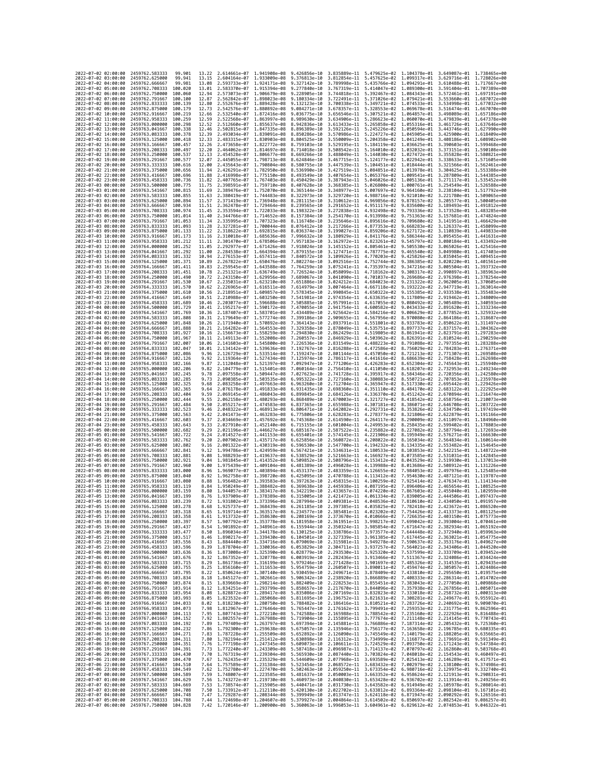| 2022-07-02 02:00:00                                                                      | 2459762.583333                                   | 99.901              | 13.22          | 2.614661e-07 1.941908e-08                 |                              | 9.426856e-10                                                                                                                                                                                                                                                  |                              | 3.835889e-11 5.479625e-02 1.104378e-01 3.649087e-01 1.738465e+00 |                                                        |                                                     |                                                        |
|------------------------------------------------------------------------------------------|--------------------------------------------------|---------------------|----------------|-------------------------------------------|------------------------------|---------------------------------------------------------------------------------------------------------------------------------------------------------------------------------------------------------------------------------------------------------------|------------------------------|------------------------------------------------------------------|--------------------------------------------------------|-----------------------------------------------------|--------------------------------------------------------|
| 2022-07-02 03:00:00                                                                      | 2459762.625000                                   | 99.941              | 13.15          | 2.604164e-07 1.933009e-08                 |                              | 9.376813e-10                                                                                                                                                                                                                                                  | 3.812854e-11                 |                                                                  |                                                        | 5.457625e-02 1.099317e-01 3.629716e-01 1.728026e+00 |                                                        |
| 2022-07-02 04:00:00                                                                      | 2459762.666667                                   | 99.981              | 13.08          | 2.593733e-07                              | 1.924171e-08                 | 9.327142e-10                                                                                                                                                                                                                                                  | 3.789998e-11                 | 5.435766e-02                                                     | 1.094291e-01                                           | 3.610488e-01                                        | 1.717667e+00                                           |
| 2022-07-02 05:00:00                                                                      | 2459762.708333                                   | 100,020             | 13.01          | 2.583370e-07                              | 1.915394e-08                 | 9.277840e-10                                                                                                                                                                                                                                                  | 3.767319e-11                 |                                                                  |                                                        | 5.414047e-02 1.089300e-01 3.591404e-01 1.707389e+00 |                                                        |
| 2022-07-02 06:00:00<br>2022-07-02 07:00:00                                               | 2459762.750000<br>2459762,791667                 | 100,060<br>100,100  | 12.94<br>12.87 | 2.573073e-07<br>2.562842e-07              | 1.906679e-08<br>1.898023e-08 | 9.228905e-10<br>9.180334e-10                                                                                                                                                                                                                                  | 3.744818e-11<br>3.722491e-11 |                                                                  | 5.392467e-02 1.084343e-01<br>5.371026e-02 1.079421e-01 |                                                     | 3.572461e-01 1.697191e+00<br>3.553660e-01 1.687072e+00 |
| 2022-07-02 08:00:00                                                                      | 2459762.833333                                   | 100,139             | 12.80          | 2.552676e-07                              | 1.889428e-08                 | 9.132123e-10                                                                                                                                                                                                                                                  | 3.700338e-11                 | 5.349721e-02                                                     | 1.074533e-01                                           | 3.534998e-01                                        | 1.677032e+00                                           |
| 2022-07-02 09:00:00                                                                      | 2459762.875000                                   | 100.179             | 12.73          | 2.542576e-07                              | 1.880892e-08                 | 9.084271e-10                                                                                                                                                                                                                                                  | 3.678357e-11                 |                                                                  | 5.328553e-02 1.069678e-01                              | 3.516474e-01                                        | 1.667070e+00                                           |
| 2022-07-02 10:00:00                                                                      | 2459762.916667                                   | 100.219             | 12.66          | 2.532540e-07                              | 1.872416e-08                 | 9.036775e-10                                                                                                                                                                                                                                                  | 3.656546e-11                 |                                                                  | 5.307521e-02 1.064857e-01                              |                                                     | 3.498089e-01 1.657186e+00                              |
| 2022-07-02 11:00:00<br>2022-07-02 12:00:00                                               | 2459762.958333                                   | 100.259<br>100.298  | 12.59          | 2.522568e-07                              | 1.863997e-08                 | 8.989630e-10                                                                                                                                                                                                                                                  | 3.634906e-11                 |                                                                  | 5.286623e-02 1.060070e-01<br>5.265858e-02 1.055316e-01 | 3.479839e-01<br>3.461726e-01                        | 1.647378e+00<br>1.637646e+00                           |
| 2022-07-02 13:00:00                                                                      | 2459763.000000<br>2459763.041667                 | 100.338             | 12.52<br>12.46 | 2.512660e-07<br>2.502815e-07              | 1.855637e-08<br>1.847335e-08 | 8.942836e-10<br>8.896389e-10                                                                                                                                                                                                                                  | 3.613433e-11<br>3.592126e-11 |                                                                  | 5.245226e-02 1.050594e-01                              | 3.443746e-01                                        | 1.627990e+00                                           |
| 2022-07-02 14:00:00                                                                      | 2459763.083333                                   | 100.378             | 12.39          | 2.493034e-07                              | 1.839091e-08                 | 8.850286e-10                                                                                                                                                                                                                                                  | 3.570986e-11                 |                                                                  | 5.224727e-02 1.045905e-01                              | 3.425900e-01                                        | 1.618409e+00                                           |
| 2022-07-02 15:00:00                                                                      | 2459763,125000                                   | 100.418             | 12.33          | 2.483315e-07                              | 1.830903e-08                 | 8.804525e-10                                                                                                                                                                                                                                                  | 3.550009e-11                 | 5.204358e-02                                                     | 1.041249e-01                                           | 3.408186e-01                                        | 1.608902e+00                                           |
| 2022-07-02 16:00:00                                                                      | 2459763.166667                                   | 100.457             | 12.26          | 2.473658e-07                              | 1.822772e-08                 | 8.759103e-10                                                                                                                                                                                                                                                  | 3.529195e-11                 |                                                                  | 5.184119e-02 1.036625e-01                              | 3.390603e-01                                        | 1.599468e+00                                           |
| 2022-07-02 17:00:00<br>2022-07-02 18:00:00                                               | 2459763.208333<br>2459763.250000                 | 100.497<br>100.537  | 12.20<br>12.13 | 2.464062e-07<br>2.454528e-07              | 1.814697e-08<br>1.806677e-08 | 8.714018e-10<br>8.669266e-10                                                                                                                                                                                                                                  | 3.508542e-11<br>3.488049e-11 |                                                                  | 5.164010e-02 1.032032e-01<br>5.144030e-02 1.027472e-01 | 3.373151e-01<br>3.355828e-01                        | 1.590108e+00<br>1.580821e+00                           |
| 2022-07-02 19:00:00                                                                      | 2459763.291667                                   | 100.577             | 12.07          | 2.445055e-07                              | 1.798713e-08                 | 8.624846e-10                                                                                                                                                                                                                                                  | 3.467715e-11                 |                                                                  | 5.124177e-02 1.022942e-01                              | 3.338633e-01                                        | 1.571605e+00                                           |
| 2022-07-02 20:00:00                                                                      | 2459763.333333                                   | 100.616             | 12.00          | 2.435643e-07 1.790804e-08                 |                              | 8.580755e-10                                                                                                                                                                                                                                                  | 3.447539e-11                 |                                                                  | 5.104451e-02 1.018444e-01                              |                                                     | 3.321566e-01 1.562461e+00                              |
| 2022-07-02 21:00:00                                                                      | 2459763.375000                                   | 100.656             | 11.94          | 2.426291e-07 1.782950e-08                 |                              | 8.536990e-10                                                                                                                                                                                                                                                  | 3.427519e-11                 |                                                                  |                                                        | 5.084851e-02 1.013978e-01 3.304625e-01 1.553388e+00 |                                                        |
| 2022-07-02 22:00:00                                                                      | 2459763.416667                                   | 100.696             | 11.88          | 2.416998e-07                              | 1.775150e-08                 | 8.493549e-10                                                                                                                                                                                                                                                  | 3.407654e-11                 |                                                                  | 5.065376e-02 1.009541e-01                              | 3.287809e-01                                        | 1.544385e+00                                           |
| 2022-07-02 23:00:00<br>2022-07-03 00:00:00                                               | 2459763.458333<br>2459763.500000                 | 100.736<br>100.775  | 11.82<br>11.75 | 2.407765e-07<br>2.398591e-07 1.759710e-08 | 1.767403e-08                 | 8.450429e-10<br>8.407628e-10                                                                                                                                                                                                                                  | 3.387943e-11<br>3.368385e-11 | 5.046026e-02<br>5.026800e-02                                     | 1.005136e-01<br>1.000761e-01                           | 3.271117e-01<br>3.254549e-01                        | 1.535452e+00<br>1.526588e+00                           |
| 2022-07-03 01:00:00                                                                      | 2459763.541667                                   | 100.815             | 11.69          | 2.389476e-07                              | 1.752070e-08                 | 8.365144e-10                                                                                                                                                                                                                                                  | 3.348977e-11                 | 5.007697e-02                                                     | 9.964160e-02                                           |                                                     | 3.238104e-01 1.517792e+00                              |
| 2022-07-03 02:00:00                                                                      | 2459763.583333                                   | 100.855             | 11.63          | 2.380419e-07                              | 1.744483e-08                 | 8.322973e-10                                                                                                                                                                                                                                                  | 3.329720e-11                 | 4.988716e-02                                                     | 9.921010e-02                                           | 3.221780e-01                                        | 1.509065e+00                                           |
| 2022-07-03 03:00:00                                                                      | 2459763.625000                                   | 100.894             | 11.57          | 2.371419e-07                              | 1.736948e-08                 | 8.281115e-10                                                                                                                                                                                                                                                  | 3.310612e-11                 |                                                                  | 4.969856e-02 9.878157e-02                              | 3.205577e-01                                        | 1.500405e+00                                           |
| 2022-07-03 04:00:00<br>2022-07-03 05:00:00                                               | 2459763.666667<br>2459763.708333                 | 100.934<br>100.974  | 11.51<br>11.45 | 2.362478e-07<br>2.353594e-07              | 1.729464e-08<br>1.722033e-08 | 8.239565e-10<br>8.198322e-10                                                                                                                                                                                                                                  | 3.291652e-11<br>3.272838e-11 | 4.951117e-02<br>4.932498e-02                                     | 9.835600e-02<br>9.793336e-02                           | 3.189493e-01<br>3.173528e-01                        | 1.491812e+00<br>1.483285e+00                           |
| 2022-07-03 06:00:00                                                                      | 2459763.750000                                   | 101.014             | 11.40          | 2.344766e-07                              | 1.714652e-08                 | 8.157384e-10                                                                                                                                                                                                                                                  | 3.254170e-11                 | 4.913998e-02                                                     | 9.751363e-02                                           | 3.157681e-01                                        | 1.474824e+00                                           |
| 2022-07-03 07:00:00                                                                      | 2459763.791667                                   | 101.053             | 11.34          | 2.335995e-07 1.707323e-08                 |                              | 8.116748e-10                                                                                                                                                                                                                                                  | 3.235646e-11                 | 4.895616e-02                                                     | 9.709680e-02                                           | 3.141951e-01                                        | 1.466429e+00                                           |
| 2022-07-03 08:00:00                                                                      | 2459763.833333                                   | 101.093             | 11.28          | 2.327281e-07                              | 1.700044e-08                 | 8.076412e-10                                                                                                                                                                                                                                                  | 3.217266e-11                 | 4.877353e-02                                                     | 9.668283e-02                                           | 3.126337e-01                                        | 1.458099e+00                                           |
| 2022-07-03 09:00:00                                                                      | 2459763.875000                                   | 101.133             | 11.22          | 2.318622e-07                              | 1.692815e-08                 | 8.036374e-10                                                                                                                                                                                                                                                  | 3.199027e-11                 | 4.859206e-02                                                     | 9.627172e-02                                           | 3.110839e-01                                        | 1.449833e+00<br>1.441631e+00                           |
| 2022-07-03 10:00:00<br>2022-07-03 11:00:00                                               | 2459763.916667<br>2459763.958333                 | 101.173<br>101.212  | 11,16<br>11,11 | 2.310018e-07<br>2.301470e-07              | 1.685636e-08<br>1.678506e-08 | 7.996632e-10<br>7.957183e-10                                                                                                                                                                                                                                  | 3.180929e-11<br>3.162972e-11 | 4.841176e-02<br>4.823261e-02                                     | 9.586344e-02<br>9.545797e-02                           | 3.095455e-01                                        | 3.080184e-01 1.433492e+00                              |
| 2022-07-03 12:00:00                                                                      | 2459764.000000                                   | 101.252             | 11.05          | 2.292977e-07                              | 1.671426e-08                 | 7.918024e-10                                                                                                                                                                                                                                                  | 3.145152e-11                 | 4.805461e-02                                                     | 9.505530e-02                                           |                                                     | 3.065026e-01 1.425416e+00                              |
| 2022-07-03 13:00:00                                                                      | 2459764.041667                                   | 101.292             | 11.00          | 2.284538e-07                              | 1.664394e-08                 | 7.879155e-10                                                                                                                                                                                                                                                  | 3.127471e-11                 | 4.787775e-02                                                     | 9.465540e-02                                           | 3.049980e-01                                        | 1.417403e+00                                           |
| 2022-07-03 14:00:00                                                                      | 2459764.083333                                   | 101.332             | 10.94          | 2.276153e-07                              | 1.657411e-08                 | 7.840572e-10                                                                                                                                                                                                                                                  | 3.109926e-11                 | 4.770203e-02                                                     | 9.425826e-02                                           | 3.035045e-01                                        | 1.409451e+00                                           |
| 2022-07-03 15:00:00<br>2022-07-03 16:00:00                                               | 2459764.125000<br>2459764.166667                 | 101.371<br>101.411  | 10.89<br>10.83 | 2.267822e-07<br>2.259545e-07              | 1.650476e-08<br>1.643588e-08 | 7.802274e-10<br>7.764259e-10                                                                                                                                                                                                                                  | 3.092516e-11<br>3.075241e-11 | 4.752744e-02<br>4.735397e-02                                     | 9.386385e-02<br>9.347216e-02                           | 3.020220e-01<br>3.005504e-01                        | 1.401561e+00<br>1,393732e+00                           |
| 2022-07-03 17:00:00                                                                      | 2459764.208333                                   | 101.451             | 10.78          | 2.251321e-07                              | 1.636749e-08                 | 7.726524e-10                                                                                                                                                                                                                                                  | 3.058099e-11                 | 4.718162e-02                                                     | 9.308317e-02                                           | 2.990897e-01                                        | 1.385963e+00                                           |
| 2022-07-03 18:00:00                                                                      | 2459764.250000                                   | 101.490             | 10.72          | 2.243150e-07                              | 1.629956e-08 7.689067e-10    |                                                                                                                                                                                                                                                               | 3.041090e-11                 | 4.701037e-02                                                     | 9.269686e-02                                           |                                                     | 2.976398e-01 1.378254e+00                              |
| 2022-07-03 19:00:00                                                                      | 2459764.291667                                   | 101.530             | 10.67          | 2.235031e-07                              | 1.623210e-08                 | 7.651886e-10                                                                                                                                                                                                                                                  | 3.024212e-11                 | 4.684023e-02                                                     | 9.231322e-02                                           | 2.962005e-01                                        | 1.370605e+00                                           |
| 2022-07-03 20:00:00                                                                      | 2459764.333333                                   | 101.570             | 10.62          | 2.226965e-07                              | 1.616511e-08                 | 7.614979e-10                                                                                                                                                                                                                                                  | 3.007464e-11                 | 4.667118e-02                                                     | 9.193222e-02                                           | 2.947719e-01                                        | 1.363014e+00                                           |
| 2022-07-03 21:00:00<br>2022-07-03 22:00:00                                               | 2459764,375000<br>2459764.416667                 | 101.610<br>101.649  | 10.56<br>10.51 | 2.218951e-07<br>2.210988e-07              | 1.609857e-08<br>1.603250e-08 | 7.578345e-10<br>7.541981e-10                                                                                                                                                                                                                                  | 2.990845e-11<br>2.974354e-11 | 4.650322e-02 9.155385e-02<br>4.633635e-02                        | 9.117809e-02                                           | 2.933538e-01<br>2.919462e-01                        | 1.355483e+00<br>1,348009e+00                           |
| 2022-07-03 23:00:00                                                                      | 2459764.458333                                   | 101,689             | 10.46          | 2.203077e-07                              | 1.596688e-08                 | 7.505885e-10                                                                                                                                                                                                                                                  | 2.957991e-11                 | 4.617055e-02                                                     | 9.080492e-02                                           | 2.905489e-01                                        | 1.340593e+00                                           |
| 2022-07-04 00:00:00                                                                      | 2459764.500000                                   | 101.729             | 10.41          | 2.195217e-07                              | 1.590172e-08                 | 7.470055e-10                                                                                                                                                                                                                                                  | 2.941754e-11                 | 4.600582e-02                                                     | 9.043433e-02                                           | 2.891620e-01                                        | 1.333234e+00                                           |
| 2022-07-04 01:00:00                                                                      | 2459764.541667                                   | 101.769             | 10.36          | 2.187407e-07                              | 1.583701e-08                 | 7.434489e-10                                                                                                                                                                                                                                                  | 2.925642e-11                 | 4.584216e-02                                                     | 9.006629e-02                                           | 2.877852e-01                                        | 1.325932e+00                                           |
| 2022-07-04 02:00:00<br>2022-07-04 03:00:00                                               | 2459764.583333<br>2459764.625000                 | 101.808<br>101.848  | 10.31<br>10.26 | 2.179649e-07 1.577274e-08<br>2.171940e-07 | 1.570892e-08                 | 7.399186e-10<br>7.364143e-10                                                                                                                                                                                                                                  | 2.909655e-11<br>2.893791e-11 | 4.551801e-02                                                     | 4.567956e-02 8.970080e-02<br>8.933783e-02              | 2.850622e-01                                        | 2.864186e-01 1.318687e+00<br>1.311497e+00              |
| 2022-07-04 04:00:00                                                                      | 2459764.666667                                   | 101.888             | 10.21          | 2.164282e-07                              | 1.564553e-08                 | 7.329358e-10                                                                                                                                                                                                                                                  | 2.878049e-11                 | 4.535751e-02                                                     | 8.897737e-02                                           | 2.837157e-01                                        | 1.304362e+00                                           |
| 2022-07-04 05:00:00                                                                      | 2459764.708333                                   | 101.927             | 10.16          | 2.156673e-07                              | 1.558259e-08                 | 7.294830e-10                                                                                                                                                                                                                                                  | 2.862429e-11                 | 4.519805e-02                                                     | 8.861941e-02                                           | 2.823791e-01                                        | 1.297283e+00                                           |
| 2022-07-04 06:00:00                                                                      | 2459764.750000                                   | 101.967             | 10.11          | 2.149113e-07                              | 1.552008e-08                 | 7.260557e-10                                                                                                                                                                                                                                                  | 2.846929e-11                 | 4.503962e-02                                                     | 8.826391e-02                                           | 2.810524e-01                                        | 1.290259e+00                                           |
| 2022-07-04 07:00:00                                                                      | 2459764.791667                                   | 102.007             | 10.06          | 2.141603e-07                              | 1.545800e-08                 | 7.226536e-10                                                                                                                                                                                                                                                  | 2.831549e-11                 | 4.488223e-02                                                     | 8.791088e-02                                           | 2.797355e-01                                        | 1.283288e+00                                           |
| 2022-07-04 08:00:00<br>2022-07-04 09:00:00                                               | 2459764.833333<br>2459764.875000                 | 102.047<br>102.086  | 10.01<br>9.96  | 2.134142e-07<br>2.126729e-07              | 1.539636e-08<br>1.533514e-08 | 7.192767e-10<br>7.159247e-10                                                                                                                                                                                                                                  | 2.816288e-11<br>2.801144e-11 | 4.472586e-02<br>4.457050e-02                                     | 8.756029e-02<br>8.721213e-02                           | 2.784283e-01<br>2.771307e-01                        | 1.276371e+00<br>1.269508e+00                           |
| 2022-07-04 10:00:00                                                                      | 2459764.916667                                   | 102,126             | 9.92           | 2.119364e-07                              | 1.527434e-08                 | 7.125974e-10                                                                                                                                                                                                                                                  | 2.786117e-11                 | 4.441616e-02                                                     | 8.686639e-02                                           | 2.758428e-01                                        | 1.262698e+00                                           |
| 2022-07-04 11:00:00                                                                      | 2459764.958333                                   | 102.166             | 9.87           | 2.112048e-07                              | 1.521397e-08                 | 7.092947e-10                                                                                                                                                                                                                                                  | 2.771206e-11                 | 4.426283e-02                                                     | 8.652304e-02                                           | 2.745643e-01                                        | 1.255940e+00                                           |
| 2022-07-04 12:00:00                                                                      | 2459765.000000                                   | 102.206             | 9.82           | 2.104779e-07                              | 1.515401e-08                 | 7.060164e-10                                                                                                                                                                                                                                                  | 2.756410e-11                 |                                                                  | 4.411050e-02 8.618207e-02                              |                                                     | 2.732953e-01 1.249234e+00                              |
| 2022-07-04 13:00:00<br>2022-07-04 14:00:00                                               | 2459765.041667<br>2459765.083333                 | 102.245<br>102.285  | 9.78<br>9.73   | 2.097558e-07<br>2.090385e-07              | 1.509447e-08<br>1.503535e-08 | 7.027623e-10<br>6.995322e-10                                                                                                                                                                                                                                  | 2.741728e-11<br>2.727160e-11 | 4.395917e-02<br>4.380883e-02                                     | 8.584346e-02<br>8.550721e-02                           | 2.707853e-01                                        | 2.720356e-01 1.242580e+00<br>1.235978e+00              |
| 2022-07-04 15:00:00                                                                      | 2459765.125000                                   | 102.325             | 9.68           | 2.083258e-07                              | 1.497663e-08                 | 6.963260e-10                                                                                                                                                                                                                                                  | 2.712704e-11                 | 4.365947e-02                                                     | 8.517330e-02                                           | 2.695442e-01                                        | 1.229426e+00                                           |
| 2022-07-04 16:00:00                                                                      | 2459765.166667                                   | 102.365             | 9.64           | 2.076178e-07                              | 1.491833e-08                 | 6.931435e-10                                                                                                                                                                                                                                                  | 2.698360e-11                 | 4.351110e-02                                                     | 8.484170e-02                                           |                                                     | 2.683122e-01 1.222925e+00                              |
| 2022-07-04 17:00:00                                                                      | 2459765.208333                                   | 102,404             | 9.59           | 2.069145e-07                              | 1.486043e-08                 | 6.899845e-10                                                                                                                                                                                                                                                  | 2.684126e-11                 | 4.336370e-02                                                     | 8.451242e-02                                           |                                                     | 2.670894e-01 1.216474e+00                              |
| 2022-07-04 18:00:00                                                                      | 2459765.250000                                   | 102.444             | 9.55           | 2.062158e-07                              | 1.480293e-08                 | 6.868489e-10                                                                                                                                                                                                                                                  | 2.670003e-11                 | 4.321727e-02                                                     | 8.418542e-02                                           | 2.658756e-01                                        | 1.210073e+00                                           |
| 2022-07-04 19:00:00<br>2022-07-04 20:00:00                                               | 2459765.291667<br>2459765.333333                 | 102,484<br>102.523  | 9.50<br>9.46   | 2.055217e-07<br>2.048322e-07              | 1.474583e-08<br>1.468913e-08 | 6.837365e-10<br>6.806471e-10                                                                                                                                                                                                                                  | 2.655988e-11<br>2.642082e-11 | 4.307181e-02<br>4.292731e-02                                     | 8.386071e-02<br>8.353826e-02                           | 2.646708e-01<br>2.634750e-01                        | 1.203722e+00<br>1.197419e+00                           |
| 2022-07-04 21:00:00                                                                      | 2459765.375000                                   | 102.563             | 9.42           | 2.041473e-07                              | 1.463283e-08                 | 6.775806e-10                                                                                                                                                                                                                                                  | 2.628283e-11                 | 4.278377e-02                                                     | 8.321806e-02                                           | 2.622879e-01                                        | 1.191166e+00                                           |
| 2022-07-04 22:00:00                                                                      | 2459765.416667                                   | 102.603             | 9.37           | 2.034669e-07                              | 1.457692e-08                 | 6.745368e-10                                                                                                                                                                                                                                                  | 2.614590e-11                 | 4.264117e-02                                                     | 8.290009e-02                                           | 2.611097e-01                                        | 1.184960e+00                                           |
| 2022-07-04 23:00:00                                                                      | 2459765.458333                                   | 102.643             | 9.33           | 2.027910e-07 1.452140e-08                 |                              | 6.715155e-10                                                                                                                                                                                                                                                  | 2.601004e-11                 |                                                                  | 4.249953e-02 8.258435e-02                              |                                                     | 2.599402e-01 1.178803e+00                              |
| 2022-07-05 00:00:00<br>2022-07-05 01:00:00                                               | 2459765.500000<br>2459765.541667                 | 102.682<br>102.722  | 9.29<br>9.24   | 2.021196e-07 1.446627e-08<br>2.014527e-07 | 1.441153e-08                 | 6.685167e-10<br>6.655401e-10                                                                                                                                                                                                                                  | 2.587522e-11<br>2.574145e-11 | 4.235882e-02<br>4.221906e-02                                     | 8.227082e-02<br>8.195949e-02                           | 2.576271e-01                                        | 2.587794e-01 1.172693e+00<br>1.166630e+00              |
| 2022-07-05 02:00:00                                                                      | 2459765.583333                                   | 102.762             | 9.20           | 2.007902e-07                              | 1.435717e-08                 | 6.625856e-10                                                                                                                                                                                                                                                  | 2.560872e-11                 | 4.208022e-02                                                     | 8.165034e-02                                           | 2.564834e-01                                        | 1.160614e+00                                           |
| 2022-07-05 03:00:00                                                                      | 2459765.625000                                   | 102.802             | 9.16           | 2.001322e-07                              | 1.430319e-08                 | 6.596530e-10                                                                                                                                                                                                                                                  | 2.547700e-11                 | 4.194232e-02                                                     | 8.134335e-02                                           | 2.553482e-01                                        | 1.154645e+00                                           |
| 2022-07-05 04:00:00                                                                      | 2459765.666667                                   | 102.841             | 9.12           | 1.994786e-07                              | 1.424959e-08                 | 6.567421e-10                                                                                                                                                                                                                                                  | 2.534631e-11                 | 4.180533e-02                                                     | 8.103853e-02                                           |                                                     | 2.542215e-01 1.148722e+00                              |
| 2022-07-05 05:00:00                                                                      | 2459765.708333                                   | 102,881             | 9.08           | 1.988293e-07                              | 1.419637e-08                 | 6.538529e-10                                                                                                                                                                                                                                                  | 2.521663e-11                 | 4.166927e-02                                                     | 8.073585e-02                                           | 2.531031e-01                                        | 1.142845e+00                                           |
| 2022-07-05 06:00:00<br>2022-07-05 07:00:00                                               | 2459765.750000<br>2459765.791667                 | 102.921<br>102.960  | 9.04<br>9.00   | 1.981845e-07<br>1.975439e-07              | 1.414352e-08<br>1.409104e-08 | 6.509852e-10<br>6.481389e-10                                                                                                                                                                                                                                  | 2.508796e-11<br>2.496028e-11 | 4.153412e-02<br>4.139988e-02                                     | 8.043529e-02<br>8.013686e-02                           | 2.508912e-01                                        | 2.519930e-01 1.137013e+00<br>1.131226e+00              |
| 2022-07-05 08:00:00                                                                      | 2459765.833333                                   | 103.000             | 8.96           | 1.969077e-07                              | 1.403894e-08                 | 6.453137e-10                                                                                                                                                                                                                                                  | 2.483359e-11                 | 4.126655e-02                                                     | 7.984053e-02                                           | 2.497976e-01                                        | 1.125485e+00                                           |
| 2022-07-05 09:00:00                                                                      | 2459765.875000                                   | 103.040             | 8.92           | 1.962758e-07                              | 1.398720e-08                 | 6.425095e-10                                                                                                                                                                                                                                                  | 2.470788e-11                 | 4.113412e-02                                                     | 7.954630e-02                                           | 2.487121e-01                                        | 1.119787e+00                                           |
| 2022-07-05 10:00:00                                                                      | 2459765.916667                                   | 103.080             | 8.88           | 1,956482e-07                              | 1.393583e-08                 | 6.397263e-10                                                                                                                                                                                                                                                  | 2.458315e-11                 | 4.100259e-02                                                     | 7.925414e-02                                           |                                                     | 2.476347e-01 1.114134e+00                              |
| 2022-07-05 11:00:00<br>2022-07-05 12:00:00                                               | 2459765.958333<br>2459766.000000                 | 103, 119<br>103.159 | 8.84<br>8.80   | 1.950249e-07<br>1.944057e-07              | 1.388482e-08<br>1.383417e-08 | 6.369638e-10<br>6.342219e-10                                                                                                                                                                                                                                  | 2.445938e-11<br>2.433657e-11 | 4.087195e-02<br>4.074220e-02                                     | 7.896406e-02<br>7.867603e-02                           | 2.455040e-01                                        | 2.465654e-01 1.108525e+00<br>1.102959e+00              |
| 2022-07-05 13:00:00                                                                      | 2459766.041667                                   | 103.199             | 8.76           | 1.937909e-07                              | 1.378389e-08                 | 6.315005e-10                                                                                                                                                                                                                                                  | 2.421472e-11                 | 4.061334e-02                                                     | 7.839005e-02                                           | 2.444506e-01                                        | 1.097437e+00                                           |
| 2022-07-05 14:00:00                                                                      | 2459766.083333                                   | 103,239             | 8.72           | 1.931802e-07 1.373396e-08                 |                              | 6.287994e-10                                                                                                                                                                                                                                                  |                              | 2.409381e-11 4.048536e-02 7.810610e-02 2.434050e-01 1.091957e+00 |                                                        |                                                     |                                                        |
| 2022-07-05 15:00:00                                                                      | 2459766.125000                                   | 103.278             | 8.68           |                                           |                              | 1.925737e-07 1.368439e-08 6.261185e-10 2.397385e-11 4.035825e-02 7.782418e-02 2.423672e-01 1.086520e+00                                                                                                                                                       |                              |                                                                  |                                                        |                                                     |                                                        |
| 2022-07-05 16:00:00                                                                      | 2459766.166607                                   | 103.318             | 8.00           | 1.919714e-07                              |                              | 1.363517e-08 6.234577e-10                                                                                                                                                                                                                                     | 2.385481e-11                 | 4.023202e-02                                                     | 7.754426e-02                                           | 2.413373e-01                                        | 1.0811206+00                                           |
| 2022-07-05 17:00:00 2459766.208333 103.358<br>2022-07-05 18:00:00 2459766.250000 103.397 |                                                  |                     |                |                                           |                              | 8.61 1.913732e-07 1.358630e-08 6.208169e-10 2.373670e-11 4.010666e-02 7.726635e-02 2.403150e-01 1.075773e+00<br>8.57 1.907792e-07 1.353778e-08 6.181958e-10 2.361951e-11 3.998217e-02 7.699042e-02 2.393004e-01 1.070461e+00                                  |                              |                                                                  |                                                        |                                                     |                                                        |
| 2022-07-05 19:00:00 2459766.291667 103.437                                               |                                                  |                     |                |                                           |                              |                                                                                                                                                                                                                                                               |                              |                                                                  |                                                        |                                                     |                                                        |
| 2022-07-05 20:00:00                                                                      | 2459766.333333 103.477                           |                     |                |                                           |                              | 8.54 1.901892e-07 1.348961e-08 6.155944e-10 2.350324e-11 3.985854e-02 7.671647e-02 2.382934e-01 1.065192e+00<br>8.50 1.896034e-07 1.344178e-08 6.130125e-10 2.338786e-11 3.973577e-02 7.644448e-02 2.372940e-01 1.059963e+00                                  |                              |                                                                  |                                                        |                                                     |                                                        |
| 2022-07-05 21:00:00                                                                      | 2459766.375000 103.517                           |                     |                |                                           |                              | 8.46 1.890217e-07 1.339430e-08 6.104501e-10 2.327339e-11 3.961385e-02 7.617445e-02 2.363021e-01 1.054775e+00                                                                                                                                                  |                              |                                                                  |                                                        |                                                     |                                                        |
| 2022-07-05 22:00:00<br>2022-07-05 23:00:00                                               | 2459766.416667 103.556<br>2459766.458333         | 103.596             |                |                                           |                              | 0.43 1.884440e-07 1.334716e-08 6.079069e-10 2.315981e-11 3.949278e-02 7.590637e-02 2.353176e-01 1.049627e-00<br>0.39 1.878704e-07 1.330036e-08 6.079069e-10 2.315981e-11 3.949278e-02 7.590637e-02 2.353176e-01 1.049527e-00<br>0.36                          |                              |                                                                  |                                                        |                                                     |                                                        |
| 2022-07-06 00:00:00                                                                      | 2459766.500000 103.636                           |                     |                |                                           |                              |                                                                                                                                                                                                                                                               |                              |                                                                  |                                                        |                                                     |                                                        |
| 2022-07-06 01:00:00 2459766.541667 103.676                                               |                                                  |                     |                |                                           |                              | 8.32 1.867352e-07 1.320778e-08 6.003919e-10 2.282436e-11 3.913466e-02 7.511367e-02 2.324086e-01 1.034424e+00                                                                                                                                                  |                              |                                                                  |                                                        |                                                     |                                                        |
| 2022-07-06 02:00:00                                                                      | 2459766.583333 103.715                           |                     |                |                                           |                              | 0.21 1.861736e-07 1.316199e-08 5.979246e-10 2.271428e-11 3.991697e-02 7.485326e-02 2.314535e-01 1.029435e+00<br>8.25 1.861506e-07 1.316199e-08 5.979246e-10 2.266307e-11 3.890697e-02 7.485326e-02 2.314535e-01 1.029435e+00<br>8.22                          |                              |                                                                  |                                                        |                                                     |                                                        |
| 2022-07-06 03:00:00<br>2022-07-06 04:00:00                                               | 2459766.625000<br>2459766.666667 103.795         | 103.755             |                |                                           |                              |                                                                                                                                                                                                                                                               |                              |                                                                  |                                                        |                                                     |                                                        |
| 2022-07-06 05:00:00                                                                      | 2459766.708333 103.834                           |                     |                |                                           |                              | 8.18 1.845127e-07 1.302661e-08 5.906342e-10 2.238920e-11 3.866889e-02 7.408333e-02 2.286314e-01 1.014702e+00                                                                                                                                                  |                              |                                                                  |                                                        |                                                     |                                                        |
| 2022-07-06 06:00:00                                                                      | 2459766.750000 103.874                           |                     |                |                                           |                              |                                                                                                                                                                                                                                                               |                              |                                                                  |                                                        |                                                     |                                                        |
| 2022-07-06 07:00:00                                                                      | 2459766.791667 103.914                           |                     |                |                                           |                              | $\begin{array}{cccccccc} 8.15 & 1.839669e-07 & 1.298214e-08 & 5.882409e-10 & 2.228253e-11 & 3.855451e-02 & 7.383043e-02 & 2.277050e-01 & 1.009868e+00 & 8.12 & 1.8344096e-02 & 1.333043e-02 & 2.267856e-01 & 1.005671e+00 & 1.005671e-01 & 1.005671e-01 & 1.$ |                              |                                                                  |                                                        |                                                     |                                                        |
| 2022-07-06 08:00:00                                                                      | 2459766.833333 103.954                           |                     |                |                                           |                              |                                                                                                                                                                                                                                                               |                              |                                                                  |                                                        |                                                     |                                                        |
| 2022-07-06 09:00:00<br>2022-07-06 10:00:00                                               | 2459766.875000 103.993<br>2459766.916667         | 104.033             |                |                                           |                              | 0.021353226-07 112894176-08 5.8358866-10 2.1271696-11 3.8328236-20 7.3338186-02 2.2587326-01 1.080313e+08<br>0.05 1.8235326-07 11285668-08 5.8358866-10 2.1971696-11 3.8328236-02 7.3338186-02 2.2587326-01 1.080313e+08<br>0.02 1.8                          |                              |                                                                  |                                                        |                                                     |                                                        |
| 2022-07-06 11:00:00                                                                      | 2459766.958333 104.073                           |                     |                |                                           |                              |                                                                                                                                                                                                                                                               |                              |                                                                  |                                                        |                                                     |                                                        |
| 2022-07-06 12:00:00 2459767.000000 104.113                                               |                                                  |                     |                |                                           |                              | 7.95 1.807743e-07 1.272210e-08 5.742588e-10 2.165988e-11 3.788542e-02 7.235160e-02 2.222926e-01 9.816488e-01                                                                                                                                                  |                              |                                                                  |                                                        |                                                     |                                                        |
| 2022-07-06 13:00:00                                                                      | 2459767.041667                                   | 104.152             |                |                                           |                              | 7.92 1.802557e-07 1.267988e-08 5.719904e-10 2.155895e-11 3.777674e-02 7.211148e-02 2.214145e-01 9.770743e-01<br>7.89 1.797409e-07 1.263797e-08 5.697394e-10 2.145881e-11 3.766886e-02 7.187314e-02 2.205432e-01 9.770743e-01                                  |                              |                                                                  |                                                        |                                                     |                                                        |
| 2022-07-06 14:00:00<br>2022-07-06 15:00:00 2459767.125000 104.232                        | 2459767.083333                                   | 104.192             |                |                                           |                              | 7.86 1.792300e-07 1.259638e-08 5.675057e-10 2.135946e-11 3.756177e-02 7.163658e-02 2.196785e-01 9.680335e-01                                                                                                                                                  |                              |                                                                  |                                                        |                                                     |                                                        |
| 2022-07-06 16:00:00                                                                      | 2459767.166667 104.271                           |                     |                |                                           |                              | 7.83 1.787228e-07 1.255509e-08 5.652892e-10 2.126090e-11 3.745549e-02 7.140179e-02 2.188205e-01 9.635665e-01                                                                                                                                                  |                              |                                                                  |                                                        |                                                     |                                                        |
| 2022-07-06 17:00:00                                                                      | 2459767.208333                                   | 104.311             |                |                                           |                              |                                                                                                                                                                                                                                                               |                              |                                                                  |                                                        |                                                     |                                                        |
| 2022-07-06 18:00:00                                                                      | 2459767.250000                                   | 104.351             |                |                                           |                              | 7.00 1.702194e-07 1.251412e-08 5.630898e-10 2.116312e-11 3.734999e-02 7.116877e-02 2.179691e-01 9.591349e-01<br>7.76 1.777198e-07 1.247345e-08 5.630898e-10 2.106311e-11 3.734999e-02 7.116877e-02 2.1719691e-01 9.591349e-01<br>7.7                          |                              |                                                                  |                                                        |                                                     |                                                        |
| 2022-07-06 19:00:00<br>2022-07-06 20:00:00 2459767.333333 104.430                        | 2459767.291667 104.391                           |                     |                |                                           |                              |                                                                                                                                                                                                                                                               |                              |                                                                  |                                                        |                                                     |                                                        |
| 2022-07-06 21:00:00                                                                      | 2459767.375000                                   | 104.470             |                |                                           |                              | 7.70 1.767319e-07 1.235394e-08 5.565930e-10 2.087440e-11 3.703824e-02 7.048018e-02 2.154543e-01 9.460497e-01<br>7.67 1.762435e-07 1.235399e-08 5.565930e-10 2.077968e-11 3.693539e-02 7.048018e-02 2.146343e-01 9.460497e-01<br>7.64                          |                              |                                                                  |                                                        |                                                     |                                                        |
| 2022-07-06 22:00:00                                                                      | 2459767.416667 104.510                           |                     |                |                                           |                              |                                                                                                                                                                                                                                                               |                              |                                                                  |                                                        |                                                     |                                                        |
| 2022-07-06 23:00:00                                                                      | 2459767.458333 104.549                           |                     |                |                                           |                              |                                                                                                                                                                                                                                                               |                              |                                                                  |                                                        |                                                     |                                                        |
| 2022-07-07 00:00:00                                                                      | 2459767.500000                                   | 104.589             |                |                                           |                              | 7.62 1.752780e-07 1.227470e-08 5.502463e-10 2.059250e-11 3.673354e-02 6.980716e-02 2.129975e-01 9.332740e-01<br>7.59 1.748007e-07 1.223585e-08 5.481637e-10 2.050003e-11 3.663352e-02 6.958624e-02 2.121913e-01 9.290831e-01<br>7.56                          |                              |                                                                  |                                                        |                                                     |                                                        |
| 2022-07-07 01:00:00<br>2022-07-07 02:00:00                                               | 2459767.541667 104.629<br>2459767.583333 104.669 |                     |                |                                           |                              | 7.53 1.738574e-07 1.215905e-08 5.440471e-10 2.031730e-11 3.643582e-02 6.914949e-02 2.105978e-01 9.208014e-01                                                                                                                                                  |                              |                                                                  |                                                        |                                                     |                                                        |
| 2022-07-07 03:00:00                                                                      | 2459767.625000 104.708                           |                     |                |                                           |                              | 7.50 1.733912e-07 1.212110e-08 5.420130e-10 2.022702e-11 3.633812e-02 6.893364e-02 2.098104e-01 9.167101e-01                                                                                                                                                  |                              |                                                                  |                                                        |                                                     |                                                        |
| 2022-07-07 04:00:00                                                                      | 2459767.666667                                   | 104.748             |                |                                           |                              | 7.47 1.729287e-07 1.208344e-08 5.399949e-10 2.013747e-11 3.624118e-02 6.871947e-02 2.090292e-01 9.126516e-01<br>7.44 1.724698e-07 1.204607e-08 5.379927e-10 2.004864e-11 3.614502e-02 6.850697e-02 2.082542e-01 9.086257e-01                                  |                              |                                                                  |                                                        |                                                     |                                                        |
| 2022-07-07 05:00:00 2459767.708333                                                       |                                                  | 104.788             |                |                                           |                              |                                                                                                                                                                                                                                                               |                              |                                                                  |                                                        |                                                     |                                                        |
| 2022-07-07 06:00:00 2459767.750000 104.828                                               |                                                  |                     |                |                                           |                              | 7.42 1.720146e-07 1.200900e-08 5.360063e-10 1.996053e-11 3.604961e-02 6.829612e-02 2.074853e-01 9.046322e-01                                                                                                                                                  |                              |                                                                  |                                                        |                                                     |                                                        |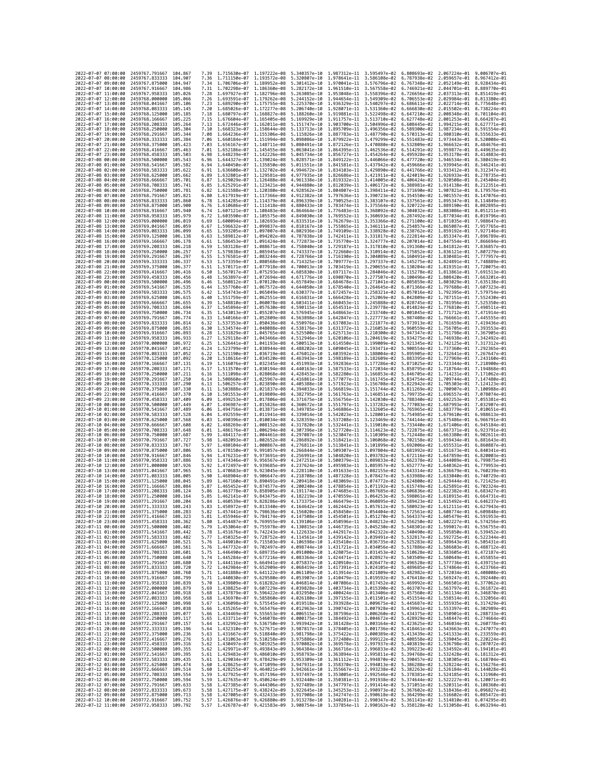|                                            |                     | 2459767.791667                                   |                    | 7.39         | 1.715630e-07 1.197222e-08                                                        |                              | 5.340357e-10                                                                                                                                                                                                                                                                                                                                         |                              | 1.987312e-11 3.595497e-02 6.808693e-02                                           |                              | 2.067224e-01                                           | 9.006707e-01                 |
|--------------------------------------------|---------------------|--------------------------------------------------|--------------------|--------------|----------------------------------------------------------------------------------|------------------------------|------------------------------------------------------------------------------------------------------------------------------------------------------------------------------------------------------------------------------------------------------------------------------------------------------------------------------------------------------|------------------------------|----------------------------------------------------------------------------------|------------------------------|--------------------------------------------------------|------------------------------|
| 2022-07-07 08:00:00                        | 2022-07-07 07:00:00 | 2459767.833333                                   | 104.867<br>104,907 | 7.36         | 1.711150e-07 1.193572e-08                                                        |                              | 5.320807e-10                                                                                                                                                                                                                                                                                                                                         |                              | 1.978641e-11 3.586108e-02 6.787938e-02                                           |                              | 2.059657e-01                                           | 8.967412e-01                 |
| 2022-07-07 09:00:00                        |                     | 2459767.875000                                   | 104.947            | 7.34         | 1.706706e-07                                                                     | 1.189952e-08                 | 5.301412e-10                                                                                                                                                                                                                                                                                                                                         |                              | 1.970041e-11 3.576796e-02                                                        | 6.767348e-02                 | 2.052149e-01                                           | 8.928434e-01                 |
| 2022-07-07 10:00:00                        |                     | 2459767.916667                                   | 104.986            | 7.31         | 1.702298e-07 1.186360e-08                                                        |                              | 5.282172e-10                                                                                                                                                                                                                                                                                                                                         |                              | 1.961510e-11  3.567558e-02  6.746921e-02  2.044701e-01  8.889770e-01             |                              |                                                        |                              |
| 2022-07-07 11:00:00                        |                     | 2459767.958333                                   | 105.026            | 7.28         | 1.697927e-07 1.182796e-08                                                        |                              | 5.263085e-10                                                                                                                                                                                                                                                                                                                                         |                              | 1.953048e-11 3.558396e-02 6.726656e-02                                           |                              | 2.037313e-01 8.851419e-01                              |                              |
| 2022-07-07 12:00:00                        |                     | 2459768,000000                                   | 105,066            | 7.26         | 1.693591e-07<br>1.689290e-07                                                     | 1.179262e-08                 | 5.244152e-10                                                                                                                                                                                                                                                                                                                                         |                              | 1.944654e-11 3.549309e-02                                                        | 6.706553e-02                 | 2.029984e-01                                           | 8.813380e-01                 |
| 2022-07-07 13:00:00<br>2022-07-07 14:00:00 |                     | 2459768.041667<br>2459768.083333                 | 105.106<br>105,145 | 7.23<br>7.20 | 1.685026e-07 1.172277e-08                                                        | 1.175755e-08                 | 5.225370e-10<br>5.206740e-10                                                                                                                                                                                                                                                                                                                         | 1.936329e-11                 | 3.540297e-02<br>1.928071e-11 3.531360e-02                                        | 6.686611e-02<br>6.666830e-02 | 2.022714e-01<br>2.015502e-01                           | 8.775648e-01<br>8.738224e-01 |
| 2022-07-07 15:00:00                        |                     | 2459768.125000                                   | 105,185            | 7.18         | 1.680797e-07 1.168827e-08                                                        |                              | 5.188260e-10                                                                                                                                                                                                                                                                                                                                         |                              | 1.919881e-11 3.522498e-02 6.647210e-02                                           |                              | 2.008348e-01                                           | 8.701104e-01                 |
| 2022-07-07 16:00:00                        |                     | 2459768.166667                                   | 105.225            | 7.15         | 1.676604e-07                                                                     | 1.165405e-08                 | 5.169929e-10                                                                                                                                                                                                                                                                                                                                         | 1.911757e-11                 | 3.513710e-02                                                                     | 6.627748e-02                 | 2.001253e-01                                           | 8.664287e-01                 |
| 2022-07-07 17:00:00                        |                     | 2459768.208333                                   | 105,264            | 7.13         | 1.672446e-07 1.162011e-08                                                        |                              | 5.151747e-10                                                                                                                                                                                                                                                                                                                                         |                              | 1.903700e-11 3.504996e-02                                                        | 6.608445e-02                 | 1.994215e-01                                           | 8.627771e-01                 |
| 2022-07-07 18:00:00<br>2022-07-07 19:00:00 |                     | 2459768,250000<br>2459768.291667                 | 105,304<br>105.344 | 7.10<br>7.08 | 1.668323e-07<br>1,664236e-07                                                     | 1.158644e-08<br>1.155306e-08 | 5.133713e-10<br>5.115826e-10                                                                                                                                                                                                                                                                                                                         | 1.895709e-11<br>1.887783e-11 | 3.496356e-02<br>3.487790e-02                                                     | 6.589300e-02<br>6.570313e-02 | 1.987234e-01<br>1.980310e-01                           | 8.591554e-01<br>8.555633e-01 |
| 2022-07-07 20:00:00                        |                     | 2459768.333333                                   | 105.384            | 7.06         | 1.660184e-07                                                                     | 1.151994e-08                 | 5.098086e-10                                                                                                                                                                                                                                                                                                                                         | 1.879922e-11                 | 3.479299e-02                                                                     | 6.551483e-02                 | 1.973443e-01                                           | 8.520008e-01                 |
| 2022-07-07 21:00:00                        |                     | 2459768.375000                                   | 105.423            | 7.03         | 1.656167e-07 1.148711e-08                                                        |                              | 5.080491e-10                                                                                                                                                                                                                                                                                                                                         |                              | 1.872126e-11 3.470880e-02                                                        | 6.532809e-02                 | 1.966632e-01                                           | 8.484676e-01                 |
| 2022-07-07 22:00:00                        |                     | 2459768.416667                                   | 105.463            | 7.01         | 1.652186e-07 1.145455e-08                                                        |                              | 5.063041e-10                                                                                                                                                                                                                                                                                                                                         |                              | 1.864395e-11 3.462536e-02                                                        | 6.514291e-02                 | 1.959877e-01                                           | 8.449635e-01                 |
| 2022-07-07 23:00:00                        |                     | 2459768.458333                                   | 105.503            | 6.98         | 1.648239e-07                                                                     | 1.142226e-08                 | 5.045734e-10                                                                                                                                                                                                                                                                                                                                         |                              | 1.856727e-11 3.454264e-02                                                        | 6.495928e-02                 | 1.953178e-01                                           | 8.414883e-01                 |
| 2022-07-08 00:00:00                        |                     | 2459768.500000                                   | 105.543            | 6.96         | 1.644327e-07                                                                     | 1.139024e-08                 | 5.028571e-10                                                                                                                                                                                                                                                                                                                                         |                              | 1.849122e-11 3.446066e-02                                                        | 6.477720e-02                 | 1.946534e-01                                           | 8.380419e-01                 |
| 2022-07-08 01:00:00<br>2022-07-08 02:00:00 |                     | 2459768.541667                                   | 105,582            | 6.94<br>6.91 | 1.640450e-07 1.135850e-08<br>1.636608e-07 1.132702e-08                           |                              | 5.011551e-10<br>4.994672e-10                                                                                                                                                                                                                                                                                                                         |                              | 1.841581e-11 3.437942e-02 6.459666e-02<br>1.834103e-11 3.429890e-02 6.441766e-02 |                              | 1.939945e-01 8.346241e-01<br>1.933412e-01 8.312347e-01 |                              |
| 2022-07-08 03:00:00                        |                     | 2459768.583333<br>2459768.625000                 | 105.622<br>105.662 | 6.89         | 1.632801e-07                                                                     | 1.129581e-08                 | 4.977935e-10                                                                                                                                                                                                                                                                                                                                         | 1.826686e-11                 | 3.421911e-02                                                                     | 6.424019e-02                 | 1.926933e-01                                           | 8.278735e-01                 |
| 2022-07-08 04:00:00                        |                     | 2459768.666667                                   | 105,701            | 6.87         | 1.629029e-07 1.126488e-08                                                        |                              | 4.961338e-10                                                                                                                                                                                                                                                                                                                                         |                              | 1.819332e-11 3.414005e-02                                                        | 6.406424e-02                 | 1.920508e-01                                           | 8.245404e-01                 |
| 2022-07-08 05:00:00                        |                     | 2459768.708333                                   | 105.741            | 6.85         | 1.625291e-07 1.123421e-08                                                        |                              | 4.944880e-10                                                                                                                                                                                                                                                                                                                                         |                              | 1.812039e-11 3.406172e-02 6.388981e-02                                           |                              | 1.914138e-01                                           | 8.212351e-01                 |
| 2022-07-08 06:00:00                        |                     | 2459768.750000                                   | 105.781            | 6.82         | 1.621588e-07 1.120380e-08                                                        |                              | 4.928562e-10                                                                                                                                                                                                                                                                                                                                         |                              | 1.804807e-11 3.398411e-02                                                        | 6.371690e-02                 | 1.907821e-01                                           | 8.179576e-01                 |
| 2022-07-08 07:00:00<br>2022-07-08 08:00:00 |                     | 2459768.791667<br>2459768.833333                 | 105.821<br>105.860 | 6.80<br>6.78 | 1.617919e-07 1.117366e-08<br>1.614285e-07 1.114379e-08                           |                              | 4.912382e-10<br>4.896339e-10                                                                                                                                                                                                                                                                                                                         |                              | 1.797636e-11 3.390723e-02<br>1.790525e-11 3.383107e-02                           |                              | 6.354550e-02 1.901557e-01<br>6.337561e-02 1.895347e-01 | 8.147076e-01<br>8.114849e-01 |
| 2022-07-08 09:00:00                        |                     | 2459768.875000                                   | 105.900            | 6.76         | 1.610686e-07 1.111418e-08                                                        |                              | 4.880433e-10                                                                                                                                                                                                                                                                                                                                         |                              | 1.783474e-11 3.375564e-02                                                        | 6.320722e-02                 | 1.889190e-01                                           | 8.082895e-01                 |
| 2022-07-08 10:00:00                        |                     | 2459768.916667                                   | 105.940            | 6.74         | 1.607121e-07                                                                     | 1.108483e-08                 | 4.864664e-10                                                                                                                                                                                                                                                                                                                                         | 1.776483e-11                 | 3.368092e-02                                                                     | 6.304032e-02                 | 1.883086e-01                                           | 8.051211e-01                 |
| 2022-07-08 11:00:00                        |                     | 2459768.958333                                   | 105.979            | 6.72         | 1.603590e-07 1.105575e-08                                                        |                              | 4.849030e-10                                                                                                                                                                                                                                                                                                                                         |                              | 1.769552e-11 3.360693e-02                                                        | 6.287492e-02                 | 1.877034e-01                                           | 8.019796e-01                 |
| 2022-07-08 12:00:00                        |                     | 2459769.000000                                   | 106.019            | 6.69         | 1.600094e-07 1.102693e-08                                                        |                              | 4.833531e-10                                                                                                                                                                                                                                                                                                                                         |                              | 1.762679e-11 3.353366e-02 6.271100e-02                                           |                              | 1.871035e-01                                           | 7.988647e-01                 |
| 2022-07-08 13:00:00<br>2022-07-08 14:00:00 |                     | 2459769.041667<br>2459769.083333                 | 106,059<br>106,099 | 6.67<br>6.65 | 1.596632e-07 1.099837e-08<br>1.593205e-07                                        | 1.097007e-08                 | 4.818167e-10<br>4.802936e-10                                                                                                                                                                                                                                                                                                                         | 1.749109e-11                 | 1.755865e-11 3.346111e-02 6.254857e-02<br>3.338928e-02                           | 6.238762e-02                 | 1.865087e-01<br>1.859192e-01                           | 7.957765e-01<br>7.927146e-01 |
| 2022-07-08 15:00:00                        |                     | 2459769.125000                                   | 106,138            | 6.63         | 1.589812e-07 1.094202e-08                                                        |                              | 4.787838e-10                                                                                                                                                                                                                                                                                                                                         |                              | 1.742411e-11 3.331817e-02                                                        | 6.222814e-02                 | 1.853347e-01                                           | 7.896789e-01                 |
| 2022-07-08 16:00:00                        |                     | 2459769.166667                                   | 106.178            | 6.61         | 1.586453e-07 1.091424e-08                                                        |                              | 4.772873e-10                                                                                                                                                                                                                                                                                                                                         |                              | 1.735770e-11 3.324777e-02 6.207014e-02                                           |                              | 1.847554e-01 7.866694e-01                              |                              |
| 2022-07-08 17:00:00                        |                     | 2459769.208333                                   | 106.218            | 6.59         | 1.583128e-07 1.088671e-08                                                        |                              | 4.758040e-10                                                                                                                                                                                                                                                                                                                                         |                              | 1.729187e-11 3.317810e-02                                                        | 6.191360e-02                 | 1.841812e-01                                           | 7.836857e-01                 |
| 2022-07-08 18:00:00                        |                     | 2459769.250000                                   | 106.257            | 6.57         | 1.579838e-07                                                                     | 1.085945e-08                 | 4.743337e-10                                                                                                                                                                                                                                                                                                                                         | 1.722660e-11                 | 3.310914e-02                                                                     | 6.175852e-02                 | 1.836121e-01                                           | 7.807279e-01                 |
| 2022-07-08 19:00:00<br>2022-07-08 20:00:00 |                     | 2459769.291667<br>2459769.333333                 | 106.297<br>106,337 | 6.55<br>6.53 | 1.576581e-07 1.083244e-08<br>1.573359e-07 1.080568e-08                           |                              | 4.728766e-10<br>4.714325e-10                                                                                                                                                                                                                                                                                                                         |                              | 1.716190e-11 3.304089e-02<br>1.709777e-11 3.297337e-02 6.145275e-02              | 6.160491e-02                 | 1.830481e-01 7.777957e-01<br>1.824891e-01              | 7.748889e-01                 |
| 2022-07-08 21:00:00                        |                     | 2459769.375000                                   | 106,377            | 6.51         | 1.570171e-07                                                                     | 1.077918e-08                 | 4.700013e-10                                                                                                                                                                                                                                                                                                                                         | 1.703419e-11                 | 3.290655e-02                                                                     | 6.130204e-02                 | 1.819351e-01                                           | 7.720075e-01                 |
| 2022-07-08 22:00:00                        |                     | 2459769.416667                                   | 106,416            | 6.50         | 1.567017e-07 1.075293e-08                                                        |                              | 4.685830e-10                                                                                                                                                                                                                                                                                                                                         |                              | 1.697117e-11 3.284046e-02                                                        | 6.115278e-02                 | 1.813861e-01                                           | 7.691513e-01                 |
| 2022-07-08 23:00:00                        |                     | 2459769.458333                                   | 106,456            | 6.48         | 1.563897e-07 1.072694e-08                                                        |                              | 4.671776e-10                                                                                                                                                                                                                                                                                                                                         |                              | 1.690870e-11 3.277507e-02                                                        | 6.100496e-02                 | 1.808420e-01                                           | 7.663201e-01                 |
| 2022-07-09 00:00:00                        |                     | 2459769.500000                                   | 106.496            | 6.46         | 1.560812e-07                                                                     | 1.070120e-08                 | 4.657849e-10                                                                                                                                                                                                                                                                                                                                         |                              | 1.684678e-11 3.271041e-02                                                        | 6.085859e-02                 | 1.803029e-01                                           | 7.635138e-01                 |
| 2022-07-09 01:00:00<br>2022-07-09 02:00:00 |                     | 2459769.541667<br>2459769.583333                 | 106.535<br>106.575 | 6.44<br>6.42 | 1.557760e-07<br>1.554743e-07 1.065049e-08                                        | 1.067572e-08                 | 4.644050e-10<br>4.630377e-10                                                                                                                                                                                                                                                                                                                         | 1.678540e-11                 | 3.264645e-02<br>1.672457e-11 3.258321e-02                                        | 6.071366e-02<br>6.057016e-02 | 1.797688e-01<br>1.792395e-01 7.579754e-01              | 7.607323e-01                 |
| 2022-07-09 03:00:00                        |                     | 2459769.625000                                   | 106.615            | 6.40         | 1.551759e-07 1.062551e-08                                                        |                              | 4.616831e-10                                                                                                                                                                                                                                                                                                                                         |                              | 1.666428e-11 3.252069e-02                                                        | 6.042809e-02                 | 1.787151e-01                                           | 7.552430e-01                 |
| 2022-07-09 04:00:00                        |                     | 2459769.666667                                   | 106.655            | 6.39         | 1.548810e-07                                                                     | 1.060078e-08                 | 4.603411e-10                                                                                                                                                                                                                                                                                                                                         |                              | 1.660453e-11 3.245888e-02                                                        | 6.028745e-02                 | 1.781956e-01                                           | 7.525350e-01                 |
| 2022-07-09 05:00:00                        |                     | 2459769.708333                                   | 106.694            | 6.37         | 1.545894e-07                                                                     | 1.057630e-08                 | 4.590115e-10                                                                                                                                                                                                                                                                                                                                         | 1.654531e-11                 | 3.239778e-02                                                                     | 6.014824e-02                 | 1.776810e-01                                           | 7.498511e-01                 |
| 2022-07-09 06:00:00                        |                     | 2459769.750000                                   | 106,734            | 6.35         | 1.543013e-07 1.055207e-08                                                        |                              | 4.576945e-10                                                                                                                                                                                                                                                                                                                                         |                              | 1.648663e-11 3.233740e-02                                                        | 6.001045e-02                 | 1.771712e-01                                           | 7.471914e-01                 |
| 2022-07-09 07:00:00<br>2022-07-09 08:00:00 |                     | 2459769.791667<br>2459769.833333                 | 106,774<br>106.814 | 6.33<br>6.32 | 1.540166e-07 1.052809e-08<br>1.537353e-07                                        |                              | 4.563898e-10<br>4.550976e-10                                                                                                                                                                                                                                                                                                                         | 1.637083e-11                 | 1.642847e-11 3.227773e-02<br>3.221877e-02                                        | 5.987408e-02<br>5.973913e-02 | 1.766661e-01 7.445555e-01<br>1.761659e-01              | 7.419436e-01                 |
| 2022-07-09 09:00:00                        |                     | 2459769.875000                                   | 106.853            | 6.30         | 1.534574e-07                                                                     | 1.050436e-08<br>1.048088e-08 | 4.538176e-10                                                                                                                                                                                                                                                                                                                                         |                              | 1.631372e-11 3.216053e-02                                                        | 5.960559e-02                 | 1.756705e-01 7.393553e-01                              |                              |
| 2022-07-09 10:00:00                        |                     | 2459769.916667                                   | 106.893            | 6.28         | 1.531829e-07                                                                     | 1.045765e-08                 | 4.525500e-10                                                                                                                                                                                                                                                                                                                                         |                              | 1.625713e-11 3.210300e-02                                                        | 5.947347e-02                 | 1.751798e-01                                           | 7.367905e-01                 |
| 2022-07-09 11:00:00                        |                     | 2459769.958333                                   | 106.933            | 6.27         | 1.529118e-07                                                                     | 1.043466e-08                 | 4.512946e-10                                                                                                                                                                                                                                                                                                                                         |                              | 1.620106e-11 3.204619e-02                                                        | 5.934275e-02                 | 1.746938e-01                                           | 7.342492e-01                 |
| 2022-07-09 12:00:00                        |                     | 2459770.000000                                   | 106.972            | 6.25         | 1.526441e-07                                                                     | 1.041193e-08                 | 4.500513e-10                                                                                                                                                                                                                                                                                                                                         |                              | 1.614550e-11 3.199009e-02                                                        | 5.921345e-02                 | 1.742125e-01                                           | 7.317312e-01                 |
| 2022-07-09 13:00:00                        |                     | 2459770.041667<br>2459770.083333                 | 107.012<br>107.052 | 6.24<br>6.22 | 1.523799e-07 1.038944e-08                                                        |                              | 4.488202e-10                                                                                                                                                                                                                                                                                                                                         |                              | 1.609045e-11 3.193471e-02<br>1.603592e-11 3.188004e-02                           | 5.908554e-02                 | 1.737360e-01 7.292365e-01                              |                              |
| 2022-07-09 14:00:00<br>2022-07-09 15:00:00 |                     | 2459770.125000                                   | 107.092            | 6.20         | 1.521190e-07 1.036719e-08<br>1.518616e-07                                        | 1.034520e-08                 | 4.476012e-10<br>4.463943e-10                                                                                                                                                                                                                                                                                                                         | 1.598189e-11                 | 3.182609e-02                                                                     | 5.895905e-02<br>5.883395e-02 | 1.732641e-01 7.267647e-01<br>1.727969e-01              | 7.243160e-01                 |
| 2022-07-09 16:00:00                        |                     | 2459770.166667                                   | 107.131            | 6.19         | 1.516076e-07                                                                     | 1.032345e-08                 | 4.451993e-10                                                                                                                                                                                                                                                                                                                                         | 1.592836e-11                 | 3.177286e-02                                                                     | 5.871025e-02                 | 1.723344e-01                                           | 7.218900e-01                 |
| 2022-07-09 17:00:00                        |                     | 2459770.208333                                   | 107.171            | 6.17         | 1.513570e-07 1.030194e-08                                                        |                              | 4.440163e-10                                                                                                                                                                                                                                                                                                                                         |                              | 1.587533e-11 3.172034e-02                                                        | 5.858795e-02                 | 1.718764e-01 7.194868e-01                              |                              |
| 2022-07-09 18:00:00                        |                     | 2459770.250000                                   | 107.211            | 6.16         | 1.511098e-07 1.028068e-08                                                        |                              | 4.428453e-10                                                                                                                                                                                                                                                                                                                                         |                              | 1.582280e-11 3.166853e-02                                                        | 5.846705e-02                 | 1.714231e-01 7.171062e-01                              |                              |
| 2022-07-09 19:00:00<br>2022-07-09 20:00:00 |                     | 2459770.291667<br>2459770.333333                 | 107,250<br>107.290 | 6.14         | 1.508660e-07<br>1.506257e-07 1.023890e-08                                        | 1.025967e-08                 | 4.416861e-10<br>4.405388e-10                                                                                                                                                                                                                                                                                                                         | 1.577077e-11                 | 3.161745e-02<br>1.571923e-11 3.156708e-02                                        | 5.834754e-02<br>5.822942e-02 | 1.709744e-01<br>1.705303e-01                           | 7.147480e-01<br>7.124123e-01 |
| 2022-07-09 21:00:00                        |                     | 2459770.375000                                   | 107.330            | 6.13<br>6.11 | 1.503888e-07 1.021837e-08                                                        |                              | 4.394033e-10                                                                                                                                                                                                                                                                                                                                         |                              | 1.566819e-11 3.151744e-02                                                        | 5.811269e-02                 | 1.700907e-01                                           | 7.100988e-01                 |
| 2022-07-09 22:00:00                        |                     | 2459770.416667                                   | 107.370            | 6.10         | 1.501553e-07 1.019809e-08                                                        |                              | 4.382795e-10                                                                                                                                                                                                                                                                                                                                         |                              | 1.561763e-11 3.146851e-02                                                        | 5.799735e-02                 | 1.696557e-01                                           | 7.078074e-01                 |
| 2022-07-09 23:00:00                        |                     | 2459770.458333                                   | 107,409            | 6.09         | 1.499253e-07                                                                     | 1.017806e-08                 | 4.371675e-10                                                                                                                                                                                                                                                                                                                                         |                              | 1.556756e-11 3.142030e-02                                                        | 5.788340e-02                 | 1.692253e-01                                           | 7.055381e-01                 |
| 2022-07-10 00:00:00                        |                     | 2459770.500000                                   | 107.449            | 6.07         | 1.496987e-07 1.015826e-08                                                        |                              | 4.360672e-10                                                                                                                                                                                                                                                                                                                                         |                              | 1.551797e-11 3.137282e-02                                                        | 5.777083e-02                 | 1.687993e-01                                           | 7.032907e-01                 |
| 2022-07-10 01:00:00                        |                     | 2459770.541667                                   | 107,489            | 6.06         | 1.494756e-07 1.013871e-08                                                        |                              | 4.349785e-10                                                                                                                                                                                                                                                                                                                                         |                              | 1.546886e-11 3.132605e-02                                                        | 5.765965e-02                 | 1.683779e-01                                           | 7.010651e-01                 |
| 2022-07-10 02:00:00<br>2022-07-10 03:00:00 |                     | 2459770.583333<br>2459770.625000                 | 107.528<br>107.568 | 6.04<br>6.03 | 1.492559e-07<br>1.490396e-07                                                     | 1.011941e-08<br>1.010034e-08 | 4.339014e-10<br>4.328359e-10                                                                                                                                                                                                                                                                                                                         |                              | 1.542023e-11 3.128001e-02<br>1.537208e-11 3.123469e-02                           | 5.754985e-02<br>5.744144e-02 | 1.679610e-01<br>1.675486e-01                           | 6.988613e-01<br>6.966791e-01 |
| 2022-07-10 04:00:00                        |                     | 2459770.666667                                   | 107,608            | 6.02         | 1.488269e-07 1.008152e-08                                                        |                              | 4.317820e-10                                                                                                                                                                                                                                                                                                                                         |                              | 1.532441e-11 3.119010e-02                                                        | 5.733440e-02                 | 1.671406e-01                                           | 6.945184e-01                 |
| 2022-07-10 05:00:00                        |                     | 2459770.708333                                   | 107.648            | 6.01         | 1.486176e-07 1.006294e-08                                                        |                              | 4.307396e-10                                                                                                                                                                                                                                                                                                                                         |                              | 1.527720e-11 3.114623e-02                                                        | 5.722875e-02                 | 1.667371e-01                                           | 6.923791e-01                 |
| 2022-07-10 06:00:00                        |                     | 2459770.750000                                   | 107,687            | 5.99         | 1.484117e-07                                                                     | 1.004461e-08                 | 4.297087e-10                                                                                                                                                                                                                                                                                                                                         | 1.523047e-11                 | 3.110309e-02                                                                     | 5.712448e-02                 | 1.663380e-01                                           | 6.902611e-01                 |
| 2022-07-10 07:00:00                        |                     | 2459770.791667                                   | 107.727<br>107,767 | 5.98<br>5.97 | 1.482093e-07                                                                     | 1.002652e-08                 | 4.286892e-10                                                                                                                                                                                                                                                                                                                                         |                              | 1.518421e-11 3.106068e-02                                                        | 5.702158e-02                 | 1.659434e-01                                           | 6.881643e-01                 |
| 2022-07-10 08:00:00<br>2022-07-10 09:00:00 |                     | 2459770.833333                                   | 107.806            | 5.95         | 1.480104e-07 1.000867e-08<br>1.478150e-07                                        | 9.991057e-09                 | 4.276811e-10<br>4.266844e-10                                                                                                                                                                                                                                                                                                                         |                              | 1.513841e-11 3.101899e-02<br>1.509307e-11 3.097804e-02                           | 5.692006e-02<br>5.681992e-02 | 1.655531e-01<br>1.651673e-01                           | 6.860887e-01<br>6.840341e-01 |
|                                            |                     |                                                  |                    |              |                                                                                  |                              |                                                                                                                                                                                                                                                                                                                                                      |                              |                                                                                  |                              |                                                        |                              |
|                                            |                     | 2459770.875000                                   | 107.846            | 5.94         |                                                                                  |                              |                                                                                                                                                                                                                                                                                                                                                      |                              |                                                                                  |                              |                                                        | 6.820003e-01                 |
| 2022-07-10 11:00:00                        | 2022-07-10 10:00:00 | 2459770.916667<br>2459770.958333                 | 107.886            | 5.93         | 1.476231e-07<br>1.474346e-07                                                     | 9.973691e-09<br>9.956567e-09 | 4.256991e-10<br>4.247251e-10                                                                                                                                                                                                                                                                                                                         |                              | 1.504820e-11 3.093782e-02<br>1.500379e-11 3.089833e-02                           | 5.672116e-02<br>5.662378e-02 | 1.647859e-01<br>1.644089e-01                           | 6.799875e-01                 |
| 2022-07-10 12:00:00                        |                     | 2459771.000000                                   | 107.926            | 5.92         | 1.472497e-07                                                                     | 9.939685e-09                 | 4.237624e-10                                                                                                                                                                                                                                                                                                                                         |                              | 1.495983e-11 3.085957e-02                                                        | 5.652777e-02                 | 1.640362e-01                                           | 6.779953e-01                 |
| 2022-07-10 13:00:00                        |                     | 2459771.041667                                   | 107.965            | 5.91         | 1.470683e-07                                                                     | 9.923045e-09                 | 4.228110e-10                                                                                                                                                                                                                                                                                                                                         | 1.491633e-11                 | 3.082155e-02                                                                     | 5.643314e-02                 | 1.636679e-01                                           | 6.760239e-01                 |
| 2022-07-10 14:00:00                        |                     | 2459771.083333<br>2459771.125000                 | 108.005<br>108,045 | 5.90<br>5.89 | 1.468904e-07<br>1.467160e-07                                                     | 9,906647e-09                 | 4.218708e-10<br>4.209418e-10                                                                                                                                                                                                                                                                                                                         |                              | 1.487328e-11 3.078427e-02                                                        | 5.633988e-02<br>5.624800e-02 | 1.633040e-01<br>1.629444e-01                           | 6.740729e-01<br>6.721425e-01 |
| 2022-07-10 15:00:00<br>2022-07-10 16:00:00 |                     | 2459771.166667                                   | 108.084            | 5.87         | 1.465452e-07                                                                     | 9.890491e-09<br>9.874577e-09 | 4.200240e-10                                                                                                                                                                                                                                                                                                                                         |                              | 1.483069e-11 3.074772e-02<br>1.478854e-11 3.071192e-02                           | 5.615749e-02                 | 1.625891e-01                                           | 6.702324e-01                 |
| 2022-07-10 17:00:00                        |                     | 2459771.208333                                   | 108, 124           | 5.86         | 1.463778e-07                                                                     | 9.858905e-09                 | 4.191174e-10                                                                                                                                                                                                                                                                                                                                         | 1.474685e-11                 | 3.067685e-02                                                                     | 5.606836e-02                 | 1.622382e-01                                           | 6.683427e-01                 |
| 2022-07-10 18:00:00                        |                     | 2459771.250000                                   | 108,164            | 5.85         | 1.462141e-07 9.843475e-09 4.182219e-10                                           |                              |                                                                                                                                                                                                                                                                                                                                                      |                              | 1.470559e-11 3.064253e-02                                                        |                              | 5.598061e-02 1.618915e-01                              | 6.664731e-01                 |
| 2022-07-10 19:00:00<br>2022-07-10 20:00:00 |                     | 2459771.291667<br>2459771.333333                 | 108.204<br>108.243 | 5.84<br>5.83 | 1.460539e-07 9.828286e-09 4.173375e-10<br>1.458972e-07 9.813340e-09 4.164642e-10 |                              |                                                                                                                                                                                                                                                                                                                                                      |                              | 1.466479e-11 3.060895e-02 5.589423e-02 1.615492e-01 6.646237e-01                 |                              |                                                        |                              |
| 2022<br>-07                                | -10 21:00:00        | 2459771.375000                                   | 108.283            |              | 1.457441e-07                                                                     | 9.798636e-09                 | 4.156020e-10                                                                                                                                                                                                                                                                                                                                         | 1.458450e-11                 | 1.462442e-11 3.057612e-02 5.580923e-02 1.612111e-01 6.627943e-01<br>3.054404e-02 | 5.572561e-02                 | 1.608774e-01                                           | 6.609848e-01                 |
| 2022-07-10 22:00:00                        |                     | 2459771.416667 108.323                           |                    |              |                                                                                  |                              | 5.81 1.455946e-07 9.784174e-09 4.147508e-10 1.454501e-11 3.051270e-02 5.564337e-02 1.605479e-01 6.591953e-01                                                                                                                                                                                                                                         |                              |                                                                                  |                              |                                                        |                              |
| 2022-07-10 23:00:00                        |                     | 2459771.458333 108.362                           |                    | 5.80         |                                                                                  |                              | 1.454487e-07 9.769955e-09 4.139106e-10 1.450596e-11 3.048212e-02 5.556250e-02 1.602227e-01 6.574256e-01                                                                                                                                                                                                                                              |                              |                                                                                  |                              |                                                        |                              |
| 2022-07-11 00:00:00                        |                     | 2459771.500000                                   | 108.402            | 5.79         |                                                                                  |                              | 1.453064e-07 9.755978e-09 4.130815e-10 1.446735e-11 3.045230e-02 5.548301e-02 1.599017e-01 6.556755e-01                                                                                                                                                                                                                                              |                              |                                                                                  |                              |                                                        |                              |
| 2022-07-11 01:00:00<br>2022-07-11 02:00:00 |                     | 2459771.541667 108.442<br>2459771.583333 108.482 |                    |              |                                                                                  |                              | 5.78 1.451676e-07 9.742243e-09 4.122633e-10 1.442917e-11 3.042322e-02 5.540490e-02 1.595850e-01 6.539452e-01<br>5.77 1.450325e-07 9.728752e-09 4.114561e-10 1.439142e-11 3.039491e-02 5.532817e-02 1.592725e-01 6.522344e-01                                                                                                                         |                              |                                                                                  |                              |                                                        |                              |
|                                            |                     | 2459771.625000 108.521                           |                    |              |                                                                                  |                              |                                                                                                                                                                                                                                                                                                                                                      |                              |                                                                                  |                              |                                                        |                              |
| 2022-07-11 03:00:00<br>2022-07-11 04:00:00 |                     | 2459771.666667                                   | 108.561            |              |                                                                                  |                              | 5.76 1.449010e-07 9.715503e-09 4.106598e-10 1.435410e-11 3.036735e-02 5.525283e-02 1.589643e-01 6.505431e-01<br>5.76 1.447732e-07 9.702497e-09 4.098744e-10 1.431721e-11 3.034056e-02 5.517886e-02 1.586603e-01 6.488712e-01                                                                                                                         |                              |                                                                                  |                              |                                                        |                              |
| 2022-07-11 05:00:00                        |                     | 2459771.708333 108.601                           |                    |              |                                                                                  |                              | 5.75 1.446490e-07 9.689735e-09 4.091000e-10 1.428075e-11 3.031453e-02 5.510628e-02 1.583605e-01 6.472187e-01                                                                                                                                                                                                                                         |                              |                                                                                  |                              |                                                        |                              |
| 2022-07-11 06:00:00<br>2022-07-11 07:00:00 |                     | 2459771.750000 108.640<br>2459771.791667         | 108,680            |              |                                                                                  |                              | 5.74 1.445284e-07 9.677216e-09 4.083364e-10 1.424471e-11 3.028927e-02 5.503509e-02 1.580649e-01 6.455855e-01                                                                                                                                                                                                                                         |                              |                                                                                  |                              |                                                        |                              |
| 2022-07-11 08:00:00                        |                     | 2459771.833333 108.720                           |                    |              |                                                                                  |                              |                                                                                                                                                                                                                                                                                                                                                      |                              |                                                                                  |                              |                                                        |                              |
| 2022-07-11 09:00:00                        |                     | 2459771.875000 108.760                           |                    |              |                                                                                  |                              | 5.73 1.444116e-07 9.664941e-09 4.075837e-10 1.420910e-11 3.026477e-02 5.496528e-02 1.577736e-01 6.439715e-01<br>5.72 1.444116e-07 9.652909e-09 4.075837e-10 1.417991e-11 3.024477e-02 5.4966328e-02 1.57773e-01 6.439715e-01<br>5.71                                                                                                                 |                              |                                                                                  |                              |                                                        |                              |
| 2022-07-11 10:00:00                        |                     | 2459771.916667 108.799                           |                    |              |                                                                                  |                              |                                                                                                                                                                                                                                                                                                                                                      |                              |                                                                                  |                              |                                                        |                              |
| 2022-07-11 11:00:00                        |                     | 2459771.958333 108.839                           |                    |              |                                                                                  |                              |                                                                                                                                                                                                                                                                                                                                                      |                              |                                                                                  |                              |                                                        |                              |
| 2022-07-11 12:00:00<br>2022-07-11 13:00:00 |                     | 2459772.000000 108.879<br>2459772.041667 108.918 |                    |              |                                                                                  |                              | 5.71 1.440830e-07 9.629580e-09 4.053907e-10 1.410479e-11 3.019592e-02 5.476418e-02 1.569247e-01 6.392440e-01<br>5.70 1.439800e-07 9.618282e-09 4.053907e-10 1.407086e-11 3.017452e-02 5.469992e-02 1.566921e-01 6.392440e-01<br>5.69                                                                                                                 |                              |                                                                                  |                              |                                                        |                              |
| 2022-07-11 14:00:00                        |                     | 2459772.083333 108.958                           |                    |              |                                                                                  |                              |                                                                                                                                                                                                                                                                                                                                                      |                              |                                                                                  |                              |                                                        |                              |
| 2022-07-11 15:00:00                        |                     | 2459772.125000 108.998                           |                    |              |                                                                                  |                              | 5.68 1.437879e-07 9.596422e-09 4.032950e-10 1.400424e-11 3.013406e-02 5.457560e-02 1.561134e-01 6.346870e-01<br>5.68 1.437879e-07 9.585860e-09 4.032950e-10 1.397155e-11 3.011406e-02 5.457560e-02 1.558134e-01 6.3346870e-01<br>5.6                                                                                                                 |                              |                                                                                  |                              |                                                        |                              |
| 2022-07-11 16:00:00                        |                     | 2459772.166667 109.038                           |                    |              |                                                                                  |                              | 5.66 1.435265e-07 9.565476e-09 4.012963e-10 1.390742e-11 3.007928e-02 5.439961e-02 1.553397e-01 6.302989e-01                                                                                                                                                                                                                                         |                              |                                                                                  |                              |                                                        |                              |
| 2022-07-11 17:00:00<br>2022-07-11 18:00:00 |                     | 2459772.208333 109.077<br>2459772.250000 109.117 |                    |              |                                                                                  |                              | 5.66 1.434469e-07 9.555653e-09 4.006515e-10 1.387596e-11 3.006260e-02 5.434375e-02 1.550901e-01 6.288733e-01                                                                                                                                                                                                                                         |                              |                                                                                  |                              |                                                        |                              |
| 2022-07-11 19:00:00                        |                     | 2459772.291667 109.157                           |                    |              |                                                                                  |                              | 5.65 1.433711e-07 9.546078e-09 4.000175e-10 1.384492e-11 3.004672e-02 5.428929e-02 1.548447e-01 6.274664e-01<br>5.64 1.432992e-07 9.536750e-09 3.993942e-10 1.381428e-11 3.003164e-02 5.423625e-02 1.546034e-01 6.260778e-01                                                                                                                         |                              |                                                                                  |                              |                                                        |                              |
| 2022-07-11 20:00:00                        |                     | 2459772.333333 109.196                           |                    |              |                                                                                  |                              | 5.64 1.432310e-07 9.527671e-09 3.987817e-10 1.378405e-11 3.001736e-02 5.418461e-02 1.543663e-01 6.247077e-01                                                                                                                                                                                                                                         |                              |                                                                                  |                              |                                                        |                              |
| 2022-07-11 21:00:00                        |                     | 2459772.375000 109.236                           |                    |              |                                                                                  |                              |                                                                                                                                                                                                                                                                                                                                                      |                              |                                                                                  |                              |                                                        |                              |
| 2022-07-11 22:00:00                        |                     | 2459772.416667                                   | 109.276            |              |                                                                                  |                              |                                                                                                                                                                                                                                                                                                                                                      |                              |                                                                                  |                              |                                                        |                              |
| 2022-07-11 23:00:00<br>2022-07-12 00:00:00 |                     | 2459772.458333 109.316<br>2459772.500000 109.355 |                    |              |                                                                                  |                              |                                                                                                                                                                                                                                                                                                                                                      |                              |                                                                                  |                              |                                                        |                              |
| 2022-07-12 01:00:00                        |                     | 2459772.541667 109.395                           |                    |              |                                                                                  |                              | 5.63 1.431667e-07 9.518840e-09 3.981798e-10 1.375422e-11 3.000339e-02 5.413439e-02 1.534533e-01 6.233559e-01<br>5.63 1.431667e-07 9.510238e-09 3.975868e-10 1.372480e-11 2.999122e-02 5.403658e-02 1.539035e-01 6.23252e-01<br>5.62                                                                                                                  |                              |                                                                                  |                              |                                                        |                              |
| 2022-07-12 02:00:00                        |                     | 2459772.583333 109.435                           |                    |              |                                                                                  |                              | $\frac{1.429483e-07}{5.61}\cdot\frac{9.486010e-09}{3.958793e-10}\cdot\frac{3.358793e-10}{3.953309e-10} -\frac{1.363894e-11}{3.361112e-11}\cdot\frac{2.995811e-02}{2.994870e-02}\cdot\frac{5.394768e-02}{5.390457e-02} -\frac{1.532428e-01}{1.530305e-01}\cdot\frac{6.181312e-01}{6.$                                                                 |                              |                                                                                  |                              |                                                        |                              |
| 2022-07-12 03:00:00                        |                     | 2459772.625000 109.474                           |                    |              |                                                                                  |                              | 5.60 1.428625e-07 9.471099e-09 3.947931e-10 1.358370e-11 2.994013e-02 5.386288e-02 1.528224e-01 6.156276e-01                                                                                                                                                                                                                                         |                              |                                                                                  |                              |                                                        |                              |
| 2022-07-12 04:00:00                        |                     | 2459772.666667 109.514                           | 109.554            |              |                                                                                  |                              |                                                                                                                                                                                                                                                                                                                                                      |                              |                                                                                  |                              |                                                        |                              |
| 2022-07-12 05:00:00<br>2022-07-12 06:00:00 |                     | 2459772.708333<br>2459772.750000 109.594         |                    |              |                                                                                  |                              |                                                                                                                                                                                                                                                                                                                                                      |                              |                                                                                  |                              |                                                        |                              |
| 2022-07-12 07:00:00                        |                     | 2459772.791667 109.633                           |                    |              |                                                                                  |                              | 5.60 1.428255e-07 9.464021e-09 3.942661e-10 1.355667e-11 2.993238e-02 5.382263e-02 1.526184e-01 6.144028e-01<br>5.59 1.427925e-07 9.457196e-09 3.93249Pe-10 1.353605e-11 2.992546e-02 5.382263e-02 1.524188e-01 6.144028e-01<br>5.59<br>5.58 1.427385e-07 9.444306e-09 3.927489e-10 1.347797e-11 2.991414e-02 5.371051e-02 1.520311e-01 6.108360e-01 |                              |                                                                                  |                              |                                                        |                              |
| 2022-07-12 08:00:00                        |                     | 2459772.833333 109.673                           |                    |              |                                                                                  |                              |                                                                                                                                                                                                                                                                                                                                                      |                              |                                                                                  |                              |                                                        |                              |
| 2022-07-12 09:00:00<br>2022-07-12 10:00:00 |                     | 2459772.875000 109.713<br>2459772.916667 109.752 |                    |              |                                                                                  |                              | 5.58 1.427175e-07 9.438242e-09 3.922645e-10 1.345253e-11 2.990973e-02 5.367602e-02 1.518436e-01 6.096827e-01<br>5.58 1.427095e-07 9.432433e-09 3.927645e-10 1.345247e-11 2.990973e-02 5.367602e-02 1.516436e-01 6.096827e-01<br>5.57                                                                                                                 |                              |                                                                                  |                              |                                                        |                              |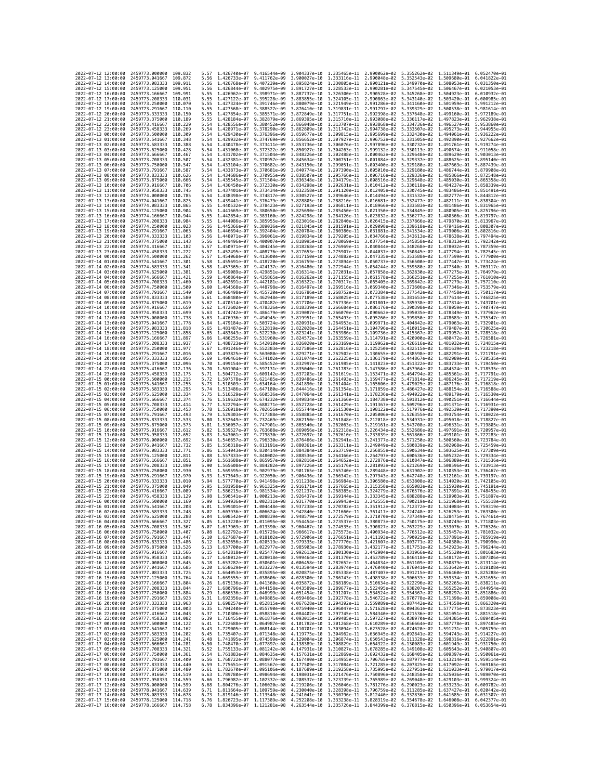| 2022-07-12 12:00:00                                                                      | 2459773,000000 109,832                                               |                    | 5.57         | 1.426740e-07 9.416544e-09                                                                                                                                                                                                            |                                                                                                                                                                                                                                                                                                                                                                                | 3.904337e-10                 |              | 1.335465e-11 2.990062e-02                              | 5.355262e-02 1.511349e-01 6.052470e-01                                           |                                           |                                           |
|------------------------------------------------------------------------------------------|----------------------------------------------------------------------|--------------------|--------------|--------------------------------------------------------------------------------------------------------------------------------------------------------------------------------------------------------------------------------------|--------------------------------------------------------------------------------------------------------------------------------------------------------------------------------------------------------------------------------------------------------------------------------------------------------------------------------------------------------------------------------|------------------------------|--------------|--------------------------------------------------------|----------------------------------------------------------------------------------|-------------------------------------------|-------------------------------------------|
| 2022-07-12 13:00:00                                                                      | 2459773.041667                                                       | 109.872            | 5.56         | 1.426733e-07 9.411762e-09                                                                                                                                                                                                            |                                                                                                                                                                                                                                                                                                                                                                                | 3.900027e-10                 |              | 1.333116e-11 2.990048e-02                              | 5.352543e-02                                                                     | 1,509680e-01 6,041822e-01                 |                                           |
| 2022-07-12 14:00:00<br>2022-07-12 15:00:00                                               | 2459773.083333<br>2459773.125000 109.951                             | 109.911            | 5.56<br>5.56 | 1.426768e-07                                                                                                                                                                                                                         | 9.407239e-09<br>1,426844e-07 9,402975e-09 3,891727e-10                                                                                                                                                                                                                                                                                                                         | 3.895824e-10                 |              | 1.330805e-11 2.990121e-02                              | 5.349970e-02<br>1,328533e-11 2,990281e-02 5,347545e-02 1,506467e-01 6,021053e-01 |                                           | 1.508053e-01 6.031350e-01                 |
| 2022-07-12 16:00:00                                                                      | 2459773.166667 109.991                                               |                    | 5.55         | 1.426962e-07 9.398971e-09                                                                                                                                                                                                            |                                                                                                                                                                                                                                                                                                                                                                                | 3.887737e-10                 |              |                                                        | 1.326300e-11  2.990528e-02  5.345268e-02  1.504923e-01  6.010932e-01             |                                           |                                           |
| 2022-07-12 17:00:00                                                                      | 2459773.208333                                                       | 110.031            | 5.55         | 1.427122e-07 9.395228e-09                                                                                                                                                                                                            |                                                                                                                                                                                                                                                                                                                                                                                | 3.883855e-10                 |              | 1.324105e-11 2.990863e-02                              | 5.343140e-02                                                                     |                                           | 1.503420e-01 6.000985e-01                 |
| 2022-07-12 18:00:00<br>2022-07-12 19:00:00                                               | 2459773.250000<br>2459773.291667                                     | 110,070<br>110,110 | 5.55<br>5.55 | 1.427324e-07<br>1.427568e-07                                                                                                                                                                                                         | 9.391746e-09<br>9.388527e-09                                                                                                                                                                                                                                                                                                                                                   | 3.880079e-10<br>3.876410e-10 | 1.321949e-11 | 2.991286e-02<br>1.319831e-11 2.991797e-02              | 5.341160e-02<br>5.339329e-02                                                     | 1.501959e-01<br>1.500538e-01              | 5.991212e-01<br>5.981614e-01              |
| 2022-07-12 20:00:00                                                                      | 2459773.333333                                                       | 110.150            | 5.55         | 1.427854e-07 9.385571e-09                                                                                                                                                                                                            |                                                                                                                                                                                                                                                                                                                                                                                | 3.872849e-10                 |              |                                                        | 1.317751e-11 2.992398e-02 5.337648e-02                                           | 1.499160e-01 5.972189e-01                 |                                           |
| 2022-07-12 21:00:00                                                                      | 2459773.375000                                                       | 110, 189           | 5.55         | 1.428184e-07                                                                                                                                                                                                                         | 9.382879e-09                                                                                                                                                                                                                                                                                                                                                                   | 3.869395e-10                 | 1.315710e-11 | 2.993088e-02                                           | 5.336117e-02                                                                     | 1.497823e-01                              | 5.962938e-01                              |
| 2022-07-12 22:00:00                                                                      | 2459773.416667                                                       | 110,229            | 5.54         | 1.428556e-07 9.380452e-09                                                                                                                                                                                                            |                                                                                                                                                                                                                                                                                                                                                                                | 3.866048e-10<br>3.862809e-10 |              | 1.313707e-11 2.993868e-02                              | 5.334736e-02                                                                     |                                           | 1.496527e-01 5.953860e-01<br>5.944955e-01 |
| 2022-07-12 23:00:00<br>2022-07-13 00:00:00                                               | 2459773.458333<br>2459773.500000                                     | 110.269<br>110.309 | 5.54<br>5.54 | 1.428971e-07<br>1.429430e-07 9.376396e-09                                                                                                                                                                                            | 9.378290e-09                                                                                                                                                                                                                                                                                                                                                                   | 3.859677e-10                 | 1.311742e-11 | 2.994738e-02<br>1.309815e-11 2.995699e-02              | 5.333507e-02<br>5.332430e-02                                                     | 1.495273e-01<br>1.494061e-01              | 5.936222e-01                              |
| 2022-07-13 01:00:00                                                                      | 2459773.541667                                                       | 110.348            | 5.54         | 1.429932e-07                                                                                                                                                                                                                         | 9.374769e-09                                                                                                                                                                                                                                                                                                                                                                   | 3.856652e-10                 | 1.307927e-11 | 2.996752e-02                                           | 5.331505e-02                                                                     | 1.492890e-01                              | 5.927662e-01                              |
| 2022-07-13 02:00:00                                                                      | 2459773.583333                                                       | 110.388            | 5.54         | 1.430478e-07 9.373411e-09                                                                                                                                                                                                            |                                                                                                                                                                                                                                                                                                                                                                                | 3.853736e-10                 |              | 1.306076e-11 2.997896e-02                              | 5.330732e-02                                                                     | 1.491761e-01 5.919274e-01                 |                                           |
| 2022-07-13 03:00:00<br>2022-07-13 04:00:00                                               | 2459773.625000<br>2459773.666667                                     | 110.428<br>110.467 | 5.54<br>5.54 | 1.431068e-07 9.372322e-09<br>1.431702e-07                                                                                                                                                                                            | 9.371504e-09                                                                                                                                                                                                                                                                                                                                                                   | 3.850927e-10<br>3.848226e-10 |              | 1.304263e-11 2.999132e-02<br>1.302488e-11 3.000462e-02 | 5.330113e-02<br>5.329648e-02                                                     | 1.490674e-01 5.911058e-01                 | 1.489629e-01 5.903013e-01                 |
| 2022-07-13 05:00:00                                                                      | 2459773.708333                                                       | 110,507            | 5.54         | 1.432381e-07 9.370957e-09                                                                                                                                                                                                            |                                                                                                                                                                                                                                                                                                                                                                                | 3.845634e-10                 | 1.300751e-11 | 3.001884e-02                                           | 5.329337e-02                                                                     | 1.488625e-01                              | 5.895140e-01                              |
| 2022-07-13 06:00:00                                                                      | 2459773.750000                                                       | 110.547            | 5.54         | 1.433104e-07 9.370682e-09                                                                                                                                                                                                            |                                                                                                                                                                                                                                                                                                                                                                                | 3.843150e-10                 |              | 1.299051e-11 3.003400e-02                              | 5.329180e-02 1.487663e-01 5.887439e-01                                           |                                           |                                           |
| 2022-07-13 07:00:00<br>2022-07-13 08:00:00                                               | 2459773.791667<br>2459773.833333                                     | 110.587<br>110.626 | 5.54<br>5.54 | 1.433873e-07 9.370681e-09<br>1.434686e-07                                                                                                                                                                                            | 9.370955e-09                                                                                                                                                                                                                                                                                                                                                                   | 3.840774e-10<br>3.838507e-10 | 1.295766e-11 | 3.006716e-02                                           | 1.297390e-11 3.005010e-02 5.329180e-02 1.486744e-01 5.879908e-01<br>5.329336e-02 | 1.485866e-01                              | 5.872548e-01                              |
| 2022-07-13 09:00:00                                                                      | 2459773.875000                                                       | 110,666            | 5.54         | 1.435545e-07 9.371504e-09                                                                                                                                                                                                            |                                                                                                                                                                                                                                                                                                                                                                                | 3.836348e-10                 |              | 1.294179e-11 3.008516e-02                              | 5.329648e-02                                                                     | 1.485030e-01                              | 5.865358e-01                              |
| 2022-07-13 10:00:00                                                                      | 2459773.916667                                                       | 110.706            | 5.54         |                                                                                                                                                                                                                                      | 1.436450e-07 9.372330e-09 3.834298e-10                                                                                                                                                                                                                                                                                                                                         |                              |              |                                                        | 1.292631e-11 3.010412e-02 5.330118e-02                                           | 1.484237e-01 5.858339e-01                 |                                           |
| 2022-07-13 11:00:00                                                                      | 2459773.958333                                                       | 110.745            | 5.54         |                                                                                                                                                                                                                                      | 1.437401e-07 9.373434e-09 3.832358e-10                                                                                                                                                                                                                                                                                                                                         |                              |              | 1.289646e-11 3.014494e-02                              | 1.291120e-11 3.012405e-02 5.330745e-02                                           |                                           | 1.483486e-01 5.851491e-01                 |
| 2022-07-13 12:00:00<br>2022-07-13 13:00:00                                               | 2459774.000000<br>2459774,041667                                     | 110.785<br>110.825 | 5.54<br>5.55 |                                                                                                                                                                                                                                      | 1.438398e-07 9.374817e-09 3.830527e-10<br>1.439441e-07 9.376479e-09 3.828805e-10                                                                                                                                                                                                                                                                                               |                              |              | 1.288210e-11 3.016681e-02                              | 5.331532e-02<br>5.332477e-02 1.482111e-01 5.838304e-01                           | 1.482777e-01 5.844812e-01                 |                                           |
| 2022-07-13 14:00:00                                                                      | 2459774.083333 110.865                                               |                    | 5.55         | 1.440532e-07 9.378423e-09                                                                                                                                                                                                            |                                                                                                                                                                                                                                                                                                                                                                                | 3.827193e-10                 |              | 1.286811e-11 3.018966e-02                              | 5.333583e-02 1.481486e-01 5.831965e-01                                           |                                           |                                           |
| 2022-07-13 15:00:00<br>2022-07-13 16:00:00                                               | 2459774.125000                                                       | 110.904<br>110.944 | 5.55<br>5.55 | 1.441669e-07                                                                                                                                                                                                                         | 9.380650e-09<br>1.442854e-07 9.383160e-09 3.824298e-10                                                                                                                                                                                                                                                                                                                         | 3.825690e-10                 | 1.285450e-11 | 3.021350e-02<br>1.284126e-11 3.023832e-02              | 5.334849e-02                                                                     | 1.480905e-01                              | 5.825796e-01                              |
| 2022-07-13 17:00:00                                                                      | 2459774.166667<br>2459774.208333 110.984                             |                    | 5.55         | 1.444086e-07 9.385955e-09                                                                                                                                                                                                            |                                                                                                                                                                                                                                                                                                                                                                                | 3.823016e-10                 |              | 1.282840e-11 3.026415e-02                              | 5.336277e-02<br>5.337866e-02                                                     | 1.479870e-01 5.813967e-01                 | 1.480366e-01 5.819797e-01                 |
| 2022-07-13 18:00:00                                                                      | 2459774.250000                                                       | 111.023            | 5.56         |                                                                                                                                                                                                                                      | 1.445366e-07 9.389036e-09                                                                                                                                                                                                                                                                                                                                                      | 3.821845e-10                 |              |                                                        | 1.281591e-11 3.029098e-02 5.339618e-02                                           | 1.479416e-01 5.808307e-01                 |                                           |
| 2022-07-13 19:00:00                                                                      | 2459774.291667                                                       | 111,063            | 5.56         | 1.446694e-07                                                                                                                                                                                                                         | 9.392404e-09                                                                                                                                                                                                                                                                                                                                                                   | 3.820784e-10                 | 1.280380e-11 | 3.031881e-02                                           | 5.341534e-02                                                                     | 1.479006e-01                              | 5.802816e-01                              |
| 2022-07-13 20:00:00<br>2022-07-13 21:00:00                                               | 2459774.333333<br>2459774.375000 111.143                             | 111,103            | 5.56<br>5.56 |                                                                                                                                                                                                                                      | 1.448071e-07 9.396061e-09 3.819834e-10<br>1.449496e-07 9.400007e-09 3.818995e-10                                                                                                                                                                                                                                                                                               |                              |              | 1.279205e-11 3.034766e-02<br>1.278069e-11 3.037754e-02 | 5.343613e-02 1.478638e-01 5.797494e-01<br>5.345858e-02 1.478313e-01 5.792342e-01 |                                           |                                           |
| 2022-07-13 22:00:00                                                                      | 2459774.416667                                                       | 111.182            | 5.57         | 1.450971e-07 9.404245e-09                                                                                                                                                                                                            |                                                                                                                                                                                                                                                                                                                                                                                | 3.818268e-10                 |              | 1.276969e-11 3.040844e-02                              | 5.348268e-02                                                                     |                                           | 1.478032e-01 5.787359e-01                 |
| 2022-07-13 23:00:00                                                                      | 2459774.458333                                                       | 111,222            | 5.57         | 1.452495e-07                                                                                                                                                                                                                         | 9.408776e-09                                                                                                                                                                                                                                                                                                                                                                   | 3.817653e-10                 | 1.275907e-11 | 3.044037e-02                                           | 5.350845e-02                                                                     | 1.477794e-01                              | 5.782545e-01                              |
| 2022-07-14 00:00:00<br>2022-07-14 01:00:00                                               | 2459774.500000 111.262<br>2459774.541667                             | 111,301            | 5.57<br>5.58 | 1.455691e-07                                                                                                                                                                                                                         | 1.454068e-07 9.413600e-09 3.817150e-10<br>9.418720e-09                                                                                                                                                                                                                                                                                                                         | 3.816759e-10                 |              | 1.274882e-11 3.047335e-02<br>1.273894e-11 3.050737e-02 | 5.353588e-02<br>5.356500e-02 1.477447e-01                                        | 1.477599e-01 5.777900e-01                 | 5.773424e-01                              |
| 2022-07-14 02:00:00                                                                      | 2459774.583333                                                       | 111,341            | 5.58         | 1.457365e-07                                                                                                                                                                                                                         | 9.424137e-09                                                                                                                                                                                                                                                                                                                                                                   | 3.816480e-10                 | 1.272944e-11 | 3.054244e-02                                           | 5.359580e-02                                                                     | 1.477340e-01                              | 5.769117e-01                              |
| 2022-07-14 03:00:00                                                                      | 2459774.625000                                                       | 111,381            | 5.59         |                                                                                                                                                                                                                                      | 1.459089e-07 9.429851e-09 3.816314e-10                                                                                                                                                                                                                                                                                                                                         |                              |              | 1.272031e-11 3.057858e-02                              | 5.362830e-02 1.477275e-01 5.764979e-01                                           |                                           |                                           |
| 2022-07-14 04:00:00<br>2022-07-14 05:00:00                                               | 2459774.666667<br>2459774.708333                                     | 111.421<br>111.460 | 5.59<br>5.59 | 1.460864e-07<br>1.462691e-07                                                                                                                                                                                                         | 9.435865e-09<br>9.442181e-09                                                                                                                                                                                                                                                                                                                                                   | 3.816262e-10<br>3.816322e-10 | 1.270317e-11 | 1.271155e-11 3.061578e-02<br>3.065405e-02              | 5.366251e-02 1.477255e-01<br>5.369842e-02                                        | 1.477279e-01                              | 5.761010e-01<br>5.757210e-01              |
| 2022-07-14 06:00:00                                                                      | 2459774.750000                                                       | 111.500            | 5.60         | 1.464568e-07                                                                                                                                                                                                                         | 9.448798e-09                                                                                                                                                                                                                                                                                                                                                                   | 3.816497e-10                 | 1.269516e-11 | 3.069340e-02                                           | 5.373606e-02                                                                     | 1.477346e-01                              | 5.753579e-01                              |
| 2022-07-14 07:00:00                                                                      | 2459774.791667 111.540                                               |                    | 5.60         |                                                                                                                                                                                                                                      | 1.466498e-07 9.455720e-09 3.816786e-10                                                                                                                                                                                                                                                                                                                                         |                              |              | 1.268752e-11 3.073384e-02                              | 5.377542e-02 1.477458e-01 5.750117e-01                                           |                                           |                                           |
| 2022-07-14 08:00:00<br>2022-07-14 09:00:00                                               | 2459774.833333 111.580<br>2459774.875000                             | 111,619            | 5.61         |                                                                                                                                                                                                                                      | 1.468480e-07 9.462948e-09 3.817189e-10<br>9.470482e-09                                                                                                                                                                                                                                                                                                                         |                              |              | 1.268025e-11 3.077538e-02                              | 5.381653e-02                                                                     | 1.477614e-01 5.746825e-01                 |                                           |
| 2022-07-14 10:00:00                                                                      | 2459774.916667                                                       | 111,659            | 5.62<br>5.62 | 1.470514e-07<br>1.472602e-07                                                                                                                                                                                                         | 9.478326e-09                                                                                                                                                                                                                                                                                                                                                                   | 3.817706e-10<br>3.818339e-10 |              | 1.267336e-11 3.081801e-02<br>1.266684e-11 3.086176e-02 | 5.385938e-02<br>5.390398e-02                                                     | 1.478059e-01 5.740747e-01                 | 1.477814e-01 5.743701e-01                 |
| 2022-07-14 11:00:00                                                                      | 2459774.958333                                                       | 111.699            | 5.63         | 1.474742e-07                                                                                                                                                                                                                         | 9.486479e-09                                                                                                                                                                                                                                                                                                                                                                   | 3.819087e-10                 |              | 1.266070e-11 3.090662e-02                              | 5.395035e-02 1.478349e-01 5.737962e-01                                           |                                           |                                           |
| 2022-07-14 12:00:00                                                                      | 2459775.000000 111.738                                               |                    | 5.63         | 1.476936e-07 9.494945e-09                                                                                                                                                                                                            |                                                                                                                                                                                                                                                                                                                                                                                | 3.819951e-10                 |              | 1.265493e-11 3.095260e-02                              | 5.399850e-02 1.478683e-01 5.735347e-01                                           |                                           | 5.732901e-01                              |
| 2022-07-14 13:00:00<br>2022-07-14 14:00:00                                               | 2459775.041667<br>2459775.083333                                     | 111,778<br>111.818 | 5.64<br>5.65 | 1.479184e-07                                                                                                                                                                                                                         | 9.503724e-09<br>1.481487e-07 9.512819e-09 3.822028e-10                                                                                                                                                                                                                                                                                                                         | 3.820931e-10                 | 1.264953e-11 | 3.099971e-02<br>1.264451e-11 3.104796e-02              | 5.404842e-02<br>5.410015e-02                                                     | 1.479063e-01<br>1.479487e-01 5.730625e-01 |                                           |
| 2022-07-14 15:00:00                                                                      | 2459775.125000                                                       | 111.858            | 5.65         | 1.483843e-07                                                                                                                                                                                                                         | 9.522230e-09                                                                                                                                                                                                                                                                                                                                                                   | 3.823241e-10                 |              | 1.263986e-11 3.109736e-02                              | 5.415367e-02                                                                     | 1.479957e-01 5.728518e-01                 |                                           |
| 2022-07-14 16:00:00                                                                      | 2459775.166667                                                       | 111.897            | 5.66         | 1.486255e-07 9.531960e-09                                                                                                                                                                                                            |                                                                                                                                                                                                                                                                                                                                                                                | 3.824572e-10                 |              | 1.263559e-11 3.114791e-02                              | 5.420900e-02                                                                     |                                           | 1.480472e-01 5.726581e-01                 |
| 2022-07-14 17:00:00<br>2022-07-14 18:00:00                                               | 2459775.208333 111.937<br>2459775.250000 111.977                     |                    | 5.67<br>5.67 |                                                                                                                                                                                                                                      | 1.488723e-07 9.542010e-09 3.826020e-10<br>1.491246e-07 9.552383e-09 3.827586e-10                                                                                                                                                                                                                                                                                               |                              |              | 1.263169e-11 3.119962e-02<br>1.262816e-11 3.125250e-02 | 5.426616e-02<br>5.432515e-02 1.481639e-01 5.723218e-01                           | 1.481032e-01 5.724815e-01                 |                                           |
| 2022-07-14 19:00:00                                                                      | 2459775.291667 112.016                                               |                    | 5.68         | 1.493825e-07 9.563080e-09                                                                                                                                                                                                            |                                                                                                                                                                                                                                                                                                                                                                                | 3.829271e-10                 |              | 1.262502e-11 3.130655e-02                              | 5.438598e-02 1.482291e-01 5.721791e-01                                           |                                           |                                           |
| 2022-07-14 20:00:00                                                                      | 2459775.333333                                                       | 112.056            | 5.69         | 1.496461e-07                                                                                                                                                                                                                         | 9.574102e-09                                                                                                                                                                                                                                                                                                                                                                   | 3.831074e-10                 |              | 1.262225e-11 3.136179e-02                              | 5.444867e-02                                                                     |                                           | 1.482989e-01 5.720535e-01                 |
| 2022-07-14 21:00:00<br>2022-07-14 22:00:00                                               | 2459775.375000<br>2459775.416667                                     | 112.096<br>112,136 | 5.70<br>5.70 | 1.499154e-07<br>1.501904e-07                                                                                                                                                                                                         | 9.585452e-09<br>9.597131e-09                                                                                                                                                                                                                                                                                                                                                   | 3.832997e-10<br>3.835040e-10 | 1.261985e-11 | 3.141823e-02<br>1.261783e-11 3.147586e-02              | 5.451322e-02<br>5.457964e-02                                                     | 1.483733e-01<br>1.484524e-01 5.718535e-01 | 5.719450e-01                              |
| 2022-07-14 23:00:00                                                                      | 2459775.458333 112.175                                               |                    | 5.71         | 1.504712e-07 9.609142e-09                                                                                                                                                                                                            |                                                                                                                                                                                                                                                                                                                                                                                | 3.837203e-10                 |              | 1.261619e-11 3.153471e-02                              | 5.464794e-02                                                                     | 1.485361e-01 5.717791e-01                 |                                           |
| 2022-07-15 00:00:00                                                                      | 2459775.500000                                                       | 112,215            | 5.72         | 1.507578e-07                                                                                                                                                                                                                         | 9.621485e-09                                                                                                                                                                                                                                                                                                                                                                   | 3.839486e-10                 | 1.261493e-11 | 3.159477e-02                                           | 5.471814e-02                                                                     | 1.486245e-01                              | 5.717219e-01                              |
| 2022-07-15 01:00:00<br>2022-07-15 02:00:00                                               | 2459775.541667 112.255<br>2459775.583333 112.295                     |                    | 5.73<br>5.74 | 1.510503e-07<br>1.513486e-07 9.647180e-09                                                                                                                                                                                            | 9.634164e-09                                                                                                                                                                                                                                                                                                                                                                   | 3.841890e-10<br>3.844416e-10 |              | 1.261404e-11 3.165606e-02<br>1.261354e-11 3.171859e-02 | 5.479025e-02<br>5.486427e-02 1.488154e-01 5.716588e-01                           |                                           | 1.487176e-01 5.716818e-01                 |
| 2022-07-15 03:00:00                                                                      | 2459775.625000 112.334                                               |                    | 5.75         | 1.516529e-07                                                                                                                                                                                                                         | 9.660536e-09                                                                                                                                                                                                                                                                                                                                                                   | 3.847064e-10                 |              | 1.261341e-11 3.178236e-02                              | 5.494022e-02                                                                     |                                           | 1.489179e-01 5.716530e-01                 |
| 2022-07-15 04:00:00                                                                      | 2459775.666667                                                       | 112,374            | 5.76         | 1.519632e-07                                                                                                                                                                                                                         | 9.674232e-09                                                                                                                                                                                                                                                                                                                                                                   | 3.849834e-10                 |              | 1.261366e-11 3.184738e-02                              | 5.501812e-02                                                                     | 1.490251e-01                              | 5.716644e-01                              |
| 2022-07-15 05:00:00                                                                      | 2459775.708333 112.414                                               |                    | 5.77<br>5.78 |                                                                                                                                                                                                                                      | 1.522794e-07 9.688271e-09 3.852728e-10                                                                                                                                                                                                                                                                                                                                         |                              |              | 1.261429e-11 3.191367e-02                              | 5.509796e-02                                                                     | 1.491371e-01 5.716931e-01                 |                                           |
| 2022-07-15 06:00:00<br>2022-07-15 07:00:00                                               | 2459775.750000 112.453<br>2459775.791667                             | 112.493            | 5.79         | 1.526018e-07 9.702656e-09<br>1.529303e-07                                                                                                                                                                                            | 9.717388e-09                                                                                                                                                                                                                                                                                                                                                                   | 3.855744e-10<br>3.858885e-10 |              | 1.261530e-11 3.198122e-02<br>1.261670e-11 3.205006e-02 | 5.517976e-02<br>5.526355e-02                                                     | 1.492539e-01 5.717390e-01                 | 1.493754e-01 5.718022e-01                 |
| 2022-07-15 08:00:00                                                                      | 2459775.833333                                                       | 112,533            | 5.80         | 1.532649e-07                                                                                                                                                                                                                         | 9.732469e-09                                                                                                                                                                                                                                                                                                                                                                   | 3.862150e-10                 |              | 1.261848e-11 3.212018e-02                              | 5.534931e-02                                                                     |                                           | 1.495018e-01 5.718827e-01                 |
| 2022-07-15 09:00:00<br>2022-07-15 10:00:00                                               | 2459775.875000                                                       | 112.573            | 5.81         | 1.536057e-07                                                                                                                                                                                                                         | 9.747901e-09                                                                                                                                                                                                                                                                                                                                                                   | 3.865540e-10<br>3.869056e-10 |              | 1.262063e-11 3.219161e-02                              | 5.543708e-02 1.496331e-01 5.719805e-01                                           |                                           |                                           |
| 2022-07-15 11:00:00                                                                      | 2459775.916667 112.612<br>2459775.958333                             | 112,652            | 5.82<br>5.83 | 1.539527e-07 9.763688e-09<br>1.543061e-07                                                                                                                                                                                            | 9.779830e-09                                                                                                                                                                                                                                                                                                                                                                   | 3.872697e-10                 | 1.262610e-11 | 1.262318e-11 3.226434e-02<br>3.233839e-02              | 5.552686e-02 1.497691e-01 5.720957e-01<br>5.561866e-02                           | 1.499101e-01                              | 5.722283e-01                              |
| 2022-07-15 12:00:00                                                                      | 2459776.000000                                                       | 112,692            | 5.84         | 1.546657e-07 9.796330e-09                                                                                                                                                                                                            |                                                                                                                                                                                                                                                                                                                                                                                | 3.876466e-10                 |              | 1.262941e-11 3.241377e-02                              | 5.571250e-02                                                                     |                                           | 1.500560e-01 5.723784e-01                 |
| 2022-07-15 13:00:00                                                                      | 2459776.041667 112.732<br>2459776.083333 112.771                     |                    | 5.85         | 1.554043e-07 9.830414e-09                                                                                                                                                                                                            | 1.550318e-07 9.813191e-09 3.880361e-10                                                                                                                                                                                                                                                                                                                                         |                              |              | 1.263311e-11 3.249049e-02<br>1.263719e-11 3.256855e-02 | 5.580839e-02 1.502068e-01 5.725459e-01                                           | 1.503625e-01 5.727309e-01                 |                                           |
| 2022-07-15 14:00:00<br>2022-07-15 15:00:00                                               | 2459776.125000                                                       | 112,811            | 5.86<br>5.88 | 1.557833e-07                                                                                                                                                                                                                         | 9.848002e-09                                                                                                                                                                                                                                                                                                                                                                   | 3.884384e-10<br>3.888536e-10 |              | 1.264166e-11 3.264797e-02                              | 5.590634e-02<br>5.600636e-02                                                     | 1.505232e-01 5.729334e-01                 |                                           |
| 2022-07-15 16:00:00                                                                      | 2459776.166667 112.851                                               |                    | 5.89         |                                                                                                                                                                                                                                      | 1.561688e-07 9.865957e-09 3.892816e-10                                                                                                                                                                                                                                                                                                                                         |                              |              | 1.264652e-11 3.272876e-02                              | 5.610847e-02 1.506889e-01 5.731536e-01                                           |                                           |                                           |
| 2022-07-15 17:00:00                                                                      | 2459776.208333 112.890<br>2459776.250000                             | 112.930            | 5.90<br>5.91 | 1.565608e-07<br>1.569595e-07                                                                                                                                                                                                         | 9.884282e-09<br>9.902979e-09                                                                                                                                                                                                                                                                                                                                                   | 3.897226e-10<br>3.901765e-10 |              | 1.265176e-11 3.281093e-02                              | 5.621269e-02                                                                     | 1.508596e-01 5.733913e-01                 | 5.736467e-01                              |
| 2022-07-15 18:00:00<br>2022-07-15 19:00:00                                               | 2459776.291667                                                       | 112,970            | 5.93         | 1.573649e-07                                                                                                                                                                                                                         | 9.922050e-09                                                                                                                                                                                                                                                                                                                                                                   | 3.906436e-10                 | 1.265740e-11 | 3.289448e-02<br>1.266342e-11 3.297943e-02              | 5.631902e-02<br>5.642748e-02                                                     | 1.510353e-01<br>1.512161e-01              | 5.739197e-01                              |
| 2022-07-15 20:00:00                                                                      | 2459776.333333                                                       | 113.010            | 5.94         | 1.577770e-07 9.941498e-09                                                                                                                                                                                                            |                                                                                                                                                                                                                                                                                                                                                                                | 3.911238e-10                 |              | 1.266984e-11 3.306580e-02                              | 5.653808e-02                                                                     | 1.514020e-01                              | 5.742105e-01                              |
| 2022-07-15 21:00:00                                                                      | 2459776.375000                                                       | 113.049            | 5.95         | 1.581958e-07<br>1.586215e-07                                                                                                                                                                                                         | 9.961325e-09                                                                                                                                                                                                                                                                                                                                                                   | 3.916171e-10                 |              | 1.267665e-11 3.315358e-02                              | 5.665083e-02                                                                     | 1.515930e-01 5.745191e-01                 | 5.748455e-01                              |
| 2022-07-15 22:00:00<br>2022-07-15 23:00:00                                               | 2459776.416667<br>2459776.458333                                     | 113,089<br>113.129 | 5.97<br>5.98 |                                                                                                                                                                                                                                      | 9.981534e-09<br>1.590541e-07 1.000213e-08 3.926437e-10                                                                                                                                                                                                                                                                                                                         | 3.921237e-10                 | 1.268385e-11 | 3.324279e-02<br>1.269144e-11 3.333345e-02              | 5.676576e-02<br>5.688288e-02 1.519903e-01 5.751897e-01                           | 1.517891e-01                              |                                           |
| 2022-07-16 00:00:00                                                                      | 2459776.500000 113.169                                               |                    | 5.99         |                                                                                                                                                                                                                                      | 1.594936e-07 1.002311e-08 3.931770e-10                                                                                                                                                                                                                                                                                                                                         |                              |              |                                                        | 1.269943e-11 3.342555e-02 5.700219e-02 1.521968e-01 5.755518e-01                 |                                           |                                           |
| 2022-07-16 01:00:00<br>2022-07-                                                          | 2459776.541667 113.208                                               |                    | 6.01         |                                                                                                                                                                                                                                      | 1.599401e-07 1.004448e-08 3.937238e-10                                                                                                                                                                                                                                                                                                                                         |                              |              |                                                        | 1.270782e-11 3.351912e-02 5.712372e-02 1.524084e-01 5.759319e-01<br>5.724748e-02 |                                           |                                           |
| -16 02:00:00<br>2022-07-16 03:00:00 2459776.625000 113.288                               | 2459776.583333                                                       |                    | 6.04         | 1.603936e-07                                                                                                                                                                                                                         | 1.006624e-08<br>1.608542e-07 1.008839e-08 3.948579e-10 1.272579e-11 3.371070e-02 5.737349e-02 1.528475e-01 5.767461e-01                                                                                                                                                                                                                                                        | 3.942840e-10                 | 1.271660e-11 | 3.361417e-02                                           |                                                                                  | 1.526253e-01                              | 5.763300e-01                              |
| 2022-07-16 04:00:00                                                                      | 2459776.666667 113.327                                               |                    | 6.05         |                                                                                                                                                                                                                                      | 1.613220e-07 1.011095e-08 3.954454e-10 1.273537e-11 3.380873e-02 5.750175e-02 1.530749e-01 5.771803e-01                                                                                                                                                                                                                                                                        |                              |              |                                                        |                                                                                  |                                           |                                           |
| 2022-07-16 05:00:00 2459776.708333 113.367<br>2022-07-16 06:00:00 2459776.750000 113.407 |                                                                      |                    | 6.07         |                                                                                                                                                                                                                                      | 1.617969e-07 1.013390e-08 3.960467e-10 1.274535e-11 3.390827e-02 5.763229e-02 1.533076e-01 5.776326e-01<br>6.08 1.622792e-07 1.015726e-08 3.966617e-10 1.275573e-11 3.400934e-02 5.776512e-02 1.535457e-01 5.781032e-01                                                                                                                                                        |                              |              |                                                        |                                                                                  |                                           |                                           |
| 2022-07-16 07:00:00                                                                      | 2459776.791667 113.447                                               |                    |              |                                                                                                                                                                                                                                      | 6.10 1.627687e-07 1.018102e-08 3.972906e-10 1.276651e-11 3.411193e-02 5.790025e-02 1.537891e-01 5.785919e-01                                                                                                                                                                                                                                                                   |                              |              |                                                        |                                                                                  |                                           |                                           |
| 2022-07-16 08:00:00<br>2022-07-16 09:00:00                                               | 2459776.833333 113.486                                               |                    |              |                                                                                                                                                                                                                                      | 0.12 1.632656e-07 1.020519e-08 3.979335e-10 1.277770e-11 3.421607e-02 5.803771e-02 1.540380e-01 5.790990e-01<br>6.13 1.637700e-07 1.022577e-08 3.985903e-10 1.278930e-11 3.432177e-02 5.803771e-02 1.542923e-01 5.790990e-01                                                                                                                                                   |                              |              |                                                        |                                                                                  |                                           |                                           |
| 2022-07-16 10:00:00                                                                      | 2459776.875000 113.526<br>2459776.916667 113.566                     |                    |              |                                                                                                                                                                                                                                      | 6.15 1.642818e-07 1.025477e-08 3.992613e-10 1.280130e-11 3.442904e-02 5.831966e-02 1.545520e-01 5.801683e-01                                                                                                                                                                                                                                                                   |                              |              |                                                        |                                                                                  |                                           |                                           |
| 2022-07-16 11:00:00                                                                      | 2459776.958333 113.606                                               |                    |              |                                                                                                                                                                                                                                      | 6.17 1.648012e-07 1.028018e-08 3.999464e-10 1.281370e-11 3.453789e-02 5.846418e-02 1.548172e-01 5.807306e-01                                                                                                                                                                                                                                                                   |                              |              |                                                        |                                                                                  |                                           |                                           |
| 2022-07-16 12:00:00                                                                      | 2459777.000000 113.645                                               |                    |              |                                                                                                                                                                                                                                      | 6.18<br>6.18 1.653222e-07 1.030601e-08 4.006458e-10 1.282652e-11 3.464834e-02 5.861109e-02 1.550879e-01 5.813114e-01<br>6.20 1.658629e-01 5.813114e-01 - 4.006458e-10 1.283674e-11 3.464834e-02 5.861049e-02 1.550879e-01 5.813114e-                                                                                                                                           |                              |              |                                                        |                                                                                  |                                           |                                           |
| 2022-07-16 13:00:00<br>2022-07-16 14:00:00                                               | 2459777.041667 113.685<br>2459777.083333 113.725                     |                    |              |                                                                                                                                                                                                                                      |                                                                                                                                                                                                                                                                                                                                                                                |                              |              |                                                        |                                                                                  |                                           |                                           |
| 2022-07-16 15:00:00                                                                      | 2459777.125000 113.764                                               |                    |              |                                                                                                                                                                                                                                      | $6.24 \quad 1.669555e-07 \quad 1.038606e-08 \quad 4.028300e-10 \quad 1.286743e-11 \quad 3.498938e-02 \quad 5.906633e-02 \quad 1.559334e-01 \quad 5.831655e-01$                                                                                                                                                                                                                 |                              |              |                                                        |                                                                                  |                                           |                                           |
| 2022-07-16 16:00:00                                                                      | 2459777.166667 113.804                                               |                    |              |                                                                                                                                                                                                                                      | 6.26 1.675136e-07 1.041360e-08 4.035872e-10 1.288189e-11 3.510634e-02 5.922296e-02 1.562265e-01 5.838211e-01                                                                                                                                                                                                                                                                   |                              |              |                                                        |                                                                                  |                                           |                                           |
| 2022-07-16 17:00:00<br>2022-07-16 18:00:00                                               | 2459777.208333 113.844<br>2459777.250000 113.884                     |                    |              |                                                                                                                                                                                                                                      | 6.27 1.680796e-07 1.044158e-08 4.043589e-10 1.289677e-11 3.522495e-02 5.938207e-02 1.565252e-01 5.844954e-01<br>6.29 1.686536e-07 1.046999e-08 4.051454e-10 1.291207e-11 3.534524e-02 5.954367e-02 1.568297e-01 5.851886e-01                                                                                                                                                   |                              |              |                                                        |                                                                                  |                                           |                                           |
| 2022-07-16 19:00:00                                                                      | 2459777.291667 113.923                                               |                    |              |                                                                                                                                                                                                                                      | 0.31 1.692356e-07 1.049885e-08 4.059466e-10 1.292778e-11 3.546722e-02 5.970778e-02 1.571398e-01 5.859008e-01<br>6.33 1.698257e-07 1.052815e-08 4.067628e-10 1.294392e-11 3.559089e-02 5.987442e-02 1.574558e-01 5.866320e-01                                                                                                                                                   |                              |              |                                                        |                                                                                  |                                           |                                           |
| 2022-07-16 20:00:00                                                                      | 2459777.333333 113.963                                               |                    |              |                                                                                                                                                                                                                                      |                                                                                                                                                                                                                                                                                                                                                                                |                              |              |                                                        |                                                                                  |                                           |                                           |
| 2022-07-16 21:00:00<br>2022-07-16 22:00:00                                               | 2459777.375000 114.003<br>2459777.416667 114.043                     |                    |              |                                                                                                                                                                                                                                      | 6.35 1.704240e-07 1.055790e-08 4.075940e-10 1.296047e-11 3.571628e-02 6.004361e-02 1.577775e-01 5.873823e-01<br>$6.37 \quad 1.710306e-07 \quad 1.058810e-08 \quad 4.084402e-10 \quad 1.297745e-11 \quad 3.584340e-02 \quad 6.021536e-02 \quad 1.581051e-01 \quad 5.881518e-01$                                                                                                 |                              |              |                                                        |                                                                                  |                                           |                                           |
| 2022-07-16 23:00:00                                                                      | 2459777.458333 114.082                                               |                    |              |                                                                                                                                                                                                                                      | 6.39 1.716455e-07 1.061876e-08 4.093015e-10 1.299485e-11 3.597227e-02 6.038970e-02 1.584385e-01 5.889405e-01 6.41 1.722688e-07 1.061876e-08 4.101782e-10 1.391265e-01 6.41 1.722688e-07 1.064987e-08 4.101782e-10 1.301268e-11                                                                                                                                                 |                              |              |                                                        |                                                                                  |                                           |                                           |
| 2022-07-17 00:00:00                                                                      | 2459777.500000 114.122                                               |                    |              |                                                                                                                                                                                                                                      |                                                                                                                                                                                                                                                                                                                                                                                |                              |              |                                                        |                                                                                  |                                           |                                           |
| 2022-07-17 01:00:00<br>2022-07-17 02:00:00                                               | 2459777.541667 114.162<br>2459777.583333 114.202                     |                    |              |                                                                                                                                                                                                                                      | 6.43 1.729005e-07 1.068144e-08 4.110701e-10 1.303094e-11 3.623528e-02 6.074620e-02 1.591231e-01 5.905759e-01<br>6.45 1.735407e-07 1.071348e-08 4.119775e-10 1.304962e-11 3.636945e-02 6.092841e-02 1.594743e-01 5.914227e-01                                                                                                                                                   |                              |              |                                                        |                                                                                  |                                           |                                           |
| 2022-07-17 03:00:00                                                                      | 2459777.625000 114.241                                               |                    |              |                                                                                                                                                                                                                                      | 6.48 1.741895e-07 1.074599e-08 4.129004e-10 1.306874e-11 3.650543e-02 6.111328e-02 1.598316e-01 5.922891e-01                                                                                                                                                                                                                                                                   |                              |              |                                                        |                                                                                  |                                           |                                           |
| 2022-07-17 04:00:00                                                                      | 2459777.666667 114.281                                               |                    |              |                                                                                                                                                                                                                                      | 6.50 1.748470e-07 1.077897e-08 4.138389e-10 1.308829e-11 3.664322e-02 6.130083e-02 1.601949e-01 5.931750e-01                                                                                                                                                                                                                                                                   |                              |              |                                                        |                                                                                  |                                           |                                           |
| 2022-07-17 05:00:00<br>2022-07-17 06:00:00                                               | 2459777.708333 114.321<br>2459777.750000 114.361                     |                    |              |                                                                                                                                                                                                                                      | 6.52 1.755133e-07 1.081242e-08 4.147931e-10 1.310827e-11 3.678285e-02 6.149108e-02 1.605643e-01 5.940807e-01                                                                                                                                                                                                                                                                   |                              |              |                                                        |                                                                                  |                                           |                                           |
| 2022-07-17 07:00:00                                                                      | 2459777.791667 114.400                                               |                    |              |                                                                                                                                                                                                                                      | $\begin{array}{cccccccc} 6.54 & 1.761883e-07 & 1.084635e-08 & 4.157631e-10 & 1.312869e-11 & 3.692432e-02 & 6.168405e-02 & 1.609397e-01 & 5.950061e-01 \\ 6.56 & 1.768722e-07 & 1.088077e-08 & 4.167490e-10 & 1.314955e-11 & 3.706765e-02 & 6.187977e-02 & 1.6$                                                                                                                 |                              |              |                                                        |                                                                                  |                                           |                                           |
| 2022-07-17 08:00:00                                                                      | 2459777.833333 114.440                                               |                    |              |                                                                                                                                                                                                                                      | 6.59 1.775651e-07 1.091567e-08 4.177509e-10 1.317084e-11 3.721285e-02 6.207825e-02 1.617092e-01 5.969165e-01                                                                                                                                                                                                                                                                   |                              |              |                                                        |                                                                                  |                                           |                                           |
| 2022-07-17 09:00:00<br>2022-07-17 10:00:00                                               | 2459777.875000 114.480                                               |                    |              |                                                                                                                                                                                                                                      |                                                                                                                                                                                                                                                                                                                                                                                |                              |              |                                                        |                                                                                  |                                           |                                           |
|                                                                                          |                                                                      |                    |              |                                                                                                                                                                                                                                      |                                                                                                                                                                                                                                                                                                                                                                                |                              |              |                                                        |                                                                                  |                                           |                                           |
|                                                                                          | 2459777.916667 114.519<br>2022-07-17 11:00:00 2459777.958333 114.559 |                    |              |                                                                                                                                                                                                                                      |                                                                                                                                                                                                                                                                                                                                                                                |                              |              |                                                        |                                                                                  |                                           |                                           |
| 2022-07-17 12:00:00                                                                      | 2459778.000000 114.599                                               |                    |              | 6.61 1.782670e-07 1.095106e-08 4.187689e-10 1.319258e-11 3.735995e-02 6.227951e-02 1.621033e-01 5.979017e-01<br>6.63 1.789780e-07 1.098504e-08 4.187689e-10 1.321476e-11 3.735095e-02 6.242535e-02 1.625036e-01 5.989870e-01<br>6.66 | 6.68 1.804276e-07 1.106020e-08 4.219206e-10 1.326046e-11 3.781276e-02 6.290023e-02 1.633233e-01 6.009782e-01                                                                                                                                                                                                                                                                   |                              |              |                                                        |                                                                                  |                                           |                                           |
| 2022-07-17 13:00:00                                                                      | 2459778.041667 114.639                                               |                    |              |                                                                                                                                                                                                                                      | $6.71 \quad 1.811664e-07 \quad 1.109759e-08 \quad 4.230040e-10 \quad 1.328398e-11 \quad 3.796759e-02 \quad 6.311285e-02 \quad 1.637427e-01 \quad 6.020442e-01$                                                                                                                                                                                                                 |                              |              |                                                        |                                                                                  |                                           |                                           |
| 2022-07-17 14:00:00<br>2022-07-17 15:00:00<br>2022-07-17 16:00:00 2459778.166667 114.758 | 2459778.083333 114.678<br>2459778.125000 114.718                     |                    |              |                                                                                                                                                                                                                                      | $\begin{array}{cccccccc} 6.73 & 1.819146e-07 & 1.113548e-08 & 4.241041e-10 & 1.330796e-11 & 3.812440e-02 & 6.332836e-02 & 1.641685e-01 & 6.031307e-01 \\ 6.76 & 1.826723e-07 & 1.117389e-08 & 4.252208e-10 & 1.33238e-11 & 3.828319e-02 & 6.354678e-02 & 1.64$<br>6.78 1.834396e-07 1.121281e-08 4.263544e-10 1.335726e-11 3.844399e-02 6.376815e-02 1.650396e-01 6.053654e-01 |                              |              |                                                        |                                                                                  |                                           |                                           |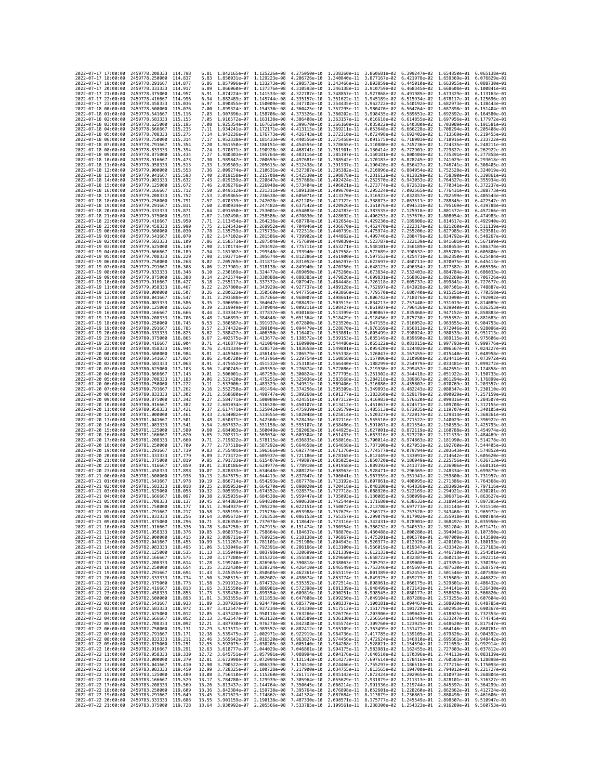| 2022-07-17 17:00:00<br>2022-07-17 18:00:00 |                     | 2459778.208333                                   | 114.798             | 6.81           | 1.842165e-07 1.125226e-08                                                                                                                                                                                                                                                                                                                             |                                                        | 4.275050e-10                 |                              | 1.338260e-11 3.860681e-02 6.399247e-02                                           |                                                                                                         | 1.654850e-01                              | 6.065138e-01                 |
|--------------------------------------------|---------------------|--------------------------------------------------|---------------------|----------------|-------------------------------------------------------------------------------------------------------------------------------------------------------------------------------------------------------------------------------------------------------------------------------------------------------------------------------------------------------|--------------------------------------------------------|------------------------------|------------------------------|----------------------------------------------------------------------------------|---------------------------------------------------------------------------------------------------------|-------------------------------------------|------------------------------|
|                                            |                     | 2459778.250000                                   | 114.837             | 6.83           | 1.850031e-07 1.129223e-08                                                                                                                                                                                                                                                                                                                             |                                                        | 4.286726e-10                 |                              | 1.340840e-11 3.877167e-02 6.421978e-02                                           |                                                                                                         | 1.659369e-01                              | 6.076829e-01                 |
| 2022-07-17 19:00:00                        |                     | 2459778.291667                                   | 114.877             | 6.86           | 1.857996e-07 1.133273e-08                                                                                                                                                                                                                                                                                                                             |                                                        | 4.298573e-10                 |                              | 1.343466e-11 3.893859e-02                                                        | 6.445010e-02                                                                                            | 1.663955e-01                              | 6.088730e-01                 |
| 2022-07-17 20:00:00                        |                     | 2459778.333333 114.917                           |                     | 6.89           |                                                                                                                                                                                                                                                                                                                                                       | 1.866060e-07 1.137376e-08 4.310593e-10                 |                              |                              |                                                                                  | 1.346138e-11  3.910759e-02  6.468345e-02  1.668608e-01  6.100841e-01                                    |                                           |                              |
| 2022-07-17 21:00:00                        |                     | 2459778.375000 114.957                           |                     | 6.91           |                                                                                                                                                                                                                                                                                                                                                       | 1.874224e-07 1.141533e-08 4.322787e-10                 |                              |                              |                                                                                  | 1.348857e-11 3.927868e-02 6.491985e-02 1.673329e-01                                                     |                                           | 6.113163e-01                 |
| 2022-07-17 22:00:00                        |                     | 2459778.416667                                   | 114.996             | 6.94           | 1.882489e-07                                                                                                                                                                                                                                                                                                                                          | 1,145744e-08                                           | 4.335157e-10                 | 1.351622e-11                 | 3.945189e-02                                                                     | 6.515934e-02                                                                                            | 1.678117e-01                              | 6.125696e-01                 |
| 2022-07-17 23:00:00<br>2022-07-18 00:00:00 |                     | 2459778.458333<br>2459778.500000                 | 115.036<br>115,076  | 6.97<br>7.00   | 1.890855e-07<br>1.899324e-07 1.154330e-08                                                                                                                                                                                                                                                                                                             | 1.150009e-08                                           | 4.347702e-10<br>4.360425e-10 | 1.354435e-11<br>1.357295e-11 | 3.962722e-02<br>3.980470e-02                                                     | 6.540192e-02<br>6.564764e-02                                                                            | 1.682973e-01<br>1.687898e-01              | 6.138443e-01<br>6.151404e-01 |
| 2022-07-18 01:00:00                        |                     | 2459778.541667                                   | 115, 116            | 7.03           | 1.907896e-07 1.158706e-08                                                                                                                                                                                                                                                                                                                             |                                                        | 4.373326e-10                 |                              | 1.360202e-11 3.998435e-02                                                        | 6.589651e-02                                                                                            | 1.692892e-01                              | 6.164580e-01                 |
| 2022-07-18 02:00:00                        |                     | 2459778.583333                                   | 115.155             | 7.05           | 1.916572e-07                                                                                                                                                                                                                                                                                                                                          | 1.163138e-08                                           | 4.386408e-10                 | 1.363157e-11                 | 4.016618e-02                                                                     | 6.614855e-02                                                                                            | 1.697956e-01                              | 6.177972e-01                 |
| 2022-07-18 03:00:00                        |                     | 2459778.625000                                   | 115, 195            | 7.08           | 1.925354e-07 1.167626e-08                                                                                                                                                                                                                                                                                                                             |                                                        | 4.399670e-10                 |                              | 1.366160e-11 4.035022e-02                                                        | 6.640380e-02                                                                                            | 1.703089e-01                              | 6.191581e-01                 |
| 2022-07-18 04:00:00                        |                     | 2459778.666667                                   | 115.235             | 7.11           | 1.934241e-07                                                                                                                                                                                                                                                                                                                                          | 1.172171e-08                                           | 4.413115e-10                 | 1.369211e-11                 | 4.053648e-02                                                                     | 6.666228e-02                                                                                            | 1.708294e-01                              | 6.205408e-01                 |
| 2022-07-18 05:00:00                        |                     | 2459778,708333                                   | 115.275             | 7.14           | 1.943236e-07 1.176773e-08                                                                                                                                                                                                                                                                                                                             |                                                        | 4.426743e-10                 | 1.372310e-11                 | 4.072498e-02                                                                     | 6.692402e-02                                                                                            | 1.713569e-01                              | 6.219455e-01                 |
| 2022-07-18 06:00:00                        |                     | 2459778.750000                                   | 115.314             | 7.17           | 1.952338e-07                                                                                                                                                                                                                                                                                                                                          | 1.181433e-08                                           | 4.440556e-10                 | 1.375458e-11                 | 4.091575e-02                                                                     | 6.718903e-02                                                                                            | 1.718916e-01                              | 6.233722e-01                 |
| 2022-07-18 07:00:00                        |                     | 2459778.791667                                   | 115.354             | 7.20           | 1.961550e-07 1.186151e-08                                                                                                                                                                                                                                                                                                                             |                                                        | 4.454555e-10                 |                              | 1.378655e-11 4.110880e-02                                                        | 6.745736e-02                                                                                            | 1.724335e-01                              | 6.248211e-01                 |
| 2022-07-18 08:00:00<br>2022-07-18 09:00:00 |                     | 2459778.833333<br>2459778.875000                 | 115,394<br>115.434  | 7.24<br>7.27   | 1.970871e-07 1.190928e-08<br>1.980303e-07                                                                                                                                                                                                                                                                                                             | 1.195764e-08                                           | 4.468741e-10<br>4.483116e-10 |                              | 1.381901e-11 4.130414e-02<br>1.385197e-11 4.150181e-02                           | 6.772901e-02<br>6.800404e-02                                                                            | 1.729827e-01<br>1.735391e-01              | 6.262922e-01<br>6.277858e-01 |
| 2022-07-18 10:00:00                        |                     | 2459778.916667                                   | 115,473             | 7.30           | 1.989847e-07 1.200659e-08                                                                                                                                                                                                                                                                                                                             |                                                        | 4.497681e-10                 |                              | 1.388542e-11 4.170183e-02                                                        | 6.828245e-02                                                                                            | 1.741029e-01                              | 6.293018e-01                 |
| 2022-07-18 11:00:00                        |                     | 2459778.958333                                   | 115.513             | 7.33           |                                                                                                                                                                                                                                                                                                                                                       | 1.999503e-07 1.205615e-08                              | 4.512438e-10                 |                              | 1.391937e-11 4.190420e-02                                                        | 6.856427e-02                                                                                            | 1.746741e-01                              | 6.308405e-01                 |
| 2022-07-18 12:00:00                        |                     | 2459779.000000                                   | 115,553             | 7.36           | 2.009274e-07 1.210631e-08                                                                                                                                                                                                                                                                                                                             |                                                        | 4.527387e-10                 |                              | 1.395382e-11 4.210896e-02 6.884954e-02                                           |                                                                                                         | 1.752528e-01                              | 6.324019e-01                 |
| 2022-07-18 13:00:00                        |                     | 2459779.041667                                   | 115,593             | 7.40           | 2.019158e-07                                                                                                                                                                                                                                                                                                                                          | 1.215708e-08                                           | 4.542530e-10                 | 1.398878e-11                 | 4.231612e-02                                                                     | 6.913829e-02                                                                                            | 1.758390e-01                              | 6.339861e-01                 |
| 2022-07-18 14:00:00                        |                     | 2459779.083333                                   | 115,632             | 7.43           | 2.029159e-07                                                                                                                                                                                                                                                                                                                                          | 1.220847e-08                                           | 4.557868e-10                 |                              | 1.402424e-11 4.252570e-02                                                        | 6.943053e-02                                                                                            | 1.764327e-01                              | 6.355934e-01                 |
| 2022-07-18 15:00:00                        |                     | 2459779.125000                                   | 115.672             | 7.46           | 2.039276e-07 1.226048e-08                                                                                                                                                                                                                                                                                                                             |                                                        | 4.573404e-10                 |                              | 1.406021e-11 4.273774e-02                                                        | 6.972631e-02                                                                                            | 1.770341e-01                              | 6.372237e-01                 |
| 2022-07-18 16:00:00<br>2022-07-18 17:00:00 |                     | 2459779.166667                                   | 115.712             | 7.50           |                                                                                                                                                                                                                                                                                                                                                       | 2.049512e-07 1.231311e-08                              | 4.589138e-10                 |                              | 1,409670e-11 4,295224e-02<br>1.413370e-11 4.316923e-02                           | 7.002565e-02                                                                                            | 1.776431e-01<br>1.782599e-01              | 6.388773e-01                 |
| 2022-07-18 18:00:00                        |                     | 2459779.208333<br>2459779,250000                 | 115.752<br>115.791  | 7.53<br>7.57   | 2.059865e-07 1.236638e-08                                                                                                                                                                                                                                                                                                                             | 2.070339e-07 1.242028e-08                              | 4.605071e-10<br>4.621205e-10 |                              | 1.417122e-11 4.338873e-02                                                        | 7.032857e-02                                                                                            | 7.063511e-02 1.788845e-01                 | 6.405543e-01<br>6.422547e-01 |
| 2022-07-18 19:00:00                        |                     | 2459779.291667                                   | 115.831             | 7.60           | 2.080934e-07 1.247482e-08                                                                                                                                                                                                                                                                                                                             |                                                        | 4.637542e-10                 |                              | 1.420926e-11 4.361076e-02                                                        | 7.094531e-02                                                                                            | 1.795169e-01                              | 6.439788e-01                 |
| 2022-07-18 20:00:00                        |                     | 2459779.333333                                   | 115,871             | 7.64           | 2.091650e-07                                                                                                                                                                                                                                                                                                                                          | 1.253001e-08                                           | 4.654083e-10                 | 1.424783e-11                 | 4.383535e-02                                                                     | 7.125918e-02                                                                                            | 1.801572e-01                              | 6.457266e-01                 |
| 2022-07-18 21:00:00                        |                     | 2459779.375000                                   | 115.911             | 7.67           | 2.102490e-07 1.258586e-08                                                                                                                                                                                                                                                                                                                             |                                                        | 4.670830e-10                 |                              | 1.428692e-11 4.406253e-02                                                        | 7.157676e-02                                                                                            | 1.808054e-01                              | 6.474983e-01                 |
| 2022-07-18 22:00:00                        |                     | 2459779.416667                                   | 115,950             | 7.71           | 2.113454e-07 1.264236e-08                                                                                                                                                                                                                                                                                                                             |                                                        | 4.687784e-10                 |                              | 1.432654e-11 4.429230e-02 7.189808e-02                                           |                                                                                                         | 1.814617e-01                              | 6.492940e-01                 |
| 2022-07-18 23:00:00                        |                     | 2459779.458333                                   | 115.990             | 7.75           | 2.124543e-07 1.269952e-08                                                                                                                                                                                                                                                                                                                             |                                                        | 4,704946e-10                 |                              | 1.436670e-11 4.452470e-02                                                        | 7.222317e-02                                                                                            | 1.821260e-01                              | 6.511139e-01                 |
| 2022-07-19 00:00:00                        |                     | 2459779.500000                                   | 116,030             | 7.78           | 2.135759e-07                                                                                                                                                                                                                                                                                                                                          | 1.275735e-08                                           | 4.722318e-10                 |                              | 1.440739e-11 4.475974e-02                                                        | 7.255206e-02                                                                                            | 1.827985e-01                              | 6.529581e-01                 |
| 2022-07-19 01:00:00<br>2022-07-19 02:00:00 |                     | 2459779.541667<br>2459779.583333 116.109         | 116,070             | 7.82<br>7.86   |                                                                                                                                                                                                                                                                                                                                                       | 2.147102e-07 1.281586e-08<br>2.158573e-07 1.287504e-08 | 4.739902e-10<br>4.757699e-10 |                              | 1.444862e-11 4.499746e-02<br>1.449039e-11 4.523787e-02 7.322139e-02              |                                                                                                         | 7.288479e-02 1.834792e-01<br>1.841681e-01 | 6.548267e-01<br>6.567199e-01 |
| 2022-07-19 03:00:00                        |                     | 2459779.625000                                   | 116.149             | 7.90           | 2.170174e-07 1.293492e-08                                                                                                                                                                                                                                                                                                                             |                                                        | 4.775711e-10                 |                              | 1.453271e-11 4.548101e-02                                                        | 7.356189e-02                                                                                            | 1.848653e-01                              | 6.586378e-01                 |
| 2022-07-19 04:00:00                        |                     | 2459779.666667                                   | 116.189             | 7.94           | 2.181907e-07                                                                                                                                                                                                                                                                                                                                          | 1.299548e-08                                           | 4.793940e-10                 |                              | 1.457558e-11 4.572689e-02                                                        | 7.390632e-02                                                                                            | 1.855709e-01                              | 6.605806e-01                 |
| 2022-07-19 05:00:00                        |                     | 2459779.708333                                   | 116.229             | 7.98           |                                                                                                                                                                                                                                                                                                                                                       | 2.193771e-07 1.305674e-08                              | 4.812386e-10                 |                              | 1.461900e-11 4.597553e-02                                                        | 7.425471e-02                                                                                            | 1.862850e-01                              | 6.625484e-01                 |
| 2022-07-19 06:00:00                        |                     | 2459779.750000                                   | 116, 268            | 8.02           | 2.205769e-07 1.311871e-08                                                                                                                                                                                                                                                                                                                             |                                                        | 4.831052e-10                 |                              | 1.466297e-11 4.622697e-02                                                        | 7.460711e-02                                                                                            | 1.870075e-01                              | 6.645413e-01                 |
| 2022-07-19 07:00:00                        |                     | 2459779.791667                                   | 116,308             | 8.06           | 2.217901e-07                                                                                                                                                                                                                                                                                                                                          | 1.318138e-08                                           | 4.849940e-10                 |                              | 1.470750e-11 4.648123e-02                                                        | 7.496354e-02                                                                                            | 1.877387e-01                              | 6.665596e-01                 |
| 2022-07-19 08:00:00                        |                     | 2459779.833333                                   | 116,348             | 8.10           | 2.230169e-07 1.324477e-08                                                                                                                                                                                                                                                                                                                             |                                                        | 4.869050e-10                 |                              | 1.475260e-11 4.673834e-02                                                        | 7.532403e-02                                                                                            | 1.884784e-01                              | 6.686033e-01                 |
| 2022-07-19 09:00:00<br>2022-07-19 10:00:00 |                     | 2459779.875000<br>2459779.916667                 | 116.388             | 8.14           | 2.242574e-07 1.330888e-08<br>2.255117e-07                                                                                                                                                                                                                                                                                                             | 1.337372e-08                                           | 4.888385e-10                 | 1.484448e-11                 | 1.479826e-11 4.699831e-02<br>4.726118e-02                                        | 7.568863e-02                                                                                            | 1.892269e-01<br>1.899841e-01              | 6.706726e-01<br>6.727677e-01 |
| 2022-07-19 11:00:00                        |                     | 2459779.958333                                   | 116,427<br>116.467  | 8.18<br>8.22   | 2.267800e-07                                                                                                                                                                                                                                                                                                                                          | 1.343929e-08                                           | 4.907947e-10<br>4.927737e-10 | 1.489128e-11                 | 4.752697e-02                                                                     | 7.605737e-02<br>7.643028e-02                                                                            | 1.907501e-01                              | 6.748887e-01                 |
| 2022-07-19 12:00:00                        |                     | 2459780,000000                                   | 116.507             | 8.26           |                                                                                                                                                                                                                                                                                                                                                       | 2.280623e-07 1.350560e-08                              | 4.947756e-10                 |                              | 1.493866e-11 4.779570e-02                                                        | 7.680740e-02                                                                                            | 1.915251e-01                              | 6.770358e-01                 |
| 2022-07-19 13:00:00                        |                     | 2459780.041667                                   | 116.547             | 8.31           | 2.293588e-07 1.357266e-08                                                                                                                                                                                                                                                                                                                             |                                                        | 4.968007e-10                 |                              | 1.498661e-11 4.806742e-02                                                        | 7.718876e-02                                                                                            | 1.923090e-01                              | 6.792092e-01                 |
| 2022-07-19 14:00:00                        |                     | 2459780.083333                                   | 116.586             | 8.35           | 2.306696e-07                                                                                                                                                                                                                                                                                                                                          | 1.364047e-08                                           | 4.988492e-10                 |                              | 1.503515e-11 4.834213e-02                                                        | 7.757440e-02                                                                                            | 1.931019e-01                              | 6.814089e-01                 |
| 2022-07-19 15:00:00                        |                     | 2459780.125000                                   | 116.626             | 8.39           | 2.319949e-07                                                                                                                                                                                                                                                                                                                                          | 1.370904e-08                                           | 5.009211e-10                 | 1.508427e-11                 | 4.861987e-02                                                                     | 7.796436e-02                                                                                            | 1.939040e-01                              | 6.836353e-01                 |
| 2022-07-19 16:00:00                        |                     | 2459780.166667                                   | 116,666             | 8.44           | 2.333347e-07 1.377837e-08                                                                                                                                                                                                                                                                                                                             |                                                        | 5.030168e-10                 | 1.513399e-11                 |                                                                                  | 4.890067e-02 7.835868e-02                                                                               | 1.947152e-01                              | 6.858883e-01                 |
| 2022-07-19 17:00:00                        |                     | 2459780.208333                                   | 116,706             | 8.48           | 2.346893e-07 1.384848e-08                                                                                                                                                                                                                                                                                                                             |                                                        | 5.051364e-10                 |                              | 1.518429e-11 4.918456e-02                                                        | 7.875738e-02                                                                                            | 1.955357e-01                              | 6.881683e-01                 |
| 2022-07-19 18:00:00<br>2022-07-19 19:00:00 |                     | 2459780.250000<br>2459780.291667                 | 116,745<br>116,785  | 8.53<br>8.57   | 2.360587e-07<br>2.374432e-07 1.399104e-08                                                                                                                                                                                                                                                                                                             | 1.391937e-08                                           | 5.072800e-10<br>5.094479e-10 | 1.523520e-11                 | 4.947155e-02                                                                     | 7.916052e-02<br>7.956813e-02                                                                            | 1.963655e-01                              | 6.904753e-01<br>6.928096e-01 |
| 2022-07-19 20:00:00                        |                     | 2459780.333333                                   | 116.825             | 8.62           | 2.388427e-07                                                                                                                                                                                                                                                                                                                                          | 1.406350e-08                                           | 5.116402e-10                 |                              | 1.528670e-11 4.976169e-02<br>1.533881e-11 5.005499e-02                           | 7.998024e-02                                                                                            | 1.972046e-01<br>1.980533e-01              | 6.951713e-01                 |
| 2022-07-19 21:00:00                        |                     | 2459780.375000                                   | 116.865             | 8.67           | 2.402575e-07                                                                                                                                                                                                                                                                                                                                          | 1.413677e-08                                           | 5.138572e-10                 | 1.539153e-11                 | 5.035149e-02                                                                     | 8.039690e-02                                                                                            | 1.989115e-01                              | 6.975606e-01                 |
| 2022-07-19 22:00:00                        |                     | 2459780.416667                                   | 116.904             | 8.71           | 2.416877e-07                                                                                                                                                                                                                                                                                                                                          | 1.421084e-08                                           | 5.160990e-10                 | 1.544486e-11                 | 5.065122e-02                                                                     | 8.081815e-02                                                                                            | 1.997793e-01                              | 6.999776e-01                 |
| 2022-07-19 23:00:00                        |                     | 2459780,458333                                   | 116.944             | 8.76           | 2.431334e-07 1.428572e-08                                                                                                                                                                                                                                                                                                                             |                                                        | 5.183658e-10                 |                              | 1.549881e-11 5.095420e-02                                                        | 8.124402e-02                                                                                            | 2.006567e-01 7.024227e-01                 |                              |
| 2022-07-20 00:00:00                        |                     | 2459780.500000                                   | 116.984             | 8.81           | 2.445948e-07 1.436143e-08                                                                                                                                                                                                                                                                                                                             |                                                        | 5.206579e-10                 |                              | 1.555338e-11 5.126047e-02 8.167455e-02                                           |                                                                                                         | 2.015440e-01 7.048958e-01                 |                              |
| 2022-07-20 01:00:00                        |                     | 2459780.541667                                   | 117.024             | 8.86           | 2.460720e-07                                                                                                                                                                                                                                                                                                                                          | 1.443796e-08                                           | 5.229754e-10                 | 1.560858e-11                 | 5.157006e-02                                                                     | 8.210980e-02                                                                                            | 2.024411e-01                              | 7.073972e-01                 |
| 2022-07-20 02:00:00<br>2022-07-20 03:00:00 |                     | 2459780.583333<br>2459780.625000                 | 117,063<br>117,103  | 8.91<br>8.96   | 2.475652e-07<br>2.490745e-07 1.459353e-08                                                                                                                                                                                                                                                                                                             | 1.451532e-08                                           | 5.253185e-10<br>5.276874e-10 | 1.566440e-11                 | 5.188299e-02<br>1.572086e-11 5.219930e-02 8.299457e-02                           | 8.254979e-02                                                                                            | 2.033481e-01<br>2.042651e-01 7.124858e-01 | 7.099272e-01                 |
| 2022-07-20 04:00:00                        |                     | 2459780.666667                                   | 117, 143            | 9.01           | 2.506001e-07 1.467259e-08                                                                                                                                                                                                                                                                                                                             |                                                        | 5.300824e-10                 |                              | 1.577795e-11 5.251902e-02 8.344418e-02                                           |                                                                                                         | 2.051922e-01 7.150733e-01                 |                              |
| 2022-07-20 05:00:00                        |                     | 2459780.708333                                   | 117, 183            | 9.06           | 2.521420e-07                                                                                                                                                                                                                                                                                                                                          | 1.475251e-08                                           | 5.325036e-10                 | 1.583568e-11                 | 5.284218e-02                                                                     | 8.389867e-02                                                                                            | 2.061294e-01                              | 7.176899e-01                 |
| 2022-07-20 06:00:00                        |                     | 2459780.750000                                   | 117,222             | 9.11           | 2.537006e-07 1.483329e-08                                                                                                                                                                                                                                                                                                                             |                                                        | 5.349513e-10                 | 1.589406e-11                 | 5.316880e-02                                                                     | 8.435807e-02                                                                                            | 2.070769e-01                              | 7.203357e-01                 |
| 2022-07-20 07:00:00                        |                     | 2459780.791667                                   | 117.262             | 9.16           | 2.552758e-07 1.491494e-08                                                                                                                                                                                                                                                                                                                             |                                                        | 5.374256e-10                 |                              | 1.595309e-11 5.349893e-02 8.482243e-02                                           |                                                                                                         | 2.080347e-01                              | 7.230110e-01                 |
| 2022-07-20 08:00:00                        |                     | 2459780.833333                                   | 117.302             | 9.21           | 2.568680e-07 1.499747e-08                                                                                                                                                                                                                                                                                                                             |                                                        | 5.399268e-10                 | 1.601277e-11 5.383260e-02    |                                                                                  |                                                                                                         |                                           |                              |
|                                            |                     |                                                  |                     |                |                                                                                                                                                                                                                                                                                                                                                       |                                                        |                              |                              |                                                                                  | 8.529179e-02                                                                                            | 2.090029e-01                              | 7.257159e-01                 |
|                                            | 2022-07-20 09:00:00 | 2459780.875000                                   | 117,342             | 9.27           | 2.584771e-07                                                                                                                                                                                                                                                                                                                                          | 1.508089e-08                                           | 5.424551e-10                 | 1.607312e-11                 | 5.416983e-02                                                                     | 8.576620e-02                                                                                            | 2.099816e-01                              | 7.284507e-01                 |
| 2022-07-20 10:00:00                        |                     | 2459780.916667                                   | 117.382             | 9.32           | 2.601034e-07 1.516520e-08                                                                                                                                                                                                                                                                                                                             |                                                        | 5.450107e-10                 |                              | 1.613412e-11 5.451067e-02                                                        | 8.624571e-02                                                                                            | 2.109708e-01 7.312155e-01                 |                              |
| 2022-07-20 11:00:00                        |                     | 2459780.958333                                   | 117.421             | 9.37           | 2.617471e-07 1.525042e-08                                                                                                                                                                                                                                                                                                                             |                                                        | 5.475939e-10                 |                              | 1.619579e-11 5.485513e-02                                                        | 8.673035e-02                                                                                            | 2.119707e-01                              | 7.340105e-01                 |
| 2022-07-20 12:00:00                        |                     | 2459781.000000                                   | 117.461<br>117.501  | 9.43<br>9.48   | 2.634082e-07                                                                                                                                                                                                                                                                                                                                          | 1.533655e-08                                           | 5.502048e-10                 | 1.625814e-11                 | 5.520327e-02                                                                     | 8.722017e-02                                                                                            | 2.129814e-01                              | 7.368361e-01<br>7.396922e-01 |
| 2022-07-20 13:00:00                        |                     | 2459781.041667                                   | 117.541             | 9.54           | 2.650871e-07 1.542360e-08                                                                                                                                                                                                                                                                                                                             |                                                        | 5.528436e-10                 | 1.632116e-11                 | 5.555510e-02                                                                     | 8.771522e-02                                                                                            | 2.140029e-01                              | 7.425793e-01                 |
| 2022-07-20 14:00:00<br>2022-07-20 15:00:00 |                     | 2459781.083333<br>2459781.125000                 | 117.580             | 9.60           | 2.667837e-07 1.551158e-08<br>2.684983e-07 1.560049e-08                                                                                                                                                                                                                                                                                                |                                                        | 5.555107e-10<br>5.582063e-10 |                              | 1.638486e-11 5.591067e-02 8.821554e-02<br>1.644925e-11 5.627001e-02 8.872119e-02 |                                                                                                         | 2.150353e-01<br>2.160788e-01 7.454974e-01 |                              |
| 2022-07-20 16:00:00                        |                     | 2459781.166667                                   | 117,620             | 9.65           | 2.702311e-07                                                                                                                                                                                                                                                                                                                                          | 1.569034e-08                                           | 5.609304e-10                 | 1.651433e-11                 | 5.663316e-02                                                                     | 8.923220e-02                                                                                            | 2.171333e-01                              | 7.484469e-01                 |
| 2022-07-20 17:00:00                        |                     | 2459781.208333                                   | 117,660             | 9.71           | 2.719822e-07                                                                                                                                                                                                                                                                                                                                          | 1.578115e-08                                           | 5.636835e-10                 | 1.658010e-11                 | 5.700014e-02                                                                     | 8.974863e-02                                                                                            | 2.181990e-01                              | 7.514278e-01                 |
| 2022-07-20 18:00:00                        |                     | 2459781.250000                                   | 117,700             | 9.77           | 2.737518e-07 1.587292e-08                                                                                                                                                                                                                                                                                                                             |                                                        | 5.664658e-10                 |                              | 1.664658e-11 5.737100e-02 9.027053e-02                                           |                                                                                                         | 2.192760e-01                              | 7.544405e-01                 |
| 2022-07-20 19:00:00                        |                     | 2459781.291667                                   | 117,739             | 9.83           | 2.755401e-07 1.596566e-08                                                                                                                                                                                                                                                                                                                             |                                                        | 5.692774e-10                 |                              | 1.671376e-11 5.774577e-02                                                        | 9.079794e-02                                                                                            | 2.203643e-01                              | 7.574852e-01                 |
| 2022-07-20 20:00:00                        |                     | 2459781.333333                                   | 117.779             | 9.89           | 2.773472e-07 1.605937e-08                                                                                                                                                                                                                                                                                                                             |                                                        | 5.721186e-10                 | 1.678165e-11                 | 5.812449e-02                                                                     | 9.133091e-02                                                                                            | 2.214642e-01<br>2.225756e-01              | 7.605620e-01                 |
| 2022-07-20 21:00:00<br>2022-07-20 22:00:00 |                     | 2459781.375000<br>2459781,416667                 | 117.819<br>117,859  | 9.95<br>10.01  | 2.791733e-07 1.615407e-08<br>2.810186e-07                                                                                                                                                                                                                                                                                                             | 1.624977e-08                                           | 5.749897e-10<br>5.778910e-10 | 1.685025e-11<br>1.691958e-11 | 5.850720e-02<br>5.889392e-02                                                     | 9.186949e-02<br>9.241373e-02                                                                            | 2.236986e-01                              | 7.636713e-01<br>7.668131e-01 |
| 2022-07-20 23:00:00                        |                     | 2459781.458333                                   | 117,898             | 10.07          | 2.828833e-07                                                                                                                                                                                                                                                                                                                                          | 1.634648e-08                                           | 5.808225e-10                 | 1.698963e-11                 | 5.928471e-02                                                                     | 9.296369e-02                                                                                            | 2.248334e-01                              | 7.699879e-01                 |
| 2022-07-21 00:00:00                        |                     | 2459781.500000                                   | 117,938             | 10.13          | 2.847675e-07                                                                                                                                                                                                                                                                                                                                          | 1.644419e-08                                           | 5.837847e-10                 | 1.706041e-11                 | 5.967959e-02                                                                     | 9.351941e-02                                                                                            | 2.259800e-01                              | 7.731957e-01                 |
| 2022-07-21 01:00:00                        |                     | 2459781.541667                                   | 117.978             | 10.19          | 2.866714e-07 1.654293e-08                                                                                                                                                                                                                                                                                                                             |                                                        | 5.867778e-10                 |                              | 1.713192e-11 6.007861e-02 9.408095e-02                                           |                                                                                                         | 2.271386e-01                              | 7.764368e-01                 |
| 2022-07-21 02:00:00                        |                     | 2459781.583333                                   | 118,018<br>118, 058 | 10.25          | 2.885953e-07 1.664270e-08                                                                                                                                                                                                                                                                                                                             |                                                        | 5.898020e-10                 |                              | 1.720418e-11 6.048180e-02 9.464836e-02                                           |                                                                                                         | 2.283093e-01                              | 7.797116e-01<br>7.830201e-01 |
| 2022-07-21 03:00:00<br>2022-07-21 04:00:00 |                     | 2459781.625000<br>2459781,666667                 | 118.097             | 10.32<br>10.38 | 2.905393e-07                                                                                                                                                                                                                                                                                                                                          | 1.674352e-08<br>2.925035e-07 1.684538e-08              | 5.928575e-10<br>5.959447e-10 | 1.727718e-11                 | 6.088920e-02                                                                     | 9.522169e-02<br>1.735093e-11  6.130085e-02  9.580099e-02  2.306871e-01  7.863627e-01                    | 2.294921e-01                              |                              |
| 2022-07-21 05:00:00                        |                     | 2459781.708333 118.137                           |                     | 10.45          |                                                                                                                                                                                                                                                                                                                                                       |                                                        |                              |                              |                                                                                  | 2.944883e-07 1.694830e-08 5.990638e-10 1.742544e-11 6.171680e-02 9.638632e-02 2.318945e-01 7.897395e-01 |                                           |                              |
| 2022-07-21 06:00:00                        |                     | 2459781.750000 118.177                           |                     | 10.51          |                                                                                                                                                                                                                                                                                                                                                       |                                                        |                              |                              |                                                                                  | 2.964937e-07 1.705229e-08 6.022151e-10 1.750072e-11 6.213708e-02 9.697773e-02 2.331144e-01 7.931510e-01 |                                           |                              |
| 2022<br>-07                                | -21 07:00:00        | 2459781.791667                                   | 118.217             | 10.58          | 2.985199e-07                                                                                                                                                                                                                                                                                                                                          | 1.715736e-08                                           | 6.053988e-10                 | 1.757675e-11                 | 6.256173e-02                                                                     | 9.757528e-02                                                                                            | 2.343468e-01                              | 7.965972e-01                 |
| 2022-07-21 08:00:00                        |                     | 2459781.833333 118.256                           |                     |                | 10.64 3.005672e-07 1.726353e-08 6.086153e-10 1.765357e-11 6.299079e-02 9.817902e-02 2.355918e-01 8.000784e-01                                                                                                                                                                                                                                         |                                                        |                              |                              |                                                                                  |                                                                                                         |                                           |                              |
| 2022-07-21 09:00:00<br>2022-07-21 10:00:00 |                     | 2459781.875000 118.296<br>2459781.916667 118.336 |                     | 10.78          | 10.71 3.026358e-07 1.737078e-08 6.118647e-10 1.773116e-11 6.342431e-02 9.878901e-02 2.368497e-01 8.035950e-01                                                                                                                                                                                                                                         |                                                        |                              |                              |                                                                                  |                                                                                                         |                                           |                              |
| 2022-07-21 11:00:00                        |                     | 2459781.958333 118.376                           |                     |                | 3.047258e-07 1.747915e-08 6.151474e-10 1.780954e-11 6.386232e-02 9.940531e-02 2.381204e-01 8.071471e-01<br>10.85 3.068375e-07 1.758864e-08 6.184637e-10 1.788870e-11 6.430488e-02 1.000280e-01 2.394041e-01 8.107350e-01                                                                                                                              |                                                        |                              |                              |                                                                                  |                                                                                                         |                                           |                              |
| 2022-07-21 12:00:00                        |                     | 2459782.000000 118.415                           |                     |                | 10.92 3.089711e-07 1.769925e-08 6.218138e-10 1.796867e-11 6.475201e-02 1.006570e-01 2.407009e-01 8.143590e-01                                                                                                                                                                                                                                         |                                                        |                              |                              |                                                                                  |                                                                                                         |                                           |                              |
| 2022-07-21 13:00:00                        |                     | 2459782.041667 118.455                           |                     |                |                                                                                                                                                                                                                                                                                                                                                       |                                                        |                              |                              |                                                                                  |                                                                                                         |                                           |                              |
| 2022-07-21 14:00:00                        |                     | 2459782.083333 118.495                           |                     | 11.06          | 10.99 3.111267e-07 1.781101e-08 6.251980e-10 1.804943e-11 6.520377e-02 1.012926e-01 2.420109e-01 8.180193e-01<br>11.06 3.133046e-07 1.792391e-08 6.266166e-10 1.813100e-11 6.566019e-02 1.019347e-01 2.433342e-01 8.217163e-01                                                                                                                        |                                                        |                              |                              |                                                                                  |                                                                                                         |                                           |                              |
| 2022-07-21 15:00:00                        |                     | 2459782.125000 118.535                           |                     |                | 11.13 3.155049e-07 1.803798e-08 6.320699e-10 1.821339e-11 6.612133e-02 1.025834e-01 2.446710e-01 8.254501e-01                                                                                                                                                                                                                                         |                                                        |                              |                              |                                                                                  |                                                                                                         |                                           |                              |
| 2022-07-21 16:00:00<br>2022-07-21 17:00:00 |                     | 2459782.166667 118.575<br>2459782.208333 118.614 |                     |                | 11.20 3.177280e-07 1.815321e-08 6.355582e-10 1.829660e-11 6.658722e-02 1.032387e-01 2.460213e-01 8.292211e-01                                                                                                                                                                                                                                         |                                                        |                              |                              |                                                                                  |                                                                                                         |                                           |                              |
| 2022-07-21 18:00:00                        |                     | 2459782.250000 118.654                           |                     |                |                                                                                                                                                                                                                                                                                                                                                       |                                                        |                              |                              |                                                                                  |                                                                                                         |                                           |                              |
| 2022-07-21 19:00:00                        |                     | 2459782.291667 118.694                           |                     |                | 11.28 3.199740e-07 1.826963e-08 6.390818e-10 1.838063e-11 6.765792e-02 1.039008e-01 2.473853e-01 8.330295e-01<br>11.35 3.222430e-07 1.838724e-08 6.426410e-10 1.836063e-11 6.7553346e-02 1.045697e-01 2.437853e-01 8.330295e-01<br>1                                                                                                                  |                                                        |                              |                              |                                                                                  |                                                                                                         |                                           |                              |
| 2022-07-21 20:00:00                        |                     | 2459782.333333 118.734                           |                     |                | 11.50 3.268515e-07 1.862607e-08 6.498674e-10 1.863774e-11 6.849925e-02 1.059279e-01 2.515603e-01 8.446822e-01                                                                                                                                                                                                                                         |                                                        |                              |                              |                                                                                  |                                                                                                         |                                           |                              |
| 2022-07-21 21:00:00                        |                     | 2459782.375000 118.773                           |                     |                |                                                                                                                                                                                                                                                                                                                                                       |                                                        |                              |                              |                                                                                  |                                                                                                         |                                           |                              |
| 2022-07-21 22:00:00                        |                     | 2459782.416667 118.813                           |                     |                | $\begin{array}{cccccccccccc} 11.58 & 3.291912e-07 & 1.874732e-08 & 6.535352e-10 & 1.872514e-11 & 6.898961e-02 & 1.066175e-01 & 2.529801e-01 & 8.486432e-01 \\ 11.65 & 3.315550e-07 & 1.886981e-08 & 6.572398e-10 & 1.881339e-11 & 6.948499e-02 & 1.073141e-01 & $                                                                                     |                                                        |                              |                              |                                                                                  |                                                                                                         |                                           |                              |
| 2022-07-21 23:00:00<br>2022-07-22 00:00:00 |                     | 2459782.458333 118.853                           |                     |                | 11.73 3.339430e-07 1.899354e-08 6.609816e-10 1.890251e-11 6.998545e-02 1.080177e-01 2.558626e-01 8.566820e-01                                                                                                                                                                                                                                         |                                                        |                              |                              |                                                                                  |                                                                                                         |                                           |                              |
| 2022-07-22 01:00:00                        |                     | 2459782.500000 118.893<br>2459782.541667 118.933 |                     |                |                                                                                                                                                                                                                                                                                                                                                       |                                                        |                              |                              |                                                                                  |                                                                                                         |                                           |                              |
| 2022-07-22 02:00:00                        |                     | 2459782.583333 118.972                           |                     |                | 11.81 3.363555e-07 1.911853e-08 6.647608e-10 1.899250e-11 7.049104e-02 1.087286e-01 2.573255e-01 8.607604e-01<br>11.89 3.387926e-07 1.924479e-08 6.685779e-10 1.908337e-11 7.100181e-02 1.094467e-01 2.588030e-01 8.648785e-01<br>11.97 3.412547e-07 1.937234e-08 6.724330e-10 1.917512e-11 7.151779e-02 1.101720e-01 2.602953e-01 8.690367e-01       |                                                        |                              |                              |                                                                                  |                                                                                                         |                                           |                              |
| 2022-07-22 03:00:00                        |                     | 2459782.625000 119.012                           |                     |                | 12.05 3.437420e-07 1.950118e-08 6.763266e-10 1.926776e-11 7.203906e-02 1.109047e-01 2.618025e-01 8.732353e-01                                                                                                                                                                                                                                         |                                                        |                              |                              |                                                                                  |                                                                                                         |                                           |                              |
| 2022-07-22 04:00:00                        |                     | 2459782.666667 119.052                           |                     |                |                                                                                                                                                                                                                                                                                                                                                       |                                                        |                              |                              |                                                                                  |                                                                                                         |                                           |                              |
| 2022-07-22 05:00:00                        |                     | 2459782.708333 119.092                           |                     |                | 12.13 3.462547e-07 1.963132e-08 6.802589e-10 1.936130e-11 7.256564e-02 1.116449e-01 2.633247e-01 8.774745e-01<br>12.21 3.487930e-07 1.976278e-08 6.842303e-10 1.945574e-11 7.309760e-02 1.123925e-01 2.648620e-01 8.817547e-01                                                                                                                        |                                                        |                              |                              |                                                                                  |                                                                                                         |                                           |                              |
| 2022-07-22 06:00:00                        |                     | 2459782.750000 119.131                           |                     |                | 12.29 3.513571e-07 1.989557e-08 6.882412e-10 1.955109e-11 7.363499e-02 1.131477e-01 2.664146e-01 8.860761e-01                                                                                                                                                                                                                                         |                                                        |                              |                              |                                                                                  |                                                                                                         |                                           |                              |
| 2022-07-22 07:00:00                        |                     | 2459782.791667 119.171                           |                     |                |                                                                                                                                                                                                                                                                                                                                                       |                                                        |                              |                              |                                                                                  |                                                                                                         |                                           |                              |
| 2022-07-22 08:00:00<br>2022-07-22 09:00:00 |                     | 2459782.833333 119.211<br>2459782.875000 119.251 |                     |                |                                                                                                                                                                                                                                                                                                                                                       |                                                        |                              |                              |                                                                                  |                                                                                                         |                                           |                              |
| 2022-07-22 10:00:00                        |                     | 2459782.916667 119.291                           |                     |                |                                                                                                                                                                                                                                                                                                                                                       |                                                        |                              |                              |                                                                                  |                                                                                                         |                                           |                              |
| 2022-07-22 11:00:00                        |                     | 2459782.958333 119.330                           |                     |                | 12.38 3.539476e-07 2.062971e-08 6.922919e-10 1.964736e-11 7.417785e-02 1.139105e-01 2.679826e-01 8.9049392e-01<br>12.48 3.539476e-07 2.063520e-08 6.962827e-10 1.974456e-11 7.417785e-02 1.139105e-01 2.679826e-01 8.9049492e-01<br>                                                                                                                  |                                                        |                              |                              |                                                                                  |                                                                                                         |                                           |                              |
| 2022-07-22 12:00:00                        |                     | 2459783.000000 119.370                           |                     |                | $\begin{array}{cccccccccccc} 12.72 & 3.645751e-07 & 2.057991e-08 & 7.088994e-10 & 2.004176e-11 & 7.640510e-02 & 1.170396e-01 & 2.744113e-01 & 9.083139e-01 \\ 12.81 & 3.672998e-07 & 2.072094e-08 & 7.131542e-10 & 2.014273e-11 & 7.697614e-02 & 1.178416e-01 & $                                                                                     |                                                        |                              |                              |                                                                                  |                                                                                                         |                                           |                              |
| 2022-07-22 13:00:00                        |                     | 2459783.041667 119.410                           |                     |                | 12.90 3.700522e-07 2.086339e-08 7.174510e-10 2.024466e-11 7.755297e-02 1.186518e-01 2.777216e-01 9.175093e-01                                                                                                                                                                                                                                         |                                                        |                              |                              |                                                                                  |                                                                                                         |                                           |                              |
| 2022-07-22 14:00:00                        |                     | 2459783.083333 119.450                           |                     |                |                                                                                                                                                                                                                                                                                                                                                       |                                                        |                              |                              |                                                                                  |                                                                                                         |                                           |                              |
| 2022-07-22 15:00:00                        |                     | 2459783.125000 119.489                           |                     |                |                                                                                                                                                                                                                                                                                                                                                       |                                                        |                              |                              |                                                                                  |                                                                                                         |                                           |                              |
| 2022-07-22 16:00:00<br>2022-07-22 17:00:00 |                     | 2459783.166667 119.529<br>2459783.208333 119.569 |                     |                | 11.99 3.728325e-07 2.100728e-08 7.217900e-10 2.034755e-11 7.813565e-02 1.194700e-01 2.794012e-01 9.221727e-01<br>13.08 3.756410e-07 2.115260e-08 7.261717e-10 2.045143e-11 7.873424e-02 1.202965e-01 2.310973e-01 9.26880e-01<br>13.<br>13.26 3.813437e-07 2.144764e-08 7.350645e-10 2.066214e-11 7.991936e-02 1.219744e-01 2.845397e-01 9.364299e-01 |                                                        |                              |                              |                                                                                  |                                                                                                         |                                           |                              |
| 2022-07-22 18:00:00                        |                     | 2459783.250000 119.609                           |                     |                | 13.36 3.842384e-07 2.159738e-08 7.395764e-10 2.076898e-11 8.052601e-02 1.228260e-01 2.862862e-01 9.412724e-01                                                                                                                                                                                                                                         |                                                        |                              |                              |                                                                                  |                                                                                                         |                                           |                              |
| 2022-07-22 19:00:00<br>2022-07-22 20:00:00 |                     | 2459783.291667 119.649<br>2459783.333333 119.688 |                     |                | 13.45 3.871623e-07 2.174862e-08 7.441324e-10 2.087684e-11 8.113879e-02 1.236861e-01 2.880498e-01 9.461606e-01<br>13.55 3.901159e-07 2.190138e-08 7.487330e-10 2.098571e-11 8.175777e-02 1.245549e-01 2.898307e-01 9.510947e-01                                                                                                                        |                                                        |                              |                              |                                                                                  |                                                                                                         |                                           |                              |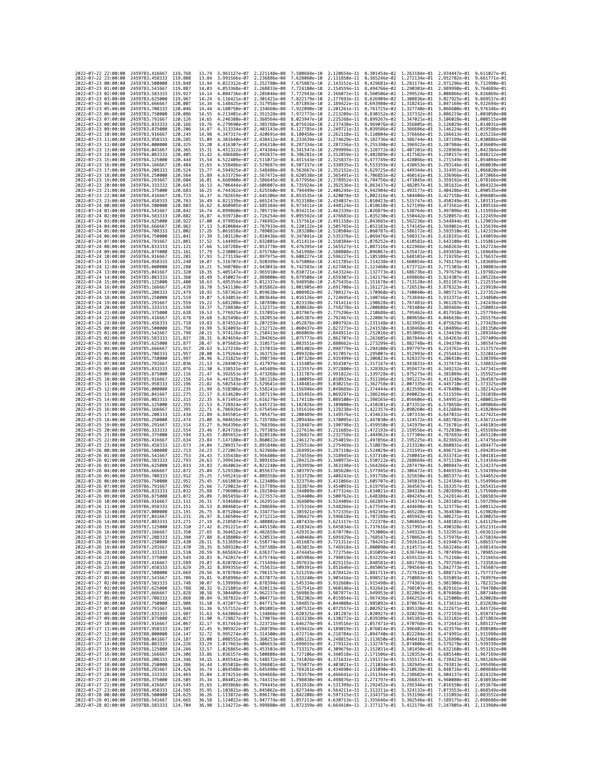| 2022-07-22 22:00:00                        |                     | 2459783.416667                                   | 119.768              | 13.74          | 3.961127e-07 2.221148e-08    |                                                        | 7.580694e-10 2.120654e-11 8.301454e-02                                                                                                                                                                                                                                                                                                                                                                             |                                           |                                                                                  |                              | 1.263184e-01 2.934447e-01 9.611027e-01    |                                                        |
|--------------------------------------------|---------------------|--------------------------------------------------|----------------------|----------------|------------------------------|--------------------------------------------------------|--------------------------------------------------------------------------------------------------------------------------------------------------------------------------------------------------------------------------------------------------------------------------------------------------------------------------------------------------------------------------------------------------------------------|-------------------------------------------|----------------------------------------------------------------------------------|------------------------------|-------------------------------------------|--------------------------------------------------------|
| 2022-07-22 23:00:00                        |                     | 2459783.458333                                   | 119,808              | 13.84          | 3.991566e-07                 | 2.236886e-08                                           | 7.628060e-10                                                                                                                                                                                                                                                                                                                                                                                                       |                                           | 2.131850e-11 8.365246e-02 1.272134e-01                                           |                              | 2.952782e-01                              | 9.661771e-01                                           |
| 2022-07-23 00:00:00                        |                     | 2459783.500000                                   | 119.848              | 13.94          | 4.022312e-07                 | 2.252780e-08                                           | 7.675887e-10                                                                                                                                                                                                                                                                                                                                                                                                       | 2.143152e-11                              | 8.429681e-02 1.281174e-01                                                        |                              | 2.971296e-01                              | 9.712990e-01                                           |
| 2022-07-23 01:00:00<br>2022-07-23 02:00:00 |                     | 2459783.541667<br>2459783.583333                 | 119.887<br>119.927   | 14.03<br>14.14 | 4.053368e-07<br>4.084736e-07 | 2.268833e-08<br>2.285046e-08                           | 7.724180e-10<br>7.772943e-10                                                                                                                                                                                                                                                                                                                                                                                       |                                           | 2.154559e-11 8.494766e-02 1.290303e-01<br>2.166072e-11 8.560506e-02 1.299524e-01 |                              | 2.989990e-01                              | 9.764689e-01<br>3.008866e-01 9.816869e-01              |
| 2022-07-23 03:00:00                        |                     | 2459783.625000                                   | 119,967              | 14.24          | 4.116421e-07                 | 2.301421e-08                                           | 7.822179e-10                                                                                                                                                                                                                                                                                                                                                                                                       | 2.177693e-11                              | 8.626909e-02 1.308836e-01                                                        |                              | 3.027925e-01                              | 9.869537e-01                                           |
| 2022-07-23 04:00:00                        |                     | 2459783.666667                                   | 120.007              | 14.34          | 4.148425e-07                 | 2.317958e-08                                           | 7.871893e-10                                                                                                                                                                                                                                                                                                                                                                                                       | 2.189422e-11                              | 8.693980e-02 1.318241e-01                                                        |                              | 3.047169e-01                              | 9.922694e-01                                           |
| 2022-07-23 05:00:00                        |                     | 2459783.708333                                   | 120,046              | 14.44          | 4.180750e-07                 | 2.334660e-08                                           | 7.922090e-10                                                                                                                                                                                                                                                                                                                                                                                                       | 2.201261e-11                              |                                                                                  | 8.761725e-02 1.327740e-01    | 3.066600e-01                              | 9.976346e-01                                           |
| 2022-07-23 06:00:00<br>2022-07-23 07:00:00 |                     | 2459783.750000<br>2459783.791667                 | 120,086<br>120.126   | 14.55<br>14.65 | 4.213401e-07<br>4.246380e-07 | 2.351528e-08<br>2.368564e-08                           | 7.972773e-10<br>8.023947e-10                                                                                                                                                                                                                                                                                                                                                                                       | 2.213209e-11<br>2.225268e-11              | 8.830152e-02 1.337332e-01<br>8.899267e-02                                        | 1.347021e-01                 | 3.086219e-01 1.003050e+00<br>3.106028e-01 | 1.008515e+00                                           |
| 2022-07-23 08:00:00                        |                     | 2459783.833333                                   | 120,166              | 14.76          | 4.279690e-07                 | 2.385768e-08                                           | 8.075616e-10                                                                                                                                                                                                                                                                                                                                                                                                       | 2.237438e-11                              | 8.969076e-02 1.356805e-01                                                        |                              | 3.126029e-01                              | 1.014031e+00                                           |
| 2022-07-23 09:00:00                        |                     | 2459783.875000                                   | 120,206              | 14.87          | 4.313334e-07                 | 2.403143e-08                                           | 8.127785e-10                                                                                                                                                                                                                                                                                                                                                                                                       | 2.249721e-11                              | 9.039586e-02                                                                     | 1.366686e-01                 | 3.146224e-01                              | 1.019598e+00                                           |
| 2022-07-23 10:00:00                        |                     | 2459783.916667                                   | 120.245              | 14.98          | 4.347317e-07                 | 2.420691e-08                                           | 8.180458e-10                                                                                                                                                                                                                                                                                                                                                                                                       | 2.262118e-11                              | 9.110804e-02                                                                     | 1.376666e-01                 | 3.166613e-01                              | 1.025216e+00                                           |
| 2022-07-23 11:00:00<br>2022-07-23 12:00:00 |                     | 2459783.958333<br>2459784.000000                 | 120.285<br>120.325   | 15.09<br>15.20 | 4.381640e-07<br>4.416307e-07 | 2.438412e-08<br>2.456310e-08                           | 8.233639e-10<br>8.287334e-10                                                                                                                                                                                                                                                                                                                                                                                       | 2.274629e-11<br>2.287256e-11              | 9.182736e-02<br>9.255390e-02 1.396922e-01                                        | 1.386744e-01                 | 3.187199e-01                              | 1.030886e+00<br>3.207984e-01 1.036609e+00              |
| 2022-07-23 13:00:00                        |                     | 2459784.041667                                   | 120.365              | 15.31          | 4.451322e-07                 | 2.474384e-08                                           | 8.341547e-10                                                                                                                                                                                                                                                                                                                                                                                                       | 2.299999e-11                              | 9.328772e-02                                                                     | 1.407201e-01                 | 3.228969e-01 1.042384e+00                 |                                                        |
| 2022-07-23 14:00:00                        |                     | 2459784.083333                                   | 120.405              | 15.42          | 4.486688e-07                 | 2.492637e-08                                           | 8.396281e-10                                                                                                                                                                                                                                                                                                                                                                                                       | 2.312859e-11                              | 9.402889e-02                                                                     | 1.417582e-01                 | 3.250157e-01                              | 1.048212e+00                                           |
| 2022-07-23 15:00:00                        |                     | 2459784.125000                                   | 120,444              | 15.54          | 4.522409e-07                 | 2.511071e-08                                           | 8.451543e-10                                                                                                                                                                                                                                                                                                                                                                                                       | 2.325837e-11                              | 9.477749e-02                                                                     | 1.428066e-01                 | 3.271549e-01                              | 1.054094e+00                                           |
| 2022-07-23 16:00:00<br>2022-07-23 17:00:00 |                     | 2459784.166667<br>2459784.208333                 | 120.484<br>120.524   | 15.65<br>15.77 | 4.558486e-07<br>4.594925e-07 | 2.529687e-08<br>2.548486e-08                           | 8.507337e-10<br>8.563667e-10                                                                                                                                                                                                                                                                                                                                                                                       | 2.338935e-11                              | 9.553359e-02<br>2.352152e-11 9.629725e-02                                        | 1.438653e-01<br>1,449344e-01 |                                           | 3.293146e-01 1.060030e+00<br>3.314951e-01 1.066020e+00 |
| 2022-07-23 18:00:00                        |                     | 2459784.250000                                   | 120.564              | 15.89          | 4.631729e-07                 | 2.567472e-08                                           | 8.620538e-10                                                                                                                                                                                                                                                                                                                                                                                                       | 2.365491e-11                              | 9.706855e-02                                                                     | 1.460141e-01                 | 3.336966e-01                              | 1.072066e+00                                           |
| 2022-07-23 19:00:00                        |                     | 2459784.291667                                   | 120,604              | 16.01          | 4.668900e-07                 | 2.586645e-08                                           | 8.677956e-10                                                                                                                                                                                                                                                                                                                                                                                                       | 2.378952e-11                              | 9.784756e-02                                                                     | 1.471045e-01                 | 3.359192e-01                              | 1.078166e+00                                           |
| 2022-07-23 20:00:00                        |                     | 2459784.333333                                   | 120.643              | 16.13          | 4.706444e-07                 | 2.606007e-08                                           | 8.735924e-10                                                                                                                                                                                                                                                                                                                                                                                                       | 2.392536e-11                              | 9.863437e-02 1.482057e-01                                                        |                              |                                           | 3.381631e-01 1.084323e+00                              |
| 2022-07-23 21:00:00                        |                     | 2459784.375000                                   | 120.683<br>120.723   | 16.25          | 4.744362e-07                 | 2.625560e-08                                           | 8.794449e-10                                                                                                                                                                                                                                                                                                                                                                                                       | 2.406244e-11                              | 9.942904e-02 1.493177e-01                                                        |                              | 3.404286e-01                              | 1.090535e+00                                           |
| 2022-07-23 22:00:00<br>2022-07-23 23:00:00 |                     | 2459784.416667<br>2459784.458333                 | 120.763              | 16.37<br>16.49 | 4.782659e-07<br>4.821339e-07 | 2.645306e-08<br>2.665247e-08                           | 8.853535e-10<br>8.913188e-10                                                                                                                                                                                                                                                                                                                                                                                       | 2.420078e-11                              | 1.002316e-01 1.504406e-01<br>2.434037e-11 1.010423e-01 1.515747e-01              |                              | 3.427158e-01                              | 1.096805e+00<br>3.450249e-01 1.103131e+00              |
| 2022-07-24 00:00:00                        |                     | 2459784.500000                                   | 120.803              | 16.62          | 4.860405e-07                 | 2.685384e-08                                           | 8.973411e-10                                                                                                                                                                                                                                                                                                                                                                                                       |                                           | 2.448124e-11 1.018610e-01 1.527199e-01                                           |                              |                                           | 3.473561e-01 1.109516e+00                              |
| 2022-07-24 01:00:00                        |                     | 2459784.541667                                   | 120.842              | 16.74          | 4.899860e-07                 | 2.705719e-08                                           | 9.034211e-10                                                                                                                                                                                                                                                                                                                                                                                                       | 2.462339e-11                              | 1.026879e-01                                                                     | 1.538764e-01                 | 3.497096e-01                              | 1.115958e+00                                           |
| 2022-07-24 02:00:00<br>2022-07-24 03:00:00 |                     | 2459784.583333<br>2459784.625000                 | 120,882<br>120.922   | 16.87<br>17.00 | 4.939710e-07<br>4.979956e-07 | 2.726254e-08<br>2.746992e-08                           | 9.095592e-10<br>9.157561e-10                                                                                                                                                                                                                                                                                                                                                                                       |                                           | 2.476683e-11 1.035230e-01 1.550442e-01<br>2.491158e-11 1.043665e-01 1.562236e-01 |                              | 3.520857e-01<br>3.544844e-01 1.129019e+00 | 1.122459e+00                                           |
| 2022-07-24 04:00:00                        |                     | 2459784,666667                                   | 120.962              | 17.13          | 5.020604e-07                 | 2.767933e-08                                           | 9.220122e-10                                                                                                                                                                                                                                                                                                                                                                                                       |                                           | 2.505765e-11 1.052183e-01 1.574145e-01                                           |                              | 3.569061e-01 1.135639e+00                 |                                                        |
| 2022-07-24 05:00:00                        |                     | 2459784.708333                                   | 121.002              | 17.26          | 5.061658e-07                 | 2.789081e-08                                           | 9.283280e-10                                                                                                                                                                                                                                                                                                                                                                                                       | 2.520504e-11                              | 1.060787e-01                                                                     | 1.586172e-01                 | 3.593510e-01                              | 1.142319e+00                                           |
| 2022-07-24 06:00:00                        |                     | 2459784.750000                                   | 121.041              | 17.39          | 5.103120e-07                 | 2.810436e-08                                           | 9.347041e-10                                                                                                                                                                                                                                                                                                                                                                                                       |                                           | 2.535376e-11 1.069476e-01 1.598317e-01                                           |                              |                                           | 3.618191e-01 1.149059e+00                              |
| 2022-07-24 07:00:00                        |                     | 2459784.791667                                   | 121,081              | 17.52          | 5.144995e-07                 | 2.832001e-08                                           | 9.411411e-10                                                                                                                                                                                                                                                                                                                                                                                                       |                                           | 2.550384e-11 1.078252e-01 1.610581e-01                                           |                              | 3.643108e-01 1.155861e+00                 |                                                        |
| 2022-07-24 08:00:00<br>2022-07-24 09:00:00 |                     | 2459784.833333<br>2459784.875000                 | 121.121<br>121.161   | 17.66<br>17.79 | 5.187288e-07<br>5.230001e-07 | 2.853778e-08<br>2.875768e-08                           | 9.476395e-10<br>9.541998e-10                                                                                                                                                                                                                                                                                                                                                                                       | 2.580808e-11                              | 2.565527e-11 1.087116e-01 1.622966e-01<br>1.096067e-01 1.635472e-01              |                              | 3.668263e-01<br>3.693658e-01              | 1.162724e+00<br>1.169649e+00                           |
| 2022-07-24 10:00:00                        |                     | 2459784.916667                                   | 121.201              | 17.93          | 5.273139e-07                 | 2.897975e-08                                           | 9.608227e-10                                                                                                                                                                                                                                                                                                                                                                                                       |                                           | 2.596227e-11 1.105108e-01 1.648101e-01                                           |                              | 3.719295e-01                              | 1.176637e+00                                           |
| 2022-07-24 11:00:00                        |                     | 2459784.958333                                   | 121.240              | 18.07          | 5.316707e-07                 | 2.920399e-08                                           | 9.675086e-10                                                                                                                                                                                                                                                                                                                                                                                                       |                                           | 2.611785e-11 1.114238e-01                                                        | 1.660854e-01                 | 3.745176e-01                              | 1.183689e+00                                           |
| 2022-07-24 12:00:00                        |                     | 2459785.000000                                   | 121,280              | 18.21          | 5.360708e-07                 | 2.943043e-08                                           | 9.742583e-10                                                                                                                                                                                                                                                                                                                                                                                                       | 2.627483e-11                              | 1.123460e-01                                                                     | 1.673732e-01                 | 3.771303e-01                              | 1.190803e+00                                           |
| 2022-07-24 13:00:00<br>2022-07-24 14:00:00 |                     | 2459785.041667<br>2459785.083333                 | 121,320<br>121,360   | 18.35<br>18.49 | 5.405147e-07<br>5.450027e-07 | 2.965910e-08<br>2.989000e-08                           | 9.810721e-10<br>9.879508e-10                                                                                                                                                                                                                                                                                                                                                                                       | 2.659307e-11 1.142179e-01                 | 2.643324e-11 1.132773e-01 1.686736e-01                                           | 1.699868e-01                 | 3.797679e-01<br>3.824307e-01              | 1.197982e+00<br>1,205226e+00                           |
| 2022-07-24 15:00:00                        |                     | 2459785.125000                                   | 121,400              | 18.63          | 5.495354e-07                 | 3.012317e-08                                           | 9.948950e-10                                                                                                                                                                                                                                                                                                                                                                                                       |                                           | 2.675435e-11 1.151678e-01 1.713128e-01                                           |                              | 3.851187e-01                              | 1.212535e+00                                           |
| 2022-07-24 16:00:00                        |                     | 2459785.166667                                   | 121.439              | 18.78          | 5.541130e-07                 | 3.035862e-08                                           | 1.001905e-09                                                                                                                                                                                                                                                                                                                                                                                                       | 2.691708e-11                              | 1.161272e-01                                                                     | 1.726519e-01                 | 3.878323e-01                              | 1.219910e+00                                           |
| 2022-07-24 17:00:00                        |                     | 2459785,208333                                   | 121.479              | 18.93          | 5.587362e-07                 | 3.059638e-08 1.008982e-09                              |                                                                                                                                                                                                                                                                                                                                                                                                                    |                                           | 2.708127e-11 1.170960e-01 1.740040e-01                                           |                              |                                           | 3.905717e-01 1.227352e+00                              |
| 2022-07-24 18:00:00<br>2022-07-24 19:00:00 |                     | 2459785.250000<br>2459785.291667                 | 121.519<br>121.559   | 19.07<br>19.22 | 5.634053e-07<br>5.681208e-07 | 3.083646e-08<br>3.107890e-08                           | 1.016126e-09<br>1.023338e-09                                                                                                                                                                                                                                                                                                                                                                                       |                                           | 2.724695e-11 1.180746e-01 1.753694e-01<br>2.741411e-11 1.190628e-01 1.767481e-01 |                              | 3.933371e-01 1.234860e+00<br>3.961287e-01 | 1.242436e+00                                           |
| 2022-07-24 20:00:00                        |                     | 2459785.333333                                   | 121,599              | 19.37          | 5.728830e-07                 | 3.132371e-08 1.030618e-09                              |                                                                                                                                                                                                                                                                                                                                                                                                                    | 2.758278e-11                              | 1.200608e-01 1.781404e-01                                                        |                              | 3.989469e-01                              | 1.250081e+00                                           |
| 2022-07-24 21:00:00                        |                     | 2459785.375000                                   | 121,638              | 19.53          | 5.776925e-07                 | 3.157091e-08                                           | 1.037967e-09                                                                                                                                                                                                                                                                                                                                                                                                       | 2.775296e-11 1.210688e-01                 |                                                                                  | 1.795462e-01                 | 4.017918e-01                              | 1.257794e+00                                           |
| 2022-07-24 22:00:00                        |                     | 2459785.416667                                   | 121,678              | 19.68          | 5.825498e-07                 | 3.182053e-08                                           | 1.045387e-09                                                                                                                                                                                                                                                                                                                                                                                                       |                                           | 2.792467e-11 1.220867e-01 1.809658e-01                                           |                              |                                           | 4.046638e-01 1.265576e+00                              |
| 2022-07-24 23:00:00<br>2022-07-25 00:00:00 |                     | 2459785.458333<br>2459785.500000                 | 121,718<br>121,758   | 19.83<br>19.99 | 5.874552e-07<br>5.924093e-07 | 3.207259e-08<br>3.232712e-08                           | 1.052876e-09<br>1,060437e-09                                                                                                                                                                                                                                                                                                                                                                                       | 2.809792e-11                              | 1.231148e-01<br>2.827273e-11 1.241530e-01 1.838468e-01                           | 1.823993e-01                 | 4.075629e-01<br>4.104896e-01              | 1.273428e+00<br>1.281350e+00                           |
| 2022-07-25 01:00:00                        |                     | 2459785.541667                                   | 121.798              | 20.15          | 5.974126e-07                 | 3.258413e-08                                           | 1.068069e-09                                                                                                                                                                                                                                                                                                                                                                                                       | 2.844911e-11 1.252016e-01                 |                                                                                  | 1.853085e-01                 | 4.134439e-01                              | 1.289344e+00                                           |
| 2022-07-25 02:00:00                        |                     | 2459785.583333                                   | 121.837              | 20.31          | 6.024654e-07                 | 3.284365e-08                                           | 1.075773e-09                                                                                                                                                                                                                                                                                                                                                                                                       |                                           | 2.862707e-11 1.262605e-01 1.867844e-01                                           |                              | 4.164263e-01                              | 1,297409e+00                                           |
| 2022-07-25 03:00:00                        |                     | 2459785.625000                                   | 121,877              | 20.47          | 6.075683e-07                 | 3.310571e-08 1.083551e-09                              |                                                                                                                                                                                                                                                                                                                                                                                                                    |                                           | 2.880662e-11 1.273299e-01 1.882748e-01                                           |                              | 4.194370e-01                              | 1.305547e+00                                           |
| 2022-07-25 04:00:00<br>2022-07-25 05:00:00 |                     | 2459785.666667<br>2459785.708333                 | 121,917<br>121,957   | 20.63<br>20.80 | 6.127218e-07<br>6.179264e-07 | 3.337033e-08 1.091402e-09<br>3.363753e-08              | 1.099328e-09                                                                                                                                                                                                                                                                                                                                                                                                       |                                           | 2.898779e-11 1.284100e-01 1.897797e-01<br>2.917057e-11 1.295007e-01 1.912993e-01 |                              |                                           | 4.224761e-01 1.313757e+00<br>4.255441e-01 1.322041e+00 |
| 2022-07-25 06:00:00                        |                     | 2459785.750000                                   | 121.997              | 20.96          | 6.231825e-07                 | 3.390734e-08                                           | 1.107328e-09                                                                                                                                                                                                                                                                                                                                                                                                       | 2.935499e-11                              | 1.306023e-01                                                                     | 1.928337e-01                 | 4.286410e-01                              | 1.330399e+00                                           |
| 2022-07-25 07:00:00                        |                     | 2459785.791667                                   | 122,036              | 21.13          | 6.284907e-07                 | 3.417979e-08                                           | 1.115405e-09                                                                                                                                                                                                                                                                                                                                                                                                       | 2.954107e-11                              | 1.317147e-01                                                                     | 1.943831e-01                 | 4.317673e-01                              | 1.338832e+00                                           |
| 2022-07-25 08:00:00                        |                     | 2459785.833333                                   | 122.076              | 21.30          | 6.338515e-07                 | 3.445489e-08                                           | 1.123557e-09                                                                                                                                                                                                                                                                                                                                                                                                       | 2.972880e-11 1.328382e-01                 |                                                                                  | 1.959477e-01                 | 4.349232e-01                              | 1.347341e+00                                           |
| 2022-07-25 09:00:00<br>2022-07-25 10:00:00 |                     | 2459785.875000<br>2459785.916667                 | 122, 116<br>122, 156 | 21.47<br>21.64 | 6.392653e-07<br>6.447328e-07 | 3.473268e-08 1.131787e-09<br>3.501318e-08              | 1.140095e-09                                                                                                                                                                                                                                                                                                                                                                                                       | 3.010933e-11                              | 2.991822e-11 1.339728e-01 1.975275e-01<br>1.351186e-01                           | 1.991227e-01                 | 4.413248e-01                              | 4.381089e-01 1.355925e+00<br>1.364587e+00              |
| 2022-07-25 11:00:00                        |                     | 2459785.958333                                   | 122, 196             | 21.82          | 6.502543e-07                 | 3.529641e-08                                           | 1.148481e-09                                                                                                                                                                                                                                                                                                                                                                                                       |                                           | 3.030215e-11 1.362758e-01 2.007335e-01                                           |                              | 4.445710e-01                              | 1.373325e+00                                           |
| 2022-07-25 12:00:00                        |                     | 2459786.000000                                   | 122.235              | 21.99          | 6.558306e-07                 | 3.558241e-08 1.156946e-09                              |                                                                                                                                                                                                                                                                                                                                                                                                                    | 3.049669e-11 1.374444e-01                 |                                                                                  | 2.023599e-01                 |                                           | 4.478480e-01 1.382142e+00                              |
| 2022-07-25 13:00:00                        |                     | 2459786.041667                                   | 122.275              | 22.17          | 6.614620e-07                 | 3.587119e-08                                           | 1.165492e-09                                                                                                                                                                                                                                                                                                                                                                                                       |                                           | 3.069297e-11 1.386246e-01                                                        | 2.040023e-01                 | 4.511559e-01                              | 1.391038e+00                                           |
| 2022-07-25 14:00:00<br>2022-07-25 15:00:00 |                     | 2459786.083333<br>2459786.125000                 | 122.315<br>122.355   | 22.35<br>22.53 | 6.671491e-07<br>6.728924e-07 | 3.616279e-08<br>3.645723e-08                           | 1.174118e-09<br>1.182826e-09                                                                                                                                                                                                                                                                                                                                                                                       | 3.089100e-11<br>3.109080e-11 1.410201e-01 | 1.398165e-01                                                                     | 2.056606e-01<br>2.073351e-01 | 4.544951e-01<br>4.578658e-01              | 1.400013e+00<br>1.409068e+00                           |
| 2022-07-25 16:00:00                        |                     | 2459786.166667                                   | 122,395              | 22.71          | 6.786926e-07                 | 3.675454e-08                                           | 1.191616e-09                                                                                                                                                                                                                                                                                                                                                                                                       | 3.129238e-11 1.422357e-01                 |                                                                                  | 2.090260e-01                 | 4.612684e-01                              | 1.418204e+00                                           |
| 2022-07-25 17:00:00                        |                     | 2459786.208333                                   | 122.434              | 22.89          | 6.845501e-07                 | 3.705475e-08                                           | 1,200489e-09                                                                                                                                                                                                                                                                                                                                                                                                       | 3.149576e-11                              | 1.434633e-01                                                                     | 2.107333e-01                 | 4.647031e-01                              | 1.427421e+00                                           |
| 2022-07-25 18:00:00                        |                     | 2459786.250000                                   | 122,474              | 23.08          | 6.904656e-07                 | 3.735788e-08 1.209446e-09                              |                                                                                                                                                                                                                                                                                                                                                                                                                    |                                           | 3.170095e-11 1.447030e-01 2.124572e-01                                           |                              | 4.681702e-01                              | 1.436721e+00                                           |
| 2022-07-25 19:00:00<br>2022-07-25 20:00:00 |                     | 2459786.291667                                   | 122,514<br>122,554   | 23.27          | 6.964396e-07<br>7.024726e-07 | 3.766396e-08                                           | 1.218487e-09<br>1,227614e-09                                                                                                                                                                                                                                                                                                                                                                                       |                                           | 3.190798e-11 1.459550e-01<br>3.211685e-11 1.472193e-01 2.159556e-01              | 2.141979e-01                 |                                           | 4.716701e-01 1.446103e+00<br>4.752030e-01 1.455569e+00 |
| 2022-07-25 21:00:00                        |                     | 2459786.333333<br>2459786.375000                 | 122.594              | 23.46<br>23.65 | 7.085652e-07                 | 3.797303e-08<br>3.828510e-08                           | 1.236827e-09                                                                                                                                                                                                                                                                                                                                                                                                       | 3.232758e-11                              | 1.484962e-01                                                                     | 2.177304e-01                 | 4.787693e-01                              | 1.465120e+00                                           |
| 2022-07-25 22:00:00                        |                     | 2459786.416667                                   | 122.634              | 23.84          | 7.147180e-07                 | 3.860022e-08 1.246127e-09                              |                                                                                                                                                                                                                                                                                                                                                                                                                    | 3.254019e-11                              | 1.497856e-01 2.195225e-01                                                        |                              | 4.823692e-01                              | 1.474756e+00                                           |
| 2022-07-25 23:00:00                        |                     | 2459786.458333                                   | 122.673              | 24.04          | 7.209317e-07                 | 3.891840e-08 1.255514e-09                              |                                                                                                                                                                                                                                                                                                                                                                                                                    |                                           | 3.275469e-11 1.510878e-01 2.213320e-01                                           |                              |                                           | 4.860031e-01 1.484477e+00                              |
| 2022-07-26 00:00:00                        |                     | 2459786,500000                                   | 122.713              | 24.23          | 7.272067e-07                 | 3.923968e-08                                           | 1.264991e-09                                                                                                                                                                                                                                                                                                                                                                                                       |                                           |                                                                                  |                              |                                           | 1.494285e+00                                           |
| 2022-07-26 01:00:00<br>2022-07-26 02:00:00 |                     | 2459786.541667                                   | 122.753              | 24.43          | 7.335438e-07                 |                                                        |                                                                                                                                                                                                                                                                                                                                                                                                                    | 3.297110e-11 1.524029e-01                 |                                                                                  | 2.231591e-01                 | 4.896713e-01                              |                                                        |
| 2022-07-26 03:00:00                        |                     |                                                  |                      |                |                              |                                                        | 3.956408e-08 1.274556e-09                                                                                                                                                                                                                                                                                                                                                                                          |                                           | 3.318945e-11 1.537310e-01 2.250041e-01                                           |                              | 4.933741e-01                              | 1.504181e+00                                           |
| 2022-07-26 04:00:00                        |                     | 2459786.583333                                   | 122.793<br>122,833   | 24.63          | 7.399434e-07                 | 3.989165e-08 1.284212e-09                              | 1,293959e-09                                                                                                                                                                                                                                                                                                                                                                                                       | 3.340973e-11 1.550722e-01                 |                                                                                  | 2.268669e-01                 | 4.971118e-01                              | 1.514164e+00<br>1.524237e+00                           |
|                                            |                     | 2459786.625000<br>2459786.666667                 | 122,872              | 24.83<br>25.04 | 7.464063e-07<br>7.529330e-07 | 4.022240e-08<br>4.055637e-08                           | 1,303797e-09                                                                                                                                                                                                                                                                                                                                                                                                       | 3.363198e-11 1.564266e-01<br>3.385620e-11 | 1.577945e-01                                                                     | 2.287479e-01<br>2.306472e-01 | 5.008847e-01<br>5.046933e-01              | 1.534399e+00                                           |
|                                            | 2022-07-26 05:00:00 | 2459786.708333                                   | 122,912              | 25.25          | 7.595241e-07                 | 4.089358e-08                                           | 1,313729e-09                                                                                                                                                                                                                                                                                                                                                                                                       | 3.408243e-11                              | 1.591758e-01                                                                     | 2.325650e-01                 | 5.085377e-01                              | 1.544652e+00                                           |
| 2022-07-26 06:00:00                        |                     | 2459786.750000                                   | 122.952              | 25.45          | 7.661803e-07                 | 4.123408e-08                                           | 1.323754e-09                                                                                                                                                                                                                                                                                                                                                                                                       |                                           | 3.431066e-11 1.605707e-01                                                        | 2.345015e-01                 | 5.124184e-01                              | 1.554996e+00                                           |
| 2022-07-26 07:00:00                        |                     | 2459786.791667                                   | 122.992<br>123.032   | 25.66          | 7.729023e-07                 | 4.157789e-08                                           | 1,333874e-09<br>1,344089e-09                                                                                                                                                                                                                                                                                                                                                                                       | 3.477324e-11                              | 3.454093e-11 1.619795e-01                                                        | 2.364567e-01                 | 5.163357e-01<br>5.202899e-01              | 1.565431e+00<br>1.575960e+00                           |
| 2022-07-26 08:00:00<br>2022-07-26 09:00:00 |                     | 2459786.833333<br>2459786.875000                 | 123.072              | 25.88<br>26.09 | 7.796906e-07                 | 4.192504e-08<br>7.865459e-07 4.227557e-08 1.354400e-09 |                                                                                                                                                                                                                                                                                                                                                                                                                    |                                           | 1.634021e-01<br>3.500762e-11 1.648388e-01 2.404245e-01                           | 2.384310e-01                 |                                           | 5.242814e-01 1.586583e+00                              |
| 2022-07-26 10:00:00                        |                     | 2459786.916667                                   | 123.111              | 26.31          |                              | 7.934688e-07 4.262951e-08 1.364809e-09                 |                                                                                                                                                                                                                                                                                                                                                                                                                    |                                           | 3.524409e-11 1.662897e-01 2.424374e-01 5.283105e-01 1.597299e+00                 |                              |                                           |                                                        |
| 2022-07-26 11:00:00<br>-07-                | -26 12:00:00        | 2459786.958333                                   | 123, 151<br>123.191  | 26.53<br>26.75 | 8.075204e-07                 | 8.004601e-07 4.298689e-08 1.375316e-09                 |                                                                                                                                                                                                                                                                                                                                                                                                                    | 3.572335e–11                              | 3.548266e-11 1.677549e-01 2.444698e-01 5.323776e-01 1.608112e+00<br>1.692345e-01 | 2.465220e-01                 | 5.364830e-01                              |                                                        |
| 2022<br>2022-07-26 13:00:00                |                     | 2459787.000000<br>2459787.041667 123.231         |                      | 26.97          |                              | 4.334775e-08                                           | 1.385921e-09<br>8.146504e-07 4.371211e-08 1.396627e-09 3.596618e-11 1.707288e-01 2.485942e-01 5.406271e-01 1.630025e+00                                                                                                                                                                                                                                                                                            |                                           |                                                                                  |                              |                                           |                                                        |
| 2022-07-26 14:00:00                        |                     | 2459787.083333 123.271                           |                      | 27.19          |                              |                                                        | 8.218507e-07 4.408002e-08 1.407433e-09 3.621117e-11 1.722378e-01 2.506865e-01 5.448102e-01 1.641129e+00                                                                                                                                                                                                                                                                                                            |                                           |                                                                                  |                              |                                           |                                                        |
| 2022-07-26 15:00:00                        |                     | 2459787.125000 123.310                           |                      | 27.42          |                              |                                                        | 8.291221e-07 4.445150e-08 1.418342e-09 3.645834e-11 1.737616e-01 2.527991e-01                                                                                                                                                                                                                                                                                                                                      |                                           |                                                                                  |                              |                                           | 5.490328e-01 1.652331e+00                              |
| 2022-07-26 16:00:00                        |                     | 2459787.166667 123.350                           |                      | 27.65          |                              |                                                        | 8.364652e-07 4.482659e-08 1.429353e-09 3.670770e-11 1.753006e-01 2.549323e-01 5.532951e-01 1.663632e+00                                                                                                                                                                                                                                                                                                            |                                           |                                                                                  |                              |                                           |                                                        |
| 2022-07-26 17:00:00                        |                     | 2459787.208333 123.390<br>2459787.250000 123.430 |                      | 27.88<br>28.11 |                              |                                                        | 8.438808e-07 4.520533e-08 1.440468e-09 3.695929e-11 1.768547e-01 2.570862e-01 5.575976e-01 1.675034e+00                                                                                                                                                                                                                                                                                                            |                                           |                                                                                  |                              |                                           |                                                        |
| 2022-07-26 18:00:00<br>2022-07-26 19:00:00 |                     | 2459787.291667                                   | 123,470              | 28.35          |                              |                                                        | $\begin{array}{cccccccc} 8.513695e-07 & 4.558774e-08 & 1.451687e-09 & 3.721311e-11 & 1.784241e-01 & 2.592611e-01 & 5.619407e-01 & 1.686537e+00 \\ 8.589320e-07 & 4.597388e-08 & 1.463013e-09 & 3.746918e-11 & 1.800090e-01 & 2.614571e-01 & 5.663246e-01 & 1$                                                                                                                                                      |                                           |                                                                                  |                              |                                           |                                                        |
| 2022-07-26 20:00:00                        |                     | 2459787.333333 123.510                           |                      | 28.59          |                              |                                                        | 8.665692e-07 4.636377e-08 1.474445e-09 3.772754e-11 1.816095e-01 2.636744e-01                                                                                                                                                                                                                                                                                                                                      |                                           |                                                                                  |                              |                                           | 5.707499e-01 1.709852e+00                              |
| 2022-07-26 21:00:00<br>2022-07-26 22:00:00 |                     | 2459787.375000 123.549<br>2459787.416667 123.589 |                      | 28.83          |                              |                                                        | 8.742817e-07 4.675744e-08 1.485984e-09 3.798819e-11 1.832259e-01 2.659132e-01 5.752168e-01 1.721665e+00                                                                                                                                                                                                                                                                                                            |                                           |                                                                                  |                              |                                           |                                                        |
| 2022-07-26 23:00:00                        |                     | 2459787.458333 123.629                           |                      |                |                              |                                                        |                                                                                                                                                                                                                                                                                                                                                                                                                    |                                           |                                                                                  |                              |                                           |                                                        |
| 2022-07-27 00:00:00                        |                     | 2459787.500000 123.669                           |                      |                |                              |                                                        | 20.07 8.8209256-07 4.7154946-08 1.4976336-09 3.8251156-11 1.8485816-01 2.6817396-01 5.7972586-01 1.7335836+00<br>29.32 8.8993556-07 4.7556316-08 1.509331-09 3.8251156-11 1.8485816-01 2.704564e-01 5.7972586-01 1.7335836+00<br>29.                                                                                                                                                                               |                                           |                                                                                  |                              |                                           |                                                        |
| 2022-07-27 01:00:00                        |                     | 2459787.541667 123.709                           |                      |                |                              |                                                        |                                                                                                                                                                                                                                                                                                                                                                                                                    |                                           |                                                                                  |                              |                                           |                                                        |
| 2022-07-27 02:00:00<br>2022-07-27 03:00:00 |                     | 2459787.583333<br>2459787.625000 123.788         | 123.748              |                |                              |                                                        |                                                                                                                                                                                                                                                                                                                                                                                                                    |                                           |                                                                                  |                              |                                           |                                                        |
| 2022-07-27 04:00:00                        |                     | 2459787.666667 123.828                           |                      |                |                              |                                                        |                                                                                                                                                                                                                                                                                                                                                                                                                    |                                           |                                                                                  |                              |                                           |                                                        |
| 2022-07-27 05:00:00                        |                     | 2459787.708333 123.868                           |                      |                |                              |                                                        |                                                                                                                                                                                                                                                                                                                                                                                                                    |                                           |                                                                                  |                              |                                           |                                                        |
| 2022-07-27 06:00:00<br>2022-07-27 07:00:00 |                     | 2459787.750000 123.908<br>2459787.791667 123.948 |                      |                |                              |                                                        | 30.58 9.304409e-07 4.962237e-08 1.569963e-09 3.987877e-11 1.949953e-01 2.822063e-01 6.076860e-01 1.807348e+00<br>30.84 9.387832e-07 5.004771e-08 1.582302e-09 4.0415854e-11 1.949436e-01 2.846252e-01 6.075860e-01 1.820026e+00<br>3                                                                                                                                                                               |                                           |                                                                                  |                              |                                           |                                                        |
| 2022-07-27 08:00:00                        |                     | 2459787.833333 123.987                           |                      |                |                              |                                                        | 31.36 9.557152e-07 5.091081e-08 1.607531e-09 4.072557e-11 2.002921e-01 2.895338e-01 6.222671e-01 1.845726e+00<br>31.63 9.643066e-07 5.134866e-08 1.620325e-09 4.101287e-11 2.020927e-01 2.920239e-01 6.272193e-01 1.858747e+00                                                                                                                                                                                     |                                           |                                                                                  |                              |                                           |                                                        |
| 2022-07-27 09:00:00                        |                     | 2459787.875000                                   | 124,027              | 31.90          |                              |                                                        |                                                                                                                                                                                                                                                                                                                                                                                                                    |                                           |                                                                                  |                              |                                           |                                                        |
| 2022-07-27 10:00:00                        |                     | 2459787.916667                                   | 124.067              | 32.17          |                              |                                                        | 9.729827e-07 5.179076e-08 1.633238e-09 4.130272e-11 2.039109e-01 2.945381e-01 6.322181e-01 1.871883e+00<br>9.817443e-07 5.223716e-08 1.646274e-09 4.159516e-11 2.057471e-01 2.970768e-01 6.372641e-01 1.885137e+00                                                                                                                                                                                                 |                                           |                                                                                  |                              |                                           |                                                        |
| 2022-07-27 11:00:00                        |                     | 2459787.958333 124.107                           |                      |                |                              |                                                        | 32.45 9.905922e-07 5.268789e-08 1.659432e-09 4.189019e-11 2.076014e-01 2.996402e-01 6.423576e-01 1.898508e+00                                                                                                                                                                                                                                                                                                      |                                           |                                                                                  |                              |                                           |                                                        |
| 2022-07-27 12:00:00<br>2022-07-27 13:00:00 |                     | 2459788.000000<br>2459788.041667                 | 124.147<br>124.187   |                |                              |                                                        | 32.72 9.995274e-07 5.314300e-08 1.672714e-09 4.218784e-11 2.094740e-01 3.022284e-01 6.474991e-01 1.911998e+00<br>33.00 1.008551e-06 5.360253e-08 1.686122e-09 4.248815e-11 2.113650e-01 3.048418e-01 6.526890e-01 1.925608e+00                                                                                                                                                                                     |                                           |                                                                                  |                              |                                           |                                                        |
| 2022-07-27 14:00:00                        |                     | 2459788.083333 124.226                           |                      |                |                              |                                                        |                                                                                                                                                                                                                                                                                                                                                                                                                    |                                           |                                                                                  |                              |                                           |                                                        |
| 2022-07-27 15:00:00                        |                     | 2459788.125000 124.266                           |                      |                |                              |                                                        | 33.29 1.017663e-06 5.406653e-08 1.699655e-09 4.279112e-11 2.132747e-01 3.074806e-01 6.579278e-01 1.939339e+00<br>33.57 1.026865e-06 5.455503e-08 1.713317e-09 4.309679e-11 2.132747e-01 3.101450e-01 6.632160e-01 1.953192e+00                                                                                                                                                                                     |                                           |                                                                                  |                              |                                           |                                                        |
| 2022-07-27 16:00:00                        |                     | 2459788.166667 124.306                           |                      |                |                              |                                                        |                                                                                                                                                                                                                                                                                                                                                                                                                    |                                           |                                                                                  |                              |                                           |                                                        |
| 2022-07-27 17:00:00<br>2022-07-27 18:00:00 |                     | 2459788.208333 124.346<br>2459788.250000 124.386 |                      |                |                              |                                                        | $\frac{33.86}{34.15} \cdot \frac{1.036157e-06}{1.036157e-06} \cdot \frac{5.500808e-08}{5.548572e-08} \cdot \frac{1.727106e-09}{1.41026e-09} \cdot \frac{4.340518e-11}{4.371631e-11} \cdot \frac{2.171506e-01}{2.191173e-01} \cdot \frac{3.128353e-01}{3.155517e-01} \cdot \frac{6.68554e-01}{6.7$<br>34.44 1.055018e-06 5.596801e-08 1.755077e-09 4.403021e-11 2.211034e-01 3.182945e-01 6.793813e-01 1.995496e+00 |                                           |                                                                                  |                              |                                           |                                                        |
| 2022-07-27 19:00:00                        |                     | 2459788.291667 124.426                           |                      |                |                              |                                                        |                                                                                                                                                                                                                                                                                                                                                                                                                    |                                           |                                                                                  |                              |                                           |                                                        |
| 2022-07-27 20:00:00                        |                     | 2459788.333333                                   | 124.465              |                |                              |                                                        |                                                                                                                                                                                                                                                                                                                                                                                                                    |                                           |                                                                                  |                              |                                           |                                                        |
| 2022-07-27 21:00:00                        |                     | 2459788.375000 124.505                           |                      |                |                              |                                                        | 34.74 1.064588e-06 5.645498e-08 1.769261e-09 4.43469e-11 2.231090e-01 3.210639e-01 6.848716e-01 2.009848e-00<br>35.04 1.074253e-06 5.694668e-08 1.783578e-09 4.43469e-11 2.231340e-01 3.236602e-01 6.848716e-01 2.024329e+00<br>35.3                                                                                                                                                                               |                                           |                                                                                  |                              |                                           |                                                        |
| 2022-07-27 22:00:00<br>2022-07-27 23:00:00 |                     | 2459788.416667 124.545<br>2459788.458333 124.585 |                      |                |                              |                                                        | 35.65 1.093868e-06 5.794445e-08 1.812618e-09 4.531399e-11 2.292452e-01 3.295346e-01 7.016550e-01 2.053678e+00                                                                                                                                                                                                                                                                                                      |                                           |                                                                                  |                              |                                           |                                                        |
| 2022-07-28 00:00:00<br>2022-07-28 01:00:00 |                     | 2459788.500000<br>2459788.541667 124.665         | 124.625              |                |                              |                                                        | 35.95 1.103821e-06 5.845062e-08 1.827344e-09 4.564211e-11 2.313311e-01 3.224132e-01 7.073553e-01 2.068549e+00<br>36.26 1.113872e-06 5.845062e-08 1.847344e-09 4.564211e-11 2.313311e-01 3.324132e-01 7.073553e-01 2.068549e+00<br>36                                                                                                                                                                               |                                           |                                                                                  |                              |                                           |                                                        |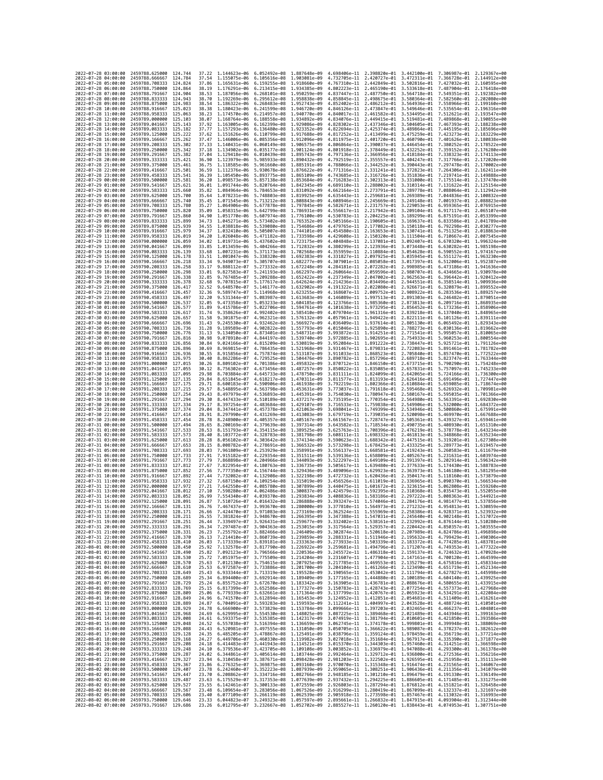|                                            | 2022-07-28 03:00:00 | 2459788.625000                                                             | 124,744             | 37.22          | 1.144623e-06 6.052492e-08                                                            |                                                        | 1.887648e-09                                                                                                                                                                                                                                                                                                                                          |                              |                                                                                  |              | 4.698406e-11 2.398820e-01 3.442100e-01 7.306987e-01 2.129367e+00                 |                                           |
|--------------------------------------------|---------------------|----------------------------------------------------------------------------|---------------------|----------------|--------------------------------------------------------------------------------------|--------------------------------------------------------|-------------------------------------------------------------------------------------------------------------------------------------------------------------------------------------------------------------------------------------------------------------------------------------------------------------------------------------------------------|------------------------------|----------------------------------------------------------------------------------|--------------|----------------------------------------------------------------------------------|-------------------------------------------|
| 2022-07-28 04:00:00                        |                     | 2459788.666667                                                             | 124.784             | 37.54          | 1.155075e-06                                                                         | 6.105616e-08                                           | 1.903081e-09                                                                                                                                                                                                                                                                                                                                          | 4.732705e-11                 | 2.420727e-01 3.472311e-01                                                        |              | 7.366728e-01                                                                     | 2.144912e+00                              |
| 2022-07-28 05:00:00                        |                     | 2459788.708333                                                             | 124.824             | 37.86          | 1.165631e-06                                                                         | 6.159255e-08                                           | 1.918660e-09                                                                                                                                                                                                                                                                                                                                          | 4.767310e-11                 | 2.442849e-01 3.502816e-01                                                        |              | 7.427032e-01                                                                     | 2.160595e+00                              |
| 2022-07-28 06:00:00<br>2022-07-28 07:00:00 |                     | 2459788.750000<br>2459788.791667                                           | 124.864<br>124,904  | 38,19<br>38.53 | 1.176291e-06  6.213415e-08  1.934385e-09<br>1.187056e-06  6.268101e-08  1.950259e-09 |                                                        |                                                                                                                                                                                                                                                                                                                                                       | 4.802223e-11                 | 2.465190e-01 3.533618e-01<br>4.837447e-11 2.487750e-01 3.564718e-01              |              | 7.549351e-01                                                                     | 7.487904e-01 2.176418e+00<br>2.192382e+00 |
| 2022-07-28 08:00:00                        |                     | 2459788.833333                                                             | 124.943             | 38.70          | 1.192269e-06                                                                         | 6.295612e-08                                           | 1.958838e-09                                                                                                                                                                                                                                                                                                                                          | 4.858845e-11                 | 2.498675e-01                                                                     | 3.580364e-01 | 7.582560e-01                                                                     | 2.202080e+00                              |
| 2022-07-28 09:00:00                        |                     | 2459788.875000                                                             | 124,983             | 38.54          | 1.186322e-06                                                                         | 6.268483e-08                                           | 1.952743e-09                                                                                                                                                                                                                                                                                                                                          | 4.852402e-11                 | 2.486212e-01                                                                     | 3.564936e-01 | 7.558966e-01                                                                     | 2.199160e+00                              |
| 2022-07-28 10:00:00                        |                     | 2459788.916667                                                             | 125.023             | 38.38          | 1.180423e-06                                                                         | 6.241599e-08                                           | 1.946720e-09                                                                                                                                                                                                                                                                                                                                          | 4.846126e-11                 | 2.473847e-01 3.549646e-01                                                        |              | 7.535654e-01                                                                     | 2.196316e+00                              |
| 2022-07-28 11:00:00<br>2022-07-28 12:00:00 |                     | 2459788.958333<br>2459789.000000                                           | 125,063<br>125, 103 | 38.23<br>38.07 | 1.174570e-06 6.214957e-08<br>1.168764e-06                                            | 6.188558e-08                                           | 1.940770e-09<br>1.934892e-09                                                                                                                                                                                                                                                                                                                          | 4.840017e-11<br>4.834076e-11 | 2.461582e-01 3.534495e-01<br>2.449415e-01                                        | 3.519481e-01 | 7.512621e-01<br>7.489868e-01                                                     | 2.193547e+00<br>2.190855e+00              |
| 2022-07-28 13:00:00                        |                     | 2459789.041667                                                             | 125, 143            | 37.92          | 1.163005e-06                                                                         | 6.162399e-08                                           | 1,929086e-09                                                                                                                                                                                                                                                                                                                                          | 4.828302e-11                 | 2.437346e-01 3.504605e-01                                                        |              | 7.467393e-01                                                                     | 2.188238e+00                              |
| 2022-07-28 14:00:00                        |                     | 2459789.083333                                                             | 125.182             | 37.77          | 1.157293e-06                                                                         | 6.136480e-08                                           | 1.923352e-09                                                                                                                                                                                                                                                                                                                                          | 4.822694e-11                 | 2.425374e-01                                                                     | 3.489864e-01 | 7.445195e-01                                                                     | 2.185696e+00                              |
| 2022-07-28 15:00:00                        |                     | 2459789.125000                                                             | 125.222             | 37.62          | 1.151626e-06                                                                         | 6.110799e-08                                           | 1.917688e-09                                                                                                                                                                                                                                                                                                                                          | 4.817252e-11                 | 2.413499e-01                                                                     | 3.475259e-01 | 7.423273e-01                                                                     | 2.183229e+00                              |
| 2022-07-28 16:00:00<br>2022-07-28 17:00:00 |                     | 2459789.166667<br>2459789.208333                                           | 125.262<br>125.302  | 37.47<br>37.33 | 1.146006e-06<br>1.140431e-06                                                         | 6.085356e-08<br>6.060149e-08 1.906575e-09              | 1.912096e-09                                                                                                                                                                                                                                                                                                                                          | 4.811975e-11<br>4.806864e-11 | 2.401720e-01<br>2.390037e-01 3.446454e-01                                        | 3.460790e-01 | 7.401626e-01<br>7.380252e-01                                                     | 2.180838e+00<br>2.178522e+00              |
| 2022-07-28 18:00:00                        |                     | 2459789.250000                                                             | 125,342             | 37.18          | 1.134902e-06                                                                         | 6.035177e-08                                           | 1.901124e-09                                                                                                                                                                                                                                                                                                                                          | 4.801918e-11                 | 2.378449e-01 3.432252e-01                                                        |              | 7.359152e-01                                                                     | 2.176280e+00                              |
| 2022-07-28 19:00:00                        |                     | 2459789.291667                                                             | 125.382             | 37.04          | 1.129418e-06                                                                         | 6.010439e-08                                           | 1.895743e-09                                                                                                                                                                                                                                                                                                                                          | 4.797136e-11                 | 2.366956e-01                                                                     | 3.418184e-01 | 7.338323e-01                                                                     | 2.174113e+00                              |
| 2022-07-28 20:00:00                        |                     | 2459789.333333                                                             | 125.421             | 36.90          | 1.123979e-06                                                                         | 5.985933e-08                                           | 1.890432e-09                                                                                                                                                                                                                                                                                                                                          | 4.792519e-11                 | 2.355557e-01 3.404247e-01                                                        |              | 7.317766e-01                                                                     | 2.172020e+00                              |
| 2022-07-28 21:00:00                        |                     | 2459789.375000                                                             | 125,461<br>125,501  | 36.75          | 1.118585e-06                                                                         | 5.961660e-08                                           | 1.885191e-09                                                                                                                                                                                                                                                                                                                                          | 4.788066e-11                 | 2.344252e-01 3.390443e-01 7.297478e-01                                           |              |                                                                                  | 2.170002e+00<br>2.162411e+00              |
| 2022-07-28 22:00:00<br>2022-07-28 23:00:00 |                     | 2459789.416667<br>2459789.458333                                           | 125.541             | 36.59<br>36.39 | 1.112376e-06<br>1.105450e-06                                                         | 5.930678e-08<br>5.893775e-08                           | 1.876622e-09<br>1.865109e-09                                                                                                                                                                                                                                                                                                                          | 4.743685e-11                 | 4.771316e-11 2.331241e-01 3.372823e-01<br>2.316726e-01                           | 3.351836e-01 | 7.264306e-01<br>7.219741e-01                                                     | 2.149888e+00                              |
| 2022-07-29 00:00:00                        |                     | 2459789,500000                                                             | 125,581             | 36.20          | 1.098573e-06                                                                         | 5.857138e-08                                           | 1.853684e-09                                                                                                                                                                                                                                                                                                                                          | 4.716283e-11                 | 2.302313e-01 3.331000e-01                                                        |              | 7.175514e-01                                                                     | 2.137470e+00                              |
| 2022-07-29 01:00:00                        |                     | 2459789.541667                                                             | 125.621             | 36.01          | 1.091744e-06                                                                         | 5.820764e-08 1.842345e-09                              |                                                                                                                                                                                                                                                                                                                                                       | 4.689110e-11                 | 2.288002e-01 3.310314e-01                                                        |              | 7.131622e-01                                                                     | 2.125154e+00                              |
| 2022-07-29 02:00:00                        |                     | 2459789.583333                                                             | 125.660             | 35.82          | 1.084964e-06                                                                         | 5.784653e-08 1.831092e-09                              |                                                                                                                                                                                                                                                                                                                                                       | 4.662164e-11                 | 2.273791e-01 3.289778e-01                                                        |              | 7.088064e-01                                                                     | 2.112942e+00                              |
| 2022-07-29 03:00:00<br>2022-07-29 04:00:00 |                     | 2459789.625000<br>2459789.666667                                           | 125.700<br>125.740  | 35.64<br>35.45 | 1.078231e-06<br>1.071545e-06                                                         | 5.748803e-08 1.819925e-09<br>5.713212e-08 1.808843e-09 |                                                                                                                                                                                                                                                                                                                                                       | 4.635443e-11<br>4.608946e-11 | 2.259681e-01 3.269389e-01<br>2.245669e-01 3.249148e-01                           |              | 7.044836e-01<br>7.001937e-01                                                     | 2.100832e+00<br>2.088823e+00              |
| 2022-07-29 05:00:00                        |                     | 2459789.708333                                                             | 125.780             | 35.27          | 1.064906e-06                                                                         | 5.677878e-08                                           | 1.797845e-09                                                                                                                                                                                                                                                                                                                                          | 4.582671e-11                 | 2.231757e-01 3.229053e-01                                                        |              | 6.959365e-01                                                                     | 2.076915e+00                              |
| 2022-07-29 06:00:00                        |                     | 2459789.750000                                                             | 125.820             | 35.09          | 1.058315e-06                                                                         | 5.642799e-08                                           | 1.786931e-09                                                                                                                                                                                                                                                                                                                                          | 4.556617e-11                 | 2.217942e-01                                                                     | 3.209104e-01 | 6.917117e-01                                                                     | 2.065107e+00                              |
| 2022-07-29 07:00:00                        |                     | 2459789.791667                                                             | 125.860             | 34.90          | 1.051770e-06                                                                         | 5.607974e-08 1.776100e-09                              |                                                                                                                                                                                                                                                                                                                                                       | 4.530783e-11                 | 2.204225e-01 3.189299e-01                                                        |              | 6.875191e-01                                                                     | 2.053399e+00                              |
| 2022-07-29 08:00:00<br>2022-07-29 09:00:00 |                     | 2459789.833333<br>2459789.875000                                           | 125,899<br>125,939  | 34.73<br>34.55 | 1.045271e-06<br>1.038818e-06                                                         | 5.573402e-08<br>5.539080e-08                           | 1.765352e-09<br>1,754686e-09                                                                                                                                                                                                                                                                                                                          | 4.505166e-11<br>4.479765e-11 | 2.190605e-01 3.169637e-01<br>2.177082e-01 3.150118e-01                           |              | 6.833586e-01<br>6.792298e-01                                                     | 2.041789e+00<br>2.030277e+00              |
| 2022-07-29 10:00:00                        |                     | 2459789.916667                                                             | 125,979             | 34.37          | 1.032410e-06                                                                         | 5.505007e-08                                           | 1.744101e-09                                                                                                                                                                                                                                                                                                                                          | 4.454580e-11                 | 2.163653e-01                                                                     | 3.130741e-01 | 6.751325e-01                                                                     | 2.018863e+00                              |
| 2022-07-29 11:00:00                        |                     | 2459789.958333                                                             | 126.019             | 34.20          | 1.026048e-06                                                                         | 5.471182e-08 1.733598e-09                              |                                                                                                                                                                                                                                                                                                                                                       | 4.429608e-11                 | 2.150320e-01 3.111504e-01                                                        |              | 6.710667e-01                                                                     | 2.007545e+00                              |
| 2022-07-29 12:00:00                        |                     | 2459790.000000                                                             | 126.059             | 34.02          | 1.019731e-06                                                                         | 5.437602e-08 1.723175e-09                              |                                                                                                                                                                                                                                                                                                                                                       | 4.404848e-11                 | 2.137081e-01 3.092407e-01                                                        |              | 6.670320e-01                                                                     | 1.996324e+00                              |
| 2022-07-29 13:00:00<br>2022-07-29 14:00:00 |                     | 2459790.041667<br>2459790.083333                                           | 126.099<br>126.139  | 33.85<br>33.68 | 1.013459e-06<br>1.007231e-06                                                         | 5.404266e-08<br>5.371173e-08                           | 1.712832e-09<br>1.702568e-09                                                                                                                                                                                                                                                                                                                          | 4.380299e-11<br>4.355959e-11 | 2.123936e-01<br>2.110884e-01 3.054628e-01                                        | 3.073448e-01 | 6.630282e-01<br>6.590552e-01                                                     | 1.985198e+00<br>1.974167e+00              |
| 2022-07-29 15:00:00                        |                     | 2459790.125000                                                             | 126.178             | 33.51          | 1.001047e-06                                                                         | 5.338320e-08 1.692383e-09                              |                                                                                                                                                                                                                                                                                                                                                       | 4.331827e-11                 | 2.097925e-01 3.035945e-01                                                        |              | 6.551127e-01                                                                     | 1.963230e+00                              |
| 2022-07-29 16:00:00                        |                     | 2459790.166667                                                             | 126.218             | 33.34          | 9.949073e-07                                                                         | 5.305707e-08                                           | 1,682277e-09                                                                                                                                                                                                                                                                                                                                          | 4.307901e-11                 | 2.085058e-01                                                                     | 3.017397e-01 | 6.512006e-01                                                                     | 1.952387e+00                              |
| 2022-07-29 17:00:00                        |                     | 2459790.208333                                                             | 126,258             | 33.17          | 9.888112e-07                                                                         | 5.273332e-08                                           | 1.672248e-09                                                                                                                                                                                                                                                                                                                                          | 4.284181e-11                 | 2.072282e-01                                                                     | 2.998985e-01 | 6.473186e-01                                                                     | 1.941636e+00                              |
| 2022-07-29 18:00:00<br>2022-07-29 19:00:00 |                     | 2459790.250000<br>2459790.291667                                           | 126.298             | 33.01          | 9.827583e-07<br>9.767485e-07                                                         | 5.241193e-08 1.662297e-09<br>5.209288e-08              | 1.652422e-09                                                                                                                                                                                                                                                                                                                                          | 4.260664e-11<br>4.237349e-11 | 2.059596e-01 2.980707e-01<br>2.047002e-01 2.962563e-01                           |              | 6.434665e-01<br>6.396442e-01                                                     | 1,930978e+00<br>1.920412e+00              |
| 2022-07-29 20:00:00                        |                     | 2459790.333333                                                             | 126.338<br>126,378  | 32.85<br>32.68 | 9.707815e-07                                                                         | 5.177617e-08                                           | 1.642624e-09                                                                                                                                                                                                                                                                                                                                          | 4.214236e-11                 | 2.034496e-01                                                                     | 2.944551e-01 | 6.358514e-01                                                                     | 1.909936e+00                              |
| 2022-07-29 21:00:00                        |                     | 2459790.375000                                                             | 126.417             | 32.52          | 9.648570e-07                                                                         | 5.146177e-08                                           | 1.632902e-09                                                                                                                                                                                                                                                                                                                                          | 4.191322e-11                 | 2.022080e-01                                                                     | 2.926671e-01 | 6.320879e-01                                                                     | 1.899552e+00                              |
| 2022-07-29 22:00:00                        |                     | 2459790.416667                                                             | 126.457             | 32.36          | 9.589747e-07                                                                         | 5.114968e-08 1.623255e-09                              |                                                                                                                                                                                                                                                                                                                                                       | 4.168607e-11                 | 2.009752e-01 2.908922e-01                                                        |              | 6.283536e-01                                                                     | 1.889257e+00                              |
| 2022-07-29 23:00:00<br>2022-07-30 00:00:00 |                     | 2459790.458333<br>2459790.500000                                           | 126,497<br>126.537  | 32.20<br>32.05 | 9.531344e-07<br>9.473358e-07                                                         | 5.083987e-08 1.613683e-09<br>5.053233e-08              | 1,604185e-09                                                                                                                                                                                                                                                                                                                                          | 4.123766e-11                 | 4.146089e-11 1.997513e-01 2.891303e-01<br>1,985360e-01                           | 2.873813e-01 | 6.246482e-01<br>6.209716e-01                                                     | 1.879051e+00<br>1.868935e+00              |
| 2022-07-30 01:00:00                        |                     | 2459790.541667                                                             | 126.577             | 31.89          | 9.415786e-07                                                                         | 5.022706e-08                                           | 1.594761e-09                                                                                                                                                                                                                                                                                                                                          | 4.101638e-11                 | 1.973295e-01 2.856452e-01                                                        |              | 6.173236e-01                                                                     | 1.858906e+00                              |
| 2022-07-30 02:00:00                        |                     | 2459790.583333                                                             | 126.617             | 31.74          | 9.358626e-07                                                                         | 4.992402e-08                                           | 1.585410e-09                                                                                                                                                                                                                                                                                                                                          | 4.079704e-11                 | 1.961316e-01                                                                     | 2.839218e-01 | 6.137040e-01                                                                     | 1.848965e+00                              |
| 2022-07-30 03:00:00                        |                     | 2459790.625000                                                             | 126,657             | 31.58          | 9.301875e-07                                                                         | 4.962321e-08                                           | 1.576132e-09                                                                                                                                                                                                                                                                                                                                          |                              | 4.057961e-11 1.949422e-01 2.822111e-01                                           |              | 6.101126e-01                                                                     | 1.839111e+00                              |
| 2022-07-30 04:00:00<br>2022-07-30 05:00:00 |                     | 2459790.666667<br>2459790.708333                                           | 126.696<br>126,736  | 31.43          | 9.245530e-07<br>9.189589e-07                                                         | 4.932462e-08<br>4,902822e-08                           | 1.566927e-09<br>1,557793e-09                                                                                                                                                                                                                                                                                                                          | 4.036409e-11<br>4.015046e-11 | 1.937614e-01<br>1.925890e-01 2.788273e-01                                        | 2.805130e-01 | 6.065492e-01<br>6.030136e-01                                                     | 1.829343e+00<br>1.819662e+00              |
| 2022-07-30 06:00:00                        |                     | 2459790.750000                                                             | 126.776             | 31.28<br>31.13 | 9.134050e-07                                                                         | 4.873401e-08                                           | 1.548731e-09                                                                                                                                                                                                                                                                                                                                          | 3.993872e-11                 | 1.914251e-01                                                                     | 2.771541e-01 | 5.995057e-01                                                                     | 1.810065e+00                              |
| 2022-07-30 07:00:00                        |                     | 2459790.791667                                                             | 126,816             | 30.98          | 9.078910e-07                                                                         | 4.844197e-08                                           | 1.539740e-09                                                                                                                                                                                                                                                                                                                                          | 3.972885e-11 1.902695e-01    |                                                                                  | 2.754933e-01 | 5.960253e-01                                                                     | 1.800554e+00                              |
| 2022-07-30 08:00:00                        |                     | 2459790.833333                                                             | 126.856             | 30.84          | 9.024166e-07                                                                         | 4.815209e-08 1.530819e-09                              |                                                                                                                                                                                                                                                                                                                                                       | 3.952084e-11                 | 1.891222e-01 2.738447e-01                                                        |              | 5.925721e-01                                                                     | 1.791126e+00                              |
| 2022-07-30 09:00:00<br>2022-07-30 10:00:00 |                     | 2459790.875000<br>2459790.916667                                           | 126.896<br>126.936  | 30.69<br>30.55 | 8.969815e-07<br>8.915856e-07                                                         | 4.786435e-08 1.521968e-09<br>4.757874e-08              | 1.513187e-09                                                                                                                                                                                                                                                                                                                                          |                              | 3.931467e-11 1.879831e-01 2.722083e-01<br>3.911033e-11 1.868523e-01 2.705840e-01 |              | 5.891461e-01<br>5.857470e-01                                                     | 1.781782e+00<br>1.772522e+00              |
| 2022-07-30 11:00:00                        |                     | 2459790.958333                                                             | 126.975             | 30.40          | 8.862286e-07                                                                         | 4.729525e-08                                           | 1.504476e-09                                                                                                                                                                                                                                                                                                                                          | 3.890782e-11                 | 1.857296e-01                                                                     | 2.689718e-01 | 5.823747e-01                                                                     | 1.763344e+00                              |
| 2022-07-30 12:00:00                        |                     | 2459791.000000                                                             | 127.015             | 30.26          | 8.809102e-07                                                                         | 4.701386e-08                                           | 1.495832e-09                                                                                                                                                                                                                                                                                                                                          | 3.870712e-11                 | 1.846150e-01                                                                     | 2.673715e-01 | 5.790290e-01                                                                     | 1.754248e+00                              |
| 2022-07-30 13:00:00                        |                     | 2459791.041667                                                             | 127,055             | 30.12          | 8.756302e-07                                                                         | 4.673456e-08                                           | 1.487257e-09                                                                                                                                                                                                                                                                                                                                          | 3.850822e-11                 | 1.835085e-01 2.657831e-01                                                        |              | 5.757097e-01                                                                     | 1.745233e+00                              |
| 2022-07-30 14:00:00<br>2022-07-30 15:00:00 |                     | 2459791.083333<br>2459791.125000                                           | 127.095<br>127, 135 | 29.98<br>29.84 | 8.703884e-07<br>8.651845e-07                                                         | 4.645733e-08<br>4.618217e-08                           | 1.478750e-09<br>1.470311e-09                                                                                                                                                                                                                                                                                                                          | 3.811577e-11                 | 3.831111e-11 1.824099e-01 2.642065e-01<br>1.813193e-01                           | 2.626416e-01 | 5.724166e-01<br>5.691496e-01                                                     | 1,736300e+00<br>1.727447e+00              |
| 2022-07-30 16:00:00                        |                     | 2459791.166667                                                             | 127, 175            | 29.71          | 8.600183e-07                                                                         | 4.590906e-08 1.461938e-09                              |                                                                                                                                                                                                                                                                                                                                                       | 3.792219e-11                 | 1.802366e-01 2.610884e-01                                                        |              | 5.659085e-01                                                                     | 1.718674e+00                              |
| 2022-07-30 17:00:00                        |                     | 2459791.208333                                                             | 127.215             | 29.57          | 8.548895e-07                                                                         | 4.563798e-08 1.453631e-09                              |                                                                                                                                                                                                                                                                                                                                                       |                              | 3.773037e-11 1.791618e-01 2.595468e-01                                           |              | 5.626932e-01                                                                     | 1.709981e+00                              |
| 2022-07-30 18:00:00                        |                     | 2459791.250000                                                             | 127.254             | 29.43          | 8.497979e-07                                                                         | 4.536893e-08                                           | 1.445391e-09                                                                                                                                                                                                                                                                                                                                          | 3.754030e-11                 | 1.780947e-01                                                                     | 2.580167e-01 | 5.595035e-01                                                                     | 1.701366e+00                              |
| 2022-07-30 19:00:00<br>2022-07-30 20:00:00 |                     | 2459791.291667<br>2459791.333333                                           | 127,294<br>127.334  | 29.30<br>29.17 | 8.447433e-07<br>8.397254e-07                                                         | 4.510189e-08<br>4.483684e-08 1.429107e-09              | 1.437217e-09                                                                                                                                                                                                                                                                                                                                          | 3.735195e-11<br>3.716533e-11 | 1.770354e-01<br>1.759838e-01 2.549906e-01                                        | 2.564980e-01 | 5.563391e-01<br>5.532000e-01                                                     | 1.692830e+00<br>1.684372e+00              |
| 2022-07-30 21:00:00                        |                     | 2459791.375000                                                             | 127,374             | 29.04          | 8.347441e-07                                                                         | 4.457378e-08                                           | 1.421063e-09                                                                                                                                                                                                                                                                                                                                          | 3.698041e-11                 | 1.749399e-01                                                                     | 2.534946e-01 | 5.500860e-01                                                                     | 1.675991e+00                              |
| 2022-07-30 22:00:00                        |                     |                                                                            |                     |                |                                                                                      |                                                        |                                                                                                                                                                                                                                                                                                                                                       |                              |                                                                                  |              |                                                                                  |                                           |
|                                            |                     | 2459791.416667                                                             | 127.414             | 28.91          | 8.297990e-07                                                                         | 4.431269e-08                                           | 1.413083e-09                                                                                                                                                                                                                                                                                                                                          | 3.679719e-11                 | 1.739035e-01                                                                     | 2.520098e-01 | 5.469970e-01                                                                     | 1.667688e+00                              |
| 2022-07-30 23:00:00                        |                     | 2459791.458333                                                             | 127,454             | 28.78          | 8.248900e-07                                                                         | 4.405357e-08 1.405167e-09                              |                                                                                                                                                                                                                                                                                                                                                       |                              | 3.661567e-11 1.728747e-01 2.505361e-01                                           |              | 5.439327e-01                                                                     | 1.659461e+00                              |
| 2022-07-31 00:00:00                        |                     | 2459791.500000                                                             | 127.494             | 28.65          | 8.200169e-07                                                                         | 4.379639e-08 1.397314e-09                              |                                                                                                                                                                                                                                                                                                                                                       |                              | 3.643582e-11 1.718534e-01 2.490735e-01                                           |              |                                                                                  | 5.408930e-01 1.651310e+00                 |
| 2022-07-31 01:00:00                        |                     | 2459791.541667                                                             | 127.533             | 28.53          | 8.151793e-07                                                                         | 4.354115e-08                                           | 1.389525e-09                                                                                                                                                                                                                                                                                                                                          |                              | 3.625763e-11 1.708396e-01 2.476219e-01                                           |              |                                                                                  | 5.378778e-01 1.643234e+00                 |
| 2022-07-31 02:00:00<br>2022-07-31 03:00:00 |                     | 2459791.583333                                                             | 127.573<br>127,613  | 28.40<br>28,28 | 8.103772e-07                                                                         | 4.328783e-08<br>4.303642e-08                           | 1.381798e-09<br>1.374134e-09                                                                                                                                                                                                                                                                                                                          | 3.608111e-11                 | 1.698332e-01                                                                     | 2.461813e-01 | 5.348868e-01<br>5.319201e-01                                                     | 1.635234e+00<br>1.627308e+00              |
| 2022-07-31 04:00:00                        |                     | 2459791.625000<br>2459791.666667                                           | 127.653             | 28.15          | 8.056102e-07<br>8.008782e-07                                                         | 4.278691e-08 1.366532e-09                              |                                                                                                                                                                                                                                                                                                                                                       | 3.590623e-11<br>3.573298e-11 | 1.688342e-01 2.447515e-01<br>1.678425e-01 2.433325e-01                           |              | 5.289773e-01                                                                     | 1.619457e+00                              |
| 2022-07-31 05:00:00                        |                     | 2459791.708333                                                             | 127.693             | 28.03          | 7.961809e-07                                                                         | 4.253929e-08 1.358991e-09                              |                                                                                                                                                                                                                                                                                                                                                       | 3.556137e-11                 | 1.668581e-01 2.419243e-01                                                        |              | 5.260583e-01                                                                     | 1.611679e+00                              |
| 2022-07-31 06:00:00                        |                     | 2459791.750000                                                             | 127,733             | 27.91          | 7.915182e-07                                                                         | 4.229354e-08 1.351511e-09                              |                                                                                                                                                                                                                                                                                                                                                       | 3.539136e-11                 | 1.658809e-01 2.405267e-01                                                        |              | 5.231631e-01                                                                     | 1.603974e+00                              |
| 2022-07-31 07:00:00<br>2022-07-31 08:00:00 |                     | 2459791.791667<br>2459791.833333                                           | 127.773<br>127,812  | 27.79<br>27.67 | 7.868898e-07<br>7.822954e-07                                                         | 4.204966e-08 1.344093e-09<br>4.180763e-08              | 1.336735e-09                                                                                                                                                                                                                                                                                                                                          | 3.522297e-11<br>3.505617e-11 | 1.649109e-01 2.391397e-01<br>1.639480e-01 2.377633e-01                           |              | 5.202914e-01<br>5.174430e-01                                                     | 1.596342e+00<br>1.588783e+00              |
| 2022-07-31 09:00:00                        |                     | 2459791.875000                                                             | 127,852             | 27.56          | 7.777350e-07                                                                         | 4.156744e-08                                           | 1.329436e-09                                                                                                                                                                                                                                                                                                                                          | 3.489096e-11                 | 1.629923e-01                                                                     | 2.363973e-01 | 5.146180e-01                                                                     | 1.581295e+00                              |
| 2022-07-31 10:00:00                        |                     | 2459791.916667                                                             | 127,892             | 27.44          | 7.732082e-07                                                                         | 4.132908e-08                                           | 1,322198e-09                                                                                                                                                                                                                                                                                                                                          | 3.472732e-11                 | 1.620436e-01 2.350417e-01                                                        |              | 5.118160e-01                                                                     | 1.573879e+00                              |
| 2022-07-31 11:00:00                        |                     | 2459791.958333                                                             | 127.932<br>127.972  | 27.32          | 7.687150e-07                                                                         | 4.109254e-08                                           | 1,315019e-09                                                                                                                                                                                                                                                                                                                                          | 3.456526e-11                 | 1.611019e-01 2.336965e-01                                                        |              | 5.090370e-01                                                                     | 1.566534e+00<br>1.559260e+00              |
| 2022-07-31 12:00:00<br>2022-07-31 13:00:00 |                     | 2459792.000000<br>2459792.041667                                           | 128,012             | 27.21<br>27.10 | 7.642550e-07<br>7.598280e-07                                                         | 4.085780e-08<br>4.062486e-08                           | 1,307899e-09<br>1.300837e-09                                                                                                                                                                                                                                                                                                                          | 3.424579e-11                 | 3.440475e-11 1.601672e-01 2.323615e-01<br>1.592395e-01                           | 2.310368e-01 | 5.062808e-01<br>5.035473e-01                                                     | 1.552055e+00                              |
| 2022-07-31 14:00:00                        |                     | 2459792.083333                                                             | 128.052             | 26.99          | 7.554340e-07 4.039370e-08 1.293834e-09                                               |                                                        |                                                                                                                                                                                                                                                                                                                                                       |                              |                                                                                  |              | 3.408836e-11 1.583186e-01 2.297222e-01 5.008363e-01 1.544921e+00                 |                                           |
| 2022-07-31 15:00:00                        |                     | 2459792.125000                                                             | 128,091             | 26.87          | 7.510726e-07 4.016432e-08 1.286888e-09                                               |                                                        |                                                                                                                                                                                                                                                                                                                                                       |                              |                                                                                  |              | 3.393247e-11  1.574046e-01  2.284176e-01  4.981477e-01  1.537856e+00             |                                           |
| 2022-07-31 16:00:00<br>2022-<br>-07        | 17:00:00            | 2459792.166667<br>2459792.208333                                           | 128.131<br>128.171  | 26.76<br>26.66 | 7.467437e-07 3.993670e-08 1.280000e-09<br>.424470e-07                                | 3.971083e-08                                           | 1.273169e-09                                                                                                                                                                                                                                                                                                                                          | 3.362524e-11                 | 1.555969e-01                                                                     | 2.258386e-01 | 3.377810e-11 1.564973e-01 2.271232e-01 4.954813e-01 1.530859e+00<br>4.928371e-01 | 1.523932e+00                              |
|                                            |                     | 2022-07-31 18:00:00 2459792.250000 128.211                                 |                     | 26.55          |                                                                                      |                                                        | 7.381824e-07 3.948670e-08 1.266395e-09 3.347388e-11 1.547031e-01 2.245640e-01 4.902148e-01 1.517072e+00                                                                                                                                                                                                                                               |                              |                                                                                  |              |                                                                                  |                                           |
| 2022-07-31 19:00:00                        |                     | 2459792.291667 128.251                                                     |                     | 26.44          |                                                                                      |                                                        | 7.339497e-07 3.926431e-08 1.259677e-09 3.332402e-11 1.538161e-01 2.232992e-01 4.876144e-01 1.510280e+00                                                                                                                                                                                                                                               |                              |                                                                                  |              |                                                                                  |                                           |
| 2022-07-31 20:00:00<br>2022-07-31 21:00:00 |                     | 2459792.333333 128.291                                                     |                     | 26.34<br>26.23 |                                                                                      |                                                        | 7.297487e-07 3.904363e-08 1.253015e-09 3.317564e-11 1.529357e-01 2.220442e-01 4.850357e-01 1.503555e+00<br>7.255792e-07 3.882466e-08 1.246409e-09 3.302874e-11 1.520618e-01 2.207989e-01 4.824786e-01 1.496898e+00                                                                                                                                    |                              |                                                                                  |              |                                                                                  |                                           |
| 2022-07-31 22:00:00                        |                     | 2459792.375000 128.331<br>2459792.416667 128.370                           |                     |                |                                                                                      |                                                        | 26.13 7.214410e-07 3.860739e-08 1.239859e-09 3.288331e-11 1.511946e-01 2.195632e-01 4.799429e-01 1.490306e+00                                                                                                                                                                                                                                         |                              |                                                                                  |              |                                                                                  |                                           |
| 2022-07-31 23:00:00                        |                     |                                                                            |                     | 26.03          |                                                                                      |                                                        |                                                                                                                                                                                                                                                                                                                                                       |                              |                                                                                  |              |                                                                                  |                                           |
| 2022-08-01 00:00:00                        |                     | 2459792.458333 128.410<br>2459792.500000 128.450<br>2459792.541667 128.490 |                     | 25.92          |                                                                                      |                                                        | 7.173339e-07 3.839181e-08 1.233363e-09 3.273933e-11 1.503339e-01 2.183372e-01 4.774285e-01 1.483781e+00<br>7.132578e-07 3.817790e-08 1.226922e-09 3.259681e-11 1.494796e-01 2.171207e-01 4.749353e-01 1.477322e+00                                                                                                                                    |                              |                                                                                  |              |                                                                                  |                                           |
| 2022-08-01 01:00:00<br>2022-08-01 02:00:00 |                     | 2459792.583333 128.530                                                     |                     | 25.82          |                                                                                      |                                                        | 7.092123e-07 3.796566e-08 1.220536e-09 3.245572e-11 1.486318e-01 2.159137e-01 4.724632e-01 1.470928e+00<br>25.72 7.051975e-07 3.775509e-08 1.214204e-09 3.231607e-11 1.477904e-01 2.147161e-01 4.700120e-01 1.464599e+00                                                                                                                              |                              |                                                                                  |              |                                                                                  |                                           |
| 2022-08-01 03:00:00                        |                     | 2459792.625000                                                             | 128.570             |                |                                                                                      |                                                        |                                                                                                                                                                                                                                                                                                                                                       |                              |                                                                                  |              |                                                                                  |                                           |
| 2022-08-01 04:00:00                        |                     | 2459792.666667 128.610                                                     |                     |                |                                                                                      |                                                        |                                                                                                                                                                                                                                                                                                                                                       |                              |                                                                                  |              |                                                                                  |                                           |
| 2022-08-01 05:00:00                        |                     | 2459792.708333 128.649                                                     |                     |                |                                                                                      |                                                        | 25.63 7.012130e-07 3.754615e-08 1.207925e-09 3.217785e-11 1.469553e-01 2.135279e-01 4.675816e-01 1.458334e+00<br>25.53 6.972587e-07 3.734815e-08 1.207925e-09 3.214108e-11 1.469553e-01 2.123430e-01 4.675816e-01 1.458334e+00<br>25                                                                                                                  |                              |                                                                                  |              |                                                                                  |                                           |
| 2022-08-01 06:00:00<br>2022-08-01 07:00:00 |                     | 2459792.750000 128.689<br>2459792.791667                                   | 128.729             |                |                                                                                      |                                                        |                                                                                                                                                                                                                                                                                                                                                       |                              |                                                                                  |              |                                                                                  |                                           |
| 2022-08-01 08:00:00                        |                     | 2459792.833333 128.769                                                     |                     |                |                                                                                      |                                                        | 25.34 6.894400e-07 3.692914e-08 1.189409e-09 3.177165e-11 1.444880e-01 2.100189e-01 4.604140e-01 1.439925e-00<br>25.24 6.895752e-07 3.672670e-08 1.183342e-09 3.177165e-11 1.444880e-01 2.100189e-01 4.6004140e-01 1.439925e+00<br>2                                                                                                                  |                              |                                                                                  |              |                                                                                  |                                           |
| 2022-08-01 09:00:00                        |                     | 2459792.875000 128.809                                                     |                     |                |                                                                                      |                                                        |                                                                                                                                                                                                                                                                                                                                                       |                              |                                                                                  |              |                                                                                  |                                           |
| 2022-08-01 10:00:00                        |                     | 2459792.916667                                                             | 128,849             |                |                                                                                      |                                                        |                                                                                                                                                                                                                                                                                                                                                       |                              |                                                                                  |              |                                                                                  |                                           |
| 2022-08-01 11:00:00<br>2022-08-01 12:00:00 |                     | 2459792.958333 128.889<br>2459793.000000 128.929                           |                     |                |                                                                                      |                                                        | 25.06 6.779339e-07 3.632661e-08 1.171364e-09 3.137799e-11 1.420767e-01 2.065923e-01 4.534291e-01 1.422084e+00<br>24.96 6.779339e-07 3.612894e-08 1.165453e-09 3.134952e-11 1.412051e-01 2.054681e-01 4.534291e-01 1.416261e+00<br>24<br>24.78 6.666900e-07 3.573829e-08 1.153784e-09 3.099666e-11 1.397203e-01 2.032465e-01 4.466237e-01 1.404801e+00 |                              |                                                                                  |              |                                                                                  |                                           |
| 2022-08-01 13:00:00                        |                     | 2459793.041667 128.968                                                     |                     |                |                                                                                      |                                                        | 24.69 6.629995e-07 3.554530e-08 1.148025e-09 3.087225e-11 1.389468e-01 2.021489e-01 4.443946e-01 1.399163e+00                                                                                                                                                                                                                                         |                              |                                                                                  |              |                                                                                  |                                           |
| 2022-08-01 14:00:00                        |                     | 2459793.083333 129.008                                                     |                     | 24.61          |                                                                                      |                                                        |                                                                                                                                                                                                                                                                                                                                                       |                              |                                                                                  |              |                                                                                  |                                           |
| 2022-08-01 15:00:00                        |                     | 2459793.125000 129.048                                                     |                     | 24.52          |                                                                                      |                                                        | 6.593375e-07 3.535385e-08 1.142317e-09 3.074919e-11 1.381794e-01 2.010601e-01 4.421850e-01 1.393586e+00<br>6.557038e-07 3.516394e-08 1.136659e-09 3.062745e-11 1.381794e-01 2.010601e-01 4.421850e-01 1.393586e+00                                                                                                                                    |                              |                                                                                  |              |                                                                                  |                                           |
| 2022-08-01 16:00:00<br>2022-08-01 17:00:00 |                     | 2459793.166667 129.088<br>2459793.208333 129.128                           |                     |                |                                                                                      |                                                        | 24.43 6.520981e-07 3.497555e-08 1.131050e-09 3.050705e-11 1.366622e-01 1.989087e-01 4.378237e-01 1.382612e+00                                                                                                                                                                                                                                         |                              |                                                                                  |              |                                                                                  |                                           |
| 2022-08-01 18:00:00                        |                     | 2459793.250000                                                             | 129.168             |                |                                                                                      |                                                        |                                                                                                                                                                                                                                                                                                                                                       |                              |                                                                                  |              |                                                                                  |                                           |
| 2022-08-01 19:00:00                        |                     | 2459793.291667 129.208                                                     |                     |                |                                                                                      |                                                        |                                                                                                                                                                                                                                                                                                                                                       |                              |                                                                                  |              |                                                                                  |                                           |
| 2022-08-01 20:00:00<br>2022-08-01 21:00:00 |                     | 2459793.333333 129.248<br>2459793.375000 129.287                           |                     |                |                                                                                      |                                                        | 24.35 6.485205e-07 3.478867e-08 1.125491e-09 3.698796e-11 1.359124e-01 1.978459e-01 4.356719e-01 1.377214e+00<br>24.27 6.449706e-07 3.469330e-08 1.119982e-09 3.698796e-11 1.351684e-01 1.978459e-01 4.356719e-01 1.377214e+00<br>24                                                                                                                  |                              |                                                                                  |              |                                                                                  |                                           |
| 2022-08-01 22:00:00                        |                     | 2459793.416667 129.327                                                     |                     |                |                                                                                      |                                                        | $24.02 \quad 6.344861e-07 \quad 3.405614e-08 \quad 1.103744e-09 \quad 2.992464e-11 \quad 1.329712e-01 \quad 1.936800e-01 \quad 4.272536e-01 \quad 1.356216e+00 \quad 2.9848e-01 \quad 2.99464e-01 \quad 2.99464e-01 \quad 2.99464e-01 \quad 2.99464e-01 \quad 2.99464e-01 \quad 2.99464e-$                                                            |                              |                                                                                  |              |                                                                                  |                                           |
| 2022-08-01 23:00:00                        |                     | 2459793.458333 129.367                                                     |                     |                |                                                                                      |                                                        | 23.86 6.276325e-07 3.369875e-08 1.093160e-09 2.970070e-11 1.315348e-01 1.916474e-01 4.231565e-01 1.346067e+00                                                                                                                                                                                                                                         |                              |                                                                                  |              |                                                                                  |                                           |
| 2022-08-02 00:00:00                        |                     | 2459793.500000 129.407                                                     |                     |                |                                                                                      |                                                        |                                                                                                                                                                                                                                                                                                                                                       |                              |                                                                                  |              |                                                                                  |                                           |
| 2022-08-02 01:00:00<br>2022-08-02 02:00:00 |                     | 2459793.541667<br>2459793.583333 129.487                                   | 129.447             |                |                                                                                      |                                                        |                                                                                                                                                                                                                                                                                                                                                       |                              |                                                                                  |              |                                                                                  |                                           |
| 2022-08-02 03:00:00                        |                     | 2459793.625000 129.527                                                     |                     |                |                                                                                      |                                                        | 23.78 6.242460e-07 3.352223e-08 1.087939e-09 2.959065e-11 1.308251e-01 1.906436e-01 4.211356e-01 1.341079e+00<br>23.70 6.208662e-07 3.352223e-08 1.082766e-09 2.959065e-11 1.308251e-01 1.896436e-01 4.211356e-01 1.341079e+00<br>23<br>23.55 6.142461e-07 3.300133e-08 1.072559e-09 2.926803e-11 1.287294e-01 1.876812e-01 4.151821e-01 1.326458e+00 |                              |                                                                                  |              |                                                                                  |                                           |
| 2022-08-02 04:00:00                        |                     | 2459793.666667 129.567                                                     |                     |                |                                                                                      |                                                        |                                                                                                                                                                                                                                                                                                                                                       |                              |                                                                                  |              |                                                                                  |                                           |
| 2022-08-02 05:00:00                        |                     | 2459793.708333 129.606<br>2022-08-02 06:00:00 2459793.750000 129.646       |                     |                |                                                                                      |                                                        | 03.048 0.109654e-07 3.283856e-08 1.067526e-09 2.916299e-11 1.280419e-01 1.867099e-01 4.132337e-01 1.321697e+00<br>23.40 6.109654e-07 3.263619e-08 1.062539e-09 2.916299e-11 1.278998e-01 1.857099e-01 4.132337e-01 1.316993e+00<br>2                                                                                                                  |                              |                                                                                  |              |                                                                                  |                                           |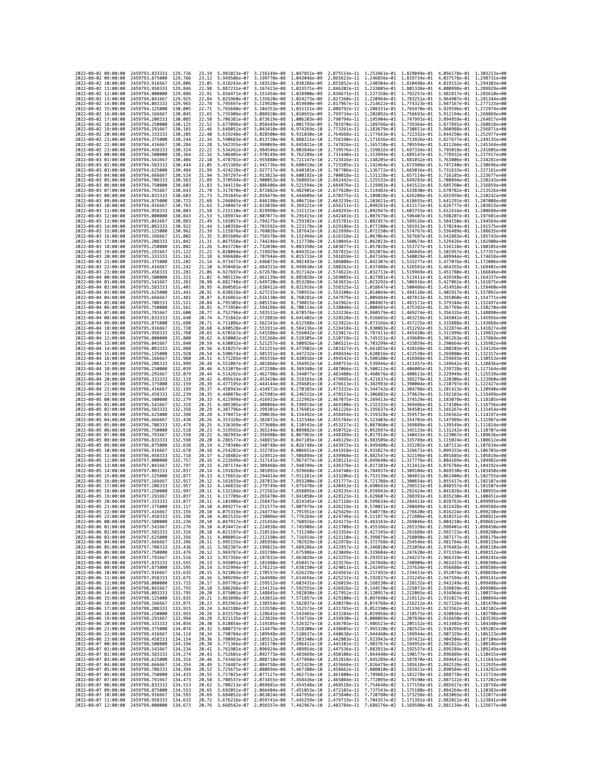| 2022-08-02 08:00:00                                                                      | 2459793.833333                                                                           | 129.726             | 23.19          | 5.981023e-07                 | 3.216149e-08 1.047851e-09                 |                                                                                                                                                                                                                                                                                            |                              |                                                                                  |                              | 2.875514e-11  1.253461e-01  1.829049e-01  4.056178e-01  1.303213e+00 |                                           |
|------------------------------------------------------------------------------------------|------------------------------------------------------------------------------------------|---------------------|----------------|------------------------------|-------------------------------------------|--------------------------------------------------------------------------------------------------------------------------------------------------------------------------------------------------------------------------------------------------------------------------------------------|------------------------------|----------------------------------------------------------------------------------|------------------------------|----------------------------------------------------------------------|-------------------------------------------|
| 2022-08-02 09:00:00                                                                      | 2459793.875000                                                                           | 129,766             | 23.12          | 5.949506e-07                 | 3.199770e-08 1.043046e-09                 |                                                                                                                                                                                                                                                                                            |                              | 2.865623e-11 1.246856e-01 1.819734e-01                                           |                              | 4.037578e-01                                                         | 1.298731e+00                              |
| 2022-08-02 10:00:00                                                                      | 2459793.916667                                                                           | 129.806             | 23.05          | 5.918243e-07                 | 3.183528e-08                              | 1,038286e-09                                                                                                                                                                                                                                                                               | 2.855852e-11                 | 1.240304e-01                                                                     | 1.810498e-01                 | 4.019152e-01                                                         | 1.294303e+00                              |
| 2022-08-02 11:00:00                                                                      | 2459793.958333                                                                           | 129.846             | 22.98          | 5.887231e-07                 | 3.167423e-08 1.033571e-09                 |                                                                                                                                                                                                                                                                                            |                              |                                                                                  |                              | 2.846202e-11 1.233805e-01 1.801338e-01 4.000898e-01 1.289929e+00     |                                           |
| 2022-08-02 12:00:00<br>2022-08-02 13:00:00                                               | 2459794.000000<br>2459794.041667                                                         | 129.886<br>129.925  | 22.91<br>22.84 | 5.856471e-07<br>5.825960e-07 | 3.151454e-08<br>3.135620e-08 1.024273e-09 | 1.028900e-09                                                                                                                                                                                                                                                                               |                              | 2.836671e-11 1.227358e-01 1.792257e-01<br>2.827260e-11 1.220964e-01 1.783251e-01 |                              | 3.964907e-01                                                         | 3.982817e-01 1.285610e+00<br>1.281344e+00 |
| 2022-08-02 14:00:00                                                                      | 2459794.083333                                                                           | 129.965             | 22.78          | 5.795697e-07                 | 3.119920e-08                              | 1.019690e-09                                                                                                                                                                                                                                                                               | 2.817967e-11                 | 1.214622e-01                                                                     | 1.774323e-01                 | 3.947167e-01                                                         | 1.277133e+00                              |
| 2022-08-02 15:00:00                                                                      | 2459794.125000                                                                           | 130.005             | 22.71          | 5.765680e-07                 | 3.104353e-08 1.015151e-09                 |                                                                                                                                                                                                                                                                                            | 2.808792e-11                 | 1.208331e-01 1.765470e-01                                                        |                              | 3.929596e-01                                                         | 1.272974e+00                              |
| 2022-08-02 16:00:00                                                                      | 2459794.166667                                                                           | 130.045             | 22.65          | 5.735909e-07                 | 3.088920e-08 1.010655e-09                 |                                                                                                                                                                                                                                                                                            |                              | 2.799734e-11 1.202092e-01 1.756693e-01 3.912194e-01                              |                              |                                                                      | 1.268869e+00                              |
| 2022-08-02 17:00:00                                                                      | 2459794.208333                                                                           | 130.085             | 22.58          | 5.706381e-07                 | 3.073619e-08                              | 1.006203e-09                                                                                                                                                                                                                                                                               |                              | 2.790794e-11 1.195904e-01 1.747991e-01                                           |                              | 3.894959e-01                                                         | 1.264817e+00                              |
| 2022-08-02 18:00:00<br>2022-08-02 19:00:00                                               | 2459794.250000<br>2459794.291667                                                         | 130.125<br>130, 165 | 22.52<br>22.46 | 5.677096e-07<br>5.648052e-07 | 3.058449e-08<br>3.043410e-08              | 1.001793e-09<br>9.974269e-10                                                                                                                                                                                                                                                               | 2.781970e-11<br>2.773261e-11 | 1.189766e-01 1.739364e-01<br>1.183679e-01 1.730811e-01                           |                              | 3.877891e-01<br>3.860988e-01                                         | 1.260818e+00<br>1.256871e+00              |
| 2022-08-02 20:00:00                                                                      | 2459794.333333                                                                           | 130.205             | 22,40          | 5.619248e-07                 | 3.028500e-08                              | 9.931030e-10                                                                                                                                                                                                                                                                               | 2.764668e-11                 | 1.177643e-01 1.722332e-01                                                        |                              | 3.844250e-01                                                         | 1.252977e+00                              |
| 2022-08-02 21:00:00                                                                      | 2459794.375000                                                                           | 130.244             | 22.34          | 5.590683e-07                 | 3.013720e-08                              | 9.888215e-10                                                                                                                                                                                                                                                                               | 2.756190e-11                 | 1.171656e-01                                                                     | 1.713926e-01                 | 3.827677e-01                                                         | 1.249135e+00                              |
| 2022-08-02 22:00:00                                                                      | 2459794.416667                                                                           | 130.284             | 22.28          | 5.562355e-07                 | 2.999069e-08                              | 9.845821e-10                                                                                                                                                                                                                                                                               |                              | 2.747826e-11 1.165720e-01 1.705594e-01                                           |                              | 3.811266e-01                                                         | 1.245344e+00                              |
| 2022-08-02 23:00:00<br>2022-08-03 00:00:00                                               | 2459794.458333<br>2459794.500000                                                         | 130,324<br>130.364  | 22.22<br>22.16 | 5.534262e-07<br>5.506405e-07 | 2.984546e-08<br>2.970149e-08              | 9.803846e-10<br>9.762289e-10                                                                                                                                                                                                                                                               |                              | 2.739576e-11 1.159832e-01 1.697334e-01                                           |                              | 3.795018e-01<br>3.778932e-01                                         | 1.241605e+00<br>1.237917e+00              |
| 2022-08-03 01:00:00                                                                      | 2459794.541667                                                                           | 130.404             | 22.10          | 5.478781e-07                 | 2.955880e-08                              | 9.721147e-10                                                                                                                                                                                                                                                                               | 2.723416e-11                 | 2.731440e-11 1.153994e-01 1.689147e-01<br>1.148205e-01 1.681032e-01              |                              | 3.763006e-01                                                         | 1.234281e+00                              |
| 2022-08-03 02:00:00                                                                      | 2459794.583333                                                                           | 130.444             | 22.05          | 5.451389e-07                 | 2.941736e-08 9.680419e-10                 |                                                                                                                                                                                                                                                                                            |                              |                                                                                  |                              | 2.715505e-11  1.142464e-01  1.672988e-01  3.747240e-01  1.230696e+00 |                                           |
| 2022-08-03 03:00:00                                                                      | 2459794.625000                                                                           | 130.484             | 21.99          | 5.424228e-07                 | 2.927717e-08 9.640101e-10                 |                                                                                                                                                                                                                                                                                            |                              |                                                                                  |                              | 2.707706e-11 1.136772e-01 1.665016e-01 3.731633e-01 1.227161e+00     |                                           |
| 2022-08-03 04:00:00                                                                      | 2459794.666667                                                                           | 130.524             | 21.94          | 5.397297e-07                 | 2.913823e-08                              | 9.600192e-10                                                                                                                                                                                                                                                                               |                              | 2.700018e-11 1.131128e-01 1.657114e-01                                           |                              | 3.716185e-01                                                         | 1.223677e+00                              |
| 2022-08-03 05:00:00<br>2022-08-03 06:00:00                                               | 2459794.708333<br>2459794.750000                                                         | 130.563<br>130,603  | 21.89<br>21.83 | 5.370594e-07<br>5.344119e-07 | 2.900053e-08<br>2.886406e-08              | 9.560691e-10<br>9.521594e-10                                                                                                                                                                                                                                                               | 2.692442e-11<br>2.684976e-11 | 1.125532e-01 1.649283e-01<br>1.119983e-01 1.641522e-01                           |                              | 3.700894e-01<br>3.685760e-01                                         | 1.220243e+00<br>1.216859e+00              |
| 2022-08-03 07:00:00                                                                      | 2459794.791667                                                                           | 130.643             | 21.78          | 5.317870e-07                 | 2.872882e-08                              | 9.482901e-10                                                                                                                                                                                                                                                                               |                              | 2.677620e-11 1.114482e-01 1.633830e-01                                           |                              | 3.670782e-01                                                         | 1.213526e+00                              |
| 2022-08-03 08:00:00                                                                      | 2459794.833333                                                                           | 130.683             | 21.73          | 5.291845e-07                 | 2.859479e-08                              | 9.444609e-10                                                                                                                                                                                                                                                                               | 2.670375e-11                 | 1.109028e-01 1.626208e-01                                                        |                              | 3.655959e-01                                                         | 1.210242e+00                              |
| 2022-08-03 09:00:00                                                                      | 2459794.875000                                                                           | 130.723             | 21.68          | 5.266045e-07                 | 2.846198e-08 9.406716e-10                 |                                                                                                                                                                                                                                                                                            |                              | 2.663239e-11 1.103621e-01 1.618655e-01                                           |                              | 3.641291e-01 1.207008e+00                                            |                                           |
| 2022-08-03 10:00:00<br>2022-08-03 11:00:00                                               | 2459794.916667<br>2459794.958333                                                         | 130.763<br>130.803  | 21.63<br>21.58 | 5.240467e-07<br>5.215110e-07 | 2.833038e-08<br>2.819998e-08              | 9.369221e-10<br>9.332121e-10                                                                                                                                                                                                                                                               | 2.656211e-11<br>2.649293e-11 | 1.098261e-01 1.611171e-01<br>1.092947e-01 1.603755e-01                           |                              | 3.626777e-01<br>3.612416e-01                                         | 1.203823e+00<br>1,200688e+00              |
| 2022-08-03 12:00:00                                                                      | 2459795.000000                                                                           | 130.843             | 21.53          | 5.189974e-07                 | 2.807077e-08                              | 9.295415e-10                                                                                                                                                                                                                                                                               | 2.642483e-11                 | 1.087679e-01 1.596407e-01                                                        |                              | 3.598207e-01                                                         | 1.197601e+00                              |
| 2022-08-03 13:00:00                                                                      | 2459795.041667                                                                           | 130.883             | 21.49          | 5.165057e-07                 | 2.794275e-08                              | 9.259102e-10                                                                                                                                                                                                                                                                               |                              | 2.635781e-11 1.082457e-01 1.589126e-01                                           |                              | 3.584150e-01                                                         | 1.194564e+00                              |
| 2022-08-03 14:00:00                                                                      | 2459795.083333                                                                           | 130.922             | 21.44          | 5.140358e-07                 | 2.781592e-08                              | 9.223178e-10                                                                                                                                                                                                                                                                               |                              | 2.629186e-11 1.077280e-01 1.581913e-01                                           |                              | 3.570244e-01                                                         | 1.191575e+00                              |
| 2022-08-03 15:00:00                                                                      | 2459795.125000                                                                           | 130.962             | 21.39          | 5.115876e-07                 | 2.769026e-08                              | 9.187642e-10                                                                                                                                                                                                                                                                               |                              | 2.622699e-11 1.072150e-01 1.574767e-01                                           |                              | 3.556489e-01                                                         | 1.188635e+00                              |
| 2022-08-03 16:00:00<br>2022-08-03 17:00:00                                               | 2459795.166667<br>2459795.208333                                                         | 131,002<br>131.042  | 21.35<br>21.31 | 5.091609e-07<br>5.067558e-07 | 2.756578e-08<br>2.744246e-08              | 9.152494e-10<br>9.117730e-10                                                                                                                                                                                                                                                               |                              | 2.616318e-11 1.067064e-01 1.567687e-01<br>2.610045e-11 1.062023e-01 1.560674e-01 |                              | 3.542883e-01                                                         | 1.185743e+00<br>3.529426e-01 1.182900e+00 |
| 2022-08-03 18:00:00                                                                      | 2459795.250000                                                                           | 131.082             | 21.26          | 5.043720e-07                 | 2.732030e-08                              | 9.083350e-10                                                                                                                                                                                                                                                                               |                              | 2.603877e-11 1.057028e-01 1.553727e-01                                           |                              | 3.516118e-01                                                         | 1.180105e+00                              |
| 2022-08-03 19:00:00                                                                      | 2459795.291667                                                                           | 131.122             | 21.22          | 5.020094e-07                 | 2.719929e-08                              | 9.049351e-10                                                                                                                                                                                                                                                                               | 2.597815e-11                 | 1.052076e-01                                                                     | 1.546845e-01                 | 3.502957e-01                                                         | 1.177357e+00                              |
| 2022-08-03 20:00:00                                                                      | 2459795.333333                                                                           | 131, 162            | 21.18          | 4.996680e-07                 | 2.707944e-08                              | 9.015733e-10                                                                                                                                                                                                                                                                               | 2.591859e-11                 | 1.047169e-01 1.540029e-01                                                        |                              | 3.489944e-01                                                         | 1.174658e+00                              |
| 2022-08-03 21:00:00<br>2022-08-03 22:00:00                                               | 2459795.375000<br>2459795.416667                                                         | 131.202<br>131.242  | 21.14<br>21.10 | 4.973477e-07<br>4.950483e-07 | 2.696072e-08<br>2.684315e-08              | 8.982493e-10<br>8.949630e-10                                                                                                                                                                                                                                                               |                              | 2.586008e-11 1.042307e-01 1.533277e-01<br>2.580262e-11 1.037488e-01 1.526591e-01 |                              | 3.477076e-01<br>3.464355e-01                                         | 1.172006e+00<br>1.169402e+00              |
| 2022-08-03 23:00:00                                                                      | 2459795.458333                                                                           | 131.281             | 21.06          | 4.927697e-07                 | 2.672670e-08                              | 8.917142e-10                                                                                                                                                                                                                                                                               | 2.574622e-11                 | 1.032713e-01 1.519969e-01                                                        |                              | 3.451780e-01                                                         | 1.166846e+00                              |
| 2022-08-04 00:00:00                                                                      | 2459795.500000                                                                           | 131.321             | 21.02          | 4.905119e-07                 | 2.661139e-08                              | 8.885028e-10                                                                                                                                                                                                                                                                               |                              |                                                                                  |                              | 2.569085e-11 1.027981e-01 1.513411e-01 3.439348e-01 1.164337e+00     |                                           |
| 2022-08-04 01:00:00                                                                      | 2459795.541667                                                                           | 131.361             | 20.98          | 4.882748e-07                 | 2.649720e-08                              | 8.853286e-10                                                                                                                                                                                                                                                                               |                              | 2.563653e-11 1.023292e-01 1.506916e-01                                           |                              | 3.427061e-01                                                         | 1.161875e+00                              |
| 2022-08-04 02:00:00                                                                      | 2459795.583333                                                                           | 131.401             | 20.95          | 4.860581e-07                 | 2.638412e-08                              | 8.821916e-10                                                                                                                                                                                                                                                                               | 2.558325e-11                 | 1.018647e-01                                                                     | 1.500486e-01                 | 3.414918e-01                                                         | 1.159460e+00                              |
| 2022-08-04 03:00:00<br>2022-08-04 04:00:00                                               | 2459795.625000<br>2459795.666667                                                         | 131,441<br>131.481  | 20.91<br>20.87 | 4.838619e-07<br>4.816861e-07 | 2.627215e-08<br>2.616130e-08              | 8.790915e-10<br>8.760281e-10                                                                                                                                                                                                                                                               |                              | 2.553100e-11 1.014044e-01 1.494118e-01<br>2.547979e-11 1.009484e-01 1.487813e-01 |                              | 3.402917e-01<br>3.391060e-01                                         | 1.157092e+00<br>1.154771e+00              |
| 2022-08-04 05:00:00                                                                      | 2459795.708333                                                                           | 131.521             | 20.84          | 4.795305e-07                 | 2.605154e-08                              | 8.730015e-10                                                                                                                                                                                                                                                                               | 2.542962e-11                 | 1.004967e-01 1.481571e-01                                                        |                              | 3.379344e-01                                                         | 1.152497e+00                              |
| 2022-08-04 06:00:00                                                                      | 2459795.750000                                                                           | 131.561             | 20.81          | 4.773950e-07                 | 2.594288e-08                              | 8.700114e-10                                                                                                                                                                                                                                                                               | 2.538048e-11                 | 1.000491e-01 1.475392e-01                                                        |                              | 3.367769e-01                                                         | 1.150270e+00                              |
| 2022-08-04 07:00:00                                                                      | 2459795.791667                                                                           | 131.600             | 20.77          | 4.752796e-07                 | 2.583531e-08                              | 8.670576e-10                                                                                                                                                                                                                                                                               | 2.533236e-11                 | 9.960579e-02 1.469274e-01                                                        |                              | 3.356335e-01                                                         | 1.148090e+00                              |
| 2022-08-04 08:00:00<br>2022-08-04 09:00:00                                               | 2459795.833333<br>2459795.875000                                                         | 131.640<br>131,680  | 20.74<br>20.71 | 4.731842e-07<br>4.711086e-07 | 2.572883e-08<br>2.562343e-08              | 8.641402e-10<br>8.612588e-10                                                                                                                                                                                                                                                               | 2.528528e-11<br>2.523922e-11 | 9.873166e-02 1.457225e-01                                                        |                              | 9.916665e-02 1.463219e-01 3.345042e-01 1.145956e+00<br>3.333888e-01  | 1.143868e+00                              |
| 2022-08-04 10:00:00                                                                      | 2459795.916667                                                                           | 131.720             | 20.68          | 4.690528e-07                 | 2.551911e-08                              | 8.584136e-10                                                                                                                                                                                                                                                                               | 2.519418e-11                 | 9.830083e-02                                                                     | 1.451292e-01                 | 3.322874e-01                                                         | 1.141827e+00                              |
| 2022-08-04 11:00:00                                                                      | 2459795.958333                                                                           | 131.760             | 20.65          | 4.670167e-07                 | 2.541586e-08                              | 8.556042e-10                                                                                                                                                                                                                                                                               | 2.515017e-11                 |                                                                                  |                              | 9.787411e-02 1.445420e-01 3.311999e-01 1.139832e+00                  |                                           |
| 2022-08-04 12:00:00                                                                      | 2459796.000000                                                                           | 131,800             | 20.62          | 4.650002e-07                 | 2.531368e-08                              | 8.528305e-10                                                                                                                                                                                                                                                                               | 2.510718e-11                 |                                                                                  |                              | 9.745151e-02 1.439609e-01 3.301263e-01                               | 1.137884e+00                              |
| 2022-08-04 13:00:00                                                                      | 2459796.041667                                                                           | 131,840             | 20.59          | 4.630032e-07                 | 2.521257e-08                              | 8.500926e-10                                                                                                                                                                                                                                                                               | 2.506521e-11                 | 9.703299e-02                                                                     | 1.433859e-01                 | 3.290664e-01                                                         | 1.135982e+00                              |
| 2022-08-04 14:00:00<br>2022-08-04 15:00:00                                               | 2459796.083333<br>2459796.125000                                                         | 131,880<br>131.920  | 20.56<br>20.54 | 4.610257e-07<br>4.590674e-07 | 2.511251e-08<br>2.501351e-08              | 8.473902e-10<br>8.447232e-10                                                                                                                                                                                                                                                               | 2.502427e-11<br>2.498434e-11 | 9.661855e-02 1.428168e-01<br>9.620816e-02 1.422538e-01                           |                              | 3.280203e-01 1.134126e+00                                            | 3.269880e-01 1.132317e+00                 |
| 2022-08-04 16:00:00                                                                      | 2459796.166667                                                                           | 131.960             | 20.51          | 4.571285e-07                 | 2.491556e-08                              | 8.420916e-10                                                                                                                                                                                                                                                                               | 2.494542e-11                 | 9.580180e-02 1.416968e-01                                                        |                              | 3.259693e-01                                                         | 1.130553e+00                              |
| 2022-08-04 17:00:00                                                                      | 2459796.208333                                                                           | 131.999             | 20.49          | 4.552087e-07                 | 2.481866e-08                              | 8.394952e-10                                                                                                                                                                                                                                                                               | 2.490753e-11                 | 9.539946e-02                                                                     | 1.411457e-01                 | 3.249642e-01                                                         | 1.128836e+00                              |
| 2022-08-04 18:00:00                                                                      | 2459796.250000                                                                           | 132.039             | 20.46          | 4.533079e-07                 | 2.472280e-08 8.369340e-10                 |                                                                                                                                                                                                                                                                                            | 2.487066e-11                 |                                                                                  |                              | 9.500112e-02 1.406005e-01 3.239728e-01 1.127164e+00                  |                                           |
| 2022-08-04 19:00:00                                                                      | 2459796.291667                                                                           | 132.079             | 20.44          | 4.514262e-07                 | 2.462798e-08                              | 8.344077e-10                                                                                                                                                                                                                                                                               | 2.483480e-11                 |                                                                                  |                              | 9.460676e-02 1.400613e-01 3.229949e-01 1.125539e+00                  |                                           |
| 2022-08-04 20:00:00<br>2022-08-04 21:00:00                                               | 2459796.333333<br>2459796.375000                                                         | 132.119<br>132, 159 | 20.42<br>20.39 | 4.495634e-07<br>4.477195e-07 | 2.453420e-08<br>2.444144e-08              | 8.319165e-10<br>8.294601e-10                                                                                                                                                                                                                                                               | 2.479995e-11<br>2.476613e-11 | 9.421637e-02<br>9.382993e-02                                                     | 1.395279e-01<br>1.390004e-01 | 3.210797e-01                                                         | 3.220306e-01 1.123960e+00<br>1.122427e+00 |
| 2022-08-04 22:00:00                                                                      | 2459796.416667                                                                           | 132, 199            | 20.37          | 4.458943e-07                 | 2.434972e-08                              | 8.270385e-10                                                                                                                                                                                                                                                                               | 2.473332e-11                 | 9.344742e-02 1.384788e-01                                                        |                              | 3.201423e-01                                                         | 1.120940e+00                              |
| 2022-08-04 23:00:00                                                                      | 2459796.458333                                                                           | 132,239             | 20.35          | 4.440878e-07                 | 2.425901e-08 8.246515e-10                 |                                                                                                                                                                                                                                                                                            |                              |                                                                                  |                              | 2.470153e-11 9.306882e-02 1.379629e-01 3.192183e-01 1.119499e+00     |                                           |
| 2022-08-05 00:00:00                                                                      | 2459796.500000                                                                           | 132.279             | 20.33          | 4.422999e-07                 | 2.416933e-08                              | 8.222992e-10                                                                                                                                                                                                                                                                               | 2.467075e-11                 | 9.269413e-02                                                                     | 1.374529e-01                 | 3.183078e-01                                                         | 1.118105e+00                              |
| 2022-08-05 01:00:00<br>2022-08-05 02:00:00                                               | 2459796.541667<br>2459796.583333                                                         | 132,319<br>132,358  | 20.31<br>20.29 | 4.405305e-07<br>4.387796e-07 | 2.408066e-08 8.199814e-10<br>2.399301e-08 | 8.176981e-10                                                                                                                                                                                                                                                                               | 2.464100e-11<br>2.461226e-11 | 9.232332e-02 1.369486e-01<br>9.195637e-02 1.364501e-01                           |                              | 3.174106e-01<br>3.165267e-01                                         | 1.116756e+00<br>1.115454e+00              |
| 2022-08-05 03:00:00                                                                      | 2459796.625000                                                                           | 132.398             | 20.28          | 4.370471e-07                 | 2.390636e-08 8.154492e-10                 |                                                                                                                                                                                                                                                                                            | 2.458454e-11                 | 9.159328e-02 1.359573e-01                                                        |                              | 3.156562e-01                                                         | 1.114197e+00                              |
| 2022-08-05 04:00:00                                                                      | 2459796.666667                                                                           | 132.438             | 20.26          | 4.353328e-07                 | 2.382072e-08 8.132346e-10                 |                                                                                                                                                                                                                                                                                            | 2.455784e-11                 | 9.123403e-02 1.354703e-01                                                        |                              | 3.147989e-01                                                         | 1.112987e+00                              |
| 2022-08-05 05:00:00                                                                      | 2459796.708333                                                                           | 132.478             | 20.25          | 4.336369e-07                 | 2.373608e-08 8.110543e-10                 |                                                                                                                                                                                                                                                                                            | 2.453217e-11                 |                                                                                  |                              | 9.087860e-02 1.349889e-01 3.139549e-01 1.111824e+00                  |                                           |
| 2022-08-05 06:00:00                                                                      | 2459796.750000                                                                           | 132.518             | 20.23          | 4.319591e-07                 | 2.365244e-08 8.089082e-10                 |                                                                                                                                                                                                                                                                                            | 2.450752e-11                 |                                                                                  |                              | 9.052697e-02 1.345133e-01 3.131242e-01 1.110707e+00                  |                                           |
| 2022-08-05 07:00:00<br>2022-08-05 08:00:00                                               | 2459796.791667<br>2459796.833333                                                         | 132.558<br>132.598  | 20.22<br>20.20 | 4.302993e-07<br>4.286577e-07 | 2.356980e-08<br>2.348815e-08              | 8.067963e-10<br>8.047185e-10                                                                                                                                                                                                                                                               | 2.448389e-11<br>2.446129e-11 | 9.017914e-02 1.340433e-01<br>8.983509e-02                                        | 1.335789e-01                 | 3.123067e-01<br>3.115024e-01                                         | 1.109636e+00<br>1.108612e+00              |
| 2022-08-05 09:00:00                                                                      | 2459796.875000                                                                           | 132.638             | 20.19          | 4.270340e-07                 | 2.340748e-08                              | 8.026748e-10                                                                                                                                                                                                                                                                               | 2.443972e-11                 | 8.949480e-02 1.331202e-01                                                        |                              | 3.107113e-01                                                         | 1.107634e+00                              |
| 2022-08-05 10:00:00                                                                      | 2459796.916667                                                                           | 132.678             | 20.18          | 4.254281e-07                 | 2.332781e-08                              | 8.006651e-10                                                                                                                                                                                                                                                                               | 2.441918e-11                 | 8.915827e-02 1.326671e-01                                                        |                              | 3.099333e-01                                                         | 1.106703e+00                              |
| 2022-08-05 11:00:00                                                                      | 2459796.958333                                                                           | 132,718             | 20.17          | 4.238402e-07                 | 2.324912e-08                              | 7.986894e-10                                                                                                                                                                                                                                                                               | 2.439968e-11                 | 8.882547e-02                                                                     | 1.322196e-01                 | 3.091685e-01                                                         | 1.105819e+00                              |
| 2022-08-05 12:00:00<br>2022-08-05 13:00:00                                               | 2459797.000000<br>2459797.041667                                                         | 132,757<br>132.797  | 20.16<br>20.15 | 4.222699e-07<br>4.207174e-07 | 2.317141e-08<br>2.309468e-08              | 7.967477e-10<br>7.948399e-10                                                                                                                                                                                                                                                               | 2.438121e-11<br>2.436378e-11 | 8.849640e-02 1.317776e-01<br>8.817103e-02 1.313412e-01                           |                              | 3.084169e-01<br>3.076784e-01                                         | 1.104982e+00<br>1.104192e+00              |
| 2022-08-05 14:00:00                                                                      | 2459797.083333                                                                           | 132.837             | 20.14          | 4.191826e-07                 | 2.301892e-08                              | 7.929660e-10                                                                                                                                                                                                                                                                               | 2.434740e-11                 | 8.784937e-02                                                                     | 1.309104e-01                 | 3.069530e-01                                                         | 1.103450e+00                              |
| 2022-08-05 15:00:00                                                                      | 2459797.125000                                                                           | 132.877             | 20.13          | 4.176653e-07                 | 2.294414e-08                              | 7.911261e-10                                                                                                                                                                                                                                                                               | 2.433206e-11                 | 8.753139e-02                                                                     | 1.304851e-01                 | 3.062408e-01                                                         | 1.102755e+00                              |
| 2022-08-05 16:00:00                                                                      | 2459797.166667                                                                           | 132.917             | 20.12          | 4.161655e-07                 | 2.287033e-08                              | 7.893200e-10                                                                                                                                                                                                                                                                               | 2.431777e-11                 |                                                                                  |                              | 8.721708e-02 1.300654e-01 3.055417e-01                               | 1.102107e+00                              |
| 2022-08-05 17:00:00<br>2022-08-05 18:00:00                                               | 2459797.208333                                                                           | 132,957             | 20.12          | 4.146833e-07                 | 2.279749e-08                              | 7.875478e-10                                                                                                                                                                                                                                                                               | 2.430453e-11                 | 8.690643e-02 1.296511e-01 3.048557e-01                                           |                              | 3.041828e-01                                                         | 1.101507e+00                              |
| 2022-08-05 19:00:00                                                                      | 2459797.250000<br>2459797.291667                                                         | 132.997<br>133.037  | 20.11<br>20.11 | 4.132184e-07<br>4.117709e-07 | 2.272561e-08<br>2.265470e-08              | 7.858095e-10<br>7.841050e-10                                                                                                                                                                                                                                                               | 2.429235e-11<br>2.428123e-11 | 8.659943e-02<br>8.629607e-02 1.288391e-01                                        | 1.292424e-01                 | 3.035230e-01                                                         | 1.100955e+00<br>1.100451e+00              |
| 2022-08-05 20:00:00                                                                      | 2459797.333333                                                                           | 133.077             | 20.11          | 4.103406e-07 2.258475e-08    |                                           | 7.824345e-10                                                                                                                                                                                                                                                                               |                              |                                                                                  |                              | 2.427118e-11 8.599634e-02 1.284413e-01 3.028763e-01 1.099995e+00     |                                           |
| 2022-08-05 21:00:00                                                                      | 2459797.375000                                                                           | 133.117             | 20.10          |                              |                                           | 4.089277e-07 2.251577e-08 7.807979e-10 2.426219e-11 8.570021e-02 1.280489e-01 3.022428e-01 1.099588e+00                                                                                                                                                                                    |                              |                                                                                  |                              |                                                                      |                                           |
| 2022-08-05 22:00:00                                                                      | 2459797.416667                                                                           | 133.130             | 20.10          | 4.075319e-07                 |                                           | 2.244774e-08 7.791951e-10 2.425429e-11 8.540770e-02                                                                                                                                                                                                                                        |                              |                                                                                  | 1.276620e-01                 | 3.016224e-01                                                         | 1.099230e+00                              |
| 2022-08-05 23:00:00 2459797.458333 133.196<br>2022-08-06 00:00:00 2459797.500000 133.236 |                                                                                          |                     | 20.10<br>20.10 |                              |                                           | 4.061532e-07 2.238066e-08 7.776264e-10 2.424746e-11 8.511877e-02 1.272806e-01 3.010151e-01 1.098921e+00<br>4.047917e-07 2.231454e-08 7.760916e-10 2.424173e-11 8.483343e-02 1.269046e-01 3.004210e-01 1.098661e+00                                                                         |                              |                                                                                  |                              |                                                                      |                                           |
|                                                                                          |                                                                                          |                     |                |                              |                                           |                                                                                                                                                                                                                                                                                            |                              |                                                                                  |                              |                                                                      |                                           |
| 2022-08-06 01:00:00 2459797.541667 133.276<br>2022-08-06 02:00:00 2459797.583333 133.316 |                                                                                          |                     |                |                              |                                           | 20.10 4.034472e-07 2.224938e-08 7.745908e-10 2.423708e-11 8.455166e-02 1.265339e-01 2.998401e-01 1.098450e+00<br>20.10 4.021197e-07 2.218516e-08 7.731240e-10 2.423354e-11 8.427345e-02 1.261688e-01 2.998491e-01 1.098450e+00                                                             |                              |                                                                                  |                              |                                                                      |                                           |
| 2022-08-06 03:00:00 2459797.625000 133.356                                               |                                                                                          |                     |                |                              |                                           | 20.11 4.008091e-07 2.212190e-08 7.716914e-10 2.423110e-11 8.399879e-02 1.258090e-01 2.987177e-01 1.098179e+00                                                                                                                                                                              |                              |                                                                                  |                              |                                                                      |                                           |
| 2022-08-06 04:00:00<br>2022-08-06 05:00:00                                               | 2459797.666667 133.396<br>2459797.708333 133.436                                         |                     |                |                              |                                           | 20.11 3.995155e-07 2.205958e-08 7.702929e-10 2.422978e-11 8.372768e-02 1.254546e-01 2.981764e-01 1.098119e+00<br>20.11 3.982387e-07 2.199822e-08 7.689286e-10 2.422957e-11 8.346010e-02 1.251056e-01 2.976483e-01 1.098110e+00                                                             |                              |                                                                                  |                              |                                                                      |                                           |
| 2022-08-06 06:00:00                                                                      | 2459797.750000 133.476                                                                   |                     |                |                              |                                           | 20.12 3.969787e-07 2.193780e-08 7.675986e-10 2.423049e-11 8.319604e-02 1.247620e-01 2.971334e-01 1.098152e+00                                                                                                                                                                              |                              |                                                                                  |                              |                                                                      |                                           |
| 2022-08-06 07:00:00 2459797.791667 133.516                                               |                                                                                          |                     |                |                              |                                           | 20.13 3.957356e-07 2.187832e-08 7.663029e-10 2.423255e-11 8.293551e-02 1.244237e-01 2.966319e-01 1.098245e+00                                                                                                                                                                              |                              |                                                                                  |                              |                                                                      |                                           |
| 2022-08-06 08:00:00                                                                      | 2459797.833333 133.555                                                                   |                     |                |                              |                                           |                                                                                                                                                                                                                                                                                            |                              |                                                                                  |                              |                                                                      |                                           |
| 2022-08-06 09:00:00<br>2022-08-06 10:00:00 2459797.916667 133.635                        | 2459797.875000                                                                           | 133.595             |                |                              |                                           | 0.13 3.945091e-07 2.181980e-08 7.650417e-10 2.423576e-11 8.247948e-02 1.240909e-01 2.961437e-01 1.098390e+00<br>20.14 3.932994e-07 2.181980e-08 7.638150e-10 2.424811e-11 8.247495e-02 1.237634e-01 2.966688e-01 1.098590e+00<br>20.                                                       |                              |                                                                                  |                              |                                                                      |                                           |
| 2022-08-06 11:00:00 2459797.958333 133.675                                               |                                                                                          |                     |                |                              |                                           | 20.16 3.909299e-07 2.164988e-08 7.614656e-10 2.425232e-11 8.192837e-02 1.231245e-01 2.947594e-01 1.099141e+00                                                                                                                                                                              |                              |                                                                                  |                              |                                                                      |                                           |
| 2022-08-06 12:00:00                                                                      | 2459798.000000 133.715                                                                   |                     |                |                              |                                           |                                                                                                                                                                                                                                                                                            |                              |                                                                                  |                              |                                                                      |                                           |
| 2022-08-06 13:00:00                                                                      | 2459798.041667 133.755                                                                   |                     |                |                              |                                           | 20.17 3.897701e-07 2.159512e-08 7.603431e-10 2.426019e-11 8.168530e-02 1.228132e-01 2.943249e-01 1.099498e+00<br>20.18 3.886268e-07 2.154131e-08 7.592555e-10 2.426926e-11 8.144570e-02 1.225071e-01 2.939039e-01 1.099908e+00                                                             |                              |                                                                                  |                              |                                                                      |                                           |
| 2022-08-06 14:00:00                                                                      | 2459798.083333 133.795                                                                   |                     |                |                              |                                           | 20.20 3.875001-07 2.148845-08 7.5820306-10 2.4279526-11 8.1209576-02 1.2220656-01 2.9349646-01 1.1003746-00<br>20.21 3.6639986-07 2.148636-08 7.571857e-10 2.4291006-11 8.0976906-02 1.219112e-01 2.931027e-01 1.1008946-00<br>20.23                                                       |                              |                                                                                  |                              |                                                                      |                                           |
| 2022-08-06 15:00:00<br>2022-08-06 16:00:00                                               | 2459798.125000 133.835<br>2459798.166667 133.875                                         |                     |                |                              |                                           |                                                                                                                                                                                                                                                                                            |                              |                                                                                  |                              |                                                                      |                                           |
| 2022-08-06 17:00:00                                                                      | 2459798.208333 133.915                                                                   |                     |                |                              |                                           | 20.24 3.842188e-07 2.133550e-08 7.552573e-10 2.431765e-11 8.052190e-02 1.213367e-01 2.923562e-01 1.102102e+00                                                                                                                                                                              |                              |                                                                                  |                              |                                                                      |                                           |
| 2022-08-06 18:00:00 2459798.250000 133.955                                               |                                                                                          |                     |                |                              |                                           | 20.26 3.831579e-07 2.128641e-08 7.543465e-10 2.433284e-11 8.029958e-02 1.210575e-01 2.920036e-01 1.102790e+00                                                                                                                                                                              |                              |                                                                                  |                              |                                                                      |                                           |
| 2022-08-06 19:00:00                                                                      | 2459798.291667 133.994                                                                   |                     |                |                              |                                           | $20.28 \quad 3.821135e-07 \quad 2.123826e-08 \quad 7.534716e-10 \quad 2.434930e-11 \quad 8.008069e-02 \quad 1.207836e-01 \quad 2.916650e-01 \quad 1.103536e+00 \quad 2.916654e-01 \quad 2.119165e-01 \quad 2.119165e-02 \quad 2.119165e-03 \quad 2.119165e-04 \quad 2.119165e-05 \quad 2.$ |                              |                                                                                  |                              |                                                                      |                                           |
| 2022-08-06 20:00:00<br>2022-08-06 21:00:00 2459798.375000 134.074                        | 2459798.333333 134.034                                                                   |                     |                |                              |                                           | 20.32 3.800737e-07 2.114479e-08 7.518300e-10 2.438605e-11 7.965320e-02 1.202521e-01 2.910295e-01 1.105202e+00                                                                                                                                                                              |                              |                                                                                  |                              |                                                                      |                                           |
| 2022-08-06 22:00:00                                                                      | 2459798.416667 134.114                                                                   |                     |                |                              |                                           | 20.34 3.790784e-07 2.109948e-08 7.510637e-10 2.440638e-11 7.944460e-02 1.199944e-01 2.907329e-01 1.106123e+00                                                                                                                                                                              |                              |                                                                                  |                              |                                                                      |                                           |
| 2022-08-06 23:00:00                                                                      | 2459798.458333 134.154                                                                   |                     |                |                              |                                           |                                                                                                                                                                                                                                                                                            |                              |                                                                                  |                              |                                                                      |                                           |
| 2022-08-07 00:00:00                                                                      | 2459798.500000 134.194                                                                   |                     |                |                              |                                           | 08.36 3.788993e-07 2.105512e-08 7.503340e-10 2.445180e-11 7.923943e-02 1.197421e-01 2.904504e-01 1.107104e-00<br>20.38 3.771360e-07 2.105512e-08 7.496411e-10 2.445102e-11 7.923943e-02 1.194952e-01 2.90162e-01 1.107104e-00<br>20.                                                       |                              |                                                                                  |                              |                                                                      |                                           |
| 2022-08-07 01:00:00                                                                      | 2459798.541667 134.234                                                                   |                     |                |                              |                                           |                                                                                                                                                                                                                                                                                            |                              |                                                                                  |                              |                                                                      |                                           |
| 2022-08-07 02:00:00 2459798.583333 134.274<br>2022-08-07 03:00:00                        | 2459798.625000 134.314                                                                   |                     |                |                              |                                           | $\begin{array}{cccccccc} 20.43 & 3.752601e-07 & 2.092773e-08 & 7.483669e-10 & 2.450108e-11 & 7.864440e-02 & 1.190177e-01 & 2.896889e-01 & 1.110415e+00 \\ 20.46 & 3.743463e-07 & 2.088718e-08 & 7.477860e-10 & 2.45281e-11 & 7.845289e-02 & 1.187870e-01 & 2.$                             |                              |                                                                                  |                              |                                                                      |                                           |
| 2022-08-07 04:00:00 2459798.666667 134.354                                               |                                                                                          |                     |                |                              |                                           | 20.49 3.734487e-07 2.084758e-08 7.472429e-10 2.455668e-11 7.826479e-02 1.185618e-01 2.892539e-01 1.112935e+00                                                                                                                                                                              |                              |                                                                                  |                              |                                                                      |                                           |
| 2022-08-07 05:00:00                                                                      | 2459798.708333 134.394                                                                   |                     |                |                              |                                           |                                                                                                                                                                                                                                                                                            |                              |                                                                                  |                              |                                                                      |                                           |
| 2022-08-07 06:00:00                                                                      | 2459798.750000 134.433                                                                   |                     |                |                              |                                           | 00.52 3.725675e-07 2.080894e-08 7.467380e-10 2.458662e-11 7.808010e-02 1.183421e-01 2.890584e-01 1.114292e+00<br>20.55 3.717025e-07 2.077127e-08 7.462714e-10 2.461800e-11 7.789882e-02 1.181278e-01 2.888778e-01 1.115714e+00<br>20                                                       |                              |                                                                                  |                              |                                                                      |                                           |
| 2022-08-07 07:00:00<br>2022-08-07 08:00:00 2459798.833333 134.513                        | 2459798.791667 134.473                                                                   |                     |                |                              |                                           | 20.62 3.700213e-07 2.069881e-08 7.454548e-10 2.468518e-11 7.754648e-02 1.177158e-01 2.885617e-01 1.118758e+00                                                                                                                                                                              |                              |                                                                                  |                              |                                                                      |                                           |
| 2022-08-07 09:00:00 2459798.875000 134.553                                               |                                                                                          |                     |                |                              |                                           | 20.65 3.692051e-07 2.066404e-08 7.451053e-10 2.472102e-11 7.737543e-02 1.175180e-01 2.884264e-01 1.120383e+00                                                                                                                                                                              |                              |                                                                                  |                              |                                                                      |                                           |
|                                                                                          | 2022-08-07 10:00:00 2459798.916667 134.593<br>2022-08-07 11:00:00 2459798.958333 134.633 |                     |                |                              |                                           | $\begin{array}{cccccccc} 20.69 & 3.664052e-07 & 2.063024e-08 & 7.447956e-10 & 2.475840e-11 & 7.720780e-02 & 1.173258e-01 & 2.883065e-01 & 1.122077e+00 \\ 20.72 & 3.676216e-07 & 2.059741e-08 & 7.445259e-10 & 2.479733e-11 & 7.704357e-02 & 1.171391e-01 & 2$                             |                              |                                                                                  |                              |                                                                      |                                           |
|                                                                                          |                                                                                          |                     |                |                              |                                           |                                                                                                                                                                                                                                                                                            |                              |                                                                                  |                              |                                                                      |                                           |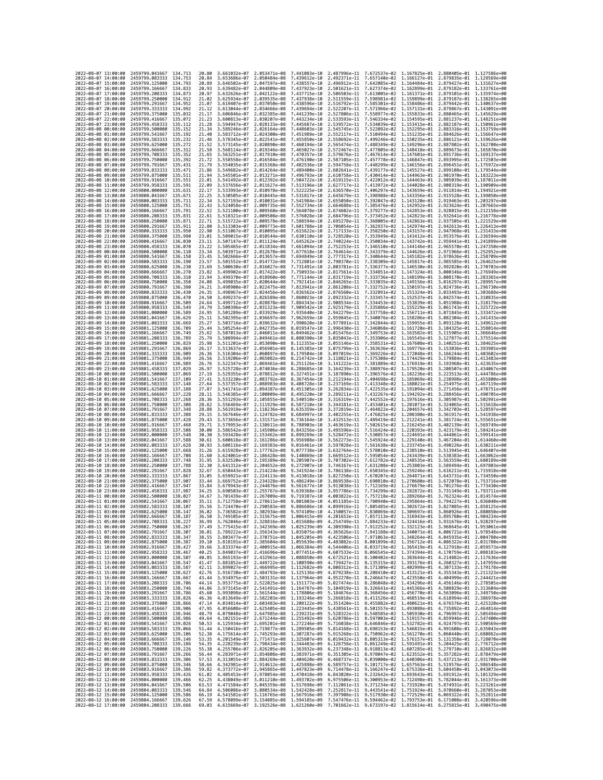| 2022-08-07 13:00:00                        |                     | 2459799.041667                                   | 134.713             | 20.80          | 3.661032e-07 2.053471e-08    |                                           | 7.441083e-10                                                                                                                                                                                                                                                                                                                                          |                              |                                                        |              | 2.487996e-11 7.672537e-02 1.167825e-01 2.880405e-01 1.127586e+00                                                                     |                              |
|--------------------------------------------|---------------------|--------------------------------------------------|---------------------|----------------|------------------------------|-------------------------------------------|-------------------------------------------------------------------------------------------------------------------------------------------------------------------------------------------------------------------------------------------------------------------------------------------------------------------------------------------------------|------------------------------|--------------------------------------------------------|--------------|--------------------------------------------------------------------------------------------------------------------------------------|------------------------------|
| 2022-08-07 14:00:00                        |                     | 2459799.083333                                   | 134.753             | 20.84          | 3.653686e-07                 | 2.050484e-08                              | 7.439612e-10                                                                                                                                                                                                                                                                                                                                          | 2.492371e-11                 | 7.657140e-02 1.166127e-01                              |              | 2.879835e-01 1.129569e+00                                                                                                            |                              |
| 2022-08-07 15:00:00                        |                     | 2459799.125000                                   | 134.793             | 20.89          | 3.646502e-07                 | 2.047597e-08                              | 7.438557e-10                                                                                                                                                                                                                                                                                                                                          | 2.496912e-11                 | 7.642085e-02                                           | 1.164484e-01 | 2.879427e-01                                                                                                                         | 1.131627e+00                 |
| 2022-08-07 16:00:00<br>2022-08-07 17:00:00 |                     | 2459799.166667<br>2459799.208333                 | 134.833<br>134.873  | 20.93<br>20.97 | 3.639482e-07                 | 2.044809e-08 7.437923e-10<br>2.042122e-08 | 7.437715e-10                                                                                                                                                                                                                                                                                                                                          |                              |                                                        |              | 2.501621e-11 7.627374e-02 1.162899e-01 2.879182e-01 1.133761e+00<br>2.506503e-11 7.613005e-02 1.161371e-01 2.879101e-01 1.135974e+00 |                              |
| 2022-08-07 18:00:00                        |                     | 2459799.250000                                   | 134.912             | 21.02          | 3.632626e-07<br>3.625934e-07 | 2.039535e-08                              | 7.437938e-10                                                                                                                                                                                                                                                                                                                                          | 2.511559e-11                 |                                                        |              | 7.598981e-02 1.159899e-01 2.879187e-01 1.138265e+00                                                                                  |                              |
| 2022-08-07 19:00:00                        |                     | 2459799.291667                                   | 134.952             | 21.07          | 3.619407e-07                 | 2.037050e-08                              | 7.438596e-10                                                                                                                                                                                                                                                                                                                                          | 2.516792e-11                 | 7.585301e-02                                           | 1.158486e-01 | 2.879442e-01                                                                                                                         | 1.140637e+00                 |
| 2022-08-07 20:00:00                        |                     | 2459799.333333                                   | 134.992             | 21.12          | 3.613044e-07                 | 2.034666e-08                              | 7.439694e-10                                                                                                                                                                                                                                                                                                                                          | 2.522207e-11                 | 7.571966e-02 1.157131e-01                              |              | 2.879867e-01                                                                                                                         | 1.143091e+00                 |
| 2022-08-07 21:00:00                        |                     | 2459799.375000                                   | 135.032             | 21.17          | 3.606846e-07                 | 2.032385e-08                              | 7.441239e-10                                                                                                                                                                                                                                                                                                                                          | 2.527806e-11                 | 7.558977e-02 1.155833e-01                              |              | 2.880465e-01                                                                                                                         | 1.145629e+00                 |
| 2022-08-07 22:00:00                        |                     | 2459799.416667                                   | 135.072             | 21.23          | 3.600813e-07                 | 2.030207e-08                              | 7.443234e-10                                                                                                                                                                                                                                                                                                                                          | 2.533593e-11                 | 7.546334e-02 1.154595e-01                              |              | 2.881237e-01                                                                                                                         | 1.148251e+00                 |
| 2022-08-07 23:00:00<br>2022-08-08 00:00:00 |                     | 2459799.458333<br>2459799.500000                 | 135.112<br>135, 152 | 21.28<br>21.34 | 3.594947e-07<br>3.589246e-07 | 2.028133e-08<br>2.026164e-08              | 7.445687e-10<br>7.448603e-10                                                                                                                                                                                                                                                                                                                          | 2.539572e-11<br>2.545745e-11 | 7.534039e-02 1.153415e-01<br>7.522092e-02 1.152295e-01 |              | 2.882187e-01<br>2.883316e-01                                                                                                         | 1.150961e+00<br>1.153759e+00 |
| 2022-08-08 01:00:00                        |                     | 2459799.541667                                   | 135.192             | 21.40          | 3.583712e-07                 | 2.024300e-08                              | 7.451989e-10                                                                                                                                                                                                                                                                                                                                          | 2.552117e-11                 | 7.510494e-02 1.151235e-01                              |              | 2.884626e-01                                                                                                                         | 1.156647e+00                 |
| 2022-08-08 02:00:00                        |                     | 2459799.583333                                   | 135.232             | 21.46          | 3.578345e-07                 | 2.022541e-08                              | 7.455850e-10                                                                                                                                                                                                                                                                                                                                          | 2.558692e-11                 | 7.499246e-02                                           | 1.150235e-01 | 2.886121e-01                                                                                                                         | 1.159626e+00                 |
| 2022-08-08 03:00:00                        |                     | 2459799.625000                                   | 135,272             | 21.52          | 3.573145e-07                 | 2.020890e-08                              | 7.460194e-10                                                                                                                                                                                                                                                                                                                                          | 2.565474e-11                 | 7.488349e-02 1.149296e-01                              |              | 2.887802e-01                                                                                                                         | 1.162700e+00                 |
| 2022-08-08 04:00:00                        |                     | 2459799.666667                                   | 135, 312            | 21.58          | 3.568114e-07                 | 2.019346e-08                              | 7.465027e-10                                                                                                                                                                                                                                                                                                                                          | 2.572467e-11                 |                                                        |              | 7.477805e-02 1.148418e-01 2.889673e-01                                                                                               | 1.165870e+00                 |
| 2022-08-08 05:00:00<br>2022-08-08 06:00:00 |                     | 2459799.708333<br>2459799.750000                 | 135,352<br>135.392  | 21.65<br>21.72 | 3.563251e-07<br>3.558558e-07 | 2.017910e-08<br>2.016584e-08              | 7.470357e-10<br>7.476190e-10                                                                                                                                                                                                                                                                                                                          | 2.579676e-11<br>2.587105e-11 | 7.467614e-02 1.147601e-01<br>7.457778e-02 1.146847e-01 |              | 2.891736e-01<br>2.893995e-01                                                                                                         | 1.169137e+00<br>1.172503e+00 |
| 2022-08-08 07:00:00                        |                     | 2459799.791667                                   | 135.431             | 21.79          | 3.554035e-07                 | 2.015368e-08 7.482536e-10                 |                                                                                                                                                                                                                                                                                                                                                       | 2.594758e-11                 |                                                        |              | 7.448299e-02 1.146156e-01 2.896451e-01 1.175972e+00                                                                                  |                              |
| 2022-08-08 08:00:00                        |                     | 2459799.833333                                   | 135.471             | 21.86          |                              | 3.549682e-07 2.014264e-08 7.489400e-10    |                                                                                                                                                                                                                                                                                                                                                       | 2.602641e-11                 |                                                        |              | 7.439177e-02 1.145527e-01 2.899108e-01 1.179544e+00                                                                                  |                              |
| 2022-08-08 09:00:00                        |                     | 2459799.875000                                   | 135.511             | 21.94          | 3.545501e-07                 | 2.013271e-08                              | 7.496793e-10                                                                                                                                                                                                                                                                                                                                          | 2.610758e-11                 | 7.430414e-02 1.144963e-01                              |              | 2.901970e-01                                                                                                                         | 1.183223e+00                 |
| 2022-08-08 10:00:00                        |                     | 2459799.916667                                   | 135.551             | 22.01          | 3.541492e-07                 | 2.012392e-08                              | 7.504722e-10                                                                                                                                                                                                                                                                                                                                          | 2.619115e-11                 | 7.422012e-02                                           | 1.144463e-01 | 2.905039e-01                                                                                                                         | 1.187011e+00                 |
| 2022-08-08 11:00:00<br>2022-08-08 12:00:00 |                     | 2459799.958333<br>2459800.000000                 | 135.591<br>135.631  | 22.09<br>22.17 | 3.537656e-07<br>3.533993e-07 | 2.011627e-08<br>2.010978e-08              | 7.513196e-10<br>7.522225e-10                                                                                                                                                                                                                                                                                                                          | 2.627717e-11<br>2.636570e-11 | 7.413972e-02 1.144028e-01                              |              | 2.908319e-01<br>7.406297e-02 1.143659e-01 2.911814e-01                                                                               | 1.190909e+00<br>1.194921e+00 |
| 2022-08-08 13:00:00                        |                     | 2459800.041667                                   | 135.671             | 22.25          | 3.530505e-07                 | 2.010445e-08                              | 7.531817e-10                                                                                                                                                                                                                                                                                                                                          | 2.645679e-11                 | 7.398988e-02 1.143356e-01                              |              | 2.915528e-01                                                                                                                         | 1.199050e+00                 |
| 2022-08-08 14:00:00                        |                     | 2459800.083333                                   | 135.711             | 22.34          | 3.527193e-07                 | 2.010031e-08                              | 7.541984e-10                                                                                                                                                                                                                                                                                                                                          | 2.655050e-11                 | 7.392047e-02 1.143120e-01                              |              | 2.919463e-01 1.203297e+00                                                                                                            |                              |
| 2022-08-08 15:00:00                        |                     | 2459800.125000                                   | 135.751             | 22.43          | 3.524058e-07                 | 2.009735e-08                              | 7.552734e-10                                                                                                                                                                                                                                                                                                                                          | 2.664688e-11                 | 7.385476e-02 1.142952e-01                              |              | 2.923624e-01                                                                                                                         | 1.207665e+00                 |
| 2022-08-08 16:00:00                        |                     | 2459800,166667                                   | 135.791             | 22.52          | 3.521100e-07                 | 2.009560e-08                              | 7.564078e-10                                                                                                                                                                                                                                                                                                                                          | 2.674602e-11                 | 7.379277e-02 1.142853e-01                              |              | 2.928015e-01                                                                                                                         | 1.212158e+00                 |
| 2022-08-08 17:00:00<br>2022-08-08 18:00:00 |                     | 2459800.208333<br>2459800.250000                 | 135.831<br>135.871  | 22.61<br>22.71 | 3.518321e-07<br>3.515722e-07 | 2.009508e-08<br>2.009578e-08 7.588594e-10 | 7.576028e-10                                                                                                                                                                                                                                                                                                                                          | 2.684796e-11<br>2.695278e-11 | 7.373452e-02 1.142823e-01                              |              | 2.932641e-01<br>7.368005e-02 1.142863e-01 2.937505e-01 1.221529e+00                                                                  | 1.216778e+00                 |
| 2022-08-08 19:00:00                        |                     | 2459800.291667                                   | 135.911             | 22,80          | 3.513303e-07                 | 2.009773e-08                              | 7.601788e-10                                                                                                                                                                                                                                                                                                                                          | 2.706054e-11                 | 7.362937e-02 1.142974e-01                              |              | 2.942613e-01                                                                                                                         | 1.226413e+00                 |
| 2022-08-08 20:00:00                        |                     | 2459800.333333                                   | 135.950             | 22.90          | 3.511067e-07                 | 2.010095e-08                              | 7.615622e-10                                                                                                                                                                                                                                                                                                                                          | 2.717133e-11                 | 7.358250e-02 1.143157e-01                              |              | 2.947968e-01                                                                                                                         | 1.231433e+00                 |
| 2022-08-08 21:00:00                        |                     | 2459800.375000                                   | 135,990             | 23.01          | 3.509015e-07                 | 2.010544e-08                              | 7.630110e-10                                                                                                                                                                                                                                                                                                                                          | 2.728520e-11                 | 7.353949e-02 1.143412e-01                              |              | 2.953576e-01                                                                                                                         | 1.236594e+00                 |
| 2022-08-08 22:00:00                        |                     | 2459800.416667                                   | 136,030             | 23.11          | 3.507147e-07                 | 2.011124e-08                              | 7.645262e-10                                                                                                                                                                                                                                                                                                                                          | 2.740224e-11                 |                                                        |              | 7.350034e-02 1.143742e-01 2.959441e-01                                                                                               | 1.241899e+00                 |
| 2022-08-08 23:00:00<br>2022-08-09 00:00:00 |                     | 2459800.458333<br>2459800.500000                 | 136,070<br>136.110  | 23.22          | 3.505465e-07<br>3.503971e-07 | 2.011834e-08                              | 7.661094e-10<br>7.677618e-10                                                                                                                                                                                                                                                                                                                          | 2.752253e-11                 |                                                        | 1.144626e-01 | 7.346510e-02 1.144146e-01 2.965570e-01 1.247350e+00                                                                                  | 1.252952e+00                 |
| 2022-08-09 01:00:00                        |                     | 2459800.541667                                   | 136,150             | 23.34<br>23.45 | 3.502666e-07                 | 2.012678e-08<br>2.013657e-08              | 7.694849e-10                                                                                                                                                                                                                                                                                                                                          | 2.764614e-11<br>2.777317e-11 | 7.343379e-02<br>7.340644e-02 1.145182e-01              |              | 2.971966e-01<br>2.978636e-01                                                                                                         | 1.258709e+00                 |
| 2022-08-09 02:00:00                        |                     | 2459800.583333                                   | 136.190             | 23.57          | 3.501552e-07                 | 2.014772e-08                              | 7.712801e-10                                                                                                                                                                                                                                                                                                                                          | 2.790370e-11                 | 7.338309e-02 1.145817e-01                              |              | 2.985585e-01                                                                                                                         | 1.264625e+00                 |
| 2022-08-09 03:00:00                        |                     | 2459800.625000                                   | 136,230             | 23.69          | 3.500630e-07                 | 2.016027e-08                              | 7.731491e-10                                                                                                                                                                                                                                                                                                                                          | 2.803781e-11                 | 7.336377e-02 1.146530e-01                              |              | 2.992820e-01                                                                                                                         | 1.270703e+00                 |
| 2022-08-09 04:00:00                        |                     | 2459800.666667                                   | 136.270             | 23.82          | 3.499902e-07                 | 2.017422e-08                              | 7.750933e-10                                                                                                                                                                                                                                                                                                                                          | 2.817561e-11                 | 7.334851e-02 1.147324e-01                              |              | 3.000346e-01                                                                                                                         | 1.276949e+00                 |
| 2022-08-09 05:00:00                        |                     | 2459800.708333                                   | 136.310             | 23.94          | 3.499370e-07                 | 2.018960e-08 7.771144e-10                 |                                                                                                                                                                                                                                                                                                                                                       | 2.831719e-11                 | 7.333736e-02 1.148199e-01                              |              | 3.008170e-01                                                                                                                         | 1.283365e+00                 |
| 2022-08-09 06:00:00<br>2022-08-09 07:00:00 |                     | 2459800.750000<br>2459800.791667                 | 136.350<br>136,390  | 24.08<br>24.21 | 3.499035e-07<br>3.498900e-07 | 2.020644e-08<br>2.022475e-08              | 7.792141e-10<br>7.813941e-10                                                                                                                                                                                                                                                                                                                          | 2.846265e-11<br>2.861208e-11 | 7.333035e-02 1.149156e-01<br>7.332752e-02              | 1.150197e-01 | 3.016297e-01<br>3.024736e-01                                                                                                         | 1.289957e+00<br>1.296730e+00 |
| 2022-08-09 08:00:00                        |                     | 2459800.833333                                   | 136,430             | 24.35          | 3.498967e-07                 | 2.024456e-08                              | 7.836562e-10                                                                                                                                                                                                                                                                                                                                          | 2.876560e-11                 | 7.332891e-02 1.151324e-01                              |              | 3.033493e-01                                                                                                                         | 1.303688e+00                 |
| 2022-08-09 09:00:00                        |                     | 2459800.875000                                   | 136.470             | 24.50          | 3.499237e-07                 | 2.026589e-08                              | 7.860023e-10                                                                                                                                                                                                                                                                                                                                          | 2.892332e-11                 | 7.333457e-02 1.152537e-01                              |              | 3.042574e-01                                                                                                                         | 1.310835e+00                 |
| 2022-08-09 10:00:00                        |                     | 2459800.916667                                   | 136.509             | 24.64          | 3.499712e-07                 | 2.028878e-08                              | 7.884343e-10                                                                                                                                                                                                                                                                                                                                          | 2.908534e-11                 | 7.334453e-02 1.153839e-01                              |              | 3.051988e-01                                                                                                                         | 1.318179e+00                 |
| 2022-08-09 11:00:00<br>2022-08-09 12:00:00 |                     | 2459800.958333<br>2459801,000000                 | 136.549             | 24.79          | 3.500396e-07                 | 2.031323e-08                              | 7.909542e-10                                                                                                                                                                                                                                                                                                                                          | 2.925179e-11                 | 7.335886e-02 1.155229e-01                              |              | 3.061743e-01                                                                                                                         | 1.325722e+00<br>1.333472e+00 |
| 2022-08-09 13:00:00                        |                     | 2459801.041667                                   | 136.589<br>136.629  | 24.95<br>25.11 | 3.501289e-07<br>3.502395e-07 | 2.033929e-08<br>2.036697e-08              | 7.935640e-10<br>7.962659e-10                                                                                                                                                                                                                                                                                                                          | 2.942279e-11<br>2.959845e-11 | 7.337758e-02 1.156711e-01                              |              | 3.071845e-01<br>7.340076e-02 1.158286e-01 3.082304e-01 1.341433e+00                                                                  |                              |
| 2022-08-09 14:00:00                        |                     | 2459801.083333                                   | 136.669             | 25.27          | 3.503716e-07                 | 2.039632e-08                              | 7.990620e-10                                                                                                                                                                                                                                                                                                                                          | 2.977891e-11                 | 7.342844e-02 1.159955e-01                              |              | 3.093128e-01                                                                                                                         | 1.349612e+00                 |
| 2022-08-09 15:00:00                        |                     | 2459801.125000                                   | 136.709             | 25.44          | 3.505254e-07                 | 2.042735e-08                              | 8.019547e-10                                                                                                                                                                                                                                                                                                                                          | 2.996430e-11                 | 7.346068e-02 1.161720e-01                              |              | 3.104325e-01                                                                                                                         | 1.358014e+00                 |
| 2022-08-09 16:00:00                        |                     | 2459801.166667                                   | 136.749             | 25.62          | 3.507013e-07                 | 2.046011e-08                              | 8.049462e-10                                                                                                                                                                                                                                                                                                                                          | 3.015476e-11                 |                                                        |              | 7.349753e-02 1.163582e-01 3.115905e-01                                                                                               | 1.366646e+00                 |
| 2022-08-09 17:00:00                        |                     | 2459801.208333                                   | 136,789             | 25.79          | 3.508994e-07<br>3.511201e-07 | 2.049461e-08                              | 8.080390e-10                                                                                                                                                                                                                                                                                                                                          | 3.035043e-11                 | 7.353906e-02 1.165545e-01                              |              | 3.127877e-01                                                                                                                         | 1.375514e+00<br>1.384625e+00 |
| 2022-08-09 18:00:00<br>2022-08-09 19:00:00 |                     | 2459801.250000<br>2459801.291667                 | 136,829<br>136,869  | 25.98<br>26.17 | 3.513637e-07                 | 2.053090e-08<br>2.056901e-08              | 8.112355e-10<br>8.145385e-10                                                                                                                                                                                                                                                                                                                          | 3.055146e-11<br>3.075799e-11 | 7.358531e-02<br>7.363636e-02 1.169776e-01              | 1.167608e-01 | 3.140251e-01<br>3.153036e-01                                                                                                         | 1.393985e+00                 |
| 2022-08-09 20:00:00                        |                     | 2459801.333333                                   | 136.909             | 26.36          | 3.516304e-07                 | 2.060897e-08                              | 8.179504e-10                                                                                                                                                                                                                                                                                                                                          | 3.097019e-11                 | 7.369226e-02 1.172048e-01                              |              | 3.166244e-01 1.403602e+00                                                                                                            |                              |
| 2022-08-09 21:00:00                        |                     | 2459801.375000                                   | 136.949             | 26.56          | 3.519206e-07                 | 2.065082e-08                              | 8.214742e-10                                                                                                                                                                                                                                                                                                                                          | 3.118821e-11                 | 7.375308e-02 1.174429e-01                              |              | 3.179884e-01                                                                                                                         | 1.413483e+00                 |
| 2022-08-09 22:00:00                        |                     | 2459801.416667                                   | 136.989             | 26.76          | 3.522347e-07                 | 2.069461e-08                              | 8.251126e-10                                                                                                                                                                                                                                                                                                                                          | 3.141222e-11                 | 7.381889e-02 1.176919e-01                              |              | 3.193968e-01                                                                                                                         | 1.423635e+00                 |
| 2022-08-09 23:00:00                        |                     | 2459801.458333                                   | 137.029             | 26.97          | 3.525728e-07                 | 2.074036e-08 8.288685e-10                 |                                                                                                                                                                                                                                                                                                                                                       | 3.164239e-11                 |                                                        |              | 7.388976e-02 1.179520e-01 3.208507e-01                                                                                               | 1.434067e+00                 |
| 2022-08-10 00:00:00<br>2022-08-10 01:00:00 |                     | 2459801.500000<br>2459801.541667                 | 137,069<br>137.109  | 27.19<br>27.41 | 3.529355e-07<br>3.533230e-07 | 2.078812e-08<br>2.083792e-08              | 8.327451e-10<br>8.367454e-10                                                                                                                                                                                                                                                                                                                          | 3.187890e-11<br>3.212194e-11 | 7.404698e-02 1.185069e-01                              |              | 7.396576e-02 1.182236e-01 3.223513e-01<br>3.238998e-01                                                                               | 1,444786e+00<br>1.455800e+00 |
| 2022-08-10 02:00:00                        |                     | 2459801.583333                                   | 137.148             | 27.64          | 3.537357e-07                 | 2.088983e-08                              | 8.408728e-10                                                                                                                                                                                                                                                                                                                                          | 3.237169e-11                 | 7.413348e-02 1.188021e-01                              |              | 3.254975e-01                                                                                                                         | 1.467119e+00                 |
| 2022-08-10 03:00:00                        |                     | 2459801.625000                                   | 137.188             | 27.87          | 3.541741e-07                 | 2.094387e-08                              | 8.451305e-10                                                                                                                                                                                                                                                                                                                                          | 3.262834e-11                 | 7.422535e-02 1.191094e-01                              |              | 3.271456e-01                                                                                                                         | 1.478751e+00                 |
| 2022-08-10 04:00:00                        |                     | 2459801.666667                                   | 137.228             | 28.11          | 3.546385e-07                 | 2.100009e-08                              | 8.495220e-10                                                                                                                                                                                                                                                                                                                                          | 3.289211e-11                 |                                                        |              | 7.432267e-02 1.194292e-01 3.288456e-01 1.490705e+00                                                                                  |                              |
| 2022-08-10 05:00:00                        |                     | 2459801.708333                                   | 137.268             | 28.36          | 3.551293e-07                 | 2.105855e-08                              | 8.540510e-10                                                                                                                                                                                                                                                                                                                                          | 3.316319e-11                 | 7.442552e-02                                           | 1.197616e-01 | 3.305987e-01                                                                                                                         | 1.502991e+00                 |
| 2022-08-10 06:00:00                        |                     | 2459801.750000                                   | 137,308             | 28.62          | 3.556469e-07                 | 2.111929e-08                              | 8.587210e-10                                                                                                                                                                                                                                                                                                                                          | 3.344181e-11                 | 7.453401e-02 1.201071e-01                              |              | 3.324065e-01                                                                                                                         | 1.515618e+00                 |
| 2022-08-10 07:00:00<br>2022-08-10 08:00:00 |                     | 2459801.791667<br>2459801.833333                 | 137.348<br>137.388  | 28.88<br>29.15 | 3.561919e-07<br>3.567646e-07 | 2.118236e-08<br>2.124782e-08              | 8.635359e-10<br>8.684997e-10                                                                                                                                                                                                                                                                                                                          | 3.372819e-11<br>3.402255e-11 | 7.464822e-02 1.204657e-01<br>7.476825e-02 1.208380e-01 |              | 3.342703e-01<br>3.361917e-01                                                                                                         | 1.528597e+00<br>1.541938e+00 |
| 2022-08-10 09:00:00                        |                     | 2459801.875000                                   | 137.428             | 29.43          | 3.573656e-07                 | 2.131571e-08                              | 8.736164e-10                                                                                                                                                                                                                                                                                                                                          | 3.432513e-11                 | 7.489419e-02 1.212241e-01                              |              | 3.381724e-01                                                                                                                         | 1.555651e+00                 |
| 2022-08-10 10:00:00                        |                     | 2459801.916667                                   | 137.468             | 29.71          | 3.579953e-07                 | 2.138611e-08 8.788903e-10                 |                                                                                                                                                                                                                                                                                                                                                       | 3.463619e-11                 |                                                        |              | 7.502615e-02 1.216245e-01 3.402139e-01 1.569749e+00                                                                                  |                              |
| 2022-08-10 11:00:00                        |                     | 2459801.958333                                   | 137.508             | 30.00          | 3.586542e-07                 | 2.145906e-08                              | 8.843256e-10                                                                                                                                                                                                                                                                                                                                          | 3.495596e-11                 |                                                        |              | 7.516424e-02 1.220393e-01 3.423179e-01 1.584241e+00                                                                                  |                              |
| 2022-08-10 12:00:00                        |                     | 2459802.000000                                   | 137.548             | 30.30          | 3.593428e-07                 | 2.153462e-08                              | 8.899269e-10                                                                                                                                                                                                                                                                                                                                          | 3.528472e-11                 | 7.530857e-02 1.224691e-01                              |              | 3.444861e-01                                                                                                                         | 1.599141e+00                 |
| 2022-08-10 13:00:00<br>2022-08-10 14:00:00 |                     | 2459802.041667<br>2459802.083333                 | 137,588<br>137.628  | 30.61<br>30.93 | 3.600618e-07<br>3.608116e-07 | 2.161286e-08<br>2.169383e-08              | 8.956988e-10<br>9.016461e-10                                                                                                                                                                                                                                                                                                                          | 3.562273e-11<br>3.597028e-11 | 7.545924e-02<br>7.561638e-02 1.233745e-01              | 1.229140e-01 | 3.467204e-01<br>3.490226e-01                                                                                                         | 1.614460e+00<br>1.630211e+00 |
| 2022-08-10 15:00:00                        |                     | 2459802.125000                                   | 137.668             | 31.26          | 3.615928e-07                 | 2.177762e-08                              | 9.077738e-10                                                                                                                                                                                                                                                                                                                                          | 3.632764e-11                 | 7.578010e-02 1.238510e-01                              |              | 3.513945e-01                                                                                                                         | 1.646407e+00                 |
| 2022-08-10 16:00:00                        |                     | 2459802.166667                                   | 137,708             | 31.60          | 3.624061e-07                 | 2.186428e-08                              | 9.140869e-10                                                                                                                                                                                                                                                                                                                                          | 3.669512e-11                 | 7.595054e-02 1.243439e-01                              |              | 3.538383e-01                                                                                                                         | 1.663062e+00                 |
| 2022-08-10 17:00:00                        |                     | 2459802.208333                                   | 137.748             | 31.95          | 3.632520e-07                 | 2.195389e-08 9.205907e-10                 |                                                                                                                                                                                                                                                                                                                                                       | 3.707302e-11                 | 7.612782e-02 1.248535e-01                              |              | 3.563559e-01                                                                                                                         | 1.680189e+00                 |
| 2022-08-10 18:00:00                        |                     | 2459802.250000                                   | 137.788<br>137,828  | 32.30          | 3.641312e-07                 | 2.204652e-08                              | 9.272907e-10                                                                                                                                                                                                                                                                                                                                          | 3.746167e-11                 | 7.631208e-02 1.253803e-01<br>7.650345e-02 1.259246e-01 |              | 3.589494e-01                                                                                                                         | 1.697803e+00                 |
| 2022-08-10 19:00:00<br>2022-08-10 20:00:00 |                     | 2459802.291667<br>2459802.333333                 | 137.867             | 32.67<br>33.05 | 3.650443e-07<br>3.659921e-07 | 2.214224e-08<br>2.224113e-08              | 9.341924e-10<br>9.413018e-10                                                                                                                                                                                                                                                                                                                          | 3.786138e-11                 |                                                        |              | 3.616211e-01                                                                                                                         | 1.715918e+00                 |
| 2022-08-10 21:00:00                        |                     | 2459802.375000                                   | 137.907             | 33.44          | 3.669752e-07                 | 2.234328e-08                              |                                                                                                                                                                                                                                                                                                                                                       |                              |                                                        |              |                                                                                                                                      |                              |
| 2022-08-10 22:00:00                        |                     | 2459802.416667                                   | 137.947             | 33.84          | 3.679943e-07                 |                                           | 9.486249e-10                                                                                                                                                                                                                                                                                                                                          | 3.827250e-11<br>3.869538e-11 | 7.670207e-02                                           | 1.264871e-01 | 3.643731e-01<br>7.690810e-02 1.270680e-01 3.672078e-01                                                                               | 1.734550e+00<br>1,753716e+00 |
| 2022-08-10 23:00:00                        |                     | 2459802.458333                                   | 137,987             |                |                              | 2.244876e-08                              | 9.561677e-10                                                                                                                                                                                                                                                                                                                                          | 3.913038e-11                 |                                                        |              | 7.712169e-02 1.276679e-01 3.701276e-01                                                                                               | 1.773430e+00                 |
| 2022-08-11 00:00:00                        |                     |                                                  |                     | 34.25          | 3.690503e-07                 | 2.255767e-08                              | 9.639368e-10                                                                                                                                                                                                                                                                                                                                          | 3.957786e-11                 | 7.734299e-02 1.282872e-01                              |              | 3.731349e-01                                                                                                                         | 1.793711e+00                 |
| 2022-08-11 02:00:00                        |                     | 2459802.500000                                   | 138.027             | 34.67          | 3.701439e-07                 | 2.267009e-08                              | 9.719387e-10                                                                                                                                                                                                                                                                                                                                          | 4.003822e-11                 |                                                        |              | 7.757218e-02 1.289266e-01 3.762324e-01                                                                                               | 1.814574e+00                 |
| 2022-08-11 03:00:00                        | 2022-08-11 01:00:00 | 2459802.541667                                   | 138, 067            | 35.11          | 3.712758e-07                 | 2.278611e-08                              | 9.801803e-10                                                                                                                                                                                                                                                                                                                                          |                              |                                                        |              | 4.051185e-11 7.780940e-02 1.295864e-01 3.794227e-01 1.836040e+00                                                                     |                              |
|                                            |                     | 2459802.583333 138.107<br>2459802.625000         | 138.147             | 35.56<br>30.UZ | 3.736582e-07                 | 2.302934e-08                              | 3.724470e-07 2.290583e-08 9.886686e-10 4.099916e-11 7.805485e-02 1.302672e-01 3.827085e-01 1.858125e+00<br>9.974109e-10                                                                                                                                                                                                                               | 4.150057e-11                 | 7.830869e-02                                           | 1.309697e-01 | 3.860926e-01                                                                                                                         | 1.880850e+00                 |
|                                            | 2022-08-11 04:00:00 | 2459802.666667 138.187                           |                     | 36.50          |                              |                                           | 3.749105e-07 2.315675e-08 1.006415e-09 4.201653e-11 7.857113e-02 1.316943e-01 3.895780e-01 1.904234e+00                                                                                                                                                                                                                                               |                              |                                                        |              |                                                                                                                                      |                              |
| 2022-08-11 05:00:00                        |                     | 2459802.708333 138.227                           |                     | 36.99          |                              |                                           | 3.762046e-07 2.328816e-08 1.015688e-09 4.254749e-11 7.884233e-02 1.324416e-01 3.931676e-01 1.928297e+00                                                                                                                                                                                                                                               |                              |                                                        |              |                                                                                                                                      |                              |
| 2022-08-11 06:00:00                        |                     | 2459802.750000 138.267                           |                     |                |                              |                                           |                                                                                                                                                                                                                                                                                                                                                       |                              |                                                        |              |                                                                                                                                      |                              |
| 2022-08-11 07:00:00<br>2022-08-11 08:00:00 |                     | 2459802.791667 138.307<br>2459802.833333 138.347 |                     |                |                              |                                           | 37.49 3.775415e-07 2.342369e-08 1.025239e-09 4.309390e-11 7.912252e-02 1.332123e-01 3.968645e-01 1.953061e+00<br>38.01 3.789222e-07 2.356343e-08 1.035075e-09 4.365626e-11 7.941188e-02 1.340071e-01 4.006721e-01 1.978548e+00<br>38.55 3.803477e-07 2.370751e-08 1.045205e-09 4.423506e-11 7.971063e-02 1.348264e-01 4.045935e-01 2.004780e+00       |                              |                                                        |              |                                                                                                                                      |                              |
| 2022-08-11 09:00:00                        |                     | 2459802.875000 138.387                           |                     |                |                              |                                           |                                                                                                                                                                                                                                                                                                                                                       |                              |                                                        |              |                                                                                                                                      |                              |
| 2022-08-11 10:00:00                        |                     | 2459802.916667                                   | 138.427             |                |                              |                                           |                                                                                                                                                                                                                                                                                                                                                       |                              |                                                        |              | 4.483082e-11 8.001899e-02 1.356712e-01 4.086322e-01 2.031780e+00<br>4.544406e-11 8.033719e-02 1.365419e-01 4.127918e-01 2.059573e+00 |                              |
| 2022-08-11 11:00:00                        |                     | 2459802.958333 138.467                           |                     |                |                              |                                           | 09.10 3.8181910-07 2.3856040-08 1.0556390-09 4.4830820-11 8.0018990-02 1.3567120-01 4.08632720-01 2.0317800-00<br>39.66 3.8333740-07 2.400915e-08 1.0663384-09 4.5444068-11 8.0018990-02 1.3567120-01 4.08632720-01 2.0317800-00<br>                                                                                                                  |                              |                                                        |              |                                                                                                                                      |                              |
| 2022-08-11 12:00:00                        |                     | 2459803.000000 138.507                           |                     |                |                              |                                           | 40.85 3.865193e-07 2.432961e-08 1.088850e-09 4.672521e-11 8.100402e-02 1.383644e-01 4.214882e-01 2.117636e+00                                                                                                                                                                                                                                         |                              |                                                        |              |                                                                                                                                      |                              |
| 2022-08-11 13:00:00<br>2022-08-11 14:00:00 |                     | 2459803.041667<br>2459803.083333                 | 138.547<br>138.587  |                |                              |                                           |                                                                                                                                                                                                                                                                                                                                                       |                              |                                                        |              |                                                                                                                                      |                              |
| 2022-08-11 15:00:00                        |                     | 2459803.125000 138.627                           |                     |                |                              |                                           | 41.47 3.881852e-07 2.46993e-08 1.100590e-09 4.739427e-11 8.135315e-02 1.393176e-01 4.260327e-01 2.147959e-00<br>42.11 3.889852e-07 2.46993e-08 1.100582e-09 4.898312e-11 8.135315e-02 1.402999e-01 4.260327e-01 2.179759e-00<br>42.7                                                                                                                  |                              |                                                        |              |                                                                                                                                      |                              |
| 2022-08-11 16:00:00                        |                     | 2459803.166667 138.667                           |                     |                |                              |                                           | 43.44 3.934975e-07 2.503131e-08 1.137964e-09 4.952270e-11 8.246647e-02 1.423550e-01 4.404999e-01 2.244421e+00                                                                                                                                                                                                                                         |                              |                                                        |              |                                                                                                                                      |                              |
| 2022-08-11 17:00:00                        |                     | 2459803.208333                                   | 138,706             |                |                              |                                           |                                                                                                                                                                                                                                                                                                                                                       |                              |                                                        |              |                                                                                                                                      |                              |
| 2022-08-11 18:00:00<br>2022-08-11 19:00:00 |                     | 2459803.250000 138.746                           |                     |                |                              |                                           | $\begin{array}{cccccccc} 44.14 & 3.953775e-07 & 2.522025e-08 & 1.151177e-09 & 5.027474e-11 & 8.286048e-02 & 1.434296e-01 & 4.456146e-01 & 2.278505e+00 & 44.86 & 3.973145e-07 & 2.541491e-08 & 1.164787e-09 & 5.104919e-11 & 8.326641e-02 & 1.445366e-01 & 4$                                                                                         |                              |                                                        |              |                                                                                                                                      |                              |
| 2022-08-11 20:00:00                        |                     | 2459803.291667 138.786<br>2459803.333333 138.826 |                     |                |                              |                                           |                                                                                                                                                                                                                                                                                                                                                       |                              |                                                        |              |                                                                                                                                      |                              |
| 2022-08-11 21:00:00                        |                     | 2459803.375000                                   | 138.866             |                |                              |                                           |                                                                                                                                                                                                                                                                                                                                                       |                              |                                                        |              |                                                                                                                                      |                              |
| 2022-08-11 22:00:00                        |                     | 2459803.416667 138.906                           |                     |                |                              |                                           | 45.60 3.993998e-07 2.561544e-08 1.17886e-09 5.184676e-11 8.368456e-02 1.456776e-01 4.563996e-01 2.349756e+06<br>47.56 44.63894e-07 2.561289e-08 1.193846e-09 5.266618e-11 8.4155649e-02 1.4657176e-01 4.563996e-01 2.389756e+0<br>47                                                                                                                  |                              |                                                        |              |                                                                                                                                      |                              |
| 2022-08-11 23:00:00                        |                     | 2459803.458333 138.946                           |                     |                |                              |                                           | 48.79 4.079048e-07 2.647985e-08 1.239231e-09 5.528322e-11 8.548585e-02 1.505930e-01 4.796997e-01 2.505494e+00                                                                                                                                                                                                                                         |                              |                                                        |              |                                                                                                                                      |                              |
| 2022-08-12 00:00:00<br>2022-08-12 01:00:00 |                     | 2459803.500000<br>2459803.541667                 | 138.986<br>139.026  |                |                              |                                           | $\begin{array}{cccc} 49.64 & 4.102151e-07 & 2.671244e-08 & 1.255492e-09 \\ 50.53 & 4.125934e-07 & 2.695201e-08 & 1.272246e-09 \end{array}$                                                                                                                                                                                                            |                              |                                                        |              | 5.620786e-11 8.597003e-02 1.519157e-01 4.859946e-01 2.547400e+00<br>5.716038e-11 8.646846e-02 1.532782e-01 4.859946e-01 2.547400e+00 |                              |
| 2022-08-12 02:00:00                        |                     | 2459803,583333 139,066                           |                     |                |                              |                                           | 51.44 4.150416e-07 2.719877e-08 1.289505e-09 5.814168e-11 8.698153e-02 1.546815e-01 4.991608e-01 2.635043e+00                                                                                                                                                                                                                                         |                              |                                                        |              |                                                                                                                                      |                              |
| 2022-08-12 03:00:00                        |                     | 2459803.625000 139.106                           |                     |                |                              |                                           | 52.38 4.175614e-07 2.745293e-08 1.307287e-09 5.915268e-11 8.750962e-02 1.561270e-01 5.060440e-01 2.680862e+00                                                                                                                                                                                                                                         |                              |                                                        |              |                                                                                                                                      |                              |
| 2022-08-12 04:00:00                        |                     | 2459803.666667                                   | 139.146             |                |                              |                                           |                                                                                                                                                                                                                                                                                                                                                       |                              |                                                        |              |                                                                                                                                      |                              |
| 2022-08-12 05:00:00                        |                     | 2459803.708333 139.186                           |                     |                |                              |                                           | $\frac{53.35}{54.2823926-07} \quad \frac{2.771471e-08}{2.798434e-08} \quad \frac{1.325607e-09}{1.344483e-09} \quad \frac{6.019432e-11}{6.126758e-11} \quad \frac{8.805313e-02}{8.861249e-02} \quad \frac{1.576157e-01}{1.591491e-01} \quad \frac{5.131358e-01}{5.204425e-01} \quad \frac{2.7280$                                                      |                              |                                                        |              |                                                                                                                                      |                              |
| 2022-08-12 06:00:00<br>2022-08-12 07:00:00 |                     | 2459803.750000 139.226<br>2459803.791667 139.266 |                     |                |                              |                                           | 55.38 4.255706e-07 2.826205e-08 1.363932e-09 6.237348e-11 8.918813e-02 1.607285e-01 5.279710e-01 2.826832e+00                                                                                                                                                                                                                                         |                              |                                                        |              |                                                                                                                                      |                              |
| 2022-08-12 08:00:00                        |                     | 2459803.833333                                   | 139.306             |                |                              |                                           |                                                                                                                                                                                                                                                                                                                                                       |                              |                                                        |              |                                                                                                                                      |                              |
| 2022-08-12 09:00:00                        |                     | 2459803.875000 139.346                           |                     |                |                              |                                           | 56.44 4.283971e-07 2.854808e-08 1.383971e-09 6.351305e-11 8.978047e-02 1.623552e-01 5.357282e-01 2.878479e-00<br>57.53 4.313055e-07 2.884269e-08 1.404620e-09 6.468737e-11 8.978040e-02 1.649306e-01 5.357282e-01 2.978479e-00<br>58                                                                                                                  |                              |                                                        |              |                                                                                                                                      |                              |
| 2022-08-12 10:00:00                        |                     | 2459803.916667                                   | 139.386             |                |                              |                                           |                                                                                                                                                                                                                                                                                                                                                       |                              |                                                        |              |                                                                                                                                      |                              |
| 2022-08-12 11:00:00<br>2022-08-12 12:00:00 |                     | 2459803.958333<br>2459804.000000 139.466         | 139.426             |                |                              |                                           |                                                                                                                                                                                                                                                                                                                                                       |                              |                                                        |              |                                                                                                                                      |                              |
| 2022-08-12 13:00:00                        |                     | 2459804.041667 139.506                           |                     |                |                              |                                           | 59.82 4.373772e-07 2.945865e-08 1.447823e-09 6.714478e-11 9.166247e-02 1.675336e-01 5.604450e-01 3.043073e+00<br>61.02 4.405453e-07 2.978054e-08 1.470418e-09 6.843020e-11 9.232642e-02 1.693643e-01 5.601450e-01 3.161329e+00<br>62<br>63.53 4.471584e-07 3.045359e-08 1.517698e-09 7.112061e-11 9.371234e-02 1.731920e-01 5.874931e-01 3.223261e+00 |                              |                                                        |              |                                                                                                                                      |                              |
| 2022-08-12 14:00:00                        |                     | 2459804.083333 139.546                           |                     |                |                              |                                           | 64.84 4.506086e-07 3.080534e-08 1.542428e-09 7.252817e-11 9.443541e-02 1.751924e-01 5.970660e-01 3.287053e+00                                                                                                                                                                                                                                         |                              |                                                        |              |                                                                                                                                      |                              |
| 2022-08-12 15:00:00<br>2022-08-12 16:00:00 |                     | 2459804.125000<br>2459804.166667                 | 139.586<br>139.626  |                |                              |                                           | 06.19 4.541581e-07 3.116765e-08 1.567916e-09 7.397908e-11 9.517930e-02 1.772529e-01 6.069322e-01 3.352811e+00<br>67.59 4.578099e-07 3.154085e-08 1.594185e-09 7.547476e-11 9.594462e-02 1.793753e-01 6.171008e-01 3.420596e+00                                                                                                                        |                              |                                                        |              |                                                                                                                                      |                              |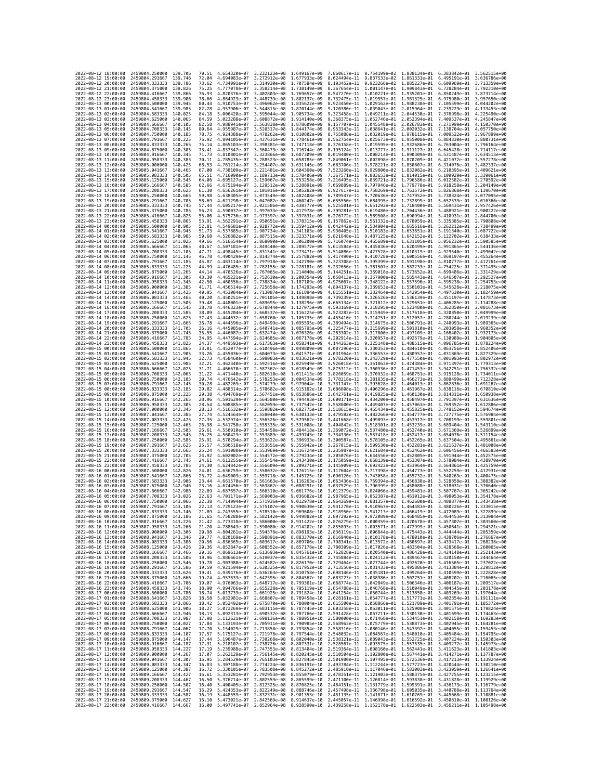| 2022-08-12 18:00:00                                               | 2459804.250000                                   | 139,706             | 70.51          | 4.654320e-07                 | 3.232123e-08 1.649167e-09                              |                                                                                                                                                                                                                                                                |                              | 7.860617e-11 9.754199e-02 1.838134e-01 6.383842e-01    |                                           |                                                                     | 3.562515e+00                              |
|-------------------------------------------------------------------|--------------------------------------------------|---------------------|----------------|------------------------------|--------------------------------------------------------|----------------------------------------------------------------------------------------------------------------------------------------------------------------------------------------------------------------------------------------------------------------|------------------------------|--------------------------------------------------------|-------------------------------------------|---------------------------------------------------------------------|-------------------------------------------|
| 2022-08-12 19:00:00                                               | 2459804.291667                                   | 139.746             | 72.04          | 4.694083e-07                 | 3.272912e-08 1.677933e-09                              |                                                                                                                                                                                                                                                                |                              | 8.024494e-11 9.837533e-02 1.861331e-01                 |                                           | 6.495191e-01                                                        | 3.636786e+00                              |
| 2022-08-12 20:00:00                                               | 2459804.333333                                   | 139.786             | 73.62          | 4.734991e-07                 | 3.314930e-08                                           | 1.707584e-09                                                                                                                                                                                                                                                   | 8.193452e-11                 | 9.923266e-02                                           | 1.885227e-01                              | 6.609969e-01                                                        | 3.713359e+00                              |
| 2022-08-12 21:00:00<br>2022-08-12 22:00:00                        | 2459804.375000<br>2459804.416667                 | 139.826<br>139,866  | 75.25<br>76.93 | 4.777078e-07<br>4.820376e-07 |                                                        | 3.358214e-08 1.738149e-09<br>3.402803e-08 1.769657e-09                                                                                                                                                                                                         |                              | 8.547270e-11 1.010221e-01 1.935201e-01                 |                                           | 8.367654e-11 1.001147e-01 1.909843e-01 6.728284e-01<br>6.850249e-01 | 3.792310e+00<br>3.873714e+00              |
| 2022-08-12 23:00:00                                               | 2459804.458333                                   | 139.906             | 78.66          | 4.864923e-07                 |                                                        | 3.448739e-08 1.802137e-09                                                                                                                                                                                                                                      |                              | 8.732475e-11 1.019557e-01 1.961325e-01                 |                                           | 6.975980e-01                                                        | 3.957650e+00                              |
| 2022-08-13 00:00:00                                               | 2459804.500000                                   | 139.945             | 80.44          | 4.910753e-07                 | 3.496062e-08                                           | 1.835622e-09                                                                                                                                                                                                                                                   | 8.923450e-11                 | 1.029162e-01                                           | 1.988238e-01                              | 7.105599e-01                                                        | 4.044202e+00                              |
| 2022-08-13 01:00:00                                               | 2459804.541667                                   | 139.985             | 82.28          | 4.957906e-07                 |                                                        | 3.544815e-08 1.870144e-09                                                                                                                                                                                                                                      | 9.120380e-11                 | 1.039043e-01 2.015964e-01                              |                                           | 7.239229e-01                                                        | 4.133453e+00                              |
| 2022-08-13 02:00:00                                               | 2459804.583333                                   | 140.025             | 84.18          | 5.006420e-07                 | 3.595044e-08 1.905734e-09                              |                                                                                                                                                                                                                                                                |                              | 9.323458e-11 1.049211e-01 2.044530e-01 7.376998e-01    |                                           |                                                                     | 4.225490e+00                              |
| 2022-08-13 03:00:00                                               | 2459804.625000                                   | 140.065             | 84.59          | 5.023288e-07                 | 3.608872e-08                                           | 1.914140e-09                                                                                                                                                                                                                                                   | 9.368375e-11 1.052746e-01    |                                                        | 2.052394e-01                              | 7.409537e-01                                                        | 4.245847e+00                              |
| 2022-08-13 04:00:00<br>2022-08-13 05:00:00                        | 2459804.666667<br>2459804.708333                 | 140,105<br>140, 145 | 82.58<br>80.64 | 4.988941e-07<br>4.955987e-07 | 3.520317e-08 1.844174e-09                              | 3.563838e-08 1.878609e-09                                                                                                                                                                                                                                      | 9.157707e-11<br>8.953343e-11 | 1.045548e-01 2.026783e-01<br>1.038641e-01 2.002032e-01 |                                           | 7.271999e-01<br>7.138704e-01                                        | 4.150370e+00<br>4.057750e+00              |
| 2022-08-13 06:00:00                                               | 2459804.750000                                   | 140,185             | 78.75          | 4.924388e-07                 |                                                        | 3.478262e-08 1.810802e-09                                                                                                                                                                                                                                      | 8.755088e-11                 | 1.032019e-01 1.978115e-01                              |                                           | 7.009522e-01                                                        | 3.967899e+00                              |
| 2022-08-13 07:00:00                                               | 2459804.791667                                   | 140.225             | 76.92          | 4.894105e-07                 | 3.437631e-08                                           | 1.778461e-09                                                                                                                                                                                                                                                   | 8.562754e-11                 | 1.025673e-01                                           | 1.955008e-01                              | 6.884330e-01                                                        | 3.880731e+00                              |
| 2022-08-13 08:00:00                                               | 2459804.833333                                   | 140,265             | 75.14          | 4.865103e-07                 |                                                        | 3.398381e-08 1.747118e-09                                                                                                                                                                                                                                      | 8.376158e-11                 | 1.019595e-01 1.932686e-01                              |                                           | 6.763004e-01                                                        | 3.796164e+00                              |
| 2022-08-13 09:00:00                                               | 2459804.875000                                   | 140.305             | 73.41          | 4.837347e-07                 | 3.360473e-08                                           | 1.716744e-09                                                                                                                                                                                                                                                   | 8.195124e-11                 | 1.013777e-01 1.911127e-01                              |                                           | 6.645428e-01                                                        | 3.714117e+00                              |
| 2022-08-13 10:00:00<br>2022-08-13 11:00:00                        | 2459804.916667<br>2459804.958333                 | 140.345<br>140.385  | 71.73<br>70.11 | 4.810801e-07<br>4.785435e-07 | 3.288523e-08 1.658785e-09                              | 3.323866e-08 1.687309e-09                                                                                                                                                                                                                                      | 8.019480e-11<br>7.849061e-11 | 1.008214e-01 1.890309e-01<br>1.002898e-01 1.870209e-01 |                                           | 6.531487e-01<br>6.421072e-01                                        | 3.634513e+00<br>3.557278e+00              |
| 2022-08-13 12:00:00                                               | 2459805.000000                                   | 140.425             | 68.53          | 4.761214e-07                 | 3.254407e-08 1.631145e-09                              |                                                                                                                                                                                                                                                                | 7.683706e-11                 | 9.978221e-02 1.850807e-01                              |                                           | 6.314076e-01                                                        | 3.482337e+00                              |
| 2022-08-13 13:00:00                                               | 2459805.041667                                   | 140.465             | 67.00          | 4.738109e-07                 | 3.221481e-08 1.604360e-09                              |                                                                                                                                                                                                                                                                | 7.523260e-11                 | 9.929800e-02 1.832082e-01                              |                                           | 6.210395e-01                                                        | 3.409621e+00                              |
| 2022-08-13 14:00:00                                               | 2459805.083333                                   | 140.505             | 65.51          | 4.716090e-07                 | 3.189713e-08 1.578406e-09                              |                                                                                                                                                                                                                                                                | 7.367571e-11                 | 9.883653e-02 1.814015e-01                              |                                           | 6.109929e-01                                                        | 3.339061e+00                              |
| 2022-08-13 15:00:00                                               | 2459805.125000                                   | 140.545             | 64.06          | 4.695127e-07                 | 3.159067e-08                                           | 1.553258e-09                                                                                                                                                                                                                                                   | 7.216495e-11                 | 9.839721e-02                                           | 1.796586e-01                              | 6.012582e-01                                                        | 3.270592e+00                              |
| 2022-08-13 16:00:00<br>2022-08-13 17:00:00                        | 2459805.166667                                   | 140.585<br>140.625  | 62.66<br>61.30 | 4.675194e-07<br>4.656261e-07 | 3.129512e-08                                           | 1.528891e-09<br>3.101016e-08 1.505282e-09                                                                                                                                                                                                                      | 7.069889e-11                 | 9.797946e-02 1.779778e-01<br>9.758269e-02 1.763572e-01 |                                           | 5.918258e-01<br>5.826868e-01                                        | 3.204149e+00<br>3.139670e+00              |
| 2022-08-13 18:00:00                                               | 2459805.208333<br>2459805.250000                 | 140.665             | 59.98          | 4.638305e-07                 | 3.073549e-08                                           | 1.482408e-09                                                                                                                                                                                                                                                   | 6.927617e-11<br>6.789547e-11 | 9.720636e-02                                           | 1.747952e-01                              | 5.738324e-01                                                        | 3.077095e+00                              |
| 2022-08-13 19:00:00                                               | 2459805.291667                                   | 140.705             | 58.69          | 4.621298e-07                 | 3.047082e-08 1.460247e-09                              |                                                                                                                                                                                                                                                                | 6.655550e-11                 | 9.684995e-02 1.732899e-01                              |                                           | 5.652539e-01                                                        | 3.016366e+00                              |
| 2022-08-13 20:00:00                                               | 2459805.333333                                   | 140.745             | 57.44          | 4.605217e-07                 | 3.021586e-08                                           | 1,438777e-09                                                                                                                                                                                                                                                   | 6.525501e-11                 | 9.651292e-02 1.718400e-01                              |                                           | 5.569431e-01                                                        | 2.957426e+00                              |
| 2022-08-13 21:00:00                                               | 2459805.375000                                   | 140.785             | 56.23          | 4.590037e-07                 |                                                        | 2.997033e-08 1.417978e-09                                                                                                                                                                                                                                      | 6.399281e-11                 | 9.619480e-02 1.704436e-01                              |                                           | 5.488921e-01                                                        | 2.900222e+00                              |
| 2022-08-13 22:00:00<br>2022-08-13 23:00:00                        | 2459805.416667<br>2459805.458333                 | 140.825<br>140.865  | 55.06<br>53.91 | 4.575736e-07<br>4.562291e-07 | 2.973397e-08 1.397831e-09<br>2.950651e-08 1.378315e-09 |                                                                                                                                                                                                                                                                | 6.276772e-11<br>6.157862e-11 | 9.589508e-02<br>9.561332e-02 1.678059e-01              | 1.690994e-01                              | 5.410931e-01<br>5.335385e-01                                        | 2.844700e+00<br>2.790808e+00              |
| 2022-08-14 00:00:00                                               | 2459805.500000                                   | 140.905             | 52.81          | 4.549681e-07                 | 2.928772e-08 1.359412e-09                              |                                                                                                                                                                                                                                                                | 6.042442e-11                 | 9.534904e-02 1.665616e-01                              |                                           | 5.262212e-01                                                        | 2.738499e+00                              |
| 2022-08-14 01:00:00                                               | 2459805.541667                                   | 140.945             | 51.73          | 4.537885e-07                 | 2.907734e-08                                           | 1.341103e-09                                                                                                                                                                                                                                                   | 5.930405e-11                 | 9.510183e-02                                           | 1.653651e-01                              | 5.191340e-01                                                        | 2.687722e+00                              |
| 2022-08-14 02:00:00                                               | 2459805.583333                                   | 140.985             | 50.68          | 4.526882e-07                 |                                                        | 2.887515e-08 1.323371e-09                                                                                                                                                                                                                                      | 5.821648e-11                 | 9.487125e-02                                           | 1.642152e-01                              | 5.122702e-01                                                        | 2.638433e+00                              |
| 2022-08-14 03:00:00                                               | 2459805.625000                                   | 141.025             | 49.66          | 4.516654e-07                 | 2.868090e-08                                           | 1.306200e-09                                                                                                                                                                                                                                                   | 5.716074e-11                 | 9.465689e-02 1.631105e-01                              |                                           | 5.056232e-01                                                        | 2.590585e+00                              |
| 2022-08-14 04:00:00                                               | 2459805.666667                                   | 141,065             | 48.67          | 4.507181e-07                 | 2.849440e-08 1.289572e-09                              |                                                                                                                                                                                                                                                                |                              | 5.613584e-11 9.445836e-02 1.620499e-01                 |                                           | 4.991865e-01                                                        | 2.544136e+00                              |
| 2022-08-14 05:00:00<br>2022-08-14 06:00:00                        | 2459805.708333<br>2459805.750000                 | 141.105<br>141, 145 | 47.71<br>46.78 | 4.498445e-07<br>4.490429e-07 | 2.831541e-08<br>2.814374e-08 1.257882e-09              | 1.273471e-09                                                                                                                                                                                                                                                   | 5.514086e-11<br>5.417490e-11 | 9.427528e-02<br>9.410728e-02 1.600556e-01              | 1.610319e-01                              | 4.929540e-01<br>4.869197e-01                                        | 2.499042e+00<br>2.455264e+00              |
| 2022-08-14 07:00:00                                               | 2459805.791667                                   | 141.185             | 45.87          | 4.483114e-07                 |                                                        | 2.797918e-08 1.242790e-09                                                                                                                                                                                                                                      | 5.323708e-11                 | 9.395399e-02 1.591198e-01                              |                                           | 4.810777e-01                                                        | 2.412761e+00                              |
| 2022-08-14 08:00:00                                               | 2459805.833333                                   | 141.225             | 44.99          | 4.476485e-07                 | 2.782155e-08 1.228181e-09                              |                                                                                                                                                                                                                                                                | 5.232656e-11                 | 9.381507e-02 1.582233e-01                              |                                           | 4.754225e-01                                                        | 2.371495e+00                              |
| 2022-08-14 09:00:00                                               | 2459805.875000                                   | 141.265             | 44.14          | 4.470526e-07                 | 2.767065e-08 1.214040e-09                              |                                                                                                                                                                                                                                                                | 5.144251e-11                 | 9.369018e-02 1.573652e-01                              |                                           | 4.699486e-01                                                        | 2.331429e+00                              |
| 2022-08-14 10:00:00                                               | 2459805.916667                                   | 141.305             | 43.30          | 4.465221e-07                 | 2.752630e-08 1.200354e-09                              |                                                                                                                                                                                                                                                                | 5.058413e-11                 | 9.357900e-02 1.565443e-01                              |                                           | 4.646507e-01                                                        | 2.292527e+00                              |
| 2022-08-14 11:00:00<br>2022-08-14 12:00:00                        | 2459805.958333<br>2459806.000000                 | 141, 345<br>141.385 | 42.50<br>41.71 | 4.460556e-07<br>4.456514e-07 | 2.738834e-08 1.187109e-09<br>2.725658e-08              | 1.174293e-09                                                                                                                                                                                                                                                   | 4.975067e-11<br>4.894137e-11 | 9.348122e-02<br>9.339653e-02                           | 1.557596e-01<br>1.550103e-01              | 4.595238e-01<br>4.545628e-01                                        | 2.254753e+00<br>2.218075e+00              |
| 2022-08-14 13:00:00                                               | 2459806.041667                                   | 141,425             | 40.95          | 4.453084e-07                 | 2.713087e-08 1.161894e-09                              |                                                                                                                                                                                                                                                                | 4.815551e-11                 | 9.332464e-02 1.542954e-01                              |                                           | 4.497630e-01                                                        | 2.182459e+00                              |
| 2022-08-14 14:00:00                                               | 2459806.083333                                   | 141.465             | 40.20          | 4.450251e-07                 | 2.701105e-08                                           | 1,149898e-09                                                                                                                                                                                                                                                   | 4.739239e-11                 | 9.326526e-02 1.536139e-01                              |                                           | 4.451197e-01                                                        | 2.147873e+00                              |
| 2022-08-14 15:00:00                                               | 2459806.125000                                   | 141,505             | 39.48          | 4.448001e-07                 | 2.689695e-08 1.138296e-09                              |                                                                                                                                                                                                                                                                | 4.665134e-11                 | 9.321812e-02 1.529651e-01                              |                                           | 4.406285e-01                                                        | 2.114288e+00                              |
| 2022-08-14 16:00:00                                               | 2459806.166667                                   | 141.545             | 38.78          | 4.446323e-07                 | 2.678844e-08                                           | 1.127075e-09                                                                                                                                                                                                                                                   | 4.593169e-11                 | 9.318295e-02                                           | 1.523480e-01                              | 4.362850e-01                                                        | 2.081673e+00                              |
| 2022-08-14 17:00:00                                               | 2459806.208333                                   | 141.585             | 38.09          | 4.445204e-07                 | 2.668537e-08 1.116225e-09                              |                                                                                                                                                                                                                                                                | 4.523282e-11                 | 9.315949e-02 1.517618e-01                              |                                           | 4.320850e-01                                                        | 2.049999e+00<br>2.019239e+00              |
| 2022-08-14 18:00:00<br>2022-08-14 19:00:00                        | 2459806.250000<br>2459806.291667                 | 141.625<br>141.665  | 37.43<br>36.78 | 4.444632e-07<br>4.444596e-07 | 2.658760e-08 1.105735e-09<br>2.649499e-08 1.095595e-09 |                                                                                                                                                                                                                                                                | 4.455410e-11<br>4.389494e-11 | 9.314751e-02 1.512057e-01<br>9.314675e-02 1.506791e-01 |                                           | 4.280244e-01<br>4.240993e-01                                        | 1.989365e+00                              |
| 2022-08-14 20:00:00                                               | 2459806.333333                                   | 141.705             | 36.16          | 4.445085e-07                 | 2.640741e-08 1.085795e-09                              |                                                                                                                                                                                                                                                                | 4.325477e-11                 | 9.315699e-02                                           | 1.501810e-01                              | 4.203058e-01                                                        | 1.960352e+00                              |
| 2022-08-14 21:00:00                                               | 2459806.375000                                   | 141.745             | 35.55          | 4.446087e-07                 | 2.632474e-08 1.076326e-09                              |                                                                                                                                                                                                                                                                | 4.263302e-11                 | 9.317800e-02 1.497109e-01                              |                                           | 4.166402e-01                                                        | 1.932173e+00                              |
| 2022-08-14 22:00:00                                               | 2459806.416667                                   | 141,785             | 34.95          | 4.447594e-07                 | 2.624685e-08                                           | 1.067178e-09                                                                                                                                                                                                                                                   | 4.202914e-11                 | 9.320957e-02                                           | 1.492679e-01                              | 4.130989e-01                                                        | 1.904805e+00                              |
| 2022-08-14 23:00:00                                               | 2459806.458333                                   | 141,825             | 34.37          | 4.449593e-07                 | 2.617363e-08                                           | 1.058341e-09                                                                                                                                                                                                                                                   | 4.144263e-11                 | 9.325148e-02                                           | 1.488515e-01                              | 4.096785e-01                                                        | 1.878224e+00                              |
| 2022-08-15 00:00:00<br>2022-08-15 01:00:00                        | 2459806.500000<br>2459806.541667                 | 141,865<br>141.905  | 33.81          | 4.452077e-07<br>4.455036e-07 | 2.604073e-08                                           | 2.610496e-08 1.049809e-09<br>1.041571e-09                                                                                                                                                                                                                      | 4.087296e-11<br>4.031964e-11 | 9.330353e-02 1.484610e-01<br>9.336553e-02 1.480957e-01 |                                           | 4.063756e-01                                                        | 1.852406e+00<br>4.031869e-01 1.827329e+00 |
| 2022-08-15 02:00:00                                               | 2459806.583333                                   | 141.945             | 33.26<br>32.73 | 4.458460e-07                 | 2.598083e-08                                           | 1.033621e-09                                                                                                                                                                                                                                                   | 3.978220e-11                 | 9.343729e-02                                           | 1.477550e-01                              | 4.001093e-01                                                        | 1.802972e+00                              |
| 2022-08-15 03:00:00                                               | 2459806.625000                                   | 141.985             | 32.21          | 4.462340e-07                 | 2.592516e-08                                           | 1.025949e-09                                                                                                                                                                                                                                                   | 3.926018e-11                 | 9.351863e-02                                           | 1.474384e-01                              | 3.971397e-01                                                        | 1.779313e+00                              |
| 2022-08-15 04:00:00                                               | 2459806.666667                                   | 142.025             | 31.71          | 4.466670e-07                 | 2.587362e-08 1.018549e-09                              |                                                                                                                                                                                                                                                                | 3.875312e-11                 |                                                        |                                           | 9.360936e-02 1.471453e-01 3.942751e-01                              | 1.756332e+00                              |
| 2022-08-15 05:00:00                                               | 2459806.708333                                   | 142,065             | 31.22          | 4.471440e-07                 | 2.582610e-08 1.011413e-09                              |                                                                                                                                                                                                                                                                | 3.826059e-11                 |                                                        |                                           | 9.370932e-02 1.468751e-01 3.915128e-01                              | 1.734011e+00                              |
| 2022-08-15 06:00:00                                               | 2459806.750000                                   | 142.105             | 30.74          | 4.476642e-07                 | 2.578253e-08                                           | 1.004534e-09                                                                                                                                                                                                                                                   | 3.778218e-11                 | 9.381835e-02                                           | 1.466273e-01                              |                                                                     | 3.888499e-01 1.712328e+00                 |
| 2022-08-15 07:00:00<br>2022-08-15 08:00:00                        | 2459806.791667<br>2459806.833333                 | 142.145<br>142, 185 | 30.28<br>29.82 | 4.482269e-07<br>4.488314e-07 | 2.574279e-08<br>2.570682e-08                           | 9.979044e-10<br>9.915182e-10                                                                                                                                                                                                                                   | 3.731747e-11<br>3.686608e-11 | 9.393628e-02                                           | 1.464013e-01<br>9.406296e-02 1.461967e-01 | 3.862836e-01<br>3.838116e-01                                        | 1.691267e+00<br>1.670810e+00              |
| 2022-08-15 09:00:00                                               | 2459806.875000                                   | 142,225             | 29.38          | 4.494769e-07                 | 2.567451e-08                                           | 9.853686e-10                                                                                                                                                                                                                                                   | 3.642761e-11                 | 9.419825e-02 1.460130e-01                              |                                           | 3.814311e-01 1.650938e+00                                           |                                           |
| 2022-08-15 10:00:00                                               | 2459806.916667                                   | 142.265             | 28.96          | 4.501629e-07                 | 2.564580e-08                                           | 9.794493e-10                                                                                                                                                                                                                                                   | 3.600171e-11                 | 9.434200e-02                                           | 1.458497e-01                              | 3.791397e-01                                                        | 1.631636e+00                              |
| 2022-08-15 11:00:00                                               | 2459806.958333                                   | 142.305             | 28.54          | 4.508885e-07                 | 2.562059e-08                                           | 9.737542e-10                                                                                                                                                                                                                                                   | 3.558800e-11                 | 9.449407e-02 1.457063e-01                              |                                           | 3.769352e-01                                                        | 1.612886e+00                              |
| 2022-08-15 12:00:00                                               | 2459807.000000                                   | 142.345             | 28.13          | 4.516532e-07                 | 2.559882e-08                                           | 9.682775e-10                                                                                                                                                                                                                                                   | 3.518615e-11                 | 9.465434e-02 1.455825e-01                              |                                           | 3.748152e-01                                                        | 1.594674e+00                              |
| 2022-08-15 13:00:00                                               | 2459807.041667                                   | 142.385             | 27.74          | 4.524564e-07                 | 2.558040e-08                                           | 9.630133e-10                                                                                                                                                                                                                                                   | 3.479582e-11                 | 9.482266e-02 1.454777e-01                              |                                           | 3.727775e-01                                                        | 1.576984e+00                              |
| 2022-08-15 14:00:00<br>2022-08-15 15:00:00                        | 2459807.083333<br>2459807.125000                 | 142.425<br>142.465  | 27.35<br>26.98 | 4.532974e-07<br>4.541758e-07 | 2.556526e-08                                           | 9.579562e-10<br>2.555335e-08 9.531008e-10                                                                                                                                                                                                                      | 3.441668e-11<br>3.404842e-11 | 9.499893e-02 1.453917e-01                              | 9.518301e-02 1.453239e-01                 | 3.708199e-01<br>3.689404e-01                                        | 1.559801e+00<br>1.543110e+00              |
| 2022-08-15 16:00:00                                               | 2459807.166667                                   | 142.505             | 26.61          | 4.550910e-07                 | 2.554458e-08                                           | 9.484418e-10                                                                                                                                                                                                                                                   | 3.369072e-11                 |                                                        |                                           | 9.537480e-02 1.452740e-01 3.671369e-01 1.526899e+00                 |                                           |
| 2022-08-15 17:00:00                                               | 2459807.208333                                   | 142.545             | 26.25          | 4.560423e-07                 | 2.553889e-08                                           | 9.439743e-10                                                                                                                                                                                                                                                   | 3.334330e-11                 | 9.557418e-02                                           | 1.452417e-01                              | 3.654076e-01                                                        | 1.511154e+00                              |
| 2022-08-15 18:00:00                                               | 2459807.250000                                   | 142,585             | 25.91          | 4.570294e-07                 | 2.553622e-08                                           | 9.396933e-10                                                                                                                                                                                                                                                   | 3.300587e-11                 | 9.578105e-02                                           | 1.452265e-01                              | 3.637504e-01                                                        | 1.495861e+00                              |
| 2022-08-15 19:00:00                                               | 2459807.291667                                   | 142.625             | 25.57          | 4.580518e-07                 | 2.553651e-08                                           | 9.355942e-10                                                                                                                                                                                                                                                   | 3.267815e-11                 |                                                        | 9.599530e-02 1.452281e-01                 | 3.621637e-01                                                        | 1.481008e+00                              |
| 2022-08-15 20:00:00                                               | 2459807.333333                                   | 142,665<br>142.705  | 25.24<br>24.92 | 4.591088e-07                 | 2.553969e-08                                           | 9.316724e-10<br>9.279234e-10                                                                                                                                                                                                                                   | 3.235987e-11<br>3.205076e-11 | 9.621684e-02 1.452462e-01<br>9.644556e-02              |                                           | 3.606456e-01                                                        | 1.466583e+00<br>1.452575e+00              |
| 2022-08-15 21:00:00<br>2022-08-15 22:00:00                        | 2459807.375000<br>2459807.416667                 | 142,745             | 24.61          | 4.602002e-07<br>4.613255e-07 | 2.554572e-08<br>2.555454e-08 9.243430e-10              |                                                                                                                                                                                                                                                                | 3.175059e-11                 | 9.668139e-02 1.453307e-01                              | 1.452805e-01                              | 3.591944e-01<br>3.578084e-01                                        | 1.438970e+00                              |
| 2022-08-15 23:00:00                                               | 2459807.458333                                   | 142.785             | 24.30          | 4.624842e-07                 | 2.556609e-08                                           | 9.209271e-10                                                                                                                                                                                                                                                   | 3.145909e-11                 | 9.692422e-02                                           | 1.453964e-01                              | 3.564861e-01                                                        | 1.425759e+00                              |
| 2022-08-16 00:00:00                                               | 2459807.500000                                   | 142.826             | 24.01          | 4.636759e-07                 | 2.558032e-08                                           | 9.176715e-10                                                                                                                                                                                                                                                   | 3.117604e-11                 | 9.717398e-02                                           | 1.454773e-01                              | 3.552259e-01                                                        | 1.412931e+00                              |
| 2022-08-16 01:00:00                                               | 2459807.541667                                   | 142.866             | 23.72          | 4.649003e-07                 | 2.559718e-08                                           | 9.145725e-10                                                                                                                                                                                                                                                   | 3.090120e-11                 | 9.743058e-02                                           | 1.455732e-01                              | 3.540263e-01                                                        | 1.400475e+00                              |
| 2022-08-16 02:00:00<br>2022-08-16 03:00:00                        | 2459807.583333<br>2459807.625000                 | 142.906<br>142,946  | 23.44<br>23.16 | 4.661570e-07<br>4.674456e-07 | 2.561663e-08<br>2.563862e-08                           | 9.116263e-10<br>9.088291e-10                                                                                                                                                                                                                                   | 3.063436e-11<br>3.037529e-11 | 9.796399e-02 1.458088e-01                              | 9.769394e-02 1.456838e-01                 | 3.528858e-01<br>3.518031e-01                                        | 1.388382e+00<br>1.376640e+00              |
| 2022-08-16 04:00:00                                               | 2459807.666667                                   | 142.986             | 22.89          | 4.687657e-07                 | 2.566310e-08                                           | 9.061776e-10                                                                                                                                                                                                                                                   | 3.012379e-11                 | 9.824066e-02                                           | 1.459481e-01                              | 3.507767e-01                                                        | 1.365242e+00                              |
| 2022-08-16 05:00:00                                               | 2459807.708333                                   | 143.026             | 22.63          | 4.701171e-07                 | 2.569003e-08                                           | 9.036682e-10                                                                                                                                                                                                                                                   | 2.987965e-11                 | 9.852387e-02 1.461012e-01                              |                                           |                                                                     | 3.498053e-01 1.354178e+00                 |
| 2022-08-16 06:00:00                                               | 2459807.750000                                   | 143,066             | 22.38          | 4.714994e-07 2.571936e-08    |                                                        | 9.012978e-10                                                                                                                                                                                                                                                   |                              |                                                        |                                           | 2.964269e-11 9.881357e-02 1.462680e-01 3.488877e-01 1.343438e+00    |                                           |
| 2022-08-16 07:00:00                                               | 2459807.791667                                   | 143.106             | 22.13          |                              |                                                        | 4.729123e-07 2.575107e-08 8.990630e-10 2.941270e-11 9.910967e-02 1.464483e-01 3.480226e-01 1.333015e+00                                                                                                                                                        |                              |                                                        |                                           |                                                                     |                                           |
| 2022-08-16 08:00:00<br>2022-08-16 09:00:00 2459807.875000 143.186 | 2459807.833333                                   | 143.140             | 21.89<br>21.65 | 4.743555e-07                 |                                                        | 2.578510e-08 8.969608e-10 2.918950e-11<br>4.758288e-07 2.582142e-08 8.949882e-10 2.897292e-11 9.972089e-02 1.468485e-01 3.464453e-01 1.313084e+00                                                                                                              |                              | 9.941213e-02                                           | 1.466419e-01                              | 3.472089e-01                                                        | 1.322899e+00                              |
| 2022-08-16 10:00:00 2459807.916667 143.226                        |                                                  |                     | 21.42          |                              |                                                        | 4.773318e-07 2.586000e-08 8.931422e-10 2.876279e-11 1.000359e-01 1.470678e-01 3.457307e-01 1.303560e+00                                                                                                                                                        |                              |                                                        |                                           |                                                                     |                                           |
| 2022-08-16 11:00:00 2459807.958333 143.266                        |                                                  |                     |                |                              |                                                        | 21.20 4.788643e-07 2.590080e-08 8.914202e-10 2.855893e-11 1.003571e-01 1.472999e-01 3.450641e-01 1.294321e+00<br>20.98 4.804261e-07 2.594378e-08 8.898193e-10 2.836119e-11 1.006844e-01 1.475443e-01 3.444444e-01 1.285359e+00                                 |                              |                                                        |                                           |                                                                     |                                           |
| 2022-08-16 12:00:00                                               | 2459808.000000 143.306                           |                     |                |                              |                                                        |                                                                                                                                                                                                                                                                |                              |                                                        |                                           |                                                                     |                                           |
| 2022-08-16 13:00:00                                               | 2459808.041667 143.346<br>2459808.083333 143.386 |                     | 20.77          |                              |                                                        | 4.820169e-07 2.598891e-08 8.883370e-10 2.816940e-11 1.010178e-01 1.478010e-01 3.438706e-01 1.276667e+00                                                                                                                                                        |                              |                                                        |                                           |                                                                     |                                           |
| 2022-08-16 14:00:00<br>2022-08-16 15:00:00                        | 2459808.125000                                   | 143.426             |                |                              |                                                        | 20.56 4.836365e-07 2.603617e-08 8.869706e-10 2.798341e-11 1.013572e-01 1.480697e-01 3.433417e-01 1.268238e+00<br>20.36 4.852847e-07 2.608552e-08 8.857178e-10 2.788309e-11 1.013572e-01 1.480597e-01 3.433417e-01 1.268238e+00                                 |                              |                                                        |                                           |                                                                     |                                           |
| 2022-08-16 16:00:00                                               | 2459808.166667 143.466                           |                     |                |                              |                                                        | 20.16 4.869613e-07 2.613693e-08 8.845761e-10 2.762828e-11 1.020540e-01 1.486428e-01 3.424148e-01 1.252143e+00                                                                                                                                                  |                              |                                                        |                                           |                                                                     |                                           |
| 2022-08-16 17:00:00                                               | 2459808.208333 143.506                           |                     |                |                              |                                                        | 19.96 4.886661e-07 2.619037e-08 8.835432e-10 2.745884e-11 1.024112e-01 1.489467e-01 3.420150e-01 1.244464e+00                                                                                                                                                  |                              |                                                        |                                           |                                                                     |                                           |
| 2022-08-16 18:00:00                                               | 2459808.250000                                   | 143.546             |                |                              |                                                        | 19.57 4.9939368-97 2.624582-08 8.826170e-10 2.729464-11 1.0277446-01 1.492620e-01 3.416565e-01 1.237022e-00<br>19.59 4.9915946-07 2.638325e-08 8.817952e-10 2.7213556-11 1.0277446-01 1.492620e-01 3.416565e-01 1.237022e-00<br>19.4                           |                              |                                                        |                                           |                                                                     |                                           |
| 2022-08-16 19:00:00<br>2022-08-16 20:00:00                        | 2459808.291667<br>2459808.333333 143.626         | 143.586             |                |                              |                                                        |                                                                                                                                                                                                                                                                |                              |                                                        |                                           |                                                                     |                                           |
| 2022-08-16 21:00:00                                               | 2459808.375000 143.666                           |                     |                |                              |                                                        | 19.24 4.957633e-07 2.642395e-08 8.804567e-10 2.683223e-11 1.038986e-01 1.502751e-01 3.408202e-01 1.216065e+00                                                                                                                                                  |                              |                                                        |                                           |                                                                     |                                           |
| 2022-08-16 22:00:00                                               | 2459808.416667                                   | 143.706             |                |                              |                                                        | $\frac{19.67}{18.90} \begin{array}{cccc} 4.976063e-07 & 2.648717e-08 & 8.799361e-10 & 2.668774e-11 & 1.042849e-01 & 1.506346e-01 & 3.406187e-01 & 1.209517e+00 \\ 18.90 & 4.994766e-07 & 2.655228e-08 & 8.795119e-10 & 2.654788e-11 & 1.046768e-01 & 1.510049$ |                              |                                                        |                                           |                                                                     |                                           |
| 2022-08-16 23:00:00                                               | 2459808.458333 143.746                           |                     |                |                              |                                                        |                                                                                                                                                                                                                                                                |                              |                                                        |                                           |                                                                     |                                           |
| 2022-08-17 00:00:00                                               | 2459808.500000 143.786<br>2459808.541667         |                     |                |                              |                                                        | 18.74 5.013739e-07 2.661925e-08 8.791824e-10 2.641254e-11 1.050744e-01 1.513858e-01 3.403269e-01 1.197044e+00                                                                                                                                                  |                              |                                                        |                                           |                                                                     |                                           |
| 2022-08-17 01:00:00<br>2022-08-17 02:00:00                        | 2459808.583333                                   | 143.826<br>143.866  |                |                              |                                                        | 16.58 5.032981e-07 2.668807e-08 8.78345e-10 2.628161e-11 1.054777e-01 1.517771e-01 3.402554e-01 1.191111e-00<br>18.42 5.052492e-07 2.675870e-08 8.78945e-10 2.675160e-11 1.054777e-01 1.517771e-01 3.402554e-01 1.19111e-00<br>18.27                           |                              |                                                        |                                           |                                                                     |                                           |
| 2022-08-17 03:00:00                                               | 2459808.625000 143.906                           |                     |                |                              |                                                        |                                                                                                                                                                                                                                                                |                              |                                                        |                                           |                                                                     |                                           |
| 2022-08-17 04:00:00                                               | 2459808.666667 143.946                           |                     |                |                              |                                                        | 18.13 5.092313e-07 2.690537e-08 8.787766e-10 2.591428e-11 1.067211e-01 1.530130e-01 3.401699e-01 1.174463e+00                                                                                                                                                  |                              |                                                        |                                           |                                                                     |                                           |
| 2022-08-17 05:00:00                                               | 2459808.708333 143.987                           |                     |                |                              |                                                        | 17.98 5.112621e-07 2.698136e-08 8.788951e-10 2.580000e-11 1.071468e-01 1.534451e-01 3.402158e-01 1.169283e+00<br>17.84 5.133193e-07 2.705911e-08 8.790985e-10 2.568963e-11 1.075779e-01 1.538873e-01 3.402945e-01 1.164281e+00                                 |                              |                                                        |                                           |                                                                     |                                           |
| 2022-08-17 06:00:00                                               | 2459808.750000<br>2459808.791667 144.067         | 144.027             |                |                              |                                                        | 17.70 5.154029e-07 2.713858e-08 8.793854e-10 2.558310e-11 1.080146e-01 1.543392e-01 3.404055e-01 1.159453e+00                                                                                                                                                  |                              |                                                        |                                           |                                                                     |                                           |
| 2022-08-17 07:00:00<br>2022-08-17 08:00:00                        | 2459808.833333 144.107                           |                     |                |                              |                                                        | 17.57 5.175127e-07 2.721978e-08 8.797544e-10 2.548032e-11 1.084567e-01 1.548010e-01 3.405484e-01 1.154795e+00                                                                                                                                                  |                              |                                                        |                                           |                                                                     |                                           |
| 2022-08-17 09:00:00                                               | 2459808.875000                                   | 144.147             |                |                              |                                                        |                                                                                                                                                                                                                                                                |                              |                                                        |                                           |                                                                     |                                           |
| 2022-08-17 10:00:00                                               | 2459808.916667                                   | 144.187             |                |                              |                                                        | $\begin{array}{cccccccc} 17.44 & 5.196487e-07 & 2.730268e-08 & 8.802040e-10 & 2.538121e-11 & 1.089943e-01 & 1.552725e-01 & 3.407224e-01 & 1.150303e+00 \\ 17.31 & 5.218107e-07 & 2.738726e-08 & 8.807331e-10 & 2.528567e-11 & 1.093575e-01 & 1.557535e-01 & 3$ |                              |                                                        |                                           |                                                                     |                                           |
| 2022-08-17 11:00:00                                               | 2459808.958333                                   | 144.227             |                |                              |                                                        | 17.19 5.239988e-07 2.747353e-08 8.813404e-10 2.519364e-11 1.098160e-01 1.562441e-01 3.411623e-01 1.141803e+00                                                                                                                                                  |                              |                                                        |                                           |                                                                     |                                           |
| 2022-08-17 12:00:00                                               |                                                  | 144.267             |                |                              |                                                        | $\begin{array}{cccccccc} 17.67 & 5.262129e-07 & 2.756145e-08 & 8.820245e-10 & 2.510504e-11 & 1.102800e-01 & 1.567441e-01 & 3.414271e-01 & 1.137787e+00 \\ 16.95 & 5.284529e-07 & 2.765103e-08 & 8.827845e-10 & 2.501980e-11 & 1.107495e-01 & 1.572536e-01 & 3$ |                              |                                                        |                                           |                                                                     |                                           |
|                                                                   | 2459809.000000                                   |                     |                |                              |                                                        |                                                                                                                                                                                                                                                                |                              |                                                        |                                           |                                                                     |                                           |
| 2022-08-17 13:00:00                                               | 2459809.041667                                   | 144.307             |                |                              |                                                        |                                                                                                                                                                                                                                                                |                              |                                                        |                                           |                                                                     |                                           |
| 2022-08-17 14:00:00                                               | 2459809.083333                                   | 144.347             |                |                              |                                                        | 16.83 5.307188e-07 2.774224e-08 8.836191e-10 2.493784e-11 1.112244e-01 1.577723e-01 3.420444e-01 1.130210e+00                                                                                                                                                  |                              |                                                        |                                           |                                                                     |                                           |
| 2022-08-17 15:00:00                                               | 2459809.125000<br>2459809.166667                 | 144.387<br>144.427  |                |                              |                                                        |                                                                                                                                                                                                                                                                |                              |                                                        |                                           |                                                                     |                                           |
| 2022-08-17 16:00:00<br>2022-08-17 17:00:00                        | 2459809.208333 144.467                           |                     |                |                              |                                                        | 16.72 5.330105e-07 2.783508e-08 8.845272e-10 2.485910e-11 1.117046e-01 1.583003e-01 3.423959e-01 1.126641e+00<br>16.61 5.353281e-07 2.792953e-08 8.855079e-10 2.478351e-11 1.121903e-01 1.588303e-01 3.427755e-01 1.123215e+00<br>16                           |                              |                                                        |                                           |                                                                     |                                           |
| 2022-08-17 18:00:00                                               | 2459809.250000 144.507                           |                     |                |                              |                                                        | 16.40 5.400405e-07 2.812325e-08 8.876825e-10 2.464151e-11 1.131779e-01 1.599391e-01 3.436173e-01 1.116779e+00                                                                                                                                                  |                              |                                                        |                                           |                                                                     |                                           |
| 2022-08-17 19:00:00                                               | 2459809.291667 144.547                           |                     |                |                              |                                                        | 16.29 5.424353e-07 2.822249e-08 8.888746e-10 2.457498e-11 1.136798e-01 1.605035e-01 3.440788e-01 1.113764e+00                                                                                                                                                  |                              |                                                        |                                           |                                                                     |                                           |
| 2022-08-17 20:00:00<br>2022-08-17 21:00:00 2459809.375000         | 2459809.333333                                   | 144.587<br>144.627  |                |                              |                                                        | $\begin{array}{cccccccc} 16.19 & 5.448559e-07 & 2.832331e-08 & 8.991353e-10 & 2.451135e-11 & 1.141871e-01 & 1.610769e-01 & 3.445668e-01 & 1.110881e+00 & 1.610769e-01 & 1.610769e-01 & 1.610769e-01 & 1.616592e-01 & 1.616592e-01 & 1.616592e-01 & 1.61659e$   |                              |                                                        |                                           |                                                                     |                                           |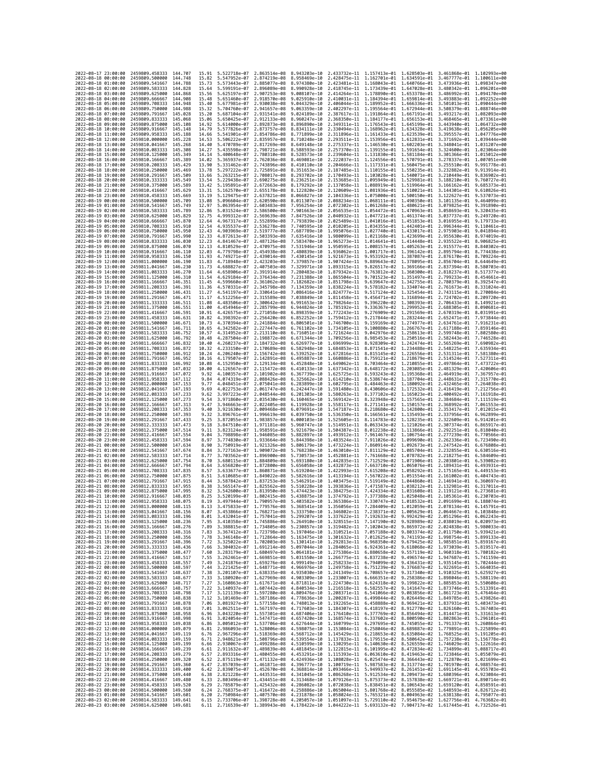| 2022-08-17 23:00:00                                                                      | 2459809.458333                                   | 144.707              | 15.91          | 5.522718e-07 2.863514e-08                              |                                                        | 8.943203e-10 2.433732e-11 1.157413e-01 1.628503e-01 3.461868e-01 1.102993e+00                                                                                                                                                                                                  |                              |                                                                                  |                           |                                                        |                                                        |
|------------------------------------------------------------------------------------------|--------------------------------------------------|----------------------|----------------|--------------------------------------------------------|--------------------------------------------------------|--------------------------------------------------------------------------------------------------------------------------------------------------------------------------------------------------------------------------------------------------------------------------------|------------------------------|----------------------------------------------------------------------------------|---------------------------|--------------------------------------------------------|--------------------------------------------------------|
| 2022-08-18 00:00:00                                                                      | 2459809.500000                                   | 144.748              | 15.82          | 5.547952e-07                                           | 2.874219e-08                                           | 8.958469e-10                                                                                                                                                                                                                                                                   |                              | 2.428475e-11 1.162701e-01 1.634591e-01                                           |                           |                                                        | 3.467777e-01 1.100611e+00                              |
| 2022-08-18 01:00:00                                                                      | 2459809.541667                                   | 144.788              | 15.73          | 5.573443e-07                                           | 2.885077e-08                                           | 8.974380e-10                                                                                                                                                                                                                                                                   |                              | 2.423481e-11 1.168043e-01 1.640766e-01                                           |                           | 3.473936e-01                                           | 1,098347e+00                                           |
| 2022-08-18 02:00:00<br>2022-08-18 03:00:00                                               | 2459809.583333<br>2459809.625000                 | 144,828<br>144.868   | 15.64<br>15.56 | 5.599191e-07<br>5.625197e-07                           | 2.896089e-08<br>2.907253e-08                           | 8.990928e-10<br>9.008107e-10                                                                                                                                                                                                                                                   |                              | 2.418745e-11 1.173439e-01 1.647028e-01<br>2.414264e-11 1.178890e-01 1.653378e-01 |                           |                                                        | 3.480342e-01 1.096201e+00<br>3.486992e-01 1.094170e+00 |
| 2022-08-18 04:00:00                                                                      | 2459809.666667                                   | 144.908              | 15.48          | 5.651460e-07                                           | 2.918570e-08                                           | 9.025910e-10                                                                                                                                                                                                                                                                   |                              | 2.410031e-11 1.184394e-01 1.659814e-01                                           |                           |                                                        | 3.493883e-01 1.092252e+00                              |
| 2022-08-18 05:00:00                                                                      | 2459809.708333                                   | 144.948              | 15.40          | 5.677981e-07                                           | 2.930038e-08                                           | 9.044329e-10                                                                                                                                                                                                                                                                   | 2.406044e-11                 | 1.189952e-01                                                                     | 1.666336e-01              | 3.501013e-01                                           | 1.090444e+00                                           |
| 2022-08-18 06:00:00                                                                      | 2459809.750000                                   | 144.988              | 15.32          | 5.704760e-07                                           | 2.941657e-08                                           | 9.063359e-10                                                                                                                                                                                                                                                                   |                              | 2.402297e-11 1.195564e-01 1.672944e-01                                           |                           | 3.508379e-01                                           | 1.088746e+00                                           |
| 2022-08-18 07:00:00<br>2022-08-18 08:00:00                                               | 2459809.791667<br>2459809.833333                 | 145.028<br>145,068   | 15.20<br>15.06 | 5.687104e-07<br>5.650425e-07                           | 2.931541e-08<br>2.912133e-08                           | 9.024189e-10<br>8.960247e-10                                                                                                                                                                                                                                                   |                              | 2.387617e-11 1.191864e-01 1.667191e-01<br>2.368350e-11 1.184177e-01 1.656153e-01 |                           |                                                        | 3.493217e-01 1.082093e+00<br>3.468465e-01 1.073361e+00 |
| 2022-08-18 09:00:00                                                                      | 2459809.875000                                   | 145.108              | 14.92          | 5.614000e-07                                           | 2.892873e-08                                           | 8.896890e-10                                                                                                                                                                                                                                                                   |                              | 2.349311e-11 1.176543e-01 1.645199e-01                                           |                           |                                                        | 3.443940e-01 1.064732e+00                              |
| 2022-08-18 10:00:00                                                                      | 2459809.916667                                   | 145.148              | 14.79          | 5.577826e-07                                           | 2.873757e-08                                           | 8.834111e-10                                                                                                                                                                                                                                                                   |                              | 2.330494e-11 1.168962e-01 1.634328e-01                                           |                           |                                                        | 3.419638e-01 1.056205e+00                              |
| 2022-08-18 11:00:00                                                                      | 2459809.958333                                   | 145.188              | 14.66          | 5.541901e-07                                           | 2.854786e-08                                           | 8.771899e-10                                                                                                                                                                                                                                                                   |                              | 2.311896e-11 1.161433e-01 1.623539e-01                                           |                           |                                                        | 3.395557e-01 1.047776e+00                              |
| 2022-08-18 12:00:00<br>2022-08-18 13:00:00                                               | 2459810,000000<br>2459810.041667                 | 145, 228<br>145, 268 | 14.53          | 5.506222e-07<br>5.470789e-07                           | 2.835957e-08<br>2.817269e-08                           | 8.710248e-10<br>8.649148e-10                                                                                                                                                                                                                                                   | 2.293511e-11                 | 1.153956e-01<br>2.275337e-11 1.146530e-01 1.602203e-01                           | 1.612831e-01              | 3.371692e-01                                           | 1.039444e+00<br>3.348041e-01 1.031207e+00              |
| 2022-08-18 14:00:00                                                                      | 2459810.083333                                   | 145,308              | 14.40<br>14,27 | 5.435598e-07                                           | 2.798721e-08                                           | 8.588593e-10                                                                                                                                                                                                                                                                   |                              | 2.257370e-11 1.139155e-01 1.591654e-01                                           |                           |                                                        | 3.324600e-01 1.023064e+00                              |
| 2022-08-18 15:00:00                                                                      | 2459810.125000                                   | 145, 349             | 14.14          | 5.400648e-07                                           | 2.780310e-08                                           | 8.528573e-10                                                                                                                                                                                                                                                                   |                              | 2.239604e-11 1.131830e-01 1.581184e-01                                           |                           |                                                        | 3.301366e-01 1.015012e+00                              |
| 2022-08-18 16:00:00                                                                      | 2459810.166667                                   | 145.389              | 14.02          | 5.365937e-07                                           | 2.762036e-08                                           | 8.469081e-10                                                                                                                                                                                                                                                                   |                              | 2.222037e-11 1.124556e-01 1.570791e-01                                           |                           | 3.278337e-01                                           | 1.007051e+00                                           |
| 2022-08-18 17:00:00<br>2022-08-18 18:00:00                                               | 2459810.208333                                   | 145.429              | 13.90          | 5.331462e-07                                           | 2.743896e-08 8.410110e-10                              |                                                                                                                                                                                                                                                                                |                              | 2.204666e-11 1.117331e-01 1.560475e-01                                           |                           |                                                        | 3.255510e-01 9.991778e-01                              |
| 2022-08-18 19:00:00                                                                      | 2459810.250000<br>2459810.291667                 | 145.469<br>145,509   | 13.78<br>13.66 | 5.263215e-07                                           | 5.297222e-07 2.725891e-08 8.351653e-10<br>2.708017e-08 | 8.293702e-10                                                                                                                                                                                                                                                                   |                              | 2.187485e-11 1.110155e-01 1.550235e-01<br>2.170493e-11 1.103028e-01 1.540071e-01 |                           | 3.232882e-01 9.913914e-01                              | 3.210449e-01 9.836902e-01                              |
| 2022-08-18 20:00:00                                                                      | 2459810.333333                                   | 145.549              | 13.54          | 5.229438e-07                                           | 2.690275e-08                                           | 8.236251e-10                                                                                                                                                                                                                                                                   | 2.153685e-11                 | 1.095949e-01 1.529981e-01                                                        |                           | 3.188210e-01                                           | 9.760727e-01                                           |
| 2022-08-18 21:00:00                                                                      | 2459810.375000                                   | 145.589              | 13.42          | 5.195891e-07                                           | 2.672663e-08                                           | 8.179292e-10                                                                                                                                                                                                                                                                   |                              | 2.137058e-11 1.088919e-01 1.519964e-01                                           |                           | 3.166162e-01                                           | 9.685373e-01                                           |
| 2022-08-18 22:00:00                                                                      | 2459810.416667                                   | 145.629              | 13.31          | 5.162570e-07                                           | 2.655178e-08                                           | 8.122820e-10                                                                                                                                                                                                                                                                   |                              | 2.120609e-11 1.081936e-01 1.510021e-01                                           |                           |                                                        | 3.144301e-01 9.610826e-01<br>9.537073e-01              |
| 2022-08-18 23:00:00<br>2022-08-19 00:00:00                                               | 2459810.458333<br>2459810.500000                 | 145,669<br>145.709   | 13.19<br>13.08 | 5.129475e-07<br>5.096604e-07                           | 2.637821e-08<br>2.620590e-08                           | 8.066827e-10<br>8.011307e-10                                                                                                                                                                                                                                                   | 2.104336e-11                 | 1.075000e-01 1.500150e-01<br>2.088234e-11 1.068111e-01 1.490350e-01              |                           | 3.122627e-01                                           | 3.101135e-01 9.464099e-01                              |
| 2022-08-19 01:00:00                                                                      | 2459810.541667                                   | 145.749              | 12.97          | 5.063954e-07                                           | 2.603483e-08                                           | 7.956254e-10                                                                                                                                                                                                                                                                   |                              | 2.072302e-11 1.061268e-01 1.480621e-01                                           |                           | 3.079825e-01                                           | 9.391890e-01                                           |
| 2022-08-19 02:00:00                                                                      | 2459810.583333                                   | 145.789              | 12.86          | 5.031524e-07                                           | 2.586500e-08                                           | 7.901663e-10                                                                                                                                                                                                                                                                   |                              | 2.056535e-11 1.054472e-01 1.470963e-01                                           |                           | 3.058693e-01                                           | 9.320435e-01                                           |
| 2022-08-19 03:00:00                                                                      | 2459810.625000                                   | 145.829              | 12.75          | 4.999312e-07                                           | 2.569639e-08                                           | 7.847526e-10                                                                                                                                                                                                                                                                   | 2.040932e-11                 | 1.047721e-01 1.461374e-01                                                        |                           | 3.037737e-01                                           | 9.249720e-01                                           |
| 2022-08-19 04:00:00<br>2022-08-19 05:00:00                                               | 2459810.666667<br>2459810.708333                 | 145.870<br>145,910   | 12.64<br>12.54 | 4.967317e-07<br>4.935537e-07                           | 2.552899e-08<br>2.536278e-08                           | 7.793839e-10<br>7.740595e-10                                                                                                                                                                                                                                                   |                              | 2.025489e-11 1.041016e-01 1.451853e-01<br>2.010205e-11 1.034355e-01 1.442401e-01 |                           | 2.996344e-01 9.110461e-01                              | 3.016955e-01 9.179733e-01                              |
| 2022-08-19 06:00:00                                                                      | 2459810.750000                                   | 145.950              | 12.43          | 4.903969e-07                                           | 2.519777e-08                                           | 7.687789e-10                                                                                                                                                                                                                                                                   |                              | 1.995076e-11 1.027740e-01 1.433017e-01                                           |                           | 2.975903e-01                                           | 9.041894e-01                                           |
| 2022-08-19 07:00:00                                                                      | 2459810.791667                                   | 145.990              | 12.33          | 4.872613e-07                                           | 2.503393e-08                                           | 7.635416e-10                                                                                                                                                                                                                                                                   |                              | 1.980099e-11 1.021168e-01 1.423699e-01                                           |                           | 2.955630e-01                                           | 8.974019e-01                                           |
| 2022-08-19 08:00:00                                                                      | 2459810.833333                                   | 146,030              | 12.23          | 4.841467e-07                                           | 2.487126e-08                                           | 7.583470e-10                                                                                                                                                                                                                                                                   |                              | 1.965273e-11 1.014641e-01 1.414448e-01                                           |                           | 2.935522e-01                                           | 8.906825e-01                                           |
| 2022-08-19 09:00:00<br>2022-08-19 10:00:00                                               | 2459810.875000<br>2459810.916667                 | 146,070<br>146.110   | 12.13<br>12.03 | 4.810529e-07<br>4.779798e-07                           | 2.470975e-08<br>2.454938e-08                           | 7.531946e-10<br>7.480839e-10                                                                                                                                                                                                                                                   | 1.936062e-11                 | 1.950595e-11 1.008157e-01 1.405263e-01<br>1.001717e-01                           | 1.396142e-01              | 2.915577e-01 8.840302e-01<br>2.895794e-01              | 8.774438e-01                                           |
| 2022-08-19 11:00:00                                                                      | 2459810.958333                                   | 146,150              | 11.93          | 4.749271e-07                                           | 2.439014e-08                                           | 7.430145e-10                                                                                                                                                                                                                                                                   | 1.921673e-11                 | 9.953192e-02 1.387087e-01                                                        |                           | 2.876170e-01                                           | 8.709224e-01                                           |
| 2022-08-19 12:00:00                                                                      | 2459811.000000                                   | 146.190              | 11.83          | 4.718948e-07                                           | 2.423203e-08 7.379857e-10                              |                                                                                                                                                                                                                                                                                | 1.907424e-11                 | 9.889643e-02 1.378095e-01                                                        |                           | 2.856704e-01                                           | 8.644649e-01                                           |
| 2022-08-19 13:00:00                                                                      | 2459811.041667                                   | 146.230              | 11.73          | 4.688827e-07                                           | 2.407503e-08                                           | 7.329971e-10                                                                                                                                                                                                                                                                   | 1.893315e-11                 |                                                                                  | 9.826517e-02 1.369166e-01 | 2.837394e-01                                           | 8.580703e-01                                           |
| 2022-08-19 14:00:00<br>2022-08-19 15:00:00                                               | 2459811.083333<br>2459811.125000                 | 146.270<br>146,310   | 11.64<br>11.54 | 4.658906e-07<br>4.629184e-07                           | 2.391914e-08 7.280483e-10<br>2.376434e-08              | 7.231388e-10                                                                                                                                                                                                                                                                   | 1.879342e-11<br>1.865504e-11 | 9.763812e-02 1.360300e-01                                                        | 9.701523e-02 1.351497e-01 | 2.818237e-01<br>2.799233e-01                           | 8.517377e-01<br>8.454661e-01                           |
| 2022-08-19 16:00:00                                                                      | 2459811.166667                                   | 146.351              | 11.45          | 4.599660e-07                                           | 2.361062e-08                                           | 7.182682e-10                                                                                                                                                                                                                                                                   | 1.851798e-11                 | 9.639647e-02 1.342755e-01                                                        |                           | 2.780379e-01                                           | 8.392547e-01                                           |
| 2022-08-19 17:00:00                                                                      | 2459811.208333                                   | 146,391              | 11.36          | 4.570331e-07                                           | 2.345798e-08                                           | 7.134359e-10                                                                                                                                                                                                                                                                   | 1.838224e-11                 | 9.578182e-02                                                                     | 1.334074e-01              | 2.761673e-01                                           | 8.331024e-01                                           |
| 2022-08-19 18:00:00                                                                      | 2459811.250000                                   | 146.431              | 11.27          | 4.541197e-07                                           | 2.330641e-08                                           | 7.086416e-10                                                                                                                                                                                                                                                                   | 1.824777e-11                 | 9.517124e-02 1.325454e-01                                                        |                           | 2.743115e-01                                           | 8.270084e-01<br>8.209720e-01                           |
| 2022-08-19 19:00:00<br>2022-08-19 20:00:00                                               | 2459811.291667<br>2459811.333333                 | 146.471<br>146.511   | 11.17<br>11.08 | 4.512256e-07<br>4.483506e-07                           | 2.315589e-08<br>2.300642e-08                           | 7.038849e-10<br>6.991653e-10                                                                                                                                                                                                                                                   | 1.811458e-11                 | 9.456471e-02 1.316894e-01<br>1.798264e-11 9.396220e-02 1.308393e-01              |                           | 2.724702e-01<br>2.706433e-01 8.149921e-01              |                                                        |
| 2022-08-19 21:00:00                                                                      | 2459811.375000                                   | 146.551              | 11.00          | 4.454946e-07                                           | 2.285799e-08                                           | 6.944824e-10                                                                                                                                                                                                                                                                   | 1.785192e-11                 | 9.336367e-02                                                                     | 1.299952e-01              | 2.688305e-01                                           | 8.090681e-01                                           |
| 2022-08-19 22:00:00                                                                      | 2459811.416667                                   | 146.591              | 10.91          | 4.426575e-07                                           | 2.271058e-08                                           | 6.898359e-10                                                                                                                                                                                                                                                                   | 1.772243e-11                 |                                                                                  | 9.276909e-02 1.291569e-01 |                                                        | 2.670319e-01 8.031991e-01                              |
| 2022-08-19 23:00:00                                                                      | 2459811.458333                                   | 146.631              | 10.82          | 4.398392e-07 2.256420e-08                              |                                                        | 6.852252e-10                                                                                                                                                                                                                                                                   |                              | 1.759412e-11 9.217844e-02 1.283244e-01                                           |                           | 2.652471e-01 7.973844e-01                              |                                                        |
| 2022-08-20 00:00:00<br>2022-08-20 01:00:00                                               | 2459811.500000                                   | 146.671<br>146.711   | 10.73          | 4.370394e-07                                           | 2.241884e-08                                           | 6.806501e-10                                                                                                                                                                                                                                                                   | 1.746700e-11                 | 9.159169e-02 1.274977e-01<br>9.100880e-02 1.266767e-01                           |                           | 2.634761e-01                                           | 7.916231e-01                                           |
| 2022-08-20 02:00:00                                                                      | 2459811.541667<br>2459811.583333                 | 146.752              | 10.65<br>10.57 | 4.342582e-07<br>4.314952e-07                           | 2.227447e-08<br>2.213110e-08                           | 6.761102e-10<br>6.716051e-10                                                                                                                                                                                                                                                   | 1.734105e-11<br>1.721624e-11 |                                                                                  | 9.042976e-02 1.258613e-01 | 2.617188e-01<br>2.599748e-01                           | 7.859146e-01<br>7.802580e-01                           |
| 2022-08-20 03:00:00                                                                      | 2459811.625000                                   | 146,792              | 10.48          | 4.287504e-07                                           | 2.198872e-08                                           | 6.671344e-10                                                                                                                                                                                                                                                                   |                              | 1.709256e-11 8.985453e-02 1.250516e-01                                           |                           | 2.582443e-01                                           | 7.746528e-01                                           |
| 2022-08-20 04:00:00                                                                      | 2459811.666667                                   | 146.832              | 10.40          | 4.260237e-07                                           | 2.184732e-08                                           | 6.626977e-10                                                                                                                                                                                                                                                                   | 1.696999e-11                 | 8.928309e-02                                                                     | 1.242474e-01              | 2.565269e-01                                           | 7.690982e-01                                           |
| 2022-08-20 05:00:00                                                                      | 2459811.708333                                   | 146,872<br>146.912   | 10.32<br>10.24 | 4.233150e-07                                           | 2.170689e-08                                           | 6.582948e-10                                                                                                                                                                                                                                                                   |                              | 1.684853e-11 8.871541e-02 1.234488e-01                                           |                           | 2.548225e-01 7.635934e-01                              |                                                        |
| 2022-08-20 06:00:00<br>2022-08-20 07:00:00                                               | 2459811.750000<br>2459811.791667                 | 146.952              | 10.16          | 4.206240e-07<br>4.179507e-07                           | 2.156742e-08<br>2.142891e-08                           | 6.539252e-10<br>6.495887e-10                                                                                                                                                                                                                                                   |                              | 1.672816e-11 8.815145e-02 1.226556e-01<br>1.660886e-11 8.759121e-02 1.218679e-01 |                           | 2.531311e-01 7.581380e-01<br>2.514524e-01 7.527311e-01 |                                                        |
| 2022-08-20 08:00:00                                                                      | 2459811.833333                                   | 146.992              | 10.08          | 4.152950e-07                                           | 2.129134e-08                                           | 6.452848e-10                                                                                                                                                                                                                                                                   | 1.649062e-11                 | 8.703464e-02                                                                     | 1.210855e-01              | 2.497864e-01                                           | 7.473722e-01                                           |
| 2022-08-20 09:00:00                                                                      | 2459811.875000                                   | 147.032              | 10.00          | 4.126567e-07                                           | 2.115472e-08                                           | 6.410133e-10                                                                                                                                                                                                                                                                   | 1.637342e-11                 |                                                                                  | 8.648172e-02 1.203085e-01 | 2.481329e-01                                           | 7.420606e-01                                           |
| 2022-08-20 10:00:00                                                                      | 2459811.916667                                   | 147,072              | 9.92           | 4.100357e-07                                           | 2.101902e-08                                           | 6.367739e-10                                                                                                                                                                                                                                                                   |                              | 1.625725e-11 8.593243e-02 1.195368e-01                                           |                           | 2.464919e-01 7.367957e-01                              |                                                        |
| 2022-08-20 11:00:00<br>2022-08-20 12:00:00                                               | 2459811.958333<br>2459812.000000                 | 147.112<br>147, 153  | 9.84<br>9.77   | 4.074319e-07<br>4.048451e-07                           | 2.088426e-08<br>2.075041e-08 6.283899e-10              | 6.325662e-10                                                                                                                                                                                                                                                                   | 1.614210e-11<br>1.602795e-11 | 8.538674e-02 1.187704e-01<br>8.484463e-02 1.180092e-01                           |                           | 2.448631e-01<br>2.432465e-01                           | 7.315770e-01<br>7.264038e-01                           |
| 2022-08-20 13:00:00                                                                      | 2459812.041667                                   | 147.193              | 9.69           | 4.022753e-07                                           | 2.061747e-08                                           | 6.242447e-10                                                                                                                                                                                                                                                                   |                              | 1.591480e-11 8.430606e-02 1.172532e-01                                           |                           |                                                        | 2.416419e-01 7.212756e-01                              |
| 2022-08-20 14:00:00                                                                      | 2459812.083333                                   | 147.233              | 9.62           | 3.997223e-07                                           | 2.048544e-08                                           | 6.201303e-10                                                                                                                                                                                                                                                                   |                              | 1.580263e-11 8.377102e-02 1.165023e-01                                           |                           |                                                        | 2.400492e-01 7.161918e-01                              |
| 2022-08-20 15:00:00                                                                      | 2459812.125000                                   | 147, 273             | 9.54           | 3.971860e-07                                           | 2.035430e-08                                           | 6.160465e-10                                                                                                                                                                                                                                                                   | 1.569142e-11                 | 8.323948e-02                                                                     | 1.157565e-01              | 2.384684e-01                                           | 7.111519e-01                                           |
| 2022-08-20 16:00:00<br>2022-08-20 17:00:00                                               | 2459812.166667<br>2459812.208333                 | 147, 313<br>147, 353 | 9.47<br>9.40   | 3.946663e-07<br>3.921630e-07                           | 2.022405e-08<br>2.009468e-08                           | 6.119928e-10<br>6.079691e-10                                                                                                                                                                                                                                                   |                              | 1.558117e-11 8.271141e-02 1.150157e-01<br>1.547187e-11 8.218680e-02 1.142800e-01 |                           | 2.368992e-01<br>2.353417e-01                           | 7.061553e-01<br>7.012015e-01                           |
| 2022-08-20 18:00:00                                                                      | 2459812.250000                                   | 147, 393             | 9.32           | 3.896761e-07                                           | 1.996619e-08                                           | 6.039750e-10                                                                                                                                                                                                                                                                   |                              | 1.536350e-11 8.166561e-02 1.135493e-01                                           |                           | 2.337956e-01                                           | 6.962899e-01                                           |
| 2022-08-20 19:00:00                                                                      | 2459812.291667                                   | 147.433              | 9.25           | 3.872055e-07                                           | 1.983857e-08                                           | 6.000103e-10                                                                                                                                                                                                                                                                   | 1.525605e-11                 | 8.114783e-02 1.128235e-01                                                        |                           | 2.322609e-01                                           | 6.914201e-01                                           |
| 2022-08-20 20:00:00                                                                      | 2459812.333333                                   | 147.473              | 9.18           | 3.847510e-07 1.971181e-08                              |                                                        | 5.960747e-10                                                                                                                                                                                                                                                                   |                              | 1.514951e-11 8.063343e-02 1.121026e-01                                           |                           |                                                        | 2.307374e-01 6.865917e-01                              |
| 2022-08-20 21:00:00<br>2022-08-20 22:00:00                                               | 2459812.375000<br>2459812.416667                 | 147.514<br>147.554   | 9.11<br>9.04   | 3.823124e-07 1.958591e-08<br>3.798898e-07              | 1.946085e-08                                           | 5.921679e-10<br>5.882897e-10                                                                                                                                                                                                                                                   | 1.493912e-11                 | 1.504387e-11 8.012238e-02 1.113866e-01<br>7.961467e-02                           | 1.106754e-01              | 2.292251e-01 6.818040e-01<br>2.277239e-01              | 6.770566e-01                                           |
| 2022-08-20 23:00:00                                                                      | 2459812.458333                                   | 147,594              | 8.97           | 3.774830e-07                                           | 1.933664e-08                                           | 5.844398e-10                                                                                                                                                                                                                                                                   | 1.483524e-11                 | 7.911026e-02                                                                     | 1.099690e-01              | 2.262336e-01                                           | 6.723490e-01                                           |
| 2022-08-21 00:00:00                                                                      | 2459812.500000                                   | 147,634              | 8.90           | 3.750919e-07                                           | 1,921326e-08                                           | 5.806179e-10                                                                                                                                                                                                                                                                   | 1.473224e-11                 | 7.860914e-02                                                                     | 1.092673e-01              | 2.247542e-01                                           | 6.676808e-01                                           |
| 2022-08-21 01:00:00                                                                      | 2459812.541667                                   | 147,674              | 8.84           | 3.727163e-07 1.909072e-08                              |                                                        | 5.768238e-10                                                                                                                                                                                                                                                                   |                              | 1.463010e-11 7.811129e-02 1.085704e-01                                           |                           | 2.232855e-01 6.630516e-01                              |                                                        |
| 2022-08-21 02:00:00<br>2022-08-21 03:00:00                                               | 2459812.583333<br>2459812.625000                 | 147.714<br>147,754   | 8.77<br>8.70   | 3.703562e-07<br>3.680115e-07 1.884809e-08              | 1.896900e-08                                           | 5.730573e-10<br>5.693180e-10                                                                                                                                                                                                                                                   | 1.452881e-11                 | 7.761668e-02<br>1.442835e-11 7.712529e-02 1.071906e-01                           | 1.078782e-01              | 2.218275e-01                                           | 6.584609e-01<br>2.203801e-01 6.539082e-01              |
| 2022-08-21 04:00:00                                                                      | 2459812.666667                                   | 147.794              | 8.64           | 3.656820e-07 1.872800e-08                              |                                                        | 5.656058e-10                                                                                                                                                                                                                                                                   | 1.432873e-11 7.663710e-02    |                                                                                  | 1.065076e-01              | 2.189431e-01                                           | 6.493931e-01                                           |
| 2022-08-21 05:00:00                                                                      | 2459812.708333                                   | 147.835              | 8.57           | 3.633677e-07                                           | 1.860871e-08                                           | 5.619204e-10                                                                                                                                                                                                                                                                   | 1.422993e-11                 | 7.615208e-02                                                                     | 1.058292e-01              | 2.175165e-01                                           | 6.449153e-01                                           |
| 2022-08-21 06:00:00                                                                      | 2459812.750000                                   | 147.875              | 8.51           | 3.610685e-07                                           | 1.849022e-08                                           | 5.582616e-10                                                                                                                                                                                                                                                                   | 1.413194e-11                 | 7.567022e-02                                                                     | 1.051554e-01              | 2.161002e-01                                           | 6.404743e-01                                           |
| 2022-08-21 07:00:00<br>2022-08-21 08:00:00                                               | 2459812.791667<br>2459812.833333                 | 147.915<br>147,955   | 8.44<br>8.38   | 3.587842e-07 1.837253e-08<br>3.565147e-07 1.825562e-08 |                                                        | 5.546291e-10<br>5.510228e-10                                                                                                                                                                                                                                                   |                              | 1.403475e-11 7.519149e-02 1.044860e-01<br>1.393836e-11 7.471587e-02 1.038212e-01 |                           | 2.146941e-01<br>2.132981e-01 6.317011e-01              | 6.360697e-01                                           |
| 2022-08-21 09:00:00                                                                      | 2459812.875000                                   | 147.995              | 8.32           | 3.542600e-07                                           | 1.813950e-08                                           | 5.474423e-10                                                                                                                                                                                                                                                                   |                              | 1.384275e-11 7.424334e-02                                                        | 1.031608e-01              | 2.119121e-01                                           | 6.273681e-01                                           |
| 2022-08-21 10:00:00                                                                      | 2459812.916667                                   | 148.035              | 8.25           | 3.520199e-07                                           | 1.802415e-08                                           | 5.438875e-10                                                                                                                                                                                                                                                                   |                              | 1.374792e-11 7.377388e-02 1.025048e-01                                           |                           | 2.105361e-01 6.230703e-01                              |                                                        |
| 2022-08-21 11:00:00                                                                      | 2459812.958333                                   | 148.075              | 8.19           | 3.497944e-07 1.790957e-08                              |                                                        | 5.403582e-10                                                                                                                                                                                                                                                                   |                              | 1.365386e-11 7.330747e-02 1.018532e-01 2.091699e-01 6.188074e-01                 |                           |                                                        |                                                        |
| 2022-08-21 12:00:00<br>2022-08-21 13:00:00                                               | 2459813.000000<br>2459813.041667                 | 148.115              | 8.13           | 3.475833e-07 1.779576e-08<br>3.453866e-07              | 1.768271e-08                                           | 5.368541e-10 1.356056e-11 7.284409e-02 1.012059e-01 2.078134e-01 6.145791e-01<br>5.333750e-10 1.346802e-11 7.238371e-02                                                                                                                                                        |                              |                                                                                  | 1.005629e-01              | 2.064667e-01                                           |                                                        |
| 2022-08-21 14:00:00 2459813.083333 148.196                                               |                                                  | 148.150              | 8.07<br>8.01   |                                                        |                                                        | 3.432041e-07 1.757041e-08 5.299207e-10 1.337622e-11 7.192633e-02 9.992429e-02 2.051296e-01 6.062243e-01                                                                                                                                                                        |                              |                                                                                  |                           |                                                        | 0.1038486-01                                           |
| 2022-08-21 15:00:00 2459813.125000 148.236                                               |                                                  |                      | 7.95           |                                                        |                                                        | 3.410358e-07 1.745886e-08 5.264910e-10 1.328515e-11 7.147190e-02 9.928989e-02 2.038019e-01 6.020973e-01                                                                                                                                                                        |                              |                                                                                  |                           |                                                        |                                                        |
| 2022-08-21 16:00:00 2459813.166667 148.276<br>2022-08-21 17:00:00 2459813.208333 148.316 |                                                  |                      |                |                                                        |                                                        | $\begin{array}{cccccccccccc} 7.89 & 3.388815e-07 & 1.734805e-08 & 5.230857e-10 & 1.319482e-11 & 7.102043e-02 & 9.865972e-02 & 2.024838e-01 & 5.980033e-01 \\ 7.83 & 3.367412e-07 & 1.723798e-08 & 5.197046e-10 & 1.310521e-11 & 7.057188e-02 & 9.803374e-02 & 2.$              |                              |                                                                                  |                           |                                                        |                                                        |
| 2022-08-21 18:00:00 2459813.250000 148.356                                               |                                                  |                      |                |                                                        |                                                        | 7.78 3.346148e-07 1.712864e-08 5.163475e-10 1.301632e-11 7.012625e-02 9.741193e-02 1.998754e-01 5.899133e-01                                                                                                                                                                   |                              |                                                                                  |                           |                                                        |                                                        |
| 2022-08-21 19:00:00                                                                      | 2459813.291667 148.396                           |                      |                |                                                        |                                                        | $\begin{array}{cccccccc} 7.72 & 3.325922e-97 & 1.702003e-08 & 5.130141e-10 & 1.292813e-11 & 6.968350e-02 & 9.679425e-02 & 1.985851e-01 & 5.859167e-01 \\ 7.66 & 3.304032e-07 & 1.691214e-08 & 5.097044e-10 & 1.284065e-11 & 6.924361e-02 & 9.618068e-02 & 1.9$                 |                              |                                                                                  |                           |                                                        |                                                        |
| 2022-08-21 20:00:00                                                                      | 2459813.333333                                   | 148.436              |                |                                                        |                                                        |                                                                                                                                                                                                                                                                                |                              |                                                                                  |                           |                                                        |                                                        |
| 2022-08-21 21:00:00<br>2022-08-21 22:00:00 2459813.416667 148.517                        | 2459813.375000 148.477                           |                      | 7.60           |                                                        |                                                        | 3.283179e-07 1.680497e-08 5.064181e-10 1.275386e-11 6.880658e-02 9.557119e-02 1.960318e-01 5.780182e-01                                                                                                                                                                        |                              |                                                                                  |                           |                                                        |                                                        |
| 2022-08-21 23:00:00                                                                      | 2459813.458333 148.557                           |                      |                |                                                        |                                                        | 7.55 3.262461e-07 1.669851e-08 5.031550e-10 1.266775e-11 6.837238e-02 9.496574e-02 1.947687e-01 5.741159e-01<br>7.49 3.241876e-07 1.659276e-08 4.999149e-10 1.258233e-11 6.794099e-02 9.436431e-02 1.935145e-01 5.702444e-01                                                   |                              |                                                                                  |                           |                                                        |                                                        |
| 2022-08-22 00:00:00                                                                      | 2459813.500000                                   | 148.597              |                |                                                        |                                                        | 7.44 3.221425e-07 1.648771e-08 4.966976e-10 1.249758e-11 6.751239e-02 9.376687e-02 1.922691e-01 5.664035e-01<br>7.38 3.201107e-07 1.638335e-08 4.935030e-10 1.241349e-11 6.708657e-02 9.317340e-02 1.910325e-01 5.625927e-01                                                   |                              |                                                                                  |                           |                                                        |                                                        |
| 2022-08-22 01:00:00 2459813.541667 148.637                                               |                                                  |                      |                |                                                        |                                                        |                                                                                                                                                                                                                                                                                |                              |                                                                                  |                           |                                                        |                                                        |
| 2022-08-22 02:00:00                                                                      | 2459813.583333 148.677<br>2459813.625000 148.717 |                      |                |                                                        |                                                        | 7.33 3.180920e-07 1.627969e-08 4.903309e-10 1.233007e-11 6.666351e-02 9.258386e-02 1.898046e-01 5.588119e-01                                                                                                                                                                   |                              |                                                                                  |                           |                                                        |                                                        |
| 2022-08-22 03:00:00<br>2022-08-22 04:00:00                                               | 2459813.666667 148.757                           |                      |                |                                                        |                                                        | $\begin{array}{cccccccc} 7.27 & 3.160863e-07 & 1.617671e-08 & 4.871811e-10 & 1.224730e-11 & 6.624318e-02 & 9.199822e-02 & 1.885853e-01 & 5.550608e-01 \\ 7.22 & 3.140937e-07 & 1.607442e-08 & 4.840534e-10 & 1.216518e-11 & 6.582557e-02 & 9.141647e-02 & 1.8$                 |                              |                                                                                  |                           |                                                        |                                                        |
| 2022-08-22 05:00:00 2459813.708333 148.798                                               |                                                  |                      |                |                                                        |                                                        | 7.17 3.121139e-07 1.597280e-08 4.809476e-10 1.208371e-11 6.541066e-02 9.083856e-02 1.861723e-01 5.476464e-01                                                                                                                                                                   |                              |                                                                                  |                           |                                                        |                                                        |
| 2022-08-22 06:00:00                                                                      | 2459813.750000 148.838                           |                      |                |                                                        |                                                        |                                                                                                                                                                                                                                                                                |                              |                                                                                  |                           |                                                        |                                                        |
| 2022-08-22 07:00:00                                                                      | 2459813.791667 148.878                           |                      |                |                                                        |                                                        |                                                                                                                                                                                                                                                                                |                              |                                                                                  |                           |                                                        |                                                        |
| 2022-08-22 08:00:00<br>2022-08-22 09:00:00 2459813.875000 148.958                        | 2459813.833333 148.918                           |                      |                |                                                        |                                                        | 6.96 3.043220e-07 1.557301e-08 4.687406e-10 1.176410e-11 6.377769e-02 8.856494e-02 1.814471e-01 5.331613e-01                                                                                                                                                                   |                              |                                                                                  |                           |                                                        |                                                        |
| 2022-08-22 10:00:00                                                                      | 2459813.916667 148.998                           |                      |                |                                                        |                                                        |                                                                                                                                                                                                                                                                                |                              |                                                                                  |                           |                                                        |                                                        |
| 2022-08-22 11:00:00                                                                      | 2459813.958333 149.038                           |                      |                |                                                        |                                                        | $\begin{array}{cccccccc} 6.91 & 3.024054e-07 & 1.547471e-08 & 4.657420e-10 & 1.168574e-11 & 6.337602e-02 & 8.800590e-02 & 1.802863e-01 & 5.296101e-01 \\ 6.86 & 3.005012e-07 & 1.537706e-08 & 4.62764e-10 & 1.160799e-11 & 6.297695e-02 & 8.745055e-02 & 1.79$                 |                              |                                                                                  |                           |                                                        |                                                        |
| 2022-08-22 12:00:00 2459814.000000 149.079                                               |                                                  |                      |                |                                                        |                                                        | 6.81 2.986093e-07 1.528006e-08 4.598075e-10 1.153084e-11 6.258046e-02 8.689887e-02 1.779891e-01 5.225899e-01                                                                                                                                                                   |                              |                                                                                  |                           |                                                        |                                                        |
| 2022-08-22 13:00:00<br>2022-08-22 14:00:00                                               | 2459814.041667 149.119<br>2459814.083333 149.159 |                      |                |                                                        |                                                        | 6.76 2.967296e-07 1.518369e-08 4.568712e-10 1.145429e-11 6.218653e-02 8.635084e-02 1.768525e-01 5.191205e-01                                                                                                                                                                   |                              |                                                                                  |                           |                                                        |                                                        |
| 2022-08-22 15:00:00                                                                      | 2459814.125000 149.199                           |                      |                |                                                        |                                                        | $\begin{array}{cccccccc} 6.71 & 2.948621e-07 & 1.508796e-08 & 4.539554e-10 & 1.137833e-11 & 6.179515e-02 & 8.580642e-02 & 1.757238e-01 & 5.156778e-01 \\ 6.66 & 2.930067e-07 & 1.499286e-08 & 4.510599e-10 & 1.130295e-11 & 6.140630e-02 & 8.526559e-02 & 1.7$                 |                              |                                                                                  |                           |                                                        |                                                        |
| 2022-08-22 16:00:00                                                                      | 2459814.166667 149.239                           |                      |                |                                                        |                                                        | 6.61 2.911632e-07 1.489839e-08 4.481845e-10 1.122815e-11 6.101995e-02 8.472834e-02 1.734899e-01 5.088717e-01                                                                                                                                                                   |                              |                                                                                  |                           |                                                        |                                                        |
| 2022-08-22 17:00:00 2459814.208333 149.279                                               |                                                  |                      |                |                                                        |                                                        | $6.57 \quad 2.893316e-07 \quad 1.480455e-08 \quad 4.453291e-10 \quad 1.115393e-11 \quad 6.063610e-02 \quad 8.419463e-02 \quad 1.723846e-01 \quad 5.055079e-01$                                                                                                                 |                              |                                                                                  |                           |                                                        |                                                        |
| 2022-08-22 18:00:00<br>2022-08-22 19:00:00 2459814.291667 149.360                        | 2459814.250000 149.320                           |                      |                |                                                        |                                                        | $6.52 \quad 2.875119e-07 \quad 1.471132e-08 \quad 4.424936e-10 \quad 1.108028e-11 \quad 6.025474e-02 \quad 8.366443e-02 \quad 1.712870e-01 \quad 5.021699e-01$<br>6.47 2.857039e-07 1.461871e-08 4.396777e-10 1.100719e-11 5.987583e-02 8.313774e-02 1.701970e-01 4.988574e-01 |                              |                                                                                  |                           |                                                        |                                                        |
| 2022-08-22 20:00:00                                                                      | 2459814.333333 149.400                           |                      |                |                                                        |                                                        |                                                                                                                                                                                                                                                                                |                              |                                                                                  |                           |                                                        |                                                        |
| 2022-08-22 21:00:00                                                                      | 2459814.375000 149.440                           |                      |                |                                                        |                                                        | 6.42 2.839075e-07 1.452670e-08 4.368814e-10 1.003466e-11 5.949937e-02 8.261451e-02 1.691145e-01 4.955703e-01<br>6.38 2.821228e-07 1.443531e-08 4.341045e-10 1.086268e-11 5.912534e-02 8.209473e-02 1.680396e-01 4.923884e-01<br>6.33                                           |                              |                                                                                  |                           |                                                        |                                                        |
| 2022-08-22 22:00:00                                                                      | 2459814.416667 149.480                           |                      |                |                                                        |                                                        |                                                                                                                                                                                                                                                                                |                              |                                                                                  |                           |                                                        |                                                        |
| 2022-08-22 23:00:00<br>2022-08-23 00:00:00                                               | 2459814.458333 149.520<br>2459814.500000 149.560 |                      |                |                                                        |                                                        | 6.29 2.785879e-07 1.425432e-08 4.286082e-10 1.072038e-11 5.838451e-02 8.106543e-02 1.659120e-01 4.858591e-01<br>6.24 2.768375e-07 1.416472e-08 4.258886e-10 1.065004e-11 5.801768e-02 8.055585e-02 1.648593e-01 4.826712e-01                                                   |                              |                                                                                  |                           |                                                        |                                                        |
| 2022-08-23 01:00:00                                                                      | 2459814.541667 149.601                           |                      |                |                                                        |                                                        |                                                                                                                                                                                                                                                                                |                              |                                                                                  |                           |                                                        |                                                        |
| 2022-08-23 02:00:00 2459814.583333 149.641                                               |                                                  |                      |                |                                                        |                                                        | $\begin{array}{cccccccc} 6.20 & 2.750984e-07 & 1.407570e-08 & 4.231878e-10 & 1.058024e-11 & 5.765321e-02 & 8.004963e-02 & 1.638138e-01 & 4.795077e-01 \\ 6.15 & 2.733706e-07 & 1.398728e-08 & 4.205057e-10 & 1.051097e-11 & 5.729110e-02 & 7.954675e-02 & 1.6$                 |                              |                                                                                  |                           |                                                        |                                                        |
| 2022-08-23 03:00:00 2459814.625000 149.681                                               |                                                  |                      |                |                                                        |                                                        | 6.11 2.716539e-07 1.389943e-08 4.178422e-10 1.044222e-11 5.693132e-02 7.904717e-02 1.617445e-01 4.732526e-01                                                                                                                                                                   |                              |                                                                                  |                           |                                                        |                                                        |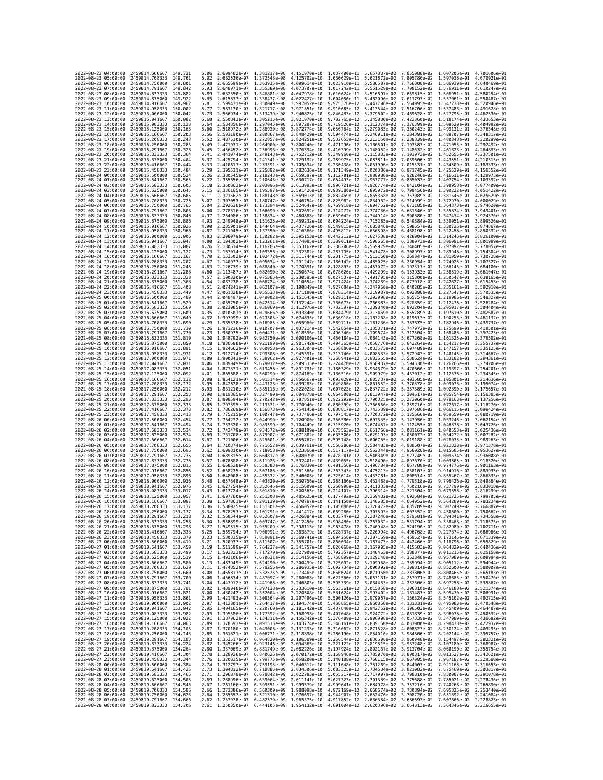| 2022-08-23 04:00:00<br>2022-08-23 05:00:00 | 2459814.666667<br>2459814.708333                                     | 149.721<br>149.761  | 6.06<br>6.02 | 2.699482e-07 1.381217e-08<br>2.682536e-07 1.372548e-08                           |                                                                                  | 4.151970e-10<br>4.125702e-10 | 1.037400e-11                 | 1.030629e-11 5.621872e-02                              | 5.657387e-02 7.855088e-02<br>7.805786e-02                                                                                                                                                                                                                                           | 1.607206e-01<br>1.597038e-01 4.670921e-01              | 4.701606e-01                 |
|--------------------------------------------|----------------------------------------------------------------------|---------------------|--------------|----------------------------------------------------------------------------------|----------------------------------------------------------------------------------|------------------------------|------------------------------|--------------------------------------------------------|-------------------------------------------------------------------------------------------------------------------------------------------------------------------------------------------------------------------------------------------------------------------------------------|--------------------------------------------------------|------------------------------|
| 2022-08-23 06:00:00                        | 2459814.750000                                                       | 149,801             | 5.98         | 2.665699e-07                                                                     | 1.363935e-08                                                                     | 4.099614e-10                 | 1.023910e-11                 | 5.586587e-02                                           | 7.756808e-02                                                                                                                                                                                                                                                                        | 1.586939e-01                                           | 4.640469e-01                 |
| 2022-08-23 07:00:00                        | 2459814,791667                                                       | 149.842             | 5.93         |                                                                                  | 2.648971e-07 1.355380e-08 4.073707e-10                                           |                              |                              | 1.017242e-11 5.551529e-02                              | 7.708152e-02 1.576911e-01                                                                                                                                                                                                                                                           |                                                        | 4.610247e-01                 |
| 2022-08-23 08:00:00<br>2022-08-23 09:00:00 | 2459814.833333<br>2459814.875000                                     | 149.882<br>149.922  | 5.89<br>5.85 | 2.632350e-07 1.346881e-08<br>2.615837e-07                                        | 1.338437e-08                                                                     | 4.047978e-10<br>4.022427e-10 | 1.004056e-11                 | 1.010624e-11 5.516697e-02 7.659815e-02<br>5.482090e-02 | 7.611797e-02                                                                                                                                                                                                                                                                        | 1.566951e-01<br>1.557061e-01                           | 4.580254e-01<br>4.550487e-01 |
| 2022-08-23 10:00:00                        | 2459814.916667                                                       | 149.962             | 5.81         | 2.599431e-07                                                                     | 1.330049e-08                                                                     | 3.997052e-10                 | 9.975376e-12                 | 5.447706e-02                                           | 7.564095e-02                                                                                                                                                                                                                                                                        | 1.547238e-01                                           | 4.520946e-01                 |
| 2022-08-23 11:00:00                        | 2459814.958333                                                       | 150,002             | 5.77         | 2.583130e-07 1.321717e-08                                                        |                                                                                  | 3.971851e-10                 | 9.910685e-12                 | 5.413544e-02                                           | 7.516706e-02                                                                                                                                                                                                                                                                        | 1.537483e-01                                           | 4.491628e-01                 |
| 2022-08-23 12:00:00<br>2022-08-23 13:00:00 | 2459815.000000<br>2459815.041667                                     | 150.042<br>150.082  | 5.73<br>5.68 | 2.566934e-07 1.313439e-08<br>2.550843e-07                                        |                                                                                  | 3.946825e-10<br>3.921970e-10 | 9.846483e-12<br>9.782765e-12 | 5.379602e-02<br>5.345880e-02                           | 7.469628e-02<br>7.422860e-02                                                                                                                                                                                                                                                        | 1.527795e-01<br>1.518174e-01                           | 4.462530e-01<br>4.433653e-01 |
| 2022-08-23 14:00:00                        | 2459815.083333                                                       | 150,123             | 5.64         | 2.534856e-07 1.297045e-08                                                        | 1.305215e-08                                                                     | 3.897287e-10                 | 9.719526e-12                 | 5.312374e-02                                           | 7.376399e-02                                                                                                                                                                                                                                                                        | 1.508620e-01                                           | 4.404992e-01                 |
| 2022-08-23 15:00:00                        | 2459815.125000                                                       | 150, 163            | 5.60         | 2.518972e-07                                                                     | 1.288930e-08                                                                     | 3.872774e-10                 | 9.656764e-12                 | 5.279085e-02                                           | 7.330243e-02                                                                                                                                                                                                                                                                        | 1.499131e-01                                           | 4.376548e-01                 |
| 2022-08-23 16:00:00                        | 2459815.166667                                                       | 150.203             | 5.56         | 2.503190e-07                                                                     | 1.280867e-08                                                                     | 3.848429e-10                 | 9.594474e-12                 | 5.246011e-02                                           | 7.284391e-02                                                                                                                                                                                                                                                                        | 1.489707e-01                                           | 4.348317e-01                 |
| 2022-08-23 17:00:00<br>2022-08-23 18:00:00 | 2459815.208333<br>2459815.250000                                     | 150.243<br>150.283  | 5.52<br>5.49 | 2.487510e-07                                                                     | 1.272857e-08<br>2.471931e-07 1.264900e-08                                        | 3.824251e-10<br>3.800240e-10 | 9.532653e-12<br>9.471296e-12 | 5.213150e-02<br>5.180501e-02                           | 7.238839e-02<br>7.193587e-02                                                                                                                                                                                                                                                        | 1.480348e-01<br>1.471053e-01                           | 4.320299e-01<br>4.292492e-01 |
| 2022-08-23 19:00:00                        | 2459815.291667                                                       | 150.323             | 5.45         | 2.456452e-07 1.256996e-08                                                        |                                                                                  | 3.776394e-10                 | 9.410399e-12                 | 5.148062e-02                                           | 7.148632e-02                                                                                                                                                                                                                                                                        | 1.461823e-01                                           | 4.264893e-01                 |
| 2022-08-23 20:00:00                        | 2459815.333333                                                       | 150.364             | 5.41         | 2.441074e-07                                                                     | 1.249143e-08                                                                     | 3.752712e-10                 | 9.349960e-12                 | 5.115833e-02                                           | 7.103973e-02                                                                                                                                                                                                                                                                        | 1.452655e-01                                           | 4.237501e-01                 |
| 2022-08-23 21:00:00<br>2022-08-23 22:00:00 | 2459815.375000<br>2459815.416667                                     | 150,404<br>150,444  | 5.37<br>5.33 | 2.425794e-07 1.241341e-08<br>2.410613e-07 1.233591e-08                           |                                                                                  | 3.729192e-10<br>3.705834e-10 | 9.289975e-12<br>9.230438e-12 | 5.083811e-02                                           | 7.059606e-02<br>5.051996e-02 7.015531e-02                                                                                                                                                                                                                                           | 1.443551e-01<br>1.434509e-01                           | 4.210315e-01<br>4.183333e-01 |
| 2022-08-23 23:00:00                        | 2459815.458333                                                       | 150.484             | 5.29         | 2.395531e-07 1.225892e-08                                                        |                                                                                  | 3.682636e-10                 | 9.171349e-12                 |                                                        | 5.020386e-02 6.971745e-02                                                                                                                                                                                                                                                           | 1.425529e-01                                           | 4.156552e-01                 |
| 2022-08-24 00:00:00                        | 2459815.500000                                                       | 150.524             | 5.26         | 2.380545e-07                                                                     | 1.218243e-08                                                                     | 3.659597e-10                 | 9.112701e-12                 | 4.988980e-02                                           | 6.928246e-02                                                                                                                                                                                                                                                                        | 1.416611e-01                                           | 4.129973e-01                 |
| 2022-08-24 01:00:00                        | 2459815.541667<br>2459815.583333                                     | 150.565             | 5.22<br>5.18 | 2.365656e-07                                                                     | 1.210645e-08                                                                     | 3.636717e-10<br>3.613993e-10 | 9.054493e-12                 | 4.957777e-02                                           | 6.885033e-02                                                                                                                                                                                                                                                                        | 1.407754e-01                                           | 4.103592e-01<br>4.077409e-01 |
| 2022-08-24 02:00:00<br>2022-08-24 03:00:00 | 2459815,625000                                                       | 150.605<br>150.645  | 5.15         | 2.350863e-07 1.203096e-08<br>2.336165e-07 1.195597e-08                           |                                                                                  | 3.591426e-10                 | 8.996721e-12<br>8.939380e-12 | 4.926774e-02<br>4.895972e-02                           | 6.842104e-02<br>6.799456e-02                                                                                                                                                                                                                                                        | 1.398958e-01<br>1.390222e-01                           | 4.051422e-01                 |
| 2022-08-24 04:00:00                        | 2459815.666667                                                       | 150.685             | 5.11         | 2.321562e-07 1.188148e-08                                                        |                                                                                  | 3.569013e-10                 | 8.882469e-12                 | 4.865368e-02                                           | 6.757089e-02                                                                                                                                                                                                                                                                        | 1.381546e-01                                           | 4.025629e-01                 |
| 2022-08-24 05:00:00                        | 2459815,708333                                                       | 150,725             | 5.07         | 2.307053e-07 1.180747e-08                                                        |                                                                                  | 3.546754e-10                 | 8.825982e-12                 | 4.834962e-02                                           | 6.714999e-02 1.372930e-01                                                                                                                                                                                                                                                           |                                                        | 4.000029e-01                 |
| 2022-08-24 06:00:00<br>2022-08-24 07:00:00 | 2459815.750000<br>2459815.791667                                     | 150.765<br>150.806  | 5.04<br>5.00 | 2.292638e-07 1.173394e-08<br>2.278316e-07                                        | 1.166090e-08                                                                     | 3.524647e-10<br>3.502692e-10 | 8.769918e-12<br>8.714272e-12 | 4.804752e-02<br>4.774736e-02                           | 6.673185e-02<br>6.631646e-02                                                                                                                                                                                                                                                        | 1.364373e-01 3.974620e-01<br>1.355874e-01              | 3.949401e-01                 |
| 2022-08-24 08:00:00                        | 2459815.833333                                                       | 150.846             | 4.97         | 2.264086e-07 1.158834e-08                                                        |                                                                                  | 3.480888e-10                 | 8.659042e-12                 | 4.744914e-02                                           | 6.590380e-02                                                                                                                                                                                                                                                                        | 1.347434e-01                                           | 3.924370e-01                 |
| 2022-08-24 09:00:00                        | 2459815.875000                                                       | 150,886             | 4.93         | 2.249948e-07 1.151625e-08                                                        |                                                                                  | 3.459232e-10                 | 8.604224e-12                 | 4.715285e-02                                           | 6.549384e-02                                                                                                                                                                                                                                                                        | 1.339051e-01                                           | 3.899526e-01                 |
| 2022-08-24 10:00:00<br>2022-08-24 11:00:00 | 2459815.916667<br>2459815.958333                                     | 150.926<br>150.966  | 4.90<br>4.87 | 2.235901e-07 1.144464e-08<br>2.221945e-07                                        | 1.137350e-08                                                                     | 3.437726e-10<br>3.416366e-10 | 8.495812e-12                 | 8.549815e-12 4.685846e-02<br>4.656598e-02              | 6.508657e-02<br>6.468198e-02                                                                                                                                                                                                                                                        | 1.330726e-01<br>1.322458e-01                           | 3.874867e-01<br>3.850392e-01 |
| 2022-08-24 12:00:00                        | 2459816.000000                                                       | 151,006             | 4.83         | 2.208079e-07 1.130282e-08                                                        |                                                                                  | 3.395153e-10                 | 8.442212e-12                 | 4.627538e-02                                           | 6.428004e-02 1.314246e-01                                                                                                                                                                                                                                                           |                                                        | 3.826100e-01                 |
| 2022-08-24 13:00:00                        | 2459816.041667                                                       | 151.047             | 4.80         | 2.194302e-07 1.123261e-08 3.374085e-10                                           |                                                                                  |                              | 8.389011e-12                 |                                                        | 4.598665e-02   6.388073e-02   1.306091e-01   3.801989e-01                                                                                                                                                                                                                           |                                                        |                              |
| 2022-08-24 14:00:00<br>2022-08-24 15:00:00 | 2459816.083333<br>2459816.125000                                     | 151.087<br>151.127  | 4.76<br>4.73 | 2.180614e-07 1.116286e-08<br>2.167014e-07                                        | 1.109356e-08                                                                     | 3.353162e-10<br>3.332382e-10 | 8.336206e-12<br>8.283795e-12 | 4.569979e-02<br>4.541478e-02                           | 6.348405e-02<br>6.308997e-02                                                                                                                                                                                                                                                        | 1.297992e-01<br>1.289948e-01                           | 3.778057e-01<br>3.754304e-01 |
| 2022-08-24 16:00:00                        | 2459816.166667                                                       | 151.167             | 4.70         | 2.153502e-07 1.102472e-08 3.311744e-10                                           |                                                                                  |                              | 8.231775e-12                 | 4.513160e-02                                           | 6.269847e-02                                                                                                                                                                                                                                                                        | 1.281959e-01 3.730728e-01                              |                              |
| 2022-08-24 17:00:00                        | 2459816.208333                                                       | 151,207             | 4.67         | 2.140077e-07 1.095634e-08                                                        |                                                                                  | 3.291247e-10                 | 8.180142e-12                 | 4.485025e-02                                           | 6.230954e-02                                                                                                                                                                                                                                                                        | 1.274025e-01                                           | 3.707327e-01                 |
| 2022-08-24 18:00:00<br>2022-08-24 19:00:00 | 2459816.250000<br>2459816.291667                                     | 151,248<br>151,288  | 4.63<br>4.60 | 2.126739e-07<br>2.113487e-07 1.082090e-08                                        | 1.088840e-08                                                                     | 3.270891e-10                 | 8.128893e-12                 | 4.457072e-02<br>4.429299e-02                           | 6.192317e-02<br>6.153933e-02 1.258319e-01                                                                                                                                                                                                                                           | 1.266145e-01                                           | 3.684100e-01<br>3.661047e-01 |
| 2022-08-24 20:00:00                        | 2459816.333333                                                       | 151, 328            | 4.57         | 2.100320e-07 1.075385e-08                                                        |                                                                                  | 3.250674e-10<br>3.230595e-10 | 8.078026e-12<br>8.027537e-12 |                                                        | 4.401705e-02 6.115800e-02                                                                                                                                                                                                                                                           | 1.250547e-01                                           | 3.638165e-01                 |
| 2022-08-24 21:00:00                        | 2459816.375000                                                       | 151,368             | 4.54         | 2.087238e-07                                                                     | 1,068724e-08                                                                     | 3.210654e-10                 | 7.977424e-12                 | 4.374289e-02                                           | 6.077918e-02                                                                                                                                                                                                                                                                        | 1.242827e-01                                           | 3.615453e-01                 |
| 2022-08-24 22:00:00                        | 2459816.416667<br>2459816,458333                                     | 151.408             | 4.51         | 2.074241e-07                                                                     | 1.062107e-08                                                                     | 3.190849e-10                 | 7.927684e-12                 | 4.347050e-02                                           | 6.040285e-02                                                                                                                                                                                                                                                                        | 1.235161e-01                                           | 3.592910e-01                 |
| 2022-08-24 23:00:00<br>2022-08-25 00:00:00 | 2459816.500000                                                       | 151.449<br>151,489  | 4.47<br>4.44 |                                                                                  | 2.061328e-07 1.055533e-08 3.171180e-10<br>2.048497e-07 1.049002e-08 3.151645e-10 |                              | 7.878314e-12<br>7.829311e-12 | 4.319987e-02<br>4.293098e-02                           | 6.002898e-02 1.227547e-01 3.570535e-01<br>5.965757e-02                                                                                                                                                                                                                              | 1.219986e-01 3.548327e-01                              |                              |
| 2022-08-25 01:00:00                        | 2459816.541667                                                       | 151.529             | 4.41         | 2.035750e-07 1.042514e-08                                                        |                                                                                  | 3.132244e-10                 | 7.780673e-12                 | 4.266383e-02                                           | 5.928859e-02                                                                                                                                                                                                                                                                        | 1.212476e-01                                           | 3.526284e-01                 |
| 2022-08-25 02:00:00                        | 2459816.583333                                                       | 151.569             | 4.38         | 2.023085e-07                                                                     | 1.036069e-08                                                                     | 3.112976e-10                 | 7.732397e-12                 | 4.239840e-02                                           | 5.892204e-02 1.205017e-01                                                                                                                                                                                                                                                           |                                                        | 3.504404e-01                 |
| 2022-08-25 03:00:00<br>2022-08-25 04:00:00 | 2459816.625000<br>2459816.666667                                     | 151.609<br>151.649  | 4.35<br>4.32 | 2.010501e-07 1.029666e-08<br>1.997999e-07 1.023305e-08                           |                                                                                  | 3.093840e-10<br>3.074835e-10 | 7.684479e-12<br>7.636918e-12 | 4.213469e-02<br>4.187268e-02                           | 5.855789e-02<br>5.819613e-02                                                                                                                                                                                                                                                        | 1.197610e-01<br>1.190253e-01                           | 3.482687e-01<br>3.461132e-01 |
| 2022-08-25 05:00:00                        | 2459816.708333                                                       | 151.690             | 4.29         | 1.985578e-07                                                                     | 1.016985e-08                                                                     | 3.055960e-10                 | 7.589711e-12                 | 4.161236e-02                                           | 5.783675e-02                                                                                                                                                                                                                                                                        | 1.182946e-01                                           | 3.439737e-01                 |
| 2022-08-25 06:00:00                        | 2459816.750000                                                       | 151,730             | 4.26         | 1.973236e-07                                                                     | 1.010707e-08                                                                     | 3.037214e-10                 | 7.542854e-12                 | 4.135371e-02                                           | 5.747972e-02                                                                                                                                                                                                                                                                        | 1.175690e-01 3.418501e-01                              |                              |
| 2022-08-25 07:00:00<br>2022-08-25 08:00:00 | 2459816.791667<br>2459816.833333                                     | 151.770<br>151,810  | 4.23<br>4.20 | 1.960975e-07<br>1.948792e-07                                                     | 1.004471e-08<br>9.982750e-09                                                     | 3.018596e-10<br>3.000106e-10 | 7.496346e-12<br>7.450184e-12 | 4.109674e-02<br>4.084143e-02                           | 5.712504e-02<br>5.677268e-02                                                                                                                                                                                                                                                        | 1.168483e-01<br>1.161325e-01                           | 3.397423e-01<br>3.376502e-01 |
| 2022-08-25 09:00:00                        | 2459816.875000                                                       | 151,850             | 4.18         | 1.936688e-07                                                                     | 9.921199e-09                                                                     | 2.981742e-10                 | 7.404365e-12                 | 4.058776e-02                                           | 5.642264e-02 1.154217e-01                                                                                                                                                                                                                                                           |                                                        | 3.355737e-01                 |
| 2022-08-25 10:00:00                        | 2459816.916667                                                       | 151.891             | 4.15         | 1.924662e-07                                                                     | 9.860053e-09                                                                     | 2.963504e-10                 | 7.358886e-12                 | 4.033573e-02                                           | 5.607489e-02 1.147157e-01 3.335125e-01                                                                                                                                                                                                                                              |                                                        |                              |
| 2022-08-25 11:00:00<br>2022-08-25 12:00:00 | 2459816.958333<br>2459817.000000                                     | 151.931<br>151.971  | 4.12<br>4.09 | 1.912714e-07<br>1.900843e-07                                                     | 9.799308e-09<br>9.738962e-09                                                     | 2.945391e-10<br>2.927401e-10 | 7.313746e-12<br>7.268941e-12 | 4.008533e-02<br>3.983655e-02                           | 5.572943e-02 1.140145e-01 3.314667e-01<br>5.538624e-02                                                                                                                                                                                                                              | 1.133182e-01                                           | 3.294361e-01                 |
| 2022-08-25 13:00:00                        | 2459817.041667                                                       | 152.011             | 4.06         | 1.889049e-07                                                                     | 9.679012e-09                                                                     | 2.909535e-10                 | 7.224470e-12                 | 3.958937e-02                                           | 5.504530e-02                                                                                                                                                                                                                                                                        | 1.126266e-01                                           | 3.274206e-01                 |
| 2022-08-25 14:00:00                        | 2459817.083333                                                       | 152.051             | 4.04         | 1.877331e-07                                                                     | 9.619456e-09                                                                     | 2.891791e-10                 | 7.180329e-12                 | 3.934379e-02                                           | 5.470660e-02                                                                                                                                                                                                                                                                        | 1.119397e-01 3.254201e-01                              |                              |
| 2022-08-25 15:00:00<br>2022-08-25 16:00:00 | 2459817.125000                                                       | 152,092<br>152, 132 | 4.01<br>3.98 | 1.865688e-07<br>1.854121e-07                                                     | 9.560290e-09                                                                     | 2.874169e-10<br>2.856667e-10 | 7.136516e-12<br>7.093029e-12 | 3.909979e-02                                           | 5.437012e-02                                                                                                                                                                                                                                                                        | 1.112576e-01<br>1.105801e-01                           | 3.234345e-01<br>3.214636e-01 |
| 2022-08-25 17:00:00                        | 2459817.166667<br>2459817.208333                                     | 152, 172            | 3.95         | 1.842628e-07                                                                     | 9.501514e-09<br>9.443123e-09                                                     | 2.839285e-10                 | 7.049866e-12                 | 3.885737e-02<br>3.861652e-02                           | 5.403585e-02<br>5.370378e-02 1.099073e-01                                                                                                                                                                                                                                           |                                                        | 3.195074e-01                 |
| 2022-08-25 18:00:00                        | 2459817.250000                                                       | 152,212             | 3.93         | 1.831210e-07                                                                     | 9.385116e-09                                                                     | 2.822023e-10                 | 7.007023e-12                 | 3.837722e-02                                           | 5.337389e-02                                                                                                                                                                                                                                                                        | 1.092390e-01                                           | 3.175657e-01                 |
| 2022-08-25 19:00:00                        | 2459817.291667                                                       | 152.253             | 3.90         | 1.819865e-07                                                                     | 9.327490e-09                                                                     | 2.804878e-10                 | 6.964500e-12                 | 3.813947e-02                                           | 5.304617e-02                                                                                                                                                                                                                                                                        | 1.085754e-01                                           | 3.156385e-01                 |
| 2022-08-25 20:00:00<br>2022-08-25 21:00:00 | 2459817.333333<br>2459817.375000                                     | 152,293<br>152.333  | 3.87<br>3.85 | 1.808594e-07<br>1.797395e-07                                                     | 9.270242e-09<br>9.213371e-09                                                     | 2.787851e-10<br>2.770940e-10 | 6.922292e-12                 | 3.790325e-02<br>6.880399e-12 3.766856e-02              | 5.272060e-02<br>5.239716e-02                                                                                                                                                                                                                                                        | 1.079163e-01<br>1.072617e-01 3.118270e-01              | 3.137256e-01                 |
| 2022-08-25 22:00:00                        | 2459817.416667                                                       | 152,373             | 3.82         | 1.786269e-07                                                                     | 9.156873e-09                                                                     | 2.754145e-10                 |                              | 6.838817e-12 3.743539e-02                              | 5.207586e-02                                                                                                                                                                                                                                                                        | 1.066115e-01 3.099424e-01                              |                              |
| 2022-08-25 23:00:00                        | 2459817.458333                                                       | 152.413             | 3.79         | 1.775215e-07                                                                     | 9.100747e-09                                                                     | 2.737466e-10                 | 6.797545e-12                 | 3.720372e-02                                           | 5.175666e-02                                                                                                                                                                                                                                                                        | 1.059659e-01                                           | 3.080719e-01                 |
| 2022-08-26 00:00:00<br>2022-08-26 01:00:00 | 2459817.500000<br>2459817.541667                                     | 152,454<br>152,494  | 3.77<br>3.74 | 1.764232e-07<br>1.753320e-07                                                     | 9.044990e-09<br>8.989599e-09 2.704449e-10                                        | 2.720900e-10                 | 6.756580e-12                 | 3.697355e-02<br>6.715920e-12 3.674487e-02              | 5.143956e-02<br>5.112455e-02                                                                                                                                                                                                                                                        | 1.053246e-01<br>1.046878e-01                           | 3.062154e-01<br>3.043726e-01 |
| 2022-08-26 02:00:00                        | 2459817.583333                                                       | 152,534             | 3.72         | 1.742479e-07 8.934572e-09 2.688109e-10                                           |                                                                                  |                              |                              | 6.675563e-12 3.651766e-02                              | 5.081161e-02                                                                                                                                                                                                                                                                        | 1.040553e-01                                           | 3.025436e-01                 |
| 2022-08-26 03:00:00                        | 2459817.625000                                                       | 152,574             | 3.69         | 1.731708e-07                                                                     | 8.879907e-09                                                                     | 2.671882e-10                 | 6.635506e-12                 | 3.629193e-02                                           | 5.050072e-02                                                                                                                                                                                                                                                                        | 1.034272e-01                                           | 3.007282e-01                 |
| 2022-08-26 04:00:00<br>2022-08-26 05:00:00 | 2459817.666667<br>2459817.708333                                     | 152,614<br>152.655  | 3.67<br>3.64 | 1.721006e-07<br>1.710374e-07 8.771652e-09                                        | 8.825601e-09                                                                     | 2.655767e-10<br>2.639761e-10 | 6.595748e-12<br>6.556286e-12 | 3.606765e-02<br>3.584483e-02                           | 5.019188e-02<br>4.988507e-02                                                                                                                                                                                                                                                        | 1.028033e-01 2.989263e-01<br>1.021838e-01 2.971378e-01 |                              |
| 2022-08-26 06:00:00                        | 2459817.750000                                                       | 152.695             | 3.62         | 1.699810e-07                                                                     | 8.718058e-09                                                                     | 2.623866e-10                 | 6.517117e-12                 | 3.562344e-02                                           | 4.958028e-02                                                                                                                                                                                                                                                                        | 1.015685e-01                                           | 2.953627e-01                 |
| 2022-08-26 07:00:00                        | 2459817.791667                                                       | 152.735             | 3.60         | 1.689315e-07                                                                     | 8.664817e-09                                                                     | 2.608079e-10                 | 6.478241e-12                 | 3.540349e-02                                           | 4.927749e-02                                                                                                                                                                                                                                                                        | 1.009574e-01                                           | 2.936008e-01                 |
| 2022-08-26 08:00:00<br>2022-08-26 09:00:00 | 2459817,833333<br>2459817.875000                                     | 152.775<br>152.815  | 3.57<br>3.55 | 1.678888e-07<br>1.668528e-07                                                     | 8.611926e-09<br>8.559383e-09                                                     | 2.592401e-10<br>2.576830e-10 | 6.439655e-12<br>6.401356e-12 | 3.518496e-02<br>3.496784e-02                           | 4.897670e-02<br>4.867788e-02                                                                                                                                                                                                                                                        | 1.003505e-01<br>9.974776e-02                           | 2.918520e-01<br>2.901163e-01 |
| 2022-08-26 10:00:00                        | 2459817.916667                                                       | 152,856             | 3.52         | 1.658235e-07                                                                     | 8.507186e-09                                                                     | 2.561366e-10                 | 6.363343e-12                 | 3.475213e-02                                           | 4.838103e-02                                                                                                                                                                                                                                                                        | 9.914916e-02                                           | 2.883935e-01                 |
| 2022-08-26 11:00:00                        | 2459817.958333                                                       | 152.896             | 3.50         | 1.648008e-07                                                                     | 8.455332e-09                                                                     | 2.546008e-10                 | 6.325614e-12                 | 3.453781e-02                                           | 4.808614e-02                                                                                                                                                                                                                                                                        | 9.855467e-02                                           | 2.866835e-01                 |
| 2022-08-26 12:00:00<br>2022-08-26 13:00:00 | 2459818.000000<br>2459818.041667                                     | 152.936<br>152,976  | 3.48<br>3.45 | 1.637848e-07<br>1.627754e-07                                                     | 8.403820e-09<br>8.352646e-09                                                     | 2.530756e-10<br>2.515609e-10 |                              | 6.288166e-12 3.432488e-02<br>6.250998e-12 3.411333e-02 | 4.779318e-02<br>4.750216e-02                                                                                                                                                                                                                                                        | 9.796426e-02<br>9.737790e-02                           | 2.849864e-01<br>2.833018e-01 |
| 2022-08-26 14:00:00                        | 2459818.083333                                                       | 153.017             | 3.43         | 1.617724e-07                                                                     | 8.301810e-09                                                                     | 2.500565e-10                 | 6.214107e-12                 | 3.390314e-02                                           | 4.721304e-02                                                                                                                                                                                                                                                                        | 9.679558e-02                                           | 2.816299e-01                 |
| 2022-08-26 15:00:00                        | 2459818,125000                                                       | 153.057             | 3.41         | 1.607760e-07 8.251308e-09                                                        |                                                                                  | 2.485625e-10                 | 6.177492e-12                 |                                                        | 3.369432e-02 4.692584e-02 9.621725e-02                                                                                                                                                                                                                                              |                                                        | 2.799705e-01                 |
| 2022-08-26 16:00:00<br>2022-08-26 17:00:00 | 2459818.166667<br>2459818,208333                                     | 153.097<br>153.137  | 3.38<br>3.36 | 1.597861e-07 8.201139e-09 2.470787e-10<br>1.588025e-07 8.151301e-09 2.456052e-10 |                                                                                  |                              |                              |                                                        | 6.141150e-12  3.348685e-02  4.664052e-02  9.564289e-02  2.783234e-01<br>6.105080e-12 3.328072e-02 4.635709e-02 9.507249e-02 2.766887e-01                                                                                                                                            |                                                        |                              |
| 2022-08-26 18:00:00                        | 2459818.250000                                                       | 153.177             |              | 1.578253e-07                                                                     | 8.101791e-09                                                                     | 2.441417e-10                 | 6.069280e-12                 | 3.307593e-02                                           | 4.607552e-02                                                                                                                                                                                                                                                                        | 9.450600e-02                                           |                              |
| 2022-08-26 19:00:00                        | 2459818.291667 153.218                                               |                     | 3.32         |                                                                                  |                                                                                  |                              |                              |                                                        | 1.568544e-07 8.052607e-09 2.426884e-10 6.033747e-12 3.287246e-02 4.579581e-02 9.394341e-02 2.734558e-01                                                                                                                                                                             |                                                        |                              |
| 2022-08-26 20:00:00<br>2022-08-26 21:00:00 | 2459818.333333 153.258<br>2459818.375000 153.298                     |                     | 3.30         |                                                                                  |                                                                                  |                              |                              |                                                        | 1.558899e-07 8.003747e-09 2.412450e-10 5.998480e-12 3.267032e-02 4.551794e-02 9.338468e-02 2.718575e-01                                                                                                                                                                             |                                                        |                              |
| 2022-08-26 22:00:00                        | 2459818.416667 153.338                                               |                     |              |                                                                                  |                                                                                  |                              |                              |                                                        | $\begin{array}{cccccccc} 3.27 & 1.549315e-07 & 7.955209e-09 & 2.398115e-10 & 5.963478e-12 & 3.246948e-02 & 4.524190e-02 & 9.282980e-02 & 2.702711e-01 \\ 3.25 & 1.539794e-07 & 7.906991e-09 & 2.383879e-10 & 5.926737e-12 & 3.226994e-02 & 4.496768e-02 & 9.2$                      |                                                        |                              |
| 2022-08-26 23:00:00                        | 2459818.458333 153.379                                               |                     |              |                                                                                  |                                                                                  |                              |                              |                                                        | 3.23 1.530335e-07 7.859091e-09 2.369741e-10 5.894256e-12 3.207169e-02 4.469527e-02 9.173146e-02 2.671339e-01                                                                                                                                                                        |                                                        |                              |
| 2022-08-27 00:00:00<br>2022-08-27 01:00:00 | 2459818.500000 153.419<br>2459818.541667                             | 153.459             | 3.21<br>3.19 |                                                                                  |                                                                                  |                              |                              |                                                        | $\frac{1.520937e-07}{1.811507e-09} \quad \frac{2.355701e-10}{2.355701e-10} \quad \frac{5.860034e-12}{5.860034e-12} \quad \frac{3.187473e-02}{3.167905e-02} \quad \frac{4.442466e-02}{4.415583e-02} \quad \frac{9.118796e-02}{9.064820e-02} \quad \frac{2.655829e-01}{2.640436e-01}$ |                                                        |                              |
| 2022-08-27 02:00:00                        | 2459818.583333 153.499                                               |                     |              |                                                                                  |                                                                                  |                              |                              |                                                        | 3.17 1.502323e-07 7.717279e-09 2.327909e-10 5.792357e-12 3.148463e-02 4.388877e-02 9.011215e-02 2.625158e-01                                                                                                                                                                        |                                                        |                              |
| 2022-08-27 03:00:00<br>2022-08-27 04:00:00 | 2459818.625000 153.539                                               |                     |              |                                                                                  |                                                                                  |                              |                              |                                                        | 3.15 1.493106e-07 7.670631e-09 2.314156e-10 5.758899e-12 3.129148e-02 4.362348e-02 8.957980e-02 2.609994e-01                                                                                                                                                                        |                                                        |                              |
| 2022-08-27 05:00:00                        | 2459818.666667 153.580<br>2459818.708333                             | 153.620             |              |                                                                                  |                                                                                  |                              |                              |                                                        | 91.1 1.483949e-07 7.624290e-09 2.300499e-10 5.725692e-12 3.109958e-02 4.395994e-02 8.905112e-02 2.594944e-01<br>1.11 1.483949e-07 7.578256e-09 2.300499e-10 5.692734e-12 3.000892e-02 4.395994e-02 8.905112e-02 2.594944e-01<br>1.08                                                |                                                        |                              |
| 2022-08-27 06:00:00                        | 2459818.750000 153.660                                               |                     |              |                                                                                  |                                                                                  |                              |                              |                                                        |                                                                                                                                                                                                                                                                                     |                                                        |                              |
| 2022-08-27 07:00:00<br>2022-08-27 08:00:00 | 2459818.791667 153.700                                               | 153.741             |              |                                                                                  |                                                                                  |                              |                              |                                                        | 3.06 1.456834e-07 7.487097e-09 2.260088e-10 5.627560e-12 3.053131e-02 4.257971e-02 8.748683e-02 2.550470e-01                                                                                                                                                                        |                                                        |                              |
| 2022-08-27 09:00:00                        | 2459818.833333<br>2459818.875000 153.781                             |                     |              |                                                                                  |                                                                                  |                              |                              |                                                        | $\begin{array}{cccccccc} 3.04 & 1.447912e-07 & 7.441968e-09 & 2.246803e-10 & 5.595339e-12 & 3.034433e-02 & 4.232306e-02 & 8.697258e-02 & 2.535867e-01 \\ 3.02 & 1.439048e-07 & 7.397138e-09 & 2.233610e-10 & 5.563361e-12 & 3.015858e-02 & 4.206810e-02 & 8.6$                      |                                                        |                              |
| 2022-08-27 10:00:00                        | 2459818.916667 153.821                                               |                     |              |                                                                                  |                                                                                  |                              |                              |                                                        | 3.00 1.430242e-07 7.352604e-09 2.220508e-10 5.531624e-12 2.997402e-02 4.181483e-02 8.595470e-02 2.506991e-01                                                                                                                                                                        |                                                        |                              |
| 2022-08-27 11:00:00<br>2022-08-27 12:00:00 | 2459818.958333 153.861<br>2459819.000000 153.902                     |                     |              |                                                                                  |                                                                                  |                              |                              |                                                        | 02.99 1.421493e-07 7.308364e-09 2.207496e-10 5.500126e-12 2.979067e-02 4.156324e-02 8.545102e-02 2.492715e-01<br>2.97 1.412801e-07 7.264417e-09 2.194574e-10 5.468865e-12 2.960850e-02 4.131331e-02 8.495083e-02 2.478548e-01                                                       |                                                        |                              |
| 2022-08-27 13:00:00                        | 2459819.041667 153.942                                               |                     |              |                                                                                  |                                                                                  |                              |                              |                                                        | 2.95 1.404165e-07 7.220760e-09 2.181742e-10 5.437840e-12 2.942752e-02 4.106503e-02 8.445409e-02 2.464487e-01                                                                                                                                                                        |                                                        |                              |
| 2022-08-27 14:00:00                        | 2459819.083333 153.982                                               |                     |              |                                                                                  |                                                                                  |                              |                              |                                                        | 2.93 1.395586e-07 7.177392e-09 2.168998e-10 5.407048e-12 2.924772e-02 4.081839e-02 8.396078e-02 2.450532e-01                                                                                                                                                                        |                                                        |                              |
| 2022-08-27 15:00:00<br>2022-08-27 16:00:00 | 2459819.125000 154.022<br>2459819.166667                             | 154,063             |              |                                                                                  |                                                                                  |                              |                              |                                                        | $\begin{array}{cccccccc} 2.91 & 1.387062e-07 & 7.134311e-09 & 2.156342e-10 & 5.376489e-12 & 2.966908e-02 & 4.057339e-02 & 8.347089e-02 & 2.436682e-01 \\ 2.89 & 1.378593e-07 & 7.091515e-09 & 2.143774e-10 & 5.346161e-12 & 2.889160e-02 & 4.033000e-02 & 8.2$                      |                                                        |                              |
| 2022-08-27 17:00:00                        | 2459819.208333 154.103                                               |                     |              |                                                                                  |                                                                                  |                              |                              |                                                        | 2.87 1.370180e-07 7.049003e-09 2.131293e-10 5.316062e-12 2.871528e-02 4.008823e-02 8.250124e-02 2.409295e-01                                                                                                                                                                        |                                                        |                              |
| 2022-08-27 18:00:00                        | 2459819.250000 154.143                                               |                     |              |                                                                                  |                                                                                  |                              |                              |                                                        | 2.85 1.361821e-07 7.006771e-09 2.118898e-10 5.286190e-12 2.854010e-02 3.984806e-02 8.202144e-02 2.395757e-01                                                                                                                                                                        |                                                        |                              |
| 2022-08-27 19:00:00                        | 2459819.291667                                                       | 154.183             |              |                                                                                  |                                                                                  |                              |                              |                                                        | 2.03 1.353517e-07 6.964920e-09 2.106589e-10 5.256544e-12 2.836606e-02 3.960948e-02 8.154497e-02 2.382321e-01<br>2.82 1.345266e-07 6.923146e-09 2.094365e-10 5.227122e-12 2.819315e-02 3.950948e-02 8.154497e-02 2.382321e-01<br>2.80                                                |                                                        |                              |
| 2022-08-27 20:00:00<br>2022-08-27 21:00:00 | 2459819.333333 154.224<br>2459819.375000 154.264                     |                     |              |                                                                                  |                                                                                  |                              |                              |                                                        |                                                                                                                                                                                                                                                                                     |                                                        |                              |
| 2022-08-27 22:00:00                        | 2459819.416667 154.304                                               |                     |              |                                                                                  |                                                                                  |                              |                              |                                                        | 2.78 1.328926e-07 6.840626e-09 2.070172e-10 5.168946e-12 2.785070e-02 3.890317e-02 8.013527e-02 2.342621e-01<br>2.76 1.320835e-07 6.799775e-09 2.058200e-10 5.140188e-12 2.768115e-02 3.867085e-02 7.967187e-02 2.329588e-01                                                        |                                                        |                              |
| 2022-08-27 23:00:00                        | 2459819.458333 154.344                                               |                     |              |                                                                                  |                                                                                  |                              |                              |                                                        |                                                                                                                                                                                                                                                                                     |                                                        |                              |
| 2022-08-28 00:00:00<br>2022-08-28 01:00:00 | 2459819.500000 154.384<br>2459819.541667 154.425                     |                     |              |                                                                                  |                                                                                  |                              |                              |                                                        | 2.74 1.312797e-07 6.759195e-09 2.046312e-10 5.111648e-12 2.751269e-02 3.844007e-02 7.921168e-02 2.316653e-01                                                                                                                                                                        |                                                        |                              |
| 2022-08-28 02:00:00                        | 2459819.583333                                                       | 154.465             |              |                                                                                  |                                                                                  |                              |                              |                                                        | 2.73 1.344812e-07 6.718885e-09 2.034506e-10 5.083325e-12 2.734534e-02 3.821082e-02 7.875469e-02 2.303817e-01<br>2.71 1.296878e-07 6.678842e-09 2.032783e-10 5.055317e-12 2.717907e-02 3.798310e-02 7.830087e-02 2.291078e-01<br>2.69                                                |                                                        |                              |
| 2022-08-28 03:00:00                        | 2459819.625000 154.505                                               |                     |              |                                                                                  |                                                                                  |                              |                              |                                                        |                                                                                                                                                                                                                                                                                     |                                                        |                              |
| 2022-08-28 04:00:00<br>2022-08-28 05:00:00 | 2459819.666667 154.545<br>2459819.708333 154.586                     |                     |              |                                                                                  |                                                                                  |                              |                              |                                                        | 2.67 1.281166e-07 6.599551e-09 1.999579e-10 4.999641e-12 2.684978e-02 3.753216e-02 7.740268e-02 2.265890e-01<br>2.66 1.273386e-07 6.560300e-09 1.988098e-10 4.972169e-12 2.668674e-02 3.730894e-02 7.695825e-02 2.253440e-01                                                        |                                                        |                              |
| 2022-08-28 06:00:00                        | 2459819.750000                                                       | 154.626             |              |                                                                                  |                                                                                  |                              |                              |                                                        | 2.64 1.265657e-07 6.521310e-09 1.976697e-10 4.944907e-12 2.652476e-02 3.708720e-02 7.651692e-02 2.241084e-01<br>2.62 1.257978e-07 6.482579e-09 1.965375e-10 4.917852e-12 2.636384e-02 3.686693e-02 7.607866e-02 2.228823e-01                                                        |                                                        |                              |
| 2022-08-28 07:00:00                        | 2459819.791667 154.666<br>2022-08-28 08:00:00 2459819.833333 154.706 |                     |              |                                                                                  |                                                                                  |                              |                              |                                                        | 2.61 1.250350e-07 6.444105e-09 1.954132e-10 4.891004e-12 2.620396e-02 3.664813e-02 7.564346e-02 2.216655e-01                                                                                                                                                                        |                                                        |                              |
|                                            |                                                                      |                     |              |                                                                                  |                                                                                  |                              |                              |                                                        |                                                                                                                                                                                                                                                                                     |                                                        |                              |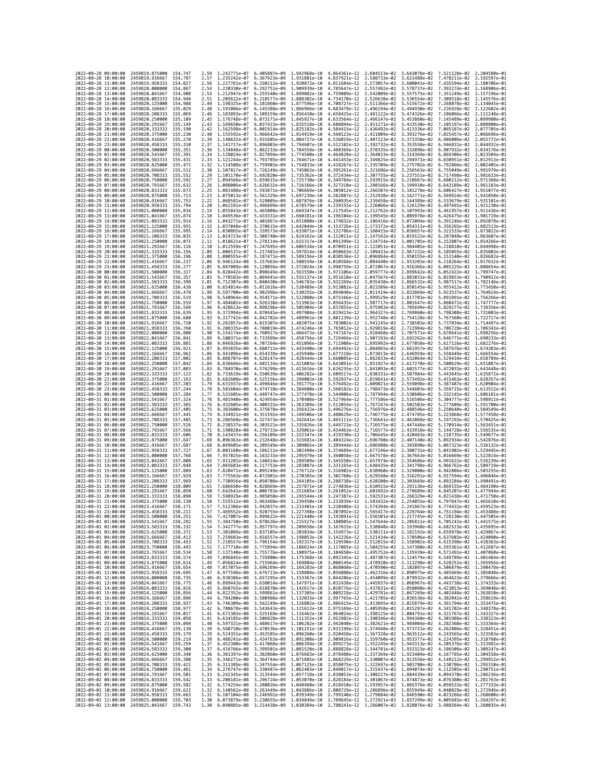|                                            | 2022-08-28 09:00:00 | 2459819.875000                                   | 154.747             | 2.59         | 1.242771e-07                                           | 6.405887e-09                                                                                                                                                                                                                                                                                                                                                                      | 1.942968e-10                 | 4.864361e-12 2.604513e-02                                                        |                                                        | 3.643078e-02                 | 7.521128e-02 2.204580e-01                                                        |                              |
|--------------------------------------------|---------------------|--------------------------------------------------|---------------------|--------------|--------------------------------------------------------|-----------------------------------------------------------------------------------------------------------------------------------------------------------------------------------------------------------------------------------------------------------------------------------------------------------------------------------------------------------------------------------|------------------------------|----------------------------------------------------------------------------------|--------------------------------------------------------|------------------------------|----------------------------------------------------------------------------------|------------------------------|
| 2022-08-28 10:00:00                        |                     | 2459819.916667                                   | 154.787             | 2.57         | 1.235242e-07                                           | 6.367923e-09                                                                                                                                                                                                                                                                                                                                                                      | 1,931881e-10                 | 4.837921e-12 2.588733e-02                                                        |                                                        | 3.621488e-02                 | 7.478211e-02 2.192597e-01                                                        |                              |
| 2022-08-28 11:00:00                        |                     | 2459819.958333                                   | 154.827             | 2.56         | 1.227761e-07                                           | 6.330212e-09                                                                                                                                                                                                                                                                                                                                                                      | 1.920872e-10                 | 4.811684e-12                                                                     | 2.573057e-02                                           | 3.600041e-02                 | 7.435594e-02                                                                     | 2.180706e-01                 |
| 2022-08-28 12:00:00<br>2022-08-28 13:00:00 |                     | 2459820.000000<br>2459820.041667                 | 154.867<br>154.908  | 2.54<br>2.53 | 1.220330e-07 6.292751e-09<br>1.212947e-07 6.255540e-09 |                                                                                                                                                                                                                                                                                                                                                                                   | 1,909939e-10<br>1.899082e-10 | 4.785647e-12 2.557482e-02 3.578737e-02<br>4.759809e-12 2.542009e-02 3.557575e-02 |                                                        |                              | 7.393274e-02 2.168906e-01<br>7.351249e-02 2.157196e-01                           |                              |
| 2022-08-28 14:00:00                        |                     | 2459820,083333                                   | 154.948             | 2.51         | 1.205612e-07                                           | 6.218577e-09                                                                                                                                                                                                                                                                                                                                                                      | 1.888302e-10                 | 4.734170e-12                                                                     | 2.526638e-02                                           | 3.536554e-02                 | 7.309518e-02                                                                     | 2.145576e-01                 |
| 2022-08-28 15:00:00                        |                     | 2459820.125000                                   | 154.988             | 2.49         | 1.198325e-07                                           | 6.181860e-09                                                                                                                                                                                                                                                                                                                                                                      | 1.877596e-10                 | 4.708727e-12                                                                     | 2.511366e-02                                           | 3.515672e-02                 | 7.268078e-02                                                                     | 2.134045e-01                 |
| 2022-08-28 16:00:00                        |                     | 2459820.166667                                   | 155.029             | 2.48         | 1.191086e-07                                           | 6.145388e-09                                                                                                                                                                                                                                                                                                                                                                      | 1.866966e-10                 | 4.683479e-12                                                                     | 2.496194e-02                                           | 3.494930e-02                 | 7.226928e-02                                                                     | 2.122602e-01                 |
| 2022-08-28 17:00:00<br>2022-08-28 18:00:00 |                     | 2459820.208333<br>2459820.250000                 | 155,069<br>155,109  | 2.46<br>2.45 | 1.183893e-07<br>1.176748e-07                           | 6.109159e-09<br>6.073171e-09                                                                                                                                                                                                                                                                                                                                                      | 1.856410e-10<br>1.845927e-10 | 4.658425e-12<br>4.633564e-12                                                     | 2.481122e-02<br>2.466147e-02                           | 3.474326e-02<br>3.453860e-02 | 7.186066e-02 2.111248e-01<br>7.145489e-02                                        | 2.099980e-01                 |
| 2022-08-28 19:00:00                        |                     | 2459820.291667                                   | 155, 149            | 2.43         | 1.169650e-07                                           | 6.037423e-09                                                                                                                                                                                                                                                                                                                                                                      | 1.835518e-10                 | 4.608894e-12                                                                     | 2.451271e-02                                           | 3.433530e-02                 | 7.105197e-02                                                                     | 2.088800e-01                 |
| 2022-08-28 20:00:00                        |                     | 2459820.333333                                   | 155.190             | 2.42         | 1.162598e-07                                           | 6.001914e-09                                                                                                                                                                                                                                                                                                                                                                      | 1,825182e-10                 | 4.584415e-12                                                                     | 2.436492e-02                                           | 3.413336e-02                 | 7.065187e-02                                                                     | 2.077705e-01                 |
| 2022-08-28 21:00:00                        |                     | 2459820.375000                                   | 155,230             | 2.40         | 1.155592e-07                                           | 5.966642e-09                                                                                                                                                                                                                                                                                                                                                                      | 1.814919e-10                 | 4.560123e-12                                                                     | 2.421809e-02                                           | 3.393276e-02                 | 7.025457e-02                                                                     | 2.066696e-01                 |
| 2022-08-28 22:00:00<br>2022-08-28 23:00:00 |                     | 2459820.416667<br>2459820.458333                 | 155.270<br>155.310  | 2.39<br>2.37 | 1.148632e-07<br>1.141717e-07                           | 5.931605e-09<br>5.896803e-09                                                                                                                                                                                                                                                                                                                                                      | 1.804727e-10<br>1.794607e-10 | 4.536019e-12<br>4.512102e-12                                                     | 2.407223e-02<br>2.392732e-02                           | 3.373350e-02<br>3.353558e-02 | 6.986006e-02<br>6.946831e-02                                                     | 2.055772e-01<br>2.044932e-01 |
| 2022-08-29 00:00:00                        |                     | 2459820.500000                                   | 155.351             | 2.36         | 1.134848e-07                                           | 5.862233e-09                                                                                                                                                                                                                                                                                                                                                                      | 1.784558e-10                 | 4.488369e-12 2.378335e-02 3.333898e-02                                           |                                                        |                              | 6.907932e-02                                                                     | 2.034176e-01                 |
| 2022-08-29 01:00:00                        |                     | 2459820.541667                                   | 155.391             | 2.34         | 1.128024e-07                                           | 5.827894e-09                                                                                                                                                                                                                                                                                                                                                                      | 1.774580e-10                 | 4.464820e-12                                                                     | 2.364033e-02                                           | 3.314369e-02                 | 6.869306e-02                                                                     | 2.023504e-01                 |
| 2022-08-29 02:00:00                        |                     | 2459820.583333                                   | 155.431             | 2.33         | 1.121244e-07                                           | 5.793785e-09                                                                                                                                                                                                                                                                                                                                                                      | 1.764671e-10                 | 4.441453e-12                                                                     | 2.349825e-02                                           | 3.294971e-02                 | 6.830951e-02                                                                     | 2.012913e-01                 |
| 2022-08-29 03:00:00<br>2022-08-29 04:00:00 |                     | 2459820.625000<br>2459820.666667                 | 155.471<br>155.512  | 2.32<br>2.30 | 1.114508e-07<br>1.107817e-07 5.726249e-09              | 5.759903e-09                                                                                                                                                                                                                                                                                                                                                                      | 1.754833e-10<br>1,745063e-10 | 4.418267e-12<br>4.395261e-12 2.321686e-02                                        | 2.335709e-02                                           | 3.275702e-02<br>3.256563e-02 | 6.792866e-02<br>6.755049e-02 1.991979e-01                                        | 2.002405e-01                 |
| 2022-08-29 05:00:00                        |                     | 2459820.708333                                   | 155.552             | 2.29         | 1.101170e-07                                           | 5.692820e-09                                                                                                                                                                                                                                                                                                                                                                      | 1.735362e-10                 | 4.372434e-12                                                                     | 2.307755e-02                                           | 3.237551e-02                 | 6.717498e-02                                                                     | 1.981633e-01                 |
| 2022-08-29 06:00:00                        |                     | 2459820.750000                                   | 155,592             | 2.27         | 1.094566e-07                                           | 5.659615e-09                                                                                                                                                                                                                                                                                                                                                                      | 1.725730e-10                 | 4.349784e-12                                                                     | 2.293915e-02                                           | 3.218667e-02                 | 6.680212e-02                                                                     | 1.971368e-01                 |
| 2022-08-29 07:00:00                        |                     | 2459820.791667                                   | 155.632             | 2.26         | 1.088006e-07                                           | 5.626632e-09                                                                                                                                                                                                                                                                                                                                                                      | 1.716166e-10                 | 4.327310e-12 2.280166e-02 3.199910e-02                                           |                                                        |                              | 6.643189e-02 1.961183e-01                                                        |                              |
| 2022-08-29 08:00:00                        |                     | 2459820.833333                                   | 155.673             | 2.25<br>2.23 | 1.081488e-07                                           | 5.593871e-09                                                                                                                                                                                                                                                                                                                                                                      | 1.706669e-10                 | 4.305012e-12 2.266507e-02                                                        |                                                        | 3.181278e-02<br>3.162771e-02 | 6.606427e-02 1.951077e-01                                                        |                              |
| 2022-08-29 09:00:00<br>2022-08-29 10:00:00 |                     | 2459820.875000<br>2459820.916667                 | 155.713<br>155.753  | 2.22         | 1.075013e-07<br>1.068581e-07                           | 5.561329e-09<br>5.529005e-09                                                                                                                                                                                                                                                                                                                                                      | 1.697239e-10<br>1.687876e-10 | 4.282887e-12<br>4.260935e-12                                                     | 2.252938e-02<br>2.239458e-02                           | 3.144389e-02                 | 6.569924e-02 1.941050e-01<br>6.533679e-02 1.931101e-01                           |                              |
| 2022-08-29 11:00:00                        |                     | 2459820.958333                                   | 155.794             | 2.20         | 1.062191e-07                                           | 5.496899e-09                                                                                                                                                                                                                                                                                                                                                                      | 1.678579e-10                 | 4.239155e-12                                                                     | 2.226066e-02                                           | 3.126129e-02                 | 6.497691e-02 1.921230e-01                                                        |                              |
| 2022-08-29 12:00:00                        |                     | 2459821.000000                                   | 155.834             | 2.19         | 1.055843e-07                                           | 5.465008e-09                                                                                                                                                                                                                                                                                                                                                                      | 1.669347e-10                 | 4.217545e-12                                                                     | 2.212762e-02                                           | 3.107993e-02                 | 6.461957e-02                                                                     | 1.911436e-01                 |
| 2022-08-29 13:00:00<br>2022-08-29 14:00:00 |                     | 2459821.041667<br>2459821.083333                 | 155.874<br>155.914  | 2.18<br>2.16 | 1.049536e-07<br>1.043271e-07                           | 5.433331e-09<br>5.401867e-09                                                                                                                                                                                                                                                                                                                                                      | 1.660181e-10<br>1.651080e-10 | 4.196104e-12<br>4.174832e-12                                                     | 2.199545e-02<br>2.186416e-02                           | 3.089978e-02<br>3.072084e-02 | 6.426475e-02<br>6.391246e-02 1.892078e-01                                        | 1.901719e-01                 |
| 2022-08-29 15:00:00                        |                     | 2459821.125000                                   | 155,955             | 2.15         | 1.037048e-07                                           | 5.370615e-09                                                                                                                                                                                                                                                                                                                                                                      | 1.642044e-10                 | 4.153726e-12 2.173372e-02                                                        |                                                        | 3.054311e-02                 | 6.356265e-02 1.882513e-01                                                        |                              |
| 2022-08-29 16:00:00                        |                     | 2459821.166667                                   | 155.995             | 2.14         | 1.030865e-07                                           | 5.339573e-09                                                                                                                                                                                                                                                                                                                                                                      | 1.633071e-10                 | 4.132786e-12                                                                     | 2.160415e-02                                           | 3.036657e-02                 | 6.321533e-02                                                                     | 1.873022e-01                 |
| 2022-08-29 17:00:00                        |                     | 2459821.208333                                   | 156.035             | 2.13         | 1.024723e-07                                           | 5.308740e-09 1.624162e-10                                                                                                                                                                                                                                                                                                                                                         |                              | 4.112011e-12                                                                     | 2.147542e-02                                           | 3.019122e-02                 | 6.287048e-02 1.863607e-01                                                        |                              |
| 2022-08-29 18:00:00<br>2022-08-29 19:00:00 |                     | 2459821.250000<br>2459821.291667                 | 156.075<br>156.116  | 2.11<br>2.10 | 1.012559e-07                                           | 1.018621e-07 5.278114e-09 1.615317e-10<br>5.247695e-09                                                                                                                                                                                                                                                                                                                            | 1.606534e-10                 | 4.091399e-12 2.134754e-02 3.001705e-02<br>4.070951e-12                           | 2.122051e-02                                           | 2.984405e-02                 | 6.252807e-02 1.854266e-01<br>6.218810e-02 1.844998e-01                           |                              |
| 2022-08-29 20:00:00                        |                     | 2459821.333333                                   | 156.156             | 2.09         | 1.006537e-07                                           | 5.217481e-09                                                                                                                                                                                                                                                                                                                                                                      | 1.597814e-10                 | 4.050663e-12                                                                     | 2.109431e-02                                           | 2.967222e-02                 | 6.185055e-02                                                                     | 1.835803e-01                 |
| 2022-08-29 21:00:00                        |                     | 2459821.375000                                   | 156.196             | 2.08         | 1.000555e-07                                           | 5.187471e-09                                                                                                                                                                                                                                                                                                                                                                      | 1.589156e-10                 | 4.030536e-12                                                                     | 2.096894e-02 2.950155e-02                              |                              | 6.151540e-02 1.826682e-01                                                        |                              |
| 2022-08-29 22:00:00                        |                     | 2459821.416667                                   | 156.237             | 2.06         | 9.946124e-08                                           | 5.157663e-09                                                                                                                                                                                                                                                                                                                                                                      | 1.580559e-10                 | 4.010568e-12                                                                     | 2.084440e-02                                           | 2.933203e-02                 | 6.118264e-02 1.817632e-01                                                        |                              |
| 2022-08-29 23:00:00<br>2022-08-30 00:00:00 |                     | 2459821.458333                                   | 156.277<br>156.317  | 2.05<br>2.04 | 9.887089e-08                                           | 5.128056e-09                                                                                                                                                                                                                                                                                                                                                                      | 1.572024e-10                 | 3.990759e-12                                                                     | 2.072067e-02                                           | 2.916366e-02                 | 6.085225e-02                                                                     | 1.808654e-01<br>1.799747e-01 |
| 2022-08-30 01:00:00                        |                     | 2459821.500000<br>2459821.541667                 | 156,357             | 2.03         | 9.828442e-08<br>9.770183e-08                           | 5.098649e-09 1.563550e-10<br>5.069441e-09                                                                                                                                                                                                                                                                                                                                         | 1.555137e-10                 | 3.971106e-12<br>3.951610e-12                                                     | 2.059777e-02 2.899642e-02<br>2.047567e-02 2.883031e-02 |                              | 6.052422e-02<br>6.019853e-02 1.790912e-01                                        |                              |
| 2022-08-30 02:00:00                        |                     | 2459821.583333                                   | 156.398             | 2.01         | 9.712307e-08                                           | 5.040430e-09                                                                                                                                                                                                                                                                                                                                                                      | 1.546783e-10                 | 3.932269e-12                                                                     | 2.035438e-02                                           | 2.866532e-02                 | 5.987517e-02 1.782146e-01                                                        |                              |
| 2022-08-30 03:00:00                        |                     | 2459821.625000                                   | 156.438             | 2.00         | 9.654814e-08                                           | 5.011616e-09                                                                                                                                                                                                                                                                                                                                                                      | 1.538489e-10                 | 3.913082e-12                                                                     | 2.023389e-02                                           | 2.850145e-02                 | 5.955412e-02                                                                     | 1.773450e-01                 |
| 2022-08-30 04:00:00                        |                     | 2459821,666667                                   | 156.478             | 1.99<br>1.98 |                                                        | 9.597700e-08 4.982996e-09 1.530255e-10                                                                                                                                                                                                                                                                                                                                            |                              | 3.894048e-12 2.011419e-02 2.833869e-02<br>3.875166e-12 1.999529e-02 2.817703e-02 |                                                        |                              | 5.923537e-02 1.764824e-01                                                        |                              |
| 2022-08-30 05:00:00<br>2022-08-30 06:00:00 |                     | 2459821.708333<br>2459821.750000                 | 156.519<br>156.559  | 1.97         | 9.540964e-08<br>9.484602e-08                           | 4.954571e-09<br>4.926338e-09                                                                                                                                                                                                                                                                                                                                                      | 1.522080e-10<br>1.513963e-10 | 3.856435e-12 1.987717e-02                                                        |                                                        | 2.801647e-02                 | 5.891891e-02 1.756266e-01<br>5.860471e-02 1.747777e-01                           |                              |
| 2022-08-30 07:00:00                        |                     | 2459821.791667                                   | 156.599             | 1.96         | 9.428613e-08                                           | 4.898296e-09                                                                                                                                                                                                                                                                                                                                                                      | 1.505904e-10                 | 3.837855e-12                                                                     | 1.975983e-02                                           | 2.785699e-02                 | 5.829277e-02                                                                     | 1.739356e-01                 |
| 2022-08-30 08:00:00                        |                     | 2459821.833333                                   | 156.639             | 1.95         | 9.372994e-08                                           | 4.870445e-09                                                                                                                                                                                                                                                                                                                                                                      | 1.497904e-10                 | 3.819423e-12                                                                     | 1.964327e-02                                           | 2.769860e-02                 | 5.798308e-02 1.731003e-01                                                        |                              |
| 2022-08-30 09:00:00                        |                     | 2459821.875000                                   | 156,680             | 1.93         | 9.317742e-08                                           | 4.842782e-09                                                                                                                                                                                                                                                                                                                                                                      | 1.489961e-10                 | 3.801139e-12 1.952748e-02 2.754128e-02                                           |                                                        |                              | 5.767560e-02 1.722717e-01                                                        |                              |
| 2022-08-30 10:00:00<br>2022-08-30 11:00:00 |                     | 2459821.916667<br>2459821.958333                 | 156.720<br>156.760  | 1.92<br>1.91 | 9.262857e-08<br>9.208335e-08                           | 4.815307e-09<br>4.788019e-09                                                                                                                                                                                                                                                                                                                                                      | 1.482075e-10<br>1.474246e-10 | 3.783002e-12<br>3.765012e-12 1.929819e-02                                        | 1.941245e-02                                           | 2.738503e-02<br>2.722984e-02 | 5.737034e-02<br>5.706728e-02                                                     | 1.714497e-01<br>1.706343e-01 |
| 2022-08-30 12:00:00                        |                     | 2459822.000000                                   | 156,800             | 1.90         | 9.154174e-08                                           | 4.760917e-09                                                                                                                                                                                                                                                                                                                                                                      | 1.466473e-10                 | 3.747167e-12 1.918468e-02                                                        |                                                        | 2.707571e-02                 | 5.676641e-02 1.698256e-01                                                        |                              |
| 2022-08-30 13:00:00                        |                     | 2459822.041667                                   | 156.841             | 1.89         | 9.100371e-08                                           | 4.733999e-09                                                                                                                                                                                                                                                                                                                                                                      | 1.458756e-10                 | 3.729466e-12 1.907193e-02                                                        |                                                        | 2.692262e-02                 | 5.646771e-02 1.690233e-01                                                        |                              |
| 2022-08-30 14:00:00                        |                     | 2459822.083333                                   | 156.881             | 1.88         | 9.046926e-08                                           | 4.707264e-09                                                                                                                                                                                                                                                                                                                                                                      | 1.451096e-10                 | 3.711908e-12                                                                     | 1.895992e-02                                           | 2.677058e-02                 | 5.617116e-02                                                                     | 1.682276e-01                 |
| 2022-08-30 15:00:00<br>2022-08-30 16:00:00 |                     | 2459822,125000<br>2459822.166667                 | 156.921<br>156.962  | 1.87<br>1.86 | 8.941096e-08                                           | 8.993835e-08 4.680711e-09 1.443490e-10<br>4.654339e-09                                                                                                                                                                                                                                                                                                                            | 1.435940e-10                 | 3.694492e-12 1.884865e-02 2.661957e-02<br>3.677218e-12 1.873813e-02 2.646959e-02 |                                                        |                              | 5.587676e-02 1.674383e-01<br>5.558449e-02 1.666554e-01                           |                              |
| 2022-08-30 17:00:00                        |                     | 2459822.208333                                   | 157.002             | 1.85         | 8.888707e-08                                           | 4.628147e-09                                                                                                                                                                                                                                                                                                                                                                      | 1.428444e-10                 | 3.660085e-12                                                                     | 1.862833e-02                                           | 2.632064e-02                 | 5.529434e-02 1.658789e-01                                                        |                              |
| 2022-08-30 18:00:00                        |                     | 2459822.250000                                   | 157.042             | 1.84         | 8.836666e-08                                           | 4.602134e-09                                                                                                                                                                                                                                                                                                                                                                      | 1.421003e-10                 | 3.643091e-12                                                                     | 1.851927e-02                                           | 2.617270e-02                 | 5.500629e-02                                                                     | 1.651087e-01                 |
| 2022-08-30 19:00:00                        |                     | 2459822.291667                                   | 157.083             | 1.83         | 8.784970e-08                                           | 4.576299e-09                                                                                                                                                                                                                                                                                                                                                                      | 1.413616e-10                 | 3.626235e-12                                                                     | 1.841093e-02                                           | 2.602577e-02                 | 5.472033e-02                                                                     | 1.643448e-01                 |
| 2022-08-30 20:00:00<br>2022-08-30 21:00:00 |                     | 2459822.333333<br>2459822.375000                 | 157.123<br>157, 163 | 1.82<br>1.81 | 8.733619e-08<br>8.682608e-08                           | 4.550639e-09<br>4.525156e-09                                                                                                                                                                                                                                                                                                                                                      | 1.406282e-10<br>1.399002e-10 | 3.609517e-12 1.830331e-02 2.587984e-02<br>3.592937e-12                           | 1.819641e-02                                           | 2.573492e-02                 | 5.443645e-02 1.635872e-01<br>5.415463e-02                                        | 1.628357e-01                 |
| 2022-08-30 22:00:00                        |                     | 2459822.416667                                   | 157,203             | 1.79         | 8.631937e-08                                           | 4.499846e-09                                                                                                                                                                                                                                                                                                                                                                      | 1.391775e-10                 | 3.576492e-12 1.809021e-02                                                        |                                                        | 2.559098e-02                 | 5.387487e-02 1.620904e-01                                                        |                              |
| 2022-08-30 23:00:00                        |                     | 2459822.458333                                   | 157, 244            | 1.78         | 8.581604e-08                                           | 4.474710e-09                                                                                                                                                                                                                                                                                                                                                                      | 1.384600e-10                 | 3.560182e-12 1.798473e-02                                                        |                                                        | 2.544803e-02                 | 5.359715e-02 1.613512e-01                                                        |                              |
| 2022-08-31 00:00:00                        |                     | 2459822.500000                                   | 157.284             | 1.77         | 8.531605e-08                                           | 4.449747e-09                                                                                                                                                                                                                                                                                                                                                                      | 1.377478e-10                 | 3.544006e-12 1.787994e-02                                                        |                                                        | 2.530606e-02                 | 5.332145e-02                                                                     | 1.606181e-01                 |
| 2022-08-31 01:00:00<br>2022-08-31 02:00:00 |                     | 2459822.541667<br>2459822.583333                 | 157.324<br>157.365  | 1.76<br>1.76 | 8.481940e-08<br>8.432605e-08 4.400331e-09              | 4.424954e-09                                                                                                                                                                                                                                                                                                                                                                      | 1.370408e-10<br>1.363389e-10 | 3.527964e-12<br>3.512054e-12 1.767247e-02                                        | 1.777586e-02                                           | 2.516506e-02<br>2.502503e-02 | 5.304777e-02<br>5.277609e-02 1.591700e-01                                        | 1.598911e-01                 |
| 2022-08-31 03:00:00                        |                     | 2459822.625000                                   | 157.405             | 1.75         | 8.383600e-08 4.375878e-09                              |                                                                                                                                                                                                                                                                                                                                                                                   | 1.356422e-10                 | 3.496276e-12 1.756976e-02                                                        |                                                        | 2.488596e-02                 | 5.250640e-02 1.584549e-01                                                        |                              |
| 2022-08-31 04:00:00                        |                     | 2459822.666667                                   | 157.445             | 1.74         | 8.334921e-08                                           | 4.351592e-09                                                                                                                                                                                                                                                                                                                                                                      | 1.349506e-10                 | 3.480629e-12                                                                     | 1.746775e-02                                           | 2.474785e-02                 | 5.223868e-02                                                                     | 1.577458e-01                 |
| 2022-08-31 05:00:00                        |                     | 2459822.708333                                   | 157,485             | 1.73         | 8.286568e-08                                           | 4.327473e-09                                                                                                                                                                                                                                                                                                                                                                      | 1.342641e-10                 | 3.465111e-12                                                                     | 1.736641e-02                                           | 2.461068e-02                 | 5.197293e-02                                                                     | 1.570425e-01                 |
| 2022-08-31 06:00:00<br>2022-08-31 07:00:00 |                     | 2459822.750000<br>2459822.791667                 | 157.526<br>157,566  | 1.72         | 8.238537e-08 4.303521e-09                              |                                                                                                                                                                                                                                                                                                                                                                                   | 1.335826e-10<br>1,329061e-10 | 3.449723e-12 1.726575e-02                                                        |                                                        | 2.447446e-02<br>2.433918e-02 | 5.170914e-02 1.563451e-01<br>5.144728e-02 1.556535e-01                           |                              |
| 2022-08-31 08:00:00                        |                     | 2459822.833333                                   | 157,606             | 1.71<br>1.70 | 8.190828e-08<br>8.143437e-08                           | 4.279733e-09<br>4.256109e-09                                                                                                                                                                                                                                                                                                                                                      | 1.322347e-10                 | 3.434463e-12 1.716577e-02<br>3.419330e-12                                        | 1.706645e-02                                           | 2.420483e-02                 | 5.118735e-02                                                                     | 1.549677e-01                 |
| 2022-08-31 09:00:00                        |                     | 2459822.875000                                   | 157.647             | 1.69         | 8.096363e-08                                           | 4.232648e-09                                                                                                                                                                                                                                                                                                                                                                      | 1.315681e-10                 | 3.404324e-12                                                                     | 1.696780e-02                                           | 2.407140e-02                 | 5.092934e-02 1.542876e-01                                                        |                              |
| 2022-08-31 10:00:00                        |                     | 2459822.916667                                   | 157.687             | 1.68         | 8.049605e-08 4.209349e-09                              |                                                                                                                                                                                                                                                                                                                                                                                   | 1.309065e-10                 |                                                                                  | 3.389444e-12 1.686980e-02 2.393890e-02                 |                              | 5.067323e-02 1.536132e-01                                                        |                              |
| 2022-08-31 11:00:00                        |                     | 2459822,958333                                   | 157.727             | 1.67         | 8.003160e-08 4.186211e-09                              |                                                                                                                                                                                                                                                                                                                                                                                   | 1.302498e-10                 |                                                                                  |                                                        | 2.380731e-02                 |                                                                                  | 5.041902e-02 1.529445e-01    |
|                                            |                     |                                                  |                     |              |                                                        |                                                                                                                                                                                                                                                                                                                                                                                   |                              | 3.374689e-12 1.677246e-02                                                        |                                                        |                              |                                                                                  |                              |
|                                            | 2022-08-31 12:00:00 | 2459823.000000                                   | 157.768             | 1.66         | 7.957025e-08                                           | 4.163233e-09                                                                                                                                                                                                                                                                                                                                                                      | 1.295979e-10                 | 3.360058e-12                                                                     | 1.667578e-02                                           | 2.367663e-02                 | 5.016669e-02 1.522814e-01                                                        |                              |
| 2022-08-31 13:00:00<br>2022-08-31 14:00:00 |                     | 2459823.041667                                   | 157.808             | 1.65<br>1.64 | 7.911201e-08 4.140414e-09                              |                                                                                                                                                                                                                                                                                                                                                                                   | 1.289509e-10<br>1.283087e-10 | 3.345550e-12 1.657974e-02                                                        |                                                        | 2.354686e-02                 | 4.991622e-02 1.516239e-01                                                        |                              |
| 2022-08-31 15:00:00                        |                     | 2459823.083333<br>2459823.125000                 | 157.848<br>157.889  | 1.63         | 7.865683e-08<br>7.820471e-08                           | 4.117753e-09<br>4.095249e-09                                                                                                                                                                                                                                                                                                                                                      | 1.276712e-10                 | 3.331165e-12<br>3.316902e-12                                                     | 1.648435e-02<br>1.638960e-02                           | 2.341798e-02<br>2.329000e-02 | 4.966762e-02 1.509719e-01<br>4.942086e-02                                        | 1.503255e-01                 |
| 2022-08-31 16:00:00                        |                     | 2459823.166667                                   | 157.929             | 1.63         | 7.775563e-08                                           | 4.072901e-09                                                                                                                                                                                                                                                                                                                                                                      | 1.270385e-10                 | 3.302760e-12                                                                     | 1.629548e-02                                           | 2.316291e-02                 | 4.917594e-02                                                                     | 1.496846e-01                 |
| 2022-08-31 17:00:00                        |                     | 2459823.208333                                   | 157.969             | 1.62         | 7.730956e-08                                           | 4.050708e-09                                                                                                                                                                                                                                                                                                                                                                      | 1.264105e-10                 | 3.288738e-12 1.620200e-02                                                        |                                                        | 2.303669e-02                 | 4.893284e-02 1.490491e-01                                                        |                              |
| 2022-08-31 18:00:00<br>2022-08-31 19:00:00 |                     | 2459823.250000<br>2459823.291667                 | 158,009<br>158.050  | 1.61<br>1.60 | 7.686650e-08<br>7.642641e-08                           | 4.028669e-09<br>4.006783e-09                                                                                                                                                                                                                                                                                                                                                      | 1.257871e-10<br>1.251685e-10 | 3.274836e-12 1.610915e-02<br>3.261052e-12                                        | 1.601692e-02                                           | 2.291136e-02<br>2.278689e-02 | 4.869155e-02 1.484190e-01<br>4.845207e-02                                        | 1.477944e-01                 |
| 2022-08-31 20:00:00                        |                     | 2459823.333333                                   | 158.090             | 1.59         |                                                        | 7.598929e-08 3.985050e-09 1.245544e-10                                                                                                                                                                                                                                                                                                                                            |                              | 3.247387e-12 1.592531e-02 2.266329e-02                                           |                                                        |                              | 4.821438e-02 1.471750e-01                                                        |                              |
| 2022-08-31 21:00:00                        |                     | 2459823.375000                                   | 158.130             | 1.58         |                                                        | 7.555512e-08 3.963468e-09 1.239450e-10                                                                                                                                                                                                                                                                                                                                            |                              |                                                                                  |                                                        |                              | 3.233839e-12  1.583432e-02  2.254055e-02  4.797847e-02  1.465610e-01             |                              |
| 2022-08-31 22:00:00<br>2022-08-31 23:00:00 |                     | 2459823.416667<br>2459823.458333                 | 158.171             | 1.57         | 469552e-08                                             | 7.512386e-08 3.942037e-09 1.233401e-10<br>3.920755e-09                                                                                                                                                                                                                                                                                                                            | 1.227398e-10                 | 3.207092e-12                                                                     | 1.565417e-02                                           | 2.229764e-02                 | 3.220408e-12 1.574394e-02 2.241867e-02 4.774432e-02 1.459523e-01<br>4.751194e-02 | 1.453488e-01                 |
| 2022-09-01 00:00:00                        |                     | 2459823.500000 158.251                           |                     | 1.56         |                                                        | 7.427007e-08 3.899622e-09 1.221440e-10 3.193891e-12 1.556501e-02 2.217745e-02 4.728130e-02 1.447505e-01                                                                                                                                                                                                                                                                           |                              |                                                                                  |                                                        |                              |                                                                                  |                              |
| 2022-09-01 01:00:00                        |                     | 2459823.541667 158.292                           |                     | 1.55         |                                                        | 7.384750e-08 3.878636e-09 1.215527e-10 3.180805e-12 1.547644e-02 2.205811e-02 4.705241e-02 1.441575e-01                                                                                                                                                                                                                                                                           |                              |                                                                                  |                                                        |                              |                                                                                  |                              |
| 2022-09-01 02:00:00                        |                     | 2459823.583333                                   | 158.332             |              |                                                        |                                                                                                                                                                                                                                                                                                                                                                                   |                              |                                                                                  |                                                        |                              |                                                                                  |                              |
| 2022-09-01 03:00:00<br>2022-09-01 04:00:00 |                     | 2459823.625000 158.372<br>2459823.666667 158.413 |                     | 1.53         |                                                        | 1.54 7.342777e-08 3.857797e-09 1.209658e-10 3.167833e-12 1.538848e-02 2.193960e-02 4.682523e-02 1.435695e-01<br>1.53 7.301089e-08 3.837105e-09 1.203834e-10 3.154973e-12 1.530111e-02 2.182192e-02 4.659978e-02 1.429867e-01<br>7.259683e-08 3.816557e-09 1.198053e-10 3.142226e-12 1.521434e-02 2.170506e-02 4.637603e-02 1.424090e-01                                           |                              |                                                                                  |                                                        |                              |                                                                                  |                              |
| 2022-09-01 05:00:00                        |                     | 2459823.708333 158.453                           |                     | 1.52         |                                                        |                                                                                                                                                                                                                                                                                                                                                                                   |                              |                                                                                  |                                                        |                              |                                                                                  |                              |
| 2022-09-01 06:00:00                        |                     | 2459823.750000 158.493                           |                     | 1.51         |                                                        | 7.218557e-08 3.796154e-09 1.192317e-10 3.129590e-12 1.512815e-02 2.158902e-02 4.615398e-02 1.418363e-01<br>7.177710e-08 3.795154e-09 1.186624e-10 3.117065e-12 1.504255e-02 2.147380e-02 4.593361e-02 1.412687e-01                                                                                                                                                                |                              |                                                                                  |                                                        |                              |                                                                                  |                              |
| 2022-09-01 07:00:00                        |                     | 2459823.791667 158.534                           |                     | 1.50         |                                                        | 7.137140e-08 3.755776e-09 1.180975e-10 3.104650e-12 1.495752e-02 2.135939e-02 4.571491e-02 1.407060e-01                                                                                                                                                                                                                                                                           |                              |                                                                                  |                                                        |                              |                                                                                  |                              |
| 2022-09-01 08:00:00<br>2022-09-01 09:00:00 |                     | 2459823.833333 158.574<br>2459823.875000         | 158.614             | 1.49         |                                                        | 7.096845e-08 3.735800e-09 1.175368e-10 3.092345e-12 1.487307e-02 2.124579e-02 4.549789e-02 1.401484e-01                                                                                                                                                                                                                                                                           |                              |                                                                                  |                                                        |                              |                                                                                  |                              |
| 2022-09-01 10:00:00                        |                     | 2459823.916667                                   | 158.654             |              |                                                        |                                                                                                                                                                                                                                                                                                                                                                                   |                              |                                                                                  |                                                        |                              |                                                                                  |                              |
| 2022-09-01 11:00:00                        |                     | 2459823.958333 158.695                           |                     |              |                                                        | 1.48 7.055624e-08 3.715964e-09 1.169804e-10 3.060149e-12 1.476920e-02 2.113296e-02 4.528251e-02 1.395956e-01<br>1.48 7.055624e-08 3.696269e-09 1.164283e-10 3.068060e-12 1.476920e-02 2.113296e-02 4.506379e-02 1.395956e-01<br>1.47                                                                                                                                              |                              |                                                                                  |                                                        |                              |                                                                                  |                              |
| 2022-09-01 12:00:00                        |                     | 2459824.000000 158.735                           | 158.775             |              |                                                        |                                                                                                                                                                                                                                                                                                                                                                                   |                              |                                                                                  |                                                        |                              |                                                                                  |                              |
| 2022-09-01 13:00:00<br>2022-09-01 14:00:00 |                     | 2459824.041667<br>2459824.083333 158.816         |                     |              |                                                        |                                                                                                                                                                                                                                                                                                                                                                                   |                              |                                                                                  |                                                        |                              |                                                                                  |                              |
| 2022-09-01 15:00:00                        |                     | 2459824.125000 158.856                           |                     |              |                                                        | 1.46 6.938386e-08 3.657295e-09 1.153367e-10 3.044206e-12 1.454099e-02 2.079932e-02 4.464623e-02 1.379666e-01<br>1.46 6.938386e-08 3.638994e-09 1.153367e-10 3.032438e-12 1.445999e-02 2.079932e-02 4.464623e-02 1.379656e-01<br>1.45                                                                                                                                              |                              |                                                                                  |                                                        |                              |                                                                                  |                              |
| 2022-09-01 16:00:00                        |                     | 2459824.166667 158.896                           |                     |              |                                                        |                                                                                                                                                                                                                                                                                                                                                                                   |                              |                                                                                  |                                                        |                              |                                                                                  |                              |
| 2022-09-01 17:00:00<br>2022-09-01 18:00:00 |                     | 2459824.208333 158.937<br>2459824.250000 158.977 |                     |              |                                                        | 1.42 6.708678e-08 3.543643e-09 1.121612e-10 2.975169e-12 1.405958e-02 2.015297e-02 4.341702e-02 1.348378e-01                                                                                                                                                                                                                                                                      |                              |                                                                                  |                                                        |                              |                                                                                  |                              |
| 2022-09-01 19:00:00                        |                     | 2459824.291667 159.017                           |                     |              |                                                        | 1.41 6.671303e-08 3.525169e-09 1.116462e-10 2.964024e-12 1.398125e-02 2.004791e-02 4.321767e-02 1.343327e-01                                                                                                                                                                                                                                                                      |                              |                                                                                  |                                                        |                              |                                                                                  |                              |
| 2022-09-01 20:00:00                        |                     | 2459824.333333 159.058                           |                     |              |                                                        |                                                                                                                                                                                                                                                                                                                                                                                   |                              |                                                                                  |                                                        |                              |                                                                                  |                              |
| 2022-09-01 21:00:00                        |                     | 2459824.375000                                   | 159.098             |              |                                                        | $\begin{array}{cccccccc} 1.41 & 6.634185e-08 & 3.506828e-09 & 1.111352e-10 & 2.952982e-12 & 1.390346e-02 & 1.994360e-02 & 4.301986e-02 & 1.338323e-01 \\ 1.40 & 6.597321e-08 & 3.488617e-09 & 1.106282e-10 & 2.942040e-12 & 1.382621e-02 & 1.984004e-02 & 4.2$                                                                                                                    |                              |                                                                                  |                                                        |                              |                                                                                  |                              |
| 2022-09-01 22:00:00<br>2022-09-01 23:00:00 |                     | 2459824.416667 159.138<br>2459824.458333 159.179 |                     |              |                                                        | 1.39 6.560710e-08 3.470536e-09 1.101251e-10 2.931199e-12 1.374948e-02 1.973721e-02 4.262886e-02 1.328451e-01                                                                                                                                                                                                                                                                      |                              |                                                                                  |                                                        |                              |                                                                                  |                              |
| 2022-09-02 00:00:00                        |                     | 2459824.500000                                   | 159.219             |              |                                                        |                                                                                                                                                                                                                                                                                                                                                                                   |                              |                                                                                  |                                                        |                              |                                                                                  |                              |
| 2022-09-02 01:00:00                        |                     | 2459824.541667 159.259                           |                     |              |                                                        |                                                                                                                                                                                                                                                                                                                                                                                   |                              |                                                                                  |                                                        |                              |                                                                                  |                              |
| 2022-09-02 02:00:00                        |                     | 2459824.583333 159.300                           |                     |              |                                                        | $\begin{array}{cccccccccccc} 1.39 & 6.524351e-08 & 3.452585e-09 & 1.09520e-10 & 2.92453e-12 & 1.36732e-02 & 1.963512e-02 & 4.243565e-02 & 1.323583e-01 \\ 1.38 & 6.524351e-08 & 3.437585e-09 & 1.09130e-10 & 2.92458e-12 & 1.36732e-02 & 1.96337e-02 & 4.243565e$                                                                                                                 |                              |                                                                                  |                                                        |                              |                                                                                  |                              |
| 2022-09-02 03:00:00<br>2022-09-02 04:00:00 |                     | 2459824.625000 159.340<br>2459824.666667 159.380 |                     |              |                                                        |                                                                                                                                                                                                                                                                                                                                                                                   |                              |                                                                                  |                                                        |                              |                                                                                  |                              |
| 2022-09-02 05:00:00                        |                     | 2459824.708333 159.421                           |                     |              |                                                        | $\frac{1.36}{1.36} \begin{array}{cccccccc} 6.381397e-08 & 3.382060e-09 & 1.076683e-10 & 2.878480e-12 & 1.337369e-02 & 1.923404e-02 & 4.167785e-02 & 1.304558e-01 \\ 1.35 & 6.346271e-08 & 3.364744e-09 & 1.071885e-10 & 2.868229e-12 & 1.330007e-02 & 1.913556e-$<br>1.35 6.311389e-08 3.347554e-09 1.067125e-10 2.858075e-12 1.322697e-02 1.903780e-02 4.130786e-02 1.295310e-01 |                              |                                                                                  |                                                        |                              |                                                                                  |                              |
| 2022-09-02 06:00:00                        |                     | 2459824.750000 159.461                           |                     |              |                                                        |                                                                                                                                                                                                                                                                                                                                                                                   |                              |                                                                                  |                                                        |                              |                                                                                  |                              |
| 2022-09-02 07:00:00                        |                     | 2459824.791667                                   | 159.501             |              |                                                        |                                                                                                                                                                                                                                                                                                                                                                                   |                              |                                                                                  |                                                        |                              |                                                                                  |                              |
| 2022-09-02 08:00:00                        |                     | 2459824.833333 159.542                           |                     |              |                                                        | $\frac{1.34}{1.33}\begin{array}{l} 6.276747e-88 & 3.330487e-99 \\ 1.062493e-88 & 3.3153437e-99 \\ 1.3366.24234e-98 & 3.3153437e-92 \\ 1.3366.24234e-98 & 3.3153437e-92 \\ 1.3366.24234e-98 & 3.3153437e-10 \\ 1.3366.26836e-10 & 1.697718e-10 \\ 1.3366.26836$                                                                                                                    |                              |                                                                                  |                                                        |                              |                                                                                  |                              |
| 2022-09-02 09:00:00<br>2022-09-02 10:00:00 |                     | 2459824.875000 159.582<br>2459824.916667 159.622 |                     |              |                                                        | 1.32 6.174254e-08 3.280026e-09 1.048460e-10 2.818410e-12 1.293957e-02 1.865376e-02 4.058533e-02 1.277333e-01                                                                                                                                                                                                                                                                      |                              |                                                                                  |                                                        |                              |                                                                                  |                              |
| 2022-09-02 11:00:00<br>2022-09-02 12:00:00 |                     | 2459824.958333<br>2459825.000000 159.703         | 159.663             |              |                                                        | 1.32 6.149562e-08 3.263449e-09 1.043886e-10 2.808729e-12 1.286896e-02 1.855949e-02 1.040829e-02 1.272946e-01<br>1.31 6.149562e-08 3.245992e-09 1.043886e-10 2.799140e-12 1.279884e-02 1.855949e-02 4.040829e-02 1.272946e-01<br>1.30                                                                                                                                              |                              |                                                                                  |                                                        |                              |                                                                                  |                              |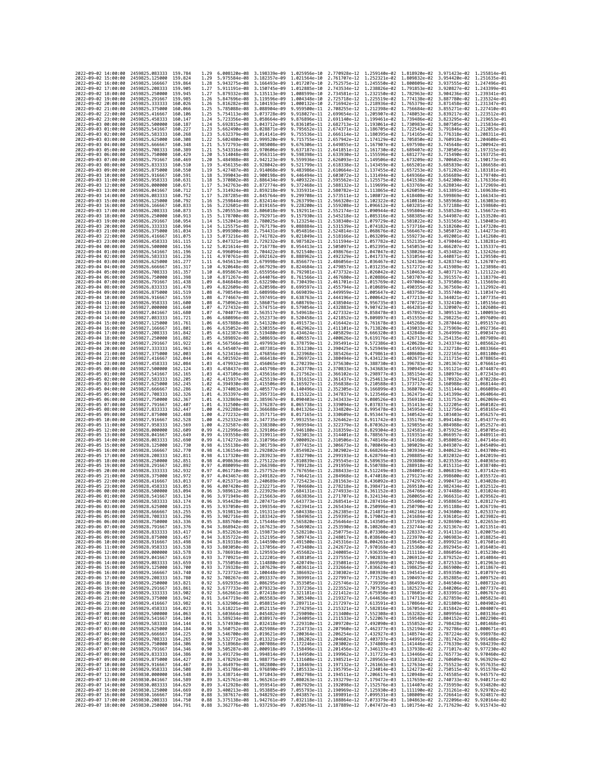| 2022-09-02 14:00:00                        |                     | 2459825.083333                                   | 159.784              | 1.29         | 6.008120e-08                                           | 3.198339e-09                                                                                                                                                                                                                                                   | 1.025956e-10                 | 2.770928e-12 1.259140e-02                                                                                    |                                           | 1.818920e-02                 | 3.971423e-02 1.255814e-01                              |                              |
|--------------------------------------------|---------------------|--------------------------------------------------|----------------------|--------------|--------------------------------------------------------|----------------------------------------------------------------------------------------------------------------------------------------------------------------------------------------------------------------------------------------------------------------|------------------------------|--------------------------------------------------------------------------------------------------------------|-------------------------------------------|------------------------------|--------------------------------------------------------|------------------------------|
| 2022-09-02 15:00:00                        |                     | 2459825.125000                                   | 159.824              | 1.29         | 5.975584e-08                                           | 3.182357e-09                                                                                                                                                                                                                                                   | 1.021564e-10                 | 2.761707e-12 1.252321e-02                                                                                    |                                           | 1.809832e-02                 | 3.954420e-02 1.251635e-01                              |                              |
| 2022-09-02 16:00:00                        |                     | 2459825.166667                                   | 159.864              | 1.28         | 5.943275e-08                                           | 3.166493e-09                                                                                                                                                                                                                                                   | 1.017207e-10                 | 2.752575e-12                                                                                                 | 1.245550e-02                              | 1.800809e-02                 | 3.937555e-02                                           | 1.247496e-01                 |
| 2022-09-02 17:00:00<br>2022-09-02 18:00:00 |                     | 2459825,208333<br>2459825.250000                 | 159.905<br>159.945   | 1.27<br>1.27 | 5.911191e-08 3.150745e-09<br>5.879332e-08 3.135113e-09 |                                                                                                                                                                                                                                                                | 1.012885e-10<br>1.008599e-10 | 2.743534e-12 1.238826e-02 1.791853e-02<br>2.734581e-12 1.232150e-02                                          |                                           | 1.782963e-02                 | 3.920827e-02 1.243399e-01<br>3.904236e-02 1.239341e-01 |                              |
| 2022-09-02 19:00:00                        |                     | 2459825.291667                                   | 159.985              | 1.26         | 5.847696e-08                                           | 3.119596e-09                                                                                                                                                                                                                                                   | 1.004348e-10                 | 2.725718e-12                                                                                                 | 1.225519e-02                              | 1.774138e-02                 | 3.887780e-02                                           | 1.235324e-01                 |
| 2022-09-02 20:00:00                        |                     | 2459825.333333                                   | 160.026              | 1.26         | 5.816282e-08                                           | 3.104193e-09                                                                                                                                                                                                                                                   | 1.000132e-10                 | 2.716942e-12                                                                                                 | 1.218936e-02                              | 1.765379e-02                 | 3.871458e-02                                           | 1.231347e-01                 |
| 2022-09-02 21:00:00                        |                     | 2459825.375000                                   | 160,066              | 1.25         | 5.785088e-08                                           | 3.088904e-09                                                                                                                                                                                                                                                   | 9.959500e-11                 | 2.708255e-12                                                                                                 | 1.212398e-02                              | 1.756684e-02                 | 3.855271e-02                                           | 1.227410e-01                 |
| 2022-09-02 22:00:00<br>2022-09-02 23:00:00 |                     | 2459825.416667<br>2459825.458333                 | 160,106<br>160.147   | 1.25<br>1.24 | 5.754113e-08<br>5.723356e-08                           | 3.073728e-09<br>3.058664e-09                                                                                                                                                                                                                                   | 9.918027e-11<br>9.876896e-11 | 2.699654e-12 1.205907e-02<br>2.691140e-12                                                                    | 1.199461e-02                              | 1,748053e-02<br>1.739486e-02 | 3.839217e-02 1.223512e-01<br>3.823295e-02              | 1.219653e-01                 |
| 2022-09-03 00:00:00                        |                     | 2459825.500000                                   | 160,187              | 1.24         | 5.692815e-08                                           | 3.043712e-09                                                                                                                                                                                                                                                   | 9.836105e-11                 | 2.682713e-12                                                                                                 | 1.193061e-02                              | 1.730983e-02                 | 3.807505e-02                                           | 1.215834e-01                 |
| 2022-09-03 01:00:00                        |                     | 2459825.541667                                   | 160.227              | 1.23         | 5.662490e-08                                           | 3.028871e-09                                                                                                                                                                                                                                                   | 9.795652e-11                 | 2.674371e-12                                                                                                 | 1.186705e-02                              | 1.722543e-02                 | 3.791846e-02                                           | 1.212053e-01                 |
| 2022-09-03 02:00:00                        |                     | 2459825,583333                                   | 160.268              | 1.23         | 5.632379e-08                                           | 3.014141e-09                                                                                                                                                                                                                                                   | 9.755536e-11                 | 2.666114e-12                                                                                                 | 1.180395e-02                              | 1.714165e-02                 | 3.776318e-02                                           | 1.208311e-01                 |
| 2022-09-03 03:00:00<br>2022-09-03 04:00:00 |                     | 2459825.625000<br>2459825.666667                 | 160.308<br>160.348   | 1.22<br>1.21 | 5.602480e-08<br>5.572793e-08                           | 2.999520e-09<br>2.985008e-09                                                                                                                                                                                                                                   | 9.715755e-11<br>9.676306e-11 | 2.657942e-12<br>2.649855e-12                                                                                 | 1.174129e-02<br>1.167907e-02              | 1.705850e-02<br>1.697598e-02 | 3.760918e-02<br>3.745648e-02                           | 1.204608e-01<br>1.200942e-01 |
| 2022-09-03 05:00:00                        |                     | 2459825.708333                                   | 160,389              | 1.21         | 5.543316e-08                                           | 2.970606e-09                                                                                                                                                                                                                                                   | 9.637187e-11                 | 2.641851e-12 1.161730e-02                                                                                    |                                           | 1.689407e-02                 | 3.730505e-02                                           | 1.197315e-01                 |
| 2022-09-03 06:00:00                        |                     | 2459825.750000                                   | 160.429              | 1.20         | 5.514048e-08                                           | 2.956311e-09                                                                                                                                                                                                                                                   | 9.598398e-11                 | 2.633930e-12                                                                                                 | 1.155596e-02                              | 1.681277e-02                 | 3.715490e-02                                           | 1.193725e-01                 |
| 2022-09-03 07:00:00                        |                     | 2459825.791667                                   | 160,469              | 1.20         | 5.484988e-08                                           | 2.942123e-09                                                                                                                                                                                                                                                   | 9.559936e-11                 | 2.626093e-12                                                                                                 | 1.149506e-02                              | 1.673209e-02                 | 3.700602e-02                                           | 1.190173e-01                 |
| 2022-09-03 08:00:00<br>2022-09-03 09:00:00 |                     | 2459825.833333                                   | 160.510<br>160,550   | 1.19<br>1.19 | 5.456135e-08<br>5.427487e-08                           | 2.928042e-09<br>2.914068e-09                                                                                                                                                                                                                                   | 9.521799e-11<br>9.483986e-11 | 2.618338e-12                                                                                                 | 1.143459e-02                              | 1.665201e-02<br>1.657253e-02 | 3.685839e-02<br>3.671202e-02 1.183181e-01              | 1.186658e-01                 |
| 2022-09-03 10:00:00                        |                     | 2459825.875000<br>2459825,916667                 | 160.591              | 1.18         | 5.399043e-08                                           | 2.900198e-09                                                                                                                                                                                                                                                   | 9.446494e-11                 | 2.610664e-12 1.137455e-02<br>2.603072e-12                                                                    | 1.131494e-02                              | 1,649366e-02                 | 3.656689e-02                                           | 1.179740e-01                 |
| 2022-09-03 11:00:00                        |                     | 2459825.958333                                   | 160.631              | 1.18         | 5.370802e-08                                           | 2.886434e-09                                                                                                                                                                                                                                                   | 9.409322e-11                 | 2.595562e-12                                                                                                 | 1.125575e-02                              | 1.641538e-02                 | 3.642300e-02                                           | 1.176336e-01                 |
| 2022-09-03 12:00:00                        |                     | 2459826.000000                                   | 160.671              | 1.17         | 5.342763e-08                                           | 2.872774e-09                                                                                                                                                                                                                                                   | 9.372468e-11                 | 2.588132e-12 1.119699e-02                                                                                    |                                           | 1.633769e-02                 | 3.628034e-02                                           | 1.172969e-01                 |
| 2022-09-03 13:00:00                        |                     | 2459826.041667                                   | 160.712<br>160.752   | 1.17         | 5.314924e-08                                           | 2.859218e-09                                                                                                                                                                                                                                                   | 9.335931e-11                 | 2.580782e-12 1.113865e-02                                                                                    |                                           | 1.626059e-02                 | 3.613891e-02                                           | 1.169638e-01<br>1.166343e-01 |
| 2022-09-03 14:00:00<br>2022-09-03 15:00:00 |                     | 2459826.083333<br>2459826,125000                 | 160.792              | 1.17<br>1.16 | 5.287285e-08<br>5.259844e-08                           | 2.845764e-09<br>2.832414e-09                                                                                                                                                                                                                                   | 9.299708e-11<br>9.263799e-11 | 2.573511e-12<br>2.566320e-12                                                                                 | 1.108072e-02<br>1.102322e-02              | 1.618408e-02<br>1.610816e-02 | 3.599869e-02<br>3.585968e-02 1.163083e-01              |                              |
| 2022-09-03 16:00:00                        |                     | 2459826.166667                                   | 160.833              | 1.16         | 5.232601e-08                                           | 2.819165e-09                                                                                                                                                                                                                                                   | 9.228200e-11                 | 2.559208e-12                                                                                                 | 1.096612e-02                              | 1.603281e-02                 | 3.572188e-02                                           | 1.159860e-01                 |
| 2022-09-03 17:00:00                        |                     | 2459826.208333                                   | 160,873              | 1.15         | 5.205553e-08                                           | 2.806018e-09                                                                                                                                                                                                                                                   | 9.192911e-11                 | 2.552174e-12                                                                                                 | 1.090944e-02                              | 1,595804e-02                 | 3.558528e-02                                           | 1.156672e-01                 |
| 2022-09-03 18:00:00<br>2022-09-03 19:00:00 |                     | 2459826.250000<br>2459826.291667                 | 160,913<br>160.954   | 1.15<br>1.14 | 5.178700e-08<br>5.152041e-08                           | 2.792971e-09<br>2.780025e-09                                                                                                                                                                                                                                   | 9.157930e-11<br>9.123254e-11 | 2.545218e-12<br>2.538340e-12                                                                                 | 1.085316e-02<br>1.079729e-02              | 1.588385e-02<br>1.581022e-02 | 3.544987e-02<br>3.531565e-02                           | 1.153520e-01<br>1.150403e-01 |
| 2022-09-03 20:00:00                        |                     | 2459826,333333                                   | 160.994              | 1.14         | 5.125575e-08                                           | 2.767179e-09                                                                                                                                                                                                                                                   | 9.088884e-11                 | 2.531539e-12 1.074182e-02                                                                                    |                                           | 1,573716e-02                 | 3.518260e-02 1.147320e-01                              |                              |
| 2022-09-03 21:00:00                        |                     | 2459826.375000                                   | 161,034              | 1.13         | 5.099300e-08                                           | 2.754431e-09                                                                                                                                                                                                                                                   | 9.054816e-11                 | 2.524814e-12                                                                                                 | 1.068676e-02                              | 1.566467e-02                 | 3.505072e-02                                           | 1.144273e-01                 |
| 2022-09-03 22:00:00                        |                     | 2459826.416667                                   | 161.075              | 1.13         | 5.073216e-08                                           | 2.741782e-09                                                                                                                                                                                                                                                   | 9.021049e-11                 | 2.518166e-12                                                                                                 | 1.063209e-02                              | 1.559273e-02                 | 3.492001e-02                                           | 1.141260e-01                 |
| 2022-09-03 23:00:00                        |                     | 2459826.458333                                   | 161.115              | 1.12         | 5.047321e-08 2.729232e-09                              |                                                                                                                                                                                                                                                                | 8.987582e-11                 | 2.511594e-12 1.057782e-02                                                                                    |                                           | 1.552135e-02                 | 3.479046e-02 1.138281e-01                              |                              |
| 2022-09-04 00:00:00<br>2022-09-04 01:00:00 |                     | 2459826.500000<br>2459826.541667                 | 161.156<br>161, 196  | 1.12<br>1.12 | 5.021614e-08<br>4.996094e-08                           | 2.716778e-09<br>2.704422e-09                                                                                                                                                                                                                                   | 8.954413e-11<br>8.921540e-11 | 2.505097e-12<br>2.498676e-12                                                                                 | 1.052395e-02<br>1.047047e-02              | 1.545053e-02<br>1.538026e-02 | 3.466207e-02<br>3.453482e-02                           | 1.135337e-01<br>1.132426e-01 |
| 2022-09-04 02:00:00                        |                     | 2459826.583333                                   | 161.236              | 1.11         | 4.970761e-08                                           | 2.692162e-09                                                                                                                                                                                                                                                   | 8.888962e-11                 | 2.492329e-12                                                                                                 | 1.041737e-02 1.531054e-02                 |                              | 3.440871e-02                                           | 1.129550e-01                 |
| 2022-09-04 03:00:00                        |                     | 2459826.625000                                   | 161,277              | 1.11         | 4.945613e-08                                           | 2.679998e-09                                                                                                                                                                                                                                                   | 8.856677e-11                 | 2.486056e-12                                                                                                 | 1.036467e-02                              | 1,524136e-02                 | 3.428374e-02                                           | 1.126707e-01                 |
| 2022-09-04 04:00:00<br>2022-09-04 05:00:00 |                     | 2459826.666667                                   | 161, 317<br>161, 357 | 1.10         | 4.920648e-08<br>4.895867e-08                           | 2.667929e-09                                                                                                                                                                                                                                                   | 8.824684e-11<br>8.792981e-11 | 2.479857e-12                                                                                                 | 1.031235e-02                              | 1.517272e-02                 | 3.415989e-02                                           | 1.123898e-01<br>1.121122e-01 |
| 2022-09-04 06:00:00                        |                     | 2459826.708333<br>2459826.750000                 | 161,398              | 1.10<br>1.10 | 4.871267e-08                                           | 2.655956e-09<br>2.644076e-09                                                                                                                                                                                                                                   | 8.761566e-11                 | 2.473732e-12<br>2.467680e-12                                                                                 | 1.026042e-02 1.510463e-02<br>1.020886e-02 | 1.503707e-02                 | 3.403717e-02<br>3.391557e-02                           | 1.118379e-01                 |
| 2022-09-04 07:00:00                        |                     | 2459826.791667                                   | 161.438              | 1.09         | 4.846848e-08                                           | 2.632290e-09                                                                                                                                                                                                                                                   | 8.730439e-11                 | 2.461701e-12                                                                                                 | 1.015769e-02                              | 1,497004e-02                 | 3.379508e-02                                           | 1.115669e-01                 |
| 2022-09-04 08:00:00                        |                     | 2459826.833333                                   | 161.478              | 1.09         | 4.822609e-08                                           | 2.620598e-09                                                                                                                                                                                                                                                   | 8.699597e-11                 | 2.455794e-12                                                                                                 | 1.010689e-02                              | 1.490355e-02                 | 3.367569e-02                                           | 1.112992e-01                 |
| 2022-09-04 09:00:00                        |                     | 2459826.875000                                   | 161.519              | 1.08         | 4.798549e-08                                           | 2.608998e-09                                                                                                                                                                                                                                                   | 8.669039e-11                 | 2.449959e-12                                                                                                 | 1.005647e-02 1.483758e-02                 |                              | 3.355740e-02 1.110347e-01                              |                              |
| 2022-09-04 10:00:00<br>2022-09-04 11:00:00 |                     | 2459826.916667<br>2459826.958333                 | 161,559<br>161.600   | 1.08<br>1.08 | 4.774667e-08<br>4.750962e-08                           | 2.597491e-09<br>2.586075e-09                                                                                                                                                                                                                                   | 8.638763e-11<br>8.608769e-11 | 2.444196e-12<br>2.438504e-12                                                                                 | 1.000642e-02<br>9.956735e-03              | 1.477213e-02<br>1.470721e-02 | 3.344021e-02 1.107735e-01<br>3.332410e-02              | 1.105156e-01                 |
| 2022-09-04 12:00:00                        |                     | 2459827.000000                                   | 161,640              | 1.07         | 4.727432e-08                                           | 2.574751e-09                                                                                                                                                                                                                                                   | 8.579054e-11                 | 2.432883e-12                                                                                                 | 9.907423e-03                              | 1.464281e-02                 | 3.320907e-02                                           | 1.102608e-01                 |
| 2022-09-04 13:00:00                        |                     | 2459827.041667                                   | 161,680              | 1.07         | 4.704077e-08                                           | 2.563517e-09                                                                                                                                                                                                                                                   | 8.549618e-11                 | 2.427332e-12                                                                                                 | 9.858478e-03                              | 1.457892e-02                 | 3.309513e-02                                           | 1.100093e-01                 |
| 2022-09-04 14:00:00                        |                     | 2459827.083333                                   | 161.721              | 1.06         | 4.680896e-08                                           | 2.552373e-09                                                                                                                                                                                                                                                   | 8.520458e-11                 | 2.421852e-12                                                                                                 | 9.809897e-03                              | 1.451555e-02                 | 3.298225e-02                                           | 1.097609e-01                 |
| 2022-09-04 15:00:00<br>2022-09-04 16:00:00 |                     | 2459827.125000<br>2459827.166667                 | 161.761<br>161,801   | 1.06<br>1.06 | 4.657888e-08<br>4.635052e-08                           | 2.541320e-09<br>2.530355e-09                                                                                                                                                                                                                                   | 8.491573e-11<br>8.462962e-11 | 2.416442e-12<br>2.411101e-12                                                                                 | 9.761678e-03<br>9.713820e-03              | 1.445268e-02<br>1.439033e-02 | 3.287044e-02<br>3.275969e-02                           | 1.095157e-01<br>1.092736e-01 |
| 2022-09-04 17:00:00                        |                     | 2459827.208333                                   | 161.842              | 1.05         | 4.612387e-08                                           | 2.519480e-09                                                                                                                                                                                                                                                   | 8.434624e-11                 | 2.405829e-12                                                                                                 | 9.666320e-03                              | 1.432848e-02                 | 3.264999e-02                                           | 1.090347e-01                 |
| 2022-09-04 18:00:00                        |                     | 2459827.250000                                   | 161.882              | 1.05         | 4.589892e-08                                           | 2.508693e-09                                                                                                                                                                                                                                                   | 8.406557e-11                 | 2.400626e-12                                                                                                 | 9.619176e-03                              | 1.426713e-02                 | 3.254135e-02                                           | 1.087989e-01                 |
| 2022-09-04 19:00:00                        |                     | 2459827.291667                                   | 161.922              | 1.05         | 4.567566e-08                                           | 2.497993e-09                                                                                                                                                                                                                                                   | 8.378759e-11                 | 2.395491e-12                                                                                                 | 9.572386e-03                              | 1.420628e-02                 | 3.243374e-02                                           | 1.085662e-01                 |
| 2022-09-04 20:00:00<br>2022-09-04 21:00:00 |                     | 2459827.333333<br>2459827.375000                 | 161.963<br>162.003   | 1.04<br>1.04 | 4.545407e-08<br>4.523416e-08                           | 2.487381e-09<br>2.476856e-09                                                                                                                                                                                                                                   | 8.351230e-11<br>8.323968e-11 | 2.390425e-12<br>2.385426e-12                                                                                 | 9.525949e-03<br>9.479861e-03              | 1.414593e-02<br>1.408608e-02 | 3.232718e-02 1.083366e-01<br>3.222165e-02 1.081100e-01 |                              |
| 2022-09-04 22:00:00                        |                     | 2459827.416667                                   | 162.044              | 1.04         | 4.501592e-08                                           | 2.466418e-09                                                                                                                                                                                                                                                   | 8.296972e-11                 | 2.380494e-12                                                                                                 | 9.434123e-03                              | 1.402671e-02                 | 3.211715e-02                                           | 1.078865e-01                 |
| 2022-09-04 23:00:00                        |                     | 2459827.458333                                   | 162.084              | 1.03         | 4.479932e-08                                           | 2.456065e-09                                                                                                                                                                                                                                                   | 8.270239e-11                 | 2.375630e-12                                                                                                 | 9.388730e-03                              | 1.396783e-02                 | 3.201367e-02                                           | 1.076661e-01                 |
| 2022-09-05 00:00:00                        |                     | 2459827.500000                                   | 162, 124             | 1.03         | 4.458437e-08                                           | 2.445798e-09                                                                                                                                                                                                                                                   | 8.243770e-11                 | 2.370833e-12                                                                                                 | 9.343683e-03                              | 1.390945e-02                 | 3.191121e-02                                           | 1.074487e-01                 |
| 2022-09-05 01:00:00<br>2022-09-05 02:00:00 |                     | 2459827.541667<br>2459827.583333                 | 162, 165<br>162,205  | 1.03<br>1.02 | 4.437106e-08<br>4.415937e-08                           | 2.435616e-09<br>2.425519e-09                                                                                                                                                                                                                                   | 8.217562e-11<br>8.191615e-11 | 2.366102e-12<br>2.361437e-12                                                                                 | 9.298977e-03<br>9.254613e-03              | 1,385154e-02<br>1.379412e-02 | 3.180976e-02 1.072343e-01<br>3.170932e-02              | 1.070228e-01                 |
| 2022-09-05 03:00:00                        |                     | 2459827.625000                                   | 162,245              | 1.02         | 4.394930e-08                                           | 2.415506e-09                                                                                                                                                                                                                                                   | 8.165927e-11                 | 2.356838e-12                                                                                                 | 9.210588e-03                              | 1.373717e-02                 | 3.160988e-02                                           | 1.068144e-01                 |
| 2022-09-05 04:00:00                        |                     | 2459827.666667                                   | 162.286              | 1.02         | 4.374083e-08                                           | 2.405577e-09                                                                                                                                                                                                                                                   | 8.140496e-11                 | 2.352305e-12                                                                                                 | 9.166899e-03                              | 1.368070e-02                 | 3.151144e-02                                           | 1.066089e-01                 |
| 2022-09-05 05:00:00                        |                     | 2459827.708333                                   | 162,326              | 1.01         | 4.353397e-08                                           | 2.395731e-09                                                                                                                                                                                                                                                   | 8.115322e-11                 | 2.347837e-12                                                                                                 | 9.123546e-03                              | 1.362471e-02                 | 3.141399e-02                                           | 1.064064e-01                 |
| 2022-09-05 06:00:00<br>2022-09-05 07:00:00 |                     | 2459827.750000<br>2459827.791667                 | 162.367<br>162.407   | 1.01<br>1.01 | 4.332869e-08<br>4.312500e-08                           | 2.385967e-09<br>2.376287e-09                                                                                                                                                                                                                                   | 8.090403e-11<br>8.065738e-11 | 2.343433e-12<br>2.339094e-12                                                                                 | 9.080526e-03<br>9.037837e-03              | 1.356918e-02<br>1.351413e-02 | 3.131753e-02<br>3.122205e-02                           | 1.062069e-01<br>1.060102e-01 |
| 2022-09-05 08:00:00                        |                     | 2459827.833333                                   | 162,447              | 1.00         | 4.292288e-08                                           | 2.366688e-09                                                                                                                                                                                                                                                   | 8.041326e-11                 | 2.334820e-12                                                                                                 | 8.995478e-03                              | 1.345954e-02                 | 3.112756e-02 1.058165e-01                              |                              |
| 2022-09-05 09:00:00                        |                     | 2459827.875000                                   | 162.488              | 1.00         | 4.272232e-08                                           | 2.357171e-09                                                                                                                                                                                                                                                   | 8.017165e-11                 | 2.330609e-12                                                                                                 | 8.953447e-03                              | 1.340542e-02                 | 3.103403e-02                                           | 1.056257e-01                 |
| 2022-09-05 10:00:00                        |                     | 2459827.916667                                   | 162.528              | 1.00         | 4.252332e-08                                           | 2.347735e-09                                                                                                                                                                                                                                                   | 7.993255e-11                 | 2.326462e-12                                                                                                 | 8.911742e-03                              | 1.335176e-02                 | 3.094148e-02                                           | 1.054377e-01                 |
| 2022-09-05 11:00:00<br>2022-09-05 12:00:00 |                     | 2459827.958333                                   | 162,569<br>162.609   | 1.00<br>0.99 | 4.232587e-08<br>4.212996e-08                           | 2.338380e-09<br>2.329106e-09                                                                                                                                                                                                                                   | 7.969594e-11<br>7.946180e-11 | 2.322379e-12<br>2.318359e-12                                                                                 | 8.870362e-03<br>8.829304e-03              | 1.329855e-02<br>1,324581e-02 | 3.084988e-02                                           | 1.052527e-01                 |
| 2022-09-05 13:00:00                        |                     | 2459828.000000<br>2459828.041667                 | 162,649              | 0.99         | 4.193558e-08                                           | 2.319911e-09                                                                                                                                                                                                                                                   | 7.923013e-11                 | 2.314401e-12                                                                                                 | 8.788567e-03                              | 1.319351e-02                 | 3.075925e-02 1.050705e-01<br>3.066957e-02              | 1.048911e-01                 |
| 2022-09-05 14:00:00                        |                     | 2459828.083333                                   | 162,690              | 0.99         | 4.174272e-08                                           | 2.310796e-09                                                                                                                                                                                                                                                   | 7.900092e-11                 | 2.310506e-12                                                                                                 | 8.748149e-03                              | 1,314168e-02                 | 3.058085e-02                                           | 1.047146e-01                 |
| 2022-09-05 15:00:00                        |                     | 2459828.125000                                   | 162.730              | 0.98         | 4.155138e-08                                           | 2.301759e-09                                                                                                                                                                                                                                                   | 7.877415e-11                 | 2.306673e-12                                                                                                 | 8.708049e-03                              | 1.309029e-02                 | 3.049307e-02                                           | 1.045409e-01                 |
| 2022-09-05 16:00:00                        |                     | 2459828.166667                                   | 162.770              | 0.98         | 4.136154e-08                                           | 2.292802e-09                                                                                                                                                                                                                                                   | 7.854982e-11                 | 2.302902e-12                                                                                                 | 8.668264e-03                              | 1.303934e-02                 |                                                        | 3.040623e-02 1.043700e-01    |
| 2022-09-05 17:00:00<br>2022-09-05 18:00:00 |                     | 2459828.208333<br>2459828,250000                 | 162,811<br>162,851   | 0.98<br>0.98 | 4.117320e-08<br>4.098636e-08                           | 2.283923e-09<br>2.275122e-09                                                                                                                                                                                                                                   | 7.832790e-11<br>7.810839e-11 | 2.299193e-12<br>2.295545e-12                                                                                 | 8.628794e-03<br>8.589635e-03              | 1.298885e-02<br>1.293880e-02 | 3.032032e-02<br>3.023535e-02 1.040365e-01              | 1.042019e-01                 |
| 2022-09-05 19:00:00                        |                     | 2459828.291667                                   | 162,892              | 0.97         | 4.080099e-08                                           | 2.266398e-09                                                                                                                                                                                                                                                   | 7.789128e-11                 | 2.291959e-12                                                                                                 | 8.550788e-03                              | 1.288918e-02                 | 3.015131e-02                                           | 1.038740e-01                 |
| 2022-09-05 20:00:00                        |                     | 2459828.333333                                   | 162.932              | 0.97         | 4.061710e-08                                           | 2.257752e-09                                                                                                                                                                                                                                                   | 7.767656e-11                 | 2.288433e-12                                                                                                 | 8.512249e-03                              | 1,284001e-02                 | 3.006819e-02                                           | 1.037142e-01                 |
| 2022-09-05 21:00:00                        |                     | 2459828.375000                                   | 162,972              | 0.97         | 4.043467e-08                                           | 2.249182e-09                                                                                                                                                                                                                                                   | 7.746421e-11                 | 2.284968e-12                                                                                                 | 8.474018e-03                              | 1.279127e-02                 | 2.998600e-02                                           | 1.035572e-01<br>1.034028e-01 |
| 2022-09-05 22:00:00<br>2022-09-05 23:00:00 |                     | 2459828.416667<br>2459828.458333                 | 163.013<br>163.053   | 0.97<br>0.96 | 4.025371e-08<br>4.007420e-08                           | 2.240689e-09<br>2.232271e-09                                                                                                                                                                                                                                   | 7.725423e-11<br>7.704660e-11 | 2.281563e-12<br>2.278218e-12                                                                                 | 8.436092e-03<br>8.398471e-03              | 1,274297e-02<br>1.269510e-02 | 2.990471e-02<br>2.982434e-02                           | 1.032512e-01                 |
| 2022-09-06 00:00:00                        |                     | 2459828.500000                                   | 163.094              | 0.96         | 3.989612e-08                                           | 2.223929e-09                                                                                                                                                                                                                                                   | 7.684131e-11                 | 2.274933e-12                                                                                                 | 8.361152e-03                              | 1.264766e-02                 | 2.974488e-02                                           | 1.031024e-01                 |
| 2022-09-06 01:00:00                        |                     | 2459828.541667                                   | 163.134              | 0.96         | 3.971949e-08                                           | 2.215663e-09                                                                                                                                                                                                                                                   | 7.663836e-11                 | 2.271707e-12                                                                                                 |                                           | 8.324134e-03 1.260065e-02    | 2.966631e-02 1.029562e-01                              |                              |
| 2022-09-06 02:00:00                        |                     | 2459828.583333                                   | 163.174              | 0.96         | 3.954428e-08 2.207471e-09<br>3.937050e-08 2.199354e-09 |                                                                                                                                                                                                                                                                | 7.643773e-11                 | 2.268541e-12 8.287416e-03 1.255406e-02 2.958865e-02 1.028127e-01                                             |                                           |                              |                                                        |                              |
| 2022-09-06 03:00:00<br>2022-09-06 04:00:00 |                     | 2459828.625000<br>2459828.666667                 | 163.215<br>163.255   | 0.95         | 3.919813e-08                                           | 2.191311e-09                                                                                                                                                                                                                                                   | 7.604338e-11                 | 7.623941e-11 2.265434e-12 8.250996e-03 1.250790e-02 2.951188e-02 1.026719e-01<br>2.262385e-12                | 8.214871e-03                              | 1.246216e-02                 | 2.943600e-02                                           |                              |
| 2022-09-06 05:00:00                        |                     | 2459828.708333 163.296                           |                      |              |                                                        | 0.95 3.902716e-08 2.183342e-09 7.584965e-11 2.259395e-12 8.179042e-03 1.241684e-02 2.936101e-02 1.023982e-01                                                                                                                                                   |                              |                                                                                                              |                                           |                              |                                                        |                              |
| 2022-09-06 06:00:00                        |                     | 2459828.750000 163.336                           |                      | 0.95         |                                                        |                                                                                                                                                                                                                                                                |                              |                                                                                                              |                                           |                              |                                                        |                              |
| 2022-09-06 07:00:00<br>2022-09-06 08:00:00 |                     | 2459828.791667<br>2459828.833333 163.417         | 163.376              | 0.94<br>0.94 |                                                        | 3.885760e-08 2.175446e-09 7.565820e-11 2.256464e-12 8.143505e-03 1.237193e-02 2.928690e-02 1.022653e-01<br>3.868942e-08 2.167623e-09 7.546902e-11 2.253590e-12 8.143505e-03 1.232744e-02 2.921367e-02 1.022351e-01<br>3.852263e-08 2                           |                              |                                                                                                              |                                           |                              |                                                        |                              |
| 2022-09-06 09:00:00                        |                     | 2459828.875000 163.457                           |                      | 0.94         |                                                        | 3.835722e-08 2.152195e-09 7.509743e-11 2.248017e-12 8.038640e-03 1.223970e-02 2.906983e-02 1.018825e-01                                                                                                                                                        |                              |                                                                                                              |                                           |                              |                                                        |                              |
| 2022-09-06 10:00:00                        |                     | 2459828.916667                                   | 163.498              | 0.94         |                                                        | 3.819318e-08 2.144590e-09 7.491500e-11 2.245316e-12 8.004261e-03 1.219645e-02 2.899921e-02 1.017601e-01<br>3.803050e-08 2.137056e-09 7.473480e-11 2.242672e-12 7.970168e-03 1.215360e-02 2.892945e-02 1.016403e-01                                             |                              |                                                                                                              |                                           |                              |                                                        |                              |
| 2022-09-06 11:00:00<br>2022-09-06 12:00:00 |                     | 2459828.958333<br>2459829.000000 163.578         | 163.538              | 0.93         |                                                        | 0.93 3.786918e-08 2.129593e-09 7.455682e-11 2.240085e-12 7.936359e-03 1.211116e-02 2.886056e-02 1.015230e-01                                                                                                                                                   |                              |                                                                                                              |                                           |                              |                                                        |                              |
| 2022-09-06 13:00:00                        |                     | 2459829.041667 163.619                           |                      |              |                                                        | 0.93 3.770921e-08 2.122201e-09 7.438105e-11 2.237555e-12 7.902833e-03 1.206912e-02 2.879252e-02 1.014084e-01                                                                                                                                                   |                              |                                                                                                              |                                           |                              |                                                        |                              |
| 2022-09-06 14:00:00                        |                     | 2459829.083333                                   | 163,659              |              |                                                        |                                                                                                                                                                                                                                                                |                              |                                                                                                              |                                           |                              |                                                        |                              |
| 2022-09-06 15:00:00                        |                     | 2459829.125000                                   | 163.700              |              |                                                        | 0.93 3.755058e-08 2.114880e-09 7.420749e-11 2.235081e-12 7.869589e-03 1.202749e-02 2.872533e-02 1.012963e-01<br>0.93 3.739328e-08 2.107629e-09 7.403611e-11 2.235064e-12 7.860589e-03 1.198625e-02 2.865900e-02 1.011867e-01<br>0.92                           |                              |                                                                                                              |                                           |                              |                                                        |                              |
| 2022-09-06 16:00:00                        |                     | 2459829.166667                                   | 163.740              |              |                                                        |                                                                                                                                                                                                                                                                |                              |                                                                                                              |                                           |                              |                                                        |                              |
| 2022-09-06 17:00:00<br>2022-09-06 18:00:00 |                     | 2459829.208333 163.780<br>2459829.250000         | 163.821              |              |                                                        | 0.92 3.700267e-08 2.003337e-09 7.360991e-11 2.227997e-12 7.771529e-03 1.190497e-02 2.852885e-02 1.009752e-01<br>0.92 3.692935e-08 2.0062956e-09 7.353505e-11 2.227946e-12 7.771529e-03 1.190497e-02 2.845388e-02 1.009752e-01<br>0.9                           |                              |                                                                                                              |                                           |                              |                                                        |                              |
| 2022-09-06 19:00:00                        |                     | 2459829.291667                                   | 163.861              |              |                                                        |                                                                                                                                                                                                                                                                |                              |                                                                                                              |                                           |                              |                                                        |                              |
| 2022-09-06 20:00:00                        |                     | 2459829.333333                                   | 163.902              |              |                                                        | 0.92 3.662661e-08 2.072418e-09 7.321181e-11 2.221412e-12 7.675950e-03 1.178601e-02 2.833991e-02 1.006767e-01<br>0.91 3.647719e-08 2.065583e-09 7.385340e-11 2.219327e-12 7.675950e-03 1.178601e-02 2.827859e-02 1.006362e-01<br>0.91                           |                              |                                                                                                              |                                           |                              |                                                        |                              |
| 2022-09-06 21:00:00                        |                     | 2459829.375000<br>2459829.416667 163.982         | 163.942              |              |                                                        |                                                                                                                                                                                                                                                                |                              |                                                                                                              |                                           |                              |                                                        |                              |
| 2022-09-06 22:00:00<br>2022-09-06 23:00:00 |                     | 2459829.458333 164.023                           |                      |              |                                                        | 0.91 3.618221e-08 2.052115e-09 7.274295e-11 2.215321e-12 7.582816e-03 1.167054e-02 2.815842e-02 1.004007e-01                                                                                                                                                   |                              |                                                                                                              |                                           |                              |                                                        |                              |
| 2022-09-07 00:00:00                        |                     | 2459829.500000 164.063                           |                      |              |                                                        | 0.91 3.603664e-08 2.045482e-09 7.259090e-11 2.213400e-12 7.552308e-03 1.163282e-02 2.809956e-02 1.003136e-01                                                                                                                                                   |                              |                                                                                                              |                                           |                              |                                                        |                              |
| 2022-09-07 01:00:00                        |                     | 2459829.541667                                   | 164,104              |              |                                                        | $\begin{array}{cccccccc} 0.91 & 3.589234e-08 & 2.038917e-09 & 7.244095e-11 & 2.211533e-12 & 7.522067e-03 & 1.159548e-02 & 2.804152e-02 & 1.002290e-01 \\ 0.91 & 3.574930e-08 & 2.032418e-09 & 7.229310e-11 & 2.209720e-12 & 7.492090e-03 & 1.155852e-02 & 2.7$ |                              |                                                                                                              |                                           |                              |                                                        |                              |
| 2022-09-07 02:00:00                        |                     | 2459829.583333                                   | 164, 144             |              |                                                        |                                                                                                                                                                                                                                                                |                              |                                                                                                              |                                           |                              |                                                        |                              |
| 2022-09-07 03:00:00<br>2022-09-07 04:00:00 |                     | 2459829.625000 164.184<br>2459829.666667         | 164.225              |              |                                                        | 0.90 3.560752e-08 2.025986e-09 7.214733e-11 2.207960e-12 7.462377e-03 1.152194e-02 2.792786e-02 1.000671e-01                                                                                                                                                   |                              |                                                                                                              |                                           |                              |                                                        |                              |
| 2022-09-07 05:00:00                        |                     | 2459829.708333                                   | 164.265              |              |                                                        |                                                                                                                                                                                                                                                                |                              |                                                                                                              |                                           |                              |                                                        |                              |
| 2022-09-07 06:00:00                        |                     | 2459829.750000                                   | 164.306              |              |                                                        |                                                                                                                                                                                                                                                                |                              |                                                                                                              |                                           |                              |                                                        |                              |
| 2022-09-07 07:00:00                        |                     | 2459829.791667 164.346                           |                      |              |                                                        |                                                                                                                                                                                                                                                                |                              |                                                                                                              |                                           |                              |                                                        |                              |
| 2022-09-07 08:00:00<br>2022-09-07 09:00:00 |                     | 2459829.833333 164.386<br>2459829.875000         | 164.427              |              |                                                        | 0.90 3.491729e-08 1.994814e-09 7.144950e-11 2.199962e-12 7.317723e-03 1.134466e-02 2.765773e-02 9.970460e-02<br>0.89 3.478293e-08 1.988775e-09 7.131608e-11 2.198521e-12 7.289565e-03 1.131032e-02 2.760609e-02 9.963929e-02                                   |                              |                                                                                                              |                                           |                              |                                                        |                              |
| 2022-09-07 10:00:00                        |                     | 2459829.916667 164.467                           |                      |              |                                                        | 0.89 3.464979e-08 1.982800e-09 7.118469e-11 2.197132e-12 7.261663e-03 1.127634e-02 2.755523e-02 9.957635e-02                                                                                                                                                   |                              |                                                                                                              |                                           |                              |                                                        |                              |
| 2022-09-07 11:00:00                        |                     | 2459829.958333                                   | 164.508              |              |                                                        |                                                                                                                                                                                                                                                                |                              |                                                                                                              |                                           |                              |                                                        |                              |
| 2022-09-07 12:00:00<br>2022-09-07 13:00:00 |                     | 2459830.000000                                   | 164.548              |              |                                                        | 0.89 3.451786-08 1.976890e-09 7.105533e-11 2.195795e-12 7.234014-03 1.124273e-02 2.750515e-02 9.951578e-02<br>0.89 3.453714e-08 1.971683e-09 7.005738e-11 2.194511e-12 7.234014-03 1.124273e-02 2.745385e-02 9.951578e-02<br>0.89 3.                           |                              |                                                                                                              |                                           |                              |                                                        |                              |
| 2022-09-07 14:00:00                        |                     | 2459830.041667 164.589<br>2459830.083333 164.629 |                      |              |                                                        | 0.89 3.412928e-08 1.959541e-09 7.067929e-11 2.192098e-12 7.152576e-03 1.114407e-02 2.735959e-02 9.934820e-02                                                                                                                                                   |                              |                                                                                                              |                                           |                              |                                                        |                              |
| 2022-09-07 15:00:00                        |                     | 2459830.125000 164.669                           |                      |              |                                                        |                                                                                                                                                                                                                                                                |                              |                                                                                                              |                                           |                              |                                                        |                              |
| 2022-09-07 16:00:00                        |                     | 2459830.166667                                   | 164.710              |              |                                                        | 0.89 3.400213e-08 1.953885e-09 7.055793e-11 2.190969e-12 7.125930e-03 1.111190e-02 2.731261e-02 9.929702e-02<br>0.88 3.387617e-08 1.948292e-09 7.055793e-11 2.189891e-12 7.029938e-03 1.111190e-02 2.731261e-02 9.929702e-02<br>0.88                           |                              |                                                                                                              |                                           |                              |                                                        |                              |
|                                            | 2022-09-07 17:00:00 | 2459830.208333                                   | 164.750              |              |                                                        |                                                                                                                                                                                                                                                                |                              | 0.88 3.362776e-08 1.937293e-09 7.020576e-11 2.187889e-12 7.047472e-03 1.101754e-02 2.717629e-02 9.915743e-02 |                                           |                              |                                                        |                              |
|                                            |                     | 2022-09-07 18:00:00 2459830.250000 164.791       |                      |              |                                                        |                                                                                                                                                                                                                                                                |                              |                                                                                                              |                                           |                              |                                                        |                              |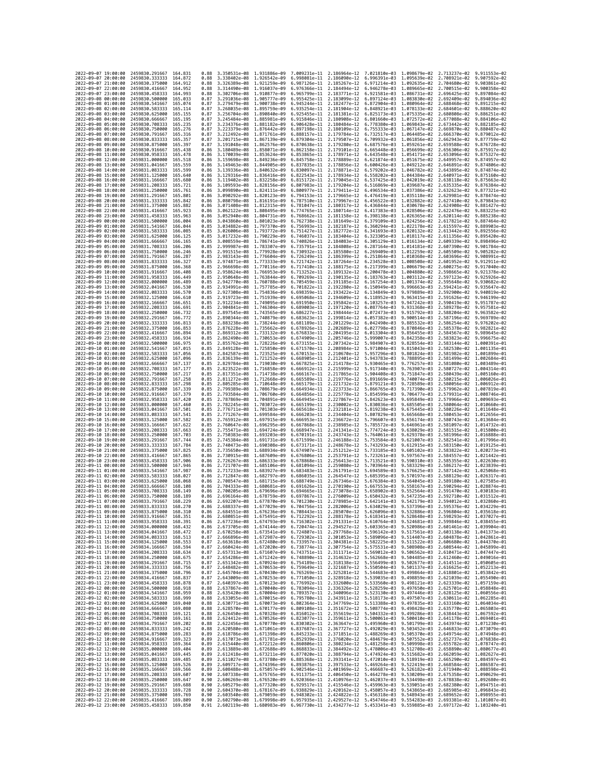| 2022-09-07 19:00:00                        |                     | 2459830.291667                                   | 164.831              | 0.88         | 3.350531e-08 1.931886e-09                                                                                                                                                                                                                                                                                                                    |                                           | 7.009231e-11                              | 2.186964e-12 7.021810e-03                 |                              | 1.098679e-02 2.713237e-02                                                                                                                                                                                                    |                                           | 9.911553e-02                 |
|--------------------------------------------|---------------------|--------------------------------------------------|----------------------|--------------|----------------------------------------------------------------------------------------------------------------------------------------------------------------------------------------------------------------------------------------------------------------------------------------------------------------------------------------------|-------------------------------------------|-------------------------------------------|-------------------------------------------|------------------------------|------------------------------------------------------------------------------------------------------------------------------------------------------------------------------------------------------------------------------|-------------------------------------------|------------------------------|
| 2022-09-07 20:00:00                        |                     | 2459830.333333                                   | 164.872              | 0.88         | 3.338402e-08 1.926542e-09                                                                                                                                                                                                                                                                                                                    |                                           | 6.998081e-11                              | 2.186090e-12                              | 6.996391e-03                 | 1,095639e-02                                                                                                                                                                                                                 | 2.708921e-02                              | 9.907592e-02                 |
| 2022-09-07 21:00:00                        |                     | 2459830.375000                                   | 164,912              | 0.88         | 3.326389e-08                                                                                                                                                                                                                                                                                                                                 | 1.921259e-09                              | 6.987126e-11                              | 2.185267e-12                              | 6.971214e-03                 | 1.092635e-02                                                                                                                                                                                                                 | 2.704680e-02                              | 9.903861e-02                 |
| 2022-09-07 22:00:00<br>2022-09-07 23:00:00 |                     | 2459830.416667<br>2459830.458333                 | 164.952<br>164.993   | 0.88<br>0.88 | 3.314490e-08 1.916037e-09<br>3.302706e-08 1.910877e-09                                                                                                                                                                                                                                                                                       |                                           | 6.976366e-11 2.184494e-12<br>6.965799e-11 | 2.183771e-12                              | 6.946278e-03<br>6.921581e-03 | 1.089665e-02<br>1.086731e-02                                                                                                                                                                                                 | 2.700515e-02<br>2.696425e-02              | 9.900358e-02<br>9.897084e-02 |
| 2022-09-08 00:00:00                        |                     | 2459830.500000                                   | 165,033              | 0.87         | 3.291036e-08 1.905777e-09                                                                                                                                                                                                                                                                                                                    |                                           | 6.955425e-11                              | 2.183099e-12                              | 6.897124e-03                 | 1.083830e-02                                                                                                                                                                                                                 | 2.692409e-02                              | 9.894036e-02                 |
| 2022-09-08 01:00:00                        |                     | 2459830.541667                                   | 165.074              | 0.87         | 3.279479e-08                                                                                                                                                                                                                                                                                                                                 | 1.900738e-09                              | 6.945244e-11                              | 2.182477e-12                              | 6.872904e-03                 | 1.080964e-02                                                                                                                                                                                                                 | 2.688468e-02                              | 9.891215e-02                 |
| 2022-09-08 02:00:00                        |                     | 2459830.583333                                   | 165, 114             | 0.87<br>0.87 | 3.268035e-08                                                                                                                                                                                                                                                                                                                                 | 1.895759e-09                              | 6.935254e-11                              | 2.181904e-12                              | 6.848921e-03                 | 1.078133e-02                                                                                                                                                                                                                 | 2.684601e-02                              | 9.888620e-02                 |
| 2022-09-08 03:00:00<br>2022-09-08 04:00:00 |                     | 2459830.625000<br>2459830.666667                 | 165.155<br>165.195   | 0.87         | 3.256704e-08 1.890840e-09<br>3.245484e-08 1.885981e-09                                                                                                                                                                                                                                                                                       |                                           | 6.925455e-11<br>6.915846e-11              | 2.181381e-12<br>2.180908e-12              | 6.825173e-03<br>6.801660e-03 | 1.075335e-02<br>1.072572e-02                                                                                                                                                                                                 | 2.680808e-02<br>2.677088e-02              | 9.886251e-02<br>9.884106e-02 |
| 2022-09-08 05:00:00                        |                     | 2459830.708333                                   | 165,235              | 0.87         | 3.234376e-08 1.881182e-09                                                                                                                                                                                                                                                                                                                    |                                           | 6.906428e-11                              | 2.180484e-12                              | 6.778380e-03                 | 1.069843e-02                                                                                                                                                                                                                 | 2.673442e-02                              | 9.882185e-02                 |
| 2022-09-08 06:00:00                        |                     | 2459830.750000                                   | 165.276              | 0.87         | 3.223379e-08 1.876442e-09                                                                                                                                                                                                                                                                                                                    |                                           | 6.897198e-11                              | 2.180109e-12                              | 6.755333e-03                 | 1.067147e-02                                                                                                                                                                                                                 | 2.669870e-02                              | 9.880487e-02                 |
| 2022-09-08 07:00:00<br>2022-09-08 08:00:00 |                     | 2459830.791667<br>2459830.833333                 | 165, 316<br>165, 357 | 0.87<br>0.87 | 3.212492e-08 1.871761e-09<br>3.201715e-08                                                                                                                                                                                                                                                                                                    | 1.867139e-09                              | 6.888157e-11<br>6.879304e-11              | 2.179784e-12<br>2.179507e-12              | 6.732517e-03                 | 1.064485e-02<br>1.061856e-02                                                                                                                                                                                                 | 2.666370e-02                              | 9.879012e-02<br>9.877759e-02 |
| 2022-09-08 09:00:00                        |                     | 2459830.875000                                   | 165,397              | 0.87         | 3.191048e-08                                                                                                                                                                                                                                                                                                                                 | 1.862576e-09                              | 6.870638e-11                              | 2.179280e-12                              | 6.709932e-03<br>6.687576e-03 | 1.059261e-02                                                                                                                                                                                                                 | 2.662943e-02<br>2.659588e-02              | 9.876728e-02                 |
| 2022-09-08 10:00:00                        |                     | 2459830.916667                                   | 165,438              | 0.86         | 3.180489e-08 1.858071e-09                                                                                                                                                                                                                                                                                                                    |                                           | 6.862158e-11                              | 2.179101e-12                              | 6.665448e-03                 | 1,056699e-02                                                                                                                                                                                                                 | 2.656306e-02                              | 9.875917e-02                 |
| 2022-09-08 11:00:00                        |                     | 2459830.958333                                   | 165,478              | 0.86         | 3.170039e-08 1.853624e-09                                                                                                                                                                                                                                                                                                                    |                                           | 6.853865e-11                              | 2.178971e-12                              | 6.643548e-03                 | 1.054171e-02                                                                                                                                                                                                                 | 2.653096e-02                              | 9.875327e-02                 |
| 2022-09-08 12:00:00<br>2022-09-08 13:00:00 |                     | 2459831.000000<br>2459831.041667                 | 165.518<br>165.559   | 0.86<br>0.86 | 3.159698e-08                                                                                                                                                                                                                                                                                                                                 | 1.849236e-09<br>3.149463e-08 1.844905e-09 | 6.845758e-11                              | 2.178889e-12<br>6.837835e-11 2.178856e-12 | 6.621874e-03<br>6.600426e-03 | 1.051675e-02<br>1.049212e-02                                                                                                                                                                                                 | 2.649957e-02<br>2.646891e-02              | 9.874957e-02<br>9.874806e-02 |
| 2022-09-08 14:00:00                        |                     | 2459831.083333                                   | 165.599              | 0.86         | 3.139336e-08 1.840632e-09                                                                                                                                                                                                                                                                                                                    |                                           | 6.830097e-11                              | 2.178871e-12                              |                              | 6.579202e-03 1.046782e-02                                                                                                                                                                                                    | 2.643895e-02                              | 9.874874e-02                 |
| 2022-09-08 15:00:00                        |                     | 2459831.125000                                   | 165.640              | 0.86         | 3.129316e-08 1.836416e-09                                                                                                                                                                                                                                                                                                                    |                                           | 6.822543e-11                              | 2.178934e-12                              | 6.558202e-03                 | 1.044384e-02                                                                                                                                                                                                                 | 2.640971e-02                              | 9.875160e-02                 |
| 2022-09-08 16:00:00                        |                     | 2459831.166667                                   | 165.680              | 0.86         | 3.119402e-08                                                                                                                                                                                                                                                                                                                                 | 1.832258e-09                              | 6.815172e-11                              | 2.179045e-12                              | 6.537425e-03                 | 1.042019e-02                                                                                                                                                                                                                 | 2.638118e-02                              | 9.875663e-02                 |
| 2022-09-08 17:00:00<br>2022-09-08 18:00:00 |                     | 2459831.208333<br>2459831.250000                 | 165.721<br>165,761   | 0.86<br>0.86 | 3.109593e-08<br>3.099890e-08 1.824111e-09                                                                                                                                                                                                                                                                                                    | 1.828156e-09                              | 6.807983e-11<br>6.800977e-11              | 2.179204e-12<br>2.179411e-12              | 6.516869e-03                 | 1.039687e-02<br>1,037386e-02                                                                                                                                                                                                 | 2.635335e-02                              | 9.876384e-02<br>9.877321e-02 |
| 2022-09-08 19:00:00                        |                     | 2459831.291667                                   | 165,801              | 0.86         | 3.090292e-08                                                                                                                                                                                                                                                                                                                                 | 1.820123e-09                              | 6.794153e-11                              | 2.179665e-12                              | 6.496534e-03<br>6.476419e-03 | 1.035118e-02                                                                                                                                                                                                                 | 2.632623e-02<br>2.629981e-02              | 9.878474e-02                 |
| 2022-09-08 20:00:00                        |                     | 2459831.333333                                   | 165,842              | 0.86         | 3.080798e-08 1.816191e-09                                                                                                                                                                                                                                                                                                                    |                                           | 6.787510e-11 2.179967e-12                 |                                           | 6.456522e-03                 | 1.032882e-02                                                                                                                                                                                                                 | 2.627410e-02                              | 9.879843e-02                 |
| 2022-09-08 21:00:00                        |                     | 2459831.375000                                   | 165,882              | 0.86         | 3.071408e-08 1.812315e-09                                                                                                                                                                                                                                                                                                                    |                                           | 6.781047e-11                              | 2.180317e-12                              | 6.436844e-03                 | 1.030678e-02                                                                                                                                                                                                                 | 2.624908e-02                              | 9.881427e-02                 |
| 2022-09-08 22:00:00<br>2022-09-08 23:00:00 |                     | 2459831.416667<br>2459831.458333                 | 165,923<br>165.963   | 0.86<br>0.86 | 3.062122e-08 1.808495e-09<br>3.052940e-08                                                                                                                                                                                                                                                                                                    | 1.804731e-09                              | 6.774765e-11<br>6.768662e-11              | 2.180714e-12<br>2.181158e-12              | 6.417383e-03<br>6.398138e-03 | 1.028506e-02<br>1.026365e-02                                                                                                                                                                                                 | 2.622476e-02<br>2.620114e-02              | 9.883225e-02<br>9.885238e-02 |
| 2022-09-09 00:00:00                        |                     | 2459831.500000                                   | 166.004              | 0.86         | 3.043860e-08 1.801023e-09                                                                                                                                                                                                                                                                                                                    |                                           | 6.762738e-11                              | 2.181649e-12                              | 6.379109e-03                 | 1.024256e-02                                                                                                                                                                                                                 | 2.617821e-02                              | 9.887464e-02                 |
| 2022-09-09 01:00:00                        |                     | 2459831.541667                                   | 166.044              | 0.85         | 3.034882e-08 1.797370e-09                                                                                                                                                                                                                                                                                                                    |                                           | 6.756993e-11                              | 2.182187e-12                              |                              | 6.360294e-03 1.022178e-02                                                                                                                                                                                                    | 2.615597e-02                              | 9.889903e-02                 |
| 2022-09-09 02:00:00                        |                     | 2459831.583333                                   | 166.085              | 0.85         | 3.026006e-08                                                                                                                                                                                                                                                                                                                                 | 1.793772e-09                              | 6.751427e-11                              | 2.182772e-12                              | 6.341693e-03                 | 1.020132e-02                                                                                                                                                                                                                 | 2.613442e-02                              | 9.892556e-02                 |
| 2022-09-09 03:00:00<br>2022-09-09 04:00:00 |                     | 2459831.625000<br>2459831.666667                 | 166, 125<br>166, 165 | 0.85<br>0.85 | 3.017232e-08 1.790229e-09<br>3.008559e-08 1.786741e-09                                                                                                                                                                                                                                                                                       |                                           | 6.746037e-11<br>6.740826e-11              | 2.183404e-12<br>2.184083e-12              | 6.323305e-03<br>6.305129e-03 | 1.018117e-02<br>1.016134e-02                                                                                                                                                                                                 | 2.611356e-02<br>2.609339e-02              | 9.895420e-02<br>9.898496e-02 |
| 2022-09-09 05:00:00                        |                     | 2459831.708333                                   | 166,206              | 0.85         | 2.999987e-08 1.783307e-09                                                                                                                                                                                                                                                                                                                    |                                           | 6.735791e-11                              | 2.184808e-12                              | 6.287164e-03                 | 1.014181e-02                                                                                                                                                                                                                 | 2.607390e-02                              | 9.901784e-02                 |
| 2022-09-09 06:00:00                        |                     | 2459831.750000                                   | 166,246              | 0.85         | 2.991515e-08                                                                                                                                                                                                                                                                                                                                 | 1.779928e-09                              | 6.730932e-11                              | 2.185580e-12                              | 6.269409e-03                 | 1.012259e-02                                                                                                                                                                                                                 | 2.605509e-02                              | 9.905282e-02                 |
| 2022-09-09 07:00:00                        |                     | 2459831.791667                                   | 166,287              | 0.85         | 2.983143e-08                                                                                                                                                                                                                                                                                                                                 | 1.776604e-09                              | 6.726249e-11                              | 2.186399e-12                              | 6.251864e-03                 | 1.010368e-02                                                                                                                                                                                                                 | 2.603696e-02                              | 9.908991e-02                 |
| 2022-09-09 08:00:00<br>2022-09-09 09:00:00 |                     | 2459831.833333<br>2459831.875000                 | 166.327<br>166.368   | 0.85<br>0.85 | 2.974871e-08 1.773333e-09<br>2.966698e-08 1.770116e-09                                                                                                                                                                                                                                                                                       |                                           | 6.721742e-11<br>6.717410e-11              | 2.187264e-12<br>2.188175e-12              | 6.217399e-03                 | 6.234528e-03 1.008508e-02<br>1.006679e-02                                                                                                                                                                                    | 2.601952e-02<br>2.600275e-02              | 9.912911e-02<br>9.917040e-02 |
| 2022-09-09 10:00:00                        |                     | 2459831.916667                                   | 166,408              | 0.85         | 2.958624e-08 1.766953e-09                                                                                                                                                                                                                                                                                                                    |                                           | 6.713252e-11                              | 2.189132e-12                              | 6.200478e-03                 | 1.004880e-02                                                                                                                                                                                                                 | 2.598665e-02                              | 9.921378e-02                 |
| 2022-09-09 11:00:00                        |                     | 2459831.958333                                   | 166.449              | 0.85         | 2.950648e-08 1.763844e-09                                                                                                                                                                                                                                                                                                                    |                                           | 6.709269e-11                              | 2.190135e-12                              | 6.183763e-03                 | 1.003112e-02                                                                                                                                                                                                                 | 2.597123e-02                              | 9.925926e-02                 |
| 2022-09-09 12:00:00                        |                     | 2459832.000000<br>2459832.041667                 | 166.489<br>166,530   | 0.85         | 2.942770e-08 1.760788e-09                                                                                                                                                                                                                                                                                                                    | 1.757785e-09                              | 6.705459e-11                              | 2.191185e-12                              | 6.167254e-03                 | 1.001374e-02                                                                                                                                                                                                                 | 2.595648e-02                              | 9.930682e-02<br>9.935647e-02 |
| 2022-09-09 13:00:00<br>2022-09-09 14:00:00 |                     | 2459832.083333                                   | 166.570              | 0.85<br>0.85 | 2.934991e-08<br>2.927308e-08                                                                                                                                                                                                                                                                                                                 | 1.754836e-09                              | 6.701822e-11<br>6.698359e-11 2.193422e-12 | 2.192280e-12                              | 6.150949e-03<br>6.134849e-03 | 9.996663e-03<br>9.979889e-03                                                                                                                                                                                                 | 2.594241e-02<br>2.592900e-02              | 9.940819e-02                 |
| 2022-09-09 15:00:00                        |                     | 2459832.125000                                   | 166,610              | 0.85         | 2.919723e-08 1.751939e-09                                                                                                                                                                                                                                                                                                                    |                                           | 6.695068e-11                              | 2.194609e-12                              | 6.118952e-03                 | 9.963415e-03                                                                                                                                                                                                                 | 2.591626e-02                              | 9.946199e-02                 |
| 2022-09-09 16:00:00                        |                     | 2459832.166667                                   | 166,651              | 0.85         | 2.912234e-08 1.749095e-09                                                                                                                                                                                                                                                                                                                    |                                           | 6.691950e-11                              | 2.195842e-12                              | 6.103257e-03                 | 9.947242e-03                                                                                                                                                                                                                 | 2.590419e-02                              | 9.951787e-02                 |
| 2022-09-09 17:00:00                        |                     | 2459832,208333                                   | 166.691              | 0.85         | 2.904841e-08                                                                                                                                                                                                                                                                                                                                 | 1.746304e-09                              | 6.689003e-11                              | 2.197120e-12                              | 6.087764e-03                 | 9.931368e-03                                                                                                                                                                                                                 | 2.589278e-02                              | 9.957581e-02                 |
| 2022-09-09 18:00:00<br>2022-09-09 19:00:00 |                     | 2459832.250000<br>2459832.291667                 | 166.732<br>166.772   | 0.85<br>0.85 | 2.897545e-08 1.743565e-09<br>2.890344e-08 1.740879e-09                                                                                                                                                                                                                                                                                       |                                           | 6.686227e-11<br>6.683623e-11              | 2.198444e-12<br>2.199814e-12              | 6.072473e-03<br>6.057382e-03 | 9.915792e-03<br>9.900514e-03                                                                                                                                                                                                 | 2.588204e-02<br>2.587196e-02              | 9.963582e-02<br>9.969789e-02 |
| 2022-09-09 20:00:00                        |                     | 2459832.333333                                   | 166,813              | 0.85         | 2.883238e-08 1.738244e-09                                                                                                                                                                                                                                                                                                                    |                                           | 6.681189e-11                              | 2.201229e-12                              | 6.042490e-03                 | 9.885532e-03                                                                                                                                                                                                                 | 2.586254e-02                              | 9.976202e-02                 |
| 2022-09-09 21:00:00                        |                     | 2459832.375000                                   | 166.853              | 0.85         | 2.876228e-08                                                                                                                                                                                                                                                                                                                                 | 1.735662e-09                              | 6.678926e-11                              | 2.202689e-12                              | 6.027798e-03                 | 9.870846e-03                                                                                                                                                                                                                 | 2.585378e-02                              | 9.982821e-02                 |
| 2022-09-09 22:00:00                        |                     | 2459832.416667                                   | 166.894              | 0.85         | 2.869312e-08 1.733132e-09                                                                                                                                                                                                                                                                                                                    |                                           | 6.676833e-11 2.204195e-12                 |                                           | 6.013304e-03                 | 9.856455e-03                                                                                                                                                                                                                 | 2.584567e-02                              | 9.989645e-02                 |
| 2022-09-09 23:00:00<br>2022-09-10 00:00:00 |                     | 2459832.458333<br>2459832.500000                 | 166.934<br>166.975   | 0.85<br>0.85 | 2.862490e-08 1.730653e-09<br>2.855762e-08                                                                                                                                                                                                                                                                                                    | 1.728226e-09                              | 6.674909e-11<br>6.673155e-11              | 2.205746e-12<br>2.207342e-12              | 5.999007e-03<br>5.984907e-03 | 9.842358e-03<br>9.828554e-03                                                                                                                                                                                                 | 2.583823e-02<br>2.583144e-02              | 9.996675e-02<br>1.000391e-01 |
| 2022-09-10 01:00:00                        |                     | 2459832.541667                                   | 167.015              | 0.85         | 2.849128e-08 1.725850e-09                                                                                                                                                                                                                                                                                                                    |                                           | 6.671570e-11 2.208984e-12                 |                                           | 5.971004e-03                 | 9.815043e-03                                                                                                                                                                                                                 | 2.582530e-02                              | 1.001135e-01                 |
| 2022-09-10 02:00:00                        |                     | 2459832.583333                                   | 167.056              | 0.85         | 2.842587e-08                                                                                                                                                                                                                                                                                                                                 | 1.723525e-09                              | 6.670153e-11                              | 2.210670e-12                              | 5.957296e-03                 | 9.801824e-03                                                                                                                                                                                                                 | 2.581982e-02                              | 1.001899e-01                 |
| 2022-09-10 03:00:00                        |                     | 2459832.625000                                   | 167,096              | 0.85         | 2.836139e-08 1.721252e-09                                                                                                                                                                                                                                                                                                                    |                                           | 6.668905e-11                              | 2.212401e-12                              | 5.943783e-03                 | 9.788895e-03                                                                                                                                                                                                                 | 2.581499e-02 1.002684e-01                 |                              |
| 2022-09-10 04:00:00<br>2022-09-10 05:00:00 |                     | 2459832.666667<br>2459832.708333                 | 167, 137<br>167.177  | 0.85<br>0.85 | 2.829784e-08<br>2.823522e-08                                                                                                                                                                                                                                                                                                                 | 1.719030e-09<br>1.716858e-09              | 6.667825e-11<br>6.666912e-11              | 2.214178e-12<br>2.215999e-12              | 5.930465e-03<br>5.917340e-03 | 9.776257e-03<br>9.763907e-03                                                                                                                                                                                                 | 2.581080e-02<br>2.580727e-02              | 1.003489e-01<br>1.004314e-01 |
| 2022-09-10 06:00:00                        |                     | 2459832.750000                                   | 167.217              | 0.85         | 2.817351e-08 1.714738e-09                                                                                                                                                                                                                                                                                                                    |                                           | 6.666167e-11                              | 2.217865e-12 5.904408e-03                 |                              | 9.751847e-03                                                                                                                                                                                                                 | 2.580439e-02 1.005160e-01                 |                              |
| 2022-09-10 07:00:00                        |                     | 2459832.791667                                   | 167.258              | 0.85         | 2.811272e-08 1.712668e-09                                                                                                                                                                                                                                                                                                                    |                                           | 6.665589e-11                              | 2.219776e-12                              | 5.891669e-03                 | 9.740074e-03                                                                                                                                                                                                                 | 2.580215e-02                              | 1.006026e-01                 |
| 2022-09-10 08:00:00<br>2022-09-10 09:00:00 |                     | 2459832.833333<br>2459832.875000                 | 167,298<br>167.339   | 0.85<br>0.85 | 2.805285e-08 1.710648e-09<br>2.799389e-08 1.708679e-09                                                                                                                                                                                                                                                                                       |                                           | 6.665179e-11<br>6.664934e-11              | 2.221732e-12<br>2.223733e-12              | 5.879121e-03<br>5.866765e-03 | 9.728589e-03<br>9.717390e-03                                                                                                                                                                                                 | 2.580056e-02<br>2.579962e-02              | 1.006912e-01<br>1.007819e-01 |
| 2022-09-10 10:00:00                        |                     | 2459832.916667                                   | 167.379              | 0.85         | 2.793584e-08 1.706760e-09                                                                                                                                                                                                                                                                                                                    |                                           | 6.664856e-11                              | 2.225778e-12                              | 5.854599e-03                 | 9.706477e-03                                                                                                                                                                                                                 | 2.579931e-02 1.008746e-01                 |                              |
| 2022-09-10 11:00:00                        |                     | 2459832.958333                                   | 167,420              | 0.85         | 2.787869e-08                                                                                                                                                                                                                                                                                                                                 | 1,704891e-09                              | 6.664945e-11                              | 2.227867e-12                              | 5.842623e-03                 | 9.695849e-03                                                                                                                                                                                                                 | 2.579966e-02                              | 1.009693e-01                 |
| 2022-09-10 12:00:00                        |                     | 2459833.000000                                   | 167,460              | 0.85         | 2.782245e-08                                                                                                                                                                                                                                                                                                                                 | 1.703072e-09                              | 6.665199e-11                              | 2.230002e-12                              | 5.830836e-03                 | 9.685505e-03                                                                                                                                                                                                                 | 2.580064e-02                              | 1.010660e-01                 |
| 2022-09-10 13:00:00                        |                     | 2459833.041667                                   | 167.501              | 0.85         | 2.776711e-08                                                                                                                                                                                                                                                                                                                                 | 1.701303e-09<br>1.699584e-09              | 6.665618e-11                              | 2.232181e-12                              | 5.819238e-03                 | 9.675445e-03                                                                                                                                                                                                                 | 2.580226e-02 1.011648e-01                 |                              |
| 2022-09-10 14:00:00<br>2022-09-10 15:00:00 |                     | 2459833.083333<br>2459833.125000                 | 167.541<br>167.582   | 0.85<br>0.85 | 2.771267e-08<br>2.765912e-08                                                                                                                                                                                                                                                                                                                 | 1.697915e-09                              | 6.666203e-11<br>6.666953e-11              | 2.234404e-12<br>2.236672e-12              | 5.807829e-03<br>5.796607e-03 | 9.665668e-03<br>9.656174e-03                                                                                                                                                                                                 | 2.580453e-02 1.012656e-01<br>2.580743e-02 | 1.013684e-01                 |
| 2022-09-10 16:00:00                        |                     | 2459833.166667                                   | 167.622              | 0.85         | 2.760647e-08 1.696295e-09                                                                                                                                                                                                                                                                                                                    |                                           | 6.667868e-11 2.238985e-12                 |                                           | 5.785572e-03                 | 9.646961e-03                                                                                                                                                                                                                 | 2.581097e-02 1.014732e-01                 |                              |
| 2022-09-10 17:00:00                        |                     | 2459833.208333                                   | 167.663              | 0.85         | 2.755471e-08 1.694724e-09                                                                                                                                                                                                                                                                                                                    |                                           | 6.668947e-11                              | 2.241341e-12                              | 5.774724e-03                 | 9.638029e-03                                                                                                                                                                                                                 | 2.581515e-02 1.015800e-01                 |                              |
| 2022-09-10 18:00:00                        |                     | 2459833.250000                                   | 167.703              | 0.85         | 2.750383e-08                                                                                                                                                                                                                                                                                                                                 | 1.693203e-09                              | 6.670191e-11                              | 2.243743e-12                              | 5.764061e-03                 | 9.629378e-03                                                                                                                                                                                                                 | 2.581996e-02                              | 1.016888e-01                 |
| 2022-09-10 19:00:00<br>2022-09-10 20:00:00 |                     | 2459833.291667<br>2459833.333333                 | 167,744<br>167,784   | 0.85<br>0.85 | 2.745384e-08<br>2.740473e-08                                                                                                                                                                                                                                                                                                                 | 1.691731e-09<br>1.690308e-09              | 6.671599e-11<br>6.673171e-11              | 2.246188e-12<br>2.248678e-12              | 5.753584e-03<br>5.743293e-03 | 9.621007e-03<br>9.612915e-03                                                                                                                                                                                                 | 2.582541e-02<br>2.583150e-02              | 1.017996e-01<br>1.019125e-01 |
| 2022-09-10 21:00:00                        |                     | 2459833.375000                                   | 167,825              | 0.85         | 2.735650e-08 1.688934e-09                                                                                                                                                                                                                                                                                                                    |                                           | 6.674907e-11                              | 2.251212e-12                              | 5.733185e-03                 | 9.605102e-03                                                                                                                                                                                                                 | 2.583822e-02 1.020273e-01                 |                              |
| 2022-09-10 22:00:00                        |                     | 2459833.416667                                   | 167,865              | 0.86         | 2.730915e-08                                                                                                                                                                                                                                                                                                                                 | 1.687609e-09                              | 6.676806e-11                              | 2.253791e-12                              | 5.723261e-03                 | 9.597567e-03                                                                                                                                                                                                                 | 2.584557e-02                              | 1.021442e-01                 |
| 2022-09-10 23:00:00<br>2022-09-11 00:00:00 |                     | 2459833.458333<br>2459833.500000                 | 167.906<br>167.946   | 0.86<br>0.86 | 2.726267e-08 1.686333e-09<br>2.721707e-08                                                                                                                                                                                                                                                                                                    | 1.685106e-09                              | 6.678868e-11 2.256413e-12<br>6.681094e-11 | 2.259080e-12                              | 5.713521e-03                 | 9.590310e-03<br>9.583329e-03                                                                                                                                                                                                 | 2.585355e-02<br>2.586217e-02              | 1.022630e-01<br>1.023839e-01 |
| 2022-09-11 01:00:00                        |                     | 2459833.541667                                   | 167.987              | 0.86         | 2.717233e-08                                                                                                                                                                                                                                                                                                                                 | 1.683927e-09                              | 6.683483e-11                              | 2.261791e-12                              | 5.703964e-03<br>5.694589e-03 | 9.576625e-03                                                                                                                                                                                                                 | 2.587142e-02                              | 1.025068e-01                 |
| 2022-09-11 02:00:00                        |                     | 2459833.583333                                   | 168.027              | 0.86         | 2.712847e-08                                                                                                                                                                                                                                                                                                                                 | 1.682797e-09                              | 6.686035e-11                              | 2.264547e-12                              | 5.685395e-03                 | 9.570197e-03                                                                                                                                                                                                                 | 2.588129e-02                              | 1.026317e-01                 |
| 2022-09-11 03:00:00                        |                     | 2459833.625000                                   | 168.068              | 0.86         | 2.708547e-08                                                                                                                                                                                                                                                                                                                                 | 1,681715e-09                              | 6.688749e-11                              | 2.267346e-12                              | 5.676384e-03                 | 9.564045e-03                                                                                                                                                                                                                 | 2.589180e-02 1.027585e-01                 |                              |
| 2022-09-11 04:00:00<br>2022-09-11 05:00:00 |                     | 2459833.666667<br>2459833.708333                 | 168.108<br>168.149   | 0.86<br>0.86 | 2.704333e-08 1.680681e-09<br>2.700205e-08                                                                                                                                                                                                                                                                                                    | 1,679696e-09                              | 6.691626e-11<br>6.694665e-11              | 2.270190e-12<br>2.273078e-12              | 5.667553e-03<br>5.658902e-03 | 9.558167e-03<br>9.552564e-03                                                                                                                                                                                                 | 2.590294e-02 1.028874e-01<br>2.591470e-02 | 1.030183e-01                 |
| 2022-09-11 06:00:00                        |                     | 2459833.750000                                   | 168,189              | 0.86         | 2.696164e-08                                                                                                                                                                                                                                                                                                                                 | 1.678759e-09                              | 6.697867e-11                              | 2.276009e-12                              | 5.650432e-03                 | 9.547235e-03                                                                                                                                                                                                                 | 2.592710e-02                              | 1.031512e-01                 |
| 2022-09-11 07:00:00                        |                     | 2459833.791667                                   | 168,229              | 0.86         |                                                                                                                                                                                                                                                                                                                                              | 2.692207e-08 1.677870e-09 6.701230e-11    |                                           |                                           |                              | 2.278985e-12 5.642141e-03 9.542179e-03 2.594012e-02 1.032860e-01                                                                                                                                                             |                                           |                              |
| 2022-09-11 08:00:00<br>2022-09-11 09:00:00 |                     | 2459833.833333 168.270<br>2459833.875000         |                      | 0.86         | 2.684551e-08                                                                                                                                                                                                                                                                                                                                 | 1.676236e-09 6.708443e-11                 |                                           | 2.285070e-12                              | 5.626096e-03                 | 2.688337e-08 1.677029e-09 6.704756e-11 2.282006e-12 5.634029e-03 9.537396e-03 2.595376e-02 1.034229e-01<br>9.532886e-03                                                                                                      | 2.596804e-02                              | 1.035618e-01                 |
| 2022-09-11 10:00:00                        |                     | 2459833.916667 168.351                           | 108.310              | 0.80<br>0.86 | 2.680851e-08 1.675491e-09 6.712292e-11 2.288178e-12 5.618341e-03 9.528648e-03 2.598293e-02 1.037027e-01                                                                                                                                                                                                                                      |                                           |                                           |                                           |                              |                                                                                                                                                                                                                              |                                           |                              |
| 2022-09-11 11:00:00                        |                     | 2459833.958333 168.391                           |                      | 0.86         | 2.677236e-08 1.674793e-09 6.716302e-11 2.291331e-12 5.610764e-03 9.524681e-03 2.599846e-02 1.038455e-01                                                                                                                                                                                                                                      |                                           |                                           |                                           |                              |                                                                                                                                                                                                                              |                                           |                              |
| 2022-09-11 12:00:00                        |                     | 2459834.000000 168.432                           |                      |              | 0.86 2.673705e-08 1.674144e-09 6.720474e-11 2.294527e-12 5.603365e-03 9.520986e-03 2.601461e-02 1.039904e-01<br>0.87 2.670258e-08 1.673541e-09 6.724807e-11 2.297768e-12 5.596142e-03 9.517561e-03 2.603138e-02 1.041373e-01                                                                                                                 |                                           |                                           |                                           |                              |                                                                                                                                                                                                                              |                                           |                              |
| 2022-09-11 13:00:00<br>2022-09-11 14:00:00 |                     | 2459834.041667<br>2459834.083333 168.513         | 168.472              |              | 0.87 2.666896e-08 1.672987e-09 6.729302e-11 2.301053e-12 5.589096e-03 9.514407e-03 2.604878e-02 1.042861e-01                                                                                                                                                                                                                                 |                                           |                                           |                                           |                              |                                                                                                                                                                                                                              |                                           |                              |
| 2022-09-11 15:00:00                        |                     | 2459834.125000                                   | 168.553              |              | 0.87 2.663618e-08 1.672480e-09 6.733957e-11 2.304381e-12 5.582225e-03 9.511522e-03 2.606680e-02 1.044370e-01                                                                                                                                                                                                                                 |                                           |                                           |                                           |                              |                                                                                                                                                                                                                              |                                           |                              |
| 2022-09-11 16:00:00                        |                     | 2459834.166667                                   | 168.594              | 0.87         |                                                                                                                                                                                                                                                                                                                                              |                                           |                                           |                                           |                              | 2.660424e-08 1.672020e-09 6.738774e-11 2.307754e-12 5.575531e-03 9.508908e-03 2.608544e-02 1.045899e-01                                                                                                                      |                                           |                              |
| 2022-09-11 17:00:00<br>2022-09-11 18:00:00 |                     | 2459834.208333<br>2459834.250000 168.675         | 168.634              | 0.87         | 2.657313e-08 1.671607e-09 6.743751e-11 2.311171e-12 5.569012e-03 9.506562e-03 2.610471e-02 1.047447e-01<br>0.87 2.654286e-08 1.671242e-09 6.748890e-11 2.314632e-12 5.562668e-03 9.504485e-03 2.612460e-02 1.049016e-01                                                                                                                      |                                           |                                           |                                           |                              |                                                                                                                                                                                                                              |                                           |                              |
| 2022-09-11 19:00:00                        |                     | 2459834.291667                                   | 168.715              |              | 0.87 2.651342e-08 1.670924e-09 6.754189e-11 2.318138e-12 5.556499e-03 9.502677e-03 2.614511e-02 1.050605e-01                                                                                                                                                                                                                                 |                                           |                                           |                                           |                              |                                                                                                                                                                                                                              |                                           |                              |
| 2022-09-11 20:00:00                        |                     | 2459834.333333                                   | 168.756              |              | 0.87 2.648482e-08 1.670653e-09 6.759649e-11 2.321687e-12 5.550504e-03 9.501137e-03 2.616625e-02 1.052213e-01<br>0.87 2.645704e-08 1.670430e-09 6.765269e-11 2.325281e-12 5.544683e-03 9.499864e-03 2.618801e-02 1.053842e-01                                                                                                                 |                                           |                                           |                                           |                              |                                                                                                                                                                                                                              |                                           |                              |
| 2022-09-11 21:00:00                        |                     | 2459834.375000 168.796                           |                      |              |                                                                                                                                                                                                                                                                                                                                              |                                           |                                           |                                           |                              |                                                                                                                                                                                                                              |                                           |                              |
| 2022-09-11 22:00:00<br>2022-09-11 23:00:00 |                     | 2459834.416667 168.837<br>2459834.458333         | 168,878              |              | 0.87 2.643009e-08 1.670253e-09 6.771050e-11 2.328918e-12 5.539035e-03 9.498859e-03 2.621039e-02 1.055490e-01                                                                                                                                                                                                                                 |                                           |                                           |                                           |                              |                                                                                                                                                                                                                              |                                           |                              |
| 2022-09-12 00:00:00                        |                     | 2459834.500000                                   | 168,918              |              | 0.87 2.640397e-08 1.670123e-09 6.776992e-11 2.332600e-12 5.533560e-03 9.498121e-03 2.623339e-02 1.057159e-01<br>0.88 2.637867e-08 1.670040e-09 6.783094e-11 2.336326e-12 5.528259e-03 9.497650e-03 2.625701e-02 1.058848e-01                                                                                                                 |                                           |                                           |                                           |                              |                                                                                                                                                                                                                              |                                           |                              |
| 2022-09-12 01:00:00                        |                     | 2459834.541667 168.959                           |                      |              | 0.88 2.635420e-08 1.670004e-09 6.789357e-11 2.340096e-12 5.523130e-03 9.497446e-03 2.628125e-02 1.060556e-01                                                                                                                                                                                                                                 |                                           |                                           |                                           |                              |                                                                                                                                                                                                                              |                                           |                              |
| 2022-09-12 02:00:00                        |                     | 2459834.583333 168.999<br>2459834.625000         | 169.040              |              | 0.88 2.633055e-08 1.670015e-09 6.795780e-11 2.343911e-12 5.518173e-03 9.497507e-03 2.630611e-02 1.062285e-01                                                                                                                                                                                                                                 |                                           |                                           |                                           |                              |                                                                                                                                                                                                                              |                                           |                              |
| 2022-09-12 03:00:00                        |                     |                                                  |                      |              |                                                                                                                                                                                                                                                                                                                                              |                                           |                                           |                                           |                              | 0.88 2.630771e-08 1.670073e-09 6.802364e-11 2.347769e-12 5.513388e-03 9.497835e-03 2.633160e-02 1.064034e-01<br>0.88 2.628570e-08 1.670177e-09 6.809108e-11 2.351672e-12 5.508774e-03 9.498428e-03 2.635770e-02 1.065803e-01 |                                           |                              |
| 2022-09-12 05:00:00                        |                     |                                                  |                      |              |                                                                                                                                                                                                                                                                                                                                              |                                           |                                           |                                           |                              |                                                                                                                                                                                                                              |                                           |                              |
|                                            | 2022-09-12 04:00:00 | 2459834.666667 169.080<br>2459834.708333 169.121 |                      |              | 0.88 2.626450e-08 1.670328e-09 6.816012e-11 2.355619e-12 5.504332e-03 9.499286e-03 2.638443e-02 1.067592e-01                                                                                                                                                                                                                                 |                                           |                                           |                                           |                              |                                                                                                                                                                                                                              |                                           |                              |
|                                            | 2022-09-12 06:00:00 | 2459834.750000 169.161                           |                      |              |                                                                                                                                                                                                                                                                                                                                              |                                           |                                           |                                           |                              |                                                                                                                                                                                                                              |                                           |                              |
| 2022-09-12 07:00:00                        |                     | 2459834.791667                                   | 169.202              |              | $\begin{array}{cccccccc} 0.88 & 2.624412e-08 & 1.670526e-09 & 6.823077e-11 & 2.359611e-12 & 5.500061e-03 & 9.500410e-03 & 2.641178e-02 & 1.069401e-01 \\ 0.88 & 2.622456e-08 & 1.670770e-09 & 6.830302e-11 & 2.363647e-12 & 5.495960e-03 & 9.501799e-03 & 2.6$                                                                               |                                           |                                           |                                           |                              |                                                                                                                                                                                                                              |                                           |                              |
| 2022-09-12 08:00:00<br>2022-09-12 09:00:00 |                     | 2459834.833333 169.242                           |                      |              | 0.88 2.620580e-08 1.671061e-09 6.837687e-11 2.367727e-12 5.492029e-03 9.503452e-03 2.646833e-02 1.073079e-01                                                                                                                                                                                                                                 |                                           |                                           |                                           |                              |                                                                                                                                                                                                                              |                                           |                              |
| 2022-09-12 10:00:00                        |                     | 2459834.875000 169.283<br>2459834.916667         | 169.323              |              | 0.89 2.618786e-08 1.671398e-09 6.845233e-11 2.371851e-12 5.488269e-03 9.505370e-03 2.649754e-02 1.074948e-01                                                                                                                                                                                                                                 |                                           |                                           |                                           |                              |                                                                                                                                                                                                                              |                                           |                              |
| 2022-09-12 11:00:00                        |                     | 2459834.958333                                   | 169.364              |              | $\begin{array}{cccccccc} 0.89 & 2.617073e-08 & 1.671781e-09 & 6.852939e-11 & 2.376020e-12 & 5.484679e-03 & 9.507552e-03 & 2.652737e-02 & 1.076838e-01 \\ 0.89 & 2.615440e-08 & 1.672212e-09 & 6.860806e-11 & 2.380234e-12 & 5.481258e-03 & 9.509998e-03 & 2.6$                                                                               |                                           |                                           |                                           |                              |                                                                                                                                                                                                                              |                                           |                              |
| 2022-09-12 12:00:00                        |                     | 2459835.000000 169.404                           |                      |              | 0.89 2.613889e-08 1.672688e-09 6.868833e-11 2.384492e-12 5.478006e-03 9.512708e-03 2.658890e-02 1.080677e-01                                                                                                                                                                                                                                 |                                           |                                           |                                           |                              |                                                                                                                                                                                                                              |                                           |                              |
| 2022-09-12 13:00:00<br>2022-09-12 14:00:00 |                     | 2459835.041667 169.445<br>2459835.083333         | 169.485              | 0.89         | 0.89 2.612418e-08 1.673211e-09 6.877020e-11 2.388794e-12 5.474924e-03 9.515682e-03 2.662059e-02 1.082627e-01<br>2.611027e-08 1.673780e-09 6.885368e-11 2.393141e-12 5.472010e-03 9.518919e-03 2.665290e-02 1.084597e-01                                                                                                                      |                                           |                                           |                                           |                              |                                                                                                                                                                                                                              |                                           |                              |
| 2022-09-12 15:00:00                        |                     | 2459835.125000                                   | 169.526              |              | 0.89 2.609717e-08 1.674396e-09 6.893876e-11 2.397533e-12 5.469264e-03 9.522419e-03 2.668584e-02 1.086587e-01                                                                                                                                                                                                                                 |                                           |                                           |                                           |                              |                                                                                                                                                                                                                              |                                           |                              |
| 2022-09-12 16:00:00                        |                     | 2459835.166667                                   | 169.566              |              | 0.89 2.608488e-08 1.675057e-09 6.902546e-11 2.401969e-12 5.466687e-03 9.526182e-03 2.671940e-02 1.088598e-01                                                                                                                                                                                                                                 |                                           |                                           |                                           |                              |                                                                                                                                                                                                                              |                                           |                              |
| 2022-09-12 17:00:00                        |                     | 2459835.208333                                   | 169.607              |              |                                                                                                                                                                                                                                                                                                                                              |                                           |                                           |                                           |                              |                                                                                                                                                                                                                              |                                           |                              |
| 2022-09-12 18:00:00<br>2022-09-12 19:00:00 |                     | 2459835.250000<br>2459835.291667                 | 169.647<br>169.688   |              | 0.90 2.607338e-08 1.675765e-09 6.911375e-11 2.406450e-12 5.464278e-03 9.530209e-03 2.675358e-02 1.090629e-01<br>0.90 2.606269e-08 1.676520e-09 6.920366e-11 2.410976e-12 5.462037e-03 9.534498e-03 2.678838e-02 1.092680e-01<br>0.90 2.605279e-08 1.677320e-09 6.929517e-11 2.415546e-12 5.459963e-03 9.539051e-03 2.682380e-02 1.094751e-01 |                                           |                                           |                                           |                              |                                                                                                                                                                                                                              |                                           |                              |
| 2022-09-12 20:00:00                        |                     | 2459835.333333 169.728                           |                      |              | 0.90 2.604370e-08 1.678167e-09 6.938829e-11 2.420162e-12 5.458057e-03 9.543865e-03 2.685985e-02 1.096843e-01                                                                                                                                                                                                                                 |                                           |                                           |                                           |                              |                                                                                                                                                                                                                              |                                           |                              |
| 2022-09-12 21:00:00<br>2022-09-12 22:00:00 |                     | 2459835.375000<br>2459835.416667                 | 169.769<br>169,809   |              | 0.90 2.603540e-08 1.679059e-09 6.948302e-11 2.424822e-12 5.456318e-03 9.548943e-03 2.689652e-02 1.098955e-01<br>0.90 2.602790e-08 1.679998e-09 6.957935e-11 2.429527e-12 5.454746e-03 9.554283e-03 2.693381e-02 1.101087e-01                                                                                                                 |                                           |                                           |                                           |                              |                                                                                                                                                                                                                              |                                           |                              |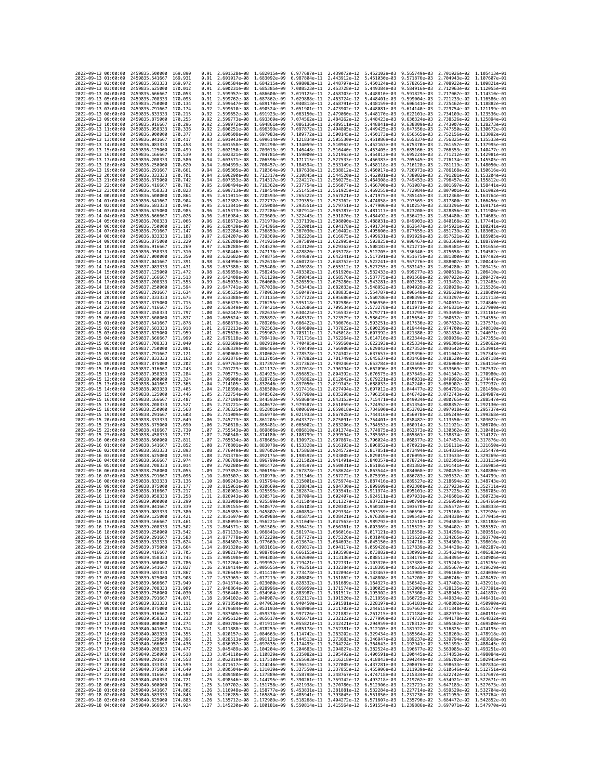| 2022-09-13 00:00:00                        |                     | 2459835,500000                                   | 169.890            | 0.91         | 2.601528e-08 1.682015e-09                              |                              |                                                     | 6.977687e-11 2.439072e-12 5.452102e-03 |                              | 9.565749e-03                                                                                                                                                                                                                                                   | 2.701026e-02 1.105413e-01                              |                                                                                                                                                                                                                                                                |
|--------------------------------------------|---------------------|--------------------------------------------------|--------------------|--------------|--------------------------------------------------------|------------------------------|-----------------------------------------------------|----------------------------------------|------------------------------|----------------------------------------------------------------------------------------------------------------------------------------------------------------------------------------------------------------------------------------------------------------|--------------------------------------------------------|----------------------------------------------------------------------------------------------------------------------------------------------------------------------------------------------------------------------------------------------------------------|
| 2022-09-13 01:00:00                        |                     | 2459835.541667                                   | 169.931            | 0.91         | 2.601017e-08 1.683092e-09                              |                              | 6.987804e-11                                        | 2.443912e-12                           | 5.451030e-03                 | 9.571876e-03                                                                                                                                                                                                                                                   | 2.704943e-02 1.107607e-01                              |                                                                                                                                                                                                                                                                |
| 2022-09-13 02:00:00                        |                     | 2459835.583333                                   | 169.972            | 0.91         | 2.600584e-08                                           | 1.684215e-09                 | 6.998083e-11                                        | 2.448797e-12                           | 5.450124e-03                 | 9.578265e-03                                                                                                                                                                                                                                                   | 2.708922e-02                                           | 1.109821e-01                                                                                                                                                                                                                                                   |
| 2022-09-13 03:00:00<br>2022-09-13 04:00:00 |                     | 2459835.625000<br>2459835.666667                 | 170.012<br>170.053 | 0.91<br>0.91 | 2.600231e-08 1.685385e-09<br>2.599957e-08 1.686600e-09 |                              | 7.008523e-11 2.453728e-12<br>7.019125e-11           | 2.458703e-12                           | 5.449384e-03<br>5.448810e-03 | 9.584916e-03<br>9.591829e-03                                                                                                                                                                                                                                   | 2.712963e-02 1.112055e-01<br>2.717067e-02 1.114310e-01 |                                                                                                                                                                                                                                                                |
| 2022-09-13 05:00:00                        |                     | 2459835.708333                                   | 170.093            | 0.91         | 2.599762e-08 1.687862e-09                              |                              | 7.029888e-11                                        | 2.463724e-12                           | 5.448401e-03                 | 9.599004e-03                                                                                                                                                                                                                                                   | 2.721233e-02 1.116586e-01                              |                                                                                                                                                                                                                                                                |
| 2022-09-13 06:00:00                        |                     | 2459835.750000                                   | 170.134            | 0.92         | 2.599647e-08                                           | 1.689170e-09                 | 7.040813e-11                                        | 2.468791e-12                           | 5.448159e-03                 | 9.606441e-03                                                                                                                                                                                                                                                   | 2.725462e-02                                           | 1.118882e-01                                                                                                                                                                                                                                                   |
| 2022-09-13 07:00:00                        |                     | 2459835.791667                                   | 170.174            | 0.92         | 2.599610e-08                                           | 1.690524e-09                 | 7.051901e-11                                        | 2.473902e-12                           | 5.448081e-03                 | 9.614140e-03                                                                                                                                                                                                                                                   | 2.729754e-02                                           | 1.121199e-01                                                                                                                                                                                                                                                   |
| 2022-09-13 08:00:00<br>2022-09-13 09:00:00 |                     | 2459835.833333<br>2459835.875000                 | 170.215<br>170,255 | 0.92<br>0.92 | 2.599652e-08 1.691923e-09<br>2.599773e-08 1.693369e-09 |                              | 7.063150e-11<br>7.074562e-11                        | 2.479060e-12<br>2.484262e-12           | 5.448170e-03<br>5.448423e-03 | 9.622101e-03<br>9.630324e-03                                                                                                                                                                                                                                   | 2.734109e-02 1.123536e-01<br>2.738526e-02 1.125894e-01 |                                                                                                                                                                                                                                                                |
| 2022-09-13 10:00:00                        |                     | 2459835.916667                                   | 170.296            | 0.92         | 2.599972e-08                                           | 1.694861e-09                 | 7.086136e-11                                        | 2.489511e-12                           | 5.448841e-03                 | 9.638809e-03                                                                                                                                                                                                                                                   | 2.743007e-02                                           | 1.128273e-01                                                                                                                                                                                                                                                   |
| 2022-09-13 11:00:00                        |                     | 2459835.958333                                   | 170.336            | 0.92         | 2.600251e-08 1.696399e-09                              |                              | 7.097872e-11                                        | 2.494805e-12                           | 5.449425e-03                 | 9.647556e-03                                                                                                                                                                                                                                                   | 2.747550e-02 1.130672e-01                              |                                                                                                                                                                                                                                                                |
| 2022-09-13 12:00:00                        |                     | 2459836.000000                                   | 170.377            | 0.93         | 2.600608e-08 1.697983e-09                              |                              | 7.109772e-11                                        | 2.500145e-12                           | 5.450173e-03                 | 9.656565e-03                                                                                                                                                                                                                                                   | 2.752156e-02                                           | 1.133092e-01                                                                                                                                                                                                                                                   |
| 2022-09-13 13:00:00<br>2022-09-13 14:00:00 |                     | 2459836.041667<br>2459836.083333                 | 170.417<br>170.458 | 0.93<br>0.93 | 2.601043e-08<br>2.601558e-08                           | 1.699614e-09<br>1.701290e-09 | 7.121834e-11<br>7.134059e-11                        | 2.505530e-12<br>2.510962e-12           | 5.451086e-03                 | 9.665837e-03<br>9.675370e-03                                                                                                                                                                                                                                   | 2.756825e-02                                           | 1.135533e-01<br>1.137995e-01                                                                                                                                                                                                                                   |
| 2022-09-13 15:00:00                        |                     | 2459836.125000                                   | 170.499            | 0.93         | 2.602150e-08                                           | 1.703013e-09                 | 7.146448e-11                                        | 2.516440e-12                           | 5.452163e-03<br>5.453405e-03 | 9.685166e-03                                                                                                                                                                                                                                                   | 2.761557e-02<br>2.766353e-02                           | 1.140477e-01                                                                                                                                                                                                                                                   |
| 2022-09-13 16:00:00                        |                     | 2459836.166667                                   | 170.539            | 0.93         | 2.602821e-08                                           | 1.704781e-09                 | 7.159000e-11                                        | 2.521963e-12                           | 5.454812e-03                 | 9.695224e-03                                                                                                                                                                                                                                                   | 2.771212e-02                                           | 1.142981e-01                                                                                                                                                                                                                                                   |
| 2022-09-13 17:00:00                        |                     | 2459836.208333                                   | 170.580            | 0.94         | 2.603571e-08                                           | 1.706596e-09                 | 7.171715e-11                                        | 2.527533e-12                           | 5.456383e-03                 | 9.705545e-03                                                                                                                                                                                                                                                   | 2.776134e-02                                           | 1.145505e-01                                                                                                                                                                                                                                                   |
| 2022-09-13 18:00:00                        |                     | 2459836.250000                                   | 170.620            | 0.94         | 2.604399e-08 1.708457e-09                              |                              | 7.184594e-11                                        | 2.533149e-12                           | 5.458118e-03                 | 9.716128e-03                                                                                                                                                                                                                                                   | 2.781119e-02 1.148050e-01                              |                                                                                                                                                                                                                                                                |
| 2022-09-13 19:00:00<br>2022-09-13 20:00:00 |                     | 2459836.291667<br>2459836.333333                 | 170.661<br>170.701 | 0.94<br>0.94 | 2.605305e-08 1.710364e-09<br>2.606290e-08 1.712317e-09 |                              | 7.197638e-11<br>7.210845e-11                        | 2.538812e-12<br>2.544520e-12           | 5.460017e-03<br>5.462081e-03 | 9.726973e-03<br>9.738082e-03                                                                                                                                                                                                                                   | 2.786168e-02 1.150616e-01<br>2.791281e-02 1.153204e-01 |                                                                                                                                                                                                                                                                |
| 2022-09-13 21:00:00                        |                     | 2459836.375000                                   | 170.742            | 0.94         | 2.607353e-08                                           | 1.714317e-09                 | 7.224217e-11                                        | 2.550275e-12                           | 5.464308e-03                 | 9.749453e-03                                                                                                                                                                                                                                                   | 2.796457e-02                                           | 1.155812e-01                                                                                                                                                                                                                                                   |
| 2022-09-13 22:00:00                        |                     | 2459836.416667                                   | 170.782            | 0.95         | 2.608494e-08                                           | 1.716362e-09                 | 7.237754e-11                                        | 2.556077e-12                           | 5.466700e-03                 | 9.761087e-03                                                                                                                                                                                                                                                   | 2.801697e-02                                           | 1.158441e-01                                                                                                                                                                                                                                                   |
| 2022-09-13 23:00:00                        |                     | 2459836.458333                                   | 170.823<br>170.864 | 0.95         | 2.609713e-08 1.718454e-09                              |                              | 7.251455e-11                                        | 2.561925e-12                           | 5.469255e-03                 | 9.772984e-03                                                                                                                                                                                                                                                   | 2.807001e-02 1.161092e-01                              | 1.163764e-01                                                                                                                                                                                                                                                   |
| 2022-09-14 00:00:00<br>2022-09-14 01:00:00 |                     | 2459836.500000<br>2459836.541667                 | 170.904            | 0.95<br>0.95 | 2.611011e-08<br>2.612387e-08 1.722777e-09              | 1.720593e-09                 | 7.265322e-11<br>7.279353e-11                        | 2.567821e-12<br>2.573762e-12           | 5.471975e-03<br>5.474858e-03 | 9.785145e-03<br>9.797569e-03                                                                                                                                                                                                                                   | 2.812368e-02<br>2.817800e-02 1.166456e-01              |                                                                                                                                                                                                                                                                |
| 2022-09-14 02:00:00                        |                     | 2459836.583333                                   | 170.945            | 0.95         | 2.613841e-08                                           | 1.725008e-09                 | 7.293551e-11                                        | 2.579751e-12                           | 5.477906e-03                 | 9.810257e-03                                                                                                                                                                                                                                                   | 2.823296e-02                                           | 1.169171e-01                                                                                                                                                                                                                                                   |
| 2022-09-14 03:00:00                        |                     | 2459836.625000                                   | 170.985            | 0.96         | 2.615373e-08                                           | 1.727286e-09                 | 7.307914e-11                                        | 2.585787e-12                           | 5.481117e-03                 | 9.823208e-03                                                                                                                                                                                                                                                   | 2.828856e-02                                           | 1.171906e-01                                                                                                                                                                                                                                                   |
| 2022-09-14 04:00:00                        |                     | 2459836.666667                                   | 171.026            | 0.96         | 2.616984e-08                                           | 1.729609e-09                 | 7.322443e-11                                        | 2.591870e-12                           | 5.484492e-03                 | 9.836423e-03                                                                                                                                                                                                                                                   | 2.834480e-02                                           | 1.174663e-01                                                                                                                                                                                                                                                   |
| 2022-09-14 05:00:00<br>2022-09-14 06:00:00 |                     | 2459836.708333<br>2459836.750000                 | 171.066<br>171,107 | 0.96<br>0.96 | 2.618672e-08 1.731979e-09<br>2.620439e-08 1.734396e-09 |                              | 7.337139e-11<br>7.352001e-11                        | 2.598000e-12<br>2.604178e-12           | 5.488031e-03<br>5.491734e-03 | 9.849903e-03<br>9.863647e-03                                                                                                                                                                                                                                   | 2.840168e-02 1.177441e-01<br>2.845921e-02 1.180241e-01 |                                                                                                                                                                                                                                                                |
| 2022-09-14 07:00:00                        |                     | 2459836.791667                                   | 171.147            | 0.96         | 2.622284e-08                                           | 1.736859e-09                 | 7.367030e-11                                        | 2.610402e-12                           | 5.495600e-03                 | 9.877655e-03                                                                                                                                                                                                                                                   | 2.851739e-02                                           | 1.183062e-01                                                                                                                                                                                                                                                   |
| 2022-09-14 08:00:00                        |                     | 2459836.833333                                   | 171,188            | 0.97         | 2.624207e-08                                           | 1.739369e-09                 | 7.382226e-11                                        | 2.616675e-12                           | 5.499631e-03                 | 9.891929e-03                                                                                                                                                                                                                                                   | 2.857621e-02                                           | 1.185905e-01                                                                                                                                                                                                                                                   |
| 2022-09-14 09:00:00                        |                     | 2459836.875000                                   | 171.229            | 0.97         | 2.626208e-08 1.741926e-09                              |                              | 7.397589e-11                                        | 2.622995e-12                           | 5.503825e-03                 | 9.906467e-03                                                                                                                                                                                                                                                   | 2.863569e-02                                           | 1.188769e-01                                                                                                                                                                                                                                                   |
| 2022-09-14 10:00:00<br>2022-09-14 11:00:00 |                     | 2459836.916667<br>2459836.958333                 | 171.269<br>171,310 | 0.97<br>0.97 | 2.628288e-08 1.744529e-09<br>2.630446e-08              | 1.747178e-09                 | 7.413120e-11 2.629362e-12<br>7.428820e-11           | 2.635778e-12                           | 5.508183e-03<br>5.512705e-03 | 9.921271e-03<br>9.936340e-03                                                                                                                                                                                                                                   | 2.869581e-02 1.191655e-01<br>2.875658e-02              | 1.194562e-01                                                                                                                                                                                                                                                   |
| 2022-09-14 12:00:00                        |                     | 2459837.000000                                   | 171,350            | 0.98         | 2.632682e-08                                           | 1.749875e-09                 | 7.444687e-11                                        | 2.642241e-12                           | 5.517391e-03                 | 9.951675e-03                                                                                                                                                                                                                                                   | 2.881800e-02                                           | 1.197492e-01                                                                                                                                                                                                                                                   |
| 2022-09-14 13:00:00                        |                     | 2459837.041667                                   | 171.391            | 0.98         | 2.634996e-08 1.752618e-09                              |                              | 7.460723e-11                                        | 2.648752e-12                           | 5.522241e-03                 | 9.967276e-03                                                                                                                                                                                                                                                   | 2.888007e-02 1.200443e-01                              |                                                                                                                                                                                                                                                                |
| 2022-09-14 14:00:00                        |                     | 2459837.083333                                   | 171.431            | 0.98         | 2.637388e-08 1.755408e-09                              |                              | 7.476928e-11                                        | 2.655312e-12                           | 5.527255e-03                 | 9.983143e-03                                                                                                                                                                                                                                                   | 2.894280e-02 1.203415e-01                              |                                                                                                                                                                                                                                                                |
| 2022-09-14 15:00:00<br>2022-09-14 16:00:00 |                     | 2459837.125000<br>2459837.166667                 | 171.472<br>171.513 | 0.98<br>0.99 | 2.639859e-08<br>2.642408e-08 1.761129e-09              | 1.758245e-09                 | 7.493302e-11<br>7.509845e-11                        | 2.661920e-12<br>2.668576e-12           | 5.532433e-03<br>5.537775e-03 | 9.999277e-03<br>1.001568e-02                                                                                                                                                                                                                                   | 2.900618e-02<br>2.907022e-02 1.209427e-01              | 1.206410e-01                                                                                                                                                                                                                                                   |
| 2022-09-14 17:00:00                        |                     | 2459837.208333                                   | 171.553            | 0.99         | 2.645035e-08 1.764060e-09                              |                              | 7.526559e-11                                        | 2.675280e-12                           | 5.543281e-03                 | 1.003235e-02                                                                                                                                                                                                                                                   | 2.913492e-02                                           | 1.212465e-01                                                                                                                                                                                                                                                   |
| 2022-09-14 18:00:00                        |                     | 2459837.250000                                   | 171.594            | 0.99         | 2.647741e-08                                           | 1.767038e-09                 | 7.543443e-11                                        | 2.682033e-12                           | 5.548952e-03                 | 1.004928e-02                                                                                                                                                                                                                                                   | 2.920028e-02                                           | 1.215526e-01                                                                                                                                                                                                                                                   |
| 2022-09-14 19:00:00                        |                     | 2459837.291667                                   | 171.634<br>171.675 | 0.99         | 2.650525e-08                                           | 1.770063e-09                 | 7.560497e-11                                        | 2.688835e-12                           | 5.554787e-03                 | 1.006649e-02                                                                                                                                                                                                                                                   | 2.926629e-02                                           | 1.218609e-01                                                                                                                                                                                                                                                   |
| 2022-09-14 20:00:00<br>2022-09-14 21:00:00 |                     | 2459837.333333<br>2459837.375000                 | 171.715            | 0.99<br>1.00 | 2.653388e-08<br>2.656329e-08 1.776255e-09              | 1.773135e-09                 | 7.577722e-11<br>7.595118e-11                        | 2.695686e-12<br>2.702586e-12           | 5.560786e-03<br>5.566950e-03 | 1.008396e-02<br>1.010170e-02                                                                                                                                                                                                                                   | 2.933297e-02 1.221713e-01<br>2.940031e-02 1.224840e-01 |                                                                                                                                                                                                                                                                |
| 2022-09-14 22:00:00                        |                     | 2459837.416667                                   | 171.756            | 1.00         | 2.659349e-08                                           | 1.779421e-09                 | 7.612686e-11                                        | 2.709534e-12                           | 5.573278e-03                 | 1,011971e-02                                                                                                                                                                                                                                                   | 2.946831e-02                                           | 1.227990e-01                                                                                                                                                                                                                                                   |
| 2022-09-14 23:00:00                        |                     | 2459837.458333                                   | 171.797            | 1.00         | 2.662447e-08 1.782635e-09                              |                              | 7.630425e-11                                        | 2.716532e-12                           | 5.579771e-03                 | 1.013799e-02                                                                                                                                                                                                                                                   | 2.953698e-02 1.231161e-01                              |                                                                                                                                                                                                                                                                |
| 2022-09-15 00:00:00                        |                     | 2459837.500000                                   | 171.837            | 1.00         | 2.665624e-08 1.785897e-09                              |                              | 7.648337e-11                                        | 2.723579e-12                           | 5.586429e-03                 | 1.015654e-02                                                                                                                                                                                                                                                   | 2.960632e-02 1.234355e-01                              |                                                                                                                                                                                                                                                                |
| 2022-09-15 01:00:00<br>2022-09-15 02:00:00 |                     | 2459837.541667<br>2459837.583333                 | 171.878<br>171.918 | 1.01<br>1.01 | 2.668879e-08 1.789206e-09<br>2.672213e-08              | 1.792563e-09                 | 7.666422e-11<br>7.684680e-11                        | 2.730676e-12<br>2.737822e-12           | 5.593251e-03<br>5.600239e-03 | 1.017536e-02<br>1.019444e-02                                                                                                                                                                                                                                   | 2.967632e-02 1.237571e-01<br>2.974700e-02              | 1.240810e-01                                                                                                                                                                                                                                                   |
| 2022-09-15 03:00:00                        |                     | 2459837.625000                                   | 171.959            | 1.01         | 2.675626e-08 1.795967e-09                              |                              | 7.703111e-11                                        | 2.745018e-12                           | 5.607392e-03                 | 1.021380e-02                                                                                                                                                                                                                                                   | 2.981834e-02 1.244071e-01                              |                                                                                                                                                                                                                                                                |
| 2022-09-15 04:00:00                        |                     | 2459837.666667                                   | 171.999            | 1.02         | 2.679118e-08 1.799419e-09                              |                              | 7.721716e-11                                        | 2.752264e-12                           | 5.614710e-03                 | 1.023344e-02                                                                                                                                                                                                                                                   | 2.989036e-02 1.247355e-01                              |                                                                                                                                                                                                                                                                |
| 2022-09-15 05:00:00                        |                     | 2459837.708333                                   | 172.040            | 1.02         | 2.682689e-08                                           | 1.802919e-09                 | 7.740495e-11                                        | 2.759560e-12                           | 5.622193e-03                 | 1.025334e-02                                                                                                                                                                                                                                                   | 2.996306e-02                                           | 1.250662e-01                                                                                                                                                                                                                                                   |
| 2022-09-15 06:00:00<br>2022-09-15 07:00:00 |                     | 2459837.750000<br>2459837.791667                 | 172.081<br>172.121 | 1.02<br>1.02 | 2.686339e-08 1.806466e-09<br>2.690068e-08              | 1.810062e-09                 | 7.759449e-11<br>7.778578e-11                        | 2.766906e-12<br>2.774302e-12           | 5.629842e-03<br>5.637657e-03 | 1.027352e-02<br>1.029396e-02                                                                                                                                                                                                                                   | 3.003642e-02 1.253991e-01<br>3.011047e-02 1.257343e-01 |                                                                                                                                                                                                                                                                |
| 2022-09-15 08:00:00                        |                     | 2459837.833333                                   | 172,162            | 1.03         | 2.693876e-08                                           | 1.813705e-09                 | 7.797882e-11                                        | 2.781749e-12                           | 5.645637e-03                 | 1.031468e-02                                                                                                                                                                                                                                                   | 3.018520e-02                                           | 1.260718e-01                                                                                                                                                                                                                                                   |
| 2022-09-15 09:00:00                        |                     | 2459837.875000                                   | 172.202            | 1.03         | 2.697763e-08                                           | 1.817397e-09                 | 7.817362e-11                                        | 2.789246e-12                           | 5.653784e-03                 | 1.033568e-02                                                                                                                                                                                                                                                   | 3.026060e-02                                           | 1.264116e-01                                                                                                                                                                                                                                                   |
| 2022-09-15 10:00:00                        |                     | 2459837.916667                                   | 172.243            | 1.03         | 2.701729e-08 1.821137e-09                              |                              | 7.837018e-11                                        | 2.796794e-12                           |                              | 5.662096e-03 1.035695e-02                                                                                                                                                                                                                                      | 3.033669e-02 1.267537e-01                              |                                                                                                                                                                                                                                                                |
| 2022-09-15 11:00:00<br>2022-09-15 12:00:00 |                     | 2459837.958333<br>2459838.000000                 | 172.284<br>172.324 | 1.03<br>1.04 | 2.705775e-08 1.824925e-09<br>2.709900e-08              | 1.828761e-09                 | 7.856852e-11<br>7.876862e-11                        | 2.804392e-12<br>2.812042e-12           | 5.679221e-03                 | 5.670575e-03 1.037849e-02<br>1.040031e-02                                                                                                                                                                                                                      | 3.041347e-02 1.270980e-01<br>3.049092e-02 1.274447e-01 |                                                                                                                                                                                                                                                                |
| 2022-09-15 13:00:00                        |                     | 2459838.041667                                   | 172,365            | 1.04         | 2.714105e-08                                           | 1.832646e-09                 | 7.897050e-11                                        | 2.819743e-12                           |                              | 5.688033e-03 1.042240e-02                                                                                                                                                                                                                                      | 3.056907e-02                                           | 1.277937e-01                                                                                                                                                                                                                                                   |
| 2022-09-15 14:00:00                        |                     | 2459838.083333                                   | 172.405            | 1.04         | 2.718390e-08 1.836580e-09                              |                              | 7.917416e-11                                        | 2.827494e-12                           |                              | 5.697012e-03 1.044477e-02                                                                                                                                                                                                                                      | 3.064791e-02 1.281450e-01                              |                                                                                                                                                                                                                                                                |
| 2022-09-15 15:00:00                        |                     | 2459838.125000                                   | 172.446            | 1.05         | 2.722754e-08                                           | 1.840562e-09                 | 7.937960e-11                                        | 2.835298e-12                           | 5.706158e-03                 | 1.046742e-02                                                                                                                                                                                                                                                   | 3.072743e-02 1.284987e-01                              |                                                                                                                                                                                                                                                                |
| 2022-09-15 16:00:00<br>2022-09-15 17:00:00 |                     | 2459838.166667<br>2459838.208333                 | 172,487<br>172.527 | 1.05<br>1.05 | 2.727198e-08<br>2.731721e-08                           | 1.844593e-09<br>1.848672e-09 | 7.958684e-11<br>7.979587e-11                        | 2.843153e-12<br>2.851059e-12           | 5.715471e-03<br>5.724952e-03 | 1.049034e-02<br>1.051354e-02                                                                                                                                                                                                                                   | 3.080765e-02<br>3.088857e-02                           | 1.288547e-01<br>1.292130e-01                                                                                                                                                                                                                                   |
| 2022-09-15 18:00:00                        |                     | 2459838.250000                                   | 172,568            | 1.05         | 2.736325e-08                                           | 1.852801e-09                 | 8.000669e-11                                        | 2.859018e-12                           | 5.734600e-03                 | 1.053702e-02                                                                                                                                                                                                                                                   | 3.097018e-02                                           | 1.295737e-01                                                                                                                                                                                                                                                   |
| 2022-09-15 19:00:00                        |                     | 2459838.291667                                   | 172.608            | 1.06         | 2.741009e-08                                           | 1.856978e-09                 | 8.021933e-11                                        | 2.867028e-12                           | 5.744416e-03                 | 1.056078e-02                                                                                                                                                                                                                                                   | 3.105249e-02 1.299368e-01                              |                                                                                                                                                                                                                                                                |
| 2022-09-15 20:00:00                        |                     | 2459838.333333                                   | 172.649            | 1.06         | 2.745773e-08                                           | 1.861205e-09                 | 8.043377e-11                                        | 2.875091e-12                           | 5.754401e-03                 | 1.058482e-02                                                                                                                                                                                                                                                   | 3.113550e-02                                           | 1.303022e-01                                                                                                                                                                                                                                                   |
| 2022-09-15 21:00:00                        |                     | 2459838.375000                                   | 172.690            | 1.06         | 2.750618e-08 1.865481e-09                              |                              | 8.065002e-11 2.883206e-12                           |                                        |                              | 5.764553e-03 1.060914e-02                                                                                                                                                                                                                                      | 3.121921e-02 1.306700e-01                              |                                                                                                                                                                                                                                                                |
| 2022-09-15 22:00:00<br>2022-09-15 23:00:00 |                     | 2459838.416667<br>2459838.458333                 | 172.730<br>172.771 | 1.07<br>1.07 | 2.755543e-08 1.869806e-09<br>2.760548e-08              | 1.874180e-09                 | 8.086810e-11<br>8.108799e-11                        | 2.891374e-12<br>2.899594e-12           | 5.785365e-03                 | 5.774875e-03 1.063373e-02<br>1.065861e-02                                                                                                                                                                                                                      | 3.130362e-02 1.310401e-01<br>3.138874e-02 1.314127e-01 |                                                                                                                                                                                                                                                                |
| 2022-09-16 00:00:00                        |                     | 2459838.500000                                   | 172,811            | 1.07         | 2.765634e-08                                           | 1.878605e-09                 | 8.130972e-11                                        | 2.907867e-12                           | 5.796024e-03                 | 1.068377e-02                                                                                                                                                                                                                                                   | 3.147457e-02                                           | 1.317876e-01                                                                                                                                                                                                                                                   |
| 2022-09-16 01:00:00                        |                     | 2459838.541667                                   | 172,852            | 1.08         | 2.770801e-08                                           | 1.883078e-09                 | 8.153328e-11                                        | 2.916193e-12                           | 5.806852e-03                 | 1,070921e-02                                                                                                                                                                                                                                                   | 3.156111e-02                                           | 1.321650e-01                                                                                                                                                                                                                                                   |
| 2022-09-16 02:00:00                        |                     | 2459838.583333                                   | 172,893<br>172.933 | 1.08<br>1.08 | 2.776049e-08 1.887602e-09<br>2.781378e-08              | 1.892175e-09                 | 8.175868e-11 2.924572e-12<br>8.198592e-11           | 2.933005e-12                           | 5.817851e-03<br>5.829019e-03 | 1.073494e-02                                                                                                                                                                                                                                                   | 3.164836e-02 1.325447e-01                              | 1.329269e-01                                                                                                                                                                                                                                                   |
| 2022-09-16 03:00:00<br>2022-09-16 04:00:00 |                     | 2459838.625000<br>2459838.666667                 | 172.974            | 1.09         | 2.786788e-08 1.896799e-09                              |                              | 8.221502e-11                                        | 2.941491e-12                           | 5.840357e-03                 | 1.076095e-02<br>1.078724e-02                                                                                                                                                                                                                                   | 3.173633e-02<br>3.182501e-02 1.333115e-01              |                                                                                                                                                                                                                                                                |
| 2022-09-16 05:00:00                        |                     | 2459838.708333                                   | 173.014            | 1.09         | 2.792280e-08                                           | 1.901472e-09                 | 8.244597e-11                                        | 2.950031e-12                           | 5.851865e-03                 | 1.081382e-02                                                                                                                                                                                                                                                   | 3.191441e-02                                           | 1.336985e-01                                                                                                                                                                                                                                                   |
| 2022-09-16 06:00:00                        |                     | 2459838,750000                                   | 173.055            | 1.09         | 2.797852e-08                                           | 1.906196e-09                 | 8.267878e-11                                        | 2.958624e-12                           | 5.863544e-03                 | 1.084068e-02                                                                                                                                                                                                                                                   | 3.200453e-02                                           | 1.340880e-01                                                                                                                                                                                                                                                   |
| 2022-09-16 07:00:00<br>2022-09-16 08:00:00 |                     | 2459838.791667<br>2459838,833333                 | 173.096<br>173.136 | 1.10<br>1.10 | 2.803507e-08<br>2.809243e-08 1.915794e-09              | 1.910970e-09                 | 8.291346e-11<br>8.315001e-11                        | 2.967272e-12<br>2.975974e-12           | 5.875395e-03<br>5.887416e-03 | 1.086783e-02<br>1.089527e-02                                                                                                                                                                                                                                   | 3.209537e-02<br>3.218694e-02                           | 1.344799e-01<br>1.348743e-01                                                                                                                                                                                                                                   |
| 2022-09-16 09:00:00                        |                     | 2459838.875000                                   | 173.177            | 1.10         | 2.815061e-08 1.920669e-09                              |                              | 8.338843e-11                                        | 2.984730e-12                           | 5.899609e-03                 | 1.092300e-02                                                                                                                                                                                                                                                   | 3.227923e-02 1.352711e-01                              |                                                                                                                                                                                                                                                                |
| 2022-09-16 10:00:00                        |                     | 2459838.916667                                   | 173.217            | 1.11         | 2.820961e-08                                           | 1,925595e-09                 | 8.362874e-11                                        | 2.993541e-12                           | 5.911974e-03                 | 1.095101e-02                                                                                                                                                                                                                                                   | 3.237225e-02                                           | 1.356705e-01                                                                                                                                                                                                                                                   |
| 2022-09-16 11:00:00                        |                     | 2459838.958333                                   | 173.258            | 1.11         | 2.826943e-08 1.930571e-09                              |                              | 8.387094e-11                                        | 3.002407e-12                           | 5.924511e-03                 | 1,097931e-02                                                                                                                                                                                                                                                   | 3.246601e-02                                           | 1.360723e-01                                                                                                                                                                                                                                                   |
| 2022-09-16 12:00:00<br>2022-09-16 13:00:00 |                     | 2459839.000000<br>2459839.041667 173.339         | 173.299            | 1.11         | 2.833008e-08 1.935599e-09                              |                              | 8.411504e-11 3.011327e-12 5.937221e-03 1.100790e-02 |                                        |                              | 1.12 2.839155e-08 1.940677e-09 8.436103e-11 3.020303e-12 5.950103e-03 1.103678e-02 3.265572e-02 1.368833e-01                                                                                                                                                   | 3.256050e-02 1.364766e-01                              |                                                                                                                                                                                                                                                                |
| 2022-09-16 14:00:00                        |                     | 2459839.083333                                   | 173.380            | 1.12         | 2.845385e-08 1.945807e-09                              |                              | 8.460894e-11                                        | 3.029334e-12                           | 5.963159e-03                 | 1.106596e-02                                                                                                                                                                                                                                                   | 3.275168e-02                                           | 1.372926e-01                                                                                                                                                                                                                                                   |
|                                            |                     | 2022-09-16 15:00:00 2459839.125000 173.421       |                    | 1.12         |                                                        |                              |                                                     |                                        |                              | 2.851697e-08 1.950988e-09 8.485875e-11 3.038421e-12 5.976388e-03 1.109542e-02 3.284838e-02 1.377045e-01                                                                                                                                                        |                                                        |                                                                                                                                                                                                                                                                |
| 2022-09-16 17:00:00                        | 2022-09-16 16:00:00 | 2459839.166667 173.461<br>2459839.208333 173.502 |                    |              |                                                        |                              |                                                     |                                        |                              | 1.13 2.858093e-08 1.956221e-09 8.511049e-11 3.047563e-12 5.989792e-03 1.112518e-02 3.294583e-02 1.381188e-01                                                                                                                                                   |                                                        |                                                                                                                                                                                                                                                                |
| 2022-09-16 18:00:00                        |                     | 2459839.250000 173.542                           |                    |              |                                                        |                              |                                                     |                                        |                              | $\begin{array}{cccccccc} 1.13 & 2.864571e-08 & 1.961505e-09 & 8.536415e-11 & 3.056761e-12 & 6.003369e-03 & 1.115523e-02 & 3.304402e-02 & 1.385357e-01 \\ 1.13 & 2.871133e-08 & 1.966841e-09 & 8.561974e-11 & 3.066016e-12 & 6.017121e-03 & 1.118558e-02 & 3.3$ |                                                        |                                                                                                                                                                                                                                                                |
| 2022-09-16 19:00:00                        |                     | 2459839.291667 173.583                           |                    |              |                                                        |                              |                                                     |                                        |                              | 1.14 2.877778e-08 1.972229e-09 8.587727e-11 3.075326e-12 6.031048e-03 1.121622e-02 3.324265e-02 1.393770e-01                                                                                                                                                   |                                                        |                                                                                                                                                                                                                                                                |
| 2022-09-16 20:00:00                        |                     | 2459839.333333 173.624                           |                    |              |                                                        |                              |                                                     |                                        |                              |                                                                                                                                                                                                                                                                |                                                        |                                                                                                                                                                                                                                                                |
| 2022-09-16 21:00:00<br>2022-09-16 22:00:00 |                     | 2459839.375000 173.664<br>2459839.416667 173.705 |                    |              |                                                        |                              |                                                     |                                        |                              | 1.14 2.884597e-08 1.971669e-09 8.613674e-11 3.084693e-12 6.043150e-03 1.124716e-02 3.334309e-02 1.398016e-01<br>1.14 2.884597e-08 1.983161e-09 8.613674e-11 3.094693e-12 6.043150e-03 1.124716e-02 3.334309e-02 1.398016e-01<br>1.15                           |                                                        |                                                                                                                                                                                                                                                                |
| 2022-09-16 23:00:00                        |                     | 2459839.458333 173.745                           |                    |              |                                                        |                              |                                                     |                                        |                              | 1.15 2.905198e-08 1.994303e-09 8.692690e-11 3.113136e-12 6.088513e-03 1.134176e-02 3.364895e-02 1.410906e-01                                                                                                                                                   |                                                        |                                                                                                                                                                                                                                                                |
| 2022-09-17 00:00:00                        |                     | 2459839.500000 173.786                           |                    |              |                                                        |                              |                                                     |                                        |                              |                                                                                                                                                                                                                                                                |                                                        |                                                                                                                                                                                                                                                                |
| 2022-09-17 01:00:00                        |                     | 2459839.541667                                   | 173.827            |              |                                                        |                              |                                                     |                                        |                              | 1.15 2.912264e-08 1.999952e-09 8.719421e-11 3.122731e-12 6.103320e-03 1.137389e-02 3.375243e-02 1.415255e-01<br>1.16 2.919414e-08 2.085555e-09 8.74635ie-11 3.122731e-12 6.103320e-03 1.137389e-02 3.375243e-02 1.415255e-01<br>1.16                           |                                                        |                                                                                                                                                                                                                                                                |
| 2022-09-17 02:00:00<br>2022-09-17 03:00:00 |                     | 2459839.583333 173.867<br>2459839.625000 173.908 |                    |              |                                                        |                              |                                                     |                                        |                              | 1.17 2.933969e-08 2.017219e-09 8.800805e-11 3.151862e-12 6.148808e-03 1.147208e-02 3.406746e-02 1.428457e-01                                                                                                                                                   |                                                        |                                                                                                                                                                                                                                                                |
| 2022-09-17 04:00:00                        |                     | 2459839.666667 173.949                           |                    |              |                                                        |                              |                                                     |                                        |                              |                                                                                                                                                                                                                                                                |                                                        |                                                                                                                                                                                                                                                                |
| 2022-09-17 05:00:00                        |                     | 2459839.708333 173.989                           |                    |              |                                                        |                              |                                                     |                                        |                              | $\begin{array}{cccccccc} 1.17 & 2.941374e-08 & 2.023080e-09 & 8.828332e-11 & 3.161689e-12 & 6.164327e-03 & 1.150542e-02 & 3.417402e-02 & 1.432911e-01 \\ 1.17 & 2.948864e-08 & 2.028996e-09 & 8.856059e-11 & 3.171574e-12 & 6.180025e-03 & 1.153906e-02 & 3.4$ |                                                        |                                                                                                                                                                                                                                                                |
| 2022-09-17 06:00:00                        |                     | 2459839.750000 174.030                           |                    |              |                                                        |                              |                                                     |                                        |                              | 1.18 2.956440e-08 2.034964e-09 8.883987e-11 3.181517e-12 6.195902e-03 1.157300e-02 3.438945e-02 1.441897e-01                                                                                                                                                   |                                                        |                                                                                                                                                                                                                                                                |
| 2022-09-17 07:00:00<br>2022-09-17 08:00:00 |                     | 2459839.791667 174.071<br>2459839.833333         | 174.111            |              |                                                        |                              |                                                     |                                        |                              |                                                                                                                                                                                                                                                                |                                                        |                                                                                                                                                                                                                                                                |
| 2022-09-17 09:00:00                        |                     | 2459839.875000 174.152                           |                    |              |                                                        |                              |                                                     |                                        |                              | 1.18 2.964102e-08 2.040937e-09 8.912117e-11 3.191520e-12 6.211955e-03 1.160725e-02 3.449834e-02 1.446431e-01<br>1.19 2.971850e-08 2.047085e-09 8.949456e-11 3.201581e-12 6.228197e-03 1.160725e-02 3.449834e-02 1.456431e-01<br>1.19                           |                                                        |                                                                                                                                                                                                                                                                |
| 2022-09-17 10:00:00                        |                     | 2459839.916667 174.192                           |                    |              |                                                        |                              |                                                     |                                        |                              | 1.19 2.987605e-08 2.059378e-09 8.997726e-11 3.221882e-12 6.261215e-03 1.171184e-02 3.482973e-02 1.460191e-01                                                                                                                                                   |                                                        |                                                                                                                                                                                                                                                                |
| 2022-09-17 11:00:00<br>2022-09-17 12:00:00 |                     | 2459839.958333 174.233                           |                    |              |                                                        |                              |                                                     |                                        |                              | 1.20 2.995612e-08 2.065617e-09 9.026671e-11 3.232122e-12 6.277996e-03 1.174733e-02 3.494178e-02 1.464832e-01 1.20 3.003706e-08 2.071911e-09 9.05521e-11 3.242421e-12 6.277996e-03 1.174733e-02 3.494178e-02 1.469500e-01                                       |                                                        |                                                                                                                                                                                                                                                                |
| 2022-09-17 13:00:00                        |                     | 2459840.000000 174.274<br>2459840.041667 174.314 |                    |              |                                                        |                              |                                                     |                                        |                              | 1.21 3.011888e-08 2.078259e-09 9.085178e-11 3.252781e-12 6.312105e-03 1.181922e-02 3.516825e-02 1.474195e-01                                                                                                                                                   |                                                        |                                                                                                                                                                                                                                                                |
| 2022-09-17 14:00:00                        |                     | 2459840.083333 174.355                           |                    |              |                                                        |                              |                                                     |                                        |                              | 1.21 3.020157e-08 2.084663e-09 9.114742e-11 3.263202e-12 6.329434e-03 1.185564e-02 3.528269e-02 1.478918e-01                                                                                                                                                   |                                                        |                                                                                                                                                                                                                                                                |
| 2022-09-17 15:00:00<br>2022-09-17 16:00:00 |                     | 2459840.125000                                   | 174.396            |              |                                                        |                              |                                                     |                                        |                              | 1.22 3.020513e-08 2.001121e-09 9.144513e-11 3.273683e-12 6.346947e-03 1.189237e-02 3.539794e-02 1.483668e-01<br>1.22 3.0396957e-08 2.097635e-09 9.1744913e-11 3.284224e-12 6.346947e-03 1.189241e-02 3.539794e-02 1.483668e-01<br>1.                           |                                                        |                                                                                                                                                                                                                                                                |
| 2022-09-17 17:00:00                        |                     | 2459840.166667 174.436<br>2459840.208333 174.477 |                    |              |                                                        |                              |                                                     |                                        |                              |                                                                                                                                                                                                                                                                |                                                        |                                                                                                                                                                                                                                                                |
| 2022-09-17 18:00:00                        |                     | 2459840.250000 174.518                           |                    |              |                                                        |                              |                                                     |                                        |                              |                                                                                                                                                                                                                                                                |                                                        |                                                                                                                                                                                                                                                                |
| 2022-09-17 19:00:00                        |                     | 2459840.291667                                   | 174.558            |              |                                                        |                              |                                                     |                                        |                              | 1.23 3.054110e-08 2.110829e-09 9.235082e-11 3.305492e-12 6.408591e-03 1.200445e-02 3.574853e-02 1.498084e-01<br>1.23 3.054110e-08 2.111510e-09 9.255092e-11 3.3163492e-12 6.408459e-03 1.200445e-02 3.586702e-02 1.587884e-01<br>1.2                           |                                                        |                                                                                                                                                                                                                                                                |
| 2022-09-17 20:00:00                        |                     | 2459840.333333 174.599                           |                    |              |                                                        |                              |                                                     |                                        |                              |                                                                                                                                                                                                                                                                |                                                        |                                                                                                                                                                                                                                                                |
| 2022-09-17 21:00:00                        |                     | 2459840.375000 174.640<br>2459840.416667 174.680 |                    |              |                                                        |                              |                                                     |                                        |                              |                                                                                                                                                                                                                                                                |                                                        |                                                                                                                                                                                                                                                                |
| 2022-09-17 22:00:00<br>2022-09-17 23:00:00 |                     | 2459840.458333 174.721                           |                    |              |                                                        |                              |                                                     |                                        |                              | $\frac{1.24}{1.25}\begin{smallmatrix} 3.080594e-08& 2.131039e-09& 9.327559e-11& 3.337855e-12& 6.455906e-03& 1.211039e-02& 3.610646e-02& 1.512751e-01\\ 1.24& 3.089486e-08& 2.137889e-09& 9.58798e-11& 3.348767e-12& 6.474718e-02& 1.215334e-02& $              |                                                        |                                                                                                                                                                                                                                                                |
| 2022-09-18 00:00:00                        |                     | 2459840.500000 174.762                           |                    |              |                                                        |                              |                                                     |                                        |                              | 1.25 3.107702e-08 2.151758e-09 9.421938e-11 3.370780e-12 6.512906e-03 1.223721e-02 3.647183e-02 1.527673e-01                                                                                                                                                   |                                                        |                                                                                                                                                                                                                                                                |
| 2022-09-18 01:00:00                        |                     | 2459840.541667 174.802                           |                    |              |                                                        |                              |                                                     |                                        |                              | 1.26 3.116948e-08 2.158777e-09 9.453831e-11 3.381881e-12 6.532284e-03 1.227714e-02 3.659529e-02 1.532704e-01                                                                                                                                                   |                                                        |                                                                                                                                                                                                                                                                |
|                                            |                     |                                                  |                    |              |                                                        |                              |                                                     |                                        |                              |                                                                                                                                                                                                                                                                |                                                        |                                                                                                                                                                                                                                                                |
| 2022-09-18 03:00:00                        | 2022-09-18 02:00:00 | 2459840.583333 174.843<br>2459840.625000         | 174.883            |              |                                                        |                              |                                                     |                                        |                              |                                                                                                                                                                                                                                                                |                                                        | $\begin{array}{cccccccc} 1.26 & 3.126285e-08 & 2.165854e-09 & 9.485941e-11 & 3.393045e-12 & 6.551850e-03 & 1.231738e-02 & 3.671959e-02 & 1.537764e-01 \\ 1.26 & 3.135712e-08 & 2.172989e-09 & 9.518268e-11 & 3.404272e-12 & 6.571607e-03 & 1.235796e-02 & 3.6$ |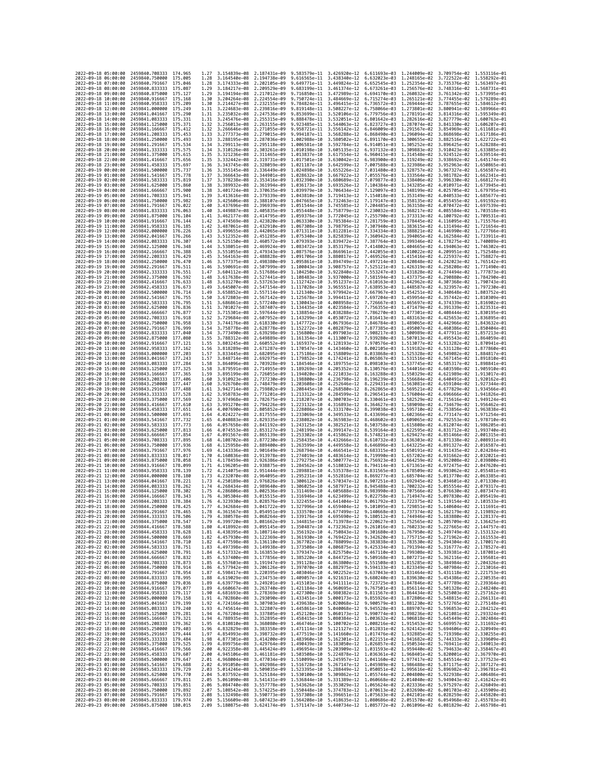|                                            | 2022-09-18 05:00:00 | 2459840.708333                                   | 174.965             | 1.27         | 3.154839e-08 2.187431e-09                                                                                                                                                                                                                                      |                                           | 9.583579e-11                 | 3.426920e-12                 |                                                        | 6.611693e-03 1.244009e-02                                                                               | 3.709754e-02 1.553116e-01                              |                              |
|--------------------------------------------|---------------------|--------------------------------------------------|---------------------|--------------|----------------------------------------------------------------------------------------------------------------------------------------------------------------------------------------------------------------------------------------------------------------|-------------------------------------------|------------------------------|------------------------------|--------------------------------------------------------|---------------------------------------------------------------------------------------------------------|--------------------------------------------------------|------------------------------|
| 2022-09-18 06:00:00                        |                     | 2459840.750000                                   | 175.005             | 1.28         | 3.164540e-08                                                                                                                                                                                                                                                   | 2.194738e-09                              | 9.616565e-11                 |                              | 3.438340e-12 6.632023e-03                              | 1.248165e-02                                                                                            | 3.722522e-02 1.558292e-01                              |                              |
| 2022-09-18 07:00:00                        |                     | 2459840.791667                                   | 175.046             | 1.28         | 3.174333e-08                                                                                                                                                                                                                                                   | 2.202105e-09                              | 9.649771e-11                 | 3.449824e-12                 | 6.652545e-03                                           | 1.252354e-02                                                                                            | 3.735376e-02                                           | 1.563497e-01                 |
| 2022-09-18 08:00:00                        |                     | 2459840.833333 175.087                           |                     | 1.29         | 3.184217e-08 2.209529e-09                                                                                                                                                                                                                                      |                                           | 9.683199e-11                 |                              | 3.461374e-12  6.673261e-03  1.256576e-02               |                                                                                                         | 3.748316e-02 1.568731e-01                              |                              |
| 2022-09-18 09:00:00                        |                     | 2459840.875000 175.127                           |                     | 1.29         | 3.194194e-08 2.217012e-09                                                                                                                                                                                                                                      |                                           | 9.716850e-11                 | 3.472989e-12                 |                                                        | 6.694170e-03 1.260832e-02                                                                               | 3.761342e-02 1.573995e-01                              |                              |
| 2022-09-18 10:00:00<br>2022-09-18 11:00:00 |                     | 2459840.916667                                   | 175.168<br>175.209  | 1.30         | 3.204264e-08                                                                                                                                                                                                                                                   | 2.224554e-09                              | 9.750724e-11                 | 3.484669e-12                 | 6.715274e-03<br>6.736572e-03                           | 1.265121e-02                                                                                            | 3.774455e-02                                           | 1.579289e-01<br>1.584612e-01 |
| 2022-09-18 12:00:00                        |                     | 2459840.958333<br>2459841.000000                 | 175.249             | 1.30<br>1.31 | 3.214427e-08<br>3.224683e-08                                                                                                                                                                                                                                   | 2.232155e-09<br>2.239816e-09              | 9.784824e-11<br>9.819148e-11 | 3.496415e-12<br>3.508227e-12 | 6.758066e-03                                           | 1.269444e-02<br>1.273801e-02                                                                            | 3.787655e-02<br>3.800941e-02                           | 1.589966e-01                 |
| 2022-09-18 13:00:00                        |                     | 2459841.041667                                   | 175,290             | 1.31         | 3.235032e-08 2.247536e-09                                                                                                                                                                                                                                      |                                           | 9.853699e-11                 | 3.520106e-12                 | 6.779756e-03                                           | 1.278191e-02                                                                                            | 3.814316e-02 1.595349e-01                              |                              |
| 2022-09-18 14:00:00                        |                     | 2459841.083333                                   | 175.331             | 1.31         | 3.245476e-08                                                                                                                                                                                                                                                   | 2.255315e-09                              | 9.888478e-11                 | 3.532051e-12                 | 6.801642e-03                                           | 1.282616e-02                                                                                            | 3.827779e-02                                           | 1.600763e-01                 |
| 2022-09-18 15:00:00                        |                     | 2459841.125000                                   | 175.371             | 1.32         | 3.256013e-08                                                                                                                                                                                                                                                   | 2.263155e-09                              | 9.923485e-11                 | 3.544063e-12                 | 6.823727e-03                                           | 1,287074e-02                                                                                            | 3.841330e-02                                           | 1.606207e-01                 |
| 2022-09-18 16:00:00                        |                     | 2459841,166667                                   | 175.412             | 1.32         | 3.266646e-08                                                                                                                                                                                                                                                   | 2.271055e-09                              | 9.958721e-11                 | 3.556142e-12                 | 6.846009e-03                                           | 1.291567e-02                                                                                            | 3.854969e-02                                           | 1.611681e-01                 |
| 2022-09-18 17:00:00                        |                     | 2459841,208333                                   | 175.453             | 1.33         | 3.277373e-08                                                                                                                                                                                                                                                   | 2.279015e-09                              | 9.994187e-11                 | 3.568288e-12                 | 6.868490e-03                                           | 1.296094e-02                                                                                            | 3.868698e-02                                           | 1.617186e-01                 |
| 2022-09-18 18:00:00<br>2022-09-18 19:00:00 |                     | 2459841.250000<br>2459841.291667                 | 175.493<br>175.534  | 1.33<br>1.34 | 3.288195e-08<br>3.299113e-08                                                                                                                                                                                                                                   | 2.287036e-09<br>2.295118e-09              | 1.002988e-10<br>1.006581e-10 | 3.580502e-12<br>3.592784e-12 | 6.891170e-03<br>6.914051e-03                           | 1.300655e-02<br>1.305252e-02                                                                            | 3.882516e-02<br>3.896425e-02 1.628288e-01              | 1.622722e-01                 |
| 2022-09-18 20:00:00                        |                     | 2459841.333333                                   | 175.575             | 1.34         | 3.310126e-08 2.303261e-09                                                                                                                                                                                                                                      |                                           | 1.010198e-10                 | 3.605135e-12                 | 6.937132e-03                                           | 1.309883e-02                                                                                            | 3.910423e-02 1.633885e-01                              |                              |
| 2022-09-18 21:00:00                        |                     | 2459841.375000                                   | 175.615             | 1.35         | 3.321236e-08                                                                                                                                                                                                                                                   | 2.311465e-09                              | 1.013837e-10                 | 3.617554e-12                 | 6.960415e-03                                           | 1.314548e-02                                                                                            | 3.924512e-02                                           | 1.639514e-01                 |
| 2022-09-18 22:00:00                        |                     | 2459841.416667                                   | 175.656             | 1.35         | 3.332442e-08                                                                                                                                                                                                                                                   | 2.319731e-09                              | 1.017501e-10                 | 3.630042e-12                 | 6.983900e-03                                           | 1.319249e-02                                                                                            | 3.938692e-02                                           | 1.645174e-01                 |
| 2022-09-18 23:00:00                        |                     | 2459841.458333                                   | 175.697             | 1.36         | 3.343745e-08                                                                                                                                                                                                                                                   | 2.328059e-09 1.021187e-10                 |                              | 3.642599e-12                 | 7.007588e-03                                           | 1.323986e-02                                                                                            | 3.952963e-02 1.650865e-01                              |                              |
| 2022-09-19 00:00:00                        |                     | 2459841.500000                                   | 175.737             | 1.36         | 3.355145e-08 2.336449e-09 1.024898e-10                                                                                                                                                                                                                         |                                           |                              |                              | 3.655226e-12 7.031480e-03                              | 1.328757e-02                                                                                            | 3.967327e-02 1.656587e-01                              |                              |
| 2022-09-19 01:00:00                        |                     | 2459841.541667                                   | 175.778             | 1.37         | 3.366643e-08                                                                                                                                                                                                                                                   | 2.344901e-09                              | 1.028632e-10                 | 3.667922e-12                 | 7.055576e-03                                           | 1.333564e-02                                                                                            | 3.981782e-02                                           | 1.662341e-01                 |
| 2022-09-19 02:00:00<br>2022-09-19 03:00:00 |                     | 2459841.583333<br>2459841.625000                 | 175,819             | 1.37<br>1.38 | 3.378238e-08                                                                                                                                                                                                                                                   | 2.353416e-09                              | 1.032390e-10<br>1.036173e-10 | 3.680689e-12                 | 7.079877e-03                                           | 1.338406e-02                                                                                            | 3.996330e-02                                           | 1.668127e-01                 |
| 2022-09-19 04:00:00                        |                     | 2459841.666667                                   | 175.860<br>175.900  | 1.38         | 3.389932e-08 2.361994e-09<br>3.401724e-08 2.370635e-09                                                                                                                                                                                                         |                                           | 1.039979e-10                 | 3.693526e-12<br>3.706434e-12 | 7.104384e-03<br>7.129097e-03                           | 1.343285e-02<br>1.348199e-02                                                                            | 4.010971e-02 1.673945e-01<br>4.025705e-02 1.679795e-01 |                              |
| 2022-09-19 05:00:00                        |                     | 2459841.708333                                   | 175.941             | 1.39         | 3.413616e-08                                                                                                                                                                                                                                                   | 2.379339e-09                              | 1.043810e-10                 | 3.719413e-12                 | 7.154018e-03                                           | 1.353149e-02                                                                                            | 4.040533e-02                                           | 1.685677e-01                 |
| 2022-09-19 06:00:00                        |                     | 2459841.750000                                   | 175.982             | 1.39         | 3.425606e-08 2.388107e-09                                                                                                                                                                                                                                      |                                           | 1.047665e-10                 | 3.732463e-12                 | 7.179147e-03                                           | 1.358135e-02                                                                                            | 4.055455e-02 1.691592e-01                              |                              |
| 2022-09-19 07:00:00                        |                     | 2459841.791667                                   | 176.022             | 1.40         | 3.437696e-08                                                                                                                                                                                                                                                   | 2.396939e-09                              | 1.051544e-10                 | 3.745585e-12                 | 7.204485e-03                                           | 1.363158e-02                                                                                            | 4.070472e-02 1.697539e-01                              |                              |
| 2022-09-19 08:00:00                        |                     | 2459841.833333                                   | 176,063             | 1.40         | 3.449887e-08                                                                                                                                                                                                                                                   | 2.405835e-09                              | 1.055448e-10                 | 3.758779e-12                 | 7.230032e-03                                           | 1.368217e-02                                                                                            | 4.085584e-02                                           | 1.703518e-01                 |
| 2022-09-19 09:00:00                        |                     | 2459841.875000                                   | 176.104             | 1.41         | 3.462177e-08                                                                                                                                                                                                                                                   | 2.414795e-09                              | 1.059376e-10                 | 3.772045e-12                 | 7.255790e-03                                           | 1.373313e-02                                                                                            | 4.100792e-02                                           | 1.709531e-01                 |
| 2022-09-19 10:00:00<br>2022-09-19 11:00:00 |                     | 2459841.916667<br>2459841.958333                 | 176, 144<br>176,185 | 1.42         | 3.474569e-08<br>3.487061e-08 2.432910e-09                                                                                                                                                                                                                      | 2.423820e-09                              | 1.063330e-10<br>1.067308e-10 |                              | 3.785384e-12 7.281759e-03<br>3.798795e-12 7.307940e-03 | 1.378445e-02<br>1,383615e-02                                                                            | 4.116095e-02 1.715576e-01<br>4.131494e-02 1.721654e-01 |                              |
| 2022-09-19 12:00:00                        |                     | 2459842.000000                                   | 176.226             | 1.42<br>1.43 | 3.499655e-08                                                                                                                                                                                                                                                   | 2.442065e-09                              | 1.071311e-10                 | 3.812281e-12                 | 7.334334e-03                                           | 1.388821e-02                                                                                            | 4.146990e-02                                           | 1.727766e-01                 |
| 2022-09-19 13:00:00                        |                     | 2459842.041667                                   | 176.266             | 1.43         | 3.512352e-08                                                                                                                                                                                                                                                   | 2.451285e-09 1.075340e-10                 |                              | 3.825839e-12                 | 7.360942e-03                                           | 1.394065e-02                                                                                            | 4.162584e-02 1.733911e-01                              |                              |
| 2022-09-19 14:00:00                        |                     | 2459842.083333                                   | 176.307             | 1.44         | 3.525150e-08 2.460572e-09 1.079393e-10                                                                                                                                                                                                                         |                                           |                              | 3.839472e-12                 | 7.387764e-03 1.399346e-02                              |                                                                                                         | 4.178275e-02 1.740089e-01                              |                              |
| 2022-09-19 15:00:00                        |                     | 2459842.125000                                   | 176.348             | 1.44         | 3.538051e-08                                                                                                                                                                                                                                                   | 2.469924e-09                              | 1.083472e-10                 | 3.853179e-12                 | 7.414802e-03                                           | 1.404665e-02                                                                                            | 4.194063e-02                                           | 1.746302e-01                 |
| 2022-09-19 16:00:00                        |                     | 2459842.166667                                   | 176.388             | 1.45         | 3.551055e-08                                                                                                                                                                                                                                                   | 2.479343e-09                              | 1.087576e-10                 | 3.866961e-12                 | 7.442055e-03                                           | 1.410022e-02                                                                                            | 4.209951e-02                                           | 1.752548e-01                 |
| 2022-09-19 17:00:00<br>2022-09-19 18:00:00 |                     | 2459842.208333                                   | 176.429             | 1.45         | 3.564163e-08                                                                                                                                                                                                                                                   | 2.488828e-09<br>2.498380e-09 1.095861e-10 | 1.091706e-10                 | 3.880817e-12                 | 7.469526e-03                                           | 1.415416e-02                                                                                            | 4.225937e-02 1.758827e-01                              |                              |
| 2022-09-19 19:00:00                        |                     | 2459842.250000<br>2459842.291667                 | 176,470<br>176.511  | 1,46<br>1.46 | 3.577375e-08<br>3.590691e-08                                                                                                                                                                                                                                   | 2.507999e-09                              | 1.100043e-10                 | 3.894749e-12<br>3.908757e-12 | 7.497214e-03<br>7.525121e-03                           | 1,420848e-02<br>1.426319e-02                                                                            | 4.242023e-02 1.765142e-01<br>4.258208e-02              | 1.771490e-01                 |
| 2022-09-19 20:00:00                        |                     | 2459842.333333                                   | 176.551             | 1.47         | 3.604112e-08                                                                                                                                                                                                                                                   | 2.517686e-09 1.104250e-10                 |                              | 3.922840e-12                 | 7.553247e-03                                           | 1.431828e-02                                                                                            | 4.274494e-02                                           | 1.777873e-01                 |
| 2022-09-19 21:00:00                        |                     | 2459842.375000                                   | 176.592             | 1.48         | 3.617638e-08                                                                                                                                                                                                                                                   | 2.527441e-09                              | 1.108483e-10                 |                              | 3.937000e-12 7.581594e-03                              | 1.437375e-02                                                                                            | 4.290880e-02                                           | 1.784290e-01                 |
| 2022-09-19 22:00:00                        |                     | 2459842.416667                                   | 176.633             | 1.48         | 3.631270e-08                                                                                                                                                                                                                                                   | 2.537263e-09                              | 1.112742e-10                 | 3.951237e-12                 | 7.610163e-03                                           | 1.442962e-02                                                                                            | 4.307368e-02                                           | 1.790743e-01                 |
| 2022-09-19 23:00:00                        |                     | 2459842.458333                                   | 176.673             | 1.49         | 3.645007e-08                                                                                                                                                                                                                                                   | 2.547154e-09                              | 1.117028e-10                 | 3.965551e-12                 | 7.638953e-03                                           | 1.448587e-02                                                                                            | 4.323957e-02                                           | 1.797230e-01                 |
| 2022-09-20 00:00:00                        |                     | 2459842,500000                                   | 176.714             | 1.49         | 3.658852e-08 2.557114e-09 1.121340e-10                                                                                                                                                                                                                         |                                           |                              | 3.979942e-12                 | 7.667967e-03                                           | 1.454251e-02                                                                                            | 4.340648e-02 1.803752e-01                              |                              |
| 2022-09-20 01:00:00<br>2022-09-20 02:00:00 |                     | 2459842.541667                                   | 176.755             | 1.50         | 3.672803e-08 2.567142e-09                                                                                                                                                                                                                                      |                                           | 1.125678e-10                 |                              | 3.994411e-12 7.697204e-03<br>7.726667e-03              | 1.459954e-02<br>1,465697e-02                                                                            | 4.357442e-02 1.810309e-01                              |                              |
| 2022-09-20 03:00:00                        |                     | 2459842.583333                                   | 176.795<br>176.836  | 1.51         | 3.686861e-08                                                                                                                                                                                                                                                   | 2.577240e-09                              | 1.130043e-10                 | 4.008958e-12                 |                                                        |                                                                                                         | 4.374339e-02                                           | 1.816902e-01                 |
| 2022-09-20 04:00:00                        |                     | 2459842.625000<br>2459842.666667                 | 176.877             | 1.51<br>1.52 | 3.701027e-08<br>3.715301e-08                                                                                                                                                                                                                                   | 2.587407e-09<br>2.597644e-09              | 1.134435e-10<br>1.138854e-10 | 4.023584e-12<br>4.038288e-12 | 7.756355e-03<br>7.786270e-03                           | 1.471479e-02<br>1.477301e-02                                                                            | 4.391339e-02<br>4.408444e-02                           | 1.823531e-01<br>1.830195e-01 |
| 2022-09-20 05:00:00                        |                     | 2459842.708333                                   | 176.918             | 1.52         | 3.729684e-08 2.607952e-09                                                                                                                                                                                                                                      |                                           | 1,143299e-10                 |                              | 4.053072e-12 7.816413e-03                              | 1.483163e-02                                                                                            | 4.425653e-02 1.836895e-01                              |                              |
| 2022-09-20 06:00:00                        |                     | 2459842,750000                                   | 176.958             | 1.53         | 3.744176e-08                                                                                                                                                                                                                                                   | 2.618330e-09                              | 1.147772e-10                 | 4.067936e-12                 | 7.846784e-03                                           | 1.489065e-02                                                                                            | 4.442966e-02                                           | 1.843632e-01                 |
| 2022-09-20 07:00:00                        |                     | 2459842.791667                                   | 176,999             | 1.54         | 3.758778e-08                                                                                                                                                                                                                                                   | 2.628778e-09 1.152272e-10                 |                              | 4.082879e-12                 | 7.877385e-03                                           | 1.495007e-02                                                                                            | 4.460386e-02                                           | 1.850404e-01                 |
| 2022-09-20 08:00:00                        |                     | 2459842,833333                                   | 177,040             | 1.54         | 3.773490e-08                                                                                                                                                                                                                                                   | 2.639298e-09                              | 1.156800e-10                 | 4.097903e-12                 | 7.908217e-03                                           | 1.500989e-02                                                                                            | 4.477911e-02                                           | 1.857213e-01                 |
| 2022-09-20 09:00:00<br>2022-09-20 10:00:00 |                     | 2459842.875000<br>2459842.916667                 | 177.080<br>177.121  | 1.55<br>1.55 | 3.788312e-08<br>3.803245e-08                                                                                                                                                                                                                                   | 2.649889e-09<br>2.660552e-09              | 1.161354e-10<br>1.165937e-10 | 4.113007e-12<br>4.128193e-12 | 7.939280e-03<br>7.970576e-03                           | 1.507013e-02<br>1.513077e-02                                                                            | 4.495543e-02<br>4.513282e-02                           | 1.864059e-01<br>1.870941e-01 |
| 2022-09-20 11:00:00                        |                     | 2459842.958333                                   | 177.162             | 1.56         | 3.818289e-08 2.671287e-09                                                                                                                                                                                                                                      |                                           | 1.170547e-10                 | 4.143460e-12                 | 8.002105e-03                                           | 1.519182e-02                                                                                            | 4.531128e-02 1.877860e-01                              |                              |
| 2022-09-20 12:00:00                        |                     | 2459843.000000 177.203                           |                     | 1.57         | 3.833445e-08 2.682095e-09                                                                                                                                                                                                                                      |                                           | 1.175186e-10                 | 4.158809e-12                 |                                                        | 8.033868e-03 1.525328e-02                                                                               | 4.549082e-02 1.884817e-01                              |                              |
| 2022-09-20 13:00:00                        |                     | 2459843.041667                                   | 177.243             | 1.57         | 3.848714e-08                                                                                                                                                                                                                                                   | 2.692975e-09                              | 1.179852e-10                 | 4.174241e-12                 | 8.065867e-03                                           | 1.531516e-02                                                                                            | 4.567145e-02                                           | 1.891810e-01                 |
| 2022-09-20 14:00:00                        |                     | 2459843.083333                                   | 177,284             | 1.58         | 3.864096e-08                                                                                                                                                                                                                                                   | 2.703928e-09                              | 1.184546e-10                 | 4.189755e-12                 | 8.098103e-03                                           | 1.537745e-02                                                                                            | 4.585317e-02                                           | 1.898841e-01                 |
| 2022-09-20 15:00:00                        |                     | 2459843.125000                                   | 177,325             | 1.58         | 3.879591e-08                                                                                                                                                                                                                                                   | 2.714955e-09                              | 1.189269e-10                 | 4.205352e-12                 | 8.130576e-03                                           | 1.544016e-02                                                                                            | 4.603598e-02                                           | 1.905910e-01                 |
| 2022-09-20 16:00:00                        |                     | 2459843.166667                                   | 177,365<br>177,406  | 1.59<br>1.60 | 3.895199e-08 2.726055e-09 1.194020e-10<br>3.910923e-08                                                                                                                                                                                                         | 2.737230e-09                              | 1,198800e-10                 | 4.221033e-12<br>4.236798e-12 | 8.163288e-03<br>8.196239e-03                           | 1.550329e-02                                                                                            | 4.621989e-02 1.913017e-01                              | 1.920162e-01                 |
| 2022-09-20 17:00:00<br>2022-09-20 18:00:00 |                     | 2459843.208333<br>2459843.250000                 | 177.447             | 1.60         | 3.926760e-08 2.748479e-09 1.203608e-10                                                                                                                                                                                                                         |                                           |                              | 4.252646e-12                 | 8.229431e-03                                           | 1.556684e-02<br>1.563081e-02                                                                            | 4.640491e-02<br>4.659104e-02 1.927344e-01              |                              |
| 2022-09-20 19:00:00                        |                     | 2459843.291667                                   | 177,488             | 1.61         | 3.942714e-08                                                                                                                                                                                                                                                   | 2.759802e-09                              | 1.208445e-10                 | 4.268580e-12                 | 8.262865e-03                                           | 1.569521e-02                                                                                            | 4.677829e-02                                           | 1.934566e-01                 |
| 2022-09-20 20:00:00                        |                     | 2459843.333333                                   | 177.528             | 1.62         | 3.958783e-08                                                                                                                                                                                                                                                   | 2.771201e-09                              | 1.213312e-10                 | 4.284599e-12                 | 8.296541e-03                                           | 1.576004e-02                                                                                            | 4.696666e-02                                           | 1.941826e-01                 |
| 2022-09-20 21:00:00                        |                     | 2459843.375000                                   | 177,569             | 1.62         | 3.974968e-08                                                                                                                                                                                                                                                   | 2.782675e-09                              | 1.218207e-10                 | 4.300703e-12                 | 8.330461e-03                                           | 1.582529e-02                                                                                            | 4.715616e-02                                           | 1.949124e-01                 |
| 2022-09-20 22:00:00                        |                     | 2459843.416667                                   | 177.610             | 1.63         | 3.991270e-08 2.794226e-09                                                                                                                                                                                                                                      |                                           | 1.223132e-10                 | 4.316893e-12                 | 8.364627e-03                                           | 1.589098e-02                                                                                            | 4.734679e-02 1.956462e-01                              |                              |
| 2022-09-20 23:00:00                        |                     | 2459843.458333                                   | 177.651             | 1.64         | 4.007690e-08 2.805852e-09                                                                                                                                                                                                                                      |                                           | 1.228086e-10                 | 4.333170e-12                 | 8.399038e-03                                           | 1.595710e-02                                                                                            | 4.753856e-02 1.963838e-01                              |                              |
| 2022-09-21 00:00:00<br>2022-09-21 01:00:00 |                     | 2459843.500000                                   | 177.691<br>177.732  | 1.64<br>1.65 | 4.024227e-08                                                                                                                                                                                                                                                   | 2.817555e-09<br>2.829335e-09              | 1.233069e-10                 | 4.349533e-12                 | 8.433696e-03                                           | 1.602366e-02                                                                                            | 4.773147e-02                                           | 1.971254e-01<br>1.978710e-01 |
| 2022-09-21 02:00:00                        |                     | 2459843.541667<br>2459843.583333                 | 177.773             | 1.66         | 4.040883e-08<br>4.057658e-08                                                                                                                                                                                                                                   | 2.841192e-09                              | 1.238082e-10<br>1.243125e-10 | 4.365983e-12<br>4.382521e-12 | 8.468602e-03<br>8.503758e-03                           | 1.609065e-02<br>1.615808e-02                                                                            | 4.792553e-02<br>4.812074e-02                           | 1.986205e-01                 |
| 2022-09-21 03:00:00                        |                     | 2459843.625000                                   | 177.813             | 1.66         | 4.074553e-08 2.853127e-09                                                                                                                                                                                                                                      |                                           | 1,248199e-10                 | 4.399147e-12                 | 8.539164e-03                                           | 1.622595e-02                                                                                            | 4.831712e-02                                           | 1.993740e-01                 |
| 2022-09-21 04:00:00                        |                     | 2459843.666667                                   | 177,854             | 1.67         | 4.091567e-08                                                                                                                                                                                                                                                   | 2.865139e-09                              | 1.253302e-10                 | 4.415862e-12                 | 8.574821e-03                                           | 1.629427e-02                                                                                            | 4.851466e-02                                           | 2.001315e-01                 |
| 2022-09-21 05:00:00                        |                     | 2459843.708333                                   | 177.895             | 1.68         | 4.108702e-08                                                                                                                                                                                                                                                   | 2.877230e-09                              | 1.258435e-10                 |                              | 8.610732e-03                                           | 1.636303e-02                                                                                            |                                                        | 2.008931e-01                 |
|                                            |                     |                                                  |                     |              |                                                                                                                                                                                                                                                                |                                           |                              | 4.432666e-12                 |                                                        |                                                                                                         | 4.871338e-02                                           |                              |
|                                            | 2022-09-21 06:00:00 | 2459843.750000                                   | 177.936             | 1.68         | 4.125958e-08 2.889400e-09                                                                                                                                                                                                                                      |                                           | 1.263599e-10                 | 4.449558e-12                 | 8.646896e-03                                           | 1.643225e-02                                                                                            | 4.891327e-02                                           | 2.016587e-01                 |
|                                            | 2022-09-21 07:00:00 | 2459843.791667                                   | 177.976             | 1.69         | 4.143336e-08 2.901649e-09                                                                                                                                                                                                                                      |                                           | 1.268794e-10                 | 4.466541e-12                 | 8.683315e-03                                           | 1.650191e-02                                                                                            | 4.911435e-02                                           | 2.024284e-01                 |
| 2022-09-21 08:00:00                        |                     | 2459843.833333                                   | 178.017             | 1.70         | 4.160836e-08                                                                                                                                                                                                                                                   | 2.913978e-09                              | 1.274019e-10                 | 4.483614e-12                 | 8.719990e-03                                           | 1.657202e-02                                                                                            | 4.931662e-02                                           | 2.032021e-01                 |
| 2022-09-21 09:00:00                        |                     | 2459843.875000                                   | 178.058             | 1.71         | 4.178459e-08 2.926386e-09                                                                                                                                                                                                                                      |                                           | 1.279275e-10                 | 4.500777e-12                 | 8.756923e-03                                           | 1.664259e-02                                                                                            | 4.952008e-02 2.039800e-01                              |                              |
| 2022-09-21 10:00:00<br>2022-09-21 11:00:00 |                     | 2459843.916667<br>2459843.958333                 | 178.099<br>178, 139 | 1.71<br>1.72 | 4.196205e-08<br>4.214075e-08                                                                                                                                                                                                                                   | 2.938875e-09<br>2.951444e-09              | 1.284562e-10<br>1.289881e-10 | 4.518032e-12<br>4.535378e-12 | 8.794114e-03<br>8.831565e-03                           | 1.671361e-02<br>1.678509e-02                                                                            | 4.972475e-02<br>4.993062e-02                           | 2.047620e-01<br>2.055481e-01 |
| 2022-09-21 12:00:00                        |                     | 2459844.000000                                   | 178.180             | 1.73         | 4.232070e-08                                                                                                                                                                                                                                                   | 2.964095e-09                              | 1.295231e-10                 | 4.552816e-12                 | 8.869277e-03                                           | 1.685704e-02                                                                                            | 5.013770e-02                                           | 2.063385e-01                 |
| 2022-09-21 13:00:00                        |                     | 2459844,041667                                   | 178.221             | 1.73         | 4.250189e-08                                                                                                                                                                                                                                                   | 2.976826e-09                              | 1.300612e-10                 | 4.570347e-12                 | 8.907251e-03                                           | 1.692945e-02                                                                                            | 5.034601e-02                                           | 2.071330e-01                 |
| 2022-09-21 14:00:00                        |                     | 2459844.083333                                   | 178.262             | 1.74         | 4.268434e-08 2.989640e-09                                                                                                                                                                                                                                      |                                           | 1.306025e-10                 | 4.587971e-12                 | 8.945488e-03                                           | 1,700232e-02                                                                                            | 5.055554e-02                                           | 2.079317e-01                 |
| 2022-09-21 15:00:00                        |                     | 2459844.125000                                   | 178.302             | 1.75         | 4.286806e-08                                                                                                                                                                                                                                                   | 3.002536e-09                              | 1.311469e-10                 | 4.605688e-12                 | 8.983990e-03                                           | 1.707566e-02                                                                                            | 5.076630e-02                                           | 2.087347e-01                 |
| 2022-09-21 16:00:00<br>2022-09-21 17:00:00 |                     | 2459844,166667<br>2459844.208333 178.384         | 178.343             | 1.76<br>1.76 | 4.305304e-08<br>4.323930e-08 3.028576e-09 1.322455e-10                                                                                                                                                                                                         | 3.015515e-09 1.316946e-10                 |                              | 4.623499e-12                 |                                                        | 9.022758e-03 1.714947e-02<br>4.641404e-12  9.061792e-03  1.722375e-02  5.119154e-02  2.103533e-01       | 5.097830e-02 2.095419e-01                              |                              |
| 2022-09-21 18:00:00                        |                     | 2459844.250000                                   | 178.425             | 1.77         |                                                                                                                                                                                                                                                                |                                           |                              |                              |                                                        | 4.342684e-08 3.041722e-09 1.327996e-10 4.659404e-12 9.101095e-03 1.729851e-02 5.140604e-02 2.111691e-01 |                                                        |                              |
| 2022-09-                                   | 19:00:00            | 2459844.291667                                   |                     |              | l.361567e-08                                                                                                                                                                                                                                                   | 3.054951e-09                              | 1.333570e-10                 | 4.677499e-12                 | 9.140668e-03                                           | 1.737374e-02                                                                                            | 5.162179e-02                                           | 2.119892e-01                 |
| 2022-09-21 20:00:00                        |                     | 2459844.333333 178.506                           |                     | 1.79         | 4.380578e-08 3.068264e-09 1.339176e-10 4.695690e-12 9.180512e-03 1.744946e-02 5.183880e-02 2.128137e-01                                                                                                                                                        |                                           |                              |                              |                                                        |                                                                                                         |                                                        |                              |
| 2022-09-21 21:00:00                        |                     | 2459844.375000 178.547                           |                     | 1.79<br>1.80 | 4.399720e-08 3.081662e-09 1.344815e-10 4.713978e-12 9.220627e-03 1.752565e-02 5.205709e-02 2.136425e-01                                                                                                                                                        |                                           |                              |                              |                                                        |                                                                                                         |                                                        |                              |
| 2022-09-21 22:00:00<br>2022-09-21 23:00:00 |                     | 2459844.416667<br>2459844.458333 178.628         | 178.588             |              | 4.418992e-08 3.095145e-09 1.350487e-10 4.732362e-12 9.261016e-03 1.760233e-02 5.227665e-02 2.144757e-01<br>1.81 4.438395e-08 3.108714e-09 1.356192e-10 4.750843e-12 9.301680e-03 1.767950e-02 5.249749e-02 2.153132e-01                                        |                                           |                              |                              |                                                        |                                                                                                         |                                                        |                              |
| 2022-09-22 00:00:00                        |                     | 2459844.500000 178.669                           |                     |              | 1.82 4.457930e-08 3.122369e-09 1.361930e-10 4.769422e-12 9.342620e-03 1.775715e-02 5.271962e-02 2.161553e-01                                                                                                                                                   |                                           |                              |                              |                                                        |                                                                                                         |                                                        |                              |
| 2022-09-22 01:00:00                        |                     | 2459844.541667 178.710                           |                     | 1.82         |                                                                                                                                                                                                                                                                |                                           |                              |                              |                                                        |                                                                                                         |                                                        |                              |
| 2022-09-22 02:00:00                        |                     | 2459844.583333 178.751                           |                     | 1.83         | $\begin{array}{cccccccc} 4.477598e-08 & 3.136110e-09 & 1.367702e-10 & 4.788099e-12 & 9.38383e-03 & 1.783530e-02 & 5.294304e-02 & 2.170017e-01 \\ 4.497398e-08 & 3.149938e-09 & 1.373508e-10 & 4.806875e-12 & 9.425334e-03 & 1.791394e-02 & 5.316777e-02 & 2.$  |                                           |                              |                              |                                                        |                                                                                                         |                                                        |                              |
| 2022-09-22 03:00:00                        |                     | 2459844.625000 178.791                           |                     |              | 1.84 4.517332e-08 3.163853e-09 1.379347e-10 4.825750e-12 9.467110e-03 1.799308e-02 5.339381e-02 2.187081e-01                                                                                                                                                   |                                           |                              |                              |                                                        |                                                                                                         |                                                        |                              |
| 2022-09-22 04:00:00<br>2022-09-22 05:00:00 |                     | 2459844.666667 178.832<br>2459844.708333 178.873 |                     |              | 1.85 4.537400e-08 3.177856e-09 1.385220e-10 4.844725e-12 9.509168e-03 1.807271e-02 5.362116e-02 2.195681e-01                                                                                                                                                   |                                           |                              |                              |                                                        |                                                                                                         |                                                        |                              |
| 2022-09-22 06:00:00                        |                     | 2459844.750000                                   | 178.914             |              | 1.85 4.557603e-08 3.191947e-09 1.391128e-10 4.863800e-12 9.551508e-03 1.815285e-02 5.384984e-02 2.204326e-01<br>1.86 4.577942e-08 3.206126e-09 1.397070e-10 4.882975e-12 9.594133e-03 1.823349e-02 5.407984e-02 2.213016e-01                                   |                                           |                              |                              |                                                        |                                                                                                         |                                                        |                              |
| 2022-09-22 07:00:00                        |                     | 2459844.791667 178.954                           |                     |              | 1.87 4.598417e-08 3.220395e-09 1.403046e-10 4.902252e-12 9.637043e-03 1.831464e-02 5.431118e-02 2.221753e-01                                                                                                                                                   |                                           |                              |                              |                                                        |                                                                                                         |                                                        |                              |
| 2022-09-22 08:00:00                        |                     | 2459844.833333 178.995                           |                     |              | 1.88 4.619029e-08 3.234753e-09 1.409057e-10 4.921631e-12 9.680240e-03 1.839630e-02 5.454386e-02 2.230535e-01                                                                                                                                                   |                                           |                              |                              |                                                        |                                                                                                         |                                                        |                              |
| 2022-09-22 09:00:00                        |                     | 2459844.875000 179.036                           |                     |              | 1.89 4.639779e-08 3.249201e-09 1.415103e-10 4.941111e-12 9.723725e-03 1.847846e-02 5.477789e-02 2.239364e-01                                                                                                                                                   |                                           |                              |                              |                                                        |                                                                                                         |                                                        |                              |
| 2022-09-22 10:00:00                        |                     | 2459844.916667 179.077                           |                     |              | 1.89 4.660667e-08 3.263740e-09 1.421184e-10 4.960695e-12 9.767501e-03 1.856114e-02 5.501328e-02 2.248240e-01                                                                                                                                                   |                                           |                              |                              |                                                        |                                                                                                         |                                                        |                              |
| 2022-09-22 11:00:00<br>2022-09-22 12:00:00 |                     | 2459844.958333 179.117<br>2459845.000000 179.158 |                     |              | 1.90 4.681693e-08 3.278369e-09 1.427300e-10 4.980382e-12 9.811567e-03 1.864434e-02 5.525003e-02 2.257162e-01                                                                                                                                                   |                                           |                              |                              |                                                        |                                                                                                         |                                                        |                              |
| 2022-09-22 13:00:00                        |                     | 2459845.041667 179.199                           |                     |              | 1.91 4.702860e-08 3.293090e-09 1.433451e-10 5.000173e-12 9.855926e-03 1.872806e-02 5.548815e-02 2.266131e-01<br>1.92 4.724166e-08 3.307903e-09 1.439638e-10 5.020068e-12 9.900579e-03 1.881230e-02 5.572765e-02 2.275148e-01                                   |                                           |                              |                              |                                                        |                                                                                                         |                                                        |                              |
| 2022-09-22 14:00:00                        |                     | 2459845.083333 179.240                           |                     |              | 1.93 4.745614e-08 3.322807e-09 1.445861e-10 5.040068e-12 9.945528e-03 1.889707e-02 5.596853e-02 2.284212e-01                                                                                                                                                   |                                           |                              |                              |                                                        |                                                                                                         |                                                        |                              |
| 2022-09-22 15:00:00                        |                     | 2459845.125000 179.281                           |                     |              | 1.94 4.767204e-08 3.337805e-09 1.452120e-10 5.060173e-12 9.990774e-03 1.898236e-02 5.621081e-02 2.293324e-01                                                                                                                                                   |                                           |                              |                              |                                                        |                                                                                                         |                                                        |                              |
| 2022-09-22 16:00:00                        |                     | 2459845.166667                                   | 179.321             |              |                                                                                                                                                                                                                                                                |                                           |                              |                              |                                                        |                                                                                                         |                                                        |                              |
| 2022-09-22 17:00:00                        |                     | 2459845.208333                                   | 179.362             |              | 1.94 4.788935e-08 3.352895e-09 1.458415e-10 5.080384e-12 1.003632e-02 1.906818e-02 5.645449e-02 2.302484e-01<br>1.95 4.810810e-08 3.368080e-09 1.464746e-10 5.100702e-12 1.008216e-02 1.915453e-02 5.669957e-02 2.311692e-01                                   |                                           |                              |                              |                                                        |                                                                                                         |                                                        |                              |
| 2022-09-22 18:00:00                        |                     | 2459845.250000 179.403                           |                     |              | 1.96 4.832829e-08 3.383358e-09 1.471114e-10 5.121127e-12 1.012831e-02 1.924142e-02 5.694606e-02 2.320949e-01                                                                                                                                                   |                                           |                              |                              |                                                        |                                                                                                         |                                                        |                              |
| 2022-09-22 19:00:00<br>2022-09-22 20:00:00 |                     | 2459845.291667 179.444<br>2459845.333333         | 179.484             |              | 1.97 4.854993e-08 3.398732e-09 1.477519e-10 5.141660e-12 1.017476e-02 1.932885e-02 5.719398e-02 2.330255e-01                                                                                                                                                   |                                           |                              |                              |                                                        |                                                                                                         |                                                        |                              |
| 2022-09-22 21:00:00                        |                     | 2459845.375000                                   | 179.525             |              | $\begin{array}{cccccccc} 1.98 & 4.877301e-08 & 3.414200e-09 & 1.483960e-10 & 5.162301e-12 & 1.022151e-02 & 1.941682e-02 & 5.744333e-02 & 2.339609e-01 \\ 1.99 & 4.899756e-08 & 3.429764e-09 & 1.490439e-10 & 5.183050e-12 & 1.026857e-02 & 1.950534e-02 & 5.7$ |                                           |                              |                              |                                                        |                                                                                                         |                                                        |                              |
| 2022-09-22 22:00:00                        |                     | 2459845.416667 179.566                           |                     |              | 2.00 4.922358e-08 3.445424e-09 1.496954e-10 5.203909e-12 1.031593e-02 1.959440e-02 5.794633e-02 2.358467e-01                                                                                                                                                   |                                           |                              |                              |                                                        |                                                                                                         |                                                        |                              |
| 2022-09-22 23:00:00                        |                     | 2459845.458333 179.607                           |                     |              |                                                                                                                                                                                                                                                                |                                           |                              |                              |                                                        |                                                                                                         |                                                        |                              |
| 2022-09-23 00:00:00                        |                     | 2459845.500000 179.647                           |                     |              | 2.00 4.945106e-08 3.461181e-09 1.503508e-10 5.224878e-12 1.036361e-02 1.968401e-02 5.820001e-02 2.367970e-01<br>2.01 4.968004e-08 3.477034e-09 1.510099e-10 5.245957e-12 1.041160e-02 1.977417e-02 5.845514e-02 2.377523e-01                                   |                                           |                              |                              |                                                        |                                                                                                         |                                                        |                              |
| 2022-09-23 01:00:00                        |                     | 2459845.541667 179.688                           |                     |              | 2.02 4.991050e-08 3.492986e-09 1.516728e-10 5.267147e-12 1.045989e-02 1.986488e-02 5.871175e-02 2.387127e-01                                                                                                                                                   |                                           |                              |                              |                                                        |                                                                                                         |                                                        |                              |
| 2022-09-23 02:00:00<br>2022-09-23 03:00:00 |                     | 2459845.583333 179.729<br>2459845.625000         | 179.770             |              |                                                                                                                                                                                                                                                                |                                           |                              |                              |                                                        |                                                                                                         |                                                        |                              |
| 2022-09-23 04:00:00                        |                     | 2459845.666667 179.811                           |                     |              | 7.03 5.011246e-08 3.509035e-09 1.523395e-10 5.288419e-12 1.050851e-02 1.995616e-02 5.896982e-02 2.396781e-01<br>2.04 5.037592e-08 3.525184e-09 1.5233950e-10 5.309862e-12 1.055744e-02 1.995616e-02 5.896982e-02 2.396781e-01<br>2.0                           |                                           |                              |                              |                                                        |                                                                                                         |                                                        |                              |
| 2022-09-23 05:00:00                        |                     | 2459845.708333 179.851                           |                     |              | 2.06 5.084740e-08 3.557778e-09 1.543626e-10 5.353029e-12 1.065624e-02 2.023336e-02 5.975297e-02 2.426049e-01                                                                                                                                                   |                                           |                              |                              |                                                        |                                                                                                         |                                                        |                              |
| 2022-09-23 06:00:00                        |                     | 2459845.750000 179.892                           |                     |              |                                                                                                                                                                                                                                                                |                                           |                              |                              |                                                        |                                                                                                         |                                                        |                              |
| 2022-09-23 07:00:00<br>2022-09-23 08:00:00 |                     | 2459845.791667<br>2459845.833333 179.974         | 179.933             |              | 0.07 5.108542e-08 3.574225e-09 1.550448e-10 5.374783e-12 1.070613e-02 2.032590e-02 6.001703e-02 2.435909e-01<br>2.08 5.132499e-08 3.590773e-09 1.557308e-10 5.396651e-12 1.075633e-02 2.032590e-02 6.001703e-02 2.435809e-01<br>2.09                           |                                           |                              |                              |                                                        |                                                                                                         |                                                        |                              |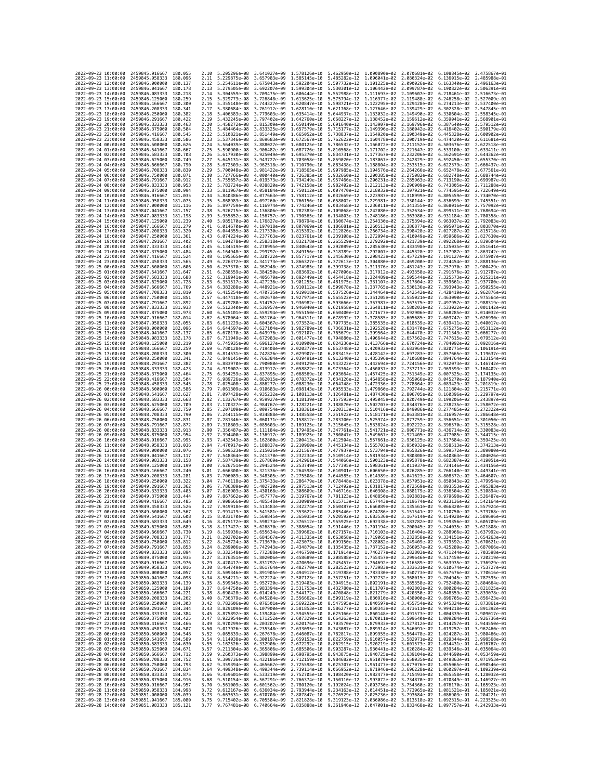| 2022-09-23 10:00:00                        |                     | 2459845.916667                                                       | 180,055             | 2.10         | 5.205296e-08 3.641027e-09                              |                                                                                                                                                                                                                                                                                                                                              | 1.578126e-10                 | 5.462950e-12 1.090890e-02                                            |                              | 2.070681e-02                           | 6.108845e-02 2.475867e-01                 |                                                                                                              |
|--------------------------------------------|---------------------|----------------------------------------------------------------------|---------------------|--------------|--------------------------------------------------------|----------------------------------------------------------------------------------------------------------------------------------------------------------------------------------------------------------------------------------------------------------------------------------------------------------------------------------------------|------------------------------|----------------------------------------------------------------------|------------------------------|----------------------------------------|-------------------------------------------|--------------------------------------------------------------------------------------------------------------|
| 2022-09-23 11:00:00                        |                     | 2459845.958333                                                       | 180.096             | 2.11         | 5.229875e-08                                           | 3.657983e-09                                                                                                                                                                                                                                                                                                                                 | 1.585145e-10                 | 5.485282e-12 1.096041e-02                                            |                              | 2.080324e-02                           | 6.136015e-02                              | 2.485988e-01                                                                                                 |
| 2022-09-23 12:00:00                        |                     | 2459846.000000                                                       | 180.137             | 2.12         | 5.254611e-08                                           | 3.675043e-09                                                                                                                                                                                                                                                                                                                                 | 1.592204e-10                 | 5.507732e-12                                                         | 1.101225e-02                 | 2.090026e-02                           | 6.163340e-02                              | 2.496163e-01                                                                                                 |
| 2022-09-23 13:00:00<br>2022-09-23 14:00:00 |                     | 2459846.041667<br>2459846.083333                                     | 180.178<br>180.218  | 2.13<br>2.14 | 5.279505e-08 3.692207e-09<br>5.304559e-08 3.709475e-09 |                                                                                                                                                                                                                                                                                                                                              | 1.599304e-10<br>1.606444e-10 | 5.530301e-12 1.106442e-02<br>5.552988e-12 1.111693e-02               |                              | 2.099787e-02<br>2.109607e-02           | 6.190822e-02<br>6.218461e-02 2.516673e-01 | 2.506391e-01                                                                                                 |
| 2022-09-23 15:00:00                        |                     | 2459846.125000                                                       | 180.259             | 2.15         | 5.329773e-08                                           | 3.726848e-09                                                                                                                                                                                                                                                                                                                                 | 1.613625e-10                 | 5.575794e-12                                                         | 1.116977e-02                 | 2.119488e-02                           | 6.246258e-02                              | 2.527009e-01                                                                                                 |
| 2022-09-23 16:00:00                        |                     | 2459846.166667                                                       | 180.300             | 2.16         | 5.355148e-08                                           | 3.744327e-09                                                                                                                                                                                                                                                                                                                                 | 1.620847e-10                 | 5.598721e-12                                                         | 1.122295e-02                 | 2.129428e-02                           | 6.274213e-02                              | 2.537400e-01                                                                                                 |
| 2022-09-23 17:00:00                        |                     | 2459846.208333                                                       | 180.341             | 2.17         | 5.380684e-08                                           | 3.761912e-09                                                                                                                                                                                                                                                                                                                                 | 1.628110e-10                 | 5.621768e-12                                                         | 1.127646e-02                 | 2.139429e-02                           | 6.302328e-02                              | 2.547845e-01                                                                                                 |
| 2022-09-23 18:00:00<br>2022-09-23 19:00:00 |                     | 2459846.250000<br>2459846.291667                                     | 180,382<br>180.422  | 2.18<br>2.19 | 5.406383e-08<br>5.432245e-08                           | 3.779603e-09<br>3.797402e-09                                                                                                                                                                                                                                                                                                                 | 1.635414e-10<br>1.642760e-10 | 5.644937e-12 1.133032e-02<br>5.668227e-12                            | 1.138452e-02                 | 2.149490e-02<br>2.159612e-02           | 6.330604e-02<br>6.359041e-02              | 2.558345e-01<br>2.568901e-01                                                                                 |
| 2022-09-23 20:00:00                        |                     | 2459846.333333                                                       | 180,463             | 2.20         | 5.458272e-08                                           | 3.815309e-09                                                                                                                                                                                                                                                                                                                                 | 1.650149e-10                 | 5.691640e-12                                                         | 1.143907e-02                 | 2.169796e-02                           | 6.387640e-02                              | 2.579512e-01                                                                                                 |
| 2022-09-23 21:00:00                        |                     | 2459846.375000                                                       | 180.504             | 2.21         | 5.484464e-08                                           | 3.833325e-09                                                                                                                                                                                                                                                                                                                                 | 1.657579e-10                 | 5.715177e-12                                                         | 1.149396e-02                 | 2.180042e-02                           | 6.416402e-02                              | 2.590179e-01                                                                                                 |
| 2022-09-23 22:00:00                        |                     | 2459846.416667                                                       | 180.545             | 2.22         | 5.510821e-08                                           | 3.851449e-09                                                                                                                                                                                                                                                                                                                                 | 1.665052e-10                 | 5.738837e-12                                                         | 1.154920e-02                 | 2.190349e-02                           | 6.445328e-02                              | 2.600902e-01                                                                                                 |
| 2022-09-23 23:00:00<br>2022-09-24 00:00:00 |                     | 2459846.458333<br>2459846.500000                                     | 180.586<br>180.626  | 2.23<br>2.24 | 5.537346e-08<br>5.564039e-08                           | 3.869683e-09<br>3.888027e-09                                                                                                                                                                                                                                                                                                                 | 1.672567e-10<br>1.680125e-10 | 5.762622e-12<br>5.786532e-12                                         | 1.160478e-02<br>1.166072e-02 | 2.200719e-02<br>2.211152e-02           | 6.474420e-02<br>6.503676e-02              | 2.611681e-01<br>2.622518e-01                                                                                 |
| 2022-09-24 01:00:00                        |                     | 2459846.541667                                                       | 180.667             | 2.25         | 5.590900e-08                                           | 3.906482e-09                                                                                                                                                                                                                                                                                                                                 | 1.687726e-10                 | 5.810568e-12 1.171702e-02                                            |                              | 2.221647e-02                           | 6.533100e-02                              | 2.633411e-01                                                                                                 |
| 2022-09-24 02:00:00                        |                     | 2459846.583333                                                       | 180.708             | 2.26         | 5.617930e-08                                           | 3.925049e-09                                                                                                                                                                                                                                                                                                                                 | 1.695370e-10                 | 5.834731e-12                                                         | 1.177367e-02                 | 2.232206e-02                           | 6.562691e-02                              | 2.644362e-01                                                                                                 |
| 2022-09-24 03:00:00                        |                     | 2459846.625000                                                       | 180.749             | 2.27         | 5.645131e-08                                           | 3.943727e-09                                                                                                                                                                                                                                                                                                                                 | 1.703058e-10                 | 5.859020e-12                                                         | 1.183067e-02                 | 2.242829e-02                           | 6.592450e-02                              | 2.655370e-01                                                                                                 |
| 2022-09-24 04:00:00<br>2022-09-24 05:00:00 |                     | 2459846.666667<br>2459846.708333                                     | 180.790<br>180,830  | 2.28<br>2.29 | 5.672503e-08<br>5.700048e-08                           | 3.962518e-09<br>3.981422e-09                                                                                                                                                                                                                                                                                                                 | 1.710790e-10<br>1.718565e-10 | 5.883438e-12<br>5.907985e-12 1.194576e-02                            | 1.188804e-02                 | 2.253515e-02<br>2.264266e-02           | 6.622379e-02<br>6.652478e-02              | 2.666437e-01<br>2.677561e-01                                                                                 |
| 2022-09-24 06:00:00                        |                     | 2459846.750000                                                       | 180.871             | 2.30         | 5.727766e-08                                           | 4.000440e-09                                                                                                                                                                                                                                                                                                                                 | 1.726385e-10                 | 5.932660e-12                                                         | 1.200385e-02                 | 2.275082e-02                           | 6.682748e-02                              | 2.688744e-01                                                                                                 |
| 2022-09-24 07:00:00                        |                     | 2459846.791667                                                       | 180.912             | 2.31         | 5.755657e-08                                           | 4.019573e-09                                                                                                                                                                                                                                                                                                                                 | 1,734249e-10                 | 5.957466e-12                                                         | 1.206231e-02                 | 2.285963e-02                           | 6.713190e-02                              | 2.699987e-01                                                                                                 |
| 2022-09-24 08:00:00                        |                     | 2459846.833333                                                       | 180.953             | 2.32         | 5.783724e-08                                           | 4.038820e-09                                                                                                                                                                                                                                                                                                                                 | 1.742158e-10                 | 5.982402e-12 1.212113e-02                                            |                              | 2.296909e-02                           | 6.743805e-02                              | 2.711288e-01                                                                                                 |
| 2022-09-24 09:00:00                        |                     | 2459846,875000                                                       | 180.994<br>181.035  | 2.33         | 5.811967e-08                                           | 4.058184e-09                                                                                                                                                                                                                                                                                                                                 | 1.750112e-10                 | 6.007470e-12 1.218032e-02                                            | 1.223987e-02                 | 2.307921e-02                           | 6.774595e-02                              | 2.722649e-01<br>2.734070e-01                                                                                 |
| 2022-09-24 10:00:00<br>2022-09-24 11:00:00 |                     | 2459846.916667<br>2459846,958333                                     | 181,075             | 2.34<br>2.35 | 5.840386e-08<br>5.868983e-08                           | 4.077663e-09<br>4.097260e-09                                                                                                                                                                                                                                                                                                                 | 1.758112e-10<br>1.766156e-10 | 6.032669e-12<br>6.058002e-12 1.229981e-02                            |                              | 2.318999e-02<br>2.330144e-02           | 6.805559e-02<br>6.836699e-02              | 2.745551e-01                                                                                                 |
| 2022-09-24 12:00:00                        |                     | 2459847.000000                                                       | 181, 116            | 2.36         | 5.897759e-08                                           | 4.116974e-09                                                                                                                                                                                                                                                                                                                                 | 1.774246e-10                 | 6.083468e-12                                                         | 1.236011e-02                 | 2.341355e-02                           | 6.868016e-02                              | 2.757092e-01                                                                                                 |
| 2022-09-24 13:00:00                        |                     | 2459847.041667                                                       | 181.157             | 2.38         | 5.926715e-08                                           | 4.136806e-09                                                                                                                                                                                                                                                                                                                                 | 1.782383e-10                 | 6.109068e-12                                                         | 1.242080e-02                 | 2.352634e-02                           | 6.899511e-02                              | 2.768694e-01                                                                                                 |
| 2022-09-24 14:00:00<br>2022-09-24 15:00:00 |                     | 2459847.083333<br>2459847.125000                                     | 181.198<br>181,239  | 2.39<br>2.40 | 5.955852e-08<br>5.985170e-08                           | 4.156757e-09<br>4.176827e-09                                                                                                                                                                                                                                                                                                                 | 1.790565e-10<br>1.798794e-10 | 6.134803e-12<br>6.160674e-12 1.254330e-02                            | 1.248186e-02                 | 2.363980e-02<br>2.375394e-02           | 6.931184e-02<br>6.963037e-02              | 2.780358e-01<br>2.792083e-01                                                                                 |
| 2022-09-24 16:00:00                        |                     | 2459847.166667                                                       | 181,279             | 2.41         | 6.014670e-08                                           | 4.197018e-09                                                                                                                                                                                                                                                                                                                                 | 1.807069e-10                 | 6.186681e-12 1.260513e-02                                            |                              | 2.386877e-02                           | 6.995071e-02                              | 2.803870e-01                                                                                                 |
| 2022-09-24 17:00:00                        |                     | 2459847.208333                                                       | 181,320             | 2.42         | 6.044355e-08                                           | 4.217330e-09                                                                                                                                                                                                                                                                                                                                 | 1.815392e-10                 | 6.212826e-12                                                         | 1.266734e-02                 | 2.398428e-02                           | 7.027287e-02                              | 2.815718e-01                                                                                                 |
| 2022-09-24 18:00:00                        |                     | 2459847.250000                                                       | 181.361             | 2.43         | 6.074224e-08                                           | 4.237763e-09                                                                                                                                                                                                                                                                                                                                 | 1.823761e-10                 | 6.239108e-12                                                         | 1.272994e-02                 | 2.410049e-02                           | 7.059686e-02                              | 2.827630e-01                                                                                                 |
| 2022-09-24 19:00:00                        |                     | 2459847.291667                                                       | 181.402             | 2.44         | 6.104278e-08                                           | 4.258318e-09                                                                                                                                                                                                                                                                                                                                 | 1.832178e-10                 | 6.265529e-12 1.279292e-02                                            |                              | 2.421739e-02                           | 7.092268e-02 2.839604e-01                 |                                                                                                              |
| 2022-09-24 20:00:00<br>2022-09-24 21:00:00 |                     | 2459847.333333<br>2459847.375000                                     | 181.443<br>181.484  | 2.45<br>2.46 | 6.134519e-08<br>6.164948e-08                           | 4.278995e-09<br>4.299797e-09                                                                                                                                                                                                                                                                                                                 | 1.840643e-10<br>1.849156e-10 | 6.292089e-12 1.285630e-02<br>6.318789e-12                            | 1.292007e-02                 | 2.433498e-02<br>2.445328e-02           | 7.125035e-02<br>7.157987e-02              | 2.851641e-01<br>2.863742e-01                                                                                 |
| 2022-09-24 22:00:00                        |                     | 2459847.416667                                                       | 181.524             | 2.48         | 6.195565e-08                                           | 4.320722e-09                                                                                                                                                                                                                                                                                                                                 | 1.857717e-10                 | 6.345630e-12                                                         | 1.298423e-02                 | 2.457229e-02                           | 7.191127e-02                              | 2.875907e-01                                                                                                 |
| 2022-09-24 23:00:00                        |                     | 2459847.458333                                                       | 181.565             | 2.49         | 6.226372e-08                                           | 4.341773e-09                                                                                                                                                                                                                                                                                                                                 | 1,866327e-10                 | 6.372613e-12                                                         | 1.304880e-02                 | 2.469200e-02                           | 7.224454e-02                              | 2.888136e-01                                                                                                 |
| 2022-09-25 00:00:00                        |                     | 2459847.500000                                                       | 181,606             | 2.50         | 6.257370e-08                                           | 4.362948e-09                                                                                                                                                                                                                                                                                                                                 | 1.874985e-10                 | 6.399738e-12                                                         | 1.311376e-02                 | 2.481243e-02                           | 7.257970e-02                              | 2.900429e-01                                                                                                 |
| 2022-09-25 01:00:00<br>2022-09-25 02:00:00 |                     | 2459847.541667<br>2459847.583333                                     | 181.647<br>181,688  | 2.51<br>2.52 | 6.288559e-08<br>6.319941e-08                           | 4.384250e-09<br>4.405679e-09                                                                                                                                                                                                                                                                                                                 | 1.883692e-10<br>1.892449e-10 | 6.427006e-12<br>6.454418e-12 1.324489e-02                            | 1.317912e-02                 | 2.493358e-02<br>2.505544e-02           | 7.291676e-02<br>7.325573e-02              | 2.912787e-01<br>2.925211e-01                                                                                 |
| 2022-09-25 03:00:00                        |                     | 2459847.625000                                                       | 181.728             | 2.53         | 6.351517e-08                                           | 4.427236e-09                                                                                                                                                                                                                                                                                                                                 | 1.901255e-10                 | 6.481975e-12                                                         | 1.331107e-02                 | 2.517804e-02                           | 7.359661e-02                              | 2.937700e-01                                                                                                 |
| 2022-09-25 04:00:00                        |                     | 2459847.666667                                                       | 181,769             | 2.54         | 6.383288e-08                                           | 4.448921e-09                                                                                                                                                                                                                                                                                                                                 | 1.910112e-10                 | 6.509678e-12                                                         | 1.337765e-02                 | 2.530136e-02                           | 7.393943e-02                              | 2.950255e-01                                                                                                 |
| 2022-09-25 05:00:00                        |                     | 2459847.708333                                                       | 181.810             | 2.56         | 6.415254e-08                                           | 4.470735e-09                                                                                                                                                                                                                                                                                                                                 | 1.919018e-10                 | 6.537526e-12 1.344464e-02                                            |                              | 2.542542e-02                           | 7.428419e-02                              | 2.962876e-01                                                                                                 |
| 2022-09-25 06:00:00<br>2022-09-25 07:00:00 |                     | 2459847.750000<br>2459847.791667                                     | 181.851<br>181,892  | 2.57<br>2.58 | 6.447418e-08<br>6.479780e-08                           | 4.492678e-09<br>4.514752e-09                                                                                                                                                                                                                                                                                                                 | 1.927975e-10<br>1.936982e-10 | 6.565522e-12 1.351205e-02<br>6.593666e-12 1.357987e-02               |                              | 2.555021e-02<br>2.567575e-02           | 7.463090e-02<br>7.497957e-02              | 2.975564e-01<br>2.988319e-01                                                                                 |
| 2022-09-25 08:00:00                        |                     | 2459847.833333                                                       | 181,933             | 2.59         | 6.512340e-08                                           | 4.536957e-09                                                                                                                                                                                                                                                                                                                                 | 1.946040e-10                 | 6.621958e-12                                                         | 1.364811e-02                 | 2.580203e-02                           | 7.533022e-02                              | 3.001142e-01                                                                                                 |
| 2022-09-25 09:00:00                        |                     | 2459847.875000                                                       | 181.973             | 2.60         | 6.545101e-08                                           | 4.559294e-09                                                                                                                                                                                                                                                                                                                                 | 1.955150e-10                 | 6.650400e-12                                                         | 1.371677e-02                 | 2.592906e-02                           | 7.568285e-02                              | 3.014032e-01                                                                                                 |
| 2022-09-25 10:00:00                        |                     | 2459847.916667                                                       | 182.014             | 2.62         | 6.578064e-08                                           | 4.581764e-09                                                                                                                                                                                                                                                                                                                                 | 1.964311e-10                 | 6.678992e-12 1.378585e-02                                            |                              | 2.605685e-02                           | 7.603747e-02                              | 3.026990e-01                                                                                                 |
| 2022-09-25 11:00:00                        |                     | 2459847.958333                                                       | 182.055<br>182.096  | 2.63         | 6.611229e-08                                           | 4.604367e-09                                                                                                                                                                                                                                                                                                                                 | 1.973524e-10                 | 6.707735e-12<br>6.736631e-12                                         | 1.385535e-02<br>1.392528e-02 | 2.618539e-02<br>2.631470e-02           | 7.639411e-02                              | 3.040017e-01<br>3.053112e-01                                                                                 |
| 2022-09-25 12:00:00<br>2022-09-25 13:00:00 |                     | 2459848.000000<br>2459848.041667                                     | 182.137             | 2.64<br>2.65 | 6.644597e-08<br>6.678170e-08                           | 4.627104e-09<br>4.649976e-09                                                                                                                                                                                                                                                                                                                 | 1.982789e-10<br>1.992107e-10 | 6.765679e-12                                                         | 1.399564e-02                 | 2.644478e-02                           | 7.675275e-02<br>7.711343e-02              | 3.066277e-01                                                                                                 |
| 2022-09-25 14:00:00                        |                     | 2459848.083333                                                       | 182.178             | 2.67         | 6.711949e-08                                           | 4.672983e-09                                                                                                                                                                                                                                                                                                                                 | 2.001477e-10                 | 6.794880e-12                                                         | 1.406644e-02                 | 2.657562e-02                           | 7.747615e-02                              | 3.079512e-01                                                                                                 |
| 2022-09-25 15:00:00                        |                     | 2459848.125000                                                       | 182,219             | 2.68         | 6.745935e-08                                           | 4.696127e-09                                                                                                                                                                                                                                                                                                                                 | 2.010900e-10                 | 6.824236e-12                                                         | 1.413766e-02                 | 2.670724e-02                           | 7.784092e-02                              | 3.092816e-01                                                                                                 |
| 2022-09-25 16:00:00                        |                     | 2459848.166667                                                       | 182.259<br>182,300  | 2.69         | 6.780128e-08                                           | 4.719408e-09                                                                                                                                                                                                                                                                                                                                 | 2.020377e-10                 | 6.853748e-12 1.420932e-02                                            |                              | 2.683964e-02                           | 7.820775e-02                              | 3.106191e-01                                                                                                 |
| 2022-09-25 17:00:00<br>2022-09-25 18:00:00 |                     | 2459848.208333<br>2459848.250000                                     | 182.341             | 2.70<br>2.72 | 6.814531e-08<br>6.849145e-08                           | 4.742826e-09<br>4.766384e-09                                                                                                                                                                                                                                                                                                                 | 2.029907e-10<br>2.039491e-10 | 6.883415e-12<br>6.913240e-12                                         | 1.428142e-02<br>1.435396e-02 | 2.697283e-02<br>2.710680e-02           | 7.857665e-02<br>7.894764e-02              | 3.119637e-01<br>3.133154e-01                                                                                 |
| 2022-09-25 19:00:00                        |                     | 2459848.291667                                                       | 182,382             | 2.73         | 6.883970e-08                                           | 4,790080e-09                                                                                                                                                                                                                                                                                                                                 | 2.049129e-10                 | 6.943222e-12                                                         | 1.442694e-02                 | 2.724156e-02                           | 7.932073e-02                              | 3.146742e-01                                                                                                 |
| 2022-09-25 20:00:00                        |                     | 2459848.333333                                                       | 182.423             | 2.74         | 6.919007e-08                                           | 4.813917e-09                                                                                                                                                                                                                                                                                                                                 | 2.058822e-10                 | 6.973364e-12                                                         | 1.450037e-02                 | 2.737713e-02                           | 7.969593e-02                              | 3.160402e-01                                                                                                 |
| 2022-09-25 21:00:00                        |                     | 2459848.375000                                                       | 182,464             | 2.75         | 6.954259e-08                                           | 4.837895e-09                                                                                                                                                                                                                                                                                                                                 | 2.068569e-10                 | 7.003664e-12 1.457425e-02                                            |                              | 2.751349e-02                           | 8.007325e-02                              | 3.174135e-01                                                                                                 |
| 2022-09-25 22:00:00<br>2022-09-25 23:00:00 |                     | 2459848.416667<br>2459848.458333                                     | 182,504<br>182.545  | 2.77<br>2.78 | 6.989726e-08<br>7.025408e-08                           | 4.862015e-09<br>4.886277e-09                                                                                                                                                                                                                                                                                                                 | 2.078372e-10<br>2.088230e-10 | 7.034126e-12<br>7.064748e-12                                         | 1.464858e-02<br>1.472336e-02 | 2.765066e-02<br>2.778864e-02           | 8.045270e-02<br>8.083429e-02              | 3.187940e-01<br>3.201819e-01                                                                                 |
| 2022-09-26 00:00:00                        |                     | 2459848.500000                                                       | 182,586             | 2.79         | 7.061309e-08                                           | 4.910683e-09                                                                                                                                                                                                                                                                                                                                 | 2.098143e-10                 | 7.095533e-12                                                         | 1.479860e-02                 | 2.792744e-02                           | 8.121804e-02                              | 3.215771e-01                                                                                                 |
| 2022-09-26 01:00:00                        |                     | 2459848.541667                                                       | 182.627             | 2.81         | 7.097428e-08                                           | 4.935232e-09                                                                                                                                                                                                                                                                                                                                 | 2.108113e-10                 | 7.126481e-12                                                         | 1.487430e-02                 | 2.806705e-02                           | 8.160396e-02                              | 3.229797e-01                                                                                                 |
| 2022-09-26 02:00:00                        |                     | 2459848.583333                                                       | 182.668             | 2.82         | 7.133767e-08                                           | 4.959927e-09                                                                                                                                                                                                                                                                                                                                 | 2.118139e-10                 | 7.157593e-12                                                         | 1.495045e-02                 | 2.820749e-02                           | 8.199206e-02                              | 3.243897e-01                                                                                                 |
| 2022-09-26 03:00:00<br>2022-09-26 04:00:00 |                     | 2459848.625000<br>2459848.666667                                     | 182.709<br>182,750  | 2.83<br>2.85 | 7.170327e-08<br>7.207109e-08                           | 4.984767e-09<br>5.009754e-09                                                                                                                                                                                                                                                                                                                 | 2.128221e-10<br>2.138361e-10 | 7.188870e-12<br>7.220313e-12 1.510416e-02                            | 1.502707e-02                 | 2.834876e-02<br>2.849086e-02           | 8.238235e-02<br>8.277485e-02              | 3.258072e-01<br>3.272322e-01                                                                                 |
| 2022-09-26 05:00:00                        |                     | 2459848.708333                                                       | 182.790             | 2.86         | 7.244115e-08                                           | 5.034888e-09                                                                                                                                                                                                                                                                                                                                 | 2.148558e-10                 | 7.251922e-12                                                         | 1.518171e-02                 | 2.863381e-02                           | 8.316957e-02                              | 3.286648e-01                                                                                                 |
| 2022-09-26 06:00:00                        |                     | 2459848.750000                                                       | 182.831             | 2.87         | 7.281346e-08                                           | 5.060171e-09                                                                                                                                                                                                                                                                                                                                 | 2.158812e-10                 | 7.283700e-12                                                         | 1.525974e-02                 | 2.877759e-02                           | 8.356651e-02                              | 3.301050e-01                                                                                                 |
| 2022-09-26 07:00:00                        |                     | 2459848.791667                                                       | 182.872             | 2.89         | 7.318803e-08                                           | 5.085603e-09                                                                                                                                                                                                                                                                                                                                 | 2.169125e-10                 | 7.315645e-12                                                         | 1.533824e-02                 | 2.892222e-02                           | 8.396570e-02                              | 3.315528e-01                                                                                                 |
| 2022-09-26 08:00:00                        |                     | 2459848.833333                                                       | 182.913             | 2.90         | 7.356487e-08                                           | 5.111184e-09                                                                                                                                                                                                                                                                                                                                 | 2.179495e-10                 | 7.347761e-12 1.541721e-02                                            |                              | 2.906771e-02                           | 8.436714e-02                              | 3.330083e-01                                                                                                 |
| 2022-09-26 09:00:00<br>2022-09-26 10:00:00 |                     | 2459848.875000<br>2459848.916667                                     | 182.954<br>182.995  | 2.92<br>2.93 | 7.394400e-08<br>7.432543e-08                           | 5.136917e-09<br>5.162800e-09                                                                                                                                                                                                                                                                                                                 | 2.189925e-10<br>2.200413e-10 | 7.380047e-12<br>7.412504e-12                                         | 1.549667e-02<br>1.557661e-02 | 2.921405e-02<br>2.936125e-02           | 8.477085e-02<br>8.517684e-02              | 3.344715e-01<br>3.359425e-01                                                                                 |
| 2022-09-26 11:00:00                        |                     | 2459848.958333                                                       | 183.036             | 2.94         | 7.470917e-08                                           | 5.188837e-09                                                                                                                                                                                                                                                                                                                                 | 2.210960e-10                 | 7.445134e-12 1.565703e-02                                            |                              | 2.950932e-02                           | 8.558513e-02                              | 3.374213e-01                                                                                                 |
| 2022-09-26 12:00:00                        |                     | 2459849,000000                                                       | 183.076             | 2.96         | 7.509523e-08                                           | 5.215026e-09                                                                                                                                                                                                                                                                                                                                 | 2.221567e-10                 | 7.477937e-12 1.573794e-02                                            |                              | 2.965826e-02                           | 8.599572e-02                              | 3.389080e-01                                                                                                 |
| 2022-09-26 13:00:00                        |                     | 2459849.041667                                                       | 183, 117            | 2.97         | 7.548364e-08                                           | 5.241370e-09                                                                                                                                                                                                                                                                                                                                 | 2.232234e-10                 | 7.510914e-12                                                         | 1.581934e-02                 | 2.980808e-02                           | 8.640863e-02                              | 3.404026e-01                                                                                                 |
| 2022-09-26 14:00:00<br>2022-09-26 15:00:00 |                     | 2459849.083333<br>2459849.125000                                     | 183.158<br>183, 199 | 2.99<br>3.00 | 7.587439e-08<br>7.626751e-08                           | 5.267869e-09<br>5.294524e-09                                                                                                                                                                                                                                                                                                                 | 2.242961e-10<br>2.253749e-10 | 7.544066e-12 1.590123e-02<br>7.577395e-12                            | 1.598361e-02                 | 2.995878e-02<br>3.011037e-02           | 8.682387e-02<br>8.724146e-02              | 3.419051e-01<br>3.434156e-01                                                                                 |
| 2022-09-26 16:00:00                        |                     | 2459849.166667                                                       | 183.240             | 3.01         | 7.666300e-08                                           | 5.321336e-09                                                                                                                                                                                                                                                                                                                                 | 2.264598e-10                 | 7.610901e-12                                                         | 1.606650e-02                 | 3.026285e-02                           | 8.766140e-02                              | 3.449341e-01                                                                                                 |
| 2022-09-26 17:00:00                        |                     | 2459849.208333                                                       | 183.281             | 3.03         | 7.706089e-08                                           | 5.348305e-09                                                                                                                                                                                                                                                                                                                                 | 2.275508e-10                 | 7.644585e-12                                                         | 1.614989e-02                 | 3.041623e-02                           | 8.808372e-02                              | 3.464607e-01                                                                                                 |
| 2022-09-26 18:00:00                        |                     | 2459849.250000                                                       | 183.322             | 3.04         | 7.746118e-08                                           | 5.375433e-09                                                                                                                                                                                                                                                                                                                                 | 2.286479e-10                 | 7.678448e-12                                                         | 1.623378e-02                 | 3.057051e-02                           | 8.850843e-02                              | 3.479954e-01<br>3.495383e-01                                                                                 |
| 2022-09-26 19:00:00<br>2022-09-26 20:00:00 |                     | 2459849.291667<br>2459849.333333                                     | 183, 362<br>183.403 | 3.06<br>3.07 | 7.786389e-08<br>7.826903e-08                           | 5.402720e-09<br>5.430168e-09                                                                                                                                                                                                                                                                                                                 | 2.297513e-10<br>2.308609e-10 | 7.712492e-12 1.631817e-02<br>7.746716e-12                            | 1.640308e-02                 | 3.072569e-02<br>3.088179e-02           | 8.893553e-02<br>8.936504e-02              | 3.510894e-01                                                                                                 |
| 2022-09-26 21:00:00                        |                     | 2459849.375000                                                       | 183.444             | 3.09         | 7.867662e-08                                           | 5.457777e-09                                                                                                                                                                                                                                                                                                                                 | 2.319767e-10                 | 7.781123e-12                                                         |                              | 1.648850e-02 3.103881e-02 8.979698e-02 |                                           | 3.526487e-01                                                                                                 |
| 2022-09-26 22:00:00                        |                     | 2459849.416667                                                       | 183.485             | 3.10         | 7.908666e-08 5.485548e-09                              |                                                                                                                                                                                                                                                                                                                                              | 2.330989e-10                 | 7.815713e-12  1.657443e-02  3.119674e-02  9.023136e-02  3.542164e-01 |                              |                                        |                                           |                                                                                                              |
| 2022-09-26 23:00:00                        |                     | 2459849.458333                                                       | 183.526             | 3.12         | 7.949918e-08 5.513483e-09                              |                                                                                                                                                                                                                                                                                                                                              | 2.342274e-10                 | 7.850487e-12 1.666089e-02 3.135561e-02 9.066820e-02 3.557924e-01     |                              |                                        |                                           |                                                                                                              |
| 2022-09-27<br>2022-09-27 01:00:00          | 00:00:00            | 2459849.500000<br>2459849.541667 183.608                             | 183.567             | 3.13<br>3.15 | 7.991419e-08                                           | 5.541581e-09<br>8.033170e-08 5.569845e-09 2.365035e-10 7.920592e-12 1.683536e-02 3.167614e-02 9.154928e-02 3.589696e-01                                                                                                                                                                                                                      | 2.353622e-10                 | 7.885446e–12                                                         | 1.674786e-02                 | 3.151541e-02                           | 9.110750e-02                              | 573768e-01                                                                                                   |
| 2022-09-27 02:00:00                        |                     | 2459849.583333 183.649                                               |                     | 3.16         |                                                        | 8.075172e-08 5.598274e-09 2.376512e-10 7.955925e-12 1.692338e-02 3.183782e-02 9.199356e-02 3.605709e-01                                                                                                                                                                                                                                      |                              |                                                                      |                              |                                        |                                           |                                                                                                              |
| 2022-09-27 03:00:00                        |                     | 2459849.625000                                                       | 183.689             | 3.18         |                                                        | 8.117427e-08 5.626870e-09 2.388054e-10 7.991446e-12 1.701194e-02 3.200045e-02 9.244035e-02 3.621808e-01                                                                                                                                                                                                                                      |                              |                                                                      |                              |                                        |                                           |                                                                                                              |
| 2022-09-27 04:00:00<br>2022-09-27 05:00:00 |                     | 2459849.666667 183.730<br>2459849.708333 183.771                     |                     |              |                                                        | 3.19 8.159936e-08 5.655634e-09 2.399662e-10 8.027157e-12 1.710103e-02 3.216404e-02 9.288966e-02 3.637992e-01<br>8.202702e-08 5.684567e-09 2.411335e-10 8.063058e-12 1.719065e-02 3.232858e-02 9.334151e-02 3.654263e-01                                                                                                                      |                              |                                                                      |                              |                                        |                                           |                                                                                                              |
| 2022-09-27 06:00:00                        |                     | 2459849.750000                                                       | 183.812             | 3.21<br>3.22 |                                                        |                                                                                                                                                                                                                                                                                                                                              |                              |                                                                      |                              |                                        |                                           |                                                                                                              |
| 2022-09-27 07:00:00                        |                     | 2459849.791667                                                       | 183.853             | 3.24         |                                                        | 8.245724e-08 5.713670e-09 2.423073e-10 8.099150e-12 1.728082e-02 3.249409e-02 9.379592e-02 3.670621e-01<br>8.289006e-08 5.742943e-09 2.434879e-10 8.135435e-12 1.737152e-02 3.266057e-02 9.425289e-02 3.687066e-01                                                                                                                           |                              |                                                                      |                              |                                        |                                           |                                                                                                              |
| 2022-09-27 08:00:00                        |                     | 2459849.833333 183.894                                               |                     |              |                                                        | 3.26 8.332548e-08 5.772388e-09 2.446750e-10 8.171914e-12 1.746277e-02 3.282803e-02 9.471244e-02 3.703598e-01                                                                                                                                                                                                                                 |                              |                                                                      |                              |                                        |                                           |                                                                                                              |
| 2022-09-27 09:00:00<br>2022-09-27 10:00:00 |                     | 2459849.875000 183.935<br>2459849.916667                             | 183.976             | 3.27         |                                                        | 8.376351e-08 5.802006e-09 2.458689e-10 8.208588e-12 1.755457e-02 3.299646e-02 9.517459e-02 3.720219e-01                                                                                                                                                                                                                                      |                              |                                                                      |                              |                                        |                                           |                                                                                                              |
| 2022-09-27 11:00:00                        |                     | 2459849.958333                                                       | 184,016             |              |                                                        | 3.29 8.420417e-08 5.831797e-09 2.470696e-10 8.245457e-12 1.764692e-02 3.316589e-02 9.563935e-02 3.736929e-01<br>3.30 8.464749e-08 5.851797e-09 2.470696e-10 8.285423e-12 1.7679692e-02 3.316589e-02 9.563935e-02 3.756929e-01<br>3.3                                                                                                         |                              |                                                                      |                              |                                        |                                           |                                                                                                              |
| 2022-09-27 12:00:00                        |                     | 2459850.000000                                                       | 184.057             |              |                                                        |                                                                                                                                                                                                                                                                                                                                              |                              |                                                                      |                              |                                        |                                           |                                                                                                              |
| 2022-09-27 13:00:00                        |                     | 2459850.041667 184.098                                               |                     |              |                                                        | 3.34 8.554211e-08 5.922224e-09 2.507123e-10 8.357251e-12 1.792732e-02 3.368015e-02 9.704945e-02 3.787595e-01                                                                                                                                                                                                                                 |                              |                                                                      |                              |                                        |                                           |                                                                                                              |
| 2022-09-27 14:00:00<br>2022-09-27 15:00:00 |                     | 2459850.083333<br>2459850.125000                                     | 184.139<br>184.180  | 3.35<br>3.37 |                                                        | 8.599345e-08 5.952720e-09 2.519403e-10 8.394915e-12 1.802191e-02 3.385358e-02 9.752480e-02 3.804664e-01<br>8.644750e-08 5.983394e-09 2.531753e-10 8.432780e-12 1.811707e-02 3.402803e-02 9.800284e-02 3.821825e-01                                                                                                                           |                              |                                                                      |                              |                                        |                                           |                                                                                                              |
| 2022-09-27 16:00:00                        |                     | 2459850.166667                                                       | 184.221             |              |                                                        |                                                                                                                                                                                                                                                                                                                                              |                              |                                                                      |                              |                                        |                                           |                                                                                                              |
| 2022-09-27 17:00:00                        |                     | 2459850.208333                                                       | 184.262             |              |                                                        | 3.38 8.699428e-08 6.014249e-09 2.544172e-10 8.470848e-12 1.821279e-02 3.420350e-02 9.848359e-02 3.839078e-01<br>3.40 8.736379e-08 6.045284e-09 2.556662e-10 8.509119e-12 1.839910e-02 3.430800e-02 9.848359e-02 3.839078e-01<br>3.42                                                                                                         |                              |                                                                      |                              |                                        |                                           |                                                                                                              |
| 2022-09-27 18:00:00                        |                     | 2459850.250000                                                       | 184.303             |              |                                                        |                                                                                                                                                                                                                                                                                                                                              |                              |                                                                      |                              |                                        |                                           |                                                                                                              |
| 2022-09-27 19:00:00<br>2022-09-27 20:00:00 |                     | 2459850.291667 184.344<br>2459850.333333 184.384                     |                     |              |                                                        | 3.43 8.829109e-08 6.107900e-09 2.581853e-10 8.586277e-12 1.850343e-02 3.473611e-02 9.994218e-02 3.891392e-01<br>3.45 8.875892e-08 6.139484e-09 2.594555e-10 8.625166e-12 1.860148e-02 3.491573e-02 1.004339e-01 3.909017e-01                                                                                                                 |                              |                                                                      |                              |                                        |                                           |                                                                                                              |
| 2022-09-27 21:00:00                        |                     | 2459850.375000                                                       | 184,425             |              |                                                        |                                                                                                                                                                                                                                                                                                                                              |                              |                                                                      |                              |                                        |                                           |                                                                                                              |
| 2022-09-27 22:00:00                        |                     | 2459850.416667                                                       | 184.466             |              |                                                        | $\begin{array}{cccccccc} 3.47 & 8.922954e-08 & 6.171252e-09 & 2.607329e-10 & 8.664263e-12 & 1.870011e-02 & 3.509640e-02 & 1.009284e-01 & 3.926736e-01 \\ 3.49 & 8.970299e-08 & 6.203207e-09 & 2.620176e-10 & 8.703570e-12 & 1.879933e-02 & 3.527812e-02 & 1.0$                                                                               |                              |                                                                      |                              |                                        |                                           |                                                                                                              |
| 2022-09-27 23:00:00                        |                     | 2459850.458333                                                       | 184.507             |              |                                                        | 3.50 9.017926e-08 6.235348e-09 2.633095e-10 8.743087e-12 1.889914e-02 3.546091e-02 1.019257e-01 3.962460e-01                                                                                                                                                                                                                                 |                              |                                                                      |                              |                                        |                                           |                                                                                                              |
| 2022-09-28 00:00:00<br>2022-09-28 01:00:00 |                     | 2459850.500000<br>2459850.541667                                     | 184.548<br>184.589  |              |                                                        | 3.52 9.065839e-08 6.267678e-09 2.646087e-10 8.782817e-12 1.899955e-02 3.564478e-02 1.024287e-01 3.980466e-01<br>3.54 9.114938e-08 6.300197e-09 2.659153e-10 8.822759e-12 1.910057e-02 3.582971e-02 1.029344e-01 4.015676e-01<br>3.55                                                                                                         |                              |                                                                      |                              |                                        |                                           |                                                                                                              |
| 2022-09-28 02:00:00                        |                     | 2459850.583333                                                       | 184.630             |              |                                                        |                                                                                                                                                                                                                                                                                                                                              |                              |                                                                      |                              |                                        |                                           |                                                                                                              |
| 2022-09-28 03:00:00                        |                     | 2459850.625000 184.671                                               |                     |              |                                                        |                                                                                                                                                                                                                                                                                                                                              |                              |                                                                      |                              |                                        |                                           |                                                                                                              |
| 2022-09-28 04:00:00                        |                     | 2459850.666667                                                       | 184.712             | 3.59         |                                                        | $\begin{array}{cccccccc} 9.260373e-08 & 6.398899e-09 & 2.698795e-10 & 8.943875e-12 & 1.940725e-02 & 3.639104e-02 & 1.044690e-01 & 4.053459e-01 \\ 9.309736e-08 & 6.432186e-09 & 2.712159e-10 & 8.984682e-12 & 1.951070e-02 & 3.658035e-02 & 1.049863e-01 & 4$                                                                                |                              |                                                                      |                              |                                        |                                           |                                                                                                              |
| 2022-09-28 05:00:00<br>2022-09-28 06:00:00 |                     | 2459850.708333<br>2459850.750000 184.793                             | 184.752             | 3.61<br>3.62 |                                                        | 9.359394e-08 6.465667e-09 2.725598e-10 9.025707e-12 1.961477e-02 3.677076e-02 1.055065e-01 4.090546e-01                                                                                                                                                                                                                                      |                              |                                                                      |                              |                                        |                                           |                                                                                                              |
| 2022-09-28 07:00:00                        |                     | 2459850.791667                                                       | 184,834             |              |                                                        |                                                                                                                                                                                                                                                                                                                                              |                              |                                                                      |                              |                                        |                                           |                                                                                                              |
| 2022-09-28 08:00:00                        |                     | 2459850.833333                                                       | 184.875             |              |                                                        | 3.64 9.4893486-08 6.4993446-09 2.7391146-10 9.0669526-12 1.9719466-02 3.6962286-02 1.0602376-01 4.1892396-01<br>3.66 9.459601e-08 6.5332196-09 2.7527056-10 9.1084206-12 1.9824776-02 3.75962286-02 1.0655386-01 4.12803296-01<br>3.                                                                                                         |                              |                                                                      |                              |                                        |                                           |                                                                                                              |
| 2022-09-28 09:00:00                        |                     | 2459850.875000                                                       | 184.916             |              |                                                        |                                                                                                                                                                                                                                                                                                                                              |                              |                                                                      |                              |                                        |                                           |                                                                                                              |
|                                            |                     |                                                                      |                     |              |                                                        |                                                                                                                                                                                                                                                                                                                                              |                              |                                                                      |                              |                                        |                                           |                                                                                                              |
|                                            | 2022-09-28 10:00:00 | 2459850.916667 184.957                                               |                     |              |                                                        |                                                                                                                                                                                                                                                                                                                                              |                              |                                                                      |                              |                                        |                                           | 3.70 9.561009e-08 6.601562e-09 2.780120e-10 9.192024e-12 2.003730e-02 3.754360e-02 1.076170e-01 4.165923e-01 |
| 2022-09-28 11:00:00<br>2022-09-28 12:00:00 |                     | 2459850.958333 184.998<br>2459851.000000                             | 185.039             |              |                                                        | 3.72 9.612167e-08 6.636034e-09 2.793944e-10 9.234163e-12 2.014451e-02 3.773965e-02 1.081521e-01 4.185021e-01                                                                                                                                                                                                                                 |                              |                                                                      |                              |                                        |                                           |                                                                                                              |
| 2022-09-28 13:00:00                        |                     | 2459851.041667 185.080<br>2022-09-28 14:00:00 2459851.083333 185.121 |                     |              |                                                        | 3.73 9.663631e-08 6.670708e-09 2.807847e-10 9.276529e-12 2.025236e-02 3.793684e-02 1.086903e-01 4.204221e-01<br>3.75 9.715402e-08 6.705584e-09 2.821828e-10 9.319123e-12 2.036086e-02 3.813518e-02 1.092315e-01 4.223525e-01<br>3.77 9.767481e-08 6.740664e-09 2.835888e-10 9.361946e-12 2.047001e-02 3.833468e-02 1.097757e-01 4.242933e-01 |                              |                                                                      |                              |                                        |                                           |                                                                                                              |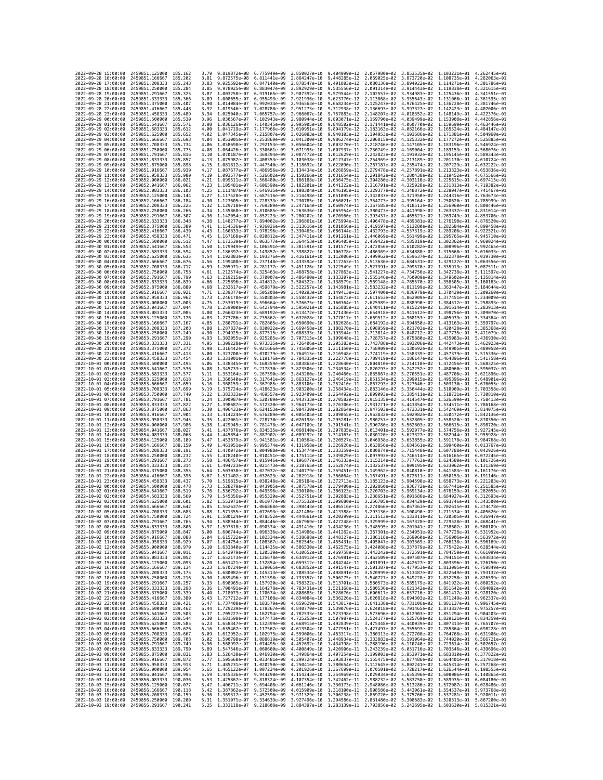| 2022-09-28 15:00:00                        |                     | 2459851.125000                                   | 185, 162            | 3.79         | 9.819872e-08                                           | 6.775949e-09                                                                                                                                                                                                                                                                                                                                                                                                                                                                         | 2.850027e-10                 | 9.404999e-12                                           | 2.057980e-02                              | 3.853535e-02                                                                     | 1.103231e-01                                           | 4.262445e-01                 |
|--------------------------------------------|---------------------|--------------------------------------------------|---------------------|--------------|--------------------------------------------------------|--------------------------------------------------------------------------------------------------------------------------------------------------------------------------------------------------------------------------------------------------------------------------------------------------------------------------------------------------------------------------------------------------------------------------------------------------------------------------------------|------------------------------|--------------------------------------------------------|-------------------------------------------|----------------------------------------------------------------------------------|--------------------------------------------------------|------------------------------|
| 2022-09-28 16:00:00                        |                     | 2459851.166667                                   | 185.202             | 3.81         | 9.872575e-08                                           | 6.811441e-09                                                                                                                                                                                                                                                                                                                                                                                                                                                                         | 2.864247e-10                 | 9.448285e-12 2.069025e-02                              |                                           | 3.873720e-02                                                                     | 1.108735e-01 4.282063e-01                              |                              |
| 2022-09-28 17:00:00                        |                     | 2459851.208333                                   | 185.243             | 3.83         | 9.925592e-08                                           | 6.847140e-09                                                                                                                                                                                                                                                                                                                                                                                                                                                                         | 2.878547e-10                 | 9.491803e-12                                           | 2.080136e-02                              | 3.894022e-02                                                                     | 1.114271e-01                                           | 4.301786e-01                 |
| 2022-09-28 18:00:00<br>2022-09-28 19:00:00 |                     | 2459851.250000<br>2459851.291667                 | 185.284<br>185.325  | 3.85<br>3.87 | 9.978925e-08 6.883047e-09<br>1.003258e-07 6.919165e-09 |                                                                                                                                                                                                                                                                                                                                                                                                                                                                                      | 2.892929e-10<br>2.907392e-10 |                                                        | 9.579544e-12 2.102557e-02 3.934983e-02    | 9.535556e-12 2.091314e-02 3.914443e-02 1.119838e-01 4.321615e-01                 | 1.125436e-01 4.341551e-01                              |                              |
| 2022-09-28 20:00:00                        |                     | 2459851.333333                                   | 185.366             | 3.89         | 1.008655e-07                                           | 6.955493e-09                                                                                                                                                                                                                                                                                                                                                                                                                                                                         | 2.921936e-10                 | 9.623770e-12                                           | 2.113868e-02                              | 3.955643e-02                                                                     | 1,131066e-01                                           | 4.361595e-01                 |
| 2022-09-28 21:00:00                        |                     | 2459851.375000                                   | 185.407             | 3.90         | 1.014084e-07                                           | 6.992034e-09                                                                                                                                                                                                                                                                                                                                                                                                                                                                         | 2.936563e-10                 | 9.668234e-12                                           | 2.125247e-02                              | 3.976425e-02                                                                     | 1.136728e-01                                           | 4.381746e-01                 |
| 2022-09-28 22:00:00                        |                     | 2459851.416667                                   | 185,448             | 3.92         | 1.019546e-07                                           | 7.028788e-09                                                                                                                                                                                                                                                                                                                                                                                                                                                                         | 2.951273e-10                 | 9.712938e-12                                           | 2.136693e-02                              | 3.997327e-02                                                                     | 1.142423e-01                                           | 4.402006e-01                 |
| 2022-09-28 23:00:00<br>2022-09-29 00:00:00 |                     | 2459851.458333<br>2459851.500000                 | 185,489<br>185.530  | 3.94<br>3.96 | 1.025040e-07<br>1.030567e-07                           | 7.065757e-09<br>7.102943e-09                                                                                                                                                                                                                                                                                                                                                                                                                                                         | 2.966067e-10<br>2.980944e-10 | 9.757883e-12 2.148207e-02<br>9.803071e-12              | 2.159790e-02                              | 4.018352e-02<br>4.039499e-02                                                     | 1.148149e-01<br>1.153908e-01                           | 4.422376e-01<br>4.442856e-01 |
| 2022-09-29 01:00:00                        |                     | 2459851.541667                                   | 185.571             | 3.98         | 1.036126e-07                                           | 7.140345e-09                                                                                                                                                                                                                                                                                                                                                                                                                                                                         | 2.995905e-10                 | 9.848502e-12                                           | 2.171441e-02                              | 4.060770e-02                                                                     | 1.159699e-01                                           | 4.463446e-01                 |
| 2022-09-29 02:00:00                        |                     | 2459851.583333                                   | 185.612             | 4.00         | 1.041719e-07                                           | 7.177966e-09                                                                                                                                                                                                                                                                                                                                                                                                                                                                         | 3.010951e-10                 | 9.894179e-12                                           | 2.183163e-02                              | 4.082166e-02                                                                     | 1.165524e-01                                           | 4.484147e-01                 |
| 2022-09-29 03:00:00                        |                     | 2459851.625000                                   | 185.652             | 4.02         | 1.047345e-07                                           | 7.215807e-09                                                                                                                                                                                                                                                                                                                                                                                                                                                                         | 3.026083e-10                 | 9.940103e-12                                           | 2.194953e-02                              | 4.103686e-02                                                                     | 1.171381e-01                                           | 4.504960e-01                 |
| 2022-09-29 04:00:00<br>2022-09-29 05:00:00 |                     | 2459851.666667<br>2459851.708333                 | 185.693<br>185.734  | 4.04<br>4.06 | 1.053005e-07<br>1.058698e-07                           | 7.253869e-09<br>7.292153e-09                                                                                                                                                                                                                                                                                                                                                                                                                                                         | 3.041300e-10<br>3.056604e-10 | 9.986274e-12                                           | 2.206815e-02<br>1.003270e-11 2.218746e-02 | 4.125332e-02<br>4.147105e-02                                                     | 1.177272e-01<br>1.183196e-01                           | 4.525885e-01<br>4.546924e-01 |
| 2022-09-29 06:00:00                        |                     | 2459851.750000                                   | 185,775             | 4.08         | 1.064426e-07                                           | 7.330661e-09                                                                                                                                                                                                                                                                                                                                                                                                                                                                         | 3.071995e-10                 | 1.007937e-11 2.230749e-02                              |                                           | 4.169004e-02                                                                     | 1.189153e-01                                           | 4.568076e-01                 |
| 2022-09-29 07:00:00                        |                     | 2459851.791667                                   | 185.816             | 4.10         | 1.070187e-07                                           | 7.369394e-09                                                                                                                                                                                                                                                                                                                                                                                                                                                                         | 3.087472e-10                 | 1.012629e-11                                           | 2.242823e-02                              | 4.191032e-02                                                                     | 1.195145e-01                                           | 4.589343e-01                 |
| 2022-09-29 08:00:00                        |                     | 2459851.833333                                   | 185.857             | 4.13         | 1.075982e-07                                           | 7.408353e-09                                                                                                                                                                                                                                                                                                                                                                                                                                                                         | 3.103038e-10                 | 1.017347e-11                                           | 2.254969e-02                              | 4.213189e-02                                                                     | 1.201170e-01                                           | 4.610724e-01                 |
| 2022-09-29 09:00:00<br>2022-09-29 10:00:00 |                     | 2459851.875000<br>2459851.916667                 | 185.898<br>185,939  | 4.15<br>4.17 | 1.081812e-07<br>1.087677e-07                           | 7.447540e-09<br>7.486956e-09                                                                                                                                                                                                                                                                                                                                                                                                                                                         | 3.118692e-10<br>3.134434e-10 | 1.026859e-11 2.279478e-02                              | 1.022090e-11 2.267187e-02                 | 4.235474e-02<br>4.257891e-02                                                     | 1.207229e-01 4.632222e-01<br>1.213323e-01 4.653836e-01 |                              |
| 2022-09-29 11:00:00                        |                     | 2459851.958333                                   | 185.980             | 4.19         | 1.093577e-07                                           | 7.526602e-09                                                                                                                                                                                                                                                                                                                                                                                                                                                                         | 3.150266e-10                 | 1.031654e-11                                           | 2.291842e-02                              | 4.280438e-02                                                                     | 1.219452e-01                                           | 4.675566e-01                 |
| 2022-09-29 12:00:00                        |                     | 2459852.000000                                   | 186.021             | 4.21         | 1.099511e-07                                           | 7.566480e-09                                                                                                                                                                                                                                                                                                                                                                                                                                                                         | 3.166188e-10                 | 1.036475e-11                                           | 2.304280e-02                              | 4.303116e-02                                                                     | 1.225615e-01                                           | 4.697415e-01                 |
| 2022-09-29 13:00:00                        |                     | 2459852.041667                                   | 186.062             | 4.23         | 1.105481e-07                                           | 7.606590e-09                                                                                                                                                                                                                                                                                                                                                                                                                                                                         | 3.182201e-10                 | 1.041322e-11 2.316791e-02                              |                                           | 4.325928e-02                                                                     | 1.231813e-01                                           | 4.719382e-01                 |
| 2022-09-29 14:00:00                        |                     | 2459852,083333                                   | 186,103             | 4.25<br>4.27 | 1.111487e-07                                           | 7.646935e-09                                                                                                                                                                                                                                                                                                                                                                                                                                                                         | 3.198304e-10                 |                                                        | 1.046195e-11 2.329377e-02                 | 4.348872e-02                                                                     | 1,238047e-01 4,741467e-01                              | 4.763673e-01                 |
| 2022-09-29 15:00:00<br>2022-09-29 16:00:00 |                     | 2459852.125000<br>2459852.166667                 | 186.144<br>186,184  | 4.30         | 1.117528e-07<br>1.123605e-07                           | 7.687516e-09<br>7.728333e-09                                                                                                                                                                                                                                                                                                                                                                                                                                                         | 3.214498e-10<br>3.230785e-10 | 1.051095e-11                                           | 2.342037e-02<br>1.056021e-11 2.354773e-02 | 4.371950e-02<br>4.395164e-02                                                     | 1.244316e-01<br>1.250620e-01                           | 4.785999e-01                 |
| 2022-09-29 17:00:00                        |                     | 2459852.208333                                   | 186.225             | 4.32         | 1.129718e-07                                           | 7.769389e-09                                                                                                                                                                                                                                                                                                                                                                                                                                                                         | 3.247164e-10                 | 1.060974e-11 2.367585e-02                              |                                           | 4.418513e-02                                                                     | 1.256960e-01                                           | 4.808446e-01                 |
| 2022-09-29 18:00:00                        |                     | 2459852.250000                                   | 186,266             | 4.34         | 1.135868e-07                                           | 7.810685e-09                                                                                                                                                                                                                                                                                                                                                                                                                                                                         | 3.263636e-10                 | 1.065954e-11                                           | 2.380473e-02                              | 4.441998e-02                                                                     | 1.263337e-01                                           | 4.831014e-01                 |
| 2022-09-29 19:00:00<br>2022-09-29 20:00:00 |                     | 2459852.291667<br>2459852.333333                 | 186,307<br>186,348  | 4.36<br>4.38 | 1.142054e-07<br>1.148277e-07                           | 7.852223e-09<br>7.894002e-09                                                                                                                                                                                                                                                                                                                                                                                                                                                         | 3.280202e-10<br>3.296861e-10 | 1.070960e-11<br>1.075994e-11 2.406478e-02              | 2.393437e-02                              | 4.465621e-02<br>4.489381e-02                                                     | 1.269749e-01 4.853706e-01<br>1.276198e-01 4.876520e-01 |                              |
| 2022-09-29 21:00:00                        |                     | 2459852.375000                                   | 186,389             | 4.41         | 1.154536e-07                                           | 7.936026e-09                                                                                                                                                                                                                                                                                                                                                                                                                                                                         | 3.313616e-10                 | 1.081056e-11 2.419597e-02                              |                                           | 4.513280e-02                                                                     | 1.282684e-01 4.899458e-01                              |                              |
| 2022-09-29 22:00:00                        |                     | 2459852.416667                                   | 186,430             | 4.43         | 1.160833e-07                                           | 7.978296e-09                                                                                                                                                                                                                                                                                                                                                                                                                                                                         | 3.330465e-10                 | 1.086144e-11                                           | 2.432793e-02                              | 4.537319e-02                                                                     | 1.289206e-01                                           | 4.922521e-01                 |
| 2022-09-29 23:00:00                        |                     | 2459852.458333                                   | 186.471             | 4.45         | 1.167168e-07                                           | 8.020812e-09                                                                                                                                                                                                                                                                                                                                                                                                                                                                         | 3.347411e-10                 | 1.091261e-11                                           | 2.446069e-02                              | 4.561499e-02                                                                     | 1.295765e-01                                           | 4.945710e-01                 |
| 2022-09-30 00:00:00                        |                     | 2459852.500000                                   | 186.512             | 4.47         | 1.173539e-07 8.063577e-09                              |                                                                                                                                                                                                                                                                                                                                                                                                                                                                                      | 3.364453e-10                 | 1.096405e-11 2.459422e-02                              |                                           | 4.585819e-02                                                                     | 1.302362e-01 4.969024e-01                              |                              |
| 2022-09-30 01:00:00<br>2022-09-30 02:00:00 |                     | 2459852.541667<br>2459852.583333                 | 186.553<br>186.594  | 4.50<br>4.52 | 1.179949e-07<br>1.186397e-07                           | 8.106591e-09<br>8.149857e-09                                                                                                                                                                                                                                                                                                                                                                                                                                                         | 3.381591e-10<br>3.398827e-10 | 1.101577e-11<br>1.106778e-11                           | 2.472856e-02<br>2.486369e-02              | 4.610282e-02<br>4.634888e-02                                                     | 1.308996e-01<br>1.315668e-01                           | 4.992465e-01<br>5.016033e-01 |
| 2022-09-30 03:00:00                        |                     | 2459852.625000                                   | 186.635             | 4.54         | 1.192883e-07                                           | 8.193376e-09                                                                                                                                                                                                                                                                                                                                                                                                                                                                         | 3.416161e-10                 | 1.112006e-11                                           | 2.499962e-02                              | 4.659637e-02                                                                     | 1.322378e-01                                           | 5.039730e-01                 |
| 2022-09-30 04:00:00                        |                     | 2459852.666667                                   | 186.676             | 4.56         | 1.199408e-07                                           | 8.237148e-09                                                                                                                                                                                                                                                                                                                                                                                                                                                                         | 3.433594e-10                 | 1.117263e-11 2.513636e-02                              |                                           | 4.684531e-02                                                                     | 1.329127e-01                                           | 5.063556e-01                 |
| 2022-09-30 05:00:00                        |                     | 2459852.708333                                   | 186.717             | 4.59         | 1.205971e-07<br>1.212574e-07                           | 8.281177e-09                                                                                                                                                                                                                                                                                                                                                                                                                                                                         | 3.451126e-10                 | 1.122549e-11                                           | 2.527391e-02                              | 4.709570e-02                                                                     | 1.335913e-01                                           | 5.087511e-01                 |
| 2022-09-30 06:00:00<br>2022-09-30 07:00:00 |                     | 2459852.750000<br>2459852.791667                 | 186,758<br>186.799  | 4.61<br>4.63 | 1.219215e-07                                           | 8.325463e-09<br>8.370007e-09                                                                                                                                                                                                                                                                                                                                                                                                                                                         | 3.468758e-10<br>3.486490e-10 | 1.127863e-11 2.541227e-02<br>1.133207e-11 2.555146e-02 |                                           | 4.734756e-02<br>4.760089e-02                                                     | 1.342738e-01<br>1.349602e-01                           | 5.111597e-01<br>5.135814e-01 |
| 2022-09-30 08:00:00                        |                     | 2459852.833333                                   | 186,839             | 4.66         | 1.225896e-07                                           | 8.414812e-09                                                                                                                                                                                                                                                                                                                                                                                                                                                                         | 3.504322e-10                 | 1.138579e-11                                           | 2.569148e-02                              | 4.785570e-02                                                                     | 1.356505e-01                                           | 5.160163e-01                 |
| 2022-09-30 09:00:00                        |                     | 2459852.875000                                   | 186.880             | 4.68         | 1.232617e-07                                           | 8.459879e-09                                                                                                                                                                                                                                                                                                                                                                                                                                                                         | 3.522257e-10                 | 1.143981e-11                                           | 2.583232e-02                              | 4.811199e-02                                                                     | 1.363447e-01                                           | 5.184644e-01                 |
| 2022-09-30 10:00:00                        |                     | 2459852.916667                                   | 186.921             | 4.71         | 1.239377e-07                                           | 8.505208e-09                                                                                                                                                                                                                                                                                                                                                                                                                                                                         | 3.540293e-10                 |                                                        | 1.149413e-11 2.597400e-02                 | 4.836979e-02                                                                     | 1,370429e-01                                           | 5.209260e-01<br>5.234009e-01 |
| 2022-09-30 11:00:00<br>2022-09-30 12:00:00 |                     | 2459852.958333<br>2459853.000000                 | 186.962<br>187.003  | 4.73<br>4.75 | 1.246178e-07<br>1.253019e-07                           | 8.550803e-09<br>8.596664e-09                                                                                                                                                                                                                                                                                                                                                                                                                                                         | 3.558432e-10<br>3.576675e-10 | 1.154873e-11 2.611653e-02<br>1.160364e-11 2.625989e-02 |                                           | 4.862909e-02<br>4.888990e-02                                                     | 1.377451e-01<br>1.384512e-01                           | 5.258893e-01                 |
| 2022-09-30 13:00:00                        |                     | 2459853.041667                                   | 187.044             | 4.78         | 1.259900e-07                                           | 8.642794e-09                                                                                                                                                                                                                                                                                                                                                                                                                                                                         | 3.595021e-10                 | 1.165885e-11                                           | 2.640411e-02                              | 4.915224e-02                                                                     | 1.391614e-01                                           | 5.283913e-01                 |
| 2022-09-30 14:00:00                        |                     | 2459853.083333                                   | 187,085             | 4.80         | 1.266823e-07                                           | 8.689192e-09                                                                                                                                                                                                                                                                                                                                                                                                                                                                         | 3.613472e-10                 | 1.171436e-11                                           | 2.654918e-02                              | 4.941612e-02                                                                     | 1.398756e-01                                           | 5.309070e-01                 |
| 2022-09-30 15:00:00                        |                     | 2459853.125000                                   | 187, 126            | 4.83         | 1,273786e-07                                           | 8.735862e-09                                                                                                                                                                                                                                                                                                                                                                                                                                                                         | 3.632028e-10                 | 1.177017e-11 2.669512e-02                              |                                           | 4.968153e-02                                                                     | 1.405939e-01 5.334364e-01                              | 5.359797e-01                 |
| 2022-09-30 16:00:00<br>2022-09-30 17:00:00 |                     | 2459853.166667<br>2459853.208333                 | 187, 167<br>187.208 | 4.85<br>4.88 | 1.280791e-07<br>1.287837e-07                           | 8.782805e-09<br>8.830022e-09                                                                                                                                                                                                                                                                                                                                                                                                                                                         | 3.650690e-10<br>3.669458e-10 | 1.182628e-11<br>1.188270e-11 2.698959e-02              | 2.684192e-02                              | 4.994850e-02<br>5.021703e-02                                                     | 1.413163e-01<br>1,420428e-01                           | 5.385368e-01                 |
| 2022-09-30 18:00:00                        |                     | 2459853.250000                                   | 187.249             | 4.90         | 1.294925e-07                                           | 8.877515e-09                                                                                                                                                                                                                                                                                                                                                                                                                                                                         | 3.688333e-10                 | 1.193944e-11 2.713814e-02                              |                                           | 5.048712e-02                                                                     | 1.427735e-01                                           | 5.411079e-01                 |
| 2022-09-30 19:00:00                        |                     | 2459853.291667                                   | 187.290             | 4.93         | 1.302055e-07                                           | 8.925285e-09                                                                                                                                                                                                                                                                                                                                                                                                                                                                         | 3.707315e-10                 | 1.199648e-11 2.728757e-02                              |                                           | 5.075880e-02                                                                     | 1.435083e-01                                           | 5.436930e-01                 |
| 2022-09-30 20:00:00<br>2022-09-30 21:00:00 |                     | 2459853.333333<br>2459853.375000                 | 187.331<br>187.372  | 4.95<br>4.98 | 1.309228e-07<br>1.316442e-07                           | 8.973335e-09<br>9.021666e-09                                                                                                                                                                                                                                                                                                                                                                                                                                                         | 3.726406e-10<br>3.745606e-10 | 1.205383e-11 2.743788e-02                              | 1.211150e-11 2.758909e-02                 | 5.103206e-02<br>5.130692e-02                                                     | 1.442473e-01<br>1.449905e-01                           | 5.462923e-01<br>5.489058e-01 |
| 2022-09-30 22:00:00                        |                     | 2459853.416667                                   | 187.413             | 5.00         | 1.323700e-07                                           | 9.070279e-09                                                                                                                                                                                                                                                                                                                                                                                                                                                                         | 3.764915e-10                 | 1.216948e-11 2.774119e-02                              |                                           | 5.158339e-02                                                                     | 1.457379e-01                                           | 5.515336e-01                 |
| 2022-09-30 23:00:00                        |                     | 2459853.458333                                   | 187.454             | 5.03         | 1.331001e-07                                           | 9.119176e-09                                                                                                                                                                                                                                                                                                                                                                                                                                                                         | 3.784335e-10                 | 1.222778e-11                                           | 2.789419e-02                              | 5.186147e-02                                                                     | 1.464896e-01                                           | 5.541758e-01                 |
| 2022-10-01 00:00:00                        |                     | 2459853.500000                                   | 187.495             | 5.06         | 1.338345e-07                                           | 9.168359e-09                                                                                                                                                                                                                                                                                                                                                                                                                                                                         | 3.803865e-10                 | 1.228640e-11                                           | 2.804810e-02                              | 5.214118e-02                                                                     | 1.472456e-01                                           | 5.568325e-01                 |
| 2022-10-01 01:00:00                        |                     | 2459853.541667                                   | 187.536             | 5.08         | 1.345733e-07                                           | 9.217830e-09                                                                                                                                                                                                                                                                                                                                                                                                                                                                         | 3.823506e-10                 | 1.234534e-11 2.820293e-02                              |                                           | 5.242252e-02                                                                     | 1.480060e-01 5.595037e-01                              |                              |
| 2022-10-01 02:00:00<br>2022-10-01 03:00:00 |                     | 2459853.583333<br>2459853.625000                 | 187.577<br>187.618  | 5.11<br>5.14 | 1.353164e-07<br>1,360640e-07                           | 9.267590e-09<br>9.317641e-09                                                                                                                                                                                                                                                                                                                                                                                                                                                         | 3.843260e-10<br>3.863127e-10 | 1.240460e-11 2.835867e-02<br>1.246419e-11              | 2.851534e-02                              | 5.270551e-02<br>5.299015e-02                                                     | 1.487706e-01 5.621896e-01<br>1.495396e-01              | 5.648901e-01                 |
| 2022-10-01 04:00:00                        |                     | 2459853.666667                                   | 187,659             | 5.16         | 1.368159e-07                                           | 9.367985e-09                                                                                                                                                                                                                                                                                                                                                                                                                                                                         | 3.883106e-10                 | 1.252410e-11 2.867293e-02                              |                                           | 5.327646e-02                                                                     | 1.503130e-01                                           | 5.676055e-01                 |
| 2022-10-01 05:00:00                        |                     | 2459853.708333                                   | 187.699             | 5.19         | 1.375724e-07                                           | 9.418623e-09                                                                                                                                                                                                                                                                                                                                                                                                                                                                         | 3.903200e-10                 | 1.258434e-11 2.883146e-02                              |                                           | 5.356444e-02                                                                     | 1.510909e-01                                           | 5.703358e-01                 |
| 2022-10-01 06:00:00                        |                     | 2459853.750000                                   | 187.740<br>187,781  | 5.22<br>5.24 | 1.383333e-07                                           | 9.469557e-09                                                                                                                                                                                                                                                                                                                                                                                                                                                                         | 3.923409e-10                 | 1.264492e-11 2.899093e-02                              |                                           | 5.385411e-02                                                                     | 1.518731e-01                                           | 5.730810e-01                 |
| 2022-10-01 07:00:00<br>2022-10-01 08:00:00 |                     | 2459853.791667<br>2459853.833333                 | 187.822             | 5.27         | 1.390987e-07<br>1.398687e-07                           | 9.520789e-09<br>9.572320e-09                                                                                                                                                                                                                                                                                                                                                                                                                                                         | 3.943733e-10<br>3.964173e-10 | 1.270582e-11                                           | 2.915135e-02<br>1.276706e-11 2.931271e-02 | 5.414547e-02<br>5.443854e-02                                                     | 1.526599e-01<br>1.534511e-01                           | 5.758413e-01<br>5.786168e-01 |
| 2022-10-01 09:00:00                        |                     | 2459853.875000                                   | 187.863             | 5.30         | 1.406433e-07                                           | 9.624153e-09                                                                                                                                                                                                                                                                                                                                                                                                                                                                         | 3.984730e-10                 | 1.282864e-11 2.947503e-02                              |                                           | 5.473331e-02                                                                     | 1.542469e-01                                           | 5.814075e-01                 |
| 2022-10-01 10:00:00                        |                     | 2459853.916667                                   | 187,904             | 5.33         | 1.414224e-07                                           | 9.676289e-09                                                                                                                                                                                                                                                                                                                                                                                                                                                                         | 4.005405e-10                 | 1.289055e-11                                           | 2.963832e-02                              | 5.502982e-02                                                                     | 1.550472e-01                                           | 5.842136e-01                 |
| 2022-10-01 11:00:00                        |                     | 2459853.958333                                   | 187.945             | 5.35         | 1.422061e-07 9.728730e-09                              |                                                                                                                                                                                                                                                                                                                                                                                                                                                                                      | 4.026198e-10                 |                                                        | 1.295281e-11 2.980257e-02                 | 5.532805e-02                                                                     | 1.558520e-01                                           | 5.870350e-01                 |
| 2022-10-01 12:00:00<br>2022-10-01 13:00:00 |                     | 2459854.000000<br>2459854.041667                 | 187.986<br>188.027  | 5.38<br>5.41 | 1.429945e-07<br>1.437876e-07 9.834535e-09              | 9.781478e-09                                                                                                                                                                                                                                                                                                                                                                                                                                                                         | 4.047109e-10<br>4.068140e-10 | 1.301541e-11 2.996780e-02<br>1.307835e-11 3.013401e-02 |                                           | 5.562803e-02<br>5.592977e-02                                                     | 1.566615e-01<br>1.574756e-01 5.927245e-01              | 5.898720e-01                 |
| 2022-10-01 14:00:00                        |                     | 2459854.083333                                   | 188,068             | 5.44         | 1.445854e-07                                           | 9.887902e-09                                                                                                                                                                                                                                                                                                                                                                                                                                                                         | 4.089292e-10                 | 1.314163e-11                                           | 3.030120e-02                              | 5.623327e-02                                                                     | 1.582944e-01                                           | 5.955928e-01                 |
| 2022-10-01 15:00:00                        |                     |                                                  |                     |              |                                                        |                                                                                                                                                                                                                                                                                                                                                                                                                                                                                      |                              |                                                        |                                           |                                                                                  |                                                        | 5.984768e-01                 |
| 2022-10-01 16:00:00                        |                     | 2459854.125000                                   | 188,109             | 5.47         | 1.453879e-07                                           | 9.941581e-09                                                                                                                                                                                                                                                                                                                                                                                                                                                                         | 4.110564e-10                 | 1.320527e-11                                           | 3.046938e-02                              | 5.653855e-02                                                                     | 1.591178e-01                                           |                              |
|                                            |                     | 2459854.166667                                   | 188.150             | 5.49         | 1.461951e-07 9.995574e-09                              |                                                                                                                                                                                                                                                                                                                                                                                                                                                                                      | 4.131958e-10                 | 1.326926e-11 3.063856e-02                              |                                           | 5.684561e-02                                                                     | 1.599460e-01                                           | 6.013767e-01                 |
|                                            | 2022-10-01 17:00:00 | 2459854.208333                                   | 188.191             | 5.52         | 1.470072e-07                                           | 1.004988e-08                                                                                                                                                                                                                                                                                                                                                                                                                                                                         | 4.153474e-10                 | 1.333359e-11                                           | 3.080874e-02                              | 5.715448e-02                                                                     | 1.607788e-01                                           | 6.042926e-01                 |
| 2022-10-01 18:00:00                        |                     | 2459854.250000                                   | 188.232             | 5.55         | 1.478240e-07                                           | 1.010451e-08                                                                                                                                                                                                                                                                                                                                                                                                                                                                         | 4.175114e-10                 | 1.339829e-11                                           | 3.097993e-02                              | 5.746514e-02                                                                     | 1.616165e-01                                           | 6.072245e-01                 |
| 2022-10-01 19:00:00<br>2022-10-01 20:00:00 |                     | 2459854.291667<br>2459854.333333                 | 188.273<br>188.314  | 5.58<br>5.61 | 1.486457e-07 1.015946e-08<br>1.494723e-07              | 1.021473e-08                                                                                                                                                                                                                                                                                                                                                                                                                                                                         | 4.196877e-10<br>4.218765e-10 | 1.346333e-11<br>1.352874e-11                           | 3.115214e-02<br>3.132537e-02              | 5.777763e-02<br>5.809195e-02                                                     | 1.624589e-01<br>1.633062e-01                           | 6.101726e-01<br>6.131369e-01 |
| 2022-10-01 21:00:00                        |                     | 2459854.375000                                   | 188, 355            | 5.64         | 1.503038e-07                                           | 1.027032e-08                                                                                                                                                                                                                                                                                                                                                                                                                                                                         | 4.240779e-10                 | 1.359451e-11                                           | 3.149962e-02                              | 5.840810e-02                                                                     | 1.641583e-01                                           | 6.161176e-01                 |
| 2022-10-01 22:00:00                        |                     | 2459854.416667                                   | 188.396             | 5.67         | 1.511402e-07                                           | 1.032623e-08                                                                                                                                                                                                                                                                                                                                                                                                                                                                         | 4.262918e-10                 | 1.366064e-11                                           | 3.167491e-02                              | 5.872611e-02                                                                     | 1.650153e-01                                           | 6.191146e-01                 |
| 2022-10-01 23:00:00<br>2022-10-02 00:00:00 |                     | 2459854.458333<br>2459854.500000                 | 188.437<br>188,478  | 5.70<br>5.73 | 1.519815e-07 1.038248e-08                              | 1.043905e-08                                                                                                                                                                                                                                                                                                                                                                                                                                                                         | 4.285184e-10<br>4.307578e-10 | 1.372713e-11<br>1.379400e-11                           | 3.185123e-02<br>3.202860e-02              | 5.904598e-02<br>5.936772e-02                                                     | 1.658773e-01<br>1.667441e-01                           | 6.221283e-01<br>6.251585e-01 |
| 2022-10-02 01:00:00                        |                     | 2459854.541667                                   | 188.519             | 5.76         | 1.528279e-07<br>1.536792e-07                           | 1.049596e-08                                                                                                                                                                                                                                                                                                                                                                                                                                                                         | 4.330100e-10                 | 1.386123e-11                                           | 3.220703e-02                              | 5.969134e-02                                                                     | 1.676159e-01                                           | 6.282055e-01                 |
| 2022-10-02 02:00:00                        |                     | 2459854.583333                                   | 188,560             | 5.79         |                                                        | 1.545356e-07 1.055320e-08 4.352751e-10                                                                                                                                                                                                                                                                                                                                                                                                                                               |                              |                                                        | 1.392883e-11 3.238651e-02                 | 6.001686e-02                                                                     | 1.684927e-01 6.312693e-01                              |                              |
| 2022-10-02 03:00:00<br>2022-10-02 04:00:00 |                     | 2459854.625000<br>2459854.666667                 | 188.601<br>188.642  | 5.82<br>5.85 |                                                        | 1.553971e-07 1.061077e-08 4.375532e-10<br>1.562637e-07 1.066868e-08 4.398443e-10                                                                                                                                                                                                                                                                                                                                                                                                     |                              |                                                        |                                           | 1.399680e-11  3.256705e-02  6.034429e-02  1.693746e-01  6.343500e-01             |                                                        |                              |
| 2022                                       | -10-02 05:00:00     | 2459854.708333                                   | 188.683             |              | 1.571355e-07                                           | 1.072693e-08                                                                                                                                                                                                                                                                                                                                                                                                                                                                         | 4.421486e-10                 | 1.413388e-11                                           | 3.293136e-02                              | 1.406516e-11 3.274866e-02 6.067363e-02 1.702615e-01 6.374478e-01<br>6.100490e-02 | 1.711534e-01                                           | 6.405626e-01                 |
| 2022-10-02 06:00:00                        |                     | 2459854.750000 188.724                           |                     |              |                                                        | 5.91 1.580124e-07 1.078552e-08 4.444661e-10 1.420299e-11 3.311513e-02 6.133811e-02 1.720505e-01 6.436947e-01                                                                                                                                                                                                                                                                                                                                                                         |                              |                                                        |                                           |                                                                                  |                                                        |                              |
| 2022-10-02 07:00:00                        |                     | 2459854.791667                                   | 188.765             | 5.94         |                                                        | 1.588944e-07 1.084446e-08 4.467969e-10 1.427248e-11 3.329999e-02 6.167328e-02 1.729528e-01 6.468441e-01                                                                                                                                                                                                                                                                                                                                                                              |                              |                                                        |                                           |                                                                                  |                                                        |                              |
| 2022-10-02 08:00:00<br>2022-10-02 09:00:00 |                     | 2459854.833333<br>2459854.875000                 | 188.806<br>188.847  | 5.97         |                                                        | 1.597818e-07 1.090374e-08 4.491410e-10 1.434236e-11 3.348595e-02 6.201041e-02 1.738602e-01 6.500109e-01<br>6.00 1.606744e-07 1.096336e-08 4.514986e-10 1.441262e-11 3.367301e-02 6.234951e-02 1.747728e-01 6.531952e-01                                                                                                                                                                                                                                                              |                              |                                                        |                                           |                                                                                  |                                                        |                              |
| 2022-10-02 10:00:00                        |                     | 2459854.916667 188.888                           |                     |              |                                                        | 6.04 1.615722e-07 1.102334e-08 4.538698e-10 1.448327e-11 3.386118e-02 6.269060e-02 1.756906e-01 6.563972e-01                                                                                                                                                                                                                                                                                                                                                                         |                              |                                                        |                                           |                                                                                  |                                                        |                              |
| 2022-10-02 11:00:00                        |                     | 2459854.958333 188.929                           |                     |              |                                                        |                                                                                                                                                                                                                                                                                                                                                                                                                                                                                      |                              |                                                        |                                           |                                                                                  |                                                        |                              |
| 2022-10-02 12:00:00<br>2022-10-02 13:00:00 |                     | 2459855.000000<br>2459855.041667 189.011         | 188.970             |              |                                                        | $\begin{array}{cccccccc} 6.07 & 1.624754e-07 & 1.108367e-08 & 4.562545e-10 & 1.455431e-11 & 3.405047e-02 & 6.303369e-02 & 1.766138e-01 & 6.596169e-01 \\ 6.10 & 1.633840e-07 & 1.114435e-08 & 4.586530e-10 & 1.462575e-11 & 3.424088e-02 & 6.337879e-02 & 1.7$                                                                                                                                                                                                                       |                              |                                                        |                                           |                                                                                  |                                                        |                              |
| 2022-10-02 14:00:00                        |                     | 2459855.083333 189.052                           |                     |              |                                                        | 6.13 1.642979e-07 1.120539e-08 4.610652e-10 1.469758e-11 3.443242e-02 6.372591e-02 1.784759e-01 6.661099e-01<br>6.17 1.652173e-07 1.126678e-08 4.634912e-10 1.476981e-11 3.462509e-02 6.407507e-02 1.794151e-01 6.693834e-01                                                                                                                                                                                                                                                         |                              |                                                        |                                           |                                                                                  |                                                        |                              |
| 2022-10-02 15:00:00                        |                     | 2459855.125000                                   | 189.093             |              |                                                        |                                                                                                                                                                                                                                                                                                                                                                                                                                                                                      |                              |                                                        |                                           |                                                                                  |                                                        |                              |
| 2022-10-02 16:00:00                        |                     | 2459855.166667                                   | 189.134             |              |                                                        | $\begin{array}{cccccccc} 6.20 & 1.661421e-07 & 1.132854e-08 & 4.659312e-10 & 1.484244e-11 & 3.481891e-02 & 6.442627e-02 & 1.803596e-01 & 6.726750e-01 \\ 6.23 & 1.670724e-07 & 1.13905e-08 & 4.683852e-10 & 1.491547e-11 & 3.501387e-02 & 6.477953e-02 & 1.81$                                                                                                                                                                                                                       |                              |                                                        |                                           |                                                                                  |                                                        |                              |
| 2022-10-02 17:00:00                        |                     | 2459855.208333 189.175                           |                     |              |                                                        | 6.26 1.680082e-07 1.145313e-08 4.708534e-10 1.498891e-11 3.520999e-02 6.513487e-02 1.822649e-01 6.793132e-01                                                                                                                                                                                                                                                                                                                                                                         |                              |                                                        |                                           |                                                                                  |                                                        |                              |
| 2022-10-02 18:00:00<br>2022-10-02 19:00:00 |                     | 2459855.250000 189.216<br>2459855.291667         | 189.257             |              |                                                        | $6.30 \quad 1.689496e-07 \quad 1.151598e-08 \quad 4.733357e-10 \quad 1.506275e-11 \quad 3.540727e-02 \quad 6.549228e-02 \quad 1.832258e-01 \quad 6.826599e-01$<br>6.33 1.698965e-07 1.157920e-08 4.758322e-10 1.513701e-11 3.560573e-02 6.585179e-02 1.841922e-01 6.860252e-01                                                                                                                                                                                                       |                              |                                                        |                                           |                                                                                  |                                                        |                              |
| 2022-10-02 20:00:00                        |                     | 2459855.333333 189.298                           |                     |              |                                                        | 6.36 1.708491e-07 1.164278e-08 4.783431e-10 1.521168e-11 3.580536e-02 6.621342e-02 1.851642e-01 6.894092e-01                                                                                                                                                                                                                                                                                                                                                                         |                              |                                                        |                                           |                                                                                  |                                                        |                              |
| 2022-10-02 21:00:00                        |                     | 2459855.375000 189.339                           |                     |              |                                                        | 6.40 1.718073e-07 1.170674e-08 4.808685e-10 1.528676e-11 3.600617e-02 6.657716e-02 1.861417e-01 6.928120e-01                                                                                                                                                                                                                                                                                                                                                                         |                              |                                                        |                                           |                                                                                  |                                                        |                              |
| 2022-10-02 22:00:00<br>2022-10-02 23:00:00 |                     | 2459855.416667<br>2459855.458333 189.421         | 189.380             |              |                                                        |                                                                                                                                                                                                                                                                                                                                                                                                                                                                                      |                              |                                                        |                                           |                                                                                  |                                                        |                              |
| 2022-10-03 00:00:00                        |                     | 2459855.500000 189.462                           |                     |              |                                                        | $\begin{array}{cccccccc} 6.43 & 1.727712e-07 & 1.177108e-08 & 4.834084e-10 & 1.536226e-11 & 3.620818e-02 & 6.694303e-02 & 1.871249e-01 & 6.962337e-01 \\ 6.47 & 1.737408e-07 & 1.183579e-08 & 4.859629e-10 & 1.543817e-11 & 3.641138e-02 & 6.731106e-02 & 1.8$<br>6.44 1.729239e-07 1.178367e-08 4.840770e-10 1.539076e-11 3.624018e-02 6.701465e-02 1.873837e-01 6.975257e-01                                                                                                       |                              |                                                        |                                           |                                                                                  |                                                        |                              |
| 2022-10-03 01:00:00                        |                     | 2459855.541667 189.503                           |                     |              |                                                        | 6.37 1.705227e-07 1.162794e-08 4.782533e-10 1.523398e-11 3.573696e-02 6.612903e-02 1.851294e-01 6.904203e-01                                                                                                                                                                                                                                                                                                                                                                         |                              |                                                        |                                           |                                                                                  |                                                        |                              |
| 2022-10-03 02:00:00                        |                     | 2459855.583333                                   | 189.544             |              |                                                        |                                                                                                                                                                                                                                                                                                                                                                                                                                                                                      |                              |                                                        |                                           |                                                                                  |                                                        |                              |
| 2022-10-03 03:00:00<br>2022-10-03 04:00:00 |                     | 2459855.625000<br>2459855.666667 189.626         | 189.585             |              |                                                        | $\begin{array}{cccccccc} 6.30 & 1.681598e-07 & 1.147473e-08 & 4.725253e-10 & 1.507987e-11 & 3.524177e-02 & 6.525769e-02 & 1.829121e-01 & 6.834359e-01 \\ 6.23 & 1.658347e-07 & 1.132399e-08 & 4.668915e-10 & 1.492839e-11 & 3.475448e-02 & 6.440039e-02 & 1.8$<br>6.16 1.635467e-07 1.117567e-08 4.613504e-10 1.477951e-11 3.427497e-02 6.355693e-02 1.785864e-01 6.698228e-01                                                                                                       |                              |                                                        |                                           |                                                                                  |                                                        |                              |
| 2022-10-03 05:00:00                        |                     | 2459855.708333 189.667                           |                     |              |                                                        | $6.09 \quad 1.612952e-07 \quad 1.102975e-08 \quad 4.559006e-10 \quad 1.463317e-11 \quad 3.380313e-02 \quad 6.272708e-02 \quad 1.764768e-01 \quad 6.631906e-01$                                                                                                                                                                                                                                                                                                                       |                              |                                                        |                                           |                                                                                  |                                                        |                              |
| 2022-10-03 06:00:00                        |                     | 2459855.750000                                   | 189.708             |              |                                                        | 6.02 1.590798e-07 1.088619e-08 4.505407e-10 1.448934e-11 3.333883e-02 6.191064e-02 1.744020e-01 6.566721e-01                                                                                                                                                                                                                                                                                                                                                                         |                              |                                                        |                                           |                                                                                  |                                                        |                              |
| 2022-10-03 07:00:00                        |                     | 2459855.791667 189.749                           |                     |              |                                                        | 5.96 1.568997e-07 1.074495e-08 4.452692e-10 1.434798e-11 3.288196e-02 6.110740e-02 1.723614e-01 6.502657e-01                                                                                                                                                                                                                                                                                                                                                                         |                              |                                                        |                                           |                                                                                  |                                                        |                              |
| 2022-10-03 08:00:00<br>2022-10-03 09:00:00 |                     | 2459855.833333 189.790<br>2459855.875000 189.831 |                     |              |                                                        | 5.89 1.547546e-07 1.060600e-08 4.400849e-10 1.420906e-11 3.243239e-02 6.031716e-02 1.703546e-01 6.439696e-01                                                                                                                                                                                                                                                                                                                                                                         |                              |                                                        |                                           |                                                                                  |                                                        |                              |
| 2022-10-03 10:00:00                        |                     | 2459855.916667                                   | 189.872             |              |                                                        | $\frac{1}{2}\cdot \frac{3}{2}\cdot \frac{3}{2}\cdot \frac{3}{2}\cdot \frac{4}{2}\cdot \frac{3}{2}\cdot \frac{4}{2}\cdot \frac{4}{2}\cdot \frac{4}{2}\cdot \frac{4}{2}\cdot \frac{4}{2}\cdot \frac{4}{2}\cdot \frac{4}{2}\cdot \frac{4}{2}\cdot \frac{4}{2}\cdot \frac{4}{2}\cdot \frac{4}{2}\cdot \frac{4}{2}\cdot \frac{4}{2}\cdot \frac{4}{2}\cdot \frac{4}{2}\cdot \frac{4}{2}\cdot \frac{4}{2}\cdot \frac{4}{2}\cdot \frac{4}{2}\cdot \frac{4}{2}\cdot \frac{4}{2}\cdot \frac{4$ |                              |                                                        |                                           |                                                                                  |                                                        |                              |
| 2022-10-03 11:00:00                        |                     | 2459855.958333 189.913                           |                     |              |                                                        | 5.71 1.485231e-07 1.020250e-08 4.250416e-10 1.380654e-11 3.112645e-02 5.802241e-02 1.645314e-01 6.257268e-01                                                                                                                                                                                                                                                                                                                                                                         |                              |                                                        |                                           |                                                                                  |                                                        |                              |
| 2022-10-03 12:00:00                        |                     | 2459856.000000 189.954                           |                     |              |                                                        | 5.65 1.465122e-07 1.007234e-08 4.201926e-10 1.367699e-11 3.070501e-02 5.728217e-02 1.626544e-01 6.198555e-01                                                                                                                                                                                                                                                                                                                                                                         |                              |                                                        |                                           |                                                                                  |                                                        |                              |
| 2022-10-03 13:00:00<br>2022-10-03 14:00:00 |                     | 2459856.041667<br>2459856.083333 190.036         | 189.995             |              |                                                        |                                                                                                                                                                                                                                                                                                                                                                                                                                                                                      |                              |                                                        |                                           |                                                                                  |                                                        |                              |
| 2022-10-03 15:00:00                        |                     | 2459856.125000 190.077                           |                     |              |                                                        | $\frac{1}{3}.59 \quad 1.445336e-07 \quad 9.944290e-09 \quad 4.154243e-10 \quad 1.354969e-11 \quad 3.029034e-02 \quad 5.655396e-02 \quad 1.608086e-01 \quad 6.140865e-01 \quad 6.14086e-01 \quad 6.14086e-01 \quad 6.14086e-01 \quad 6.14086e-01 \quad 6.14086e-01 \quad 6.14086e-01 \quad 6.14$<br>5.47 1.406711e-07 9.694408e-09 4.061246e-10 1.330173e-11 2.948086e-02 5.513286e-02 1.572087e-01 6.028486e-01                                                                      |                              |                                                        |                                           |                                                                                  |                                                        |                              |
| 2022-10-03 16:00:00                        |                     | 2459856.166667 190.118                           |                     |              |                                                        | 5.42 1.387862e-07 9.572509e-09 4.015909e-10 1.318100e-11 2.908586e-02 5.443961e-02 1.554537e-01 5.973768e-01                                                                                                                                                                                                                                                                                                                                                                         |                              |                                                        |                                           |                                                                                  |                                                        |                              |
| 2022-10-03 17:00:00<br>2022-10-03 18:00:00 |                     | 2459856.208333<br>2459856.250000 190.200         | 190.159             |              |                                                        | 5.36 1.369317e-07 9.452596e-09 3.971329e-10 1.306238e-11 2.869720e-02 5.375766e-02 1.537281e-01 5.920011e-01<br>5.31 1.351071e-07 9.334639e-09 3.927496e-10 1.294586e-11 2.831480e-02 5.308683e-02 1.520313e-01 5.867200e-01                                                                                                                                                                                                                                                         |                              |                                                        |                                           |                                                                                  |                                                        |                              |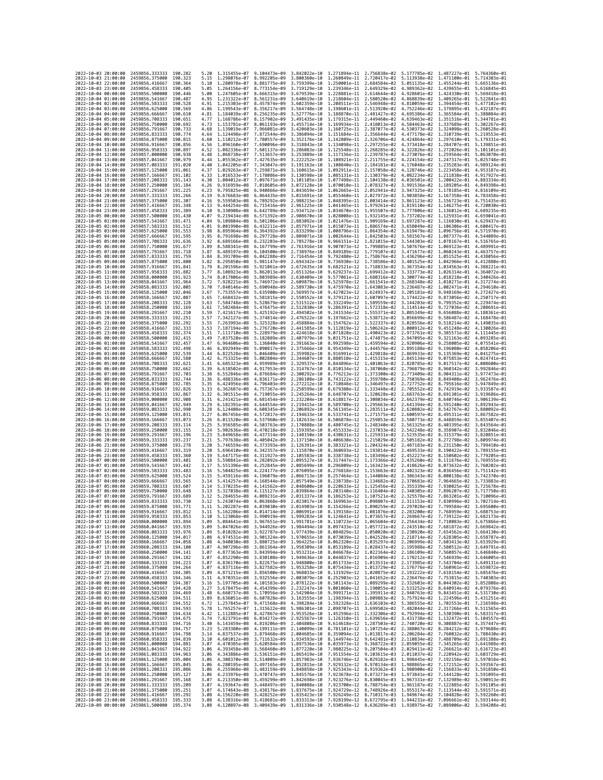| 2022-10-03 20:00:00                        |          | 2459856.333333                                   | 190.282             | 5.20         | 1.315455e-07 9.104473e-09                              |                              | 3.842022e-10 1.271894e-11 2.756838e-02                                                                                                                                                                                                                                                                                                                                                                           |                                                        |                              |                                                        | 5.177785e-02 1.487227e-01 5.764360e-01                 |                              |
|--------------------------------------------|----------|--------------------------------------------------|---------------------|--------------|--------------------------------------------------------|------------------------------|------------------------------------------------------------------------------------------------------------------------------------------------------------------------------------------------------------------------------------------------------------------------------------------------------------------------------------------------------------------------------------------------------------------|--------------------------------------------------------|------------------------------|--------------------------------------------------------|--------------------------------------------------------|------------------------------|
| 2022-10-03 21:00:00                        |          | 2459856.375000                                   | 190.323             | 5.15         | 1.298076e-07                                           | 8.992205e-09                 | 3.800360e-10                                                                                                                                                                                                                                                                                                                                                                                                     | 1.260849e-11 2.720417e-02                              |                              | 5.113938e-02                                           | 1.471100e-01                                           | 5.714303e-01                 |
| 2022-10-03 22:00:00                        |          | 2459856.416667                                   | 190.364             | 5.10         | 1.280978e-07                                           | 8.881775e-09                 | 3.759399e-10                                                                                                                                                                                                                                                                                                                                                                                                     | 1.250001e-11                                           | 2.684584e-02                 | 5.051135e-02                                           | 1.455244e-01                                           | 5.665136e-01                 |
| 2022-10-03 23:00:00<br>2022-10-04 00:00:00 |          | 2459856.458333<br>2459856.500000                 | 190.405<br>190.446  | 5.05<br>5.00 | 1.264156e-07<br>1.247605e-07                           | 8.773154e-09<br>8.666315e-09 | 3.719129e-10<br>3.679539e-10                                                                                                                                                                                                                                                                                                                                                                                     | 1.239346e-11 2.649329e-02<br>1.228881e-11 2.614644e-02 |                              | 4.989362e-02<br>4.928601e-02 1.424330e-01 5.569418e-01 | 1.439655e-01 5.616845e-01                              |                              |
| 2022-10-04 01:00:00                        |          | 2459856.541667                                   | 190.487             | 4.95         | 1.231322e-07                                           | 8.561231e-09                 | 3.640619e-10                                                                                                                                                                                                                                                                                                                                                                                                     | 1.218604e-11                                           | 2.580520e-02                 | 4.868839e-02                                           | 1.409265e-01                                           | 5.522841e-01                 |
| 2022-10-04 02:00:00                        |          | 2459856.583333                                   | 190.528             | 4.91         | 1.215303e-07                                           | 8.457874e-09                 | 3.602359e-10                                                                                                                                                                                                                                                                                                                                                                                                     | 1.208511e-11                                           | 2.546948e-02                 | 4.810059e-02                                           | 1.394454e-01                                           | 5.477102e-01                 |
| 2022-10-04 03:00:00                        |          | 2459856.625000                                   | 190.569             | 4.86         | 1.199543e-07                                           | 8.356217e-09                 | 3.564748e-10                                                                                                                                                                                                                                                                                                                                                                                                     | 1.198601e-11                                           | 2.513920e-02                 | 4.752246e-02                                           | 1.379895e-01                                           | 5.432187e-01                 |
| 2022-10-04 04:00:00<br>2022-10-04 05:00:00 |          | 2459856.666667<br>2459856.708333                 | 190.610<br>190.651  | 4.81<br>4.77 | 1.184039e-07<br>1.168786e-07                           | 8.256235e-09<br>8.157902e-09 | 3.527776e-10<br>3.491435e-10                                                                                                                                                                                                                                                                                                                                                                                     | 1.188870e-11 2.481427e-02<br>1.179315e-11              | 2.449460e-02                 | 4.695386e-02<br>4.639463e-02                           | 1.365584e-01<br>1.351516e-01                           | 5.388084e-01<br>5.344781e-01 |
| 2022-10-04 06:00:00                        |          | 2459856.750000                                   | 190.692             | 4.73         | 1.153781e-07                                           | 8.061193e-09                 | 3.455714e-10                                                                                                                                                                                                                                                                                                                                                                                                     | 1.169934e-11 2.418013e-02                              |                              | 4.584463e-02                                           | 1.337689e-01                                           | 5.302267e-01                 |
| 2022-10-04 07:00:00                        |          | 2459856.791667                                   | 190.733             | 4.68         | 1.139019e-07                                           | 7.966081e-09                 | 3.420603e-10                                                                                                                                                                                                                                                                                                                                                                                                     | 1.160725e-11                                           | 2.387077e-02                 | 4.530373e-02                                           | 1.324098e-01                                           | 5.260528e-01                 |
| 2022-10-04 08:00:00                        |          | 2459856,833333                                   | 190.774             | 4.64         | 1.124498e-07                                           | 7.872544e-09                 | 3.386094e-10                                                                                                                                                                                                                                                                                                                                                                                                     | 1.151684e-11                                           | 2.356644e-02                 | 4.477178e-02                                           | 1.310739e-01                                           | 5.219553e-01                 |
| 2022-10-04 09:00:00<br>2022-10-04 10:00:00 |          | 2459856.875000<br>2459856.916667                 | 190.815<br>190.856  | 4.60<br>4.56 | 1.110212e-07<br>1.096160e-07                           | 7.780557e-09<br>7.690096e-09 | 3.352176e-10<br>3.318843e-10                                                                                                                                                                                                                                                                                                                                                                                     | 1.142809e-11<br>1.134098e-11 2.297255e-02              | 2.326706e-02                 | 4.424864e-02<br>4.373418e-02                           | 1.297610e-01<br>1.284707e-01                           | 5.179331e-01<br>5.139851e-01 |
| 2022-10-04 11:00:00                        |          | 2459856.958333                                   | 190.897             | 4.52         | 1.082336e-07                                           | 7.601137e-09                 | 3.286083e-10                                                                                                                                                                                                                                                                                                                                                                                                     | 1.125548e-11 2.268285e-02                              |                              | 4.322826e-02                                           | 1.272026e-01                                           | 5.101101e-01                 |
| 2022-10-04 12:00:00                        |          | 2459857.000000                                   | 190.938             | 4.48         | 1.068738e-07                                           | 7.513657e-09                 | 3.253889e-10                                                                                                                                                                                                                                                                                                                                                                                                     | 1.117156e-11                                           | 2.239787e-02                 | 4.273076e-02                                           | 1.259564e-01                                           | 5.063070e-01                 |
| 2022-10-04 13:00:00                        |          | 2459857.041667                                   | 190.979             | 4.44         | 1.055362e-07                                           | 7.427635e-09                 | 3.222252e-10                                                                                                                                                                                                                                                                                                                                                                                                     | 1.108921e-11                                           | 2.211755e-02                 | 4.224154e-02                                           | 1.247317e-01                                           | 5.025748e-01                 |
| 2022-10-04 14:00:00<br>2022-10-04 15:00:00 |          | 2459857.083333<br>2459857.125000                 | 191.020<br>191.061  | 4.40<br>4.37 | 1.042205e-07<br>1.029263e-07                           | 7.343047e-09<br>7.259871e-09 | 3.191163e-10<br>3.160615e-10                                                                                                                                                                                                                                                                                                                                                                                     | 1.100840e-11 2.184181e-02<br>1.092911e-11 2.157058e-02 |                              | 4.176048e-02<br>4.128746e-02                           | 1.235283e-01 4.989124e-01<br>1.223458e-01 4.953187e-01 |                              |
| 2022-10-04 16:00:00                        |          | 2459857.166667                                   | 191.102             | 4.33         | 1.016533e-07                                           | 7.178086e-09                 | 3.130598e-10                                                                                                                                                                                                                                                                                                                                                                                                     | 1.085131e-11                                           | 2.130379e-02                 | 4.082234e-02                                           | 1.211838e-01                                           | 4.917927e-01                 |
| 2022-10-04 17:00:00                        |          | 2459857.208333                                   | 191.143             | 4.30         | 1.004012e-07                                           | 7.097671e-09                 | 3.101105e-10                                                                                                                                                                                                                                                                                                                                                                                                     | 1.077498e-11 2.104138e-02                              |                              | 4.036501e-02                                           | 1,200422e-01                                           | 4.883334e-01                 |
| 2022-10-04 18:00:00                        |          | 2459857.250000                                   | 191.184             | 4.26         | 9.916959e-08                                           | 7.018605e-09                 | 3.072128e-10                                                                                                                                                                                                                                                                                                                                                                                                     | 1.070010e-11 2.078327e-02                              |                              | 3.991536e-02                                           | 1.189205e-01                                           | 4.849398e-01                 |
| 2022-10-04 19:00:00<br>2022-10-04 20:00:00 |          | 2459857.291667<br>2459857.333333                 | 191.225<br>191.266  | 4.23         | 9.795825e-08                                           | 6.940866e-09                 | 3.043659e-10                                                                                                                                                                                                                                                                                                                                                                                                     | 1.062665e-11 2.052941e-02                              |                              | 3.947325e-02                                           | 1.178185e-01                                           | 4.816109e-01                 |
| 2022-10-04 21:00:00                        |          | 2459857.375000                                   | 191.307             | 4.19<br>4.16 | 9.676683e-08<br>9.559503e-08                           | 6.864435e-09<br>6.789292e-09 | 3.015691e-10<br>2.988215e-10                                                                                                                                                                                                                                                                                                                                                                                     | 1.055460e-11<br>1.048395e-11 2.003414e-02              | 2.027972e-02                 | 3.903858e-02<br>3.861123e-02                           | 1.167358e-01<br>1.156723e-01                           | 4.783458e-01<br>4.751435e-01 |
| 2022-10-04 22:00:00                        |          | 2459857.416667                                   | 191.348             | 4.13         | 9.444254e-08                                           | 6.715416e-09                 | 2.961225e-10                                                                                                                                                                                                                                                                                                                                                                                                     | 1.041465e-11 1.979261e-02                              |                              | 3.819110e-02                                           | 1.146275e-01 4.720030e-01                              |                              |
| 2022-10-04 23:00:00                        |          | 2459857.458333                                   | 191.389             | 4.10         | 9.330908e-08                                           | 6.642789e-09                 | 2.934712e-10                                                                                                                                                                                                                                                                                                                                                                                                     | 1.034670e-11                                           | 1.955507e-02                 | 3.777806e-02                                           | 1.136012e-01                                           | 4.689235e-01                 |
| 2022-10-05 00:00:00<br>2022-10-05 01:00:00 |          | 2459857.500000<br>2459857.541667                 | 191.430<br>191.471  | 4.07<br>4.04 | 9.219434e-08<br>9.109804e-08                           | 6.571392e-09<br>6.501206e-09 | 2.908670e-10                                                                                                                                                                                                                                                                                                                                                                                                     | 1.028008e-11 1.932145e-02<br>1.021476e-11 1.909169e-02 |                              | 3.737202e-02<br>3.697287e-02                           | 1.125931e-01                                           | 4.659041e-01<br>4.629437e-01 |
| 2022-10-05 02:00:00                        |          | 2459857.583333                                   | 191.512             | 4.01         | 9.001990e-08                                           | 6.432211e-09                 | 2.883092e-10<br>2.857971e-10                                                                                                                                                                                                                                                                                                                                                                                     | 1.015073e-11 1.886574e-02                              |                              | 3.658049e-02                                           | 1.116030e-01<br>1.106306e-01                           | 4.600417e-01                 |
| 2022-10-05 03:00:00                        |          | 2459857.625000                                   | 191.553             | 3.98         | 8.895964e-08                                           | 6.364392e-09                 | 2.833299e-10                                                                                                                                                                                                                                                                                                                                                                                                     | 1.008796e-11                                           | 1.864354e-02                 | 3.619479e-02                                           | 1.096756e-01                                           | 4.571970e-01                 |
| 2022-10-05 04:00:00                        |          | 2459857.666667                                   | 191.595             | 3.95         | 8.791698e-08                                           | 6.297728e-09                 | 2.809071e-10                                                                                                                                                                                                                                                                                                                                                                                                     | 1.002644e-11                                           | 1.842503e-02                 | 3.581567e-02                                           | 1.087377e-01                                           | 4.544089e-01                 |
| 2022-10-05 05:00:00                        |          | 2459857.708333                                   | 191.636             | 3.92         | 8.689166e-08                                           | 6.232203e-09                 | 2.785278e-10                                                                                                                                                                                                                                                                                                                                                                                                     | 9.966151e-12 1.821015e-02                              |                              | 3.544303e-02                                           | 1.078167e-01 4.516765e-01                              |                              |
| 2022-10-05 06:00:00<br>2022-10-05 07:00:00 |          | 2459857.750000<br>2459857.791667                 | 191.677<br>191.718  | 3.89<br>3.87 | 8.588341e-08<br>8.489197e-08                           | 6.167799e-09<br>6.104500e-09 | 2.761916e-10<br>2.738976e-10                                                                                                                                                                                                                                                                                                                                                                                     | 9.907073e-12<br>9.849189e-12                           | 1.799885e-02<br>1.779107e-02 | 3.507676e-02<br>3.471677e-02                           | 1.069123e-01<br>1.060243e-01                           | 4.489991e-01<br>4.463757e-01 |
| 2022-10-05 08:00:00                        |          | 2459857.833333                                   | 191.759             | 3.84         | 8.391709e-08                                           | 6.042288e-09                 | 2.716454e-10                                                                                                                                                                                                                                                                                                                                                                                                     | 9.792480e-12                                           | 1.758676e-02                 | 3.436296e-02                                           | 1.051525e-01                                           | 4.438056e-01                 |
| 2022-10-05 09:00:00                        |          | 2459857.875000                                   | 191,800             | 3.82         | 8.295850e-08                                           | 5.981147e-09                 | 2.694342e-10                                                                                                                                                                                                                                                                                                                                                                                                     | 9.736930e-12                                           | 1.738586e-02                 | 3.401525e-02                                           | 1.042966e-01                                           | 4.412880e-01                 |
| 2022-10-05 10:00:00<br>2022-10-05 11:00:00 |          | 2459857.916667                                   | 191.841             | 3.79<br>3.77 | 8.201596e-08                                           | 5.921061e-09                 | 2.672635e-10                                                                                                                                                                                                                                                                                                                                                                                                     | 9.682521e-12                                           | 1.718833e-02                 | 3.367354e-02                                           | 1.034563e-01                                           | 4.388221e-01                 |
| 2022-10-05 12:00:00                        |          | 2459857.958333<br>2459858.000000                 | 191.882<br>191.923  | 3.74         | 8.108923e-08<br>8.017806e-08                           | 5.862013e-09<br>5.803989e-09 | 2.651326e-10<br>2.630409e-10                                                                                                                                                                                                                                                                                                                                                                                     | 9.629237e-12<br>9.577061e-12                           | 1.699412e-02<br>1.680316e-02 | 3.333773e-02<br>3.300774e-02                           | 1.026314e-01<br>1.018218e-01                           | 4.364072e-01<br>4.340426e-01 |
| 2022-10-05 13:00:00                        |          | 2459858.041667                                   | 191.964             | 3.72         | 7.928221e-08                                           | 5.746972e-09                 | 2.609879e-10                                                                                                                                                                                                                                                                                                                                                                                                     | 9.525978e-12                                           | 1.661541e-02                 | 3.268348e-02                                           | 1.010271e-01                                           | 4.317274e-01                 |
| 2022-10-05 14:00:00                        |          | 2459858.083333                                   | 192.005             | 3.70         | 7.840146e-08                                           | 5.690948e-09                 | 2.589730e-10                                                                                                                                                                                                                                                                                                                                                                                                     | 9.475970e-12                                           | 1.643083e-02                 | 3.236487e-02                                           | 1.002471e-01                                           | 4.294610e-01                 |
| 2022-10-05 15:00:00                        |          | 2459858,125000                                   | 192,046             | 3.67         | 7.753557e-08                                           | 5.635900e-09                 | 2.569957e-10                                                                                                                                                                                                                                                                                                                                                                                                     | 9.427023e-12                                           | 1.624937e-02 3.205181e-02    |                                                        | 9.948169e-02                                           | 4.272427e-01                 |
| 2022-10-05 16:00:00<br>2022-10-05 17:00:00 |          | 2459858.166667<br>2459858.208333                 | 192,087<br>192.128  | 3.65<br>3.63 | 7.668432e-08<br>7.584748e-08                           | 5.581815e-09<br>5.528679e-09 | 2.550552e-10<br>2.531512e-10                                                                                                                                                                                                                                                                                                                                                                                     | 9.379121e-12 1.607097e-02<br>9.332249e-12              | 1.589559e-02                 | 3.174422e-02<br>3.144203e-02                           | 9.873056e-02<br>9.799352e-02                           | 4.250717e-01<br>4.229474e-01 |
| 2022-10-05 18:00:00                        |          | 2459858.250000                                   | 192, 169            | 3.61         | 7.502484e-08                                           | 5.476475e-09                 | 2.512830e-10                                                                                                                                                                                                                                                                                                                                                                                                     | 9.286391e-12                                           | 1.572318e-02                 | 3.114514e-02                                           | 9.727036e-02                                           | 4.208691e-01                 |
| 2022-10-05 19:00:00                        |          | 2459858.291667                                   | 192,210             | 3.59         | 7.421617e-08                                           | 5.425192e-09                 | 2.494502e-10                                                                                                                                                                                                                                                                                                                                                                                                     | 9.241534e-12                                           | 1.555371e-02                 | 3.085349e-02                                           | 9.656088e-02                                           | 4.188361e-01                 |
| 2022-10-05 20:00:00                        |          | 2459858.333333                                   | 192.251             | 3.57         | 7.342127e-08                                           | 5.374814e-09                 | 2.476522e-10                                                                                                                                                                                                                                                                                                                                                                                                     | 9.197662e-12 1.538712e-02                              |                              | 3.056699e-02                                           | 9.586487e-02                                           | 4.168478e-01                 |
| 2022-10-05 21:00:00<br>2022-10-05 22:00:00 |          | 2459858.375000<br>2459858.416667                 | 192.292<br>192.333  | 3.55<br>3.53 | 7.263993e-08<br>7.187194e-08                           | 5.325328e-09<br>5.276720e-09 | 2.458884e-10<br>2.441585e-10                                                                                                                                                                                                                                                                                                                                                                                     | 9.154762e-12<br>9.112819e-12                           | 1.522337e-02<br>1.506242e-02 | 3.028556e-02<br>3.000912e-02                           | 9.518214e-02<br>9.451248e-02                           | 4.149035e-01<br>4.130026e-01 |
| 2022-10-05 23:00:00                        |          | 2459858.458333                                   | 192.374             | 3.51         | 7.111710e-08                                           | 5.228979e-09                 | 2.424618e-10                                                                                                                                                                                                                                                                                                                                                                                                     | 9.071820e-12                                           | 1.490423e-02                 | 2.973761e-02                                           | 9.385571e-02                                           | 4.111445e-01                 |
| 2022-10-06 00:00:00                        |          | 2459858,500000                                   | 192.415             | 3.49         | 7.037520e-08                                           | 5.182089e-09                 | 2.407979e-10                                                                                                                                                                                                                                                                                                                                                                                                     | 9.031751e-12                                           | 1.474875e-02                 | 2.947095e-02                                           | 9.321163e-02                                           | 4.093285e-01                 |
| 2022-10-06 01:00:00                        |          | 2459858.541667                                   | 192.457             | 3.47         | 6.964606e-08                                           | 5.136040e-09                 | 2.391663e-10                                                                                                                                                                                                                                                                                                                                                                                                     | 8.992598e-12                                           | 1.459594e-02                 | 2.920906e-02                                           | 9.258005e-02                                           | 4.075541e-01                 |
| 2022-10-06 02:00:00<br>2022-10-06 03:00:00 |          | 2459858.583333<br>2459858.625000                 | 192.498<br>192.539  | 3.46<br>3.44 | 6.892949e-08<br>6.822528e-08                           | 5.090817e-09<br>5.046409e-09 | 2.375666e-10<br>2.359982e-10                                                                                                                                                                                                                                                                                                                                                                                     | 8.954349e-12<br>8.916991e-12                           | 1.444576e-02<br>1.429818e-02 | 2.895188e-02<br>2.869933e-02                           | 9.196080e-02<br>9.135369e-02                           | 4.058206e-01<br>4.041275e-01 |
| 2022-10-06 04:00:00                        |          | 2459858.666667                                   | 192.580             | 3.42         | 6.753325e-08                                           | 5.002804e-09                 | 2.344607e-10                                                                                                                                                                                                                                                                                                                                                                                                     | 8.880510e-12                                           | 1.415315e-02                 | 2.845134e-02                                           | 9.075853e-02                                           | 4.024741e-01                 |
| 2022-10-06 05:00:00                        |          | 2459858.708333                                   | 192.621             | 3.41         | 6.685323e-08                                           | 4,959989e-09                 | 2.329537e-10                                                                                                                                                                                                                                                                                                                                                                                                     | 8.844896e-12                                           | 1.401063e-02                 | 2.820785e-02                                           | 9.017517e-02                                           | 4.008600e-01                 |
| 2022-10-06 06:00:00                        |          | 2459858.750000                                   | 192.662             | 3.39         | 6.618502e-08                                           | 4.917953e-09                 | 2.314767e-10                                                                                                                                                                                                                                                                                                                                                                                                     | 8.810134e-12                                           | 1.387060e-02                 | 2.796879e-02                                           | 8.960342e-02                                           | 3.992846e-01                 |
| 2022-10-06 07:00:00<br>2022-10-06 08:00:00 |          | 2459858.791667<br>2459858.833333                 | 192.703<br>192,744  | 3.38<br>3.36 | 6.552846e-08<br>6.488336e-08                           | 4.876684e-09<br>4.836171e-09 | 2.300292e-10<br>2.286108e-10                                                                                                                                                                                                                                                                                                                                                                                     | 8.776213e-12 1.373300e-02<br>8.743122e-12              | 1.359780e-02                 | 2.773409e-02<br>2.750369e-02                           | 8.904311e-02<br>8.849408e-02                           | 3.977473e-01<br>3.962476e-01 |
| 2022-10-06 09:00:00                        |          | 2459858.875000                                   | 192,785             | 3.35         | 6.424956e-08                                           | 4.796403e-09                 | 2.272212e-10                                                                                                                                                                                                                                                                                                                                                                                                     | 8.710848e-12                                           | 1.346497e-02                 | 2.727752e-02                                           | 8.795616e-02                                           | 3.947849e-01                 |
| 2022-10-06 10:00:00                        |          | 2459858.916667                                   | 192.826             | 3.33         | 6.362687e-08                                           | 4.757367e-09                 | 2.258599e-10                                                                                                                                                                                                                                                                                                                                                                                                     | 8.679380e-12 1.333448e-02                              |                              | 2.705552e-02                                           | 8.742919e-02                                           | 3.933587e-01                 |
| 2022-10-06 11:00:00                        |          | 2459858.958333                                   | 192.867             | 3.32         | 6.301515e-08                                           | 4.719055e-09                 | 2.245264e-10                                                                                                                                                                                                                                                                                                                                                                                                     | 8.648707e-12                                           | 1.320628e-02                 | 2.683763e-02                                           | 8.691301e-02                                           | 3.919686e-01                 |
| 2022-10-06 12:00:00<br>2022-10-06 13:00:00 |          | 2459859.000000<br>2459859.041667                 | 192,908<br>192.949  | 3.31<br>3.29 | 6.241421e-08<br>6.182391e-08                           | 4.681454e-09<br>4.644554e-09 | 2.232204e-10<br>2.219415e-10                                                                                                                                                                                                                                                                                                                                                                                     | 8.618817e-12<br>8.589700e-12 1.295663e-02              | 1.308034e-02                 | 2.662379e-02<br>2.641394e-02                           | 8.640746e-02<br>8.591240e-02                           | 3.906139e-01<br>3.892943e-01 |
| 2022-10-06 14:00:00                        |          | 2459859.083333                                   | 192.990             | 3.28         | 6.124408e-08                                           | 4.608345e-09                 | 2.206892e-10                                                                                                                                                                                                                                                                                                                                                                                                     | 8.561345e-12 1.283511e-02                              |                              | 2.620802e-02                                           | 8.542767e-02                                           | 3.880092e-01                 |
| 2022-10-06 15:00:00                        |          | 2459859.125000                                   | 193.031             | 3.27         | 6.067456e-08                                           | 4.572817e-09                 | 2.194633e-10                                                                                                                                                                                                                                                                                                                                                                                                     | 8.533741e-12                                           | 1.271575e-02                 | 2.600597e-02                                           | 8.495311e-02                                           | 3.867582e-01                 |
| 2022-10-06 16:00:00                        |          | 2459859.166667                                   | 193.073             | 3.26         | 6.011520e-08                                           | 4.537960e-09                 | 2.182633e-10                                                                                                                                                                                                                                                                                                                                                                                                     | 8.506878e-12                                           | 1.259853e-02                 | 2.580773e-02                                           | 8.448859e-02                                           | 3.855407e-01                 |
| 2022-10-06 17:00:00<br>2022-10-06 18:00:00 |          | 2459859.208333<br>2459859.250000                 | 193, 114<br>193.155 | 3.25<br>3.24 | 5.956585e-08<br>5.902636e-08                           | 4.503763e-09<br>4,470218e-09 | 2.170888e-10<br>2.159395e-10                                                                                                                                                                                                                                                                                                                                                                                     | 8.480745e-12<br>8.455333e-12 1.237033e-02              | 1.248340e-02                 | 2.561325e-02<br>2.542248e-02                           | 8.403395e-02<br>8.358907e-02                           | 3.843564e-01<br>3.832046e-01 |
| 2022-10-06 19:00:00                        |          | 2459859.291667                                   | 193, 196            | 3.23         | 5.849658e-08                                           | 4.437314e-09                 | 2.148150e-10                                                                                                                                                                                                                                                                                                                                                                                                     | 8.430631e-12                                           | 1.225931e-02                 | 2.523535e-02                                           | 8.315379e-02                                           | 3.820851e-01                 |
| 2022-10-06 20:00:00                        |          | 2459859.333333                                   | 193.237             | 3.21         | 5.797638e-08                                           | 4.405042e-09                 | 2.137150e-10                                                                                                                                                                                                                                                                                                                                                                                                     | 8.406630e-12                                           | 1.215029e-02                 | 2.505182e-02                                           | 8.272798e-02                                           | 3.809974e-01                 |
| 2022-10-06 21:00:00<br>2022-10-06 22:00:00 |          | 2459859.375000                                   | 193.278             | 3.20         | 5.746559e-08<br>5.696410e-08                           | 4.373393e-09                 | 2.126391e-10                                                                                                                                                                                                                                                                                                                                                                                                     |                                                        | 8.383321e-12 1.204324e-02    | 2.487183e-02                                           | 8.231150e-02                                           | 3.799410e-01<br>3.789155e-01 |
| 2022-10-06 23:00:00                        |          | 2459859.416667                                   | 193.319             | 3.20         |                                                        |                              |                                                                                                                                                                                                                                                                                                                                                                                                                  |                                                        |                              |                                                        |                                                        |                              |
| 2022-10-07 00:00:00                        |          |                                                  |                     |              |                                                        | 4.342357e-09                 | 2.115870e-10                                                                                                                                                                                                                                                                                                                                                                                                     | 8.360693e-12 1.193814e-02                              |                              | 2.469533e-02                                           | 8.190422e-02                                           |                              |
| 2022-10-07 01:00:00                        |          | 2459859.458333<br>2459859,500000                 | 193, 360            | 3.19<br>3.18 | 5.647175e-08                                           | 4.311927e-09<br>4.282092e-09 | 2.105583e-10                                                                                                                                                                                                                                                                                                                                                                                                     | 8.338738e-12                                           | 1.183496e-02                 | 2.452227e-02                                           | 8.150602e-02                                           | 3.779205e-01<br>3.769555e-01 |
|                                            |          | 2459859.541667                                   | 193.401<br>193.442  | 3.17         | 5.598841e-08<br>5.551396e-08                           | 4.252845e-09                 | 2.095527e-10<br>2.085699e-10                                                                                                                                                                                                                                                                                                                                                                                     | 8.317447e-12<br>8.296809e-12                           | 1.173366e-02<br>1.163423e-02 | 2.435260e-02<br>2.418626e-02                           | 8.111676e-02<br>8.073632e-02                           | 3.760202e-01                 |
| 2022-10-07 02:00:00                        |          | 2459859.583333                                   | 193.483             | 3.16         | 5.504825e-08                                           | 4.224177e-09                 | 2.076095e-10                                                                                                                                                                                                                                                                                                                                                                                                     | 8.276818e-12                                           | 1.153663e-02                 | 2.402323e-02                                           | 8.036456e-02                                           | 3.751142e-01                 |
| 2022-10-07 03:00:00                        |          | 2459859.625000                                   | 193.524<br>193.565  | 3.15         | 5.459116e-08                                           | 4.196079e-09                 | 2.066713e-10                                                                                                                                                                                                                                                                                                                                                                                                     | 8.257464e-12                                           | 1.144084e-02                 | 2.386343e-02                                           | 8.000138e-02                                           | 3.742370e-01<br>3.733883e-01 |
| 2022-10-07 04:00:00<br>2022-10-07 05:00:00 |          | 2459859.666667<br>2459859.708333                 | 193.607             | 3.14<br>3.14 | 5.414257e-08<br>5.370235e-08                           | 4.168544e-09<br>4.141562e-09 | 2.057549e-10<br>2.048600e-10                                                                                                                                                                                                                                                                                                                                                                                     | 8.238738e-12<br>8.220633e-12                           | 1.134682e-02<br>1.125456e-02 | 2.370683e-02<br>2.355339e-02                           | 7.964665e-02<br>7.930025e-02                           | 3.725678e-01                 |
| 2022-10-07 06:00:00                        |          | 2459859.750000                                   | 193.648             | 3.13         | 5.327038e-08                                           | 4.115127e-09                 | 2.039864e-10                                                                                                                                                                                                                                                                                                                                                                                                     | 8.203140e-12                                           | 1.116404e-02                 | 2.340305e-02                                           | 7.896207e-02                                           | 3.717750e-01                 |
| 2022-10-07 07:00:00                        |          | 2459859.791667                                   | 193.689             | 3.12         | 5.284655e-08                                           | 4,089231e-09                 | 2.031337e-10                                                                                                                                                                                                                                                                                                                                                                                                     | 8.186253e-12                                           |                              | 1.107521e-02 2.325578e-02                              | 7.863201e-02                                           | 3.710096e-01                 |
| 2022-10-07 08:00:00<br>2022-10-07 09:00:00 |          | 2459859.833333<br>2459859.875000                 | 193.730<br>193.771  | 3.12<br>3.11 | 5.243074e-08 4.063868e-09<br>5.202287e-08 4.039030e-09 |                              | 2.023017e-10 8.169963e-12 1.098807e-02 2.311153e-02 7.830996e-02 3.702714e-01                                                                                                                                                                                                                                                                                                                                    |                                                        |                              |                                                        | 7.799584e-02 3.695600e-01                              |                              |
| 2022<br>-10-07                             | 10:00:00 | 2459859.916667                                   | 193.812             |              | .162286e-08                                            | 4.014714e-09                 | 2.014903e-10 8.154266e-12 1.090259e-02 2.297028e-02<br>2.006991e-10                                                                                                                                                                                                                                                                                                                                              | 8.139158e-12                                           | 1.081876e-02                 | 2.283200e-02                                           | .768959e-02                                            | 3.688753e-01                 |
| 2022-10-07 11:00:00                        |          | 2459859.958333 193.853                           |                     | 3.10         |                                                        |                              | 5.123068e-08 3.990919e-09 1.999283e-10 8.124641e-12 1.073657e-02 2.269667e-02 7.739122e-02 3.682173e-01                                                                                                                                                                                                                                                                                                          |                                                        |                              |                                                        |                                                        |                              |
| 2022-10-07 12:00:00                        |          | 2459860.000000                                   | 193.894             | 3.09         |                                                        |                              | 5.084641e-08 3.967651e-09 1.991781e-10 8.110723e-12 1.065604e-02 2.256434e-02 7.710083e-02 3.675866e-01                                                                                                                                                                                                                                                                                                          |                                                        |                              |                                                        |                                                        |                              |
| 2022-10-07 13:00:00<br>2022-10-07 14:00:00 |          | 2459860.041667<br>2459860.083333 193.976         | 193.935             |              |                                                        |                              |                                                                                                                                                                                                                                                                                                                                                                                                                  |                                                        |                              |                                                        |                                                        |                              |
| 2022-10-07 15:00:00                        |          | 2459860.125000 194.017                           |                     |              |                                                        |                              | $\frac{3.09}{3.047026e-08} \quad \frac{3.944926e-09}{3.92787e-09} \quad \frac{1.984494e-10}{1.977439e-10} \quad \frac{8.097433e-12}{3.061872e-02} \quad \frac{1.057721e-02}{1.050020e-02} \quad \frac{2.243510e-02}{2.230920e-02} \quad \frac{7.681872e-02}{7.654562e-02} \quad \frac{3.669842e$<br>3.08 4.974531e-08 3.901324e-09 1.970655e-10 8.073039e-12 1.042528e-02 2.218714e-02 7.628305e-02 3.658787e-01 |                                                        |                              |                                                        |                                                        |                              |
|                                            |          | 2459860.166667                                   | 194.058             | 3.08         |                                                        |                              |                                                                                                                                                                                                                                                                                                                                                                                                                  |                                                        |                              |                                                        | 7.603413e-02 3.653929e-01                              |                              |
| 2022-10-07 16:00:00<br>2022-10-07 17:00:00 |          | 2459860.208333                                   | 194.100             | 3.07         |                                                        |                              | $\begin{array}{cccccc} 4.940030e-08 & 3.880725e-09 & 1.964225e-10 & 8.062320e-12 & 1.035297e-02 & 2.206999e-02 \\ 4.940030e-08 & 3.861364e-09 & 1.958309e-10 & 8.053189e-12 & 1.028437e-02 & 2.195988e-02 \end{array}$                                                                                                                                                                                           |                                                        |                              |                                                        | 7.580512e-02<br>7.560857e-02 3.646840e-01              | 3.649791e-01                 |
| 2022-10-07 18:00:00<br>2022-10-07 19:00:00 |          | 2459860.250000 194.141<br>2459860.291667 194.182 |                     | 3.07         |                                                        |                              | 4.877363e-08 3.843994e-09 1.953231e-10 8.046678e-12 1.022164e-02 2.186109e-02<br>3.07 4.852290e-08 3.830108e-09 1.949636e-10 8.044837e-12 1.016909e-02 2.178212e-02 7.546939e-02 3.646005e-01                                                                                                                                                                                                                    |                                                        |                              |                                                        |                                                        |                              |
| 2022-10-07 20:00:00                        |          | 2459860.333333                                   | 194.223             |              |                                                        |                              |                                                                                                                                                                                                                                                                                                                                                                                                                  |                                                        |                              |                                                        |                                                        |                              |
| 2022-10-07 21:00:00                        |          | 2459860.375000                                   | 194.264             |              |                                                        |                              |                                                                                                                                                                                                                                                                                                                                                                                                                  |                                                        |                              |                                                        |                                                        |                              |
| 2022-10-07 22:00:00<br>2022-10-07 23:00:00 |          | 2459860.416667                                   | 194.305             |              |                                                        |                              | 0.07 1.0351106-08 3.8226756-09 1.948800c-10 8.0517336-12 1.0135316-02 2.1739856-02 7.5437046-02 3.6491316-01<br>1.07 4.8361106-08 3.8226756-09 1.948800c-10 8.0754346-12 1.0137536-02 2.1739856-02 7.5699046-02 3.6491316-01<br>1.09                                                                                                                                                                             |                                                        |                              |                                                        |                                                        |                              |
| 2022-10-08 00:00:00                        |          | 2459860.458333 194.346<br>2459860.500000         | 194.387             |              |                                                        |                              |                                                                                                                                                                                                                                                                                                                                                                                                                  |                                                        |                              |                                                        |                                                        |                              |
| 2022-10-08 01:00:00                        |          | 2459860.541667 194.428                           |                     |              |                                                        |                              | 08 11 4.9703516-08 3.9325566-09 2.0030796-10 8.2529036-12 1.0416526-02 2.2364766-02 7.7538156-02 3.7403036-01<br>3.16 5.1977056-08 4.1015836-09 2.0030796-10 8.5011436-12 1.0092996-02 2.335696-02 3.0443026-02 3.852806-01<br>3.27                                                                                                                                                                              |                                                        |                              |                                                        |                                                        |                              |
| 2022-10-08 02:00:00                        |          | 2459860.583333 194.469                           |                     |              |                                                        |                              |                                                                                                                                                                                                                                                                                                                                                                                                                  |                                                        |                              |                                                        |                                                        |                              |
| 2022-10-08 03:00:00<br>2022-10-08 04:00:00 |          | 2459860.625000<br>2459860.666667 194.552         | 194.511             |              |                                                        |                              |                                                                                                                                                                                                                                                                                                                                                                                                                  |                                                        |                              |                                                        |                                                        |                              |
| 2022-10-08 05:00:00                        |          | 2459860.708333 194.593                           |                     |              |                                                        |                              | 3.48 6.660737e-08 5.170956e-09 2.542904e-10 9.999171e-12 1.395911e-02 2.940763e-02 9.843451e-02 4.531730e-01<br>3.89 8.636051e-08 6.607828e-09 3.163555e-10 1.198394e-11 1.809883e-02 3.757924e-02 1.224596e-01 5.431251e-01<br>4.72<br>5.78 1.765257e-07 1.315622e-08 5.986301e-10 2.098707e-11 3.699502e-02 7.482044e-02 2.317266e-01 9.511565e-01                                                             |                                                        |                              |                                                        |                                                        |                              |
| 2022-10-08 06:00:00                        |          | 2459860.750000 194.634                           |                     |              |                                                        |                              | 4.42 1.112885e-07 8.427867e-09 3.953526e-10 1.452596e-11 2.332306e-02 4.792994e-02 1.530390e-01 6.583317e-01                                                                                                                                                                                                                                                                                                     |                                                        |                              |                                                        |                                                        |                              |
| 2022-10-08 07:00:00                        |          | 2459860.791667                                   | 194.675             |              |                                                        |                              |                                                                                                                                                                                                                                                                                                                                                                                                                  |                                                        |                              |                                                        |                                                        |                              |
| 2022-10-08 08:00:00<br>2022-10-08 09:00:00 |          | 2459860.833333<br>2459860.875000 194.757         | 194.716             |              |                                                        |                              | 3.74 7.823791e-08 6.034272e-09 2.925567e-10 1.126310e-11 1.639656e-02 3.431738e-02 1.132472e-01 5.104557e-01<br>3.40 6.143459e-08 4.819206e-09 2.404808e-10 9.614618e-12 1.287503e-02 2.740720e-02 9.308887e-02 4.357447e-01<br>3.23 5.283380e-08 4.199111e-09 2.140099e-10 8.781101e-12 1.107254e-02 2.388067e-02 8.284212e-02 3.979688e-01                                                                     |                                                        |                              |                                                        |                                                        |                              |
| 2022-10-08 10:00:00                        |          | 2459860.916667 194.798                           |                     |              |                                                        |                              |                                                                                                                                                                                                                                                                                                                                                                                                                  |                                                        |                              |                                                        |                                                        |                              |
| 2022-10-08 11:00:00                        |          | 2459860.958333                                   | 194.839             |              |                                                        |                              |                                                                                                                                                                                                                                                                                                                                                                                                                  |                                                        |                              |                                                        |                                                        |                              |
| 2022-10-08 12:00:00                        |          | 2459861.000000 194.881                           |                     |              |                                                        |                              |                                                                                                                                                                                                                                                                                                                                                                                                                  |                                                        |                              |                                                        |                                                        |                              |
| 2022-10-08 13:00:00<br>2022-10-08 14:00:00 |          | 2459861.041667 194.922<br>2459861.083333 194.963 |                     |              |                                                        |                              | 3.14 4.837537e-08 3.879468e-09 1.08765e-10 8.359994e-12 1.013817e-02 2.206284e-02 7.760032e-02 3.788430e-01<br>3.07 4.470385e-08 3.711632e-09 1.937536e-10 8.149794e-12 9.368722e-03 2.110834e-02 7.488709e-02 3.631388e-01<br>3.07                                                                                                                                                                              |                                                        |                              |                                                        |                                                        |                              |
| 2022-10-08 15:00:00                        |          | 2459861.125000                                   | 195,004             |              |                                                        |                              | 3.06 4.343886e-08 3.536151e-09 1.865419e-10 7.951554e-12 9.103615e-03 2.011037e-02 7.220942e-02 3.603729e-01<br>3.06 4.308370e-08 3.514009e-09 1.857983e-10 7.936746e-12 9.029182e-03 1.998445e-02 7.192156e-02 3.597018e-01                                                                                                                                                                                     |                                                        |                              |                                                        |                                                        |                              |
| 2022-10-08 16:00:00                        |          | 2459861.166667 195.045                           |                     |              |                                                        |                              | 3.06 4.280195e-08 3.497165e-09 1.852815e-10 7.929132e-12 8.970134e-03 1.988865e-02 7.172152e-02 3.593567e-01                                                                                                                                                                                                                                                                                                     |                                                        |                              |                                                        |                                                        |                              |
| 2022-10-08 17:00:00                        |          | 2459861.208333 195.086                           |                     |              |                                                        |                              |                                                                                                                                                                                                                                                                                                                                                                                                                  |                                                        |                              |                                                        |                                                        |                              |
| 2022-10-08 18:00:00<br>2022-10-08 19:00:00 |          | 2459861.250000<br>2459861.291667 195.168         | 195.127             |              |                                                        |                              |                                                                                                                                                                                                                                                                                                                                                                                                                  |                                                        |                              |                                                        |                                                        |                              |
| 2022-10-08 20:00:00                        |          | 2459861.333333 195.209                           |                     |              |                                                        |                              | 3.06 4.255968e-08 3.483159e-09 1.848858e-10 7.925343e-12 8.919362e-03 1.980900e-02 7.156833e-02 3.591850e-01<br>3.06 4.235976e-08 3.470747e-09 1.845376e-10 7.925378e-12 8.873273e-03 1.978040e-02 7.156833e-02 3.591850e-01<br>3.07<br>3.07 4.193647e-08 3.448497e-09 1.840088e-10 7.923700e-12 8.788754e-03 1.961187e-02 7.122885e-02 3.591105e-01                                                             |                                                        |                              |                                                        |                                                        |                              |
| 2022-10-08 21:00:00                        |          | 2459861.375000 195.251                           |                     |              |                                                        |                              |                                                                                                                                                                                                                                                                                                                                                                                                                  |                                                        |                              |                                                        |                                                        |                              |
| 2022-10-08 22:00:00<br>2022-10-08 23:00:00 |          | 2459861.416667<br>2459861.458333 195.333         | 195.292             |              |                                                        |                              | 0.07 1.174643e-08 3.438176e-09 1.837675e-10 7.924729e-12 8.748926e-03 1.955317e-02 7.113544e-02 3.591571e-01<br>1.08 4.156220e-08 3.4281252e-09 1.835475e-10 7.924729e-12 8.748926e-03 1.995317e-02 7.114344e-02 3.591571e-01<br>1.0                                                                                                                                                                             |                                                        |                              |                                                        |                                                        |                              |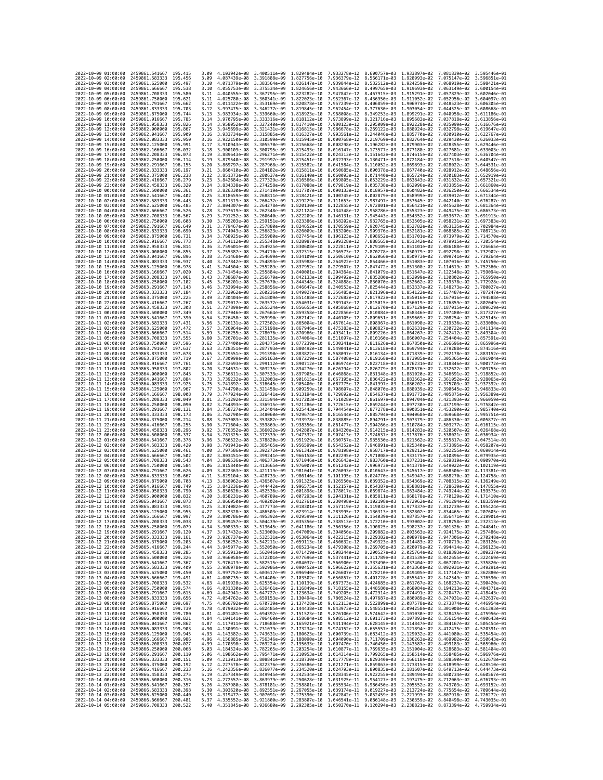| 2022-10-09 01:00:00                                               |                     | 2459861.541667                                     | 195.415                       | 3.09         | 4.103942e-08                              | 3.400511e-09                              | 1.829484e-10                 | 7.933278e-12                 |                                           | 8.600757e-03 1.933897e-02                                                                                                                                                                                                                                                                                                                                                      | 7.081839e-02                 | 3.595446e-0                  |
|-------------------------------------------------------------------|---------------------|----------------------------------------------------|-------------------------------|--------------|-------------------------------------------|-------------------------------------------|------------------------------|------------------------------|-------------------------------------------|--------------------------------------------------------------------------------------------------------------------------------------------------------------------------------------------------------------------------------------------------------------------------------------------------------------------------------------------------------------------------------|------------------------------|------------------------------|
| 2022-10-09 02:00:00                                               |                     | 2459861.583333                                     | 195.456                       | 3.09         | 4.087439e-08                              | 3.391888e-09                              | 1.827756e-10                 | 7.936379e-12                 | 8.566171e-03                              | 1,928993e-02                                                                                                                                                                                                                                                                                                                                                                   | 7.075147e-02                 | 3.596851e-01                 |
| 2022-10-09 03:00:00                                               |                     | 2459861.625000                                     | 195.497                       | 3.10         | 4.071379e-08                              | 3.383564e-09                              | 1.826147e-10                 | 7.939844e-12                 | 8.532512e-03                              | 1.924259e-02                                                                                                                                                                                                                                                                                                                                                                   | 7.068919e-02                 | 3.598421e-01                 |
| 2022-10-09 04:00:00                                               |                     | 2459861.666667                                     | 195.538                       | 3.10         | 4.055753e-08 3.375534e-09                 |                                           | 1.824656e-10                 | 7.943666e-12                 |                                           | 8.499765e-03 1.919693e-02                                                                                                                                                                                                                                                                                                                                                      | 7.063149e-02 3.600154e-01    |                              |
| 2022-10-09 05:00:00                                               |                     | 2459861.708333                                     | 195.580                       | 3.11         | 4.040555e-08 3.367795e-09                 |                                           | 1.823282e-10                 | 7.947842e-12                 |                                           | 8.467915e-03 1.915291e-02                                                                                                                                                                                                                                                                                                                                                      | 7.057829e-02 3.602046e-01    |                              |
| 2022-10-09 06:00:00                                               |                     | 2459861.750000                                     | 195.621                       | 3.11         | 4.025780e-08                              | 3.360341e-09                              | 1.822023e-10                 | 7.952367e-12                 | 8.436950e-03                              | 1.911052e-02                                                                                                                                                                                                                                                                                                                                                                   | 7.052956e-02                 | 3.604097e-01                 |
| 2022-10-09 07:00:00<br>2022-10-09 08:00:00                        |                     | 2459861.791667<br>2459861.833333                   | 195.662<br>195,703            | 3.12<br>3.12 | 4.011422e-08<br>3.997475e-08              | 3.353169e-09<br>3.346277e-09              | 1.820878e-10<br>1,819845e-10 | 7.957239e-12<br>7.962454e-12 | 8.406859e-03<br>8.377630e-03              | 1.906974e-02<br>1.903054e-02                                                                                                                                                                                                                                                                                                                                                   | 7.048523e-02<br>7.044525e-02 | 3.606305e-01<br>3.608668e-01 |
| 2022-10-09 09:00:00                                               |                     | 2459861.875000                                     | 195.744                       | 3.13         | 3.983934e-08 3.339660e-09                 |                                           | 1.818923e-10                 | 7.968008e-12                 | 8.349253e-03                              | 1,899291e-02                                                                                                                                                                                                                                                                                                                                                                   | 7.040958e-02                 | 3.611186e-01                 |
| 2022-10-09 10:00:00                                               |                     | 2459861.916667                                     | 195.785                       | 3.14         | 3.970795e-08                              | 3.333316e-09                              | 1,818112e-10                 | 7.973899e-12                 | 8.321716e-03                              | 1.895683e-02                                                                                                                                                                                                                                                                                                                                                                   | 7.037818e-02                 | 3.613856e-01                 |
| 2022-10-09 11:00:00                                               |                     | 2459861.958333                                     | 195.826                       | 3.14         | 3.958052e-08                              | 3.327240e-09                              | 1.817410e-10                 | 7.980123e-12                 | 8.295009e-03                              | 1,892228e-02                                                                                                                                                                                                                                                                                                                                                                   | 7.035099e-02                 | 3.616676e-01                 |
| 2022-10-09 12:00:00                                               |                     | 2459862.000000                                     | 195.867                       | 3.15         | 3.945699e-08                              | 3.321431e-09                              | 1.816815e-10                 | 7.986678e-12                 | 8.269122e-03                              | 1.888924e-02                                                                                                                                                                                                                                                                                                                                                                   | 7.032798e-02                 | 3.619647e-01                 |
| 2022-10-09 13:00:00                                               |                     | 2459862.041667                                     | 195.909                       | 3.16         | 3.933734e-08                              | 3.315885e-09                              | 1.816327e-10                 | 7.993561e-12                 | 8.244046e-03                              | 1.885770e-02                                                                                                                                                                                                                                                                                                                                                                   | 7.030910e-02                 | 3.622767e-01                 |
| 2022-10-09 14:00:00                                               |                     | 2459862.083333                                     | 195.950                       | 3.16         | 3.922150e-08                              | 3.310599e-09                              | 1.815945e-10                 | 8.000768e-12                 | 8.219769e-03                              | 1.882764e-02                                                                                                                                                                                                                                                                                                                                                                   | 7.029430e-02                 | 3.626033e-01                 |
| 2022-10-09 15:00:00                                               |                     | 2459862.125000                                     | 195.991                       | 3.17         | 3.910943e-08 3.305570e-09                 |                                           | 1.815668e-10                 | 8.008298e-12                 | 8.196282e-03                              | 1.879903e-02                                                                                                                                                                                                                                                                                                                                                                   | 7.028355e-02                 | 3.629446e-01                 |
| 2022-10-09 16:00:00<br>2022-10-09 17:00:00                        |                     | 2459862.166667<br>2459862.208333                   | 196,032<br>196.073            | 3.18<br>3.19 | 3.900109e-08 3.300795e-09<br>3.889643e-08 | 3.296271e-09                              | 1.815493e-10<br>1.815422e-10 | 8.016147e-12<br>8.024313e-12 | 8.173577e-03<br>8.151642e-03              | 1.877188e-02<br>1.874615e-02                                                                                                                                                                                                                                                                                                                                                   | 7.027681e-02<br>7.027403e-02 | 3.633003e-01<br>3.636704e-01 |
| 2022-10-09 18:00:00                                               |                     | 2459862.250000                                     | 196.114                       | 3.19         | 3.879540e-08                              | 3.291997e-09                              | 1.815451e-10                 | 8.032793e-12                 | 8.130471e-03                              | 1.872184e-02                                                                                                                                                                                                                                                                                                                                                                   | 7.027518e-02                 | 3.640547e-01                 |
| 2022-10-09 19:00:00                                               |                     | 2459862.291667                                     | 196, 155                      | 3.20         | 3.869797e-08                              | 3.287968e-09                              | 1.815582e-10                 | 8.041584e-12                 | 8.110052e-03                              | 1.869893e-02                                                                                                                                                                                                                                                                                                                                                                   | 7.028022e-02                 | 3.644531e-01                 |
| 2022-10-09 20:00:00                                               |                     | 2459862.333333                                     | 196,197                       | 3.21         | 3.860410e-08 3.284182e-09                 |                                           | 1.815811e-10                 | 8.050685e-12                 | 8.090378e-03                              | 1,867740e-02                                                                                                                                                                                                                                                                                                                                                                   | 7.028912e-02                 | 3.648656e-01                 |
| 2022-10-09 21:00:00                                               |                     | 2459862.375000                                     | 196.238                       | 3.22         | 3.851373e-08                              | 3.280637e-09                              | 1.816140e-10                 | 8.060093e-12                 | 8.071440e-03                              | 1.865724e-02                                                                                                                                                                                                                                                                                                                                                                   | 7.030183e-02                 | 3.652919e-01                 |
| 2022-10-09 22:00:00                                               |                     | 2459862,416667                                     | 196,279                       | 3.23         | 3.842684e-08                              | 3.277329e-09                              | 1,816566e-10                 | 8.069805e-12                 | 8.053229e-03                              | 1.863843e-02                                                                                                                                                                                                                                                                                                                                                                   | 7.031832e-02                 | 3.657321e-01                 |
| 2022-10-09 23:00:00<br>2022-10-10 00:00:00                        |                     | 2459862.458333<br>2459862,500000                   | 196.320<br>196,361            | 3.24<br>3.24 | 3.834338e-08<br>3.826330e-08              | 3.274258e-09<br>3.271419e-09              | 1.817088e-10<br>1.817707e-10 | 8.079819e-12<br>8.090133e-12 | 8.035738e-03<br>8.018957e-03              | 1.862096e-02<br>1.860482e-02                                                                                                                                                                                                                                                                                                                                                   | 7.033855e-02<br>7.036250e-02 | 3.661860e-01<br>3.666534e-01 |
| 2022-10-10 01:00:00                                               |                     | 2459862.541667                                     | 196.402                       | 3.25         | 3.818659e-08                              | 3.268811e-09                              | 1.818421e-10                 | 8.100745e-12                 | 8.002879e-03                              | 1.858999e-02                                                                                                                                                                                                                                                                                                                                                                   | 7.039012e-02                 | 3.671344e-01                 |
| 2022-10-10 02:00:00                                               |                     | 2459862,583333                                     | 196.443                       | 3.26         | 3.811319e-08                              | 3.266432e-09 1.819229e-10                 |                              | 8.111653e-12                 | 7.987497e-03                              | 1.857645e-02                                                                                                                                                                                                                                                                                                                                                                   | 7.042140e-02                 | 3.676287e-01                 |
| 2022-10-10 03:00:00                                               |                     | 2459862.625000                                     | 196.485                       | 3.27         | 3.804307e-08                              | 3.264278e-09                              | 1.820130e-10                 | 8.122855e-12                 | 7.972801e-03                              | 1.856421e-02                                                                                                                                                                                                                                                                                                                                                                   | 7.045628e-02                 | 3.681364e-01                 |
| 2022-10-10 04:00:00                                               |                     | 2459862.666667                                     | 196.526                       | 3.28         | 3.797619e-08                              | 3.262348e-09                              | 1.821124e-10                 | 8.134348e-12                 | 7.958786e-03                              | 1.855323e-02                                                                                                                                                                                                                                                                                                                                                                   | 7.049475e-02                 | 3.686573e-01                 |
| 2022-10-10 05:00:00                                               |                     | 2459862.708333                                     | 196.567                       | 3.29         | 3.791252e-08                              | 3.260640e-09                              | 1.822209e-10                 | 8.146131e-12                 | 7.945443e-03                              | 1.854352e-02                                                                                                                                                                                                                                                                                                                                                                   | 7.053677e-02                 | 3.691913e-01                 |
| 2022-10-10 06:00:00                                               |                     | 2459862.750000                                     | 196,608                       | 3.30         | 3.785203e-08                              | 3.259151e-09                              | 1.823386e-10                 | 8.158202e-12                 | 7.932765e-03                              | 1.853505e-02                                                                                                                                                                                                                                                                                                                                                                   | 7.058231e-02                 | 3.697383e-01                 |
| 2022-10-10 07:00:00                                               |                     | 2459862.791667                                     | 196.649                       | 3.31         | 3.779467e-08                              | 3.257880e-09                              | 1.824652e-10                 | 8.170559e-12                 | 7.920745e-03                              | 1,852782e-02                                                                                                                                                                                                                                                                                                                                                                   | 7.063135e-02                 | 3.702984e-01                 |
| 2022-10-10 08:00:00<br>2022-10-10 09:00:00                        |                     | 2459862.833333<br>2459862.875000                   | 196.690<br>196.731            | 3.33<br>3.34 | 3.774043e-08<br>3.768925e-08              | 3.256823e-09<br>3.255980e-09 1.827454e-10 | 1.826009e-10                 | 8.183200e-12<br>8.196123e-12 | 7.909376e-03<br>7.898652e-03              | 1.852181e-02<br>1.851701e-02                                                                                                                                                                                                                                                                                                                                                   | 7.068385e-02<br>7.073979e-02 | 3.708713e-01<br>3.714570e-01 |
| 2022-10-10 10:00:00                                               |                     | 2459862.916667                                     | 196.773                       | 3.35         |                                           | 3.764112e-08 3.255348e-09 1.828987e-10    |                              | 8.209328e-12                 | 7.888565e-03 1.851342e-02                 |                                                                                                                                                                                                                                                                                                                                                                                | 7.079915e-02 3.720554e-01    |                              |
| 2022-10-10 11:00:00                                               |                     | 2459862.958333                                     | 196.814                       | 3.36         | 3.759601e-08                              | 3.254925e-09                              | 1.830608e-10                 | 8.222811e-12                 | 7.879109e-03                              | 1.851101e-02                                                                                                                                                                                                                                                                                                                                                                   | 7.086188e-02                 | 3.726665e-01                 |
| 2022-10-10 12:00:00                                               |                     | 2459863.000000                                     | 196.855                       | 3.37         | 3.755387e-08                              | 3.254710e-09                              | 1.832315e-10                 | 8.236573e-12                 | 7.870278e-03                              | 1.850979e-02                                                                                                                                                                                                                                                                                                                                                                   | 7.092798e-02                 | 3.732902e-01                 |
| 2022-10-10 13:00:00                                               |                     | 2459863.041667                                     | 196.896                       | 3.38         | 3.751468e-08                              | 3.254699e-09                              | 1.834109e-10                 | 8.250610e-12                 | 7.862066e-03                              | 1.850973e-02                                                                                                                                                                                                                                                                                                                                                                   | 7.099741e-02                 | 3.739264e-01                 |
| 2022-10-10 14:00:00                                               |                     | 2459863.083333                                     | 196.937                       | 3.40         | 3.747842e-08                              | 3.254893e-09                              | 1,835988e-10                 | 8.264922e-12                 | 7.854466e-03                              | 1.851083e-02                                                                                                                                                                                                                                                                                                                                                                   | 7.107016e-02                 | 3.745750e-01                 |
| 2022-10-10 15:00:00                                               |                     | 2459863,125000                                     | 196,978<br>197.020            | 3.41         | 3.744504e-08<br>3.741454e-08              | 3.255289e-09                              | 1.837952e-10                 | 8.279507e-12<br>8.294364e-12 | 7.847472e-03                              | 1.851308e-02                                                                                                                                                                                                                                                                                                                                                                   | 7.114619e-02                 | 3.752360e-01<br>3.759094e-01 |
| 2022-10-10 16:00:00<br>2022-10-10 17:00:00                        |                     | 2459863.166667<br>2459863.208333                   | 197.061                       | 3.42<br>3.43 | 3.738687e-08                              | 3.255884e-09<br>3.256679e-09              | 1.840001e-10<br>1.842133e-10 | 8.309492e-12                 | 7.841079e-03<br>7.835280e-03              | 1.851647e-02<br>1.852099e-02                                                                                                                                                                                                                                                                                                                                                   | 7.122548e-02<br>7.130802e-02 | 3.765950e-01                 |
| 2022-10-10 18:00:00                                               |                     | 2459863.250000                                     | 197.102                       | 3.45         | 3.736201e-08                              | 3.257670e-09                              | 1.844348e-10                 | 8.324888e-12                 | 7.830070e-03                              | 1.852662e-02                                                                                                                                                                                                                                                                                                                                                                   | 7.139378e-02                 | 3.772928e-01                 |
| 2022-10-10 19:00:00                                               |                     | 2459863.291667                                     | 197.143                       | 3.46         | 3.733994e-08                              | 3.258856e-09                              | 1.846647e-10                 | 8.340553e-12                 | 7.825444e-03                              | 1.853337e-02                                                                                                                                                                                                                                                                                                                                                                   | 7.148273e-02                 | 3.780027e-01                 |
| 2022-10-10 20:00:00                                               |                     | 2459863.333333                                     | 197.184                       | 3.47         | 3.732062e-08 3.260236e-09 1.849027e-10    |                                           |                              | 8.356485e-12                 | 7.821396e-03                              | 1,854122e-02                                                                                                                                                                                                                                                                                                                                                                   | 7.157487e-02                 | 3.787247e-01                 |
| 2022-10-10 21:00:00                                               |                     | 2459863.375000                                     | 197.225                       | 3.49         | 3.730404e-08 3.261809e-09                 |                                           | 1.851488e-10                 |                              | 8.372682e-12 7.817922e-03                 | 1.855016e-02                                                                                                                                                                                                                                                                                                                                                                   | 7.167016e-02                 | 3.794588e-01                 |
| 2022-10-10 22:00:00                                               |                     | 2459863.416667                                     | 197.267                       | 3.50         | 3.729017e-08                              | 3.263572e-09                              | 1.854031e-10                 | 8.389143e-12                 | 7.815015e-03                              | 1,856019e-02                                                                                                                                                                                                                                                                                                                                                                   | 7.176859e-02                 | 3.802049e-01                 |
| 2022-10-10 23:00:00                                               |                     | 2459863.458333                                     | 197.308<br>197, 349           | 3.51         | 3.727899e-08                              | 3.265524e-09                              | 1.856655e-10<br>1.859358e-10 | 8.405868e-12                 | 7.812670e-03                              | 1.857129e-02                                                                                                                                                                                                                                                                                                                                                                   | 7.187015e-02                 | 3.809629e-01<br>3.817327e-01 |
| 2022-10-11 00:00:00<br>2022-10-11 01:00:00                        |                     | 2459863.500000<br>2459863.541667                   | 197,390                       | 3.53<br>3.54 | 3.727046e-08<br>3.726458e-08              | 3.267664e-09<br>3.269990e-09              | 1,862142e-10                 | 8.422856e-12                 | 7.810884e-03<br>8.440105e-12 7.809651e-03 | 1,858346e-02<br>1,859669e-02                                                                                                                                                                                                                                                                                                                                                   | 7.197480e-02<br>7.208254e-02 | 3.825145e-01                 |
| 2022-10-11 02:00:00                                               |                     | 2459863.583333                                     | 197.431                       | 3.56         | 3.726131e-08                              | 3.272502e-09                              | 1.865004e-10                 | 8.457614e-12                 | 7.808967e-03                              | 1,861098e-02                                                                                                                                                                                                                                                                                                                                                                   | 7.219336e-02                 | 3.833080e-01                 |
| 2022-10-11 03:00:00                                               |                     | 2459863.625000                                     | 197.472                       | 3.57         | 3.726064e-08                              | 3.275198e-09                              | 1,867946e-10                 | 8.475383e-12                 | 7.808827e-03                              | 1.862631e-02                                                                                                                                                                                                                                                                                                                                                                   | 7.230722e-02                 | 3.841134e-01                 |
| 2022-10-11 04:00:00                                               |                     | 2459863.666667                                     | 197.514                       | 3.59         | 3.726255e-08                              | 3.278076e-09                              | 1.870966e-10                 | 8.493411e-12                 | 7.809226e-03                              | 1.864267e-02                                                                                                                                                                                                                                                                                                                                                                   | 7.242412e-02                 | 3.849304e-01                 |
| 2022-10-11 05:00:00                                               |                     | 2459863,708333                                     | 197.555                       | 3.60         | 3.726701e-08                              | 3.281135e-09                              | 1.874064e-10                 | 8.511697e-12                 | 7.810160e-03                              | 1.866007e-02                                                                                                                                                                                                                                                                                                                                                                   | 7.254404e-02                 | 3.857591e-01                 |
| 2022-10-11 06:00:00                                               |                     | 2459863.750000                                     | 197.596                       | 3.62         | 3.727400e-08                              | 3.284375e-09                              | 1.877239e-10                 | 8.530241e-12                 | 7.811626e-03                              | 1.867850e-02                                                                                                                                                                                                                                                                                                                                                                   | 7.266696e-02                 | 3.865996e-01                 |
| 2022-10-11 07:00:00                                               |                     | 2459863.791667                                     | 197.637<br>197.678            | 3.63         | 3.728351e-08 3.287793e-09                 |                                           | 1.880492e-10                 | 8.549041e-12                 | 7.813618e-03                              | 1,869794e-02                                                                                                                                                                                                                                                                                                                                                                   | 7.279288e-02                 | 3.874516e-01                 |
| 2022-10-11 08:00:00<br>2022-10-11 09:00:00                        |                     | 2459863.833333<br>2459863.875000                   | 197.719                       | 3.65<br>3.67 | 3.729551e-08 3.291390e-09<br>3.730999e-08 | 3.295163e-09                              | 1.883822e-10<br>1.887229e-10 | 8.568097e-12<br>8.587408e-12 | 7.816134e-03<br>7.819168e-03              | 1.871839e-02<br>1.873985e-02                                                                                                                                                                                                                                                                                                                                                   | 7.292178e-02<br>7.305365e-02 | 3.883152e-01<br>3.891904e-01 |
| 2022-10-11 10:00:00                                               |                     | 2459863.916667                                     | 197.761                       | 3.68         | 3.732693e-08                              | 3.299112e-09                              | 1,890712e-10                 | 8.606974e-12                 | 7.822718e-03                              | 1.876231e-02                                                                                                                                                                                                                                                                                                                                                                   | 7.318846e-02                 | 3.900772e-01                 |
| 2022-10-11 11:00:00                                               |                     | 2459863.958333                                     | 197.802                       | 3.70         | 3.734631e-08                              | 3.303235e-09                              | 1.894270e-10                 | 8.626794e-12                 | 7.826779e-03                              | 1.878576e-02                                                                                                                                                                                                                                                                                                                                                                   | 7.332622e-02                 | 3.909755e-01                 |
| 2022-10-11 12:00:00                                               |                     | 2459864.000000                                     | 197.843                       | 3.72         | 3.736811e-08 3.307533e-09                 |                                           | 1.897905e-10                 |                              | 8.646868e-12 7.831348e-03                 | 1,881020e-02                                                                                                                                                                                                                                                                                                                                                                   | 7.346691e-02                 | 3.918852e-01                 |
| 2022-10-11 13:00:00                                               |                     | 2459864.041667                                     | 197.884                       | 3.73         | 3.739232e-08                              | 3.312003e-09                              | 1.901615e-10                 | 8.667195e-12                 | 7.836422e-03                              | 1,883562e-02                                                                                                                                                                                                                                                                                                                                                                   | 7.361052e-02                 | 3.928065e-01                 |
| 2022-10-11 14:00:00                                               |                     | 2459864.083333                                     | 197.925                       | 3.75<br>3.77 | 3.741892e-08                              | 3.316645e-09                              | 1,905400e-10                 | 8.687775e-12                 | 7.841997e-03                              | 1,886202e-02                                                                                                                                                                                                                                                                                                                                                                   | 7.375703e-02                 | 3.937392e-01                 |
| 2022-10-11 15:00:00<br>2022-10-11 16:00:00                        |                     | 2459864.125000<br>2459864.166667                   | 197.967<br>198.008            | 3.79         | 3.744790e-08<br>3.747924e-08              | 3.321458e-09<br>3.326441e-09              | 1.909259e-10<br>1.913194e-10 | 8.708607e-12<br>8.729692e-12 | 7.848070e-03<br>7.854637e-03              | 1.888939e-02<br>1.891773e-02                                                                                                                                                                                                                                                                                                                                                   | 7.390645e-02<br>7.405875e-02 | 3.946833e-01<br>3.956389e-01 |
| 2022-10-11 17:00:00                                               |                     | 2459864.208333                                     | 198.049                       | 3.81         | 3.751292e-08                              | 3.331594e-09                              | 1.917203e-10                 | 8.751028e-12                 | 7.861697e-03                              | 1.894704e-02                                                                                                                                                                                                                                                                                                                                                                   | 7.421393e-02                 | 3.966059e-01                 |
| 2022-10-11 18:00:00                                               |                     | 2459864.250000                                     | 198.090                       | 3.82         | 3.754893e-08                              | 3.336915e-09                              | 1.921286e-10                 | 8.772615e-12                 | 7.869244e-03                              | 1.897730e-02                                                                                                                                                                                                                                                                                                                                                                   | 7.437199e-02                 | 3.975842e-01                 |
| 2022-10-11 19:00:00                                               |                     | 2459864.291667                                     | 198, 131                      | 3.84         | 3.758727e-08                              | 3.342404e-09                              | 1,925443e-10                 | 8.794454e-12                 | 7.877278e-03                              | 1,900851e-02                                                                                                                                                                                                                                                                                                                                                                   | 7.453290e-02                 | 3.985740e-01                 |
| 2022-10-11 20:00:00                                               |                     | 2459864.333333                                     | 198.173                       | 3.86         | 3.762790e-08                              | 3.348060e-09                              | 1.929674e-10                 | 8.816544e-12                 | 7.885794e-03                              | 1,904068e-02                                                                                                                                                                                                                                                                                                                                                                   | 7.469668e-02                 | 3.995751e-01                 |
| 2022-10-11 21:00:00                                               |                     | 2459864.375000                                     | 198.214                       | 3.88         | 3.767083e-08                              | 3.353882e-09 1.933978e-10                 |                              | 8.838885e-12                 | 7.894791e-03                              | 1.907379e-02                                                                                                                                                                                                                                                                                                                                                                   | 7.486330e-02                 | 4.005877e-01                 |
| 2022-10-11 22:00:00                                               |                     | 2459864.416667                                     | 198.255                       | 3.90         | 3.771604e-08                              | 3.359869e-09 1.938356e-10                 |                              | 8.861477e-12                 | 7.904266e-03                              | 1.910784e-02                                                                                                                                                                                                                                                                                                                                                                   | 7.503277e-02                 | 4.016115e-01                 |
| 2022-10-11 23:00:00<br>2022-10-12 00:00:00                        |                     | 2459864.458333                                     | 198.296<br>198,337            | 3.92<br>3.94 | 3.776352e-08<br>3.781325e-08              | 3.366022e-09 1.942807e-10<br>3.372339e-09 | 1.947332e-10                 | 8.907413e-12                 | 8.884320e-12 7.914215e-03<br>7.924637e-03 | 1,914283e-02<br>1.917876e-02                                                                                                                                                                                                                                                                                                                                                   | 7.520507e-02                 | 4.026468e-01<br>4.036934e-01 |
| 2022-10-12 01:00:00                                               |                     | 2459864.500000<br>2459864.541667                   | 198, 378                      | 3.96         | 3.786522e-08                              | 3.378820e-09                              | 1.951929e-10                 | 8.930757e-12                 | 7.935530e-03                              | 1.921562e-02                                                                                                                                                                                                                                                                                                                                                                   | 7.538021e-02<br>7.555817e-02 | 4.047514e-01                 |
| 2022-10-12 02:00:00                                               |                     | 2459864.583333                                     | 198.420                       | 3.98         | 3.791943e-08                              | 3.385465e-09                              | 1.956599e-10                 | 8.954352e-12                 | 7.946891e-03 1.925340e-02                 |                                                                                                                                                                                                                                                                                                                                                                                | 7.573895e-02                 | 4.058207e-01                 |
| 2022-10-12 03:00:00                                               |                     | 2459864.625000                                     | 198,461                       | 4.00         | 3.797586e-08 3.392272e-09                 |                                           | 1.961342e-10                 | 8.978198e-12                 | 7.958717e-03                              | 1.929212e-02                                                                                                                                                                                                                                                                                                                                                                   | 7.592255e-02                 | 4.069014e-01                 |
| 2022-10-12 04:00:00                                               |                     | 2459864.666667                                     | 198.502                       | 4.02         | 3.803451e-08                              | 3.399241e-09                              | 1.966158e-10                 | 9.002295e-12                 | 7.971008e-03                              | 1.933175e-02                                                                                                                                                                                                                                                                                                                                                                   | 7.610896e-02                 | 4.079935e-01                 |
| 2022-10-12 05:00:00                                               |                     | 2459864,708333                                     | 198.543                       | 4.04         | 3.809536e-08 3.406373e-09                 |                                           | 1.971046e-10                 | 9.026643e-12                 | 7.983760e-03                              | 1.937231e-02                                                                                                                                                                                                                                                                                                                                                                   | 7.629819e-02                 | 4.090970e-01                 |
| 2022-10-12 06:00:00<br>2022-10-12 07:00:00                        |                     | 2459864.750000                                     | 198.584<br>198.626            | 4.06         | 3.815840e-08                              | 3.413665e-09                              | 1,976007e-10                 | 9.051242e-12                 | 7.996973e-03                              | 1.941378e-02                                                                                                                                                                                                                                                                                                                                                                   |                              | 4.102119e-01<br>4.113381e-01 |
|                                                                   |                     | 2459864.791667<br>2459864.833333                   | 198.667                       | 4.09<br>4.11 | 3.822363e-08<br>3.829104e-08              | 3.421119e-09                              |                              |                              |                                           |                                                                                                                                                                                                                                                                                                                                                                                | 7.649022e-02                 |                              |
| 2022-10-12 08:00:00<br>2022-10-12 09:00:00                        |                     | 2459864.875000                                     | 198,708                       | 4.13         |                                           |                                           | 1.981041e-10                 | 9.076093e-12                 | 8.010643e-03                              | 1,945617e-02                                                                                                                                                                                                                                                                                                                                                                   | 7.668506e-02                 |                              |
| 2022-10-12 10:00:00                                               |                     | 2459864.916667                                     |                               |              |                                           | 3.428733e-09                              | 1,986146e-10                 | 9.101195e-12                 | 8.024770e-03                              | 1,949947e-02                                                                                                                                                                                                                                                                                                                                                                   | 7.688270e-02                 | 4.124758e-01                 |
| 2022-10-12 11:00:00                                               |                     |                                                    | 198,749                       | 4.15         | 3.836062e-08<br>3.843236e-08              | 3.436507e-09<br>3.444442e-09              | 1,991325e-10                 | 9.126550e-12<br>9.152157e-12 | 8.039352e-03<br>8.054387e-03              | 1.954369e-02<br>1,958881e-02                                                                                                                                                                                                                                                                                                                                                   | 7.708315e-02<br>7.728639e-02 | 4.136249e-01<br>4.147855e-01 |
| 2022-10-12 12:00:00                                               |                     | 2459864.958333                                     | 198.790                       | 4.18         | 3.850626e-08                              | 3.452536e-09                              | 1.996575e-10<br>2.001898e-10 | 9.178017e-12                 | 8.069874e-03                              | 1.963484e-02                                                                                                                                                                                                                                                                                                                                                                   | 7.749244e-02                 | 4.159575e-01                 |
| 2022-10-12 13:00:00                                               |                     | 2459865,000000                                     | 198.832                       | 4.20         | 3.858231e-08                              | 3.460789e-09 2.007293e-10                 |                              | 9.204131e-12                 |                                           | 8.085811e-03 1.968178e-02                                                                                                                                                                                                                                                                                                                                                      | 7.770129e-02                 | 4.171410e-01                 |
| 2022<br>-10-12                                                    |                     | 2459865.041667                                     | 198.873                       | 4.22         | 3.866050e-08 3.469202e-09 2.012761e-10    |                                           |                              |                              |                                           | 9.230498e-12 8.102198e-03 1.972962e-02 7.791294e-02 4.183359e-01                                                                                                                                                                                                                                                                                                               |                              |                              |
|                                                                   | 2022-10-12 14:00:00 | 2459865.083333                                     | 198.914                       | 4.25         |                                           |                                           |                              |                              |                                           | 3.874082e-08 3.477773e-09 2.018301e-10 9.257119e-12 8.119032e-03 1.977837e-02 7.812739e-02 4.195424e-01                                                                                                                                                                                                                                                                        |                              |                              |
| 2022-10-12 16:00:00                                               | 15:00:00            | 2459865.125000<br>2459865.166667 198.997           | 198.955                       | 4.29         | 882328e-08.                               | 3.486503e-09                              | 2.023914e-10                 | 9.283995e-12                 | 8.136313e-03                              | 1.982802e-02<br>3.890786e-08 3.495392e-09 2.029599e-10 9.311126e-12 8.154039e-03 1.987857e-02 7.856471e-02 4.219901e-01                                                                                                                                                                                                                                                        | 7.834465e-02                 | 4.207605e-01                 |
| 2022-10-12 17:00:00                                               |                     | 2459865.208333 199.038                             |                               | 4.32         |                                           |                                           |                              |                              |                                           | 3.899457e-08 3.504439e-09 2.035356e-10 9.338513e-12 8.172210e-03 1.993002e-02 7.878758e-02 4.232313e-01                                                                                                                                                                                                                                                                        |                              |                              |
| 2022-10-12 18:00:00                                               |                     | 2459865.250000                                     | 199.079                       | 4.34         |                                           |                                           |                              |                              |                                           | 3.908339e-08 3.513645e-09 2.041186e-10 9.366156e-12 8.190825e-03 1.998237e-02 7.901326e-02 4.244841e-01                                                                                                                                                                                                                                                                        |                              |                              |
| 2022-10-12 19:00:00                                               |                     | 2459865.291667 199.120                             |                               | 4.37         |                                           |                                           |                              |                              |                                           | 3.917432e-08 3.523009e-09 2.047089e-10 9.394056e-12 8.209882e-03 2.003563e-02 7.924175e-02 4.257486e-01                                                                                                                                                                                                                                                                        |                              |                              |
| 2022-10-12 20:00:00                                               |                     | 2459865.333333 199.161                             |                               | 4.39         |                                           |                                           |                              |                              |                                           | 3.926737e-08 3.532531e-09 2.053064e-10 9.422215e-12 8.229382e-03 2.008978e-02 7.947306e-02 4.270248e-01                                                                                                                                                                                                                                                                        |                              |                              |
| 2022-10-12 21:00:00                                               |                     | 2459865.375000 199.203                             | 199.244                       | 4.42         |                                           |                                           |                              |                              |                                           | 3.936252e-08 3.542211e-09 2.059113e-10 9.450632e-12 8.249323e-03 2.014483e-02 7.970719e-02 4.283126e-01<br>3.945977e-08 3.552050e-09 2.065234e-10 9.479308e-12 8.269705e-03 2.020079e-02 7.994414e-02 4.296123e-01                                                                                                                                                             |                              |                              |
| 2022-10-12 22:00:00<br>2022-10-12 23:00:00                        |                     | 2459865.416667<br>2459865.458333 199.285           |                               | 4.44<br>4.47 |                                           |                                           |                              |                              |                                           | 3.955913e-08 3.562046e-09 2.071429e-10 9.508244e-12 8.290527e-03 2.025764e-02 8.018393e-02 4.309237e-01                                                                                                                                                                                                                                                                        |                              |                              |
| 2022-10-13 00:00:00                                               |                     | 2459865.500000 199.326                             |                               |              |                                           |                                           |                              |                              |                                           | 4.50 3.966058e-08 3.572201e-09 2.077696e-10 9.537441e-12 8.311789e-03 2.031539e-02 8.042655e-02 4.322469e-01                                                                                                                                                                                                                                                                   |                              |                              |
| 2022-10-13 01:00:00                                               |                     | 2459865.541667                                     | 199.367                       | 4.52         |                                           |                                           |                              |                              |                                           | 3.976413e-08 3.582515e-09 2.084037e-10 9.566900e-12 8.333490e-03 2.037404e-02 8.067201e-02 4.335820e-01                                                                                                                                                                                                                                                                        |                              |                              |
| 2022-10-13 02:00:00                                               |                     | 2459865.583333                                     | 199,409                       | 4.55         |                                           |                                           |                              |                              |                                           | 3.986978e-08 3.592986e-09 2.090452e-10 9.596622e-12 8.355631e-03 2.043360e-02 8.092031e-02 4.349291e-01                                                                                                                                                                                                                                                                        |                              |                              |
| 2022-10-13 03:00:00                                               |                     | 2459865.625000 199.450                             |                               |              |                                           |                                           |                              |                              |                                           | 4.58 3.997752e-08 3.603617e-09 2.096940e-10 9.626607e-12 8.378210e-03 2.049405e-02 8.117147e-02 4.362880e-01                                                                                                                                                                                                                                                                   |                              |                              |
| 2022-10-13 04:00:00                                               |                     | 2459865.666667 199.491                             |                               |              |                                           |                                           |                              |                              |                                           | 4.61 4.008735e-08 3.614406e-09 2.103502e-10 9.656857e-12 8.401228e-03 2.055541e-02 8.142549e-02 4.376590e-01                                                                                                                                                                                                                                                                   |                              |                              |
| 2022-10-13 05:00:00<br>2022-10-13 06:00:00                        |                     | 2459865.708333<br>2459865.750000 199.574           | 199.532                       |              |                                           |                                           |                              |                              |                                           | 4.63 4.019928e-08 3.625354e-09 2.110139e-10 9.687373e-12 8.424685e-03 2.061767e-02 8.168237e-02 4.390420e-01<br>4.66 4.031330e-08 3.636461e-09 2.116849e-10 9.718155e-12 8.448580e-03 2.068084e-02 8.194213e-02 4.404371e-01                                                                                                                                                   |                              |                              |
| 2022-10-13 07:00:00                                               |                     | 2459865.791667                                     | 199.615                       |              |                                           |                                           |                              |                              |                                           | 4.69 4.042941e-08 3.647727e-09 2.123634e-10 9.749205e-12 8.472914e-03 2.074491e-02 8.220477e-02 4.418443e-01                                                                                                                                                                                                                                                                   |                              |                              |
| 2022-10-13 08:00:00                                               |                     | 2459865.833333 199.656                             |                               |              |                                           |                                           |                              |                              |                                           |                                                                                                                                                                                                                                                                                                                                                                                |                              |                              |
| 2022-10-13 09:00:00                                               |                     | 2459865.875000                                     | 199.697                       |              |                                           |                                           |                              |                              |                                           | 4.72 4.054762e-08 3.659153e-09 2.130494e-10 9.780524e-12 8.497687e-03 2.080989e-02 8.247031e-02 4.432637e-01<br>4.75 4.066792e-08 3.670739e-09 2.137428e-10 9.812113e-12 8.522899e-03 2.087578e-02 8.273874e-02 4.446954e-01                                                                                                                                                   |                              |                              |
| 2022-10-13 10:00:00                                               |                     | 2459865.916667 199.739                             |                               |              |                                           |                                           |                              |                              |                                           | 4.78 4.079032e-08 3.682485e-09 2.144438e-10 9.843973e-12 8.548551e-03 2.094258e-02 8.301008e-02 4.461393e-01                                                                                                                                                                                                                                                                   |                              |                              |
| 2022-10-13 11:00:00                                               |                     | 2459865.958333 199.780                             | 199.821                       |              |                                           |                                           |                              |                              |                                           | 4.81 4.091481e-08 3.694392e-09 2.151523e-10 9.876106e-12 8.574642e-03 2.101030e-02 8.328435e-02 4.475956e-01                                                                                                                                                                                                                                                                   |                              |                              |
| 2022-10-13 12:00:00<br>2022-10-13 13:00:00                        |                     | 2459866.000000<br>2459866.041667                   | 199.862                       |              |                                           |                                           |                              |                              |                                           |                                                                                                                                                                                                                                                                                                                                                                                |                              |                              |
| 2022-10-13 14:00:00                                               |                     | 2459866.083333 199.903                             |                               |              |                                           |                                           |                              |                              |                                           | $\begin{array}{cccccccc} 4.84 & 4.104141e-08 & 3.706460e-09 & 2.158684e-10 & 9.908512e-12 & 8.601173e-03 & 2.107893e-02 & 8.356154e-02 & 4.490643e-01 \\ 4.87 & 4.117011e-08 & 3.718688e-09 & 2.165921e-10 & 9.941194e-12 & 8.628145e-03 & 2.114847e-02 & 8.3$<br>4.90 4.130091e-08 3.731079e-09 2.173234e-10 9.974152e-12 8.655557e-03 2.121894e-02 8.412475e-02 4.520391e-01 |                              |                              |
| 2022-10-13 15:00:00                                               |                     | 2459866.125000 199.945                             |                               |              |                                           |                                           |                              |                              |                                           | 4.93 4.143382e-08 3.743631e-09 2.180623e-10 1.000739e-11 8.683412e-03 2.129032e-02 8.441080e-02 4.535454e-01                                                                                                                                                                                                                                                                   |                              |                              |
| 2022-10-13 16:00:00                                               |                     | 2459866.166667                                     | 199.986                       |              |                                           |                                           |                              |                              |                                           |                                                                                                                                                                                                                                                                                                                                                                                |                              |                              |
| 2022-10-13 17:00:00                                               |                     | 2459866.208333                                     | 200.027                       |              |                                           |                                           |                              |                              |                                           | $\begin{array}{cccccccccccc} 4.96 & 4.156885e-08 & 3.756346e-09 & 2.188090e-10 & 1.004090e-11 & 8.711709e-03 & 2.136263e-02 & 8.469982e-02 & 4.550643e-01 & 4.99 & 4.170598e-08 & 3.76924e-09 & 2.19563e-01 & 1.007470e-11 & 8.740450e-03 & 2.143587e-02 & 8.49$                                                                                                               |                              |                              |
| 2022-10-13 18:00:00                                               |                     | 2459866.250000 200.068                             |                               |              |                                           |                                           |                              |                              |                                           | 5.03 4.184524e-08 3.782265e-09 2.203254e-10 1.010877e-11 8.769635e-03 2.151004e-02 8.528683e-02 4.581404e-01                                                                                                                                                                                                                                                                   |                              |                              |
| 2022-10-13 19:00:00                                               |                     | 2459866.291667                                     | 200.110                       |              |                                           |                                           |                              |                              |                                           |                                                                                                                                                                                                                                                                                                                                                                                |                              |                              |
| 2022-10-13 20:00:00<br>2022-10-13 21:00:00                        |                     | 2459866.333333<br>2459866.375000                   | 200.151<br>200.192            |              |                                           |                                           |                              |                              |                                           | 5.06 4.198662e-08 3.795471e-09 2.210953e-10 1.014314e-11 8.799265e-03 2.158514e-02 8.558485e-02 4.596976e-01<br>5.09 4.213013e-08 3.808841e-09 2.218730e-10 1.017778e-11 8.829340e-03 2.166118e-02 8.588590e-02 4.612678e-01<br>5.12 4.227578e-08 3.822376e-09 2.226586e-10 1.021271e-11 8.859863e-03 2.173815e-02 8.618999e-02 4.628510e-01                                   |                              |                              |
| 2022-10-13 22:00:00                                               |                     | 2459866.416667                                     | 200.233                       |              |                                           |                                           |                              |                              |                                           |                                                                                                                                                                                                                                                                                                                                                                                |                              |                              |
| 2022-10-13 23:00:00                                               |                     | 2459866.458333                                     | 200.275                       |              |                                           |                                           |                              |                              |                                           |                                                                                                                                                                                                                                                                                                                                                                                |                              |                              |
| 2022-10-14 00:00:00                                               |                     | 2459866.500000                                     | 200.316                       |              |                                           |                                           |                              |                              |                                           | 5.16 4.242356e-08 3.836077e-09 2.234520e-10 1.024793e-11 8.890835e-03 2.181607e-02 8.649713e-02 4.644473e-01<br>5.19 4.257349e-08 3.849945e-09 2.242534e-10 1.028345e-11 8.922255e-03 2.189494e-02 8.680734e-02 4.664567e-01<br>5.23                                                                                                                                           |                              |                              |
| 2022-10-14 01:00:00                                               |                     | 2459866.541667                                     | 200.357                       |              |                                           |                                           |                              |                              |                                           | 5.26 4.287980e-08 3.878181e-09 2.258801e-10 1.035534e-11 8.986450e-03 2.205552e-02 8.743703e-02 4.693152e-01                                                                                                                                                                                                                                                                   |                              |                              |
| 2022-10-14 02:00:00                                               |                     | 2459866.583333 200.398                             |                               |              |                                           |                                           |                              |                              |                                           | 5.30 4.303620e-08 3.892551e-09 2.267055e-10 1.039174e-11 9.019227e-03 2.213724e-02 8.775654e-02 4.709644e-01                                                                                                                                                                                                                                                                   |                              |                              |
| 2022-10-14 03:00:00<br>2022-10-14 04:00:00<br>2022-10-14 05:00:00 |                     | 2459866.625000<br>2459866.666667<br>2459866.708333 | 200.440<br>200.481<br>200.522 |              |                                           |                                           |                              |                              |                                           | 5.33 4.319477e-08 3.907091e-09 2.275390e-10 1.042842e-11 9.052459e-03 2.221993e-02 8.807918e-02 4.726272e-01<br>5.37 4.335552e-08 3.921800e-09 2.283807e-10 1.046541e-11 9.086148e-03 2.230359e-02 8.840498e-02 4.743035e-01<br>5.40 4.351845e-08 3.936680e-09 2.292305e-10 1.050270e-11 9.120294e-03 2.238821e-02 8.873394e-02 4.759934e-01                                   |                              |                              |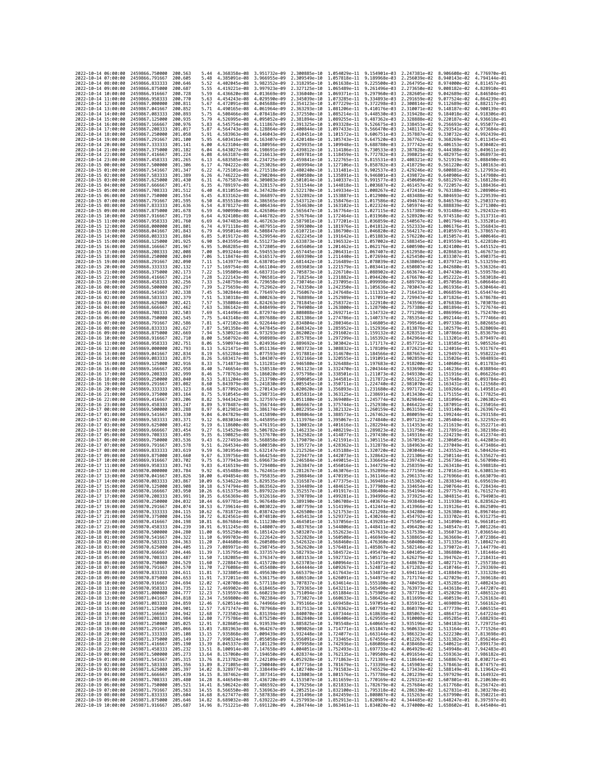| 2022-10-14 06:00:00                        |                                            | 2459866,750000                                                                 | 200.563              | 5.44           | 4.368358e-08 3.951732e-09                 |                              | 2.300885e-10 1.054029e-11 9.154901e-03                 |                                                        |                              | 2.247381e-02 8.906608e-02 4.776970e-01                                                                                                                                                                                                                                                                                                                                          |                                                        |                              |
|--------------------------------------------|--------------------------------------------|--------------------------------------------------------------------------------|----------------------|----------------|-------------------------------------------|------------------------------|--------------------------------------------------------|--------------------------------------------------------|------------------------------|---------------------------------------------------------------------------------------------------------------------------------------------------------------------------------------------------------------------------------------------------------------------------------------------------------------------------------------------------------------------------------|--------------------------------------------------------|------------------------------|
| 2022-10-14 07:00:00                        |                                            | 2459866.791667                                                                 | 200.605<br>200.646   | 5.48<br>5.52   | 4.385091e-08                              | 3.966955e-09                 | 2.309549e-10<br>2.318295e-10                           | 1.057818e-11 9.189968e-03                              |                              | 2.256039e-02                                                                                                                                                                                                                                                                                                                                                                    | 8.940143e-02<br>8.974000e-02                           | 4.794144e-01<br>4.811457e-01 |
| 2022-10-14 08:00:00<br>2022-10-14 09:00:00 |                                            | 2459866.833333<br>2459866.875000                                               | 200.687              | 5.55           | 4.402045e-08<br>4.419221e-08              | 3.982352e-09<br>3.997923e-09 | 2.327125e-10                                           | 1.061638e-11<br>1.065489e-11 9.261496e-03              | 9.225500e-03                 | 2.264795e-02<br>2.273650e-02                                                                                                                                                                                                                                                                                                                                                    | 9.008182e-02                                           | 4.828910e-01                 |
| 2022-10-14 10:00:00                        |                                            | 2459866.916667                                                                 | 200.728              | 5.59           | 4.436620e-08 4.013669e-09                 |                              | 2.336040e-10                                           | 1.069371e-11 9.297960e-03                              |                              | 2.282605e-02                                                                                                                                                                                                                                                                                                                                                                    | 9.042689e-02                                           | 4.846504e-01                 |
| 2022-10-14 11:00:00<br>2022-10-14 12:00:00 |                                            | 2459866.958333<br>2459867.000000                                               | 200,770<br>200.811   | 5.63<br>5.67   | 4.454243e-08 4.029590e-09<br>4.472091e-08 | 4.045688e-09                 | 2.345039e-10<br>2.354123e-10                           | 1.073285e-11 9.334893e-03<br>1.077229e-11              | 9.372298e-03                 | 2.291659e-02<br>2.300814e-02                                                                                                                                                                                                                                                                                                                                                    | 9.077524e-02<br>9.112689e-02                           | 4.864239e-01<br>4.882117e-01 |
| 2022-10-14 13:00:00                        |                                            | 2459867.041667                                                                 | 200.852              | 5.71           | 4.490165e-08                              | 4.061964e-09                 | 2.363293e-10                                           | 1.081206e-11                                           | 9.410176e-03                 | 2.310071e-02                                                                                                                                                                                                                                                                                                                                                                    | 9.148187e-02                                           | 4.900139e-01                 |
| 2022-10-14 14:00:00                        |                                            | 2459867.083333<br>2459867,125000                                               | 200.893              | 5.75           | 4.508466e-08<br>4.526995e-08              | 4.078418e-09                 | 2.372550e-10                                           | 1.085214e-11                                           | 9.448530e-03                 | 2.319428e-02                                                                                                                                                                                                                                                                                                                                                                    | 9.184018e-02                                           | 4.918306e-01                 |
| 2022-10-14 15:00:00<br>2022-10-14 16:00:00 |                                            | 2459867.166667                                                                 | 200.935<br>200,976   | 5.79<br>5.83   | 4.545754e-08                              | 4.095052e-09<br>4.111867e-09 | 2.381894e-10<br>2.391325e-10                           | 1.089255e-11<br>1.093328e-11                           | 9.487362e-03<br>9.526675e-03 | 2.328888e-02<br>2.338451e-02                                                                                                                                                                                                                                                                                                                                                    | 9.220187e-02<br>9.256693e-02                           | 4.936618e-01<br>4.955077e-01 |
| 2022-10-14 17:00:00                        |                                            | 2459867.208333                                                                 | 201.017              | 5.87           | 4.564743e-08                              | 4.128864e-09                 | 2.400844e-10                                           | 1.097433e-11                                           | 9.566470e-03                 | 2.348117e-02                                                                                                                                                                                                                                                                                                                                                                    | 9.293541e-02                                           | 4.973684e-01                 |
| 2022-10-14 18:00:00<br>2022-10-14 19:00:00 |                                            | 2459867.250000<br>2459867.291667                                               | 201.058<br>201.100   | 5.91<br>5.95   | 4.583963e-08                              | 4.146043e-09<br>4.163407e-09 | 2.410451e-10<br>2.420148e-10                           | 1.101572e-11<br>1.105743e-11                           | 9.606751e-03<br>9.647520e-03 | 2.357887e-02<br>2.367762e-02                                                                                                                                                                                                                                                                                                                                                    | 9.330732e-02<br>9.368269e-02                           | 4.992439e-01<br>5.011345e-01 |
| 2022-10-14 20:00:00                        |                                            | 2459867.333333                                                                 | 201.141              | 6.00           | 4.603416e-08<br>4.623104e-08              | 4.180956e-09                 | 2.429935e-10                                           | 1.109948e-11                                           | 9.688780e-03                 | 2.377742e-02                                                                                                                                                                                                                                                                                                                                                                    | 9.406153e-02                                           | 5.030402e-01                 |
| 2022-10-14 21:00:00                        |                                            | 2459867.375000                                                                 | 201,182              | 6.04           | 4.643027e-08                              | 4.198691e-09                 | 2.439812e-10                                           | 1.114186e-11                                           | 9.730533e-03                 | 2.387828e-02                                                                                                                                                                                                                                                                                                                                                                    | 9.444388e-02                                           | 5.049611e-01                 |
| 2022-10-14 22:00:00<br>2022-10-14 23:00:00 |                                            | 2459867.416667<br>2459867.458333                                               | 201.224<br>201.265   | 6.08<br>6.13   | 4.663187e-08<br>4.683585e-08              | 4.216613e-09<br>4.234725e-09 | 2.449781e-10<br>2.459841e-10                           | 1.118459e-11 9.772782e-03<br>1.122765e-11              | 9.815531e-03                 | 2.398021e-02<br>2.408321e-02                                                                                                                                                                                                                                                                                                                                                    | 9.482975e-02<br>9.521919e-02                           | 5.068973e-01<br>5.088490e-01 |
| 2022-10-15 00:00:00                        |                                            | 2459867.500000                                                                 | 201.306              | 6.17           | 4.704222e-08                              | 4.253026e-09                 | 2.469994e-10 1.127106e-11 9.858782e-03                 |                                                        |                              | 2.418729e-02                                                                                                                                                                                                                                                                                                                                                                    | 9.561220e-02                                           | 5.108163e-01                 |
| 2022-10-15 01:00:00                        |                                            | 2459867.541667                                                                 | 201.347              | 6.22           | 4.725101e-08<br>4.746222e-08              | 4.271518e-09                 | 2.480240e-10 1.131481e-11 9.902537e-03                 | 1.135891e-11 9.946801e-03                              |                              | 2.429246e-02                                                                                                                                                                                                                                                                                                                                                                    | 9.600881e-02<br>9,640906e-02                           | 5.127993e-01<br>5.147980e-01 |
| 2022-10-15 02:00:00<br>2022-10-15 03:00:00 |                                            | 2459867.583333<br>2459867.625000                                               | 201.389<br>201.430   | 6.26<br>6.31   | 4.767587e-08                              | 4.290204e-09<br>4.309083e-09 | 2.490580e-10<br>2.501014e-10                           | 1.140337e-11                                           | 9.991577e-03                 | 2.439872e-02<br>2.450609e-02                                                                                                                                                                                                                                                                                                                                                    | 9.681297e-02                                           | 5.168128e-01                 |
| 2022-10-15 04:00:00                        |                                            | 2459867.666667                                                                 | 201.471              | 6.35           | 4.789197e-08                              | 4.328157e-09                 | 2.511544e-10                                           | 1.144818e-11                                           | 1.003687e-02                 | 2.461457e-02                                                                                                                                                                                                                                                                                                                                                                    | 9.722057e-02                                           | 5.188436e-01                 |
| 2022-10-15 05:00:00<br>2022-10-15 06:00:00 |                                            | 2459867.708333<br>2459867.750000                                               | 201.512<br>201.554   | 6.40<br>6.45   | 4.811055e-08<br>4.833162e-08              | 4.347428e-09<br>4.366897e-09 | 2.522170e-10<br>2.532892e-10                           | 1.149334e-11 1.008267e-02<br>1.153887e-11              | 1.012900e-02                 | 2.472416e-02<br>2.483488e-02                                                                                                                                                                                                                                                                                                                                                    | 9.763188e-02<br>9.804693e-02                           | 5.208906e-01<br>5.229539e-01 |
| 2022-10-15 07:00:00                        |                                            | 2459867.791667                                                                 | 201.595              | 6.50           | 4.855518e-08                              | 4.386565e-09                 | 2.543712e-10                                           | 1.158476e-11 1.017586e-02                              |                              | 2.494674e-02                                                                                                                                                                                                                                                                                                                                                                    | 9.846576e-02                                           | 5.250337e-01                 |
| 2022-10-15 08:00:00                        |                                            | 2459867.833333<br>2459867.875000                                               | 201.636              | 6.54           | 4.878127e-08                              | 4.406434e-09<br>4.426506e-09 | 2.554630e-10                                           | 1.163102e-11 1.022324e-02                              |                              | 2.505974e-02<br>2.517389e-02                                                                                                                                                                                                                                                                                                                                                    | 9.888839e-02<br>9.931486e-02                           | 5.271300e-01                 |
| 2022-10-15 09:00:00<br>2022-10-15 10:00:00 |                                            | 2459867.916667                                                                 | 201.678<br>201.719   | 6.59<br>6.64   | 4.900990e-08<br>4.924108e-08              | 4.446782e-09                 | 2.565647e-10<br>2.576764e-10                           | 1.167764e-11 1.027115e-02<br>1.172464e-11              | 1.031960e-02                 | 2.528920e-02                                                                                                                                                                                                                                                                                                                                                                    | 9.974518e-02                                           | 5.292432e-01<br>5.313731e-01 |
| 2022-10-15 11:00:00                        |                                            | 2459867.958333                                                                 | 201.760              | 6.69           | 4.947483e-08                              | 4.467263e-09                 | 2.587981e-10                                           |                                                        |                              | 1.177201e-11 1.036859e-02 2.540567e-02                                                                                                                                                                                                                                                                                                                                          | 1.001794e-01                                           | 5.335201e-01                 |
| 2022-10-15 12:00:00<br>2022-10-15 13:00:00 |                                            | 2459868.000000<br>2459868.041667                                               | 201.801<br>201.843   | 6.74<br>6.79   | 4.971118e-08<br>4.995014e-08              | 4.487951e-09<br>4.508847e-09 | 2.599300e-10 1.181976e-11 1.041812e-02<br>2.610721e-10 | 1.186790e-11 1.046820e-02                              |                              | 2.552333e-02<br>2.564217e-02                                                                                                                                                                                                                                                                                                                                                    | 1.006176e-01<br>1.010597e-01                           | 5.356843e-01<br>5.378657e-01 |
| 2022-10-15 14:00:00                        |                                            | 2459868.083333                                                                 | 201.884              | 6.85           | 5.019172e-08                              | 4.529954e-09                 | 2.622245e-10                                           | 1.191642e-11 1.051883e-02                              |                              | 2.576220e-02                                                                                                                                                                                                                                                                                                                                                                    | 1.015057e-01                                           | 5.400646e-01                 |
| 2022-10-15 15:00:00                        |                                            | 2459868.125000                                                                 | 201.925              | 6.90           | 5.043595e-08                              | 4.551273e-09                 | 2.633873e-10                                           | 1.196532e-11 1.057002e-02                              |                              | 2.588345e-02                                                                                                                                                                                                                                                                                                                                                                    | 1.019559e-01                                           | 5.422810e-01                 |
| 2022-10-15 16:00:00<br>2022-10-15 17:00:00 |                                            | 2459868.166667<br>2459868.208333                                               | 201.967<br>202,008   | 6.95<br>7.00   | 5.068285e-08<br>5.093244e-08              | 4.572805e-09<br>4.594553e-09 | 2.645606e-10<br>2.657445e-10                           | 1.201462e-11 1.062176e-02<br>1.206431e-11              | 1.067407e-02                 | 2.600590e-02<br>2.612958e-02                                                                                                                                                                                                                                                                                                                                                    | 1.024100e-01 5.445152e-01<br>1.028683e-01              | 5.467673e-01                 |
| 2022-10-15 18:00:00                        |                                            | 2459868.250000                                                                 | 202.049              | 7.06           | 5.118474e-08                              | 4.616517e-09                 | 2.669390e-10                                           | 1.211440e-11 1.072694e-02                              |                              | 2.625450e-02                                                                                                                                                                                                                                                                                                                                                                    | 1.033307e-01                                           | 5.490375e-01                 |
| 2022-10-15 19:00:00<br>2022-10-15 20:00:00 |                                            | 2459868.291667<br>2459868.333333                                               | 202.090<br>202.132   | 7.11<br>7.17   | 5.143977e-08<br>5.169754e-08              | 4.638701e-09<br>4.661104e-09 | 2.681442e-10<br>2.693603e-10                           | 1.216489e-11 1.078039e-02<br>1.221579e-11 1.083441e-02 |                              | 2.638065e-02<br>2.650807e-02                                                                                                                                                                                                                                                                                                                                                    | 1.037972e-01<br>1.042680e-01                           | 5.513259e-01<br>5.536326e-01 |
| 2022-10-15 21:00:00                        |                                            | 2459868.375000                                                                 | 202.173              | 7.22           | 5.195809e-08                              | 4.683731e-09                 | 2.705873e-10                                           | 1.226710e-11 1.088902e-02                              |                              | 2.663674e-02                                                                                                                                                                                                                                                                                                                                                                    | 1.047430e-01                                           | 5.559578e-01                 |
| 2022-10-15 22:00:00                        |                                            | 2459868.416667                                                                 | 202.214              | 7.28           | 5.222143e-08                              | 4,706581e-09                 | 2.718254e-10                                           | 1.231882e-11 1.094420e-02                              |                              | 2.676670e-02                                                                                                                                                                                                                                                                                                                                                                    | 1.052222e-01                                           | 5.583018e-01                 |
| 2022-10-15 23:00:00<br>2022-10-16 00:00:00 |                                            | 2459868.458333<br>2459868.500000                                               | 202.256<br>202.297   | 7.33<br>7.39   | 5.248759e-08<br>5.275659e-08              | 4.729658e-09<br>4.752962e-09 | 2.730746e-10<br>2.743350e-10                           | 1.237095e-11 1.099998e-02<br>1.242350e-11              | 1.105636e-02                 | 2.689793e-02<br>2.703047e-02                                                                                                                                                                                                                                                                                                                                                    | 1.057058e-01<br>1.061936e-01                           | 5.606646e-01<br>5.630464e-01 |
| 2022-10-16 01:00:00                        |                                            | 2459868.541667                                                                 | 202.338              | 7.45           | 5.302844e-08                              | 4,776497e-09                 | 2.756067e-10                                           | 1.247648e-11 1.111333e-02                              |                              | 2.716431e-02                                                                                                                                                                                                                                                                                                                                                                    | 1.066859e-01                                           | 5.654474e-01                 |
| 2022-10-16 02:00:00                        |                                            | 2459868.583333                                                                 | 202.379<br>202.421   | 7.51           | 5.330318e-08                              | 4.800263e-09                 | 2.768898e-10                                           | 1.252989e-11 1.117091e-02                              |                              | 2.729947e-02                                                                                                                                                                                                                                                                                                                                                                    | 1.071826e-01                                           | 5.678678e-01<br>5.703078e-01 |
| 2022-10-16 03:00:00<br>2022-10-16 04:00:00 |                                            | 2459868.625000<br>2459868.666667                                               | 202.462              | 7.57<br>7.63   | 5.358084e-08<br>5.386142e-08              | 4.824263e-09<br>4.848499e-09 | 2.781845e-10<br>2.794908e-10                           | 1.258372e-11 1.122910e-02<br>1.263800e-11              | 1.128790e-02                 | 2.743596e-02<br>2.757380e-02                                                                                                                                                                                                                                                                                                                                                    | 1.076838e-01<br>1.081894e-01                           | 5.727674e-01                 |
| 2022-10-16 05:00:00                        |                                            | 2459868.708333                                                                 | 202.503              | 7.69           | 5.414496e-08                              | 4.872974e-09                 | 2.808088e-10 1.269271e-11 1.134732e-02                 |                                                        |                              | 2.771298e-02                                                                                                                                                                                                                                                                                                                                                                    | 1.086996e-01                                           | 5.752470e-01                 |
| 2022-10-16 06:00:00<br>2022-10-16 07:00:00 |                                            | 2459868.750000<br>2459868.791667                                               | 202.545<br>202.586   | 7.75<br>7.81   | 5.443148e-08<br>5.472102e-08              | 4.897688e-09<br>4.922644e-09 | 2.821386e-10 1.274786e-11 1.140737e-02<br>2.834804e-10 | 1.280346e-11 1.146805e-02                              |                              | 2.785354e-02<br>2.799546e-02                                                                                                                                                                                                                                                                                                                                                    | 1.092144e-01 5.777466e-01<br>1.097338e-01              | 5.802665e-01                 |
| 2022-10-16 08:00:00                        |                                            | 2459868.833333                                                                 | 202.627              | 7.87           | 5.501358e-08                              | 4.947845e-09                 | 2.848342e-10                                           | 1.285952e-11 1.152936e-02                              |                              | 2.813878e-02                                                                                                                                                                                                                                                                                                                                                                    | 1.102579e-01                                           | 5.828069e-01                 |
| 2022-10-16 09:00:00                        |                                            | 2459868.875000                                                                 | 202.669              | 7.94           | 5.530921e-08                              | 4.973293e-09                 | 2.862002e-10                                           | 1.291602e-11 1.159132e-02                              |                              | 2.828351e-02                                                                                                                                                                                                                                                                                                                                                                    | 1.107866e-01                                           | 5.853679e-01                 |
| 2022-10-16 10:00:00<br>2022-10-16 11:00:00 |                                            | 2459868.916667<br>2459868.958333                                               | 202.710<br>202.751   | 8.00<br>8.06   | 5.560792e-08<br>5.590974e-08              | 4.998989e-09<br>5.024936e-09 | 2.875785e-10<br>2.889692e-10                           | 1.297299e-11 1.165392e-02<br>1.303042e-11              | 1.171717e-02                 | 2.842964e-02<br>2.857721e-02                                                                                                                                                                                                                                                                                                                                                    | 1.113201e-01<br>1.118585e-01                           | 5.879497e-01<br>5.905526e-01 |
| 2022-10-16 12:00:00                        |                                            | 2459869.000000                                                                 | 202.793              | 8.13           | 5.621471e-08                              | 5.051136e-09                 | 2.903723e-10                                           |                                                        |                              | 1.308832e-11 1.178109e-02 2.872621e-02                                                                                                                                                                                                                                                                                                                                          | 1.124016e-01                                           | 5.931767e-01                 |
| 2022-10-16 13:00:00<br>2022-10-16 14:00:00 |                                            | 2459869.041667<br>2459869.083333                                               | 202.834<br>202.875   | 8.19<br>8.26   | 5.652284e-08<br>5.683417e-08              | 5.077593e-09<br>5.104307e-09 | 2.917881e-10<br>2.932166e-10                           | 1.314670e-11 1.184566e-02<br>1.320555e-11 1.191091e-02 |                              | 2.887667e-02<br>2.902859e-02                                                                                                                                                                                                                                                                                                                                                    | 1.129497e-01<br>1.135026e-01                           | 5.958222e-01<br>5.984893e-01 |
| 2022-10-16 15:00:00                        |                                            | 2459869.125000                                                                 | 202.916              | 8.33           | 5.714873e-08                              | 5.131281e-09                 | 2.946580e-10                                           | 1.326488e-11                                           | 1.197683e-02                 | 2.918200e-02                                                                                                                                                                                                                                                                                                                                                                    | 1.140606e-01                                           | 6.011783e-01                 |
| 2022-10-16 16:00:00                        |                                            | 2459869.166667                                                                 | 202.958              | 8.40           | 5.746654e-08                              | 5.158518e-09                 | 2.961123e-10                                           |                                                        |                              | 1.332470e-11 1.204344e-02 2.933690e-02                                                                                                                                                                                                                                                                                                                                          | 1.146236e-01 6.038894e-01                              |                              |
| 2022-10-16 17:00:00<br>2022-10-16 18:00:00 |                                            | 2459869.208333<br>2459869.250000                                               | 202.999<br>203.040   | 8.46<br>8.53   | 5.778763e-08<br>5.811204e-08              | 5.186020e-09<br>5.213790e-09 | 2.975798e-10<br>2.990605e-10                           | 1.338501e-11 1.211073e-02<br>1.344581e-11 1.217872e-02 |                              | 2.949330e-02<br>2.965123e-02                                                                                                                                                                                                                                                                                                                                                    | 1.151916e-01 6.066226e-01<br>1.157648e-01 6.093784e-01 |                              |
| 2022-10-16 19:00:00                        |                                            | 2459869.291667                                                                 | 203.082              | 8.60           | 5.843979e-08                              | 5.241830e-09                 | 3.005545e-10                                           | 1.350711e-11 1.224740e-02                              |                              | 2.981070e-02                                                                                                                                                                                                                                                                                                                                                                    | 1.163431e-01                                           | 6.121568e-01                 |
| 2022-10-16 20:00:00<br>2022-10-16 21:00:00 |                                            | 2459869.333333<br>2459869.375000                                               | 203, 123<br>203, 164 | 8.68<br>8.75   | 5.877092e-08<br>5.910545e-08              | 5.270143e-09<br>5.298731e-09 | 3.020620e-10<br>3.035831e-10                           | 1.356893e-11 1.231680e-02<br>1.363125e-11 1.238691e-02 |                              | 2.997172e-02<br>3.013430e-02                                                                                                                                                                                                                                                                                                                                                    | 1.169266e-01 6.149581e-01<br>1.175155e-01 6.177825e-01 |                              |
| 2022-10-16 22:00:00                        |                                            | 2459869.416667                                                                 | 203.206              | 8.82           | 5.944342e-08                              | 5.327597e-09                 | 3.051180e-10                                           | 1.369408e-11                                           | 1.245774e-02                 | 3.029846e-02                                                                                                                                                                                                                                                                                                                                                                    | 1.181096e-01                                           | 6.206302e-01                 |
| 2022-10-16 23:00:00                        |                                            | 2459869.458333                                                                 | 203,247              | 8.89           | 5.978487e-08                              | 5.356744e-09                 | 3.066667e-10                                           | 1.375744e-11 1.252930e-02                              |                              | 3.046422e-02                                                                                                                                                                                                                                                                                                                                                                    | 1.187091e-01                                           | 6.235016e-01                 |
| 2022-10-17 00:00:00<br>2022-10-17 01:00:00 |                                            | 2459869.500000<br>2459869.541667                                               | 203.288<br>203,330   | 8.97<br>9.04   | 6.012981e-08<br>6.047829e-08              | 5.386174e-09<br>5.415890e-09 | 3.082295e-10<br>3.098064e-10                           | 1.382132e-11 1.260159e-02<br>1.388573e-11 1.267462e-02 |                              | 3.063159e-02<br>3.080059e-02                                                                                                                                                                                                                                                                                                                                                    | 1.193140e-01<br>1.199244e-01                           | 6.263967e-01<br>6.293158e-01 |
| 2022-10-17 02:00:00                        |                                            | 2459869.583333                                                                 | 203.371              | 9.12           | 6.083034e-08                              | 5.445895e-09                 | 3.113976e-10                                           | 1.395067e-11 1.274840e-02                              |                              | 3.097123e-02                                                                                                                                                                                                                                                                                                                                                                    | 1.205404e-01                                           | 6.322592e-01                 |
| 2022-10-17 03:00:00                        |                                            | 2459869.625000                                                                 | 203.412              | 9.19           | 6.118600e-08                              | 5.476191e-09                 | 3.130032e-10 1.401616e-11 1.282294e-02                 |                                                        |                              | 3.114353e-02                                                                                                                                                                                                                                                                                                                                                                    | 1.211619e-01 6.352271e-01                              |                              |
| 2022-10-17 04:00:00<br>2022-10-17 05:00:00 |                                            | 2459869.666667<br>2459869.708333                                               | 203.454<br>203.495   | 9.27<br>9.35   | 6.154529e-08<br>6.190825e-08              | 5.506782e-09<br>5.537670e-09 | 3.146233e-10<br>3.162582e-10                           | 1.408219e-11 1.289823e-02<br>1.414877e-11 1.297430e-02 |                              | 3.131750e-02<br>3.149316e-02                                                                                                                                                                                                                                                                                                                                                    | 1.217891e-01 6.382198e-01                              | 1.224219e-01 6.412374e-01    |
| 2022-10-17 06:00:00                        |                                            | 2459869.750000                                                                 | 203.536              | 9.43           | 6.227493e-08                              | 5.568858e-09                 | 3.179079e-10                                           | 1.421591e-11                                           | 1.305115e-02                 | 3.167053e-02                                                                                                                                                                                                                                                                                                                                                                    | 1.230605e-01                                           | 6.442803e-01                 |
| 2022-10-17 07:00:00<br>2022-10-17 08:00:00 |                                            | 2459869.791667<br>2459869.833333                                               | 203.578<br>203.619   | 9.51<br>9.59   | 6.264534e-08<br>6.301954e-08              | 5.600350e-09<br>5.632147e-09 | 3.195727e-10<br>3.212526e-10                           | 1.428362e-11 1.312878e-02<br>1.435188e-11 1.320720e-02 |                              | 3.184963e-02<br>3.203046e-02                                                                                                                                                                                                                                                                                                                                                    | 1.237049e-01<br>1.243552e-01 6.504426e-01              | 6.473486e-01                 |
| 2022-10-17 09:00:00                        |                                            | 2459869.875000                                                                 | 203.660              | 9.67           | 6.339756e-08                              | 5.664254e-09                 | 3.229477e-10                                           | 1.442073e-11                                           | 1.328642e-02                 | 3.221306e-02                                                                                                                                                                                                                                                                                                                                                                    | 1.250114e-01                                           | 6.535627e-01                 |
| 2022-10-17 10:00:00                        |                                            | 2459869.916667                                                                 | 203.702<br>203.743   | 9.75           | 6.377943e-08                              | 5.696673e-09                 | 3.246584e-10                                           | 1.449015e-11 1.336645e-02                              |                              | 3.239743e-02                                                                                                                                                                                                                                                                                                                                                                    | 1.256736e-01                                           | 6.567090e-01                 |
| 2022-10-17 11:00:00<br>2022-10-17 12:00:00 |                                            | 2459869.958333<br>2459870.000000                                               | 203.784              | 9.83<br>9.92   | 6.416519e-08<br>6.455488e-08              | 5.729408e-09<br>5.762461e-09 | 3.263847e-10<br>3.281267e-10                           | 1.456016e-11 1.344729e-02<br>1.463076e-11 1.352896e-02 |                              | 3.258359e-02<br>3.277156e-02                                                                                                                                                                                                                                                                                                                                                    | 1.263418e-01<br>1.270161e-01                           | 6.598818e-01<br>6.630813e-01 |
| 2022-10-17 13:00:00                        |                                            | 2459870.041667                                                                 | 203.826              | 10.00          | 6.494854e-08                              | 5.795835e-09                 | 3.298846e-10                                           | 1.470195e-11                                           | 1.361146e-02                 | 3.296137e-02                                                                                                                                                                                                                                                                                                                                                                    | 1.276966e-01                                           | 6.663079e-01                 |
| 2022-10-17 14:00:00<br>2022-10-17 15:00:00 |                                            | 2459870.083333<br>2459870.125000                                               | 203.867<br>203.908   | 10.09<br>10.18 | 6.534622e-08<br>6.574794e-08              | 5.829535e-09<br>5.863562e-09 | 3.316587e-10<br>3.334489e-10                           | 1.484615e-11 1.377900e-02                              |                              | 1.477375e-11 1.369481e-02 3.315302e-02<br>3.334654e-02                                                                                                                                                                                                                                                                                                                          | 1.283834e-01<br>1.290764e-01                           | 6.695619e-01<br>6.728434e-01 |
| 2022-10-17 16:00:00                        |                                            | 2459870.166667                                                                 | 203.950              | 10.26          | 6.615375e-08                              | 5.897922e-09                 | 3.352557e-10                                           | 1.491917e-11 1.386404e-02                              |                              | 3.354194e-02                                                                                                                                                                                                                                                                                                                                                                    | 1.297757e-01                                           | 6.761527e-01                 |
| 2022-10-17 17:00:00                        |                                            | 2459870.208333                                                                 | 203.991<br>204.032   | 10.35          | 6.656369e-08                              | 5.932616e-09                 | 3.370789e-10                                           |                                                        |                              | 1.499281e-11 1.394996e-02 3.373925e-02                                                                                                                                                                                                                                                                                                                                          | 1.304815e-01                                           | 6.794903e-01                 |
| 2022-10-17 18:00:00<br>2022-10-17 19:00:00 |                                            | 2459870.250000<br>2459870.291667                                               | 204,074              | 10.44<br>10.53 | 6.697781e-08                              | 5.967648e-09                 |                                                        |                                                        |                              | 3.389190e-10 1.506708e-11 1.403674e-02 3.393848e-02 1.311938e-01 6.828562e-01<br>6.739614e-08 6.003022e-09 3.407759e-10 1.514199e-11 1.412441e-02 3.413966e-02 1.319126e-01 6.862509e-01                                                                                                                                                                                        |                                                        |                              |
| 2022-10-17 20:00:00                        |                                            | 2459870.333333                                                                 | 204.113              | 10.02          | 6.781872e-08 6.038742e-09                 |                              | 3.426500e-10                                           | 1.521753e-11 1.421298e-02                              |                              | 3.434280e-02                                                                                                                                                                                                                                                                                                                                                                    |                                                        | 1.326380e-01 6.896746e-01    |
| 2022-10-17 21:00:00<br>2022-10-17 22:00:00 |                                            | 2459870.375000<br>2459870.416667                                               | 204.156<br>204.198   | 10.72<br>10.81 |                                           |                              |                                                        |                                                        |                              | $6.824561e-08 \quad 6.074810e-09 \quad 3.445413e-10 \quad 1.529372e-11 \quad 1.430244e-02 \quad 3.454792e-02 \quad 1.333702e-01 \quad 6.931275e-01$<br>6.867684e-08 6.111230e-09 3.464501e-10 1.537056e-11 1.439281e-02 3.475505e-02 1.341090e-01 6.966101e-01                                                                                                                  |                                                        |                              |
| 2022-10-17 23:00:00                        |                                            | 2459870.458333 204.239                                                         |                      |                |                                           |                              |                                                        |                                                        |                              | $10.91 \quad 6.911245e-08 \quad 6.148007e-09 \quad 3.483765e-10 \quad 1.544806e-11 \quad 1.448411e-02 \quad 3.496420e-02 \quad 1.348547e-01 \quad 7.001226e-01 \quad 1.146763e-02 \quad 3.517539e-02 \quad 1.356073e-01 \quad 7.036654e-01 \quad 1.45762e-03 \quad 1.45763e-02 \quad 3.51$                                                                                      |                                                        |                              |
| 2022-10-18 00:00:00<br>2022-10-18 01:00:00 |                                            | 2459870.500000<br>2459870.541667 204.322                                       | 204.280              |                |                                           |                              |                                                        |                                                        |                              | 11.10 6.999703e-08 6.222642e-09 3.522828e-10 1.560508e-11 1.466949e-02 3.538865e-02 1.363669e-01 7.072386e-01                                                                                                                                                                                                                                                                   |                                                        |                              |
| 2022-10-18 02:00:00                        |                                            | 2459870.583333 204.363                                                         |                      |                |                                           |                              |                                                        |                                                        |                              |                                                                                                                                                                                                                                                                                                                                                                                 |                                                        |                              |
| 2022-10-18 03:00:00<br>2022-10-18 04:00:00 |                                            | 2459870.625000<br>2459870.666667                                               | 204.405<br>204.446   |                |                                           |                              |                                                        |                                                        |                              | 11.20 7.044608e-08 6.260508e-09 3.542632e-10 1.568460e-11 1.476360e-02 3.560400e-02 1.371335e-01 7.108427e-01<br>11.29 7.089971e-08 6.260508e-09 3.562620e-10 1.568460e-11 1.476360e-02 3.560400e-02 1.371335e-01 7.148472e-01<br>11                                                                                                                                            |                                                        |                              |
| 2022-10-18 05:00:00                        |                                            | 2459870.708333                                                                 | 204.487              |                |                                           |                              |                                                        |                                                        |                              | 11.50 7.182085e-08 6.376347e-09 3.603153e-10 1.592732e-11 1.505171e-02 3.626279e-02 1.394762e-01 7.218431e-01                                                                                                                                                                                                                                                                   |                                                        |                              |
| 2022-10-18 06:00:00                        |                                            | 2459870.750000                                                                 | 204.529              |                |                                           |                              |                                                        |                                                        |                              | 11.60 7.228847e-08 6.415720e-09 3.623703e-10 1.600964e-11 1.514972e-02 3.648670e-02 1.402717e-01 7.255738e-01<br>11.70 7.276986e-08 6.415720e-09 3.644344e-10 1.600964e-11 1.514972e-02 3.643670e-02 1.402717e-01 7.255738e-01<br>11                                                                                                                                            |                                                        |                              |
| 2022-10-18 07:00:00                        |                                            | 2459870.791667                                                                 | 204.570              |                |                                           |                              |                                                        |                                                        |                              |                                                                                                                                                                                                                                                                                                                                                                                 |                                                        |                              |
| 2022-10-18 09:00:00                        |                                            |                                                                                |                      |                |                                           |                              |                                                        |                                                        |                              |                                                                                                                                                                                                                                                                                                                                                                                 |                                                        |                              |
|                                            | 2022-10-18 08:00:00                        | 2459870.833333 204.611<br>2459870.875000 204.653                               |                      |                |                                           |                              |                                                        |                                                        |                              | 11.91 7.372011e-08 6.536175e-09 3.686510e-10 1.626091e-11 1.544975e-02 3.717174e-02 1.427029e-01 7.369618e-01                                                                                                                                                                                                                                                                   |                                                        |                              |
|                                            | 2022-10-18 10:00:00                        | 2459870.916667                                                                 | 204,694              |                |                                           |                              |                                                        |                                                        |                              |                                                                                                                                                                                                                                                                                                                                                                                 |                                                        |                              |
|                                            | 2022-10-18 11:00:00<br>2022-10-18 12:00:00 | 2459870.958333<br>2459871.000000                                               | 204.735<br>204.777   |                |                                           |                              |                                                        |                                                        |                              | $12.02 \quad 7.420708 e - 08 \quad 6.577118 e - 09 \quad 3.707837 e - 10 \quad 1.634614 e - 11 \quad 1.555180 e - 02 \quad 3.740459 e - 02 \quad 1.435285 e - 01 \quad 7.408243 e - 01 \quad 1.212 \quad 7.469902 e - 08 \quad 6.618465 e - 09 \quad 3.729365 e - 10 \quad 1.643211 e - 11 \quad 1.565490 e - 0$                                                                |                                                        |                              |
| 2022-10-18 13:00:00                        |                                            | 2459871.041667                                                                 | 204,818              |                |                                           |                              |                                                        |                                                        |                              |                                                                                                                                                                                                                                                                                                                                                                                 |                                                        |                              |
| 2022-10-18 14:00:00                        |                                            | 2459871.083333                                                                 | 204.859              |                |                                           |                              |                                                        |                                                        |                              |                                                                                                                                                                                                                                                                                                                                                                                 |                                                        |                              |
| 2022-10-18 15:00:00<br>2022-10-18 16:00:00 |                                            | 2459871.125000<br>2459871.166667                                               | 204.901<br>204.942   |                |                                           |                              |                                                        |                                                        |                              | 11.23 7.519597e-08 6.660219e-09 3.751094e-10 1.651884e-11 1.575905e-02 3.787719e-02 1.452029e-01 7.486512e-01<br>12.34 7.569800e-08 6.702384e-09 3.7730827e-10 1.660633e-11 1.575905e-02 3.811599e-02 1.456912e-01 7.526163e-01<br>1<br>12.68 7.723502e-08 6.831394e-09 3.840070e-10 1.687344e-11 1.618638e-02 3.885067e-02 1.486471e-01 7.647224e-01                           |                                                        |                              |
| 2022-10-18 17:00:00                        |                                            | 2459871.208333                                                                 | 204.984              | 12.80          |                                           |                              |                                                        |                                                        |                              |                                                                                                                                                                                                                                                                                                                                                                                 |                                                        |                              |
| 2022-10-18 18:00:00<br>2022-10-18 19:00:00 |                                            | 2459871.250000<br>2459871.291667 205.066                                       | 205.025              | 12.91          |                                           |                              |                                                        |                                                        |                              | 7.775786e-08 6.875250e-09 3.862840e-10 1.696406e-11 1.629595e-02 3.910008e-02 1.495285e-01 7.688293e-01<br>7.828605e-08 6.919539e-09 3.885825e-10 1.705548e-11 1.640665e-02 3.935196e-02 1.504183e-01 7.729725e-01<br>13.03 7.881963e-08 6.964267e-09 3.909026e-10 1.714771e-11 1.651847e-02 3.960633e-02 1.513164e-01 7.771526e-01                                             |                                                        |                              |
| 2022-10-18 20:00:00                        |                                            | 2459871.333333 205.108                                                         |                      |                |                                           |                              |                                                        |                                                        |                              | 13.15 7.935868e-08 7.009439e-09 3.932448e-10 1.724077e-11 1.663144e-02 3.986323e-02 1.522230e-01 7.813698e-01                                                                                                                                                                                                                                                                   |                                                        |                              |
| 2022-10-18 21:00:00                        |                                            | 2459871.375000                                                                 | 205.149              |                |                                           |                              |                                                        |                                                        |                              |                                                                                                                                                                                                                                                                                                                                                                                 |                                                        |                              |
| 2022-10-18 22:00:00<br>2022-10-18 23:00:00 |                                            | 2459871.416667<br>2459871.458333                                               | 205.190<br>205.232   |                |                                           |                              |                                                        |                                                        |                              | $\begin{array}{cccccccc} 13.27 & 7.990324e-08 & 7.055058e-09 & 3.956091e-10 & 1.733465e-11 & 1.674556e-02 & 4.012267e-02 & 1.531382e-01 & 7.856246e-01 \\ 13.39 & 8.045337e-08 & 7.101129e-09 & 3.979958e-10 & 1.742936e-11 & 1.686086e-02 & 4.038468e-02 & 1$<br>13.51 8.100914e-08 7.147658e-09 4.004051e-10 1.752493e-11 1.697733e-02 4.064929e-02 1.549948e-01 7.942483e-01 |                                                        |                              |
| 2022-10-19 00:00:00                        |                                            | 2459871.500000 205.273                                                         |                      |                |                                           |                              |                                                        |                                                        |                              | 13.64 8.157060e-08 7.194650e-09 4.028374e-10 1.762135e-11 1.709500e-02 4.091654e-02 1.559363e-01 7.986182e-01                                                                                                                                                                                                                                                                   |                                                        |                              |
| 2022-10-19 01:00:00<br>2022-10-19 02:00:00 |                                            | 2459871.541667<br>2459871.583333 205.356                                       | 205.315              |                |                                           |                              |                                                        |                                                        |                              | 13.76 8.213782e-08 7.242109e-09 4.052928e-10 1.771863e-11 1.721387e-02 4.118644e-02 1.568867e-01 8.030271e-01<br>13.89 8.271085e-08 7.290040e-09 4.077716e-10 1.781679e-11 1.733396e-02 4.145903e-02 1.578463e-01 8.074757e-01                                                                                                                                                  |                                                        |                              |
| 2022-10-19 03:00:00                        |                                            | 2459871.625000                                                                 | 205.397              |                |                                           |                              |                                                        |                                                        |                              | 14.02 8.328977e-08 7.338449e-09 4.102740e-10 1.791583e-11 1.745529e-02 4.173434e-02 1.588149e-01 8.119642e-01                                                                                                                                                                                                                                                                   |                                                        |                              |
| 2022-10-19 04:00:00                        |                                            | 2459871.666667                                                                 | 205.439              |                |                                           |                              |                                                        |                                                        |                              |                                                                                                                                                                                                                                                                                                                                                                                 |                                                        |                              |
| 2022-10-19 05:00:00<br>2022-10-19 06:00:00 |                                            | 2459871.708333 205.480<br>2459871.750000 205.521                               |                      |                |                                           |                              |                                                        |                                                        |                              | 14.41 8.506242e-08 7.486592e-09 4.179256e-10 1.821833e-11 1.782679e-02 4.257684e-02 1.617768e-01 8.256742e-01                                                                                                                                                                                                                                                                   |                                                        |                              |
| 2022-10-19 07:00:00                        |                                            | 2459871.791667 205.563                                                         |                      |                |                                           |                              |                                                        |                                                        |                              | 14.55 8.566550e-08 7.536963e-09 4.205251e-10 1.832100e-11 1.795318e-02 4.286330e-02 1.627831e-01 8.303270e-01                                                                                                                                                                                                                                                                   |                                                        |                              |
| 2022-10-19 08:00:00<br>2022-10-19 09:00:00 |                                            | 2459871.833333<br>2459871.875000<br>2022-10-19 10:00:00 2459871.916667 205.687 | 205.604<br>205.646   |                |                                           |                              |                                                        |                                                        |                              | $\begin{array}{cccccccc} 14.68 & 8.627477e-08 & 7.587838e-09 & 4.231496e-10 & 1.842459e-11 & 1.808087e-02 & 4.315263e-02 & 1.637990e-01 & 8.350221e-01 & 1.482 & 8.689032e-08 & 7.639221e-09 & 4.257993e-10 & 1.652913e-11 & 1.820987e-02 & 4.344485e-02 & 1$<br>14.96 8.751221e-08 7.691120e-09 4.284744e-10 1.863461e-11 1.834020e-02 4.374000e-02 1.658602e-01 8.445404e-01  |                                                        |                              |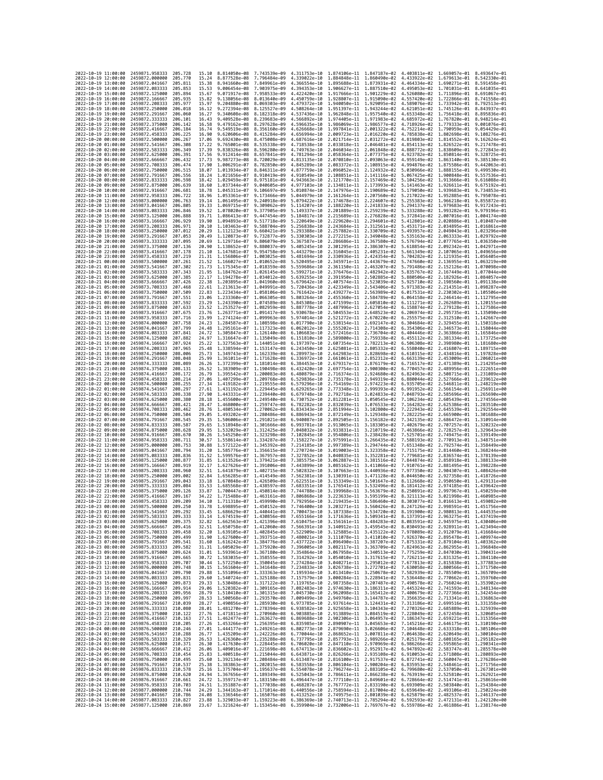| 2022-10-19 11:00:00                        |                     | 2459871,958333                                   | 205.728             | 15.10          | 8.814050e-08 7.743539e-09                              |                                        |                              | 4.311753e-10 1.874106e-11 1.847187e-02                                                                        |                              | 4.403811e-02 1.669057e-01 8.493647e-01                                                                                                                                                                                                                                                                                                                |                                                        |                                           |
|--------------------------------------------|---------------------|--------------------------------------------------|---------------------|----------------|--------------------------------------------------------|----------------------------------------|------------------------------|---------------------------------------------------------------------------------------------------------------|------------------------------|-------------------------------------------------------------------------------------------------------------------------------------------------------------------------------------------------------------------------------------------------------------------------------------------------------------------------------------------------------|--------------------------------------------------------|-------------------------------------------|
| 2022-10-19 12:00:00                        |                     | 2459872.000000                                   | 205.770             | 15.24          | 8.877528e-08                                           | 7,796484e-09                           | 4.339022e-10                 | 1.884848e-11 1.860490e-02                                                                                     |                              | 4.433922e-02                                                                                                                                                                                                                                                                                                                                          | 1.679613e-01 8.542330e-01                              |                                           |
| 2022-10-19 13:00:00                        |                     | 2459872.041667                                   | 205.811             | 15.38          | 8.941660e-08                                           | 7.849961e-09                           | 4.366554e-10                 | 1.895688e-11                                                                                                  | 1.873931e-02                 | 4.464334e-02                                                                                                                                                                                                                                                                                                                                          | 1.690271e-01                                           | 8.591458e-01                              |
| 2022-10-19 14:00:00<br>2022-10-19 15:00:00 |                     | 2459872.083333<br>2459872,125000                 | 205.853<br>205.894  | 15.53<br>15.67 | 9.006454e-08<br>9.071917e-08                           | 7.903975e-09<br>7.958533e-09           | 4.394353e-10<br>4.422420e-10 | 1.906627e-11 1.887510e-02<br>1.917666e-11 1.901229e-02                                                        |                              | 4.495053e-02<br>4.526080e-02                                                                                                                                                                                                                                                                                                                          | 1.701031e-01 8.641035e-01<br>1.711896e-01 8.691067e-01 |                                           |
| 2022-10-19 16:00:00                        |                     | 2459872.166667                                   | 205.935             | 15.82          | 9.138056e-08                                           | 8.013640e-09                           | 4.450759e-10                 | 1.928807e-11 1.915090e-02                                                                                     |                              | 4.557420e-02                                                                                                                                                                                                                                                                                                                                          | 1.722866e-01 8.741558e-01                              |                                           |
| 2022-10-19 17:00:00                        |                     | 2459872.208333                                   | 205.977             | 15.97          | 9.204880e-08                                           | 8.069303e-09                           | 4.479372e-10                 | 1.940050e-11                                                                                                  | 1.929095e-02                 | 4.589076e-02                                                                                                                                                                                                                                                                                                                                          | 1.733942e-01                                           | 8.792513e-01                              |
| 2022-10-19 18:00:00                        |                     | 2459872.250000                                   | 206.018             | 16.12          | 9.272394e-08                                           | 8.125527e-09                           | 4.508264e-10                 | 1.951397e-11 1.943244e-02                                                                                     |                              | 4.621051e-02                                                                                                                                                                                                                                                                                                                                          | 1.745126e-01                                           | 8.843937e-01                              |
| 2022-10-19 19:00:00<br>2022-10-19 20:00:00 |                     | 2459872.291667<br>2459872.333333                 | 206.060<br>206.101  | 16.27<br>16.43 | 9.340608e-08<br>9.409528e-08                           | 8.182318e-09<br>8.239683e-09           | 4.537436e-10<br>4.566892e-10 | 1.962848e-11 1.957540e-02<br>1.974405e-11 1.971983e-02                                                        |                              | 4.653348e-02<br>4.685972e-02                                                                                                                                                                                                                                                                                                                          | 1.756418e-01 8.895836e-01<br>1.767820e-01              | 8.948214e-01                              |
| 2022-10-19 21:00:00                        |                     | 2459872.375000                                   | 206.142             | 16.58          | 9.479162e-08                                           | 8.297628e-09                           | 4.596635e-10                 | 1.986069e-11 1.986577e-02                                                                                     |                              | 4.718926e-02                                                                                                                                                                                                                                                                                                                                          | 1.779333e-01                                           | 9.001076e-01                              |
| 2022-10-19 22:00:00                        |                     | 2459872,416667                                   | 206.184             | 16.74          | 9.549519e-08                                           | 8.356160e-09                           | 4.626668e-10                 | 1.997841e-11 2.001322e-02                                                                                     |                              | 4.752214e-02                                                                                                                                                                                                                                                                                                                                          | 1.790959e-01                                           | 9.054429e-01                              |
| 2022-10-19 23:00:00                        |                     | 2459872.458333                                   | 206.225             | 16.90          | 9.620606e-08                                           | 8.415284e-09                           | 4.656994e-10                 | 2.009723e-11 2.016220e-02                                                                                     |                              | 4.785838e-02                                                                                                                                                                                                                                                                                                                                          | 1.802698e-01 9.108276e-01                              |                                           |
| 2022-10-20 00:00:00<br>2022-10-20 01:00:00 |                     | 2459872.500000<br>2459872.541667                 | 206.267<br>206,308  | 17.06          | 9.692430e-08<br>9.765001e-08                           | 8.475008e-09                           | 4.687616e-10<br>4.718538e-10 | 2.021714e-11<br>2.033818e-11 2.046481e-02                                                                     | 2.031272e-02                 | 4.819803e-02<br>4.854113e-02                                                                                                                                                                                                                                                                                                                          | 1.814552e-01<br>1.826522e-01                           | 9.162624e-01<br>9.217478e-01              |
| 2022-10-20 02:00:00                        |                     | 2459872.583333                                   | 206,349             | 17.22<br>17.39 | 9.838326e-08                                           | 8.535338e-09<br>8.596280e-09           | 4.749763e-10                 | 2.046034e-11 2.061848e-02                                                                                     |                              | 4.888772e-02                                                                                                                                                                                                                                                                                                                                          | 1.838609e-01                                           | 9.272843e-01                              |
| 2022-10-20 03:00:00                        |                     | 2459872.625000                                   | 206.391             | 17.56          | 9.912414e-08                                           | 8.657841e-09                           | 4.781294e-10                 | 2.058364e-11 2.077375e-02                                                                                     |                              | 4.923782e-02                                                                                                                                                                                                                                                                                                                                          | 1.850814e-01                                           | 9.328725e-01                              |
| 2022-10-20 04:00:00                        |                     | 2459872.666667                                   | 206.432             | 17.73          | 9.987273e-08                                           | 8.720029e-09                           | 4.813135e-10                 | 2.070810e-11                                                                                                  | 2.093063e-02                 | 4.959149e-02                                                                                                                                                                                                                                                                                                                                          | 1.863140e-01                                           | 9.385130e-01                              |
| 2022-10-20 05:00:00                        |                     | 2459872.708333                                   | 206.474             | 17.90          | 1.006291e-07                                           | 8.782850e-09                           | 4.845289e-10                 | 2.083372e-11 2.108915e-02                                                                                     |                              | 4.994876e-02                                                                                                                                                                                                                                                                                                                                          | 1.875586e-01 9.442063e-01                              |                                           |
| 2022-10-20 06:00:00<br>2022-10-20 07:00:00 |                     | 2459872.750000<br>2459872.791667                 | 206.515<br>206.556  | 18.07<br>18.24 | 1.013934e-07<br>1.021656e-07                           | 8.846311e-09<br>8.910419e-09           | 4.877759e-10<br>4.910549e-10 | 2.096052e-11 2.124932e-02<br>2.108851e-11 2.141116e-02                                                        |                              | 5.030966e-02<br>5.067425e-02                                                                                                                                                                                                                                                                                                                          | 1.888155e-01 9.499530e-01<br>1.900848e-01              | 9.557536e-01                              |
| 2022-10-20 08:00:00                        |                     | 2459872.833333                                   | 206.598             | 18.42          | 1.029459e-07                                           | 8.975181e-09                           | 4.943663e-10                 | 2.121770e-11                                                                                                  | 2.157469e-02                 | 5.104256e-02                                                                                                                                                                                                                                                                                                                                          | 1.913666e-01                                           | 9.616088e-01                              |
| 2022-10-20 09:00:00                        |                     | 2459872,875000                                   | 206.639             | 18.60          | 1.037344e-07                                           | 9.040605e-09                           | 4.977103e-10                 | 2.134811e-11                                                                                                  | 2.173993e-02                 | 5.141463e-02                                                                                                                                                                                                                                                                                                                                          | 1.926611e-01                                           | 9.675192e-01                              |
| 2022-10-20 10:00:00                        |                     | 2459872.916667                                   | 206,681             | 18.78          | 1.045311e-07                                           | 9.106697e-09                           | 5.010874e-10                 | 2.147976e-11 2.190689e-02                                                                                     |                              | 5.179050e-02                                                                                                                                                                                                                                                                                                                                          | 1.939683e-01 9.734853e-01                              |                                           |
| 2022-10-20 11:00:00<br>2022-10-20 12:00:00 |                     | 2459872.958333<br>2459873,000000                 | 206.722<br>206,763  | 18.96<br>19.14 | 1.053361e-07<br>1.061495e-07                           | 9.173466e-09<br>9.240918e-09           | 5.044979e-10<br>5.079422e-10 | 2.161264e-11<br>2.174678e-11 2.224607e-02                                                                     | 2.207560e-02                 | 5.217022e-02<br>5.255383e-02                                                                                                                                                                                                                                                                                                                          | 1.952885e-01<br>1,966218e-01 9,855872e-01              | 9.795078e-01                              |
| 2022-10-20 13:00:00                        |                     | 2459873.041667                                   | 206.805             | 19.33          | 1.069715e-07                                           | 9.309062e-09                           | 5.114207e-10                 | 2.188220e-11                                                                                                  | 2.241833e-02                 | 5.294137e-02                                                                                                                                                                                                                                                                                                                                          | 1.979683e-01                                           | 9.917243e-01                              |
| 2022-10-20 14:00:00                        |                     | 2459873.083333                                   | 206.846             | 19.52          | 1.078020e-07                                           | 9.377905e-09                           | 5.149337e-10                 | 2.201889e-11                                                                                                  | 2.259239e-02                 | 5.333288e-02                                                                                                                                                                                                                                                                                                                                          | 1.993282e-01                                           | 9.979196e-01                              |
| 2022-10-20 15:00:00                        |                     | 2459873.125000                                   | 206.888             | 19.71          | 1.086413e-07                                           | 9.447454e-09                           | 5.184817e-10                 | 2.215689e-11                                                                                                  | 2.276828e-02                 | 5.372841e-02                                                                                                                                                                                                                                                                                                                                          | 2.007016e-01                                           | 1.004174e+00                              |
| 2022-10-20 16:00:00                        |                     | 2459873.166667                                   | 206.929             | 19.90          | 1.094893e-07                                           | 9.517718e-09                           | 5.220649e-10                 | 2.229620e-11 2.294601e-02                                                                                     |                              | 5.412801e-02                                                                                                                                                                                                                                                                                                                                          | 2.020886e-01 1.010487e+00                              |                                           |
| 2022-10-20 17:00:00<br>2022-10-20 18:00:00 |                     | 2459873.208333<br>2459873.250000                 | 206.971<br>207.012  | 20.10<br>20.29 | 1.103463e-07<br>1.112123e-07                           | 9.588704e-09<br>9.660421e-09           | 5.256838e-10<br>5.293388e-10 | 2.243684e-11 2.312561e-02<br>2.257882e-11                                                                     | 2.330709e-02                 | 5.453171e-02<br>5.493957e-02                                                                                                                                                                                                                                                                                                                          | 2.034895e-01 1.016861e+00<br>2.049043e-01              | 1.023296e+00                              |
| 2022-10-20 19:00:00                        |                     | 2459873.291667                                   | 207.053             | 20.49          | 1.120873e-07                                           | 9.732877e-09                           | 5.330303e-10                 | 2.272215e-11                                                                                                  | 2.349048e-02                 | 5.535163e-02                                                                                                                                                                                                                                                                                                                                          | 2.063333e-01 1.029792e+00                              |                                           |
| 2022-10-20 20:00:00                        |                     | 2459873.333333                                   | 207.095             | 20.69          | 1.129716e-07                                           | 9.806079e-09                           | 5.367587e-10                 | 2.286686e-11 2.367580e-02                                                                                     |                              | 5.576794e-02                                                                                                                                                                                                                                                                                                                                          | 2.077765e-01 1.036350e+00                              |                                           |
| 2022-10-20 21:00:00                        |                     | 2459873.375000                                   | 207,136             | 20.90          | 1.138652e-07                                           | 9.880037e-09                           | 5.405245e-10                 | 2.301295e-11 2.386307e-02                                                                                     |                              | 5.618854e-02                                                                                                                                                                                                                                                                                                                                          | 2.092342e-01 1.042971e+00                              |                                           |
| 2022-10-20 22:00:00<br>2022-10-20 23:00:00 |                     | 2459873.416667<br>2459873.458333                 | 207,178<br>207.219  | 21.10          | 1.147681e-07<br>1.156806e-07                           | 9.954758e-09<br>1.003025e-08           | 5.443279e-10<br>5.481694e-10 | 2.316045e-11<br>2.330936e-11                                                                                  | 2.405231e-02<br>2.424354e-02 | 5.661349e-02<br>5.704282e-02                                                                                                                                                                                                                                                                                                                          | 2.107065e-01<br>2.121935e-01                           | 1.049656e+00<br>1.056405e+00              |
| 2022-10-21 00:00:00                        |                     | 2459873.500000                                   | 207.261             | 21.31<br>21.52 | 1.166027e-07                                           | 1.010652e-08                           | 5.520495e-10                 | 2.345971e-11                                                                                                  | 2.443679e-02                 | 5.747660e-02                                                                                                                                                                                                                                                                                                                                          | 2.136955e-01 1.063219e+00                              |                                           |
| 2022-10-21 01:00:00                        |                     | 2459873.541667                                   | 207.302             | 21.73          | 1.175345e-07                                           | 1.018359e-08                           | 5.559686e-10                 | 2.361150e-11                                                                                                  | 2.463207e-02                 | 5.791486e-02                                                                                                                                                                                                                                                                                                                                          | 2.152126e-01 1.070098e+00                              |                                           |
| 2022-10-21 02:00:00                        |                     | 2459873.583333                                   | 207.343             | 21.95          | 1.184762e-07                                           | 1.026145e-08                           | 5.599271e-10                 | 2.376476e-11                                                                                                  | 2.482942e-02                 | 5.835767e-02                                                                                                                                                                                                                                                                                                                                          | 2.167449e-01                                           | 1.077044e+00                              |
| 2022-10-21 03:00:00                        |                     | 2459873.625000                                   | 207.385             | 22.17          | 1.194278e-07                                           | 1.034012e-08                           | 5.639255e-10                 | 2.391950e-11                                                                                                  | 2.502885e-02                 | 5.880506e-02                                                                                                                                                                                                                                                                                                                                          | 2.182926e-01 1.084057e+00                              |                                           |
| 2022-10-21 04:00:00<br>2022-10-21 05:00:00 |                     | 2459873.666667<br>2459873.708333                 | 207.426<br>207.468  | 22.38<br>22.61 | 1.203895e-07<br>1.213613e-07                           | 1.041960e-08<br>1.049991e-08           | 5.679642e-10<br>5.720436e-10 | 2.407574e-11<br>2.423349e-11                                                                                  | 2.523039e-02<br>2.543406e-02 | 5.925710e-02<br>5.971383e-02                                                                                                                                                                                                                                                                                                                          | 2.214351e-01                                           | 2.198560e-01 1.091138e+00<br>1.098287e+00 |
| 2022-10-21 06:00:00                        |                     | 2459873.750000                                   | 207,509             | 22.83          | 1.223434e-07                                           | 1.058106e-08                           | 5.761642e-10                 | 2.439277e-11                                                                                                  | 2.563989e-02                 | 6.017531e-02                                                                                                                                                                                                                                                                                                                                          | 2.230302e-01 1.105506e+00                              |                                           |
| 2022-10-21 07:00:00                        |                     | 2459873.791667                                   | 207.551             | 23.06          | 1.233360e-07                                           | 1.066305e-08                           | 5.803264e-10                 | 2.455360e-11                                                                                                  | 2.584789e-02                 | 6.064158e-02                                                                                                                                                                                                                                                                                                                                          | 2.246414e-01 1.112795e+00                              |                                           |
| 2022-10-21 08:00:00                        |                     | 2459873.833333                                   | 207.592             | 23.29          | 1.243390e-07                                           | 1,074589e-08                           | 5.845308e-10                 | 2.471599e-11 2.605810e-02                                                                                     |                              | 6.111271e-02                                                                                                                                                                                                                                                                                                                                          | 2.262689e-01 1.120155e+00                              |                                           |
| 2022-10-21 09:00:00<br>2022-10-21 10:00:00 |                     | 2459873.875000<br>2459873.916667                 | 207.633<br>207.675  | 23.52<br>23.76 | 1.253527e-07<br>1.263771e-07                           | 1.082959e-08<br>1.091417e-08           | 5.887778e-10<br>5.930678e-10 | 2.487996e-11<br>2.504553e-11                                                                                  | 2.627054e-02<br>2.648523e-02 | 6.158874e-02<br>6.206974e-02                                                                                                                                                                                                                                                                                                                          | 2.279128e-01<br>2.295735e-01 1.135090e+00              | 1.127586e+00                              |
| 2022-10-21 11:00:00                        |                     | 2459873.958333                                   | 207.716             | 23.99          | 1.274124e-07 1.099963e-08                              |                                        | 5.974014e-10                 | 2.521272e-11 2.670220e-02                                                                                     |                              | 6.255575e-02                                                                                                                                                                                                                                                                                                                                          | 2.312510e-01 1.142667e+00                              |                                           |
| 2022-10-21 12:00:00                        |                     | 2459874.000000                                   | 207.758             | 24.23          | 1.284587e-07                                           | 1.108598e-08                           | 6.017790e-10                 | 2.538154e-11                                                                                                  | 2.692147e-02                 | 6.304684e-02                                                                                                                                                                                                                                                                                                                                          |                                                        | 2.329455e-01 1.150318e+00                 |
| 2022-10-21 13:00:00                        |                     | 2459874.041667                                   | 207,799             | 24.48          | 1.295161e-07                                           | 1.117323e-08                           | 6.062012e-10                 | 2.555202e-11                                                                                                  | 2.714308e-02                 | 6.354306e-02                                                                                                                                                                                                                                                                                                                                          | 2.346573e-01                                           | 1.158044e+00                              |
| 2022-10-21 14:00:00<br>2022-10-21 15:00:00 |                     | 2459874.083333<br>2459874.125000                 | 207.841<br>207,882  | 24.72<br>24.97 | 1.305847e-07<br>1.316647e-07 1.135049e-08              | 1.126140e-08                           | 6.106683e-10<br>6.151810e-10 | 2.572416e-11 2.736704e-02<br>2.589800e-11                                                                     | 2.759338e-02                 | 6.404446e-02<br>6.455112e-02                                                                                                                                                                                                                                                                                                                          | 2.363866e-01 1.165846e+00<br>2.381334e-01 1.173725e+00 |                                           |
| 2022-10-21 16:00:00                        |                     | 2459874.166667                                   | 207.924             | 25.22          | 1.327563e-07                                           | 1.144051e-08                           | 6.197397e-10                 | 2.607354e-11                                                                                                  | 2.782213e-02                 | 6.506308e-02                                                                                                                                                                                                                                                                                                                                          | 2.398980e-01                                           | 1.181680e+00                              |
| 2022-10-21 17:00:00                        |                     | 2459874.208333                                   | 207.965             | 25.48          | 1.338594e-07 1.153147e-08                              |                                        | 6.243450e-10                 | 2.625081e-11 2.805332e-02                                                                                     |                              | 6.558040e-02                                                                                                                                                                                                                                                                                                                                          | 2.416807e-01 1.189715e+00                              |                                           |
| 2022-10-21 18:00:00                        |                     | 2459874.250000                                   | 208.006             | 25.73          | 1.349743e-07 1.162339e-08                              |                                        | 6.289973e-10                 | 2.642983e-11                                                                                                  | 2.828698e-02                 | 6.610315e-02                                                                                                                                                                                                                                                                                                                                          | 2.434816e-01 1.197828e+00                              |                                           |
| 2022-10-21 19:00:00                        |                     | 2459874.291667                                   | 208.048             | 25.99          | 1.361011e-07                                           | 1.171628e-08                           | 6.336972e-10                 | 2.661061e-11                                                                                                  | 2.852312e-02                 | 6.663139e-02                                                                                                                                                                                                                                                                                                                                          |                                                        | 2.453009e-01 1.206021e+00                 |
| 2022-10-21 20:00:00<br>2022-10-21 21:00:00 |                     | 2459874.333333<br>2459874.375000                 | 208.089<br>208.131  | 26.26<br>26.52 | 1.372399e-07<br>1.383909e-07 1.190498e-08              | 1.181014e-08                           | 6.384453e-10<br>6.432420e-10 | 2.679317e-11<br>2.697754e-11 2.900300e-02                                                                     | 2.876179e-02                 | 6.716517e-02<br>6.770457e-02                                                                                                                                                                                                                                                                                                                          | 2.471389e-01                                           | 1.214295e+00<br>2.489956e-01 1.222651e+00 |
| 2022-10-21 22:00:00                        |                     | 2459874.416667                                   | 208.172             | 26.79          | 1.395542e-07 1.200083e-08                              |                                        | 6.480879e-10                 | 2.716374e-11 2.924680e-02                                                                                     |                              | 6.824963e-02                                                                                                                                                                                                                                                                                                                                          |                                                        | 2.508715e-01 1.231089e+00                 |
| 2022-10-21 23:00:00                        |                     | 2459874.458333                                   | 208.214             | 27.06          | 1.407299e-07                                           | 1.209768e-08                           | 6.529836e-10                 | 2.735178e-11                                                                                                  | 2.949319e-02                 | 6.880044e-02                                                                                                                                                                                                                                                                                                                                          |                                                        | 2.527666e-01 1.239612e+00                 |
| 2022-10-22 00:00:00                        |                     | 2459874.500000                                   | 208.255             | 27.34          | 1.419182e-07                                           | 1.219555e-08                           | 6.579296e-10                 | 2.754169e-11                                                                                                  | 2.974223e-02                 | 6.935705e-02                                                                                                                                                                                                                                                                                                                                          | 2.546811e-01                                           | 1,248219e+00                              |
| 2022-10-22 01:00:00<br>2022-10-22 02:00:00 |                     | 2459874.541667<br>2459874.583333                 | 208.297<br>208,338  | 27.61<br>27.90 | 1.431192e-07 1.229445e-08<br>1.443331e-07 1.239440e-08 |                                        | 6.629265e-10<br>6.679748e-10 | 2.773348e-11<br>2.792718e-11 3.024833e-02                                                                     | 2.999393e-02                 | 6.991952e-02<br>7.048793e-02                                                                                                                                                                                                                                                                                                                          | 2.566154e-01 1.256911e+00<br>2.585696e-01 1.265690e+00 |                                           |
| 2022-10-22 03:00:00                        |                     | 2459874.625000                                   | 208.380             | 28.18          | 1.455600e-07                                           | 1.249540e-08                           | 6.730752e-10                 | 2.812281e-11                                                                                                  | 3.050545e-02                 | 7.106234e-02                                                                                                                                                                                                                                                                                                                                          | 2.605439e-01                                           | 1.274556e+00                              |
| 2022-10-22 04:00:00                        |                     | 2459874.666667                                   | 208,421             | 28.47          | 1.468000e-07                                           | 1,259747e-08                           | 6.782282e-10                 | 2.832039e-11                                                                                                  | 3.076533e-02                 | 7.164282e-02                                                                                                                                                                                                                                                                                                                                          | 2.625386e-01 1.283510e+00                              |                                           |
| 2022-10-22 05:00:00                        |                     | 2459874.708333                                   | 208.462             | 28.76          | 1.480534e-07                                           | 1.270062e-08                           | 6.834343e-10                 | 2.851994e-11                                                                                                  | 3.102800e-02                 | 7.222943e-02                                                                                                                                                                                                                                                                                                                                          | 2.645539e-01 1.292554e+00                              |                                           |
| 2022-10-22 06:00:00<br>2022-10-22 07:00:00 |                     | 2459874.750000<br>2459874.791667                 | 208.504<br>208.545  | 29.05<br>29.35 | 1.493202e-07<br>1.506006e-07                           | 1.280486e-08<br>1.291021e-08           | 6.886943e-10<br>6.940087e-10 | 2.872149e-11<br>2.892505e-11                                                                                  | 3.129348e-02<br>3.156182e-02 | 7.282225e-02<br>7.342135e-02                                                                                                                                                                                                                                                                                                                          | 2.665900e-01 1.301688e+00<br>2.686472e-01              | 1.310914e+00                              |
| 2022-10-22 08:00:00                        |                     | 2459874.833333                                   | 208.587             | 29.65          | 1.518948e-07 1.301666e-08                              |                                        | 6.993781e-10                 | 2.913065e-11 3.183305e-02                                                                                     |                              | 7.402679e-02                                                                                                                                                                                                                                                                                                                                          | 2.707257e-01 1.320232e+00                              |                                           |
| 2022-10-22 09:00:00                        |                     | 2459874.875000                                   | 208.628             | 29.95          | 1.532029e-07 1.312425e-08                              |                                        | 7.048032e-10                 | 2.933831e-11 3.210719e-02                                                                                     |                              | 7.463866e-02                                                                                                                                                                                                                                                                                                                                          | 2.728257e-01 1.329643e+00                              |                                           |
| 2022-10-22 10:00:00                        |                     | 2459874.916667                                   | 208.670             | 30.26          | 1.545250e-07                                           | 1.323298e-08                           | 7.102845e-10                 | 2.954806e-11                                                                                                  | 3.238428e-02                 | 7.525701e-02                                                                                                                                                                                                                                                                                                                                          |                                                        | 2.749475e-01 1.339149e+00                 |
| 2022-10-22 11:00:00<br>2022-10-22 12:00:00 |                     | 2459874.958333<br>2459875.000000                 | 208.711<br>208.753  | 30.57<br>30.88 | 1.558614e-07<br>1.572122e-07                           | 1.334287e-08<br>1.345392e-08           | 7.158227e-10<br>7.214185e-10 | 2.975991e-11<br>2.997389e-11                                                                                  | 3.266435e-02<br>3.294744e-02 | 7.588193e-02<br>7.651348e-02                                                                                                                                                                                                                                                                                                                          | 2.770913e-01<br>2.792574e-01                           | 1.348751e+00<br>1.358449e+00              |
| 2022-10-22 13:00:00                        |                     | 2459875.041667                                   | 208.794             | 31.20          | 1.585776e-07                                           | 1.356615e-08                           | 7.270724e-10                 | 3.019003e-11 3.323358e-02                                                                                     |                              | 7.715175e-02                                                                                                                                                                                                                                                                                                                                          | 2.814460e-01 1.368244e+00                              |                                           |
| 2022-10-22 14:00:00                        |                     | 2459875.083333                                   | 208.836             | 31.52          | 1.599576e-07                                           | 1.367957e-08                           | 7.327852e-10                 | 3.040835e-11                                                                                                  | 3.352281e-02                 | 7.779681e-02                                                                                                                                                                                                                                                                                                                                          | 2.836574e-01                                           | 1.378139e+00                              |
| 2022-10-22 15:00:00                        |                     | 2459875.125000                                   | 208,877             | 31.85          | 1.613526e-07                                           | 1,379421e-08                           | 7.385575e-10                 | 3.062887e-11                                                                                                  | 3.381516e-02                 | 7.844874e-02                                                                                                                                                                                                                                                                                                                                          | 2.858918e-01 1.388133e+00                              |                                           |
| 2022-10-22 16:00:00<br>2022-10-22 17:00:00 |                     | 2459875.166667                                   | 208.919             | 32.17          | 1.627626e-07                                           | 1.391006e-08                           | 7.443899e-10                 | 3.085162e-11<br>3.107663e-11                                                                                  | 3.411066e-02                 | 7.910761e-02                                                                                                                                                                                                                                                                                                                                          | 2.881495e-01                                           | 1.398228e+00<br>1.408426e+00              |
| 2022-10-22 18:00:00                        |                     | 2459875.208333<br>2459875.250000                 | 208.960<br>209,002  | 32.51<br>32.84 | 1.641879e-07<br>1.656285e-07                           | 1.402715e-08<br>1.414549e-08           | 7.502832e-10<br>7.562381e-10 | 3.130391e-11                                                                                                  | 3.440936e-02<br>3.471128e-02 | 7.977350e-02<br>8.044650e-02                                                                                                                                                                                                                                                                                                                          | 2.904307e-01<br>2.927358e-01                           | 1.418726e+00                              |
| 2022-10-22 19:00:00                        |                     | 2459875.291667                                   | 209.043             | 33.18          | 1.670848e-07 1.426509e-08                              |                                        | 7.622551e-10                 | 3.153349e-11 3.501647e-02                                                                                     |                              | 8.112668e-02                                                                                                                                                                                                                                                                                                                                          | 2.950650e-01 1.429131e+00                              |                                           |
| 2022-10-22 20:00:00                        |                     | 2459875.333333                                   | 209,084             | 33.53          | 1.685568e-07 1.438597e-08                              |                                        | 7.683351e-10                 | 3.176541e-11 3.532496e-02                                                                                     |                              | 8.181412e-02                                                                                                                                                                                                                                                                                                                                          | 2.974185e-01 1.439642e+00                              |                                           |
| 2022-10-22 21:00:00<br>2022-10-22 22:00:00 |                     | 2459875.375000                                   | 209.126<br>209, 167 | 33.87<br>34.22 | 1.700447e-07<br>1.715488e-07                           | 1,450814e-08<br>1.463161e-08           | 7.744788e-10<br>7.806868e-10 | 3.199968e-11                                                                                                  | 3.563679e-02                 | 8.250891e-02<br>8.321113e-02                                                                                                                                                                                                                                                                                                                          | 2.997967e-01                                           | 1.450259e+00                              |
| 2022-10-22 23:00:00                        |                     | 2459875.416667<br>2459875.458333                 | 209.209             | 34.10          | 1,711318e-07 1,459990e-08                              |                                        | 7.792956e-10                 | 3.223633e-11                                                                                                  | 3.595199e-02                 | 3.219435e-11 3.586460e-02 8.303077e-02 3.016613e-01 1.459082e+00                                                                                                                                                                                                                                                                                      | 3.021998e-01 1.460985e+00                              |                                           |
| 2022-10-23 00:00:00                        |                     | 2459875.500000                                   | 209.250             | 33.78          |                                                        | 1.698895e-07 1.450152e-08 7.746400e-10 |                              |                                                                                                               |                              | 3.203271e-11 3.560426e-02 8.247126e-02 2.998591e-01 1.451756e+00                                                                                                                                                                                                                                                                                      |                                                        |                                           |
| 2022-10-23 01:00:00                        |                     | 2459875.541667                                   | 209.292             | 33.45          | 1.686629e-07                                           | 1.440441e-08                           | 1.7004736-10                 | 3.18/3386-11                                                                                                  | 3.534720e-02                 | 8.191900e-02                                                                                                                                                                                                                                                                                                                                          | 2.980813e-01                                           | 1.4445358+00                              |
| 2022-10-23 02:00:00                        |                     | 2459875.583333 209.333<br>2459875.625000 209.375 |                     |                |                                                        |                                        |                              |                                                                                                               |                              | 33.14 1.674519e-07 1.430856e-08 7.655166e-10 3.171636e-11 3.509341e-02 8.137391e-02 2.963275e-01 1.437419e+00                                                                                                                                                                                                                                         |                                                        |                                           |
| 2022-10-23 03:00:00<br>2022-10-23 04:00:00 |                     | 2459875.666667 209.416                           |                     |                |                                                        |                                        |                              |                                                                                                               |                              | 32.82 1.662563e-07 1.421396e-08 7.610475e-10 3.156161e-11 3.484283e-02 8.083591e-02 2.945975e-01 1.430406e+00                                                                                                                                                                                                                                         |                                                        |                                           |
| 2022-10-23 05:00:00                        |                     | 2459875.708333 209.458                           |                     |                |                                                        |                                        |                              |                                                                                                               |                              | $\frac{32.51}{32.51} \quad \frac{1.650758e-07}{1.639105e-07} \quad \frac{1.412060e-08}{1.42040e+00} \quad \frac{7.566391e-10}{3.125885e-11} \quad \frac{3.459545e-02}{3.435122e-02} \quad \frac{8.030493e-02}{7.978089e-02} \quad \frac{2.928911e-01}{2.912079e-01} \quad \frac{1.423494e+00}{1.$                                                     |                                                        |                                           |
| 2022-10-23 06:00:00                        |                     | 2459875.750000 209.499                           |                     |                |                                                        |                                        |                              |                                                                                                               |                              | 31.90 1.627600e-07 1.393751e-08 7.480021e-10 3.111078e-11 3.411010e-02 7.926370e-02 2.895478e-01 1.409974e+00                                                                                                                                                                                                                                         |                                                        |                                           |
| 2022-10-23 07:00:00<br>2022-10-23 08:00:00 |                     | 2459875.791667<br>2459875.833333                 | 209.541<br>209.582  |                |                                                        |                                        |                              |                                                                                                               |                              | 31.50 1.616242e-07 1.354776e-08 7.437722e-10 3.496490e-11 3.387207e-02 7.873331e-02 2.879104e-01 1.403362e+00<br>31.31 1.609592e-07 1.375920e-08 7.437722e-10 3.096490e-11 3.387207e-02 7.825331e-02 2.879104e-01 1.403362e+00<br>31                                                                                                                  |                                                        |                                           |
| 2022-10-23 09:00:00                        |                     | 2459875.875000                                   | 209.624             |                |                                                        |                                        |                              |                                                                                                               |                              |                                                                                                                                                                                                                                                                                                                                                       |                                                        |                                           |
| 2022-10-23 10:00:00                        |                     |                                                  |                     |                |                                                        |                                        |                              |                                                                                                               |                              |                                                                                                                                                                                                                                                                                                                                                       |                                                        |                                           |
| 2022-10-23 11:00:00                        |                     | 2459875.916667                                   | 209.665             |                |                                                        |                                        |                              | 30.72 1.583035e-07 1.358555e-08 7.314292e-10 3.054010e-11 3.317615e-02 7.726211e-02 2.831325e-01 1.384110e+00 |                              |                                                                                                                                                                                                                                                                                                                                                       |                                                        |                                           |
|                                            |                     | 2459875.958333 209.707                           |                     |                |                                                        |                                        |                              |                                                                                                               |                              |                                                                                                                                                                                                                                                                                                                                                       |                                                        |                                           |
|                                            | 2022-10-23 12:00:00 | 2459876.000000                                   | 209.748             |                |                                                        |                                        |                              |                                                                                                               |                              |                                                                                                                                                                                                                                                                                                                                                       |                                                        |                                           |
|                                            | 2022-10-23 13:00:00 | 2459876.041667 209.790                           |                     |                |                                                        |                                        |                              |                                                                                                               |                              | 90.14 1.572250e-07 1.350045e-08 7.274284e-10 3.040271e-11 3.295012e-02 7.677813e-02 2.815838e-01 1.377883e+00<br>30.15 1.561604e-07 1.350045e-08 7.234833e-10 3.040271e-11 3.275701e-02 7.630058e-02 2.815838e-01 1.377883e+00<br>29                                                                                                                  |                                                        |                                           |
| 2022-10-23 14:00:00<br>2022-10-23 15:00:00 |                     | 2459876.083333 209.831<br>2459876.125000 209.873 |                     |                |                                                        |                                        |                              |                                                                                                               |                              | 29.60 1.540724e-07 1.325188e-08 7.157579e-10 3.000284e-11 3.228941e-02 7.536448e-02 2.770662e-01 1.359760e+00                                                                                                                                                                                                                                         |                                                        |                                           |
| 2022-10-23 16:00:00                        |                     | 2459876.166667                                   | 209.914             |                |                                                        |                                        |                              |                                                                                                               |                              | 29.33 1.530486e-07 1.317122e-08 7.119765e-10 2.987358e-11 3.207487e-02 7.490578e-02 2.756024e-01 1.353902e+00<br>29.06 1.520382e-07 1.309165e-08 7.082483e-10 2.974630e-11 3.186311e-02 7.445324e-02 2.741593e-01 1.348134e+00                                                                                                                        |                                                        |                                           |
| 2022-10-23 17:00:00                        |                     | 2459876.208333 209.956                           |                     |                |                                                        |                                        |                              |                                                                                                               |                              |                                                                                                                                                                                                                                                                                                                                                       |                                                        |                                           |
| 2022-10-23 18:00:00                        |                     | 2459876.250000                                   | 209.997             |                |                                                        |                                        |                              |                                                                                                               |                              |                                                                                                                                                                                                                                                                                                                                                       |                                                        |                                           |
| 2022-10-23 19:00:00<br>2022-10-23 20:00:00 |                     | 2459876.291667<br>2459876.333333 210.080         | 210.039             |                |                                                        |                                        |                              |                                                                                                               |                              |                                                                                                                                                                                                                                                                                                                                                       |                                                        |                                           |
| 2022-10-23 21:00:00                        |                     | 2459876.375000 210.122                           |                     |                |                                                        |                                        |                              |                                                                                                               |                              | 28.79 1.518410e-07 1.381315e-08 7.045730e-10 2.962098e-11 3.165412e-02 7.400679e-02 2.777366e-01 1.342454e+00<br>28.53 1.580656e-07 1.239370e-08 7.0045499e-10 2.962098e-11 3.165412e-02 7.400679e-02 2.777366e-01 1.342454e+00<br>2<br>27.76 1.471811e-07 1.270960e-08 6.903885e-10 2.913889e-11 3.084519e-02 7.228049e-02 2.672458e-01 1.320605e+00 |                                                        |                                           |
| 2022-10-23 22:00:00                        |                     | 2459876.416667 210.163                           |                     |                |                                                        |                                        |                              |                                                                                                               |                              |                                                                                                                                                                                                                                                                                                                                                       |                                                        |                                           |
| 2022-10-23 23:00:00                        |                     | 2459876.458333 210.205                           |                     |                |                                                        |                                        |                              |                                                                                                               |                              | $\begin{array}{cccccccc} 27.51 & 1.462477e-07 & 1.263627e-08 & 6.869688e-10 & 2.902306e-11 & 3.064957e-02 & 7.186347e-02 & 2.659221e-01 & 1.315356e+00 \\ 27.26 & 1.453266e-07 & 1.256395e-08 & 6.835985e-10 & 2.899907e-11 & 3.045653e-02 & 7.145216e-02 & 2$                                                                                        |                                                        |                                           |
| 2022-10-24 00:00:00<br>2022-10-24 01:00:00 |                     | 2459876.500000 210.246<br>2459876.541667 210.288 |                     |                |                                                        |                                        |                              |                                                                                                               |                              | 27.01 1.444177e-07 1.249261e-08 6.802773e-10 2.879690e-11 3.026606e-02 7.104648e-02 2.633318e-01 1.305106e+00                                                                                                                                                                                                                                         |                                                        |                                           |
| 2022-10-24 02:00:00                        |                     | 2459876.583333 210.329                           |                     |                |                                                        |                                        |                              |                                                                                                               |                              | 26.77 1.435209e-07 1.242226e-08 6.770044e-10 2.868652e-11 3.007811e-02 7.064638e-02 2.620649e-01 1.300104e+00                                                                                                                                                                                                                                         |                                                        |                                           |
| 2022-10-24 03:00:00                        |                     | 2459876.625000 210.371                           |                     |                |                                                        |                                        |                              |                                                                                                               |                              | $\begin{array}{cccccccccccc} 26.53 & 1.426360e-07 & 1.235288e-08 & 6.737795e-10 & 2.657793e-11 & 2.989266e-02 & 7.025179e-02 & 2.608165e-01 & 1.295182e+00 & 26.30 & 1.417630e-07 & 1.228445e-08 & 6.706020e-10 & 2.847110e-11 & 2.970969e-02 & 6.986266e-02 & $                                                                                      |                                                        |                                           |
| 2022-10-24 04:00:00                        |                     | 2459876.666667 210.412                           |                     |                |                                                        |                                        |                              |                                                                                                               |                              | 26.06 1.409016e-07 1.221698e-08 6.674713e-10 2.836602e-11 2.952917e-02 6.947892e-02 2.583747e-01 1.285578e+00                                                                                                                                                                                                                                         |                                                        |                                           |
| 2022-10-24 05:00:00                        |                     | 2459876.708333 210.454                           | 210.495             |                |                                                        |                                        |                              |                                                                                                               |                              | 25.83 1.400518e-07 1.215044e-08 6.643871e-10 2.826266e-11 2.935108e-02 6.910053e-02 2.571808e-01 1.280893e+00                                                                                                                                                                                                                                         |                                                        |                                           |
| 2022-10-24 06:00:00<br>2022-10-24 07:00:00 |                     | 2459876.750000<br>2459876.791667 210.537         |                     |                |                                                        |                                        |                              |                                                                                                               |                              | 25.60 1.392134e-07 1.208484e-08 6.613487e-10 2.816100e-11 2.917537e-02 6.872741e-02 2.560047e-01 1.276286e+00<br>25.38 1.383863e-07 1.202015e-08 6.583558e-10 2.806104e-11 2.900204e-02 6.835953e-02 2.548461e-01 1.271756e+00                                                                                                                        |                                                        |                                           |
| 2022-10-24 08:00:00                        |                     | 2459876.833333 210.578                           |                     |                |                                                        |                                        |                              |                                                                                                               |                              | 25.16 1.375704e-07 1.195637e-08 6.554078e-10 2.796274e-11 2.883105e-02 6.799680e-02 2.537050e-01 1.267301e+00                                                                                                                                                                                                                                         |                                                        |                                           |
| 2022-10-24 09:00:00                        |                     | 2459876.875000 210.620                           |                     |                |                                                        |                                        |                              |                                                                                                               |                              |                                                                                                                                                                                                                                                                                                                                                       |                                                        |                                           |
| 2022-10-24 10:00:00<br>2022-10-24 11:00:00 |                     | 2459876.916667 210.661<br>2459876.958333 210.703 |                     |                |                                                        |                                        |                              |                                                                                                               |                              | 24.94 1.367656e-07 1.189349e-08 6.525043e-10 2.786611e-11 2.866238e-02 6.763919e-02 2.525810e-01 1.262921e+00<br>24.72 1.359717e-07 1.183150e-08 6.496447e-10 2.777110e-11 2.849601e-02 6.728664e-02 2.514741e-01 1.258616e+00                                                                                                                        |                                                        |                                           |
| 2022-10-24 12:00:00                        |                     | 2459877.000000 210.744                           |                     |                |                                                        |                                        |                              |                                                                                                               |                              | 24.51 1.351887e-07 1.177038e-08 6.468287e-10 2.767772e-11 2.833190e-02 6.693909e-02 2.503840e-01 1.254384e+00<br>24.29 1.344163e-07 1.171014e-08 6.440556e-10 2.758594e-11 2.817004e-02 6.659649e-02 2.493106e-01 1.250224e+00                                                                                                                        |                                                        |                                           |
| 2022-10-24 13:00:00<br>2022-10-24 14:00:00 |                     | 2459877.041667 210.786<br>2459877.083333 210.827 |                     |                |                                                        |                                        |                              |                                                                                                               |                              | 24.08 1.336546e-07 1.165076e-08 6.413252e-10 2.749575e-11 2.801039e-02 6.625879e-02 2.482537e-01 1.246137e+00<br>23.88 1.329033e-07 1.159223e-08 6.386369e-10 2.740713e-11 2.785294e-02 6.592593e-02 2.472131e-01 1.242120e+00                                                                                                                        |                                                        |                                           |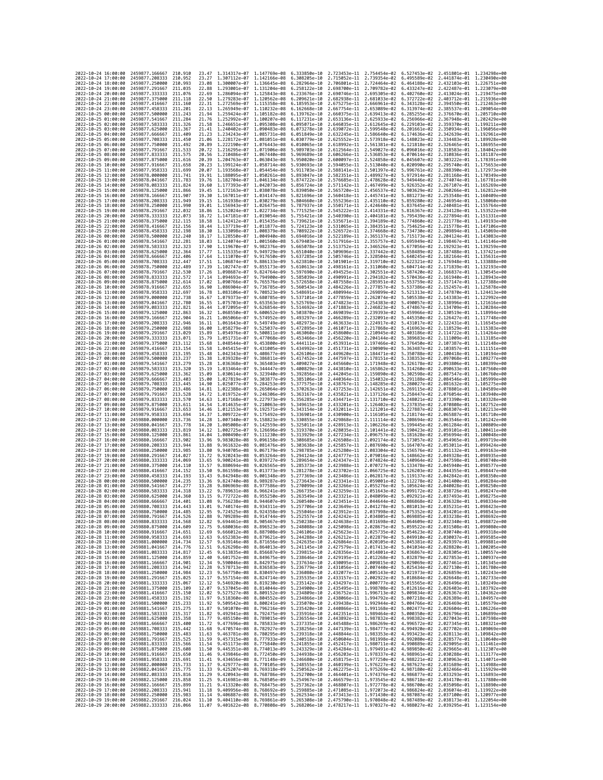| 2022-10-24 16:00:00                        | 2459877.166667                                   | 210.910              | 23.47          | 1.314317e-07 1.147769e-08              |                              | 6.333850e-10 2.723453e-11 2.754454e-02                                                                                                                                                                                         |                              |                                                                      |                              | 6.527453e-02 2.451801e-01 1.234298e+00    |                              |
|--------------------------------------------|--------------------------------------------------|----------------------|----------------|----------------------------------------|------------------------------|--------------------------------------------------------------------------------------------------------------------------------------------------------------------------------------------------------------------------------|------------------------------|----------------------------------------------------------------------|------------------------------|-------------------------------------------|------------------------------|
| 2022-10-24 17:00:00                        | 2459877.208333                                   | 210.952              | 23.27          | 1.307112e-07 1.142166e-08              |                              | 6.308205e-10                                                                                                                                                                                                                   | 2.715052e-11                 | 2.739354e-02                                                         | 6.495589e-02                 | 2.441874e-01 1.230490e+00                 |                              |
| 2022-10-24 18:00:00                        | 2459877.250000                                   | 210.993              | 23.08          | 1.300007e-07                           | 1.136645e-08                 | 6.282964e-10                                                                                                                                                                                                                   | 2.706801e-11                 | 2.724464e-02                                                         | 6.464188e-02                 | 2.432103e-01                              | 1.226751e+00                 |
| 2022-10-24 19:00:00                        | 2459877.291667                                   | 211.035              | 22.88          | 1.293001e-07 1.131204e-08 6.258122e-10 |                              |                                                                                                                                                                                                                                | 2.698700e-11                 | 2.709782e-02 6.433247e-02                                            |                              | 2.422487e-01 1.223079e+00                 |                              |
| 2022-10-24 20:00:00                        | 2459877.333333                                   | 211.076              | 22.69          | 1.286094e-07 1.125843e-08              |                              | 6.233676e-10                                                                                                                                                                                                                   | 2.690746e-11                 | 2.695305e-02                                                         | 6.402760e-02                 | 2.413024e-01 1.219475e+00                 |                              |
| 2022-10-24 21:00:00                        | 2459877.375000                                   | 211.118              | 22.50          | 1.279283e-07                           | 1.120562e-08                 | 6.209621e-10                                                                                                                                                                                                                   | 2.682938e-11                 | 2.681033e-02                                                         | 6.372722e-02                 | 2.403712e-01                              | 1.215936e+00                 |
| 2022-10-24 22:00:00<br>2022-10-24 23:00:00 | 2459877.416667<br>2459877.458333                 | 211.160<br>211,201   | 22.31<br>22.13 | 1.272569e-07<br>1.265949e-07           | 1.115358e-08<br>1.110232e-08 | 6.185953e-10<br>6.162668e-10                                                                                                                                                                                                   | 2.675275e-11<br>2.667754e-11 | 2.666961e-02<br>2.653089e-02                                         | 6.343128e-02<br>6.313974e-02 | 2.394550e-01<br>2.385537e-01              | 1.212463e+00<br>1.209054e+00 |
| 2022-10-25 00:00:00                        | 2459877.500000                                   | 211, 243             | 21.94          | 1.259424e-07                           | 1.105182e-08                 | 6.139762e-10                                                                                                                                                                                                                   | 2.660375e-11                 | 2.639413e-02                                                         | 6.285255e-02                 | 2.376670e-01                              | 1.205710e+00                 |
| 2022-10-25 01:00:00                        | 2459877.541667                                   | 211, 284             | 21.76          | 1.252992e-07                           | 1.100207e-08                 | 6.117231e-10                                                                                                                                                                                                                   | 2.653136e-11                 | 2.625933e-02                                                         | 6.256966e-02                 | 2.367948e-01                              | 1.202429e+00                 |
| 2022-10-25 02:00:00                        | 2459877.583333                                   | 211,326              | 21.58          | 1.246651e-07                           | 1.095308e-08                 | 6.095071e-10                                                                                                                                                                                                                   | 2.646035e-11                 | 2.612645e-02                                                         | 6.229103e-02                 | 2.359370e-01                              | 1.199211e+00                 |
| 2022-10-25 03:00:00                        | 2459877.625000                                   | 211,367              | 21.41          | 1.240402e-07                           | 1.090483e-08                 | 6.073278e-10                                                                                                                                                                                                                   | 2.639072e-11                 | 2.599548e-02                                                         | 6.201661e-02                 | 2.350934e-01                              | 1.196056e+00                 |
| 2022-10-25 04:00:00                        | 2459877.666667                                   | 211,409              | 21.23          | 1.234243e-07                           | 1.085731e-08                 | 6.051849e-10                                                                                                                                                                                                                   | 2.632245e-11                 | 2.586640e-02                                                         | 6.174636e-02                 | 2.342639e-01                              | 1.192961e+00                 |
| 2022-10-25 05:00:00                        | 2459877.708333                                   | 211.450              | 21.06          | 1.228172e-07                           | 1.081051e-08                 | 6.030779e-10                                                                                                                                                                                                                   | 2.625552e-11                 | 2.573918e-02                                                         | 6.148023e-02                 | 2.334483e-01                              | 1.189928e+00                 |
| 2022-10-25 06:00:00                        | 2459877.750000                                   | 211.492              | 20.89          | 1.222190e-07                           | 1.076443e-08                 | 6.010065e-10                                                                                                                                                                                                                   | 2.618992e-11                 | 2.561381e-02                                                         | 6.121818e-02                 | 2.326465e-01                              | 1.186955e+00                 |
| 2022-10-25 07:00:00<br>2022-10-25 08:00:00 | 2459877.791667<br>2459877.833333                 | 211,533<br>211.575   | 20.72<br>20.56 | 1.216295e-07<br>1.210486e-07           | 1.071906e-08<br>1.067440e-08 | 5.989703e-10<br>5.969689e-10                                                                                                                                                                                                   | 2.612564e-11<br>2.606266e-11 | 2.549027e-02<br>2.536853e-02                                         | 6.096016e-02<br>6.070614e-02 | 2.318583e-01<br>2.310836e-01              | 1.184042e+00<br>1.181187e+00 |
| 2022-10-25 09:00:00                        | 2459877.875000                                   | 211.616              | 20.39          | 1.204763e-07                           | 1.063043e-08                 | 5.950020e-10                                                                                                                                                                                                                   | 2.600097e-11                 | 2.524858e-02                                                         | 6.045607e-02                 | 2.303222e-01                              | 1.178391e+00                 |
| 2022-10-25 10:00:00                        | 2459877.916667                                   | 211,658              | 20.23          | 1.199124e-07                           | 1.058714e-08                 | 5.930693e-10                                                                                                                                                                                                                   | 2.594055e-11                 | 2.513040e-02                                                         | 6.020990e-02                 | 2.295740e-01 1.175653e+00                 |                              |
| 2022-10-25 11:00:00                        | 2459877.958333                                   | 211,699              | 20.07          | 1.193568e-07                           | 1.054454e-08                 | 5.911703e-10                                                                                                                                                                                                                   | 2.588141e-11                 | 2.501397e-02                                                         | 5.996761e-02                 | 2.288390e-01 1.172973e+00                 |                              |
| 2022-10-25 12:00:00                        | 2459878.000000                                   | 211.741              | 19.91          | 1.188095e-07                           | 1.050261e-08                 | 5.893047e-10                                                                                                                                                                                                                   | 2.582351e-11                 | 2.489927e-02                                                         | 5.972914e-02                 | 2.281168e-01                              | 1.170349e+00                 |
| 2022-10-25 13:00:00                        | 2459878.041667                                   | 211,783              | 19.76          | 1.182704e-07                           | 1.046134e-08                 | 5.874722e-10                                                                                                                                                                                                                   | 2.576685e-11                 | 2.478628e-02                                                         | 5.949446e-02                 | 2.274074e-01                              | 1.167781e+00                 |
| 2022-10-25 14:00:00<br>2022-10-25 15:00:00 | 2459878.083333<br>2459878,125000                 | 211.824<br>211.866   | 19.60<br>19.45 | 1.177393e-07<br>1.172163e-07           | 1.042073e-08<br>1.038078e-08 | 5.856724e-10<br>5.839050e-10                                                                                                                                                                                                   | 2.571142e-11<br>2.565720e-11 | 2.467499e-02<br>2.456537e-02                                         | 5.926352e-02<br>5.903629e-02 | 2.267107e-01<br>2.260266e-01              | 1.165269e+00<br>1.162812e+00 |
| 2022-10-25 16:00:00                        | 2459878.166667                                   | 211,907              | 19.30          | 1.167011e-07                           | 1.034147e-08                 | 5.821696e-10                                                                                                                                                                                                                   | 2.560418e-11                 | 2.445741e-02                                                         | 5.881273e-02                 | 2.253548e-01                              | 1.160409e+00                 |
| 2022-10-25 17:00:00                        | 2459878.208333                                   | 211.949              | 19.15          | 1.161938e-07                           | 1.030279e-08                 | 5.804660e-10                                                                                                                                                                                                                   | 2.555236e-11                 | 2.435110e-02                                                         | 5.859280e-02                 | 2.246954e-01 1.158060e+00                 |                              |
| 2022-10-25 18:00:00                        | 2459878.250000                                   | 211,990              | 19.01          | 1.156943e-07                           | 1.026475e-08                 | 5.787937e-10                                                                                                                                                                                                                   | 2.550171e-11                 | 2.424640e-02                                                         | 5.837645e-02                 | 2.240481e-01                              | 1.155764e+00                 |
| 2022-10-25 19:00:00                        | 2459878.291667                                   | 212.032              | 18.86          | 1.152024e-07                           | 1.022734e-08                 | 5.771525e-10                                                                                                                                                                                                                   | 2.545222e-11                 | 2.414331e-02                                                         | 5.816367e-02                 | 2.234128e-01                              | 1.153522e+00                 |
| 2022-10-25 20:00:00                        | 2459878.333333                                   | 212,073              | 18.72          | 1.147181e-07                           | 1.019054e-08                 | 5.755421e-10                                                                                                                                                                                                                   | 2.540390e-11                 | 2.404181e-02                                                         | 5.795439e-02                 | 2.227894e-01                              | 1.151331e+00                 |
| 2022-10-25 21:00:00                        | 2459878.375000                                   | 212, 115             | 18.58          | 1.142412e-07                           | 1.015435e-08                 | 5.739621e-10                                                                                                                                                                                                                   | 2.535671e-11                 | 2.394189e-02                                                         | 5.774860e-02                 | 2.221778e-01                              | 1.149193e+00                 |
| 2022-10-25 22:00:00                        | 2459878.416667                                   | 212.156              | 18.44          | 1.137719e-07                           | 1.011877e-08                 | 5.724123e-10                                                                                                                                                                                                                   | 2.531065e-11                 | 2.384351e-02                                                         | 5.754625e-02                 | 2.215778e-01                              | 1.147106e+00                 |
| 2022-10-25 23:00:00<br>2022-10-26 00:00:00 | 2459878.458333<br>2459878.500000                 | 212, 198<br>212.240  | 18.30<br>18.17 | 1.133098e-07<br>1.128550e-07           | 1.008379e-08<br>1.004940e-08 | 5.708922e-10<br>5.694016e-10                                                                                                                                                                                                   | 2.526572e-11<br>2.522189e-11 | 2.374668e-02<br>2.365137e-02                                         | 5.734730e-02<br>5.715173e-02 | 2.209894e-01<br>2.204124e-01              | 1.145069e+00<br>1.143083e+00 |
| 2022-10-26 01:00:00                        | 2459878.541667                                   | 212.281              | 18.03          | 1.124074e-07                           | 1.001560e-08                 | 5.679403e-10                                                                                                                                                                                                                   | 2.517916e-11                 | 2.355757e-02                                                         | 5.695949e-02                 | 2.198467e-01 1.141146e+00                 |                              |
| 2022-10-26 02:00:00                        | 2459878.583333                                   | 212.323              | 17.90          | 1.119670e-07                           | 9.982376e-09                 | 5.665078e-10                                                                                                                                                                                                                   | 2.513752e-11                 | 2.346526e-02                                                         | 5.677056e-02                 | 2.192923e-01                              | 1.139259e+00                 |
| 2022-10-26 03:00:00                        | 2459878.625000                                   | 212,364              | 17.77          | 1.115335e-07                           | 9.949729e-09                 | 5.651040e-10                                                                                                                                                                                                                   | 2.509696e-11                 | 2.337442e-02                                                         | 5.658489e-02                 | 2.187488e-01                              | 1.137421e+00                 |
| 2022-10-26 04:00:00                        | 2459878.666667                                   | 212.406              | 17.64          | 1.111070e-07                           | 9.917650e-09                 | 5.637285e-10                                                                                                                                                                                                                   | 2.505746e-11                 | 2.328504e-02                                                         | 5.640245e-02                 | 2.182164e-01 1.135631e+00                 |                              |
| 2022-10-26 05:00:00                        | 2459878.708333                                   | 212,447              | 17.51          | 1.106874e-07                           | 9.886133e-09                 | 5.623810e-10                                                                                                                                                                                                                   | 2.501901e-11                 | 2.319710e-02                                                         | 5.622321e-02                 | 2.176948e-01                              | 1.133888e+00                 |
| 2022-10-26 06:00:00                        | 2459878.750000                                   | 212.489<br>212,530   | 17.39<br>17.26 | 1.102747e-07<br>1.098687e-07           | 9.855173e-09                 | 5.610613e-10                                                                                                                                                                                                                   | 2.498161e-11                 | 2.311060e-02                                                         | 5.604714e-02                 | 2.171839e-01                              | 1.132193e+00                 |
| 2022-10-26 07:00:00<br>2022-10-26 08:00:00 | 2459878.791667<br>2459878.833333                 | 212,572              | 17.14          | 1.094693e-07                           | 9.824764e-09<br>9.794900e-09 | 5.597690e-10<br>5.585039e-10                                                                                                                                                                                                   | 2.494525e-11<br>2.490991e-11 | 2.302551e-02<br>2.294182e-02                                         | 5.587420e-02<br>5.570436e-02 | 2.166837e-01<br>2.161940e-01              | 1.130545e+00<br>1.128943e+00 |
| 2022-10-26 09:00:00                        | 2459878.875000                                   | 212,614              | 17.02          | 1.090766e-07                           | 9.765576e-09                 | 5.572658e-10                                                                                                                                                                                                                   | 2.487558e-11                 | 2.285951e-02                                                         | 5.553759e-02                 | 2.157147e-01                              | 1.127388e+00                 |
| 2022-10-26 10:00:00                        | 2459878.916667                                   | 212.655              | 16.90          | 1.086904e-07                           | 9.736785e-09                 | 5.560543e-10                                                                                                                                                                                                                   | 2.484226e-11                 | 2.277857e-02                                                         | 5.537386e-02                 | 2.152457e-01                              | 1.125878e+00                 |
| 2022-10-26 11:00:00                        | 2459878.958333                                   | 212.697              | 16.78          | 1.083106e-07                           | 9.708523e-09                 | 5.548691e-10                                                                                                                                                                                                                   | 2.480994e-11                 | 2.269899e-02 5.521313e-02                                            |                              | 2.147870e-01 1.124413e+00                 |                              |
| 2022-10-26 12:00:00                        | 2459879.000000                                   | 212.738              | 16.67          | 1.079373e-07                           | 9.680785e-09                 | 5.537101e-10                                                                                                                                                                                                                   | 2.477859e-11                 | 2.262074e-02                                                         | 5.505538e-02                 | 2.143383e-01                              | 1.122992e+00                 |
| 2022-10-26 13:00:00                        | 2459879.041667                                   | 212.780              | 16.55          | 1.075703e-07                           | 9.653563e-09                 | 5.525769e-10                                                                                                                                                                                                                   | 2.474823e-11                 | 2.254383e-02                                                         | 5.490057e-02                 | 2.138996e-01 1.121616e+00                 |                              |
| 2022-10-26 14:00:00                        | 2459879.083333<br>2459879.125000                 | 212,821              | 16.44          | 1.072095e-07                           | 9.626854e-09                 | 5.514692e-10                                                                                                                                                                                                                   | 2.471883e-11                 | 2.246823e-02                                                         | 5.474867e-02                 | 2.134709e-01                              | 1.120284e+00<br>1.118994e+00 |
| 2022-10-26 15:00:00<br>2022-10-26 16:00:00 | 2459879.166667                                   | 212,863<br>212,904   | 16.32<br>16.21 | 1.068550e-07<br>1.065066e-07           | 9.600652e-09<br>9.574952e-09 | 5.503870e-10<br>5.493297e-10                                                                                                                                                                                                   | 2.469039e-11<br>2.466289e-11 | 2.239393e-02<br>2.232091e-02                                         | 5.459966e-02<br>5.445350e-02 | 2.130519e-01<br>2.126427e-01 1.117748e+00 |                              |
| 2022-10-26 17:00:00                        | 2459879.208333                                   | 212.946              | 16.11          | 1.061643e-07                           | 9.549749e-09                 | 5.482973e-10                                                                                                                                                                                                                   | 2.463633e-11                 | 2.224917e-02                                                         | 5.431017e-02                 | 2.122431e-01                              | 1.116545e+00                 |
| 2022-10-26 18:00:00                        | 2459879.250000                                   | 212.988              | 16.00          | 1.058279e-07                           | 9.525037e-09                 | 5.472895e-10                                                                                                                                                                                                                   | 2.461071e-11                 | 2.217868e-02                                                         | 5.416963e-02                 | 2.118529e-01                              | 1.115383e+00                 |
| 2022-10-26 19:00:00                        | 2459879.291667                                   | 213.029              | 15.89          | 1.054976e-07                           | 9.500811e-09                 | 5.463060e-10                                                                                                                                                                                                                   | 2.458600e-11                 | 2.210945e-02                                                         | 5.403186e-02                 | 2.114722e-01                              | 1.114264e+00                 |
| 2022-10-26 20:00:00                        | 2459879.333333                                   | 213.071              | 15.79          | 1.051731e-07                           | 9.477068e-09                 | 5.453466e-10                                                                                                                                                                                                                   | 2.456220e-11                 | 2.204144e-02                                                         | 5.389683e-02                 | 2.111009e-01                              | 1.113185e+00                 |
| 2022-10-26 21:00:00                        | 2459879.375000                                   | 213.112              | 15.68          | 1.048544e-07                           | 9.453800e-09                 | 5.444111e-10                                                                                                                                                                                                                   | 2.453931e-11                 | 2.197466e-02                                                         | 5.376450e-02                 | 2.107387e-01                              | 1.112148e+00                 |
| 2022-10-26 22:00:00                        | 2459879.416667                                   | 213.154              | 15.58          | 1.045415e-07                           | 9.431005e-09                 | 5.434992e-10                                                                                                                                                                                                                   | 2.451731e-11                 | 2.190909e-02                                                         | 5.363487e-02                 | 2.103857e-01 1.111151e+00                 |                              |
| 2022-10-26 23:00:00<br>2022-10-27 00:00:00 | 2459879.458333<br>2459879.500000                 | 213.195<br>213.237   | 15.48<br>15.38 | 1.042343e-07<br>1.039328e-07           | 9.408677e-09<br>9.386811e-09 | 5.426106e-10<br>5.417452e-10                                                                                                                                                                                                   | 2.449620e-11<br>2.447597e-11 | 2.184471e-02<br>2.178151e-02                                         | 5.350788e-02<br>5.338353e-02 | 2.100418e-01 1.110194e+00<br>2.097068e-01 | 1.109277e+00                 |
| 2022-10-27 01:00:00                        | 2459879.541667                                   | 213, 279             | 15.28          | 1.036368e-07                           | 9.365403e-09                 | 5.409027e-10                                                                                                                                                                                                                   | 2.445660e-11                 | 2.171948e-02                                                         | 5.326178e-02                 | 2.093806e-01                              | 1.108399e+00                 |
| 2022-10-27 02:00:00                        | 2459879.583333                                   | 213.320              | 15.19          | 1.033464e-07                           | 9.344447e-09                 | 5.400829e-10                                                                                                                                                                                                                   | 2.443810e-11                 | 2.165862e-02                                                         | 5.314260e-02                 | 2.090633e-01                              | 1.107560e+00                 |
| 2022-10-27 03:00:00                        | 2459879.625000                                   | 213,362              | 15.09          | 1.030614e-07                           | 9.323940e-09                 | 5.392856e-10                                                                                                                                                                                                                   | 2.442045e-11                 | 2.159890e-02                                                         | 5.302598e-02                 | 2.087547e-01                              | 1.106760e+00                 |
| 2022-10-27 04:00:00                        | 2459879.666667                                   | 213,403              | 15.00          | 1.027819e-07                           | 9.303877e-09                 | 5.385106e-10                                                                                                                                                                                                                   | 2.440364e-11                 | 2.154032e-02                                                         | 5.291188e-02                 | 2.084546e-01                              | 1.105999e+00                 |
| 2022-10-27 05:00:00                        | 2459879.708333                                   | 213,445              | 14.90          | 1.025077e-07                           | 9.284253e-09                 | 5.377575e-10                                                                                                                                                                                                                   | 2.438767e-11                 | 2.148285e-02                                                         | 5.280027e-02                 | 2.081632e-01                              | 1.105275e+00                 |
| 2022-10-27 06:00:00<br>2022-10-27 07:00:00 | 2459879.750000<br>2459879.791667                 | 213.486<br>213.528   | 14.81<br>14.72 | 1.022388e-07<br>1.019752e-07           | 9.265064e-09<br>9.246306e-09 | 5.370263e-10<br>5.363167e-10                                                                                                                                                                                                   | 2.437253e-11<br>2.435821e-11 | 2.142651e-02<br>2.137126e-02                                         | 5.269115e-02<br>5.258447e-02 | 2.078801e-01<br>2.076054e-01              | 1.104589e+00<br>1.103940e+00 |
| 2022-10-27 08:00:00                        | 2459879.833333                                   | 213.570              | 14.63          | 1.017168e-07                           | 9.227973e-09                 | 5.356285e-10                                                                                                                                                                                                                   | 2.434471e-11                 | 2.131710e-02                                                         | 5.248021e-02                 | 2.073390e-01                              | 1.103328e+00                 |
| 2022-10-27 09:00:00                        | 2459879.875000                                   | 213.611              | 14.54          | 1.014635e-07                           | 9.210063e-09                 | 5.349615e-10                                                                                                                                                                                                                   | 2.433201e-11                 | 2.126402e-02                                                         | 5.237835e-02                 | 2.070808e-01                              | 1.102752e+00                 |
| 2022-10-27 10:00:00                        | 2459879.916667                                   | 213.653              | 14.46          | 1.012153e-07                           | 9.192571e-09                 | 5.343154e-10                                                                                                                                                                                                                   | 2.432011e-11                 | 2.121201e-02                                                         | 5.227887e-02                 | 2.068307e-01                              | 1.102213e+00                 |
| 2022-10-27 11:00:00                        | 2459879.958333                                   | 213,694              | 14.37          | 1.009722e-07                           | 9.175492e-09                 | 5.336901e-10                                                                                                                                                                                                                   | 2.430900e-11                 | 2.116105e-02                                                         | 5.218174e-02                 | 2.065887e-01                              | 1.101710e+00                 |
| 2022-10-27 12:00:00                        | 2459880.000000                                   | 213,736              | 14.28          | 1.007340e-07                           | 9.158823e-09                 | 5.330855e-10                                                                                                                                                                                                                   | 2.429868e-11                 | 2.111114e-02                                                         | 5.208694e-02                 | 2.063546e-01                              | 1.101242e+00                 |
| 2022-10-27 13:00:00                        | 2459880.041667                                   | 213,778              | 14.20          | 1.005008e-07                           | 9.142559e-09                 | 5.325011e-10                                                                                                                                                                                                                   | 2.428913e-11                 | 2.106226e-02                                                         | 5.199445e-02                 | 2.061284e-01                              | 1.100809e+00                 |
| 2022-10-27 14:00:00                        | 2459880.083333                                   | 213,819              | 14.12          | 1,002725e-07                           | 9.126696e-09                 | 5.319370e-10                                                                                                                                                                                                                   | 2.428035e-11 2.101441e-02    |                                                                      | 5.190423e-02                 | 2.059101e-01                              | 1.100411e+00                 |
| 2022-10-27 15:00:00<br>2022-10-27 16:00:00 | 2459880.125000<br>2459880,166667                 | 213,861<br>213.902   | 14.04<br>13.96 | 1.000490e-07<br>9.983028e-08           | 9.111230e-09<br>9.096158e-09 | 5.313929e-10<br>5.308685e-10                                                                                                                                                                                                   | 2.427234e-11<br>2.426508e-11 | 2.096757e-02<br>2.092174e-02                                         | 5.181628e-02<br>5.173057e-02 | 2.056994e-01<br>2.054965e-01              | 1.100048e+00<br>1.099719e+00 |
| 2022-10-27 17:00:00                        | 2459880.208333                                   | 213.944              | 13.88          | 9.961632e-08                           | 9.081476e-09                 | 5.303638e-10                                                                                                                                                                                                                   |                              | 2.087690e-02                                                         |                              |                                           | 1.099424e+00                 |
| 2022-10-27 18:00:00                        | 2459880.250000                                   | 213,985              | 13.80          |                                        |                              |                                                                                                                                                                                                                                |                              |                                                                      |                              |                                           | 1.099163e+00                 |
| 2022-10-27 19:00:00                        |                                                  |                      |                |                                        |                              |                                                                                                                                                                                                                                | 2.425857e-11                 |                                                                      | 5.164707e-02                 | 2.053011e-01                              |                              |
| 2022-10-27 20:00:00                        |                                                  | 214.027              |                | 9.940705e-08                           | 9.067179e-09                 | 5.298785e-10<br>5.294124e-10                                                                                                                                                                                                   | 2.425280e-11                 | 2.083304e-02                                                         | 5.156576e-02                 | 2.051132e-01<br>2.049328e-01              |                              |
| 2022-10-27 21:00:00                        | 2459880.291667<br>2459880.333333                 | 214.069              | 13.72<br>13.65 | 9.920243e-08<br>9.900241e-08           | 9.053264e-09<br>9.039727e-09 | 5.289654e-10                                                                                                                                                                                                                   | 2.424777e-11<br>2.424347e-11 | 2.079016e-02<br>2.074824e-02                                         | 5.148662e-02<br>5.140964e-02 | 2.047598e-01                              | 1.098935e+00<br>1.098740e+00 |
|                                            | 2459880.375000                                   | 214,110              | 13.57          | 9.880694e-08                           | 9.026565e-09                 | 5.285373e-10                                                                                                                                                                                                                   | 2.423988e-11                 | 2.070727e-02                                                         | 5.133478e-02                 | 2.045940e-01                              | 1.098577e+00                 |
| 2022-10-27 22:00:00                        | 2459880.416667                                   | 214.152              | 13.50          | 9.861598e-08                           | 9.013773e-09                 | 5.281278e-10                                                                                                                                                                                                                   | 2.423702e-11                 | 2.066725e-02                                                         | 5.126203e-02                 | 2.044355e-01                              | 1.098447e+00                 |
| 2022-10-27 23:00:00                        | 2459880.458333                                   | 214.193              | 13.43          | 9.842948e-08                           | 9.001348e-09                 | 5.277369e-10                                                                                                                                                                                                                   | 2.423486e-11                 | 2.062817e-02                                                         | 5.119137e-02                 | 2.042842e-01                              | 1.098350e+00                 |
| 2022-10-28 00:00:00                        | 2459880.500000                                   | 214,235              | 13.36          | 9.824740e-08                           | 8.989287e-09                 | 5.273643e-10                                                                                                                                                                                                                   | 2.423341e-11                 | 2.059001e-02                                                         | 5.112278e-02                 | 2.041400e-01                              | 1.098284e+00                 |
| 2022-10-28 01:00:00<br>2022-10-28 02:00:00 | 2459880.541667<br>2459880.583333                 | 214, 277<br>214, 318 | 13.28<br>13.22 | 9.806969e-08<br>9.789631e-08           | 8.977586e-09<br>8.966241e-09 | 5.270099e-10<br>5.266735e-10                                                                                                                                                                                                   | 2.423266e-11<br>2.423259e-11 | 2.055276e-02<br>2.051643e-02                                         | 5.105624e-02<br>5.099172e-02 | 2.040028e-01<br>2.038726e-01              | 1.098250e+00<br>1.098247e+00 |
| 2022-10-28 03:00:00                        | 2459880.625000                                   | 214,360              | 13.15          | 9.772722e-08                           | 8.955250e-09                 | 5.263549e-10                                                                                                                                                                                                                   | 2.423321e-11                 | 2.048099e-02                                                         | 5.092921e-02                 | 2.037493e-01                              | 1.098275e+00                 |
| 2022-10-28 04:00:00                        | 2459880.666667                                   | 214,401              | 13.08          | 9.756238e-08 8.944607e-09              |                              | 5.260540e-10                                                                                                                                                                                                                   |                              | 2.423451e-11  2.044644e-02  5.086868e-02  2.036328e-01  1.098334e+00 |                              |                                           |                              |
| 2022-10-28 05:00:00                        | 2459880.708333                                   | 214.443              | 13.01          | 9,740174e-08 8,934311e-09              |                              | 5.257706e-10 2.423649e-11 2.041278e-02 5.081013e-02 2.035231e-01 1.098423e+00                                                                                                                                                  |                              |                                                                      |                              |                                           |                              |
| 2022-10-28 06:00:00                        | 2459880.750000                                   | 214.485              |                | 9.724525e-08                           | 8.924358e-09                 | 5.255046e-10                                                                                                                                                                                                                   | 2.423912e-11                 | 2.037998e-02                                                         | 5.075352e-02                 | 2.034201e-01                              | 1.098543e+00                 |
| 2022-10-28 07:00:00                        | 2459880.791667 214.526<br>2459880.833333         | 214.568              | 12.88<br>12.82 |                                        |                              | 9.709289e-08 8.914744e-09 5.252557e-10 2.424242e-11 2.034805e-02 5.069885e-02 2.033238e-01 1.098692e+00<br>9.694461e-08 8.905467e-09 5.250238e-10 2.424638e-11 2.031698e-02 5.064609e-02 2.032340e-01 1.098872e+00             |                              |                                                                      |                              |                                           |                              |
| 2022-10-28 08:00:00<br>2022-10-28 09:00:00 | 2459880.875000                                   | 214.609              | 12.75          |                                        |                              | 9.680036e-08 8.896523e-09 5.248088e-10 2.425098e-11 2.028675e-02 5.059522e-02 2.031508e-01 1.099080e+00                                                                                                                        |                              |                                                                      |                              |                                           |                              |
| 2022-10-28 10:00:00                        | 2459880.916667 214.651                           |                      | 12.69          |                                        |                              | 9.666012e-08 8.887908e-09 5.246106e-10 2.425623e-11 2.025735e-02 5.054623e-02 2.030740e-01 1.099318e+00                                                                                                                        |                              |                                                                      |                              |                                           |                              |
| 2022-10-28 11:00:00                        | 2459880.958333 214.693                           |                      | 12.63          |                                        |                              | 9.652383e-08 8.879621e-09 5.244288e-10 2.426212e-11 2.022879e-02 5.049910e-02 2.030037e-01 1.099585e+00                                                                                                                        |                              |                                                                      |                              |                                           |                              |
| 2022-10-28 12:00:00                        | 2459881.000000                                   | 214,734              | 12.57          |                                        |                              |                                                                                                                                                                                                                                |                              |                                                                      |                              |                                           |                              |
| 2022-10-28 13:00:00                        | 2459881.041667                                   | 214.776              | 12.51          |                                        |                              | 9.639146e-08 8.871656e-09 5.242635e-10 2.426664e-11 2.020105e-02 5.045381e-02 2.029397e-01 1.099881e+00<br>9.626298e-08 8.864013e-09 5.242635e-10 2.427579e-11 2.017413e-02 5.045381e-02 2.028820e-01 1.100205e+00             |                              |                                                                      |                              |                                           |                              |
| 2022-10-28 14:00:00<br>2022-10-28 15:00:00 | 2459881.083333 214.817<br>2459881.125000 214.859 |                      | 12.45<br>12.40 |                                        |                              | 9.613835e-08 8.856687e-09 5.239815e-10 2.428356e-11 2.014801e-02 5.036867e-02 2.028305e-01 1.100557e+00<br>9.601752e-08 8.849675e-09 5.238646e-10 2.429195e-11 2.012268e-02 5.032879e-02 2.027853e-01 1.100937e+00             |                              |                                                                      |                              |                                           |                              |
| 2022-10-28 16:00:00                        | 2459881.166667                                   | 214.901              | 12.34          |                                        |                              | 9.590046e-08 8.842975e-09 5.237634e-10 2.430095e-11 2.009815e-02 5.029069e-02 2.027461e-01 1.101345e+00                                                                                                                        |                              |                                                                      |                              |                                           |                              |
| 2022-10-28 17:00:00                        | 2459881.208333                                   | 214.942              |                |                                        |                              | 12.28 9.578713e-08 8.836583e-09 5.236779e-10 2.431056e-11 2.007440e-02 5.025434e-02 2.027130e-01 1.101780e+00                                                                                                                  |                              |                                                                      |                              |                                           |                              |
| 2022-10-28 18:00:00                        | 2459881.250000                                   | 214.984              | 12.23          |                                        |                              | 9.567750e-08 8.830497e-09 5.236080e-10 2.432077e-11 2.005143e-02 5.021973e-02 2.026859e-01 1.102243e+00                                                                                                                        |                              |                                                                      |                              |                                           |                              |
| 2022-10-28 19:00:00                        | 2459881.291667 215.025                           |                      | 12.17          |                                        |                              | 9.557154e-08 8.824714e-09 5.235535e-10 2.433157e-11 2.002922e-02 5.018684e-02 2.026648e-01 1.102733e+00                                                                                                                        |                              |                                                                      |                              |                                           |                              |
| 2022-10-28 20:00:00                        | 2459881.333333                                   | 215.067              | 12.12          |                                        |                              | 9.546920e-08 8.819230e-09 5.235142e-10 2.434297e-11 2.000777e-02 5.015565e-02 2.026496e-01 1.103249e+00                                                                                                                        |                              |                                                                      |                              |                                           |                              |
| 2022-10-28 21:00:00                        | 2459881.375000 215.109                           |                      | 12.07          |                                        |                              | 9.537045e-08 8.814044e-09 5.234900e-10 2.435495e-11 1.998708e-02 5.012616e-02 2.026403e-01 1.103792e+00                                                                                                                        |                              |                                                                      |                              |                                           |                              |
| 2022-10-28 22:00:00<br>2022-10-28 23:00:00 | 2459881.416667<br>2459881.458333                 | 215.150<br>215, 192  | 12.02          |                                        |                              | 9.527527e-08 8.809152e-09 5.234809e-10 2.436752e-11 1.996713e-02 5.009834e-02 2.026367e-01 1.104362e+00                                                                                                                        |                              |                                                                      |                              |                                           |                              |
| 2022-10-29 00:00:00                        | 2459881.500000                                   | 215.233              |                |                                        |                              | 11.97 9.518360e-08 8.804552e-09 5.234866e-10 2.438066e-11 1.994792e-02 5.007218e-02 2.026389e-01 1.104957e+00<br>11.92 9.509542e-08 8.800241e-09 5.235070e-10 2.439438e-11 1.994792e-02 5.007218e-02 2.026369e-01 1.104957e+00 |                              |                                                                      |                              |                                           |                              |
| 2022-10-29 01:00:00                        | 2459881.541667 215.275                           |                      |                |                                        |                              | 11.87 9.501070e-08 8.796216e-09 5.235420e-10 2.440866e-11 1.991168e-02 5.002477e-02 2.026604e-01 1.106226e+00                                                                                                                  |                              |                                                                      |                              |                                           |                              |
| 2022-10-29 02:00:00                        | 2459881.583333 215.317                           |                      |                |                                        |                              | 11.82 9.492941e-08 8.792475e-09 5.235916e-10 2.442351e-11 1.989464e-02 5.000350e-02 2.026796e-01 1.106899e+00                                                                                                                  |                              |                                                                      |                              |                                           |                              |
| 2022-10-29 03:00:00                        | 2459881.625000                                   | 215.358              | 11.77          |                                        |                              | 9.485150e-08 8.789015e-09 5.236554e-10 2.443892e-11 1.987832e-02 4.998382e-02 2.027043e-01 1.107598e+00                                                                                                                        |                              |                                                                      |                              |                                           |                              |
| 2022-10-29 04:00:00                        | 2459881.666667                                   | 215.400              | 11.72          |                                        |                              | 9.477696e-08 8.785833e-09 5.237335e-10 2.445488e-11 1.986269e-02 4.996572e-02 2.027345e-01 1.108321e+00                                                                                                                        |                              |                                                                      |                              |                                           |                              |
| 2022-10-29 05:00:00                        | 2459881.708333 215.442                           | 215.483              |                |                                        |                              | 11.68 9.470574e-08 8.782927e-09 5.238256e-10 2.447139e-11 1.984777e-02 4.994920e-02 2.027702e-01 1.109069e+00                                                                                                                  |                              |                                                                      |                              |                                           |                              |
| 2022-10-29 06:00:00<br>2022-10-29 07:00:00 | 2459881.750000<br>2459881.791667                 | 215.525              | 11.59          |                                        |                              | 11.63 9.463781e-08 8.780295e-09 5.239318e-10 2.448844e-11 1.983353e-02 4.993423e-02 2.028113e-01 1.109842e+00<br>9.457315e-08 8.777933e-09 5.240518e-10 2.450604e-11 1.981998e-02 4.992080e-02 2.028577e-01 1.110640e+00       |                              |                                                                      |                              |                                           |                              |
| 2022-10-29 08:00:00                        | 2459881.833333 215.566                           |                      |                |                                        |                              | 11.54 9.451173e-08 8.775840e-09 5.241855e-10 2.452417e-11 1.980711e-02 4.990889e-02 2.029095e-01 1.111461e+00                                                                                                                  |                              |                                                                      |                              |                                           |                              |
| 2022-10-29 09:00:00                        | 2459881.875000 215.608                           |                      |                |                                        |                              | 11.50 9.445351e-08 8.774013e-09 5.243329e-10 2.454284e-11 1.979491e-02 4.989850e-02 2.029665e-01 1.112307e+00                                                                                                                  |                              |                                                                      |                              |                                           |                              |
| 2022-10-29 10:00:00                        | 2459881.916667                                   | 215.650              |                |                                        |                              | 11.46 9.439846e-08 8.772450e-09 5.244938e-10 2.456203e-11 1.978337e-02 4.988961e-02 2.030288e-01 1.113177e+00                                                                                                                  |                              |                                                                      |                              |                                           |                              |
| 2022-10-29 11:00:00                        | 2459881.958333                                   | 215.691              | 11.41          |                                        |                              | 9.434656e-08 8.771148e-09 5.246680e-10 2.458175e-11 1.977250e-02 4.988221e-02                                                                                                                                                  |                              |                                                                      |                              | 2.030963e-01 1.114071e+00                 |                              |
| 2022-10-29 12:00:00                        | 2459882.000000 215.733                           |                      | 11.37          |                                        |                              | 9.429777e-08 8.770105e-09 5.248555e-10 2.460199e-11 1.976227e-02 4.987627e-02 2.031689e-01 1.114988e+00                                                                                                                        |                              |                                                                      |                              |                                           |                              |
| 2022-10-29 13:00:00<br>2022-10-29 14:00:00 | 2459882.041667<br>2459882.083333                 | 215.775<br>215.816   |                |                                        |                              | 11.33 9.425207e-08 8.769318e-09 5.250562e-10 2.462275e-11 1.975269e-02 4.987180e-02 2.032466e-01 1.115929e+00<br>11.29 9.420943e-08 8.768786e-09 5.252700e-10 2.464401e-11 1.974376e-02 4.986877e-02 2.033293e-01 1.116893e+00 |                              |                                                                      |                              |                                           |                              |
| 2022-10-29 15:00:00                        | 2459882.125000 215.858                           |                      |                |                                        |                              | 11.25 9.416981e-08 8.768505e-09 5.254967e-10 2.466579e-11 1.973545e-02 4.986718e-02 2.034170e-01 1.117880e+00                                                                                                                  |                              |                                                                      |                              |                                           |                              |
| 2022-10-29 16:00:00                        | 2459882.166667 215.899                           |                      | 11.21          |                                        |                              | 9.413320e-08 8.768475e-09 5.257362e-10 2.468807e-11 1.972778e-02 4.986700e-02 2.035098e-01 1.118890e+00                                                                                                                        |                              |                                                                      |                              |                                           |                              |
| 2022-10-29 17:00:00                        | 2459882.208333 215.941                           |                      |                |                                        |                              | 11.18 9.409956e-08 8.768692e-09 5.259885e-10 2.471085e-11 1.972073e-02 4.986824e-02 2.036074e-01 1.119922e+00                                                                                                                  |                              |                                                                      |                              |                                           |                              |
| 2022-10-29 18:00:00<br>2022-10-29 19:00:00 | 2459882.250000<br>2459882.291667 216.024         | 215.983              | 11.14          |                                        |                              | 9.406887e-08 8.769155e-09 5.262534e-10 2.473413e-11 1.971430e-02 4.987087e-02 2.037100e-01<br>11.10 9.404110e-08 8.769861e-09 5.265308e-10 2.475790e-11 1.970848e-02 4.987489e-02 2.038173e-01 1.122054e+00                    |                              |                                                                      |                              |                                           | 1.120977e+00                 |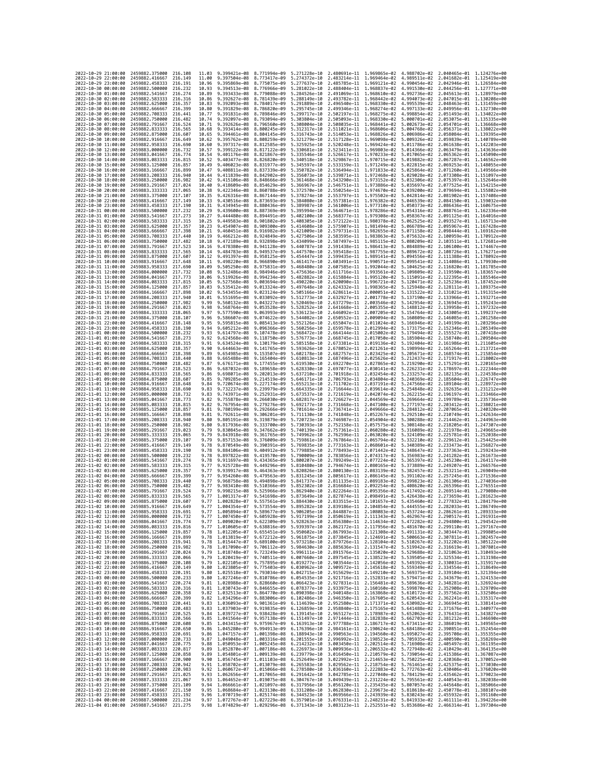| 2022-10-29 21:00:00                        | 2459882,375000                                   | 216.108              | 11.03          | 9.399421e-08 8.771994e-09                 |                              | 5.271228e-10                                                                                                                                                                                                                                                      |                              | 2.480691e-11 1.969865e-02 4.988702e-02 2.040465e-01 1.124276e+00                                                                                                                                                             |                                           |                              |                                                        |
|--------------------------------------------|--------------------------------------------------|----------------------|----------------|-------------------------------------------|------------------------------|-------------------------------------------------------------------------------------------------------------------------------------------------------------------------------------------------------------------------------------------------------------------|------------------------------|------------------------------------------------------------------------------------------------------------------------------------------------------------------------------------------------------------------------------|-------------------------------------------|------------------------------|--------------------------------------------------------|
| 2022-10-29 22:00:00                        | 2459882.416667                                   | 216.149              | 11.00          | 9.397504e-08                              | 8.773417e-09                 | 5.274372e-10                                                                                                                                                                                                                                                      | 2.483214e-11 1.969464e-02    |                                                                                                                                                                                                                              | 4.989511e-02                              | 2.041682e-01                 | 1.125419e+00                                           |
| 2022-10-29 23:00:00                        | 2459882.458333                                   | 216.191              | 10.96          | 9.395869e-08                              | 8.775075e-09                 | 5.277637e-10                                                                                                                                                                                                                                                      | 2.485785e-11                 | 1.969121e-02                                                                                                                                                                                                                 | 4.990454e-02                              | 2.042946e-01                 | 1.126584e+00                                           |
| 2022-10-30 00:00:00<br>2022-10-30 01:00:00 | 2459882.500000<br>2459882.541667                 | 216,232<br>216.274   | 10.93<br>10.89 | 9.394513e-08<br>9.393433e-08              | 8.776966e-09<br>8.779088e-09 | 5.281022e-10<br>5.284526e-10                                                                                                                                                                                                                                      |                              | 2.488404e-11 1.968837e-02<br>2.491069e-11 1.968610e-02                                                                                                                                                                       | 4.991530e-02<br>4.992736e-02              |                              | 2.044256e-01 1.127771e+00<br>2.045613e-01 1.128979e+00 |
| 2022-10-30 02:00:00                        | 2459882.583333                                   | 216,316              | 10.86          | 9.392627e-08                              | 8.781439e-09                 | 5.288149e-10                                                                                                                                                                                                                                                      |                              | 2.493782e-11 1.968442e-02                                                                                                                                                                                                    | 4.994073e-02                              |                              | 2.047015e-01 1.130208e+00                              |
| 2022-10-30 03:00:00                        | 2459882.625000                                   | 216.357              | 10.83          | 9.392093e-08                              | 8.784017e-09                 | 5.291889e-10                                                                                                                                                                                                                                                      | 2.496540e-11                 | 1.968330e-02                                                                                                                                                                                                                 | 4.995539e-02                              | 2.048463e-01                 | 1.131459e+00                                           |
| 2022-10-30 04:00:00                        | 2459882.666667                                   | 216.399              | 10.80          | 9.391829e-08                              | 8.786820e-09                 | 5.295745e-10                                                                                                                                                                                                                                                      | 2.499346e-11                 | 1.968274e-02                                                                                                                                                                                                                 | 4.997133e-02                              | 2.049956e-01                 | 1.132730e+00                                           |
| 2022-10-30 05:00:00<br>2022-10-30 06:00:00 | 2459882.708333<br>2459882,750000                 | 216.441<br>216,482   | 10.77<br>10.74 | 9.391831e-08<br>9.392097e-08              | 8.789846e-09<br>8.793094e-09 | 5.299717e-10<br>5.303804e-10                                                                                                                                                                                                                                      | 2.502197e-11<br>2.505093e-11 | 1.968275e-02<br>1.968330e-02                                                                                                                                                                                                 | 4.998854e-02<br>5.000701e-02              | 2.051493e-01<br>2.053075e-01 | 1.134022e+00<br>1.135335e+00                           |
| 2022-10-30 07:00:00                        | 2459882.791667                                   | 216.524              | 10.71          | 9.392626e-08                              | 8.796560e-09                 | 5.308004e-10                                                                                                                                                                                                                                                      | 2.508035e-11                 | 1.968441e-02                                                                                                                                                                                                                 | 5.002673e-02                              | 2.054701e-01                 | 1.136668e+00                                           |
| 2022-10-30 08:00:00                        | 2459882.833333                                   | 216.565              | 10.68          | 9.393414e-08                              | 8.800245e-09                 | 5.312317e-10                                                                                                                                                                                                                                                      | 2.511021e-11                 | 1.968606e-02                                                                                                                                                                                                                 | 5.004768e-02                              |                              | 2.056371e-01 1.138022e+00                              |
| 2022-10-30 09:00:00                        | 2459882.875000                                   | 216.607              | 10.65          | 9.394461e-08                              | 8.804145e-09                 | 5.316743e-10                                                                                                                                                                                                                                                      | 2.514053e-11                 | 1.968826e-02                                                                                                                                                                                                                 | 5.006986e-02                              | 2.058084e-01                 | 1.139395e+00                                           |
| 2022-10-30 10:00:00<br>2022-10-30 11:00:00 | 2459882.916667<br>2459882.958333                 | 216.649<br>216,690   | 10.62          | 9.395762e-08<br>9.397317e-08              | 8.808259e-09                 | 5.321279e-10<br>5.325925e-10                                                                                                                                                                                                                                      | 2.517128e-11<br>2.520248e-11 | 1.969098e-02                                                                                                                                                                                                                 | 5.009326e-02                              | 2.059839e-01                 | 1.140789e+00<br>1.142203e+00                           |
| 2022-10-30 12:00:00                        | 2459883.000000                                   | 216,732              | 10.60<br>10.57 | 9.399122e-08                              | 8.812585e-09<br>8.817122e-09 | 5.330681e-10                                                                                                                                                                                                                                                      | 2.523411e-11                 | 1.969424e-02<br>1.969803e-02                                                                                                                                                                                                 | 5.011786e-02<br>5.014366e-02              | 2.061638e-01<br>2.063479e-01 | 1.143636e+00                                           |
| 2022-10-30 13:00:00                        | 2459883.041667                                   | 216,774              | 10.54          | 9.401176e-08                              | 8.821867e-09                 | 5.335546e-10                                                                                                                                                                                                                                                      | 2.526617e-11                 | 1.970233e-02                                                                                                                                                                                                                 | 5.017065e-02                              | 2.065362e-01                 | 1.145090e+00                                           |
| 2022-10-30 14:00:00                        | 2459883.083333                                   | 216.815              | 10.52          | 9.403477e-08                              | 8.826820e-09                 | 5.340518e-10                                                                                                                                                                                                                                                      | 2.529867e-11                 | 1.970715e-02                                                                                                                                                                                                                 | 5.019882e-02                              | 2.067287e-01                 | 1.146562e+00                                           |
| 2022-10-30 15:00:00                        | 2459883.125000                                   | 216.857              | 10.49          | 9.406023e-08 8.831977e-09                 |                              | 5.345597e-10                                                                                                                                                                                                                                                      |                              | 2.533159e-11 1.971249e-02                                                                                                                                                                                                    | 5.022815e-02                              |                              | 2.069253e-01 1.148055e+00                              |
| 2022-10-30 16:00:00<br>2022-10-30 17:00:00 | 2459883.166667<br>2459883.208333                 | 216.899<br>216.940   | 10.47<br>10.44 | 9.408811e-08<br>9.411839e-08              | 8.837339e-09<br>8.842902e-09 | 5.350782e-10<br>5.356073e-10                                                                                                                                                                                                                                      | 2.539871e-11                 | 2.536494e-11 1.971833e-02<br>1.972468e-02                                                                                                                                                                                    | 5.025864e-02<br>5.029028e-02              | 2.073308e-01                 | 2.071260e-01 1.149566e+00<br>1.151097e+00              |
| 2022-10-30 18:00:00                        | 2459883.250000                                   | 216.982              | 10.42          | 9.415106e-08                              | 8.848666e-09                 | 5.361468e-10                                                                                                                                                                                                                                                      | 2.543290e-11                 | 1.973152e-02                                                                                                                                                                                                                 | 5.032306e-02                              | 2.075397e-01                 | 1.152646e+00                                           |
| 2022-10-30 19:00:00                        | 2459883.291667                                   | 217.024              | 10.40          | 9.418609e-08                              | 8.854629e-09                 | 5.366967e-10                                                                                                                                                                                                                                                      | 2.546751e-11                 | 1.973886e-02                                                                                                                                                                                                                 | 5.035697e-02                              | 2.077525e-01                 | 1.154215e+00                                           |
| 2022-10-30 20:00:00                        | 2459883.333333                                   | 217,065              | 10.38          | 9.422346e-08                              | 8.860788e-09                 | 5.372570e-10                                                                                                                                                                                                                                                      |                              | 2.550254e-11 1.974670e-02                                                                                                                                                                                                    |                                           | 5.039200e-02 2.079694e-01    | 1.155802e+00                                           |
| 2022-10-30 21:00:00<br>2022-10-30 22:00:00 | 2459883.375000                                   | 217, 107<br>217, 149 | 10.35<br>10.33 | 9.426316e-08                              | 8.867144e-09                 | 5.378274e-10<br>5.384080e-10                                                                                                                                                                                                                                      | 2.553797e-11                 | 1.975502e-02<br>2.557381e-11 1.976382e-02                                                                                                                                                                                    | 5.042814e-02                              | 2.081902e-01<br>2.084150e-01 | 1.157408e+00<br>1.159032e+00                           |
| 2022-10-30 23:00:00                        | 2459883.416667<br>2459883.458333                 | 217.190              | 10.31          | 9.430516e-08<br>9.434945e-08              | 8.873693e-09<br>8.880436e-09 | 5.389987e-10                                                                                                                                                                                                                                                      | 2.561006e-11                 | 1.977310e-02                                                                                                                                                                                                                 | 5.046539e-02<br>5.050373e-02              | 2.086436e-01                 | 1.160675e+00                                           |
| 2022-10-31 00:00:00                        | 2459883.500000                                   | 217.232              | 10.29          | 9.439600e-08                              | 8.887369e-09                 | 5.395994e-10                                                                                                                                                                                                                                                      | 2.564671e-11                 | 1.978286e-02                                                                                                                                                                                                                 | 5.054316e-02                              | 2.088761e-01                 | 1.162336e+00                                           |
| 2022-10-31 01:00:00                        | 2459883.541667                                   | 217.273              | 10.27          | 9.444480e-08                              | 8.894491e-09                 | 5.402100e-10                                                                                                                                                                                                                                                      | 2.568377e-11                 | 1.979308e-02                                                                                                                                                                                                                 | 5.058367e-02                              | 2.091125e-01                 | 1.164016e+00                                           |
| 2022-10-31 02:00:00                        | 2459883.583333                                   | 217.315              | 10.25          | 9.449583e-08                              | 8.901802e-09                 | 5.408305e-10                                                                                                                                                                                                                                                      | 2.572122e-11                 | 1.980378e-02                                                                                                                                                                                                                 | 5.062525e-02                              | 2.093527e-01                 | 1.165713e+00                                           |
| 2022-10-31 03:00:00<br>2022-10-31 04:00:00 | 2459883.625000<br>2459883.666667                 | 217,357<br>217.398   | 10.23<br>10.21 | 9.454907e-08<br>9.460451e-08              | 8.909300e-09<br>8.916982e-09 | 5.414608e-10<br>5.421009e-10                                                                                                                                                                                                                                      | 2.575907e-11<br>2.579731e-11 | 1.981494e-02<br>1.982655e-02                                                                                                                                                                                                 | 5.066789e-02<br>5.071158e-02              | 2.095967e-01<br>2.098444e-01 | 1.167428e+00<br>1.169162e+00                           |
| 2022-10-31 05:00:00                        | 2459883.708333                                   | 217,440              | 10.19          | $9.466212e - 08$                          | 8.924849e-09                 | 5.427506e-10                                                                                                                                                                                                                                                      | 2.583595e-11                 | 1.983863e-02                                                                                                                                                                                                                 | 5.075632e-02                              | 2.100959e-01                 | 1.170912e+00                                           |
| 2022-10-31 06:00:00                        | 2459883.750000                                   | 217,482              | 10.18          | 9.472189e-08                              | 8.932898e-09                 | 5.434099e-10                                                                                                                                                                                                                                                      | 2.587497e-11                 | 1.985115e-02                                                                                                                                                                                                                 | 5.080209e-02                              | 2.103511e-01                 | 1.172681e+00                                           |
| 2022-10-31 07:00:00                        | 2459883.791667                                   | 217,523              | 10.16          | 9.478380e-08                              | 8.941128e-09                 | 5.440787e-10                                                                                                                                                                                                                                                      | 2.591438e-11                 | 1.986413e-02                                                                                                                                                                                                                 | 5.084889e-02                              |                              | 2.106100e-01 1.174467e+00                              |
| 2022-10-31 08:00:00<br>2022-10-31 09:00:00 | 2459883.833333<br>2459883.875000                 | 217,565<br>217,607   | 10.14<br>10.12 | 9.484783e-08<br>9.491397e-08              | 8.949537e-09<br>8.958125e-09 | 5.447570e-10<br>5.454447e-10                                                                                                                                                                                                                                      | 2.595418e-11<br>2.599435e-11 | 1.987755e-02<br>1.989141e-02                                                                                                                                                                                                 | 5.089672e-02<br>5.094556e-02              | 2.108726e-01<br>2.111388e-01 | 1.176271e+00<br>1.178092e+00                           |
| 2022-10-31 10:00:00                        | 2459883.916667                                   | 217.648              | 10.11          | 9.498220e-08                              | 8.966890e-09                 | 5.461417e-10                                                                                                                                                                                                                                                      | 2.603491e-11                 | 1.990571e-02                                                                                                                                                                                                                 | 5.099541e-02                              | 2.114086e-01                 | 1.179930e+00                                           |
| 2022-10-31 11:00:00                        | 2459883.958333                                   | 217,690              | 10.09          | 9.505250e-08                              | 8.975831e-09                 | 5.468480e-10                                                                                                                                                                                                                                                      | 2.607585e-11                 | 1.992044e-02                                                                                                                                                                                                                 | 5.104625e-02                              |                              | 2.116820e-01 1.181785e+00                              |
| 2022-10-31 12:00:00                        | 2459884.000000                                   | 217.732              | 10.08          | 9.512486e-08                              | 8.984946e-09                 | 5.475636e-10                                                                                                                                                                                                                                                      | 2.611716e-11                 | 1.993561e-02                                                                                                                                                                                                                 | 5.109809e-02                              | 2.119590e-01                 | 1.183657e+00                                           |
| 2022-10-31 13:00:00                        | 2459884.041667                                   | 217.773              | 10.06          | 9.519926e-08                              | 8,994234e-09                 | 5.482882e-10                                                                                                                                                                                                                                                      | 2.615884e-11                 | 1.995120e-02                                                                                                                                                                                                                 | 5.115091e-02                              |                              | 2.122395e-01 1.185546e+00                              |
| 2022-10-31 14:00:00<br>2022-10-31 15:00:00 | 2459884.083333<br>2459884.125000                 | 217.815<br>217.857   | 10.05<br>10.03 | 9.527568e-08<br>9.535412e-08              | 9.003694e-09<br>9.013324e-09 | 5.490220e-10<br>5.497648e-10                                                                                                                                                                                                                                      | 2.620090e-11<br>2.624332e-11 | 1.996721e-02<br>1.998365e-02                                                                                                                                                                                                 | 5.120471e-02<br>5.125948e-02              | 2.125236e-01<br>2.128111e-01 | 1.187452e+00<br>1.189375e+00                           |
| 2022-10-31 16:00:00                        | 2459884.166667                                   | 217,898              | 10.02          | 9.543455e-08                              | 9.023124e-09                 | 5.505166e-10                                                                                                                                                                                                                                                      | 2.628611e-11                 | 2.000051e-02                                                                                                                                                                                                                 | 5.131522e-02                              | 2.131021e-01                 | 1.191315e+00                                           |
| 2022-10-31 17:00:00                        | 2459884.208333                                   | 217.940              | 10.01          | 9.551695e-08                              | 9.033092e-09                 | 5.512773e-10                                                                                                                                                                                                                                                      | 2.632927e-11                 | 2.001778e-02                                                                                                                                                                                                                 | 5.137190e-02                              | 2.133966e-01                 | 1.193271e+00                                           |
| 2022-10-31 18:00:00                        | 2459884.250000                                   | 217.982              | 9.99           | 9.560132e-08                              | 9.043227e-09                 | 5.520469e-10                                                                                                                                                                                                                                                      | 2.637279e-11                 | 2.003546e-02                                                                                                                                                                                                                 | 5.142954e-02                              | 2.136945e-01                 | 1.195243e+00                                           |
| 2022-10-31 19:00:00<br>2022-10-31 20:00:00 | 2459884.291667<br>2459884.333333                 | 218.023<br>218.065   | 9.98<br>9.97   | 9.568764e-08<br>9.577590e-08              | 9.053528e-09<br>9.063993e-09 | 5.528252e-10<br>5.536123e-10                                                                                                                                                                                                                                      | 2.641668e-11<br>2.646092e-11 | 2.005355e-02<br>2.007205e-02                                                                                                                                                                                                 | 5.148812e-02<br>5.154764e-02              | 2.139958e-01<br>2.143005e-01 | 1.197232e+00<br>1.199237e+00                           |
| 2022-10-31 21:00:00                        | 2459884.375000                                   | 218.107              | 9.96           | 9.586607e-08                              | 9.074622e-09                 | 5.544082e-10                                                                                                                                                                                                                                                      | 2.650552e-11                 | 2.009094e-02                                                                                                                                                                                                                 | 5.160809e-02                              |                              | 2.146085e-01 1.201258e+00                              |
| 2022-10-31 22:00:00                        | 2459884,416667                                   | 218.148              | 9.95           | 9.595815e-08                              | 9.085413e-09                 | 5.552126e-10                                                                                                                                                                                                                                                      | 2.655047e-11                 | 2.011024e-02                                                                                                                                                                                                                 | 5.166946e-02                              |                              | 2.149199e-01 1.203296e+00                              |
| 2022-10-31 23:00:00                        | 2459884.458333                                   | 218.190              | 9.94           | 9.605212e-08                              | 9.096366e-09                 | 5.560256e-10                                                                                                                                                                                                                                                      | 2.659578e-11                 | 2.012994e-02                                                                                                                                                                                                                 | 5.173175e-02                              | 2.152346e-01                 | 1.205349e+00                                           |
| 2022-11-01 00:00:00<br>2022-11-01 01:00:00 | 2459884,500000                                   | 218.232<br>218, 273  | 9.93<br>9.92   | 9.614797e-08<br>9.624568e-08              | 9.107478e-09                 | 5.568472e-10<br>5.576773e-10                                                                                                                                                                                                                                      | 2.664144e-11                 | 2.015002e-02                                                                                                                                                                                                                 | 5.179494e-02<br>5.185904e-02              |                              | 2.155527e-01 1.207418e+00<br>1.209504e+00              |
| 2022-11-01 02:00:00                        | 2459884.541667<br>2459884.583333                 | 218, 315             | 9.91           | 9.634524e-08                              | 9.118750e-09<br>9.130179e-09 | 5.585158e-10                                                                                                                                                                                                                                                      | 2.668745e-11<br>2.673381e-11 | 2.017050e-02<br>2.019136e-02                                                                                                                                                                                                 | 5.192404e-02                              | 2.158740e-01<br>2.161986e-01 | 1.211605e+00                                           |
| 2022-11-01 03:00:00                        | 2459884.625000                                   | 218,357              | 9.90           | 9.644663e-08                              | 9.141765e-09                 | 5.593626e-10                                                                                                                                                                                                                                                      | 2.678052e-11                 | 2.021261e-02                                                                                                                                                                                                                 | 5.198994e-02                              |                              | 2.165264e-01 1.213721e+00                              |
| 2022-11-01 04:00:00                        | 2459884.666667                                   | 218.398              | 9.89           | 9.654985e-08                              | 9.153507e-09                 | 5.602178e-10                                                                                                                                                                                                                                                      | 2.682757e-11                 | 2.023425e-02                                                                                                                                                                                                                 | 5.205671e-02                              |                              | 2.168574e-01 1.215854e+00                              |
| 2022-11-01 05:00:00                        | 2459884.708333                                   | 218,440              | 9.88           | 9.665488e-08                              | 9.165404e-09                 | 5.610813e-10                                                                                                                                                                                                                                                      | 2.687496e-11                 | 2.025626e-02                                                                                                                                                                                                                 | 5.212437e-02                              | 2.171917e-01                 | 1.218002e+00                                           |
| 2022-11-01 06:00:00<br>2022-11-01 07:00:00 | 2459884.750000<br>2459884.791667                 | 218.482<br>218.523   | 9.87<br>9.86   | 9.676171e-08<br>9.687032e-08              | 9.177455e-09<br>9.189658e-09 | 5.619530e-10<br>5.628330e-10                                                                                                                                                                                                                                      | 2.692270e-11<br>2.697077e-11 | 2.027865e-02                                                                                                                                                                                                                 | 5.219290e-02<br>2.030141e-02 5.226231e-02 | 2.175291e-01                 | 1.220165e+00<br>2.178697e-01 1.222344e+00              |
| 2022-11-01 08:00:00                        | 2459884.833333                                   | 218.565              | 9.86           | 9.698071e-08                              | 9.202013e-09                 | 5.637210e-10                                                                                                                                                                                                                                                      | 2.701918e-11                 | 2.032454e-02                                                                                                                                                                                                                 | 5.233257e-02                              | 2.182135e-01                 | 1.224538e+00                                           |
| 2022-11-01 09:00:00                        | 2459884.875000                                   | 218.607              | 9.85           | 9.709285e-08                              | 9.214519e-09                 | 5.646171e-10                                                                                                                                                                                                                                                      | 2.706793e-11                 | 2.034804e-02                                                                                                                                                                                                                 | 5.240369e-02                              | 2.185604e-01                 | 1.226747e+00                                           |
| 2022-11-01 10:00:00                        | 2459884.916667                                   | 218.648              | 9.84           | 9.720674e-08                              | 9.227174e-09                 | 5.655213e-10                                                                                                                                                                                                                                                      | 2.711702e-11                 | 2.037191e-02                                                                                                                                                                                                                 | 5.247566e-02                              | 2.189104e-01                 | 1.228972e+00                                           |
| 2022-11-01 11:00:00<br>2022-11-01 12:00:00 | 2459884.958333<br>2459885.000000                 | 218,690<br>218,732   | 9.83<br>9.83   | 9.732237e-08<br>9.743971e-08              | 9.239979e-09<br>9.252931e-09 | 5.664335e-10<br>5.673537e-10                                                                                                                                                                                                                                      | 2.716644e-11<br>2.721619e-11 | 2.039614e-02<br>2.042074e-02                                                                                                                                                                                                 | 5.254848e-02<br>5.262215e-02              | 2.192635e-01                 | 1.231212e+00<br>2.196197e-01 1.233466e+00              |
| 2022-11-01 13:00:00                        | 2459885.041667                                   | 218,773              | 9.82           | 9.755878e-08                              | 9.266030e-09                 | 5.682817e-10                                                                                                                                                                                                                                                      | 2.726627e-11                 | 2.044569e-02                                                                                                                                                                                                                 | 5.269664e-02                              | 2.199789e-01                 | 1.235736e+00                                           |
| 2022-11-01 14:00:00                        | 2459885.083333                                   | 218,815              | 9.82           | 9.767954e-08                              | 9.279276e-09                 | 5.692177e-10                                                                                                                                                                                                                                                      | 2.731668e-11                 | 2.047100e-02                                                                                                                                                                                                                 | 5.277197e-02                              | 2.203412e-01                 | 1.238021e+00                                           |
| 2022-11-01 15:00:00                        | 2459885.125000                                   | 218.857              | 9.81           | 9.780199e-08                              | 9.292666e-09                 | 5.701614e-10                                                                                                                                                                                                                                                      | 2.736741e-11                 | 2.049666e-02                                                                                                                                                                                                                 | 5.284812e-02                              | 2.207065e-01                 | 1,240320e+00                                           |
| 2022-11-01 16:00:00                        | 2459885.166667                                   | 218.898              | 9.81<br>9.80   | 9.792611e-08                              | 9.306201e-09                 | 5.711130e-10                                                                                                                                                                                                                                                      | 2.741848e-11                 | 2.052267e-02                                                                                                                                                                                                                 | 5.292510e-02                              | 2.210749e-01                 | 1.242634e+00<br>1.244963e+00                           |
| 2022-11-01 17:00:00<br>2022-11-01 18:00:00 | 2459885.208333<br>2459885.250000                 | 218.940<br>218.982   | 9.80           | 9.805191e-08<br>9.817936e-08              | 9.319879e-09<br>9.333700e-09 | 5.720723e-10<br>5.730393e-10                                                                                                                                                                                                                                      | 2.746987e-11<br>2.752158e-11 | 2.054904e-02<br>2.057575e-02                                                                                                                                                                                                 | 5.300288e-02<br>5.308148e-02              | 2.214462e-01                 | 2.218205e-01 1.247307e+00                              |
| 2022-11-01 19:00:00                        | 2459885.291667                                   | 219.023              | 9.79           | 9.830845e-08                              | 9.347662e-09                 | 5.740139e-10                                                                                                                                                                                                                                                      | 2.757361e-11                 | 2.060280e-02                                                                                                                                                                                                                 | 5.316089e-02                              |                              | 2.221978e-01 1.249665e+00                              |
| 2022-11-01 20:00:00                        | 2459885.333333                                   | 219.065              | 9.79           | 9.843918e-08                              | 9.361765e-09                 | 5.749962e-10                                                                                                                                                                                                                                                      | 2.762596e-11                 | 2.063020e-02                                                                                                                                                                                                                 | 5.324109e-02                              | 2.225781e-01                 | 1.252038e+00                                           |
| 2022-11-01 21:00:00                        | 2459885.375000                                   | 219.107              | 9.79           | 9.857153e-08                              | 9.376009e-09                 | 5.759861e-10                                                                                                                                                                                                                                                      | 2.767864e-11                 | 2.065794e-02                                                                                                                                                                                                                 | 5.332210e-02                              | 2.229612e-01                 | 1.254425e+00                                           |
| 2022-11-01 22:00:00<br>2022-11-01 23:00:00 | 2459885.416667<br>2459885.458333                 | 219,149<br>219,190   | 9.78<br>9.78   | 9.870549e-08<br>9.884106e-08              | 9.390391e-09<br>9.404912e-09 | 5.769835e-10<br>5.779885e-10                                                                                                                                                                                                                                      | 2.773163e-11<br>2.778493e-11 | 2.068601e-02<br>2.071442e-02                                                                                                                                                                                                 | 5.340389e-02<br>5.348647e-02              | 2.233473e-01<br>2.237363e-01 | 1.256827e+00<br>1.259243e+00                           |
| 2022-11-02 00:00:00                        | 2459885.500000                                   | 219,232              | 9.78           | 9.897822e-08                              | 9.419570e-09                 | 5.790009e-10                                                                                                                                                                                                                                                      | 2.783856e-11                 | 2.074317e-02                                                                                                                                                                                                                 | 5.356983e-02                              | 2.241282e-01                 | 1.261673e+00                                           |
| 2022-11-02 01:00:00                        | 2459885.541667                                   | 219.274              | 9.78           | 9.911697e-08                              | 9.434365e-09                 | 5.800207e-10                                                                                                                                                                                                                                                      | 2.789249e-11                 | 2.077224e-02                                                                                                                                                                                                                 | 5.365397e-02                              | 2.245230e-01                 | 1.264117e+00                                           |
| 2022-11-02 02:00:00                        | 2459885.583333                                   | 219.315              | 9.77           | 9.925728e-08                              | 9.449296e-09                 | 5.810480e-10                                                                                                                                                                                                                                                      | 2.794674e-11                 | 2.080165e-02                                                                                                                                                                                                                 | 5.373889e-02                              | 2.249207e-01                 | 1.266576e+00                                           |
| 2022-11-02 03:00:00<br>2022-11-02 04:00:00 | 2459885.625000<br>2459885.666667                 | 219.357<br>219,399   | 9.77<br>9.77   | 9.939917e-08<br>9.954260e-08              | 9.464363e-09<br>9.479563e-09 | 5.820826e-10<br>5.831245e-10                                                                                                                                                                                                                                      | 2.800130e-11<br>2.805617e-11 | 2.083139e-02<br>2.086145e-02                                                                                                                                                                                                 | 5.382457e-02<br>5.391102e-02              | 2.253211e-01<br>2.257245e-01 | 1.269049e+00<br>1.271536e+00                           |
| 2022-11-02 05:00:00                        | 2459885.708333                                   | 219.440              | 9.77           | 9.968758e-08                              | 9.494898e-09                 | 5.841737e-10                                                                                                                                                                                                                                                      | 2.811135e-11                 | 2.089183e-02                                                                                                                                                                                                                 | 5.399823e-02                              | 2.261306e-01                 | 1.274036e+00                                           |
| 2022-11-02 06:00:00                        | 2459885.750000                                   | 219,482              | 9.77           | 9.983410e-08                              | 9.510366e-09                 | 5.852302e-10                                                                                                                                                                                                                                                      | 2.816684e-11                 | 2.092254e-02                                                                                                                                                                                                                 | 5.408620e-02                              | 2.265396e-01                 | 1.276551e+00                                           |
| 2022-11-02 07:00:00                        | 2459885.791667                                   | 219.524              | 9.77           | 9.998215e-08                              | 9.525966e-09                 | 5.862940e-10                                                                                                                                                                                                                                                      | 2.822264e-11                 | 2.095356e-02                                                                                                                                                                                                                 | 5.417492e-02                              | 2.269514e-01                 | 1.279080e+00                                           |
| 2022-11-02 08:00:00<br>2022-11-02 09:00:00 | 2459885.833333<br>2459885.875000                 | 219.565<br>219,607   | 9.77<br>9.77   | 1.001317e-07<br>1.002828e-07 9.557561e-09 | 9.541698e-09                 | 5.873649e-10<br>5.884430e-10                                                                                                                                                                                                                                      | 2.827874e-11                 | 2.098491e-02<br>2.833515e-11  2.101657e-02  5.435460e-02  2.277832e-01  1.284179e+00                                                                                                                                         | 5.426438e-02                              | 2.273659e-01                 | 1.281623e+00                                           |
| 2022-11-02 10:00:00                        | 2459885.916667                                   | 219.649              | 9.77           |                                           |                              | 1.004354e-07 9.573554e-09 5.895282e-10 2.839186e-11 2.104854e-02 5.444555e-02 2.282033e-01 1.286749e+00                                                                                                                                                           |                              |                                                                                                                                                                                                                              |                                           |                              |                                                        |
| 2022-11-02 11:00:00                        | 2459885.958333                                   | 719.691              | 9.77           | 1.005894e-07                              | 9.589677e-09                 | 5.906205e-10                                                                                                                                                                                                                                                      | 2.844887e-11                 | 2.108083e-02                                                                                                                                                                                                                 | 5.453724e-02                              | 2.286261e-01                 | 1.289333e+00                                           |
| 2022-11-02 12:00:00                        | 2459886.000000 219.732                           |                      | 9.77           |                                           |                              | 1.007450e-07 9.605928e-09 5.917199e-10 2.850619e-11 2.111343e-02 5.462967e-02 2.290517e-01 1.291931e+00                                                                                                                                                           |                              |                                                                                                                                                                                                                              |                                           |                              |                                                        |
| 2022-11-02 13:00:00<br>2022-11-02 14:00:00 | 2459886.041667 219.774<br>2459886.083333 219.816 |                      |                |                                           |                              | 9.77 1.009020e-07 9.622309e-09 5.928263e-10 2.856380e-11 2.114634e-02 5.472282e-02 2.294800e-01 1.294542e+00                                                                                                                                                      |                              |                                                                                                                                                                                                                              |                                           |                              |                                                        |
| 2022-11-02 15:00:00                        | 2459886.125000 219.857                           |                      |                |                                           |                              | $\begin{array}{cccccccc} 9.77 & 1.010605e-07 & 9.638816e-09 & 5.939397e-10 & 2.862172e-11 & 2.117956e-02 & 5.481670e-02 & 2.299110e-01 & 1.297167e+00 & 0.0000 & 0.0000 & 0.0000 & 0.0000 & 0.0000 & 0.0000 & 0.0000 & 0.0000 & 0.0000 & 0.0000 & 0.0000 & 0.000$ |                              |                                                                                                                                                                                                                              |                                           |                              |                                                        |
| 2022-11-02 16:00:00                        | 2459886.166667 219.899                           |                      |                |                                           |                              | 9.78 1.013819e-07 9.672212e-09 5.961875e-10 2.873845e-11 2.124691e-02 5.500663e-02 2.307811e-01 1.302457e+00                                                                                                                                                      |                              |                                                                                                                                                                                                                              |                                           |                              |                                                        |
| 2022-11-02 17:00:00                        | 2459886.208333 219.941                           |                      |                |                                           |                              | 9.78 1.015447e-07 9.689100e-09 5.973218e-10 2.879726e-11 2.128104e-02 5.510267e-02 2.312202e-01 1.305122e+00<br>9.78 1.017090e-07 9.706112e-09 5.984630e-10 2.885636e-11 2.131547e-02 5.510267e-02 2.316619e-01 1.307801e+00                                      |                              |                                                                                                                                                                                                                              |                                           |                              |                                                        |
| 2022-11-02 18:00:00                        | 2459886.250000                                   | 219.982<br>220.024   |                |                                           |                              | 9.79 1.018748e-07 9.723249e-09 5.996111e-10 2.891576e-11 2.135020e-02 5.529688e-02 2.321063e-01 1.310493e+00                                                                                                                                                      |                              |                                                                                                                                                                                                                              |                                           |                              |                                                        |
| 2022-11-02 19:00:00<br>2022-11-02 20:00:00 | 2459886.291667<br>2459886.333333 220.066         |                      |                |                                           |                              | 9.79 1.020419e-07 9.740511e-09 6.007660e-10 2.897545e-11 2.138523e-02 5.539505e-02 2.325534e-01 1.313198e+00                                                                                                                                                      |                              |                                                                                                                                                                                                                              |                                           |                              |                                                        |
| 2022-11-02 21:00:00                        | 2459886.375000                                   | 220.108              |                |                                           |                              | 9.79 1.022105e-07 9.757895e-09 6.019277e-10 2.903544e-11 2.142056e-02 5.549392e-02 2.330031e-01 1.315917e+00                                                                                                                                                      |                              |                                                                                                                                                                                                                              |                                           |                              |                                                        |
| 2022-11-02 22:00:00                        | 2459886.416667                                   | 220.149              |                |                                           |                              | 9.80 1.023805e-07 9.775403e-09 6.030962e-10 2.909572e-11 2.145618e-02 5.559349e-02 2.334554e-01 1.318649e+00<br>9.80 1.025518e-07 9.793034e-09 6.042715e-10 2.915629e-11 2.149210e-02 5.569375e-02 2.339104e-01 1.321394e+00                                      |                              |                                                                                                                                                                                                                              |                                           |                              |                                                        |
| 2022-11-02 23:00:00                        | 2459886.458333 220.191                           |                      |                |                                           |                              |                                                                                                                                                                                                                                                                   |                              |                                                                                                                                                                                                                              |                                           |                              |                                                        |
| 2022-11-03 00:00:00<br>2022-11-03 01:00:00 | 2459886.500000 220.233<br>2459886.541667         | 220.274              |                |                                           |                              | 9.80 1.027246e-07 9.810786e-09 6.054535e-10 2.921716e-11 2.152831e-02 5.579471e-02 2.343679e-01 1.324153e+00                                                                                                                                                      |                              |                                                                                                                                                                                                                              |                                           |                              |                                                        |
| 2022-11-03 02:00:00                        | 2459886.583333                                   | 220.316              |                |                                           |                              | 9.81 1.028988e-07 9.828660e-09 6.066423e-10 2.927831e-11 2.156481e-02 5.589636e-02 2.348281e-01 1.326924e+00<br>9.81 1.030743e-07 9.846655e-09 6.078377e-10 2.933975e-11 2.160160e-02 5.599870e-02 2.352908e-01 1.329709e+00                                      |                              |                                                                                                                                                                                                                              |                                           |                              |                                                        |
| 2022-11-03 03:00:00                        | 2459886.625000 220.358                           |                      |                |                                           |                              | 9.82 1.032513e-07 9.864770e-09 6.090398e-10 2.940148e-11 2.163868e-02 5.610172e-02 2.357562e-01 1.332506e+00                                                                                                                                                      |                              |                                                                                                                                                                                                                              |                                           |                              |                                                        |
| 2022-11-03 04:00:00                        | 2459886.666667                                   | 220,399              |                |                                           |                              | 9.82 1.034296e-07 9.883006e-09 6.102486e-10 2.946350e-11 2.167605e-02 5.620543e-02 2.362241e-01 1.335317e+00                                                                                                                                                      |                              |                                                                                                                                                                                                                              |                                           |                              |                                                        |
| 2022-11-03 05:00:00<br>2022-11-03 06:00:00 | 2459886.708333<br>2459886.750000 220.483         | 220.441              |                |                                           |                              | 9.83 1.036093e-07 9.901361e-09 6.114639e-10 2.952580e-11 2.171371e-02 5.630982e-02 2.366945e-01 1.338141e+00<br>9.83 1.037903e-07 9.919835e-09 6.126859e-10 2.958840e-11 2.175165e-02 5.641488e-02 2.371676e-01 1.340977e+00                                      |                              |                                                                                                                                                                                                                              |                                           |                              |                                                        |
| 2022-11-03 07:00:00                        | 2459886.791667 220.525                           |                      |                |                                           |                              | 9.84 1.039727e-07 9.938428e-09 6.139145e-10 2.965127e-11 2.178987e-02 5.652062e-02 2.376431e-01 1.343827e+00                                                                                                                                                      |                              |                                                                                                                                                                                                                              |                                           |                              |                                                        |
| 2022-11-03 08:00:00                        | 2459886.833333 220.566                           |                      |                |                                           |                              | $\begin{array}{cccccccc} 9.85 & 1.041564e-07 & 9.957138e-09 & 6.151497e-10 & 2.971444e-11 & 2.182838e-02 & 5.662703e-02 & 2.381212e-01 & 1.346690e+00 & 9.85 & 1.043415e-07 & 9.97596e-09 & 6.163913e-10 & 2.977788e-11 & 2.186717e-02 & 5.673411e-02 & 2.38$     |                              |                                                                                                                                                                                                                              |                                           |                              |                                                        |
| 2022-11-03 09:00:00                        | 2459886.875000                                   | 220.608              |                |                                           |                              |                                                                                                                                                                                                                                                                   |                              |                                                                                                                                                                                                                              |                                           |                              |                                                        |
| 2022-11-03 10:00:00<br>2022-11-03 11:00:00 | 2459886.916667 220.650<br>2459886.958333 220.691 |                      |                |                                           |                              | 9.86 1.045280e-07 9.994913e-09 6.176396e-10 2.984161e-11 2.190624e-02 5.684186e-02 2.390851e-01 1.352454e+00                                                                                                                                                      |                              |                                                                                                                                                                                                                              |                                           |                              |                                                        |
| 2022-11-03 12:00:00                        | 2459887.000000                                   | 220.733              |                |                                           |                              | 9.86 1.047157e-07 1.001398e-08 6.188943e-10 2.990563e-11 2.194560e-02 5.695027e-02 2.395708e-01 1.355355e+00                                                                                                                                                      |                              |                                                                                                                                                                                                                              |                                           |                              |                                                        |
| 2022-11-03 13:00:00                        | 2459887.041667                                   | 220.775              |                |                                           |                              | $\begin{array}{cccccccccccc} 9.87 & 1.049048e-07 & 1.003316e-08 & 6.201555e-10 & 2.996992e-11 & 2.198523e-02 & 5.705935e-02 & 2.400590e-01 & 1.358269e+00 & 0.88 & 1.050953e-07 & 1.005245e-08 & 6.214232e-10 & 3.003450e-11 & 2.202514e-02 & 5.716908e-02 & 2.$  |                              |                                                                                                                                                                                                                              |                                           |                              |                                                        |
| 2022-11-03 14:00:00                        | 2459887.083333 220.817                           |                      |                |                                           |                              | 9.89 1.052870e-07 1.007186e-08 6.226973e-10 3.009936e-11 2.206532e-02 5.727948e-02 2.410429e-01 1.364135e+00                                                                                                                                                      |                              |                                                                                                                                                                                                                              |                                           |                              |                                                        |
| 2022-11-03 15:00:00                        | 2459887.125000 220.858                           | 220.900              |                |                                           |                              | 9.89 1.054801e-07 1.009139e-08 6.239779e-10 3.016450e-11 2.210579e-02 5.739054e-02 2.415386e-01 1.367087e+00                                                                                                                                                      |                              |                                                                                                                                                                                                                              |                                           |                              |                                                        |
| 2022-11-03 16:00:00<br>2022-11-03 17:00:00 | 2459887.166667<br>2459887.208333 220.942         |                      |                |                                           |                              | 9.90 1.056745e-07 1.011103e-08 6.252649e-10 3.022992e-11 2.214653e-02 5.750225e-02 2.420368e-01 1.370052e+00<br>9.91 1.058702e-07 1.013079e-08 6.265583e-10 3.029562e-11 2.218754e-02 5.761461e-02 2.425375e-01 1.373030e+00                                      |                              |                                                                                                                                                                                                                              |                                           |                              |                                                        |
| 2022-11-03 18:00:00                        | 2459887.250000 220.983                           |                      |                |                                           |                              |                                                                                                                                                                                                                                                                   |                              |                                                                                                                                                                                                                              |                                           |                              |                                                        |
| 2022-11-03 19:00:00                        | 2459887.291667                                   | 221.025              |                |                                           |                              | 9.92 1.060672e-07 1.015066e-08 6.278580e-10 3.036160e-11 2.222883e-02 5.772763e-02 2.430406e-01 1.376020e+00<br>9.93 1.063656e-07 1.017005e-08 6.291642e-10 3.042785e-11 2.227040e-02 5.784129e-02 2.435405e-01 1.376020e+00<br>9.93                              |                              |                                                                                                                                                                                                                              |                                           |                              |                                                        |
| 2022-11-03 20:00:00<br>2022-11-03 21:00:00 | 2459887.333333 221.067<br>2459887.375000 221.109 |                      |                |                                           |                              |                                                                                                                                                                                                                                                                   |                              |                                                                                                                                                                                                                              |                                           |                              |                                                        |
| 2022-11-03 22:00:00                        | 2459887.416667 221.150                           |                      |                |                                           |                              | 9.94 1.066661e-07 1.021097e-08 6.317956e-10 3.056120e-11 2.235435e-02 5.807057e-02 2.445648e-01 1.385066e+00<br>9.95 1.068684e-07 1.023130e-08 6.331208e-10 3.062830e-11 2.239673e-02 5.818618e-02 2.450778e-01 1.388107e+00                                      |                              |                                                                                                                                                                                                                              |                                           |                              |                                                        |
| 2022-11-03 23:00:00                        | 2459887.458333                                   | 221.192              |                |                                           |                              |                                                                                                                                                                                                                                                                   |                              |                                                                                                                                                                                                                              |                                           |                              |                                                        |
|                                            | 2459887.500000                                   | 221.234              |                |                                           |                              |                                                                                                                                                                                                                                                                   |                              | 9.96 1.070719e-07 1.025174e-08 6.344523e-10 3.069566e-11 2.243939e-02 5.830243e-02 2.455932e-01 1.391160e+00<br>9.97 1.072767e-07 1.027229e-08 6.357901e-10 3.076331e-11 2.248231e-02 5.841933e-02 2.461111e-01 1.394226e+00 |                                           |                              |                                                        |
| 2022-11-04 00:00:00                        | 2022-11-04 01:00:00 2459887.541667 221.275       |                      |                |                                           |                              | 9.98 1.074829e-07 1.029296e-08 6.371343e-10 3.083123e-11 2.252551e-02 5.853686e-02 2.466314e-01 1.397304e+00                                                                                                                                                      |                              |                                                                                                                                                                                                                              |                                           |                              |                                                        |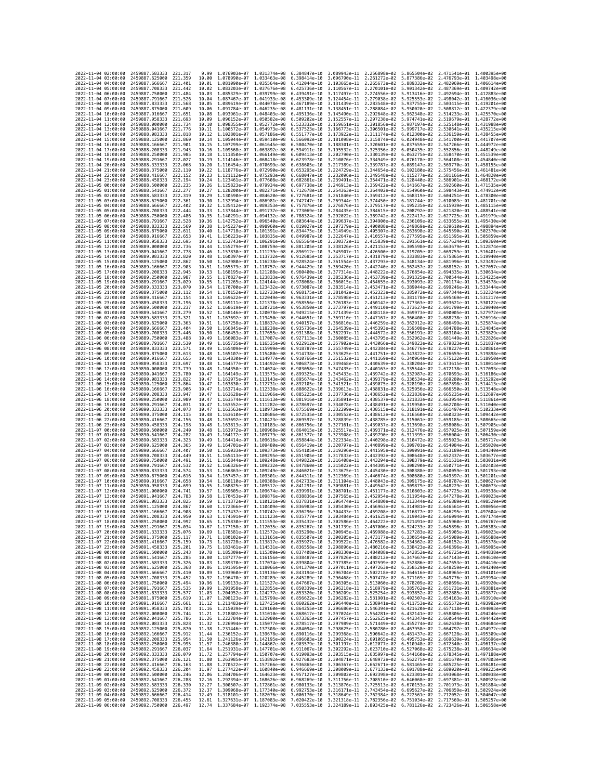| 2022-11-04 02:00:00                                                                      | 2459887.583333                                   | 221.317             | 9.99           | 1.076903e-07 1.031374e-08                 |                              | 6.384847e-10                                                                                                                                                                                                                                                                               | 3.089943e-11 2.256898e-02                              |                                                                                                               |                              | 5.865504e-02 2.471541e-01 1.400395e+00 |                                           |
|------------------------------------------------------------------------------------------|--------------------------------------------------|---------------------|----------------|-------------------------------------------|------------------------------|--------------------------------------------------------------------------------------------------------------------------------------------------------------------------------------------------------------------------------------------------------------------------------------------|--------------------------------------------------------|---------------------------------------------------------------------------------------------------------------|------------------------------|----------------------------------------|-------------------------------------------|
| 2022-11-04 03:00:00                                                                      | 2459887.625000                                   | 221,359             | 10.00          | 1.078990e-07                              | 1.033463e-08                 | 6.398414e-10                                                                                                                                                                                                                                                                               | 3.096790e-11 2.261272e-02                              |                                                                                                               | 5.877386e-02                 | 2.476793e-01                           | 1.403498e+00                              |
| 2022-11-04 04:00:00                                                                      | 2459887.666667                                   | 221.401             | 10.01          | 1.081090e-07                              | 1.035564e-08                 | 6.412044e-10                                                                                                                                                                                                                                                                               | 3.103665e-11                                           | 2.265673e-02                                                                                                  | 5.889332e-02                 | 2.482069e-01                           | 1.406614e+00                              |
| 2022-11-04 05:00:00                                                                      | 2459887.708333                                   | 221,442             | 10.02          | 1.083203e-07                              | 1.037676e-08                 | 6.425736e-10                                                                                                                                                                                                                                                                               | 3.110567e-11 2.270101e-02                              |                                                                                                               | 5.901342e-02                 | 2.487369e-01 1.409742e+00              |                                           |
| 2022-11-04 06:00:00<br>2022-11-04 07:00:00                                               | 2459887.750000<br>2459887.791667                 | 221.484<br>221.526  | 10.03<br>10.04 | 1.085329e-07<br>1.087467e-07              | 1.039799e-08<br>1.041933e-08 | 6.439491e-10<br>6.453309e-10                                                                                                                                                                                                                                                               | 3.124454e-11 2.279038e-02                              | 3.117497e-11 2.274556e-02                                                                                     | 5.913416e-02<br>5.925553e-02 | 2.498042e-01 1.416036e+00              | 2.492694e-01 1.412883e+00                 |
| 2022-11-04 08:00:00                                                                      | 2459887.833333                                   | 221.568             | 10.05          | 1.089619e-07                              | 1.044078e-08                 | 6.467189e-10                                                                                                                                                                                                                                                                               | 3.131439e-11                                           | 2.283548e-02                                                                                                  | 5.937755e-02                 | 2.503415e-01                           | 1.419201e+00                              |
| 2022-11-04 09:00:00                                                                      | 2459887.875000                                   | 221.609             | 10.06          | 1.091784e-07                              | 1.046235e-08                 | 6.481131e-10                                                                                                                                                                                                                                                                               | 3.138451e-11                                           | 2.288084e-02                                                                                                  | 5.950020e-02                 | 2.508812e-01                           | 1.422379e+00                              |
| 2022-11-04 10:00:00                                                                      | 2459887.916667                                   | 221.651             | 10.08          | 1.093961e-07                              | 1.048403e-08                 | 6.495136e-10                                                                                                                                                                                                                                                                               | 3.145490e-11                                           | 2.292648e-02                                                                                                  | 5.962348e-02                 | 2.514233e-01                           | 1.425570e+00                              |
| 2022-11-04 11:00:00                                                                      | 2459887.958333                                   | 221.693             | 10.09          | 1.096152e-07                              | 1,050582e-08                 | 6.509202e-10                                                                                                                                                                                                                                                                               | 3.152557e-11                                           | 2.297238e-02                                                                                                  | 5.974741e-02                 | 2.519679e-01                           | 1.428772e+00                              |
| 2022-11-04 12:00:00<br>2022-11-04 13:00:00                                               | 2459888.000000<br>2459888.041667                 | 221.734<br>221.776  | 10.10<br>10.11 | 1.098355e-07<br>1.100572e-07              | 1.052772e-08<br>1.054973e-08 | 6.523332e-10<br>6.537523e-10                                                                                                                                                                                                                                                               | 3.159651e-11<br>3.166773e-11                           | 2.301856e-02<br>2.306501e-02                                                                                  | 5.987197e-02<br>5.999717e-02 | 2.525148e-01<br>2.530641e-01           | 1.431988e+00<br>1.435215e+00              |
| 2022-11-04 14:00:00                                                                      | 2459888.083333                                   | 221,818             | 10.12          | 1.102801e-07                              | 1.057186e-08                 | 6.551777e-10                                                                                                                                                                                                                                                                               | 3.173922e-11                                           | 2.311174e-02                                                                                                  | 6.012300e-02                 | 2.536159e-01                           | 1.438455e+00                              |
| 2022-11-04 15:00:00                                                                      | 2459888,125000                                   | 221,860             | 10.14          | 1.105044e-07                              | 1.059410e-08                 | 6.566092e-10                                                                                                                                                                                                                                                                               | 3.181098e-11                                           | 2.315874e-02                                                                                                  | 6.024948e-02                 | 2.541700e-01                           | 1.441707e+00                              |
| 2022-11-04 16:00:00                                                                      | 2459888,166667                                   | 221,901             | 10.15          | 1.107299e-07                              | 1.061645e-08                 | 6.580470e-10                                                                                                                                                                                                                                                                               | 3.188301e-11                                           | 2.320601e-02                                                                                                  | 6.037659e-02                 | 2.547266e-01                           | 1.444972e+00                              |
| 2022-11-04 17:00:00                                                                      | 2459888.208333                                   | 221.943             | 10.16          | 1.109568e-07                              | 1.063892e-08                 | 6.594911e-10                                                                                                                                                                                                                                                                               | 3.195532e-11                                           | 2.325356e-02                                                                                                  | 6.050435e-02                 | 2.552856e-01                           | 1,448249e+00                              |
| 2022-11-04 18:00:00<br>2022-11-04 19:00:00                                               | 2459888.250000<br>2459888.291667                 | 221.985<br>222.027  | 10.18<br>10.19 | 1.111850e-07<br>1.114146e-07              | 1.066149e-08<br>1.068418e-08 | 6.609413e-10<br>6.623978e-10                                                                                                                                                                                                                                                               | 3.202790e-11<br>3.210076e-11                           | 2.330139e-02<br>2.334949e-02                                                                                  | 6.063275e-02<br>6.076178e-02 | 2.558470e-01<br>2.564108e-01           | 1.451539e+00<br>1.454840e+00              |
| 2022-11-04 20:00:00                                                                      | 2459888.333333                                   | 222.068             | 10.20          | 1.116454e-07 1.070699e-08 6.638605e-10    |                              |                                                                                                                                                                                                                                                                                            | 3.217389e-11                                           | 2.339787e-02                                                                                                  | 6.089147e-02                 |                                        | 2.569770e-01 1.458155e+00                 |
| 2022-11-04 21:00:00                                                                      | 2459888.375000                                   | 222.110             | 10.22          | 1.118776e-07                              | 1.072990e-08                 | 6.653295e-10                                                                                                                                                                                                                                                                               | 3.224729e-11 2.344654e-02                              |                                                                                                               | 6.102180e-02                 | 2.575456e-01                           | 1.461481e+00                              |
| 2022-11-04 22:00:00                                                                      | 2459888.416667                                   | 222.152             | 10.23          | 1.121112e-07                              | 1,075293e-08                 | 6.668047e-10                                                                                                                                                                                                                                                                               | 3.232096e-11                                           | 2.349548e-02                                                                                                  | 6.115277e-02                 | 2.581166e-01                           | 1.464820e+00                              |
| 2022-11-04 23:00:00                                                                      | 2459888.458333                                   | 222, 194            | 10.24          | 1.123461e-07                              | 1.077608e-08                 | 6.682861e-10                                                                                                                                                                                                                                                                               | 3.239491e-11                                           | 2.354471e-02                                                                                                  | 6.128440e-02                 | 2.586901e-01                           | 1.468172e+00<br>1.471535e+00              |
| 2022-11-05 00:00:00<br>2022-11-05 01:00:00                                               | 2459888.500000<br>2459888.541667                 | 222,235<br>222.277  | 10.26<br>10.27 | 1.125823e-07<br>1.128200e-07              | 1.079934e-08<br>1.082271e-08 | 6.697738e-10<br>6.712678e-10                                                                                                                                                                                                                                                               | 3.246913e-11<br>3.254363e-11 2.364402e-02              | 2.359422e-02                                                                                                  | 6.141667e-02<br>6.154960e-02 | 2.592660e-01<br>2.598443e-01           | 1.474912e+00                              |
| 2022-11-05 02:00:00                                                                      | 2459888.583333                                   | 222,319             | 10.29          | 1.130590e-07                              | 1.084620e-08                 | 6.727681e-10                                                                                                                                                                                                                                                                               | 3.261840e-11                                           | 2.369412e-02                                                                                                  | 6.168319e-02                 | 2.604251e-01                           | 1.478300e+00                              |
| 2022-11-05 03:00:00                                                                      | 2459888.625000                                   | 222,361             | 10.30          | 1.132994e-07                              | 1.086981e-08 6.742747e-10    |                                                                                                                                                                                                                                                                                            | 3.269344e-11                                           | 2.374450e-02                                                                                                  | 6.181744e-02                 | 2.610083e-01                           | 1.481701e+00                              |
| 2022-11-05 04:00:00                                                                      | 2459888.666667                                   | 222,402             | 10.32          | 1.135412e-07                              | 1.089353e-08                 | 6.757876e-10                                                                                                                                                                                                                                                                               | 3.276876e-11                                           | 2.379517e-02                                                                                                  | 6.195235e-02                 | 2.615939e-01                           | 1.485115e+00                              |
| 2022-11-05 05:00:00<br>2022-11-05 06:00:00                                               | 2459888.708333<br>2459888.750000                 | 222,444<br>222.486  | 10.33<br>10.35 | 1.137844e-07<br>1.140291e-07              | 1,091737e-08<br>1.094132e-08 | 6.773069e-10<br>6.788324e-10                                                                                                                                                                                                                                                               | 3.284435e-11<br>3.292022e-11                           | 2.384615e-02<br>2.389742e-02                                                                                  | 6.208792e-02<br>6.222417e-02 | 2.621820e-01<br>2.627725e-01           | 1.488541e+00<br>1.491979e+00              |
| 2022-11-05 07:00:00                                                                      | 2459888.791667                                   | 222.528             | 10.36          | 1.142752e-07                              | 1.096540e-08                 | 6.803644e-10                                                                                                                                                                                                                                                                               | 3.299637e-11                                           | 2.394900e-02                                                                                                  | 6.236109e-02                 | 2.633655e-01                           | 1.495430e+00                              |
| 2022-11-05 08:00:00                                                                      | 2459888.833333                                   | 222,569             | 10.38          | 1.145227e-07                              | 1.098960e-08                 | 6.819027e-10                                                                                                                                                                                                                                                                               | 3.307279e-11                                           | 2.400088e-02                                                                                                  | 6.249869e-02                 | 2.639610e-01                           | 1,498894e+00                              |
| 2022-11-05 09:00:00                                                                      | 2459888.875000                                   | 222.611             | 10.40          | 1.147718e-07                              | 1.101391e-08                 | 6.834475e-10                                                                                                                                                                                                                                                                               | 3.314949e-11                                           | 2.405307e-02                                                                                                  | 6.263698e-02                 | 2.645590e-01                           | 1.502370e+00                              |
| 2022-11-05 10:00:00                                                                      | 2459888.916667                                   | 222,653             | 10.41          | 1.150223e-07                              | 1.103835e-08                 | 6.849987e-10                                                                                                                                                                                                                                                                               | 3.322647e-11                                           | 2.410557e-02                                                                                                  | 6.277595e-02                 | 2.651595e-01                           | 1.505859e+00                              |
| 2022-11-05 11:00:00<br>2022-11-05 12:00:00                                               | 2459888.958333<br>2459889,000000                 | 222.695<br>222,736  | 10.43<br>10.44 | 1.152743e-07<br>1.155279e-07              | 1.106291e-08<br>1.108759e-08 | 6.865564e-10<br>6.881205e-10                                                                                                                                                                                                                                                               | 3.330372e-11 2.415839e-02<br>3.338126e-11 2.421153e-02 |                                                                                                               | 6.291561e-02<br>6.305598e-02 | 2.657624e-01<br>2.663679e-01           | 1.509360e+00<br>1.512874e+00              |
| 2022-11-05 13:00:00                                                                      | 2459889.041667                                   | 222.778             | 10.46          | 1.157830e-07                              | 1.111239e-08                 | 6.896912e-10                                                                                                                                                                                                                                                                               | 3.345907e-11                                           | 2.426500e-02                                                                                                  | 6.319705e-02                 | 2.669759e-01                           | 1.516401e+00                              |
| 2022-11-05 14:00:00                                                                      | 2459889.083333                                   | 222,820             | 10.48          | 1.160397e-07                              | 1.113732e-08                 | 6.912685e-10                                                                                                                                                                                                                                                                               | 3.353717e-11                                           | 2.431879e-02                                                                                                  | 6.333883e-02                 | 2.675865e-01                           | 1.519940e+00                              |
| 2022-11-05 15:00:00                                                                      | 2459889.125000                                   | 222.862             | 10.50          | 1.162980e-07                              | 1.116238e-08                 | 6.928524e-10                                                                                                                                                                                                                                                                               | 3.361554e-11                                           | 2.437293e-02                                                                                                  | 6.348134e-02                 | 2.681996e-01                           | 1.523492e+00                              |
| 2022-11-05 16:00:00<br>2022-11-05 17:00:00                                               | 2459889.166667<br>2459889.208333                 | 222.903<br>222.945  | 10.51<br>10.53 | 1.165579e-07<br>1.168195e-07              | 1.118757e-08<br>1.121288e-08 | 6.944429e-10<br>6.960400e-10                                                                                                                                                                                                                                                               | 3.369420e-11<br>3.377314e-11                           | 2.442740e-02<br>2.448222e-02                                                                                  | 6.362457e-02<br>6.376854e-02 | 2.688152e-01<br>2.694335e-01           | 1.527057e+00<br>1.530634e+00              |
| 2022-11-05 18:00:00                                                                      | 2459889.250000                                   | 222.987             | 10.55          | 1.170827e-07 1.123833e-08                 |                              | 6.976439e-10                                                                                                                                                                                                                                                                               | 3.385236e-11                                           | 2.453739e-02                                                                                                  | 6.391325e-02                 |                                        | 2.700544e-01 1.534225e+00                 |
| 2022-11-05 19:00:00                                                                      | 2459889.291667                                   | 223.029             | 10.55          | 1.171265e-07                              | 1.124144e-08                 | 6.978068e-10                                                                                                                                                                                                                                                                               | 3.386015e-11                                           | 2.454655e-02                                                                                                  | 6.393093e-02                 | 2.701174e-01                           | 1.534578e+00                              |
| 2022-11-05 20:00:00                                                                      | 2459889.333333                                   | 223,070             | 10.54          | 1.170700e-07                              | 1.123432e-08                 | 6.973087e-10                                                                                                                                                                                                                                                                               | 3.383514e-11                                           | 2.453471e-02                                                                                                  | 6.389044e-02                 | 2.699246e-01                           | 1.533444e+00                              |
| 2022-11-05 21:00:00                                                                      | 2459889.375000                                   | 223, 112            | 10.54          | 1.170152e-07                              | 1.122733e-08                 | 6.968175e-10                                                                                                                                                                                                                                                                               | 3.381042e-11                                           | 2.452323e-02                                                                                                  | 6.385072e-02                 | 2.697344e-01                           | 1.532324e+00<br>1.531217e+00              |
| 2022-11-05 22:00:00<br>2022-11-05 23:00:00                                               | 2459889.416667<br>2459889.458333                 | 223, 154<br>223,196 | 10.53<br>10.53 | 1.169622e-07<br>1.169111e-07              | 1.122049e-08<br>1.121378e-08 | 6.963331e-10<br>6.958556e-10                                                                                                                                                                                                                                                               | 3.378598e-11 2.451213e-02<br>3.376183e-11 2.450142e-02 |                                                                                                               | 6.381178e-02<br>6.377363e-02 | 2.695469e-01<br>2.693621e-01           | 1.530122e+00                              |
| 2022-11-06 00:00:00                                                                      | 2459889.500000                                   | 223.237             | 10.52          | 1.168619e-07                              | 1.120721e-08                 | 6.953850e-10                                                                                                                                                                                                                                                                               | 3.373797e-11                                           | 2.449110e-02                                                                                                  | 6.373627e-02                 | 2.691799e-01                           | 1.529040e+00                              |
| 2022-11-06 01:00:00                                                                      | 2459889.541667                                   | 223.279             | 10.52          | 1.168146e-07                              | 1.120078e-08                 | 6.949215e-10                                                                                                                                                                                                                                                                               | 3.371439e-11                                           | 2.448118e-02                                                                                                  | 6.369973e-02                 | 2.690005e-01                           | 1.527972e+00                              |
| 2022-11-06 02:00:00                                                                      | 2459889.583333                                   | 223.321             | 10.51          | 1.167692e-07                              | 1.119450e-08                 | 6.944651e-10                                                                                                                                                                                                                                                                               | 3.369110e-11 2.447167e-02                              |                                                                                                               | 6.366400e-02                 |                                        | 2.688238e-01 1.526916e+00                 |
| 2022-11-06 03:00:00                                                                      | 2459889.625000                                   | 223,363             | 10.51          | 1.167258e-07                              | 1.118837e-08                 | 6.940157e-10                                                                                                                                                                                                                                                                               | 3.366810e-11                                           | 2.446259e-02                                                                                                  | 6.362912e-02                 | 2.686499e-01                           | 1.525874e+00                              |
| 2022-11-06 04:00:00<br>2022-11-06 05:00:00                                               | 2459889.666667<br>2459889.708333                 | 223,404<br>223.446  | 10.50<br>10.50 | 1.166845e-07<br>1.166453e-07              | 1.118238e-08<br>1.117655e-08 | 6.935736e-10<br>6.931388e-10                                                                                                                                                                                                                                                               | 3.364539e-11<br>3.362297e-11                           | 2.445393e-02<br>2.444572e-02                                                                                  | 6.359508e-02<br>6.356191e-02 | 2.684788e-01                           | 1.524845e+00<br>2.683104e-01 1.523829e+00 |
| 2022-11-06 06:00:00                                                                      | 2459889.750000                                   | 223.488             | 10.49          | 1.166083e-07                              | 1.117087e-08                 | 6.927113e-10                                                                                                                                                                                                                                                                               | 3.360085e-11                                           | 2.443795e-02                                                                                                  | 6.352962e-02                 | 2.681449e-01                           | 1.522826e+00                              |
| 2022-11-06 07:00:00                                                                      | 2459889.791667                                   | 223.530             | 10.49          | 1.165735e-07                              | 1.116535e-08                 | 6.922912e-10                                                                                                                                                                                                                                                                               | 3.357902e-11                                           | 2.443066e-02                                                                                                  | 6.349823e-02                 | 2.679823e-01                           | 1.521837e+00                              |
| 2022-11-06 08:00:00                                                                      | 2459889.833333                                   | 223.571             | 10.49          | 1.165409e-07                              | 1.115999e-08                 | 6.918787e-10                                                                                                                                                                                                                                                                               | 3.355749e-11                                           | 2.442384e-02                                                                                                  | 6.346776e-02                 |                                        | 2.678227e-01 1.520861e+00                 |
| 2022-11-06 09:00:00<br>2022-11-06 10:00:00                                               | 2459889.875000<br>2459889.916667                 | 223.613<br>223.655  | 10.48<br>10.48 | 1.165107e-07<br>1.164830e-07              | 1.115480e-08<br>1.114977e-08 | 6.914738e-10<br>6.910766e-10                                                                                                                                                                                                                                                               | 3.353625e-11<br>3.351532e-11                           | 2.441751e-02<br>2.441169e-02                                                                                  | 6.343822e-02<br>6.340964e-02 | 2.676659e-01<br>2.675122e-01           | 1.519898e+00<br>1.518950e+00              |
| 2022-11-06 11:00:00                                                                      | 2459889.958333                                   | 223.697             | 10.48          | 1.164577e-07                              | 1.114492e-08                 | 6.906873e-10                                                                                                                                                                                                                                                                               | 3.349468e-11                                           | 2.440639e-02                                                                                                  | 6.338204e-02                 | 2.673615e-01                           | 1.518014e+00                              |
| 2022-11-06 12:00:00                                                                      | 2459890.000000                                   | 223.739             | 10.48          | 1.164350e-07                              | 1.114024e-08                 | 6.903058e-10                                                                                                                                                                                                                                                                               | 3.347435e-11                                           | 2.440163e-02                                                                                                  | 6.335544e-02                 |                                        | 2.672138e-01 1.517093e+00                 |
| 2022-11-06 13:00:00                                                                      | 2459890.041667                                   | 223,780             | 10.47          | 1.164149e-07                              | 1.113575e-08                 | 6.899325e-10                                                                                                                                                                                                                                                                               | 3.345433e-11                                           | 2.439742e-02                                                                                                  | 6.332987e-02                 | 2.670693e-01                           | 1.516186e+00                              |
| 2022-11-06 14:00:00                                                                      | 2459890.083333                                   | 223.822             | 10.47          | 1.163975e-07                              | 1.113143e-08                 | 6.895674e-10                                                                                                                                                                                                                                                                               | 3.343462e-11                                           | 2.439379e-02                                                                                                  | 6.330534e-02                 | 2.669280e-01                           | 1.515292e+00                              |
| 2022-11-06 15:00:00<br>2022-11-06 16:00:00                                               | 2459890.125000<br>2459890,166667                 | 223.864<br>223,906  | 10.47<br>10.47 | 1.163830e-07<br>1.163714e-07              | 1.112731e-08<br>1.112338e-08 | 6.892105e-10<br>6.888622e-10                                                                                                                                                                                                                                                               | 3.341521e-11<br>3.339613e-11                           | 2.439075e-02<br>2.438831e-02                                                                                  | 6.328190e-02<br>6.325956e-02 | 2.667898e-01<br>2.666550e-01           | 1.514413e+00<br>1.513548e+00              |
| 2022-11-06 17:00:00                                                                      | 2459890.208333                                   | 223.947             | 10.47          | 1.163628e-07                              | 1.111966e-08                 | 6.885225e-10                                                                                                                                                                                                                                                                               | 3.337736e-11 2.438652e-02                              |                                                                                                               | 6.323836e-02                 | 2.665235e-01 1.512697e+00              |                                           |
| 2022-11-06 18:00:00                                                                      | 2459890.250000                                   | 223.989             | 10.47          | 1.163574e-07                              | 1.111613e-08                 | 6.881916e-10                                                                                                                                                                                                                                                                               | 3.335891e-11                                           | 2.438537e-02                                                                                                  | 6.321833e-02                 | 2.663954e-01                           | 1.511861e+00                              |
| 2022-11-06 19:00:00                                                                      | 2459890.291667                                   | 224,031             | 10.47          | 1.163552e-07                              | 1.111282e-08                 | 6.878697e-10                                                                                                                                                                                                                                                                               | 3.334078e-11                                           | 2.438491e-02                                                                                                  | 6.319950e-02                 | 2.662708e-01                           | 1.511040e+00                              |
| 2022-11-06 20:00:00                                                                      | 2459890.333333                                   | 224.073             | 10.47          | 1.163563e-07                              | 1.110973e-08                 | 6.875569e-10                                                                                                                                                                                                                                                                               | 3.332299e-11                                           | 2.438515e-02                                                                                                  | 6.318191e-02                 | 2.661497e-01                           | 1.510233e+00                              |
| 2022-11-06 21:00:00<br>2022-11-06 22:00:00                                               | 2459890.375000<br>2459890.416667                 | 224.115<br>224, 156 | 10.48<br>10.48 | 1.163610e-07<br>1.163692e-07              | 1.110686e-08<br>1.110423e-08 | 6.872535e-10<br>6.869597e-10                                                                                                                                                                                                                                                               | 3.330552e-11<br>3.328839e-11                           | 2.438612e-02<br>2.438785e-02                                                                                  | 6.316560e-02<br>6.315061e-02 | 2.660323e-01<br>2.659185e-01           | 1.509442e+00<br>1.508665e+00              |
| 2022-11-06 23:00:00                                                                      | 2459890.458333                                   | 224.198             | 10.48          | 1.163813e-07 1.110183e-08                 |                              | 6.866756e-10                                                                                                                                                                                                                                                                               | 3.327161e-11                                           | 2.439037e-02                                                                                                  | 6.313698e-02                 | 2.658086e-01                           | 1.507905e+00                              |
| 2022-11-07 00:00:00                                                                      | 2459890.500000                                   | 224,240             | 10.48          | 1.163972e-07                              | 1.109968e-08                 | 6.864015e-10                                                                                                                                                                                                                                                                               | 3.325517e-11                                           | 2.439371e-02                                                                                                  | 6.312476e-02                 | 2.657025e-01                           | 1.507159e+00                              |
| 2022-11-07 01:00:00                                                                      | 2459890.541667                                   | 224.282             | 10.49          | 1.164172e-07                              | 1.109779e-08                 | 6.861377e-10                                                                                                                                                                                                                                                                               | 3.323908e-11                                           | 2.439790e-02                                                                                                  | 6.311399e-02                 | 2.656004e-01                           | 1.506430e+00                              |
| 2022-11-07 02:00:00<br>2022-11-07 03:00:00                                               | 2459890.583333<br>2459890.625000                 | 224,323<br>224,365  | 10.49<br>10.49 | 1.164414e-07<br>1.164701e-07              | 1.109616e-08<br>1.109480e-08 | 6.858844e-10<br>6.856419e-10                                                                                                                                                                                                                                                               | 3.322334e-11<br>3.320797e-11                           | 2.440298e-02<br>2.440899e-02                                                                                  | 6.310472e-02<br>6.309701e-02 | 2.655023e-01<br>2.654084e-01           | 1.505717e+00<br>1.505020e+00              |
| 2022-11-07 04:00:00                                                                      | 2459890.666667                                   | 224,407             | 10.50          | 1.165033e-07                              | 1.109373e-08                 | 6.854105e-10                                                                                                                                                                                                                                                                               | 3.319296e-11                                           | 2.441595e-02                                                                                                  | 6.309091e-02                 | 2.653189e-01                           | 1.504340e+00                              |
| 2022-11-07 05:00:00                                                                      | 2459890.708333                                   | 224.449             | 10.51          | 1.165413e-07                              | 1.109295e-08                 | 6.851905e-10                                                                                                                                                                                                                                                                               | 3.317833e-11                                           | 2.442392e-02                                                                                                  | 6.308648e-02                 | 2.652337e-01                           | 1.503677e+00                              |
| 2022-11-07 06:00:00                                                                      | 2459890.750000                                   | 224,491             | 10.51          | 1.165844e-07                              | 1.109248e-08                 | 6.849822e-10                                                                                                                                                                                                                                                                               | 3.316408e-11                                           | 2.443294e-02                                                                                                  | 6.308379e-02                 | 2.651531e-01                           | 1.503031e+00                              |
| 2022-11-07 07:00:00<br>2022-11-07 08:00:00                                               | 2459890.791667<br>2459890.833333                 | 224.532<br>224.574  | 10.52<br>10.53 | 1.166326e-07<br>1.166863e-07              | 1.109232e-08<br>1.109249e-08 | 6.847860e-10<br>6.846021e-10                                                                                                                                                                                                                                                               | 3.315022e-11<br>3.313675e-11                           | 2.444305e-02<br>2.445430e-02                                                                                  | 6.308290e-02<br>6.308388e-02 | 2.650771e-01<br>2.650059e-01           | 1.502403e+00<br>1.501793e+00              |
| 2022-11-07 09:00:00                                                                      | 2459890.875000                                   | 224.616             | 10.54          | 1.167457e-07                              | 1.109301e-08                 | 6.844311e-10                                                                                                                                                                                                                                                                               | 3.312369e-11                                           | 2.446674e-02                                                                                                  | 6.308680e-02                 | 2.649397e-01                           | 1.501201e+00                              |
| 2022-11-07 10:00:00                                                                      | 2459890.916667                                   | 224.658             | 10.54          | 1.168110e-07 1.109388e-08                 |                              | 6.842733e-10                                                                                                                                                                                                                                                                               | 3.311104e-11                                           | 2.448043e-02                                                                                                  | 6.309175e-02                 | 2.648787e-01                           | 1.500627e+00                              |
| 2022-11-07 11:00:00                                                                      | 2459890.958333                                   | 224.699             | 10.55          | 1.168825e-07                              | 1.109512e-08                 | 6.841291e-10                                                                                                                                                                                                                                                                               | 3.309881e-11                                           | 2.449542e-02                                                                                                  | 6.309879e-02                 | 2.648229e-01                           | 1.500073e+00                              |
| 2022-11-07 12:00:00<br>2022-11-07 13:00:00                                               | 2459891.000000                                   | 224.741             | 10.57          | 1.169605e-07                              | 1.109674e-08                 | 6.839991e-10                                                                                                                                                                                                                                                                               | 3.308701e-11                                           | 2.451177e-02                                                                                                  | 6.310803e-02                 | 2.647725e-01                           | 1.499538e+00                              |
| 2022-11-07 14:00:00                                                                      | 2459891.041667<br>2459891.083333                 | 224,783<br>224.825  | 10.58<br>10.59 | 1.170453e-07<br>1.171372e-07 1.110121e-08 | 1.109876e-08                 | 6.838836e-10<br>6.837831e-10                                                                                                                                                                                                                                                               | 3.307565e-11                                           | 2.452954e-02<br>3.306474e-11 2.454880e-02 6.313344e-02 2.646889e-01 1.498529e+00                              | 6.311954e-02                 | 2.647278e-01                           | 1.499023e+00                              |
| 2022-11-07 15:00:00                                                                      | 2459891.125000                                   | 224,867             | 10.60          |                                           |                              | 1.172366e-07 1.110409e-08 6.836983e-10 3.305430e-11 2.456963e-02 6.314981e-02 2.646561e-01 1.498056e+00                                                                                                                                                                                    |                                                        |                                                                                                               |                              |                                        |                                           |
| 2022-11-07 16:00:00                                                                      | 2459891.166667                                   | 224.908             | 10.62          | 1.173437e-07                              |                              | 1.110742e-08 6.836296e-10                                                                                                                                                                                                                                                                  | 3.3044338-11                                           | 2.459208e-02                                                                                                  | 6.316877e-02                 | 2.646295e-01                           | 1.497604e+00                              |
| 2022-11-07 17:00:00 2459891.208333 224.950                                               |                                                  |                     | 10.63          |                                           |                              | 1.174591e-07 1.111123e-08 6.835777e-10 3.303484e-11 2.461625e-02 6.319043e-02 2.646094e-01 1.497174e+00                                                                                                                                                                                    |                                                        |                                                                                                               |                              |                                        |                                           |
| 2022-11-07 18:00:00 2459891.250000 224.992<br>2022-11-07 19:00:00 2459891.291667 225.034 |                                                  |                     |                |                                           |                              | 10.65 1.175830e-07 1.111553e-08 6.835432e-10 3.302586e-11 2.464222e-02 6.321491e-02 2.645960e-01 1.496767e+00                                                                                                                                                                              |                                                        |                                                                                                               |                              |                                        |                                           |
| 2022-11-07 20:00:00                                                                      | 2459891.333333 225.076                           |                     |                |                                           |                              | 10.67 1.177158e-07 1.112035e-08 6.835267e-10 3.301739e-11 2.467006e-02 6.324233e-02 2.645896e-01 1.496383e+00<br>10.69 1.178581e-07 1.112572e-08 6.835290e-10 3.300945e-11 2.467006e-02 6.324233e-02 2.645905e-01 1.496033e+00                                                             |                                                        |                                                                                                               |                              |                                        |                                           |
| 2022-11-07 21:00:00                                                                      | 2459891.375000 225.117                           |                     |                |                                           |                              | 10.71 1.180102e-07 1.113165e-08 6.835507e-10 3.300205e-11 2.473177e-02 6.330654e-02 2.645989e-01 1.495688e+00                                                                                                                                                                              |                                                        |                                                                                                               |                              |                                        |                                           |
| 2022-11-07 22:00:00                                                                      | 2459891.416667                                   | 225.159             |                |                                           |                              | 10.73 1.181728e-07 1.113817e-08 6.835927e-10 3.299522e-11 2.476582e-02 6.334362e-02 2.646152e-01 1.495378e+00                                                                                                                                                                              |                                                        |                                                                                                               |                              |                                        |                                           |
| 2022-11-07 23:00:00<br>2022-11-08 00:00:00                                               | 2459891.458333<br>2459891.500000 225.243         | 225.201             |                |                                           |                              | 10.75 1.183461e-07 1.114531e-08 6.836558e-10 3.298896e-11 2.480216e-02 6.338423e-02 2.646396e-01 1.495095e+00                                                                                                                                                                              |                                                        |                                                                                                               |                              |                                        |                                           |
| 2022-11-08 01:00:00 2459891.541667 225.285                                               |                                                  |                     |                |                                           |                              | 10.78 1.185309e-07 1.115309e-08 6.837408e-10 3.298330e-11 2.484088e-02 6.342852e-02 2.646725e-01 1.494838e+00<br>10.80 1.187277e-07 1.116156e-08 6.838487e-10 3.297826e-11 2.488212e-02 6.347667e-02 2.647143e-01 1.494610e+00                                                             |                                                        |                                                                                                               |                              |                                        |                                           |
| 2022-11-08 02:00:00                                                                      | 2459891.583333                                   | 225.326             |                |                                           |                              | 10.83 1.189370e-07 1.117074e-08 6.839804e-10 3.297385e-11 2.492599e-02 6.352886e-02 2.647653e-01 1.494410e+00                                                                                                                                                                              |                                                        |                                                                                                               |                              |                                        |                                           |
| 2022-11-08 03:00:00                                                                      | 2459891.625000                                   | 225.368             |                |                                           |                              | 10.86 1.191595e-07 1.118066e-08 6.841370e-10 3.297011e-11 2.497263e-02 6.358529e-02 2.648259e-01 1.494240e+00<br>10.89 1.193960e-07 1.119136e-08 6.843194e-10 3.296704e-11 2.502218e-02 6.364616e-02 2.648965e-01 1.494101e+00                                                             |                                                        |                                                                                                               |                              |                                        |                                           |
| 2022-11-08 04:00:00 2459891.666667 225.410                                               |                                                  |                     |                |                                           |                              |                                                                                                                                                                                                                                                                                            |                                                        |                                                                                                               |                              |                                        |                                           |
| 2022-11-08 05:00:00<br>2022-11-08 06:00:00                                               | 2459891.708333 225.452<br>2459891.750000         | 225.494             |                |                                           |                              | 10.92 1.196470e-07 1.120289e-08 6.845289e-10 3.296468e-11 2.507478e-02 6.371169e-02 2.649776e-01 1.493994e+00                                                                                                                                                                              |                                                        |                                                                                                               |                              |                                        |                                           |
| 2022-11-08 07:00:00                                                                      | 2459891.791667 225.535                           |                     |                |                                           |                              | $\begin{array}{cccccccc} 10.96 & 1.199133e-07 & 1.121527e-08 & 6.847667e-10 & 3.296305e-11 & 2.513060e-02 & 6.378209e-02 & 2.650696e-01 & 1.493920e+00 & 10.99 & 1.201958e-07 & 1.122855e-08 & 6.850339e-10 & 3.296218e-11 & 2.518979e-02 & 6.385762e-02 & 2$                              |                                                        |                                                                                                               |                              |                                        |                                           |
| 2022-11-08 08:00:00 2459891.833333 225.577                                               |                                                  |                     |                |                                           |                              | 11.03 1.204952e-07 1.124277e-08 6.853320e-10 3.296209e-11 2.525254e-02 6.393852e-02 2.652885e-01 1.493877e+00                                                                                                                                                                              |                                                        |                                                                                                               |                              |                                        |                                           |
| 2022-11-08 09:00:00                                                                      | 2459891.875000                                   | 225.619             |                |                                           |                              | 11.07 1.208123e-07 1.125799e-08 6.856622e-10 3.296282e-11 2.531901e-02 6.402507e-02 2.654163e-01 1.493910e+00                                                                                                                                                                              |                                                        |                                                                                                               |                              |                                        |                                           |
| 2022-11-08 10:00:00<br>2022-11-08 11:00:00                                               | 2459891.916667<br>2459891.958333 225.703         | 225.661             |                |                                           |                              | $11.12 \quad 1.211483e-07 \quad 1.127425e-08 \quad 6.860262e-10 \quad 3.296440e-11 \quad 2.538941e-02 \quad 6.411753e-02 \quad 2.655572e-01 \quad 1.493982e+00 \quad 11.16 \quad 1.215039e-07 \quad 1.129160e-08 \quad 6.64255e-10 \quad 3.296686e-11 \quad 2.546394e-02 \quad 6.421620e-$ |                                                        |                                                                                                               |                              |                                        |                                           |
| 2022-11-08 12:00:00 2459892.000000 225.744                                               |                                                  |                     |                |                                           |                              | 11.21 1.218802e-07 1.131010e-08 6.868617e-10 3.297024e-11 2.554281e-02 6.432141e-02 2.658806e-01 1.494246e+00                                                                                                                                                                              |                                                        |                                                                                                               |                              |                                        |                                           |
| 2022-11-08 13:00:00                                                                      | 2459892.041667                                   | 225.786             |                |                                           |                              | 11.26 1.222784e-07 1.132980e-08 6.873365e-10 3.297457e-11 2.562625e-02 6.443347e-02 2.660644e-01 1.494442e+00                                                                                                                                                                              |                                                        |                                                                                                               |                              |                                        |                                           |
| 2022-11-08 14:00:00                                                                      | 2459892.083333                                   | 225.828             |                |                                           |                              | 11.32 1.226994e-07 1.135077e-08 6.878517e-10 3.297989e-11 2.571449e-02 6.455274e-02 2.662638e-01                                                                                                                                                                                           |                                                        |                                                                                                               |                              |                                        | 1.494684e+00                              |
| 2022-11-08 15:00:00 2459892.125000 225.870                                               |                                                  |                     |                |                                           |                              | 11.38 1.231446e-07 1.137308e-08 6.884094e-10 3.298625e-11 2.580780e-02 6.467958e-02 2.664797e-01 1.494972e+00                                                                                                                                                                              |                                                        |                                                                                                               |                              |                                        |                                           |
| 2022-11-08 16:00:00<br>2022-11-08 17:00:00                                               | 2459892.166667 225.912<br>2459892.208333 225.954 |                     |                |                                           |                              | 11.44 1.236152e-07 1.139678e-08 6.890116e-10 3.299368e-11 2.590642e-02 6.481437e-02 2.667128e-01 1.495309e+00                                                                                                                                                                              |                                                        |                                                                                                               |                              |                                        |                                           |
| 2022-11-08 18:00:00                                                                      | 2459892.250000                                   | 225.995             |                |                                           |                              | $\begin{array}{cccccccccccc} 11.50 & 1.241126e-07 & 1.142195e-08 & 6.896603e-10 & 3.300224e-11 & 2.601065e-02 & 6.495753e-02 & 2.669639e-01 & 1.495696e+00 \\ 11.57 & 1.246380e-07 & 1.144867e-08 & 6.903579e-10 & 3.301197e-11 & 2.612077e-02 & 6.510948e-02 & $                          |                                                        |                                                                                                               |                              |                                        |                                           |
| 2022-11-08 19:00:00                                                                      | 2459892.291667 226.037                           |                     |                |                                           |                              | 11.64 1.251931e-07 1.147701e-08 6.911067e-10 3.302292e-11 2.623710e-02 6.527068e-02 2.675238e-01 1.496634e+00                                                                                                                                                                              |                                                        |                                                                                                               |                              |                                        |                                           |
| 2022-11-08 20:00:00 2459892.333333 226.079                                               |                                                  |                     |                |                                           |                              | 11.72 1.257794e-07 1.150707e-08 6.919093e-10 3.303515e-11 2.635997e-02 6.544160e-02 2.678345e-01 1.497188e+00                                                                                                                                                                              |                                                        |                                                                                                               |                              |                                        |                                           |
| 2022-11-08 21:00:00<br>2022-11-08 22:00:00                                               | 2459892.375000<br>2459892.416667                 | 226.121<br>226.163  |                |                                           |                              | 11.80 1.263985e-07 1.153892e-08 6.927683e-10 3.304871e-11 2.648972e-02 6.562275e-02 2.681670e-01 1.497803e+00<br>11.88 1.270522e-07 1.157266e-08 6.936865e-10 3.306367e-11 2.662671e-02 6.581465e-02 2.685225e-01 1.498481e+00                                                             |                                                        |                                                                                                               |                              |                                        |                                           |
| 2022-11-08 23:00:00                                                                      | 2459892.458333                                   | 226.204             |                |                                           |                              | 11.97 1.277422e-07 1.160840e-08 6.946669e-10 3.308009e-11 2.677133e-02 6.601788e-02 2.689020e-01 1.499225e+00                                                                                                                                                                              |                                                        |                                                                                                               |                              |                                        |                                           |
| 2022-11-09 00:00:00                                                                      | 2459892.500000                                   | 226.246             |                |                                           |                              | 12.06 1.284706e-07 1.164623e-08 6.957127e-10 3.309802e-11 2.692398e-02 6.623301e-02 2.693068e-01 1.500038e+00<br>12.16 1.292394e-07 1.168626e-08 6.968269e-10 3.311756e-11 2.708510e-02 6.646068e-02 2.697381e-01 1.500923e+00                                                             |                                                        |                                                                                                               |                              |                                        |                                           |
| 2022-11-09 01:00:00                                                                      | 2459892.541667 226.288                           |                     |                |                                           |                              |                                                                                                                                                                                                                                                                                            |                                                        |                                                                                                               |                              |                                        |                                           |
| 2022-11-09 02:00:00                                                                      | 2459892.583333 226.330                           |                     |                |                                           |                              | 12.27 1.300507e-07 1.172861e-08 6.980133e-10 3.313876e-11 2.725513e-02 6.670153e-02 2.701973e-01 1.501884e+00                                                                                                                                                                              |                                                        |                                                                                                               |                              |                                        |                                           |
| 2022-11-09 03:00:00 2459892.625000 226.372<br>2022-11-09 04:00:00                        | 2459892.666667                                   | 226.414             |                |                                           |                              | 12.37 1.309068e-07 1.177340e-08 6.992753e-10 3.316171e-11 2.743454e-02 6.695627e-02 2.706859e-01 1.502924e+00                                                                                                                                                                              |                                                        |                                                                                                               |                              |                                        |                                           |
| 2022-11-09 05:00:00 2459892.708333                                                       |                                                  | 226.455             |                |                                           |                              | $12.49 \quad 1.318101e-07 \quad 1.182076e-08 \quad 7.006170e-10 \quad 3.318649e-11 \quad 2.762384e-02 \quad 6.722561e-02 \quad 2.712052e-01 \quad 1.504047e+001 \quad 2.712652e-01 \quad 2.712765e-02 \quad 2.717569e-01 \quad 1.505257e+001 \quad 2.717569e-01 \quad 2.717569e-01 \quad $ |                                                        |                                                                                                               |                              |                                        |                                           |
|                                                                                          | 2022-11-09 06:00:00 2459892.750000 226.497       |                     |                |                                           |                              |                                                                                                                                                                                                                                                                                            |                                                        | 12.74 1.337684e-07 1.192374e-08 7.035553e-10 3.324189e-11 2.803425e-02 6.781126e-02 2.723426e-01 1.506558e+00 |                              |                                        |                                           |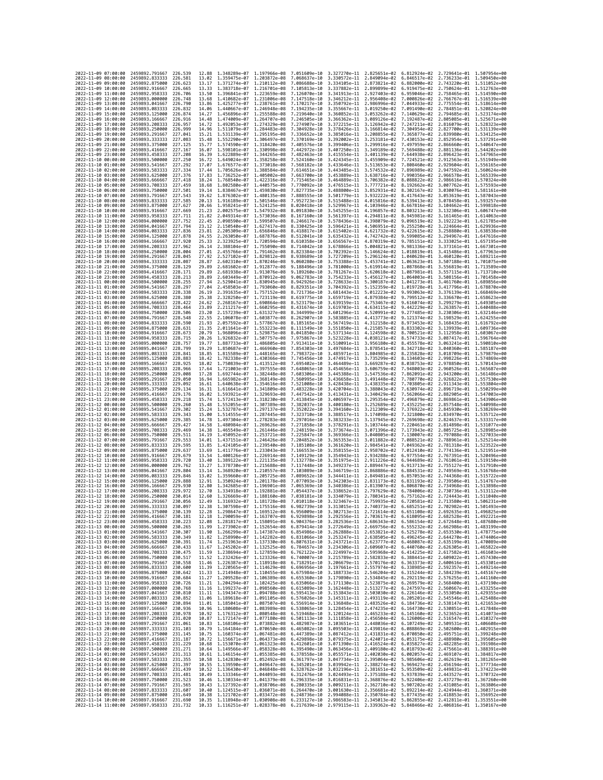|                                            | 2022-11-09 07:00:00 | 2459892,791667                                   | 226.539             | 12.88          | 1.348289e-07 1.197966e-08                                           |                              | 7.051609e-10                                                                                                                                                                                                                                                                                                                                                                       | 3.327270e-11 2.825651e-02                 |                                                                  |                              | 6.812924e-02 2.729641e-01 1.507954e+00                 |                              |
|--------------------------------------------|---------------------|--------------------------------------------------|---------------------|----------------|---------------------------------------------------------------------|------------------------------|------------------------------------------------------------------------------------------------------------------------------------------------------------------------------------------------------------------------------------------------------------------------------------------------------------------------------------------------------------------------------------|-------------------------------------------|------------------------------------------------------------------|------------------------------|--------------------------------------------------------|------------------------------|
|                                            | 2022-11-09 08:00:00 | 2459892.833333                                   | 226.581             | 13.02          | 1.359475e-07 1.203872e-08                                           |                              | 7.068637e-10                                                                                                                                                                                                                                                                                                                                                                       | 3.330572e-11                              | 2.849094e-02                                                     | 6.846517e-02                 | 2.736233e-01                                           | 1.509450e+00                 |
| 2022-11-09 09:00:00                        |                     | 2459892.875000                                   | 226.623             | 13.17          | 1.371274e-07                                                        | 1.210112e-08                 | 7.086688e-10                                                                                                                                                                                                                                                                                                                                                                       | 3.334105e-11                              | 2.873821e-02                                                     | 6.882000e-02                 | 2.743220e-01                                           | 1.511052e+00                 |
| 2022-11-09 10:00:00<br>2022-11-09 11:00:00 |                     | 2459892.916667<br>2459892.958333                 | 226.665<br>226.706  | 13.33<br>13.50 | 1.383718e-07 1.216701e-08 7.105813e-10<br>1.396841e-07 1.223659e-08 |                              | 7.126070e-10                                                                                                                                                                                                                                                                                                                                                                       | 3.337882e-11<br>3.341913e-11 2.927403e-02 | 2.899899e-02 6.919475e-02                                        | 6.959046e-02                 | 2.750624e-01 1.512763e+00<br>2.758465e-01 1.514590e+00 |                              |
| 2022-11-09 12:00:00                        |                     | 2459893.000000                                   | 226.748             | 13.68          | 1.410682e-07                                                        | 1.231006e-08                 | 7.147518e-10                                                                                                                                                                                                                                                                                                                                                                       | 3.346212e-11                              | 2.956408e-02                                                     | 7.000826e-02                 | 2.766767e-01                                           | 1.516539e+00                 |
| 2022-11-09 13:00:00                        |                     | 2459893.041667                                   | 226.790             | 13.86          | 1.425277e-07                                                        | 1.238761e-08                 | 7.170217e-10                                                                                                                                                                                                                                                                                                                                                                       | 3.350792e-11                              | 2.986996e-02                                                     | 7.044933e-02                 | 2.775554e-01                                           | 1.518614e+00                 |
| 2022-11-09 14:00:00                        |                     | 2459893.083333                                   | 226.832             | 14.06          | 1.440667e-07                                                        | 1.246948e-08                 | 7.194235e-10                                                                                                                                                                                                                                                                                                                                                                       | 3.355667e-11                              | 3.019250e-02                                                     | 7.091490e-02                 | 2.784851e-01                                           | 1.520824e+00                 |
| 2022-11-09 15:00:00<br>2022-11-09 16:00:00 |                     | 2459893.125000<br>2459893.166667                 | 226,874<br>226,916  | 14.27<br>14.48 | 1.456896e-07<br>1.474009e-07                                        | 1.255588e-08<br>1.264707e-08 | 7.219640e-10<br>7.246505e-10                                                                                                                                                                                                                                                                                                                                                       | 3.360852e-11<br>3.366362e-11              | 3.053262e-02<br>3.089126e-02                                     | 7.140629e-02<br>7.192487e-02 | 2.794685e-01<br>2.805085e-01                           | 1.523174e+00<br>1.525671e+00 |
| 2022-11-09 17:00:00                        |                     | 2459893.208333                                   | 226,957             | 14.72          | 1.492053e-07                                                        | 1,274329e-08                 | 7.274907e-10                                                                                                                                                                                                                                                                                                                                                                       | 3.372215e-11                              | 3.126942e-02                                                     | 7.247211e-02                 | 2.816079e-01 1.528323e+00                              |                              |
| 2022-11-09 18:00:00                        |                     | 2459893.250000                                   | 226.999             | 14.96          | 1.511079e-07                                                        | 1.284483e-08                 | 7.304928e-10                                                                                                                                                                                                                                                                                                                                                                       | 3.378426e-11                              | 3.166814e-02                                                     | 7.304954e-02                 | 2.827700e-01                                           | 1.531139e+00                 |
| 2022-11-09 19:00:00                        |                     | 2459893.291667                                   | 227.041             | 15.21          | 1.531139e-07                                                        | 1.295195e-08                 | 7.336652e-10                                                                                                                                                                                                                                                                                                                                                                       | 3.385016e-11                              | 3.208855e-02                                                     | 7.365877e-02                 | 2.839980e-01                                           | 1.534125e+00                 |
| 2022-11-09 20:00:00<br>2022-11-09 21:00:00 |                     | 2459893.333333<br>2459893.375000                 | 227.083<br>227.125  | 15.48<br>15.77 | 1.552290e-07<br>1.574590e-07                                        | 1.306497e-08<br>1.318420e-08 | 7.370169e-10<br>7.405576e-10                                                                                                                                                                                                                                                                                                                                                       | 3.392002e-11<br>3.399406e-11              | 3.253181e-02<br>3.299916e-02                                     | 7.430153e-02<br>7.497959e-02 | 2.852954e-01<br>2.866660e-01                           | 1.537291e+00<br>1.540647e+00 |
| 2022-11-09 22:00:00                        |                     | 2459893.416667                                   | 227, 167            | 16.07          | 1.598101e-07                                                        | 1.330998e-08                 | 7.442972e-10                                                                                                                                                                                                                                                                                                                                                                       | 3.407250e-11                              | 3.349189e-02                                                     | 7.569488e-02                 | 2.881136e-01                                           | 1.544202e+00                 |
| 2022-11-09 23:00:00                        |                     | 2459893.458333                                   | 227.208             | 16.39          | 1.622889e-07                                                        | 1.344265e-08                 | 7.482463e-10                                                                                                                                                                                                                                                                                                                                                                       | 3.415554e-11                              | 3.401139e-02                                                     | 7.644938e-02                 | 2.896423e-01                                           | 1.547965e+00                 |
| 2022-11-10 00:00:00                        |                     | 2459893.500000                                   | 227,250             | 16.72          | 1.649024e-07                                                        | 1.358258e-08                 | 7.524160e-10                                                                                                                                                                                                                                                                                                                                                                       | 3.424345e-11                              | 3.455909e-02                                                     | 7.724521e-02                 | 2.912563e-01                                           | 1.551949e+00                 |
| 2022-11-10 01:00:00<br>2022-11-10 02:00:00 |                     | 2459893.541667                                   | 227.292<br>227,334  | 17.07<br>17.44 | 1.676577e-07<br>1.705626e-07                                        | 1.373018e-08                 | 7.568182e-10<br>7.614651e-10                                                                                                                                                                                                                                                                                                                                                       | 3.433646e-11                              | 3.513653e-02<br>3.574532e-02                                     | 7.808460e-02                 | 2.929604e-01 1.556165e+00                              |                              |
| 2022-11-10 03:00:00                        |                     | 2459893.583333<br>2459893.625000                 | 227.376             | 17.83          | 1.736252e-07                                                        | 1.388584e-08<br>1.405002e-08 | 7.663700e-10                                                                                                                                                                                                                                                                                                                                                                       | 3.443485e-11<br>3.453889e-11              | 3.638716e-02                                                     | 7.896989e-02<br>7.990356e-02 | 2.947592e-01 1.560624e+00<br>2.966578e-01              | 1.565339e+00                 |
| 2022-11-10 04:00:00                        |                     | 2459893.666667                                   | 227.418             | 18.24          | 1.768540e-07                                                        | 1.422316e-08                 | 7.715465e-10                                                                                                                                                                                                                                                                                                                                                                       | 3.464889e-11                              | 3.706382e-02                                                     | 8.088822e-02                 | 2.986616e-01                                           | 1.570324e+00                 |
| 2022-11-10 05:00:00                        |                     | 2459893.708333                                   | 227,459             | 18.68          | 1.802580e-07 1.440575e-08                                           |                              | 7.770092e-10                                                                                                                                                                                                                                                                                                                                                                       | 3.476515e-11                              | 3.777721e-02                                                     | 8.192662e-02                 | 3.007762e-01                                           | 1.575593e+00                 |
| 2022-11-10 06:00:00                        |                     | 2459893.750000                                   | 227.501<br>227.543  | 19.14          | 1.838467e-07                                                        | 1.459830e-08                 | 7.827735e-10<br>7.888555e-10                                                                                                                                                                                                                                                                                                                                                       | 3.488800e-11                              | 3.852931e-02                                                     | 8.302167e-02                 | 3.030076e-01                                           | 1.581161e+00<br>1.587043e+00 |
| 2022-11-10 07:00:00<br>2022-11-10 08:00:00 |                     | 2459893.791667<br>2459893.833333                 | 227.585             | 19.62<br>20.13 | 1.876302e-07<br>1.916189e-07                                        | 1.480135e-08<br>1.501546e-08 | 7.952723e-10                                                                                                                                                                                                                                                                                                                                                                       | 3.501779e-11<br>3.515488e-11              | 3.932222e-02<br>4.015816e-02                                     | 8.417643e-02<br>8.539413e-02 | 3.053619e-01<br>3.078458e-01 1.593257e+00              |                              |
| 2022-11-10 09:00:00                        |                     | 2459893.875000                                   | 227.627             | 20.66          | 1.958241e-07                                                        | 1.524125e-08                 | 8.020418e-10                                                                                                                                                                                                                                                                                                                                                                       | 3.529967e-11                              | 4.103946e-02                                                     | 8.667816e-02                 | 3.104662e-01                                           | 1.599818e+00                 |
| 2022-11-10 10:00:00                        |                     | 2459893.916667                                   | 227,669             | 21.23          | 2.002575e-07                                                        | 1.547932e-08                 | 8.091830e-10                                                                                                                                                                                                                                                                                                                                                                       | 3.545255e-11                              | 4.196857e-02                                                     | 8.803213e-02                 | 3.132306e-01                                           | 1.606747e+00                 |
| 2022-11-10 11:00:00<br>2022-11-10 12:00:00 |                     | 2459893.958333<br>2459894.000000                 | 227,711<br>227.752  | 21.82<br>22.45 | 2.049314e-07<br>2.098590e-07                                        | 1.573036e-08<br>1.599507e-08 | 8.167160e-10<br>8.246617e-10                                                                                                                                                                                                                                                                                                                                                       | 3.561397e-11                              | 4.294811e-02<br>4.398079e-02                                     | 8.945981e-02<br>9.096519e-02 | 3.161465e-01<br>3.192223e-01                           | 1.614063e+00<br>1.621785e+00 |
| 2022-11-10 13:00:00                        |                     | 2459894.041667                                   | 227,794             | 23.12          | 2.150540e-07                                                        | 1.627417e-08                 | 8.330425e-10                                                                                                                                                                                                                                                                                                                                                                       | 3.578436e-11<br>3.596421e-11              | 4.506951e-02                                                     | 9.255250e-02                 | 3.224664e-01                                           | 1.629936e+00                 |
| 2022-11-10 14:00:00                        |                     | 2459894.083333                                   | 227.836             | 23.81          | 2.205309e-07                                                        | 1.656846e-08                 | 8.418817e-10                                                                                                                                                                                                                                                                                                                                                                       | 3.615402e-11                              | 4.621732e-02                                                     | 9.422615e-02                 | 3.258880e-01                                           | 1.638538e+00                 |
| 2022-11-10 15:00:00                        |                     | 2459894.125000                                   | 227.878             | 24.55          | 2.263050e-07 1.687876e-08 8.512041e-10                              |                              |                                                                                                                                                                                                                                                                                                                                                                                    | 3.635432e-11                              | 4.742742e-02                                                     | 9.599085e-02                 | 3.294967e-01                                           | 1.647616e+00                 |
| 2022-11-10 16:00:00                        |                     | 2459894.166667                                   | 227,920             | 25.33          | 2.323925e-07 1.720594e-08                                           |                              | 8.610358e-10                                                                                                                                                                                                                                                                                                                                                                       | 3.656567e-11                              | 4.870319e-02                                                     | 9.785151e-02                 | 3.333025e-01 1.657195e+00                              |                              |
| 2022-11-10 17:00:00<br>2022-11-10 18:00:00 |                     | 2459894.208333<br>2459894.250000                 | 227.962<br>228,004  | 26.14<br>27.01 | 2.388104e-07<br>2.455766e-07                                        | 1.755090e-08<br>1.791462e-08 | 8.714042e-10<br>8.823384e-10                                                                                                                                                                                                                                                                                                                                                       | 3.678866e-11<br>3.702392e-11              | 5.004821e-02<br>5.146624e-02                                     | 9.981336e-02<br>1.018819e-01 | 3.373161e-01<br>3.415486e-01                           | 1.667301e+00<br>1.677963e+00 |
| 2022-11-10 19:00:00                        |                     | 2459894.291667                                   | 228.045             | 27.92          | 2.527102e-07                                                        | 1.829812e-08                 | 8.938689e-10                                                                                                                                                                                                                                                                                                                                                                       | 3.727209e-11                              |                                                                  | 5.296124e-02 1.040628e-01    | 3.460120e-01                                           | 1.689211e+00                 |
| 2022-11-10 20:00:00                        |                     | 2459894.333333                                   | 228,087             | 28.87          | 2.602310e-07                                                        | 1.870246e-08                 | 9.060280e-10                                                                                                                                                                                                                                                                                                                                                                       | 3.753388e-11                              | 5.453741e-02                                                     | 1.063623e-01                 | 3.507188e-01                                           | 1.701075e+00                 |
| 2022-11-10 21:00:00                        |                     | 2459894.375000<br>2459894,416667                 | 228.129<br>228, 171 | 29.89<br>29.89 | 2.681602e-07<br>2.681938e-07                                        | 1.912877e-08                 | 9.188496e-10                                                                                                                                                                                                                                                                                                                                                                       | 3.781000e-11                              | 5.619914e-02                                                     | 1.087868e-01                 | 3.556819e-01                                           | 1.713589e+00                 |
| 2022-11-10 22:00:00<br>2022-11-10 23:00:00 |                     | 2459894.458333                                   | 228.213             | 28.89          | 2.603449e-07                                                        | 1.913076e-08<br>1.870912e-08 | 9.189260e-10<br>9.062783e-10                                                                                                                                                                                                                                                                                                                                                       | 3.781267e-11<br>3.754233e-11              | 5.620618e-02<br>5.456127e-02                                     | 1.087981e-01<br>1.064003e-01 | 3.557115e-01<br>3.508156e-01                           | 1.713710e+00<br>1.701458e+00 |
| 2022-11-11 00:00:00                        |                     | 2459894.500000                                   | 228.255             | 27.94          | 2.529041e-07                                                        | 1.830945e-08                 | 8.942926e-10                                                                                                                                                                                                                                                                                                                                                                       | 3.728633e-11                              | 5.300187e-02                                                     | 1.041273e-01                 | 3.461760e-01                                           | 1.689856e+00                 |
| 2022-11-11 01:00:00                        |                     | 2459894.541667                                   | 228.297             | 27.04          | 2.458503e-07                                                        | 1.793060e-08                 | 8.829351e-10                                                                                                                                                                                                                                                                                                                                                                       | 3.704392e-11                              | 5.152359e-02                                                     | 1.019728e-01                 | 3.417796e-01                                           | 1.678870e+00                 |
| 2022-11-11 02:00:00                        |                     | 2459894.583333                                   | 228.338             | 26.19          | 2.391635e-07 1.757152e-08                                           |                              | 8.721736e-10                                                                                                                                                                                                                                                                                                                                                                       | 3.681443e-11                              | 5.012223e-02                                                     | 9.993063e-02                 | 3.376139e-01                                           | 1.668469e+00                 |
| 2022-11-11 03:00:00<br>2022-11-11 04:00:00 |                     | 2459894.625000<br>2459894.666667                 | 228,380<br>228.422  | 25.38<br>24.62 | 2.328250e-07 1.723119e-08<br>2.268167e-07                           | 1.690864e-08                 | 8.619775e-10<br>8.523179e-10                                                                                                                                                                                                                                                                                                                                                       | 3.659719e-11<br>3.639159e-11              | 4.879384e-02<br>4.753467e-02                                     | 9.799512e-02<br>9.616074e-02 | 3.336670e-01<br>3.299279e-01                           | 1.658623e+00<br>1.649305e+00 |
| 2022-11-11 05:00:00                        |                     | 2459894.708333                                   | 228,464             | 23.89          | 2.211217e-07                                                        | 1.660295e-08                 | 8.431674e-10                                                                                                                                                                                                                                                                                                                                                                       | 3.619703e-11                              | 4.634115e-02                                                     | 9.442229e-02                 | 3.263857e-01                                           | 1.640488e+00                 |
| 2022-11-11 06:00:00                        |                     | 2459894.750000                                   | 228,506             | 23.20          | 2.157239e-07                                                        | 1.631327e-08                 | 8.344999e-10                                                                                                                                                                                                                                                                                                                                                                       | 3.601296e-11                              | 4.520991e-02                                                     | 9.277485e-02                 | 3.230306e-01                                           | 1.632146e+00                 |
| 2022-11-11 07:00:00                        |                     | 2459894.791667                                   | 228.548             | 22.55          | 2.106078e-07                                                        | 1.603877e-08                 | 8.262907e-10                                                                                                                                                                                                                                                                                                                                                                       | 3.583885e-11                              | 4.413773e-02                                                     | 9.121374e-02                 | 3.198529e-01                                           | 1.624255e+00<br>1.616792e+00 |
| 2022-11-11 08:00:00<br>2022-11-11 09:00:00 |                     | 2459894.833333<br>2459894.875000                 | 228,590<br>228.631  | 21.93<br>21.35 | 2.057592e-07<br>2.011641e-07                                        | 1.577867e-08<br>1.553223e-08 | 8.185165e-10<br>8.111549e-10                                                                                                                                                                                                                                                                                                                                                       | 3.567419e-11<br>3.551850e-11              | 4.312158e-02<br>4.215857e-02                                     | 8.973453e-02<br>8.833302e-02 | 3.168435e-01<br>3.139939e-01                           | 1.609736e+00                 |
| 2022-11-11 10:00:00                        |                     | 2459894.916667                                   | 228.673             | 20.79          | 1.968096e-07                                                        | 1.529875e-08                 | 8.041850e-10                                                                                                                                                                                                                                                                                                                                                                       | 3.537134e-11                              | 4.124598e-02                                                     | 8.700521e-02                 | 3.112958e-01                                           | 1.603067e+00                 |
| 2022-11-11 11:00:00                        |                     | 2459894.958333                                   | 228.715             | 20.26          | 1.926832e-07                                                        | 1.507757e-08                 | 7.975867e-10                                                                                                                                                                                                                                                                                                                                                                       | 3.523228e-11                              | 4.038121e-02                                                     | 8.574733e-02                 | 3.087417e-01                                           | 1.596764e+00                 |
| 2022-11-11 12:00:00<br>2022-11-11 13:00:00 |                     | 2459895.000000                                   | 228,757             | 19.77          | 1.887733e-07                                                        | 1.486805e-08                 | 7.913411e-10                                                                                                                                                                                                                                                                                                                                                                       | 3.510091e-11                              | 3.956180e-02                                                     | 8.455578e-02                 | 3.063241e-01<br>3.040360e-01 1.585187e+00              | 1.590810e+00                 |
| 2022-11-11 14:00:00                        |                     | 2459895.041667<br>2459895.083333                 | 228.799<br>228.841  | 19.29<br>18.85 | 1.850687e-07<br>1.815589e-07 1.448165e-08                           | 1.466960e-08                 | 7.854303e-10<br>7.798372e-10                                                                                                                                                                                                                                                                                                                                                       | 3.497684e-11<br>3.485971e-11              | 3.878541e-02<br>3.804985e-02                                     | 8.342718e-02<br>8.235828e-02 | 3.018709e-01 1.579879e+00                              |                              |
| 2022-11-11 15:00:00                        |                     | 2459895.125000                                   | 228.883             | 18.42          | 1.782338e-07                                                        | 1.430366e-08                 | 7.745456e-10                                                                                                                                                                                                                                                                                                                                                                       | 3.474917e-11                              | 3.735299e-02                                                     | 8.134603e-02                 | 2.998226e-01                                           | 1.574869e+00                 |
| 2022-11-11 16:00:00                        |                     | 2459895.166667                                   | 228.925             | 18.02          | 1.750839e-07                                                        | 1.413512e-08                 | 7.695402e-10                                                                                                                                                                                                                                                                                                                                                                       | 3.464489e-11                              | 3.669287e-02                                                     | 8.038753e-02                 | 2.978850e-01                                           | 1.570143e+00                 |
| 2022-11-11 17:00:00                        |                     | 2459895.208333                                   | 228.966             | 17.64          | 1.721003e-07                                                        | 1.397555e-08                 | 7.648065e-10                                                                                                                                                                                                                                                                                                                                                                       | 3.454656e-11                              | 3.606759e-02                                                     | 7.948003e-02                 | 2.960526e-01                                           | 1.565687e+00                 |
| 2022-11-11 18:00:00<br>2022-11-11 19:00:00 |                     | 2459895.250000<br>2459895.291667                 | 229.008<br>229.050  | 17.28<br>16.94 | 1.692744e-07<br>1.665982e-07                                        | 1,382448e-08<br>1,368149e-08 | 7.603306e-10<br>7.560995e-10                                                                                                                                                                                                                                                                                                                                                       | 3.445388e-11<br>3.436658e-11              | 3.547536e-02<br>3.491448e-02                                     | 7.862091e-02<br>7.780770e-02 | 2.943200e-01<br>2.926822e-01                           | 1.561486e+00<br>1.557530e+00 |
| 2022-11-11 20:00:00                        |                     | 2459895.333333                                   | 229,092             | 16.61          | 1.640638e-07                                                        | 1,354616e-08                 | 7.521008e-10                                                                                                                                                                                                                                                                                                                                                                       | 3.428438e-11                              | 3.438335e-02                                                     | 7.703805e-02                 | 2.911343e-01                                           | 1.553804e+00                 |
| 2022-11-11 21:00:00                        |                     | 2459895.375000                                   | 229.134             | 16.31          | 1.616641e-07 1.341809e-08                                           |                              | 7.483228e-10                                                                                                                                                                                                                                                                                                                                                                       | 3.420704e-11                              | 3.388043e-02                                                     | 7.630974e-02                 | 2.896719e-01                                           | 1.550299e+00                 |
| 2022-11-11 22:00:00                        |                     | 2459895.416667                                   | 229.176             | 16.02          | 1.593921e-07                                                        | 1.329693e-08                 | 7.447542e-10                                                                                                                                                                                                                                                                                                                                                                       | 3.413431e-11                              | 3.340429e-02                                                     | 7.562066e-02                 | 2.882905e-01                                           | 1.547003e+00                 |
| 2022-11-11 23:00:00<br>2022-11-12 00:00:00 |                     | 2459895.458333<br>2459895.500000                 | 229,218<br>229.260  | 15.74<br>15.48 | 1.572413e-07<br>1.552055e-07 1.307389e-08                           | 1.318230e-08                 | 7.413845e-10<br>7.382037e-10                                                                                                                                                                                                                                                                                                                                                       | 3.406597e-11<br>3.400180e-11              | 3.295354e-02<br>3.252689e-02                                     | 7.496879e-02<br>7.435225e-02 | 2.869861e-01<br>2.857548e-01                           | 1.543906e+00<br>1.540998e+00 |
|                                            |                     |                                                  |                     |                |                                                                     |                              |                                                                                                                                                                                                                                                                                                                                                                                    |                                           |                                                                  |                              |                                                        |                              |
|                                            |                     |                                                  |                     |                |                                                                     |                              |                                                                                                                                                                                                                                                                                                                                                                                    |                                           |                                                                  |                              |                                                        |                              |
| 2022-11-12 01:00:00<br>2022-11-12 02:00:00 |                     | 2459895.541667<br>2459895.583333                 | 229,302<br>229.343  | 15.24<br>15.00 | 1.532787e-07<br>1.514555e-07                                        | 1.297137e-08<br>1.287445e-08 | 7.352022e-10<br>7.323710e-10                                                                                                                                                                                                                                                                                                                                                       | 3.394160e-11<br>3.388517e-11              | 3.212309e-02<br>3.174098e-02                                     | 7.376922e-02<br>7.321800e-02 | 2.845930e-01<br>2.834970e-01                           | 1.538269e+00<br>1.535712e+00 |
| 2022-11-12 03:00:00                        |                     | 2459895.625000                                   | 229,385             | 14.78          | 1.497304e-07                                                        | 1.278283e-08                 | 7.297016e-10                                                                                                                                                                                                                                                                                                                                                                       | 3.383233e-11                              | 3.137945e-02                                                     | 7.269698e-02                 | 2.824637e-01                                           | 1.533317e+00                 |
| 2022-11-12 04:00:00                        |                     | 2459895.666667                                   | 229.427             | 14.58          | 1.480984e-07                                                        | 1.269626e-08                 | 7.271858e-10                                                                                                                                                                                                                                                                                                                                                                       | 3.378291e-11                              | 3.103744e-02                                                     | 7.220461e-02                 | 2.814898e-01                                           | 1.531077e+00                 |
| 2022-11-12 05:00:00                        |                     | 2459895.708333                                   | 229.469             | 14.38          | 1.465549e-07                                                        | 1.261446e-08                 | 7.248159e-10                                                                                                                                                                                                                                                                                                                                                                       | 3.373674e-11                              | 3.071396e-02                                                     | 7.173943e-02                 | 2.805725e-01                                           | 1.528985e+00                 |
| 2022-11-12 06:00:00<br>2022-11-12 07:00:00 |                     | 2459895.750000<br>2459895.791667                 | 229.511<br>229.553  | 14.19<br>14.01 | 1.450952e-07<br>1.437151e-07                                        | 1.253721e-08<br>1.246426e-08 | 7.225847e-10<br>7.204852e-10                                                                                                                                                                                                                                                                                                                                                       | 3.369366e-11<br>3.365353e-11              | 3.040805e-02<br>3.011882e-02                                     | 7.130007e-02<br>7.088521e-02 | 2.797088e-01<br>2.788961e-01                           | 1.527033e+00<br>1.525214e+00 |
| 2022-11-12 08:00:00                        |                     | 2459895.833333                                   | 229,595             | 13.85          | 1.424105e-07 1.239540e-08                                           |                              | 7.185108e-10                                                                                                                                                                                                                                                                                                                                                                       | 3.361620e-11                              | 2.984541e-02                                                     | 7.049362e-02                 | 2.781318e-01                                           | 1.523522e+00                 |
| 2022-11-12 09:00:00                        |                     | 2459895.875000                                   | 229.637             | 13.69          | 1.411776e-07                                                        | 1.233043e-08                 | 7.166553e-10                                                                                                                                                                                                                                                                                                                                                                       | 3.358155e-11                              | 2.958702e-02                                                     | 7.012410e-02                 | 2.774136e-01                                           | 1.521951e+00                 |
| 2022-11-12 10:00:00                        |                     | 2459895.916667                                   | 229.679             | 13.54          | 1.400126e-07<br>1.389122e-07                                        | 1.226914e-08                 | 7.149129e-10                                                                                                                                                                                                                                                                                                                                                                       | 3.354943e-11<br>3.351975e-11              | 2.934288e-02                                                     | 6.977554e-02                 | 2.767391e-01                                           | 1.520496e+00                 |
| 2022-11-12 11:00:00<br>2022-11-12 12:00:00 |                     | 2459895.958333<br>2459896.000000                 | 229.720<br>229,762  | 13.40<br>13.27 | 1.378730e-07                                                        | 1.221135e-08<br>1.215688e-08 | 7.132778e-10<br>7.117448e-10                                                                                                                                                                                                                                                                                                                                                       | 3.349237e-11                              | 2.911226e-02<br>2.889447e-02                                     | 6.944689e-02<br>6.913713e-02 | 2.761061e-01<br>2.755127e-01                           | 1.519150e+00<br>1.517910e+00 |
| 2022-11-12 13:00:00                        |                     | 2459896.041667                                   | 229.804             | 13.14          | 1.368920e-07                                                        | 1.210557e-08                 | 7.103089e-10                                                                                                                                                                                                                                                                                                                                                                       | 3.346719e-11                              | 2.868886e-02                                                     | 6.884531e-02                 | 2.749569e-01                                           | 1.516768e+00                 |
| 2022-11-12 14:00:00                        |                     | 2459896.083333                                   | 229.846             | 13.02          | 1,359660e-07                                                        | 1.205725e-08                 | 7.089652e-10                                                                                                                                                                                                                                                                                                                                                                       | 3.344411e-11                              | 2.849481e-02                                                     | 6.857053e-02                 | 2.744368e-01                                           | 1.515722e+00                 |
| 2022-11-12 15:00:00<br>2022-11-12 16:00:00 |                     | 2459896,125000<br>2459896,166667                 | 229.888<br>229.930  | 12.91<br>12.80 | 1.350924e-07<br>1.342685e-07                                        | 1.201178e-08<br>1.196901e-08 | 7.077093e-10<br>7.065369e-10                                                                                                                                                                                                                                                                                                                                                       | 3.342303e-11<br>3.340386e-11              | 2.831173e-02<br>2.813907e-02                                     | 6.831193e-02<br>6.806870e-02 | 2.739506e-01<br>2.734968e-01                           | 1.514767e+00<br>1.513898e+00 |
| 2022-11-12 17:00:00                        |                     | 2459896,208333                                   | 229.972             | 12.70          | 1.334918e-07                                                        | 1.192881e-08                 | 7.054437e-10                                                                                                                                                                                                                                                                                                                                                                       | 3.338652e-11                              | 2.797629e-02                                                     | 6.784006e-02                 | 2.730736e-01                                           | 1.513112e+00                 |
| 2022-11-12 18:00:00                        |                     | 2459896,250000                                   | 230.014             | 12.60          | 1.326669e-07 1.188160e-08 7.038181e-10                              |                              |                                                                                                                                                                                                                                                                                                                                                                                    | 3.334079e-11                              | 2.780341e-02                                                     | 6.757162e-02                 | 2.724443e-01                                           | 1.511040e+00                 |
| 2022-11-12 19:00:00<br>2022-11-12 20:00:00 |                     | 2459896.291667<br>2459896.333333                 | 230.056<br>230.097  | 12.49<br>12.38 | 1.316932e-07 1.181728e-08 7.010118e-10                              |                              |                                                                                                                                                                                                                                                                                                                                                                                    |                                           | 3.323467e-11 2.759935e-02 6.720581e-02 2.713580e-01 1.506231e+00 |                              |                                                        |                              |
| 2022                                       | -11-12 21:00:00     | 2459896.375000                                   | 230.139             | 12.28          | 1.298647e-07                                                        | 1.169512e-08                 | 1.307598e-07 1.175516e-08 6.982739e-10 3.313015e-11 2.740373e-02 6.685251e-02 2.702982e-01 1.501493e+00<br>6.956009e-10                                                                                                                                                                                                                                                            | 3.302713e-11                              | 2.721614e-02                                                     | 6.651108e-02                 | 2.692635e-01                                           | 1.496825e+00                 |
| 2022-11-12 22:00:00                        |                     | 2459896.416667 230.181                           |                     | 12.18          |                                                                     |                              | 1.290059e-07 1.163707e-08 6.929898e-10 3.292556e-11 2.703617e-02 6.618095e-02 2.682528e-01 1.492221e+00                                                                                                                                                                                                                                                                            |                                           |                                                                  |                              |                                                        |                              |
| 2022-11-12 23:00:00                        |                     | 2459896.458333 230.223                           |                     | 12.08          |                                                                     |                              | 1.281817e-07 1.158091e-08 6.904376e-10 3.282536e-11 2.686343e-02 6.586154e-02 2.672648e-01 1.487680e+00                                                                                                                                                                                                                                                                            |                                           |                                                                  |                              |                                                        |                              |
| 2022-11-13 00:00:00                        |                     | 2459896.500000                                   | 230.265             | 11.99          |                                                                     |                              | 1.273902e-07 1.152654e-08 6.879414e-10 3.272649e-11 2.669756e-02 6.555232e-02 2.662986e-01 1.483199e+00                                                                                                                                                                                                                                                                            |                                           |                                                                  |                              |                                                        |                              |
| 2022-11-13 01:00:00<br>2022-11-13 02:00:00 |                     | 2459896.541667 230.307<br>2459896.583333 230.349 |                     |                |                                                                     |                              | 11.90 1.266299e-07 1.147387e-08 6.854986e-10 3.262888e-11 2.653821e-02 6.525278e-02 2.653530e-01 1.478775e+00<br>11.82 1.258990e-07 1.142282e-08 6.831066e-10 3.253247e-11 2.638505e-02 6.496245e-02 2.644270e-01 1.474406e+00                                                                                                                                                     |                                           |                                                                  |                              |                                                        |                              |
| 2022-11-13 03:00:00                        |                     | 2459896.625000                                   | 230.391             |                |                                                                     |                              |                                                                                                                                                                                                                                                                                                                                                                                    |                                           |                                                                  |                              |                                                        |                              |
| 2022-11-13 04:00:00                        |                     | 2459896.666667<br>2459896.708333 230.475         | 230.433             |                |                                                                     |                              | $\begin{array}{cccccccc} 11.74 & 1.251963e-07 & 1.137330e-08 & 6.807631e-10 & 3.243721e-11 & 2.623777e-02 & 6.468087e-02 & 2.635199e-01 & 1.470089e+00 & 1.67 & 1.245202e-07 & 1.132525e-08 & 6.784657e-10 & 3.234306e-11 & 2.609607e-02 & 6.440760e-02 & 2.$                                                                                                                      |                                           |                                                                  |                              |                                                        |                              |
| 2022-11-13 05:00:00<br>2022-11-13 06:00:00 |                     | 2459896.750000 230.517                           |                     |                |                                                                     |                              | 11.59 1.238694e-07 1.127859e-08 6.762122e-10 3.224997e-11 2.595968e-02 6.414225e-02 2.617582e-01 1.461603e+00<br>11.52 1.232426e-07 1.123326e-08 6.740007e-10 3.215789e-11 2.582833e-02 6.388441e-02 2.609022e-01 1.457430e+00                                                                                                                                                     |                                           |                                                                  |                              |                                                        |                              |
| 2022-11-13 07:00:00                        |                     | 2459896.791667                                   | 230.558             |                |                                                                     |                              | 11.46 1.226387e-07 1.118918e-08 6.718291e-10 3.206679e-11 2.570176e-02 6.363373e-02 2.600616e-01 1.453301e+00                                                                                                                                                                                                                                                                      |                                           |                                                                  |                              |                                                        |                              |
| 2022-11-13 08:00:00                        |                     | 2459896.833333                                   | 230.600             |                |                                                                     |                              | 11.39 1.220565e-07 1.114629e-08 6.696956e-10 3.197661e-11 2.557974e-02 6.338985e-02 2.592357e-01 1.449214e+00                                                                                                                                                                                                                                                                      |                                           |                                                                  |                              |                                                        |                              |
| 2022-11-13 09:00:00                        |                     | 2459896.875000 230.642                           |                     |                |                                                                     |                              | 11.33 1.214948e-07 1.110455e-08 6.675984e-10 3.188733e-11 2.546204e-02 6.315244e-02 2.584239e-01 1.445167e+00                                                                                                                                                                                                                                                                      |                                           |                                                                  |                              |                                                        |                              |
| 2022-11-13 10:00:00<br>2022-11-13 11:00:00 |                     | 2459896.916667 230.684<br>2459896.958333         | 230.726             |                |                                                                     |                              | 11.27 1.209528e-07 1.106389e-08 6.655360e-10 3.179890e-11 2.534845e-02 6.292119e-02 2.576255e-01 1.441160e+00<br>11.21 1.204294e-07 1.102425e-08 6.635066e-10 3.171130e-11 2.523875e-02 6.269579e-02 2.568400e-01 1.437190e+00                                                                                                                                                     |                                           |                                                                  |                              |                                                        |                              |
| 2022-11-13 12:00:00                        |                     | 2459897.000000 230.768                           |                     |                |                                                                     |                              | 11.16 1.199237e-07 1.098560e-08 6.615089e-10 3.162448e-11 2.513277e-02 6.247597e-02 2.560667e-01 1.433255e+00                                                                                                                                                                                                                                                                      |                                           |                                                                  |                              |                                                        |                              |
| 2022-11-13 13:00:00                        |                     | 2459897.041667 230.810                           |                     |                |                                                                     |                              | 11.11 1.194347e-07 1.094788e-08 6.595413e-10 3.153843e-11 2.503030e-02 6.226146e-02 2.553050e-01 1.429355e+00                                                                                                                                                                                                                                                                      |                                           |                                                                  |                              |                                                        |                              |
| 2022-11-13 14:00:00<br>2022-11-13 15:00:00 |                     | 2459897.083333 230.852                           |                     |                |                                                                     |                              |                                                                                                                                                                                                                                                                                                                                                                                    |                                           |                                                                  |                              |                                                        |                              |
| 2022-11-13 16:00:00                        |                     | 2459897.125000 230.894<br>2459897.166667 230.936 |                     |                |                                                                     |                              | $\frac{11.06}{11.89618e-07}\cdot\frac{1.091105e-08}{1.091105e-08}\cdot\frac{6.576026e-10}{6.576026e-10}\cdot\frac{3.145311e-11}{3.136348e-11}\cdot\frac{2.493119e-02}{2.6205201e-02}\cdot\frac{2.545546e-01}{2.545346e-01}\cdot\frac{1.425486e+00}{1.421653e+00}$<br>10.96 1.180608e-07 1.083989e-08 6.538065e-10 3.128454e-11 2.474235e-02 6.164730e-02 2.530851e-01 1.417848e+00 |                                           |                                                                  |                              |                                                        |                              |
| 2022-11-13 17:00:00                        |                     | 2459897.208333 230.978                           |                     |                |                                                                     |                              | 10.92 1.176312e-07 1.080548e-08 6.519468e-10 3.120124e-11 2.465233e-02 6.145160e-02 2.523652e-01 1.414073e+00                                                                                                                                                                                                                                                                      |                                           |                                                                  |                              |                                                        |                              |
| 2022-11-13 18:00:00                        |                     | 2459897.250000 231.020                           |                     |                |                                                                     |                              |                                                                                                                                                                                                                                                                                                                                                                                    |                                           |                                                                  |                              |                                                        |                              |
| 2022-11-13 19:00:00                        |                     | 2459897.291667<br>2459897.333333 231.103         | 231.061             |                |                                                                     |                              | $\begin{array}{cccccccc} 10.87 & 1.172147e-07 & 1.077180e-08 & 6.501113e-10 & 3.111858e-11 & 2.456504e-02 & 6.126006e-02 & 2.516547e-01 & 1.410327e+00 & 1.012606e-07 & 1.012606e-08 & 6.482987e-10 & 3.103651e-11 & 2.448036e-02 & 6.107249e-02 & 2.509531$<br>10.79 1.164184e-07 1.070650e-08 6.465082e-10 3.095503e-11 2.439816e-02 6.088869e-02 2.502600e-01 1.402915e+00      |                                           |                                                                  |                              |                                                        |                              |
| 2022-11-13 20:00:00<br>2022-11-13 21:00:00 |                     | 2459897.375000 231.145                           |                     |                |                                                                     |                              | 10.75 1.160374e-07 1.067481e-08 6.447389e-10 3.087412e-11 2.431831e-02 6.070850e-02 2.495751e-01 1.399248e+00                                                                                                                                                                                                                                                                      |                                           |                                                                  |                              |                                                        |                              |
| 2022-11-13 22:00:00                        |                     | 2459897.416667 231.187                           |                     |                |                                                                     |                              | 10.72 1.156671e-07 1.064373e-08 6.429898e-10 3.079375e-11 2.424071e-02 6.053175e-02 2.488980e-01 1.395605e+00                                                                                                                                                                                                                                                                      |                                           |                                                                  |                              |                                                        |                              |
| 2022-11-13 23:00:00                        |                     | 2459897.458333 231.229                           |                     |                |                                                                     |                              | 10.68 1.153070e-07 1.061323e-08 6.412601e-10 3.071390e-11 2.416524e-02 6.035827e-02 2.482285e-01 1.391986e+00                                                                                                                                                                                                                                                                      |                                           |                                                                  |                              |                                                        |                              |
| 2022-11-14 00:00:00<br>2022-11-14 01:00:00 |                     | 2459897.500000 231.271<br>2459897.541667 231.313 |                     |                |                                                                     |                              | 10.64 1.149566e-07 1.058328e-08 6.395490e-10 3.063456e-11 2.409180e-02 6.018793e-02 2.475661e-01 1.388391e+00                                                                                                                                                                                                                                                                      |                                           |                                                                  |                              |                                                        |                              |
| 2022-11-14 02:00:00                        |                     | 2459897.583333 231.355                           |                     |                |                                                                     |                              | $10.61 \quad 1.146154e-07 \quad 1.055385e-08 \quad 6.378558e-10 \quad 3.055571e-11 \quad 2.402030e-02 \quad 6.002057e-02 \quad 2.469107e-01 \quad 1.384817e+001 \quad 2.0564e-02 \quad 2.46544e-03 \quad 2.462619e-01 \quad 2.39564e-03 \quad 2.462619e-01 \quad 2.39564e-04 \quad 2.4626$                                                                                         |                                           |                                                                  |                              |                                                        |                              |
| 2022-11-14 03:00:00                        |                     | 2459897.625000 231.397                           |                     |                |                                                                     |                              | 10.55 1.139590e-07 1.049647e-08 6.345201e-10 3.039942e-11 2.388274e-02 5.969427e-02 2.456194e-01 1.377734e+00                                                                                                                                                                                                                                                                      |                                           |                                                                  |                              |                                                        |                              |
| 2022-11-14 04:00:00                        |                     | 2459897.666667 231.439                           |                     |                |                                                                     |                              | 10.52 1.136430e-07 1.046848e-08 6.328762e-10 3.032196e-11 2.381651e-02 5.953509e-02 2.449831e-01 1.374223e+00                                                                                                                                                                                                                                                                      |                                           |                                                                  |                              |                                                        |                              |
| 2022-11-14 05:00:00<br>2022-11-14 06:00:00 |                     | 2459897.708333 231.481<br>2459897.750000 231.523 |                     |                |                                                                     |                              | 10.49 1.133346e-07 1.044093e-08 6.312476e-10 3.024493e-11 2.375188e-02 5.937839e-02 2.443527e-01 1.370732e+00                                                                                                                                                                                                                                                                      |                                           |                                                                  |                              |                                                        |                              |
| 2022-11-14 07:00:00                        |                     | 2459897.791667 231.565                           |                     |                |                                                                     |                              | 10.46 1.130334e-07 1.041379e-08 6.296335e-10 3.016831e-11 2.368876e-02 5.922406e-02 2.437279e-01 1.367260e+00<br>10.43 1.127392e-07 1.038706e-08 6.280335e-10 3.009211e-11 2.362710e-02 5.907202e-02 2.431085e-01 1.363806e+00                                                                                                                                                     |                                           |                                                                  |                              |                                                        |                              |
| 2022-11-14 08:00:00                        |                     | 2459897.833333 231.607                           |                     |                |                                                                     |                              | 10.40 1.124515e-07 1.036071e-08 6.264470e-10 3.001630e-11 2.356681e-02 5.892214e-02 2.424944e-01 1.360371e+00                                                                                                                                                                                                                                                                      |                                           |                                                                  |                              |                                                        |                              |
| 2022-11-14 09:00:00<br>2022-11-14 10:00:00 |                     | 2459897.875000 231.649<br>2459897.916667 231.690 |                     |                |                                                                     |                              | 10.38 1.121702e-07 1.033472e-08 6.248736e-10 2.994088e-11 2.350784e-02 5.877435e-02 2.418853e-01 1.356952e+00<br>10.35 1.118948e-07 1.030908e-08 6.233127e-10 2.986583e-11 2.345013e-02 5.862855e-02 2.412811e-01 1.353551e+00                                                                                                                                                     |                                           |                                                                  |                              |                                                        |                              |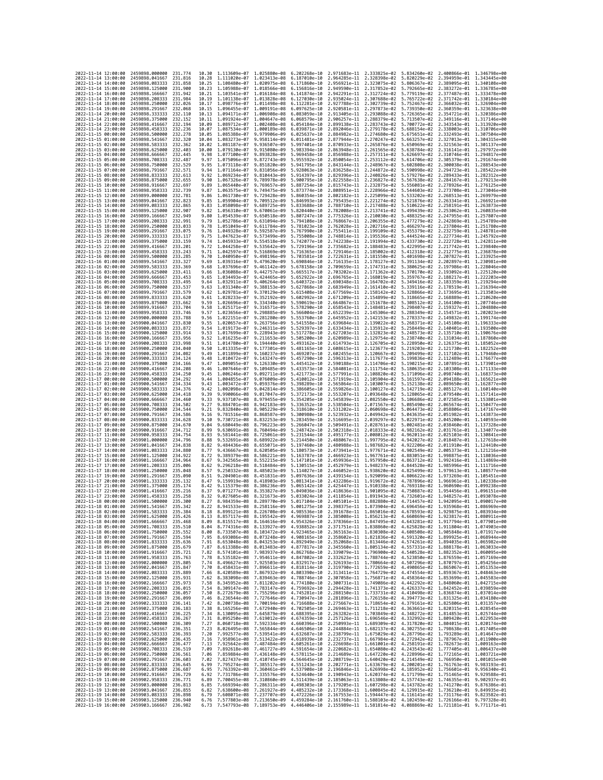| 2022-11-14 12:00:00                        |                     | 2459898.000000                                               | 231.774             | 10.30          | 1.113609e-07 1.025880e-08                              |                              | 6.202268e-10                                                                                                                                                                                                                                                                                                                                                                   | 2.971683e-11 2.333825e-02                              |                                                                  |                              | 5.834260e-02 2.400866e-01 1.346798e+00                 |                                           |
|--------------------------------------------|---------------------|--------------------------------------------------------------|---------------------|----------------|--------------------------------------------------------|------------------------------|--------------------------------------------------------------------------------------------------------------------------------------------------------------------------------------------------------------------------------------------------------------------------------------------------------------------------------------------------------------------------------|--------------------------------------------------------|------------------------------------------------------------------|------------------------------|--------------------------------------------------------|-------------------------------------------|
| 2022-11-14 13:00:00                        |                     | 2459898.041667                                               | 231.816             | 10.28          | 1.111020e-07 1.023413e-08                              |                              | 6.187010e-10                                                                                                                                                                                                                                                                                                                                                                   | 2.964285e-11 2.328398e-02                              |                                                                  | 5.820229e-02                 | 2.394959e-01                                           | 1,343445e+00                              |
| 2022-11-14 14:00:00                        |                     | 2459898.083333                                               | 231.858             | 10.25          | 1.108480e-07                                           | 1.020975e-08                 | 6.171860e-10                                                                                                                                                                                                                                                                                                                                                                   | 2.956921e-11                                           | 2.323075e-02                                                     | 5.806367e-02                 | 2.389095e-01                                           | 1.340108e+00                              |
| 2022-11-14 15:00:00<br>2022-11-14 16:00:00 |                     | 2459898.125000<br>2459898.166667                             | 231,900<br>231.942  | 10.23<br>10.21 | 1.105988e-07 1.018566e-08<br>1.103541e-07 1.016184e-08 |                              | 6.156816e-10<br>6.141874e-10                                                                                                                                                                                                                                                                                                                                                   | 2.949590e-11 2.317852e-02<br>2.942291e-11 2.312724e-02 |                                                                  | 5.792665e-02<br>5.779119e-02 | 2.383272e-01 1.336785e+00<br>2.377487e-01 1.333478e+00 |                                           |
| 2022-11-14 17:00:00                        |                     | 2459898.208333                                               | 231.984             | 10.19          | 1.101138e-07                                           | 1.013828e-08                 | 6.127030e-10                                                                                                                                                                                                                                                                                                                                                                   | 2.935024e-11 2.307688e-02                              |                                                                  | 5.765722e-02                 | 2.371742e-01 1.330184e+00                              |                                           |
| 2022-11-14 18:00:00                        |                     | 2459898.250000                                               | 232.026             | 10.17          | 1.098776e-07                                           | 1.011498e-08                 | 6.112281e-10                                                                                                                                                                                                                                                                                                                                                                   | 2.927788e-11                                           | 2.302739e-02                                                     | 5.752467e-02                 | 2.366032e-01                                           | 1.326904e+00                              |
| 2022-11-14 19:00:00                        |                     | 2459898.291667                                               | 232.068             | 10.15          | 1.096455e-07                                           | 1.009191e-08                 | 6.097625e-10                                                                                                                                                                                                                                                                                                                                                                   | 2.920581e-11                                           | 2.297873e-02                                                     | 5.739350e-02                 | 2.360359e-01                                           | 1.323638e+00                              |
| 2022-11-14 20:00:00                        |                     | 2459898.333333<br>2459898.375000                             | 232,110             | 10.13          | 1.094171e-07                                           | 1.006908e-08<br>1,004647e-08 | 6.083059e-10                                                                                                                                                                                                                                                                                                                                                                   | 2.913405e-11                                           | 2.293088e-02                                                     | 5.726365e-02                 | 2.354721e-01                                           | 1.320386e+00<br>1.317146e+00              |
| 2022-11-14 21:00:00<br>2022-11-14 22:00:00 |                     | 2459898.416667                                               | 232.152<br>232, 194 | 10.11<br>10.09 | 1.091924e-07<br>1.089712e-07                           | 1.002408e-08                 | 6.068579e-10<br>6.054184e-10                                                                                                                                                                                                                                                                                                                                                   | 2.906257e-11<br>2.899138e-11                           | 2.288379e-02<br>2.283743e-02                                     | 5.713507e-02<br>5.700772e-02 | 2.349116e-01<br>2.343543e-01                           | 1.313920e+00                              |
| 2022-11-14 23:00:00                        |                     | 2459898.458333                                               | 232.236             | 10.07          | 1.087534e-07                                           | 1.000189e-08                 | 6.039871e-10                                                                                                                                                                                                                                                                                                                                                                   | 2.892046e-11                                           | 2.279178e-02                                                     | 5.688154e-02                 | 2.338003e-01 1.310706e+00                              |                                           |
| 2022-11-15 00:00:00                        |                     | 2459898.500000                                               | 232.278             | 10.05          | 1.085388e-07                                           | 9.979906e-09                 | 6.025637e-10                                                                                                                                                                                                                                                                                                                                                                   | 2.884982e-11                                           | 2.274680e-02                                                     | 5.675651e-02                 | 2.332493e-01                                           | 1.307504e+00                              |
| 2022-11-15 01:00:00                        |                     | 2459898.541667                                               | 232.320             | 10.04          | 1.083273e-07                                           | 9.958114e-09                 | 6.011481e-10                                                                                                                                                                                                                                                                                                                                                                   | 2.877944e-11                                           | 2.270247e-02                                                     | 5.663257e-02                 | 2.327013e-01                                           | 1.304315e+00                              |
| 2022-11-15 02:00:00                        |                     | 2459898.583333                                               | 232,362             | 10.02          | 1.081187e-07                                           | 9.936507e-09                 | 5.997401e-10                                                                                                                                                                                                                                                                                                                                                                   | 2.870933e-11                                           | 2.265876e-02                                                     | 5.650969e-02                 | 2.321563e-01                                           | 1.301137e+00                              |
| 2022-11-15 03:00:00<br>2022-11-15 04:00:00 |                     | 2459898.625000<br>2459898.666667                             | 232.403<br>232.445  | 10.00<br>9.98  | 1.079130e-07<br>1.077100e-07                           | 9.915080e-09<br>9.893828e-09 | 5.983394e-10<br>5.969458e-10                                                                                                                                                                                                                                                                                                                                                   | 2.863948e-11<br>2.856988e-11                           | 2.261565e-02<br>2.257311e-02                                     | 5.638784e-02<br>5.626697e-02 | 2.316141e-01<br>2.310746e-01                           | 1.297972e+00<br>1.294817e+00              |
| 2022-11-15 05:00:00                        |                     | 2459898.708333                                               | 232.487             | 9.97           | 1.075096e-07                                           | 9.872743e-09                 | 5.955592e-10                                                                                                                                                                                                                                                                                                                                                                   | 2.850054e-11                                           | 2.253112e-02                                                     | 5.614706e-02                 | 2.305379e-01                                           | 1.291674e+00                              |
| 2022-11-15 06:00:00                        |                     | 2459898.750000                                               | 232.529             | 9.95           | 1.073118e-07                                           | 9.851820e-09                 | 5.941795e-10                                                                                                                                                                                                                                                                                                                                                                   | 2.843144e-11                                           | 2.248967e-02                                                     | 5.602808e-02                 |                                                        | 2.300038e-01 1.288543e+00                 |
| 2022-11-15 07:00:00                        |                     | 2459898.791667                                               | 232.571             | 9.94           | 1.071164e-07 9.831056e-09                              |                              | 5.928063e-10                                                                                                                                                                                                                                                                                                                                                                   | 2.836258e-11                                           | 2.244872e-02                                                     | 5.590998e-02                 | 2.294723e-01 1.285422e+00                              |                                           |
| 2022-11-15 08:00:00                        |                     | 2459898.833333                                               | 232.613             | 9.92           | 1.069234e-07                                           | 9.810443e-09                 | 5.914397e-10                                                                                                                                                                                                                                                                                                                                                                   | 2.829396e-11                                           | 2.240826e-02                                                     | 5.579276e-02                 | 2.289433e-01                                           | 1.282312e+00<br>1.279213e+00              |
| 2022-11-15 09:00:00<br>2022-11-15 10:00:00 |                     | 2459898.875000<br>2459898.916667                             | 232.655<br>232.697  | 9.90<br>9.89   | 1.067326e-07<br>1.065440e-07                           | 9.789978e-09<br>9.769657e-09 | 5.900795e-10<br>5.887254e-10                                                                                                                                                                                                                                                                                                                                                   | 2.822558e-11<br>2.815743e-11                           | 2.236827e-02<br>2.232875e-02                                     | 5.567638e-02<br>5.556081e-02 | 2.284167e-01<br>2.278926e-01                           | 1.276125e+00                              |
| 2022-11-15 11:00:00                        |                     | 2459898.958333                                               | 232,739             | 9.87           | 1.063575e-07                                           | 9.749475e-09                 | 5.873774e-10                                                                                                                                                                                                                                                                                                                                                                   | 2.808951e-11                                           | 2.228966e-02                                                     | 5.544603e-02                 | 2.273708e-01                                           | 1.273046e+00                              |
| 2022-11-15 12:00:00                        |                     | 2459899.000000                                               | 232.781             | 9.86           | 1.061730e-07                                           | 9.729428e-09                 | 5.860354e-10                                                                                                                                                                                                                                                                                                                                                                   | 2.802182e-11                                           | 2.225099e-02                                                     | 5.533202e-02                 | 2.268513e-01                                           | 1.269979e+00                              |
| 2022-11-15 13:00:00                        |                     | 2459899.041667                                               | 232,823             | 9.85           | 1.059904e-07                                           | 9.709512e-09                 | 5.846993e-10                                                                                                                                                                                                                                                                                                                                                                   | 2.795435e-11                                           | 2.221274e-02                                                     | 5.521876e-02                 | 2.263341e-01 1.266921e+00                              |                                           |
| 2022-11-15 14:00:00<br>2022-11-15 15:00:00 |                     | 2459899.083333<br>2459899.125000                             | 232.865<br>232.907  | 9.83<br>9.82   | 1.058098e-07<br>1.056310e-07                           | 9.689725e-09<br>9.670061e-09 | 5.833688e-10<br>5.820440e-10                                                                                                                                                                                                                                                                                                                                                   | 2.788710e-11<br>2.782008e-11                           | 2.217488e-02<br>2.213741e-02                                     | 5.510622e-02<br>5.499439e-02 | 2.258191e-01<br>2.253062e-01                           | 1.263873e+00<br>1.260835e+00              |
| 2022-11-15 16:00:00                        |                     | 2459899.166667                                               | 232.949             | 9.80           | 1.054539e-07                                           | 9.650518e-09                 | 5.807247e-10                                                                                                                                                                                                                                                                                                                                                                   | 2.775326e-11                                           | 2.210030e-02                                                     | 5.488325e-02                 | 2.247955e-01                                           | 1.257807e+00                              |
| 2022-11-15 17:00:00                        |                     | 2459899.208333                                               | 232.991             | 9.79           | 1.052786e-07                                           | 9.631094e-09                 | 5.794108e-10                                                                                                                                                                                                                                                                                                                                                                   | 2.768667e-11                                           | 2.206355e-02                                                     | 5.477279e-02                 |                                                        | 2.242869e-01 1.254789e+00                 |
| 2022-11-15 18:00:00                        |                     | 2459899.250000                                               | 233.033             | 9.78           | 1.051049e-07                                           | 9.611784e-09                 | 5.781023e-10                                                                                                                                                                                                                                                                                                                                                                   | 2.762028e-11                                           | 2.202716e-02                                                     | 5.466297e-02                 | 2.237804e-01                                           | 1.251780e+00                              |
| 2022-11-15 19:00:00                        |                     | 2459899.291667                                               | 233.075             | 9.76           | 1.049328e-07                                           | 9.592587e-09                 | 5.767990e-10                                                                                                                                                                                                                                                                                                                                                                   | 2.755411e-11                                           | 2.199109e-02                                                     | 5.455379e-02                 | 2.232759e-01                                           | 1.248781e+00                              |
| 2022-11-15 20:00:00<br>2022-11-15 21:00:00 |                     | 2459899.333333<br>2459899.375000                             | 233.117<br>233, 159 | 9.75<br>9.74   | 1.047623e-07<br>1.045933e-07                           | 9.573499e-09<br>9.554518e-09 | 5.755008e-10<br>5.742077e-10                                                                                                                                                                                                                                                                                                                                                   | 2.748814e-11<br>2.742238e-11                           | 2.195536e-02<br>2.191994e-02                                     | 5.444524e-02<br>5.433730e-02 | 2.227734e-01<br>2.222728e-01 1.242811e+00              | 1.245792e+00                              |
| 2022-11-15 22:00:00                        |                     | 2459899.416667                                               | 233,201             | 9.72           | 1.044258e-07                                           | 9.535642e-09                 | 5.729196e-10                                                                                                                                                                                                                                                                                                                                                                   | 2.735682e-11 2.188483e-02                              |                                                                  | 5.422995e-02                 | 2.217742e-01 1.239840e+00                              |                                           |
| 2022-11-15 23:00:00                        |                     | 2459899.458333                                               | 233.243             | 9.71           | 1.042597e-07                                           | 9.516869e-09                 | 5.716365e-10                                                                                                                                                                                                                                                                                                                                                                   | 2.729146e-11                                           | 2.185002e-02                                                     | 5.412318e-02                 | 2.212775e-01                                           | 1.236878e+00                              |
| 2022-11-16 00:00:00                        |                     | 2459899.500000                                               | 233,285             | 9.70           | 1.040950e-07                                           | 9.498196e-09                 | 5.703581e-10                                                                                                                                                                                                                                                                                                                                                                   | 2.722631e-11                                           | 2.181550e-02                                                     | 5.401698e-02                 | 2.207827e-01                                           | 1.233925e+00                              |
| 2022-11-16 01:00:00<br>2022-11-16 02:00:00 |                     | 2459899.541667<br>2459899.583333                             | 233.327<br>233.369  | 9.69<br>9.68   | 1.039316e-07<br>1.037696e-07                           | 9.479620e-09<br>9.461142e-09 | 5.690846e-10<br>5.678158e-10                                                                                                                                                                                                                                                                                                                                                   | 2.716135e-11<br>2.709659e-11                           | 2.178127e-02<br>2.174731e-02                                     | 5.391134e-02<br>5.380625e-02 | 2.202897e-01                                           | 1.230981e+00<br>2.197986e-01 1.228046e+00 |
| 2022-11-16 03:00:00                        |                     | 2459899.625000                                               | 233.411             | 9.66           | 1.036088e-07                                           | 9.442757e-09                 | 5.665517e-10                                                                                                                                                                                                                                                                                                                                                                   | 2.703202e-11                                           | 2.171362e-02                                                     | 5.370170e-02                 | 2.193092e-01                                           | 1.225120e+00                              |
| 2022-11-16 04:00:00                        |                     | 2459899.666667                                               | 233.453             | 9.65           | 1.034493e-07                                           | 9.424465e-09                 | 5.652922e-10                                                                                                                                                                                                                                                                                                                                                                   | 2.696765e-11                                           | 2.168019e-02                                                     | 5.359767e-02                 |                                                        | 2.188217e-01 1.222203e+00                 |
| 2022-11-16 05:00:00                        |                     | 2459899.708333                                               | 233.495             | 9.64           | 1.032911e-07                                           | 9.406264e-09                 | 5.640372e-10                                                                                                                                                                                                                                                                                                                                                                   | 2.690348e-11                                           | 2.164702e-02                                                     | 5.349416e-02                 | 2.183359e-01                                           | 1,219294e+00                              |
| 2022-11-16 06:00:00                        |                     | 2459899.750000                                               | 233.537             | 9.63           | 1.031340e-07                                           | 9.388153e-09                 | 5.627868e-10                                                                                                                                                                                                                                                                                                                                                                   | 2.683949e-11                                           | 2.161410e-02                                                     | 5.339116e-02                 | 2.178519e-01                                           | 1.216394e+00                              |
| 2022-11-16 07:00:00<br>2022-11-16 08:00:00 |                     | 2459899.791667<br>2459899.833333                             | 233.579<br>233.620  | 9.62<br>9.61   | 1.029781e-07<br>1.028233e-07                           | 9.370129e-09<br>9.352192e-09 | 5.615408e-10<br>5.602992e-10                                                                                                                                                                                                                                                                                                                                                   | 2.677569e-11<br>2.671209e-11                           | 2.158142e-02 5.328866e-02<br>2.154899e-02                        | 5.318665e-02                 | 2.173695e-01<br>2.168889e-01                           | 1.213503e+00<br>1.210620e+00              |
| 2022-11-16 09:00:00                        |                     | 2459899.875000                                               | 233,662             | 9.59           | 1.026696e-07                                           | 9.334340e-09                 | 5.590619e-10                                                                                                                                                                                                                                                                                                                                                                   | 2.664867e-11                                           | 2.151678e-02                                                     | 5.308512e-02                 | 2.164100e-01                                           | 1.207746e+00                              |
| 2022-11-16 10:00:00                        |                     | 2459899.916667                                               | 233.704             | 9.58           | 1.025171e-07                                           | 9.316571e-09                 | 5.578290e-10                                                                                                                                                                                                                                                                                                                                                                   | 2.658543e-11                                           | 2.148481e-02                                                     | 5.298407e-02                 | 2.159327e-01                                           | 1.204880e+00                              |
| 2022-11-16 11:00:00                        |                     | 2459899.958333                                               | 233.746             | 9.57           | 1.023656e-07                                           | 9.298885e-09                 | 5.566004e-10                                                                                                                                                                                                                                                                                                                                                                   | 2.652239e-11                                           | 2.145306e-02                                                     | 5.288349e-02                 | 2.154571e-01                                           | 1.202023e+00                              |
| 2022-11-16 12:00:00                        |                     | 2459900.000000                                               | 233.788             | 9.56           | 1.022151e-07 9.281280e-09                              |                              | 5.553760e-10                                                                                                                                                                                                                                                                                                                                                                   | 2.645952e-11                                           | 2.142153e-02                                                     | 5.278337e-02                 | 2.149832e-01 1.199174e+00                              |                                           |
| 2022-11-16 13:00:00<br>2022-11-16 14:00:00 |                     | 2459900.041667<br>2459900.083333                             | 233.830<br>233.872  | 9.55<br>9.54   | 1.020657e-07<br>1.019173e-07                           | 9.263756e-09<br>9.246311e-09 | 5.541558e-10<br>5.529397e-10                                                                                                                                                                                                                                                                                                                                                   | 2.639684e-11<br>2.633434e-11                           | 2.139022e-02<br>2.135912e-02                                     | 5.268371e-02<br>5.258449e-02 | 2.145108e-01<br>2.140401e-01                           | 1.196333e+00<br>1.193500e+00              |
| 2022-11-16 15:00:00                        |                     | 2459900.125000                                               | 233.914             | 9.53           | 1.017699e-07                                           | 9.228943e-09                 | 5.517278e-10                                                                                                                                                                                                                                                                                                                                                                   | 2.627203e-11                                           | 2.132823e-02                                                     | 5.248573e-02                 | 2.135710e-01 1.190676e+00                              |                                           |
| 2022-11-16 16:00:00                        |                     | 2459900.166667                                               | 233.956             | 9.52           | 1.016235e-07                                           | 9.211653e-09                 | 5.505200e-10                                                                                                                                                                                                                                                                                                                                                                   | 2.620989e-11                                           | 2.129754e-02                                                     | 5.238740e-02                 | 2.131034e-01                                           | 1.187860e+00                              |
| 2022-11-16 17:00:00                        |                     | 2459900.208333                                               | 233,998             | 9.51           | 1.014780e-07                                           | 9.194440e-09                 | 5.493162e-10                                                                                                                                                                                                                                                                                                                                                                   | 2.614793e-11                                           | 2.126705e-02                                                     | 5.228950e-02                 | 2.126375e-01                                           | 1.185052e+00                              |
| 2022-11-16 18:00:00<br>2022-11-16 19:00:00 |                     | 2459900.250000                                               | 234,040<br>234,082  | 9.50<br>9.49   | 1.013335e-07                                           | 9.177301e-09                 | 5.481165e-10                                                                                                                                                                                                                                                                                                                                                                   |                                                        | 2.608615e-11 2.123677e-02<br>2.120667e-02                        | 5.219203e-02                 | 2.121730e-01 1.182252e+00                              | 1.179460e+00                              |
| 2022-11-16 20:00:00                        |                     | 2459900.291667<br>2459900.333333                             | 234,124             | 9.48           | 1.011899e-07 9.160237e-09<br>1.010472e-07              | 9.143247e-09                 | 5.469207e-10<br>5.457290e-10                                                                                                                                                                                                                                                                                                                                                   | 2.602455e-11<br>2.596313e-11                           | 2.117677e-02                                                     | 5.209499e-02<br>5.199836e-02 | 2.117102e-01<br>2.112489e-01                           | 1.176677e+00                              |
| 2022-11-16 21:00:00                        |                     | 2459900.375000                                               | 234.166             | 9.47           | 1.009055e-07                                           | 9.126330e-09                 | 5.445412e-10                                                                                                                                                                                                                                                                                                                                                                   | 2.590188e-11                                           | 2.114706e-02                                                     | 5.190215e-02                 | 2.107891e-01                                           | 1.173901e+00                              |
| 2022-11-16 22:00:00                        |                     | 2459900.416667                                               | 234.208             | 9.46           | 1.007646e-07                                           | 9.109485e-09                 | 5.433573e-10                                                                                                                                                                                                                                                                                                                                                                   | 2.584081e-11                                           | 2.111754e-02 5.180635e-02                                        |                              | 2.103308e-01 1.171133e+00                              |                                           |
| 2022-11-16 23:00:00                        |                     | 2459900.458333                                               | 234.250             | 9.45           | 1.006246e-07                                           | 9.092711e-09                 | 5.421773e-10                                                                                                                                                                                                                                                                                                                                                                   |                                                        | 2.577991e-11 2.108820e-02                                        | 5.171096e-02                 | 2.098740e-01                                           | 1.168373e+00                              |
| 2022-11-17 00:00:00<br>2022-11-17 01:00:00 |                     | 2459900.500000<br>2459900.541667                             | 234.292<br>234,334  | 9.44<br>9.43   | 1.004855e-07<br>1.003472e-07                           | 9.076009e-09<br>9.059376e-09 | 5.410012e-10<br>5.398289e-10                                                                                                                                                                                                                                                                                                                                                   | 2.571919e-11<br>2.565864e-11                           | 2.105904e-02<br>2.103007e-02                                     | 5.161597e-02<br>5.152138e-02 | 2.094188e-01<br>2.089650e-01                           | 1.165621e+00<br>1.162877e+00              |
| 2022-11-17 02:00:00                        |                     | 2459900.583333                                               | 234.376             | 9.42           | 1.002098e-07                                           | 9.042814e-09                 | 5.386605e-10                                                                                                                                                                                                                                                                                                                                                                   | 2.559826e-11                                           | 2.100127e-02                                                     | 5.142719e-02                 | 2.085127e-01                                           | 1.160140e+00                              |
| 2022-11-17 03:00:00                        |                     | 2459900.625000                                               | 234,418             | 9.39           | 9.990066e-08                                           | 9.017047e-09                 | 5.372173e-10                                                                                                                                                                                                                                                                                                                                                                   | 2.553207e-11                                           | 2.093648e-02                                                     | 5.128065e-02                 | 2.079540e-01 1.157141e+00                              |                                           |
| 2022-11-17 04:00:00                        |                     | 2459900.666667                                               | 234.460             | 9.33           | 9.937107e-08                                           | 8.979455e-09                 | 5.354205e-10                                                                                                                                                                                                                                                                                                                                                                   | 2.545839e-11                                           | 2.082550e-02                                                     | 5.106686e-02                 | 2.072585e-01                                           | 1.153801e+00                              |
| 2022-11-17 05:00:00                        |                     | 2459900.708333                                               | 234,502             | 9.27           | 9.884701e-08                                           | 8.942183e-09                 | 5.336352e-10                                                                                                                                                                                                                                                                                                                                                                   | 2.538504e-11                                           | 2.071567e-02                                                     | 5.085490e-02                 | 2.065674e-01                                           | 1.150477e+00                              |
| 2022-11-17 06:00:00<br>2022-11-17 07:00:00 |                     | 2459900.750000<br>2459900.791667                             | 234.544<br>234.586  | 9.21<br>9.16   | 9.832840e-08<br>9.781516e-08                           | 8.905229e-09<br>8.868587e-09 | 5.318610e-10<br>5.300980e-10                                                                                                                                                                                                                                                                                                                                                   | 2.531202e-11<br>2.523932e-11                           | 2.060698e-02<br>2.049942e-02                                     | 5.064473e-02<br>5.043635e-02 | 2.058806e-01<br>2.051982e-01                           | 1.147167e+00<br>1.143873e+00              |
| 2022-11-17 08:00:00                        |                     | 2459900.833333                                               | 234.628             | 9.10           | 9.730721e-08                                           | 8.832253e-09                 | 5.283459e-10                                                                                                                                                                                                                                                                                                                                                                   | 2.516695e-11                                           | 2.039297e-02                                                     | 5.022971e-02                 | 2.045200e-01                                           | 1.140593e+00                              |
| 2022-11-17 09:00:00                        |                     | 2459900.875000                                               | 234.670             | 9.04           | 9.680449e-08 8.796223e-09                              |                              | 5.266047e-10                                                                                                                                                                                                                                                                                                                                                                   | 2.509491e-11                                           | 2.028761e-02                                                     | 5.002481e-02                 | 2.038460e-01 1.137328e+00                              |                                           |
| 2022-11-17 10:00:00                        |                     | 2459900.916667                                               | 234,712             | 8.99           | 9.630691e-08                                           | 8.760494e-09                 | 5.248742e-10                                                                                                                                                                                                                                                                                                                                                                   | 2.502318e-11                                           | 2.018333e-02                                                     | 4.982162e-02                 | 2.031761e-01 1.134077e+00                              |                                           |
| 2022-11-17 11:00:00<br>2022-11-17 12:00:00 |                     | 2459900.958333<br>2459901.000000                             | 234.754<br>234.796  | 8.93<br>8.88   | 9.581441e-08<br>9.532691e-08                           | 8.725061e-09<br>8.689922e-09 | 5.231544e-10<br>5.214450e-10                                                                                                                                                                                                                                                                                                                                                   | 2.495177e-11<br>2.488067e-11                           | 2.008012e-02<br>1.997795e-02                                     | 4.962011e-02<br>4.942027e-02 | 2.025103e-01<br>2.018487e-01                           | 1.130841e+00<br>1.127618e+00              |
| 2022-11-17 13:00:00                        |                     | 2459901.041667                                               | 234.838             | 8.82           | 9.484436e-08                                           | 8.655071e-09                 | 5.197460e-10                                                                                                                                                                                                                                                                                                                                                                   | 2.480988e-11                                           | 1.987682e-02                                                     | 4.922206e-02                 | 2.011910e-01                                           | 1.124410e+00                              |
| 2022-11-17 14:00:00                        |                     | 2459901.083333                                               | 234,880             | 8.77           | 9.436667e-08                                           | 8.620505e-09                 | 5.180573e-10                                                                                                                                                                                                                                                                                                                                                                   | 2.473941e-11                                           | 1.977671e-02                                                     | 4.902549e-02 2.005373e-01    |                                                        | 1.121216e+00                              |
| 2022-11-17 15:00:00                        |                     | 2459901.125000                                               | 234.922             | 8.72           | 9.389379e-08                                           | 8.586221e-09                 | 5.163787e-10                                                                                                                                                                                                                                                                                                                                                                   | 2.466923e-11                                           | 1.967761e-02                                                     | 4.883051e-02                 | 1.998875e-01                                           | 1.118036e+00                              |
| 2022-11-17 16:00:00<br>2022-11-17 17:00:00 |                     | 2459901.166667<br>2459901.208333                             | 234.964<br>235,006  | 8.67<br>8.62   | 9.342565e-08<br>9.296218e-08                           | 8.552215e-09<br>8.518484e-09 | 5.147101e-10<br>5.130515e-10                                                                                                                                                                                                                                                                                                                                                   | 2.452979e-11                                           | 2.459936e-11 1.957950e-02<br>1.948237e-02                        | 4.863712e-02<br>4.844528e-02 | 1.985996e-01                                           | 1.992416e-01 1.114869e+00<br>1.111716e+00 |
| 2022-11-17 18:00:00                        |                     | 2459901.250000                                               | 235,048             | 8.57           | 9.250332e-08                                           | 8.485023e-09                 | 5.114027e-10                                                                                                                                                                                                                                                                                                                                                                   | 2.446052e-11                                           | 1.938620e-02                                                     | 4.825499e-02                 | 1.979613e-01                                           | 1.108577e+00                              |
| 2022-11-17 19:00:00                        |                     | 2459901.291667                                               | 235.090             | 8.51           | 9.204901e-08                                           | 8.451831e-09                 | 5.097636e-10                                                                                                                                                                                                                                                                                                                                                                   | 2.439154e-11                                           | 1.929099e-02                                                     | 4.806622e-02                 | 1.973269e-01                                           | 1.105451e+00                              |
| 2022-11-17 20:00:00                        |                     | 2459901.333333                                               | 235.132             | 8.47           | 9.159919e-08                                           | 8.418903e-09                 | 5.081341e-10                                                                                                                                                                                                                                                                                                                                                                   |                                                        | 2.432286e-11 1.919672e-02                                        | 4.787896e-02                 | 1,966961e-01 1,102338e+00                              |                                           |
| 2022-11-17 21:00:00                        |                     | 2459901.375000                                               | 235.174<br>235.216  | 8.42           | 9.115379e-08                                           | 8.386236e-09                 | 5.065142e-10                                                                                                                                                                                                                                                                                                                                                                   | 2.425447e-11 1.910338e-02                              |                                                                  | 4.769318e-02 1.960690e-01    |                                                        | 1.099238e+00                              |
| 2022-11-17 22:00:00<br>2022-11-17 23:00:00 |                     | 2459901.416667<br>2459901.458333                             | 235, 258            | 8.37<br>8.32   | 9.071277e-08<br>9.027605e-08                           | 8.353827e-09<br>8.321673e-09 | 5.049036e-10<br>5.033024e-10                                                                                                                                                                                                                                                                                                                                                   | 2.418636e-11<br>2.411854e-11                           | 1.901095e-02<br>1.891943e-02                                     | 4.750887e-02<br>4.732601e-02 | 1.954456e-01<br>1.948257e-01                           | 1.096151e+00<br>1.093078e+00              |
| 2022-11-18 00:00:00                        |                     | 2459901.500000                                               | 235.300             | 8.27           | 8.984359e-08 8.289770e-09                              |                              | 5.017104e-10                                                                                                                                                                                                                                                                                                                                                                   |                                                        | 2.405101e-11 1.882880e-02 4.714457e-02 1.942095e-01 1.090017e+00 |                              |                                                        |                                           |
| 2022-11-18 01:00:00                        |                     | 2459901.541667                                               | 235.342             | 8.22           |                                                        |                              | 8.941533e-08 8.258116e-09 5.001275e-10 2.398375e-11 1.873904e-02 4.696456e-02 1.935968e-01 1.086969e+00                                                                                                                                                                                                                                                                        |                                                        |                                                                  |                              |                                                        |                                           |
| 2022-11-18 02:00:00                        |                     | 2459901.583333                                               | 233.384             | 8.18           | 8.899121e-08                                           | 8.226708e-09                 | 4.985536e-10                                                                                                                                                                                                                                                                                                                                                                   | 2.391678e-11                                           | 1.865016e-02                                                     | 4.678593e-02                 | 1.929875e-01                                           | 1.083934e+00                              |
| 2022-11-18 03:00:00<br>2022-11-18 04:00:00 |                     | 2459901.625000 235.426<br>2459901.666667 235.468             |                     | 8.13<br>8.09   |                                                        |                              | 8.857117e-08 8.195542e-09 4.969887e-10 2.385008e-11 1.856213e-02 4.660869e-02 1.923817e-01 1.080911e+00<br>8.815517e-08 8.164616e-09 4.954326e-10 2.378366e-11 1.847495e-02 4.643281e-02 1.917794e-01 1.077901e+00                                                                                                                                                             |                                                        |                                                                  |                              |                                                        |                                           |
| 2022-11-18 05:00:00                        |                     | 2459901.708333 235.510                                       |                     | 8.04           |                                                        |                              |                                                                                                                                                                                                                                                                                                                                                                                |                                                        |                                                                  |                              |                                                        |                                           |
| 2022-11-18 06:00:00                        |                     | 2459901.750000 235.552                                       |                     | 8.00           |                                                        |                              | $\texttt{8.774316e-08} \quad \texttt{8.133927e-09} \quad \texttt{4.938852e-10} \quad \texttt{2.371751e-11} \quad \texttt{1.838860e-02} \quad \texttt{4.625828e-02} \quad \texttt{1.911804e-01} \quad \texttt{1.074903e+00} \quad \texttt{3.71751e-11} \quad \texttt{1.836360e-02} \quad \texttt{4.608508e-02} \quad \texttt{1.905848$                                          |                                                        |                                                                  |                              |                                                        |                                           |
| 2022-11-18 07:00:00                        |                     | 2459901.791667 235.594                                       |                     |                |                                                        |                              | 7.95 8.693086e-08 8.073248e-09 4.908165e-10 2.358602e-11 1.821836e-02 4.591320e-02 1.899925e-01 1.068944e+00                                                                                                                                                                                                                                                                   |                                                        |                                                                  |                              |                                                        |                                           |
| 2022-11-18 08:00:00<br>2022-11-18 09:00:00 |                     | 2459901.833333 235.636<br>2459901.875000                     | 235.679             | 7.91<br>7.87   |                                                        |                              | 8.653048e-08 8.043253e-09 4.892949e-10 2.352068e-11 1.813446e-02 4.574261e-02 1.894035e-01 1.065982e+00<br>8.613388e-08 8.013483e-09 4.877817e-10 2.345560e-11 1.805134e-02 4.557331e-02 1.888178e-01 1.063033e+00                                                                                                                                                             |                                                        |                                                                  |                              |                                                        |                                           |
| 2022-11-18 10:00:00                        |                     | 2459901.916667                                               | 235.721             | 7.82           |                                                        |                              | 8.574101e-08 7.983937e-09 4.862768e-10 2.339079e-11 1.796900e-02 4.540528e-02 1.882352e-01 1.060095e+00                                                                                                                                                                                                                                                                        |                                                        |                                                                  |                              |                                                        |                                           |
| 2022-11-18 11:00:00                        |                     | 2459901.958333 235.763                                       |                     |                |                                                        |                              | 7.78 8.535182e-08 7.954611e-09 4.847802e-10 2.332623e-11 1.788744e-02 4.523850e-02 1.876559e-01 1.057169e+00                                                                                                                                                                                                                                                                   |                                                        |                                                                  |                              |                                                        |                                           |
| 2022-11-18 12:00:00                        |                     | 2459902.000000                                               | 235.805             | 7.74           |                                                        |                              | 8.496627e-08 7.925503e-09 4.832917e-10 2.326193e-11 1.780664e-02 4.507296e-02 1.870797e-01 1.054256e+00                                                                                                                                                                                                                                                                        |                                                        |                                                                  |                              |                                                        |                                           |
| 2022-11-18 13:00:00                        |                     | 2459902.041667                                               | 235.847             |                |                                                        |                              | 7.70 8.458431e-08 7.896611e-09 4.818114e-10 2.319790e-11 1.772659e-02 4.490865e-02 1.865067e-01 1.051353e+00<br>7.66 8.420589e-08 7.867932e-09 4.803390e-10 2.313411e-11 1.764729e-02 4.474554e-02 1.859367e-01 1.048463e+00                                                                                                                                                   |                                                        |                                                                  |                              |                                                        |                                           |
| 2022-11-18 14:00:00<br>2022-11-18 15:00:00 |                     | 2459902.083333 235.889<br>2459902.125000 235.931             |                     |                |                                                        |                              | 7.62 8.383098e-08 7.839463e-09 4.788746e-10 2.307058e-11 1.756871e-02 4.458364e-02 1.853699e-01 1.045583e+00                                                                                                                                                                                                                                                                   |                                                        |                                                                  |                              |                                                        |                                           |
| 2022-11-18 16:00:00                        |                     | 2459902.166667                                               | 235.973             |                |                                                        |                              |                                                                                                                                                                                                                                                                                                                                                                                |                                                        |                                                                  |                              |                                                        |                                           |
| 2022-11-18 17:00:00                        |                     | 2459902.208333                                               | 236.015             |                |                                                        |                              | 7.58 8.345952e-08 7.811202e-09 4.774180e-10 2.300731e-11 1.749086e-02 4.442292e-02 1.848060e-01 1.042715e+00<br>7.54 8.309147e-08 7.783147e-09 4.759692e-10 2.294428e-11 1.741373e-02 4.426337e-02 1.842452e-01 1.039859e+00                                                                                                                                                   |                                                        |                                                                  |                              |                                                        |                                           |
| 2022-11-18 18:00:00                        |                     | 2459902.250000 236.057                                       |                     |                |                                                        |                              | 7.50 8.272679e-08 7.755296e-09 4.745281e-10 2.288150e-11 1.733731e-02 4.410498e-02 1.836874e-01 1.037014e+00                                                                                                                                                                                                                                                                   |                                                        |                                                                  |                              |                                                        |                                           |
| 2022-11-18 19:00:00<br>2022-11-18 20:00:00 |                     | 2459902.291667<br>2459902.333333                             | 236.099<br>236.141  |                |                                                        |                              | 7.46 8.236544e-08 7.727646e-09 4.730947e-10 2.281896e-11 1.726158e-02 4.394773e-02 1.831325e-01 1.034180e+00                                                                                                                                                                                                                                                                   |                                                        |                                                                  |                              |                                                        |                                           |
| 2022-11-18 21:00:00                        |                     | 2459902.375000 236.183                                       |                     |                |                                                        |                              | 7.42 8.200738e-08 7.700194e-09 4.716688e-10 2.275667e-11 1.718654e-02 4.379161e-02 1.825806e-01 1.031357e+00<br>7.38 8.165256e-08 7.672940e-09 4.702505e-10 2.269463e-11 1.711218e-02 4.363661e-02 1.820315e-01 1.028545e+00                                                                                                                                                   |                                                        |                                                                  |                              |                                                        |                                           |
| 2022-11-18 22:00:00                        |                     | 2459902.416667 236.225                                       |                     |                |                                                        |                              | 7.34 8.130095e-08 7.645879e-09 4.688395e-10 2.263282e-11 1.703849e-02 4.348272e-02 1.814853e-01 1.025744e+00                                                                                                                                                                                                                                                                   |                                                        |                                                                  |                              |                                                        |                                           |
| 2022-11-18 23:00:00                        |                     | 2459902.458333 236.267<br>2459902.500000 236.309             |                     | 7.31           |                                                        |                              | 8.095250e-08 7.619012e-09 4.674359e-10 2.257126e-11 1.696546e-02 4.332992e-02 1.809420e-01 1.022953e+00                                                                                                                                                                                                                                                                        |                                                        |                                                                  |                              |                                                        |                                           |
| 2022-11-19 00:00:00                        |                     |                                                              | 236.309             | 7.27           |                                                        |                              | 8.060718e-08 7.592334e-09 4.660396e-10 2.250993e-11 1.689309e-02 4.317820e-02 1.804015e-01 1.020174e+00                                                                                                                                                                                                                                                                        |                                                        |                                                                  |                              |                                                        |                                           |
| 2022-11-19 01:00:00<br>2022-11-19 02:00:00 |                     | 2459902.541667<br>2459902.583333 236.393                     | 236.351             | 7.23           |                                                        |                              | 8.026495e-08 7.565844e-09 4.646506e-10 2.244884e-11 1.682137e-02 4.302755e-02 1.798638e-01 1.017405e+00<br>7.20 7.992577e-08 7.539541e-09 4.632687e-10 2.238799e-11 1.675029e-02 4.287796e-02 1.793289e-01 1.014647e+00                                                                                                                                                        |                                                        |                                                                  |                              |                                                        |                                           |
| 2022-11-19 03:00:00                        |                     | 2459902.625000                                               | 236.435             |                |                                                        |                              |                                                                                                                                                                                                                                                                                                                                                                                |                                                        |                                                                  |                              |                                                        |                                           |
| 2022-11-19 04:00:00                        |                     | 2459902.666667                                               | 236.477             |                |                                                        |                              | 7.16 7.958961e-08 7.513422e-09 4.618939e-10 2.232737e-11 1.667984e-02 4.272942e-02 1.787967e-01 1.011900e+00<br>7.13 7.925642e-08 7.487484e-09 4.605261e-10 2.226698e-11 1.661001e-02 4.258191e-02 1.782673e-01 1.009163e+00                                                                                                                                                   |                                                        |                                                                  |                              |                                                        |                                           |
| 2022-11-19 05:00:00                        |                     | 2459902.708333 236.519                                       |                     |                |                                                        |                              | 7.09 7.892618e-08 7.461727e-09 4.591654e-10 2.220682e-11 1.654080e-02 4.243543e-02 1.777405e-01 1.006437e+00                                                                                                                                                                                                                                                                   |                                                        |                                                                  |                              |                                                        |                                           |
| 2022-11-19 06:00:00<br>2022-11-19 07:00:00 |                     | 2459902.750000 236.561<br>2459902.791667                     | 236.603             |                |                                                        |                              | 7.06 7.859884e-08 7.436148e-09 4.578115e-10 2.214689e-11 1.647220e-02 4.228996e-02 1.772165e-01 1.003721e+00<br>7.827437e-08 7.410745e-09 4.564645e-10 2.208719e-11 1.640420e-02 4.214549e-02 1.766950e-01 1.001015e+00                                                                                                                                                        |                                                        |                                                                  |                              |                                                        |                                           |
| 2022-11-19 08:00:00                        |                     | 2459902.833333 236.645                                       |                     | 7.02           |                                                        |                              | 6.99 7.795274e-08 7.385517e-09 4.551243e-10 2.202771e-11 1.633679e-02 4.200201e-02 1.761763e-01 9.983193e-01                                                                                                                                                                                                                                                                   |                                                        |                                                                  |                              |                                                        |                                           |
| 2022-11-19 09:00:00                        |                     | 2459902.875000 236.687                                       |                     |                |                                                        |                              | 6.95 7.763392e-08 7.360461e-09 4.537908e-10 2.196846e-11 1.626998e-02 4.185952e-02 1.756601e-01 9.956340e-01                                                                                                                                                                                                                                                                   |                                                        |                                                                  |                              |                                                        |                                           |
| 2022-11-19 10:00:00                        |                     | 2459902.916667                                               | 236.729             | 6.92           |                                                        |                              | 7.731786e-08 7.335576e-09 4.524640e-10 2.190943e-11 1.620374e-02 4.171799e-02 1.751465e-01 9.929588e-01<br>7.700455e-08 7.310860e-09 4.511439e-10 2.185063e-11 1.613808e-02 4.157743e-02 1.746355e-01 9.902937e-01                                                                                                                                                             |                                                        |                                                                  |                              |                                                        |                                           |
| 2022-11-19 11:00:00                        |                     | 2459902.958333 236.771                                       |                     | 6.89           |                                                        |                              | 6.85 7.669394e-08 7.286311e-09 4.498303e-10 2.179205e-11 1.607298e-02 4.143782e-02 1.741270e-01 9.876386e-01                                                                                                                                                                                                                                                                   |                                                        |                                                                  |                              |                                                        |                                           |
|                                            |                     |                                                              |                     |                |                                                        |                              |                                                                                                                                                                                                                                                                                                                                                                                |                                                        |                                                                  |                              |                                                        |                                           |
|                                            | 2022-11-19 12:00:00 | 2459903.000000 236.813                                       |                     |                |                                                        |                              |                                                                                                                                                                                                                                                                                                                                                                                |                                                        |                                                                  |                              |                                                        |                                           |
| 2022-11-19 13:00:00<br>2022-11-19 14:00:00 |                     | 2459903.041667 236.855<br>2459903.083333                     | 236.898             |                |                                                        |                              | 6.82 7.638600e-08 7.261927e-09 4.485232e-10 2.173368e-11 1.600845e-02 4.129915e-02 1.736210e-01 9.849935e-01                                                                                                                                                                                                                                                                   |                                                        |                                                                  |                              |                                                        |                                           |
| 2022-11-19 15:00:00                        |                     | 2459903.125000<br>2022-11-19 16:00:00 2459903.166667 236.982 | 236.940             |                |                                                        |                              | $\begin{array}{cccccccc} 6.79 & 7.608071e-08 & 7.237707e-09 & 4.472226e-10 & 2.167553e-11 & 1.594447e-02 & 4.116141e-02 & 1.731176e-01 & 9.823582e-01 \\ 6.76 & 7.577803e-08 & 7.213650e-09 & 4.459284e-10 & 2.161760e-11 & 1.588103e-02 & 4.102459e-02 & 1.7$<br>6.73 7.547793e-08 7.189753e-09 4.446406e-10 2.155989e-11 1.581814e-02 4.088869e-02 1.721181e-01 9.771171e-01 |                                                        |                                                                  |                              |                                                        |                                           |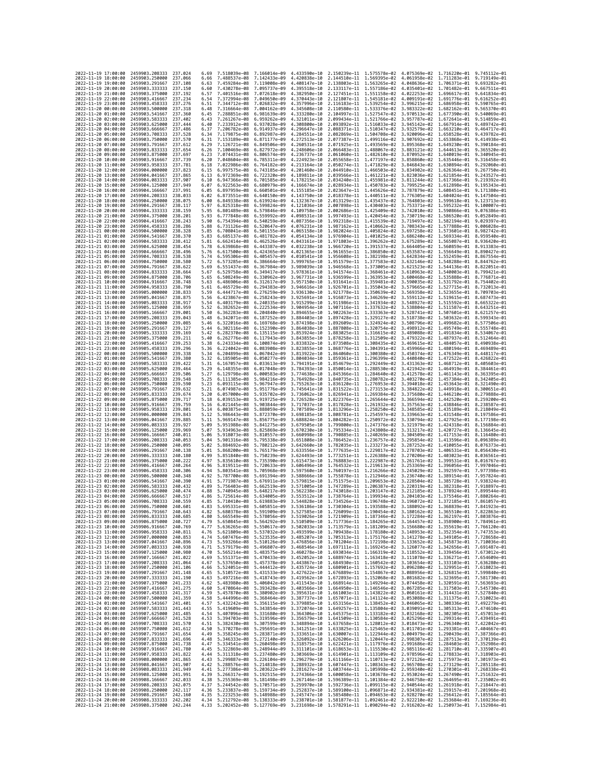| 2022-11-19 17:00:00                        |          | 2459903.208333                                                       | 237.024             | 6.69         | 7.518039e-08                 | 7.166014e-09                             | 4.433590e-10                 |              | 2.150239e-11 1.575578e-02 4.075369e-02                              |                                                                                                                                                                                                                                                                | 1.716220e-01                              | 9.745112e-01                 |
|--------------------------------------------|----------|----------------------------------------------------------------------|---------------------|--------------|------------------------------|------------------------------------------|------------------------------|--------------|---------------------------------------------------------------------|----------------------------------------------------------------------------------------------------------------------------------------------------------------------------------------------------------------------------------------------------------------|-------------------------------------------|------------------------------|
| 2022-11-19 18:00:00                        |          | 2459903.250000                                                       | 237.066             | 6.66         | 7.488537e-08                 | 7.142433e-09                             | 4.420838e-10                 |              | 2.144510e-11 1.569395e-02                                           | 4.061958e-02                                                                                                                                                                                                                                                   | 1.711283e-01                              | $9.719149e - 01$             |
| 2022-11-19 19:00:00                        |          | 2459903.291667                                                       | 237,108             | 6.63         | 7.459284e-08                 | 7.119008e-09                             | 4.408147e-10                 |              | 2.138803e-11 1.563265e-02                                           | 4.048636e-02 1.706371e-01                                                                                                                                                                                                                                      |                                           | 9.693282e-01                 |
| 2022-11-19 20:00:00                        |          | 2459903.333333                                                       | 237.150             | 6.60         | 7.430278e-08 7.095737e-09    |                                          | 4.395518e-10                 |              |                                                                     | 2.133117e-11 1.557186e-02 4.035401e-02 1.701482e-01                                                                                                                                                                                                            |                                           | 9.667511e-01                 |
| 2022-11-19 21:00:00                        |          | 2459903.375000                                                       | 237, 192            | 6.57         | 7.401516e-08 7.072618e-09    |                                          | 4.382950e-10                 |              | 2.127451e-11 1.551158e-02 4.022253e-02                              |                                                                                                                                                                                                                                                                | 1.696617e-01                              | 9.641834e-01                 |
| 2022-11-19 22:00:00                        |          | 2459903.416667                                                       | 237.234             | 6.54         | 7.372994e-08                 | 7.049650e-09                             | 4.370443e-10                 |              | 2.121807e-11 1.545181e-02                                           | 4.009191e-02                                                                                                                                                                                                                                                   | 1,691776e-01                              | 9.616252e-01                 |
| 2022-11-19 23:00:00<br>2022-11-20 00:00:00 |          | 2459903.458333<br>2459903.500000                                     | 237.276<br>237, 318 | 6.51<br>6.48 | 7.344712e-08<br>7.316664e-08 | 7.026832e-09<br>7.004162e-09             | 4.357996e-10<br>4.345608e-10 | 2.116183e-11 | 1.539254e-02<br>2.110580e-11 1.533376e-02                           | 3.996215e-02<br>3.983322e-02                                                                                                                                                                                                                                   | 1.686958e-01<br>1.682162e-01              | 9.590765e-01<br>9.565370e-01 |
| 2022-11-20 01:00:00                        |          | 2459903.541667                                                       | 237,360             | 6.45         | 7.288851e-08                 | 6.981639e-09                             | 4.333280e-10                 |              | 2.104997e-11 1.527547e-02                                           | 3.970513e-02                                                                                                                                                                                                                                                   | 1.677390e-01                              | 9.540069e-01                 |
| 2022-11-20 02:00:00                        |          | 2459903.583333                                                       | 237,402             | 6.43         | 7.261267e-08                 | 6.959262e-09                             | 4.321011e-10                 | 2.099434e-11 | 1.521766e-02                                                        | 3.957787e-02                                                                                                                                                                                                                                                   | 1.672641e-01                              | 9.514859e-01                 |
| 2022-11-20 03:00:00                        |          | 2459903.625000                                                       | 237,444             | 6.40         | 7.233912e-08                 | 6.937028e-09                             | 4.308800e-10                 |              | 2.093892e-11 1.516033e-02                                           | 3.945142e-02                                                                                                                                                                                                                                                   | 1.667914e-01                              | 9.489742e-01                 |
| 2022-11-20 04:00:00                        |          | 2459903.666667                                                       | 237.486             | 6.37         | 7.206782e-08                 | 6.914937e-09                             | 4.296647e-10                 |              | 2.088371e-11 1.510347e-02                                           | 3.932579e-02                                                                                                                                                                                                                                                   | 1.663210e-01                              | 9.464717e-01                 |
| 2022-11-20 05:00:00                        |          | 2459903.708333                                                       | 237.528             | 6.34         | 7.179875e-08                 | 6.892987e-09                             | 4.284551e-10                 |              | 2.082869e-11 1.504708e-02                                           | 3.920096e-02                                                                                                                                                                                                                                                   | 1.658528e-01                              | 9.439782e-01                 |
| 2022-11-20 06:00:00                        |          | 2459903.750000                                                       | 237.570             | 6.31         | 7.153189e-08                 | 6.871177e-09                             | 4.272513e-10                 | 2.077387e-11 | 1.499116e-02                                                        | 3.907692e-02                                                                                                                                                                                                                                                   | 1.653868e-01                              | 9.414938e-01                 |
| 2022-11-20 07:00:00                        |          | 2459903.791667                                                       | 237.612             | 6.29         | 7.126721e-08                 | 6.849506e-09                             | 4.260531e-10                 |              | 2.071925e-11 1.493569e-02                                           | 3.895368e-02                                                                                                                                                                                                                                                   | 1.649230e-01                              | 9.390184e-01                 |
| 2022-11-20 08:00:00<br>2022-11-20 09:00:00 |          | 2459903.833333<br>2459903.875000                                     | 237.654<br>237.697  | 6.26<br>6.23 | 7.100469e-08<br>7.074431e-08 | 6.827972e-09<br>6.806574e-09             | 4.248606e-10<br>4.236737e-10 |              | 2.066483e-11 1.488067e-02<br>2.061060e-11 1.482610e-02              | 3.883121e-02<br>3.870952e-02                                                                                                                                                                                                                                   | 1.644613e-01<br>1.640019e-01              | 9.365520e-01<br>9.340945e-01 |
| 2022-11-20 10:00:00                        |          | 2459903.916667                                                       | 237.739             | 6.20         | 7.048604e-08                 | 6.785311e-09                             | 4.224923e-10                 |              | 2.055658e-11 1.477197e-02                                           | 3.858860e-02                                                                                                                                                                                                                                                   | 1.635446e-01                              | 9.316458e-01                 |
| 2022-11-20 11:00:00                        |          | 2459903.958333                                                       | 237.781             | 6.18         | 7.022986e-08                 | 6.764182e-09                             | 4.213164e-10                 |              | 2.050274e-11 1.471829e-02                                           | 3.846843e-02                                                                                                                                                                                                                                                   | 1.630894e-01                              | 9.292060e-01                 |
| 2022-11-20 12:00:00                        |          | 2459904.000000                                                       | 237.823             | 6.15         | 6.997575e-08 6.743185e-09    |                                          | 4.201460e-10                 |              | 2.044910e-11 1.466503e-02                                           | 3.834902e-02                                                                                                                                                                                                                                                   | 1.626364e-01                              | 9.267750e-01                 |
| 2022-11-20 13:00:00                        |          | 2459904.041667                                                       | 237,865             | 6.13         | 6.972369e-08                 | 6.722320e-09                             | 4.189811e-10                 | 2.039566e-11 | 1.461221e-02                                                        | 3.823036e-02                                                                                                                                                                                                                                                   | 1.621854e-01                              | 9.243527e-01                 |
| 2022-11-20 14:00:00                        |          | 2459904.083333                                                       | 237.907             | 6.10         | 6.947366e-08                 | 6.701585e-09                             | 4.178215e-10                 |              | 2.034240e-11 1.455981e-02                                           | 3.811244e-02                                                                                                                                                                                                                                                   | 1.617366e-01                              | 9.219392e-01                 |
| 2022-11-20 15:00:00<br>2022-11-20 16:00:00 |          | 2459904.125000<br>2459904.166667                                     | 237.949<br>237.991  | 6.07<br>6.05 | 6.922563e-08<br>6.897959e-08 | 6.680979e-09<br>6.660501e-09             | 4.166674e-10<br>4.155185e-10 |              | 2.028934e-11 1.450783e-02 3.799525e-02<br>2.023647e-11 1.445626e-02 | 3.787879e-02                                                                                                                                                                                                                                                   | 1.612898e-01<br>1.608451e-01              | 9.195343e-01<br>9.171380e-01 |
| 2022-11-20 17:00:00                        |          | 2459904.208333                                                       | 238.033             | 6.02         | 6.873551e-08                 | 6.640150e-09                             | 4.143750e-10                 |              | 2.018378e-11 1.440511e-02                                           | 3.776305e-02                                                                                                                                                                                                                                                   | 1.604024e-01                              | 9.147504e-01                 |
| 2022-11-20 18:00:00                        |          | 2459904.250000                                                       | 238.075             | 6.00         | 6.849338e-08                 | 6.619924e-09                             | 4.132367e-10                 |              | 2.013129e-11 1.435437e-02                                           | 3.764803e-02                                                                                                                                                                                                                                                   | 1.599618e-01                              | 9.123713e-01                 |
| 2022-11-20 19:00:00                        |          | 2459904.291667                                                       | 238.117             | 5.97         | 6.825318e-08                 | 6.599824e-09                             | 4.121036e-10                 |              | 2.007898e-11 1.430403e-02                                           | 3.753371e-02                                                                                                                                                                                                                                                   | 1.595232e-01                              | 9.100007e-01                 |
| 2022-11-20 20:00:00                        |          | 2459904.333333                                                       | 238.159             | 5.95         | 6.801489e-08                 | 6.579846e-09                             | 4.109758e-10                 | 2.002686e-11 | 1.425409e-02                                                        | 3.742010e-02                                                                                                                                                                                                                                                   | 1.590866e-01                              | 9.076386e-01                 |
| 2022-11-20 21:00:00                        |          | 2459904.375000                                                       | 238,201             | 5.93         | 6,777848e-08                 | 6.559992e-09                             | 4.098531e-10                 |              | 1.997493e-11 1.420454e-02                                           | 3.730719e-02                                                                                                                                                                                                                                                   | 1.586520e-01                              | 9.052849e-01                 |
| 2022-11-20 22:00:00                        |          | 2459904.416667                                                       | 238, 243            | 5.90         | 6.754394e-08                 | 6.540259e-09                             | 4.087356e-10                 |              | 1.992318e-11 1.415539e-02                                           | 3.719497e-02                                                                                                                                                                                                                                                   | 1.582194e-01                              | 9.029397e-01                 |
| 2022-11-20 23:00:00<br>2022-11-21 00:00:00 |          | 2459904.458333<br>2459904.500000                                     | 238,286<br>238.328  | 5.88<br>5.85 | 6.731126e-08<br>6.708041e-08 | 6.520647e-09                             | 4.076231e-10<br>4.065158e-10 | 1.982024e-11 | 1.987162e-11 1.410662e-02                                           | 3.708343e-02<br>3.697258e-02                                                                                                                                                                                                                                   | 1,577888e-01<br>1,573601e-01              | 9.006028e-01<br>8.982742e-01 |
| 2022-11-21 01:00:00                        |          | 2459904.541667                                                       | 238.370             | 5.83         | 6.685137e-08                 | 6.501155e-09<br>6.481782e-09             | 4.054134e-10                 |              | 1.405824e-02<br>1.976904e-11 1.401025e-02                           | 3.686240e-02 1.569334e-01                                                                                                                                                                                                                                      |                                           | 8.959540e-01                 |
| 2022-11-21 02:00:00                        |          | 2459904.583333                                                       | 238.412             | 5.81         | 6.662414e-08                 | 6.462526e-09                             | 4.043161e-10                 |              | 1.971803e-11 1.396262e-02 3.675289e-02                              |                                                                                                                                                                                                                                                                | 1.565087e-01                              | 8.936420e-01                 |
| 2022-11-21 03:00:00                        |          | 2459904.625000                                                       | 238.454             | 5.78         | 6.639868e-08                 | 6.443387e-09                             | 4.032238e-10                 |              | 1.966720e-11 1.391537e-02                                           | 3.664405e-02                                                                                                                                                                                                                                                   | 1.560859e-01                              | 8.913383e-01                 |
| 2022-11-21 04:00:00                        |          | 2459904.666667                                                       | 238,496             | 5.76         | 6.617500e-08                 | 6.424365e-09                             | 4.021365e-10                 | 1.961655e-11 | 1.386850e-02                                                        | 3.653587e-02                                                                                                                                                                                                                                                   | 1.556649e-01                              | 8.890427e-01                 |
| 2022-11-21 05:00:00                        |          | 2459904.708333                                                       | 238.538             | 5.74         | 6.595306e-08                 | 6.405457e-09                             | 4.010541e-10                 |              | 1.956608e-11 1.382198e-02                                           | 3.642834e-02                                                                                                                                                                                                                                                   | 1.552459e-01                              | 8.867554e-01                 |
| 2022-11-21 06:00:00                        |          | 2459904.750000<br>2459904.791667                                     | 238.580<br>238.622  | 5.72<br>5.69 | 6.573285e-08<br>6.551437e-08 | 6.386664e-09                             | 3.999765e-10                 |              | 1.951579e-11 1.377583e-02                                           | 3.632146e-02                                                                                                                                                                                                                                                   | 1.548288e-01<br>1.544136e-01              | 8.844762e-01<br>8.822051e-01 |
| 2022-11-21 07:00:00<br>2022-11-21 08:00:00 |          | 2459904.833333                                                       | 238.664             | 5.67         | 6.529758e-08                 | 6.367984e-09<br>6.349417e-09             | 3.989039e-10<br>3.978361e-10 | 1.946568e-11 | 1.373005e-02<br>1.941574e-11 1.368461e-02                           | 3.621523e-02<br>3.610963e-02                                                                                                                                                                                                                                   | 1.540003e-01                              | 8.799421e-01                 |
| 2022-11-21 09:00:00                        |          | 2459904.875000                                                       | 238.706             | 5.65         | 6.508249e-08                 | 6.330962e-09                             | 3.967731e-10                 |              | 1.936599e-11 1.363953e-02                                           | 3.600468e-02                                                                                                                                                                                                                                                   | 1.535888e-01                              | 8.776871e-01                 |
| 2022-11-21 10:00:00                        |          | 2459904.916667                                                       | 238,748             | 5.63         | 6.486906e-08                 | 6.312617e-09                             | 3.957150e-10                 |              | 1.931641e-11 1.359481e-02                                           | 3.590035e-02                                                                                                                                                                                                                                                   | 1.531792e-01                              | 8.754402e-01                 |
| 2022-11-21 11:00:00                        |          | 2459904.958333                                                       | 238.790             | 5.61         | 6.465729e-08                 | 6.294383e-09                             | 3.946616e-10                 |              | 1.926701e-11 1.355043e-02                                           | 3.579665e-02                                                                                                                                                                                                                                                   | 1.527715e-01                              | 8.732013e-01                 |
| 2022-11-21 12:00:00                        |          | 2459905.000000                                                       | 238.833             | 5.59         | 6.444717e-08                 | 6.276259e-09 3.936130e-10                |                              |              | 1.921778e-11 1.350639e-02                                           | 3.569358e-02                                                                                                                                                                                                                                                   | 1.523655e-01                              | 8.709703e-01                 |
| 2022-11-21 13:00:00                        |          | 2459905.041667                                                       | 238.875             | 5.56         | 6.423867e-08                 | 6.258243e-09                             | 3.925691e-10                 |              | 1.916873e-11 1.346269e-02 3.559112e-02                              | 3.548927e-02                                                                                                                                                                                                                                                   | 1.519615e-01                              | 8.687473e-01                 |
| 2022-11-21 14:00:00                        |          | 2459905.083333<br>2459905.125000                                     | 238.917             | 5.54<br>5.52 | 6.403179e-08                 | 6.240335e-09                             | 3.915299e-10<br>3.904954e-10 |              | 1.911986e-11 1.341934e-02<br>1.907116e-11 1.337632e-02              | 3.538804e-02                                                                                                                                                                                                                                                   | 1.515592e-01                              | 8.665322e-01<br>8.643251e-01 |
| 2022-11-21 15:00:00<br>2022-11-21 16:00:00 |          | 2459905.166667                                                       | 238.959<br>239.001  | 5.50         | 6.382652e-08<br>6.362283e-08 | 6.222534e-09<br>6.204840e-09             | 3.894655e-10                 |              | 1.902263e-11 1.333363e-02                                           | 3.528741e-02                                                                                                                                                                                                                                                   | 1.511587e-01<br>1.507601e-01              | 8.621257e-01                 |
| 2022-11-21 17:00:00                        |          | 2459905.208333                                                       | 239.043             | 5.48         | 6.342071e-08                 | 6.187252e-09                             | 3.884403e-10                 |              | 1.897428e-11 1.329127e-02                                           | 3.518738e-02                                                                                                                                                                                                                                                   | 1.503632e-01 8.599343e-01                 |                              |
| 2022-11-21 18:00:00                        |          | 2459905.250000                                                       | 239.085             | 5.46         | 6.322016e-08                 | 6.169768e-09                             | 3.874198e-10                 | 1.892609e-11 | 1.324924e-02                                                        | 3.508796e-02                                                                                                                                                                                                                                                   | 1.499682e-01                              | 8.577506e-01                 |
| 2022-11-21 19:00:00                        |          | 2459905.291667                                                       | 239, 127            | 5.44         | 6.302116e-08                 | 6.152390e-09                             | 3.864038e-10                 |              | 1.887808e-11 1.320754e-02                                           | 3.498912e-02                                                                                                                                                                                                                                                   | 1.495749e-01                              | 8.555748e-01                 |
| 2022-11-21 20:00:00                        |          | 2459905.333333                                                       | 239, 169            | 5.42         | 6.282370e-08                 | 6.135115e-09                             | 3.853924e-10                 |              | 1.883025e-11 1.316615e-02                                           | 3.489088e-02                                                                                                                                                                                                                                                   | 1.491834e-01 8.534067e-01                 |                              |
| 2022-11-21 21:00:00                        |          | 2459905.375000                                                       | 239.211             | 5.40         | 6.262776e-08                 | 6.117943e-09                             | 3.843855e-10                 |              | 1.878258e-11 1.312509e-02<br>1.873508e-11 1.308435e-02              | 3.479322e-02                                                                                                                                                                                                                                                   | 1.487937e-01                              | 8.512464e-01                 |
| 2022-11-21 22:00:00<br>2022-11-21 23:00:00 |          | 2459905.416667<br>2459905.458333                                     | 239.253<br>239.296  | 5.38<br>5.36 | 6.243334e-08<br>6.224042e-08 | 6.100874e-09<br>6.083908e-09             | 3.833832e-10<br>3.823855e-10 |              | 1.868776e-11 1.304391e-02                                           | 3.469615e-02<br>3.459966e-02                                                                                                                                                                                                                                   | 1.484057e-01<br>1.480194e-01 8.469489e-01 | 8.490938e-01                 |
| 2022-11-22 00:00:00                        |          | 2459905.500000                                                       | 239.338             | 5.34         | 6.204899e-08                 | 6.067042e-09                             | 3.813922e-10                 |              | 1.864060e-11 1.300380e-02                                           | 3.450374e-02                                                                                                                                                                                                                                                   | 1.476349e-01                              | 8.448117e-01                 |
| 2022-11-22 01:00:00                        |          | 2459905.541667                                                       | 239.380             | 5.32         | 6.185905e-08                 | 6.050277e-09                             | 3.804034e-10                 |              | 1.859361e-11 1.296399e-02                                           | 3.440840e-02                                                                                                                                                                                                                                                   | 1.472522e-01                              | 8.426822e-01                 |
| 2022-11-22 02:00:00                        |          | 2459905.583333                                                       | 239.422             | 5.31         | 6.167057e-08                 | 6.033613e-09                             | 3.794191e-10                 | 1.854679e-11 | 1.292449e-02                                                        | 3.431363e-02                                                                                                                                                                                                                                                   | 1.468712e-01                              | 8.405603e-01                 |
| 2022-11-22 03:00:00                        |          | 2459905.625000                                                       | 239,464             | 5.29         | 6.148355e-08                 | 6.017048e-09                             | 3.784393e-10                 |              | 1.850014e-11 1.288530e-02                                           | 3.421942e-02                                                                                                                                                                                                                                                   | 1.464919e-01                              | 8.384461e-01                 |
| 2022-11-22 04:00:00                        |          | 2459905.666667                                                       | 239.506             | 5.27         | 6.129798e-08                 | 6.000583e-09                             | 3.774638e-10                 |              | 1.845366e-11 1.284640e-02                                           | 3.412578e-02                                                                                                                                                                                                                                                   | 1.461143e-01                              | 8.363395e-01                 |
| 2022-11-22 05:00:00<br>2022-11-22 06:00:00 |          | 2459905.708333<br>2459905.750000                                     | 239.548<br>239.590  | 5.25<br>5.23 | 6.111385e-08<br>6.093115e-08 | 5.984216e-09                             | 3.764928e-10<br>3.755263e-10 | 1.840735e-11 | 1.280782e-02<br>1.836120e-11 1.276953e-02                           | 3.403270e-02                                                                                                                                                                                                                                                   | 1.457384e-01                              | 8.342405e-01<br>8.321490e-01 |
| 2022-11-22 07:00:00                        |          | 2459905.791667                                                       | 239.632             | 5.21         | 6.074987e-08                 | 5.967947e-09<br>5.951776e-09             | 3.745641e-10                 |              | 1.831522e-11 1.273153e-02                                           | 3.394018e-02<br>3.384822e-02                                                                                                                                                                                                                                   | 1.453643e-01<br>1.449918e-01              | 8.300651e-01                 |
| 2022-11-22 08:00:00                        |          | 2459905.833333                                                       | 239.674             | 5.20         | 6.057000e-08                 | 5.935702e-09                             | 3.736062e-10                 |              | 1.826941e-11 1.269384e-02                                           | 3.375680e-02                                                                                                                                                                                                                                                   | 1.446210e-01                              | 8.279888e-01                 |
| 2022-11-22 09:00:00                        |          | 2459905.875000                                                       | 239.717             | 5.18         | 6.039153e-08                 | 5.919725e-09                             | 3.726528e-10                 |              | 1.822376e-11 1.265644e-02                                           | 3.366594e-02                                                                                                                                                                                                                                                   | 1.442520e-01                              | 8.259200e-01                 |
| 2022-11-22 10:00:00                        |          | 2459905.916667                                                       | 239.759             | 5.16         | 6.021445e-08                 | 5.903844e-09                             | 3.717037e-10                 |              | 1.817828e-11 1.261932e-02                                           | 3.357563e-02                                                                                                                                                                                                                                                   | 1.438846e-01 8.238587e-01                 |                              |
| 2022-11-22 11:00:00                        |          | 2459905.958333                                                       | 239,801             | 5.14         | 6.003875e-08                 | 5.888059e-09                             | 3.707589e-10                 |              | 1.813296e-11 1.258250e-02 3.348585e-02                              |                                                                                                                                                                                                                                                                | 1.435189e-01                              | 8.218049e-01                 |
| 2022-11-22 12:00:00                        |          | 2459906.000000                                                       | 239.843             | 5.12         | 5.986443e-08                 | 5.872370e-09                             | 3.698185e-10                 |              | 1.808781e-11 1.254597e-02                                           | 3.339663e-02                                                                                                                                                                                                                                                   | 1.431548e-01                              | 8.197586e-01                 |
| 2022-11-22 13:00:00<br>2022-11-22 14:00:00 |          | 2459906.041667<br>2459906.083333                                     | 239.885<br>239.927  | 5.11<br>5.09 | 5.969147e-08<br>5.951988e-08 | 5.856775e-09<br>5.841275e-09             | 3.688824e-10<br>3.679505e-10 |              | 1.804282e-11 1.250972e-02<br>1.799800e-11 1.247376e-02              | 3.330794e-02<br>3.321979e-02                                                                                                                                                                                                                                   | 1.427925e-01<br>1.424318e-01              | 8.177198e-01<br>8.156884e-01 |
| 2022-11-22 15:00:00                        |          | 2459906.125000                                                       | 239.969             | 5.07         | 5.934963e-08 5.825869e-09    |                                          | 3.670230e-10                 |              | 1.795334e-11 1.243808e-02                                           | 3.313217e-02                                                                                                                                                                                                                                                   | 1.420727e-01                              | 8.136645e-01                 |
| 2022-11-22 16:00:00                        |          | 2459906.166667                                                       | 240.011             | 5.06         | 5.918073e-08                 | 5.810557e-09                             | 3.660998e-10                 | 1.790885e-11 | 1.240269e-02                                                        | 3.304509e-02                                                                                                                                                                                                                                                   | 1.417153e-01                              | 8.116480e-01                 |
| 2022-11-22 17:00:00                        |          | 2459906.208333                                                       | 240.053             | 5.04         | 5.901316e-08                 | 5.795338e-09                             | 3.651808e-10                 |              | 1.786452e-11 1.236757e-02                                           | 3.295854e-02                                                                                                                                                                                                                                                   | 1.413596e-01                              | 8.096389e-01                 |
| 2022-11-22 18:00:00                        |          | 2459906.250000                                                       | 240.095             | 5.02         | 5.884692e-08                 | 5.780212e-09                             | 3.642660e-10                 |              | 1.782035e-11 1.233273e-02 3.287252e-02                              |                                                                                                                                                                                                                                                                | 1.410055e-01                              | 8.076373e-01                 |
| 2022-11-22 19:00:00                        |          | 2459906.291667                                                       | 240.138             | 5.01         | 5.868200e-08                 | 5.765179e-09                             | 3.633556e-10                 |              | 1,777635e-11 1,229817e-02                                           | 3.278703e-02                                                                                                                                                                                                                                                   | 1.406531e-01                              | 8.056430e-01                 |
| 2022-11-22 20:00:00                        |          | 2459906.333333                                                       | 240,180             | 4.99         | 5.851840e-08<br>5.835610e-08 | 5.750239e-09                             | 3.624493e-10                 |              | 1.773251e-11 1.226388e-02<br>1.768883e-11 1.222987e-02              | 3.270206e-02                                                                                                                                                                                                                                                   | 1.403023e-01                              | 8.036561e-01                 |
| 2022-11-22 21:00:00<br>2022-11-22 22:00:00 |          | 2459906.375000<br>2459906.416667                                     | 240.222<br>240,264  | 4.97<br>4.96 | 5.819511e-08                 | 5.735390e-09<br>5.720633e-09             | 3.615473e-10<br>3.606496e-10 |              | 1.764532e-11 1.219613e-02                                           | 3.261761e-02<br>3.253369e-02                                                                                                                                                                                                                                   | 1.399531e-01<br>1.396056e-01              | 8.016767e-01<br>7.997046e-01 |
| 2022-11-22 23:00:00                        |          | 2459906.458333                                                       | 240.306             | 4.94         | 5.803541e-08                 | 5.705968e-09                             | 3.597560e-10                 | 1.760197e-11 | 1.216266e-02                                                        | 3.245029e-02                                                                                                                                                                                                                                                   | 1.392597e-01                              | 7.977398e-01                 |
| 2022-11-23 00:00:00                        |          | 2459906.500000                                                       | 240.348             | 4.92         | 5.787700e-08                 | 5.691394e-09                             | 3.588666e-10                 |              | 1.755878e-11 1.212946e-02                                           | 3.236740e-02                                                                                                                                                                                                                                                   | 1.389154e-01                              | 7.957824e-01                 |
| 2022-11-23 01:00:00                        |          | 2459906.541667                                                       | 240.390             | 4.91         | 5.771987e-08                 | 5.676911e-09                             | 3.579815e-10                 |              | 1.751575e-11 1.209653e-02                                           | 3.228504e-02                                                                                                                                                                                                                                                   | 1.385728e-01                              | 7.938324e-01                 |
| 2022-11-23 02:00:00                        |          | 2459906.583333                                                       | 240.432             | 4.89         | 5.756403e-08                 | 5.662519e-09                             | 3.571005e-10                 |              | 1,747289e-11 1,206387e-02                                           | 3.220319e-02                                                                                                                                                                                                                                                   | 1.382318e-01                              | 7.918897e-01                 |
| 2022-11-23 03:00:00                        |          | 2459906.625000                                                       | 240.474             | 4.88         | 5.740945e-08                 | 5.648217e-09<br>5.634005e-09             | 3.562238e-10                 | 1.743018e-11 | 1.203147e-02                                                        | 3.212185e-02                                                                                                                                                                                                                                                   | 1.378924e-01                              | 7.899544e-01<br>7.880264e-01 |
| 2022-11-23 04:00:00<br>2022-11-23 05:00:00 |          | 2459906.666667<br>2459906.708333                                     | 240.517<br>240.559  | 4.86<br>4.85 | 5.725614e-08                 | 5.710410e-08  5.619883e-09  3.544828e-10 | 3.553512e-10                 |              |                                                                     | 1.738764e-11  1.199934e-02  3.204103e-02  1.375546e-01<br>1.734526e-11  1.196748e-02  3.196072e-02  1.372185e-01  7.861057e-01                                                                                                                                 |                                           |                              |
| 2022-11-23 06:00:00                        |          | 2459906.750000                                                       | 240.601             | 4.83         |                              |                                          |                              |              |                                                                     | 5.695331e-08 5.605851e-09 3.536186e-10 1.730304e-11 1.193588e-02 3.188092e-02 1.368839e-01 7.841923e-01                                                                                                                                                        |                                           |                              |
| 2022                                       | 07:00:00 | 2459906.791667                                                       | 240.643             |              | .680378e-08                  | 5.591909e-09                             | 3.527585e-10                 | 1.726099e-11 | 1.190454e-02                                                        | 3.180162e-02                                                                                                                                                                                                                                                   | 1.365510e-01                              | 7.822863e-01                 |
| 2022-11-23 08:00:00                        |          | 2459906.833333 240.685                                               |                     | 4.80         |                              |                                          |                              |              |                                                                     | 5.665549e-08 5.578056e-09 3.519026e-10 1.721909e-11 1.187346e-02 3.172284e-02 1.362197e-01 7.803876e-01                                                                                                                                                        |                                           |                              |
| 2022-11-23 09:00:00                        |          | 2459906.875000                                                       | 240.727             | 4.79         |                              |                                          |                              |              |                                                                     | 5.650845e-08 5.564292e-09 3.510509e-10 1.717736e-11 1.184265e-02 3.164457e-02 1.358900e-01 7.784961e-01                                                                                                                                                        |                                           |                              |
| 2022-11-23 10:00:00<br>2022-11-23 11:00:00 |          | 2459906.916667<br>2459906.958333 240.811                             | 240.769             |              |                              |                                          |                              |              |                                                                     | $\begin{array}{cccccccc} 4.77 & 5.636265e-08 & 5.550617e-09 & 3.502033e-10 & 1.713579e-11 & 1.181209e-02 & 3.156680e-02 & 1.355619e-01 & 7.766120e-01 \\ 4.76 & 5.621809e-08 & 5.537032e-09 & 3.49359e-10 & 1.709438e-11 & 1.178180e-02 & 3.148953e-02 & 1.35$ |                                           |                              |
| 2022-11-23 12:00:00                        |          | 2459907.000000 240.853                                               |                     |              |                              |                                          |                              |              |                                                                     | 4.74 5.607476e-08 5.523535e-09 3.485207e-10 1.705313e-11 1.175176e-02 3.141278e-02 1.349105e-01 7.728658e-01                                                                                                                                                   |                                           |                              |
| 2022-11-23 13:00:00                        |          | 2459907.041667                                                       | 240.896             |              |                              |                                          |                              |              |                                                                     | 4.73 5.593266e-08 5.510126e-09 3.476856e-10 1.701204e-11 1.172198e-02 3.133652e-02 1.345873e-01 7.710036e-01<br>4.71 5.579179e-08 5.496807e-09 3.468546e-10 1.697111e-11 1.169245e-02 3.126077e-02 1.342656e-01 7.691487e-01                                   |                                           |                              |
| 2022-11-23 14:00:00                        |          | 2459907.083333                                                       | 240.938             |              |                              |                                          |                              |              |                                                                     |                                                                                                                                                                                                                                                                |                                           |                              |
| 2022-11-23 15:00:00                        |          | 2459907.125000 240.980                                               |                     |              |                              |                                          |                              |              |                                                                     | 4.70 5.565214e-08 5.483575e-09 3.460278e-10 1.693034e-11 1.166319e-02 3.118552e-02 1.339456e-01 7.673012e-01                                                                                                                                                   |                                           |                              |
| 2022-11-23 16:00:00                        |          | 2459907.166667<br>2459907.208333 241.064                             | 241.022             |              |                              |                                          |                              |              |                                                                     | 4.69 5.551371e-08 5.470433e-09 3.452052e-10 1.688974e-11 1.163418e-02 3.111078e-02 1.336271e-01 7.654609e-01                                                                                                                                                   |                                           |                              |
| 2022-11-23 17:00:00<br>2022-11-23 18:00:00 |          | 2459907.250000                                                       | 241,106             |              |                              |                                          |                              |              |                                                                     | 4.67 5.537650e-08 5.457378e-09 3.443867e-10 1.684930e-11 1.166542e-02 3.103654e-02 1.333103e-01 7.636280e-01<br>4.66 5.524051e-08 5.444412e-09 3.443867e-10 1.68090e-11 1.1676942e-02 3.103654e-02 1.339103e-01 7.636280e-01<br>4.65                           |                                           |                              |
| 2022-11-23 19:00:00                        |          | 2459907.291667 241.148                                               |                     |              |                              |                                          |                              |              |                                                                     |                                                                                                                                                                                                                                                                |                                           |                              |
| 2022-11-23 20:00:00                        |          | 2459907.333333 241.190                                               |                     |              |                              |                                          |                              |              |                                                                     | 4.63 5.497216e-08 5.418743e-09 3.419562e-10 1.672893e-11 1.152066e-02 3.081682e-02 1.323695e-01 7.581730e-01<br>4.62 5.489308e-08 5.406042e-09 3.411543e-10 1.668914e-11 1.152066e-02 3.081682e-02 1.32859Ee-01 7.581730e-01<br>4.60                           |                                           |                              |
| 2022-11-23 21:00:00                        |          | 2459907.375000 241.233                                               |                     |              |                              |                                          |                              |              |                                                                     |                                                                                                                                                                                                                                                                |                                           |                              |
| 2022-11-23 22:00:00                        |          | 2459907.416667 241.275                                               |                     |              |                              |                                          |                              |              |                                                                     |                                                                                                                                                                                                                                                                |                                           |                              |
| 2022-11-23 23:00:00<br>2022-11-24 00:00:00 |          | 2459907.458333 241.317<br>2459907.500000 241.359                     |                     |              |                              |                                          |                              |              |                                                                     | 4.58 5.457870e-08 5.380982e-09 3.395631e-10 1.661003e-11 1.143822e-02 3.066161e-02 1.314431e-01 7.527840e-01<br>4.58 5.444996e-08 5.368464e-09 3.397737e-10 1.661003e-11 1.141822e-02 3.066161e-02 1.311437e-01 7.527840e-01<br>4.57                           |                                           |                              |
| 2022-11-24 01:00:00                        |          | 2459907.541667 241.401                                               |                     |              |                              |                                          |                              |              |                                                                     |                                                                                                                                                                                                                                                                |                                           |                              |
| 2022-11-24 02:00:00                        |          | 2459907.583333 241.443                                               |                     |              |                              |                                          |                              |              |                                                                     | 4.55 5.419609e-08 5.343854e-09 3.372074e-10 1.649257e-11 1.135804e-02 3.039091e-02 1.305313e-01 7.474610e-01                                                                                                                                                   |                                           |                              |
| 2022-11-24 03:00:00                        |          | 2459907.625000 241.485                                               |                     |              |                              |                                          |                              |              |                                                                     | 4.54 5.407096e-08 5.331680e-09 3.364306e-10 1.645375e-11 1.133182e-02 3.032168e-02 1.302305e-01 7.457013e-01                                                                                                                                                   |                                           |                              |
| 2022-11-24 04:00:00                        |          | 2459907.666667                                                       | 241,528             |              |                              |                                          |                              |              |                                                                     | 4.53 5.394703e-08 5.319596e-09 3.356579e-10 1.641509e-11 1.130584e-02 3.025296e-02 1.299314e-01 7.439491e-01<br>4.51 5.382430e-08 5.307599e-09 3.348894e-10 1.637658e-11 1.128012e-02 3.018473e-02 1.296340e-01 7.422042e-01                                   |                                           |                              |
| 2022-11-24 05:00:00                        |          | 2459907.708333                                                       | 241.570             |              |                              |                                          |                              |              |                                                                     |                                                                                                                                                                                                                                                                |                                           |                              |
| 2022-11-24 06:00:00                        |          | 2459907.750000 241.612                                               |                     |              |                              |                                          |                              |              |                                                                     | 4.50 5.370278e-08 5.295691e-09 3.341251e-10 1.633825e-11 1.125465e-02 3.011701e-02 1.293381e-01 7.404667e-01                                                                                                                                                   |                                           |                              |
| 2022-11-24 07:00:00<br>2022-11-24 08:00:00 |          | 2459907.791667 241.654<br>2459907.833333                             | 241.696             |              |                              |                                          |                              |              |                                                                     | $\begin{array}{cccccccc} 4.49 & 5.358245e-08 & 5.283871e-09 & 3.333651e-10 & 1.630007e-11 & 1.122944e-02 & 3.004979e-02 & 1.299439e-01 & 7.387366e-01 \\ 4.49 & 5.358245e-08 & 5.272140e-09 & 3.32563e-01 & 1.630007e-11 & 1.12044e-02 & 2.995307e-02 & 1.299$ |                                           |                              |
| 2022-11-24 09:00:00                        |          | 2459907.875000                                                       | 241.738             |              |                              |                                          |                              |              |                                                                     |                                                                                                                                                                                                                                                                |                                           |                              |
| 2022-11-24 10:00:00                        |          | 2459907.916667 241.780                                               |                     |              |                              |                                          |                              |              |                                                                     |                                                                                                                                                                                                                                                                |                                           |                              |
| 2022-11-24 11:00:00                        |          | 2459907.958333 241.822                                               |                     |              |                              |                                          |                              |              |                                                                     | $\begin{array}{cccccccc} 4.44 & 5.311318e-08 & 5.237480e-09 & 3.303669e-10 & 1.614901e-11 & 1.113109e-02 & 2.978596e-02 & 1.278833e-01 & 7.318903e-01 \\ 4.43 & 5.299887e-08 & 5.226104e-09 & 3.296279e-10 & 1.611166e-11 & 1.110713e-02 & 2.972126e-02 & 1.2$ |                                           |                              |
| 2022-11-24 12:00:00                        |          | 2459908.000000                                                       | 241.865             |              |                              |                                          |                              |              |                                                                     |                                                                                                                                                                                                                                                                |                                           |                              |
| 2022-11-24 13:00:00                        |          | 2459908.041667 241.907                                               |                     |              |                              |                                          |                              |              |                                                                     | 4.42 5.288576e-08 5.214818e-09 3.288932e-10 1.607447e-11 1.108343e-02 2.965708e-02 1.273129e-01 7.285118e-01                                                                                                                                                   |                                           |                              |
| 2022-11-24 14:00:00<br>2022-11-24 15:00:00 |          | 2459908.083333 241.949<br>2459908.125000                             | 241.991             |              |                              |                                          |                              |              |                                                                     |                                                                                                                                                                                                                                                                |                                           |                              |
| 2022-11-24 16:00:00                        |          | 2459908.166667 242.033                                               |                     |              |                              |                                          |                              |              |                                                                     | $\frac{4.41}{4.36} \begin{smallmatrix} 5.277366e-08& 5.203627e-09& 3.261627e-10& 1.603744e-11& 1.105995e-02& 2.959346e-02& 1.270301e-01& 1.268336e-01\\ 4.39 & 5.266317e-08& 5.192513e-09& 3.274366e-10& 1.600956e-11& 1.100595e-02& 2.95934e-02&$             |                                           |                              |
| 2022-11-24 17:00:00                        |          | 2459908.208333 242.075                                               |                     |              |                              |                                          |                              |              |                                                                     | 4.37 5.244542e-08 5.170571e-09 3.259970e-10 1.592736e-11 1.099115e-02 2.940544e-02 1.261918e-01 7.218447e-01                                                                                                                                                   |                                           |                              |
| 2022-11-24 18:00:00                        |          | 2459908.250000 242.117                                               |                     |              |                              |                                          |                              |              |                                                                     | 4.36 5.233837e-08 5.159734e-09 3.252837e-10 1.589100e-11 1.096871e-02 2.934381e-02 1.259157e-01 7.201968e-01<br>4.35 5.233837e-08 5.149988e-09 3.252837e-10 1.589100e-11 1.094653e-02 2.934381e-02 1.259157e-01 7.201968e-01<br>4.34                           |                                           |                              |
| 2022-11-24 19:00:00                        |          | 2459908.291667                                                       | 242.160             |              |                              |                                          |                              |              |                                                                     |                                                                                                                                                                                                                                                                |                                           |                              |
| 2022-11-24 20:00:00                        |          | 2459908.333333 242.202<br>2022-11-24 21:00:00 2459908.375000 242.244 |                     |              |                              |                                          |                              |              |                                                                     | 4.33 5.202452e-08 5.127769e-09 3.231698e-10 1.578291e-11 1.090294e-02 2.916202e-02 1.250973e-01 7.152984e-01                                                                                                                                                   |                                           |                              |
|                                            |          |                                                                      |                     |              |                              |                                          |                              |              |                                                                     |                                                                                                                                                                                                                                                                |                                           |                              |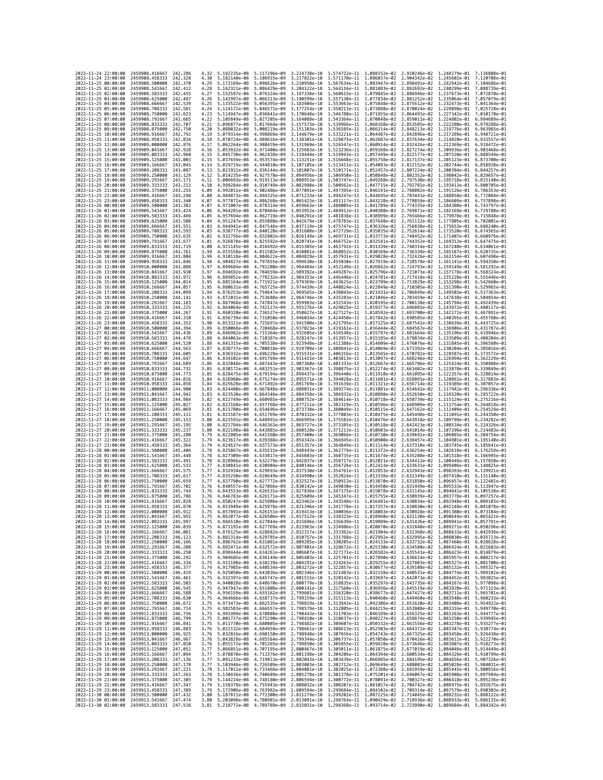| 2022-11-24 22:00:00                        |                     | 2459908.416667                                                       | 242.286              | 4.32         | 5.192235e-08                                                                                                                                                                                                                         | 5.117296e-09                 | 3.224738e-10                                                                                                                                                                                                                                                                                                                                 | 1.574722e-11 1.088152e-02                                                        |              | 2.910246e-02                                                                                                   | 1.248279e-01 7.136808e-01                 |                              |
|--------------------------------------------|---------------------|----------------------------------------------------------------------|----------------------|--------------|--------------------------------------------------------------------------------------------------------------------------------------------------------------------------------------------------------------------------------------|------------------------------|----------------------------------------------------------------------------------------------------------------------------------------------------------------------------------------------------------------------------------------------------------------------------------------------------------------------------------------------|----------------------------------------------------------------------------------|--------------|----------------------------------------------------------------------------------------------------------------|-------------------------------------------|------------------------------|
| 2022-11-24 23:00:00                        |                     | 2459908.458333                                                       | 242,328              | 4.30         | 5.182140e-08                                                                                                                                                                                                                         | 5.106915e-09                 | 3.217822e-10                                                                                                                                                                                                                                                                                                                                 | 1.571170e-11 1.086037e-02 2.904342e-02                                           |              |                                                                                                                | 1.245602e-01                              | 7.120708e-01                 |
| 2022-11-25 00:00:00                        |                     | 2459908.500000                                                       | 242.370              | 4.29         | 5.172169e-08                                                                                                                                                                                                                         | 5.096626e-09                 | 3.210950e-10                                                                                                                                                                                                                                                                                                                                 | 1.567634e-11                                                                     | 1.083947e-02 | 2.898491e-02                                                                                                   | 1.242942e-01                              | 7.104686e-01                 |
| 2022-11-25 01:00:00<br>2022-11-25 02:00:00 |                     | 2459908.541667<br>2459908.583333                                     | 242.412<br>242,455   | 4.28<br>4.27 | 5.162321e-08 5.086429e-09<br>5.152597e-08 5.076324e-09                                                                                                                                                                               |                              | 3.204122e-10<br>3.197338e-10                                                                                                                                                                                                                                                                                                                 | 1.560615e-11 1.079845e-02 2.886946e-02                                           |              | 1.564116e-11  1.081883e-02  2.892692e-02  1.240299e-01  7.088739e-01                                           | 1.237673e-01 7.072870e-01                 |                              |
| 2022-11-25 03:00:00                        |                     | 2459908.625000                                                       | 242.497              | 4.26         | 5.142997e-08                                                                                                                                                                                                                         | 5.066313e-09                 | 3.190599e-10                                                                                                                                                                                                                                                                                                                                 | 1.557130e-11 1.077834e-02                                                        |              | 2.881252e-02                                                                                                   | 1.235064e-01                              | 7.057079e-01                 |
| 2022-11-25 04:00:00                        |                     | 2459908.666667                                                       | 242.539              | 4.25         | 5.133522e-08                                                                                                                                                                                                                         | 5.056395e-09                 | 3.183904e-10                                                                                                                                                                                                                                                                                                                                 | 1.553663e-11                                                                     | 1.075848e-02 | 2.875612e-02                                                                                                   | 1.232473e-01                              | 7.041364e-01                 |
| 2022-11-25 05:00:00                        |                     | 2459908.708333                                                       | 242,581              | 4.24         | 5.124172e-08                                                                                                                                                                                                                         | 5.046571e-09                 | 3.177254e-10                                                                                                                                                                                                                                                                                                                                 | 1.550213e-11 1.073888e-02                                                        |              | 2.870024e-02                                                                                                   | 1.229898e-01                              | 7.025728e-01                 |
| 2022-11-25 06:00:00<br>2022-11-25 07:00:00 |                     | 2459908.750000<br>2459908.791667                                     | 242.623<br>242,665   | 4.23<br>4.22 | 5.114947e-08<br>5.105849e-08                                                                                                                                                                                                         | 5.036841e-09<br>5.027205e-09 | 3.170648e-10<br>3.164088e-10                                                                                                                                                                                                                                                                                                                 | 1.546780e-11 1.071955e-02<br>1.543364e-11                                        | 1.070048e-02 | 2.864491e-02<br>2.859011e-02                                                                                   | 1.227342e-01 7.010170e-01<br>1.224802e-01 | 6.994689e-01                 |
| 2022-11-25 08:00:00                        |                     | 2459908.833333                                                       | 242.707              | 4.21         | 5.096877e-08                                                                                                                                                                                                                         | 5.017664e-09                 | 3.157573e-10                                                                                                                                                                                                                                                                                                                                 | 1.539966e-11 1.068168e-02                                                        |              | 2.853585e-02                                                                                                   | 1.222280e-01                              | 6.979288e-01                 |
| 2022-11-25 09:00:00                        |                     | 2459908.875000                                                       | 242.750              | 4.20         | 5.088032e-08                                                                                                                                                                                                                         | 5.008219e-09                 | 3.151103e-10                                                                                                                                                                                                                                                                                                                                 | 1.536585e-11 1.066314e-02                                                        |              | 2.848213e-02                                                                                                   | 1.219776e-01                              | 6.963965e-01                 |
| 2022-11-25 10:00:00                        |                     | 2459908.916667                                                       | 242.792              | 4.19         | 5.079314e-08                                                                                                                                                                                                                         | 4.998869e-09                 | 3.144679e-10                                                                                                                                                                                                                                                                                                                                 | 1.533221e-11                                                                     | 1.064487e-02 | 2.842896e-02                                                                                                   | 1.217289e-01                              | 6.948721e-01                 |
| 2022-11-25 11:00:00<br>2022-11-25 12:00:00 |                     | 2459908.958333<br>2459909.000000                                     | 242,834<br>242.876   | 4.18<br>4.17 | 5.070724e-08<br>5.062264e-08                                                                                                                                                                                                         | 4.989616e-09<br>4.980459e-09 | 3.138301e-10<br>3.131969e-10                                                                                                                                                                                                                                                                                                                 | 1.529875e-11<br>1.526547e-11 1.060914e-02                                        | 1.062687e-02 | 2.837634e-02<br>2.832426e-02                                                                                   | 1.214820e-01<br>1.212369e-01              | 6.933557e-01<br>6.918472e-01 |
| 2022-11-25 13:00:00                        |                     | 2459909.041667                                                       | 242,918              | 4.16         | 5.053932e-08                                                                                                                                                                                                                         | 4.971400e-09                 | 3.125683e-10                                                                                                                                                                                                                                                                                                                                 | 1.523236e-11 1.059168e-02 2.827274e-02                                           |              |                                                                                                                | 1.209936e-01                              | 6.903468e-01                 |
| 2022-11-25 14:00:00                        |                     | 2459909.083333                                                       | 242.960              | 4.15         | 5.045730e-08                                                                                                                                                                                                                         | 4.962438e-09                 | 3.119444e-10                                                                                                                                                                                                                                                                                                                                 | 1.519943e-11                                                                     | 1.057449e-02 | 2.822177e-02                                                                                                   | 1.207520e-01                              | 6.888544e-01                 |
| 2022-11-25 15:00:00                        |                     | 2459909.125000                                                       | 243.003              | 4.15         | 5.037659e-08                                                                                                                                                                                                                         | 4.953574e-09                 | 3.113251e-10                                                                                                                                                                                                                                                                                                                                 | 1.516668e-11 1.055758e-02                                                        |              | 2.817137e-02                                                                                                   | 1.205123e-01                              | 6.873700e-01                 |
| 2022-11-25 16:00:00                        |                     | 2459909.166667                                                       | 243.045<br>243.087   | 4.14<br>4.13 | 5.029719e-08<br>5.021911e-08                                                                                                                                                                                                         | 4.944810e-09<br>4.936144e-09 | 3.107105e-10<br>3.101007e-10                                                                                                                                                                                                                                                                                                                 | 1.513411e-11 1.054093e-02 2.812152e-02<br>1.510171e-11 1.052457e-02 2.807224e-02 |              |                                                                                                                | 1.202744e-01                              | 6.858938e-01<br>6.844257e-01 |
| 2022-11-25 17:00:00<br>2022-11-25 18:00:00 |                     | 2459909.208333<br>2459909.250000                                     | 243.129              | 4.12         | 5.014235e-08                                                                                                                                                                                                                         | 4.927578e-09                 | 3.094956e-10                                                                                                                                                                                                                                                                                                                                 | 1.506950e-11                                                                     | 1.050848e-02 | 2.802352e-02                                                                                                   | 1.200384e-01<br>1.198042e-01              | 6.829657e-01                 |
| 2022-11-25 19:00:00                        |                     | 2459909.291667                                                       | 243.171              | 4.11         | 5.006693e-08                                                                                                                                                                                                                         | 4.919113e-09                 | 3.088953e-10                                                                                                                                                                                                                                                                                                                                 | 1.503747e-11 1.049268e-02                                                        |              | 2.797538e-02                                                                                                   | 1.195718e-01                              | 6.815140e-01                 |
| 2022-11-25 20:00:00                        |                     | 2459909.333333                                                       | 243, 213             | 4.10         | 4.999284e-08                                                                                                                                                                                                                         | 4.910749e-09                 | 3.082998e-10                                                                                                                                                                                                                                                                                                                                 | 1.500562e-11 1.047715e-02                                                        |              | 2.792781e-02                                                                                                   | 1.193413e-01                              | 6.800705e-01                 |
| 2022-11-25 21:00:00<br>2022-11-25 22:00:00 |                     | 2459909.375000<br>2459909.416667                                     | 243.255<br>243.298   | 4.09<br>4.08 | 4.992011e-08<br>4.984873e-08                                                                                                                                                                                                         | 4.902486e-09<br>4.894325e-09 | 3.077091e-10<br>3.071233e-10                                                                                                                                                                                                                                                                                                                 | 1.497395e-11 1.046191e-02<br>1.494247e-11 1.044695e-02                           |              | 2.788082e-02<br>2.783441e-02                                                                                   | 1.191126e-01<br>1.188858e-01              | 6.786353e-01<br>6.772084e-01 |
| 2022-11-25 23:00:00                        |                     | 2459909.458333                                                       | 243.340              | 4.07         | 4.977872e-08 4.886268e-09                                                                                                                                                                                                            |                              | 3.065423e-10                                                                                                                                                                                                                                                                                                                                 | 1.491117e-11 1.043228e-02                                                        |              | 2.778859e-02                                                                                                   | 1.186609e-01 6.757898e-01                 |                              |
| 2022-11-26 00:00:00                        |                     | 2459909.500000                                                       | 243.382              | 4.07         | 4.971007e-08                                                                                                                                                                                                                         | 4.878314e-09                 | 3.059663e-10                                                                                                                                                                                                                                                                                                                                 | 1.488005e-11 1.041789e-02                                                        |              | 2.774335e-02                                                                                                   | 1.184380e-01                              | 6.743797e-01                 |
| 2022-11-26 01:00:00                        |                     | 2459909.541667                                                       | 243.424              | 4.06         | 4.964281e-08                                                                                                                                                                                                                         | 4.870464e-09                 | 3.053952e-10                                                                                                                                                                                                                                                                                                                                 | 1.484912e-11                                                                     | 1.040380e-02 | 2.769871e-02                                                                                                   | 1.182169e-01                              | 6.729780e-01                 |
| 2022-11-26 02:00:00<br>2022-11-26 03:00:00 |                     | 2459909.583333<br>2459909.625000                                     | 243.466<br>243,508   | 4.05<br>4.04 | 4.957694e-08<br>4.951247e-08                                                                                                                                                                                                         | 4.862719e-09<br>4.855080e-09 | 3.048291e-10<br>3.042679e-10                                                                                                                                                                                                                                                                                                                 | 1.481838e-11 1.038999e-02<br>1.478783e-11 1.037648e-02 2.761122e-02              |              | 2.765466e-02                                                                                                   | 1.179978e-01<br>1.177805e-01              | 6.715848e-01<br>6.702001e-01 |
| 2022-11-26 04:00:00                        |                     | 2459909.666667                                                       | 243.551              | 4.03         | 4.944941e-08                                                                                                                                                                                                                         | 4.847546e-09                 | 3.037119e-10                                                                                                                                                                                                                                                                                                                                 | 1.475747e-11 1.036326e-02                                                        |              | 2.756838e-02                                                                                                   | 1.175653e-01                              | 6.688240e-01                 |
| 2022-11-26 05:00:00                        |                     | 2459909.708333                                                       | 243.593              | 4.03         | 4.938777e-08                                                                                                                                                                                                                         | 4.840120e-09                 | 3.031608e-10                                                                                                                                                                                                                                                                                                                                 | 1.472729e-11                                                                     | 1.035035e-02 | 2.752614e-02                                                                                                   | 1.173520e-01                              | 6.674565e-01                 |
| 2022-11-26 06:00:00                        |                     | 2459909.750000                                                       | 243.635              | 4.02         | 4.932756e-08                                                                                                                                                                                                                         | 4.832802e-09                 | 3.026149e-10                                                                                                                                                                                                                                                                                                                                 | 1.469731e-11 1.033773e-02                                                        |              | 2.748452e-02                                                                                                   | 1.171407e-01                              | 6.660976e-01                 |
| 2022-11-26 07:00:00<br>2022-11-26 08:00:00 |                     | 2459909.791667<br>2459909.833333                                     | 243.677<br>243.719   | 4.01<br>4.00 | 4.926878e-08 4.825592e-09<br>4.921145e-08                                                                                                                                                                                            | 4.818492e-09                 | 3.020741e-10<br>3.015385e-10                                                                                                                                                                                                                                                                                                                 | 1.466752e-11 1.032541e-02 2.744352e-02<br>1.463792e-11 1.031339e-02              |              | 2.740314e-02                                                                                                   | 1.169313e-01<br>1.167240e-01              | 6.647475e-01<br>6.634061e-01 |
| 2022-11-26 09:00:00                        |                     | 2459909.875000                                                       | 243.761              | 3.99         | 4.915558e-08                                                                                                                                                                                                                         | 4.811502e-09                 | 3.010081e-10                                                                                                                                                                                                                                                                                                                                 | 1.460852e-11                                                                     | 1.030169e-02 | 2.736339e-02                                                                                                   | 1.165187e-01                              | 6.620735e-01                 |
| 2022-11-26 10:00:00                        |                     | 2459909.916667                                                       | 243.804              | 3.99         | 4.910118e-08                                                                                                                                                                                                                         | 4.804622e-09                 | 3.004829e-10                                                                                                                                                                                                                                                                                                                                 | 1.457931e-11 1.029028e-02 2.732426e-02                                           |              |                                                                                                                | 1.163154e-01                              | 6.607498e-01                 |
| 2022-11-26 11:00:00                        |                     | 2459909.958333                                                       | 243.846<br>243.888   | 3.98         | 4.904827e-08                                                                                                                                                                                                                         | 4.797855e-09                 | 2.999630e-10                                                                                                                                                                                                                                                                                                                                 | 1.455030e-11 1.027919e-02                                                        |              | 2.728578e-02                                                                                                   | 1.161141e-01                              | 6.594350e-01<br>6.581292e-01 |
| 2022-11-26 12:00:00<br>2022-11-26 13:00:00 |                     | 2459910,000000<br>2459910.041667                                     | 243.930              | 3.97<br>3.97 | 4.899684e-08<br>4.894692e-08                                                                                                                                                                                                         | 4.791200e-09<br>4.784659e-09 | 2.994484e-10<br>2.989392e-10                                                                                                                                                                                                                                                                                                                 | 1.452149e-11<br>1.449287e-11 1.025796e-02 2.721073e-02                           | 1.026842e-02 | 2.724793e-02                                                                                                   | 1.159149e-01<br>1.157178e-01              | 6.568324e-01                 |
| 2022-11-26 14:00:00                        |                     | 2459910.083333                                                       | 243.972              | 3.96         | 4.889852e-08                                                                                                                                                                                                                         | 4.778232e-09                 | 2.984353e-10                                                                                                                                                                                                                                                                                                                                 | 1.446446e-11 1.024781e-02 2.717418e-02                                           |              |                                                                                                                | 1.155228e-01                              | 6.555446e-01                 |
| 2022-11-26 15:00:00                        |                     | 2459910.125000                                                       | 244.014              | 3.95         | 4.885164e-08                                                                                                                                                                                                                         | 4.771921e-09                 | 2.979369e-10                                                                                                                                                                                                                                                                                                                                 | 1.443625e-11 1.023799e-02                                                        |              | 2.713829e-02                                                                                                   | 1.153298e-01                              | 6.542660e-01                 |
| 2022-11-26 16:00:00                        |                     | 2459910.166667                                                       | 244.057              | 3.95         | 4.880631e-08                                                                                                                                                                                                                         | 4.765725e-09                 | 2.974439e-10                                                                                                                                                                                                                                                                                                                                 | 1.440824e-11                                                                     | 1.022849e-02 | 2.710305e-02                                                                                                   | 1.151390e-01                              | 6.529965e-01<br>6.517363e-01 |
| 2022-11-26 17:00:00<br>2022-11-26 18:00:00 |                     | 2459910.208333<br>2459910.250000                                     | 244.099<br>244, 141  | 3.94<br>3.93 | 4.876253e-08 4.759647e-09<br>4.872031e-08                                                                                                                                                                                            | 4.753688e-09                 | 2.969565e-10<br>2.964746e-10                                                                                                                                                                                                                                                                                                                 | 1.438043e-11 1.021931e-02 2.706849e-02<br>1.435283e-11 1.021046e-02 2.703459e-02 |              |                                                                                                                | 1.149503e-01<br>1.147638e-01              | 6.504854e-01                 |
| 2022-11-26 19:00:00                        |                     | 2459910.291667                                                       | 244.183              | 3.93         | 4.867968e-08                                                                                                                                                                                                                         | 4.747847e-09                 | 2.959983e-10                                                                                                                                                                                                                                                                                                                                 | 1.432543e-11 1.020195e-02                                                        |              | 2.700138e-02                                                                                                   | 1.145794e-01                              | 6.492439e-01                 |
| 2022-11-26 20:00:00                        |                     | 2459910.333333                                                       | 244,225              | 3.92         | 4.864064e-08                                                                                                                                                                                                                         | 4.742127e-09                 | 2.955276e-10                                                                                                                                                                                                                                                                                                                                 | 1.429825e-11 1.019377e-02                                                        |              | 2.696885e-02                                                                                                   | 1.143972e-01                              | 6.480117e-01                 |
| 2022-11-26 21:00:00                        |                     | 2459910.375000                                                       | 244.267              | 3.91         | 4.860320e-08                                                                                                                                                                                                                         | 4.736527e-09                 | 2.950627e-10                                                                                                                                                                                                                                                                                                                                 | 1.427127e-11 1.018592e-02                                                        |              | 2.693700e-02                                                                                                   | 1.142172e-01                              | 6.467891e-01                 |
| 2022-11-26 22:00:00<br>2022-11-26 23:00:00 |                     | 2459910.416667<br>2459910.458333                                     | 244.310<br>244.352   | 3.91<br>3.90 | 4.856739e-08<br>4.853321e-08                                                                                                                                                                                                         | 4.731050e-09<br>4.725697e-09 | 2.946034e-10<br>2.941500e-10                                                                                                                                                                                                                                                                                                                 | 1.424450e-11 1.017842e-02<br>1.421795e-11                                        | 1.017125e-02 | 2.690585e-02<br>2.687541e-02                                                                                   | 1.140395e-01<br>1.138639e-01              | 6.455760e-01<br>6.443725e-01 |
| 2022-11-27 00:00:00                        |                     | 2459910,500000                                                       | 244.394              | 3.89         | 4.850068e-08                                                                                                                                                                                                                         | 4.720468e-09                 | 2.937023e-10                                                                                                                                                                                                                                                                                                                                 | 1.419161e-11 1.016444e-02                                                        |              | 2.684567e-02                                                                                                   | 1.136906e-01                              | 6.431787e-01                 |
| 2022-11-27 01:00:00                        |                     | 2459910.541667                                                       | 244,436              | 3.89         | 4.846982e-08                                                                                                                                                                                                                         | 4.715364e-09                 | 2.932605e-10                                                                                                                                                                                                                                                                                                                                 | 1.416548e-11 1.015797e-02                                                        |              | 2.681664e-02                                                                                                   | 1.135196e-01                              | 6.419946e-01                 |
| 2022-11-27 02:00:00                        |                     | 2459910.583333                                                       | 244.478              | 3.88         | 4.844063e-08                                                                                                                                                                                                                         | 4.710387e-09                 | 2.928247e-10                                                                                                                                                                                                                                                                                                                                 | 1.413957e-11 1.015185e-02                                                        |              | 2.678834e-02                                                                                                   | 1.133509e-01                              | 6.408204e-01                 |
| 2022-11-27 03:00:00<br>2022-11-27 04:00:00 |                     | 2459910.625000<br>2459910.666667                                     | 244.520<br>244.563   | 3.88<br>3.87 | 4.841315e-08<br>4.838737e-08                                                                                                                                                                                                         | 4.705538e-09<br>4.700818e-09 | 2.923948e-10<br>2.919709e-10                                                                                                                                                                                                                                                                                                                 | 1.411388e-11<br>1,408841e-11 1,014069e-02 2,673392e-02                           | 1.014609e-02 | 2.676076e-02                                                                                                   | 1.131845e-01<br>1.130204e-01 6.385016e-01 | 6.396560e-01                 |
| 2022-11-27 05:00:00                        |                     | 2459910.708333                                                       | 244,605              | 3.87         | 4.836332e-08                                                                                                                                                                                                                         | 4.696228e-09                 | 2.915531e-10                                                                                                                                                                                                                                                                                                                                 | 1.406316e-11 1.013565e-02 2.670782e-02                                           |              |                                                                                                                | 1.128587e-01                              | 6.373572e-01                 |
| 2022-11-27 06:00:00                        |                     | 2459910.750000                                                       | 244.647              | 3.86         | 4.834102e-08                                                                                                                                                                                                                         | 4.691769e-09                 | 2.911415e-10                                                                                                                                                                                                                                                                                                                                 | 1.403813e-11 1.013097e-02                                                        |              | 2.668246e-02                                                                                                   | 1.126994e-01                              | 6.362229e-01                 |
| 2022-11-27 07:00:00                        |                     | 2459910.791667                                                       | 244,689              | 3.86         | 4.832048e-08                                                                                                                                                                                                                         | 4.687443e-09                 | 2.907360e-10                                                                                                                                                                                                                                                                                                                                 | 1.401333e-11                                                                     | 1.012667e-02 | 2.665786e-02                                                                                                   | 1.125424e-01                              | 6.350988e-01                 |
| 2022-11-27 08:00:00<br>2022-11-27 09:00:00 |                     | 2459910.833333<br>2459910.875000                                     | 244,731<br>244,773   | 3.85<br>3.85 | 4.830172e-08<br>4.828475e-08                                                                                                                                                                                                         | 4.683251e-09<br>4.679194e-09 | 2.903367e-10<br>2.899437e-10                                                                                                                                                                                                                                                                                                                 | 1.398875e-11 1.012274e-02<br>1.396440e-11 1.011918e-02                           |              | 2.663402e-02<br>2.661095e-02                                                                                   | 1.123878e-01<br>1.122357e-01              | 6.339849e-01<br>6.328814e-01 |
| 2022-11-27 10:00:00                        |                     | 2459910.916667                                                       | 244,816              | 3.84         | 4.826960e-08                                                                                                                                                                                                                         | 4.675274e-09                 | 2.895571e-10                                                                                                                                                                                                                                                                                                                                 | 1.394028e-11                                                                     | 1.011601e-02 | 2.658865e-02                                                                                                   | 1.120861e-01                              | 6.317883e-01                 |
| 2022-11-27 11:00:00                        |                     | 2459910.958333                                                       | 244,858              | 3.84         | 4.825628e-08                                                                                                                                                                                                                         | 4.671492e-09                 | 2.891769e-10                                                                                                                                                                                                                                                                                                                                 | 1.391639e-11 1.011321e-02                                                        |              | 2.656714e-02                                                                                                   | 1.119389e-01                              | 6.307057e-01                 |
| 2022-11-27 12:00:00                        |                     | 2459911.000000                                                       | 244.900              | 3.83         | 4.824480e-08                                                                                                                                                                                                                         | 4.667848e-09                 | 2.888031e-10                                                                                                                                                                                                                                                                                                                                 | 1.389274e-11 1.011081e-02                                                        |              | 2.654642e-02                                                                                                   | 1.117942e-01                              | 6.296336e-01                 |
| 2022-11-27 13:00:00<br>2022-11-27 14:00:00 |                     | 2459911.041667<br>2459911.083333                                     | 244.942<br>244,984   | 3.83<br>3.82 | 4.823520e-08<br>4.822749e-08                                                                                                                                                                                                         | 4.664346e-09<br>4.660985e-09 | 2.884358e-10<br>2.880752e-10                                                                                                                                                                                                                                                                                                                 | 1.386932e-11 1.010880e-02<br>1.384614e-11                                        | 1.010718e-02 | 2.652650e-02<br>2.650739e-02                                                                                   | 1.116520e-01<br>1.115124e-01              | 6.285722e-01<br>6.275216e-01 |
| 2022-11-27 15:00:00                        |                     | 2459911.125000                                                       | 245.027              | 3.82         | 4.822168e-08                                                                                                                                                                                                                         | 4.657768e-09                 | 2.877211e-10                                                                                                                                                                                                                                                                                                                                 | 1.382319e-11 1.010596e-02                                                        |              | 2.648909e-02                                                                                                   | 1.113754e-01                              | 6.264818e-01                 |
| 2022-11-27 16:00:00                        |                     | 2459911.166667                                                       | 245,069              | 3.81         | 4.821780e-08                                                                                                                                                                                                                         | 4.654696e-09                 | 2.873738e-10                                                                                                                                                                                                                                                                                                                                 | 1.380049e-11 1.010515e-02                                                        |              | 2.647162e-02                                                                                                   | 1.112409e-01                              | 6.254529e-01                 |
| 2022-11-27 17:00:00                        |                     | 2459911.208333                                                       | 245.111              | 3.81         | 4.821587e-08                                                                                                                                                                                                                         | 4.651769e-09                 | 2.870332e-10                                                                                                                                                                                                                                                                                                                                 | 1.377803e-11 1.010475e-02                                                        |              | 2.645498e-02                                                                                                   | 1.111091e-01                              | 6.244350e-01                 |
| 2022-11-27 18:00:00<br>2022-11-27 19:00:00 |                     | 2459911.250000                                                       | 245, 153<br>245, 195 | 3.80<br>3.80 | 4.821591e-08<br>4.821794e-08                                                                                                                                                                                                         | 4.648991e-09<br>4.646363e-09 | 2.866995e-10                                                                                                                                                                                                                                                                                                                                 | 1.375582e-11 1.010476e-02                                                        |              | 2.643918e-02<br>2.642423e-02                                                                                   | 1.109799e-01                              | 6.234282e-01<br>6.224326e-01 |
| 2022-11-27 20:00:00                        |                     | 2459911.291667<br>2459911.333333                                     | 245, 237             | 3.80         | 4.822198e-08                                                                                                                                                                                                                         | 4.643885e-09                 | 2.863727e-10<br>2.860528e-10                                                                                                                                                                                                                                                                                                                 | 1.373385e-11 1.010518e-02<br>1.371213e-11 1.010603e-02 2.641014e-02              |              |                                                                                                                | 1.108534e-01<br>1.107296e-01 6.214483e-01 |                              |
| 2022-11-27 21:00:00                        |                     | 2459911.375000                                                       | 245,280              | 3.79         | 4.822805e-08                                                                                                                                                                                                                         | 4.641560e-09                 | 2.857400e-10                                                                                                                                                                                                                                                                                                                                 | 1.369066e-11                                                                     | 1.010730e-02 | 2.639691e-02                                                                                                   | 1.106085e-01                              | 6.204754e-01                 |
| 2022-11-27 22:00:00                        |                     | 2459911.416667                                                       | 245,322              | 3.79         | 4.823617e-08                                                                                                                                                                                                                         | 4.639388e-09                 | 2.854342e-10                                                                                                                                                                                                                                                                                                                                 | 1.366945e-11 1.010900e-02                                                        |              | 2.638457e-02                                                                                                   | 1.104901e-01                              | 6.195140e-01                 |
| 2022-11-27 23:00:00<br>2022-11-28 00:00:00 |                     | 2459911.458333<br>2459911.500000                                     | 245.364<br>245.406   | 3.79<br>3.78 | 4.824637e-08<br>4.825867e-08                                                                                                                                                                                                         | 4.637373e-09<br>4.635515e-09 | 2.851357e-10<br>2.848443e-10                                                                                                                                                                                                                                                                                                                 | 1.364849e-11 1.011114e-02 2.637310e-02<br>1.362779e-11 1.011372e-02              |              | 2.636254e-02                                                                                                   | 1.103745e-01<br>1.102618e-01              | 6.185641e-01<br>6.176259e-01 |
| 2022-11-28 01:00:00                        |                     | 2459911.541667                                                       | 245,448              | 3.78         | 4.827309e-08                                                                                                                                                                                                                         | 4.633817e-09                 | 2.845603e-10                                                                                                                                                                                                                                                                                                                                 | 1.360735e-11 1.011674e-02                                                        |              | 2.635288e-02                                                                                                   | 1.101518e-01                              | 6.166995e-01                 |
| 2022-11-28 02:00:00                        |                     | 2459911.583333                                                       | 245.491              | 3.78         | 4.828966e-08                                                                                                                                                                                                                         | 4.632279e-09                 | 2.842837e-10                                                                                                                                                                                                                                                                                                                                 | 1.358717e-11 1.012021e-02                                                        |              | 2.634413e-02                                                                                                   | 1.100448e-01                              | 6.157850e-01                 |
| 2022-11-28 03:00:00                        |                     | 2459911.625000                                                       | 245.533              | 3.77         | 4.830841e-08                                                                                                                                                                                                                         | 4.630904e-09                 | 2.840146e-10                                                                                                                                                                                                                                                                                                                                 | 1.356726e-11 1.012414e-02                                                        |              | 2.633631e-02                                                                                                   | 1.099406e-01                              | 6.148825e-01                 |
| 2022-11-28 04:00:00<br>2022-11-28 05:00:00 |                     | 2459911.666667<br>2459911.708333                                     | 245.575<br>245.617   | 3.77<br>3.77 | 4.832934e-08<br>4.835250e-08                                                                                                                                                                                                         | 4.629693e-09<br>4.628649e-09 | 2.837530e-10<br>2.834990e-10                                                                                                                                                                                                                                                                                                                 | 1.354761e-11<br>1.352824e-11 1.013338e-02                                        | 1.012853e-02 | 2.632943e-02<br>2.632349e-02                                                                                   | 1.098393e-01<br>1.097410e-01              | 6.139921e-01<br>6.131140e-01 |
| 2022-11-28 06:00:00                        |                     | 2459911.750000                                                       | 245.659              | 3.77         | 4.837790e-08                                                                                                                                                                                                                         | 4.627772e-09                 | 2.832527e-10                                                                                                                                                                                                                                                                                                                                 | 1.350913e-11 1.013870e-02                                                        |              | 2.631850e-02                                                                                                   | 1.096457e-01                              | 6.122481e-01                 |
| 2022-11-28 07:00:00                        |                     | 2459911.791667                                                       | 245,702              | 3.76         | 4.840557e-08                                                                                                                                                                                                                         | 4.627066e-09                 | 2.830142e-10                                                                                                                                                                                                                                                                                                                                 | 1.349030e-11 1.014450e-02                                                        |              | 2.631449e-02                                                                                                   | 1.095533e-01                              | $6.113947e - 01$             |
| 2022-11-28 08:00:00<br>2022-11-28 09:00:00 |                     | 2459911.833333<br>2459911.875000                                     | 245.744              | 3.76         | 4.843553e-08                                                                                                                                                                                                                         | 4.626531e-09                 | 2.827836e-10<br>2.825609e-10                                                                                                                                                                                                                                                                                                                 | 1.347175e-11                                                                     | 1.015078e-02 | 2.631145e-02                                                                                                   | 1.094641e-01                              | 6.105538e-01                 |
| 2022-11-28 10:00:00                        |                     | 2459911.916667                                                       | 245.786<br>245.828   | 3.76<br>3.76 | 4.846783e-08<br>4.850247e-08 4.625986e-09                                                                                                                                                                                            | 4.626171e-09                 | 2.823462e-10                                                                                                                                                                                                                                                                                                                                 |                                                                                  |              | 1.345347e-11 1.015755e-02 2.630939e-02<br>1.343548e-11  1.016481e-02  2.630834e-02  1.092948e-01  6.089103e-01 | 1.093778e-01 6.097257e-01                 |                              |
| 2022-11-28 11:00:00                        |                     | 2459911.958333                                                       | 245,870              | 3.76         | 4.853949e-08 4.625978e-09                                                                                                                                                                                                            |                              | 2.821396e-10                                                                                                                                                                                                                                                                                                                                 |                                                                                  |              | 1.341778e-11  1.017257e-02  2.630830e-02  1.092148e-01  6.081078e-01                                           |                                           |                              |
| 2022                                       | -11-28 12:00:00     | 2459912,000000                                                       | 245.912              |              | 857891e-08. ا                                                                                                                                                                                                                        | 4.626151e-09                 | 2.819413e-10                                                                                                                                                                                                                                                                                                                                 | 1.340036e-11                                                                     | 1.018083e-02 | 2.630928e-02                                                                                                   | 1.091380e-01                              |                              |
| 2022-11-28 13:00:00<br>2022-11-28 14:00:00 |                     | 2459912.041667 245.955<br>2459912.083333                             | 245.997              | 3.75         |                                                                                                                                                                                                                                      |                              | 3.75 4.862077e-08 4.626506e-09 2.817512e-10 1.338323e-11 1.018960e-02 2.631130e-02 1.090644e-01 6.065421e-01<br>4.866510e-08 4.627044e-09 2.815696e-10 1.336639e-11 1.019889e-02 2.631436e-02 1.089941e-01 6.057791e-01                                                                                                                      |                                                                                  |              |                                                                                                                |                                           |                              |
| 2022-11-28 15:00:00                        |                     | 2459912.125000                                                       | 246.039              |              |                                                                                                                                                                                                                                      |                              |                                                                                                                                                                                                                                                                                                                                              |                                                                                  |              |                                                                                                                |                                           |                              |
| 2022-11-28 16:00:00                        |                     | 2459912.166667                                                       | 246.081              |              |                                                                                                                                                                                                                                      |                              | $\begin{array}{cccccccc} 3.75 & 4.871191e-08 & 4.627769e-09 & 2.813963e-10 & 1.334986e-11 & 1.020870e-02 & 2.631848e-02 & 1.089271e-01 & 6.050296e-01 \\ 3.75 & 4.876125e-08 & 4.628682e-09 & 2.812317e-10 & 1.333562e-11 & 1.021904e-02 & 2.632368e-02 & 1.0$                                                                               |                                                                                  |              |                                                                                                                |                                           |                              |
| 2022-11-28 17:00:00                        |                     | 2459912.208333                                                       | 246.123              |              |                                                                                                                                                                                                                                      |                              | 3.75 4.881314e-08 4.629785e-09 2.810757e-10 1.331768e-11 1.022992e-02 2.632995e-02 1.088030e-01 6.035713e-01                                                                                                                                                                                                                                 |                                                                                  |              |                                                                                                                |                                           |                              |
| 2022-11-28 18:00:00<br>2022-11-28 19:00:00 |                     | 2459912.250000<br>2459912.291667                                     | 246.166<br>246.208   | 3.75<br>3.75 |                                                                                                                                                                                                                                      |                              | $\begin{array}{cccccccc} 4.886762e-08 & 4.631081e-09 & 2.809285e-10 & 1.330205e-11 & 1.024133e-02 & 2.633732e-02 & 1.087460e-01 & 6.028628e-01 \\ 4.892471e-08 & 4.632572e-09 & 2.807901e-10 & 1.328672e-11 & 1.025330e-02 & 2.634580e-02 & 1.086924e-01 & 6$                                                                                |                                                                                  |              |                                                                                                                |                                           |                              |
| 2022-11-28 20:00:00                        |                     | 2459912.333333                                                       | 246.250              |              |                                                                                                                                                                                                                                      |                              | 3.75 4.898444e-08 4.634261e-09 2.806607e-10 1.327171e-11 1.026582e-02 2.635541e-02 1.086423e-01 6.014879e-01                                                                                                                                                                                                                                 |                                                                                  |              |                                                                                                                |                                           |                              |
| 2022-11-28 21:00:00                        |                     | 2459912.375000                                                       | 246.292              |              |                                                                                                                                                                                                                                      |                              | 3.75 4.904685e-08 4.636149e-09 2.805403e-10 1.325701e-11 1.027890e-02 2.636614e-02 1.085957e-01 6.008217e-01                                                                                                                                                                                                                                 |                                                                                  |              |                                                                                                                |                                           |                              |
| 2022-11-28 22:00:00<br>2022-11-28 23:00:00 |                     | 2459912.416667<br>2459912.458333                                     | 246.334<br>246.377   |              |                                                                                                                                                                                                                                      |                              | 3.75 4.911198e-08 4.638239e-09 2.804291e-10 1.324263e-11 1.029255e-02 2.637803e-02 1.085527e-01 6.001700e-01<br>3.74 4.911998e-08 4.640534e-09 2.804291e-10 1.324263e-11 1.029057e-02 2.637803e-02 1.085527e-01 6.001700e-01<br>3.75                                                                                                         |                                                                                  |              |                                                                                                                |                                           |                              |
| 2022-11-29 00:00:00                        |                     | 2459912.500000                                                       | 246.419              |              |                                                                                                                                                                                                                                      |                              |                                                                                                                                                                                                                                                                                                                                              |                                                                                  |              |                                                                                                                |                                           |                              |
| 2022-11-29 01:00:00                        |                     | 2459912.541667 246.461                                               |                      |              |                                                                                                                                                                                                                                      |                              | 3.75 4.932397e-08 4.645747e-09 2.804755e-10 1.320142e-11 1.033697e-02 2.642073e-02 1.084452e-01 5.983025e-01<br>3.75 4.932397e-08 4.64578e-09 2.804755e-10 1.320142e-11 1.033697e-02 2.642073e-02 1.084452e-01 5.983025e-01<br>3.75                                                                                                          |                                                                                  |              |                                                                                                                |                                           |                              |
| 2022-11-29 02:00:00                        |                     | 2459912.583333                                                       | 246.503              |              |                                                                                                                                                                                                                                      |                              |                                                                                                                                                                                                                                                                                                                                              |                                                                                  |              |                                                                                                                |                                           |                              |
| 2022-11-29 03:00:00<br>2022-11-29 04:00:00 |                     | 2459912.625000<br>2459912.666667                                     | 246.545<br>246.588   |              |                                                                                                                                                                                                                                      |                              |                                                                                                                                                                                                                                                                                                                                              |                                                                                  |              |                                                                                                                |                                           |                              |
| 2022-11-29 05:00:00                        |                     | 2459912.708333 246.630                                               |                      |              |                                                                                                                                                                                                                                      |                              | 3.75 4.956159e-08 4.655162e-09 2.799601e-10 1.316320e-11 1.038677e-02 2.647427e-02 1.083711e-01 5.965701e-01<br>3.75 4.964666e-08 4.658737e-09 2.799159e-10 1.315113e-11 1.040460e-02 2.649460e-02 1.083540e-01 5.969233e-01<br>3.75                                                                                                         |                                                                                  |              |                                                                                                                |                                           |                              |
| 2022-11-29 06:00:00                        |                     | 2459912.750000                                                       | 246.672              |              |                                                                                                                                                                                                                                      |                              |                                                                                                                                                                                                                                                                                                                                              |                                                                                  |              |                                                                                                                |                                           |                              |
| 2022-11-29 07:00:00<br>2022-11-29 08:00:00 |                     | 2459912.791667 246.714<br>2459912.833333 246.756                     |                      |              |                                                                                                                                                                                                                                      |                              | 3.75 4.982583e-08 4.666557e-09 2.798579e-10 1.312805e-11 1.044215e-02 2.653908e-02 1.083316e-01 5.949770e-01<br>3.75 4.991999e-08 4.670808e-09 2.798443e-10 1.311703e-11 1.046189e-02 2.656325e-02 1.083263e-01 5.944777e-01                                                                                                                 |                                                                                  |              |                                                                                                                |                                           |                              |
| 2022-11-29 09:00:00                        |                     | 2459912.875000                                                       | 246.799              | 3.75         |                                                                                                                                                                                                                                      |                              |                                                                                                                                                                                                                                                                                                                                              |                                                                                  |              |                                                                                                                |                                           |                              |
| 2022-11-29 10:00:00                        |                     | 2459912.916667                                                       | 246.841              | 3.75         |                                                                                                                                                                                                                                      |                              | 5.001727e-08 4.675290e-09 2.798410e-10 1.310637e-11 1.048227e-02 2.658874e-02 1.083250e-01 5.939945e-01<br>5.011770e-08 4.680005e-09 2.798482e-10 1.309607e-11 1.050332e-02 2.661556e-02 1.083278e-01 5.935277e-01                                                                                                                           |                                                                                  |              |                                                                                                                |                                           |                              |
| 2022-11-29 11:00:00                        |                     | 2459912.958333                                                       | 246.883              |              |                                                                                                                                                                                                                                      |                              | 3.76 5.022132e-08 4.684958e-09 2.798661e-10 1.308613e-11 1.052503e-02 2.664372e-02 1.083347e-01 5.930774e-01                                                                                                                                                                                                                                 |                                                                                  |              |                                                                                                                |                                           |                              |
| 2022-11-29 12:00:00                        |                     | 2459913.000000                                                       | 246.925              |              |                                                                                                                                                                                                                                      |                              | 3.76 5.032316e-08 4.699150e-09 2.799348e-10 1.307656e-11 1.654743e-02 2.667325e-02 1.083458e-01 5.926438e-01<br>3.76 5.04382e-08 4.699150e-09 2.799348e-10 1.306737e-11 1.65769e-22 2.667325e-02 1.083458e-01 5.926438e-01<br>3.76 5                                                                                                         |                                                                                  |              |                                                                                                                |                                           |                              |
| 2022-11-29 13:00:00<br>2022-11-29 14:00:00 |                     | 2459913.041667<br>2459913.083333                                     | 246.967<br>247.010   |              |                                                                                                                                                                                                                                      |                              |                                                                                                                                                                                                                                                                                                                                              |                                                                                  |              |                                                                                                                |                                           |                              |
| 2022-11-29 15:00:00                        |                     | 2459913.125000 247.052                                               |                      |              |                                                                                                                                                                                                                                      |                              |                                                                                                                                                                                                                                                                                                                                              |                                                                                  |              |                                                                                                                |                                           |                              |
| 2022-11-29 16:00:00                        |                     | 2459913.166667                                                       | 247.094              |              |                                                                                                                                                                                                                                      |                              | $\frac{3.77}{3.76} - \frac{5.078870e - 08}{3.766} - \frac{4.713376e - 09}{3.766} - \frac{2.801198e - 10}{2.602043e - 10} - \frac{1.304206e - 11}{3.764206e - 11} - \frac{1.064394e - 02}{3.7664195e - 02} - \frac{1.084329e - 01}{3.084656e - 01} - \frac{5.91799e - 01}{3.77664195e - $                                                     |                                                                                  |              |                                                                                                                |                                           |                              |
| 2022-11-29 17:00:00                        |                     | 2459913.208333 247.136                                               |                      |              |                                                                                                                                                                                                                                      |                              | 3.77 5.103946e-08 4.726509e-09 2.803003e-10 1.302712e-11 1.069649e-02 2.688003e-02 1.085028e-01 5.904031e-01                                                                                                                                                                                                                                 |                                                                                  |              |                                                                                                                |                                           |                              |
|                                            |                     |                                                                      |                      |              |                                                                                                                                                                                                                                      |                              |                                                                                                                                                                                                                                                                                                                                              |                                                                                  |              |                                                                                                                |                                           |                              |
|                                            | 2022-11-29 18:00:00 | 2459913.250000 247.178                                               | 247.221              |              |                                                                                                                                                                                                                                      |                              |                                                                                                                                                                                                                                                                                                                                              |                                                                                  |              |                                                                                                                |                                           |                              |
| 2022-11-29 19:00:00<br>2022-11-29 20:00:00 |                     | 2459913.291667<br>2459913.333333                                     | 247.263              |              |                                                                                                                                                                                                                                      |                              |                                                                                                                                                                                                                                                                                                                                              |                                                                                  |              |                                                                                                                |                                           |                              |
| 2022-11-29 21:00:00                        |                     | 2459913.375000 247.305                                               |                      |              | 3.78 5.117012e-08 4.733466e-09 2.804081e-10 1.302025e-11 1.072388e-02 2.691959e-02 1.085445e-01 5.900916e-01<br>3.78 5.130436e-08 4.740689e-09 2.805278e-10 1.301378e-11 1.075201e-02 2.696067e-02 1.085948e-01 5.897984e-01<br>3.79 |                              |                                                                                                                                                                                                                                                                                                                                              |                                                                                  |              |                                                                                                                |                                           |                              |
| 2022-11-29 22:00:00                        |                     | 2459913.416667 247.347                                               |                      |              |                                                                                                                                                                                                                                      |                              | 3.79 5.158378e-08 4.755943e-09 2.808032e-10 1.300207e-11 1.081057e-02 2.704742e-02 1.086975e-01 5.892675e-01                                                                                                                                                                                                                                 |                                                                                  |              |                                                                                                                |                                           |                              |
| 2022-11-29 23:00:00<br>2022-11-30 00:00:00 |                     | 2459913.458333 247.389<br>2459913.500000                             | 247.432              |              |                                                                                                                                                                                                                                      |                              | 3.79 5.172906e-08 4.763982e-09 2.809594e-10 1.299684e-11 1.084102e-02 2.709314e-02 1.087579e-01 5.890303e-01                                                                                                                                                                                                                                 |                                                                                  |              |                                                                                                                |                                           |                              |
| 2022-11-30 01:00:00                        |                     | 2459913.541667 247.474<br>2022-11-30 02:00:00 2459913.583333 247.516 |                      |              |                                                                                                                                                                                                                                      |                              | 3.80 5.187811e-08 4.772300e-09 2.811279e-10 1.299202e-11 1.087225e-02 2.714045e-02 1.088232e-01 5.888122e-01<br>3.80 5.203098e-08 4.780901e-09 2.813091e-10 1.298764e-11 1.090429e-02 2.718936e-02 1.088933e-01 5.886135e-01<br>3.81 5.218772e-08 4.789789e-09 2.815031e-10 1.298368e-11 1.093714e-02 2.723990e-02 1.089684e-01 5.884342e-01 |                                                                                  |              |                                                                                                                |                                           |                              |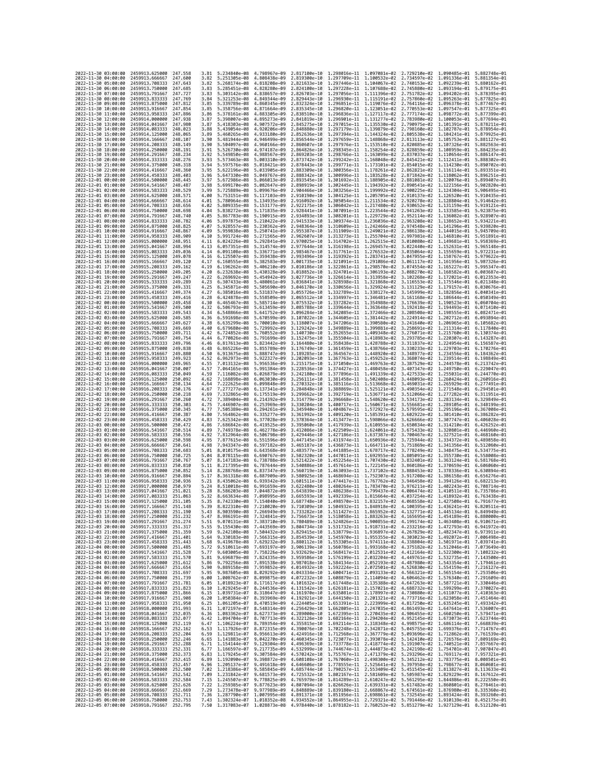| 2022-11-30 03:00:00                        |                                            | 2459913.625000                                   | 247,558             | 3.81         | 5.234840e-08                              | 4.798967e-09                 | 2.817100e-10 1.298016e-11 1.097081e-02                                                                                                                                                                                                                                                                                                       |                                                                     |              | 2.729210e-02 1.090485e-01 5.882748e-01                                               |                                                        |                              |
|--------------------------------------------|--------------------------------------------|--------------------------------------------------|---------------------|--------------|-------------------------------------------|------------------------------|----------------------------------------------------------------------------------------------------------------------------------------------------------------------------------------------------------------------------------------------------------------------------------------------------------------------------------------------|---------------------------------------------------------------------|--------------|--------------------------------------------------------------------------------------|--------------------------------------------------------|------------------------------|
| 2022-11-30 04:00:00                        |                                            | 2459913.666667                                   | 247.600             | 3.82         | 5.251305e-08                              | 4.808438e-09                 | 2.819300e-10                                                                                                                                                                                                                                                                                                                                 | 1.297709e-11 1.100532e-02                                           |              | 2.734597e-02                                                                         | 1.091336e-01                                           | 5.881354e-01                 |
| 2022-11-30 05:00:00                        |                                            | 2459913.708333                                   | 247.643             | 3.82         | 5.268174e-08                              | 4.818208e-09                 | 2.821633e-10                                                                                                                                                                                                                                                                                                                                 | 1.297446e-11 1.104067e-02                                           |              | 2.740153e-02                                                                         | 1.092239e-01                                           | 5.880162e-01                 |
| 2022-11-30 06:00:00<br>2022-11-30 07:00:00 |                                            | 2459913,750000<br>2459913.791667                 | 247.685<br>247,727  | 3.83<br>3.83 | 5.285451e-08 4.828280e-09<br>5.303142e-08 | 4.838657e-09                 | 2.824100e-10 1.297228e-11 1.107688e-02 2.745880e-02<br>2.826703e-10                                                                                                                                                                                                                                                                          | 1.297056e-11 1.111396e-02                                           |              | 2.751782e-02                                                                         | 1.093194e-01 5.879175e-01<br>1.094202e-01 5.878395e-01 |                              |
| 2022-11-30 08:00:00                        |                                            | 2459913.833333                                   | 247.769             | 3.84         | 5.321253e-08                              | 4.849344e-09                 | 2.829443e-10                                                                                                                                                                                                                                                                                                                                 | 1.296930e-11 1.115191e-02                                           |              | 2.757860e-02                                                                         | 1.095263e-01                                           | 5.877825e-01                 |
| 2022-11-30 09:00:00                        |                                            | 2459913.875000                                   | 247.812             | 3.85         | 5.339789e-08                              | 4.860345e-09                 | 2.832324e-10                                                                                                                                                                                                                                                                                                                                 | 1.296851e-11                                                        | 1.119076e-02 | 2.764116e-02                                                                         | 1.096378e-01                                           | 5.877467e-01                 |
| 2022-11-30 10:00:00                        |                                            | 2459913.916667                                   | 247.854             | 3.85         | 5.358756e-08                              | 4.871664e-09                 | 2.835345e-10                                                                                                                                                                                                                                                                                                                                 | 1.296820e-11 1.123051e-02                                           |              | 2.770553e-02                                                                         | 1.097547e-01                                           | 5.877325e-01                 |
| 2022-11-30 11:00:00<br>2022-11-30 12:00:00 |                                            | 2459913.958333<br>2459914,000000                 | 247.896<br>247.938  | 3.86<br>3.87 | 5.378161e-08<br>5.398007e-08              | 4.883305e-09<br>4.895273e-09 | 2.838510e-10<br>2.841819e-10                                                                                                                                                                                                                                                                                                                 | 1.296836e-11 1.127117e-02<br>1.296901e-11                           | 1.131277e-02 | 2.777174e-02<br>2.783980e-02                                                         | 1.098772e-01 5.877399e-01<br>1.100053e-01              | 5.877694e-01                 |
| 2022-11-30 13:00:00                        |                                            | 2459914.041667                                   | 247.980             | 3.87         | 5.418303e-08                              | 4.907572e-09                 | 2.845275e-10                                                                                                                                                                                                                                                                                                                                 | 1.297015e-11 1.135530e-02                                           |              | 2.790975e-02                                                                         | 1.101391e-01                                           | 5.878211e-01                 |
| 2022-11-30 14:00:00                        |                                            | 2459914.083333                                   | 248.023             | 3.88         | 5.439054e-08                              | 4.920206e-09                 | 2.848880e-10                                                                                                                                                                                                                                                                                                                                 | 1.297179e-11 1.139879e-02                                           |              | 2.798160e-02                                                                         | 1.102787e-01                                           | 5.878954e-01                 |
| 2022-11-30 15:00:00                        |                                            | 2459914.125000                                   | 248,065             | 3.89         | 5.460265e-08                              | 4.933180e-09                 | 2.852636e-10                                                                                                                                                                                                                                                                                                                                 | 1.297394e-11 1.144324e-02                                           |              | 2.805538e-02                                                                         | 1.104241e-01                                           | 5.879925e-01                 |
| 2022-11-30 16:00:00<br>2022-11-30 17:00:00 |                                            | 2459914.166667<br>2459914.208333                 | 248.107<br>248.149  | 3.90<br>3.90 | 5.481944e-08<br>5.504097e-08              | 4.946499e-09<br>4.960166e-09 | 2.856544e-10<br>2.860607e-10                                                                                                                                                                                                                                                                                                                 | 1.297659e-11<br>1.297976e-11 1.153510e-02                           | 1.148868e-02 | 2.813113e-02<br>2.820885e-02                                                         | 1.105753e-01<br>1.107326e-01                           | 5.881127e-01<br>5.882563e-01 |
| 2022-11-30 18:00:00                        |                                            | 2459914.250000                                   | 248, 191            | 3.91         | 5.526730e-08                              | 4.974187e-09                 | 2.864826e-10                                                                                                                                                                                                                                                                                                                                 | 1.298345e-11 1.158254e-02                                           |              | 2.828859e-02                                                                         | 1.108959e-01                                           | 5.884235e-01                 |
| 2022-11-30 19:00:00                        |                                            | 2459914.291667                                   | 248.234             | 3.92         | 5.549850e-08                              | 4.988567e-09                 | 2.869203e-10                                                                                                                                                                                                                                                                                                                                 | 1.298766e-11 1.163099e-02                                           |              | 2.837037e-02                                                                         | 1.110654e-01                                           | 5.886147e-01                 |
| 2022-11-30 20:00:00                        |                                            | 2459914, 333333                                  | 248,276             | 3.93         | 5.573463e-08                              | 5.003310e-09                 | 2.873742e-10                                                                                                                                                                                                                                                                                                                                 | 1.299242e-11 1.168048e-02                                           |              | 2.845421e-02                                                                         | 1.112411e-01                                           | 5.888302e-01                 |
| 2022-11-30 21:00:00<br>2022-11-30 22:00:00 |                                            | 2459914.375000<br>2459914,416667                 | 248, 318<br>248,360 | 3.94<br>3.95 | 5.597576e-08<br>5.622196e-08              | 5.018421e-09<br>5.033905e-09 | 2.878443e-10                                                                                                                                                                                                                                                                                                                                 | 1.299771e-11 1.173101e-02                                           |              | 2.854015e-02<br>2.862821e-02                                                         | 1.114230e-01<br>1.116114e-01 5.893351e-01              | 5.890702e-01                 |
| 2022-11-30 23:00:00                        |                                            | 2459914.458333                                   | 248.403             | 3.96         | 5.647330e-08                              | 5.049767e-09                 | 2.883309e-10<br>2.888342e-10                                                                                                                                                                                                                                                                                                                 | 1.300356e-11 1.178261e-02<br>1.300996e-11                           | 1.183528e-02 | 2.871842e-02                                                                         | 1.118062e-01                                           | 5.896251e-01                 |
| 2022-12-01 00:00:00                        |                                            | 2459914,500000                                   | 248,445             | 3.97         | 5.672986e-08                              | 5.066013e-09                 | 2.893545e-10                                                                                                                                                                                                                                                                                                                                 | 1.301692e-11 1.188905e-02                                           |              | 2.881081e-02                                                                         | 1.120076e-01                                           | 5.899407e-01                 |
| 2022-12-01 01:00:00                        |                                            | 2459914.541667                                   | 248.487             | 3.98         | 5.699170e-08                              | 5.082647e-09                 | 2.898919e-10                                                                                                                                                                                                                                                                                                                                 | 1.302445e-11 1.194392e-02                                           |              | 2.890541e-02                                                                         | 1.122156e-01                                           | 5.902820e-01                 |
| 2022-12-01 02:00:00                        |                                            | 2459914.583333                                   | 248.529             | 3.99         | 5.725889e-08                              | 5.099676e-09                 | 2.904466e-10                                                                                                                                                                                                                                                                                                                                 | 1.303256e-11 1.199992e-02                                           |              | 2.900225e-02                                                                         | 1.124304e-01                                           | 5.906495e-01                 |
| 2022-12-01 03:00:00<br>2022-12-01 04:00:00 |                                            | 2459914.625000<br>2459914.666667                 | 248.571<br>248.614  | 4.00<br>4.01 | 5.753151e-08<br>5.780964e-08              | 5.117103e-09<br>5.134935e-09 | 2.910190e-10<br>2.916092e-10                                                                                                                                                                                                                                                                                                                 | 1.304125e-11 1.205705e-02<br>1.305054e-11 1.211534e-02              |              | 2.910137e-02<br>2.920278e-02                                                         | 1.126520e-01<br>1.128804e-01                           | 5.910435e-01<br>5.914642e-01 |
| 2022-12-01 05:00:00                        |                                            | 2459914.708333                                   | 248.656             | 4.02         | 5.809335e-08                              | 5.153177e-09                 | 2.922175e-10                                                                                                                                                                                                                                                                                                                                 | 1.306042e-11 1.217480e-02                                           |              | 2.930652e-02                                                                         | 1.131159e-01                                           | 5.919121e-01                 |
| 2022-12-01 06:00:00                        |                                            | 2459914.750000                                   | 248.698             | 4.04         | 5.838272e-08                              | 5.171835e-09                 | 2.928441e-10                                                                                                                                                                                                                                                                                                                                 | 1.307091e-11                                                        | 1.223544e-02 | 2.941263e-02                                                                         | 1.133585e-01                                           | 5.923875e-01                 |
| 2022-12-01 07:00:00                        |                                            | 2459914,791667                                   | 248,740             | 4.05         | 5.867783e-08                              | 5.190915e-09                 | 2.934893e-10                                                                                                                                                                                                                                                                                                                                 | 1.308201e-11 1.229729e-02                                           |              | 2.952114e-02                                                                         | 1.136082e-01                                           | 5.928907e-01                 |
| 2022-12-01 08:00:00<br>2022-12-01 09:00:00 |                                            | 2459914.833333<br>2459914.875000                 | 248.782<br>248.825  | 4.06<br>4.07 | 5.897875e-08<br>5.928557e-08              | 5.210422e-09<br>5.230362e-09 | 2.941533e-10<br>2.948364e-10                                                                                                                                                                                                                                                                                                                 | 1.309374e-11 1.236036e-02<br>1.310609e-11 1.242466e-02              |              | 2.963208e-02<br>2.974548e-02                                                         | 1.138652e-01<br>1.141296e-01                           | 5.934221e-01<br>5.939820e-01 |
| 2022-12-01 10:00:00                        |                                            | 2459914.916667                                   | 248.867             | 4.09         | 5.959838e-08                              | 5.250741e-09                 | 2.955387e-10                                                                                                                                                                                                                                                                                                                                 | 1.311909e-11                                                        | 1.249021e-02 | 2.986138e-02                                                                         | 1.144015e-01                                           | 5.945709e-01                 |
| 2022-12-01 11:00:00                        |                                            | 2459914.958333                                   | 248.909             | 4.10         | 5.991724e-08                              | 5.271565e-09                 | 2.962607e-10 1.313273e-11 1.255704e-02                                                                                                                                                                                                                                                                                                       |                                                                     |              | 2.997981e-02                                                                         | 1.146810e-01                                           | 5.951891e-01                 |
| 2022-12-01 12:00:00                        |                                            | 2459915.000000                                   | 248.951             | 4.11         | 6.024226e-08                              | 5.292841e-09                 | 2.970025e-10 1.314702e-11 1.262515e-02                                                                                                                                                                                                                                                                                                       |                                                                     |              | 3.010080e-02 1.149681e-01 5.958369e-01                                               |                                                        |                              |
| 2022-12-01 13:00:00<br>2022-12-01 14:00:00 |                                            | 2459915.041667<br>2459915.083333                 | 248.994<br>249.036  | 4.13<br>4.14 | 6.057351e-08<br>6.091108e-08              | 5.314574e-09<br>5.336771e-09 | 2.977644e-10<br>2.985467e-10                                                                                                                                                                                                                                                                                                                 | 1.316198e-11 1.269457e-02<br>1.317761e-11                           | 1.276532e-02 | 3.022440e-02<br>3.035064e-02                                                         | 1.152631e-01<br>1.155659e-01                           | 5.965148e-01<br>5.972231e-01 |
| 2022-12-01 15:00:00                        |                                            | 2459915.125000                                   | 249.078             | 4.16         | 6.125507e-08                              | 5.359438e-09                 | 2.993496e-10                                                                                                                                                                                                                                                                                                                                 | 1.319392e-11 1.283741e-02                                           |              | 3.047955e-02                                                                         | 1.158767e-01                                           | 5.979622e-01                 |
| 2022-12-01 16:00:00                        |                                            | 2459915.166667                                   | 249,120             | 4.17         | 6.160555e-08                              | 5.382583e-09                 | 3.001735e-10                                                                                                                                                                                                                                                                                                                                 | 1.321091e-11 1.291086e-02                                           |              | 3.061117e-02                                                                         | 1.161956e-01                                           | 5.987326e-01                 |
| 2022-12-01 17:00:00                        |                                            | 2459915.208333                                   | 249.162             | 4.19         | 6.196262e-08                              | 5.406210e-09                 | 3.010186e-10                                                                                                                                                                                                                                                                                                                                 | 1.322861e-11                                                        | 1.298570e-02 | 3.074554e-02                                                                         | 1.165227e-01                                           | 5.995347e-01                 |
| 2022-12-01 18:00:00<br>2022-12-01 19:00:00 |                                            | 2459915,250000<br>2459915.291667                 | 249,205<br>249.247  | 4.20<br>4.22 | 6.232638e-08<br>6.269692e-08              | 5.430328e-09<br>5.454942e-09 | 3.018852e-10<br>3.027736e-10                                                                                                                                                                                                                                                                                                                 | 1.324701e-11 1.306193e-02<br>1.326614e-11 1.313958e-02              |              | 3.088270e-02<br>3.102268e-02                                                         | 1.168582e-01 6.003687e-01<br>1.172021e-01              | 6.012353e-01                 |
| 2022-12-01 20:00:00                        |                                            | 2459915.333333                                   | 249.289             | 4.23         | 6.307433e-08                              | 5.480061e-09                 | 3.036841e-10                                                                                                                                                                                                                                                                                                                                 | 1.328598e-11 1.321868e-02                                           |              | 3.116553e-02                                                                         | 1.175546e-01                                           | 6.021348e-01                 |
| 2022-12-01 21:00:00                        |                                            | 2459915.375000                                   | 249.331             | 4.25         | 6.345871e-08                              | 5.505690e-09                 | 3.046170e-10                                                                                                                                                                                                                                                                                                                                 | 1.330656e-11                                                        | 1.329924e-02 | 3.131129e-02                                                                         | 1.179157e-01                                           | 6.030676e-01                 |
| 2022-12-01 22:00:00                        |                                            | 2459915.416667                                   | 249.374             | 4.27         | 6.385016e-08                              | 5.531837e-09                 | 3.055726e-10                                                                                                                                                                                                                                                                                                                                 | 1.332789e-11 1.338127e-02 3.145999e-02                              |              |                                                                                      | 1.182856e-01 6.040341e-01                              |                              |
| 2022-12-01 23:00:00<br>2022-12-02 00:00:00 |                                            | 2459915.458333                                   | 249.416             | 4.28         | 6.424878e-08                              | 5.558509e-09                 | 3.065512e-10                                                                                                                                                                                                                                                                                                                                 | 1.334997e-11 1.346481e-02<br>1.337282e-11 1.354988e-02              |              | 3.161168e-02                                                                         | 1.186644e-01                                           | 6.050349e-01<br>6.060704e-01 |
| 2022-12-02 01:00:00                        |                                            | 2459915.500000<br>2459915.541667                 | 249.458<br>249,500  | 4.30<br>4.32 | 6.465467e-08<br>6.506793e-08              | 5.585714e-09<br>5.613459e-09 | 3.075532e-10<br>3.085788e-10                                                                                                                                                                                                                                                                                                                 | 1.339644e-11 1.363648e-02                                           |              | 3.176639e-02<br>3.192418e-02                                                         | 1.190523e-01<br>1.194493e-01                           | 6.071410e-01                 |
| 2022-12-02 02:00:00                        |                                            | 2459915.583333                                   | 249.543             | 4.34         | 6.548866e-08                              | 5.641752e-09                 | 3.096284e-10                                                                                                                                                                                                                                                                                                                                 | 1.342085e-11 1.372466e-02                                           |              | 3.208508e-02                                                                         | 1.198555e-01                                           | 6.082471e-01                 |
| 2022-12-02 03:00:00                        |                                            | 2459915.625000                                   | 249.585             | 4.36         | 6.591698e-08                              | 5.670599e-09                 | 3.107022e-10                                                                                                                                                                                                                                                                                                                                 | 1.344605e-11 1.381442e-02                                           |              | 3.224914e-02                                                                         | 1.202712e-01 6.093894e-01                              |                              |
| 2022-12-02 04:00:00                        |                                            | 2459915.666667                                   | 249.627             | 4.38         | 6.635299e-08                              | 5.700010e-09                 | 3.118007e-10                                                                                                                                                                                                                                                                                                                                 | 1.347206e-11                                                        | 1.390580e-02 | 3.241640e-02                                                                         | 1.206965e-01                                           | 6.105682e-01                 |
| 2022-12-02 05:00:00<br>2022-12-02 06:00:00 |                                            | 2459915.708333<br>2459915.750000                 | 249.669<br>249.711  | 4.40<br>4.42 | 6.679680e-08<br>6.724852e-08              | 5.729992e-09<br>5.760552e-09 | 3.129242e-10<br>3.140730e-10                                                                                                                                                                                                                                                                                                                 | 1.349889e-11 1.399881e-02 3.258691e-02<br>1.352655e-11 1.409348e-02 |              | 3.276071e-02                                                                         | 1.211314e-01<br>1.215760e-01                           | 6.117840e-01<br>6.130374e-01 |
| 2022-12-02 07:00:00                        |                                            | 2459915.791667                                   | 249.754             | 4.44         | 6.770826e-08                              | 5.791699e-09                 | 3.152475e-10                                                                                                                                                                                                                                                                                                                                 | 1.355504e-11 1.418983e-02                                           |              | 3.293785e-02                                                                         | 1.220307e-01                                           | 6.143287e-01                 |
| 2022-12-02 08:00:00                        |                                            | 2459915.833333                                   | 249,796             | 4.46         | 6.817613e-08                              | 5.823442e-09                 | 3.164480e-10                                                                                                                                                                                                                                                                                                                                 | 1.358438e-11 1.428788e-02                                           |              | 3.311837e-02                                                                         | 1.224954e-01                                           | 6.156587e-01                 |
| 2022-12-02 09:00:00                        |                                            | 2459915.875000                                   | 249.838             | 4.48         | 6.865226e-08                              | 5.855789e-09                 | 3.176749e-10                                                                                                                                                                                                                                                                                                                                 | 1.361459e-11 1.438766e-02 3.330233e-02                              |              |                                                                                      | 1.229703e-01 6.170276e-01                              |                              |
| 2022-12-02 10:00:00<br>2022-12-02 11:00:00 |                                            | 2459915.916667<br>2459915.958333                 | 249,880<br>249.923  | 4.50<br>4.52 | 6.913675e-08<br>6.962973e-08              | 5.888747e-09<br>5.922327e-09 | 3.189285e-10<br>3.202093e-10                                                                                                                                                                                                                                                                                                                 | 1.364567e-11 1.448920e-02<br>1.367763e-11 1.459252e-02              |              | 3.348977e-02<br>3.368074e-02                                                         | 1.234556e-01 6.184362e-01<br>1.239514e-01              | 6.198849e-01                 |
| 2022-12-02 12:00:00                        |                                            | 2459916.000000                                   | 249,965             | 4.55         | 7.013132e-08                              | 5.956536e-09                 | 3.215175e-10                                                                                                                                                                                                                                                                                                                                 | 1.371050e-11                                                        | 1.469763e-02 | 3.387529e-02                                                                         | 1.244578e-01                                           | 6.213742e-01                 |
| 2022-12-02 13:00:00                        |                                            | 2459916.041667                                   | 250.007             | 4.57         | 7.064165e-08                              | 5.991384e-09                 | 3.228536e-10                                                                                                                                                                                                                                                                                                                                 | 1.374427e-11                                                        | 1.480458e-02 | 3.407347e-02                                                                         | 1.249750e-01                                           | 6.229047e-01                 |
| 2022-12-02 14:00:00                        |                                            | 2459916.083333                                   | 250.049             | 4.59         | 7.116082e-08                              | 6.026879e-09                 | 3.242180e-10                                                                                                                                                                                                                                                                                                                                 | 1.377896e-11 1.491339e-02                                           |              | 3.427533e-02                                                                         | 1.255031e-01 6.244770e-01                              |                              |
| 2022-12-02 15:00:00<br>2022-12-02 16:00:00 |                                            | 2459916.125000<br>2459916,166667                 | 250.092<br>250,134  | 4.62<br>4.64 | 7.168898e-08<br>7.222625e-08              | 6.063030e-09<br>6.099848e-09 | 3.256111e-10<br>3.270332e-10                                                                                                                                                                                                                                                                                                                 | 1.381458e-11<br>1.385116e-11 1.513668e-02                           | 1.502408e-02 | 3.448093e-02<br>3.469031e-02                                                         | 1,260424e-01<br>1.265929e-01 6.277491e-01              | 6.260916e-01                 |
| 2022-12-02 17:00:00                        |                                            | 2459916.208333                                   | 250.176             | 4.67         | 7.277277e-08                              | 6.137341e-09                 | 3.284848e-10                                                                                                                                                                                                                                                                                                                                 | 1.388869e-11 1.525121e-02                                           |              | 3.490354e-02                                                                         | 1.271548e-01                                           | 6.294501e-01                 |
| 2022-12-02 18:00:00                        |                                            | 2459916.250000                                   | 250.218             | 4.69         | 7.332865e-08                              | 6.175519e-09                 | 3.299662e-10                                                                                                                                                                                                                                                                                                                                 | 1.392719e-11 1.536771e-02                                           |              | 3.512066e-02                                                                         | 1.277282e-01                                           | 6.311951e-01                 |
| 2022-12-02 19:00:00                        |                                            | 2459916.291667                                   | 250.260             | 4.72         | 7.389404e-08                              | 6.214392e-09                 | 3.314779e-10                                                                                                                                                                                                                                                                                                                                 | 1.396668e-11 1.548620e-02                                           |              | 3.534173e-02                                                                         | 1.283134e-01                                           | 6.329849e-01                 |
| 2022-12-02 20:00:00                        |                                            | 2459916.333333                                   | 250.303             | 4.75<br>4.77 | 7.446907e-08                              | 6.253969e-09                 | 3.330204e-10                                                                                                                                                                                                                                                                                                                                 | 1.400717e-11 1.560671e-02 3.556681e-02                              |              |                                                                                      | 1.289105e-01                                           | 6.348199e-01                 |
| 2022-12-02 21:00:00<br>2022-12-02 22:00:00 |                                            | 2459916.375000<br>2459916.416667                 | 250.345<br>250.387  | 4.80         | 7.505389e-08<br>7.564862e-08              | 6.294261e-09<br>6.335277e-09 | 3.345940e-10<br>3.361992e-10                                                                                                                                                                                                                                                                                                                 | 1.404867e-11 1.572927e-02<br>1.409120e-11 1.585391e-02              |              | 3.579595e-02<br>3.602922e-02                                                         | 1.295196e-01 6.367008e-01<br>1.301410e-01              | 6.386282e-01                 |
| 2022-12-02 23:00:00                        |                                            | 2459916.458333                                   | 250.429             | 4.83         | 7.625342e-08                              | 6.377028e-09                 | 3.378364e-10                                                                                                                                                                                                                                                                                                                                 | 1.413477e-11 1.598066e-02                                           |              | 3.626666e-02                                                                         | 1.307747e-01                                           | 6.406028e-01                 |
| 2022-12-03 00:00:00                        |                                            | 2459916.500000                                   | 250.472             | 4.86         | 7.686842e-08                              | 6.419525e-09                 | 3.395060e-10                                                                                                                                                                                                                                                                                                                                 | 1.417939e-11 1.610955e-02                                           |              | 3.650834e-02                                                                         | 1.314210e-01 6.426252e-01                              |                              |
| 2022-12-03 01:00:00                        |                                            | 2459916.541667                                   | 250.514             | 4.89         | 7.749378e-08                              | 6.462778e-09                 | 3.412086e-10                                                                                                                                                                                                                                                                                                                                 | 1.422509e-11 1.624061e-02                                           |              | 3.675433e-02                                                                         | 1.320801e-01 6.446960e-01                              |                              |
| 2022-12-03 02:00:00<br>2022-12-03 03:00:00 |                                            | 2459916.583333<br>2459916.625000                 | 250.556<br>250,598  | 4.92<br>4.95 | 7.812964e-08<br>7.877615e-08              | 6.506798e-09<br>6.551596e-09 | 3.429446e-10<br>3.447145e-10                                                                                                                                                                                                                                                                                                                 | 1.427186e-11<br>1.431974e-11 1.650936e-02                           | 1.637387e-02 | 3.700467e-02<br>3.725944e-02                                                         | 1.327521e-01<br>1.334372e-01                           | 6.468160e-01<br>6.489858e-01 |
| 2022-12-03 04:00:00                        |                                            | 2459916.666667                                   | 250.641             | 4.98         | 7.943347e-08                              | 6.597182e-09                 | 3.465187e-10                                                                                                                                                                                                                                                                                                                                 | 1.436873e-11 1.664711e-02                                           |              | 3.751869e-02                                                                         | 1.341356e-01                                           | 6.512060e-01                 |
| 2022-12-03 05:00:00                        |                                            | 2459916,708333                                   | 250.683             | 5.01         | 8.010175e-08                              | 6.643568e-09                 | 3.483577e-10                                                                                                                                                                                                                                                                                                                                 | 1.441885e-11 1.678717e-02                                           |              | 3.778249e-02                                                                         | 1.348475e-01                                           | 6.534775e-01                 |
| 2022-12-03 06:00:00                        |                                            | 2459916.750000                                   | 250.725             | 5.04         | 8.078115e-08                              | 6.690767e-09                 | 3.502320e-10                                                                                                                                                                                                                                                                                                                                 | 1.447011e-11 1.692955e-02                                           |              | 3.805091e-02                                                                         | 1.355730e-01                                           | 6.558008e-01                 |
| 2022-12-03 07:00:00<br>2022-12-03 08:00:00 |                                            | 2459916.791667<br>2459916.833333                 | 250.767<br>250,810  | 5.07<br>5.11 | 8.147183e-08<br>8.217395e-08              | 6.738788e-09<br>6.787644e-09 | 3.521422e-10<br>3.540886e-10                                                                                                                                                                                                                                                                                                                 | 1.452254e-11 1.707430e-02<br>1.457614e-11 1.722145e-02              |              | 3.832401e-02<br>3.860186e-02                                                         | 1.363124e-01 6.581768e-01<br>1.370659e-01              | 6.606060e-01                 |
| 2022-12-03 09:00:00                        |                                            | 2459916.875000                                   | 250.852             | 5.14         | 8.288768e-08                              | 6.837347e-09                 | 3.560719e-10                                                                                                                                                                                                                                                                                                                                 | 1.463093e-11                                                        | 1.737102e-02 | 3.888453e-02                                                                         | 1,378336e-01                                           | 6.630894e-01                 |
| 2022-12-03 10:00:00                        |                                            | 2459916.916667                                   | 250.894             | 5.17         | 8.361318e-08                              | 6.887909e-09                 | 3.580925e-10                                                                                                                                                                                                                                                                                                                                 | 1.468694e-11 1.752307e-02                                           |              | 3.917208e-02                                                                         | 1.386158e-01                                           | 6.656276e-01                 |
| 2022-12-03 11:00:00                        |                                            | 2459916.958333                                   | 250.936             | 5.21         | 8.435062e-08                              | 6.939342e-09<br>6.991659e-09 | 3.601511e-10                                                                                                                                                                                                                                                                                                                                 |                                                                     |              |                                                                                      |                                                        | 6.682213e-01                 |
| 2022-12-03 12:00:00<br>2022-12-03 13:00:00 |                                            | 2459917,000000<br>2459917.041667                 | 250.979<br>251.021  | 5.24<br>5.28 | 8.510018e-08                              |                              |                                                                                                                                                                                                                                                                                                                                              | 1.474417e-11 1.767762e-02                                           |              | 3.946458e-02                                                                         | 1,394126e-01                                           |                              |
| 2022-12-03 14:00:00                        |                                            |                                                  |                     |              |                                           |                              | 3.622480e-10                                                                                                                                                                                                                                                                                                                                 | 1.480264e-11 1.783470e-02                                           |              | 3.976211e-02                                                                         | 1.402243e-01                                           | 6.708714e-01                 |
| 2022-12-03 15:00:00                        |                                            | 2459917.083333                                   | 251.063             | 5.32         | 8.586203e-08<br>8.663634e-08              | 7.044872e-09<br>7.098995e-09 | 3.643839e-10<br>3.665593e-10                                                                                                                                                                                                                                                                                                                 | 1.486238e-11                                                        | 1.799437e-02 | 4.006474e-02<br>1.492339e-11  1.815664e-02  4.037254e-02  1.418932e-01  6.763438e-01 | 1.410511e-01                                           | 6.735786e-01                 |
|                                            |                                            | 2459917.125000                                   | 251,105             | 5.35         | 8.742330e-08 7.154040e-09                 |                              | 3.687748e-10 1.498570e-11 1.832157e-02 4.068558e-02 1.427508e-01 6.791677e-01                                                                                                                                                                                                                                                                |                                                                     |              |                                                                                      |                                                        |                              |
| 2022                                       | 2022-12-03 16:00:00                        | 2459917,166667                                   | 251,148             | 5.39         | 8.822310e-08 7.210020e-09                 |                              | 3.710309e-10 1.504932e-11 1.848918e-02 4.100395e-02 1.436241e-01 6.820511e-01                                                                                                                                                                                                                                                                |                                                                     |              |                                                                                      |                                                        |                              |
|                                            | -12-03 17:00:00                            | 2459917.208333                                   | 251.190             |              | 8.903590e-08                              | 7.266949e-09                 | 3.733282e-10                                                                                                                                                                                                                                                                                                                                 | 1.511427e-11                                                        | 1.865952e-02 | 4.132771e-02                                                                         | 1.445134e-01                                           | 6.849949e-01                 |
|                                            | 2022-12-03 18:00:00<br>2022-12-03 19:00:00 | 2459917.250000 251.232<br>2459917.291667 251.274 |                     | 5.47<br>5.51 |                                           |                              | 8.986191e-08 7.324841e-09 3.756673e-10 1.518058e-11 1.883263e-02 4.165695e-02 1.454189e-01 6.880000e-01<br>9.070131e-08 7.383710e-09 3.780489e-10 1.524826e-11 1.900855e-02 4.199174e-02 1.463408e-01 6.910671e-01                                                                                                                           |                                                                     |              |                                                                                      |                                                        |                              |
| 2022-12-03 20:00:00                        |                                            | 2459917.333333 251.317                           |                     | 5.55         |                                           |                              | 9.155430e-08 7.443569e-09 3.804734e-10 1.531732e-11 1.918731e-02 4.233216e-02 1.472793e-01 6.941972e-01                                                                                                                                                                                                                                      |                                                                     |              |                                                                                      |                                                        |                              |
| 2022-12-03 21:00:00                        |                                            | 2459917.375000 251.359                           |                     |              |                                           |                              | 5.59 9.242108e-08 7.504432e-09 3.829415e-10 1.538779e-11 1.936897e-02 4.267829e-02 1.482347e-01 6.973911e-01                                                                                                                                                                                                                                 |                                                                     |              |                                                                                      |                                                        |                              |
| 2022-12-03 22:00:00                        |                                            | 2459917.416667 251.401                           |                     | 5.64         |                                           |                              | 9.330183e-08 7.566315e-09 3.854539e-10 1.545970e-11 1.955355e-02 4.303023e-02 1.492072e-01 7.006498e-01                                                                                                                                                                                                                                      |                                                                     |              |                                                                                      |                                                        |                              |
| 2022-12-03 23:00:00<br>2022-12-04 00:00:00 |                                            | 2459917.458333 251.443<br>2459917.500000 251.485 |                     | 5.68<br>5.72 |                                           |                              | 9.419678e-08 7.629232e-09 3.880112e-10 1.553305e-11 1.974111e-02 4.338804e-02 1.501971e-01 7.039741e-01<br>9.510611e-08 7.693197e-09 3.906139e-10 1.560786e-11 1.993168e-02 4.375182e-02 1.512046e-01 7.039741e-01                                                                                                                           |                                                                     |              |                                                                                      |                                                        |                              |
| 2022-12-04 01:00:00                        |                                            | 2459917.541667 251.528                           |                     | 5.77         |                                           |                              | 9.603005e-08 7.758226e-09 3.932629e-10 1.568417e-11 2.012531e-02 4.412164e-02 1.522300e-01 7.108232e-01                                                                                                                                                                                                                                      |                                                                     |              |                                                                                      |                                                        |                              |
| 2022-12-04 02:00:00                        |                                            | 2459917.583333 251.570                           |                     |              |                                           |                              | 5.81 9.696879e-08 7.824335e-09 3.959586e-10 1.576199e-11 2.032204e-02 4.449761e-02 1.532735e-01 7.143500e-01                                                                                                                                                                                                                                 |                                                                     |              |                                                                                      |                                                        |                              |
| 2022-12-04 03:00:00                        |                                            | 2459917.625000                                   | 251.612             |              |                                           |                              |                                                                                                                                                                                                                                                                                                                                              |                                                                     |              |                                                                                      |                                                        |                              |
| 2022-12-04 04:00:00<br>2022-12-04 05:00:00 |                                            | 2459917.666667 251.654<br>2459917.708333 251.697 |                     |              |                                           |                              | 5.86 9.792256e-08 7.891538e-09 3.987018e-10 1.584134e-11 2.052193e-02 4.487980e-02 1.543354e-01 7.179461e-01<br>5.90 9.889158e-08 7.959852e-09 4.014932e-10 1.592224e-11 2.072501e-02 4.526830e-02 1.554159e-01 7.216127e-01<br>5.95 9.987605e-08 8.029292e-09 4.043334e-10 1.600471e-11 2.093133e-02 4.566321e-02 1.565154e-01 7.253506e-01 |                                                                     |              |                                                                                      |                                                        |                              |
| 2022-12-04 06:00:00                        |                                            | 2459917.750000 251.739                           |                     |              |                                           |                              | 6.00 1.008762e-07 8.099875e-09 4.072232e-10 1.608879e-11 2.114094e-02 4.606462e-02 1.576340e-01 7.291609e-01                                                                                                                                                                                                                                 |                                                                     |              |                                                                                      |                                                        |                              |
| 2022-12-04 07:00:00                        |                                            | 2459917.791667 251.781                           |                     |              |                                           |                              | 6.05 1.018923e-07 8.171617e-09 4.101632e-10 1.617448e-11 2.135388e-02 4.647263e-02 1.587721e-01 7.330446e-01                                                                                                                                                                                                                                 |                                                                     |              |                                                                                      |                                                        |                              |
| 2022-12-04 08:00:00                        |                                            | 2459917.833333 251.823                           |                     |              |                                           |                              | 6.10 1.029245e-07 8.244536e-09 4.131542e-10 1.626181e-11 2.157021e-02 4.688732e-02 1.599299e-01 7.370027e-01                                                                                                                                                                                                                                 |                                                                     |              |                                                                                      |                                                        |                              |
| 2022-12-04 09:00:00<br>2022-12-04 10:00:00 |                                            | 2459917.875000 251.866<br>2459917.916667 251.908 |                     |              |                                           |                              | 6.15 1.039731e-07 8.318647e-09 4.161970e-10 1.635081e-11 2.178997e-02 4.730880e-02 1.611077e-01 7.410363e-01                                                                                                                                                                                                                                 |                                                                     |              |                                                                                      |                                                        |                              |
| 2022-12-04 11:00:00                        |                                            | 2459917.958333 251.950                           |                     |              |                                           |                              | 6.20 1.050384e-07 8.393969e-09 4.192921e-10 1.644150e-11 2.201321e-02 4.773716e-02 1.623058e-01 7.451464e-01<br>6.25 1.061205e-07 8.470519e-09 4.224405e-10 1.653391e-11 2.223999e-02 4.817250e-02 1.635245e-01 7.493342e-01                                                                                                                 |                                                                     |              |                                                                                      |                                                        |                              |
| 2022-12-04 12:00:00                        |                                            | 2459918.000000 251.993                           |                     |              |                                           |                              | 6.31 1.072197e-07 8.548314e-09 4.256429e-10 1.662805e-11 2.247035e-02 4.861493e-02 1.647641e-01 7.536007e-01                                                                                                                                                                                                                                 |                                                                     |              |                                                                                      |                                                        |                              |
| 2022-12-04 13:00:00                        |                                            | 2459918.041667 252.035                           |                     |              |                                           |                              | 6.36 1.083362e-07 8.627373e-09 4.289000e-10 1.672395e-11 2.270435e-02 4.906455e-02 1.660250e-01 7.579471e-01                                                                                                                                                                                                                                 |                                                                     |              |                                                                                      |                                                        |                              |
| 2022-12-04 14:00:00<br>2022-12-04 15:00:00 |                                            | 2459918.083333 252.077<br>2459918.125000 252.119 |                     |              |                                           |                              | 6.42 1.094704e-07 8.707713e-09 4.322126e-10 1.682164e-11 2.294204e-02 4.952145e-02 1.673073e-01 7.623744e-01 6.47 1.106224e-07 8.707713e-09 4.355815e-10 1.68214e-11 2.294204e-02 4.952145e-02 1.673073e-01 7.623744e-01                                                                                                                     |                                                                     |              |                                                                                      |                                                        |                              |
| 2022-12-04 16:00:00                        |                                            | 2459918.166667 252.162                           |                     |              |                                           |                              | 6.53 1.117926e-07 8.872315e-09 4.390076e-10 1.702248e-11 2.342871e-02 5.045755e-02 1.699376e-01 7.714767e-01                                                                                                                                                                                                                                 |                                                                     |              |                                                                                      |                                                        |                              |
| 2022-12-04 17:00:00                        |                                            | 2459918.208333 252.204                           |                     |              |                                           |                              | 6.59 1.129811e-07 8.956613e-09 4.424916e-10 1.712568e-11 2.367779e-02 5.093696e-02 1.712862e-01 7.761539e-01                                                                                                                                                                                                                                 |                                                                     |              |                                                                                      |                                                        |                              |
| 2022-12-04 18:00:00                        |                                            | 2459918.250000                                   | 252.246             |              |                                           |                              | 6.65 1.141883e-07 9.042270e-09 4.460345e-10 1.723077e-11 2.393078e-02 5.142410e-02 1.726576e-01 7.809169e-01                                                                                                                                                                                                                                 |                                                                     |              |                                                                                      |                                                        |                              |
| 2022-12-04 19:00:00<br>2022-12-04 20:00:00 |                                            | 2459918.291667 252.288<br>2459918.333333 252.331 |                     |              |                                           |                              | 0.11 1154144e-07 9.129304e-09 4.496369e-10 1.733778e-11 2.418774e-02 5.191907e-02 1.740521e-01 7.857667e-01<br>6.77 1.156597e-07 9.217735e-09 4.532999e-10 1.744674e-11 2.418774e-02 5.242198e-02 1.754701e-01 7.987667e-01                                                                                                                  |                                                                     |              |                                                                                      |                                                        |                              |
| 2022-12-04 21:00:00                        |                                            | 2459918.375000 252.373                           |                     |              |                                           |                              |                                                                                                                                                                                                                                                                                                                                              |                                                                     |              |                                                                                      |                                                        |                              |
| 2022-12-04 22:00:00                        |                                            | 2459918.416667                                   | 252,415             |              |                                           |                              | $\begin{array}{cccccccc} 6.83 & 1.179245e-07 & 9.307584e-09 & 4.570242e-10 & 1.755767e-11 & 2.471379e-02 & 5.293296e-02 & 1.769117e-01 & 7.957321e-01 \\ 6.89 & 1.192090e-07 & 9.398872e-09 & 4.608108e-10 & 1.767060e-11 & 2.498300e-02 & 5.345212e-02 & 1.7$                                                                               |                                                                     |              |                                                                                      |                                                        |                              |
| 2022-12-04 23:00:00                        |                                            | 2459918.458333 252.457                           |                     |              |                                           |                              | 6.96 1.205137e-07 9.491618e-09 4.646606e-10 1.778555e-11 2.525641e-02 5.397958e-02 1.798677e-01 8.060601e-01                                                                                                                                                                                                                                 |                                                                     |              |                                                                                      |                                                        |                              |
| 2022-12-05 00:00:00<br>2022-12-05 01:00:00 |                                            | 2459918.500000 252.500<br>2459918.541667         | 252.542             |              |                                           |                              |                                                                                                                                                                                                                                                                                                                                              |                                                                     |              |                                                                                      |                                                        |                              |
| 2022-12-05 02:00:00                        |                                            | 2459918.583333 252.584                           |                     |              |                                           |                              | 0.02 1.218386e-07 9.585845e-09 4.765744e-10 1.790257e-11 2.553409e-02 5.451545e-02 1.813827e-01 8.113633e-01<br>1.09 1.218386e-07 9.681573e-09 4.7655744e-10 1.802167e-11 2.553409e-02 5.451545e-02 1.829229e-01 8.167612e-01<br>7.1                                                                                                         |                                                                     |              |                                                                                      |                                                        |                              |
| 2022-12-05 03:00:00                        |                                            | 2459918.625000 252.626                           |                     |              |                                           |                              | 7.22 1.259385e-07 9.877623e-09 4.807094e-10 1.826626e-11 2.639331e-02 5.617482e-02 1.860801e-01 8.278461e-01                                                                                                                                                                                                                                 |                                                                     |              |                                                                                      |                                                        |                              |
| 2022-12-05 04:00:00                        |                                            | 2459918.666667 252.669                           |                     |              |                                           |                              | 7.29 1.273478e-07 9.977989e-09 4.848889e-10 1.839180e-11 2.668867e-02 5.674561e-02 1.876980e-01 8.335360e-01                                                                                                                                                                                                                                 |                                                                     |              |                                                                                      |                                                        |                              |
| 2022-12-05 05:00:00<br>2022-12-05 06:00:00 |                                            | 2459918.708333<br>2459918.750000 252.753         | 252.711             |              |                                           |                              | 7.36 1.287790e-07 1.007995e-08 4.891371e-10 1.851956e-11 2.698861e-02 5.732545e-02 1.893424e-01 8.393260e-01<br>7.43 1.302324e-07 1.018352e-08 4.934552e-10 1.864955e-11 2.729321e-02 5.791446e-02 1.910139e-01 8.452175e-01                                                                                                                 |                                                                     |              |                                                                                      |                                                        |                              |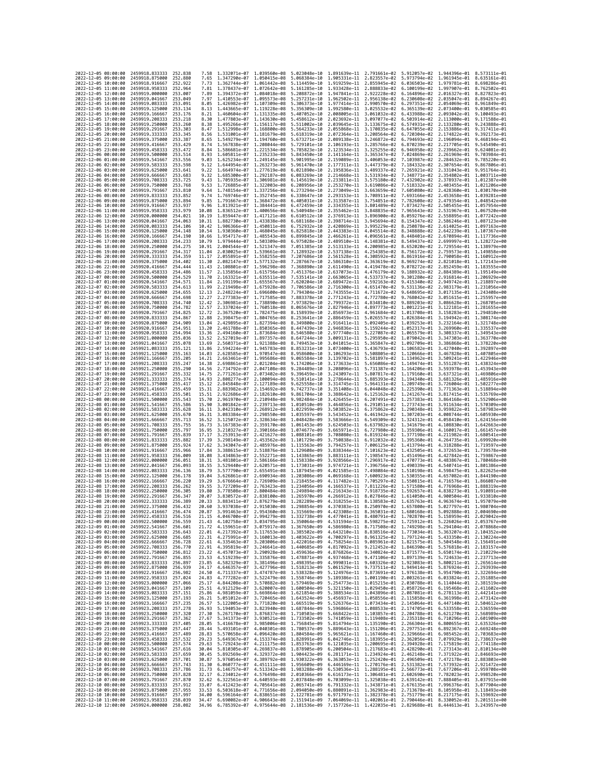| 2022-12-05 08:00:00                        |                     | 2459918.833333                                                       | 252.838            | 7.58           | 1.332071e-07 1.039560e-08                              |                                        | 5.023048e-10 1.891639e-11 2.791661e-02                                                                                                                                                                                                                                                                                                          |                                                        |                                           |                                                                                  | 5.912057e-02 1.944396e-01 8.573111e-01                 |                                                        |
|--------------------------------------------|---------------------|----------------------------------------------------------------------|--------------------|----------------|--------------------------------------------------------|----------------------------------------|-------------------------------------------------------------------------------------------------------------------------------------------------------------------------------------------------------------------------------------------------------------------------------------------------------------------------------------------------|--------------------------------------------------------|-------------------------------------------|----------------------------------------------------------------------------------|--------------------------------------------------------|--------------------------------------------------------|
| 2022-12-05 09:00:00                        |                     | 2459918.875000                                                       | 252.880            | 7.65           | 1.347290e-07 1.050415e-08                              |                                        | 5.068384e-10                                                                                                                                                                                                                                                                                                                                    | 1.905331e-11 2.823557e-02                              |                                           | 5.973794e-02                                                                     | 1.961945e-01 8.635161e-01                              |                                                        |
| 2022-12-05 10:00:00                        |                     | 2459918.916667                                                       | 252,922            | 7.73           | 1.362744e-07                                           | 1.061442e-08                           | 5.114459e-10                                                                                                                                                                                                                                                                                                                                    | 1.919259e-11                                           | 2.855945e-02                              | 6.036503e-02                                                                     | 1.979781e-01                                           | 8.698286e-01                                           |
| 2022-12-05 11:00:00<br>2022-12-05 12:00:00 |                     | 2459918,958333<br>2459919.000000                                     | 252.964<br>253.007 | 7.81<br>7.89   | 1.378437e-07 1.072642e-08<br>1.394372e-07 1.084018e-08 |                                        | 5.161285e-10<br>5.208872e-10                                                                                                                                                                                                                                                                                                                    | 1,933428e-11 2,888833e-02<br>1.947841e-11 2.922228e-02 |                                           | 6.100199e-02<br>6.164896e-02                                                     | 1.997907e-01 8.762502e-01<br>2.016327e-01 8.827823e-01 |                                                        |
| 2022-12-05 13:00:00                        |                     | 2459919.041667                                                       | 253.049            | 7.97           | 1.410553e-07                                           | 1.095573e-08                           | 5.257231e-10                                                                                                                                                                                                                                                                                                                                    | 1.962502e-11                                           | 2.956138e-02                              | 6.230608e-02                                                                     | 2.035047e-01                                           | 8.894267e-01                                           |
| 2022-12-05 14:00:00                        |                     | 2459919.083333                                                       | 253.091            | 8.05           | 1.426982e-07                                           | 1.107309e-08                           | 5.306373e-10                                                                                                                                                                                                                                                                                                                                    | 1.977414e-11                                           | 2.990570e-02                              | 6.297351e-02                                                                     | 2.054069e-01                                           | 8.961849e-01                                           |
| 2022-12-05 15:00:00                        |                     | 2459919.125000                                                       | 253, 134           | 8.13           | 1.443665e-07                                           | 1.119228e-08                           | 5.356309e-10                                                                                                                                                                                                                                                                                                                                    | 1.992580e-11                                           | 3.025532e-02                              | 6.365139e-02                                                                     | 2.073400e-01                                           | 9.030585e-01                                           |
| 2022-12-05 16:00:00<br>2022-12-05 17:00:00 |                     | 2459919.166667<br>2459919.208333                                     | 253.176<br>253.218 | 8.21<br>8.30   | 1.460604e-07 1.131335e-08<br>1.477803e-07              | 1.143630e-08                           | 5.407052e-10<br>5.458612e-10                                                                                                                                                                                                                                                                                                                    | 2.008005e-11<br>2.023692e-11                           | 3.061032e-02<br>3.097077e-02              | 6.433988e-02<br>6.503914e-02                                                     | 2.113000e-01                                           | 2.093042e-01 9.100493e-01<br>9.171588e-01              |
| 2022-12-05 18:00:00                        |                     | 2459919,250000                                                       | 253.260            | 8.38           | 1.495266e-07                                           | 1.156117e-08                           | 5.511002e-10                                                                                                                                                                                                                                                                                                                                    | 2.039645e-11                                           | 3.133675e-02                              | 6.574931e-02                                                                     | 2.133280e-01                                           | 9.243888e-01                                           |
| 2022-12-05 19:00:00                        |                     | 2459919.291667                                                       | 253,303            | 8.47           | 1.512998e-07                                           | 1.168800e-08                           | 5.564233e-10                                                                                                                                                                                                                                                                                                                                    | 2.055868e-11                                           | 3.170835e-02                              | 6.647055e-02                                                                     | 2.153886e-01                                           | 9.317411e-01                                           |
| 2022-12-05 20:00:00                        |                     | 2459919.333333                                                       | 253,345            | 8.56           | 1.531001e-07                                           | 1.181679e-08                           | 5.618319e-10                                                                                                                                                                                                                                                                                                                                    | 2.072364e-11                                           | 3.208564e-02                              | 6.720304e-02                                                                     | 2.174822e-01                                           | 9.392173e-01                                           |
| 2022-12-05 21:00:00<br>2022-12-05 22:00:00 |                     | 2459919.375000<br>2459919.416667                                     | 253.387<br>253.429 | 8.65<br>8.74   | 1.549279e-07<br>1.567838e-07                           | 1.194760e-08<br>1.208044e-08           | 5.673271e-10<br>5.729101e-10                                                                                                                                                                                                                                                                                                                    | 2.089138e-11<br>2.106193e-11                           | 3.246872e-02<br>3.285766e-02              | 6.794693e-02<br>6.870239e-02                                                     | 2.196094e-01<br>2.217705e-01                           | 9.468194e-01<br>9.545490e-01                           |
| 2022-12-05 23:00:00                        |                     | 2459919.458333                                                       | 253.472            | 8.84           | 1.586681e-07                                           | 1.221534e-08                           | 5.785823e-10                                                                                                                                                                                                                                                                                                                                    | 2.123534e-11                                           | 3.325255e-02                              | 6.946958e-02                                                                     | 2.239662e-01                                           | 9.624081e-01                                           |
| 2022-12-06 00:00:00                        |                     | 2459919.500000                                                       | 253.514            | 8.93           | 1.605811e-07                                           | 1.235233e-08                           | 5.843450e-10                                                                                                                                                                                                                                                                                                                                    | 2.141164e-11                                           | 3.365347e-02                              | 7.024869e-02                                                                     | 2.261969e-01                                           | 9.703984e-01                                           |
| 2022-12-06 01:00:00                        |                     | 2459919.541667                                                       | 253.556            | 9.03           | 1.625234e-07                                           | 1.249145e-08                           | 5.901995e-10                                                                                                                                                                                                                                                                                                                                    | 2.159089e-11                                           | 3.406053e-02                              | 7.103987e-02                                                                     | 2.284632e-01                                           | 9.785220e-01                                           |
| 2022-12-06 02:00:00<br>2022-12-06 03:00:00 |                     | 2459919.583333<br>2459919.625000                                     | 253.598<br>253.641 | 9.12<br>9.22   | 1.644954e-07<br>1.664974e-07                           | 1.263273e-08<br>1.277619e-08           | 5.961470e-10<br>6.021890e-10                                                                                                                                                                                                                                                                                                                    | 2.177311e-11<br>2.195836e-11                           | 3.447379e-02<br>3.489337e-02              | 7.184332e-02<br>7.265921e-02                                                     |                                                        | 2.307654e-01 9.867806e-01<br>2.331043e-01 9.951764e-01 |
| 2022-12-06 04:00:00                        |                     | 2459919.666667                                                       | 253.683            | 9.32           | 1.685300e-07                                           | 1.292187e-08                           | 6.083269e-10                                                                                                                                                                                                                                                                                                                                    | 2.214668e-11                                           | 3.531934e-02                              | 7.348771e-02                                                                     | 2.354802e-01                                           | 1.003711e+00                                           |
| 2022-12-06 05:00:00                        |                     | 2459919.708333                                                       | 253,725            | 9.43           | 1.705935e-07                                           | 1.306981e-08                           | 6.145619e-10                                                                                                                                                                                                                                                                                                                                    | 2.233811e-11                                           | 3.575180e-02                              | 7.432902e-02                                                                     |                                                        | 2.378937e-01 1.012387e+00                              |
| 2022-12-06 06:00:00                        |                     | 2459919.750000                                                       | 253.768            | 9.53           | 1.726885e-07                                           | 1.322003e-08                           | 6.208956e-10                                                                                                                                                                                                                                                                                                                                    | 2.253270e-11                                           | 3.619086e-02                              | 7.518332e-02                                                                     |                                                        | 2.403455e-01 1.021206e+00                              |
| 2022-12-06 07:00:00<br>2022-12-06 08:00:00 |                     | 2459919.791667                                                       | 253,810            | 9.64<br>9.74   | 1.748154e-07                                           | 1.337256e-08                           | 6.273294e-10                                                                                                                                                                                                                                                                                                                                    | 2.273049e-11 3.663659e-02<br>2.293153e-11              |                                           | 7.605080e-02                                                                     | 2.453658e-01                                           | 2.428360e-01 1.030170e+00<br>1.039281e+00              |
| 2022-12-06 09:00:00                        |                     | 2459919.833333<br>2459919.875000                                     | 253.852<br>253.894 | 9.85           | 1.769746e-07<br>1.791667e-07 1.368472e-08              | 1.352745e-08                           | 6.338647e-10<br>6.405031e-10                                                                                                                                                                                                                                                                                                                    | 2.313587e-11                                           | 3.708911e-02<br>3.754851e-02              | 7.693166e-02<br>7.782608e-02                                                     |                                                        | 2.479354e-01 1.048542e+00                              |
| 2022-12-06 10:00:00                        |                     | 2459919.916667                                                       | 253.937            | 9.96           | 1.813921e-07                                           | 1.384441e-08                           | 6.472459e-10                                                                                                                                                                                                                                                                                                                                    | 2.334355e-11                                           | 3.801489e-02                              | 7.873427e-02                                                                     |                                                        | 2.505455e-01 1.057954e+00                              |
| 2022-12-06 11:00:00                        |                     | 2459919.958333                                                       | 253.979            | 10.08          | 1.836512e-07                                           | 1.400656e-08                           | 6.540948e-10                                                                                                                                                                                                                                                                                                                                    | 2.355462e-11                                           | 3.848835e-02                              | 7.965643e-02                                                                     | 2.531967e-01                                           | 1.067520e+00                                           |
| 2022-12-06 12:00:00                        |                     | 2459920,000000                                                       | 254.021            | 10.19          | 1.859447e-07                                           | 1.417121e-08                           | 6.610512e-10                                                                                                                                                                                                                                                                                                                                    | 2.376913e-11                                           | 3.896900e-02                              | 8.059276e-02                                                                     |                                                        | 2.558895e-01 1.077242e+00                              |
| 2022-12-06 13:00:00<br>2022-12-06 14:00:00 |                     | 2459920.041667<br>2459920.083333                                     | 254,063<br>254,106 | 10.31<br>10.42 | 1.882730e-07<br>1.906366e-07                           | 1.433838e-08<br>1.450811e-08           | 6.681168e-10<br>6.752932e-10                                                                                                                                                                                                                                                                                                                    | 2.398714e-11<br>2.420869e-11                           | 3.945694e-02<br>3.995229e-02              | 8.154347e-02<br>8.250878e-02                                                     |                                                        | 2.586246e-01 1.087123e+00<br>2.614025e-01 1.097163e+00 |
| 2022-12-06 15:00:00                        |                     | 2459920.125000                                                       | 254, 148           | 10.54          | 1.930360e-07                                           | 1.468045e-08                           | 6.825818e-10                                                                                                                                                                                                                                                                                                                                    | 2.443383e-11                                           | 4.045514e-02                              | 8.348888e-02                                                                     | 2.642239e-01                                           | 1.107367e+00                                           |
| 2022-12-06 16:00:00                        |                     | 2459920.166667                                                       | 254.190            | 10.66          | 1.954717e-07                                           | 1.485543e-08                           | 6.899845e-10                                                                                                                                                                                                                                                                                                                                    | 2.466261e-11                                           | 4.096561e-02                              | 8.448401e-02                                                                     |                                                        | 2.670894e-01 1.117736e+00                              |
| 2022-12-06 17:00:00                        |                     | 2459920.208333                                                       | 254.233            | 10.79          | 1.979444e-07 1.503309e-08                              |                                        | 6.975028e-10                                                                                                                                                                                                                                                                                                                                    | 2.489510e-11                                           | 4.148381e-02                              | 8.549437e-02                                                                     |                                                        | 2.699997e-01 1.128272e+00                              |
| 2022-12-06 18:00:00                        |                     | 2459920.250000                                                       | 254.275<br>254,317 | 10.91          | 2.004544e-07                                           | 1.521347e-08                           | 7.051385e-10                                                                                                                                                                                                                                                                                                                                    | 2.513133e-11                                           | 4.200985e-02                              | 8.652020e-02                                                                     |                                                        | 2.729554e-01 1.138979e+00<br>1.149858e+00              |
| 2022-12-06 19:00:00<br>2022-12-06 20:00:00 |                     | 2459920.291667<br>2459920.333333                                     | 254.359            | 11.04<br>11.17 | 2.030025e-07<br>2.055891e-07                           | 1.539661e-08<br>1.558255e-08           | 7.128932e-10<br>7.207686e-10                                                                                                                                                                                                                                                                                                                    | 2.537138e-11<br>2.561528e-11                           | 4.254385e-02<br>4.308592e-02              | 8.756172e-02<br>8.861916e-02                                                     | 2.759573e-01                                           | 2.790058e-01 1.160912e+00                              |
| 2022-12-06 21:00:00                        |                     | 2459920.375000                                                       | 254,402            | 11.30          | 2.082147e-07                                           | 1,577132e-08                           | 7.287667e-10                                                                                                                                                                                                                                                                                                                                    | 2.586310e-11                                           | 4.363619e-02                              | 8.969274e-02                                                                     |                                                        | 2.821018e-01 1.172143e+00                              |
| 2022-12-06 22:00:00                        |                     | 2459920.416667                                                       | 254,444            | 11.43          | 2.108801e-07                                           | 1.596298e-08                           | 7.368890e-10                                                                                                                                                                                                                                                                                                                                    | 2.611490e-11                                           | 4.419478e-02                              | 9.078272e-02                                                                     | 2.852459e-01                                           | 1.183555e+00                                           |
| 2022-12-06 23:00:00<br>2022-12-07 00:00:00 |                     | 2459920.458333<br>2459920.500000                                     | 254,486<br>254.529 | 11.57<br>11.70 | 2.135856e-07                                           | 1.615756e-08                           | 7.451376e-10                                                                                                                                                                                                                                                                                                                                    | 2.637073e-11                                           | 4.476179e-02                              | 9.188932e-02                                                                     |                                                        | 2.884389e-01 1.195149e+00                              |
| 2022-12-07 01:00:00                        |                     | 2459920.541667                                                       | 254.571            | 11.84          | 2.163321e-07<br>2.191199e-07                           | 1.635511e-08<br>1.655567e-08           | 7.535141e-10<br>7.620204e-10                                                                                                                                                                                                                                                                                                                    | 2.663065e-11<br>2.689472e-11                           | 4.533737e-02<br>4.592163e-02              | 9.301280e-02<br>9.415340e-02                                                     |                                                        | 2.916814e-01 1.206929e+00<br>2.949742e-01 1.218897e+00 |
| 2022-12-07 02:00:00                        |                     | 2459920.583333                                                       | 254.613            | 11.99          | 2.219498e-07                                           | 1.675928e-08                           | 7.706586e-10                                                                                                                                                                                                                                                                                                                                    | 2.716300e-11                                           | 4.651470e-02                              | 9.531136e-02                                                                     | 2.983179e-01                                           | 1.231056e+00                                           |
| 2022-12-07 03:00:00                        |                     | 2459920.625000                                                       | 254.655            | 12.13          | 2.248224e-07 1.696600e-08                              |                                        | 7.794304e-10                                                                                                                                                                                                                                                                                                                                    | 2.743555e-11                                           | 4.711672e-02                              | 9.648695e-02                                                                     |                                                        | 3.017135e-01 1.243408e+00                              |
| 2022-12-07 04:00:00                        |                     | 2459920.666667                                                       | 254,698            | 12.27          | 2.277383e-07 1.717585e-08                              |                                        | 7.883378e-10                                                                                                                                                                                                                                                                                                                                    | 2.771243e-11                                           | 4.772780e-02                              | 9.768042e-02                                                                     |                                                        | 3.051615e-01 1.255957e+00                              |
| 2022-12-07 05:00:00<br>2022-12-07 06:00:00 |                     | 2459920.708333<br>2459920.750000                                     | 254.740<br>254.782 | 12.42<br>12.57 | 2.306981e-07<br>2.337024e-07                           | 1.738890e-08<br>1.760518e-08           | 7.973829e-10<br>8.065676e-10                                                                                                                                                                                                                                                                                                                    | 2.799372e-11<br>2.827946e-11                           | 4.834810e-02<br>4.897773e-02              | 9.889203e-02<br>1.001221e-01                                                     | 3.122181e-01                                           | 3.086628e-01 1.268705e+00<br>1.281655e+00              |
| 2022-12-07 07:00:00                        |                     | 2459920.791667                                                       | 254.825            | 12.72          | 2.367520e-07                                           | 1.782475e-08                           | 8.158939e-10                                                                                                                                                                                                                                                                                                                                    | 2.856973e-11                                           | 4.961684e-02                              | 1.013708e-01                                                                     |                                                        | 3.158283e-01 1.294810e+00                              |
| 2022-12-07 08:00:00                        |                     | 2459920.833333                                                       | 254,867            | 12.88          | 2.398475e-07 1.804765e-08                              |                                        | 8.253641e-10                                                                                                                                                                                                                                                                                                                                    | 2.886459e-11 5.026557e-02                              |                                           | 1.026384e-01                                                                     |                                                        | 3.194942e-01 1.308174e+00                              |
| 2022-12-07 09:00:00                        |                     | 2459920.875000                                                       | 254.909            | 13.04          | 2.429895e-07                                           | 1.827394e-08                           | 8.349800e-10                                                                                                                                                                                                                                                                                                                                    | 2.916411e-11                                           | 5.092405e-02                              | 1.039253e-01                                                                     | 3.232164e-01                                           | 1.321748e+00                                           |
| 2022-12-07 10:00:00<br>2022-12-07 11:00:00 |                     | 2459920.916667<br>2459920.958333                                     | 254.951<br>254.994 | 13.20<br>13.36 | 2.461788e-07<br>2.494160e-07                           | 1.850365e-08                           | 8.447439e-10<br>8.546580e-10                                                                                                                                                                                                                                                                                                                    | 2.946836e-11<br>2.977740e-11                           | 5.159244e-02<br>5.227087e-02              | 1.052317e-01<br>1.065579e-01                                                     |                                                        | 3.269960e-01 1.335537e+00<br>3.308337e-01 1.349543e+00 |
| 2022-12-07 12:00:00                        |                     | 2459921.000000                                                       | 255.036            | 13.52          | 2.527019e-07                                           | 1.873684e-08<br>1.897357e-08           | 8.647244e-10                                                                                                                                                                                                                                                                                                                                    | 3.009131e-11                                           | 5.295950e-02                              | 1.079042e-01                                                                     |                                                        | 3.347303e-01 1.363770e+00                              |
| 2022-12-07 13:00:00                        |                     | 2459921.041667                                                       | 255.078            | 13.69          | 2.560371e-07                                           | 1.921388e-08                           | 8.749453e-10                                                                                                                                                                                                                                                                                                                                    | 3.041015e-11                                           | 5.365847e-02                              | 1.092709e-01                                                                     | 3.386868e-01                                           | 1.378220e+00                                           |
| 2022-12-07 14:00:00                        |                     | 2459921.083333                                                       | 255.121            | 13.86          | 2.594224e-07 1.945783e-08                              |                                        | 8.853231e-10                                                                                                                                                                                                                                                                                                                                    | 3.073400e-11                                           | 5.436793e-02 1.106582e-01                 |                                                                                  |                                                        | 3.427040e-01 1.392897e+00                              |
| 2022-12-07 15:00:00<br>2022-12-07 16:00:00 |                     | 2459921.125000<br>2459921.166667                                     | 255.163<br>255.205 | 14.03<br>14.21 | 2.628585e-07 1.970547e-08<br>2.663461e-07              | 1.995686e-08                           | 8.958600e-10<br>9.065584e-10                                                                                                                                                                                                                                                                                                                    | 3.106293e-11 5.508805e-02<br>3.139702e-11              | 5.581897e-02                              | 1.120666e-01<br>1.134962e-01                                                     |                                                        | 3.467828e-01 1.407805e+00<br>3.509241e-01 1.422946e+00 |
| 2022-12-07 17:00:00                        |                     | 2459921.208333                                                       | 255.247            | 14.38          | 2.698861e-07                                           | 2.021204e-08                           | 9.174206e-10                                                                                                                                                                                                                                                                                                                                    | 3.173633e-11                                           | 5.656086e-02                              | 1.149474e-01                                                                     | 3.551287e-01                                           | 1.438324e+00                                           |
| 2022-12-07 18:00:00                        |                     | 2459921,250000                                                       | 255.290            | 14.56          | 2.734792e-07                                           | 2.047108e-08                           | 9.284489e-10                                                                                                                                                                                                                                                                                                                                    | 3.208096e-11                                           | 5.731387e-02                              | 1.164206e-01                                                                     | 3.593978e-01                                           | 1.453943e+00                                           |
| 2022-12-07 19:00:00                        |                     | 2459921.291667                                                       | 255.332            | 14.75          | 2.771261e-07                                           | 2.073402e-08                           | 9.396459e-10                                                                                                                                                                                                                                                                                                                                    | 3.243097e-11 5.807817e-02                              |                                           | 1.179160e-01                                                                     |                                                        | 3.637321e-01 1.469806e+00                              |
| 2022-12-07 20:00:00<br>2022-12-07 21:00:00 |                     | 2459921.333333                                                       | 255.374<br>255.417 | 14.93<br>15.12 | 2.808277e-07<br>2.845848e-07                           | 2.100094e-08<br>2.127189e-08           | 9.510141e-10<br>9.625558e-10                                                                                                                                                                                                                                                                                                                    | 3.278644e-11<br>3.314745e-11                           | 5.885393e-02<br>5.964131e-02 1.209749e-01 | 1.194340e-01                                                                     | 3.681326e-01                                           | 1.485916e+00                                           |
| 2022-12-07 22:00:00                        |                     | 2459921.375000<br>2459921.416667                                     | 255.459            | 15.31          | 2.883982e-07                                           | 2.154692e-08                           | 9.742737e-10                                                                                                                                                                                                                                                                                                                                    | 3.351408e-11                                           | 6.044048e-02                              | 1.225390e-01                                                                     | 3.771363e-01                                           | 3.726004e-01 1.502277e+00<br>1.518894e+00              |
| 2022-12-07 23:00:00                        |                     | 2459921.458333                                                       | 255.501            | 15.51          | 2.922686e-07                                           | 2.182610e-08                           | 9.861704e-10                                                                                                                                                                                                                                                                                                                                    |                                                        | 3.388642e-11 6.125162e-02                 | 1.241267e-01                                                                     | 3.817415e-01                                           | 1.535769e+00                                           |
| 2022-12-08 00:00:00                        |                     | 2459921.500000                                                       | 255.543            | 15.70          | 2.961970e-07                                           | 2.210948e-08                           | 9.982484e-10                                                                                                                                                                                                                                                                                                                                    | 3.426455e-11                                           | 6.207491e-02                              | 1.257383e-01                                                                     | 3.864168e-01                                           | 1.552906e+00                                           |
| 2022-12-08 01:00:00                        |                     | 2459921.541667                                                       | 255.586            | 15.90          | 3.001842e-07                                           | 2.239713e-08                           | 1.010510e-09<br>1.022959e-09                                                                                                                                                                                                                                                                                                                    |                                                        | 3.464856e-11 6.291051e-02 1.273743e-01    |                                                                                  |                                                        | 3.911634e-01 1.570309e+00                              |
| 2022-12-08 02:00:00<br>2022-12-08 03:00:00 |                     | 2459921.583333<br>2459921.625000                                     | 255.628<br>255.670 | 16.11<br>16.31 | 3.042310e-07<br>3.083384e-07                           | 2.268912e-08<br>2.298550e-08           | 1.035597e-09                                                                                                                                                                                                                                                                                                                                    | 3.543452e-11                                           | 3.503852e-11 6.375862e-02<br>6.461942e-02 | 1.290348e-01<br>1.307203e-01                                                     | 4.008744e-01                                           | 3.959822e-01 1.587983e+00<br>1.605930e+00              |
| 2022-12-08 04:00:00                        |                     | 2459921.666667                                                       | 255.713            | 16.52          | 3.125072e-07                                           | 2.328634e-08                           | 1.048428e-09                                                                                                                                                                                                                                                                                                                                    | 3.583666e-11                                           | 6.549309e-02                              | 1.324312e-01                                                                     | 4.058410e-01                                           | 1.624156e+00                                           |
| 2022-12-08 05:00:00                        |                     | 2459921.708333                                                       | 255.755            | 16.73          | 3.167383e-07                                           | 2.359170e-08                           | 1.061453e-09                                                                                                                                                                                                                                                                                                                                    |                                                        | 3.624503e-11 6.637982e-02                 | 1.341679e-01                                                                     |                                                        | 4.108830e-01 1.642663e+00                              |
| 2022-12-08 06:00:00                        |                     | 2459921.750000                                                       | 255.797            | 16.95          | 3.210327e-07                                           | 2.390166e-08                           | 1,074677e-09                                                                                                                                                                                                                                                                                                                                    |                                                        |                                           | 3.665971e-11 6.727980e-02 1.359306e-01                                           |                                                        | 4.160017e-01 1.661457e+00                              |
| 2022-12-08 07:00:00<br>2022-12-08 08:00:00 |                     | 2459921.791667<br>2459921.833333                                     | 255.839<br>255.882 | 17.17<br>17.39 | 3.253913e-07<br>3.298149e-07                           | 2.421627e-08<br>2.453562e-08           | 1.088101e-09<br>1.101729e-09                                                                                                                                                                                                                                                                                                                    | 3.708080e-11<br>3.750838e-11                           | 6.819324e-02<br>6.912032e-02              | 1.377198e-01<br>1.395360e-01                                                     | 4.211982e-01<br>4.264735e-01                           | 1.680541e+00<br>1.699920e+00                           |
| 2022-12-08 09:00:00                        |                     | 2459921.875000                                                       | 255.924            | 17.62          | 3.343047e-07                                           | 2.485976e-08                           | 1.115563e-09                                                                                                                                                                                                                                                                                                                                    |                                                        | 3.794257e-11 7.006125e-02                 | 1.413794e-01                                                                     |                                                        | 4.318288e-01 1.719597e+00                              |
| 2022-12-08 10:00:00                        |                     | 2459921.916667                                                       | 255.966            | 17.84          | 3.388615e-07                                           | 2.518876e-08                           | 1.129608e-09                                                                                                                                                                                                                                                                                                                                    |                                                        | 3.838344e-11 7.101623e-02                 | 1.432505e-01                                                                     |                                                        | 4.372653e-01 1.739578e+00                              |
| 2022-12-08 11:00:00                        |                     | 2459921.958333                                                       | 256.009            | 18.08          | 3.434863e-07                                           | 2.552271e-08                           | 1.143865e-09                                                                                                                                                                                                                                                                                                                                    | 3.883111e-11                                           | 7.198547e-02                              | 1.451496e-01                                                                     | 4.427842e-01                                           | 1.759867e+00                                           |
| 2022-12-08 12:00:00<br>2022-12-08 13:00:00 |                     | 2459922.000000<br>2459922.041667                                     | 256.051<br>256.093 | 18.31<br>18.55 | 3.481801e-07<br>3.529440e-07                           | 2.586166e-08<br>2.620571e-08           | 1.158338e-09<br>1.173031e-09                                                                                                                                                                                                                                                                                                                    | 3.928566e-11<br>3.974721e-11                           | 7.296917e-02<br>7.396756e-02              | 1.470773e-01<br>1.490339e-01                                                     |                                                        | 4.483867e-01 1.780468e+00<br>4.540741e-01 1.801386e+00 |
| 2022-12-08 14:00:00                        |                     | 2459922.083333                                                       | 256.136            | 18.79          | 3.577790e-07                                           | 2.655491e-08                           | 1.187945e-09                                                                                                                                                                                                                                                                                                                                    | 4.021585e-11                                           | 7.498084e-02                              | 1.510198e-01                                                                     | 4.598475e-01                                           | 1.822625e+00                                           |
| 2022-12-08 15:00:00                        |                     | 2459922.125000                                                       | 256.178            | 19.04          | 3.626861e-07                                           | 2.690934e-08                           | 1.203086e-09                                                                                                                                                                                                                                                                                                                                    | 4.069168e-11                                           | 7.600923e-02                              | 1.530355e-01                                                                     | 4.657082e-01                                           | 1.844190e+00                                           |
| 2022-12-08 16:00:00                        |                     | 2459922.166667                                                       | 256.220            | 19.29          | 3.676664e-07                                           | 2.726909e-08                           | 1.218455e-09                                                                                                                                                                                                                                                                                                                                    | 4.117482e-11                                           | 7.705297e-02                              | 1.550815e-01                                                                     | 4.716576e-01                                           | 1.866087e+00                                           |
| 2022-12-08 17:00:00<br>2022-12-08 18:00:00 |                     | 2459922.208333<br>2459922.250000                                     | 256,262<br>256.305 | 19.55<br>19.80 | 3.727209e-07<br>3.778508e-07                           | 2.763423e-08<br>2.800484e-08           | 1,234056e-09<br>1.249894e-09                                                                                                                                                                                                                                                                                                                    | 4.166537e-11<br>4.216343e-11                           | 7.811226e-02<br>7.918735e-02              | 1.571580e-01<br>1.592657e-01                                                     | 4,776968e-01<br>4.838273e-01                           | 1.888319e+00<br>1.910891e+00                           |
| 2022-12-08 19:00:00                        |                     | 2459922.291667                                                       | 256.347            | 20.07          | 3.830572e-07                                           | 2.838100e-08 1.265970e-09              |                                                                                                                                                                                                                                                                                                                                                 |                                                        |                                           | 4.266912e-11 8.027846e-02 1.614050e-01                                           |                                                        | 4.900504e-01 1.933810e+00                              |
| 2022-12-08 20:00:00                        |                     | 2459922.333333                                                       | 256.389            | 20.33          |                                                        | 3.883411e-07 2.876279e-08 1.282289e-09 |                                                                                                                                                                                                                                                                                                                                                 |                                                        |                                           | 4.318255e-11 8.138583e-02 1.635763e-01 4.963674e-01 1.957079e+00                 |                                                        |                                                        |
| 2022-12-08 21:00:00                        |                     | 2459922.375000                                                       | 256,432            | 20.60          |                                                        | 3.937038e-07 2.915030e-08 1.298854e-09 | 1.315669e-09                                                                                                                                                                                                                                                                                                                                    |                                                        |                                           | 4.370383e-11 8.250970e-02 1.657800e-01 5.027797e-01 1.980704e+00<br>1,680168e-01 |                                                        |                                                        |
| 2022<br>2022-12-08 23:00:00                | -12-08 22:00:00     | 2459922.416667<br>2459922.458333                                     | 256.516            | 20.87<br>21.15 | 3.991463e–07                                           | 2.954360e-08                           | 4.046700e-07 2.994279e-08 1.332738e-09 4.477041e-11 8.480791e-02 1.702870e-01 5.158959e-01 2.029042e+00                                                                                                                                                                                                                                         | 4.423308e-11                                           | 8.365031e-02                              |                                                                                  | 5.092888e-01                                           | 2.004690e+00                                           |
| 2022-12-09 00:00:00                        |                     | 2459922.500000                                                       | 256.559            | 21.43          |                                                        |                                        | 4.102758e-07 3.034795e-08 1.350064e-09 4.531594e-11 8.598275e-02 1.725912e-01 5.226026e-01 2.053767e+00                                                                                                                                                                                                                                         |                                                        |                                           |                                                                                  |                                                        |                                                        |
| 2022-12-09 01:00:00                        |                     | 2459922.541667                                                       | 256.601            | 21.72          |                                                        |                                        | 4.159651e-07 3.075917e-08 1.367650e-09 4.586980e-11 8.717508e-02 1.749298e-01 5.294104e-01 2.078868e+00                                                                                                                                                                                                                                         |                                                        |                                           |                                                                                  |                                                        |                                                        |
| 2022-12-09 02:00:00<br>2022-12-09 03:00:00 |                     | 2459922.583333<br>2459922.625000 256.685                             | 256.643            | 22.31          |                                                        |                                        | 22.01 4.217392e-07 3.117653e-08 1.385502e-09 4.643210e-11 8.838516e-02 1.773034e-01 5.363207e-01 2.104352e+00<br>4.275991e-07 3.160013e-08 1.403622e-09 4.700297e-11 8.961325e-02 1.797124e-01 5.433350e-01 2.130224e+00                                                                                                                        |                                                        |                                           |                                                                                  |                                                        |                                                        |
| 2022-12-09 04:00:00                        |                     | 2459922.666667                                                       | 256.728            | 22.61          |                                                        |                                        |                                                                                                                                                                                                                                                                                                                                                 |                                                        |                                           |                                                                                  |                                                        |                                                        |
| 2022-12-09 05:00:00                        |                     | 2459922.708333                                                       | 256.770            | 22.91          |                                                        |                                        | $\begin{array}{cccccccc} 4.335463e-07 & 3.203006e-08 & 1.422016e-09 & 4.758254e-11 & 9.085961e-02 & 1.821575e-01 & 5.504548e-01 & 2.156491e+00 \\ 4.395819e-07 & 3.246641e-08 & 1.440685e-09 & 4.817092e-11 & 9.212452e-02 & 1.846390e-01 & 5.576818e-01 & 2$                                                                                   |                                                        |                                           |                                                                                  |                                                        |                                                        |
| 2022-12-09 06:00:00                        |                     | 2459922,750000 256,812                                               |                    | 23.22          |                                                        |                                        | 4.457073e-07 3.290928e-08 1.459636e-09 4.876826e-11 9.340824e-02 1.871577e-01 5.650174e-01 2.210229e+00                                                                                                                                                                                                                                         |                                                        |                                           |                                                                                  |                                                        |                                                        |
| 2022-12-09 07:00:00<br>2022-12-09 08:00:00 |                     | 2459922.791667<br>2459922.833333                                     | 256.855<br>256,897 |                |                                                        |                                        | 23.53 4.519239e-07 3.335876e-08 1.478871e-09 4.937468e-11 9.471106e-02 1.897139e-01 5.724633e-01 2.237713e+00                                                                                                                                                                                                                                   |                                                        |                                           |                                                                                  |                                                        |                                                        |
| 2022-12-09 09:00:00                        |                     | 2459922.875000                                                       | 256.939            |                |                                                        |                                        |                                                                                                                                                                                                                                                                                                                                                 |                                                        |                                           |                                                                                  |                                                        |                                                        |
| 2022-12-09 10:00:00                        |                     | 2459922.916667                                                       | 256.982            |                |                                                        |                                        | 03.05 4.582320e-07 3.381496e-08 1.498395e-09 4.999931e-11 9.693326e-02 1.923083e-01 5.800211e-01 2.265614e-00<br>24.17 4.646357e-07 3.427796e-08 1.518213e-09 5.061529e-11 9.737511e-02 1.949414e-01 2.265614e-01 2.265614e-00<br>24                                                                                                            |                                                        |                                           |                                                                                  |                                                        |                                                        |
| 2022-12-09 11:00:00                        |                     | 2459922.958333 257.024                                               |                    |                |                                                        |                                        | 21.03 4.777282e-07 3.522479e-08 1.558746e-09 5.189386e-11 1.001990e-01 2.003251e-01 6.033824e-01 2.351885e+00<br>25.17 4.844208e-07 3.572479e-08 1.558746e-09 5.189386e-11 1.001990e-01 2.003261e-01 6.033824e-01 2.351885e+00<br>25                                                                                                            |                                                        |                                           |                                                                                  |                                                        |                                                        |
| 2022-12-09 12:00:00<br>2022-12-09 13:00:00 |                     | 2459923.000000<br>2459923.041667 257.109                             | 257.066            |                |                                                        |                                        |                                                                                                                                                                                                                                                                                                                                                 |                                                        |                                           |                                                                                  |                                                        |                                                        |
| 2022-12-09 14:00:00                        |                     | 2459923.083333                                                       | 257.151            |                |                                                        |                                        |                                                                                                                                                                                                                                                                                                                                                 |                                                        |                                           |                                                                                  |                                                        |                                                        |
| 2022-12-09 15:00:00                        |                     | 2459923.125000                                                       | 257, 193           |                |                                                        |                                        | 25.86 4.981059e-07 3.669864e-08 1.621854e-09 5.388534e-11 1.043896e-01 2.087081e-01 6.278113e-01 2.442141e+00<br>26.21 5.051012e-07 3.720465e-08 1.643524e-09 5.388537e-11 1.053556e-01 2.115858e-01 6.379113e-01 2.473142e+00<br>26                                                                                                            |                                                        |                                           |                                                                                  |                                                        |                                                        |
| 2022-12-09 16:00:00                        |                     | 2459923.166667 257.235<br>2459923.208333 257.278                     |                    |                |                                                        |                                        |                                                                                                                                                                                                                                                                                                                                                 |                                                        |                                           |                                                                                  |                                                        |                                                        |
| 2022-12-09 17:00:00<br>2022-12-09 18:00:00 |                     | 2459923.250000 257.320                                               |                    |                |                                                        |                                        | 26.93 5.194053e-07 3.823940e-08 1.687844e-09 5.596866e-11 1.088533e-01 2.174705e-01 6.533558e-01 2.536559e+00<br>27.30 5.267170e-07 3.876837e-08 1.710503e-09 5.668422e-11 1.103857e-01 2.204788e-01 6.621270e-01 2.568989e+00                                                                                                                  |                                                        |                                           |                                                                                  |                                                        |                                                        |
| 2022-12-09 19:00:00                        |                     | 2459923.291667                                                       | 257.362            |                |                                                        |                                        |                                                                                                                                                                                                                                                                                                                                                 |                                                        |                                           |                                                                                  |                                                        |                                                        |
| 2022-12-09 20:00:00                        |                     | 2459923.333333                                                       | 257.405            |                |                                                        |                                        | $\frac{27.67}{28.67} - \frac{5.341373e-07}{5.341373e-07} - \frac{3.936521e-08}{3.93696e-08} - \frac{1.33592e-09}{1.75684e-09} - \frac{5.741059e-11}{5.814794e-11} - \frac{1.119408e-01}{1.135190e-01} - \frac{2.235318e-01}{2.266304e-01} - \frac{6.710296e-01}{6.800655e-0$                                                                    |                                                        |                                           |                                                                                  |                                                        |                                                        |
| 2022-12-09 21:00:00                        |                     | 2459923.375000 257.447                                               |                    |                |                                                        |                                        | 28.44 5.493101e-07 4.040301e-08 1.780537e-09 5.889643e-11 1.151206e-01 2.297751e-01 6.892367e-01 2.669248e+00                                                                                                                                                                                                                                   |                                                        |                                           |                                                                                  |                                                        |                                                        |
| 2022-12-09 22:00:00<br>2022-12-09 23:00:00 |                     | 2459923.416667 257.489<br>2459923.458333                             | 257.532            |                |                                                        |                                        | 28.33 5.576658e-07 4.056420e-08 1.804554e-09 5.965621e-11 1.167460e-01 2.329666e-01 6.985452e-01 2.703663e+00<br>29.23 5.649366e-07 4.155374e-08 1.829591e-09 6.042746e-11 1.163955e-01 2.352666e-01 7.079939e-01 2.73863e+00<br>29.                                                                                                            |                                                        |                                           |                                                                                  |                                                        |                                                        |
| 2022-12-10 00:00:00                        |                     | 2459923.500000                                                       | 257.574            |                |                                                        |                                        |                                                                                                                                                                                                                                                                                                                                                 |                                                        |                                           |                                                                                  |                                                        |                                                        |
| 2022-12-10 01:00:00                        |                     | 2459923.541667 257.616                                               |                    |                |                                                        |                                        |                                                                                                                                                                                                                                                                                                                                                 |                                                        |                                           |                                                                                  |                                                        |                                                        |
| 2022-12-10 02:00:00                        |                     | 2459923.583333 257.659                                               |                    |                |                                                        |                                        | 30.45 5.892569e-07 4.329372e-08 1.904423e-09 6.281171e-11 1.234924e-01 2.462148e-01 7.371922e-01 2.846693e+00<br>30.87 5.976054e-07 4.389792e-08 1.930322e-09 6.363053e-11 1.252420e-01 2.496509e-01 7.472178e-01 2.883803e+00                                                                                                                  |                                                        |                                           |                                                                                  |                                                        |                                                        |
| 2022-12-10 03:00:00<br>2022-12-10 04:00:00 |                     | 2459923.625000<br>2459923.666667 257.743                             | 257.701            |                |                                                        |                                        | 31.30 6.060777e-07 4.451111e-08 1.956609e-09 6.446169e-11 1.270176e-01 2.531382e-01 7.573932e-01 2.921472e+00                                                                                                                                                                                                                                   |                                                        |                                           |                                                                                  |                                                        |                                                        |
| 2022-12-10 05:00:00                        |                     | 2459923.708333 257.786                                               |                    |                |                                                        |                                        |                                                                                                                                                                                                                                                                                                                                                 |                                                        |                                           |                                                                                  |                                                        |                                                        |
| 2022-12-10 06:00:00                        |                     | 2459923.750000                                                       | 257.828            |                |                                                        |                                        | 31.73 6.146757e-07 4.513342e-08 1.983288e-09 6.530536e-11 1.288195e-01 2.566773e-01 7.677206e-01 2.959708e+00<br>32.17 6.234012e-07 4.576498e-08 2.010366e-09 6.636173e-11 1.308481e-01 2.602690e-01 7.672023e-01 2.998520e+00<br>32                                                                                                            |                                                        |                                           |                                                                                  |                                                        |                                                        |
|                                            |                     |                                                                      |                    |                |                                                        |                                        |                                                                                                                                                                                                                                                                                                                                                 |                                                        |                                           |                                                                                  |                                                        |                                                        |
|                                            | 2022-12-10 07:00:00 | 2459923.791667 257.870                                               |                    |                |                                                        |                                        |                                                                                                                                                                                                                                                                                                                                                 |                                                        |                                           |                                                                                  |                                                        |                                                        |
| 2022-12-10 08:00:00                        |                     | 2459923.833333 257.912                                               |                    |                |                                                        |                                        | 33.07 6.412423e-07 4.705641e-08 2.065741e-09 6.791332e-11 1.343871e-01 2.676135e-01 7.996376e-01 3.077904e+00                                                                                                                                                                                                                                   |                                                        |                                           |                                                                                  |                                                        |                                                        |
| 2022-12-10 09:00:00<br>2022-12-10 10:00:00 |                     | 2459923.875000 257.955<br>2459923.916667                             | 257.997            |                |                                                        |                                        | 33.53 6.503618e-07 4.771656e-08 2.094050e-09 6.880891e-11 1.362983e-01 2.713678e-01 8.105958e-01 3.118493e+00                                                                                                                                                                                                                                   |                                                        |                                           |                                                                                  |                                                        |                                                        |
| 2022-12-10 11:00:00                        |                     | 2459923.958333 258.039<br>2022-12-10 12:00:00 2459924.000000 258.082 |                    |                |                                                        |                                        | 34.00 6.596164e-07 4.838651e-08 2.122781e-09 6.971797e-11 1.382378e-01 2.751779e-01 8.217175e-01 3.159692e+00<br>34.47 6.690082e-07 4.906643e-08 2.151941e-09 7.064069e-11 1.402061e-01 2.790446e-01 8.330052e-01 3.201511e+00<br>34.96 6.785392e-07 4.975644e-08 2.181536e-09 7.157726e-11 1.422035e-01 2.829688e-01 8.444613e-01 3.243957e+00 |                                                        |                                           |                                                                                  |                                                        |                                                        |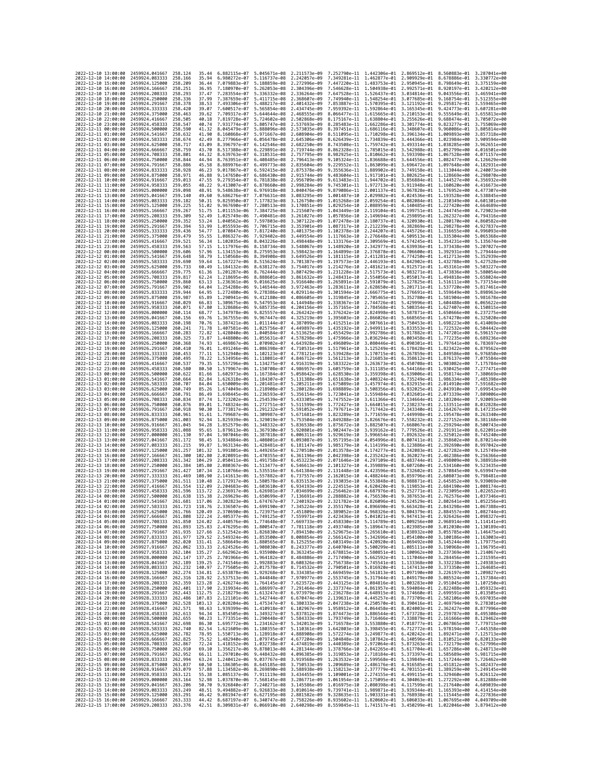| 2022-12-10 13:00:00                        |                     | 2459924.041667                           | 258.124                   | 35.44            | 6.882115e-07 5.045671e-08                                                               |                                           | 2.211573e-09                                                                                                                                                                                                                                                                                                                                                                               | 7.252790e-11 1.442306e-01 2.869512e-01                                           |                                           |                                                        | 8.560883e-01                                                                                                                                                                           | 3.287041e+00                 |
|--------------------------------------------|---------------------|------------------------------------------|---------------------------|------------------|-----------------------------------------------------------------------------------------|-------------------------------------------|--------------------------------------------------------------------------------------------------------------------------------------------------------------------------------------------------------------------------------------------------------------------------------------------------------------------------------------------------------------------------------------------|----------------------------------------------------------------------------------|-------------------------------------------|--------------------------------------------------------|----------------------------------------------------------------------------------------------------------------------------------------------------------------------------------------|------------------------------|
| 2022-12-10 14:00:00                        |                     | 2459924.083333                           | 258.166                   | 35.94            | 6.980272e-07                                                                            | 5.116737e-08                              | 2.242057e-09                                                                                                                                                                                                                                                                                                                                                                               | 7.349281e-11                                                                     | 1.462877e-01 2.909929e-01                 |                                                        | 8.678886e-01                                                                                                                                                                           | 3.330772e+00                 |
| 2022-12-10 15:00:00                        |                     | 2459924.125000                           | 258.209                   | 36.44            | 7.079883e-07                                                                            | 5.188859e-08                              | 2.272996e-09                                                                                                                                                                                                                                                                                                                                                                               | 7.447220e-11                                                                     | 1.483753e-01                              | 2.950945e-01                                           | 8.798649e-01                                                                                                                                                                           | 3.375159e+00                 |
| 2022-12-10 16:00:00<br>2022-12-10 17:00:00 |                     | 2459924.166667<br>2459924.208333         | 258.251<br>258.293        | 36.95<br>37.47   | 7.180970e-07<br>7.283554e-07                                                            | 5.262053e-08 2.304396e-09<br>5.336332e-08 | 2.336264e-09                                                                                                                                                                                                                                                                                                                                                                               | 7.546628e-11 1.504938e-01 2.992571e-01<br>7.647528e-11 1.526437e-01 3.034814e-01 |                                           |                                                        | 8.920197e-01<br>9.043556e-01                                                                                                                                                           | 3.420212e+00<br>3.465941e+00 |
| 2022-12-10 18:00:00                        |                     | 2459924.250000                           | 258.336                   | 37.99            | 7.387659e-07                                                                            | 5.411715e-08                              | 2.368607e-09                                                                                                                                                                                                                                                                                                                                                                               | 7.749940e-11                                                                     | 1.548254e-01                              | 3.077685e-01                                           | 9.168754e-01                                                                                                                                                                           | 3.512355e+00                 |
| 2022-12-10 19:00:00                        |                     | 2459924.291667                           | 258.378                   | 38.53            | 7.493306e-07                                                                            | 5.488217e-08                              | 2.401432e-09                                                                                                                                                                                                                                                                                                                                                                               | 7.853887e-11                                                                     | 1.570395e-01                              | 3.121192e-01                                           | 9.295817e-01                                                                                                                                                                           | 3.559465e+00                 |
| 2022-12-10 20:00:00                        |                     | 2459924.333333                           | 258,420                   | 39.07            | 7.600517e-07                                                                            | 5.565854e-08                              | 2.434745e-09                                                                                                                                                                                                                                                                                                                                                                               | 7.959392e-11                                                                     | 1.592864e-01 3.165345e-01                 |                                                        | 9.424773e-01                                                                                                                                                                           | 3.607281e+00                 |
| 2022-12-10 21:00:00<br>2022-12-10 22:00:00 |                     | 2459924.375000<br>2459924.416667         | 258,463<br>258.505        | 39.62<br>40.18   | 7.709317e-07<br>7.819728e-07                                                            | 5.644644e-08<br>5.724602e-08              | 2.468555e-09<br>2.502868e-09                                                                                                                                                                                                                                                                                                                                                               | 8.066477e-11<br>8.175167e-11                                                     | 1.615665e-01 3.210153e-01<br>1.638804e-01 | 3.255626e-01                                           | 9.555649e-01<br>9.688474e-01                                                                                                                                                           | 3.655813e+00<br>3.705072e+00 |
| 2022-12-10 23:00:00                        |                     | 2459924.458333                           | 258.547                   | 40.74            | 7.931774e-07                                                                            | 5.805747e-08                              | 2.537693e-09                                                                                                                                                                                                                                                                                                                                                                               | 8.285483e-11                                                                     | 1.662286e-01 3.301774e-01                 |                                                        | 9.823277e-01                                                                                                                                                                           | 3.755069e+00                 |
| 2022-12-11 00:00:00                        |                     | 2459924.500000                           | 258.590                   | 41.32            | 8.045479e-07                                                                            | 5.888096e-08                              | 2.573035e-09                                                                                                                                                                                                                                                                                                                                                                               | 8.397451e-11                                                                     | 1.686116e-01                              | 3.348607e-01                                           | 9.960086e-01                                                                                                                                                                           | 3.805814e+00                 |
| 2022-12-11 01:00:00                        |                     | 2459924.541667                           | 258.632                   | 41.90            | 8.160868e-07                                                                            | 5.971667e-08                              | 2.608904e-09                                                                                                                                                                                                                                                                                                                                                                               | 8.511095e-11                                                                     | 1.710298e-01                              | 3.396134e-01                                           | 1.009893e+00                                                                                                                                                                           | 3.857318e+00                 |
| 2022-12-11 02:00:00<br>2022-12-11 03:00:00 |                     | 2459924.583333<br>2459924.625000         | 258.674<br>258.717        | 42.49<br>43.09   | 8.277966e-07<br>8.396797e-07                                                            | 6.056478e-08<br>6.142546e-08              | 2.645306e-09<br>2.682250e-09                                                                                                                                                                                                                                                                                                                                                               | 8.626439e-11<br>8.743508e-11                                                     | 1.734839e-01                              | 3.444366e-01<br>1.759742e-01 3.493314e-01              | 1.023984e+00<br>1.038285e+00                                                                                                                                                           | 3.909594e+00<br>3.962651e+00 |
| 2022-12-11 04:00:00                        |                     | 2459924.666667                           | 258.759                   | 43.70            | 8.517388e-07                                                                            | 6.229891e-08                              | 2.719744e-09                                                                                                                                                                                                                                                                                                                                                                               | 8.862328e-11                                                                     | 1.785015e-01 3.542988e-01                 |                                                        | 1.052799e+00                                                                                                                                                                           | 4.016501e+00                 |
| 2022-12-11 05:00:00                        |                     | 2459924.708333                           | 258.801                   | 44.32            | 8.639763e-07                                                                            | 6.318531e-08                              | 2.757795e-09                                                                                                                                                                                                                                                                                                                                                                               | 8.982925e-11                                                                     | 1.810662e-01                              | 3.593398e-01                                           | 1.067528e+00                                                                                                                                                                           | 4.071157e+00                 |
| 2022-12-11 06:00:00                        |                     | 2459924.750000                           | 258,844                   | 44.94            | 8.763951e-07                                                                            | 6.408485e-08                              | 2.796413e-09                                                                                                                                                                                                                                                                                                                                                                               | 9.105324e-11                                                                     | 1.836688e-01                              | 3.644556e-01                                           | 1.082477e+00                                                                                                                                                                           | 4.126629e+00                 |
| 2022-12-11 07:00:00                        |                     | 2459924.791667<br>2459924.833333         | 258,886<br>258.928        | 45.58<br>46.23   | 8.889976e-07                                                                            | 6.499773e-08<br>6.592415e-08              | 2.835604e-09                                                                                                                                                                                                                                                                                                                                                                               | 9.229552e-11                                                                     |                                           | 1.863099e-01 3.696472e-01 1.097648e+00                 |                                                                                                                                                                                        | 4.182931e+00<br>4.240073e+00 |
| 2022-12-11 08:00:00<br>2022-12-11 09:00:00 |                     | 2459924.875000                           | 258.971                   | 46.88            | 9.017867e-07<br>9.147650e-07                                                            | 6.686430e-08                              | 2.875378e-09<br>2.915744e-09                                                                                                                                                                                                                                                                                                                                                               | 9.355636e-11 1.889902e-01 3.749158e-01 1.113044e+00<br>9.483604e-11              | 1.917101e-01                              | 3.802625e-01                                           | 1.128669e+00                                                                                                                                                                           | 4.298070e+00                 |
| 2022-12-11 10:00:00                        |                     | 2459924.916667                           | 259.013                   | 47.55            | 9.279354e-07                                                                            | 6.781838e-08                              | 2.956709e-09                                                                                                                                                                                                                                                                                                                                                                               | 9.613483e-11                                                                     | 1,944702e-01 3,856884e-01                 |                                                        | 1.144527e+00                                                                                                                                                                           | 4.356932e+00                 |
| 2022-12-11 11:00:00                        |                     | 2459924.958333                           | 259.055                   | 48.22            | 9.413007e-07                                                                            | 6.878660e-08                              | 2.998284e-09                                                                                                                                                                                                                                                                                                                                                                               | 9.745301e-11                                                                     | 1.972713e-01                              | 3.911948e-01                                           | 1.160620e+00                                                                                                                                                                           | 4.416673e+00                 |
| 2022-12-11 12:00:00<br>2022-12-11 13:00:00 |                     | 2459925.000000                           | 259.098                   | 48.91            | 9.548638e-07                                                                            | 6.976918e-08                              | 3.040476e-09<br>3.083295e-09                                                                                                                                                                                                                                                                                                                                                               | 9.879086e-11                                                                     | 2.001137e-01                              | 3.967828e-01                                           | 1.176952e+00                                                                                                                                                                           | 4.477307e+00                 |
| 2022-12-11 14:00:00                        |                     | 2459925.041667<br>2459925.083333         | 259.140<br>259.182        | 49.60<br>50.31   | 9.686276e-07<br>9.825950e-07                                                            | 7.076631e-08<br>7.177823e-08              | 3.126750e-09                                                                                                                                                                                                                                                                                                                                                                               | 1.001487e-10<br>1.015268e-10                                                     | 2.029982e-01                              | 4.024536e-01<br>2.059254e-01 4.082084e-01 1.210349e+00 | 1.193528e+00                                                                                                                                                                           | 4.538845e+00<br>4.601301e+00 |
| 2022-12-11 15:00:00                        |                     | 2459925.125000                           | 259.225                   | 51.02            | 9.967690e-07                                                                            | 7.280513e-08                              | 3.170851e-09                                                                                                                                                                                                                                                                                                                                                                               | 1.029254e-10                                                                     | 2.088959e-01                              | 4.140485e-01                                           | 1,227420e+00                                                                                                                                                                           | 4.664689e+00                 |
| 2022-12-11 16:00:00                        |                     | 2459925,166667                           | 259.267                   | 51.75            | 1.011153e-06                                                                            | 7.384725e-08                              | 3.215607e-09                                                                                                                                                                                                                                                                                                                                                                               | 1.043449e-10                                                                     | 2.119104e-01                              | 4.199751e-01                                           | 1,244745e+00                                                                                                                                                                           | 4.729023e+00                 |
| 2022-12-11 17:00:00                        |                     | 2459925.208333                           | 259,309                   | 52.49            | 1.025749e-06                                                                            | 7.490481e-08                              | 3.261027e-09                                                                                                                                                                                                                                                                                                                                                                               | 1.057856e-10                                                                     | 2.149694e-01 4.259895e-01                 |                                                        | 1.262327e+00                                                                                                                                                                           | 4.794316e+00                 |
| 2022-12-11 18:00:00<br>2022-12-11 19:00:00 |                     | 2459925.250000<br>2459925.291667         | 259.352<br>259.394        | 53.24<br>53.99   | 1.040562e-06<br>1.055593e-06                                                            | 7.597803e-08<br>7.706715e-08              | 3.307122e-09<br>3.353901e-09                                                                                                                                                                                                                                                                                                                                                               | 1.072478e-10<br>1.087317e-10                                                     | 2.212239e-01 4.382869e-01                 | 2.180737e-01 4.320930e-01 1.280170e+00                 | 1,298278e+00                                                                                                                                                                           | 4.860582e+00<br>4.927837e+00 |
| 2022-12-11 20:00:00                        |                     | 2459925.333333                           | 259.436                   | 54.77            | 1.070847e-06                                                                            | 7.817240e-08                              | 3.401375e-09                                                                                                                                                                                                                                                                                                                                                                               | 1.102378e-10                                                                     | 2.244207e-01                              | 4.445726e-01                                           | 1.316655e+00                                                                                                                                                                           | 4.996093e+00                 |
| 2022-12-11 21:00:00                        |                     | 2459925.375000                           | 259.479                   | 55.55            | 1.086327e-06                                                                            | 7.929402e-08                              | 3.449554e-09                                                                                                                                                                                                                                                                                                                                                                               | 1.117663e-10                                                                     | 2.276648e-01 4.509513e-01                 |                                                        | 1.335304e+00                                                                                                                                                                           | 5.065368e+00                 |
| 2022-12-11 22:00:00                        |                     | 2459925.416667                           | 259.521                   | 56.34            | 1.102035e-06 8.043226e-08                                                               |                                           | 3.498448e-09                                                                                                                                                                                                                                                                                                                                                                               | 1.133176e-10                                                                     | 2.309569e-01                              | 4.574245e-01 1.354231e+00                              |                                                                                                                                                                                        | 5.135674e+00                 |
| 2022-12-11 23:00:00                        |                     | 2459925.458333                           | 259.563                   | 57.15            | 1.117976e-06                                                                            | 8.158734e-08                              | 3.548067e-09                                                                                                                                                                                                                                                                                                                                                                               | 1.148920e-10                                                                     | 2.342977e-01                              | 4.639936e-01                                           | 1.373438e+00                                                                                                                                                                           | 5.207027e+00                 |
| 2022-12-12 00:00:00<br>2022-12-12 01:00:00 |                     | 2459925.500000<br>2459925.541667         | 259.606<br>259.648        | 57.96<br>58.79   | 1.134153e-06<br>1.150568e-06                                                            | 8.275953e-08<br>8.394908e-08              | 3.598423e-09<br>3.649526e-09                                                                                                                                                                                                                                                                                                                                                               | 1.164899e-10<br>1.181115e-10                                                     | 2.376878e-01<br>2.411281e-01              | 4.706600e-01<br>4.774250e-01 1.412713e+00              | 1.392931e+00                                                                                                                                                                           | 5.279444e+00<br>5.352939e+00 |
| 2022-12-12 02:00:00                        |                     | 2459925.583333                           | 259.690                   | 59.64            | 1.167227e-06                                                                            | 8.515624e-08                              | 3.701387e-09                                                                                                                                                                                                                                                                                                                                                                               | 1.197573e-10                                                                     | 2.446193e-01                              | 4.842902e-01                                           | 1.432788e+00                                                                                                                                                                           | 5.427528e+00                 |
| 2022-12-12 03:00:00                        |                     | 2459925.625000                           | 259.733                   | 60.49            | 1.184132e-06                                                                            | 8.638127e-08                              | 3.754017e-09                                                                                                                                                                                                                                                                                                                                                                               | 1.214276e-10                                                                     | 2.481621e-01                              | 4.912571e-01                                           | 1.453161e+00                                                                                                                                                                           | 5.503227e+00                 |
| 2022-12-12 04:00:00                        |                     | 2459925.666667<br>2459925.708333         | 259,775<br>259.817        | 61.36<br>62.24   | 1.201287e-06                                                                            | 8.762444e-08                              | 3.807429e-09<br>3.861632e-09                                                                                                                                                                                                                                                                                                                                                               | 1.231228e-10                                                                     |                                           | 2.517573e-01 4.983271e-01                              | 1.473836e+00                                                                                                                                                                           | 5.580054e+00<br>5.658024e+00 |
| 2022-12-12 05:00:00<br>2022-12-12 06:00:00 |                     | 2459925.750000                           | 259.860                   | 63.13            | 1.218695e-06<br>1.236361e-06                                                            | 8.888601e-08<br>9.016625e-08              | 3.916640e-09                                                                                                                                                                                                                                                                                                                                                                               | 1.248431e-10<br>1.265891e-10                                                     | 2.554056e-01<br>2.591079e-01              | 5.055017e-01 1.494818e+00<br>5.127825e-01              | 1.516111e+00                                                                                                                                                                           | 5.737154e+00                 |
| 2022-12-12 07:00:00                        |                     | 2459925.791667                           | 259.902                   | 64.04            | 1.254288e-06                                                                            | 9.146544e-08                              | 3.972463e-09                                                                                                                                                                                                                                                                                                                                                                               | 1.283611e-10                                                                     | 2.628650e-01                              | 5.201711e-01                                           | 1.537720e+00                                                                                                                                                                           | 5.817461e+00                 |
| 2022-12-12 08:00:00                        |                     | 2459925.833333                           | 259.944                   | 64.95            | 1.272480e-06                                                                            | 9.278386e-08                              | 4.029114e-09                                                                                                                                                                                                                                                                                                                                                                               | 1.301594e-10                                                                     |                                           |                                                        | 2.666775e-01 5.276691e-01 1.559649e+00                                                                                                                                                 | 5.898963e+00                 |
| 2022-12-12 09:00:00                        |                     | 2459925.875000                           | 259.987                   | 65.89            | 1.290941e-06                                                                            | 9.412180e-08                              | 4.086605e-09                                                                                                                                                                                                                                                                                                                                                                               | 1.319845e-10                                                                     |                                           | 2.705465e-01 5.352780e-01 1.581904e+00                 |                                                                                                                                                                                        | 5.981678e+00                 |
| 2022-12-12 10:00:00<br>2022-12-12 11:00:00 |                     | 2459925.916667<br>2459925.958333         | 260.029<br>260.071        | 66.83<br>67.80   | 1.309675e-06<br>1.328686e-06                                                            | 9.547953e-08<br>9.685735e-08              | 4.144948e-09<br>4.204156e-09                                                                                                                                                                                                                                                                                                                                                               | 1.338367e-10<br>1.357165e-10                                                     | 2.744726e-01<br>2.784568e-01              | 5.429996e-01<br>5.508354e-01                           | 1.604488e+00<br>1.627407e+00                                                                                                                                                           | 6.065622e+00<br>6.150815e+00 |
| 2022-12-12 12:00:00                        |                     | 2459926.000000                           | 260.114                   | 68.77            | 1.347978e-06                                                                            | 9.825557e-08                              | 4.264242e-09                                                                                                                                                                                                                                                                                                                                                                               | 1.376242e-10                                                                     | 2.824998e-01                              | 5.587871e-01                                           | 1.650666e+00                                                                                                                                                                           | 6.237275e+00                 |
| 2022-12-12 13:00:00                        |                     | 2459926.041667                           | 260,156                   | 69.76            | 1.367555e-06                                                                            | 9.967447e-08                              | 4.325219e-09                                                                                                                                                                                                                                                                                                                                                                               | 1.395603e-10                                                                     |                                           | 2.866026e-01 5.668565e-01 1.674270e+00                 |                                                                                                                                                                                        | 6.325020e+00                 |
| 2022-12-12 14:00:00                        |                     | 2459926.083333                           | 260.198                   | 70.76            | 1.387421e-06                                                                            | 1.011144e-07                              | 4.387099e-09                                                                                                                                                                                                                                                                                                                                                                               | 1.415251e-10                                                                     | 2.907661e-01                              | 5.750453e-01                                           | 1.698223e+00                                                                                                                                                                           | 6.414069e+00                 |
| 2022-12-12 15:00:00<br>2022-12-12 16:00:00 |                     | 2459926.125000<br>2459926.166667         | 260.241<br>260,283        | 71.78<br>72.82   | 1.407581e-06<br>1.428040e-06                                                            | 1.025756e-07<br>1.040584e-07              | 4.449897e-09<br>4.513625e-09                                                                                                                                                                                                                                                                                                                                                               | 1.435192e-10<br>1.455429e-10                                                     | 2.992786e-01                              | 2.949911e-01 5.833553e-01 1.722532e+00<br>5.917882e-01 | 1.747201e+00                                                                                                                                                                           | 6.504442e+00<br>6.596157e+00 |
| 2022-12-12 17:00:00                        |                     | 2459926.208333                           | 260,325                   | 73.87            | 1,448800e-06                                                                            | 1.055631e-07                              | 4.578298e-09                                                                                                                                                                                                                                                                                                                                                                               | 1.475966e-10                                                                     | 3.036294e-01                              | 6.003458e-01                                           | 1.772235e+00                                                                                                                                                                           | 6.689236e+00                 |
| 2022-12-12 18:00:00                        |                     | 2459926.250000                           | 260, 368                  | 74.93            | 1.469867e-06                                                                            | 1.070902e-07                              | 4.643928e-09                                                                                                                                                                                                                                                                                                                                                                               | 1.496809e-10                                                                     | 3.080446e-01                              | 6.090301e-01                                           | 1.797641e+00                                                                                                                                                                           | 6.783697e+00                 |
| 2022-12-12 19:00:00                        |                     | 2459926.291667                           | 260.410                   | 76.01            | 1.491246e-06 1.086398e-07 4.710531e-09                                                  |                                           |                                                                                                                                                                                                                                                                                                                                                                                            | 1.517961e-10                                                                     |                                           | 3.125249e-01  6.178428e-01  1.823422e+00               |                                                                                                                                                                                        | 6.879562e+00                 |
| 2022-12-12 20:00:00<br>2022-12-12 21:00:00 |                     | 2459926.333333<br>2459926.375000         | 260.453<br>260.495        | 77.11<br>78.22   | 1.512940e-06 1.102123e-07<br>1.534956e-06                                               | 1.118081e-07                              | 4.778121e-09<br>4.846712e-09                                                                                                                                                                                                                                                                                                                                                               | 1.539428e-10<br>1.561213e-10                                                     | 3.216853e-01                              | 3.170715e-01 6.267859e-01 1.849586e+00<br>6.358612e-01 | 1.876137e+00                                                                                                                                                                           | 6.976850e+00<br>7.075584e+00 |
| 2022-12-12 22:00:00                        |                     | 2459926.416667                           | 260.537                   | 79.35            | 1.557296e-06                                                                            | 1.134275e-07                              | 4.916319e-09                                                                                                                                                                                                                                                                                                                                                                               | 1.583322e-10                                                                     | 3.263673e-01                              | 6.450708e-01                                           | 1.903082e+00                                                                                                                                                                           | 7.175784e+00                 |
| 2022-12-12 23:00:00                        |                     | 2459926.458333                           | 260.580                   | 80.50            | 1.579967e-06                                                                            | 1.150708e-07                              | 4.986957e-09                                                                                                                                                                                                                                                                                                                                                                               | 1.605759e-10                                                                     | 3.311185e-01                              | 6.544166e-01                                           | 1,930425e+00                                                                                                                                                                           | 7.277471e+00                 |
| 2022-12-13 00:00:00                        |                     | 2459926.500000                           | 260.622                   | 81.66            | 1.602973e-06                                                                            | 1.167384e-07                              | 5.058642e-09                                                                                                                                                                                                                                                                                                                                                                               | 1.628530e-10                                                                     |                                           | 3.359398e-01 6.639006e-01 1.958174e+00                 |                                                                                                                                                                                        | 7.380669e+00                 |
| 2022-12-13 01:00:00<br>2022-12-13 02:00:00 |                     | 2459926.541667<br>2459926.583333         | 260,664<br>260,707        | 82.84<br>84.04   | 1.626318e-06<br>1.650009e-06                                                            | 1.184307e-07                              | 5.131388e-09                                                                                                                                                                                                                                                                                                                                                                               | 1.651638e-10                                                                     | 3.408324e-01                              | 6.735249e-01                                           | 1,986334e+00<br>2.014910e+00                                                                                                                                                           | 7.485398e+00<br>7.591682e+00 |
| 2022-12-13 03:00:00                        |                     | 2459926.625000                           | 260.749                   | 85.26            | 1.674049e-06                                                                            | 1.201481e-07<br>1.218908e-07              | 5.205211e-09<br>5.280128e-09                                                                                                                                                                                                                                                                                                                                                               | 1.675089e-10<br>1.698889e-10                                                     | 3.457974e-01 6.832915e-01<br>3.508356e-01 | 6.932025e-01                                           | 2.043910e+00                                                                                                                                                                           | 7.699543e+00                 |
| 2022-12-13 04:00:00                        |                     | 2459926.666667                           | 260.791                   | 86.49            | 1.698445e-06                                                                            | 1.236593e-07                              | 5.356154e-09                                                                                                                                                                                                                                                                                                                                                                               | 1.723041e-10                                                                     | 3.559484e-01                              | 7.032601e-01                                           | 2.073339e+00                                                                                                                                                                           | 7.809006e+00                 |
| 2022-12-13 05:00:00                        |                     | 2459926.708333                           | 260.834                   | 87.74            | 1.723202e-06                                                                            | 1.254539e-07                              | 5.433305e-09                                                                                                                                                                                                                                                                                                                                                                               | 1.747552e-10                                                                     | 3.611366e-01                              | 7.134664e-01                                           | 2.103204e+00                                                                                                                                                                           | 7.920093e+00                 |
| 2022-12-13 06:00:00                        |                     | 2459926.750000                           | 260.876                   | 89.01<br>90.30   | 1.748324e-06                                                                            | 1.272751e-07                              | 5.511599e-09                                                                                                                                                                                                                                                                                                                                                                               | 1.772427e-10                                                                     | 3.664015e-01 7.238237e-01                 |                                                        | 2.133511e+00                                                                                                                                                                           | 8.032828e+00<br>8.147235e+00 |
| 2022-12-13 07:00:00<br>2022-12-13 08:00:00 |                     | 2459926.791667<br>2459926.833333         | 260.918<br>260.961        | 91.61            | 1.773817e-06<br>1.799687e-06                                                            | 1.291232e-07<br>1.309987e-07              | 5.591052e-09<br>5.671681e-09                                                                                                                                                                                                                                                                                                                                                               | 1.797671e-10<br>1.823289e-10                                                     | 3.717442e-01<br>3.771659e-01              | 7.343340e-01<br>7.449998e-01                           | 2.164267e+00<br>2.195478e+00                                                                                                                                                           | 8.263340e+00                 |
| 2022-12-13 09:00:00                        |                     | 2459926.875000                           | 261,003                   | 92.94            | 1.825939e-06                                                                            | 1.329019e-07                              | 5.753504e-09                                                                                                                                                                                                                                                                                                                                                                               | 1.849288e-10                                                                     | 3.826676e-01                              | 7.558232e-01                                           | 2.227152e+00                                                                                                                                                                           | 8.381168e+00                 |
| 2022-12-13 10:00:00                        |                     | 2459926.916667                           | 261.045                   | 94.28            | 1.852579e-06                                                                            | 1.348332e-07                              | 5.836538e-09                                                                                                                                                                                                                                                                                                                                                                               | 1.875672e-10                                                                     | 3.882507e-01 7.668067e-01                 |                                                        | 2.259294e+00                                                                                                                                                                           | 8.500743e+00                 |
| 2022-12-13 11:00:00                        |                     | 2459926.958333                           | 261,088                   | 95.65            | 1.879613e-06                                                                            | 1.367930e-07                              | 5.920801e-09                                                                                                                                                                                                                                                                                                                                                                               | 1.902447e-10                                                                     |                                           | 3.939162e-01 7.779526e-01                              | 2.291911e+00                                                                                                                                                                           | 8.622091e+00                 |
| 2022-12-13 12:00:00<br>2022-12-13 13:00:00 |                     | 2459927.000000<br>2459927.041667         | 261,130<br>261, 172       | 97.04<br>98.45   | 1.907046e-06<br>1.934884e-06                                                            | 1.387818e-07<br>1.408001e-07              | 6.006311e-09<br>6.093087e-09                                                                                                                                                                                                                                                                                                                                                               | 1.929619e-10<br>1.957195e-10                                                     | 3.996654e-01<br>4.054996e-01 8.007411e-01 | 7.892632e-01                                           | 2.325012e+00<br>2.358602e+00                                                                                                                                                           | 8.745240e+00<br>8.870214e+00 |
| 2022-12-13 14:00:00                        |                     | 2459927.083333                           | 261.215                   | 99.87            | 1.963134e-06                                                                            | 1.428481e-07                              | 6.181147e-09                                                                                                                                                                                                                                                                                                                                                                               | 1.985179e-10                                                                     | 4.114199e-01                              | 8.123886e-01                                           | 2.392690e+00                                                                                                                                                                           | 8.997042e+00                 |
| 2022-12-13 15:00:00                        |                     | 2459927.125000                           | 261,257                   | 101.32           | 1.991801e-06                                                                            | 1.449265e-07                              | 6.270510e-09                                                                                                                                                                                                                                                                                                                                                                               | 2.013578e-10                                                                     | 4.174277e-01                              | 8.242083e-01                                           | 2.427282e+00                                                                                                                                                                           | 9.125749e+00                 |
| 2022-12-13 16:00:00                        |                     | 2459927.166667                           | 261.300                   | 102.80           | 2.020891e-06                                                                            | 1.470355e-07                              | 6.361196e-09                                                                                                                                                                                                                                                                                                                                                                               | 2.042398e-10                                                                     | 4.235242e-01                              | 8.362027e-01                                           | 2.462386e+00                                                                                                                                                                           | 9.256366e+00                 |
| 2022-12-13 17:00:00<br>2022-12-13 18:00:00 |                     | 2459927.208333<br>2459927.250000         | 261.342<br>261, 384       | 104.29<br>105.80 | 2.050411e-06 1.491758e-07<br>2.080367e-06                                               | 1.513477e-07                              | 6.453223e-09<br>6.546613e-09                                                                                                                                                                                                                                                                                                                                                               | 2.071646e-10<br>2.101327e-10                                                     | 4.297109e-01<br>4.359889e-01              | 8.483744e-01<br>8.607260e-01                           | 2.498009e+00<br>2.534160e+00                                                                                                                                                           | 9.388918e+00<br>9.523435e+00 |
| 2022-12-13 19:00:00                        |                     | 2459927.291667                           | 261.427                   | 107.34           | 2.110766e-06                                                                            | 1.535516e-07                              | 6.641384e-09                                                                                                                                                                                                                                                                                                                                                                               |                                                                                  | 4.423596e-01                              | 8.732602e-01                                           | 2.570845e+00                                                                                                                                                                           | 9.659947e+00                 |
| 2022-12-13 20:00:00                        |                     | 2459927.333333                           | 261.469                   | 108.90           | 2.141613e-06                                                                            | 1.557882e-07                              |                                                                                                                                                                                                                                                                                                                                                                                            | 2.131448e-10                                                                     |                                           |                                                        |                                                                                                                                                                                        | 9.798481e+00                 |
| 2022-12-13 21:00:00                        |                     | 2459927.375000                           | 261.511                   | 110.48           | 2.172917e-06                                                                            |                                           | 6.737557e-09                                                                                                                                                                                                                                                                                                                                                                               | 2.162015e-10                                                                     | 4.488244e-01 8.859796e-01                 |                                                        | 2.608073e+00                                                                                                                                                                           |                              |
| 2022-12-13 22:00:00                        |                     | 2459927.416667                           |                           |                  |                                                                                         | 1.580578e-07                              | 6.835153e-09                                                                                                                                                                                                                                                                                                                                                                               | 2.193035e-10                                                                     | 4.553848e-01                              | 8.988871e-01                                           | 2.645852e+00                                                                                                                                                                           | 9.939069e+00                 |
| 2022-12-13 23:00:00<br>2022-12-14 00:00:00 |                     |                                          | 261.554                   | 112,09           | 2.204683e-06                                                                            | 1.603610e-07                              | 6.934193e-09                                                                                                                                                                                                                                                                                                                                                                               | 2.224515e-10                                                                     | 4.620420e-01                              | 9.119853e-01                                           | 2.684190e+00                                                                                                                                                                           | 1.008174e+01                 |
| 2022-12-14 01:00:00                        |                     | 2459927.458333                           | 261.596                   | 113.72           | 2.236917e-06                                                                            | 1.626981e-07                              | 7.034699e-09                                                                                                                                                                                                                                                                                                                                                                               | 2.256462e-10                                                                     | 4.687976e-01                              | 9.252771e-01                                           | 2.723095e+00                                                                                                                                                                           | 1.022652e+01                 |
| 2022-12-14 02:00:00                        |                     | 2459927.500000<br>2459927.541667         | 261.638<br>261.681 117.06 | 115.38           | 2.269629e-06 1.650699e-07 7.136691e-09<br>2.302823e-06 1.674767e-07 7.240192e-09        |                                           |                                                                                                                                                                                                                                                                                                                                                                                            | 2.288882e-10                                                                     |                                           | 4.756530e-01 9.387653e-01                              | 2.762576e+00 1.037346e+01<br>2.321782e-10 4.826096e-01 9.524529e-01 2.802641e+00 1.052256e+01                                                                                          |                              |
| 2022<br>-12–14                             |                     | 2459927.583333                           | 261.723                   | 118.76           |                                                                                         |                                           | 2.336507e-06 1.699190e-07 7.345224e-09 2.355170e-10 4.896690e-01 9.663428e-01 2.843298e+00 1.067388e+01                                                                                                                                                                                                                                                                                    |                                                                                  |                                           |                                                        |                                                                                                                                                                                        |                              |
|                                            | 03:00:00            | 2459927.625000                           | 261.766                   | 120.49           | 2.370690e-06                                                                            | 1.723975e-07                              | 7.451809e-09                                                                                                                                                                                                                                                                                                                                                                               | 2.389052e-10                                                                     | 4.968326e-01                              | 9.804379e-01                                           | 2.884557e+00                                                                                                                                                                           |                              |
|                                            | 2022-12-14 04:00:00 | 2459927.666667                           | 261.808 122.24            |                  |                                                                                         |                                           | 2.405377e-06 1.749125e-07 7.559971e-09 2.423436e-10 5.041021e-01 9.947413e-01 2.926426e+00 1.098327e+01                                                                                                                                                                                                                                                                                    |                                                                                  |                                           |                                                        |                                                                                                                                                                                        |                              |
| 2022-12-14 06:00:00                        | 2022-12-14 05:00:00 | 2459927.708333<br>2459927.750000         | 261.850<br>261.893        | 124.02<br>125.83 | 2.476295e-06                                                                            |                                           | 2.440576e-06 1.774648e-07 7.669733e-09 2.458330e-10 5.114789e-01 1.009256e+00 2.968914e+00 1.114141e+01<br>1.800547e-07 7.781118e-09 2.493740e-10 5.189647e-01 1.023985e+00 3.012030e+00 1.130189e+01                                                                                                                                                                                      |                                                                                  |                                           |                                                        |                                                                                                                                                                                        |                              |
| 2022-12-14 07:00:00                        |                     | 2459927.791667                           | 261.935                   | 127.66           |                                                                                         |                                           | 2.512542e-06 1.826830e-07 7.894150e-09 2.529675e-10 5.265610e-01 1.038932e+00 3.055785e+00 1.146475e+01                                                                                                                                                                                                                                                                                    |                                                                                  |                                           |                                                        |                                                                                                                                                                                        |                              |
| 2022-12-14 08:00:00                        |                     | 2459927.833333                           | 261.977                   |                  |                                                                                         |                                           | 129.52 2.549324e-06 1.853500e-07 8.008854e-09 2.566142e-10 5.342696e-01 1.054100e+00 3.100186e+00 1.163003e+01                                                                                                                                                                                                                                                                             |                                                                                  |                                           |                                                        |                                                                                                                                                                                        |                              |
| 2022-12-14 09:00:00<br>2022-12-14 10:00:00 |                     | 2459927.875000<br>2459927.916667         | 262.020<br>262.062        | 133.33           | 131.41 2.586649e-06 1.880565e-07 8.125255e-09<br>2.624526e-06 1.908030e-07 8.243377e-09 |                                           |                                                                                                                                                                                                                                                                                                                                                                                            |                                                                                  |                                           |                                                        |                                                                                                                                                                                        |                              |
| 2022-12-14 11:00:00                        |                     | 2459927.958333                           | 262.104 135.27            |                  |                                                                                         |                                           | 2.662962e-06 1.935900e-07 8.363245e-09 2.678815e-10 5.580851e-01 1.100962e+00 3.237369e+00 1.214067e+01                                                                                                                                                                                                                                                                                    |                                                                                  |                                           |                                                        | $\begin{array}{cccc} 2.603149e-10 & 5.420920e-01 & 1.069492e+00 & 3.145244e+00 & 1.179775e+01 \\ 2.640704e-10 & 5.500299e-01 & 1.085111e+00 & 3.190968e+00 & 1.196795e+01 \end{array}$ |                              |
| 2022-12-14 12:00:00                        |                     | 2459928.000000                           | 262.147                   |                  |                                                                                         |                                           | 137.25 2.701966e-06 1.964182e-07 8.484886e-09 2.717490e-10 5.662592e-01 1.117046e+00 3.284456e+00 1.231595e+01                                                                                                                                                                                                                                                                             |                                                                                  |                                           |                                                        |                                                                                                                                                                                        |                              |
| 2022-12-14 13:00:00                        |                     | 2459928.041667                           | 262.189                   | 139.25           |                                                                                         |                                           |                                                                                                                                                                                                                                                                                                                                                                                            |                                                                                  |                                           |                                                        |                                                                                                                                                                                        |                              |
| 2022-12-14 14:00:00<br>2022-12-14 15:00:00 |                     | 2459928.083333<br>2459928.125000         | 262.232<br>262.274        | 140.97           |                                                                                         |                                           | 2.741546e-06 1.992883e-07 8.608326e-09 2.756738e-10 5.745541e-01 1.133368e+00 3.332238e+00 1.249383e+01<br>2.775605e-06 2.017578e-07 8.714532e-09 2.790501e-10 5.816920e-01 1.147413e+00 3.373350e+00 1.264685e+01<br>134.81 2.653878e-06 1.929268e-07 8.334385e-09 2.669459e-10 5.561813e-01 1.097190e+00 3.226197e+00 1.209827e+01                                                       |                                                                                  |                                           |                                                        |                                                                                                                                                                                        |                              |
| 2022-12-14 16:00:00                        |                     | 2459928.166667                           |                           |                  |                                                                                         |                                           | 262.316 128.92 2.537513e-06 1.844848e-07 7.970977e-09 2.553745e-10 5.317944e-01 1.049179e+00 3.085524e+00 1.157384e+01                                                                                                                                                                                                                                                                     |                                                                                  |                                           |                                                        |                                                                                                                                                                                        |                              |
| 2022-12-14 17:00:00                        |                     | 2459928.208333                           | 262.359                   | 123.28           |                                                                                         |                                           | 2.426274e-06 1.764145e-07 7.623572e-09 2.443125e-10 5.084816e-01 1.003283e+00 2.951045e+00 1.107250e+01                                                                                                                                                                                                                                                                                    |                                                                                  |                                           |                                                        |                                                                                                                                                                                        |                              |
| 2022-12-14 18:00:00                        |                     | 2459928.250000                           |                           |                  |                                                                                         |                                           | 262.401 117.90 2.319934e-06 1.686997e-07 7.291464e-09 2.337374e-10 4.861957e-01 9.594084e-01 2.822488e+00 1.059323e+01                                                                                                                                                                                                                                                                     |                                                                                  |                                           |                                                        |                                                                                                                                                                                        |                              |
| 2022-12-14 19:00:00                        |                     | 2459928.291667                           | 262.443<br>262.486 107.83 | 112.75           |                                                                                         |                                           | 2.218279e-06 1.613247e-07 6.973979e-09 2.236278e-10 4.648915e-01 9.174660e-01 2.699591e+00 1.013505e+01                                                                                                                                                                                                                                                                                    |                                                                                  |                                           |                                                        |                                                                                                                                                                                        |                              |
| 2022-12-14 20:00:00<br>2022-12-14 21:00:00 |                     | 2459928.333333<br>2459928.375000         | 262.528 103.13            |                  |                                                                                         |                                           | 2.121101e-06 1.542744e-07 6.670474e-09 2.139631e-10 4.445257e-01 8.773709e-01 2.582106e+00 9.697035e+00<br>2.028204e-06 1.475347e-07 6.380333e-09 2.047238e-10 4.250570e-01 8.390416e-01 2.469794e+00 9.278301e+00                                                                                                                                                                         |                                                                                  |                                           |                                                        |                                                                                                                                                                                        |                              |
| 2022-12-14 22:00:00                        |                     | 2459928.416667                           | 262.571                   |                  |                                                                                         |                                           | 98.63 1.939399e-06 1.410918e-07 6.102967e-09 1.958912e-10 4.064458e-01 8.024003e-01 2.362427e+00 8.877996e+00                                                                                                                                                                                                                                                                              |                                                                                  |                                           |                                                        |                                                                                                                                                                                        |                              |
| 2022-12-14 23:00:00                        |                     | 2459928.458333 262.613                   |                           |                  |                                                                                         |                                           | 94.34 1.854505e-06 1.349327e-07 5.837812e-09 1.874473e-10 3.886544e-01 7.673728e-01 2.259787e+00 8.495308e+00                                                                                                                                                                                                                                                                              |                                                                                  |                                           |                                                        |                                                                                                                                                                                        |                              |
| 2022-12-15 00:00:00                        |                     | 2459928.500000                           | 262,655                   | 90.23<br>86.30   |                                                                                         |                                           |                                                                                                                                                                                                                                                                                                                                                                                            |                                                                                  |                                           |                                                        |                                                                                                                                                                                        |                              |
| 2022-12-15 01:00:00<br>2022-12-15 02:00:00 |                     | 2459928.541667<br>2459928.583333         | 262.698<br>262.740        |                  |                                                                                         |                                           | 1.773351e-06 1.290448e-07 5.584333e-09 1.793749e-10 3.716466e-01 7.338879e-01 2.161666e+00 8.129462e+00<br>1.695772e-06 1.234162e-07 5.342013e-09 1.716578e-10 3.553880e-01 7.018777e-01 2.067865e+00 7.779715e+00<br>1.695772e-06 1.234162e-07 5.342013e-09 1.716578e-10<br>82.54 1.621609e-06 1.180355e-07 5.110361e-09 1.642803e-10 3.398455e-01 6.712772e-01 1.978194e+00 7.445358e+00 |                                                                                  |                                           |                                                        |                                                                                                                                                                                        |                              |
| 2022-12-15 03:00:00                        |                     | 2459928.625000                           | 262.782                   |                  |                                                                                         |                                           | 78.95 1.550713e-06 1.128918e-07 4.888908e-09 1.572274e-10 3.249877e-01 6.420242e-01 1.892471e+00 7.125713e+00                                                                                                                                                                                                                                                                              |                                                                                  |                                           |                                                        |                                                                                                                                                                                        |                              |
| 2022-12-15 04:00:00                        |                     | 2459928.666667                           | 262.825                   | 75.52            | 1.482940e-06                                                                            |                                           | 1.079745e-07 4.677204e-09 1.504848e-10 3.107842e-01 6.140596e-01 1.810521e+00 6.820133e+00                                                                                                                                                                                                                                                                                                 |                                                                                  |                                           |                                                        |                                                                                                                                                                                        |                              |
| 2022-12-15 05:00:00                        |                     | 2459928.708333                           | 262.867                   |                  |                                                                                         |                                           | 72.24 1.418152e-06 1.032738e-07 4.474819e-09 1.440389e-10 2.972064e-01 5.873263e-01 1.732179e+00 6.527996e+00                                                                                                                                                                                                                                                                              |                                                                                  |                                           |                                                        |                                                                                                                                                                                        |                              |
| 2022-12-15 06:00:00<br>2022-12-15 07:00:00 |                     | 2459928.750000 262.910<br>2459928.791667 | 262.952                   |                  |                                                                                         |                                           | 69.10 1.356217e-06 9.878013e-08 4.281344e-09 1.378766e-10 2.842265e-01 5.617704e-01 1.657286e+00 6.248713e+00                                                                                                                                                                                                                                                                              |                                                                                  |                                           |                                                        |                                                                                                                                                                                        |                              |
| 2022-12-15 08:00:00                        |                     | 2459928.833333                           | 262.994                   |                  |                                                                                         |                                           | 06.11 1.297010e-06 9.448432e-08 4.096385e-09 1.319853e-10 2.718184e-01 5.373397e-01 1.585689e+00 5.981715e+00<br>63.24 1.240412e-06 9.037767e-08 3.919568e-09 1.263532e-10 2.599568e-01 5.139849e-01 1.517244e+00 5.726462e+00                                                                                                                                                             |                                                                                  |                                           |                                                        |                                                                                                                                                                                        |                              |
| 2022-12-15 09:00:00                        |                     | 2459928.875000                           | 263.037                   |                  |                                                                                         |                                           | 60.50 1.186305e-06 8.645185e-08 3.750533e-09 1.209689e-10 2.486176e-01 4.916585e-01 1.451812e+00 5.482437e+00                                                                                                                                                                                                                                                                              |                                                                                  |                                           |                                                        |                                                                                                                                                                                        |                              |
| 2022-12-15 10:00:00                        |                     | 2459928.916667                           | 263.079                   |                  |                                                                                         |                                           |                                                                                                                                                                                                                                                                                                                                                                                            |                                                                                  |                                           |                                                        |                                                                                                                                                                                        |                              |
| 2022-12-15 11:00:00<br>2022-12-15 12:00:00 |                     | 2459928.958333<br>2459929.000000         | 263.121<br>263.164        |                  |                                                                                         |                                           | 57.88 1.134582e-06 8.269890e-08 3.588938e-09 1.158213e-10 2.377779e-01 4.703151e-01 1.389259e+00 5.249145e+00<br>55.38 1.085137e-06 7.911119e-08 3.434455e-09 1.109001e-10 2.274155e-01 4.499115e-01 1.329460e+00 5.026112e+00<br>52.98 1.037870e-06 7.568145e-08 3.286771e-09 1.061954e-10 2.175095e-01 4.304063e-01 1.272292e+00 4.812888e+00                                            |                                                                                  |                                           |                                                        |                                                                                                                                                                                        |                              |
| 2022-12-15 13:00:00                        |                     | 2459929.041667                           | 263.206                   |                  |                                                                                         |                                           | 50.70 9.926840e-07 7.240271e-08 3.145586e-09 1.016975e-10 2.080398e-01 4.117599e-01 1.217640e+00 4.609039e+00                                                                                                                                                                                                                                                                              |                                                                                  |                                           |                                                        |                                                                                                                                                                                        |                              |
| 2022-12-15 14:00:00                        |                     | 2459929.083333 263.249                   |                           |                  |                                                                                         |                                           | 48.51 9.494882e-07 6.926833e-08 3.010614e-09 9.739741e-11 1.989871e-01 3.939344e-01 1.165393e+00 4.414154e+00                                                                                                                                                                                                                                                                              |                                                                                  |                                           |                                                        |                                                                                                                                                                                        |                              |
| 2022-12-15 15:00:00<br>2022-12-15 16:00:00 |                     | 2459929.125000<br>2459929.166667         | 263.291<br>263.333        |                  |                                                                                         |                                           | 46.42 9.081947e-07 6.627195e-08 2.881582e-09 9.328635e-11 1.903331e-01 3.768938e-01 1.115445e+00 4.227836e+00<br>44.42 8.687197e-07 6.340747e-08 2.758226e-09 8.935602e-11 1.820602e-01 3.606033e-01 1.067695e+00 4.049709e+00                                                                                                                                                             |                                                                                  |                                           |                                                        |                                                                                                                                                                                        |                              |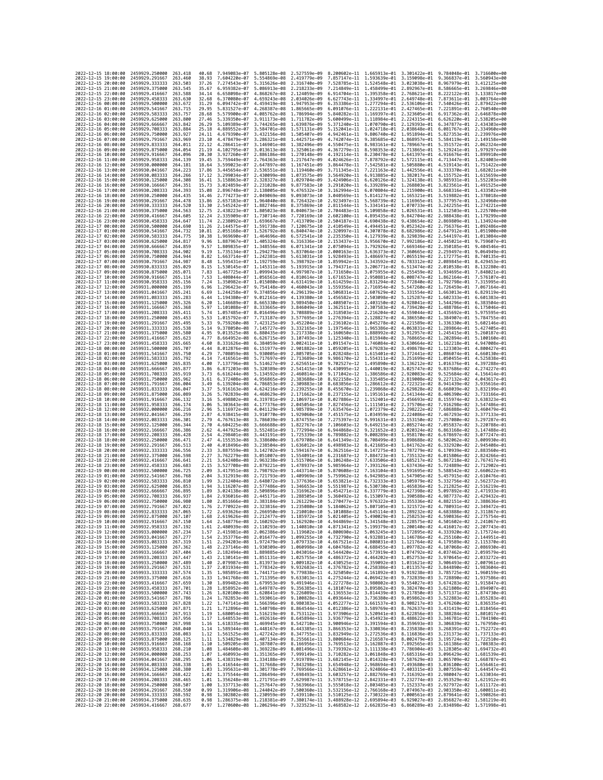| 2022-12-15 18:00:00                        |                     | 2459929,250000                                                                 | 263.418             | 40.68          | 7.949083e-07                              | 5.805128e-08                                           | 2.527559e-09                              |                                           | 8.200602e-11 1.665913e-01 3.301422e-01 9.784048e-01    |                              |                                                                                                                                                                                                                                                                                                                                                                                | 3.716600e+00                 |
|--------------------------------------------|---------------------|--------------------------------------------------------------------------------|---------------------|----------------|-------------------------------------------|--------------------------------------------------------|-------------------------------------------|-------------------------------------------|--------------------------------------------------------|------------------------------|--------------------------------------------------------------------------------------------------------------------------------------------------------------------------------------------------------------------------------------------------------------------------------------------------------------------------------------------------------------------------------|------------------------------|
| 2022-12-15 19:00:00                        |                     | 2459929.291667                                                                 | 263.460             | 38.93          | 7.604220e-07                              | 5.554869e-08                                           | 2.419779e-09                              | 7.857147e-11 1.593639e-01 3.159098e-01    |                                                        |                              | 9.366837e-01                                                                                                                                                                                                                                                                                                                                                                   | 3.560943e+00                 |
| 2022-12-15 20:00:00                        |                     | 2459929.333333                                                                 | 263.503             | 37.26          | 7.274543e-07                              | 5.315626e-08                                           | 2.316740e-09                              | 7.528785e-11                              | 1.524548e-01                                           | 3.023038e-01                 | 8.967979e-01                                                                                                                                                                                                                                                                                                                                                                   | 3.412125e+00                 |
| 2022-12-15 21:00:00<br>2022-12-15 22:00:00 |                     | 2459929.375000<br>2459929.416667                                               | 263.545<br>263.588  | 35.67<br>34.14 | 6.959382e-07<br>6.658098e-07              | 5.086913e-08 2.218233e-09<br>4.868267e-08              | 2.124059e-09                              |                                           | 6.914704e-11 1.395358e-01 2.768621e-01 8.222122e-01    |                              | 7.214849e-11 1.458499e-01 2.892967e-01 8.586665e-01                                                                                                                                                                                                                                                                                                                            | 3.269846e+00<br>3.133817e+00 |
| 2022-12-15 23:00:00                        |                     | 2459929.458333                                                                 | 263.630             | 32.68          | 6.370080e-07                              | 4.659243e-08                                           | 2.034026e-09                              |                                           | 6.627743e-11 1.334997e-01 2.649748e-01                 |                              | 7.873611e-01                                                                                                                                                                                                                                                                                                                                                                   | 3.003764e+00                 |
| 2022-12-16 00:00:00                        |                     | 2459929.500000                                                                 | 263.672             | 31.29          | 6.094742e-07                              | 4.459419e-08                                           | 1.947953e-09                              | 6.353386e-11                              | 1.277294e-01                                           | 2.536106e-01                 | 7.540426e-01                                                                                                                                                                                                                                                                                                                                                                   | 2.879422e+00                 |
| 2022-12-16 01:00:00                        |                     | 2459929.541667                                                                 | 263.715             | 29.95          | 5.831527e-07                              | 4.268387e-08 1.865665e-09                              |                                           | 6.091076e-11                              | 1.222131e-01 2.427465e-01                              |                              | 7.221891e-01                                                                                                                                                                                                                                                                                                                                                                   | 2.760540e+00                 |
| 2022-12-16 02:00:00                        |                     | 2459929.583333                                                                 | 263.757             | 28.68          | 5.579900e-07                              | 4.085762e-08 1.786994e-09                              |                                           |                                           | 5.840282e-11 1.169397e-01 2.323605e-01                 |                              | 6.917362e-01                                                                                                                                                                                                                                                                                                                                                                   | 2.646878e+00                 |
| 2022-12-16 03:00:00                        |                     | 2459929.625000                                                                 | 263.800             | 27.46          | 5.339350e-07                              | 3.911173e-08                                           | 1.711782e-09                              |                                           | 5.600499e-11 1.118984e-01 2.224315e-01                 |                              | 6.626220e-01                                                                                                                                                                                                                                                                                                                                                                   | 2.538205e+00                 |
| 2022-12-16 04:00:00<br>2022-12-16 05:00:00 |                     | 2459929.666667<br>2459929.708333                                               | 263.842<br>263.884  | 26.29<br>25.18 | 5.109389e-07<br>4.889552e-07              | 3.744265e-08<br>3.584701e-08 1.571131e-09              | 1.639876e-09                              | 5.371240e-11<br>5.152041e-11              | 1.070790e-01 2.129393e-01<br>1.024718e-01 2.038648e-01 |                              | 6.347877e-01<br>6.081767e-01                                                                                                                                                                                                                                                                                                                                                   | 2.434303e+00<br>2.334960e+00 |
| 2022-12-16 06:00:00                        |                     | 2459929.750000                                                                 | 263.927             | 24.11          | 4.679390e-07                              | 3.432156e-08                                           | 1.505407e-09                              | 4.942461e-11                              | 9.806740e-02 1.951894e-01                              |                              | 5.827353e-01                                                                                                                                                                                                                                                                                                                                                                   | 2.239976e+00                 |
| 2022-12-16 07:00:00                        |                     | 2459929.791667                                                                 | 263.969             | 23.10          | 4.478479e-07                              | 3.286321e-08                                           | 1,442571e-09                              | 4.742074e-11                              | 9.385685e-02                                           | 1.868957e-01                 | 5.584119e-01                                                                                                                                                                                                                                                                                                                                                                   | 2.149158e+00                 |
| 2022-12-16 08:00:00                        |                     | 2459929.833333                                                                 | 264,011             | 22.12          | 4.286411e-07                              | 3.146901e-08                                           | 1.382496e-09                              | 4.550475e-11                              | 8.983161e-02 1.789667e-01                              |                              | 5.351572e-01                                                                                                                                                                                                                                                                                                                                                                   | 2.062324e+00                 |
| 2022-12-16 09:00:00                        |                     | 2459929.875000                                                                 | 264.054             | 21,19          | 4.102795e-07                              | 3.013613e-08                                           | 1.325061e-09                              | 4.367279e-11                              | 8.598353e-02 1.713865e-01                              |                              | 5.129241e-01                                                                                                                                                                                                                                                                                                                                                                   | 1.979297e+00                 |
| 2022-12-16 10:00:00<br>2022-12-16 11:00:00 |                     | 2459929.916667<br>2459929.958333                                               | 264.096<br>264.139  | 20.30<br>19.45 | 3.927260e-07<br>3.759449e-07              | 2.886186e-08 1.270148e-09<br>2.764363e-08 1.217647e-09 |                                           | 4.192114e-11<br>4.024626e-11              | 8.230478e-02 1.641397e-01<br>7.878792e-02 1.572115e-01 |                              | 4.916676e-01<br>4.713447e-01                                                                                                                                                                                                                                                                                                                                                   | 1.899910e+00<br>1.824003e+00 |
| 2022-12-16 12:00:00                        |                     | 2459930.000000                                                                 | 264.181             | 18.64          | 3.599023e-07                              | 2.647897e-08 1.167451e-09                              |                                           | 3.864478e-11                              | 7.542581e-02 1.505880e-01                              |                              | 4.519143e-01                                                                                                                                                                                                                                                                                                                                                                   | 1.751422e+00                 |
| 2022-12-16 13:00:00                        |                     | 2459930.041667                                                                 | 264.223             | 17.86          | 3.445654e-07                              | 2.536551e-08 1.119460e-09                              |                                           |                                           | 3.711345e-11 7.221163e-02 1.442556e-01                 |                              | 4.333370e-01 1.682021e+00                                                                                                                                                                                                                                                                                                                                                      |                              |
| 2022-12-16 14:00:00                        |                     | 2459930.083333                                                                 | 264.266             | 17.12          | 3.299034e-07                              | 2.430099e-08                                           | 1.073575e-09                              | 3.564920e-11                              | 6.913885e-02 1.382017e-01                              |                              | 4.155752e-01                                                                                                                                                                                                                                                                                                                                                                   | 1.615659e+00                 |
| 2022-12-16 15:00:00                        |                     | 2459930.125000                                                                 | 264,308             | 16.41          | 3.158863e-07                              | 2.328327e-08                                           | 1.029704e-09                              | 3.424906e-11                              | 6.620126e-02                                           | 1.324138e-01                 | 3.985931e-01                                                                                                                                                                                                                                                                                                                                                                   | 1.552203e+00                 |
| 2022-12-16 16:00:00<br>2022-12-16 17:00:00 |                     | 2459930,166667<br>2459930.208333                                               | 264, 351<br>264,393 | 15.73<br>15.08 | 3.024859e-07<br>2.896748e-07              | 2.231028e-08<br>2.138005e-08                           | 9.877583e-10<br>9.476532e-10              | 3.291020e-11<br>3.162994e-11              | 6.339289e-02 1.268803e-01<br>6.070804e-02 1.215900e-01 |                              | 3.823561e-01<br>3.668316e-01                                                                                                                                                                                                                                                                                                                                                   | 1.491525e+00<br>1.433502e+00 |
| 2022-12-16 18:00:00                        |                     | 2459930.250000                                                                 | 264.435             | 14.46          | 2.774273e-07                              | 2.049069e-08                                           | 9.093073e-10                              | 3.040569e-11                              | 5.814127e-02                                           | 1.165321e-01                 | 3.519882e-01                                                                                                                                                                                                                                                                                                                                                                   | 1.378018e+00                 |
| 2022-12-16 19:00:00                        |                     | 2459930.291667                                                                 | 264.478             | 13.86          | 2.657183e-07                              | 1.964040e-08                                           | 8.726432e-10                              | 2.923497e-11                              | 5.568739e-02 1.116965e-01                              |                              | 3.377957e-01                                                                                                                                                                                                                                                                                                                                                                   | 1.324960e+00                 |
| 2022-12-16 20:00:00                        |                     | 2459930.333333                                                                 | 264.520             | 13.30          | 2.545242e-07                              | 1.882746e-08                                           | 8.375869e-10                              | 2.811544e-11                              | 5.334141e-02                                           | 1.070733e-01                 | 3.242255e-01                                                                                                                                                                                                                                                                                                                                                                   | 1.274221e+00                 |
| 2022-12-16 21:00:00                        |                     | 2459930.375000                                                                 | 264.563             | 12.75          | 2.438223e-07                              | 1.805023e-08                                           | 8.040673e-10                              | 2.704483e-11                              | 5.109858e-02                                           | 1.026531e-01                 | 3.112503e-01                                                                                                                                                                                                                                                                                                                                                                   | 1.225700e+00                 |
| 2022-12-16 22:00:00<br>2022-12-16 23:00:00 |                     | 2459930.416667<br>2459930.458333                                               | 264.605<br>264.647  | 12.24<br>11.74 | 2.335909e-07<br>2.238092e-07 1.659667e-08 | 1.730714e-08                                           | 7.720169e-10<br>7.413709e-10              | 2.602100e-11<br>2.504187e-11              | 4.895435e-02<br>4.690438e-02 9.438654e-02              | 9.842704e-02                 | 2.988438e-01<br>2.869809e-01                                                                                                                                                                                                                                                                                                                                                   | 1.179299e+00<br>1.134924e+00 |
| 2022-12-17 00:00:00                        |                     | 2459930.500000                                                                 | 264.690             | 11.26          | 2.144575e-07 1.591738e-08                 |                                                        | 7.120675e-10                              | 2.410549e-11                              | 4.494451e-02                                           | 9.052342e-02                 | 2.756376e-01                                                                                                                                                                                                                                                                                                                                                                   | 1.092486e+00                 |
| 2022-12-17 01:00:00                        |                     | 2459930.541667                                                                 | 264.732             | 10.81          | 2.055168e-07                              | 1.526792e-08                                           | 6.840474e-10                              | 2.320997e-11                              | 4.307078e-02                                           | 8.682986e-02                 | 2.647912e-01                                                                                                                                                                                                                                                                                                                                                                   | 1.051900e+00                 |
| 2022-12-17 02:00:00                        |                     | 2459930.583333                                                                 | 264,775             | 10.38          | 1.969690e-07                              | 1.464696e-08                                           | 6.572541e-10                              | 2.235350e-11                              | 4.127939e-02                                           | 8.329839e-02                 | 2.544197e-01                                                                                                                                                                                                                                                                                                                                                                   | 1.013084e+00                 |
| 2022-12-17 03:00:00                        |                     | 2459930.625000                                                                 | 264.817             | 9.96           | 1.887967e-07                              | 1.405324e-08                                           | 6.316336e-10                              | 2.153437e-11                              | 3.956670e-02                                           | 7.992186e-02                 | 2.445021e-01                                                                                                                                                                                                                                                                                                                                                                   | 9.759607e-01                 |
| 2022-12-17 04:00:00                        |                     | 2459930.666667                                                                 | 264,859             | 9.57           | 1.809835e-07                              | 1,348556e-08                                           | 6.071341e-10                              | 2.075094e-11                              | 3.792926e-02                                           | 7.669346e-02                 | 2.350185e-01                                                                                                                                                                                                                                                                                                                                                                   | 9.404546e-01                 |
| 2022-12-17 05:00:00<br>2022-12-17 06:00:00 |                     | 2459930.708333<br>2459930.750000                                               | 264.902<br>264,944  | 9.19<br>8.82   | 1.735134e-07<br>1.663714e-07              | 1.294279e-08<br>1.242381e-08                           | 5.837064e-10<br>5.613031e-10              | 2.000163e-11<br>1.928493e-11              | 3.636373e-02<br>3.486697e-02                           | 7.360665e-02<br>7.065519e-02 | 2.259497e-01<br>2.172775e-01                                                                                                                                                                                                                                                                                                                                                   | 9.064949e-01<br>8.740135e-01 |
| 2022-12-17 07:00:00                        |                     | 2459930.791667                                                                 | 264.987             | 8.48           | 1.595431e-07                              | 1.192759e-08                                           | 5.398792e-10                              | 1.859942e-11                              | 3.343592e-02                                           | 6.783312e-02                 | 2.089845e-01                                                                                                                                                                                                                                                                                                                                                                   | 8.429453e-01                 |
| 2022-12-17 08:00:00                        |                     | 2459930.833333                                                                 | 265.029             | 8.15           | 1.530145e-07                              | 1.145311e-08                                           | 5.193915e-10                              | 1.794371e-11                              | 3.206771e-02                                           | 6.513474e-02                 | 2.010538e-01                                                                                                                                                                                                                                                                                                                                                                   | 8.132280e-01                 |
| 2022-12-17 09:00:00                        |                     | 2459930.875000                                                                 | 265.071             | 7.83           | 1.467725e-07                              | 1.099943e-08                                           | 4.997987e-10                              | 1.731650e-11                              | 3.075955e-02                                           | 6.255459e-02                 | 1.934695e-01                                                                                                                                                                                                                                                                                                                                                                   | 7.848021e-01                 |
| 2022-12-17 10:00:00                        |                     | 2459930.916667                                                                 | 265.114             | 7.53           | 1,408044e-07 1,056561e-08                 |                                                        | 4.810614e-10                              | 1.671653e-11                              | 2.950881e-02                                           | 6.008747e-02                 | 1.862164e-01                                                                                                                                                                                                                                                                                                                                                                   | 7.576107e-01                 |
| 2022-12-17 11:00:00<br>2022-12-17 12:00:00 |                     | 2459930.958333<br>2459931.000000                                               | 265.156<br>265.199  | 7.24<br>6.96   | 1.350982e-07<br>1.296423e-07              | 1.015080e-08<br>9.754148e-09                           | 4.631419e-10<br>4.460043e-10              | 1.614259e-11<br>1.559356e-11              | 2.831294e-02<br>2.716954e-02                           | 5.772840e-02<br>5.547260e-02 | 1.792798e-01<br>1.726459e-01                                                                                                                                                                                                                                                                                                                                                   | 7.315995e-01<br>7.067164e-01 |
| 2022-12-17 13:00:00                        |                     | 2459931.041667                                                                 | 265.241             | 6.69           | 1.244258e-07                              | 9.374856e-09                                           | 4.296139e-10                              | 1.506831e-11                              | 2.607629e-02                                           | 5.331554e-02                 | 1.663013e-01                                                                                                                                                                                                                                                                                                                                                                   | 6.829119e-01                 |
| 2022-12-17 14:00:00                        |                     | 2459931.083333                                                                 | 265.283             | 6.44           | 1.194380e-07                              | 9.012161e-09                                           | 4.139380e-10                              | 1.456582e-11                              | 2.503098e-02                                           | 5.125287e-02                 | 1.602333e-01                                                                                                                                                                                                                                                                                                                                                                   | 6.601383e-01                 |
| 2022-12-17 15:00:00                        |                     | 2459931.125000                                                                 | 265,326             | 6.20           | 1.146689e-07                              | 8.665330e-09                                           | 3.989450e-10                              | 1.408507e-11                              | 2.403150e-02                                           | 4.928041e-02                 | 1.544296e-01                                                                                                                                                                                                                                                                                                                                                                   | 6.383504e-01                 |
| 2022-12-17 16:00:00                        |                     | 2459931,166667                                                                 | 265, 368            | 5.97           | 1.101088e-07                              | 8.333665e-09                                           | 3.846049e-10                              | 1.362511e-11                              | 2.307583e-02                                           | 4.739420e-02                 | 1.488786e-01                                                                                                                                                                                                                                                                                                                                                                   | 6.175046e-01                 |
| 2022-12-17 17:00:00<br>2022-12-17 18:00:00 |                     | 2459931.208333                                                                 | 265.411             | 5.74           | 1.057485e-07                              | 8.016496e-09                                           | 3.708889e-10                              | 1.318503e-11<br>1.276394e-11 2.128827e-02 | 2.216204e-02 4.559044e-02                              | 4.386550e-02                 | 1.435692e-01                                                                                                                                                                                                                                                                                                                                                                   | 5.975595e-01                 |
| 2022-12-17 19:00:00                        |                     | 2459931.250000<br>2459931.291667                                               | 265.453<br>265.495  | 5.53<br>5.33   | 1.015792e-07<br>9.759260e-08              | 7.713187e-09<br>7.423125e-09                           | 3.577695e-10<br>3.452204e-10              | 1.236102e-11                              | 2.045278e-02                                           | 4.221589e-02                 | 1.384907e-01<br>1.336330e-01                                                                                                                                                                                                                                                                                                                                                   | 5.784755e-01<br>5.602146e-01 |
| 2022-12-17 20:00:00                        |                     | 2459931.333333                                                                 | 265.538             | 5.14           | 9.378050e-08                              | 7.145727e-09                                           | 3.332165e-10                              | 1.197546e-11                              | 1.965386e-02                                           | 4.063831e-02                 | 1.289864e-01                                                                                                                                                                                                                                                                                                                                                                   | 5.427405e-01                 |
| 2022-12-17 21:00:00                        |                     | 2459931.375000                                                                 | 265,580             | 4.95           | 9.013525e-08                              | 6.880435e-09                                           | 3.217338e-10                              | 1.160650e-11                              | 1.888992e-02                                           | 3.912957e-02                 | 1.245415e-01                                                                                                                                                                                                                                                                                                                                                                   | 5.260187e-01                 |
| 2022-12-17 22:00:00                        |                     | 2459931.416667                                                                 | 265.623             | 4.77           | 8.664952e-08                              | 6.626715e-09                                           | 3.107493e-10                              | 1.125340e-11                              | 1.815940e-02                                           | 3.768665e-02                 | 1,202894e-01                                                                                                                                                                                                                                                                                                                                                                   | 5.100160e-01                 |
| 2022-12-17 23:00:00<br>2022-12-18 00:00:00 |                     | 2459931.458333<br>2459931.500000                                               | 265.665             | 4.60<br>4.44   | 8.331626e-08<br>8.012876e-08              | 6.384059e-09<br>6.151977e-09                           | 3.002411e-10                              | 1.091547e-11                              | 1.746084e-02                                           | 3.630664e-02<br>3.498678e-02 | 1.162218e-01                                                                                                                                                                                                                                                                                                                                                                   | 4.947008e-01<br>4.800427e-01 |
| 2022-12-18 01:00:00                        |                     | 2459931.541667                                                                 | 265.707<br>265.750  | 4.29           | 7.708059e-08                              | 5.930005e-09                                           | 2.901882e-10<br>2.805705e-10              | 1.059205e-11<br>1.028248e-11              | 1.679283e-02<br>1.615401e-02                           | 3.372441e-02                 | 1.123303e-01<br>1.086074e-01                                                                                                                                                                                                                                                                                                                                                   | 4.660130e-01                 |
| 2022-12-18 02:00:00                        |                     | 2459931.583333                                                                 | 265.792             | 4.14           | 7.416561e-08                              | 5.717697e-09                                           | 2.713689e-10                              | 9.986170e-12                              | 1.554311e-02                                           | 3.251699e-02                 | 1.050455e-01                                                                                                                                                                                                                                                                                                                                                                   | 4.525838e-01                 |
| 2022-12-18 03:00:00                        |                     | 2459931.625000                                                                 | 265.835             | 4.00           | 7.137796e-08                              | 5.514627e-09                                           | 2.625651e-10                              | 9.702527e-12                              | 1.495890e-02                                           | 3.136212e-02                 | 1.016376e-01                                                                                                                                                                                                                                                                                                                                                                   | 4.397288e-01                 |
| 2022-12-18 04:00:00                        |                     | 2459931.666667                                                                 | 265.877             | 3.86           | 6.871203e-08                              | 5.320389e-09                                           | 2.541415e-10                              | 9.430995e-12                              | 1.440019e-02 3.025747e-02                              |                              | 9.837686e-02                                                                                                                                                                                                                                                                                                                                                                   | 4.274227e-01                 |
| 2022-12-18 05:00:00                        |                     | 2459931.708333                                                                 | 265.919             | 3.73           | 6.616244e-08                              | 5.134592e-09                                           | 2.460814e-10                              | 9.171042e-12                              | 1.386586e-02 2.920083e-02                              |                              | 9.525684e-02                                                                                                                                                                                                                                                                                                                                                                   | 4.156414e-01                 |
| 2022-12-18 06:00:00<br>2022-12-18 07:00:00 |                     | 2459931.750000<br>2459931.791667                                               | 265.962<br>266.004  | 3.61<br>3.49   | 6.372408e-08<br>6.139204e-08              | 4.956865e-09<br>4.786853e-09                           | 2.383688e-10<br>2.309883e-10              | 8.922158e-12<br>8.683856e-12              | 1.335485e-02<br>1.286612e-02                           | 2.819008e-02<br>2.722321e-02 | 9.227132e-02<br>8.941439e-02                                                                                                                                                                                                                                                                                                                                                   | 4.043617e-01<br>3.935616e-01 |
| 2022-12-18 08:00:00                        |                     | 2459931.833333                                                                 | 266,047             | 3.37           | 5.916163e-08                              | 4.624216e-09                                           | 2.239255e-10                              | 8.455670e-12                              | 1.239868e-02                                           | 2.629828e-02                 | 8.668039e-02                                                                                                                                                                                                                                                                                                                                                                   | 3.832199e-01                 |
| 2022-12-18 09:00:00                        |                     | 2459931.875000                                                                 | 266,089             | 3.26           | 5.702839e-08                              | 4.468629e-09                                           | 2.171662e-10                              | 8.237155e-12                              | 1.195161e-02 2.541344e-02                              |                              | 8,406390e-02                                                                                                                                                                                                                                                                                                                                                                   | 3.733166e-01                 |
| 2022-12-18 10:00:00                        |                     | 2459931.916667                                                                 | 266,132             | 3.16           | 5.498802e-08                              | 4.319781e-09                                           | 2.106971e-10                              | 8.027886e-12                              | 1.152401e-02                                           | 2.456693e-02                 | 8.155974e-02                                                                                                                                                                                                                                                                                                                                                                   | 3.638323e-01                 |
| 2022-12-18 11:00:00                        |                     | 2459931.958333                                                                 | 266.174             | 3.06           | 5.303643e-08                              | 4.177376e-09 2.045054e-10                              |                                           | 7.827456e-12                              | 1.111501e-02                                           | 2.375706e-02                 | 7.916298e-02                                                                                                                                                                                                                                                                                                                                                                   | 3.547486e-01                 |
| 2022-12-18 12:00:00                        |                     | 2459932.000000<br>2459932.041667                                               | 266.216             | 2.96           | 5.116972e-08                              | 4.041129e-09                                           | 1.985789e-10                              | 7.635476e-12                              | 1.072379e-02                                           | 2.298222e-02                 | 7.686888e-02                                                                                                                                                                                                                                                                                                                                                                   | 3.460479e-01                 |
| 2022-12-18 13:00:00<br>2022-12-18 14:00:00 |                     | 2459932.083333                                                                 | 266,259<br>266.301  | 2.87<br>2.79   | 4.938415e-08<br>4.767613e-08              | 3.910770e-09 1.929060e-10<br>3.786039e-09 1.874755e-10 |                                           | 7.451575e-12<br>7.275397e-12              | 1.034959e-02<br>9.991631e-03                           | 2.224086e-02<br>2.153150e-02 | 7.467293e-02<br>7.257080e-02                                                                                                                                                                                                                                                                                                                                                   | 3.377133e-01<br>3.297287e-01 |
| 2022-12-18 15:00:00                        |                     | 2459932.125000                                                                 | 266.344             | 2.70           | 4.604225e-08                              | 3.666688e-09 1.822767e-10                              |                                           | 7.106603e-12                              | 9.649215e-03                                           | 2.085274e-02                 | 7.055837e-02                                                                                                                                                                                                                                                                                                                                                                   | 3.220788e-01                 |
| 2022-12-18 16:00:00                        |                     | 2459932.166667                                                                 | 266.386             | 2.62           | 4.447925e-08                              | 3.552481e-09 1.772994e-10                              |                                           | 6.944868e-12                              | 9.321652e-03                                           | 2.020324e-02                 | 6.863168e-02                                                                                                                                                                                                                                                                                                                                                                   | 3.147488e-01                 |
| 2022-12-18 17:00:00                        |                     | 2459932.208333                                                                 | 266.428             | 2.54           | 4.298401e-08                              | 3.443191e-09                                           | 1.725339e-10                              | 6.789882e-12                              | 9.008289e-03                                           | 1.958170e-02                 | 6.678697e-02                                                                                                                                                                                                                                                                                                                                                                   | 3.077247e-01                 |
| 2022-12-18 18:00:00                        |                     | 2459932.250000                                                                 | 266.471             | 2.47           | 4.155353e-08                              | 3.338600e-09                                           | 1.679708e-10                              | 6.641349e-12                              | 8.708499e-03                                           | 1.898688e-02                 | 6.502062e-02                                                                                                                                                                                                                                                                                                                                                                   | 3.009930e-01                 |
| 2022-12-18 19:00:00<br>2022-12-18 20:00:00 |                     | 2459932.291667<br>2459932.333333                                               | 266.513<br>266.556  | 2.40<br>2.33   | 4.018496e-08<br>3.887559e-08              | 3.238504e-09<br>3.142702e-09 1.594167e-10              | 1.636012e-10                              | 6.498983e-12<br>6.362516e-12              | 8.421685e-03<br>8.147275e-03                           | 1.841762e-02<br>1.787279e-02 | 6.332920e-02<br>6.170939e-02                                                                                                                                                                                                                                                                                                                                                   | 2.945408e-01<br>2.883560e-01 |
| 2022-12-18 21:00:00                        |                     | 2459932.375000                                                                 | 266.598             | 2.27           | 3.762279e-08                              | 3.051007e-09                                           | 1.554091e-10                              | 6.231687e-12                              | 7.884723e-03                                           | 1,735132e-02                 | 6.015806e-02                                                                                                                                                                                                                                                                                                                                                                   | 2.824266e-01                 |
| 2022-12-18 22:00:00                        |                     | 2459932,416667                                                                 | 266,641             | 2.21           | 3.642408e-08                              | 2.963238e-09 1.515706e-10                              |                                           | 6.106248e-12                              | 7.633506e-03 1.685217e-02                              |                              | 5.867218e-02                                                                                                                                                                                                                                                                                                                                                                   | 2.767417e-01                 |
| 2022-12-18 23:00:00                        |                     | 2459932.458333                                                                 | 266.683             | 2.15           | 3.527708e-08                              | 2.879221e-09                                           | 1.478937e-10                              | 5.985964e-12                              | 7.393126e-03                                           | 1.637436e-02                 | 5.724889e-02                                                                                                                                                                                                                                                                                                                                                                   | 2.712902e-01                 |
| 2022-12-19 00:00:00<br>2022-12-19 01:00:00 |                     | 2459932.500000                                                                 | 266.725             | 2.09           | 3.417951e-08                              | 2.798792e-09                                           | 1.443714e-10<br>1.409969e-10              | 5.870608e-12                              | 7.163104e-03                                           | 1.591695e-02                 | 5.588542e-02                                                                                                                                                                                                                                                                                                                                                                   | 2.660622e-01<br>2.610476e-01 |
| 2022-12-19 02:00:00                        |                     | 2459932.541667<br>2459932.583333                                               | 266.768<br>266.810  | 2.04<br>1.99   | 3.312919e-08<br>3.212404e-08              | 2.721793e-09                                           |                                           |                                           |                                                        |                              |                                                                                                                                                                                                                                                                                                                                                                                |                              |
| 2022-12-19 03:00:00                        |                     | 2459932.625000                                                                 | 266.853             | 1.94           |                                           |                                                        |                                           | 5.759962e-12                              | 6.942985e-03                                           | 1.547905e-02                 | 5.457915e-02                                                                                                                                                                                                                                                                                                                                                                   |                              |
| 2022-12-19 04:00:00                        |                     | 2459932.666667                                                                 |                     |                | 3.116207e-08                              | 2.577486e-09                                           | 2.648072e-09 1.377636e-10<br>1.346653e-10 | 5.653821e-12<br>5.551987e-12              | 6.732333e-03 1.505979e-02<br>6.530730e-03              | 1.465836e-02                 | 5.332756e-02<br>5.212825e-02                                                                                                                                                                                                                                                                                                                                                   | 2.562372e-01<br>2.516219e-01 |
| 2022-12-19 05:00:00                        |                     |                                                                                | 266,895             | 1.89           | 3.024138e-08                              | 2.509896e-09                                           | 1.316962e-10                              | 5.454271e-12                              | 6.337779e-03                                           | 1.427398e-02                 | 5.097892e-02                                                                                                                                                                                                                                                                                                                                                                   | 2.471933e-01                 |
|                                            |                     | 2459932.708333                                                                 | 266.937             | 1.84           | 2.936016e-08                              | 2.445171e-09                                           | 1.288505e-10                              | 5.360492e-12                              | 6.153097e-03                                           | 1.390588e-02                 | 4.987737e-02                                                                                                                                                                                                                                                                                                                                                                   | 2.429432e-01                 |
|                                            | 2022-12-19 06:00:00 | 2459932.750000                                                                 | 266.980             | 1.80           | 2.851666e-08                              | 2.383184e-09 1.261229e-10                              |                                           |                                           |                                                        |                              | 5.270477e-12 5.976322e-03 1.355336e-02 4.882151e-02 2.388636e-01                                                                                                                                                                                                                                                                                                               |                              |
|                                            | 2022-12-19 07:00:00 | 2459932.791667                                                                 | 267.022             | 1.76<br>1.72   |                                           |                                                        |                                           |                                           |                                                        |                              | 2.770922e-08 2.323816e-09 1.235080e-10 5.184062e-12 5.807105e-03 1.321572e-02 4.780931e-02 2.349472e-01<br>4.683888e-02                                                                                                                                                                                                                                                        |                              |
|                                            | 2022-12-19 08:00:00 | 2459932.833333<br>2022-12-19 09:00:00 2459932.875000 267.107                   | 207.002             | 1.68           | 2.693626e-08                              | 2.266950e-09                                           | 1.210010e-10                              | 5.101088e-12                              | 5.645114e-03                                           | 1.289232e-02                 | 2.619626e-08 2.212477e-09 1.185972e-10 5.021405e-12 5.490029e-03 1.258253e-02 4.590836e-02 2.275754e-01                                                                                                                                                                                                                                                                        | 5.3119016-01                 |
|                                            |                     | 2022-12-19 10:00:00 2459932.916667 267.150                                     |                     |                |                                           |                                                        |                                           |                                           |                                                        |                              | 1.64 2.548776e-08 2.160292e-09 1.162920e-10 4.944869e-12 5.341548e-03 1.228575e-02 4.501602e-02 2.241067e-01                                                                                                                                                                                                                                                                   |                              |
|                                            |                     | 2022-12-19 11:00:00 2459932.958333 267.192                                     |                     |                |                                           |                                                        |                                           |                                           |                                                        |                              |                                                                                                                                                                                                                                                                                                                                                                                |                              |
|                                            |                     | 2022-12-19 12:00:00 2459933.000000 267.234                                     |                     |                |                                           |                                                        |                                           |                                           |                                                        |                              | $\begin{array}{cccccccc} 1.61 & 2.480939e-08 & 2.110293e-09 & 1.140810e-10 & 4.871341e-12 & 5.199379e-03 & 1.200140e-02 & 4.416017e-02 & 2.207743e-01 \\ 1.57 & 2.415981e-08 & 2.062386e-09 & 1.119602e-10 & 4.800690e-12 & 5.063245e-03 & 1.172895e-02 & 4.3$                                                                                                                 |                              |
| 2022-12-19 13:00:00                        |                     | 2459933.041667 267.277                                                         |                     |                |                                           |                                                        |                                           |                                           |                                                        |                              | 1.54 2.353776e-08 2.016477e-09 1.099255e-10 4.732790e-12 4.932881e-03 1.146786e-02 4.255160e-02 2.144951e-01                                                                                                                                                                                                                                                                   |                              |
| 2022-12-19 14:00:00<br>2022-12-19 15:00:00 |                     | 2459933.083333 267.319<br>2459933.125000                                       | 267.362             |                |                                           |                                                        |                                           |                                           |                                                        |                              |                                                                                                                                                                                                                                                                                                                                                                                |                              |
| 2022-12-19 16:00:00                        |                     | 2459933.166667                                                                 | 267.404             |                |                                           |                                                        |                                           |                                           |                                                        |                              | 1.51 2.294708e-08 1.972479e-09 1.079733e-10 4.667521e-12 4.808031e-03 1.121764e-02 4.179589e-02 2.115370e-01<br>1.48 2.237146e-08 1.973479e-09 1.079733e-10 4.667521e-12 4.808031e-03 1.121764e-02 4.187968e-02 2.115370e-01<br>1.48                                                                                                                                           |                              |
| 2022-12-19 17:00:00                        |                     | 2459933.208333 267.447                                                         |                     |                |                                           |                                                        |                                           |                                           |                                                        |                              | 1.43 2.130141e-08 1.851131e-09 1.025755e-10 4.486372e-12 4.464202e-03 1.052753e-02 3.970645e-02 2.033272e-01                                                                                                                                                                                                                                                                   |                              |
| 2022-12-19 18:00:00                        |                     | 2459933.250000                                                                 | 267.489             |                |                                           |                                                        |                                           |                                           |                                                        |                              |                                                                                                                                                                                                                                                                                                                                                                                |                              |
| 2022-12-19 19:00:00<br>2022-12-19 20:00:00 |                     | 2459933.291667<br>2459933.333333 267.574                                       | 267.531             |                |                                           |                                                        |                                           |                                           |                                                        |                              |                                                                                                                                                                                                                                                                                                                                                                                |                              |
| 2022-12-19 21:00:00                        |                     | 2459933.375000 267.616                                                         |                     |                |                                           |                                                        |                                           |                                           |                                                        |                              | 1.40 2.079987e-08 1.813973e-09 1.089182e-10 4.430525e-12 4.359992e-03 1.031621e-02 3.906493e-02 2.007961e-01<br>1.37 2.031934e-08 1.778342e-09 9.932683e-11 4.376782e-12 4.358992e-03 1.031621e-02 3.906493e-02 2.007961e-01<br>1.37<br>1.33 1.941768e-08 1.711395e-09 9.633013e-11 4.275244e-12 4.069423e-03 9.732839e-03 3.728890e-02 1.937586e-01                           |                              |
| 2022-12-19 22:00:00                        |                     | 2459933.416667                                                                 | 267,659             |                |                                           |                                                        |                                           |                                           |                                                        |                              |                                                                                                                                                                                                                                                                                                                                                                                |                              |
| 2022-12-19 23:00:00                        |                     | 2459933.458333                                                                 | 267.701             |                |                                           |                                                        |                                           |                                           |                                                        |                              | $\frac{1.30}{2.5} \cdot \frac{1.899482e-08}{1.89959e-08} - \frac{1.679953e-09}{1.89598e-09} - \frac{9.491946e-11}{9.5638e-01} - \frac{1.27278e-12}{1.895862e-03} - \frac{3.554027e-03}{9.382470e-03} - \frac{3.674283e-02}{3.621808e-02} - \frac{1.915847e-01}{1.894907e-01}$                                                                                                  |                              |
| 2022-12-20 00:00:00                        |                     | 2459933.500000 267.743                                                         |                     |                |                                           |                                                        |                                           |                                           |                                                        |                              | 1.26 1.820100e-08 1.620841e-09 9.226089e-11 4.136553e-12 3.814439e-03 9.217850e-03 3.571371e-02 1.874730e-01                                                                                                                                                                                                                                                                   |                              |
| 2022-12-20 01:00:00<br>2022-12-20 02:00:00 |                     | 2459933.541667<br>2459933.583333                                               | 267.786<br>267.828  |                |                                           |                                                        |                                           |                                           |                                                        |                              | 1.24 1.782853e-08 1.593061e-09 9.100828e-11 4.093644e-12 3.736380e-03 9.059862e-03 3.522883e-02 1.855283e-01                                                                                                                                                                                                                                                                   |                              |
| 2022-12-20 03:00:00                        |                     | 2459933.625000 267.871                                                         |                     |                |                                           |                                                        |                                           |                                           |                                                        |                              | 1.22 1.747141e-08 1.566396e-09 8.980383e-11 4.052277e-12 3.661537e-03 8.908217e-03 3.476260e-02 1.836535e-01<br>1.21 1.712896e-08 1.540798e-09 8.864544e-11 4.012386e-12 3.589769e-03 8.762637e-03 3.431419e-02 1.818456e-01                                                                                                                                                   |                              |
| 2022-12-20 04:00:00                        |                     | 2459933.666667 267.913                                                         |                     |                |                                           |                                                        |                                           |                                           |                                                        |                              | 1.19 1.680054e-08 1.516219e-09 8.753112e-11 3.973906e-12 3.520941e-03 8.622856e-03 3.388284e-02 1.801017e-01                                                                                                                                                                                                                                                                   |                              |
| 2022-12-20 05:00:00                        |                     | 2459933.708333 267.956                                                         |                     |                |                                           |                                                        |                                           |                                           |                                                        |                              |                                                                                                                                                                                                                                                                                                                                                                                |                              |
| 2022-12-20 06:00:00<br>2022-12-20 07:00:00 |                     | 2459933.750000                                                                 | 267.998<br>268,040  |                |                                           |                                                        |                                           |                                           |                                                        |                              | 1.17 1.648553e-08 1.492616e-09 8.645894e-11 3.936779e-12 3.454923e-03 8.488622e-03 3.346781e-02 1.784190e-01<br>1.16 1.618335e-08 1.469945e-09 8.542710e-11 3.900946e-12 3.391594e-03 8.359693e-03 3.306839e-02 1.764190e-01                                                                                                                                                   |                              |
| 2022-12-20 08:00:00                        |                     | 2459933.791667<br>2459933.833333 268.083                                       |                     |                |                                           |                                                        |                                           |                                           |                                                        |                              | 1.14 1.589344e-08 1.448167e-09 8.443385e-11 3.866353e-12 3.330836e-03 8.235838e-03 3.268391e-02 1.752272e-01                                                                                                                                                                                                                                                                   |                              |
| 2022-12-20 09:00:00                        |                     | 2459933.875000                                                                 | 268.125             |                |                                           |                                                        |                                           |                                           |                                                        |                              | 1.12 1.561525e-08 1.427242e-09 8.347755e-11 3.832949e-12 3.272536e-03 8.116836e-03 3.231373e-02 1.737133e-01                                                                                                                                                                                                                                                                   |                              |
| 2022-12-20 10:00:00                        |                     | 2459933.916667                                                                 | 268.168             |                |                                           |                                                        |                                           |                                           |                                                        |                              | $\begin{array}{cccccccc} 1.11 & 1.534829e-08 & 1.407134e-09 & 8.255661e-11 & 3.800684e-12 & 3.216587e-03 & 8.002479e-03 & 3.195724e-02 & 1.722510e-01 \\ 1.10 & 1.599205e-08 & 1.387807e-09 & 8.166956e-11 & 3.769513e-12 & 3.162887e-03 & 7.892565e-03 & 3.1$                                                                                                                 |                              |
| 2022-12-20 11:00:00                        |                     | 2459933.958333 268.210                                                         |                     |                |                                           |                                                        |                                           |                                           |                                                        |                              | 1.08 1.484608e-08 1.369228e-09 8.081496e-11 3.739392e-12 3.111338e-03 7.786904e-03 3.128305e-02 1.694732e-01                                                                                                                                                                                                                                                                   |                              |
| 2022-12-20 12:00:00                        |                     | 2459934.000000 268.253                                                         |                     |                |                                           |                                                        |                                           |                                           |                                                        |                              |                                                                                                                                                                                                                                                                                                                                                                                |                              |
| 2022-12-20 13:00:00                        |                     | 2459934.041667<br>2459934.083333 268.338                                       | 268.295             |                |                                           |                                                        |                                           |                                           |                                                        |                              |                                                                                                                                                                                                                                                                                                                                                                                |                              |
| 2022-12-20 14:00:00<br>2022-12-20 15:00:00 |                     | 2459934.125000 268.380                                                         |                     |                |                                           |                                                        |                                           |                                           |                                                        |                              | 1.07 1.460993e-08 1.351365e-09 7.999149e-11 3.710262e-12 3.061848e-03 7.685316e-03 3.096429e-02 1.681539e-01<br>1.06 1.438319e-08 1.334188e-09 7.999149e-11 3.682145e-12 3.061848e-03 7.685316e-03 3.065429e-02 1.681539e-01<br>1.05                                                                                                                                           |                              |
| 2022-12-20 16:00:00                        |                     | 2459934.166667                                                                 | 268.422             |                |                                           |                                                        |                                           |                                           |                                                        |                              |                                                                                                                                                                                                                                                                                                                                                                                |                              |
| 2022-12-20 17:00:00                        |                     | 2459934.208333 268.465                                                         |                     |                |                                           |                                                        |                                           |                                           |                                                        |                              | 1.03 1.395631e-08 1.301778e-09 7.769566e-11 3.628661e-12 2.924866e-03 7.403315e-03 3.007559e-02 1.644547e-01<br>1.02 1.375344e-08 1.286494e-09 7.698493e-11 3.6036257e-12 2.882769e-03 7.403315e-03 3.007559e-02 1.644547e-01<br>1.0                                                                                                                                           |                              |
| 2022-12-20 18:00:00                        |                     | 2459934.250000 268.507                                                         |                     |                |                                           |                                                        |                                           |                                           |                                                        |                              | 1.00 1.337713e-08 1.257647e-09 7.563966e-11 3.555018e-12 2.803485e-03 7.152337e-03 2.927972e-02 1.611172e-01                                                                                                                                                                                                                                                                   |                              |
| 2022-12-20 19:00:00                        |                     | 2459934.291667 268.550                                                         |                     |                |                                           |                                                        |                                           |                                           |                                                        |                              | 0.99 1.319906e-08 1.244042e-09 7.500360e-11 3.532156e-12 2.766168e-03 7.074967e-03 2.903350e-02 1.600811e-01                                                                                                                                                                                                                                                                   |                              |
| 2022-12-20 20:00:00<br>2022-12-20 21:00:00 |                     | 2459934.333333<br>2459934.375000<br>2022-12-20 22:00:00 2459934.416667 268.677 | 268.592<br>268.635  |                |                                           |                                                        |                                           |                                           |                                                        |                              | $\begin{array}{cccccccc} 0.98 & 1.302802e-08 & 1.230959e-09 & 7.439110e-11 & 3.510125e-12 & 2.730322e-03 & 7.000561e-03 & 2.879641e-02 & 1.590826e-01 \\ 0.98 & 1.286375e-08 & 1.218381e-09 & 7.380174e-11 & 3.488928e-12 & 2.695894e-03 & 6.929027e-03 & 2.8$<br>0.97 1.270600e-08 1.206294e-09 7.323523e-11 3.468582e-12 2.662835e-03 6.860289e-03 2.834898e-02 1.571998e-01 |                              |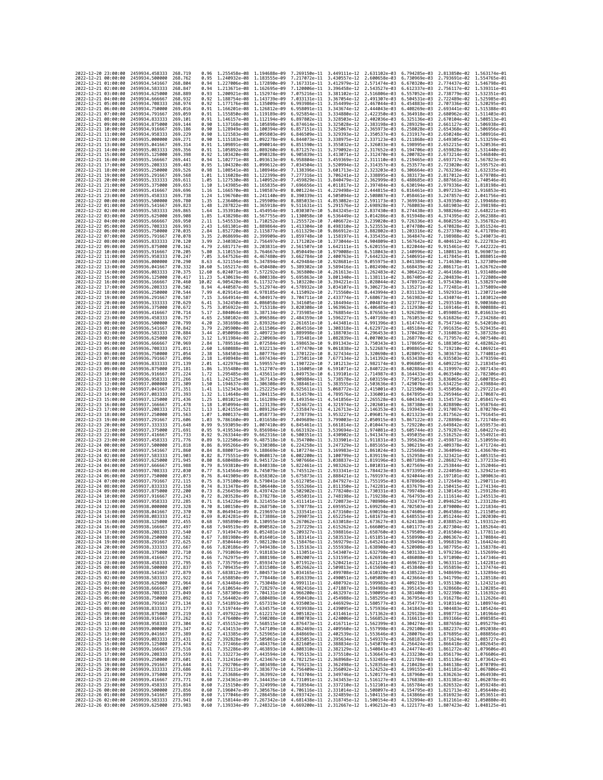| 2022-12-20 23:00:00                        |                     | 2459934.458333                                                                         | 268.719             | 0.96           | 1,255458e-08 1,194688e-09                                                                                    |                                                                                                                                                                                                                                                                                                                                                      | 7.269150e-11                 | 3.449111e-12 2.631102e-03                              |                                                        | 6.794285e-03                           | 2.813850e-02 1.563174e-01                              |                              |
|--------------------------------------------|---------------------|----------------------------------------------------------------------------------------|---------------------|----------------|--------------------------------------------------------------------------------------------------------------|------------------------------------------------------------------------------------------------------------------------------------------------------------------------------------------------------------------------------------------------------------------------------------------------------------------------------------------------------|------------------------------|--------------------------------------------------------|--------------------------------------------------------|----------------------------------------|--------------------------------------------------------|------------------------------|
| 2022-12-21 00:00:00                        |                     | 2459934.500000                                                                         | 268.762             | 0.95           | 1.240932e-08 1.183555e-09                                                                                    |                                                                                                                                                                                                                                                                                                                                                      | 7.217072e-11                 | 3.430557e-12 2.600658e-03                              |                                                        | 6.730969e-03                           | 2.793691e-02 1.554765e-01                              |                              |
| 2022-12-21 01:00:00                        |                     | 2459934.541667                                                                         | 268.804             | 0.94           | 1.227006e-08                                                                                                 | 1.172890e-09                                                                                                                                                                                                                                                                                                                                         | 7.167331e-11                 | 3.412979e-12                                           | 2.571474e-03                                           | 6.670320e-03                           | 2.774437e-02                                           | 1.546798e-01                 |
| 2022-12-21 02:00:00<br>2022-12-21 03:00:00 |                     | 2459934.583333<br>2459934.625000                                                       | 268.847<br>268.889  | 0.94<br>0.93   | 1.213671e-08 1.162695e-09<br>1.200921e-08 1.152974e-09                                                       |                                                                                                                                                                                                                                                                                                                                                      | 7.120006e-11<br>7.075216e-11 | 3.396458e-12 2.543527e-03<br>3.381102e-12 2.516806e-03 |                                                        | 6.612337e-03<br>6.557052e-03           | 2.756117e-02 1.539311e-01<br>2.738779e-02 1.532351e-01 |                              |
| 2022-12-21 04:00:00                        |                     | 2459934.666667                                                                         | 268.932             | 0.92           | 1.188754e-08                                                                                                 | 1,143739e-09                                                                                                                                                                                                                                                                                                                                         | 7.033131e-11                 | 3.367054e-12                                           | 2.491307e-03                                           | 6.504531e-03                           | 2.722489e-02                                           | 1.525985e-01                 |
| 2022-12-21 05:00:00                        |                     | 2459934.708333                                                                         | 268.974             | 0.92           | 1.177176e-08                                                                                                 | 1.135009e-09                                                                                                                                                                                                                                                                                                                                         | 6.993986e-11                 | 3.354499e-12                                           | 2.467044e-03                                           | 6.454883e-03                           | 2.707336e-02                                           | 1.520295e-01                 |
| 2022-12-21 06:00:00                        |                     | 2459934.750000                                                                         | 269.016             | 0.91           | 1.166201e-08 1.126812e-09                                                                                    |                                                                                                                                                                                                                                                                                                                                                      | 6.958091e-11                 | 3.343674e-12                                           | 2.444043e-03                                           | 6.408269e-03                           | 2.693441e-02                                           | 1.515388e-01                 |
| 2022-12-21 07:00:00<br>2022-12-21 08:00:00 |                     | 2459934.791667<br>2459934.833333                                                       | 269.059<br>269.101  | 0.91<br>0.91   | 1.155850e-08 1.119189e-09<br>1.146157e-08                                                                    | 1.112194e-09                                                                                                                                                                                                                                                                                                                                         | 6.925854e-11<br>6.897802e-11 | 3.334880e-12<br>3.328503e-12                           | 2.422350e-03<br>2.402036e-03                           | 6.364918e-03<br>6.325136e-03           | 2.680962e-02 1.511403e-01<br>2.670104e-02              | 1.508513e-01                 |
| 2022-12-21 09:00:00                        |                     | 2459934.875000                                                                         | 269, 144            | 0.90           | 1.137168e-08 1.105898e-09                                                                                    |                                                                                                                                                                                                                                                                                                                                                      | 6.874614e-11                 | 3.325028e-12                                           | 2.383198e-03                                           | 6.289329e-03                           | 2.661127e-02                                           | 1.506938e-01                 |
| 2022-12-21 10:00:00                        |                     | 2459934.916667                                                                         | 269,186             | 0.90           | 1.128949e-08                                                                                                 | 1.100394e-09                                                                                                                                                                                                                                                                                                                                         | 6.857151e-11                 | 3.325067e-12                                           | 2.365973e-03                                           | 6.258028e-03                           | 2.654368e-02                                           | 1.506956e-01                 |
| 2022-12-21 11:00:00                        |                     | 2459934.958333                                                                         | 269.229             | 0.90           | 1.121583e-08                                                                                                 | 1.095803e-09                                                                                                                                                                                                                                                                                                                                         | 6.846509e-11                 | 3.329393e-12                                           | 2.350537e-03                                           | 6.231917e-03                           | 2.650248e-02                                           | 1.508916e-01                 |
| 2022-12-21 12:00:00<br>2022-12-21 13:00:00 |                     | 2459935.000000<br>2459935.041667                                                       | 269.271<br>269.314  | 0.90<br>0.91   | 1.115183e-08<br>1.109891e-08 1.090014e-09                                                                    | 1.092278e-09                                                                                                                                                                                                                                                                                                                                         | 6.844073e-11<br>6.851590e-11 | 3.338975e-12<br>3.355032e-12                           | 2.337123e-03<br>2.326033e-03                           | 6.211868e-03<br>6.198995e-03           | 2.649305e-02<br>2.652215e-02 1.520536e-01              | 1.513259e-01                 |
| 2022-12-21 14:00:00                        |                     | 2459935.083333                                                                         | 269,356             | 0.91           | 1.105892e-08 1.089260e-09                                                                                    |                                                                                                                                                                                                                                                                                                                                                      | 6.871257e-11                 | 3.379092e-12 2.317652e-03                              |                                                        | 6.194706e-03                           | 2.659828e-02 1.531440e-01                              |                              |
| 2022-12-21 15:00:00                        |                     | 2459935.125000                                                                         | 269.398             | 0.92           | 1.103420e-08                                                                                                 | 1.090328e-09                                                                                                                                                                                                                                                                                                                                         | 6.905839e-11                 | 3.413071e-12                                           | 2.312470e-03                                           | 6.200782e-03                           | 2.673214e-02                                           | 1.546840e-01                 |
| 2022-12-21 16:00:00                        |                     | 2459935.166667                                                                         | 269,441             | 0.94           | 1.102771e-08                                                                                                 | 1.093613e-09                                                                                                                                                                                                                                                                                                                                         | 6.958804e-11                 | 3.459369e-12                                           | 2.311110e-03                                           | 6.219465e-03                           | 2.693717e-02                                           | 1.567823e-01                 |
| 2022-12-21 17:00:00<br>2022-12-21 18:00:00 |                     | 2459935.208333<br>2459935.250000                                                       | 269.483<br>269.526  | 0.95<br>0.98   | 1.104320e-08 1.099612e-09<br>1.108541e-08 1.108946e-09                                                       |                                                                                                                                                                                                                                                                                                                                                      | 7.034504e-11<br>7.138396e-11 | 3.520994e-12                                           | 2.314357e-03                                           | 6.253577e-03                           | 2.723020e-02 1.595752e-01                              |                              |
| 2022-12-21 19:00:00                        |                     | 2459935.291667                                                                         | 269.568             | 1.01           | 1.116028e-08                                                                                                 | 1.122399e-09                                                                                                                                                                                                                                                                                                                                         | 7.277316e-11                 | 3.601713e-12 2.323203e-03<br>3.706241e-12              | 2.338895e-03                                           | 6.306664e-03<br>6.383173e-03           | 2.763236e-02 1.632335e-01<br>2.817012e-02              | 1.679708e-01                 |
| 2022-12-21 20:00:00                        |                     | 2459935.333333                                                                         | 269.611             | 1.05           | 1.127530e-08                                                                                                 | 1.140952e-09                                                                                                                                                                                                                                                                                                                                         | 7.459829e-11                 | 3.840479e-12                                           | 2.362999e-03                                           | 6.488685e-03                           | 2.887661e-02                                           | 1.740546e-01                 |
| 2022-12-21 21:00:00                        |                     | 2459935.375000                                                                         | 269.653             | 1.10           | 1.143985e-08 1.165835e-09                                                                                    |                                                                                                                                                                                                                                                                                                                                                      | 7.696656e-11                 | 4.011817e-12                                           | 2.397484e-03                                           | 6.630194e-03                           | 2.979336e-02 1.818198e-01                              |                              |
| 2022-12-21 22:00:00<br>2022-12-21 23:00:00 |                     | 2459935.416667                                                                         | 269.696<br>269,738  | 1.16           | 1.166570e-08 1.198587e-09<br>1.196760e-08                                                                    |                                                                                                                                                                                                                                                                                                                                                      | 8.001224e-11                 | 4.229498e-12                                           | 2.444815e-03                                           | 6.816461e-03                           | 3.097233e-02 1.916853e-01<br>3.247857e-02              |                              |
| 2022-12-22 00:00:00                        |                     | 2459935.458333<br>2459935,500000                                                       | 269.780             | 1.24<br>1.35   | 1,236406e-08 1,295909e-09                                                                                    | 1.241140e-09                                                                                                                                                                                                                                                                                                                                         | 8.390339e-11<br>8.885033e-11 | 4.505094e-12<br>4.853082e-12                           | 2.508087e-03<br>2.591173e-03                           | 7.058461e-03<br>7.369934e-03           | 3.439350e-02 2.199468e-01                              | 2.041756e-01                 |
| 2022-12-22 01:00:00                        |                     | 2459935.541667                                                                         | 269.823             | 1.48           | 1.287822e-08 1.365918e-09                                                                                    |                                                                                                                                                                                                                                                                                                                                                      | 9.511631e-11                 | 5.291576e-12                                           | 2.698928e-03                                           | 7.768083e-03                           | 3.681903e-02                                           | 2.398198e-01                 |
| 2022-12-22 02:00:00                        |                     | 2459935.583333                                                                         | 269.865             | 1.64           | 1.353910e-08                                                                                                 | 1.454954e-09                                                                                                                                                                                                                                                                                                                                         | 1.030307e-10                 | 5.843245e-12                                           | 2.837430e-03                                           | 8.274438e-03                           | 3.988266e-02                                           | 2.648221e-01                 |
| 2022-12-22 03:00:00                        |                     | 2459935.625000                                                                         | 269,908             | 1.85           | 1.438298e-08                                                                                                 | 1.567755e-09                                                                                                                                                                                                                                                                                                                                         | 1.130058e-10                 | 6.536449e-12                                           | 3.014286e-03                                           | 8.915948e-03                           | 4.374395e-02                                           | 2.962388e-01                 |
| 2022-12-22 04:00:00<br>2022-12-22 05:00:00 |                     | 2459935.666667<br>2459935.708333                                                       | 269.950<br>269.993  | 2.11<br>2.43   | 1.545533e-08 1.710252e-09<br>1.681301e-08 1.889864e-09                                                       |                                                                                                                                                                                                                                                                                                                                                      | 1,255572e-10<br>1.413304e-10 | 7.406672e-12<br>8.498310e-12                           | 3.239020e-03<br>3.523553e-03                           | 9.726336e-03<br>1.074780e-02           | 4.860255e-02<br>5.470828e-02                           | 3.356782e-01<br>3.851524e-01 |
| 2022-12-22 06:00:00                        |                     | 2459935.750000                                                                         | 270.035             | 2.84           | 1.852720e-08                                                                                                 | 2.115877e-09                                                                                                                                                                                                                                                                                                                                         | 1.611329e-10                 | 9.866912e-12                                           | 3.882802e-03                                           | 1.203316e-02                           | 6.237370e-02                                           | 4.471789e-01                 |
| 2022-12-22 07:00:00                        |                     | 2459935.791667                                                                         | 270.078             | 3.35           | 2.068699e-08 2.399909e-09                                                                                    |                                                                                                                                                                                                                                                                                                                                                      | 1.859748e-10                 | 1.158197e-11                                           | 4.335435e-03                                           | 1.364847e-02                           | 7.198988e-02                                           | 5.249073e-01                 |
| 2022-12-22 08:00:00                        |                     | 2459935.833333                                                                         | 270,120             | 3.99           | 2.340382e-08 2.756497e-09                                                                                    |                                                                                                                                                                                                                                                                                                                                                      | 2.171202e-10                 | 1.373044e-11 4.904809e-03                              |                                                        | 1.567642e-02                           | 8.404612e-02                                           | 6.222783e-01                 |
| 2022-12-22 09:00:00<br>2022-12-22 10:00:00 |                     | 2459935.875000<br>2459935.916667                                                       | 270.162<br>270,205  | 4.79<br>5.80   | 2.681717e-08<br>3.110153e-08                                                                                 | 3.203831e-09<br>3.764667e-09                                                                                                                                                                                                                                                                                                                         | 2.561507e-10<br>3.050449e-10 | 1.642111e-11<br>1.979008e-11                           | 5.620155e-03<br>6.518043e-03                           | 1.822044e-02<br>2.140996e-02           | 9.915461e-02<br>1.180813e-01                           | 7.442222e-01<br>8.969073e-01 |
| 2022-12-22 11:00:00                        |                     | 2459935.958333                                                                         | 270.247             | 7.05           | 3.647526e-08                                                                                                 | 4.467480e-09                                                                                                                                                                                                                                                                                                                                         | 3.662784e-10                 |                                                        | 2.400763e-11 7.644232e-03                              | 2.540691e-02                           | 1.417845e-01 1.088051e+00                              |                              |
| 2022-12-22 12:00:00                        |                     | 2459936.000000                                                                         | 270.290             | 8.63           | 4.321154e-08                                                                                                 | 5.347894e-09                                                                                                                                                                                                                                                                                                                                         | 4.429484e-10                 | 2.928681e-11 9.055975e-03                              |                                                        | 3.041389e-02                           | 1.714630e-01 1.327309e+00                              |                              |
| 2022-12-22 13:00:00                        |                     | 2459936.041667                                                                         | 270.332             | 10.60          | 5.165217e-08                                                                                                 | 6.450480e-09                                                                                                                                                                                                                                                                                                                                         | 5.389302e-10                 | 3.589416e-11                                           | 1.082490e-02                                           | 3.668439e-02                           | 2.086171e-01                                           | 1.626762e+00                 |
| 2022-12-22 14:00:00<br>2022-12-22 15:00:00 |                     | 2459936.083333<br>2459936.125000                                                       | 270.375<br>270.417  | 12.60<br>11.23 | 6.024071e-08<br>5.430619e-08                                                                                 | 7.572292e-09<br>6.800338e-09                                                                                                                                                                                                                                                                                                                         | 6.365800e-10<br>5.695863e-10 |                                                        | 4.261613e-11 1.262483e-02<br>3.801340e-11 1.138111e-02 | 4.306422e-02<br>3.867405e-02           | 2.464168e-01 1.931408e+00<br>2.204839e-01 1.722808e+00 |                              |
| 2022-12-22 16:00:00                        |                     | 2459936.166667                                                                         | 270.460             | 10.02          | 4.905420e-08                                                                                                 | 6.117327e-09                                                                                                                                                                                                                                                                                                                                         | 5.103220e-10                 | 3.394221e-11 1.028044e-02                              |                                                        | 3.478972e-02                           | 1.975430e-01 1.538297e+00                              |                              |
| 2022-12-22 17:00:00                        |                     | 2459936.208333                                                                         | 270.502             | 8.94           | 4.440587e-08                                                                                                 | 5.512974e-09                                                                                                                                                                                                                                                                                                                                         | 4.578932e-10                 | 3.034107e-11                                           | 9.306273e-03                                           | 3.135271e-02                           | 1.772481e-01                                           | 1.375089e+00                 |
| 2022-12-22 18:00:00                        |                     | 2459936,250000                                                                         | 270.544             | 7.99           | 4.029141e-08 4.978185e-09                                                                                    |                                                                                                                                                                                                                                                                                                                                                      | 4.115092e-10                 | 2.715560e-11                                           |                                                        | 8.443994e-03 2.831133e-02              | 1.592931e-01 1.230721e+00                              |                              |
| 2022-12-22 19:00:00<br>2022-12-22 20:00:00 |                     | 2459936.291667                                                                         | 270.587             | 7.15           | 3.664914e-08                                                                                                 | 4.504917e-09                                                                                                                                                                                                                                                                                                                                         | 3.704711e-10                 | 2.433774e-11<br>2.184494e-11                           | 7.680673e-03<br>7.004874e-03                           | 2.561982e-02                           | 1.434074e-01 1.103012e+00                              |                              |
| 2022-12-22 21:00:00                        |                     | 2459936.333333<br>2459936.375000                                                       | 270.629<br>270.672  | 6.41<br>5.75   | 3.342450e-08<br>3.056922e-08                                                                                 | 4.086058e-09<br>3.715318e-09                                                                                                                                                                                                                                                                                                                         | 3.341605e-10<br>3.020308e-10 | 1.963963e-11                                           | 6.406485e-03                                           | 2.323773e-02<br>2.112930e-02           | 1.293518e-01<br>1.169146e-01                           | 9.900360e-01<br>8.900888e-01 |
| 2022-12-22 22:00:00                        |                     | 2459936.416667                                                                         | 270.714             | 5.17           | 2.804064e-08                                                                                                 | 3.387134e-09                                                                                                                                                                                                                                                                                                                                         | 2.735985e-10                 | 1.768854e-11                                           | 5.876563e-03                                           | 1.926289e-02                           | 1.059085e-01                                           | 8.016633e-01                 |
| 2022-12-22 23:00:00                        |                     | 2459936.458333                                                                         | 270.757             | 4.65           | 2.580102e-08                                                                                                 | 3.096586e-09                                                                                                                                                                                                                                                                                                                                         | 2.484359e-10                 | 1.596227e-11 5.407198e-03                              |                                                        | 1.761053e-02                           | 9.616826e-02                                           | 7.234268e-01                 |
| 2022-12-23 00:00:00                        |                     | 2459936.500000                                                                         | 270.799             | 4.20           | 2.381698e-08                                                                                                 | 2.839326e-09                                                                                                                                                                                                                                                                                                                                         | 2.261651e-10                 | 1.443481e-11                                           | 4.991396e-03                                           | 1.614747e-02                           | 8.754734e-02                                           | 6.542010e-01                 |
| 2022-12-23 01:00:00<br>2022-12-23 02:00:00 |                     | 2459936.541667<br>2459936,583333                                                       | 270.842<br>270.884  | 3.79<br>3.44   | 2.205900e-08<br>2.050098e-08                                                                                 | 2.611506e-09<br>2.409723e-09                                                                                                                                                                                                                                                                                                                         | 2.064516e-10<br>1.889998e-10 | 1.308318e-11 4.622972e-03<br>1.188703e-11              | 4.296453e-03                                           | 1.485184e-02<br>1.370428e-02           | 7.991635e-02<br>7.316083e-02                           | 5.929435e-01<br>5.387328e-01 |
| 2022-12-23 03:00:00                        |                     | 2459936.625000                                                                         | 270.927             | 3.12           | 1.911984e-08                                                                                                 | 2.230969e-09                                                                                                                                                                                                                                                                                                                                         | 1.735481e-10                 | 1.082839e-11                                           | 4.007003e-03                                           | 1.268770e-02                           | 6.717957e-02                                           | 4.907540e-01                 |
| 2022-12-23 04:00:00                        |                     | 2459936.666667                                                                         | 270.969             | 2.84           | 1.789516e-08                                                                                                 | 2.072584e-09                                                                                                                                                                                                                                                                                                                                         | 1.598653e-10                 | 9.891343e-12                                           | 3.750343e-03                                           | 1.178695e-02                           | 6.188305e-02                                           | 4.482862e-01                 |
| 2022-12-23 05:00:00                        |                     | 2459936.708333                                                                         | 271.011             | 2.60           | 1.680888e-08 1.932213e-09                                                                                    |                                                                                                                                                                                                                                                                                                                                                      | 1.477470e-10                 | 9.061838e-12                                           |                                                        | 3.522687e-03 1.098865e-02              | 5.719210e-02                                           | 4.106921e-01                 |
| 2022-12-23 06:00:00<br>2022-12-23 07:00:00 |                     | 2459936.750000<br>2459936.791667                                                       | 271.054<br>271.096  | 2.38<br>2.18   | 1.584503e-08 1.807776e-09<br>1.498948e-08                                                                    | 1.697434e-09                                                                                                                                                                                                                                                                                                                                         | 1.370122e-10<br>1.275011e-10 | 8.327434e-12<br>7.677134e-12                           | 3.320690e-03<br>3.141392e-03                           | 1.028097e-02<br>9.653438e-03           | 5.303673e-02<br>4.935503e-02                           | 3.774081e-01<br>3.479359e-01 |
| 2022-12-23 08:00:00                        |                     | 2459936.833333                                                                         | 271,139             | 2.01           | 1.422976e-08                                                                                                 | 1.599557e-09                                                                                                                                                                                                                                                                                                                                         | 1.190722e-10                 | 7.101213e-12                                           | 2.982174e-03                                           | 9.096805e-03                           | 4.609225e-02                                           | 3.218345e-01                 |
| 2022-12-23 09:00:00                        |                     | 2459936.875000                                                                         | 271,181             | 1.86           | 1.355480e-08                                                                                                 | 1.512707e-09                                                                                                                                                                                                                                                                                                                                         | 1.116005e-10                 | 6.591071e-12                                           | 2.840722e-03                                           | 8.602884e-03                           | 4.319997e-02                                           | 2.987143e-01                 |
| 2022-12-23 10:00:00                        |                     | 2459936.916667                                                                         | 271,224             | 1.72           | 1.295485e-08 1.435611e-09                                                                                    |                                                                                                                                                                                                                                                                                                                                                      | 1.049753e-10                 | 6.139101e-12                                           | 2.714987e-03                                           | 8.164433e-03                           | 4.063540e-02 2.782306e-01                              |                              |
| 2022-12-23 11:00:00<br>2022-12-23 12:00:00 |                     | 2459936.958333<br>2459937.000000                                                       | 271,266<br>271,309  | 1.61<br>1.50   | 1.242125e-08<br>1.194637e-08 1.306308e-09                                                                    | 1.367143e-09                                                                                                                                                                                                                                                                                                                                         | 9.909884e-11<br>9.388461e-11 | 5.738578e-12                                           | 2.603159e-03                                           | 7.775051e-03                           | 3.836065e-02<br>3.634225e-02                           | 2.600785e-01<br>2.439884e-01 |
| 2022-12-23 13:00:00                        |                     | 2459937.041667                                                                         | 271.351             | 1.41           | 1.152343e-08                                                                                                 | 1.252225e-09                                                                                                                                                                                                                                                                                                                                         | 8.925611e-11                 | 5.383555e-12<br>5.068772e-12                           | 2.503636e-03<br>2.415001e-03                           | 7.429076e-03<br>7.121500e-03           | 3.455058e-02                                           | 2.297221e-01                 |
| 2022-12-23 14:00:00                        |                     | 2459937.083333                                                                         | 271.393             | 1.32           | 1.114648e-08                                                                                                 | 1.204115e-09                                                                                                                                                                                                                                                                                                                                         | 8.514570e-11                 | 4.789576e-12                                           | 2.336001e-03                                           | 6.847895e-03                           | 3.295946e-02                                           | 2.170687e-01                 |
| 2022-12-23 15:00:00                        |                     | 2459937.125000                                                                         | 271,436             | 1.25           | 1.081021e-08                                                                                                 | 1.161289e-09                                                                                                                                                                                                                                                                                                                                         | 8.149354e-11                 | 4.541856e-12                                           | 2.265528e-03                                           | 6.604343e-03                           | 3.154573e-02                                           | 2.058417e-01                 |
| 2022-12-23 16:00:00                        |                     | 2459937.166667                                                                         | 271.478<br>271.521  | 1.18<br>1.13   | 1.050994e-08 1.123139e-09                                                                                    |                                                                                                                                                                                                                                                                                                                                                      | 7.824672e-11                 | 4.321974e-12                                           | 2.202601e-03                                           | 6.387380e-03                           | 3.028890e-02 1.958764e-01                              |                              |
| 2022-12-23 17:00:00<br>2022-12-23 18:00:00 |                     | 2459937.208333<br>2459937.250000                                                       | 271.563             | 1.07           | 1.024155e-08 1.089126e-09<br>1.000137e-08                                                                    | 1.058773e-09                                                                                                                                                                                                                                                                                                                                         | 7.535847e-11<br>7.278739e-11 | 4.126713e-12<br>3.953227e-12                           | 2.146353e-03<br>2.096017e-03                           | 6.193943e-03<br>6.021323e-03           | 2.917087e-02 1.870270e-01<br>2.817562e-02              | 1.791645e-01                 |
| 2022-12-23 19:00:00                        |                     | 2459937.291667                                                                         | 271.606             | 1.03           | 9.786160e-09                                                                                                 | 1.031658e-09                                                                                                                                                                                                                                                                                                                                         | 7.049689e-11                 | 3.799003e-12                                           | 2.050915e-03                                           | 5.867122e-03                           | 2.728898e-02                                           | 1.721748e-01                 |
| 2022-12-23 20:00:00                        |                     | 2459937.333333                                                                         | 271,648             | 0.99           | 9.593059e-09                                                                                                 | 1.007410e-09                                                                                                                                                                                                                                                                                                                                         | 6.845461e-11                 | 3.661814e-12                                           | 2.010447e-03                                           | 5.729220e-03                           | 2.649842e-02 1.659573e-01                              |                              |
| 2022-12-23 21:00:00                        |                     | 2459937.375000                                                                         | 271.691             | 0.95           | 9.419534e-09                                                                                                 | 9.856984e-10                                                                                                                                                                                                                                                                                                                                         | 6.663192e-11                 | 3.539694e-12 1.974081e-03                              |                                                        | 5.605744e-03                           | 2.579287e-02 1.604227e-01                              |                              |
| 2022-12-23 22:00:00<br>2022-12-23 23:00:00 |                     | 2459937.416667<br>2459937.458333                                                       | 271,733<br>271.776  | 0.92<br>0.89   | 9.263344e-09<br>9.122506e-09                                                                                 | 9.662316e-10<br>9.487518e-10                                                                                                                                                                                                                                                                                                                         | 6.500351e-11<br>6.354700e-11 | 3.430902e-12<br>3.333901e-12                           | 1.941347e-03<br>1.911831e-03                           | 5.495035e-03<br>5.395626e-03           | 2.516252e-02<br>2.459871e-02                           | 1.554921e-01<br>1.510959e-01 |
| 2022-12-24 00:00:00                        |                     | 2459937.500000                                                                         | 271,818             | 0.86           | 8.995266e-09                                                                                                 | 9.330308e-10                                                                                                                                                                                                                                                                                                                                         | 6.224258e-11                 | 3.247329e-12 1.885165e-03                              |                                                        | 5.306219e-03                           | 2.409378e-02 1.471724e-01                              |                              |
| 2022-12-24 01:00:00                        |                     | 2459937.541667                                                                         | 271.860             | 0.84           | 8.880071e-09                                                                                                 | 9.188669e-10                                                                                                                                                                                                                                                                                                                                         | 6.107274e-11                 | 3.169983e-12 1.861024e-03                              |                                                        | 5.225668e-03                           | 2.364094e-02 1.436670e-01                              |                              |
| 2022-12-24 02:00:00<br>2022-12-24 03:00:00 |                     | 2459937.583333<br>2459937.625000                                                       | 271,903<br>271.945  | 0.82<br>0.80   | 8.775551e-09<br>8.680488e-09                                                                                 | 9.060817e-10<br>8.945172e-10                                                                                                                                                                                                                                                                                                                         | 6.002200e-11<br>5.907666e-11 | 3.100799e-12<br>3.038837e-12 1.819196e-03              | 1.839119e-03                                           | 5.152958e-03<br>5.087189e-03           | 2.323421e-02<br>2.286827e-02 1.377233e-01              | 1.405315e-01                 |
| 2022-12-24 04:00:00                        |                     | 2459937.666667                                                                         | 271,988             | 0.79           | 8.593810e-09                                                                                                 | 8.840338e-10                                                                                                                                                                                                                                                                                                                                         | 5.822461e-11                 | 2.983262e-12                                           | 1.801031e-03                                           | 5.027569e-03                           | 2.253844e-02                                           | 1.352046e-01                 |
| 2022-12-24 05:00:00                        |                     | 2459937.708333                                                                         | 272.030             | 0.77           | 8.514564e-09                                                                                                 | 8.745079e-10                                                                                                                                                                                                                                                                                                                                         | 5.745512e-11                 | 2.933341e-12                                           | 1.784423e-03                                           | 4.973395e-03                           | 2.224058e-02                                           | 1.329421e-01                 |
| 2022-12-24 06:00:00                        |                     | 2459937.750000                                                                         | 272.073             | 0.76           | 8.441909e-09                                                                                                 | 8.658302e-10                                                                                                                                                                                                                                                                                                                                         | 5.675873e-11                 | 2.888421e-12                                           | 1.769197e-03                                           | 4,924044e-03                           | 2.197101e-02                                           | 1.309063e-01                 |
| 2022-12-24 07:00:00<br>2022-12-24 08:00:00 |                     | 2459937.791667<br>2459937.833333                                                       | 272, 115<br>272.158 | 0.75<br>0.74   | 8.375100e-09<br>8.313478e-09                                                                                 | 8.579041e-10<br>8.506440e-10                                                                                                                                                                                                                                                                                                                         | 5.612705e-11<br>5.555266e-11 | 2.847927e-12 1.755195e-03<br>2.811350e-12 1.742281e-03 |                                                        | 4,878968e-03<br>4,837679e-03           | 2.172649e-02 1.290711e-01<br>2.150415e-02 1.274134e-01 |                              |
| 2022-12-24 09:00:00                        |                     | 2459937.875000                                                                         | 272,200             | 0.73           | 8.256459e-09                                                                                                 | 8.439742e-10                                                                                                                                                                                                                                                                                                                                         | 5.502902e-11                 | 2.778240e-12                                           | 1.730331e-03                                           | 4.799748e-03                           | 2.130145e-02                                           | 1.259128e-01                 |
| 2022-12-24 10:00:00                        |                     | 2459937.916667                                                                         | 272.243             | 0.72           | 8.203528e-09                                                                                                 | 8.378278e-10                                                                                                                                                                                                                                                                                                                                         | 5.455031e-11                 |                                                        |                                                        | 2.748198e-12 1.719238e-03 4.764793e-03 | 2.111614e-02 1.245513e-01                              |                              |
| 2022-12-24 11:00:00                        |                     | 2459937.958333                                                                         | 272,285             | 0.71           | 8.154226e-09 8.321455e-10                                                                                    |                                                                                                                                                                                                                                                                                                                                                      | 5.411141e-11                 |                                                        |                                                        | 2.720873e-12 1.708906e-03 4.732477e-03 | 2.094625e-02 1.233128e-01                              |                              |
| 2022-12-24 12:00:00<br>2022<br>-12–24      | 13:00:00            | 2459938.000000<br>2459938.041667                                                       | 272.328<br>272.370  | 0.70           | 8.064941e-09                                                                                                 | 8.108150e-09 8.268750e-10 5.370778e-11 2.695952e-12 1.699250e-03 4.702503e-03 2.079000e-02 1.221834e-01<br>8.219697e-10                                                                                                                                                                                                                              | 5.333541e-11                 | 2.673160e-12                                           | 1.690194e-03                                           | 4.674606e-03                           | 2.064586e-02                                           |                              |
| 2022-12-24 14:00:00                        |                     | 2459938.083333 272.412                                                                 |                     |                |                                                                                                              | 0.69 8.024281e-09 8.173886e-10 5.299073e-11 2.652254e-12 1.681673e-03 4.648553e-03 2.051244e-02 1.202030e-01                                                                                                                                                                                                                                         |                              |                                                        |                                                        |                                        |                                                        |                              |
| 2022-12-24 15:00:00                        |                     | 2459938.125000 272.455                                                                 |                     | 0.68           |                                                                                                              | 7.985890e-09 8.130955e-10 5.267062e-11 2.633018e-12 1.673627e-03 4.624138e-03 2.038852e-02 1.193312e-01                                                                                                                                                                                                                                              |                              |                                                        |                                                        |                                        |                                                        |                              |
| 2022-12-24 16:00:00                        |                     | 2459938.166667 272.497                                                                 |                     | 0.68           |                                                                                                              | 7.949519e-09 8.090582e-10 5.237229e-11 2.615262e-12 1.666005e-03 4.601177e-03 2.027304e-02 1.185264e-01<br>7.914947e-09 8.052481e-10 5.209327e-11 2.598816e-12 1.658760e-03 4.579509e-03 2.016504e-02 1.177811e-01                                                                                                                                   |                              |                                                        |                                                        |                                        |                                                        |                              |
| 2022-12-24 18:00:00                        |                     | 2022-12-24 17:00:00 2459938.208333 272.540<br>2459938.250000 272.582                   |                     | 0.67           |                                                                                                              | 0.67 7.881980e-09 8.016401e-10 5.183141e-11 2.583533e-12 1.651851e-03 4.558990e-03 2.006367e-02 1.170884e-01                                                                                                                                                                                                                                         |                              |                                                        |                                                        |                                        |                                                        |                              |
| 2022-12-24 19:00:00                        |                     | 2459938.291667 272.625                                                                 |                     | 0.67           |                                                                                                              | 7.850444e-09 7.982120e-10 5.158476e-11 2.569279e-12 1.645241e-03 4.539494e-03 1.996819e-02 1.164424e-01<br>7.820186e-09 7.949438e-10 5.135163e-11 2.555938e-12 1.638900e-03 4.520908e-03 1.987795e-02 1.158378e-01                                                                                                                                   |                              |                                                        |                                                        |                                        |                                                        |                              |
| 2022-12-24 20:00:00                        |                     | 2459938.333333 272.667                                                                 |                     | 0.66           |                                                                                                              |                                                                                                                                                                                                                                                                                                                                                      |                              |                                                        |                                                        |                                        |                                                        |                              |
| 2022-12-24 21:00:00                        |                     | 2459938.375000 272.710<br>2459938.416667 272.752                                       |                     |                |                                                                                                              | 0.66 7.791069e-09 7.918183e-10 5.113051e-11 2.543407e-12 1.632798e-03 4.503133e-03 1.979236e-02 1.152699e-01                                                                                                                                                                                                                                         |                              |                                                        |                                                        |                                        |                                                        |                              |
| 2022-12-24 22:00:00<br>2022-12-24 23:00:00 |                     | 2459938.458333                                                                         | 272,795             |                |                                                                                                              | 0.66 7.762975e-09 7.888198e-10 5.092007e-11 2.531595e-12 1.626910e-03 4.486080e-03 1.971090e-02 1.147346e-01                                                                                                                                                                                                                                         |                              |                                                        |                                                        |                                        |                                                        |                              |
| 2022-12-25 00:00:00                        |                     | 2459938.500000                                                                         | 272,837             |                |                                                                                                              | 0.65 7.735795e-09 7.8359347e-10 5.071912e-11 2.520421e-12 1.621214e-03 4.459572e-03 1.96331e-02 1.142281e-01<br>0.65 7.799435e-09 7.831938e-10 5.071912e-11 2.509412e-12 1.621214e-03 4.459572e-03 1.95331e-02 1.142281e-01<br>0.65                                                                                                                  |                              |                                                        |                                                        |                                        |                                                        |                              |
| 2022-12-25 01:00:00                        |                     | 2459938.541667 272.879                                                                 |                     |                |                                                                                                              |                                                                                                                                                                                                                                                                                                                                                      |                              |                                                        |                                                        |                                        |                                                        |                              |
| 2022-12-25 02:00:00                        |                     | 2459938.583333 272.922                                                                 |                     |                |                                                                                                              | 0.64 7.658850e-09 7.778448e-10 5.016339e-11 2.490051e-12 1.605089e-03 4.423664e-03 1.941799e-02 1.128518e-01<br>0.64 7.658850e-09 7.75348e-10 5.016339e-11 2.480091e-12 1.605089e-03 4.403654e-03 1.935130e-02 1.128318e-01<br>0.64                                                                                                                  |                              |                                                        |                                                        |                                        |                                                        |                              |
| 2022-12-25 03:00:00<br>2022-12-25 04:00:00 |                     | 2459938.625000 272.964<br>2459938.666667 273.007                                       |                     |                |                                                                                                              |                                                                                                                                                                                                                                                                                                                                                      |                              |                                                        |                                                        |                                        |                                                        |                              |
| 2022-12-25 05:00:00                        |                     | 2459938.708333 273.049                                                                 |                     |                |                                                                                                              |                                                                                                                                                                                                                                                                                                                                                      |                              |                                                        |                                                        |                                        |                                                        |                              |
| 2022-12-25 06:00:00                        |                     | 2459938.750000 273.092                                                                 |                     |                |                                                                                                              | 0.64 7.587309e-09 7.704131e-10 4.966200e-11 2.463297e-12 1.590095e-03 4.381400e-03 1.922390e-02 1.116392e-01<br>0.63 7.564402e-09 7.680499e-10 4.958410e-11 2.454988e-12 1.585295e-03 4.367954e-03 1.916278e-02 1.11626e-01<br>0.63                                                                                                                  |                              |                                                        |                                                        |                                        |                                                        |                              |
| 2022-12-25 07:00:00                        |                     | 2459938.791667 273.134                                                                 |                     |                |                                                                                                              |                                                                                                                                                                                                                                                                                                                                                      |                              |                                                        |                                                        |                                        |                                                        |                              |
| 2022-12-25 08:00:00<br>2022-12-25 09:00:00 |                     | 2459938.833333 273.177<br>2459938.875000 273.219                                       |                     |                |                                                                                                              | 0.63 7.519744e-09 7.634575e-10 4.919938e-11 2.439095e-12 1.575936e-03 4.341843e-03 1.904483e-02 1.105424e-01<br>0.63 7.497922e-09 7.612217e-10 4.905182e-11 2.431461e-12 1.571362e-03 4.329128e-03 1.898771e-02 1.101964e-01                                                                                                                         |                              |                                                        |                                                        |                                        |                                                        |                              |
| 2022-12-25 10:00:00                        |                     | 2459938.916667 273.262                                                                 |                     | 0.63           |                                                                                                              |                                                                                                                                                                                                                                                                                                                                                      |                              |                                                        |                                                        |                                        |                                                        |                              |
| 2022-12-25 11:00:00                        |                     | 2459938.958333                                                                         | 273.304             | 0.62           |                                                                                                              | 7.476400e-09 7.590208e-10 4.890703e-11 2.424006e-12 1.566852e-03 4.316611e-03 1.893166e-02 1.098585e-01<br>7.455152e-09 7.568515e-10 4.876473e-11 2.416711e-12 1.562399e-03 4.304274e-03 1.887658e-02 1.095279e-01                                                                                                                                   |                              |                                                        |                                                        |                                        |                                                        |                              |
| 2022-12-25 12:00:00                        |                     | 2459939.000000 273.347                                                                 |                     |                |                                                                                                              | 0.62 7.434153e-09 7.547109e-10 4.862469e-11 2.409560e-12 1.557998e-03 4.292100e-03 1.882237e-02 1.092038e-01                                                                                                                                                                                                                                         |                              |                                                        |                                                        |                                        |                                                        |                              |
| 2022-12-25 13:00:00<br>2022-12-25 14:00:00 |                     | 2459939.041667 273.389<br>2459939.083333 273.431                                       |                     |                |                                                                                                              | 0.62 7.433335e-09 7.525965e-10 4.848669e-11 2.402539e-12 1.553646e-03 4.280076e-03 1.876895e-02 1.088856e-01<br>0.62 7.392828e-09 7.585965e-10 4.835852e-11 2.395834e-12 1.549337e-03 4.280076e-03 1.876895e-02 1.088856e-01<br>0.62                                                                                                                 |                              |                                                        |                                                        |                                        |                                                        |                              |
| 2022-12-25 15:00:00                        |                     | 2459939.125000 273.474                                                                 |                     |                |                                                                                                              |                                                                                                                                                                                                                                                                                                                                                      |                              |                                                        |                                                        |                                        |                                                        |                              |
| 2022-12-25 16:00:00                        |                     | 2459939.166667 273.516                                                                 |                     |                |                                                                                                              |                                                                                                                                                                                                                                                                                                                                                      |                              |                                                        |                                                        |                                        |                                                        |                              |
| 2022-12-25 17:00:00                        |                     | 2459939.208333 273.559                                                                 |                     |                |                                                                                                              | $\begin{array}{cccccccc} 0.61 & 7.332273e-99 & 7.443594e-10 & 4.795153e-11 & 2.375510e-12 & 1.536647e-03 & 4.233230e-03 & 1.856179e-02 & 1.076606e-01 & 0.61 & 7.312416e-09 & 7.423467e-10 & 4.782125e-11 & 2.368968e-12 & 1.532485e-03 & 4.221784e-03 & 1.8$                                                                                        |                              |                                                        |                                                        |                                        |                                                        |                              |
|                                            |                     |                                                                                        |                     |                |                                                                                                              |                                                                                                                                                                                                                                                                                                                                                      |                              |                                                        |                                                        |                                        |                                                        |                              |
|                                            | 2022-12-25 18:00:00 | 2459939.250000 273.601                                                                 |                     |                |                                                                                                              |                                                                                                                                                                                                                                                                                                                                                      |                              |                                                        |                                                        |                                        |                                                        |                              |
| 2022-12-25 19:00:00                        |                     | 2459939.291667 273.644                                                                 |                     |                | 0.61 7.292706e-09 7.403498e-10 4.769213e-11 2.362498e-12 1.528354e-03 4.210428e-03 1.846138e-02 1.070709e-01 |                                                                                                                                                                                                                                                                                                                                                      |                              |                                                        |                                                        |                                        |                                                        |                              |
| 2022-12-25 20:00:00<br>2022-12-25 21:00:00 |                     | 2459939.333333 273.686<br>2459939.375000                                               | 273.729             |                |                                                                                                              |                                                                                                                                                                                                                                                                                                                                                      |                              |                                                        |                                                        |                                        |                                                        |                              |
| 2022-12-25 22:00:00                        |                     | 2459939.416667 273.771                                                                 |                     |                |                                                                                                              | 0.61 7.273131e-09 7.383677e-10 4.756409e-11 2.356002e-12 1.524252e-03 4.199155e-03 1.841181e-02 1.067806e-01<br>0.61 7.253686e-09 7.363992e-10 4.743704e-11 2.349746e-12 1.520177e-03 4.189166e-03 1.836263e-02 1.067806e-01<br>0.60                                                                                                                 |                              |                                                        |                                                        |                                        |                                                        |                              |
| 2022-12-25 23:00:00                        |                     | 2459939.458333 273.814                                                                 |                     |                |                                                                                                              | 0.60 7.215150e-09 7.324999e-10 4.718564e-11 2.337210e-12 1.512101e-03 4.165784e-03 1.826532e-02 1.059248e-01                                                                                                                                                                                                                                         |                              |                                                        |                                                        |                                        |                                                        |                              |
| 2022-12-26 00:00:00                        |                     | 2459939.500000 273.856                                                                 |                     |                |                                                                                                              |                                                                                                                                                                                                                                                                                                                                                      |                              |                                                        |                                                        |                                        |                                                        |                              |
| 2022-12-26 01:00:00<br>2022-12-26 02:00:00 |                     | 2459939.541667<br>2459939.583333 273.941<br>2022-12-26 03:00:00 2459939.625000 273.983 | 273.899             |                |                                                                                                              | 0.60 7.196447e-09 7.305676e-10 4.706116e-11 2.331014e-12 1.508097e-03 4.154795e-03 1.821713e-02 1.056440e-01<br>0.60 7.179046e-09 7.385676e-10 4.693742e-11 2.331014e-12 1.508097e-03 4.154795e-03 1.821713e-02 1.056440e-01<br>0.60<br>0.60 7.139334e-09 7.248321e-10 4.669200e-11 2.312667e-12 1.496212e-03 4.122177e-03 1.807423e-02 1.048125e-01 |                              |                                                        |                                                        |                                        |                                                        |                              |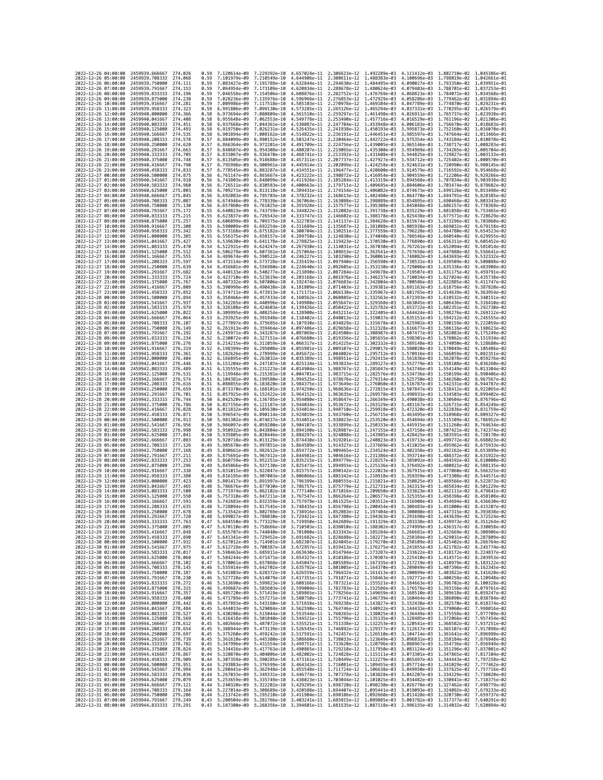| 2022-12-26 04:00:00                        |                     | 2459939.666667                                                                                 | 274.026            | 0.59         | 7.120614e-09 7.229392e-10    |                              | 4.657024e-11 2.306623e-12 1.492289e-03                              |                                                        |                              | 4.111412e-03 1.802710e-02 1.045386e-01                                                                                                                                                                                                                         |                                                        |                                                                                                                                                                                                                                                                |
|--------------------------------------------|---------------------|------------------------------------------------------------------------------------------------|--------------------|--------------|------------------------------|------------------------------|---------------------------------------------------------------------|--------------------------------------------------------|------------------------------|----------------------------------------------------------------------------------------------------------------------------------------------------------------------------------------------------------------------------------------------------------------|--------------------------------------------------------|----------------------------------------------------------------------------------------------------------------------------------------------------------------------------------------------------------------------------------------------------------------|
| 2022-12-26 05:00:00                        |                     | 2459939.708333                                                                                 | 274.068            | 0.59         | 7.101979e-09                 | 7.210549e-10                 | 4.644906e-11                                                        | 2.300611e-12 1.488383e-03                              |                              | 4.100696e-03                                                                                                                                                                                                                                                   | 1.798019e-02 1.042661e-01                              |                                                                                                                                                                                                                                                                |
| 2022-12-26 06:00:00                        |                     | 2459939.750000                                                                                 | 274.111            | 0.59         | 7.083427e-09                 | 7.191789e-10                 | 4.632844e-11                                                        | 2.294630e-12                                           | 1.484495e-03                 | 4.090027e-03                                                                                                                                                                                                                                                   | 1.793350e-02                                           | 1.039951e-01                                                                                                                                                                                                                                                   |
| 2022-12-26 07:00:00<br>2022-12-26 08:00:00 |                     | 2459939.791667<br>2459939.833333                                                               | 274.153<br>274.196 | 0.59<br>0.59 | 7.064954e-09<br>7.046558e-09 | 7.154506e-10                 | 7.173109e-10 4.620834e-11 2.288678e-12 1.480624e-03<br>4.608876e-11 | 2.282752e-12 1.476769e-03                              |                              | 4.079403e-03 1.788701e-02 1.037253e-01<br>4.068823e-03                                                                                                                                                                                                         | 1.784072e-02 1.034568e-01                              |                                                                                                                                                                                                                                                                |
| 2022-12-26 09:00:00                        |                     | 2459939.875000                                                                                 | 274.238            | 0.59         | 7.028236e-09                 | 7.135976e-10                 | 4.596966e-11                                                        | 2.276853e-12 1.472929e-03                              |                              | 4.058286e-03                                                                                                                                                                                                                                                   | 1.779462e-02 1.031894e-01                              |                                                                                                                                                                                                                                                                |
| 2022-12-26 10:00:00                        |                     | 2459939.916667                                                                                 | 274.281            | 0.59         | 7.009986e-09                 | 7.117518e-10                 | 4.585103e-11                                                        | 2.270978e-12                                           | 1.469104e-03                 | 4.047789e-03                                                                                                                                                                                                                                                   | 1.774870e-02                                           | 1.029231e-01                                                                                                                                                                                                                                                   |
| 2022-12-26 11:00:00                        |                     | 2459939.958333                                                                                 | 274.323            | 0.58         | 6.991806e-09                 | 7.099130e-10                 | 4.573285e-11                                                        | 2.265126e-12                                           | 1.465294e-03                 | 4.037331e-03                                                                                                                                                                                                                                                   | 1.770295e-02                                           | 1.026579e-01                                                                                                                                                                                                                                                   |
| 2022-12-26 12:00:00<br>2022-12-26 13:00:00 |                     | 2459940.000000<br>2459940.041667                                                               | 274,366<br>274.408 | 0.58<br>0.58 | 6.973694e-09<br>6.955648e-09 | 7.080809e-10<br>7.062553e-10 | 4.561510e-11<br>4.549778e-11                                        | 2.259297e-12 1.461498e-03<br>2.253490e-12              | 1.457716e-03                 | 4.026911e-03<br>4.016529e-03                                                                                                                                                                                                                                   | 1.765737e-02 1.023938e-01<br>1,761196e-02 1,021306e-01 |                                                                                                                                                                                                                                                                |
| 2022-12-26 14:00:00                        |                     | 2459940.083333                                                                                 | 274.451            | 0.58         | 6.937668e-09                 | 7.044361e-10                 | 4.538087e-11                                                        | 2.247704e-12                                           | 1.453948e-03                 | 4.006183e-03                                                                                                                                                                                                                                                   | 1.756670e-02                                           | 1.018683e-01                                                                                                                                                                                                                                                   |
| 2022-12-26 15:00:00                        |                     | 2459940.125000                                                                                 | 274.493            | 0.58         | 6.919750e-09                 | 7.026231e-10                 | 4.526435e-11                                                        | 2.241938e-12                                           | 1.450193e-03                 | 3.995873e-03                                                                                                                                                                                                                                                   | 1.752160e-02                                           | 1.016070e-01                                                                                                                                                                                                                                                   |
| 2022-12-26 16:00:00                        |                     | 2459940.166667                                                                                 | 274.535            | 0.58         | 6.901894e-09                 | 7.008162e-10                 | 4.514822e-11                                                        | 2.236191e-12                                           | 1.446451e-03                 | 3.985597e-03                                                                                                                                                                                                                                                   | 1.747664e-02                                           | 1.013466e-01                                                                                                                                                                                                                                                   |
| 2022-12-26 17:00:00<br>2022-12-26 18:00:00 |                     | 2459940.208333<br>2459940.250000                                                               | 274.578<br>274.620 | 0.57<br>0.57 | 6.884099e-09<br>6.866364e-09 | 6.990152e-10                 | 4.503247e-11<br>4.491709e-11                                        | 2.230464e-12<br>2.224756e-12                           | 1.442722e-03<br>1.439005e-03 | 3.975354e-03                                                                                                                                                                                                                                                   | 1.743184e-02<br>1,738717e-02                           | 1.010870e-01<br>1.008283e-01                                                                                                                                                                                                                                   |
| 2022-12-26 19:00:00                        |                     | 2459940.291667                                                                                 | 274,663            | 0.57         | 6.848687e-09                 | 6.972201e-10<br>6.954308e-10 | 4.480207e-11                                                        | 2.219065e-12                                           | 1.435300e-03                 | 3.965146e-03<br>3.954969e-03                                                                                                                                                                                                                                   | 1.734265e-02                                           | 1.005704e-01                                                                                                                                                                                                                                                   |
| 2022-12-26 20:00:00                        |                     | 2459940.333333                                                                                 | 274,705            | 0.57         | 6.831067e-09                 | 6.936470e-10                 | 4.468741e-11                                                        | 2.213392e-12 1.431608e-03                              |                              | 3.944825e-03                                                                                                                                                                                                                                                   | 1.729827e-02                                           | 1.003133e-01                                                                                                                                                                                                                                                   |
| 2022-12-26 21:00:00                        |                     | 2459940.375000                                                                                 | 274.748            | 0.57         | 6.813505e-09                 | 6.918688e-10                 | 4.457311e-11                                                        | 2.207737e-12                                           | 1.427927e-03                 | 3.934712e-03                                                                                                                                                                                                                                                   | 1.725402e-02                                           | 1.000570e-01                                                                                                                                                                                                                                                   |
| 2022-12-26 22:00:00                        |                     | 2459940.416667                                                                                 | 274.790<br>274.833 | 0.57         | 6.795998e-09                 | 6.900961e-10<br>6.883287e-10 | 4.445914e-11 2.202099e-12 1.424258e-03                              | 2.196477e-12 1.420600e-03                              |                              | 3.924631e-03                                                                                                                                                                                                                                                   | 1.720990e-02                                           | 9.980145e-02<br>9.954668e-02                                                                                                                                                                                                                                   |
| 2022-12-26 23:00:00<br>2022-12-27 00:00:00 |                     | 2459940.458333<br>2459940.500000                                                               | 274.875            | 0.57<br>0.56 | 6.778545e-09<br>6.761147e-09 | 6.865667e-10                 | 4.434551e-11<br>4.423222e-11                                        | 2.190872e-12                                           | 1.416954e-03                 | 3.914579e-03<br>3.904559e-03                                                                                                                                                                                                                                   | 1.716592e-02<br>1.712206e-02                           | 9.929266e-02                                                                                                                                                                                                                                                   |
| 2022-12-27 01:00:00                        |                     | 2459940.541667                                                                                 | 274.918            | 0.56         | 6.743803e-09                 | 6.848099e-10                 | 4.411926e-11                                                        | 2.185284e-12                                           | 1.413319e-03                 | 3.894568e-03                                                                                                                                                                                                                                                   | 1.707834e-02                                           | 9.903938e-02                                                                                                                                                                                                                                                   |
| 2022-12-27 02:00:00                        |                     | 2459940.583333                                                                                 | 274.960            | 0.56         | 6.726511e-09                 | 6.830583e-10                 | 4.400663e-11                                                        | 2.179711e-12                                           | 1.409695e-03                 | 3.884606e-03                                                                                                                                                                                                                                                   | 1.703474e-02                                           | 9.878682e-02                                                                                                                                                                                                                                                   |
| 2022-12-27 03:00:00                        |                     | 2459940.625000                                                                                 | 275.003<br>275.045 | 0.56         | 6.709271e-09                 | 6.813118e-10                 | 4.389431e-11 2.174154e-12 1.406082e-03                              |                                                        |                              | 3.874673e-03                                                                                                                                                                                                                                                   | 1.699126e-02                                           | 9.853498e-02<br>9.828385e-02                                                                                                                                                                                                                                   |
| 2022-12-27 04:00:00<br>2022-12-27 05:00:00 |                     | 2459940.666667<br>2459940.708333                                                               | 275.087            | 0.56<br>0.56 | 6.692083e-09<br>6.674946e-09 | 6.795703e-10<br>6.778339e-10 | 4.378232e-11<br>4.367064e-11 2.163088e-12                           | 2.168613e-12                                           | 1.402480e-03<br>1.398889e-03 | 3.864770e-03<br>3.854895e-03                                                                                                                                                                                                                                   | 1.694791e-02<br>1.690468e-02                           | 9.803343e-02                                                                                                                                                                                                                                                   |
| 2022-12-27 06:00:00                        |                     | 2459940.750000                                                                                 | 275,130            | 0.56         | 6.657860e-09                 | 6.761025e-10                 | 4.355928e-11                                                        | 2.157577e-12                                           | 1.395308e-03                 | 3.845048e-03                                                                                                                                                                                                                                                   | 1.686157e-02                                           | 9.778369e-02                                                                                                                                                                                                                                                   |
| 2022-12-27 07:00:00                        |                     | 2459940.791667                                                                                 | 275.172            | 0.55         | 6.640823e-09                 | 6.743759e-10                 | 4,344822e-11                                                        | 2.152082e-12                                           | 1.391738e-03                 | 3.835229e-03                                                                                                                                                                                                                                                   | 1.681858e-02                                           | 9.753465e-02                                                                                                                                                                                                                                                   |
| 2022-12-27 08:00:00<br>2022-12-27 09:00:00 |                     | 2459940.833333<br>2459940.875000                                                               | 275.215<br>275.257 | 0.55<br>0.55 | 6.623837e-09<br>6.606899e-09 | 6.726543e-10<br>6.709375e-10 | 4.333747e-11<br>4.322703e-11 2.141137e-12 1.384628e-03              | 2.146602e-12                                           | 1.388178e-03                 | 3.825438e-03<br>3.815674e-03                                                                                                                                                                                                                                   | 1.677571e-02<br>1.673296e-02                           | 9.728629e-02<br>9.703860e-02                                                                                                                                                                                                                                   |
| 2022-12-27 10:00:00                        |                     | 2459940.916667                                                                                 | 275,300            | 0.55         | 6.590009e-09                 | 6.692254e-10                 | 4.311689e-11                                                        | 2.135687e-12 1.381088e-03                              |                              | 3.805938e-03                                                                                                                                                                                                                                                   | 1.669032e-02                                           | 9.679158e-02                                                                                                                                                                                                                                                   |
| 2022-12-27 11:00:00                        |                     | 2459940.958333                                                                                 | 275.342            | 0.55         | 6.573168e-09                 | 6.675182e-10                 | 4.300704e-11                                                        | 2.130251e-12                                           | 1.377559e-03                 | 3.796228e-03                                                                                                                                                                                                                                                   | 1.664780e-02                                           | 9.654523e-02                                                                                                                                                                                                                                                   |
| 2022-12-27 12:00:00                        |                     | 2459941.000000                                                                                 | 275.385            | 0.55         | 6.556375e-09                 | 6.658157e-10                 | 4.289750e-11                                                        | 2.124830e-12                                           | 1.374040e-03                 | 3.786546e-03                                                                                                                                                                                                                                                   | 1.660540e-02                                           | 9.629955e-02                                                                                                                                                                                                                                                   |
| 2022-12-27 13:00:00                        |                     | 2459941.041667                                                                                 | 275.427            | 0.55         | 6.539630e-09                 | 6.641178e-10                 | 4.278825e-11                                                        | 2.119423e-12 1.370530e-03                              |                              | 3.776890e-03                                                                                                                                                                                                                                                   | 1.656311e-02                                           | 9.605452e-02                                                                                                                                                                                                                                                   |
| 2022-12-27 14:00:00<br>2022-12-27 15:00:00 |                     | 2459941.083333<br>2459941.125000                                                               | 275.470<br>275.512 | 0.54<br>0.54 | 6.522931e-09<br>6.506279e-09 | 6.624247e-10<br>6.607361e-10 | 4.267930e-11<br>4.257064e-11                                        | 2.114031e-12 1.367030e-03<br>2.108653e-12              | 1.363541e-03                 | 3.767261e-03<br>3.757658e-03                                                                                                                                                                                                                                   | 1.652094e-02<br>1.647888e-02                           | 9.581014e-02<br>9.556641e-02                                                                                                                                                                                                                                   |
| 2022-12-27 16:00:00                        |                     | 2459941,166667                                                                                 | 275.555            | 0.54         | 6.489674e-09                 | 6.590522e-10                 | 4.246227e-11                                                        | 2.103290e-12                                           | 1.360061e-03                 | 3.748082e-03                                                                                                                                                                                                                                                   | 1.643693e-02                                           | 9.532332e-02                                                                                                                                                                                                                                                   |
| 2022-12-27 17:00:00                        |                     | 2459941.208333                                                                                 | 275.597            | 0.54         | 6.473114e-09                 | 6.573728e-10                 | 4.235419e-11                                                        |                                                        | 2.097940e-12 1.356590e-03    | 3.738531e-03                                                                                                                                                                                                                                                   | 1.639509e-02                                           | 9.508088e-02                                                                                                                                                                                                                                                   |
| 2022-12-27 18:00:00                        |                     | 2459941.250000                                                                                 | 275.639            | 0.54         | 6.456601e-09                 | 6.556980e-10                 | 4.224640e-11                                                        | 2.092605e-12 1.353130e-03                              |                              | 3.729006e-03                                                                                                                                                                                                                                                   | 1.635336e-02                                           | 9.483908e-02                                                                                                                                                                                                                                                   |
| 2022-12-27 19:00:00<br>2022-12-27 20:00:00 |                     | 2459941.291667<br>2459941.333333                                                               | 275.682<br>275.724 | 0.54<br>0.54 | 6.440133e-09<br>6.423710e-09 | 6.540277e-10<br>6.523619e-10 | 4.213890e-11<br>4.203168e-11                                        | 2.087284e-12<br>2.081976e-12 1.346237e-03              | 1.349678e-03                 | 3.719507e-03<br>3.710034e-03                                                                                                                                                                                                                                   | 1.631175e-02<br>1.627024e-02                           | 9.459791e-02<br>9.435738e-02                                                                                                                                                                                                                                   |
| 2022-12-27 21:00:00                        |                     | 2459941.375000                                                                                 | 275.767            | 0.54         | 6.407332e-09                 | 6.507006e-10                 | 4.192474e-11                                                        | 2.076683e-12                                           | 1.342804e-03                 | 3.700586e-03                                                                                                                                                                                                                                                   | 1.622885e-02                                           | 9.411747e-02                                                                                                                                                                                                                                                   |
| 2022-12-27 22:00:00                        |                     | 2459941,416667                                                                                 | 275,809            | 0.53         | 6.390999e-09                 | 6.490438e-10                 | 4.181809e-11                                                        | 2.071403e-12                                           | 1.339381e-03                 | 3.691163e-03                                                                                                                                                                                                                                                   | 1.618756e-02                                           | 9.387820e-02                                                                                                                                                                                                                                                   |
| 2022-12-27 23:00:00                        |                     | 2459941.458333                                                                                 | 275.852            | 0.53         | 6.374711e-09                 | 6.473913e-10                 | 4.171171e-11                                                        | 2.066138e-12                                           | 1.335967e-03                 | 3.681765e-03                                                                                                                                                                                                                                                   | 1.614639e-02                                           | 9.363954e-02                                                                                                                                                                                                                                                   |
| 2022-12-28 00:00:00<br>2022-12-28 01:00:00 |                     | 2459941.500000<br>2459941.541667                                                               | 275.894<br>275.937 | 0.53<br>0.53 | 6.358466e-09<br>6.342265e-09 | 6.457433e-10<br>6.440996e-10 | 4.160562e-11<br>4.149980e-11 2.055647e-12 1.329168e-03              | 2.060885e-12 1.332563e-03                              |                              | 3.672393e-03<br>3.663045e-03                                                                                                                                                                                                                                   | 1.610532e-02<br>1.606436e-02                           | 9.340151e-02<br>9.316410e-02                                                                                                                                                                                                                                   |
| 2022-12-28 02:00:00                        |                     | 2459941.583333                                                                                 | 275.979            | 0.53         | 6.326108e-09                 | 6.424603e-10                 | 4.139426e-11                                                        | 2.050422e-12                                           | 1.325782e-03                 | 3.653722e-03                                                                                                                                                                                                                                                   | 1.602351e-02                                           | 9.292730e-02                                                                                                                                                                                                                                                   |
| 2022-12-28 03:00:00                        |                     | 2459941.625000                                                                                 | 276.022            | 0.53         | 6.309995e-09                 | 6.408254e-10                 | 4.128900e-11                                                        | 2.045211e-12                                           | 1.322405e-03                 | 3.644424e-03                                                                                                                                                                                                                                                   | 1,598276e-02                                           | 9.269112e-02                                                                                                                                                                                                                                                   |
| 2022-12-28 04:00:00                        |                     | 2459941.666667                                                                                 | 276.064            | 0.53         | 6.293925e-09                 | 6.391948e-10                 | 4.118402e-11                                                        | 2.040013e-12 1.319037e-03                              |                              | 3.635151e-03                                                                                                                                                                                                                                                   | 1.594212e-02                                           | 9.245555e-02                                                                                                                                                                                                                                                   |
| 2022-12-28 05:00:00                        |                     | 2459941,708333                                                                                 | 276.107            | 0.52         | 6.277897e-09                 | 6.375685e-10                 | 4.107930e-11                                                        | 2.034829e-12 1.315678e-03                              |                              | 3.625902e-03                                                                                                                                                                                                                                                   | 1.590159e-02                                           | 9.222059e-02                                                                                                                                                                                                                                                   |
| 2022-12-28 06:00:00<br>2022-12-28 07:00:00 |                     | 2459941.750000<br>2459941.791667                                                               | 276,149<br>276.192 | 0.52<br>0.52 | 6.261913e-09<br>6.245971e-09 | 6.359464e-10<br>6.343287e-10 | 4.097486e-11<br>4.087069e-11 2.024500e-12 1.308987e-03              | 2.029658e-12                                           | 1.312328e-03                 | 3.616677e-03<br>3.607477e-03                                                                                                                                                                                                                                   | 1.586116e-02<br>1.582083e-02                           | 9.198623e-02<br>9.175249e-02                                                                                                                                                                                                                                   |
| 2022-12-28 08:00:00                        |                     | 2459941.833333                                                                                 | 276.234            | 0.52         | 6.230072e-09                 | 6.327151e-10                 | 4.076680e-11                                                        | 2.019356e-12 1.305655e-03                              |                              | 3.598301e-03                                                                                                                                                                                                                                                   | 1.578062e-02                                           | 9.151934e-02                                                                                                                                                                                                                                                   |
| 2022-12-28 09:00:00                        |                     | 2459941.875000                                                                                 | 276.276            | 0.52         | 6.214215e-09                 | 6.311059e-10                 | 4.066317e-11                                                        | 2.014225e-12                                           | 1.302332e-03                 | 3.589148e-03                                                                                                                                                                                                                                                   | 1.574050e-02                                           | 9.128680e-02                                                                                                                                                                                                                                                   |
| 2022-12-28 10:00:00                        |                     | 2459941.916667                                                                                 | 276.319<br>276.361 | 0.52         | 6.198399e-09                 | 6.295008e-10                 | 4.055981e-11 2.009107e-12 1.299017e-03                              |                                                        |                              | 3.580020e-03                                                                                                                                                                                                                                                   | 1.570049e-02                                           | 9.105486e-02<br>9.082351e-02                                                                                                                                                                                                                                   |
| 2022-12-28 11:00:00<br>2022-12-28 12:00:00 |                     | 2459941.958333<br>2459942.000000                                                               | 276.404            | 0.52<br>0.52 | 6.182626e-09<br>6.166895e-09 | 6.278999e-10<br>6.263032e-10 | 4.045672e-11<br>4.035389e-11 1.998911e-12 1.292415e-03              | 2.004002e-12 1.295712e-03                              |                              | 3.570916e-03<br>3.561836e-03                                                                                                                                                                                                                                   | 1.566059e-02<br>1.562078e-02                           | 9.059276e-02                                                                                                                                                                                                                                                   |
| 2022-12-28 13:00:00                        |                     | 2459942.041667                                                                                 | 276.446            | 0.51         | 6.151204e-09                 | 6.247107e-10                 | 4.025134e-11                                                        | 1.993833e-12                                           | 1.289127e-03                 | 3.552779e-03                                                                                                                                                                                                                                                   | 1.558108e-02                                           | 9.036260e-02                                                                                                                                                                                                                                                   |
| 2022-12-28 14:00:00                        |                     | 2459942.083333                                                                                 | 276.489            | 0.51         | 6.135555e-09                 | 6.231223e-10                 | 4.014904e-11                                                        | 1.988767e-12                                           | 1.285847e-03                 | 3.543746e-03                                                                                                                                                                                                                                                   | 1.554149e-02                                           | 9.013304e-02                                                                                                                                                                                                                                                   |
| 2022-12-28 15:00:00                        |                     | 2459942.125000                                                                                 | 276.531            | 0.51         | 6.119948e-09                 | 6.215381e-10                 | 4.004701e-11 1.983715e-12 1.282576e-03 3.534736e-03                 |                                                        |                              |                                                                                                                                                                                                                                                                | 1.550199e-02                                           | 8.990406e-02                                                                                                                                                                                                                                                   |
| 2022-12-28 16:00:00<br>2022-12-28 17:00:00 |                     | 2459942.166667<br>2459942.208333                                                               | 276.574<br>276.616 | 0.51<br>0.51 | 6.104381e-09<br>6.088855e-09 | 6.199580e-10<br>6.183820e-10 | 3.994525e-11<br>3.984375e-11                                        | 1.978676e-12 1.279314e-03<br>1.973649e-12              | 1.276060e-03                 | 3.525750e-03<br>3.516787e-03                                                                                                                                                                                                                                   | 1.546260e-02<br>1.542331e-02                           | 8.967567e-02<br>8.944787e-02                                                                                                                                                                                                                                   |
| 2022-12-28 18:00:00                        |                     | 2459942.250000                                                                                 | 276.659            | 0.51         | 6.073370e-09                 | 6.168101e-10                 | 3.974250e-11 1.968636e-12 1.272815e-03                              |                                                        |                              | 3.507847e-03                                                                                                                                                                                                                                                   | 1.538412e-02                                           | 8.922065e-02                                                                                                                                                                                                                                                   |
| 2022-12-28 19:00:00                        |                     | 2459942,291667                                                                                 | 276,701            | 0.51         | 6.057925e-09                 | 6.152422e-10                 |                                                                     | 3.964152e-11 1.963635e-12 1.269578e-03                 |                              | 3.498931e-03                                                                                                                                                                                                                                                   | 1.534503e-02                                           | 8.899402e-02                                                                                                                                                                                                                                                   |
| 2022-12-28 20:00:00                        |                     | 2459942.333333                                                                                 | 276,744            | 0.50         | 6.042520e-09                 | 6.136785e-10                 | 3.954080e-11                                                        | 1.958647e-12                                           | 1.266349e-03                 | 3.490038e-03                                                                                                                                                                                                                                                   | 1.530604e-02                                           | 8.876796e-02                                                                                                                                                                                                                                                   |
| 2022-12-28 21:00:00<br>2022-12-28 22:00:00 |                     | 2459942,375000<br>2459942.416667                                                               | 276,786<br>276,828 | 0.50<br>0.50 | 6.027156e-09<br>6.011832e-09 | 6.121187e-10                 | 3.944034e-11<br>3.934014e-11                                        | 1.953672e-12<br>1.948710e-12 1.259918e-03              | 1.263129e-03                 | 3.481167e-03<br>3.472320e-03                                                                                                                                                                                                                                   | 1.526715e-02<br>1,522836e-02                           | 8.854249e-02<br>8.831759e-02                                                                                                                                                                                                                                   |
| 2022-12-28 23:00:00                        |                     | 2459942.458333                                                                                 | 276.871            | 0.50         | 5.996547e-09                 | 6.105630e-10<br>6.090114e-10 | 3.924019e-11                                                        | 1.943760e-12 1.256715e-03                              |                              | 3.463495e-03                                                                                                                                                                                                                                                   | 1.518968e-02                                           | 8.809327e-02                                                                                                                                                                                                                                                   |
| 2022-12-29 00:00:00                        |                     | 2459942.500000                                                                                 | 276.913            | 0.50         | 5.981302e-09                 | 6.074637e-10                 | 3.914051e-11                                                        | 1.938823e-12                                           | 1.253520e-03                 | 3.454694e-03                                                                                                                                                                                                                                                   | 1.515109e-02                                           | 8.786952e-02                                                                                                                                                                                                                                                   |
| 2022-12-29 01:00:00                        |                     | 2459942.541667                                                                                 | 276.956            | 0.50         | 5.966097e-09                 |                              | 6.059200e-10 3.904107e-11 1.933899e-12 1.250333e-03                 |                                                        |                              | 3.445915e-03                                                                                                                                                                                                                                                   | 1.511260e-02                                           | 8.764634e-02                                                                                                                                                                                                                                                   |
| 2022-12-29 02:00:00                        |                     | 2459942.583333                                                                                 | 276.998            | 0.50         | 5.950932e-09                 | 6.043804e-10                 | 3.894190e-11 1.928987e-12 1.247155e-03                              |                                                        |                              | 3.437158e-03                                                                                                                                                                                                                                                   | 1.507421e-02                                           | 8.742374e-02                                                                                                                                                                                                                                                   |
| 2022-12-29 03:00:00<br>2022-12-29 04:00:00 |                     | 2459942.625000<br>2459942.666667                                                               | 277.041<br>277.083 | 0.50<br>0.49 | 5.935805e-09<br>5.920718e-09 | 6.028446e-10<br>6.013129e-10 | 3.884297e-11<br>3.874430e-11                                        | 1.924088e-12 1.243985e-03<br>1.919201e-12              | 1.240823e-03                 | 3.428425e-03<br>3.419713e-03                                                                                                                                                                                                                                   | 1.503591e-02<br>1.499772e-02                           | 8.720170e-02<br>8.698023e-02                                                                                                                                                                                                                                   |
| 2022-12-29 05:00:00                        |                     | 2459942.708333                                                                                 | 277,126            | 0.49         | 5.905670e-09                 | 5.997851e-10                 | 3.864589e-11                                                        | 1.914327e-12                                           | 1.237669e-03                 | 3.411025e-03                                                                                                                                                                                                                                                   | 1.495962e-02                                           | 8.675933e-02                                                                                                                                                                                                                                                   |
| 2022-12-29 06:00:00                        |                     | 2459942.750000                                                                                 | 277,168            | 0.49         | 5.890661e-09                 | 5.982612e-10                 | 3.854772e-11 1.909465e-12 1.234524e-03                              |                                                        |                              | 3.402358e-03                                                                                                                                                                                                                                                   | 1.492162e-02                                           | 8.653899e-02                                                                                                                                                                                                                                                   |
| 2022-12-29 07:00:00<br>2022-12-29 08:00:00 |                     | 2459942.791667                                                                                 | 277.211<br>277.253 | 0.49<br>0.49 | 5.875691e-09                 | 5.967412e-10                 | 3.844981e-11                                                        | 1.904616e-12                                           | 1.231386e-03                 | 3.393714e-03                                                                                                                                                                                                                                                   | 1.488372e-02                                           | 8.631922e-02                                                                                                                                                                                                                                                   |
| 2022-12-29 09:00:00                        |                     | 2459942.833333<br>2459942.875000                                                               | 277.296            | 0.49         | 5.860759e-09<br>5.845866e-09 | 5.952251e-10<br>5.937130e-10 | 3.825473e-11                                                        | 3.835215e-11 1.899779e-12 1.228257e-03<br>1.894955e-12 | 1.225136e-03                 | 3.385092e-03<br>3.376492e-03                                                                                                                                                                                                                                   | 1.484592e-02<br>1.480821e-02                           | 8.610000e-02<br>8.588135e-02                                                                                                                                                                                                                                   |
| 2022-12-29 10:00:00                        |                     | 2459942.916667                                                                                 | 277,338            | 0.49         | 5.831011e-09                 | 5.922047e-10                 | 3.815757e-11                                                        | 1.890142e-12                                           | 1.222023e-03                 | 3.367915e-03                                                                                                                                                                                                                                                   | 1.477060e-02                                           | 8.566325e-02                                                                                                                                                                                                                                                   |
| 2022-12-29 11:00:00                        |                     | 2459942.958333                                                                                 | 277,380            | 0.49         | 5.816195e-09                 | 5.907003e-10                 | 3.806066e-11                                                        | 1.885342e-12                                           | 1.218918e-03                 | 3.359359e-03                                                                                                                                                                                                                                                   | 1.473308e-02                                           | 8.544571e-02                                                                                                                                                                                                                                                   |
| 2022-12-29 12:00:00                        |                     | 2459943.000000                                                                                 | 277.423            | 0.48         | 5.801417e-09                 | 5.891997e-10                 | 3.796399e-11 1.880555e-12 1.215821e-03                              |                                                        |                              | 3.350825e-03                                                                                                                                                                                                                                                   | 1.469566e-02                                           | 8.522873e-02                                                                                                                                                                                                                                                   |
| 2022-12-29 13:00:00<br>2022-12-29 14:00:00 |                     | 2459943.041667<br>2459943.083333                                                               | 277.465<br>277.508 | 0.48<br>0.48 | 5.786676e-09<br>5.771974e-09 | 5.877030e-10<br>5.862102e-10 | 3.786757e-11<br>3.777140e-11                                        | 1.875779e-12 1.212731e-03<br>1.871016e-12              | 1.209650e-03                 | 3.342313e-03<br>3.333823e-03                                                                                                                                                                                                                                   | 1.465834e-02<br>1,462111e-02                           | 8.501229e-02<br>8.479641e-02                                                                                                                                                                                                                                   |
| 2022-12-29 15:00:00                        |                     | 2459943.125000                                                                                 | 277.550            | 0.48         | 5.757310e-09                 | 5.847211e-10                 | 3.767547e-11                                                        | 1.866264e-12                                           | 1.206577e-03                 | 3.325355e-03                                                                                                                                                                                                                                                   | 1.458398e-02                                           | 8.458108e-02                                                                                                                                                                                                                                                   |
| 2022-12-29 16:00:00                        |                     | 2459943.166667                                                                                 | 277.593            | 0.48         | 5.742683e-09                 | 5.832359e-10                 |                                                                     |                                                        |                              | 3.757979e-11 1.861525e-12 1.203512e-03 3.316908e-03 1.454694e-02 8.436630e-02                                                                                                                                                                                  |                                                        |                                                                                                                                                                                                                                                                |
| 2022-12-29 17:00:00                        |                     | 2459943.208333 277.635                                                                         |                    | 0.48         | 5.728094e-09                 |                              |                                                                     |                                                        |                              | 5.817545e-10 3.748435e-11 1.856798e-12 1.200454e-03 3.308483e-03 1.451000e-02 8.415207e-02                                                                                                                                                                     |                                                        |                                                                                                                                                                                                                                                                |
| 2022-12-29 18:00:00                        |                     | 2459943.250000<br>2022-12-29 19:00:00 2459943.291667 277.720                                   | 211.018            | 0.48<br>0.48 | 5.713542e-09                 | 5.802769e-10                 | 3.738910e-11                                                        | 1.852083e-12                                           | 1.197404e-03                 | 3.300080e-03<br>5.699027e-09 5.788030e-10 3.729421e-11 1.847380e-12 1.194363e-03 3.291698e-03 1.443639e-02 8.372524e-02                                                                                                                                        | 1.447315e-02                                           | 8.393838e-02                                                                                                                                                                                                                                                   |
| 2022-12-29 20:00:00                        |                     | 2459943.333333 277.763                                                                         |                    |              |                              |                              |                                                                     |                                                        |                              | 0.47 5.684550e-09 5.773329e-10 3.719950e-11 1.842689e-12 1.191329e-03 3.283338e-03 1.439973e-02 8.351264e-02                                                                                                                                                   |                                                        |                                                                                                                                                                                                                                                                |
|                                            |                     | 2022-12-29 21:00:00 2459943.375000 277.805                                                     |                    |              |                              |                              |                                                                     |                                                        |                              | $\begin{array}{cccccccc} 0.47 & 5.670110e-09 & 5.758666e-10 & 3.710503e-11 & 1.838010e-12 & 1.188302e-03 & 3.274999e-03 & 1.436317e-02 & 8.330058e-02 \\ 0.47 & 5.655707e-09 & 5.744040e-10 & 3.701080e-11 & 1.83343e-12 & 1.185284e-03 & 3.266681e-03 & 1.43$ |                                                        |                                                                                                                                                                                                                                                                |
| 2022-12-29 23:00:00                        |                     | 2022-12-29 22:00:00 2459943.416667 277.848<br>2459943.458333 277.890                           |                    |              |                              |                              |                                                                     |                                                        |                              | 0.47 5.641341e-09 5.729452e-10 3.691682e-11 1.828688e-12 1.182273e-03 3.258384e-03 1.429031e-02 8.287809e-02                                                                                                                                                   |                                                        |                                                                                                                                                                                                                                                                |
| 2022-12-30 00:00:00                        |                     | 2459943.500000 277.932                                                                         |                    |              |                              |                              |                                                                     |                                                        |                              |                                                                                                                                                                                                                                                                |                                                        |                                                                                                                                                                                                                                                                |
| 2022-12-30 01:00:00                        |                     | 2459943.541667 277.975                                                                         |                    |              |                              |                              |                                                                     |                                                        |                              |                                                                                                                                                                                                                                                                |                                                        |                                                                                                                                                                                                                                                                |
| 2022-12-30 02:00:00                        |                     | 2459943.583333 278.017                                                                         |                    |              |                              |                              |                                                                     |                                                        |                              |                                                                                                                                                                                                                                                                |                                                        |                                                                                                                                                                                                                                                                |
| 2022-12-30 03:00:00<br>2022-12-30 04:00:00 |                     | 2459943.625000 278.060<br>2459943.666667 278.102                                               |                    |              |                              |                              |                                                                     |                                                        |                              | 0.47 5.584244e-09 5.671471e-10 3.654327e-11 1.810186e-12 1.170307e-03 3.225410e-03 1.414571e-02 8.203953e-02                                                                                                                                                   |                                                        |                                                                                                                                                                                                                                                                |
| 2022-12-30 05:00:00                        |                     | 2459943.708333 278.145                                                                         |                    |              |                              |                              |                                                                     |                                                        |                              | 0.47 5.570961e-09 5.657068e-10 3.645047e-11 1.805589e-12 1.167335e-03 3.217219e-03 1.410979e-02 8.183122e-02<br>0.46 5.555914e-09 5.642702e-10 3.645047e-11 1.801589e-12 1.164379e-03 3.217219e-03 1.40979e-02 8.183122e-02<br>0.46                            |                                                        |                                                                                                                                                                                                                                                                |
| 2022-12-30 06:00:00                        |                     | 2459943.750000 278.187                                                                         |                    |              |                              |                              |                                                                     |                                                        |                              |                                                                                                                                                                                                                                                                |                                                        |                                                                                                                                                                                                                                                                |
| 2022-12-30 07:00:00                        |                     | 2459943.791667 278.230                                                                         |                    |              |                              |                              |                                                                     |                                                        |                              | 0.46 5.527728e-09 5.614079e-10 3.617351e-11 1.791871e-12 1.158463e-03 3.192771e-03 1.400258e-02 8.120948e-02                                                                                                                                                   |                                                        |                                                                                                                                                                                                                                                                |
| 2022-12-30 08:00:00<br>2022-12-30 09:00:00 |                     | 2459943.833333 278.272<br>2459943.875000 278.315                                               |                    |              |                              |                              |                                                                     |                                                        |                              | 0.46 5.513690e-09 5.599823e-10 3.608166e-11 1.787321e-12 1.155521e-03 3.184663e-03 1.396702e-02 8.100328e-02<br>0.46 5.499687e-09 5.585603e-10 3.599004e-11 1.782783e-12 1.152586e-03 3.176576e-03 1.393156e-02 8.079761e-02                                   |                                                        |                                                                                                                                                                                                                                                                |
| 2022-12-30 10:00:00                        |                     | 2459943.916667 278.357                                                                         |                    |              |                              |                              |                                                                     |                                                        |                              |                                                                                                                                                                                                                                                                |                                                        |                                                                                                                                                                                                                                                                |
| 2022-12-30 11:00:00                        |                     | 2459943.958333 278.400                                                                         |                    |              |                              |                              |                                                                     |                                                        |                              | $\begin{array}{cccccccc} 0.46 & 5.485720e-09 & 5.5574419e-10 & 3.589865e-11 & 1.776255e-12 & 1.149659e-03 & 3.168510e-03 & 1.393618e-02 & 0.07970e-04 \\ 0.46 & 5.447789e-09 & 5.557419e-10 & 3.589786e-11 & 1.778256e-12 & 1.146759e-03 & 3.168510e-03 & 1.3$ |                                                        |                                                                                                                                                                                                                                                                |
| 2022-12-30 12:00:00                        |                     | 2459944.000000 278.442                                                                         |                    |              |                              |                              |                                                                     |                                                        |                              |                                                                                                                                                                                                                                                                |                                                        |                                                                                                                                                                                                                                                                |
| 2022-12-30 13:00:00<br>2022-12-30 14:00:00 |                     | 2459944.041667 278.484<br>2459944.083333 278.527                                               |                    |              |                              |                              |                                                                     |                                                        |                              | 0.45 5.430208e-09 5.515044e-10 3.553544e-11 1.760265e-12 1.138025e-03 3.136449e-03 1.375558e-02 7.977709e-02                                                                                                                                                   |                                                        |                                                                                                                                                                                                                                                                |
| 2022-12-30 15:00:00                        |                     | 2459944.125000 278.569                                                                         |                    |              |                              |                              |                                                                     |                                                        |                              |                                                                                                                                                                                                                                                                |                                                        |                                                                                                                                                                                                                                                                |
| 2022-12-30 16:00:00                        |                     | 2459944.166667 278.612                                                                         |                    |              |                              |                              |                                                                     |                                                        |                              | 0.45 5.416418e-09 5.501040e-10 3.544521e-11 1.752796e-12 1.135135e-03 3.128485e-03 1.372066e-02 7.957454e-02<br>0.45 5.405610e-09 5.501040e-10 3.544521e-11 1.751338e-12 1.132135e-03 3.128485e-03 1.372066e-02 7.957454e-02<br>0.45                           |                                                        |                                                                                                                                                                                                                                                                |
| 2022-12-30 17:00:00                        |                     | 2459944.208333 278.654                                                                         |                    |              |                              |                              |                                                                     |                                                        |                              |                                                                                                                                                                                                                                                                |                                                        |                                                                                                                                                                                                                                                                |
| 2022-12-30 18:00:00<br>2022-12-30 19:00:00 |                     | 2459944.250000 278.697<br>2459944.291667 278.739                                               |                    |              |                              |                              |                                                                     |                                                        |                              | 0.45 5.375260e-09 5.459242e-10 3.517591e-11 1.742457e-12 1.126510e-03 3.104714e-03 1.361641e-02 7.896998e-02                                                                                                                                                   |                                                        |                                                                                                                                                                                                                                                                |
| 2022-12-30 20:00:00                        |                     | 2459944.333333 278.782                                                                         |                    |              |                              |                              |                                                                     |                                                        |                              | 0.45 5.361610e-09 5.445380e-10 3.508660e-11 1.738033e-12 1.123649e-03 3.096831e-03 1.358184e-02 7.876948e-02<br>0.45 5.361610e-09 5.431534e-10 3.499751e-11 1.738020e-12 1.128749e-03 3.096831e-03 1.354184e-02 7.876948e-02<br>0.45                           |                                                        |                                                                                                                                                                                                                                                                |
| 2022-12-30 21:00:00                        |                     | 2459944.375000 278.824                                                                         |                    |              |                              |                              |                                                                     |                                                        |                              |                                                                                                                                                                                                                                                                |                                                        |                                                                                                                                                                                                                                                                |
| 2022-12-30 22:00:00                        |                     | 2459944.416667 278.867                                                                         |                    |              |                              |                              |                                                                     |                                                        |                              |                                                                                                                                                                                                                                                                |                                                        |                                                                                                                                                                                                                                                                |
| 2022-12-30 23:00:00<br>2022-12-31 00:00:00 |                     | 2459944.458333 278.909<br>2459944.500000 278.951                                               |                    |              |                              |                              |                                                                     |                                                        |                              | 0.44 5.320870e-09 5.404006e-10 3.482002e-11 1.724828e-12 1.115111e-03 3.073301e-03 1.347865e-02 7.817104e-02<br>0.44 5.320870e-09 5.390285e-10 3.482002e-11 1.724828e-12 1.115111e-03 3.073301e-03 1.347865e-02 7.7817104e-02<br>0.4                           |                                                        |                                                                                                                                                                                                                                                                |
| 2022-12-31 01:00:00                        |                     | 2459944.541667 278.994                                                                         |                    |              |                              |                              |                                                                     |                                                        |                              |                                                                                                                                                                                                                                                                |                                                        |                                                                                                                                                                                                                                                                |
| 2022-12-31 02:00:00                        |                     | 2459944.583333 279.036                                                                         |                    |              |                              |                              |                                                                     |                                                        |                              |                                                                                                                                                                                                                                                                |                                                        |                                                                                                                                                                                                                                                                |
| 2022-12-31 03:00:00                        |                     | 2459944.625000 279.079                                                                         |                    |              |                              |                              |                                                                     |                                                        |                              |                                                                                                                                                                                                                                                                |                                                        |                                                                                                                                                                                                                                                                |
| 2022-12-31 04:00:00<br>2022-12-31 05:00:00 |                     | 2459944.666667 279.121<br>2459944.708333 279.164                                               |                    |              |                              |                              |                                                                     |                                                        |                              |                                                                                                                                                                                                                                                                |                                                        |                                                                                                                                                                                                                                                                |
|                                            |                     |                                                                                                |                    |              |                              |                              |                                                                     |                                                        |                              | 0.44 5.227014e-09 5.308689e-10 3.420588e-11 1.694407e-12 1.095441e-03 3.019093e-03 1.324092e-02 7.679233e-02                                                                                                                                                   |                                                        |                                                                                                                                                                                                                                                                |
|                                            |                     |                                                                                                |                    |              |                              |                              |                                                                     |                                                        |                              |                                                                                                                                                                                                                                                                |                                                        |                                                                                                                                                                                                                                                                |
| 2022-12-31 07:00:00                        | 2022-12-31 06:00:00 | 2459944.750000 279.206<br>2459944.791667 279.249<br>2022-12-31 08:00:00 2459944.833333 279.291 |                    |              |                              |                              |                                                                     |                                                        |                              | 0.43 5.187300e-09 5.268356e-10 3.394601e-11 1.681535e-12 1.087118e-03 2.996155e-03 1.314032e-02 7.620894e-02                                                                                                                                                   |                                                        | $\begin{array}{cccccccc} 0.44 & 5.213742e-09 & 5.295210e-10 & 3.411904e-11 & 1.690106e-12 & 1.092660e-03 & 3.011428e-03 & 1.320730e-02 & 7.659737e-02 \\ 0.43 & 5.200504e-09 & 5.281766e-10 & 3.403241e-11 & 1.685815e-12 & 1.089885e-03 & 3.003782e-03 & 1.3$ |